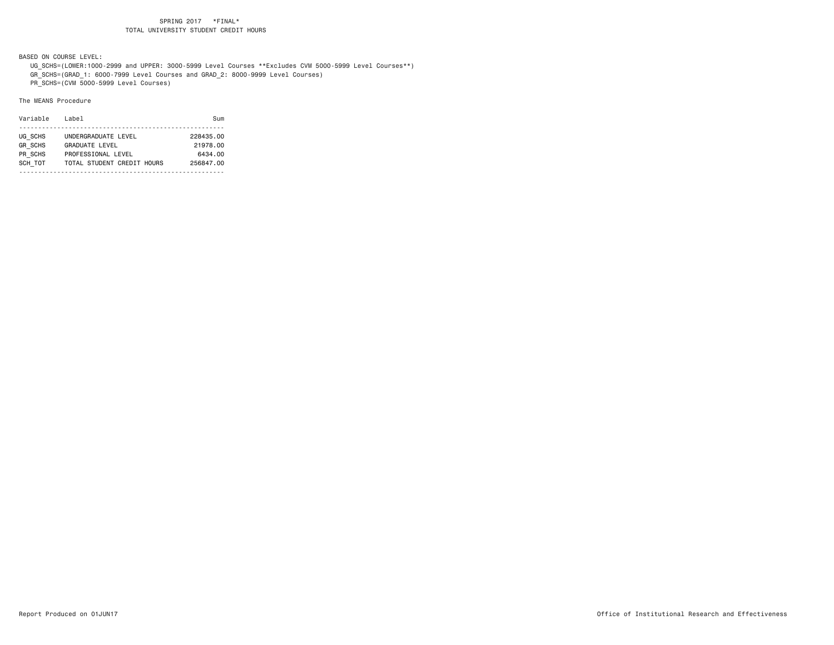BASED ON COURSE LEVEL:

 UG\_SCHS=(LOWER:1000-2999 and UPPER: 3000-5999 Level Courses \*\*Excludes CVM 5000-5999 Level Courses\*\*) GR\_SCHS=(GRAD\_1: 6000-7999 Level Courses and GRAD\_2: 8000-9999 Level Courses)

PR\_SCHS=(CVM 5000-5999 Level Courses)

| Variable       | Label                      | Sum       |
|----------------|----------------------------|-----------|
|                |                            |           |
| UG SCHS        | UNDERGRADUATE LEVEL        | 228435.00 |
| <b>GR SCHS</b> | <b>GRADUATE LEVEL</b>      | 21978.00  |
| PR SCHS        | PROFESSIONAL LEVEL         | 6434.00   |
| SCH TOT        | TOTAL STUDENT CREDIT HOURS | 256847.00 |
|                |                            |           |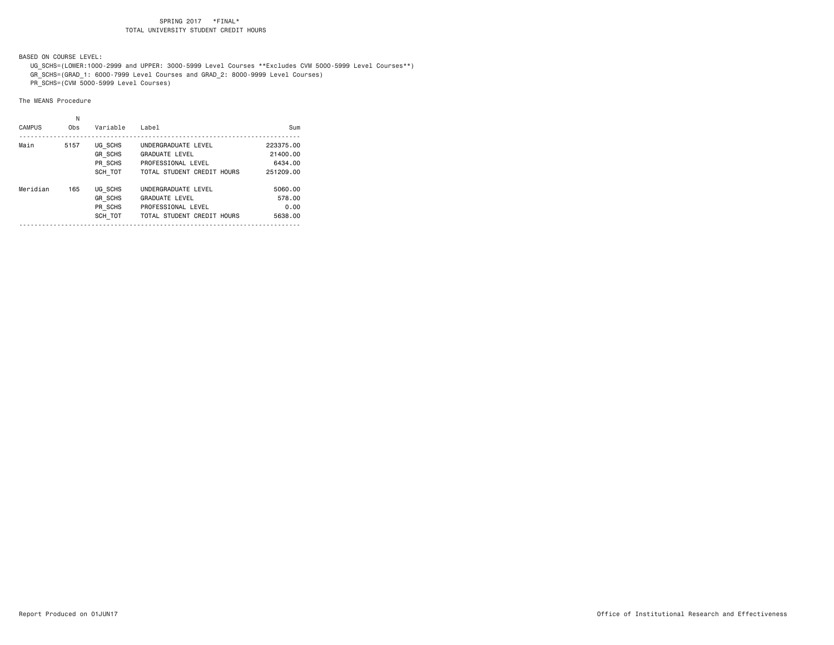BASED ON COURSE LEVEL:

 UG\_SCHS=(LOWER:1000-2999 and UPPER: 3000-5999 Level Courses \*\*Excludes CVM 5000-5999 Level Courses\*\*) GR\_SCHS=(GRAD\_1: 6000-7999 Level Courses and GRAD\_2: 8000-9999 Level Courses)

PR\_SCHS=(CVM 5000-5999 Level Courses)

| <b>CAMPUS</b> | Ν<br>Obs | Variable       | Label                      | Sum       |
|---------------|----------|----------------|----------------------------|-----------|
| Main          | 5157     | UG SCHS        | UNDERGRADUATE LEVEL        | 223375.00 |
|               |          | <b>GR SCHS</b> | <b>GRADUATE LEVEL</b>      | 21400.00  |
|               |          | PR SCHS        | PROFESSIONAL LEVEL         | 6434.00   |
|               |          | SCH TOT        | TOTAL STUDENT CREDIT HOURS | 251209.00 |
| Meridian      | 165      | UG SCHS        | UNDERGRADUATE LEVEL        | 5060.00   |
|               |          | <b>GR SCHS</b> | <b>GRADUATE LEVEL</b>      | 578.00    |
|               |          | PR SCHS        | PROFESSIONAL LEVEL         | 0.00      |
|               |          | SCH TOT        | TOTAL STUDENT CREDIT HOURS | 5638.00   |
|               |          |                |                            |           |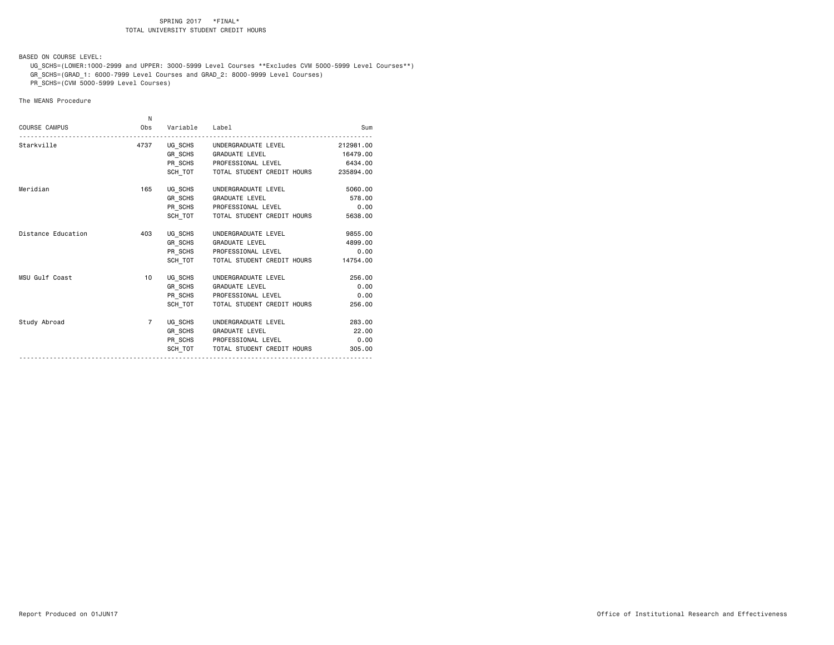BASED ON COURSE LEVEL:

 UG\_SCHS=(LOWER:1000-2999 and UPPER: 3000-5999 Level Courses \*\*Excludes CVM 5000-5999 Level Courses\*\*) GR\_SCHS=(GRAD\_1: 6000-7999 Level Courses and GRAD\_2: 8000-9999 Level Courses)

PR\_SCHS=(CVM 5000-5999 Level Courses)

|                      | N              |                |                                              |           |
|----------------------|----------------|----------------|----------------------------------------------|-----------|
| <b>COURSE CAMPUS</b> | Obs            | Variable Label |                                              | Sum       |
| Starkville           |                |                | 4737 UG_SCHS UNDERGRADUATE LEVEL             | 212981.00 |
|                      |                |                | GR_SCHS GRADUATE LEVEL                       | 16479.00  |
|                      |                |                | PR SCHS PROFESSIONAL LEVEL                   | 6434.00   |
|                      |                |                | SCH TOT TOTAL STUDENT CREDIT HOURS 235894.00 |           |
| Meridian             | 165            |                | UG_SCHS UNDERGRADUATE LEVEL                  | 5060.00   |
|                      |                |                | GR SCHS GRADUATE LEVEL                       | 578.00    |
|                      |                |                | PR_SCHS PROFESSIONAL LEVEL                   | 0.00      |
|                      |                |                | SCH TOT   TOTAL STUDENT CREDIT HOURS         | 5638,00   |
| Distance Education   | 403            |                | UG SCHS UNDERGRADUATE LEVEL                  | 9855.00   |
|                      |                |                | GR SCHS GRADUATE LEVEL                       | 4899.00   |
|                      |                |                | PR_SCHS PROFESSIONAL LEVEL                   | 0.00      |
|                      |                |                | SCH TOT TOTAL STUDENT CREDIT HOURS           | 14754.00  |
| MSU Gulf Coast       | 10             |                | UG SCHS UNDERGRADUATE LEVEL                  | 256.00    |
|                      |                |                | GR_SCHS GRADUATE LEVEL                       | 0.00      |
|                      |                |                | PR SCHS PROFESSIONAL LEVEL                   | 0.00      |
|                      |                | SCH TOT        | TOTAL STUDENT CREDIT HOURS                   | 256.00    |
| Study Abroad         | $\overline{7}$ |                | UG SCHS UNDERGRADUATE LEVEL                  | 283.00    |
|                      |                |                | GR SCHS GRADUATE LEVEL                       | 22.00     |
|                      |                |                | PR SCHS PROFESSIONAL LEVEL                   | 0.00      |
|                      |                |                | SCH TOT TOTAL STUDENT CREDIT HOURS           | 305,00    |
|                      |                |                |                                              |           |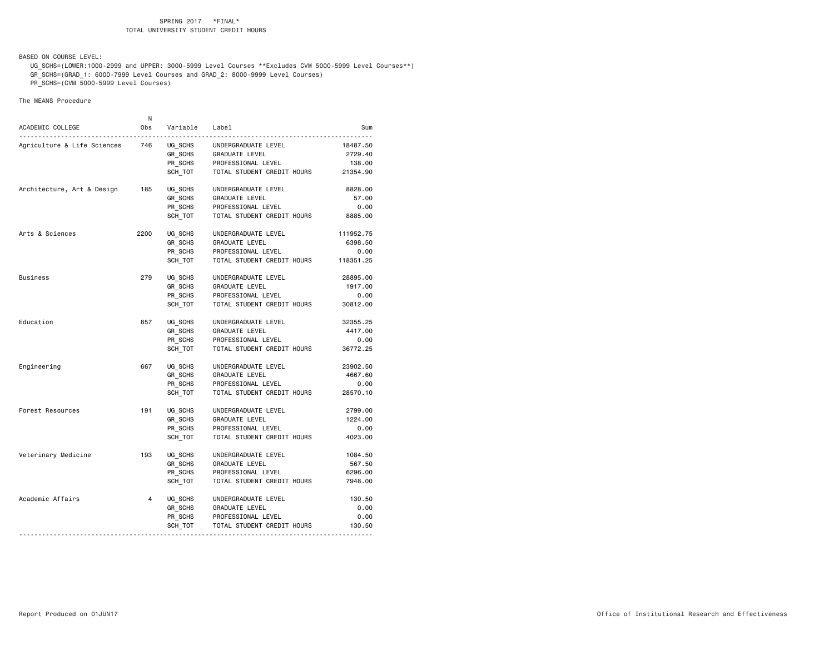BASED ON COURSE LEVEL:

 UG\_SCHS=(LOWER:1000-2999 and UPPER: 3000-5999 Level Courses \*\*Excludes CVM 5000-5999 Level Courses\*\*) GR\_SCHS=(GRAD\_1: 6000-7999 Level Courses and GRAD\_2: 8000-9999 Level Courses)

PR\_SCHS=(CVM 5000-5999 Level Courses)

|                             | N              |                                         |                            |           |
|-----------------------------|----------------|-----------------------------------------|----------------------------|-----------|
| ACADEMIC COLLEGE<br>.       | Obs            | Variable<br>$\sim$ $\sim$ $\sim$ $\sim$ | Label                      | Sum       |
| Agriculture & Life Sciences | 746            | UG_SCHS                                 | UNDERGRADUATE LEVEL        | 18487.50  |
|                             |                | GR SCHS                                 | GRADUATE LEVEL             | 2729.40   |
|                             |                | PR_SCHS                                 | PROFESSIONAL LEVEL         | 138.00    |
|                             |                | SCH TOT                                 | TOTAL STUDENT CREDIT HOURS | 21354.90  |
| Architecture, Art & Design  | 185            | UG SCHS                                 | UNDERGRADUATE LEVEL        | 8828.00   |
|                             |                | GR SCHS                                 | <b>GRADUATE LEVEL</b>      | 57.00     |
|                             |                | PR SCHS                                 | PROFESSIONAL LEVEL         | 0.00      |
|                             |                | SCH TOT                                 | TOTAL STUDENT CREDIT HOURS | 8885.00   |
| Arts & Sciences             | 2200           | UG SCHS                                 | UNDERGRADUATE LEVEL        | 111952.75 |
|                             |                | GR SCHS                                 | GRADUATE LEVEL             | 6398.50   |
|                             |                | PR SCHS                                 | PROFESSIONAL LEVEL         | 0.00      |
|                             |                | SCH TOT                                 | TOTAL STUDENT CREDIT HOURS | 118351.25 |
| Business                    | 279            | UG SCHS                                 | UNDERGRADUATE LEVEL        | 28895.00  |
|                             |                | GR_SCHS                                 | GRADUATE LEVEL             | 1917.00   |
|                             |                | PR_SCHS                                 | PROFESSIONAL LEVEL         | 0.00      |
|                             |                | SCH TOT                                 | TOTAL STUDENT CREDIT HOURS | 30812.00  |
| Education                   | 857            | UG SCHS                                 | UNDERGRADUATE LEVEL        | 32355.25  |
|                             |                | GR_SCHS                                 | GRADUATE LEVEL             | 4417.00   |
|                             |                | PR_SCHS                                 | PROFESSIONAL LEVEL         | 0.00      |
|                             |                | SCH TOT                                 | TOTAL STUDENT CREDIT HOURS | 36772.25  |
| Engineering                 | 667            | UG SCHS                                 | UNDERGRADUATE LEVEL        | 23902.50  |
|                             |                | GR SCHS                                 | GRADUATE LEVEL             | 4667.60   |
|                             |                | PR_SCHS                                 | PROFESSIONAL LEVEL         | 0.00      |
|                             |                | SCH TOT                                 | TOTAL STUDENT CREDIT HOURS | 28570.10  |
| Forest Resources            | 191            | UG SCHS                                 | UNDERGRADUATE LEVEL        | 2799.00   |
|                             |                | GR SCHS                                 | <b>GRADUATE LEVEL</b>      | 1224.00   |
|                             |                | PR SCHS                                 | PROFESSIONAL LEVEL         | 0.00      |
|                             |                | SCH TOT                                 | TOTAL STUDENT CREDIT HOURS | 4023.00   |
| Veterinary Medicine         | 193            | UG SCHS                                 | UNDERGRADUATE LEVEL        | 1084.50   |
|                             |                | GR SCHS                                 | GRADUATE LEVEL             | 567.50    |
|                             |                | PR SCHS                                 | PROFESSIONAL LEVEL         | 6296.00   |
|                             |                | SCH TOT                                 | TOTAL STUDENT CREDIT HOURS | 7948.00   |
| Academic Affairs            | $\overline{4}$ | UG SCHS                                 | UNDERGRADUATE LEVEL        | 130.50    |
|                             |                | GR SCHS                                 | GRADUATE LEVEL             | 0.00      |
|                             |                | PR_SCHS                                 | PROFESSIONAL LEVEL         | 0.00      |
|                             |                | SCH TOT                                 | TOTAL STUDENT CREDIT HOURS | 130.50    |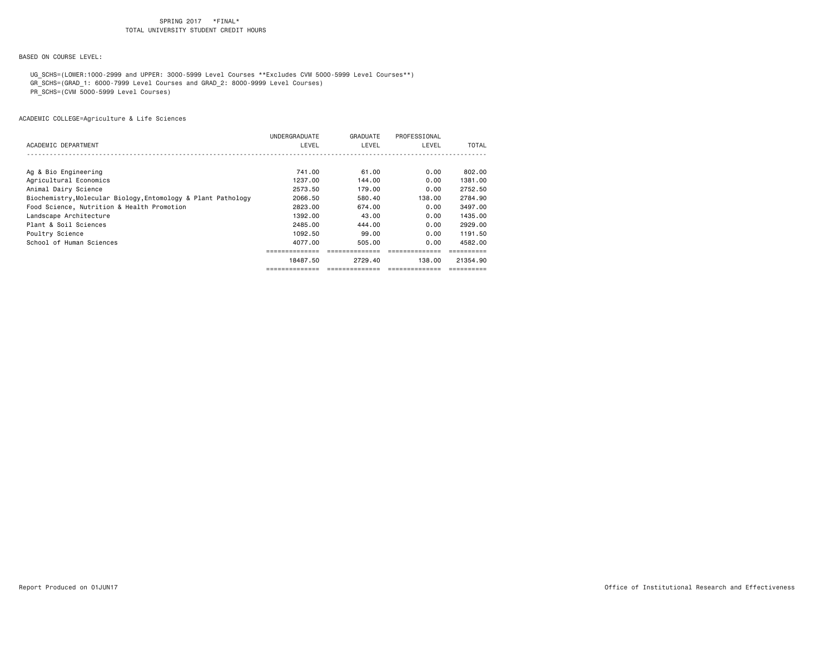BASED ON COURSE LEVEL:

UG\_SCHS=(LOWER:1000-2999 and UPPER: 3000-5999 Level Courses \*\*Excludes CVM 5000-5999 Level Courses\*\*)

GR\_SCHS=(GRAD\_1: 6000-7999 Level Courses and GRAD\_2: 8000-9999 Level Courses)

PR\_SCHS=(CVM 5000-5999 Level Courses)

|                                                               | UNDERGRADUATE | GRADUATE | PROFESSIONAL |              |
|---------------------------------------------------------------|---------------|----------|--------------|--------------|
| ACADEMIC DEPARTMENT                                           | LEVEL         | LEVEL    | LEVEL        | <b>TOTAL</b> |
|                                                               |               |          |              |              |
| Ag & Bio Engineering                                          | 741.00        | 61.00    | 0.00         | 802.00       |
| Agricultural Economics                                        | 1237.00       | 144.00   | 0.00         | 1381.00      |
| Animal Dairy Science                                          | 2573.50       | 179.00   | 0.00         | 2752.50      |
| Biochemistry, Molecular Biology, Entomology & Plant Pathology | 2066.50       | 580.40   | 138,00       | 2784.90      |
| Food Science, Nutrition & Health Promotion                    | 2823.00       | 674.00   | 0.00         | 3497.00      |
| Landscape Architecture                                        | 1392.00       | 43.00    | 0.00         | 1435,00      |
| Plant & Soil Sciences                                         | 2485,00       | 444.00   | 0.00         | 2929.00      |
| Poultry Science                                               | 1092.50       | 99.00    | 0.00         | 1191.50      |
| School of Human Sciences                                      | 4077.00       | 505.00   | 0.00         | 4582.00      |
|                                                               |               |          |              |              |
|                                                               | 18487.50      | 2729.40  | 138.00       | 21354.90     |
|                                                               |               |          |              |              |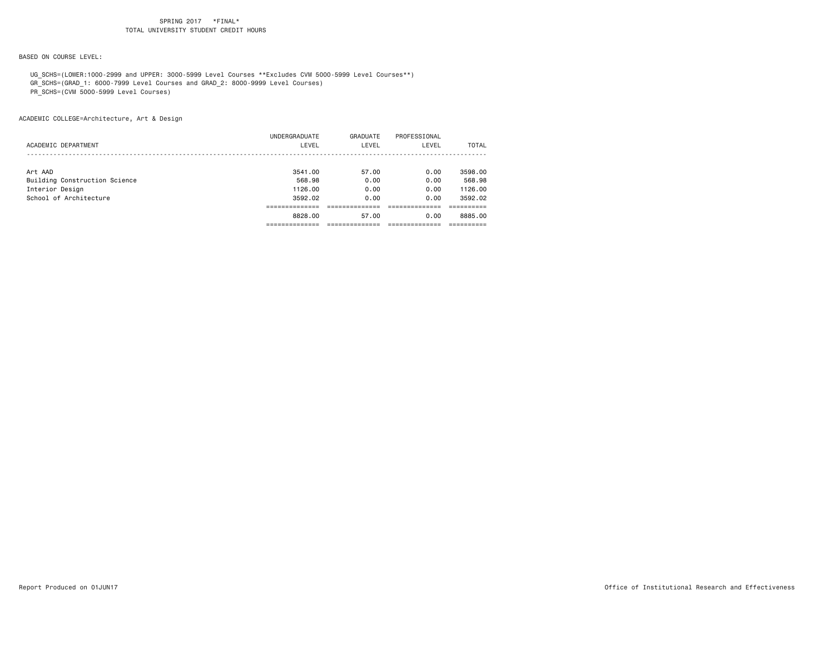BASED ON COURSE LEVEL:

UG\_SCHS=(LOWER:1000-2999 and UPPER: 3000-5999 Level Courses \*\*Excludes CVM 5000-5999 Level Courses\*\*)

GR\_SCHS=(GRAD\_1: 6000-7999 Level Courses and GRAD\_2: 8000-9999 Level Courses)

PR\_SCHS=(CVM 5000-5999 Level Courses)

ACADEMIC COLLEGE=Architecture, Art & Design

|                               | 8828,00       | 57.00    | 0.00         | 8885.00 |
|-------------------------------|---------------|----------|--------------|---------|
|                               |               |          |              |         |
| School of Architecture        | 3592.02       | 0.00     | 0.00         | 3592.02 |
| Interior Design               | 1126.00       | 0.00     | 0.00         | 1126.00 |
| Building Construction Science | 568.98        | 0.00     | 0.00         | 568.98  |
| Art AAD                       | 3541.00       | 57.00    | 0.00         | 3598.00 |
|                               |               |          |              |         |
| ACADEMIC DEPARTMENT           | LEVEL         | LEVEL    | LEVEL        | TOTAL   |
|                               | UNDERGRADUATE | GRADUATE | PROFESSIONAL |         |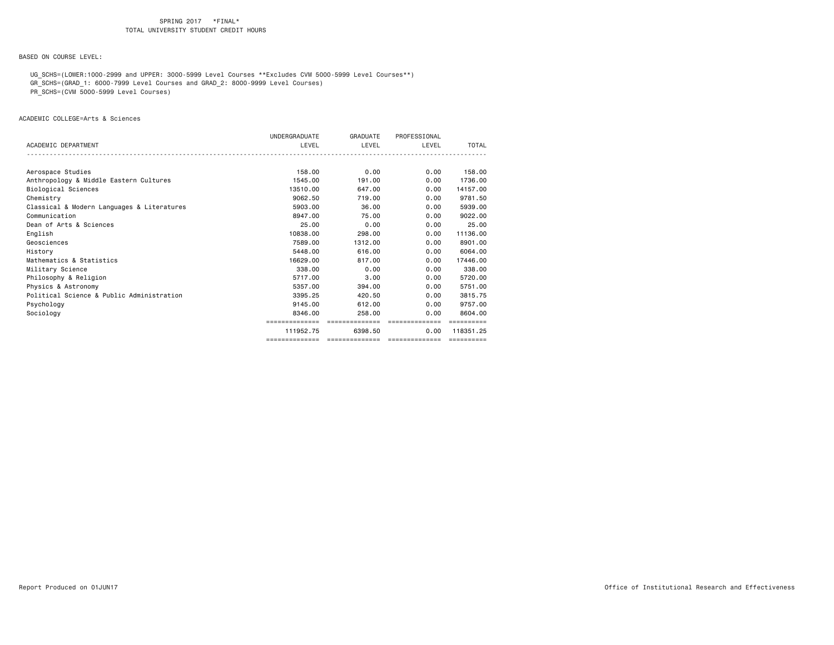BASED ON COURSE LEVEL:

 UG\_SCHS=(LOWER:1000-2999 and UPPER: 3000-5999 Level Courses \*\*Excludes CVM 5000-5999 Level Courses\*\*) GR\_SCHS=(GRAD\_1: 6000-7999 Level Courses and GRAD\_2: 8000-9999 Level Courses)

PR\_SCHS=(CVM 5000-5999 Level Courses)

ACADEMIC COLLEGE=Arts & Sciences

|                                            | UNDERGRADUATE  | GRADUATE       | PROFESSIONAL   |            |
|--------------------------------------------|----------------|----------------|----------------|------------|
| ACADEMIC DEPARTMENT                        | LEVEL          | LEVEL          | LEVEL          | TOTAL      |
|                                            |                |                |                |            |
|                                            |                |                |                |            |
| Aerospace Studies                          | 158,00         | 0.00           | 0.00           | 158,00     |
| Anthropology & Middle Eastern Cultures     | 1545.00        | 191.00         | 0.00           | 1736.00    |
| Biological Sciences                        | 13510.00       | 647.00         | 0.00           | 14157.00   |
| Chemistry                                  | 9062.50        | 719.00         | 0.00           | 9781.50    |
| Classical & Modern Languages & Literatures | 5903.00        | 36.00          | 0.00           | 5939.00    |
| Communication                              | 8947.00        | 75.00          | 0.00           | 9022.00    |
| Dean of Arts & Sciences                    | 25.00          | 0.00           | 0.00           | 25.00      |
| English                                    | 10838.00       | 298.00         | 0.00           | 11136.00   |
| Geosciences                                | 7589.00        | 1312,00        | 0.00           | 8901.00    |
| History                                    | 5448.00        | 616,00         | 0.00           | 6064.00    |
| Mathematics & Statistics                   | 16629.00       | 817,00         | 0.00           | 17446.00   |
| Military Science                           | 338,00         | 0.00           | 0.00           | 338,00     |
| Philosophy & Religion                      | 5717.00        | 3.00           | 0.00           | 5720.00    |
| Physics & Astronomy                        | 5357.00        | 394,00         | 0.00           | 5751.00    |
| Political Science & Public Administration  | 3395.25        | 420.50         | 0.00           | 3815.75    |
| Psychology                                 | 9145.00        | 612,00         | 0.00           | 9757.00    |
| Sociology                                  | 8346.00        | 258.00         | 0.00           | 8604.00    |
|                                            | ============== | ============== | ============== |            |
|                                            | 111952.75      | 6398.50        | 0.00           | 118351.25  |
|                                            | ============== | ============== | ============== | ========== |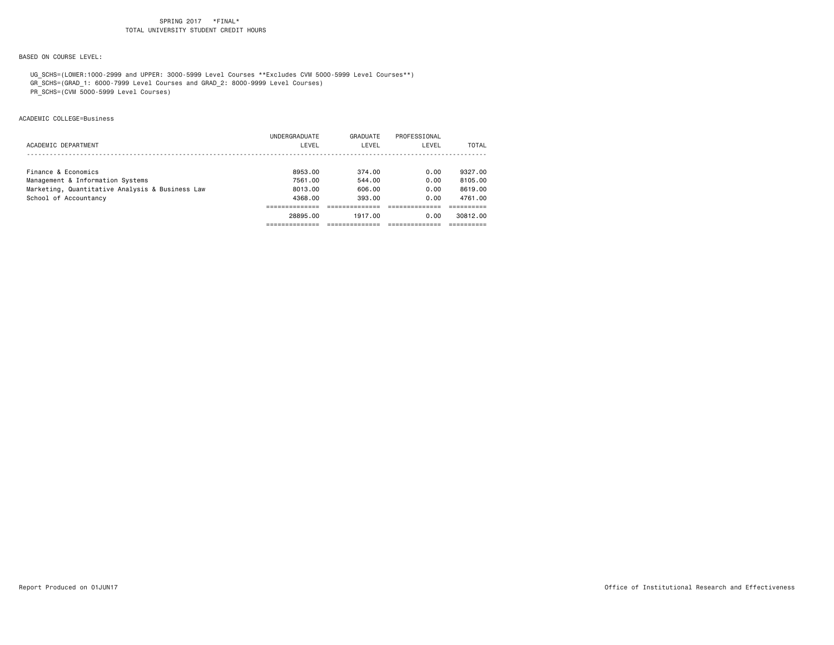# BASED ON COURSE LEVEL:

 UG\_SCHS=(LOWER:1000-2999 and UPPER: 3000-5999 Level Courses \*\*Excludes CVM 5000-5999 Level Courses\*\*) GR\_SCHS=(GRAD\_1: 6000-7999 Level Courses and GRAD\_2: 8000-9999 Level Courses)

PR\_SCHS=(CVM 5000-5999 Level Courses)

# ACADEMIC COLLEGE=Business

|                                                 | UNDERGRADUATE | GRADUATE | PROFESSIONAL |          |
|-------------------------------------------------|---------------|----------|--------------|----------|
| ACADEMIC DEPARTMENT                             | LEVEL         | LEVEL    | LEVEL        | TOTAL    |
|                                                 |               |          |              |          |
| Finance & Economics                             | 8953.00       | 374.00   | 0.00         | 9327.00  |
| Management & Information Systems                | 7561.00       | 544.00   | 0.00         | 8105.00  |
| Marketing, Quantitative Analysis & Business Law | 8013,00       | 606.00   | 0.00         | 8619,00  |
| School of Accountancy                           | 4368.00       | 393.00   | 0.00         | 4761.00  |
|                                                 |               |          |              |          |
|                                                 | 28895.00      | 1917.00  | 0.00         | 30812.00 |
|                                                 |               |          |              |          |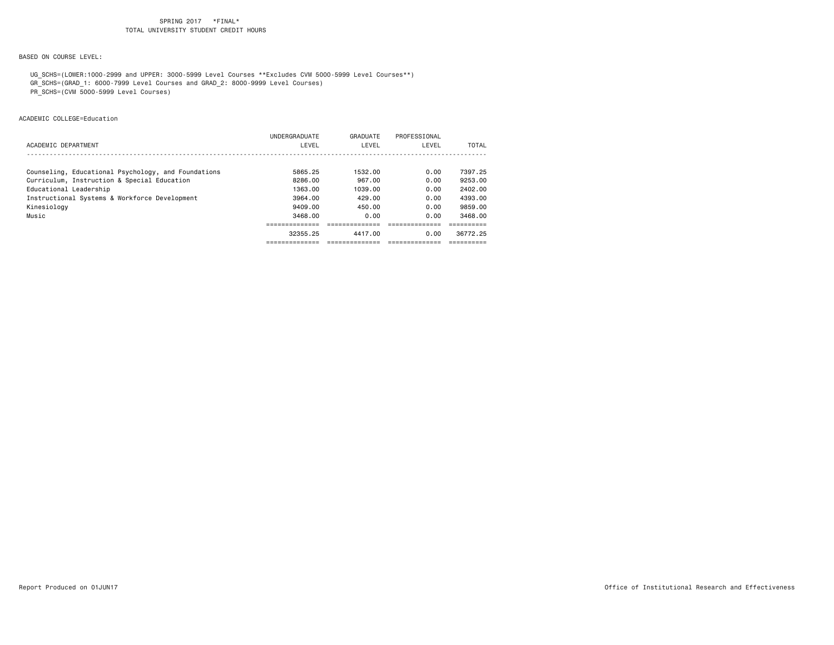BASED ON COURSE LEVEL:

 UG\_SCHS=(LOWER:1000-2999 and UPPER: 3000-5999 Level Courses \*\*Excludes CVM 5000-5999 Level Courses\*\*) GR\_SCHS=(GRAD\_1: 6000-7999 Level Courses and GRAD\_2: 8000-9999 Level Courses)

PR\_SCHS=(CVM 5000-5999 Level Courses)

ACADEMIC COLLEGE=Education

|                                                     | 32355.25      | 4417.00  | 0.00         | 36772.25 |
|-----------------------------------------------------|---------------|----------|--------------|----------|
|                                                     |               |          |              |          |
| Music                                               | 3468.00       | 0.00     | 0.00         | 3468.00  |
| Kinesiology                                         | 9409.00       | 450.00   | 0.00         | 9859.00  |
| Instructional Systems & Workforce Development       | 3964.00       | 429.00   | 0.00         | 4393.00  |
| Educational Leadership                              | 1363.00       | 1039.00  | 0.00         | 2402.00  |
| Curriculum, Instruction & Special Education         | 8286.00       | 967.00   | 0.00         | 9253.00  |
| Counseling, Educational Psychology, and Foundations | 5865.25       | 1532.00  | 0.00         | 7397.25  |
|                                                     |               |          |              |          |
| ACADEMIC DEPARTMENT                                 | LEVEL         | LEVEL    | LEVEL        | TOTAL    |
|                                                     | UNDERGRADUATE | GRADUATE | PROFESSIONAL |          |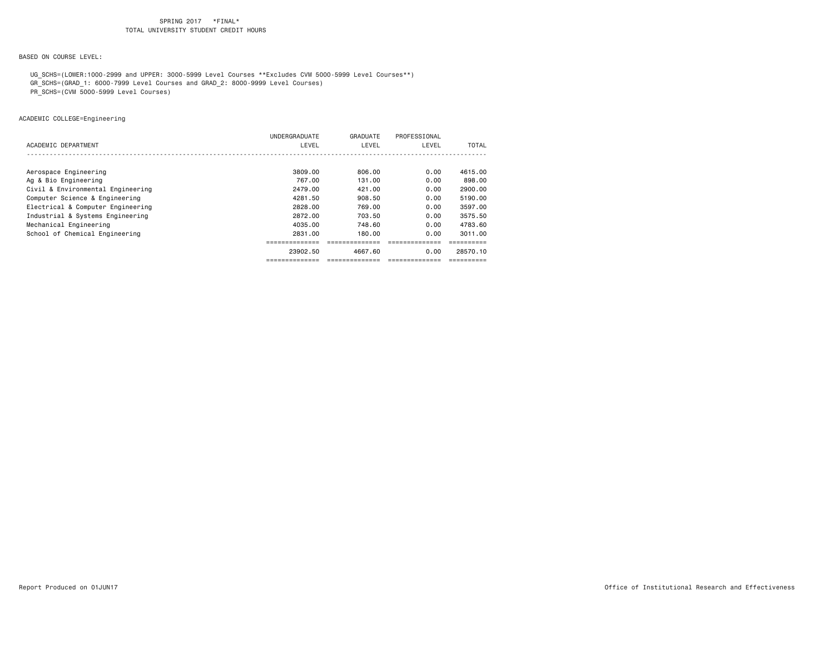BASED ON COURSE LEVEL:

UG\_SCHS=(LOWER:1000-2999 and UPPER: 3000-5999 Level Courses \*\*Excludes CVM 5000-5999 Level Courses\*\*)

GR\_SCHS=(GRAD\_1: 6000-7999 Level Courses and GRAD\_2: 8000-9999 Level Courses)

PR\_SCHS=(CVM 5000-5999 Level Courses)

ACADEMIC COLLEGE=Engineering

|                                   | UNDERGRADUATE | GRADUATE | PROFESSIONAL |          |
|-----------------------------------|---------------|----------|--------------|----------|
| ACADEMIC DEPARTMENT               | LEVEL         | LEVEL    | LEVEL        | TOTAL    |
|                                   |               |          |              |          |
|                                   |               |          |              |          |
| Aerospace Engineering             | 3809.00       | 806.00   | 0.00         | 4615.00  |
| Ag & Bio Engineering              | 767.00        | 131,00   | 0.00         | 898,00   |
| Civil & Environmental Engineering | 2479.00       | 421.00   | 0.00         | 2900.00  |
| Computer Science & Engineering    | 4281.50       | 908,50   | 0.00         | 5190.00  |
| Electrical & Computer Engineering | 2828.00       | 769.00   | 0.00         | 3597.00  |
| Industrial & Systems Engineering  | 2872.00       | 703.50   | 0.00         | 3575.50  |
| Mechanical Engineering            | 4035.00       | 748.60   | 0.00         | 4783.60  |
| School of Chemical Engineering    | 2831.00       | 180.00   | 0.00         | 3011.00  |
|                                   |               |          |              |          |
|                                   | 23902.50      | 4667.60  | 0.00         | 28570.10 |
|                                   |               |          |              |          |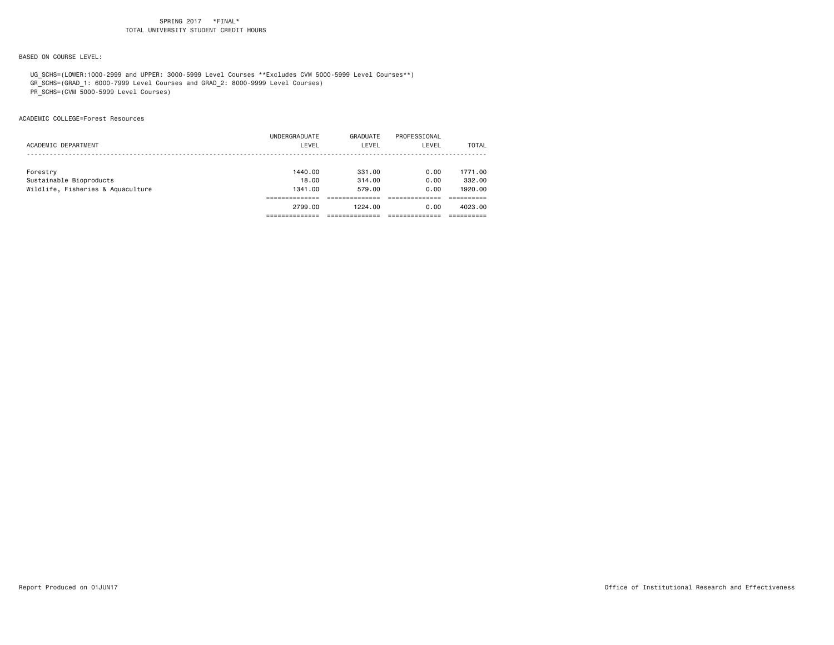BASED ON COURSE LEVEL:

 UG\_SCHS=(LOWER:1000-2999 and UPPER: 3000-5999 Level Courses \*\*Excludes CVM 5000-5999 Level Courses\*\*) GR\_SCHS=(GRAD\_1: 6000-7999 Level Courses and GRAD\_2: 8000-9999 Level Courses)

PR\_SCHS=(CVM 5000-5999 Level Courses)

ACADEMIC COLLEGE=Forest Resources

|                                   | 2799.00       | 1224.00  | 0.00         | 4023.00 |
|-----------------------------------|---------------|----------|--------------|---------|
|                                   |               |          |              |         |
| Wildlife, Fisheries & Aquaculture | 1341.00       | 579.00   | 0.00         | 1920.00 |
| Sustainable Bioproducts           | 18.00         | 314.00   | 0.00         | 332,00  |
| Forestry                          | 1440.00       | 331.00   | 0.00         | 1771.00 |
|                                   |               |          |              |         |
| ACADEMIC DEPARTMENT               | LEVEL         | LEVEL    | LEVEL        | TOTAL   |
|                                   | UNDERGRADUATE | GRADUATE | PROFESSIONAL |         |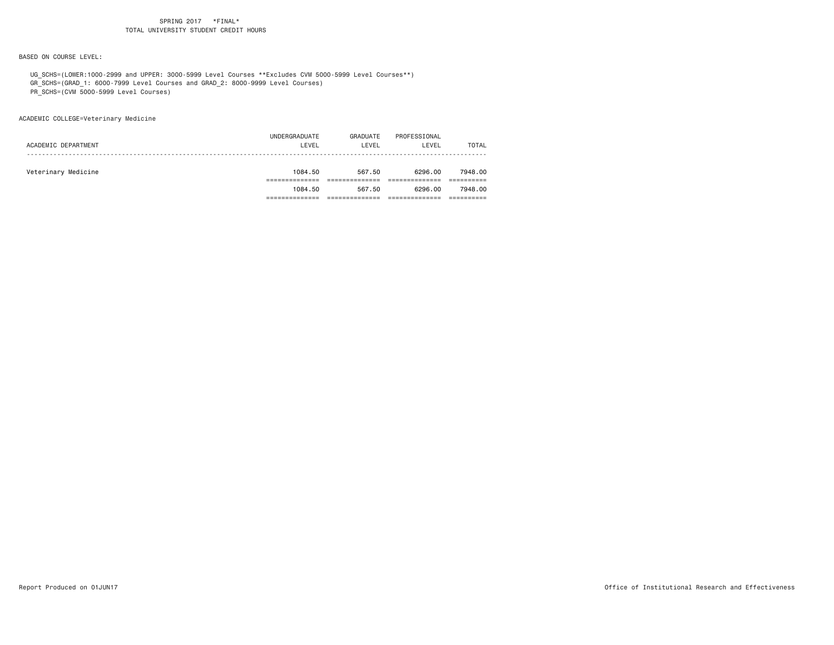BASED ON COURSE LEVEL:

UG\_SCHS=(LOWER:1000-2999 and UPPER: 3000-5999 Level Courses \*\*Excludes CVM 5000-5999 Level Courses\*\*)

GR\_SCHS=(GRAD\_1: 6000-7999 Level Courses and GRAD\_2: 8000-9999 Level Courses)

PR\_SCHS=(CVM 5000-5999 Level Courses)

ACADEMIC COLLEGE=Veterinary Medicine

|                     | UNDERGRADUATE | GRADUATE | PROFESSIONAL |              |
|---------------------|---------------|----------|--------------|--------------|
| ACADEMIC DEPARTMENT | LEVEL         | LEVEL    | LEVEL        | <b>TOTAL</b> |
|                     |               |          |              |              |
| Veterinary Medicine | 1084.50       | 567.50   | 6296.00      | 7948.00      |
|                     |               |          |              |              |
|                     | 1084.50       | 567.50   | 6296.00      | 7948.00      |
|                     |               |          |              |              |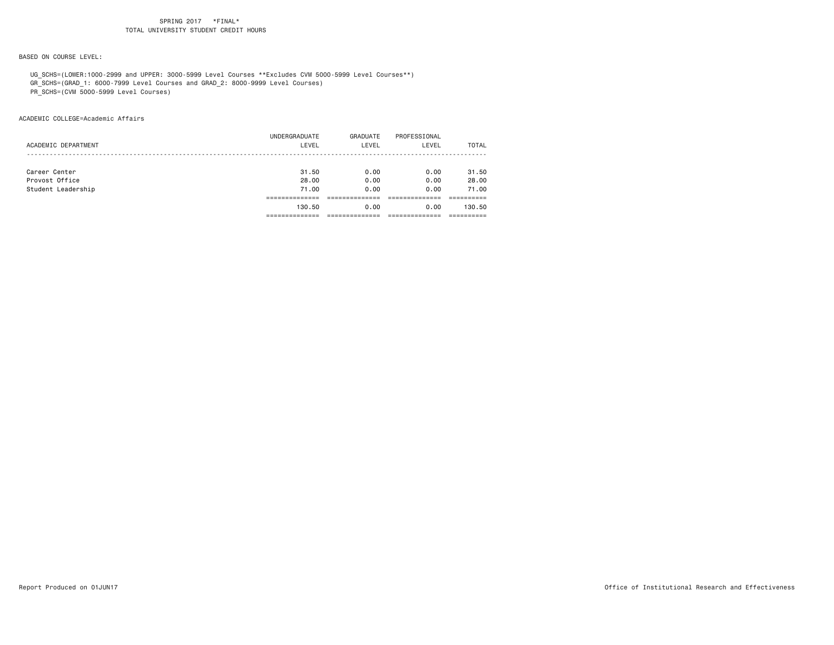BASED ON COURSE LEVEL:

UG\_SCHS=(LOWER:1000-2999 and UPPER: 3000-5999 Level Courses \*\*Excludes CVM 5000-5999 Level Courses\*\*)

GR\_SCHS=(GRAD\_1: 6000-7999 Level Courses and GRAD\_2: 8000-9999 Level Courses)

PR\_SCHS=(CVM 5000-5999 Level Courses)

ACADEMIC COLLEGE=Academic Affairs

|                     | 130.50        | 0.00     | 0.00         | 130.50       |
|---------------------|---------------|----------|--------------|--------------|
|                     |               |          |              |              |
| Student Leadership  | 71.00         | 0.00     | 0.00         | 71.00        |
| Provost Office      | 28.00         | 0.00     | 0.00         | 28.00        |
| Career Center       | 31.50         | 0.00     | 0.00         | 31.50        |
|                     |               |          |              |              |
| ACADEMIC DEPARTMENT | LEVEL         | LEVEL    | LEVEL        | <b>TOTAL</b> |
|                     | UNDERGRADUATE | GRADUATE | PROFESSIONAL |              |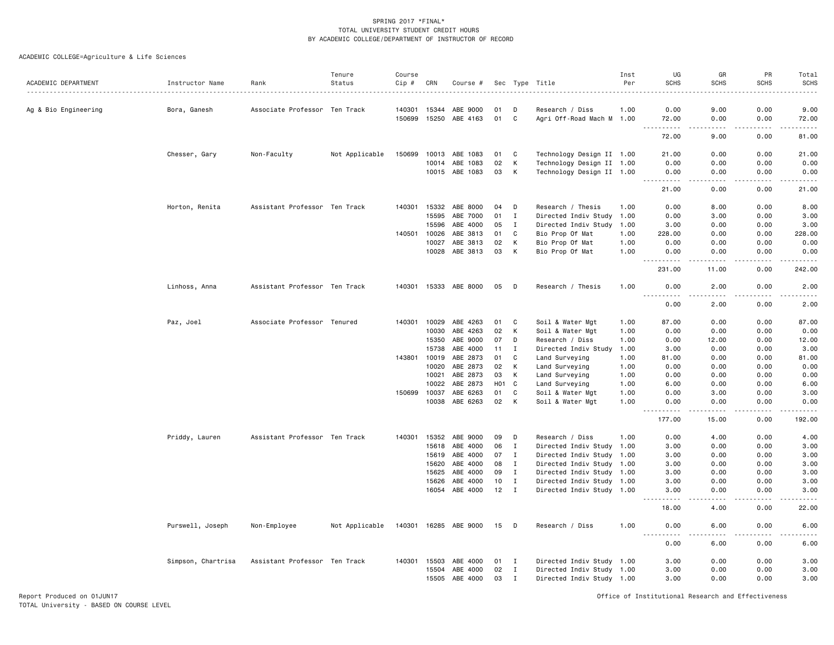| ACADEMIC DEPARTMENT  |                    | Rank                          | Tenure<br>Status | Course<br>Cip # | CRN   |                       |                  |              |                           | Inst<br>Per | UG<br><b>SCHS</b>                | GR<br><b>SCHS</b>      | PR<br><b>SCHS</b>   | Total<br>SCHS         |
|----------------------|--------------------|-------------------------------|------------------|-----------------|-------|-----------------------|------------------|--------------|---------------------------|-------------|----------------------------------|------------------------|---------------------|-----------------------|
|                      | Instructor Name    |                               |                  |                 |       | Course #              |                  |              | Sec Type Title            |             |                                  |                        |                     | .                     |
| Ag & Bio Engineering | Bora, Ganesh       | Associate Professor Ten Track |                  | 140301          | 15344 | ABE 9000              | 01               | D            | Research / Diss           | 1.00        | 0.00                             | 9.00                   | 0.00                | 9.00                  |
|                      |                    |                               |                  | 150699          | 15250 | ABE 4163              | 01               | C            | Agri Off-Road Mach M 1.00 |             | 72.00<br>$\frac{1}{2}$           | 0.00<br>د د د د        | 0.00<br>.           | 72.00<br>.            |
|                      |                    |                               |                  |                 |       |                       |                  |              |                           |             | 72.00                            | 9.00                   | 0.00                | 81.00                 |
|                      | Chesser, Gary      | Non-Faculty                   | Not Applicable   | 150699          | 10013 | ABE 1083              | 01               | C            | Technology Design II 1.00 |             | 21.00                            | 0.00                   | 0.00                | 21.00                 |
|                      |                    |                               |                  |                 | 10014 | ABE 1083              | 02               | Κ            | Technology Design II 1.00 |             | 0.00                             | 0.00                   | 0.00                | 0.00                  |
|                      |                    |                               |                  |                 |       | 10015 ABE 1083        | 03               | К            | Technology Design II 1.00 |             | 0.00<br>----                     | 0.00                   | 0.00                | 0.00                  |
|                      |                    |                               |                  |                 |       |                       |                  |              |                           |             | 21.00                            | 0.00                   | 0.00                | 21.00                 |
|                      | Horton, Renita     | Assistant Professor Ten Track |                  | 140301          | 15332 | ABE 8000              | 04               | D            | Research / Thesis         | 1.00        | 0.00                             | 8.00                   | 0.00                | 8.00                  |
|                      |                    |                               |                  |                 | 15595 | ABE 7000              | 01               | $\mathbf{I}$ | Directed Indiv Study      | 1.00        | 0.00                             | 3.00                   | 0.00                | 3.00                  |
|                      |                    |                               |                  |                 | 15596 | ABE 4000              | 05               | I            | Directed Indiv Study      | 1.00        | 3.00                             | 0.00                   | 0.00                | 3.00                  |
|                      |                    |                               |                  | 140501          | 10026 | ABE 3813              | 01               | C            | Bio Prop Of Mat           | 1.00        | 228,00                           | 0.00                   | 0.00                | 228.00                |
|                      |                    |                               |                  |                 | 10027 | ABE 3813              | 02               | К            | Bio Prop Of Mat           | 1.00        | 0.00                             | 0.00                   | 0.00                | 0.00                  |
|                      |                    |                               |                  |                 |       | 10028 ABE 3813        | 03               | к            | Bio Prop Of Mat           | 1.00        | 0.00                             | 0.00                   | 0.00                | 0.00                  |
|                      |                    |                               |                  |                 |       |                       |                  |              |                           |             | $- - -$<br>$- - - - -$<br>231.00 | .<br>11.00             | $- - - - -$<br>0.00 | $- - - - -$<br>242.00 |
|                      | Linhoss, Anna      | Assistant Professor Ten Track |                  | 140301          |       | 15333 ABE 8000        | 05               | D            | Research / Thesis         | 1.00        | 0.00                             | 2.00                   | 0.00                | 2.00                  |
|                      |                    |                               |                  |                 |       |                       |                  |              |                           |             | 0.00                             | 2.00                   | 0.00                | 2.00                  |
|                      | Paz, Joel          | Associate Professor Tenured   |                  | 140301          | 10029 | ABE 4263              | 01               | C            | Soil & Water Mgt          | 1.00        | 87.00                            | 0.00                   | 0.00                | 87.00                 |
|                      |                    |                               |                  |                 | 10030 | ABE 4263              | 02               | К            | Soil & Water Mgt          | 1.00        | 0.00                             | 0.00                   | 0.00                | 0.00                  |
|                      |                    |                               |                  |                 | 15350 | ABE 9000              | 07               | D            | Research / Diss           | 1.00        | 0.00                             | 12.00                  | 0.00                | 12.00                 |
|                      |                    |                               |                  |                 | 15738 | ABE 4000              | 11               | $\mathbf I$  | Directed Indiv Study      | 1.00        | 3.00                             | 0.00                   | 0.00                | 3.00                  |
|                      |                    |                               |                  | 143801          | 10019 | ABE 2873              | 01               | C            | Land Surveying            | 1.00        | 81.00                            | 0.00                   | 0.00                | 81.00                 |
|                      |                    |                               |                  |                 | 10020 | ABE 2873              | 02               | К            | Land Surveying            | 1.00        | 0.00                             | 0.00                   | 0.00                | 0.00                  |
|                      |                    |                               |                  |                 | 10021 | ABE 2873              | 03               | К            | Land Surveying            | 1.00        | 0.00                             | 0.00                   | 0.00                | 0.00                  |
|                      |                    |                               |                  |                 | 10022 | ABE 2873              | H <sub>0</sub> 1 | C            | Land Surveying            | 1.00        | 6.00                             | 0.00                   | 0.00                | 6.00                  |
|                      |                    |                               |                  | 150699          | 10037 | ABE 6263              | 01               | C            | Soil & Water Mgt          | 1.00        | 0.00                             | 3.00                   | 0.00                | 3.00                  |
|                      |                    |                               |                  |                 | 10038 | ABE 6263              | 02               | К            | Soil & Water Mgt          | 1.00        | 0.00                             | 0.00                   | 0.00                | 0.00                  |
|                      |                    |                               |                  |                 |       |                       |                  |              |                           |             | $\frac{1}{2}$<br>177.00          | $\frac{1}{2}$<br>15.00 | 0.00                | 192.00                |
|                      | Priddy, Lauren     | Assistant Professor Ten Track |                  | 140301          | 15352 | ABE 9000              | 09               | D            | Research / Diss           | 1.00        | 0.00                             | 4.00                   | 0.00                | 4.00                  |
|                      |                    |                               |                  |                 | 15618 | ABE 4000              | 06               | I            | Directed Indiv Study 1.00 |             | 3.00                             | 0.00                   | 0.00                | 3.00                  |
|                      |                    |                               |                  |                 | 15619 | ABE 4000              | 07               | $\bf{I}$     | Directed Indiv Study 1.00 |             | 3.00                             | 0.00                   | 0.00                | 3.00                  |
|                      |                    |                               |                  |                 | 15620 | ABE 4000              | 08               | $\mathbf{I}$ | Directed Indiv Study 1.00 |             | 3.00                             | 0.00                   | 0.00                | 3.00                  |
|                      |                    |                               |                  |                 | 15625 | ABE 4000              | 09               | $\mathbf{I}$ | Directed Indiv Study 1.00 |             | 3.00                             | 0.00                   | 0.00                | 3.00                  |
|                      |                    |                               |                  |                 | 15626 | ABE 4000              | 10               | $\mathbf{I}$ | Directed Indiv Study 1.00 |             | 3.00                             | 0.00                   | 0.00                | 3.00                  |
|                      |                    |                               |                  |                 | 16054 | ABE 4000              | 12               | $\;$ I       | Directed Indiv Study 1.00 |             | 3.00                             | 0.00                   | 0.00                | 3.00                  |
|                      |                    |                               |                  |                 |       |                       |                  |              |                           |             | .<br>18.00                       | 4.00                   | 0.00                | 22.00                 |
|                      | Purswell, Joseph   | Non-Employee                  | Not Applicable   |                 |       | 140301 16285 ABE 9000 | 15               | D            | Research / Diss           | 1.00        | 0.00                             | 6.00                   | 0.00                | 6.00                  |
|                      |                    |                               |                  |                 |       |                       |                  |              |                           |             | 0.00                             | 6.00                   | 0.00                | 6.00                  |
|                      | Simpson, Chartrisa | Assistant Professor Ten Track |                  | 140301          | 15503 | ABE 4000              | 01               | $\mathbf{I}$ | Directed Indiv Study 1.00 |             | 3.00                             | 0.00                   | 0.00                | 3.00                  |
|                      |                    |                               |                  |                 | 15504 | ABE 4000              | 02               | $\mathbf{I}$ | Directed Indiv Study 1.00 |             | 3.00                             | 0.00                   | 0.00                | 3.00                  |
|                      |                    |                               |                  |                 | 15505 | ABE 4000              | 03               | Ι            | Directed Indiv Study 1.00 |             | 3.00                             | 0.00                   | 0.00                | 3.00                  |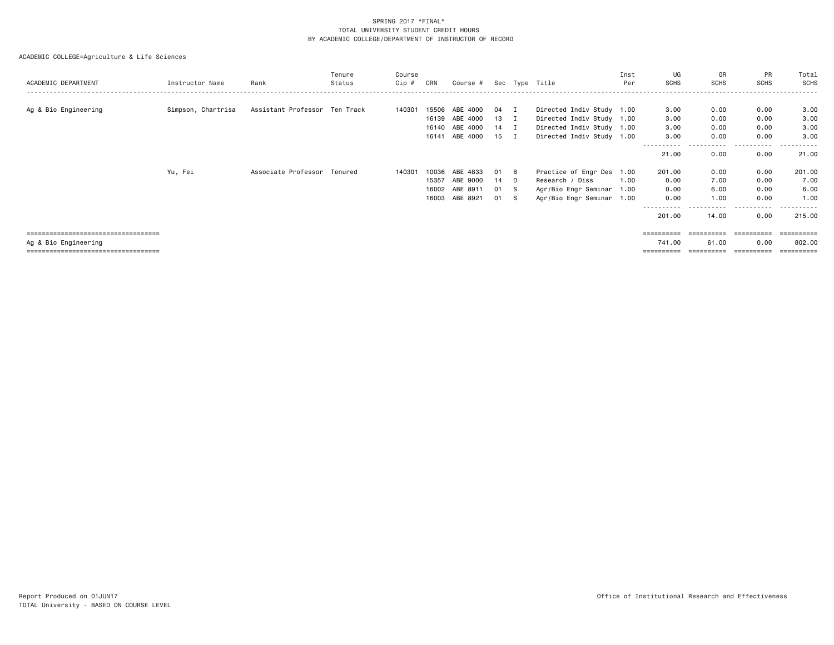# ACADEMIC COLLEGE=Agriculture & Life Sciences

| ACADEMIC DEPARTMENT                   | Instructor Name    | Rank                          | Tenure<br>Status | Course<br>Cip # | CRN   | Course $#$ Sec Type Title |      |   |                           | Inst<br>Per | UG<br><b>SCHS</b> | GR<br><b>SCHS</b> | PR<br><b>SCHS</b> | Total<br><b>SCHS</b> |
|---------------------------------------|--------------------|-------------------------------|------------------|-----------------|-------|---------------------------|------|---|---------------------------|-------------|-------------------|-------------------|-------------------|----------------------|
| Ag & Bio Engineering                  | Simpson, Chartrisa | Assistant Professor Ten Track |                  | 140301          |       | 15506 ABE 4000            | 04 I |   | Directed Indiv Study 1.00 |             | 3.00              | 0.00              | 0.00              | 3.00                 |
|                                       |                    |                               |                  |                 |       | 16139 ABE 4000            | 13 I |   | Directed Indiv Study 1.00 |             | 3.00              | 0.00              | 0.00              | 3.00                 |
|                                       |                    |                               |                  |                 |       | 16140 ABE 4000            | 14 I |   | Directed Indiv Study 1.00 |             | 3.00              | 0.00              | 0.00              | 3.00                 |
|                                       |                    |                               |                  |                 |       | 16141 ABE 4000            | 15 I |   | Directed Indiv Study 1.00 |             | 3.00              | 0.00              | 0.00              | 3,00                 |
|                                       |                    |                               |                  |                 |       |                           |      |   |                           |             | .<br>21.00        | .<br>0.00         | .<br>0.00         | -------<br>21.00     |
|                                       | Yu, Fei            | Associate Professor Tenured   |                  | 140301          |       | 10036 ABE 4833            | 01   | B | Practice of Engr Des 1.00 |             | 201.00            | 0.00              | 0.00              | 201.00               |
|                                       |                    |                               |                  |                 | 15357 | ABE 9000                  | 14 D |   | Research / Diss           | 1.00        | 0.00              | 7.00              | 0.00              | 7.00                 |
|                                       |                    |                               |                  |                 |       | 16002 ABE 8911            | 01 S |   | Agr/Bio Engr Seminar 1.00 |             | 0.00              | 6.00              | 0.00              | 6.00                 |
|                                       |                    |                               |                  |                 |       | 16003 ABE 8921            | 01 S |   | Agr/Bio Engr Seminar 1.00 |             | 0.00              | 1.00              | 0.00              | 1.00                 |
|                                       |                    |                               |                  |                 |       |                           |      |   |                           |             | -----             |                   |                   | ------               |
|                                       |                    |                               |                  |                 |       |                           |      |   |                           |             | 201.00            | 14.00             | 0.00              | 215.00               |
| ===================================== |                    |                               |                  |                 |       |                           |      |   |                           |             |                   | ==========        | ==========        |                      |

=================================== ========== ========== ========== ==========

Ag & Bio Engineering 741.00 61.00 0.00 802.00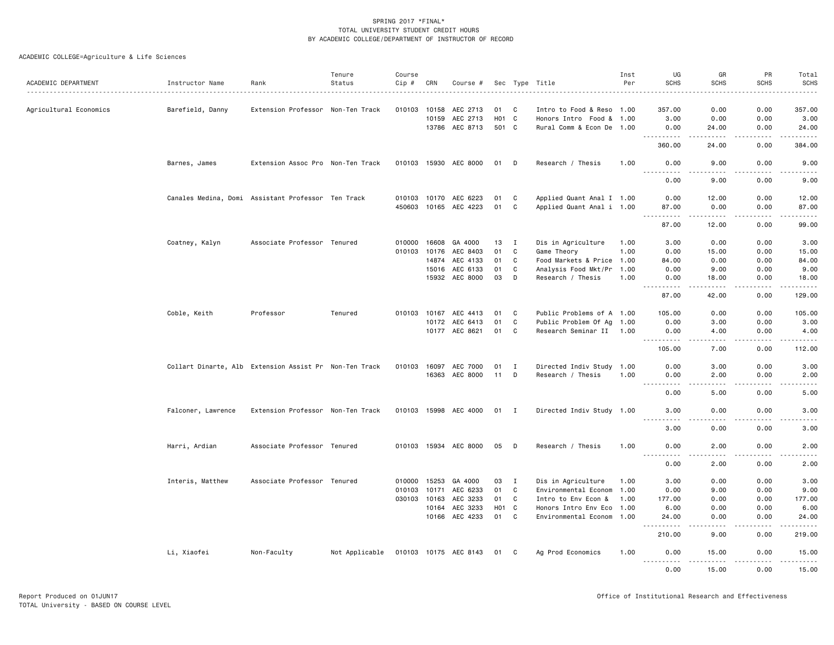|                        |                                                        |                                   | Tenure         | Course |              |                       |                    |              |                           | Inst | UG                                                                                                                                                           | GR                                                                                                                                                            | PR                                                                                                                                                           | Total                                                                                                                                                                                    |
|------------------------|--------------------------------------------------------|-----------------------------------|----------------|--------|--------------|-----------------------|--------------------|--------------|---------------------------|------|--------------------------------------------------------------------------------------------------------------------------------------------------------------|---------------------------------------------------------------------------------------------------------------------------------------------------------------|--------------------------------------------------------------------------------------------------------------------------------------------------------------|------------------------------------------------------------------------------------------------------------------------------------------------------------------------------------------|
| ACADEMIC DEPARTMENT    | Instructor Name                                        | Rank                              | Status         | Cip #  | CRN          | Course #              |                    |              | Sec Type Title            | Per  | <b>SCHS</b>                                                                                                                                                  | <b>SCHS</b>                                                                                                                                                   | <b>SCHS</b><br>$\cdots$                                                                                                                                      | <b>SCHS</b><br>.                                                                                                                                                                         |
| Agricultural Economics | Barefield, Danny                                       | Extension Professor Non-Ten Track |                |        | 010103 10158 | AEC 2713              | 01                 | C            | Intro to Food & Reso 1.00 |      | 357.00                                                                                                                                                       | 0.00                                                                                                                                                          | 0.00                                                                                                                                                         | 357.00                                                                                                                                                                                   |
|                        |                                                        |                                   |                |        | 10159        | AEC 2713              | H <sub>0</sub> 1 C |              | Honors Intro Food & 1.00  |      | 3.00                                                                                                                                                         | 0.00                                                                                                                                                          | 0.00                                                                                                                                                         | 3.00                                                                                                                                                                                     |
|                        |                                                        |                                   |                |        |              | 13786 AEC 8713        | 501 C              |              | Rural Comm & Econ De 1.00 |      | 0.00<br><u>.</u>                                                                                                                                             | 24.00<br>$\frac{1}{2} \left( \frac{1}{2} \right) \left( \frac{1}{2} \right) \left( \frac{1}{2} \right) \left( \frac{1}{2} \right) \left( \frac{1}{2} \right)$ | 0.00<br>.                                                                                                                                                    | 24.00<br>.                                                                                                                                                                               |
|                        |                                                        |                                   |                |        |              |                       |                    |              |                           |      | 360,00                                                                                                                                                       | 24.00                                                                                                                                                         | 0.00                                                                                                                                                         | 384,00                                                                                                                                                                                   |
|                        | Barnes, James                                          | Extension Assoc Pro Non-Ten Track |                |        |              | 010103 15930 AEC 8000 | 01                 | D            | Research / Thesis         | 1.00 | 0.00<br>.                                                                                                                                                    | 9.00<br>-----                                                                                                                                                 | 0.00<br>$- - - - -$                                                                                                                                          | 9.00                                                                                                                                                                                     |
|                        |                                                        |                                   |                |        |              |                       |                    |              |                           |      | 0.00                                                                                                                                                         | 9.00                                                                                                                                                          | 0.00                                                                                                                                                         | 9.00                                                                                                                                                                                     |
|                        | Canales Medina, Domi Assistant Professor Ten Track     |                                   |                |        |              | 010103 10170 AEC 6223 | 01                 | C            | Applied Quant Anal I 1.00 |      | 0.00                                                                                                                                                         | 12.00                                                                                                                                                         | 0.00                                                                                                                                                         | 12.00                                                                                                                                                                                    |
|                        |                                                        |                                   |                |        |              | 450603 10165 AEC 4223 | 01                 | C            | Applied Quant Anal i 1.00 |      | 87.00<br>.                                                                                                                                                   | 0.00<br>.                                                                                                                                                     | 0.00<br>.                                                                                                                                                    | 87.00<br>.                                                                                                                                                                               |
|                        |                                                        |                                   |                |        |              |                       |                    |              |                           |      | 87.00                                                                                                                                                        | 12.00                                                                                                                                                         | 0.00                                                                                                                                                         | 99.00                                                                                                                                                                                    |
|                        | Coatney, Kalyn                                         | Associate Professor Tenured       |                | 010000 | 16608        | GA 4000               | 13                 | $\mathbf{I}$ | Dis in Agriculture        | 1.00 | 3.00                                                                                                                                                         | 0.00                                                                                                                                                          | 0.00                                                                                                                                                         | 3.00                                                                                                                                                                                     |
|                        |                                                        |                                   |                |        | 010103 10176 | AEC 8403              | 01                 | C            | Game Theory               | 1.00 | 0.00                                                                                                                                                         | 15.00                                                                                                                                                         | 0.00                                                                                                                                                         | 15.00                                                                                                                                                                                    |
|                        |                                                        |                                   |                |        | 14874        | AEC 4133              | 01                 | C            | Food Markets & Price 1.00 |      | 84.00                                                                                                                                                        | 0.00                                                                                                                                                          | 0.00                                                                                                                                                         | 84.00                                                                                                                                                                                    |
|                        |                                                        |                                   |                |        | 15016        | AEC 6133              | 01                 | C            | Analysis Food Mkt/Pr 1.00 |      | 0.00                                                                                                                                                         | 9.00                                                                                                                                                          | 0.00                                                                                                                                                         | 9.00                                                                                                                                                                                     |
|                        |                                                        |                                   |                |        |              | 15932 AEC 8000        | 03                 | D            | Research / Thesis         | 1.00 | 0.00<br><u>.</u>                                                                                                                                             | 18.00<br>.                                                                                                                                                    | 0.00<br>.<br>$- - -$                                                                                                                                         | 18.00<br>.                                                                                                                                                                               |
|                        |                                                        |                                   |                |        |              |                       |                    |              |                           |      | 87.00                                                                                                                                                        | 42.00                                                                                                                                                         | 0.00                                                                                                                                                         | 129.00                                                                                                                                                                                   |
|                        | Coble, Keith                                           | Professor                         | Tenured        |        |              | 010103 10167 AEC 4413 | 01                 | C            | Public Problems of A 1.00 |      | 105.00                                                                                                                                                       | 0.00                                                                                                                                                          | 0.00                                                                                                                                                         | 105.00                                                                                                                                                                                   |
|                        |                                                        |                                   |                |        |              | 10172 AEC 6413        | 01                 | C            | Public Problem Of Ag 1.00 |      | 0.00                                                                                                                                                         | 3.00                                                                                                                                                          | 0.00                                                                                                                                                         | 3.00                                                                                                                                                                                     |
|                        |                                                        |                                   |                |        |              | 10177 AEC 8621        | 01                 | C            | Research Seminar II 1.00  |      | 0.00<br><b>.</b>                                                                                                                                             | 4.00<br>.                                                                                                                                                     | 0.00<br>.                                                                                                                                                    | 4.00<br>$\mathbf{1} \cdot \mathbf{1} \cdot \mathbf{1} \cdot \mathbf{1} \cdot \mathbf{1}$                                                                                                 |
|                        |                                                        |                                   |                |        |              |                       |                    |              |                           |      | 105.00                                                                                                                                                       | 7.00                                                                                                                                                          | 0.00                                                                                                                                                         | 112.00                                                                                                                                                                                   |
|                        | Collart Dinarte, Alb Extension Assist Pr Non-Ten Track |                                   |                |        |              | 010103 16097 AEC 7000 | 01                 | <b>I</b>     | Directed Indiv Study 1.00 |      | 0.00                                                                                                                                                         | 3.00                                                                                                                                                          | 0.00                                                                                                                                                         | 3.00                                                                                                                                                                                     |
|                        |                                                        |                                   |                |        |              | 16363 AEC 8000        | 11                 | D            | Research / Thesis         | 1.00 | 0.00<br>.                                                                                                                                                    | 2.00<br>.                                                                                                                                                     | 0.00<br>.                                                                                                                                                    | 2.00<br>$\frac{1}{2} \left( \frac{1}{2} \right) \left( \frac{1}{2} \right) \left( \frac{1}{2} \right) \left( \frac{1}{2} \right)$                                                        |
|                        |                                                        |                                   |                |        |              |                       |                    |              |                           |      | 0.00                                                                                                                                                         | 5.00                                                                                                                                                          | 0.00                                                                                                                                                         | 5.00                                                                                                                                                                                     |
|                        | Falconer, Lawrence                                     | Extension Professor Non-Ten Track |                |        |              | 010103 15998 AEC 4000 | 01 I               |              | Directed Indiv Study 1.00 |      | 3.00<br>$\frac{1}{2} \left( \frac{1}{2} \right) \left( \frac{1}{2} \right) \left( \frac{1}{2} \right) \left( \frac{1}{2} \right) \left( \frac{1}{2} \right)$ | 0.00<br>الدامات ب                                                                                                                                             | 0.00<br>.                                                                                                                                                    | 3.00<br>.                                                                                                                                                                                |
|                        |                                                        |                                   |                |        |              |                       |                    |              |                           |      | 3.00                                                                                                                                                         | 0.00                                                                                                                                                          | 0.00                                                                                                                                                         | 3.00                                                                                                                                                                                     |
|                        | Harri, Ardian                                          | Associate Professor Tenured       |                |        |              | 010103 15934 AEC 8000 | 05                 | D            | Research / Thesis         | 1.00 | 0.00                                                                                                                                                         | 2.00                                                                                                                                                          | 0.00                                                                                                                                                         | 2.00                                                                                                                                                                                     |
|                        |                                                        |                                   |                |        |              |                       |                    |              |                           |      | $- - -$<br>0.00                                                                                                                                              | 2.00                                                                                                                                                          | 0.00                                                                                                                                                         | 2.00                                                                                                                                                                                     |
|                        | Interis, Matthew                                       | Associate Professor Tenured       |                |        | 010000 15253 | GA 4000               | 03                 | I            | Dis in Agriculture        | 1.00 | 3.00                                                                                                                                                         | 0.00                                                                                                                                                          | 0.00                                                                                                                                                         | 3.00                                                                                                                                                                                     |
|                        |                                                        |                                   |                |        |              | 010103 10171 AEC 6233 | 01                 | C            | Environmental Econom 1.00 |      | 0.00                                                                                                                                                         | 9.00                                                                                                                                                          | 0.00                                                                                                                                                         | 9.00                                                                                                                                                                                     |
|                        |                                                        |                                   |                |        | 030103 10163 | AEC 3233              | 01                 | C            | Intro to Env Econ &       | 1.00 | 177.00                                                                                                                                                       | 0.00                                                                                                                                                          | 0.00                                                                                                                                                         | 177.00                                                                                                                                                                                   |
|                        |                                                        |                                   |                |        |              | 10164 AEC 3233        | H <sub>01</sub> C  |              | Honors Intro Env Eco 1.00 |      | 6.00                                                                                                                                                         | 0.00                                                                                                                                                          | 0.00                                                                                                                                                         | 6.00                                                                                                                                                                                     |
|                        |                                                        |                                   |                |        |              | 10166 AEC 4233        | 01                 | C            | Environmental Econom 1.00 |      | 24.00<br>.                                                                                                                                                   | 0.00<br>.                                                                                                                                                     | 0.00<br>$\frac{1}{2} \left( \frac{1}{2} \right) \left( \frac{1}{2} \right) \left( \frac{1}{2} \right) \left( \frac{1}{2} \right) \left( \frac{1}{2} \right)$ | 24.00<br>$\frac{1}{2} \left( \frac{1}{2} \right) \left( \frac{1}{2} \right) \left( \frac{1}{2} \right) \left( \frac{1}{2} \right) \left( \frac{1}{2} \right) \left( \frac{1}{2} \right)$ |
|                        |                                                        |                                   |                |        |              |                       |                    |              |                           |      | 210.00                                                                                                                                                       | 9.00                                                                                                                                                          | 0.00                                                                                                                                                         | 219.00                                                                                                                                                                                   |
|                        | Li, Xiaofei                                            | Non-Faculty                       | Not Applicable |        |              | 010103 10175 AEC 8143 | 01                 | C.           | Ag Prod Economics         | 1.00 | 0.00<br>.                                                                                                                                                    | 15.00<br><u>.</u>                                                                                                                                             | 0.00<br>.                                                                                                                                                    | 15.00<br>$\begin{array}{cccccccccccccc} \bullet & \bullet & \bullet & \bullet & \bullet & \bullet & \bullet & \bullet \end{array}$                                                       |
|                        |                                                        |                                   |                |        |              |                       |                    |              |                           |      | 0.00                                                                                                                                                         | 15.00                                                                                                                                                         | 0.00                                                                                                                                                         | 15.00                                                                                                                                                                                    |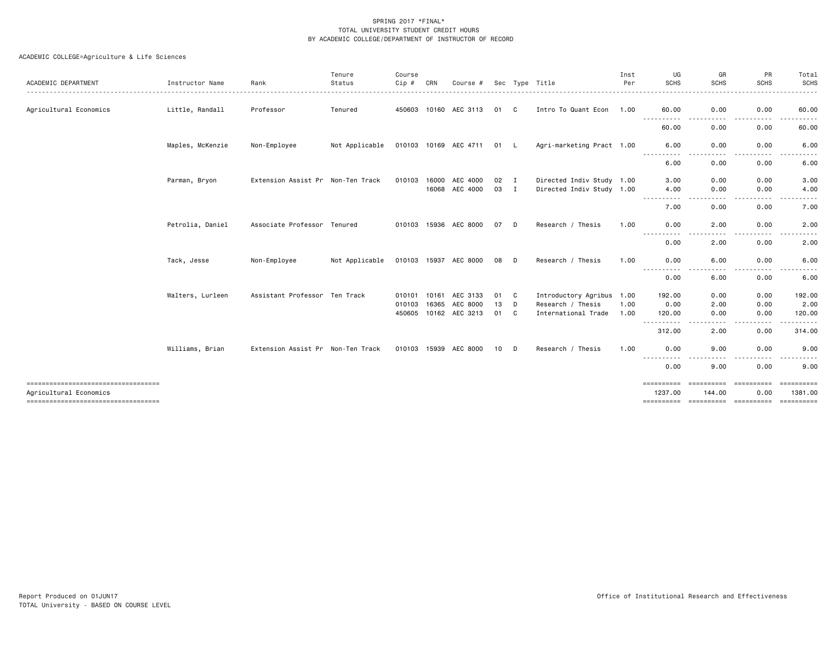| ACADEMIC DEPARTMENT                                           | Instructor Name  | Rank                              | Tenure<br>Status | Course<br>Cip # | CRN   | Course #                          |          |              | Sec Type Title                           | Inst<br>Per  | UG<br><b>SCHS</b>     | GR<br><b>SCHS</b>                                                                                                                 | PR<br><b>SCHS</b>    | Total<br>SCHS               |
|---------------------------------------------------------------|------------------|-----------------------------------|------------------|-----------------|-------|-----------------------------------|----------|--------------|------------------------------------------|--------------|-----------------------|-----------------------------------------------------------------------------------------------------------------------------------|----------------------|-----------------------------|
| Agricultural Economics                                        | Little, Randall  | Professor                         | Tenured          |                 |       | 450603 10160 AEC 3113             | 01       | C            | Intro To Quant Econ 1.00                 |              | 60.00                 | 0.00<br>$- - -$<br>$\frac{1}{2}$                                                                                                  | 0.00<br>$- - -$<br>. | 60.00<br>.                  |
|                                                               |                  |                                   |                  |                 |       |                                   |          |              |                                          |              | -----------<br>60.00  | 0.00                                                                                                                              | 0.00                 | 60.00                       |
|                                                               | Maples, McKenzie | Non-Employee                      | Not Applicable   |                 |       | 010103 10169 AEC 4711             | 01 L     |              | Agri-marketing Pract 1.00                |              | 6.00                  | 0.00                                                                                                                              | 0.00                 | 6.00                        |
|                                                               |                  |                                   |                  |                 |       |                                   |          |              |                                          |              | .<br>6.00             | $\frac{1}{2}$<br>0.00                                                                                                             | .<br>0.00            | $\frac{1}{2}$<br>6.00       |
|                                                               | Parman, Bryon    | Extension Assist Pr Non-Ten Track |                  | 010103 16000    |       | AEC 4000                          | 02       | $\mathbf{I}$ | Directed Indiv Study 1.00                |              | 3.00                  | 0.00                                                                                                                              | 0.00                 | 3.00                        |
|                                                               |                  |                                   |                  |                 |       | 16068 AEC 4000                    | 03       | $\mathbf{I}$ | Directed Indiv Study 1.00                |              | 4.00<br>.             | 0.00<br>$\cdots$                                                                                                                  | 0.00<br>.            | 4.00<br>.                   |
|                                                               |                  |                                   |                  |                 |       |                                   |          |              |                                          |              | 7.00                  | 0.00                                                                                                                              | 0.00                 | 7.00                        |
|                                                               | Petrolia, Daniel | Associate Professor Tenured       |                  |                 |       | 010103 15936 AEC 8000             | 07       | D            | Research / Thesis                        | 1.00         | 0.00                  | 2.00                                                                                                                              | 0.00                 | 2.00                        |
|                                                               |                  |                                   |                  |                 |       |                                   |          |              |                                          |              | 0.00                  | 2.00                                                                                                                              | 0.00                 | 2.00                        |
|                                                               | Tack, Jesse      | Non-Employee                      | Not Applicable   |                 |       | 010103 15937 AEC 8000             | 08       | D            | Research / Thesis                        | 1.00         | 0.00<br>----------    | 6.00<br>$\frac{1}{2} \left( \frac{1}{2} \right) \left( \frac{1}{2} \right) \left( \frac{1}{2} \right) \left( \frac{1}{2} \right)$ | 0.00<br>.            | 6.00                        |
|                                                               |                  |                                   |                  |                 |       |                                   |          |              |                                          |              | 0.00                  | 6.00                                                                                                                              | 0.00                 | 6.00                        |
|                                                               | Walters, Lurleen | Assistant Professor Ten Track     |                  |                 |       | 010101 10161 AEC 3133             | 01       | C            | Introductory Agribus 1.00                |              | 192.00                | 0.00                                                                                                                              | 0.00                 | 192.00                      |
|                                                               |                  |                                   |                  | 010103          | 16365 | AEC 8000<br>450605 10162 AEC 3213 | 13<br>01 | D<br>C       | Research / Thesis<br>International Trade | 1.00<br>1.00 | 0.00<br>120.00        | 2.00<br>0.00                                                                                                                      | 0.00<br>0.00         | 2.00<br>120.00              |
|                                                               |                  |                                   |                  |                 |       |                                   |          |              |                                          |              | . <b>.</b>            | .                                                                                                                                 | .                    |                             |
|                                                               |                  |                                   |                  |                 |       |                                   |          |              |                                          |              | 312.00                | 2.00                                                                                                                              | 0.00                 | 314.00                      |
|                                                               | Williams, Brian  | Extension Assist Pr Non-Ten Track |                  |                 |       | 010103 15939 AEC 8000             | 10       | D            | Research / Thesis                        | 1.00         | 0.00<br>----          | 9.00<br>----                                                                                                                      | 0.00<br>-----        | 9.00                        |
|                                                               |                  |                                   |                  |                 |       |                                   |          |              |                                          |              | 0.00                  | 9.00                                                                                                                              | 0.00                 | 9.00                        |
| ===================================<br>Agricultural Economics |                  |                                   |                  |                 |       |                                   |          |              |                                          |              | ==========<br>1237.00 | <b>CODDODODO</b><br>144.00                                                                                                        | 0.00                 | <b>SEREESEES</b><br>1381.00 |
| ====================================                          |                  |                                   |                  |                 |       |                                   |          |              |                                          |              |                       |                                                                                                                                   |                      |                             |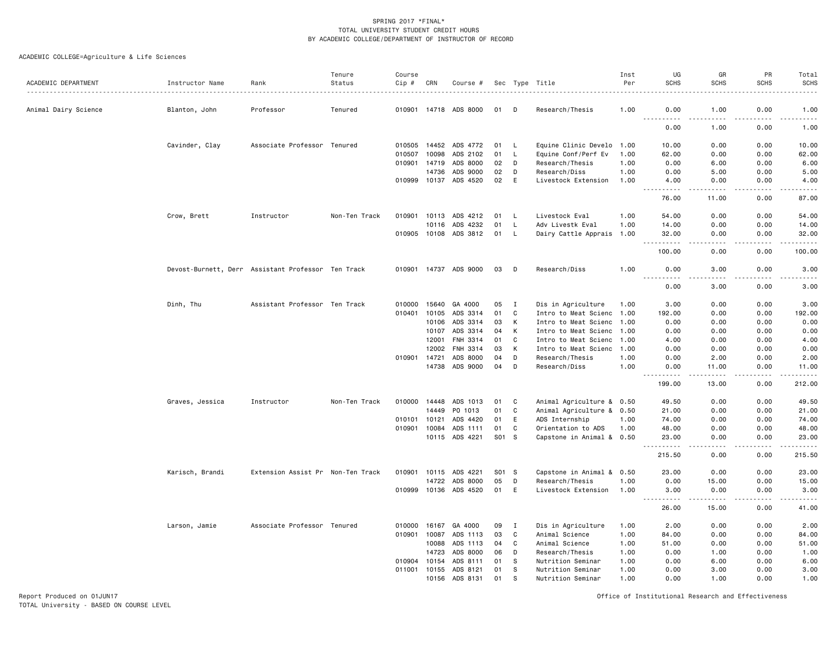# ACADEMIC COLLEGE=Agriculture & Life Sciences

|                      |                                                    |                                   | Tenure        | Course       |       |                       |       |          |                           | Inst | UG                | GR                                          | PR                | Total                                |
|----------------------|----------------------------------------------------|-----------------------------------|---------------|--------------|-------|-----------------------|-------|----------|---------------------------|------|-------------------|---------------------------------------------|-------------------|--------------------------------------|
| ACADEMIC DEPARTMENT  | Instructor Name                                    | Rank                              | Status        | Cip #        | CRN   | Course #              |       |          | Sec Type Title            | Per  | <b>SCHS</b>       | <b>SCHS</b>                                 | <b>SCHS</b>       | <b>SCHS</b>                          |
| Animal Dairy Science | Blanton, John                                      | Professor                         | Tenured       |              |       | 010901 14718 ADS 8000 | 01    | D        | Research/Thesis           | 1.00 | 0.00              | 1.00                                        | 0.00              | 1.00                                 |
|                      |                                                    |                                   |               |              |       |                       |       |          |                           |      | <u>.</u><br>0.00  | .<br>1.00                                   | 0.00              | .<br>1.00                            |
|                      | Cavinder, Clay                                     | Associate Professor Tenured       |               | 010505       | 14452 | ADS 4772              | 01    | L        | Equine Clinic Develo 1.00 |      | 10.00             | 0.00                                        | 0.00              | 10.00                                |
|                      |                                                    |                                   |               | 010507       | 10098 | ADS 2102              | 01    | L.       | Equine Conf/Perf Ev       | 1.00 | 62.00             | 0.00                                        | 0.00              | 62.00                                |
|                      |                                                    |                                   |               | 010901       | 14719 | ADS 8000              | 02    | D        | Research/Thesis           | 1.00 | 0.00              | 6.00                                        | 0.00              | 6.00                                 |
|                      |                                                    |                                   |               |              | 14736 | ADS 9000              | 02    | D        | Research/Diss             | 1.00 | 0.00              | 5.00                                        | 0.00              | 5.00                                 |
|                      |                                                    |                                   |               | 010999 10137 |       | ADS 4520              | 02    | E        | Livestock Extension       | 1.00 | 4.00<br>$- - - -$ | 0.00<br>د د د د                             | 0.00<br>بالمستعاد | 4.00<br>$\frac{1}{2}$                |
|                      |                                                    |                                   |               |              |       |                       |       |          |                           |      | 76.00             | 11.00                                       | 0.00              | 87.00                                |
|                      | Crow, Brett                                        | Instructor                        | Non-Ten Track |              |       | 010901 10113 ADS 4212 | 01    | - L      | Livestock Eval            | 1.00 | 54.00             | 0.00                                        | 0.00              | 54.00                                |
|                      |                                                    |                                   |               |              | 10116 | ADS 4232              | 01    | L,       | Adv Livestk Eval          | 1.00 | 14.00             | 0.00                                        | 0.00              | 14.00                                |
|                      |                                                    |                                   |               | 010905       | 10108 | ADS 3812              | 01    | <b>L</b> | Dairy Cattle Apprais 1.00 |      | 32.00             | 0.00                                        | 0.00              | 32.00<br>.                           |
|                      |                                                    |                                   |               |              |       |                       |       |          |                           |      | 100.00            | 0.00                                        | 0.00              | 100.00                               |
|                      | Devost-Burnett, Derr Assistant Professor Ten Track |                                   |               |              |       | 010901 14737 ADS 9000 | 03    | D        | Research/Diss             | 1.00 | 0.00              | 3.00                                        | 0.00              | 3.00                                 |
|                      |                                                    |                                   |               |              |       |                       |       |          |                           |      | .<br>0.00         | $\frac{1}{2}$<br>3.00                       | 0.00              | -----<br>3.00                        |
|                      | Dinh, Thu                                          | Assistant Professor Ten Track     |               | 010000       | 15640 | GA 4000               | 05    | I        | Dis in Agriculture        | 1.00 | 3.00              | 0.00                                        | 0.00              | 3.00                                 |
|                      |                                                    |                                   |               | 010401       | 10105 | ADS 3314              | 01    | C        | Intro to Meat Scienc 1.00 |      | 192.00            | 0.00                                        | 0.00              | 192.00                               |
|                      |                                                    |                                   |               |              | 10106 | ADS 3314              | 03    | K        | Intro to Meat Scienc 1.00 |      | 0.00              | 0.00                                        | 0.00              | 0.00                                 |
|                      |                                                    |                                   |               |              | 10107 | ADS 3314              | 04    | K        | Intro to Meat Scienc 1.00 |      | 0.00              | 0.00                                        | 0.00              | 0.00                                 |
|                      |                                                    |                                   |               |              | 12001 | FNH 3314              | 01    | C        | Intro to Meat Scienc 1.00 |      | 4.00              | 0.00                                        | 0.00              | 4.00                                 |
|                      |                                                    |                                   |               |              | 12002 | FNH 3314              | 03    | K        | Intro to Meat Scienc      | 1.00 | 0.00              | 0.00                                        | 0.00              | 0.00                                 |
|                      |                                                    |                                   |               | 010901       | 14721 | ADS 8000              | 04    | D        | Research/Thesis           | 1.00 | 0.00              | 2.00                                        | 0.00              | 2.00                                 |
|                      |                                                    |                                   |               |              | 14738 | ADS 9000              | 04    | D        | Research/Diss             | 1.00 | 0.00              | 11.00                                       | 0.00              | 11.00<br>$\sim$ $\sim$ $\sim$ $\sim$ |
|                      |                                                    |                                   |               |              |       |                       |       |          |                           |      | 199.00            | 13.00                                       | 0.00              | 212.00                               |
|                      | Graves, Jessica                                    | Instructor                        | Non-Ten Track | 010000 14448 |       | ADS 1013              | 01    | C        | Animal Agriculture & 0.50 |      | 49.50             | 0.00                                        | 0.00              | 49.50                                |
|                      |                                                    |                                   |               |              | 14449 | PO 1013               | 01    | C        | Animal Agriculture & 0.50 |      | 21.00             | 0.00                                        | 0.00              | 21.00                                |
|                      |                                                    |                                   |               | 010101       | 10121 | ADS 4420              | 01    | E        | ADS Internship            | 1.00 | 74.00             | 0.00                                        | 0.00              | 74.00                                |
|                      |                                                    |                                   |               | 010901       | 10084 | ADS 1111              | 01    | C        | Orientation to ADS        | 1.00 | 48.00             | 0.00                                        | 0.00              | 48.00                                |
|                      |                                                    |                                   |               |              |       | 10115 ADS 4221        | S01 S |          | Capstone in Animal & 0.50 |      | 23.00             | 0.00<br>$\omega$ $\omega$ $\omega$ $\omega$ | 0.00<br>.         | 23.00<br>.                           |
|                      |                                                    |                                   |               |              |       |                       |       |          |                           |      | 215.50            | 0.00                                        | 0.00              | 215.50                               |
|                      | Karisch, Brandi                                    | Extension Assist Pr Non-Ten Track |               | 010901       | 10115 | ADS 4221              | S01 S |          | Capstone in Animal & 0.50 |      | 23.00             | 0.00                                        | 0.00              | 23.00                                |
|                      |                                                    |                                   |               |              | 14722 | ADS 8000              | 05    | D        | Research/Thesis           | 1.00 | 0.00              | 15.00                                       | 0.00              | 15.00                                |
|                      |                                                    |                                   |               |              |       | 010999 10136 ADS 4520 | 01    | E        | Livestock Extension       | 1.00 | 3.00<br>-----     | 0.00<br>-----                               | 0.00<br>.         | 3.00<br>.                            |
|                      |                                                    |                                   |               |              |       |                       |       |          |                           |      | 26.00             | 15.00                                       | 0.00              | 41.00                                |
|                      | Larson, Jamie                                      | Associate Professor Tenured       |               | 010000       | 16167 | GA 4000               | 09    | I        | Dis in Agriculture        | 1.00 | 2.00              | 0.00                                        | 0.00              | 2.00                                 |
|                      |                                                    |                                   |               | 010901       | 10087 | ADS 1113              | 03    | C        | Animal Science            | 1.00 | 84.00             | 0.00                                        | 0.00              | 84.00                                |
|                      |                                                    |                                   |               |              | 10088 | ADS 1113              | 04    | C        | Animal Science            | 1.00 | 51.00             | 0.00                                        | 0.00              | 51.00                                |
|                      |                                                    |                                   |               |              | 14723 | ADS 8000              | 06    | D        | Research/Thesis           | 1.00 | 0.00              | 1.00                                        | 0.00              | 1.00                                 |
|                      |                                                    |                                   |               | 010904       | 10154 | ADS 8111              | 01    | S        | Nutrition Seminar         | 1.00 | 0.00              | 6.00                                        | 0.00              | 6.00                                 |
|                      |                                                    |                                   |               | 011001       | 10155 | ADS 8121              | 01    | S        | Nutrition Seminar         | 1.00 | 0.00              | 3.00                                        | 0.00              | 3.00                                 |
|                      |                                                    |                                   |               |              | 10156 | ADS 8131              | 01    | s        | Nutrition Seminar         | 1.00 | 0.00              | 1.00                                        | 0.00              | 1.00                                 |

Report Produced on 01JUN17 Office of Institutional Research and Effectiveness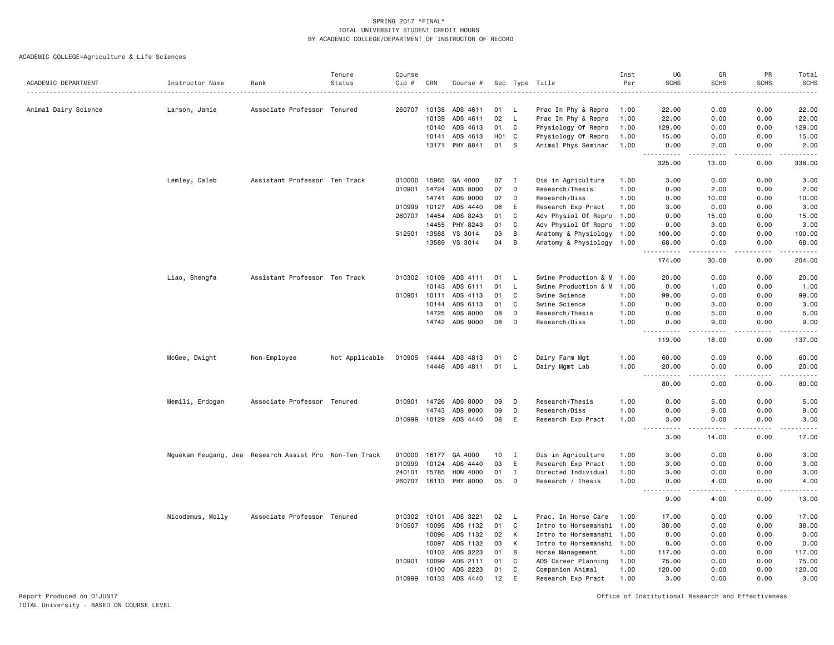ACADEMIC COLLEGE=Agriculture & Life Sciences

|                      |                                                        |                               | Tenure         | Course |                |                       |                  |              |                                                        | Inst | UG                             | GR                                                                                                                                                   | PR           | Total                                                                                                       |
|----------------------|--------------------------------------------------------|-------------------------------|----------------|--------|----------------|-----------------------|------------------|--------------|--------------------------------------------------------|------|--------------------------------|------------------------------------------------------------------------------------------------------------------------------------------------------|--------------|-------------------------------------------------------------------------------------------------------------|
| ACADEMIC DEPARTMENT  | Instructor Name                                        | Rank                          | Status         | Cip #  | CRN            | Course #              |                  |              | Sec Type Title                                         | Per  | <b>SCHS</b>                    | <b>SCHS</b>                                                                                                                                          | <b>SCHS</b>  | SCHS<br>.                                                                                                   |
| Animal Dairy Science | Larson, Jamie                                          | Associate Professor Tenured   |                | 260707 | 10138          | ADS 4611              | 01               | - L          | Prac In Phy & Repro                                    | 1.00 | 22.00                          | 0.00                                                                                                                                                 | 0.00         | 22.00                                                                                                       |
|                      |                                                        |                               |                |        | 10139          | ADS 4611              | 02               | L.           | Prac In Phy & Repro                                    | 1.00 | 22.00                          | 0.00                                                                                                                                                 | 0.00         | 22.00                                                                                                       |
|                      |                                                        |                               |                |        | 10140          | ADS 4613              | 01               | C            | Physiology Of Repro                                    | 1.00 | 129.00                         | 0.00                                                                                                                                                 | 0.00         | 129.00                                                                                                      |
|                      |                                                        |                               |                |        | 10141          | ADS 4613              | H <sub>0</sub> 1 | C            | Physiology Of Repro                                    | 1.00 | 15.00                          | 0.00                                                                                                                                                 | 0.00         | 15.00                                                                                                       |
|                      |                                                        |                               |                |        |                | 13171 PHY 8841        | 01               | - S          | Animal Phys Seminar                                    | 1.00 | 0.00                           | 2.00                                                                                                                                                 | 0.00         | 2.00                                                                                                        |
|                      |                                                        |                               |                |        |                |                       |                  |              |                                                        |      | .<br>325.00                    | .<br>13.00                                                                                                                                           | .<br>0.00    | 338.00                                                                                                      |
|                      | Lemley, Caleb                                          | Assistant Professor Ten Track |                | 010000 | 15965          | GA 4000               | 07               | $\mathbf{I}$ | Dis in Agriculture                                     | 1.00 | 3.00                           | 0.00                                                                                                                                                 | 0.00         | 3.00                                                                                                        |
|                      |                                                        |                               |                |        | 010901 14724   | ADS 8000              | 07               | D            | Research/Thesis                                        | 1.00 | 0.00                           | 2.00                                                                                                                                                 | 0.00         | 2.00                                                                                                        |
|                      |                                                        |                               |                |        | 14741          | ADS 9000              | 07               | D            | Research/Diss                                          | 1.00 | 0.00                           | 10.00                                                                                                                                                | 0.00         | 10.00                                                                                                       |
|                      |                                                        |                               |                | 010999 | 10127          | ADS 4440              | 06               | E            | Research Exp Pract                                     | 1.00 | 3.00                           | 0.00                                                                                                                                                 | 0.00         | 3.00                                                                                                        |
|                      |                                                        |                               |                | 260707 | 14454          | ADS 8243              | 01               | C            |                                                        |      | 0.00                           | 15.00                                                                                                                                                | 0.00         |                                                                                                             |
|                      |                                                        |                               |                |        |                |                       |                  |              | Adv Physiol Of Repro 1.00                              |      |                                |                                                                                                                                                      |              | 15.00                                                                                                       |
|                      |                                                        |                               |                |        | 14455          | PHY 8243              | 01               | C            | Adv Physiol Of Repro 1.00                              |      | 0.00                           | 3.00                                                                                                                                                 | 0.00         | 3.00                                                                                                        |
|                      |                                                        |                               |                | 512501 | 13588<br>13589 | VS 3014<br>VS 3014    | 03<br>04         | B<br>B       | Anatomy & Physiology 1.00<br>Anatomy & Physiology 1.00 |      | 100.00<br>68.00                | 0.00<br>0.00                                                                                                                                         | 0.00<br>0.00 | 100.00<br>68.00                                                                                             |
|                      |                                                        |                               |                |        |                |                       |                  |              |                                                        |      |                                | $\frac{1}{2} \left( \frac{1}{2} \right) \left( \frac{1}{2} \right) \left( \frac{1}{2} \right) \left( \frac{1}{2} \right) \left( \frac{1}{2} \right)$ | .            | $\begin{array}{cccccccccc} \bullet & \bullet & \bullet & \bullet & \bullet & \bullet & \bullet \end{array}$ |
|                      |                                                        |                               |                |        |                |                       |                  |              |                                                        |      | 174.00                         | 30.00                                                                                                                                                | 0.00         | 204.00                                                                                                      |
|                      | Liao, Shengfa                                          | Assistant Professor Ten Track |                |        | 010302 10109   | ADS 4111              | 01               | L.           | Swine Production & M                                   | 1.00 | 20.00                          | 0.00                                                                                                                                                 | 0.00         | 20.00                                                                                                       |
|                      |                                                        |                               |                |        | 10143          | ADS 6111              | 01               | L.           | Swine Production & M                                   | 1.00 | 0.00                           | 1.00                                                                                                                                                 | 0.00         | 1.00                                                                                                        |
|                      |                                                        |                               |                | 010901 | 10111          | ADS 4113              | 01               | C            | Swine Science                                          | 1.00 | 99.00                          | 0.00                                                                                                                                                 | 0.00         | 99.00                                                                                                       |
|                      |                                                        |                               |                |        | 10144          | ADS 6113              | 01               | C            | Swine Science                                          | 1.00 | 0.00                           | 3.00                                                                                                                                                 | 0.00         | 3.00                                                                                                        |
|                      |                                                        |                               |                |        | 14725          | ADS 8000              | 08               | D            | Research/Thesis                                        | 1.00 | 0.00                           | 5.00                                                                                                                                                 | 0.00         | 5.00                                                                                                        |
|                      |                                                        |                               |                |        | 14742          | ADS 9000              | 08               | D            | Research/Diss                                          | 1.00 | 0.00                           | 9.00                                                                                                                                                 | 0.00         | 9.00                                                                                                        |
|                      |                                                        |                               |                |        |                |                       |                  |              |                                                        |      | $- - - -$<br>119.00            | $   -$<br>18.00                                                                                                                                      | .<br>0.00    | .<br>137.00                                                                                                 |
|                      | McGee, Dwight                                          | Non-Employee                  | Not Applicable | 010905 | 14444          | ADS 4813              | 01               | C            | Dairy Farm Mgt                                         | 1.00 | 60.00                          | 0.00                                                                                                                                                 | 0.00         | 60.00                                                                                                       |
|                      |                                                        |                               |                |        |                | 14446 ADS 4811        | 01               | $\mathsf{L}$ | Dairy Mgmt Lab                                         | 1.00 | 20.00                          | 0.00                                                                                                                                                 | 0.00         | 20.00                                                                                                       |
|                      |                                                        |                               |                |        |                |                       |                  |              |                                                        |      | $\frac{1}{2}$<br>$\sim$ $\sim$ | .                                                                                                                                                    | .            | .                                                                                                           |
|                      |                                                        |                               |                |        |                |                       |                  |              |                                                        |      | 80.00                          | 0.00                                                                                                                                                 | 0.00         | 80.00                                                                                                       |
|                      | Memili, Erdogan                                        | Associate Professor Tenured   |                | 010901 | 14726          | ADS 8000              | 09               | D            | Research/Thesis                                        | 1.00 | 0.00                           | 5.00                                                                                                                                                 | 0.00         | 5.00                                                                                                        |
|                      |                                                        |                               |                |        | 14743          | ADS 9000              | 09               | D            | Research/Diss                                          | 1.00 | 0.00                           | 9.00                                                                                                                                                 | 0.00         | 9.00                                                                                                        |
|                      |                                                        |                               |                |        |                | 010999 10129 ADS 4440 | 08               | E            | Research Exp Pract                                     | 1.00 | 3.00                           | 0.00                                                                                                                                                 | 0.00         | 3.00                                                                                                        |
|                      |                                                        |                               |                |        |                |                       |                  |              |                                                        |      | 3.00                           | 14.00                                                                                                                                                | 0.00         | 17.00                                                                                                       |
|                      | Nguekam Feugang, Jea Research Assist Pro Non-Ten Track |                               |                | 010000 | 16177          | GA 4000               | 10               | $\mathbf{I}$ | Dis in Agriculture                                     | 1.00 | 3.00                           | 0.00                                                                                                                                                 | 0.00         | 3.00                                                                                                        |
|                      |                                                        |                               |                | 010999 | 10124          | ADS 4440              | 03               | E            | Research Exp Pract                                     | 1.00 | 3.00                           | 0.00                                                                                                                                                 | 0.00         | 3.00                                                                                                        |
|                      |                                                        |                               |                | 240101 | 15785          | HON 4000              | 01               | Ι.           | Directed Individual                                    | 1.00 | 3.00                           | 0.00                                                                                                                                                 | 0.00         | 3.00                                                                                                        |
|                      |                                                        |                               |                |        |                | PHY 8000              | 05               | D            |                                                        |      |                                |                                                                                                                                                      |              |                                                                                                             |
|                      |                                                        |                               |                | 260707 | 16113          |                       |                  |              | Research / Thesis                                      | 1.00 | 0.00                           | 4.00                                                                                                                                                 | 0.00         | 4.00                                                                                                        |
|                      |                                                        |                               |                |        |                |                       |                  |              |                                                        |      | 9.00                           | 4.00                                                                                                                                                 | 0.00         | 13.00                                                                                                       |
|                      | Nicodemus, Molly                                       | Associate Professor Tenured   |                | 010302 | 10101          | ADS 3221              | 02               | L,           | Prac. In Horse Care                                    | 1.00 | 17.00                          | 0.00                                                                                                                                                 | 0.00         | 17.00                                                                                                       |
|                      |                                                        |                               |                | 010507 | 10095          | ADS 1132              | 01               | C            | Intro to Horsemanshi 1.00                              |      | 38.00                          | 0.00                                                                                                                                                 | 0.00         | 38.00                                                                                                       |
|                      |                                                        |                               |                |        | 10096          | ADS 1132              | 02               | K            | Intro to Horsemanshi 1.00                              |      | 0.00                           | 0.00                                                                                                                                                 | 0.00         | 0.00                                                                                                        |
|                      |                                                        |                               |                |        | 10097          | ADS 1132              | 03               | к            | Intro to Horsemanshi 1.00                              |      | 0.00                           | 0.00                                                                                                                                                 | 0.00         | 0.00                                                                                                        |
|                      |                                                        |                               |                |        | 10102          | ADS 3223              | 01               | B            | Horse Management                                       | 1.00 | 117.00                         | 0.00                                                                                                                                                 | 0.00         | 117.00                                                                                                      |
|                      |                                                        |                               |                | 010901 | 10099          | ADS 2111              | 01               | C            | ADS Career Planning                                    | 1.00 | 75.00                          | 0.00                                                                                                                                                 | 0.00         | 75.00                                                                                                       |
|                      |                                                        |                               |                |        | 10100          | ADS 2223              | 01               | C            | Companion Animal                                       | 1.00 | 120.00                         | 0.00                                                                                                                                                 | 0.00         | 120.00                                                                                                      |
|                      |                                                        |                               |                | 010999 | 10133          | ADS 4440              | 12               | E            | Research Exp Pract                                     | 1.00 | 3.00                           | 0.00                                                                                                                                                 | 0.00         | 3.00                                                                                                        |
|                      |                                                        |                               |                |        |                |                       |                  |              |                                                        |      |                                |                                                                                                                                                      |              |                                                                                                             |

Report Produced on 01JUN17 Office of Institutional Research and Effectiveness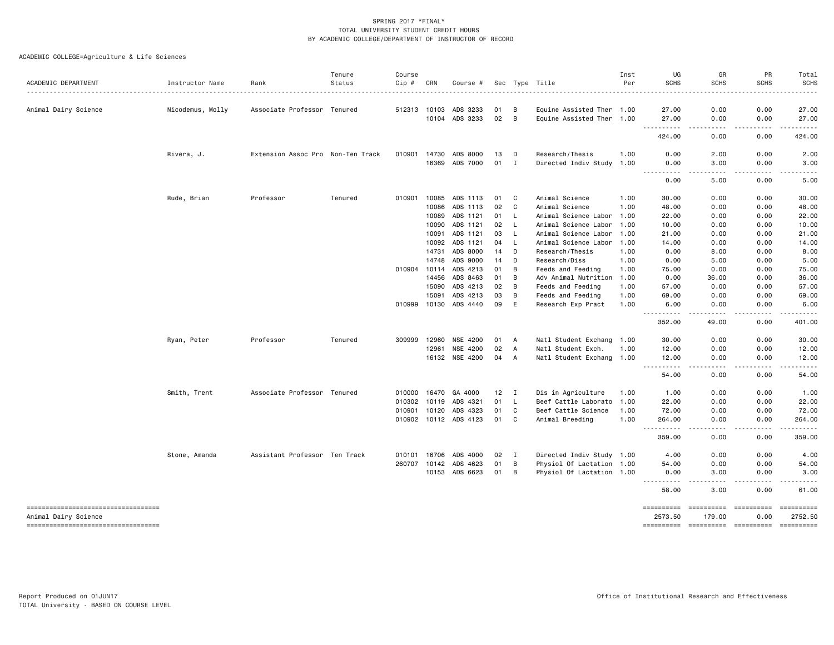| ACADEMIC DEPARTMENT                                         | Instructor Name  | Rank                              | Tenure<br>Status | Course<br>Cip # | CRN          | Course #              |                 |                | Sec Type Title            | Inst<br>Per | UG<br><b>SCHS</b>                    | GR<br><b>SCHS</b>    | PR<br><b>SCHS</b>                                                                                                                                            | Total<br><b>SCHS</b>                                                                                                                                                                    |
|-------------------------------------------------------------|------------------|-----------------------------------|------------------|-----------------|--------------|-----------------------|-----------------|----------------|---------------------------|-------------|--------------------------------------|----------------------|--------------------------------------------------------------------------------------------------------------------------------------------------------------|-----------------------------------------------------------------------------------------------------------------------------------------------------------------------------------------|
|                                                             |                  |                                   |                  |                 |              |                       |                 |                |                           |             |                                      |                      |                                                                                                                                                              | .                                                                                                                                                                                       |
| Animal Dairy Science                                        | Nicodemus, Molly | Associate Professor Tenured       |                  |                 | 512313 10103 | ADS 3233              | 01              | B              | Equine Assisted Ther 1.00 |             | 27.00                                | 0.00                 | 0.00                                                                                                                                                         | 27.00                                                                                                                                                                                   |
|                                                             |                  |                                   |                  |                 |              | 10104 ADS 3233        | 02              | B              | Equine Assisted Ther 1.00 |             | 27.00<br><u> - - - - - - - - - -</u> | 0.00<br>.            | 0.00<br>$\frac{1}{2} \left( \frac{1}{2} \right) \left( \frac{1}{2} \right) \left( \frac{1}{2} \right) \left( \frac{1}{2} \right) \left( \frac{1}{2} \right)$ | 27.00<br>.                                                                                                                                                                              |
|                                                             |                  |                                   |                  |                 |              |                       |                 |                |                           |             | 424.00                               | 0.00                 | 0.00                                                                                                                                                         | 424.00                                                                                                                                                                                  |
|                                                             | Rivera, J.       | Extension Assoc Pro Non-Ten Track |                  |                 |              | 010901 14730 ADS 8000 | 13              | D              | Research/Thesis           | 1.00        | 0.00                                 | 2.00                 | 0.00                                                                                                                                                         | 2.00                                                                                                                                                                                    |
|                                                             |                  |                                   |                  |                 |              | 16369 ADS 7000        | 01              | $\mathbf{I}$   | Directed Indiv Study 1.00 |             | 0.00<br><u>.</u>                     | 3.00<br>.            | 0.00<br>.                                                                                                                                                    | 3.00<br>$- - - - -$                                                                                                                                                                     |
|                                                             |                  |                                   |                  |                 |              |                       |                 |                |                           |             | 0.00                                 | 5.00                 | 0.00                                                                                                                                                         | 5.00                                                                                                                                                                                    |
|                                                             | Rude, Brian      | Professor                         | Tenured          | 010901          |              | 10085 ADS 1113        | 01              | C              | Animal Science            | 1.00        | 30.00                                | 0.00                 | 0.00                                                                                                                                                         | 30.00                                                                                                                                                                                   |
|                                                             |                  |                                   |                  |                 | 10086        | ADS 1113              | 02              | C              | Animal Science            | 1.00        | 48.00                                | 0.00                 | 0.00                                                                                                                                                         | 48.00                                                                                                                                                                                   |
|                                                             |                  |                                   |                  |                 | 10089        | ADS 1121              | 01              | L.             | Animal Science Labor 1.00 |             | 22.00                                | 0.00                 | 0.00                                                                                                                                                         | 22.00                                                                                                                                                                                   |
|                                                             |                  |                                   |                  |                 |              | 10090 ADS 1121        | 02              | L              | Animal Science Labor 1.00 |             | 10.00                                | 0.00                 | 0.00                                                                                                                                                         | 10.00                                                                                                                                                                                   |
|                                                             |                  |                                   |                  |                 | 10091        | ADS 1121              | 03              | L              | Animal Science Labor 1.00 |             | 21.00                                | 0.00                 | 0.00                                                                                                                                                         | 21.00                                                                                                                                                                                   |
|                                                             |                  |                                   |                  |                 |              | 10092 ADS 1121        | 04              | L              | Animal Science Labor      | 1.00        | 14.00                                | 0.00                 | 0.00                                                                                                                                                         | 14.00                                                                                                                                                                                   |
|                                                             |                  |                                   |                  |                 | 14731        | ADS 8000              | 14              | D              | Research/Thesis           | 1.00        | 0.00                                 | 8.00                 | 0.00                                                                                                                                                         | 8.00                                                                                                                                                                                    |
|                                                             |                  |                                   |                  |                 | 14748        | ADS 9000              | 14              | D              | Research/Diss             | 1.00        | 0.00                                 | 5.00                 | 0.00                                                                                                                                                         | 5.00                                                                                                                                                                                    |
|                                                             |                  |                                   |                  | 010904          | 10114        | ADS 4213              | 01              | B              | Feeds and Feeding         | 1.00        | 75.00                                | 0.00                 | 0.00                                                                                                                                                         | 75.00                                                                                                                                                                                   |
|                                                             |                  |                                   |                  |                 | 14456        | ADS 8463              | 01              | B              | Adv Animal Nutrition 1.00 |             | 0.00                                 | 36.00                | 0.00                                                                                                                                                         | 36.00                                                                                                                                                                                   |
|                                                             |                  |                                   |                  |                 | 15090        | ADS 4213              | 02              | B              | Feeds and Feeding         | 1.00        | 57.00                                | 0.00                 | 0.00                                                                                                                                                         | 57.00                                                                                                                                                                                   |
|                                                             |                  |                                   |                  |                 | 15091        | ADS 4213              | 03              | B              | Feeds and Feeding         | 1.00        | 69.00                                | 0.00                 | 0.00                                                                                                                                                         | 69.00                                                                                                                                                                                   |
|                                                             |                  |                                   |                  |                 |              | 010999 10130 ADS 4440 | 09              | E              | Research Exp Pract        | 1.00        | 6.00<br>.                            | 0.00<br>-----        | 0.00<br>.                                                                                                                                                    | 6.00<br>.                                                                                                                                                                               |
|                                                             |                  |                                   |                  |                 |              |                       |                 |                |                           |             | 352.00                               | 49.00                | 0.00                                                                                                                                                         | 401.00                                                                                                                                                                                  |
|                                                             | Ryan, Peter      | Professor                         | Tenured          | 309999          | 12960        | NSE 4200              | 01              | A              | Natl Student Exchang 1.00 |             | 30.00                                | 0.00                 | 0.00                                                                                                                                                         | 30.00                                                                                                                                                                                   |
|                                                             |                  |                                   |                  |                 | 12961        | NSE 4200              | 02              | $\overline{A}$ | Natl Student Exch.        | 1.00        | 12.00                                | 0.00                 | 0.00                                                                                                                                                         | 12.00                                                                                                                                                                                   |
|                                                             |                  |                                   |                  |                 |              | 16132 NSE 4200        | 04              | $\overline{A}$ | Natl Student Exchang 1.00 |             | 12.00                                | 0.00<br>.            | 0.00                                                                                                                                                         | 12.00<br>.                                                                                                                                                                              |
|                                                             |                  |                                   |                  |                 |              |                       |                 |                |                           |             | ----------<br>54.00                  | 0.00                 | .<br>0.00                                                                                                                                                    | 54.00                                                                                                                                                                                   |
|                                                             | Smith, Trent     | Associate Professor Tenured       |                  |                 | 010000 16470 | GA 4000               | 12 <sub>1</sub> | $\blacksquare$ | Dis in Agriculture        | 1.00        | 1.00                                 | 0.00                 | 0.00                                                                                                                                                         | 1.00                                                                                                                                                                                    |
|                                                             |                  |                                   |                  |                 |              | 010302 10119 ADS 4321 | 01              | L              | Beef Cattle Laborato      | 1.00        | 22.00                                | 0.00                 | 0.00                                                                                                                                                         | 22.00                                                                                                                                                                                   |
|                                                             |                  |                                   |                  |                 | 010901 10120 | ADS 4323              | 01              | C              | Beef Cattle Science       | 1.00        | 72.00                                | 0.00                 | 0.00                                                                                                                                                         | 72.00                                                                                                                                                                                   |
|                                                             |                  |                                   |                  |                 |              | 010902 10112 ADS 4123 | 01              | C              | Animal Breeding           | 1.00        | 264.00<br>.                          | 0.00<br>.            | 0.00<br><u>.</u>                                                                                                                                             | 264.00<br>.                                                                                                                                                                             |
|                                                             |                  |                                   |                  |                 |              |                       |                 |                |                           |             | 359.00                               | 0.00                 | 0.00                                                                                                                                                         | 359.00                                                                                                                                                                                  |
|                                                             | Stone, Amanda    | Assistant Professor Ten Track     |                  |                 |              | 010101 16706 ADS 4000 | 02              | I              | Directed Indiv Study 1.00 |             | 4.00                                 | 0.00                 | 0.00                                                                                                                                                         | 4.00                                                                                                                                                                                    |
|                                                             |                  |                                   |                  |                 |              | 260707 10142 ADS 4623 | 01              | B              | Physiol Of Lactation 1.00 |             | 54.00                                | 0.00                 | 0.00                                                                                                                                                         | 54.00                                                                                                                                                                                   |
|                                                             |                  |                                   |                  |                 |              | 10153 ADS 6623        | 01              | B              | Physiol Of Lactation 1.00 |             | 0.00<br>.                            | 3.00                 | 0.00                                                                                                                                                         | 3,00<br>$\frac{1}{2} \left( \frac{1}{2} \right) \left( \frac{1}{2} \right) \left( \frac{1}{2} \right) \left( \frac{1}{2} \right) \left( \frac{1}{2} \right) \left( \frac{1}{2} \right)$ |
|                                                             |                  |                                   |                  |                 |              |                       |                 |                |                           |             | 58.00                                | 3.00                 | 0.00                                                                                                                                                         | 61.00                                                                                                                                                                                   |
| -----------------------------------<br>Animal Dairy Science |                  |                                   |                  |                 |              |                       |                 |                |                           |             | ==========<br>2573.50                | ==========<br>179.00 | ==========<br>0.00                                                                                                                                           | ==========<br>2752.50                                                                                                                                                                   |
| ----------------------------------                          |                  |                                   |                  |                 |              |                       |                 |                |                           |             |                                      |                      |                                                                                                                                                              |                                                                                                                                                                                         |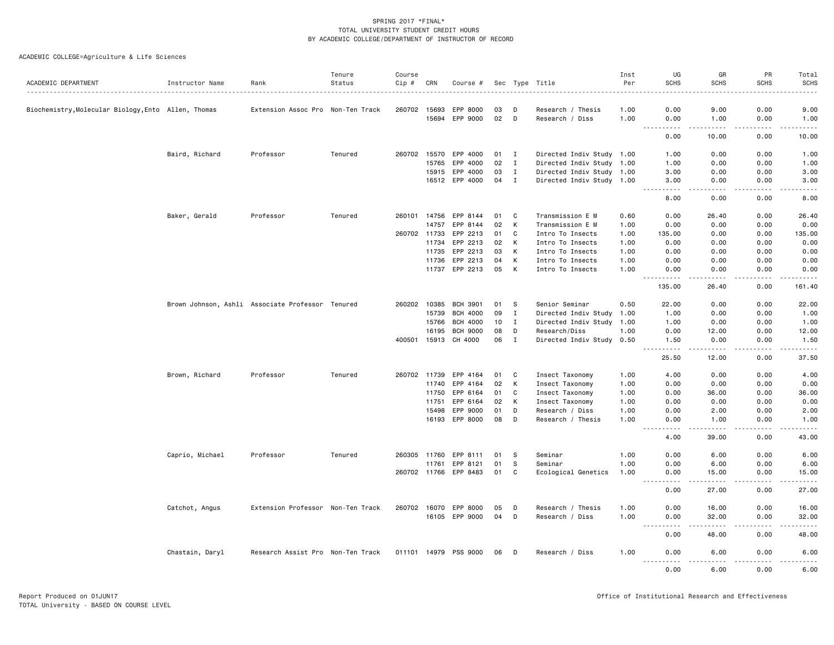| ACADEMIC DEPARTMENT                                 | Instructor Name                                  | Rank                              | Tenure<br>Status | Course<br>Cip # | CRN   | Course #        |    |              | Sec Type Title            | Inst<br>Per | UG<br><b>SCHS</b>                                                                                                                                                              | GR<br><b>SCHS</b>   | PR<br><b>SCHS</b>                                                                                                                                            | Total<br><b>SCHS</b>         |
|-----------------------------------------------------|--------------------------------------------------|-----------------------------------|------------------|-----------------|-------|-----------------|----|--------------|---------------------------|-------------|--------------------------------------------------------------------------------------------------------------------------------------------------------------------------------|---------------------|--------------------------------------------------------------------------------------------------------------------------------------------------------------|------------------------------|
|                                                     |                                                  |                                   |                  |                 |       |                 |    |              |                           |             |                                                                                                                                                                                |                     |                                                                                                                                                              |                              |
| Biochemistry, Molecular Biology, Ento Allen, Thomas |                                                  | Extension Assoc Pro Non-Ten Track |                  | 260702 15693    |       | EPP 8000        | 03 | D            | Research / Thesis         | 1.00        | 0.00                                                                                                                                                                           | 9.00                | 0.00                                                                                                                                                         | 9.00                         |
|                                                     |                                                  |                                   |                  |                 | 15694 | EPP 9000        | 02 | D            | Research / Diss           | 1.00        | 0.00                                                                                                                                                                           | 1.00                | 0.00                                                                                                                                                         | 1.00                         |
|                                                     |                                                  |                                   |                  |                 |       |                 |    |              |                           |             | .<br>0.00                                                                                                                                                                      | .<br>10.00          | .<br>0.00                                                                                                                                                    | .<br>10.00                   |
|                                                     | Baird, Richard                                   | Professor                         | Tenured          | 260702 15570    |       | EPP 4000        | 01 | $\mathbf{I}$ | Directed Indiv Study 1.00 |             | 1.00                                                                                                                                                                           | 0.00                | 0.00                                                                                                                                                         | 1.00                         |
|                                                     |                                                  |                                   |                  |                 | 15765 | EPP 4000        | 02 | $\mathbf{I}$ | Directed Indiv Study 1.00 |             | 1.00                                                                                                                                                                           | 0.00                | 0.00                                                                                                                                                         | 1.00                         |
|                                                     |                                                  |                                   |                  |                 | 15915 | EPP 4000        | 03 | $\mathbf{I}$ | Directed Indiv Study 1.00 |             | 3.00                                                                                                                                                                           | 0.00                | 0.00                                                                                                                                                         | 3.00                         |
|                                                     |                                                  |                                   |                  |                 |       | 16512 EPP 4000  | 04 | $\mathbf{I}$ | Directed Indiv Study 1.00 |             | 3.00                                                                                                                                                                           | 0.00                | 0.00                                                                                                                                                         | 3.00                         |
|                                                     |                                                  |                                   |                  |                 |       |                 |    |              |                           |             | .<br>8.00                                                                                                                                                                      | د د د د<br>0.00     | .<br>0.00                                                                                                                                                    | $\sim$ $\sim$ $\sim$<br>8.00 |
|                                                     |                                                  |                                   |                  |                 |       |                 |    |              |                           |             |                                                                                                                                                                                |                     |                                                                                                                                                              |                              |
|                                                     | Baker, Gerald                                    | Professor                         | Tenured          | 260101          | 14756 | EPP 8144        | 01 | C<br>К       | Transmission E M          | 0.60        | 0.00                                                                                                                                                                           | 26.40               | 0.00                                                                                                                                                         | 26.40                        |
|                                                     |                                                  |                                   |                  |                 | 14757 | EPP 8144        | 02 |              | Transmission E M          | 1.00        | 0.00                                                                                                                                                                           | 0.00                | 0.00                                                                                                                                                         | 0.00                         |
|                                                     |                                                  |                                   |                  | 260702 11733    |       | EPP 2213        | 01 | C            | Intro To Insects          | 1.00        | 135.00                                                                                                                                                                         | 0.00                | 0.00                                                                                                                                                         | 135.00                       |
|                                                     |                                                  |                                   |                  |                 | 11734 | EPP 2213        | 02 | К            | Intro To Insects          | 1.00        | 0.00                                                                                                                                                                           | 0.00                | 0.00                                                                                                                                                         | 0.00                         |
|                                                     |                                                  |                                   |                  |                 | 11735 | EPP 2213        | 03 | К            | Intro To Insects          | 1.00        | 0.00                                                                                                                                                                           | 0.00                | 0.00                                                                                                                                                         | 0.00                         |
|                                                     |                                                  |                                   |                  |                 | 11736 | EPP 2213        | 04 | К            | Intro To Insects          | 1.00        | 0.00                                                                                                                                                                           | 0.00                | 0.00                                                                                                                                                         | 0.00                         |
|                                                     |                                                  |                                   |                  |                 | 11737 | EPP 2213        | 05 | к            | Intro To Insects          | 1.00        | 0.00<br><u>.</u>                                                                                                                                                               | 0.00<br>.           | 0.00<br>.                                                                                                                                                    | 0.00<br>.                    |
|                                                     |                                                  |                                   |                  |                 |       |                 |    |              |                           |             | 135.00                                                                                                                                                                         | 26.40               | 0.00                                                                                                                                                         | 161.40                       |
|                                                     | Brown Johnson, Ashli Associate Professor Tenured |                                   |                  | 260202 10385    |       | <b>BCH 3901</b> | 01 | s            | Senior Seminar            | 0.50        | 22.00                                                                                                                                                                          | 0.00                | 0.00                                                                                                                                                         | 22.00                        |
|                                                     |                                                  |                                   |                  |                 | 15739 | <b>BCH 4000</b> | 09 | I            | Directed Indiv Study      | 1.00        | 1.00                                                                                                                                                                           | 0.00                | 0.00                                                                                                                                                         | 1.00                         |
|                                                     |                                                  |                                   |                  |                 | 15766 | <b>BCH 4000</b> | 10 | $\mathbf I$  | Directed Indiv Study 1.00 |             | 1.00                                                                                                                                                                           | 0.00                | 0.00                                                                                                                                                         | 1.00                         |
|                                                     |                                                  |                                   |                  |                 | 16195 | <b>BCH 9000</b> | 08 | D            | Research/Diss             | 1.00        | 0.00                                                                                                                                                                           | 12.00               | 0.00                                                                                                                                                         | 12.00                        |
|                                                     |                                                  |                                   |                  | 400501          | 15913 | CH 4000         | 06 | $\mathbf I$  | Directed Indiv Study 0.50 |             | 1.50                                                                                                                                                                           | 0.00                | 0.00                                                                                                                                                         | 1.50                         |
|                                                     |                                                  |                                   |                  |                 |       |                 |    |              |                           |             | $\sim$ $\sim$<br>$\frac{1}{2} \left( \frac{1}{2} \right) \left( \frac{1}{2} \right) \left( \frac{1}{2} \right) \left( \frac{1}{2} \right) \left( \frac{1}{2} \right)$<br>25.50 | . <u>.</u><br>12.00 | .<br>0.00                                                                                                                                                    | .<br>37.50                   |
|                                                     | Brown, Richard                                   | Professor                         | Tenured          | 260702 11739    |       | EPP 4164        | 01 | C            | Insect Taxonomy           | 1.00        | 4.00                                                                                                                                                                           | 0.00                | 0.00                                                                                                                                                         | 4.00                         |
|                                                     |                                                  |                                   |                  |                 | 11740 | EPP 4164        | 02 | К            | Insect Taxonomy           | 1.00        | 0.00                                                                                                                                                                           | 0.00                | 0.00                                                                                                                                                         | 0.00                         |
|                                                     |                                                  |                                   |                  |                 | 11750 | EPP 6164        | 01 | C            | Insect Taxonomy           | 1.00        | 0.00                                                                                                                                                                           | 36.00               | 0.00                                                                                                                                                         | 36.00                        |
|                                                     |                                                  |                                   |                  |                 | 11751 | EPP 6164        | 02 | К            | Insect Taxonomy           | 1.00        | 0.00                                                                                                                                                                           | 0.00                | 0.00                                                                                                                                                         | 0.00                         |
|                                                     |                                                  |                                   |                  |                 | 15498 | EPP 9000        | 01 | D            | Research / Diss           | 1.00        | 0.00                                                                                                                                                                           | 2.00                | 0.00                                                                                                                                                         | 2.00                         |
|                                                     |                                                  |                                   |                  |                 | 16193 | EPP 8000        | 08 | D            | Research / Thesis         | 1.00        | 0.00                                                                                                                                                                           | 1.00                | 0.00                                                                                                                                                         | 1.00                         |
|                                                     |                                                  |                                   |                  |                 |       |                 |    |              |                           |             | $\frac{1}{2} \left( \frac{1}{2} \right) \left( \frac{1}{2} \right) \left( \frac{1}{2} \right) \left( \frac{1}{2} \right)$<br>4.00                                              | 39.00               | 0.00                                                                                                                                                         | 43.00                        |
|                                                     |                                                  |                                   |                  |                 |       |                 |    |              |                           |             |                                                                                                                                                                                |                     |                                                                                                                                                              |                              |
|                                                     | Caprio, Michael                                  | Professor                         | Tenured          | 260305 11760    |       | EPP 8111        | 01 | s            | Seminar                   | 1.00        | 0.00                                                                                                                                                                           | 6.00                | 0.00                                                                                                                                                         | 6.00                         |
|                                                     |                                                  |                                   |                  |                 | 11761 | EPP 8121        | 01 | S            | Seminar                   | 1.00        | 0.00                                                                                                                                                                           | 6.00                | 0.00                                                                                                                                                         | 6.00                         |
|                                                     |                                                  |                                   |                  | 260702 11766    |       | EPP 8483        | 01 | C            | Ecological Genetics       | 1.00        | 0.00                                                                                                                                                                           | 15.00               | 0.00                                                                                                                                                         | 15.00                        |
|                                                     |                                                  |                                   |                  |                 |       |                 |    |              |                           |             | 0.00                                                                                                                                                                           | 27.00               | 0.00                                                                                                                                                         | 27.00                        |
|                                                     | Catchot, Angus                                   | Extension Professor Non-Ten Track |                  | 260702 16070    |       | EPP 8000        | 05 | D            | Research / Thesis         | 1.00        | 0.00                                                                                                                                                                           | 16.00               | 0.00                                                                                                                                                         | 16.00                        |
|                                                     |                                                  |                                   |                  |                 |       | 16105 EPP 9000  | 04 | D            | Research / Diss           | 1.00        | 0.00                                                                                                                                                                           | 32.00               | 0.00                                                                                                                                                         | 32.00                        |
|                                                     |                                                  |                                   |                  |                 |       |                 |    |              |                           |             | $\sim$ $\sim$<br>.<br>0.00                                                                                                                                                     | 48.00               | 0.00                                                                                                                                                         | 48.00                        |
|                                                     | Chastain, Daryl                                  | Research Assist Pro Non-Ten Track |                  | 011101 14979    |       | PSS 9000        | 06 | D            | Research / Diss           | 1.00        | 0.00                                                                                                                                                                           | 6.00                | 0.00                                                                                                                                                         | 6.00                         |
|                                                     |                                                  |                                   |                  |                 |       |                 |    |              |                           |             | <u>.</u><br>0.00                                                                                                                                                               | والمحامر<br>6.00    | $\frac{1}{2} \left( \frac{1}{2} \right) \left( \frac{1}{2} \right) \left( \frac{1}{2} \right) \left( \frac{1}{2} \right) \left( \frac{1}{2} \right)$<br>0.00 | .<br>6.00                    |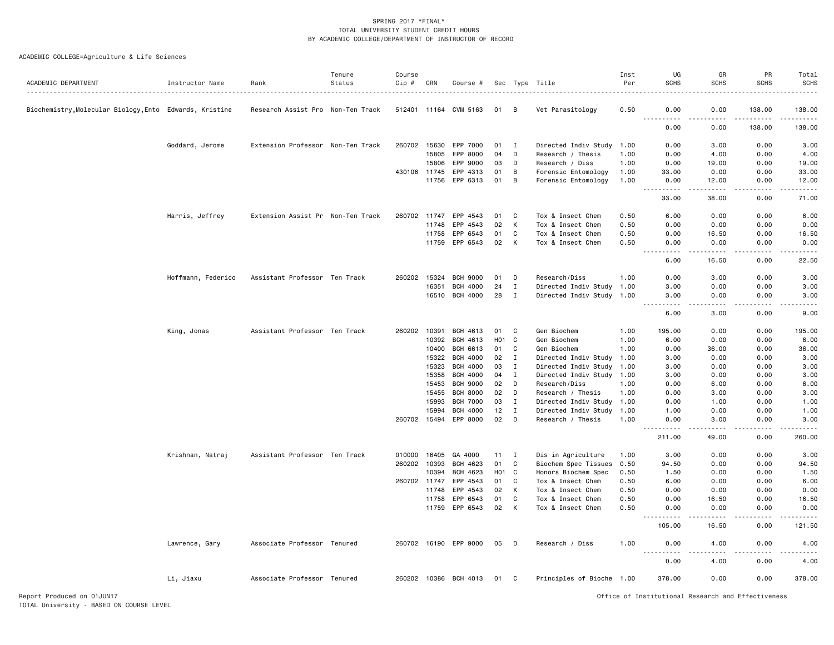| ACADEMIC DEPARTMENT                                     | Instructor Name    | Rank                              | Tenure<br>Status | Course<br>Cip # | CRN   | Course #              |                  |              | Sec Type Title            | Inst<br>Per | UG<br><b>SCHS</b>              | GR<br><b>SCHS</b> | PR<br><b>SCHS</b> | Total<br><b>SCHS</b> |
|---------------------------------------------------------|--------------------|-----------------------------------|------------------|-----------------|-------|-----------------------|------------------|--------------|---------------------------|-------------|--------------------------------|-------------------|-------------------|----------------------|
|                                                         |                    |                                   |                  |                 |       |                       |                  |              |                           |             |                                |                   |                   |                      |
| Biochemistry, Molecular Biology, Ento Edwards, Kristine |                    | Research Assist Pro Non-Ten Track |                  |                 |       | 512401 11164 CVM 5163 | 01               | B            | Vet Parasitology          | 0.50        | 0.00                           | 0.00              | 138.00            | 138.00               |
|                                                         |                    |                                   |                  |                 |       |                       |                  |              |                           |             | 0.00                           | 0.00              | 138.00            | 138.00               |
|                                                         | Goddard, Jerome    | Extension Professor Non-Ten Track |                  | 260702 15630    |       | EPP 7000              | 01               | Ι.           | Directed Indiv Study 1.00 |             | 0.00                           | 3.00              | 0.00              | 3.00                 |
|                                                         |                    |                                   |                  |                 | 15805 | EPP 8000              | 04               | D            | Research / Thesis         | 1.00        | 0.00                           | 4.00              | 0.00              | 4.00                 |
|                                                         |                    |                                   |                  |                 | 15806 | EPP 9000              | 03               | D            | Research / Diss           | 1.00        | 0.00                           | 19.00             | 0.00              | 19.00                |
|                                                         |                    |                                   |                  | 430106 11745    |       | EPP 4313              | 01               | В            | Forensic Entomology       | 1.00        | 33.00                          | 0.00              | 0.00              | 33.00                |
|                                                         |                    |                                   |                  |                 |       | 11756 EPP 6313        | 01               | B            | Forensic Entomology       | 1.00        | 0.00<br>.                      | 12.00<br>.        | 0.00              | 12.00<br>.           |
|                                                         |                    |                                   |                  |                 |       |                       |                  |              |                           |             | 33.00                          | 38.00             | 0.00              | 71.00                |
|                                                         | Harris, Jeffrey    | Extension Assist Pr Non-Ten Track |                  | 260702 11747    |       | EPP 4543              | 01               | C            | Tox & Insect Chem         | 0.50        | 6.00                           | 0.00              | 0.00              | 6.00                 |
|                                                         |                    |                                   |                  |                 | 11748 | EPP 4543              | 02               | K            | Tox & Insect Chem         | 0.50        | 0.00                           | 0.00              | 0.00              | 0.00                 |
|                                                         |                    |                                   |                  |                 | 11758 | EPP 6543              | 01               | C            | Tox & Insect Chem         | 0.50        | 0.00                           | 16.50             | 0.00              | 16.50                |
|                                                         |                    |                                   |                  |                 | 11759 | EPP 6543              | 02               | K            | Tox & Insect Chem         | 0.50        | 0.00<br>$  -$<br>.             | 0.00              | 0.00              | 0.00                 |
|                                                         |                    |                                   |                  |                 |       |                       |                  |              |                           |             | 6.00                           | 16.50             | 0.00              | 22.50                |
|                                                         | Hoffmann, Federico | Assistant Professor Ten Track     |                  | 260202 15324    |       | <b>BCH 9000</b>       | 01               | D            | Research/Diss             | 1.00        | 0.00                           | 3.00              | 0.00              | 3.00                 |
|                                                         |                    |                                   |                  |                 | 16351 | <b>BCH 4000</b>       | 24               | Ι.           | Directed Indiv Study 1.00 |             | 3.00                           | 0.00              | 0.00              | 3.00                 |
|                                                         |                    |                                   |                  |                 |       | 16510 BCH 4000        | 28               | Ι.           | Directed Indiv Study 1.00 |             | 3.00<br>.                      | 0.00<br>.         | 0.00<br>.         | 3.00<br>المتمامين    |
|                                                         |                    |                                   |                  |                 |       |                       |                  |              |                           |             | 6.00                           | 3.00              | 0.00              | 9.00                 |
|                                                         | King, Jonas        | Assistant Professor Ten Track     |                  | 260202          | 10391 | BCH 4613              | 01               | C            | Gen Biochem               | 1.00        | 195.00                         | 0.00              | 0.00              | 195.00               |
|                                                         |                    |                                   |                  |                 | 10392 | BCH 4613              | H <sub>0</sub> 1 | C            | Gen Biochem               | 1.00        | 6.00                           | 0.00              | 0.00              | 6.00                 |
|                                                         |                    |                                   |                  |                 | 10400 | BCH 6613              | 01               | C            | Gen Biochem               | 1.00        | 0.00                           | 36.00             | 0.00              | 36.00                |
|                                                         |                    |                                   |                  |                 | 15322 | <b>BCH 4000</b>       | 02               | Ι.           | Directed Indiv Study 1.00 |             | 3.00                           | 0.00              | 0.00              | 3.00                 |
|                                                         |                    |                                   |                  |                 | 15323 | <b>BCH 4000</b>       | 03               | $\mathbf{I}$ | Directed Indiv Study      | 1.00        | 3.00                           | 0.00              | 0.00              | 3.00                 |
|                                                         |                    |                                   |                  |                 | 15358 | <b>BCH 4000</b>       | 04               | $\mathbf I$  | Directed Indiv Study 1.00 |             | 3.00                           | 0.00              | 0.00              | 3.00                 |
|                                                         |                    |                                   |                  |                 | 15453 | <b>BCH 9000</b>       | 02               | D            | Research/Diss             | 1.00        | 0.00                           | 6.00              | 0.00              | 6.00                 |
|                                                         |                    |                                   |                  |                 | 15455 | <b>BCH 8000</b>       | 02               | D            | Research / Thesis         | 1.00        | 0.00                           | 3.00              | 0.00              | 3.00                 |
|                                                         |                    |                                   |                  |                 | 15993 | <b>BCH 7000</b>       | 03               | $\mathbf{I}$ | Directed Indiv Study      | 1.00        | 0.00                           | 1.00              | 0.00              | 1.00                 |
|                                                         |                    |                                   |                  |                 | 15994 | <b>BCH 4000</b>       | 12               | I            | Directed Indiv Study 1.00 |             | 1.00                           | 0.00              | 0.00              | 1.00                 |
|                                                         |                    |                                   |                  | 260702 15494    |       | EPP 8000              | 02               | D            | Research / Thesis         | 1.00        | 0.00<br>$\frac{1}{2}$          | 3.00              | 0.00              | 3.00                 |
|                                                         |                    |                                   |                  |                 |       |                       |                  |              |                           |             | 211.00                         | 49.00             | 0.00              | 260.00               |
|                                                         | Krishnan, Natraj   | Assistant Professor Ten Track     |                  | 010000 16405    |       | GA 4000               | 11               | I            | Dis in Agriculture        | 1.00        | 3.00                           | 0.00              | 0.00              | 3.00                 |
|                                                         |                    |                                   |                  | 260202          | 10393 | BCH 4623              | 01               | C            | Biochem Spec Tissues      | 0.50        | 94.50                          | 0.00              | 0.00              | 94.50                |
|                                                         |                    |                                   |                  |                 | 10394 | BCH 4623              | H <sub>0</sub> 1 | C            | Honors Biochem Spec       | 0.50        | 1.50                           | 0.00              | 0.00              | 1.50                 |
|                                                         |                    |                                   |                  | 260702 11747    |       | EPP 4543              | 01               | C            | Tox & Insect Chem         | 0.50        | 6.00                           | 0.00              | 0.00              | 6.00                 |
|                                                         |                    |                                   |                  |                 | 11748 | EPP 4543              | 02               | К            | Tox & Insect Chem         | 0.50        | 0.00                           | 0.00              | 0.00              | 0.00                 |
|                                                         |                    |                                   |                  |                 | 11758 | EPP 6543              | 01               | C            | Tox & Insect Chem         | 0.50        | 0.00                           | 16.50             | 0.00              | 16.50                |
|                                                         |                    |                                   |                  |                 | 11759 | EPP 6543              | 02               | K            | Tox & Insect Chem         | 0.50        | 0.00<br>$\frac{1}{2}$<br>----- | 0.00              | 0.00              | 0.00<br>.            |
|                                                         |                    |                                   |                  |                 |       |                       |                  |              |                           |             | 105.00                         | 16.50             | 0.00              | 121.50               |
|                                                         | Lawrence, Gary     | Associate Professor Tenured       |                  |                 |       | 260702 16190 EPP 9000 | 05               | D            | Research / Diss           | 1.00        | 0.00<br>$\frac{1}{2}$          | 4.00              | 0.00              | 4.00                 |
|                                                         |                    |                                   |                  |                 |       |                       |                  |              |                           |             | 0.00                           | 4.00              | 0.00              | 4.00                 |
|                                                         | Li, Jiaxu          | Associate Professor Tenured       |                  |                 |       | 260202 10386 BCH 4013 | 01               | C            | Principles of Bioche 1.00 |             | 378.00                         | 0.00              | 0.00              | 378.00               |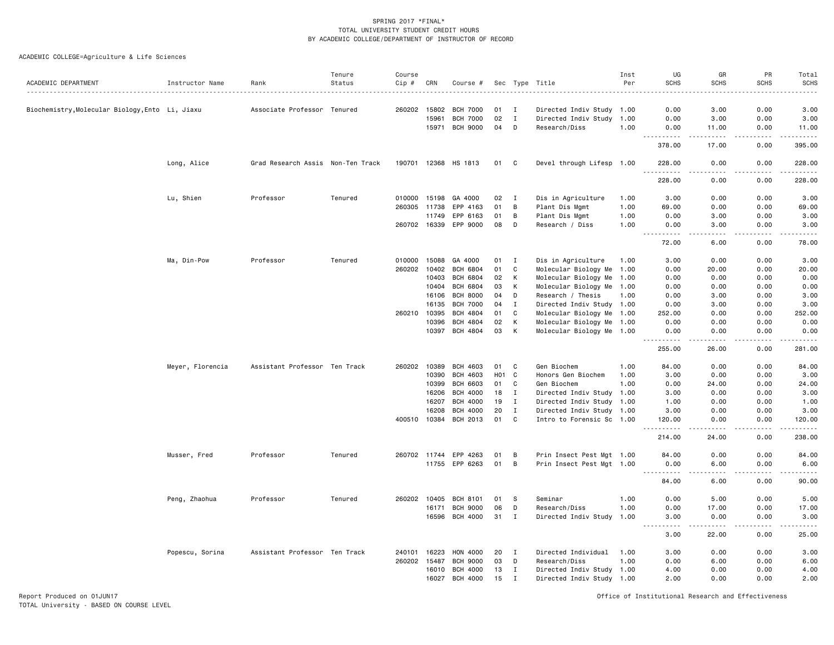ACADEMIC COLLEGE=Agriculture & Life Sciences

|                                                 |                  |                                   | Tenure  | Course       |       |                       |                 |              |                           | Inst | UG                                                                                                                                                           | GR                     | PR               | Total<br><b>SCHS</b>                                                                                                                      |
|-------------------------------------------------|------------------|-----------------------------------|---------|--------------|-------|-----------------------|-----------------|--------------|---------------------------|------|--------------------------------------------------------------------------------------------------------------------------------------------------------------|------------------------|------------------|-------------------------------------------------------------------------------------------------------------------------------------------|
| ACADEMIC DEPARTMENT                             | Instructor Name  | Rank                              | Status  | Cip #        | CRN   | Course #              |                 |              | Sec Type Title            | Per  | <b>SCHS</b>                                                                                                                                                  | <b>SCHS</b>            | <b>SCHS</b>      |                                                                                                                                           |
| Biochemistry, Molecular Biology, Ento Li, Jiaxu |                  | Associate Professor Tenured       |         | 260202 15802 |       | <b>BCH 7000</b>       | 01              | $\mathbf{I}$ | Directed Indiv Study 1.00 |      | 0.00                                                                                                                                                         | 3.00                   | 0.00             | 3.00                                                                                                                                      |
|                                                 |                  |                                   |         |              | 15961 | <b>BCH 7000</b>       | 02              | $\mathbf{I}$ | Directed Indiv Study      | 1.00 | 0.00                                                                                                                                                         | 3.00                   | 0.00             | 3.00                                                                                                                                      |
|                                                 |                  |                                   |         |              | 15971 | <b>BCH 9000</b>       | 04              | D            | Research/Diss             | 1.00 | 0.00                                                                                                                                                         | 11.00                  | 0.00             | 11.00                                                                                                                                     |
|                                                 |                  |                                   |         |              |       |                       |                 |              |                           |      | .<br>378.00                                                                                                                                                  | $\frac{1}{2}$<br>17.00 | .<br>0.00        | . <b>.</b><br>395.00                                                                                                                      |
|                                                 | Long, Alice      | Grad Research Assis Non-Ten Track |         |              |       | 190701 12368 HS 1813  | 01              | C            | Devel through Lifesp 1.00 |      | 228.00                                                                                                                                                       | 0.00<br>.              | 0.00<br>.        | 228.00<br>$\mathcal{L}^{\mathcal{L}}\mathcal{L}^{\mathcal{L}}\mathcal{L}^{\mathcal{L}}\mathcal{L}^{\mathcal{L}}\mathcal{L}^{\mathcal{L}}$ |
|                                                 |                  |                                   |         |              |       |                       |                 |              |                           |      | 228.00                                                                                                                                                       | 0.00                   | 0.00             | 228.00                                                                                                                                    |
|                                                 | Lu, Shien        | Professor                         | Tenured | 010000       | 15198 | GA 4000               | 02              | $\mathbf{I}$ | Dis in Agriculture        | 1.00 | 3.00                                                                                                                                                         | 0.00                   | 0.00             | 3.00                                                                                                                                      |
|                                                 |                  |                                   |         | 260305 11738 |       | EPP 4163              | 01              | B            | Plant Dis Mgmt            | 1.00 | 69.00                                                                                                                                                        | 0.00                   | 0.00             | 69.00                                                                                                                                     |
|                                                 |                  |                                   |         |              | 11749 | EPP 6163              | 01              | B            | Plant Dis Mgmt            | 1.00 | 0.00                                                                                                                                                         | 3.00                   | 0.00             | 3.00                                                                                                                                      |
|                                                 |                  |                                   |         |              |       | 260702 16339 EPP 9000 | 08              | D            | Research / Diss           | 1.00 | 0.00<br>$\frac{1}{2} \left( \frac{1}{2} \right) \left( \frac{1}{2} \right) \left( \frac{1}{2} \right) \left( \frac{1}{2} \right) \left( \frac{1}{2} \right)$ | 3.00<br>.              | 0.00<br>.        | 3.00<br>.                                                                                                                                 |
|                                                 |                  |                                   |         |              |       |                       |                 |              |                           |      | 72.00                                                                                                                                                        | 6.00                   | 0.00             | 78.00                                                                                                                                     |
|                                                 | Ma, Din-Pow      | Professor                         | Tenured | 010000       | 15088 | GA 4000               | 01              | $\mathbf{I}$ | Dis in Agriculture        | 1.00 | 3.00                                                                                                                                                         | 0.00                   | 0.00             | 3.00                                                                                                                                      |
|                                                 |                  |                                   |         | 260202 10402 |       | <b>BCH 6804</b>       | 01              | C            | Molecular Biology Me 1.00 |      | 0.00                                                                                                                                                         | 20.00                  | 0.00             | 20.00                                                                                                                                     |
|                                                 |                  |                                   |         |              | 10403 | <b>BCH 6804</b>       | 02              | К            | Molecular Biology Me 1.00 |      | 0.00                                                                                                                                                         | 0.00                   | 0.00             | 0.00                                                                                                                                      |
|                                                 |                  |                                   |         |              | 10404 | <b>BCH 6804</b>       | 03              | К            | Molecular Biology Me 1.00 |      | 0.00                                                                                                                                                         | 0.00                   | 0.00             | 0.00                                                                                                                                      |
|                                                 |                  |                                   |         |              | 16106 | <b>BCH 8000</b>       | 04              | D            | Research / Thesis         | 1.00 | 0.00                                                                                                                                                         | 3.00                   | 0.00             | 3.00                                                                                                                                      |
|                                                 |                  |                                   |         |              | 16135 | <b>BCH 7000</b>       | 04              | I            | Directed Indiv Study 1.00 |      | 0.00                                                                                                                                                         | 3.00                   | 0.00             | 3.00                                                                                                                                      |
|                                                 |                  |                                   |         | 260210       | 10395 | <b>BCH 4804</b>       | 01              | C            | Molecular Biology Me 1.00 |      | 252.00                                                                                                                                                       | 0.00                   | 0.00             | 252.00                                                                                                                                    |
|                                                 |                  |                                   |         |              | 10396 | BCH 4804              | 02              | К            | Molecular Biology Me 1.00 |      | 0.00                                                                                                                                                         | 0.00                   | 0.00             | 0.00                                                                                                                                      |
|                                                 |                  |                                   |         |              | 10397 | BCH 4804              | 03              | К            | Molecular Biology Me 1.00 |      | 0.00                                                                                                                                                         | 0.00                   | 0.00             | 0.00                                                                                                                                      |
|                                                 |                  |                                   |         |              |       |                       |                 |              |                           |      | 255.00                                                                                                                                                       | 26.00                  | 0.00             | .<br>281.00                                                                                                                               |
|                                                 | Meyer, Florencia | Assistant Professor Ten Track     |         | 260202       | 10389 | <b>BCH 4603</b>       | 01              | C            | Gen Biochem               | 1.00 | 84.00                                                                                                                                                        | 0.00                   | 0.00             | 84.00                                                                                                                                     |
|                                                 |                  |                                   |         |              | 10390 | <b>BCH 4603</b>       | HO <sub>1</sub> | C            | Honors Gen Biochem        | 1.00 | 3.00                                                                                                                                                         | 0.00                   | 0.00             | 3.00                                                                                                                                      |
|                                                 |                  |                                   |         |              | 10399 | <b>BCH 6603</b>       | 01              | C            | Gen Biochem               | 1.00 | 0.00                                                                                                                                                         | 24.00                  | 0.00             | 24.00                                                                                                                                     |
|                                                 |                  |                                   |         |              | 16206 | <b>BCH 4000</b>       | 18              | $\mathbf{I}$ | Directed Indiv Study 1.00 |      | 3.00                                                                                                                                                         | 0.00                   | 0.00             | 3.00                                                                                                                                      |
|                                                 |                  |                                   |         |              | 16207 | <b>BCH 4000</b>       | 19              | $\mathbf{I}$ | Directed Indiv Study 1.00 |      | 1.00                                                                                                                                                         | 0.00                   | 0.00             | 1.00                                                                                                                                      |
|                                                 |                  |                                   |         |              | 16208 | <b>BCH 4000</b>       | 20              | $\mathbf I$  | Directed Indiv Study 1.00 |      | 3.00                                                                                                                                                         | 0.00                   | 0.00             | 3.00                                                                                                                                      |
|                                                 |                  |                                   |         | 400510       | 10384 | BCH 2013              | 01              | C            | Intro to Forensic Sc 1.00 |      | 120.00                                                                                                                                                       | 0.00                   | 0.00<br>بالمحامر | 120.00<br>.                                                                                                                               |
|                                                 |                  |                                   |         |              |       |                       |                 |              |                           |      | 214.00                                                                                                                                                       | 24.00                  | 0.00             | 238.00                                                                                                                                    |
|                                                 | Musser, Fred     | Professor                         | Tenured | 260702 11744 |       | EPP 4263              | 01              | В            | Prin Insect Pest Mgt 1.00 |      | 84.00                                                                                                                                                        | 0.00                   | 0.00             | 84.00                                                                                                                                     |
|                                                 |                  |                                   |         |              |       | 11755 EPP 6263        | 01              | B            | Prin Insect Pest Mgt 1.00 |      | 0.00<br>. <b>.</b>                                                                                                                                           | 6.00<br>د د د د        | 0.00<br>.        | 6.00<br>.                                                                                                                                 |
|                                                 |                  |                                   |         |              |       |                       |                 |              |                           |      | $ -$<br>84.00                                                                                                                                                | 6.00                   | 0.00             | 90.00                                                                                                                                     |
|                                                 | Peng, Zhaohua    | Professor                         | Tenured | 260202 10405 |       | <b>BCH 8101</b>       | 01              | -S           | Seminar                   | 1.00 | 0.00                                                                                                                                                         | 5.00                   | 0.00             | 5.00                                                                                                                                      |
|                                                 |                  |                                   |         |              | 16171 | <b>BCH 9000</b>       | 06              | D            | Research/Diss             | 1.00 | 0.00                                                                                                                                                         | 17.00                  | 0.00             | 17.00                                                                                                                                     |
|                                                 |                  |                                   |         |              | 16596 | BCH 4000              | 31 I            |              | Directed Indiv Study 1.00 |      | 3.00                                                                                                                                                         | 0.00                   | 0.00             | 3.00                                                                                                                                      |
|                                                 |                  |                                   |         |              |       |                       |                 |              |                           |      | .<br>3.00                                                                                                                                                    | -----<br>22.00         | <u>.</u><br>0.00 | .<br>25.00                                                                                                                                |
|                                                 | Popescu, Sorina  | Assistant Professor Ten Track     |         | 240101       | 16223 | HON 4000              | 20              | I            | Directed Individual       | 1.00 | 3.00                                                                                                                                                         | 0.00                   | 0.00             | 3.00                                                                                                                                      |
|                                                 |                  |                                   |         | 260202 15487 |       | <b>BCH 9000</b>       | 03              | D            | Research/Diss             | 1.00 | 0.00                                                                                                                                                         | 6.00                   | 0.00             | 6.00                                                                                                                                      |
|                                                 |                  |                                   |         |              | 16010 | <b>BCH 4000</b>       | 13              | $\mathbf{I}$ | Directed Indiv Study 1.00 |      | 4.00                                                                                                                                                         | 0.00                   | 0.00             | 4.00                                                                                                                                      |
|                                                 |                  |                                   |         |              | 16027 | BCH 4000              | 15              | $\mathbf{I}$ | Directed Indiv Study 1.00 |      | 2.00                                                                                                                                                         | 0.00                   | 0.00             | 2.00                                                                                                                                      |

Report Produced on 01JUN17 Office of Institutional Research and Effectiveness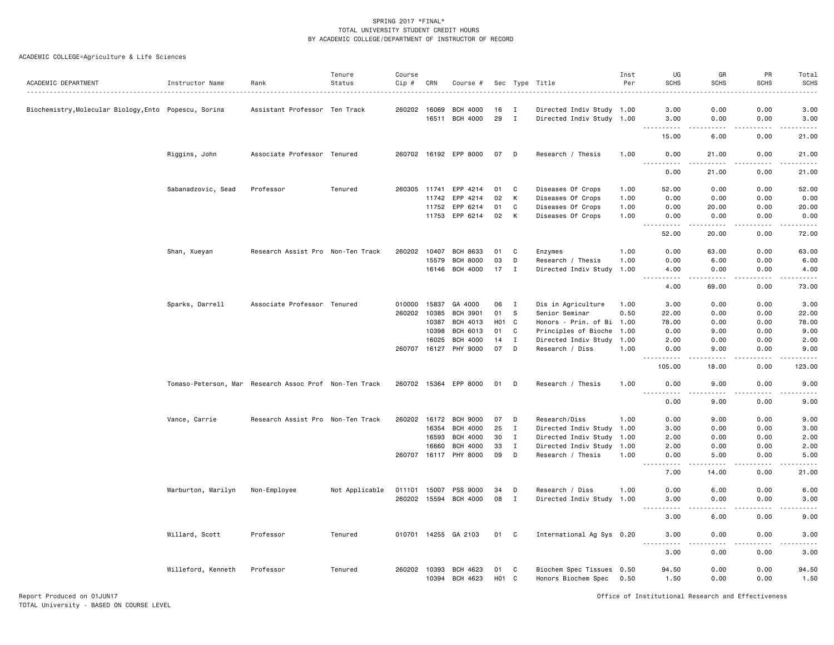ACADEMIC COLLEGE=Agriculture & Life Sciences

| ACADEMIC DEPARTMENT                                   | Instructor Name                                        | Rank                              | Tenure<br>Status | Course<br>$Cip \#$ | CRN   | Course #              |                        |              | Sec Type Title                                   | Inst<br>Per | UG<br><b>SCHS</b>                   | GR<br><b>SCHS</b> | PR<br><b>SCHS</b> | Total<br><b>SCHS</b> |
|-------------------------------------------------------|--------------------------------------------------------|-----------------------------------|------------------|--------------------|-------|-----------------------|------------------------|--------------|--------------------------------------------------|-------------|-------------------------------------|-------------------|-------------------|----------------------|
| Biochemistry, Molecular Biology, Ento Popescu, Sorina |                                                        | Assistant Professor Ten Track     |                  | 260202 16069       |       | <b>BCH 4000</b>       | 16                     | $\mathbf I$  | Directed Indiv Study 1.00                        |             | 3.00                                | 0.00              | 0.00              | 3.00                 |
|                                                       |                                                        |                                   |                  |                    |       | 16511 BCH 4000        | 29                     | $\mathbf{I}$ | Directed Indiv Study 1.00                        |             | 3.00<br>.                           | 0.00<br>.         | 0.00<br>.         | 3.00<br>.            |
|                                                       |                                                        |                                   |                  |                    |       |                       |                        |              |                                                  |             | 15.00                               | 6.00              | 0.00              | 21.00                |
|                                                       | Riggins, John                                          | Associate Professor Tenured       |                  |                    |       | 260702 16192 EPP 8000 | 07 D                   |              | Research / Thesis                                | 1.00        | 0.00<br>$  -$<br>$- - - -$          | 21.00             | 0.00              | 21.00                |
|                                                       |                                                        |                                   |                  |                    |       |                       |                        |              |                                                  |             | 0.00                                | 21.00             | 0.00              | 21.00                |
|                                                       | Sabanadzovic, Sead                                     | Professor                         | Tenured          |                    |       | 260305 11741 EPP 4214 | 01                     | $\mathbf{C}$ | Diseases Of Crops                                | 1.00        | 52.00                               | 0.00              | 0.00              | 52.00                |
|                                                       |                                                        |                                   |                  |                    | 11742 | EPP 4214              | 02                     | К            | Diseases Of Crops                                | 1.00        | 0.00                                | 0.00              | 0.00              | 0.00                 |
|                                                       |                                                        |                                   |                  |                    | 11752 | EPP 6214              | 01                     | C            | Diseases Of Crops                                | 1.00        | 0.00                                | 20.00             | 0.00              | 20.00                |
|                                                       |                                                        |                                   |                  |                    |       | 11753 EPP 6214        | 02                     | к            | Diseases Of Crops                                | 1.00        | 0.00<br>$- - - -$                   | 0.00<br>.         | 0.00<br>.         | 0.00<br>.            |
|                                                       |                                                        |                                   |                  |                    |       |                       |                        |              |                                                  |             | 52.00                               | 20.00             | 0.00              | 72.00                |
|                                                       | Shan, Xueyan                                           | Research Assist Pro Non-Ten Track |                  | 260202             | 10407 | <b>BCH 8633</b>       | 01                     | C            | Enzymes                                          | 1.00        | 0.00                                | 63.00             | 0.00              | 63.00                |
|                                                       |                                                        |                                   |                  |                    | 15579 | <b>BCH 8000</b>       | 03                     | D            | Research / Thesis                                | 1.00        | 0.00                                | 6.00              | 0.00              | 6.00                 |
|                                                       |                                                        |                                   |                  |                    |       | 16146 BCH 4000        | 17                     | I            | Directed Indiv Study 1.00                        |             | 4.00<br>$\frac{1}{2}$               | 0.00              | 0.00              | 4.00                 |
|                                                       |                                                        |                                   |                  |                    |       |                       |                        |              |                                                  |             | $\sim$ $\sim$ $\sim$<br>4.00        | 69.00             | 0.00              | 73.00                |
|                                                       | Sparks, Darrell                                        | Associate Professor Tenured       |                  | 010000             | 15837 | GA 4000               | 06                     | I            | Dis in Agriculture                               | 1.00        | 3.00                                | 0.00              | 0.00              | 3.00                 |
|                                                       |                                                        |                                   |                  | 260202 10385       |       | <b>BCH 3901</b>       | 01                     | -S           | Senior Seminar                                   | 0.50        | 22.00                               | 0.00              | 0.00              | 22.00                |
|                                                       |                                                        |                                   |                  |                    | 10387 | BCH 4013              | H <sub>01</sub> C      |              | Honors - Prin. of Bi 1.00                        |             | 78.00                               | 0.00              | 0.00              | 78.00                |
|                                                       |                                                        |                                   |                  |                    | 10398 | BCH 6013              | 01                     | C            | Principles of Bioche                             | 1.00        | 0.00                                | 9.00              | 0.00              | 9.00                 |
|                                                       |                                                        |                                   |                  |                    | 16025 | <b>BCH 4000</b>       | 14                     | I            | Directed Indiv Study 1.00                        |             | 2.00                                | 0.00              | 0.00              | 2.00                 |
|                                                       |                                                        |                                   |                  | 260707 16127       |       | PHY 9000              | 07                     | D            | Research / Diss                                  | 1.00        | 0.00<br>.                           | 9.00<br>.         | 0.00<br>.         | 9.00<br><u>.</u>     |
|                                                       |                                                        |                                   |                  |                    |       |                       |                        |              |                                                  |             | 105.00                              | 18.00             | 0.00              | 123.00               |
|                                                       | Tomaso-Peterson, Mar Research Assoc Prof Non-Ten Track |                                   |                  |                    |       | 260702 15364 EPP 8000 | 01                     | D            | Research / Thesis                                | 1.00        | 0.00<br>.                           | 9.00<br>.         | 0.00              | 9.00                 |
|                                                       |                                                        |                                   |                  |                    |       |                       |                        |              |                                                  |             | 0.00                                | 9.00              | .<br>0.00         | .<br>9.00            |
|                                                       | Vance, Carrie                                          | Research Assist Pro Non-Ten Track |                  | 260202             | 16172 | <b>BCH 9000</b>       | 07                     | D            | Research/Diss                                    | 1.00        | 0.00                                | 9.00              | 0.00              | 9.00                 |
|                                                       |                                                        |                                   |                  |                    | 16354 | <b>BCH 4000</b>       | 25                     | I            | Directed Indiv Study 1.00                        |             | 3.00                                | 0.00              | 0.00              | 3.00                 |
|                                                       |                                                        |                                   |                  |                    | 16593 | <b>BCH 4000</b>       | 30                     | T            | Directed Indiv Study                             | 1.00        | 2.00                                | 0.00              | 0.00              | 2.00                 |
|                                                       |                                                        |                                   |                  |                    | 16660 | <b>BCH 4000</b>       | 33                     | $\mathbf{I}$ | Directed Indiv Study 1.00                        |             | 2.00                                | 0.00              | 0.00              | 2.00                 |
|                                                       |                                                        |                                   |                  | 260707 16117       |       | PHY 8000              | 09                     | D            | Research / Thesis                                | 1.00        | 0.00<br>$\sim$ $\sim$ $\sim$ $\sim$ | 5.00              | 0.00              | 5.00                 |
|                                                       |                                                        |                                   |                  |                    |       |                       |                        |              |                                                  |             | 7.00                                | 14.00             | 0.00              | 21.00                |
|                                                       | Warburton, Marilyn                                     | Non-Employee                      | Not Applicable   | 011101 15007       |       | PSS 9000              | 34                     | D            | Research / Diss                                  | 1.00        | 0.00                                | 6.00              | 0.00              | 6.00                 |
|                                                       |                                                        |                                   |                  |                    |       | 260202 15594 BCH 4000 | 08                     | Ι.           | Directed Indiv Study 1.00                        |             | 3.00                                | 0.00              | 0.00              | 3.00                 |
|                                                       |                                                        |                                   |                  |                    |       |                       |                        |              |                                                  |             | $\frac{1}{2}$<br>3.00               | 6.00              | 0.00              | 9.00                 |
|                                                       | Willard, Scott                                         | Professor                         | Tenured          |                    |       | 010701 14255 GA 2103  | 01 C                   |              | International Ag Sys 0.20                        |             | 3.00                                | 0.00              | 0.00              | 3.00                 |
|                                                       |                                                        |                                   |                  |                    |       |                       |                        |              |                                                  |             | $- - - -$<br>.<br>3.00              | .<br>0.00         | -----<br>0.00     | .<br>3.00            |
|                                                       |                                                        |                                   |                  |                    |       |                       |                        |              |                                                  |             |                                     |                   |                   |                      |
|                                                       | Willeford, Kenneth                                     | Professor                         | Tenured          | 260202 10393       | 10394 | BCH 4623<br>BCH 4623  | 01<br>H <sub>0</sub> 1 | C<br>C.      | Biochem Spec Tissues 0.50<br>Honors Biochem Spec | 0.50        | 94.50<br>1.50                       | 0.00<br>0.00      | 0.00<br>0.00      | 94.50<br>1.50        |

Report Produced on 01JUN17 Office of Institutional Research and Effectiveness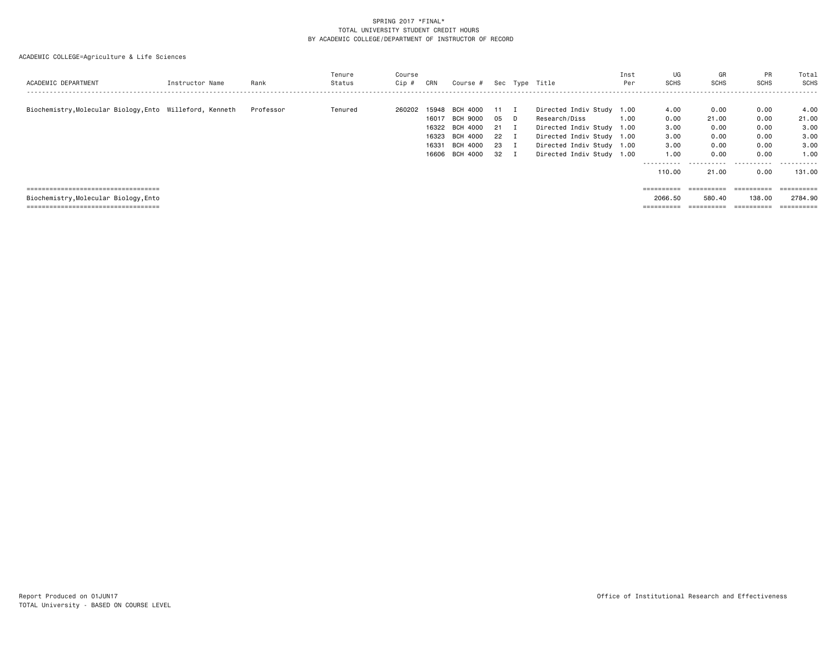| ACADEMIC DEPARTMENT                                                                                                      | Instructor Name | Rank      | Tenure<br>Status | Course<br>Cip # | CRN                              | Course #                                                                         |                                            |   | Sec Type Title                                                                                                                                                 | Inst<br>Per | UG<br><b>SCHS</b>                                                             | GR<br><b>SCHS</b>                                           | PR<br><b>SCHS</b>                                         | Total<br><b>SCHS</b>                                         |
|--------------------------------------------------------------------------------------------------------------------------|-----------------|-----------|------------------|-----------------|----------------------------------|----------------------------------------------------------------------------------|--------------------------------------------|---|----------------------------------------------------------------------------------------------------------------------------------------------------------------|-------------|-------------------------------------------------------------------------------|-------------------------------------------------------------|-----------------------------------------------------------|--------------------------------------------------------------|
| Biochemistry, Molecular Biology, Ento Willeford, Kenneth                                                                 |                 | Professor | Tenured          | 260202          | 16017<br>16323<br>16331<br>16606 | 15948 BCH 4000<br>BCH 9000<br>16322 BCH 4000<br>BCH 4000<br>BCH 4000<br>BCH 4000 | 11 I<br>05<br>21 I<br>22 I<br>23 I<br>32 I | D | Directed Indiv Study 1.00<br>Research/Diss<br>Directed Indiv Study 1.00<br>Directed Indiv Study 1.00<br>Directed Indiv Study 1.00<br>Directed Indiv Study 1.00 | 1.00        | 4.00<br>0.00<br>3.00<br>3.00<br>3.00<br>1.00<br>- - - - - - - - - -<br>110.00 | 0.00<br>21.00<br>0.00<br>0.00<br>0.00<br>0.00<br>.<br>21.00 | 0.00<br>0.00<br>0.00<br>0.00<br>0.00<br>0.00<br>.<br>0.00 | 4.00<br>21.00<br>3,00<br>3,00<br>3.00<br>1.00<br>.<br>131.00 |
| ======================================<br>Biochemistry, Molecular Biology, Ento<br>===================================== |                 |           |                  |                 |                                  |                                                                                  |                                            |   |                                                                                                                                                                |             | ==========<br>2066.50<br>=========                                            | ==========<br>580.40<br>==========                          | ==========<br>138,00<br>$=$ = = = = = = = = =             | ==========<br>2784.90                                        |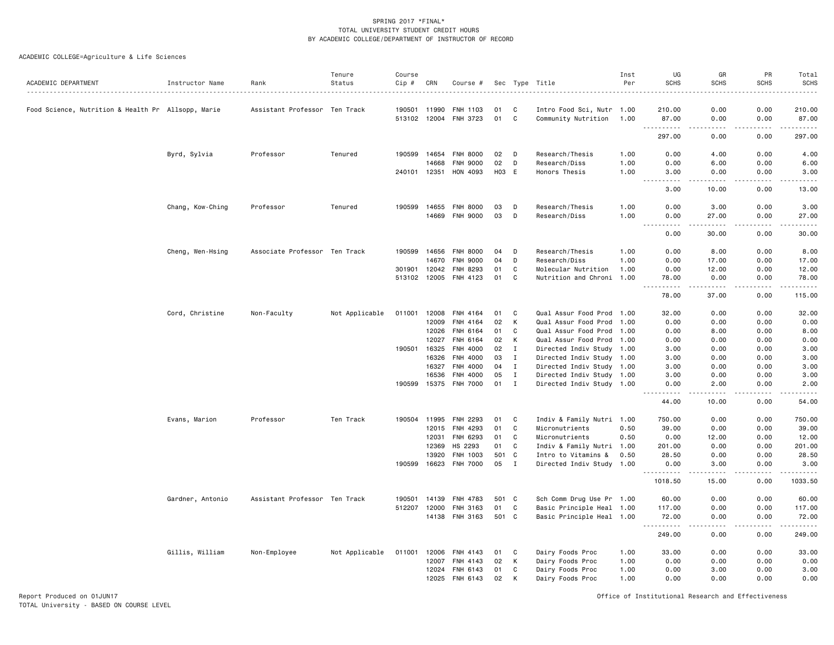|                                                    |                  |                               | Tenure         | Course       |                |                      |                  |                    |                                                        | Inst<br>Per | UG<br><b>SCHS</b>                                                                                                                                  | GR<br><b>SCHS</b>                   | PR<br><b>SCHS</b>                                                                                                                                            | Total        |
|----------------------------------------------------|------------------|-------------------------------|----------------|--------------|----------------|----------------------|------------------|--------------------|--------------------------------------------------------|-------------|----------------------------------------------------------------------------------------------------------------------------------------------------|-------------------------------------|--------------------------------------------------------------------------------------------------------------------------------------------------------------|--------------|
| ACADEMIC DEPARTMENT                                | Instructor Name  | Rank                          | Status         | Cip #        | CRN            | Course #             |                  |                    | Sec Type Title                                         |             |                                                                                                                                                    |                                     |                                                                                                                                                              | <b>SCHS</b>  |
| Food Science, Nutrition & Health Pr Allsopp, Marie |                  | Assistant Professor Ten Track |                | 190501       | 11990          | FNH 1103             | 01               | C                  | Intro Food Sci, Nutr 1.00                              |             | 210.00                                                                                                                                             | 0.00                                | 0.00                                                                                                                                                         | 210.00       |
|                                                    |                  |                               |                |              | 513102 12004   | FNH 3723             | 01               | C                  | Community Nutrition 1.00                               |             | 87.00<br>$\sim$                                                                                                                                    | 0.00<br>$\sim$ $\sim$ $\sim$ $\sim$ | 0.00                                                                                                                                                         | 87.00        |
|                                                    |                  |                               |                |              |                |                      |                  |                    |                                                        |             | 297.00                                                                                                                                             | 0.00                                | 0.00                                                                                                                                                         | 297.00       |
|                                                    | Byrd, Sylvia     | Professor                     | Tenured        | 190599       | 14654          | <b>FNH 8000</b>      | 02               | D                  | Research/Thesis                                        | 1.00        | 0.00                                                                                                                                               | 4.00                                | 0.00                                                                                                                                                         | 4.00         |
|                                                    |                  |                               |                |              | 14668          | <b>FNH 9000</b>      | 02               | D                  | Research/Diss                                          | 1.00        | 0.00                                                                                                                                               | 6.00                                | 0.00                                                                                                                                                         | 6.00         |
|                                                    |                  |                               |                | 240101 12351 |                | HON 4093             | H <sub>0</sub> 3 | E                  | Honors Thesis                                          | 1.00        | 3.00<br>$\frac{1}{2}$<br>$\frac{1}{2} \left( \frac{1}{2} \right) \left( \frac{1}{2} \right) \left( \frac{1}{2} \right) \left( \frac{1}{2} \right)$ | 0.00<br>.                           | 0.00<br>-----                                                                                                                                                | 3.00<br>.    |
|                                                    |                  |                               |                |              |                |                      |                  |                    |                                                        |             | 3.00                                                                                                                                               | 10.00                               | 0.00                                                                                                                                                         | 13.00        |
|                                                    | Chang, Kow-Ching | Professor                     | Tenured        | 190599       | 14655          | <b>FNH 8000</b>      | 03               | D                  | Research/Thesis                                        | 1.00        | 0.00                                                                                                                                               | 3.00                                | 0.00                                                                                                                                                         | 3.00         |
|                                                    |                  |                               |                |              | 14669          | <b>FNH 9000</b>      | 03               | D                  | Research/Diss                                          | 1.00        | 0.00<br>.                                                                                                                                          | 27.00<br>والمسامين                  | 0.00<br>.                                                                                                                                                    | 27.00        |
|                                                    |                  |                               |                |              |                |                      |                  |                    |                                                        |             | 0.00                                                                                                                                               | 30.00                               | 0.00                                                                                                                                                         | 30.00        |
|                                                    | Cheng, Wen-Hsing | Associate Professor Ten Track |                | 190599       | 14656          | <b>FNH 8000</b>      | 04               | D                  | Research/Thesis                                        | 1.00        | 0.00                                                                                                                                               | 8.00                                | 0.00                                                                                                                                                         | 8.00         |
|                                                    |                  |                               |                |              | 14670          | <b>FNH 9000</b>      | 04               | D                  | Research/Diss                                          | 1.00        | 0.00                                                                                                                                               | 17.00                               | 0.00                                                                                                                                                         | 17.00        |
|                                                    |                  |                               |                | 301901       | 12042          | <b>FNH 8293</b>      | 01               | C                  | Molecular Nutrition                                    | 1.00        | 0.00                                                                                                                                               | 12.00                               | 0.00                                                                                                                                                         | 12.00        |
|                                                    |                  |                               |                |              | 513102 12005   | FNH 4123             | 01               | C                  | Nutrition and Chroni 1.00                              |             | 78.00<br>-----                                                                                                                                     | 0.00                                | 0.00                                                                                                                                                         | 78.00        |
|                                                    |                  |                               |                |              |                |                      |                  |                    |                                                        |             | 78.00                                                                                                                                              | 37.00                               | 0.00                                                                                                                                                         | 115.00       |
|                                                    | Cord, Christine  | Non-Faculty                   | Not Applicable | 011001       | 12008          | FNH 4164             | 01               | C                  | Qual Assur Food Prod 1.00                              |             | 32.00                                                                                                                                              | 0.00                                | 0.00                                                                                                                                                         | 32.00        |
|                                                    |                  |                               |                |              | 12009          | FNH 4164             | 02               | К                  | Qual Assur Food Prod                                   | 1.00        | 0.00                                                                                                                                               | 0.00                                | 0.00                                                                                                                                                         | 0.00         |
|                                                    |                  |                               |                |              | 12026          | FNH 6164             | 01               | C                  | Qual Assur Food Prod                                   | 1.00        | 0.00                                                                                                                                               | 8.00                                | 0.00                                                                                                                                                         | 8.00         |
|                                                    |                  |                               |                |              | 12027          | FNH 6164             | 02               | Κ                  | Qual Assur Food Prod 1.00                              |             | 0.00                                                                                                                                               | 0.00                                | 0.00                                                                                                                                                         | 0.00         |
|                                                    |                  |                               |                | 190501       | 16325<br>16326 | FNH 4000<br>FNH 4000 | 02<br>03         | $\mathbf{I}$<br>Ι. | Directed Indiv Study 1.00<br>Directed Indiv Study 1.00 |             | 3.00<br>3.00                                                                                                                                       | 0.00<br>0.00                        | 0.00<br>0.00                                                                                                                                                 | 3.00<br>3.00 |
|                                                    |                  |                               |                |              | 16327          | FNH 4000             | 04               | $\mathbf{I}$       | Directed Indiv Study 1.00                              |             | 3.00                                                                                                                                               | 0.00                                | 0.00                                                                                                                                                         | 3.00         |
|                                                    |                  |                               |                |              | 16536          | FNH 4000             | 05               | $\mathbf I$        | Directed Indiv Study 1.00                              |             | 3.00                                                                                                                                               | 0.00                                | 0.00                                                                                                                                                         | 3.00         |
|                                                    |                  |                               |                | 190599       | 15375          | <b>FNH 7000</b>      | 01               | $\mathbf I$        | Directed Indiv Study 1.00                              |             | 0.00                                                                                                                                               | 2.00                                | 0.00                                                                                                                                                         | 2.00         |
|                                                    |                  |                               |                |              |                |                      |                  |                    |                                                        |             | .<br>44.00                                                                                                                                         | .<br>10.00                          | .<br>0.00                                                                                                                                                    | .<br>54.00   |
|                                                    | Evans, Marion    | Professor                     | Ten Track      | 190504       | 11995          | <b>FNH 2293</b>      | 01               | C                  | Indiv & Family Nutri 1.00                              |             | 750.00                                                                                                                                             | 0.00                                | 0.00                                                                                                                                                         | 750.00       |
|                                                    |                  |                               |                |              | 12015          | FNH 4293             | 01               | C                  | Micronutrients                                         | 0.50        | 39.00                                                                                                                                              | 0.00                                | 0.00                                                                                                                                                         | 39.00        |
|                                                    |                  |                               |                |              | 12031          | FNH 6293             | 01               | C                  | Micronutrients                                         | 0.50        | 0.00                                                                                                                                               | 12.00                               | 0.00                                                                                                                                                         | 12.00        |
|                                                    |                  |                               |                |              | 12369          | HS 2293              | 01               | C                  | Indiv & Family Nutri 1.00                              |             | 201.00                                                                                                                                             | 0.00                                | 0.00                                                                                                                                                         | 201.00       |
|                                                    |                  |                               |                |              | 13920          | FNH 1003             | 501              | C                  | Intro to Vitamins &                                    | 0.50        | 28.50                                                                                                                                              | 0.00                                | 0.00                                                                                                                                                         | 28.50        |
|                                                    |                  |                               |                | 190599       | 16623          | <b>FNH 7000</b>      | 05               | $\mathbf{I}$       | Directed Indiv Study 1.00                              |             | 0.00<br><u>.</u>                                                                                                                                   | 3.00<br>.                           | 0.00<br>.                                                                                                                                                    | 3.00<br>.    |
|                                                    |                  |                               |                |              |                |                      |                  |                    |                                                        |             | 1018.50                                                                                                                                            | 15.00                               | 0.00                                                                                                                                                         | 1033.50      |
|                                                    | Gardner, Antonio | Assistant Professor Ten Track |                | 190501       | 14139          | FNH 4783             | 501              | C.                 | Sch Comm Drug Use Pr 1.00                              |             | 60.00                                                                                                                                              | 0.00                                | 0.00                                                                                                                                                         | 60.00        |
|                                                    |                  |                               |                | 512207       | 12000          | FNH 3163             | 01               | C                  | Basic Principle Heal 1.00                              |             | 117.00                                                                                                                                             | 0.00                                | 0.00                                                                                                                                                         | 117.00       |
|                                                    |                  |                               |                |              |                | 14138 FNH 3163       | 501 C            |                    | Basic Principle Heal 1.00                              |             | 72.00<br>$\sim$ $\sim$ $\sim$<br>.                                                                                                                 | 0.00<br>.                           | 0.00<br>$\frac{1}{2} \left( \frac{1}{2} \right) \left( \frac{1}{2} \right) \left( \frac{1}{2} \right) \left( \frac{1}{2} \right) \left( \frac{1}{2} \right)$ | 72.00<br>.   |
|                                                    |                  |                               |                |              |                |                      |                  |                    |                                                        |             | 249.00                                                                                                                                             | 0.00                                | 0.00                                                                                                                                                         | 249.00       |
|                                                    | Gillis, William  | Non-Employee                  | Not Applicable | 011001       | 12006          | FNH 4143             | 01               | C                  | Dairy Foods Proc                                       | 1.00        | 33.00                                                                                                                                              | 0.00                                | 0.00                                                                                                                                                         | 33.00        |
|                                                    |                  |                               |                |              | 12007          | FNH 4143             | 02               | Κ                  | Dairy Foods Proc                                       | 1.00        | 0.00                                                                                                                                               | 0.00                                | 0.00                                                                                                                                                         | 0.00         |
|                                                    |                  |                               |                |              | 12024          | FNH 6143             | 01               | C                  | Dairy Foods Proc                                       | 1.00        | 0.00                                                                                                                                               | 3.00                                | 0.00                                                                                                                                                         | 3.00         |
|                                                    |                  |                               |                |              | 12025          | FNH 6143             | 02               | к                  | Dairy Foods Proc                                       | 1.00        | 0.00                                                                                                                                               | 0.00                                | 0.00                                                                                                                                                         | 0.00         |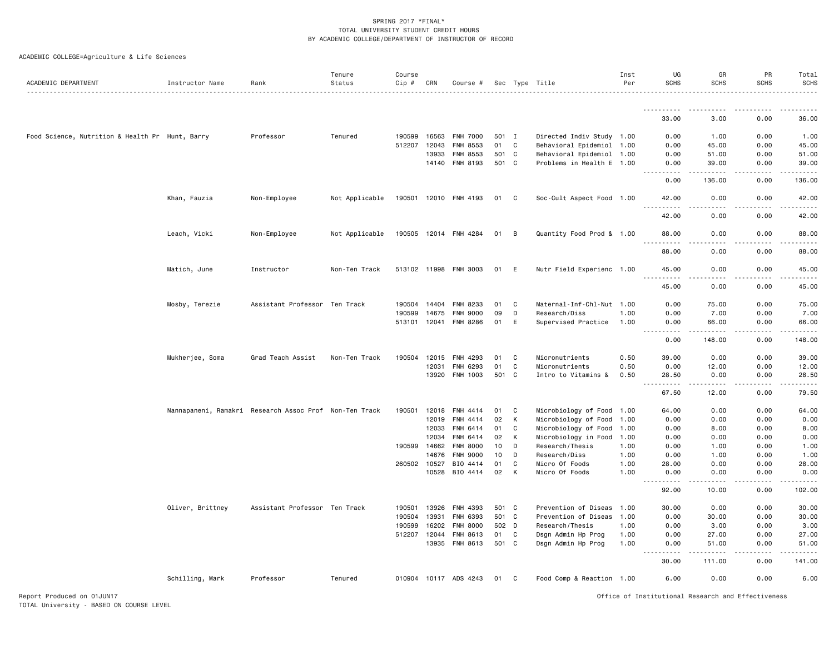| ACADEMIC DEPARTMENT                             | Instructor Name  | Rank                                                   | Tenure<br>Status | Course<br>Cip # | CRN   | Course #              |          |              | Sec Type Title                   | Inst<br>Per  | UG<br><b>SCHS</b>                                            | GR<br><b>SCHS</b> | PR<br><b>SCHS</b>     | Total<br><b>SCHS</b> |
|-------------------------------------------------|------------------|--------------------------------------------------------|------------------|-----------------|-------|-----------------------|----------|--------------|----------------------------------|--------------|--------------------------------------------------------------|-------------------|-----------------------|----------------------|
|                                                 |                  |                                                        |                  |                 |       |                       |          |              |                                  |              |                                                              |                   |                       |                      |
|                                                 |                  |                                                        |                  |                 |       |                       |          |              |                                  |              | 33.00                                                        | 3.00              | 0.00                  | 36.00                |
| Food Science, Nutrition & Health Pr Hunt, Barry |                  | Professor                                              | Tenured          | 190599          | 16563 | <b>FNH 7000</b>       | 501 I    |              | Directed Indiv Study 1.00        |              | 0.00                                                         | 1.00              | 0.00                  | 1.00                 |
|                                                 |                  |                                                        |                  | 512207          | 12043 | FNH 8553              | 01       | C            | Behavioral Epidemiol             | 1.00         | 0.00                                                         | 45.00             | 0.00                  | 45.00                |
|                                                 |                  |                                                        |                  |                 | 13933 | FNH 8553              | 501 C    |              | Behavioral Epidemiol 1.00        |              | 0.00                                                         | 51.00             | 0.00                  | 51.00                |
|                                                 |                  |                                                        |                  |                 |       | 14140 FNH 8193        | 501 C    |              | Problems in Health E 1.00        |              | 0.00<br>.                                                    | 39.00             | 0.00<br>-----         | 39.00                |
|                                                 |                  |                                                        |                  |                 |       |                       |          |              |                                  |              | 0.00                                                         | 136.00            | 0.00                  | 136.00               |
|                                                 | Khan, Fauzia     | Non-Employee                                           | Not Applicable   |                 |       | 190501 12010 FNH 4193 | 01 C     |              | Soc-Cult Aspect Food 1.00        |              | 42.00<br>.                                                   | 0.00<br>.         | 0.00<br><u>.</u>      | 42.00<br>. <u>.</u>  |
|                                                 |                  |                                                        |                  |                 |       |                       |          |              |                                  |              | 42.00                                                        | 0.00              | 0.00                  | 42.00                |
|                                                 | Leach, Vicki     | Non-Employee                                           | Not Applicable   |                 |       | 190505 12014 FNH 4284 | 01       | B            | Quantity Food Prod & 1.00        |              | 88.00<br>.                                                   | 0.00<br>.         | 0.00<br>$\frac{1}{2}$ | 88.00<br>.           |
|                                                 |                  |                                                        |                  |                 |       |                       |          |              |                                  |              | 88.00                                                        | 0.00              | 0.00                  | 88.00                |
|                                                 | Matich, June     | Instructor                                             | Non-Ten Track    |                 |       | 513102 11998 FNH 3003 | 01       | E            | Nutr Field Experienc 1.00        |              | 45.00<br><u> - - - - - - - - - -</u>                         | 0.00<br>.         | 0.00<br>-----         | 45.00<br>.           |
|                                                 |                  |                                                        |                  |                 |       |                       |          |              |                                  |              | 45.00                                                        | 0.00              | 0.00                  | 45.00                |
|                                                 | Mosby, Terezie   | Assistant Professor Ten Track                          |                  | 190504 14404    |       | FNH 8233              | 01       | C            | Maternal-Inf-Chl-Nut 1.00        |              | 0.00                                                         | 75.00             | 0.00                  | 75.00                |
|                                                 |                  |                                                        |                  | 190599          | 14675 | <b>FNH 9000</b>       | 09       | D            | Research/Diss                    | 1.00         | 0.00                                                         | 7.00              | 0.00                  | 7.00                 |
|                                                 |                  |                                                        |                  |                 |       | 513101 12041 FNH 8286 | 01       | E            | Supervised Practice              | 1.00         | 0.00<br>.                                                    | 66.00             | 0.00                  | 66.00                |
|                                                 |                  |                                                        |                  |                 |       |                       |          |              |                                  |              | 0.00                                                         | 148.00            | 0.00                  | 148.00               |
|                                                 | Mukherjee, Soma  | Grad Teach Assist                                      | Non-Ten Track    | 190504 12015    |       | FNH 4293              | 01       | C            | Micronutrients                   | 0.50         | 39.00                                                        | 0.00              | 0.00                  | 39.00                |
|                                                 |                  |                                                        |                  |                 | 12031 | FNH 6293              | 01       | $\mathbb{C}$ | Micronutrients                   | 0.50         | 0.00                                                         | 12.00             | 0.00                  | 12.00                |
|                                                 |                  |                                                        |                  |                 | 13920 | <b>FNH 1003</b>       | 501      | $\mathbf{C}$ | Intro to Vitamins &              | 0.50         | 28.50<br>$\sim$ $\sim$ $\sim$<br>$\sim$ $\sim$ $\sim$ $\sim$ | 0.00              | 0.00                  | 28.50                |
|                                                 |                  |                                                        |                  |                 |       |                       |          |              |                                  |              | 67.50                                                        | 12.00             | 0.00                  | 79.50                |
|                                                 |                  | Nannapaneni, Ramakri Research Assoc Prof Non-Ten Track |                  | 190501          | 12018 | FNH 4414              | 01       | C            | Microbiology of Food 1.00        |              | 64.00                                                        | 0.00              | 0.00                  | 64.00                |
|                                                 |                  |                                                        |                  |                 | 12019 | FNH 4414              | 02       | К            | Microbiology of Food             | 1.00         | 0.00                                                         | 0.00              | 0.00                  | 0.00                 |
|                                                 |                  |                                                        |                  |                 | 12033 | FNH 6414              | 01       | C            | Microbiology of Food             | 1.00         | 0.00                                                         | 8.00              | 0.00                  | 8.00                 |
|                                                 |                  |                                                        |                  |                 | 12034 | FNH 6414              | 02       | К            | Microbiology in Food             | 1.00         | 0.00                                                         | 0.00              | 0.00                  | 0.00                 |
|                                                 |                  |                                                        |                  | 190599 14662    |       | <b>FNH 8000</b>       | 10       | D            | Research/Thesis                  | 1.00         | 0.00                                                         | 1.00              | 0.00                  | 1.00                 |
|                                                 |                  |                                                        |                  |                 | 14676 | <b>FNH 9000</b>       | 10       | D            | Research/Diss                    | 1.00         | 0.00                                                         | 1.00              | 0.00                  | 1.00                 |
|                                                 |                  |                                                        |                  | 260502 10527    | 10528 | BIO 4414<br>BIO 4414  | 01<br>02 | C<br>К       | Micro Of Foods<br>Micro Of Foods | 1.00<br>1.00 | 28.00<br>0.00                                                | 0.00<br>0.00      | 0.00<br>0.00          | 28.00<br>0.00        |
|                                                 |                  |                                                        |                  |                 |       |                       |          |              |                                  |              | .<br>92.00                                                   | 10.00             | 0.00                  | 102.00               |
|                                                 |                  |                                                        |                  |                 |       |                       |          |              |                                  |              |                                                              |                   |                       |                      |
|                                                 | Oliver, Brittney | Assistant Professor Ten Track                          |                  | 190501          | 13926 | FNH 4393              | 501 C    |              | Prevention of Diseas             | 1.00         | 30.00                                                        | 0.00              | 0.00                  | 30.00                |
|                                                 |                  |                                                        |                  | 190504          | 13931 | FNH 6393              | 501 C    |              | Prevention of Diseas             | 1.00         | 0.00                                                         | 30.00             | 0.00                  | 30.00                |
|                                                 |                  |                                                        |                  | 190599          | 16202 | <b>FNH 8000</b>       | 502 D    |              | Research/Thesis                  | 1.00         | 0.00                                                         | 3.00              | 0.00                  | 3.00                 |
|                                                 |                  |                                                        |                  | 512207 12044    |       | FNH 8613              | 01       | C            | Dsgn Admin Hp Prog               | 1.00         | 0.00                                                         | 27.00             | 0.00                  | 27.00                |
|                                                 |                  |                                                        |                  |                 |       | 13935 FNH 8613        | 501 C    |              | Dsgn Admin Hp Prog               | 1.00         | 0.00<br>$- - -$                                              | 51.00             | 0.00                  | 51.00                |
|                                                 |                  |                                                        |                  |                 |       |                       |          |              |                                  |              | 30.00                                                        | 111.00            | 0.00                  | 141.00               |
|                                                 | Schilling, Mark  | Professor                                              | Tenured          |                 |       | 010904 10117 ADS 4243 | 01       | C            | Food Comp & Reaction 1.00        |              | 6.00                                                         | 0.00              | 0.00                  | 6.00                 |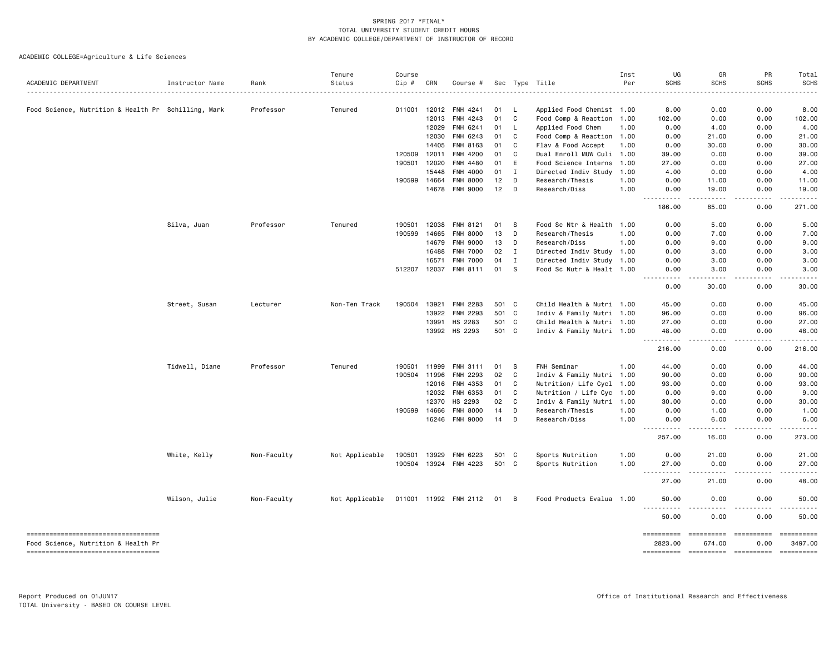|                                                     |                 |             | Tenure         | Course       |       |                       |       |                |                           | Inst | UG                                                                                                                                                                                    | GR               | PR                  | Total                                                                                                                   |
|-----------------------------------------------------|-----------------|-------------|----------------|--------------|-------|-----------------------|-------|----------------|---------------------------|------|---------------------------------------------------------------------------------------------------------------------------------------------------------------------------------------|------------------|---------------------|-------------------------------------------------------------------------------------------------------------------------|
| ACADEMIC DEPARTMENT                                 | Instructor Name | Rank        | Status         | Cip #        | CRN   | Course #              |       |                | Sec Type Title            | Per  | <b>SCHS</b>                                                                                                                                                                           | <b>SCHS</b>      | <b>SCHS</b>         | <b>SCHS</b>                                                                                                             |
| Food Science, Nutrition & Health Pr Schilling, Mark |                 | Professor   | Tenured        | 011001       | 12012 | FNH 4241              | 01    | L,             | Applied Food Chemist 1.00 |      | 8.00                                                                                                                                                                                  | 0.00             | 0.00                | 8.00                                                                                                                    |
|                                                     |                 |             |                |              | 12013 | FNH 4243              | 01    | C              | Food Comp & Reaction 1.00 |      | 102.00                                                                                                                                                                                | 0.00             | 0.00                | 102.00                                                                                                                  |
|                                                     |                 |             |                |              | 12029 | FNH 6241              | 01    | L              | Applied Food Chem         | 1.00 | 0.00                                                                                                                                                                                  | 4.00             | 0.00                | 4.00                                                                                                                    |
|                                                     |                 |             |                |              | 12030 | FNH 6243              | 01    | C              | Food Comp & Reaction 1.00 |      | 0.00                                                                                                                                                                                  | 21.00            | 0.00                | 21.00                                                                                                                   |
|                                                     |                 |             |                |              | 14405 | FNH 8163              | 01    | C              | Flav & Food Accept        | 1.00 | 0.00                                                                                                                                                                                  | 30.00            | 0.00                | 30.00                                                                                                                   |
|                                                     |                 |             |                | 120509       | 12011 | FNH 4200              | 01    | C              | Dual Enroll MUW Culi 1.00 |      | 39.00                                                                                                                                                                                 | 0.00             | 0.00                | 39.00                                                                                                                   |
|                                                     |                 |             |                | 190501       | 12020 | FNH 4480              | 01    | E              | Food Science Interns 1.00 |      | 27.00                                                                                                                                                                                 | 0.00             | 0.00                | 27.00                                                                                                                   |
|                                                     |                 |             |                |              | 15448 | FNH 4000              | 01    | $\mathbf{I}$   | Directed Indiv Study      | 1.00 | 4.00                                                                                                                                                                                  | 0.00             | 0.00                | 4.00                                                                                                                    |
|                                                     |                 |             |                | 190599       | 14664 | <b>FNH 8000</b>       | 12    | D              | Research/Thesis           | 1.00 | 0.00                                                                                                                                                                                  | 11.00            | 0.00                | 11.00                                                                                                                   |
|                                                     |                 |             |                |              | 14678 | <b>FNH 9000</b>       | 12    | D              | Research/Diss             | 1.00 | 0.00<br><u>.</u>                                                                                                                                                                      | 19.00<br>.       | 0.00<br>.           | 19.00<br>.                                                                                                              |
|                                                     |                 |             |                |              |       |                       |       |                |                           |      | 186.00                                                                                                                                                                                | 85.00            | 0.00                | 271.00                                                                                                                  |
|                                                     | Silva, Juan     | Professor   | Tenured        | 190501       | 12038 | FNH 8121              | 01    | S.             | Food Sc Ntr & Health 1.00 |      | 0.00                                                                                                                                                                                  | 5.00             | 0.00                | 5.00                                                                                                                    |
|                                                     |                 |             |                | 190599       | 14665 | <b>FNH 8000</b>       | 13    | D              | Research/Thesis           | 1.00 | 0.00                                                                                                                                                                                  | 7.00             | 0.00                | 7.00                                                                                                                    |
|                                                     |                 |             |                |              | 14679 | <b>FNH 9000</b>       | 13    | D              | Research/Diss             | 1.00 | 0.00                                                                                                                                                                                  | 9.00             | 0.00                | 9.00                                                                                                                    |
|                                                     |                 |             |                |              | 16488 | <b>FNH 7000</b>       | 02    | $\bf{I}$       | Directed Indiv Study 1.00 |      | 0.00                                                                                                                                                                                  | 3.00             | 0.00                | 3.00                                                                                                                    |
|                                                     |                 |             |                |              | 16571 | <b>FNH 7000</b>       | 04    | I              | Directed Indiv Study 1.00 |      | 0.00                                                                                                                                                                                  | 3.00             | 0.00                | 3.00                                                                                                                    |
|                                                     |                 |             |                | 512207 12037 |       | FNH 8111              | 01    | S              | Food Sc Nutr & Healt 1.00 |      | 0.00<br>.                                                                                                                                                                             | 3.00<br>.        | 0.00<br>$- - - - -$ | 3.00<br>.                                                                                                               |
|                                                     |                 |             |                |              |       |                       |       |                |                           |      | 0.00                                                                                                                                                                                  | 30.00            | 0.00                | 30.00                                                                                                                   |
|                                                     | Street, Susan   | Lecturer    | Non-Ten Track  | 190504       | 13921 | <b>FNH 2283</b>       | 501   | C <sub>1</sub> | Child Health & Nutri 1.00 |      | 45.00                                                                                                                                                                                 | 0.00             | 0.00                | 45.00                                                                                                                   |
|                                                     |                 |             |                |              | 13922 | <b>FNH 2293</b>       | 501 C |                | Indiv & Family Nutri 1.00 |      | 96.00                                                                                                                                                                                 | 0.00             | 0.00                | 96.00                                                                                                                   |
|                                                     |                 |             |                |              | 13991 | HS 2283               | 501 C |                | Child Health & Nutri 1.00 |      | 27.00                                                                                                                                                                                 | 0.00             | 0.00                | 27.00                                                                                                                   |
|                                                     |                 |             |                |              | 13992 | HS 2293               | 501 C |                | Indiv & Family Nutri 1.00 |      | 48.00                                                                                                                                                                                 | 0.00             | 0.00                | 48.00                                                                                                                   |
|                                                     |                 |             |                |              |       |                       |       |                |                           |      | 216.00                                                                                                                                                                                | 0.00             | 0.00                | 216.00                                                                                                                  |
|                                                     | Tidwell, Diane  | Professor   | Tenured        | 190501       | 11999 | FNH 3111              | 01    | s              | FNH Seminar               | 1.00 | 44.00                                                                                                                                                                                 | 0.00             | 0.00                | 44.00                                                                                                                   |
|                                                     |                 |             |                | 190504       | 11996 | <b>FNH 2293</b>       | 02    | C              | Indiv & Family Nutri 1.00 |      | 90.00                                                                                                                                                                                 | 0.00             | 0.00                | 90.00                                                                                                                   |
|                                                     |                 |             |                |              | 12016 | FNH 4353              | 01    | C              | Nutrition/ Life Cycl 1.00 |      | 93.00                                                                                                                                                                                 | 0.00             | 0.00                | 93.00                                                                                                                   |
|                                                     |                 |             |                |              | 12032 | FNH 6353              | 01    | C              | Nutrition / Life Cyc 1.00 |      | 0.00                                                                                                                                                                                  | 9.00             | 0.00                | 9.00                                                                                                                    |
|                                                     |                 |             |                |              | 12370 | HS 2293               | 02    | C              | Indiv & Family Nutri 1.00 |      | 30.00                                                                                                                                                                                 | 0.00             | 0.00                | 30.00                                                                                                                   |
|                                                     |                 |             |                | 190599       | 14666 | <b>FNH 8000</b>       | 14    | D              | Research/Thesis           | 1.00 | 0.00                                                                                                                                                                                  | 1.00             | 0.00                | 1.00                                                                                                                    |
|                                                     |                 |             |                |              | 16246 | <b>FNH 9000</b>       | 14    | D              | Research/Diss             | 1.00 | 0.00<br>$\frac{1}{2}$<br>.                                                                                                                                                            | 6.00<br>.        | 0.00<br>-----       | 6.00<br>$\begin{array}{cccccccccccccc} \bullet & \bullet & \bullet & \bullet & \bullet & \bullet & \bullet \end{array}$ |
|                                                     |                 |             |                |              |       |                       |       |                |                           |      | 257.00                                                                                                                                                                                | 16.00            | 0.00                | 273.00                                                                                                                  |
|                                                     | White, Kelly    | Non-Faculty | Not Applicable | 190501       | 13929 | FNH 6223              | 501 C |                | Sports Nutrition          | 1.00 | 0.00                                                                                                                                                                                  | 21.00            | 0.00                | 21.00                                                                                                                   |
|                                                     |                 |             |                | 190504       | 13924 | FNH 4223              | 501 C |                | Sports Nutrition          | 1.00 | 27.00<br>$\frac{1}{2} \left( \frac{1}{2} \right) \left( \frac{1}{2} \right) \left( \frac{1}{2} \right) \left( \frac{1}{2} \right) \left( \frac{1}{2} \right)$<br>$\sim$ $\sim$ $\sim$ | 0.00<br><u>.</u> | 0.00                | 27.00<br>.                                                                                                              |
|                                                     |                 |             |                |              |       |                       |       |                |                           |      | 27.00                                                                                                                                                                                 | 21.00            | 0.00                | 48.00                                                                                                                   |
|                                                     | Wilson, Julie   | Non-Faculty | Not Applicable |              |       | 011001 11992 FNH 2112 | 01    | В              | Food Products Evalua 1.00 |      | 50.00                                                                                                                                                                                 | 0.00             | 0.00                | 50.00<br>.                                                                                                              |
|                                                     |                 |             |                |              |       |                       |       |                |                           |      | 50.00                                                                                                                                                                                 | 0.00             | 0.00                | 50.00                                                                                                                   |
| -----------------------------------                 |                 |             |                |              |       |                       |       |                |                           |      | ==========                                                                                                                                                                            | ==========       | ==========          | ==========                                                                                                              |
| Food Science, Nutrition & Health Pr                 |                 |             |                |              |       |                       |       |                |                           |      | 2823.00                                                                                                                                                                               | 674.00           | 0.00                | 3497.00                                                                                                                 |
| ------------------------------------                |                 |             |                |              |       |                       |       |                |                           |      |                                                                                                                                                                                       |                  |                     |                                                                                                                         |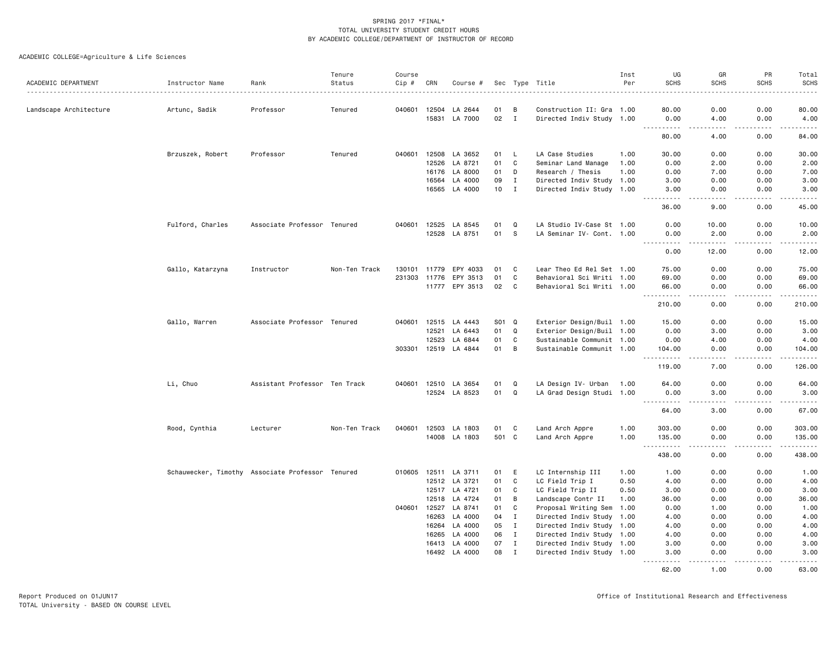| ACADEMIC DEPARTMENT    | Instructor Name                                  | Rank                          | Tenure<br>Status | Course<br>Cip # | CRN          | Course #                 |          |                   | Sec Type Title                                         | Inst<br>Per | UG<br><b>SCHS</b>         | GR<br><b>SCHS</b>                                                                                                                                             | PR<br><b>SCHS</b> | Total<br><b>SCHS</b>  |
|------------------------|--------------------------------------------------|-------------------------------|------------------|-----------------|--------------|--------------------------|----------|-------------------|--------------------------------------------------------|-------------|---------------------------|---------------------------------------------------------------------------------------------------------------------------------------------------------------|-------------------|-----------------------|
|                        |                                                  |                               |                  |                 |              |                          |          |                   |                                                        |             |                           |                                                                                                                                                               |                   |                       |
| Landscape Architecture | Artunc, Sadik                                    | Professor                     | Tenured          |                 | 040601 12504 | LA 2644                  | 01       | B                 | Construction II: Gra 1.00                              |             | 80.00                     | 0.00                                                                                                                                                          | 0.00              | 80.00                 |
|                        |                                                  |                               |                  |                 |              | 15831 LA 7000            | 02       | $\mathbf{I}$      | Directed Indiv Study 1.00                              |             | 0.00<br>.                 | 4.00<br>$\sim$ $\sim$ $\sim$                                                                                                                                  | 0.00<br>-----     | 4.00<br>.             |
|                        |                                                  |                               |                  |                 |              |                          |          |                   |                                                        |             | 80.00                     | 4.00                                                                                                                                                          | 0.00              | 84.00                 |
|                        | Brzuszek, Robert                                 | Professor                     | Tenured          | 040601          | 12508        | LA 3652                  | 01       | <b>L</b>          | LA Case Studies                                        | 1.00        | 30.00                     | 0.00                                                                                                                                                          | 0.00              | 30.00                 |
|                        |                                                  |                               |                  |                 |              | 12526 LA 8721            | 01       | C                 | Seminar Land Manage                                    | 1.00        | 0.00                      | 2.00                                                                                                                                                          | 0.00              | 2.00                  |
|                        |                                                  |                               |                  |                 |              | 16176 LA 8000            | 01       | D                 | Research / Thesis                                      | 1.00        | 0.00                      | 7.00                                                                                                                                                          | 0.00              | 7.00                  |
|                        |                                                  |                               |                  |                 | 16564        | LA 4000                  | 09       | $\mathbf{I}$      | Directed Indiv Study 1.00                              |             | 3.00                      | 0.00                                                                                                                                                          | 0.00              | 3.00                  |
|                        |                                                  |                               |                  |                 |              | 16565 LA 4000            | 10       | $\mathbf{I}$      | Directed Indiv Study 1.00                              |             | 3.00                      | 0.00                                                                                                                                                          | 0.00              | 3.00                  |
|                        |                                                  |                               |                  |                 |              |                          |          |                   |                                                        |             | 36.00                     | 9.00                                                                                                                                                          | 0.00              | 45.00                 |
|                        | Fulford, Charles                                 | Associate Professor Tenured   |                  |                 | 040601 12525 | LA 8545                  | 01       | Q                 | LA Studio IV-Case St 1.00                              |             | 0.00                      | 10.00                                                                                                                                                         | 0.00              | 10.00                 |
|                        |                                                  |                               |                  |                 |              | 12528 LA 8751            | 01       | <b>S</b>          | LA Seminar IV- Cont. 1.00                              |             | 0.00                      | 2.00                                                                                                                                                          | 0.00              | 2.00                  |
|                        |                                                  |                               |                  |                 |              |                          |          |                   |                                                        |             | <u>.</u><br>0.00          | $\frac{1}{2} \left( \frac{1}{2} \right) \left( \frac{1}{2} \right) \left( \frac{1}{2} \right) \left( \frac{1}{2} \right) \left( \frac{1}{2} \right)$<br>12.00 | -----<br>0.00     | .<br>12.00            |
|                        | Gallo, Katarzyna                                 | Instructor                    | Non-Ten Track    |                 | 130101 11779 | EPY 4033                 | 01       | C                 | Lear Theo Ed Rel Set 1.00                              |             | 75.00                     | 0.00                                                                                                                                                          | 0.00              | 75.00                 |
|                        |                                                  |                               |                  |                 | 231303 11776 | EPY 3513                 | 01       | C                 | Behavioral Sci Writi 1.00                              |             | 69.00                     | 0.00                                                                                                                                                          | 0.00              | 69.00                 |
|                        |                                                  |                               |                  |                 |              | 11777 EPY 3513           | 02       | C                 | Behavioral Sci Writi 1.00                              |             | 66.00                     | 0.00                                                                                                                                                          | 0.00              | 66.00                 |
|                        |                                                  |                               |                  |                 |              |                          |          |                   |                                                        |             | .<br>210.00               | .<br>0.00                                                                                                                                                     | -----<br>0.00     | .<br>210.00           |
|                        | Gallo, Warren                                    | Associate Professor Tenured   |                  |                 |              | 040601 12515 LA 4443     | S01 Q    |                   | Exterior Design/Buil 1.00                              |             | 15.00                     | 0.00                                                                                                                                                          | 0.00              | 15.00                 |
|                        |                                                  |                               |                  |                 | 12521        | LA 6443                  | 01       | $\Omega$          | Exterior Design/Buil 1.00                              |             | 0.00                      | 3.00                                                                                                                                                          | 0.00              | 3.00                  |
|                        |                                                  |                               |                  |                 | 12523        | LA 6844                  | 01       | C                 | Sustainable Communit 1.00                              |             | 0.00                      | 4.00                                                                                                                                                          | 0.00              | 4.00                  |
|                        |                                                  |                               |                  |                 |              | 303301 12519 LA 4844     | 01       | B                 | Sustainable Communit 1.00                              |             | 104.00<br><b>.</b>        | 0.00<br>.                                                                                                                                                     | 0.00<br>.         | 104.00<br>2.2.2.2.2.3 |
|                        |                                                  |                               |                  |                 |              |                          |          |                   |                                                        |             | 119.00                    | 7.00                                                                                                                                                          | 0.00              | 126.00                |
|                        | Li, Chuo                                         | Assistant Professor Ten Track |                  |                 | 040601 12510 | LA 3654                  | 01       | Q                 | LA Design IV- Urban                                    | 1.00        | 64.00                     | 0.00                                                                                                                                                          | 0.00              | 64.00                 |
|                        |                                                  |                               |                  |                 |              | 12524 LA 8523            | 01       | $\Omega$          | LA Grad Design Studi 1.00                              |             | 0.00<br>$\sim 100$<br>.   | 3.00<br>.                                                                                                                                                     | 0.00<br>.         | 3.00<br>.             |
|                        |                                                  |                               |                  |                 |              |                          |          |                   |                                                        |             | 64.00                     | 3.00                                                                                                                                                          | 0.00              | 67.00                 |
|                        | Rood, Cynthia                                    | Lecturer                      | Non-Ten Track    |                 |              | 040601 12503 LA 1803     | 01       | C                 | Land Arch Appre                                        | 1.00        | 303.00                    | 0.00                                                                                                                                                          | 0.00              | 303.00                |
|                        |                                                  |                               |                  |                 |              | 14008 LA 1803            | 501 C    |                   | Land Arch Appre                                        | 1.00        | 135.00<br>.               | 0.00<br>$\sim$ $\sim$ $\sim$ $\sim$                                                                                                                           | 0.00<br>.         | 135.00                |
|                        |                                                  |                               |                  |                 |              |                          |          |                   |                                                        |             | $\sim$ $\sim$ .<br>438.00 | 0.00                                                                                                                                                          | 0.00              | 438.00                |
|                        | Schauwecker, Timothy Associate Professor Tenured |                               |                  |                 |              | 010605 12511 LA 3711     | 01       | E                 | LC Internship III                                      | 1.00        | 1.00                      | 0.00                                                                                                                                                          | 0.00              | 1.00                  |
|                        |                                                  |                               |                  |                 |              | 12512 LA 3721            | 01       | C                 | LC Field Trip I                                        | 0.50        | 4.00                      | 0.00                                                                                                                                                          | 0.00              | 4.00                  |
|                        |                                                  |                               |                  |                 |              | 12517 LA 4721            | 01       | C                 | LC Field Trip II                                       | 0.50        | 3.00                      | 0.00                                                                                                                                                          | 0.00              | 3.00                  |
|                        |                                                  |                               |                  |                 | 12518        | LA 4724                  | 01       | B                 | Landscape Contr II                                     | 1.00        | 36.00                     | 0.00                                                                                                                                                          | 0.00              | 36.00                 |
|                        |                                                  |                               |                  | 040601          | 12527        | LA 8741                  | 01       | C                 | Proposal Writing Sem                                   | 1.00        | 0.00                      | 1.00                                                                                                                                                          | 0.00              | 1.00                  |
|                        |                                                  |                               |                  |                 |              | 16263 LA 4000            | 04       | $\mathbf{I}$<br>I | Directed Indiv Study 1.00                              |             | 4.00                      | 0.00                                                                                                                                                          | 0.00              | 4.00                  |
|                        |                                                  |                               |                  |                 | 16265        | 16264 LA 4000<br>LA 4000 | 05<br>06 | $\mathbf{I}$      | Directed Indiv Study 1.00<br>Directed Indiv Study 1.00 |             | 4.00<br>4.00              | 0.00<br>0.00                                                                                                                                                  | 0.00<br>0.00      | 4.00<br>4.00          |
|                        |                                                  |                               |                  |                 | 16413        | LA 4000                  | 07       | $\mathbf{I}$      | Directed Indiv Study 1.00                              |             | 3.00                      | 0.00                                                                                                                                                          | 0.00              | 3.00                  |
|                        |                                                  |                               |                  |                 | 16492        | LA 4000                  | 08       | $\mathbf{I}$      | Directed Indiv Study 1.00                              |             | 3.00                      | 0.00                                                                                                                                                          | 0.00              | 3.00                  |
|                        |                                                  |                               |                  |                 |              |                          |          |                   |                                                        |             | .<br>62.00                | $\frac{1}{2}$<br>1.00                                                                                                                                         | .<br>0.00         | 63.00                 |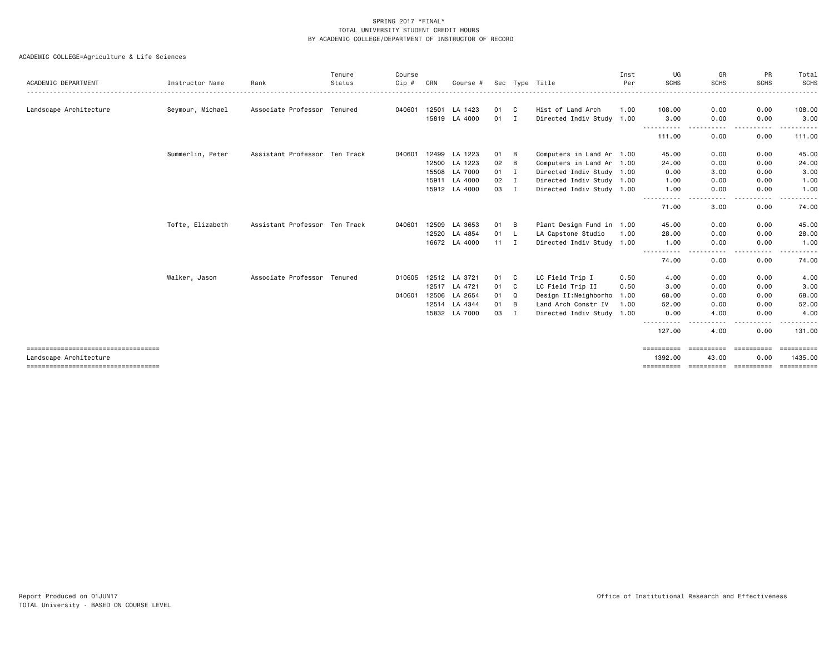| ACADEMIC DEPARTMENT                                           | Instructor Name  | Rank                          | Tenure<br>Status | Course<br>Cip # | CRN   | Course #                 |              |              | Sec Type Title                                         | Inst<br>Per | UG<br><b>SCHS</b>           | GR<br><b>SCHS</b>   | PR<br><b>SCHS</b>  | Total<br>SCHS                                                                                                                                                |
|---------------------------------------------------------------|------------------|-------------------------------|------------------|-----------------|-------|--------------------------|--------------|--------------|--------------------------------------------------------|-------------|-----------------------------|---------------------|--------------------|--------------------------------------------------------------------------------------------------------------------------------------------------------------|
| Landscape Architecture                                        | Seymour, Michael | Associate Professor Tenured   |                  | 040601          | 12501 | LA 1423<br>15819 LA 4000 | 01<br>01 I   | $\mathbf{C}$ | Hist of Land Arch<br>Directed Indiv Study 1.00         | 1.00        | 108.00<br>3.00              | 0.00<br>0.00        | 0.00<br>0.00       | 108.00<br>3.00                                                                                                                                               |
|                                                               |                  |                               |                  |                 |       |                          |              |              |                                                        |             | 111.00                      | 0.00                | 0.00               | 111.00                                                                                                                                                       |
|                                                               | Summerlin, Peter | Assistant Professor Ten Track |                  | 040601          | 12499 | LA 1223                  | 01           | B            | Computers in Land Ar 1.00                              |             | 45.00                       | 0.00                | 0.00               | 45.00                                                                                                                                                        |
|                                                               |                  |                               |                  |                 | 12500 | LA 1223                  | 02           | B            | Computers in Land Ar 1.00                              |             | 24.00                       | 0.00                | 0.00               | 24.00                                                                                                                                                        |
|                                                               |                  |                               |                  |                 | 15508 | LA 7000                  | 01           | $\mathbf{I}$ | Directed Indiv Study 1.00                              |             | 0.00                        | 3.00                | 0.00               | 3.00                                                                                                                                                         |
|                                                               |                  |                               |                  |                 | 15911 | LA 4000<br>15912 LA 4000 | 02<br>03     | I<br>I       | Directed Indiv Study 1.00<br>Directed Indiv Study 1.00 |             | 1.00<br>1.00                | 0.00<br>0.00        | 0.00<br>0.00       | 1.00<br>1.00                                                                                                                                                 |
|                                                               |                  |                               |                  |                 |       |                          |              |              |                                                        |             | .                           | $\frac{1}{2}$       | .                  | .                                                                                                                                                            |
|                                                               |                  |                               |                  |                 |       |                          |              |              |                                                        |             | 71.00                       | 3.00                | 0.00               | 74.00                                                                                                                                                        |
|                                                               | Tofte, Elizabeth | Assistant Professor Ten Track |                  | 040601          |       | 12509 LA 3653            | 01           | B            | Plant Design Fund in 1.00                              |             | 45.00                       | 0.00                | 0.00               | 45.00                                                                                                                                                        |
|                                                               |                  |                               |                  |                 |       | 12520 LA 4854            | 01           | - L          | LA Capstone Studio                                     | 1.00        | 28.00                       | 0.00                | 0.00               | 28.00                                                                                                                                                        |
|                                                               |                  |                               |                  |                 |       | 16672 LA 4000            | $11 \quad I$ |              | Directed Indiv Study 1.00                              |             | 1.00<br>- - - - - - - - - - | 0.00<br>$\cdots$    | 0.00<br>$\cdots$   | 1.00<br>$\frac{1}{2} \left( \frac{1}{2} \right) \left( \frac{1}{2} \right) \left( \frac{1}{2} \right) \left( \frac{1}{2} \right) \left( \frac{1}{2} \right)$ |
|                                                               |                  |                               |                  |                 |       |                          |              |              |                                                        |             | 74.00                       | 0.00                | 0.00               | 74.00                                                                                                                                                        |
|                                                               | Walker, Jason    | Associate Professor Tenured   |                  | 010605          |       | 12512 LA 3721            | 01           | C.           | LC Field Trip I                                        | 0.50        | 4.00                        | 0.00                | 0.00               | 4.00                                                                                                                                                         |
|                                                               |                  |                               |                  |                 | 12517 | LA 4721                  | 01           | C            | LC Field Trip II                                       | 0.50        | 3.00                        | 0.00                | 0.00               | 3.00                                                                                                                                                         |
|                                                               |                  |                               |                  | 040601          | 12506 | LA 2654                  | 01           | Q            | Design II:Neighborho                                   | 1.00        | 68.00                       | 0.00                | 0.00               | 68.00                                                                                                                                                        |
|                                                               |                  |                               |                  |                 | 12514 | LA 4344                  | 01           | B            | Land Arch Constr IV                                    | 1.00        | 52.00                       | 0.00                | 0.00               | 52.00                                                                                                                                                        |
|                                                               |                  |                               |                  |                 | 15832 | LA 7000                  | 03           | Ι.           | Directed Indiv Study 1.00                              |             | 0.00                        | 4.00<br>- - - -     | 0.00<br>$- - - -$  | 4.00                                                                                                                                                         |
|                                                               |                  |                               |                  |                 |       |                          |              |              |                                                        |             | 127.00                      | 4.00                | 0.00               | 131.00                                                                                                                                                       |
| -----------------------------------<br>Landscape Architecture |                  |                               |                  |                 |       |                          |              |              |                                                        |             | ==========<br>1392.00       | ==========<br>43.00 | ==========<br>0.00 | ==========<br>1435,00                                                                                                                                        |
| =====================================                         |                  |                               |                  |                 |       |                          |              |              |                                                        |             | ==========                  | -----------         | -----------        | -----------                                                                                                                                                  |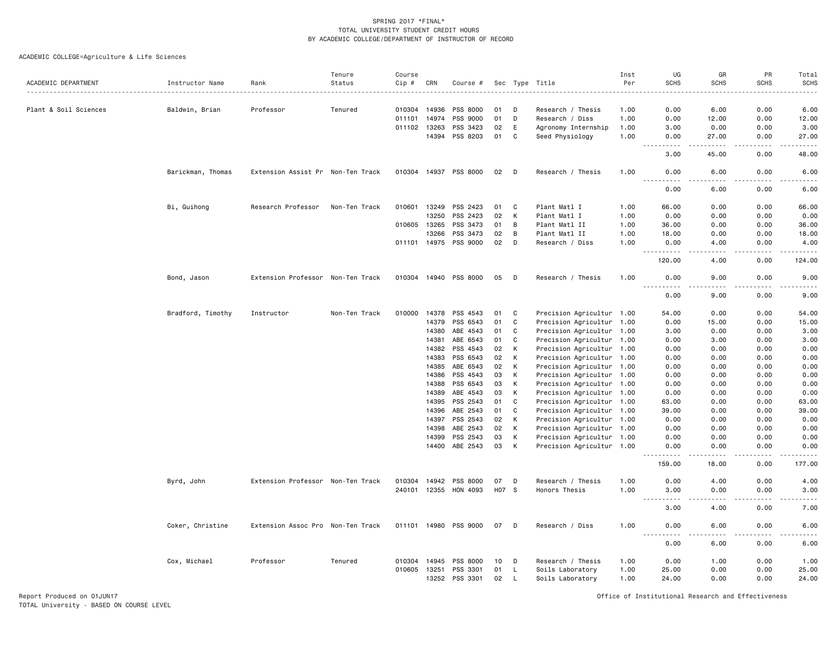ACADEMIC COLLEGE=Agriculture & Life Sciences

|                       |                   |                                   | Tenure        | Course       |                |                       |          |              |                                                        | Inst | UG                                                                                                                                                               | GR                           | PR           | Total                                |
|-----------------------|-------------------|-----------------------------------|---------------|--------------|----------------|-----------------------|----------|--------------|--------------------------------------------------------|------|------------------------------------------------------------------------------------------------------------------------------------------------------------------|------------------------------|--------------|--------------------------------------|
| ACADEMIC DEPARTMENT   | Instructor Name   | Rank                              | Status        | Cip #        | CRN            | Course #              |          |              | Sec Type Title                                         | Per  | <b>SCHS</b>                                                                                                                                                      | <b>SCHS</b>                  | <b>SCHS</b>  | <b>SCHS</b>                          |
| Plant & Soil Sciences |                   | Professor                         | Tenured       |              | 010304 14936   | PSS 8000              | 01       | D            | Research / Thesis                                      | 1.00 | 0.00                                                                                                                                                             | 6.00                         | 0.00         | 6.00                                 |
|                       | Baldwin, Brian    |                                   |               | 011101       | 14974          | PSS 9000              | 01       | D            | Research / Diss                                        | 1.00 | 0.00                                                                                                                                                             | 12.00                        | 0.00         | 12.00                                |
|                       |                   |                                   |               | 011102 13263 |                | PSS 3423              | 02       | E            | Agronomy Internship                                    | 1.00 | 3.00                                                                                                                                                             | 0.00                         | 0.00         | 3.00                                 |
|                       |                   |                                   |               |              | 14394          | PSS 8203              | 01       | C            | Seed Physiology                                        | 1.00 | 0.00                                                                                                                                                             | 27.00                        | 0.00         | 27.00                                |
|                       |                   |                                   |               |              |                |                       |          |              |                                                        |      | $- - - -$<br>$\sim$ $\sim$ $\sim$<br>3.00                                                                                                                        | .<br>45.00                   | .<br>0.00    | $\sim$ $\sim$ $\sim$ $\sim$<br>48.00 |
|                       | Barickman, Thomas | Extension Assist Pr Non-Ten Track |               |              |                | 010304 14937 PSS 8000 | 02       | D            | Research / Thesis                                      | 1.00 | 0.00                                                                                                                                                             | 6.00                         | 0.00         | 6.00                                 |
|                       |                   |                                   |               |              |                |                       |          |              |                                                        |      | 0.00                                                                                                                                                             | 6.00                         | 0.00         | 6.00                                 |
|                       | Bi, Guihong       | Research Professor                | Non-Ten Track | 010601       | 13249          | PSS 2423              | 01       | C            | Plant Matl I                                           | 1.00 | 66.00                                                                                                                                                            | 0.00                         | 0.00         | 66.00                                |
|                       |                   |                                   |               |              | 13250          | PSS 2423              | 02       | К            | Plant Matl I                                           | 1.00 | 0.00                                                                                                                                                             | 0.00                         | 0.00         | 0.00                                 |
|                       |                   |                                   |               | 010605 13265 |                | PSS 3473              | 01       | В            | Plant Matl II                                          | 1.00 | 36.00                                                                                                                                                            | 0.00                         | 0.00         | 36.00                                |
|                       |                   |                                   |               |              | 13266          | PSS 3473              | 02       | B            | Plant Matl II                                          | 1.00 | 18.00                                                                                                                                                            | 0.00                         | 0.00         | 18.00                                |
|                       |                   |                                   |               |              |                | 011101 14975 PSS 9000 | 02       | D            | Research / Diss                                        | 1.00 | 0.00<br>.                                                                                                                                                        | 4.00                         | 0.00         | 4.00<br>.                            |
|                       |                   |                                   |               |              |                |                       |          |              |                                                        |      | 120.00                                                                                                                                                           | 4.00                         | 0.00         | 124.00                               |
|                       | Bond, Jason       | Extension Professor Non-Ten Track |               |              |                | 010304 14940 PSS 8000 | 05       | D            | Research / Thesis                                      | 1.00 | 0.00<br>$- - - -$<br>.                                                                                                                                           | 9.00<br>$\frac{1}{2}$        | 0.00<br>.    | 9.00<br>$- - - -$                    |
|                       |                   |                                   |               |              |                |                       |          |              |                                                        |      | 0.00                                                                                                                                                             | 9.00                         | 0.00         | 9.00                                 |
|                       | Bradford, Timothy | Instructor                        | Non-Ten Track | 010000       |                | 14378 PSS 4543        | 01       | C            | Precision Agricultur 1.00                              |      | 54.00                                                                                                                                                            | 0.00                         | 0.00         | 54.00                                |
|                       |                   |                                   |               |              | 14379          | PSS 6543              | 01       | C            | Precision Agricultur 1.00                              |      | 0.00                                                                                                                                                             | 15.00                        | 0.00         | 15.00                                |
|                       |                   |                                   |               |              | 14380          | ABE 4543              | 01       | C            | Precision Agricultur 1.00                              |      | 3.00                                                                                                                                                             | 0.00                         | 0.00         | 3.00                                 |
|                       |                   |                                   |               |              | 14381          | ABE 6543              | 01       | C            | Precision Agricultur 1.00                              |      | 0.00                                                                                                                                                             | 3.00                         | 0.00         | 3.00                                 |
|                       |                   |                                   |               |              | 14382          | PSS 4543              | 02       | К            | Precision Agricultur 1.00                              |      | 0.00                                                                                                                                                             | 0.00                         | 0.00         | 0.00                                 |
|                       |                   |                                   |               |              | 14383          | PSS 6543              | 02       | К            | Precision Agricultur 1.00                              |      | 0.00                                                                                                                                                             | 0.00                         | 0.00         | 0.00                                 |
|                       |                   |                                   |               |              | 14385          | ABE 6543              | 02       | К            | Precision Agricultur 1.00                              |      | 0.00                                                                                                                                                             | 0.00                         | 0.00         | 0.00                                 |
|                       |                   |                                   |               |              | 14386          | PSS 4543              | 03       | К            | Precision Agricultur 1.00                              |      | 0.00                                                                                                                                                             | 0.00                         | 0.00         | 0.00                                 |
|                       |                   |                                   |               |              | 14388          | PSS 6543              | 03       | К            | Precision Agricultur 1.00                              |      | 0.00                                                                                                                                                             | 0.00                         | 0.00         | 0.00                                 |
|                       |                   |                                   |               |              | 14389          | ABE 4543              | 03       | К            | Precision Agricultur 1.00                              |      | 0.00                                                                                                                                                             | 0.00                         | 0.00         | 0.00                                 |
|                       |                   |                                   |               |              | 14395          | PSS 2543              | 01       | C            | Precision Agricultur 1.00                              |      | 63.00                                                                                                                                                            | 0.00                         | 0.00         | 63.00                                |
|                       |                   |                                   |               |              | 14396          | ABE 2543              | 01       | $\mathtt{C}$ | Precision Agricultur 1.00                              |      | 39.00                                                                                                                                                            | 0.00                         | 0.00         | 39.00                                |
|                       |                   |                                   |               |              | 14397          | PSS 2543              | 02       | К            | Precision Agricultur 1.00                              |      | 0.00                                                                                                                                                             | 0.00                         | 0.00         | 0.00                                 |
|                       |                   |                                   |               |              | 14398          | ABE 2543              | 02       | К            | Precision Agricultur 1.00                              |      | 0.00                                                                                                                                                             | 0.00                         | 0.00         | 0.00                                 |
|                       |                   |                                   |               |              | 14399<br>14400 | PSS 2543<br>ABE 2543  | 03<br>03 | К<br>K       | Precision Agricultur 1.00<br>Precision Agricultur 1.00 |      | 0.00<br>0.00                                                                                                                                                     | 0.00<br>0.00                 | 0.00<br>0.00 | 0.00<br>0.00                         |
|                       |                   |                                   |               |              |                |                       |          |              |                                                        |      | .<br>159.00                                                                                                                                                      | .<br>18.00                   | .<br>0.00    | .<br>177.00                          |
|                       |                   |                                   |               |              |                |                       |          |              |                                                        |      |                                                                                                                                                                  |                              |              |                                      |
|                       | Byrd, John        | Extension Professor Non-Ten Track |               | 010304       | 14942          | PSS 8000              | 07       | D            | Research / Thesis                                      | 1.00 | 0.00                                                                                                                                                             | 4.00                         | 0.00         | 4.00                                 |
|                       |                   |                                   |               |              | 240101 12355   | HON 4093              | H07 S    |              | Honors Thesis                                          | 1.00 | 3.00<br>$\sim$ $\sim$ $\sim$ $\sim$<br>$\frac{1}{2} \left( \frac{1}{2} \right) \left( \frac{1}{2} \right) \left( \frac{1}{2} \right) \left( \frac{1}{2} \right)$ | 0.00<br>$\sim$ $\sim$ $\sim$ | 0.00<br>.    | 3.00<br>.                            |
|                       |                   |                                   |               |              |                |                       |          |              |                                                        |      | 3.00                                                                                                                                                             | 4.00                         | 0.00         | 7.00                                 |
|                       | Coker, Christine  | Extension Assoc Pro Non-Ten Track |               |              |                | 011101 14980 PSS 9000 | 07       | D            | Research / Diss                                        | 1.00 | 0.00                                                                                                                                                             | 6.00                         | 0.00         | 6.00                                 |
|                       |                   |                                   |               |              |                |                       |          |              |                                                        |      | 0.00                                                                                                                                                             | 6.00                         | 0.00         | 6.00                                 |
|                       | Cox, Michael      | Professor                         | Tenured       | 010304 14945 |                | PSS 8000              | 10       | D            | Research / Thesis                                      | 1.00 | 0.00                                                                                                                                                             | 1.00                         | 0.00         | 1.00                                 |
|                       |                   |                                   |               | 010605 13251 |                | PSS 3301              | 01       | - L          | Soils Laboratory                                       | 1.00 | 25.00                                                                                                                                                            | 0.00                         | 0.00         | 25.00                                |
|                       |                   |                                   |               |              | 13252          | PSS 3301              | 02       | <b>L</b>     | Soils Laboratory                                       | 1.00 | 24.00                                                                                                                                                            | 0.00                         | 0.00         | 24.00                                |

Report Produced on 01JUN17 Office of Institutional Research and Effectiveness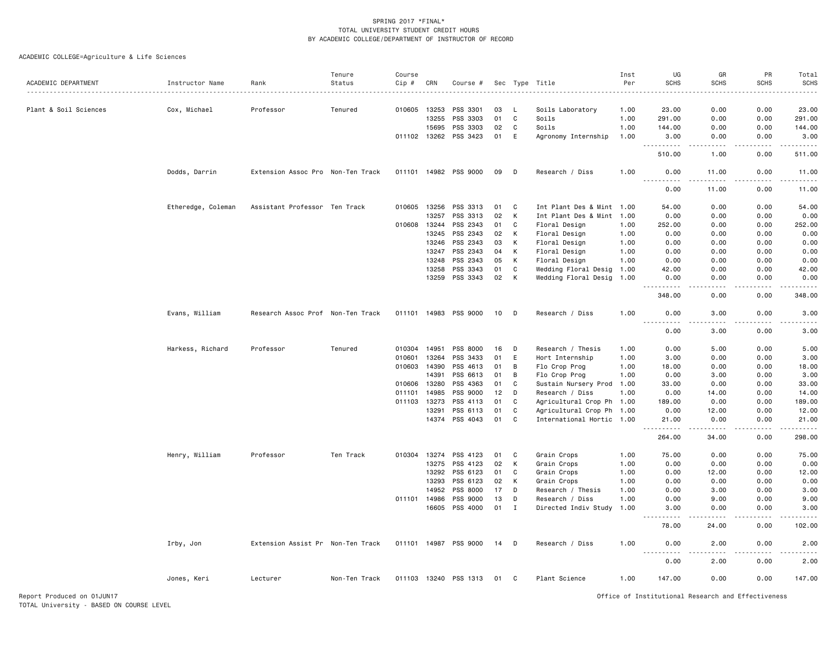|                       |                    |                                   | Tenure        | Course       |              |                       |    |             |                           | Inst     | UG                    | GR                    | PR          | Total       |
|-----------------------|--------------------|-----------------------------------|---------------|--------------|--------------|-----------------------|----|-------------|---------------------------|----------|-----------------------|-----------------------|-------------|-------------|
| ACADEMIC DEPARTMENT   | Instructor Name    | Rank                              | Status        | Cip #        | CRN          | Course #              |    |             | Sec Type Title            | Per<br>. | <b>SCHS</b>           | <b>SCHS</b>           | <b>SCHS</b> | <b>SCHS</b> |
| Plant & Soil Sciences | Cox, Michael       | Professor                         | Tenured       | 010605       | 13253        | PSS 3301              | 03 | - L         | Soils Laboratory          | 1.00     | 23.00                 | 0.00                  | 0.00        | 23.00       |
|                       |                    |                                   |               |              | 13255        | PSS 3303              | 01 | C           | Soils                     | 1.00     | 291.00                | 0.00                  | 0.00        | 291.00      |
|                       |                    |                                   |               |              | 15695        | PSS 3303              | 02 | C           | Soils                     | 1.00     | 144.00                | 0.00                  | 0.00        | 144.00      |
|                       |                    |                                   |               |              | 011102 13262 | PSS 3423              | 01 | E           | Agronomy Internship       | 1.00     | 3.00<br><u>.</u>      | 0.00<br>.             | 0.00<br>.   | 3.00<br>.   |
|                       |                    |                                   |               |              |              |                       |    |             |                           |          | 510.00                | 1.00                  | 0.00        | 511.00      |
|                       | Dodds, Darrin      | Extension Assoc Pro Non-Ten Track |               |              |              | 011101 14982 PSS 9000 | 09 | D           | Research / Diss           | 1.00     | 0.00<br>. <b>.</b>    | 11.00<br><u>.</u>     | 0.00<br>.   | 11.00<br>.  |
|                       |                    |                                   |               |              |              |                       |    |             |                           |          | 0.00                  | 11.00                 | 0.00        | 11.00       |
|                       | Etheredge, Coleman | Assistant Professor Ten Track     |               | 010605       | 13256        | PSS 3313              | 01 | C           | Int Plant Des & Mint      | 1.00     | 54.00                 | 0.00                  | 0.00        | 54.00       |
|                       |                    |                                   |               |              | 13257        | PSS 3313              | 02 | К           | Int Plant Des & Mint 1.00 |          | 0.00                  | 0.00                  | 0.00        | 0.00        |
|                       |                    |                                   |               | 010608 13244 |              | PSS 2343              | 01 | C           | Floral Design             | 1.00     | 252.00                | 0.00                  | 0.00        | 252.00      |
|                       |                    |                                   |               |              | 13245        | PSS 2343              | 02 | K           | Floral Design             | 1.00     | 0.00                  | 0.00                  | 0.00        | 0.00        |
|                       |                    |                                   |               |              | 13246        | PSS 2343              | 03 | к           | Floral Design             | 1.00     | 0.00                  | 0.00                  | 0.00        | 0.00        |
|                       |                    |                                   |               |              | 13247        | PSS 2343              | 04 | К           | Floral Design             | 1.00     | 0.00                  | 0.00                  | 0.00        | 0.00        |
|                       |                    |                                   |               |              | 13248        | PSS 2343              | 05 | K           | Floral Design             | 1.00     | 0.00                  | 0.00                  | 0.00        | 0.00        |
|                       |                    |                                   |               |              | 13258        | PSS 3343              | 01 | C           | Wedding Floral Desig      | 1.00     | 42.00                 | 0.00                  | 0.00        | 42.00       |
|                       |                    |                                   |               |              | 13259        | PSS 3343              | 02 | K           | Wedding Floral Desig      | 1.00     | 0.00<br>.             | 0.00                  | 0.00        | 0.00        |
|                       |                    |                                   |               |              |              |                       |    |             |                           |          | 348.00                | 0.00                  | 0.00        | 348.00      |
|                       | Evans, William     | Research Assoc Prof Non-Ten Track |               |              |              | 011101 14983 PSS 9000 | 10 | D           | Research / Diss           | 1.00     | 0.00<br>$\frac{1}{2}$ | 3.00                  | 0.00        | 3.00        |
|                       |                    |                                   |               |              |              |                       |    |             |                           |          | 0.00                  | 3.00                  | 0.00        | 3.00        |
|                       | Harkess, Richard   | Professor                         | Tenured       | 010304 14951 |              | PSS 8000              | 16 | D           | Research / Thesis         | 1.00     | 0.00                  | 5.00                  | 0.00        | 5.00        |
|                       |                    |                                   |               | 010601       | 13264        | PSS 3433              | 01 | E           | Hort Internship           | 1.00     | 3.00                  | 0.00                  | 0.00        | 3.00        |
|                       |                    |                                   |               | 010603       | 14390        | PSS 4613              | 01 | B           | Flo Crop Prog             | 1.00     | 18.00                 | 0.00                  | 0.00        | 18.00       |
|                       |                    |                                   |               |              | 14391        | PSS 6613              | 01 | B           | Flo Crop Prog             | 1.00     | 0.00                  | 3.00                  | 0.00        | 3.00        |
|                       |                    |                                   |               | 010606       | 13280        | PSS 4363              | 01 | C           | Sustain Nursery Prod 1.00 |          | 33.00                 | 0.00                  | 0.00        | 33.00       |
|                       |                    |                                   |               | 011101       | 14985        | PSS 9000              | 12 | D           | Research / Diss           | 1.00     | 0.00                  | 14.00                 | 0.00        | 14.00       |
|                       |                    |                                   |               | 011103       | 13273        | PSS 4113              | 01 | C           | Agricultural Crop Ph 1.00 |          | 189.00                | 0.00                  | 0.00        | 189.00      |
|                       |                    |                                   |               |              | 13291        | PSS 6113              | 01 | C           | Agricultural Crop Ph 1.00 |          | 0.00                  | 12.00                 | 0.00        | 12.00       |
|                       |                    |                                   |               |              |              | 14374 PSS 4043        | 01 | C           | International Hortic 1.00 |          | 21.00<br>$  -$<br>.   | 0.00<br>$\frac{1}{2}$ | 0.00<br>.   | 21.00<br>.  |
|                       |                    |                                   |               |              |              |                       |    |             |                           |          | 264.00                | 34.00                 | 0.00        | 298.00      |
|                       | Henry, William     | Professor                         | Ten Track     |              |              | 010304 13274 PSS 4123 | 01 | C           | Grain Crops               | 1.00     | 75.00                 | 0.00                  | 0.00        | 75.00       |
|                       |                    |                                   |               |              | 13275        | PSS 4123              | 02 | к           | Grain Crops               | 1.00     | 0.00                  | 0.00                  | 0.00        | 0.00        |
|                       |                    |                                   |               |              | 13292        | PSS 6123              | 01 | C           | Grain Crops               | 1.00     | 0.00                  | 12.00                 | 0.00        | 12.00       |
|                       |                    |                                   |               |              | 13293        | PSS 6123              | 02 | K           | Grain Crops               | 1.00     | 0.00                  | 0.00                  | 0.00        | 0.00        |
|                       |                    |                                   |               |              | 14952        | PSS 8000              | 17 | D           | Research / Thesis         | 1.00     | 0.00                  | 3.00                  | 0.00        | 3.00        |
|                       |                    |                                   |               |              | 011101 14986 | PSS 9000              | 13 | D           | Research / Diss           | 1.00     | 0.00                  | 9.00                  | 0.00        | 9.00        |
|                       |                    |                                   |               |              |              | 16605 PSS 4000        | 01 | $\mathbf I$ | Directed Indiv Study 1.00 |          | 3.00<br>.             | 0.00                  | 0.00        | 3.00<br>.   |
|                       |                    |                                   |               |              |              |                       |    |             |                           |          | 78.00                 | 24.00                 | 0.00        | 102.00      |
|                       | Irby, Jon          | Extension Assist Pr Non-Ten Track |               | 011101 14987 |              | PSS 9000              | 14 | D           | Research / Diss           | 1.00     | 0.00                  | 2.00                  | 0.00        | 2.00        |
|                       |                    |                                   |               |              |              |                       |    |             |                           |          | 0.00                  | 2.00                  | 0.00        | 2.00        |
|                       | Jones, Keri        | Lecturer                          | Non-Ten Track |              |              | 011103 13240 PSS 1313 | 01 | C           | Plant Science             | 1.00     | 147.00                | 0.00                  | 0.00        | 147.00      |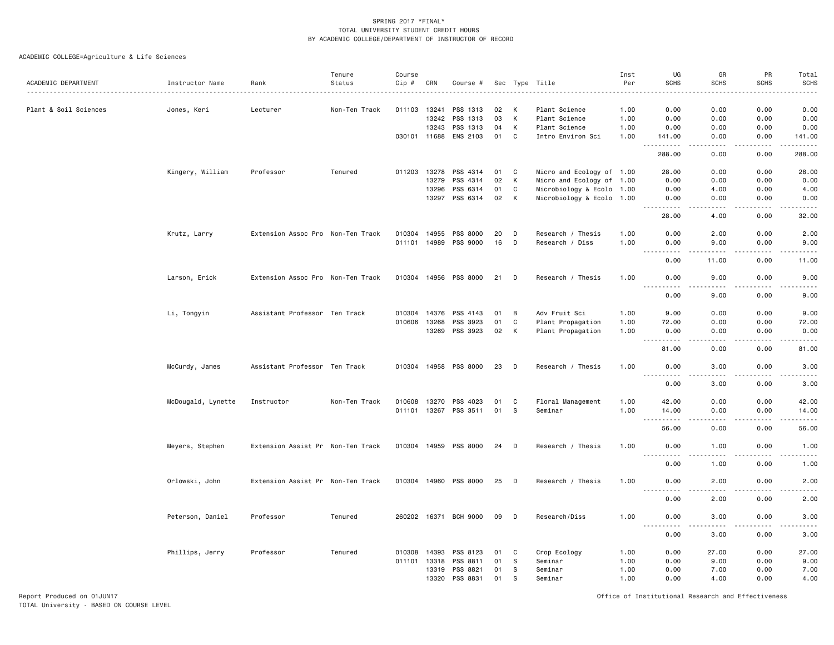ACADEMIC COLLEGE=Agriculture & Life Sciences

| ACADEMIC DEPARTMENT   |                    |                                   | Tenure                 | Course       |              |                       |    |              |                           | Inst<br>Per | UG<br><b>SCHS</b>                                                                                                                                                               | GR<br><b>SCHS</b> | PR<br><b>SCHS</b> | Total                                                                                                                             |
|-----------------------|--------------------|-----------------------------------|------------------------|--------------|--------------|-----------------------|----|--------------|---------------------------|-------------|---------------------------------------------------------------------------------------------------------------------------------------------------------------------------------|-------------------|-------------------|-----------------------------------------------------------------------------------------------------------------------------------|
|                       | Instructor Name    | Rank                              | Status<br>. <u>.</u> . | Cip #        | CRN          | Course #              |    |              | Sec Type Title            |             |                                                                                                                                                                                 |                   |                   | <b>SCHS</b><br>$\sim$ $\sim$ $\sim$ $\sim$                                                                                        |
| Plant & Soil Sciences | Jones, Keri        | Lecturer                          | Non-Ten Track          |              | 011103 13241 | PSS 1313              | 02 | K            | Plant Science             | 1.00        | 0.00                                                                                                                                                                            | 0.00              | 0.00              | 0.00                                                                                                                              |
|                       |                    |                                   |                        |              | 13242        | PSS 1313              | 03 | K            | Plant Science             | 1.00        | 0.00                                                                                                                                                                            | 0.00              | 0.00              | 0.00                                                                                                                              |
|                       |                    |                                   |                        |              | 13243        | PSS 1313              | 04 | К            | Plant Science             | 1.00        | 0.00                                                                                                                                                                            | 0.00              | 0.00              | 0.00                                                                                                                              |
|                       |                    |                                   |                        |              | 030101 11688 | ENS 2103              | 01 | C            | Intro Environ Sci         | 1.00        | 141.00                                                                                                                                                                          | 0.00              | 0.00              | 141.00                                                                                                                            |
|                       |                    |                                   |                        |              |              |                       |    |              |                           |             | $\sim$ $\sim$<br>$\frac{1}{2} \left( \frac{1}{2} \right) \left( \frac{1}{2} \right) \left( \frac{1}{2} \right) \left( \frac{1}{2} \right) \left( \frac{1}{2} \right)$<br>288.00 | 0.00              | 0.00              | 288.00                                                                                                                            |
|                       | Kingery, William   | Professor                         | Tenured                |              | 011203 13278 | PSS 4314              | 01 | C            | Micro and Ecology of 1.00 |             | 28.00                                                                                                                                                                           | 0.00              | 0.00              | 28.00                                                                                                                             |
|                       |                    |                                   |                        |              | 13279        | PSS 4314              | 02 | K            | Micro and Ecology of 1.00 |             | 0.00                                                                                                                                                                            | 0.00              | 0.00              | 0.00                                                                                                                              |
|                       |                    |                                   |                        |              | 13296        | PSS 6314              | 01 | $\mathbf{C}$ | Microbiology & Ecolo 1.00 |             | 0.00                                                                                                                                                                            | 4.00              | 0.00              | 4.00                                                                                                                              |
|                       |                    |                                   |                        |              | 13297        | PSS 6314              | 02 | K            | Microbiology & Ecolo 1.00 |             | 0.00                                                                                                                                                                            | 0.00              | 0.00              | 0.00                                                                                                                              |
|                       |                    |                                   |                        |              |              |                       |    |              |                           |             | <u>.</u><br>$- - -$<br>28.00                                                                                                                                                    | .<br>4.00         | .<br>0.00         | .<br>32.00                                                                                                                        |
|                       | Krutz, Larry       | Extension Assoc Pro Non-Ten Track |                        | 010304 14955 |              | PSS 8000              | 20 | D            | Research / Thesis         | 1.00        | 0.00                                                                                                                                                                            | 2.00              | 0.00              | 2.00                                                                                                                              |
|                       |                    |                                   |                        |              | 011101 14989 | PSS 9000              | 16 | D            | Research / Diss           | 1.00        | 0.00                                                                                                                                                                            | 9.00              | 0.00              | 9.00                                                                                                                              |
|                       |                    |                                   |                        |              |              |                       |    |              |                           |             | .<br>$\sim$ $\sim$ $\sim$<br>0.00                                                                                                                                               | .<br>11.00        | .<br>0.00         | . <u>.</u> .<br>11.00                                                                                                             |
|                       | Larson, Erick      | Extension Assoc Pro Non-Ten Track |                        |              |              | 010304 14956 PSS 8000 | 21 | D            | Research / Thesis         | 1.00        | 0.00                                                                                                                                                                            | 9.00              | 0.00              | 9.00                                                                                                                              |
|                       |                    |                                   |                        |              |              |                       |    |              |                           |             | $\sim$ $\sim$ $\sim$<br>$  -$<br>0.00                                                                                                                                           | 9.00              | 0.00              | 9.00                                                                                                                              |
|                       | Li, Tongyin        | Assistant Professor Ten Track     |                        |              | 010304 14376 | PSS 4143              | 01 | B            | Adv Fruit Sci             | 1.00        | 9.00                                                                                                                                                                            | 0.00              | 0.00              | 9.00                                                                                                                              |
|                       |                    |                                   |                        | 010606       | 13268        | PSS 3923              | 01 | C            | Plant Propagation         | 1.00        | 72.00                                                                                                                                                                           | 0.00              | 0.00              | 72.00                                                                                                                             |
|                       |                    |                                   |                        |              |              | 13269 PSS 3923        | 02 | K            | Plant Propagation         | 1.00        | 0.00                                                                                                                                                                            | 0.00              | 0.00              | 0.00                                                                                                                              |
|                       |                    |                                   |                        |              |              |                       |    |              |                           |             | <u>.</u>                                                                                                                                                                        |                   |                   | .                                                                                                                                 |
|                       |                    |                                   |                        |              |              |                       |    |              |                           |             | 81.00                                                                                                                                                                           | 0.00              | 0.00              | 81.00                                                                                                                             |
|                       | McCurdy, James     | Assistant Professor Ten Track     |                        |              |              | 010304 14958 PSS 8000 | 23 | D            | Research / Thesis         | 1.00        | 0.00<br>.                                                                                                                                                                       | 3.00              | 0.00              | 3.00<br>$\frac{1}{2} \left( \frac{1}{2} \right) \left( \frac{1}{2} \right) \left( \frac{1}{2} \right) \left( \frac{1}{2} \right)$ |
|                       |                    |                                   |                        |              |              |                       |    |              |                           |             | 0.00                                                                                                                                                                            | 3.00              | 0.00              | 3.00                                                                                                                              |
|                       | McDougald, Lynette | Instructor                        | Non-Ten Track          | 010608       | 13270        | PSS 4023              | 01 | C            | Floral Management         | 1.00        | 42.00                                                                                                                                                                           | 0.00              | 0.00              | 42.00                                                                                                                             |
|                       |                    |                                   |                        |              |              | 011101 13267 PSS 3511 | 01 | S            | Seminar                   | 1.00        | 14.00                                                                                                                                                                           | 0.00              | 0.00              | 14.00                                                                                                                             |
|                       |                    |                                   |                        |              |              |                       |    |              |                           |             | .<br>$  -$                                                                                                                                                                      | د د د د           | .                 | .                                                                                                                                 |
|                       |                    |                                   |                        |              |              |                       |    |              |                           |             | 56.00                                                                                                                                                                           | 0.00              | 0.00              | 56.00                                                                                                                             |
|                       | Meyers, Stephen    | Extension Assist Pr Non-Ten Track |                        |              |              | 010304 14959 PSS 8000 | 24 | D            | Research / Thesis         | 1.00        | 0.00<br>.<br>$- - -$                                                                                                                                                            | 1.00<br>.         | 0.00<br>.         | 1.00<br>$\frac{1}{2}$                                                                                                             |
|                       |                    |                                   |                        |              |              |                       |    |              |                           |             | 0.00                                                                                                                                                                            | 1.00              | 0.00              | 1.00                                                                                                                              |
|                       | Orlowski, John     | Extension Assist Pr Non-Ten Track |                        |              | 010304 14960 | PSS 8000              | 25 | D            | Research / Thesis         | 1.00        | 0.00<br>.                                                                                                                                                                       | 2.00<br>.         | 0.00<br>.         | 2.00<br>.                                                                                                                         |
|                       |                    |                                   |                        |              |              |                       |    |              |                           |             | 0.00                                                                                                                                                                            | 2.00              | 0.00              | 2.00                                                                                                                              |
|                       | Peterson, Daniel   | Professor                         | Tenured                |              |              | 260202 16371 BCH 9000 | 09 | D            | Research/Diss             | 1.00        | 0.00                                                                                                                                                                            | 3.00              | 0.00              | 3.00                                                                                                                              |
|                       |                    |                                   |                        |              |              |                       |    |              |                           |             | 0.00                                                                                                                                                                            | 3.00              | 0.00              | 3.00                                                                                                                              |
|                       | Phillips, Jerry    | Professor                         | Tenured                | 010308       | 14393        | PSS 8123              | 01 | C            | Crop Ecology              | 1.00        | 0.00                                                                                                                                                                            | 27.00             | 0.00              | 27.00                                                                                                                             |
|                       |                    |                                   |                        |              | 011101 13318 | PSS 8811              | 01 | s            | Seminar                   | 1.00        | 0.00                                                                                                                                                                            | 9.00              | 0.00              | 9.00                                                                                                                              |
|                       |                    |                                   |                        |              | 13319        | PSS 8821              | 01 | s            | Seminar                   | 1.00        | 0.00                                                                                                                                                                            | 7.00              | 0.00              | 7.00                                                                                                                              |
|                       |                    |                                   |                        |              | 13320        | PSS 8831              | 01 | S            | Seminar                   | 1.00        | 0.00                                                                                                                                                                            | 4.00              | 0.00              | 4.00                                                                                                                              |

Report Produced on 01JUN17 Office of Institutional Research and Effectiveness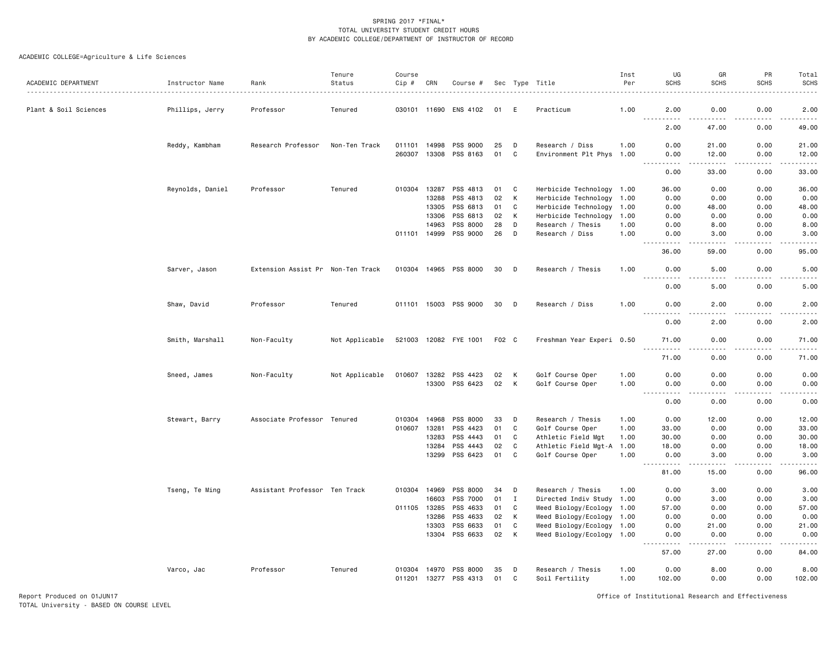| ACADEMIC DEPARTMENT   | Instructor Name  | Rank                              | Tenure<br>Status | Course<br>Cip # | CRN                          | Course #                   |          |        | Sec Type Title                            | Inst<br>Per  | UG<br><b>SCHS</b>                                                                                      | GR<br><b>SCHS</b>                                                                                                                                             | PR<br><b>SCHS</b> | Total<br><b>SCHS</b> |
|-----------------------|------------------|-----------------------------------|------------------|-----------------|------------------------------|----------------------------|----------|--------|-------------------------------------------|--------------|--------------------------------------------------------------------------------------------------------|---------------------------------------------------------------------------------------------------------------------------------------------------------------|-------------------|----------------------|
| Plant & Soil Sciences | Phillips, Jerry  | Professor                         | Tenured          |                 |                              | 030101 11690 ENS 4102      | 01       | E      | Practicum                                 | 1.00         | 2.00                                                                                                   | 0.00                                                                                                                                                          | 0.00              | 2.00                 |
|                       |                  |                                   |                  |                 |                              |                            |          |        |                                           |              | .<br>2.00                                                                                              | 47.00                                                                                                                                                         | 0.00              | 49.00                |
|                       | Reddy, Kambham   | Research Professor                | Non-Ten Track    | 011101          | 14998                        | PSS 9000                   | 25       | D      | Research / Diss                           | 1.00         | 0.00                                                                                                   | 21.00                                                                                                                                                         | 0.00              | 21.00                |
|                       |                  |                                   |                  |                 | 260307 13308                 | PSS 8163                   | 01       | C      | Environment Plt Phys 1.00                 |              | 0.00<br>$\sim$ $\sim$ $\sim$<br>بالمحاد                                                                | 12.00<br>$\frac{1}{2} \left( \frac{1}{2} \right) \left( \frac{1}{2} \right) \left( \frac{1}{2} \right) \left( \frac{1}{2} \right) \left( \frac{1}{2} \right)$ | 0.00              | 12.00                |
|                       |                  |                                   |                  |                 |                              |                            |          |        |                                           |              | 0.00                                                                                                   | 33.00                                                                                                                                                         | 0.00              | 33.00                |
|                       | Reynolds, Daniel | Professor                         | Tenured          |                 | 010304 13287                 | PSS 4813                   | 01       | C      | Herbicide Technology 1.00                 |              | 36.00                                                                                                  | 0.00                                                                                                                                                          | 0.00              | 36.00                |
|                       |                  |                                   |                  |                 | 13288                        | PSS 4813                   | 02       | К      | Herbicide Technology                      | 1.00         | 0.00                                                                                                   | 0.00                                                                                                                                                          | 0.00              | 0.00                 |
|                       |                  |                                   |                  |                 | 13305                        | PSS 6813                   | 01       | C      | Herbicide Technology 1.00                 |              | 0.00                                                                                                   | 48.00                                                                                                                                                         | 0.00              | 48.00                |
|                       |                  |                                   |                  |                 | 13306<br>14963               | PSS 6813<br>PSS 8000       | 02<br>28 | К<br>D | Herbicide Technology<br>Research / Thesis | 1.00<br>1.00 | 0.00<br>0.00                                                                                           | 0.00<br>8.00                                                                                                                                                  | 0.00<br>0.00      | 0.00<br>8.00         |
|                       |                  |                                   |                  |                 | 011101 14999                 | PSS 9000                   | 26       | D      | Research / Diss                           | 1.00         | 0.00                                                                                                   | 3.00                                                                                                                                                          | 0.00              | 3,00                 |
|                       |                  |                                   |                  |                 |                              |                            |          |        |                                           |              |                                                                                                        |                                                                                                                                                               |                   |                      |
|                       |                  |                                   |                  |                 |                              |                            |          |        |                                           |              | 36.00                                                                                                  | 59.00                                                                                                                                                         | 0.00              | 95.00                |
|                       | Sarver, Jason    | Extension Assist Pr Non-Ten Track |                  |                 |                              | 010304 14965 PSS 8000      | 30       | D      | Research / Thesis                         | 1.00         | 0.00<br>$\frac{1}{2} \left( \frac{1}{2} \right) \left( \frac{1}{2} \right) \left( \frac{1}{2} \right)$ | 5.00                                                                                                                                                          | 0.00              | 5.00                 |
|                       |                  |                                   |                  |                 |                              |                            |          |        |                                           |              | 0.00                                                                                                   | 5.00                                                                                                                                                          | 0.00              | 5.00                 |
|                       | Shaw, David      | Professor                         | Tenured          |                 |                              | 011101 15003 PSS 9000      | 30       | D      | Research / Diss                           | 1.00         | 0.00                                                                                                   | 2.00                                                                                                                                                          | 0.00              | 2.00                 |
|                       |                  |                                   |                  |                 |                              |                            |          |        |                                           |              | 0.00                                                                                                   | 2.00                                                                                                                                                          | 0.00              | 2.00                 |
|                       | Smith, Marshall  | Non-Faculty                       | Not Applicable   |                 |                              | 521003 12082 FYE 1001      | F02 C    |        | Freshman Year Experi 0.50                 |              | 71.00                                                                                                  | 0.00                                                                                                                                                          | 0.00              | 71.00                |
|                       |                  |                                   |                  |                 |                              |                            |          |        |                                           |              | $\frac{1}{2}$<br>71.00                                                                                 | $\sim$ $\sim$ $\sim$ $\sim$<br>0.00                                                                                                                           | بالمستعاد<br>0.00 | 71.00                |
|                       | Sneed, James     | Non-Faculty                       | Not Applicable   | 010607          | 13282                        | PSS 4423                   | 02       | К      | Golf Course Oper                          | 1.00         | 0.00                                                                                                   | 0.00                                                                                                                                                          | 0.00              | 0.00                 |
|                       |                  |                                   |                  |                 | 13300                        | PSS 6423                   | 02       | К      | Golf Course Oper                          | 1.00         | 0.00<br>.                                                                                              | 0.00<br>.                                                                                                                                                     | 0.00<br>.         | 0.00<br>والمناصبات   |
|                       |                  |                                   |                  |                 |                              |                            |          |        |                                           |              | 0.00                                                                                                   | 0.00                                                                                                                                                          | 0.00              | 0.00                 |
|                       | Stewart, Barry   | Associate Professor Tenured       |                  | 010304          | 14968                        | PSS 8000                   | 33       | D      | Research / Thesis                         | 1.00         | 0.00                                                                                                   | 12.00                                                                                                                                                         | 0.00              | 12.00                |
|                       |                  |                                   |                  | 010607          | 13281                        | PSS 4423                   | 01       | C      | Golf Course Oper                          | 1.00         | 33.00                                                                                                  | 0.00                                                                                                                                                          | 0.00              | 33.00                |
|                       |                  |                                   |                  |                 | 13283                        | PSS 4443                   | 01       | C      | Athletic Field Mgt                        | 1.00         | 30.00                                                                                                  | 0.00                                                                                                                                                          | 0.00              | 30.00                |
|                       |                  |                                   |                  |                 | 13284                        | PSS 4443                   | 02       | C      | Athletic Field Mgt-A 1.00                 |              | 18.00                                                                                                  | 0.00                                                                                                                                                          | 0.00              | 18.00                |
|                       |                  |                                   |                  |                 | 13299                        | PSS 6423                   | 01       | C      | Golf Course Oper                          | 1.00         | 0.00<br>$- - - - -$                                                                                    | 3.00                                                                                                                                                          | 0.00              | 3.00                 |
|                       |                  |                                   |                  |                 |                              |                            |          |        |                                           |              | 81.00                                                                                                  | 15.00                                                                                                                                                         | 0.00              | 96.00                |
|                       | Tseng, Te Ming   | Assistant Professor Ten Track     |                  |                 | 010304 14969                 | PSS 8000                   | 34       | D      | Research / Thesis                         | 1.00         | 0.00                                                                                                   | 3.00                                                                                                                                                          | 0.00              | 3.00                 |
|                       |                  |                                   |                  |                 | 16603                        | PSS 7000                   | 01       | I      | Directed Indiv Study 1.00                 |              | 0.00                                                                                                   | 3.00                                                                                                                                                          | 0.00              | 3.00                 |
|                       |                  |                                   |                  |                 | 011105 13285                 | PSS 4633                   | 01       | C      | Weed Biology/Ecology 1.00                 |              | 57.00                                                                                                  | 0.00                                                                                                                                                          | 0.00              | 57.00                |
|                       |                  |                                   |                  |                 | 13286                        | PSS 4633                   | 02       | К      | Weed Biology/Ecology                      | 1.00         | 0.00                                                                                                   | 0.00                                                                                                                                                          | 0.00              | 0.00                 |
|                       |                  |                                   |                  |                 | 13303                        | PSS 6633<br>13304 PSS 6633 | 01<br>02 | C<br>К | Weed Biology/Ecology 1.00                 |              | 0.00<br>0.00                                                                                           | 21.00<br>0.00                                                                                                                                                 | 0.00<br>0.00      | 21.00<br>0.00        |
|                       |                  |                                   |                  |                 |                              |                            |          |        | Weed Biology/Ecology 1.00                 |              | .                                                                                                      | .                                                                                                                                                             | .                 |                      |
|                       |                  |                                   |                  |                 |                              |                            |          |        |                                           |              | 57.00                                                                                                  | 27.00                                                                                                                                                         | 0.00              | 84.00                |
|                       | Varco, Jac       | Professor                         | Tenured          |                 | 010304 14970<br>011201 13277 | PSS 8000<br>PSS 4313       | 35<br>01 | D<br>C | Research / Thesis<br>Soil Fertility       | 1.00<br>1.00 | 0.00<br>102.00                                                                                         | 8.00<br>0.00                                                                                                                                                  | 0.00<br>0.00      | 8.00<br>102.00       |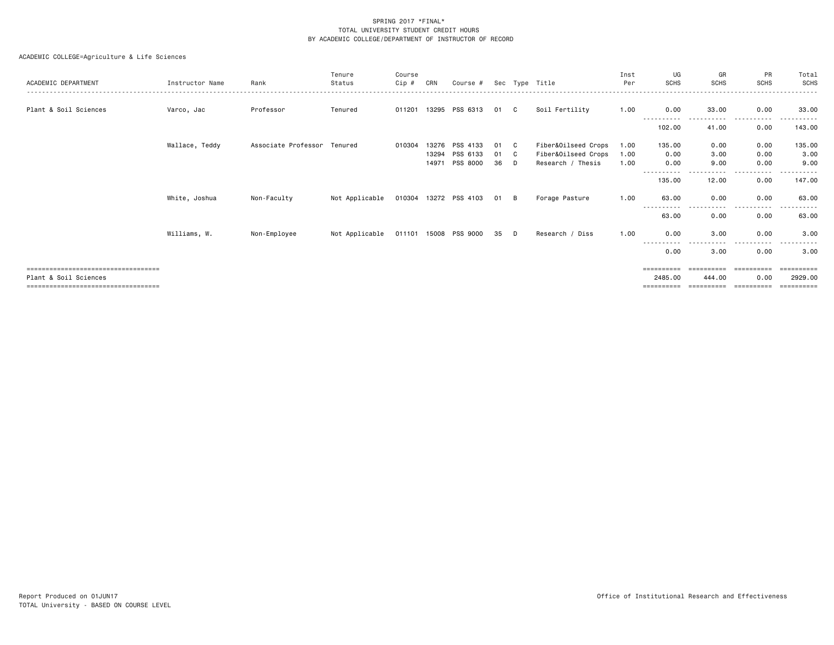| ACADEMIC DEPARTMENT                                                                                   | Instructor Name | Rank                        | Tenure<br>Status | Course<br>Cip # | CRN                     | Course #                         |                |               | Sec Type Title                                                  | Inst<br>Per          | UG<br><b>SCHS</b>                              | GR<br><b>SCHS</b>                   | PR<br><b>SCHS</b>                            | Total<br><b>SCHS</b>                |
|-------------------------------------------------------------------------------------------------------|-----------------|-----------------------------|------------------|-----------------|-------------------------|----------------------------------|----------------|---------------|-----------------------------------------------------------------|----------------------|------------------------------------------------|-------------------------------------|----------------------------------------------|-------------------------------------|
| Plant & Soil Sciences                                                                                 | Varco, Jac      | Professor                   | Tenured          | 011201          |                         | 13295 PSS 6313                   | 01             | C             | Soil Fertility                                                  | 1.00                 | 0.00<br>------<br>.                            | 33.00<br>. <b>.</b>                 | 0.00<br>.<br>.                               | 33.00                               |
|                                                                                                       |                 |                             |                  |                 |                         |                                  |                |               |                                                                 |                      | 102.00                                         | 41.00                               | 0.00                                         | 143.00                              |
|                                                                                                       | Wallace, Teddy  | Associate Professor Tenured |                  | 010304          | 13276<br>13294<br>14971 | PSS 4133<br>PSS 6133<br>PSS 8000 | 01<br>01<br>36 | C.<br>C.<br>D | Fiber&Oilseed Crops<br>Fiber&Oilseed Crops<br>Research / Thesis | 1.00<br>1.00<br>1.00 | 135.00<br>0.00<br>0.00                         | 0.00<br>3.00<br>9.00                | 0.00<br>0.00<br>0.00                         | 135.00<br>3.00<br>9.00              |
|                                                                                                       |                 |                             |                  |                 |                         |                                  |                |               |                                                                 |                      | 135,00                                         | 12.00                               | 0.00                                         | 147.00                              |
|                                                                                                       | White, Joshua   | Non-Faculty                 | Not Applicable   |                 |                         | 010304 13272 PSS 4103            | 01 B           |               | Forage Pasture                                                  | 1.00                 | 63.00                                          | 0.00                                | 0.00                                         | 63.00                               |
|                                                                                                       |                 |                             |                  |                 |                         |                                  |                |               |                                                                 |                      | -----------<br>63.00                           | - - - -<br>0.00                     | .<br>0.00                                    | .<br>63.00                          |
|                                                                                                       | Williams, W.    | Non-Employee                | Not Applicable   |                 |                         | 011101 15008 PSS 9000            | 35             | D             | Research / Diss                                                 | 1.00                 | 0.00                                           | 3.00                                | 0.00                                         | 3.00                                |
|                                                                                                       |                 |                             |                  |                 |                         |                                  |                |               |                                                                 |                      | -----<br>0.00                                  | 3.00                                | 0.00                                         | 3.00                                |
| ====================================<br>Plant & Soil Sciences<br>==================================== |                 |                             |                  |                 |                         |                                  |                |               |                                                                 |                      | $=$ = = = = = = = = =<br>2485.00<br>========== | -----------<br>444.00<br>========== | -----------<br>0.00<br>$=$ = = = = = = = = = | ==========<br>2929.00<br>========== |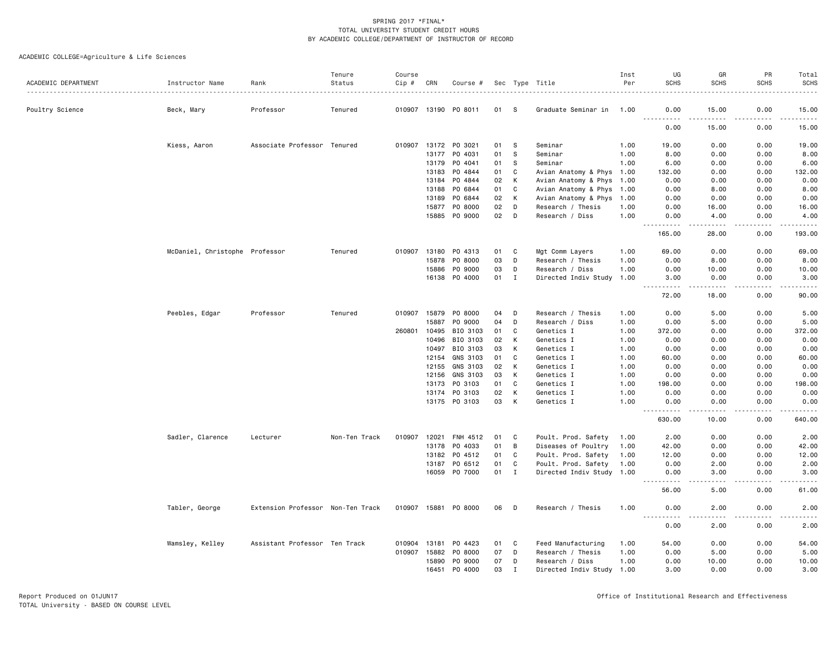| ACADEMIC DEPARTMENT | Instructor Name                | Rank                              | Tenure<br>Status | Course<br>Cip # | CRN          |                      |    |              |                           | Inst<br>Per | UG<br><b>SCHS</b>                                                                                                                                                                                               | GR<br><b>SCHS</b>                                                                                                                                             | PR<br><b>SCHS</b> | Total<br><b>SCHS</b>                                                                                                              |
|---------------------|--------------------------------|-----------------------------------|------------------|-----------------|--------------|----------------------|----|--------------|---------------------------|-------------|-----------------------------------------------------------------------------------------------------------------------------------------------------------------------------------------------------------------|---------------------------------------------------------------------------------------------------------------------------------------------------------------|-------------------|-----------------------------------------------------------------------------------------------------------------------------------|
|                     |                                |                                   |                  |                 |              | Course #             |    |              | Sec Type Title            |             |                                                                                                                                                                                                                 |                                                                                                                                                               |                   |                                                                                                                                   |
| Poultry Science     | Beck, Mary                     | Professor                         | Tenured          |                 |              | 010907 13190 PO 8011 | 01 | - S          | Graduate Seminar in       | 1.00        | 0.00                                                                                                                                                                                                            | 15.00                                                                                                                                                         | 0.00              | 15.00                                                                                                                             |
|                     |                                |                                   |                  |                 |              |                      |    |              |                           |             | .<br>0.00                                                                                                                                                                                                       | .<br>15.00                                                                                                                                                    | .<br>0.00         | .<br>15.00                                                                                                                        |
|                     | Kiess, Aaron                   | Associate Professor Tenured       |                  |                 |              | 010907 13172 PO 3021 | 01 | -S           | Seminar                   | 1.00        | 19.00                                                                                                                                                                                                           | 0.00                                                                                                                                                          | 0.00              | 19.00                                                                                                                             |
|                     |                                |                                   |                  |                 | 13177        | PO 4031              | 01 | <b>S</b>     | Seminar                   | 1.00        | 8.00                                                                                                                                                                                                            | 0.00                                                                                                                                                          | 0.00              | 8.00                                                                                                                              |
|                     |                                |                                   |                  |                 | 13179        | PO 4041              | 01 | -S           | Seminar                   | 1.00        | 6.00                                                                                                                                                                                                            | 0.00                                                                                                                                                          | 0.00              | 6.00                                                                                                                              |
|                     |                                |                                   |                  |                 |              | 13183 PO 4844        | 01 | C            | Avian Anatomy & Phys 1.00 |             | 132.00                                                                                                                                                                                                          | 0.00                                                                                                                                                          | 0.00              | 132.00                                                                                                                            |
|                     |                                |                                   |                  |                 | 13184        | PO 4844              | 02 | К            | Avian Anatomy & Phys 1.00 |             | 0.00                                                                                                                                                                                                            | 0.00                                                                                                                                                          | 0.00              | 0.00                                                                                                                              |
|                     |                                |                                   |                  |                 | 13188        | PO 6844              | 01 | C            | Avian Anatomy & Phys 1.00 |             | 0.00                                                                                                                                                                                                            | 8.00                                                                                                                                                          | 0.00              | 8.00                                                                                                                              |
|                     |                                |                                   |                  |                 | 13189        | PO 6844              | 02 | К            | Avian Anatomy & Phys 1.00 |             | 0.00                                                                                                                                                                                                            | 0.00                                                                                                                                                          | 0.00              | 0.00                                                                                                                              |
|                     |                                |                                   |                  |                 | 15877        | PO 8000              | 02 | D            | Research / Thesis         | 1.00        | 0.00                                                                                                                                                                                                            | 16.00                                                                                                                                                         | 0.00              | 16.00                                                                                                                             |
|                     |                                |                                   |                  |                 | 15885        | PO 9000              | 02 | D            | Research / Diss           | 1.00        | 0.00                                                                                                                                                                                                            | 4.00                                                                                                                                                          | 0.00              | 4.00                                                                                                                              |
|                     |                                |                                   |                  |                 |              |                      |    |              |                           |             | <u>.</u><br>165,00                                                                                                                                                                                              | $\frac{1}{2} \left( \frac{1}{2} \right) \left( \frac{1}{2} \right) \left( \frac{1}{2} \right) \left( \frac{1}{2} \right) \left( \frac{1}{2} \right)$<br>28,00 | .<br>0.00         | .<br>193,00                                                                                                                       |
|                     | McDaniel, Christophe Professor |                                   | Tenured          |                 |              | 010907 13180 PO 4313 | 01 | C            | Mgt Comm Layers           | 1.00        | 69.00                                                                                                                                                                                                           | 0.00                                                                                                                                                          | 0.00              | 69.00                                                                                                                             |
|                     |                                |                                   |                  |                 | 15878        | PO 8000              | 03 | D            | Research / Thesis         | 1.00        | 0.00                                                                                                                                                                                                            | 8.00                                                                                                                                                          | 0.00              | 8.00                                                                                                                              |
|                     |                                |                                   |                  |                 | 15886        | PO 9000              | 03 | D            | Research / Diss           | 1.00        | 0.00                                                                                                                                                                                                            | 10.00                                                                                                                                                         | 0.00              | 10.00                                                                                                                             |
|                     |                                |                                   |                  |                 |              | 16138 PO 4000        | 01 | $\mathbf{I}$ | Directed Indiv Study 1.00 |             | 3.00<br>$\sim$ $\sim$ $\sim$<br>$\frac{1}{2} \left( \frac{1}{2} \right) \left( \frac{1}{2} \right) \left( \frac{1}{2} \right) \left( \frac{1}{2} \right) \left( \frac{1}{2} \right) \left( \frac{1}{2} \right)$ | 0.00<br>$\frac{1}{2} \left( \frac{1}{2} \right) \left( \frac{1}{2} \right) \left( \frac{1}{2} \right) \left( \frac{1}{2} \right) \left( \frac{1}{2} \right)$  | 0.00<br>.         | 3.00<br>.                                                                                                                         |
|                     |                                |                                   |                  |                 |              |                      |    |              |                           |             | 72.00                                                                                                                                                                                                           | 18.00                                                                                                                                                         | 0.00              | 90.00                                                                                                                             |
|                     | Peebles, Edgar                 | Professor                         | Tenured          |                 | 010907 15879 | PO 8000              | 04 | D            | Research / Thesis         | 1.00        | 0.00                                                                                                                                                                                                            | 5.00                                                                                                                                                          | 0.00              | 5.00                                                                                                                              |
|                     |                                |                                   |                  |                 | 15887        | PO 9000              | 04 | D            | Research / Diss           | 1.00        | 0.00                                                                                                                                                                                                            | 5.00                                                                                                                                                          | 0.00              | 5.00                                                                                                                              |
|                     |                                |                                   |                  | 260801          | 10495        | BIO 3103             | 01 | C            | Genetics I                | 1.00        | 372.00                                                                                                                                                                                                          | 0.00                                                                                                                                                          | 0.00              | 372.00                                                                                                                            |
|                     |                                |                                   |                  |                 | 10496        | BIO 3103             | 02 | К            | Genetics I                | 1.00        | 0.00                                                                                                                                                                                                            | 0.00                                                                                                                                                          | 0.00              | 0.00                                                                                                                              |
|                     |                                |                                   |                  |                 | 10497        | BIO 3103             | 03 | К            | Genetics I                | 1.00        | 0.00                                                                                                                                                                                                            | 0.00                                                                                                                                                          | 0.00              | 0.00                                                                                                                              |
|                     |                                |                                   |                  |                 | 12154        | GNS 3103             | 01 | C            | Genetics I                | 1.00        | 60.00                                                                                                                                                                                                           | 0.00                                                                                                                                                          | 0.00              | 60.00                                                                                                                             |
|                     |                                |                                   |                  |                 | 12155        | GNS 3103             | 02 | K            | Genetics I                | 1.00        | 0.00                                                                                                                                                                                                            | 0.00                                                                                                                                                          | 0.00              | 0.00                                                                                                                              |
|                     |                                |                                   |                  |                 | 12156        | GNS 3103             | 03 | K            | Genetics I                | 1.00        | 0.00                                                                                                                                                                                                            | 0.00                                                                                                                                                          | 0.00              | 0.00                                                                                                                              |
|                     |                                |                                   |                  |                 | 13173        | PO 3103              | 01 | C            | Genetics I                | 1.00        | 198.00                                                                                                                                                                                                          | 0.00                                                                                                                                                          | 0.00              | 198.00                                                                                                                            |
|                     |                                |                                   |                  |                 |              | 13174 PO 3103        | 02 | К            | Genetics I                | 1.00        | 0.00                                                                                                                                                                                                            | 0.00                                                                                                                                                          | 0.00              | 0.00                                                                                                                              |
|                     |                                |                                   |                  |                 |              | 13175 PO 3103        | 03 | К            | Genetics I                | 1.00        | 0.00<br>.                                                                                                                                                                                                       | 0.00<br>د د د د                                                                                                                                               | 0.00<br>.         | 0.00<br><u>.</u>                                                                                                                  |
|                     |                                |                                   |                  |                 |              |                      |    |              |                           |             | 630.00                                                                                                                                                                                                          | 10.00                                                                                                                                                         | 0.00              | 640.00                                                                                                                            |
|                     | Sadler, Clarence               | Lecturer                          | Non-Ten Track    | 010907          |              | 12021 FNH 4512       | 01 | C            | Poult. Prod. Safety       | 1.00        | 2.00                                                                                                                                                                                                            | 0.00                                                                                                                                                          | 0.00              | 2.00                                                                                                                              |
|                     |                                |                                   |                  |                 | 13178        | PO 4033              | 01 | B            | Diseases of Poultry       | 1.00        | 42.00                                                                                                                                                                                                           | 0.00                                                                                                                                                          | 0.00              | 42.00                                                                                                                             |
|                     |                                |                                   |                  |                 |              | 13182 PO 4512        | 01 | C            | Poult. Prod. Safety       | 1.00        | 12.00                                                                                                                                                                                                           | 0.00                                                                                                                                                          | 0.00              | 12.00                                                                                                                             |
|                     |                                |                                   |                  |                 | 13187        | PO 6512              | 01 | C            | Poult. Prod. Safety       | 1.00        | 0.00                                                                                                                                                                                                            | 2.00                                                                                                                                                          | 0.00              | 2.00                                                                                                                              |
|                     |                                |                                   |                  |                 |              | 16059 PO 7000        | 01 | $\mathbf{I}$ | Directed Indiv Study 1.00 |             | 0.00<br>. <u>.</u>                                                                                                                                                                                              | 3.00<br>.                                                                                                                                                     | 0.00<br>.         | 3.00<br>.                                                                                                                         |
|                     |                                |                                   |                  |                 |              |                      |    |              |                           |             | 56.00                                                                                                                                                                                                           | 5.00                                                                                                                                                          | 0.00              | 61.00                                                                                                                             |
|                     | Tabler, George                 | Extension Professor Non-Ten Track |                  |                 |              | 010907 15881 P0 8000 | 06 | D            | Research / Thesis         | 1.00        | 0.00<br>----------                                                                                                                                                                                              | 2.00<br>.                                                                                                                                                     | 0.00              | 2.00<br>$\frac{1}{2} \left( \frac{1}{2} \right) \left( \frac{1}{2} \right) \left( \frac{1}{2} \right) \left( \frac{1}{2} \right)$ |
|                     |                                |                                   |                  |                 |              |                      |    |              |                           |             | 0.00                                                                                                                                                                                                            | 2.00                                                                                                                                                          | 0.00              | 2.00                                                                                                                              |
|                     | Wamsley, Kelley                | Assistant Professor Ten Track     |                  | 010904 13181    |              | PO 4423              | 01 | C            | Feed Manufacturing        | 1.00        | 54.00                                                                                                                                                                                                           | 0.00                                                                                                                                                          | 0.00              | 54.00                                                                                                                             |
|                     |                                |                                   |                  | 010907 15882    |              | PO 8000              | 07 | D            | Research / Thesis         | 1.00        | 0.00                                                                                                                                                                                                            | 5.00                                                                                                                                                          | 0.00              | 5.00                                                                                                                              |
|                     |                                |                                   |                  |                 | 15890        | PO 9000              | 07 | D            | Research / Diss           | 1.00        | 0.00                                                                                                                                                                                                            | 10.00                                                                                                                                                         | 0.00              | 10.00                                                                                                                             |
|                     |                                |                                   |                  |                 | 16451        | P0 4000              | 03 | $\mathbf I$  | Directed Indiv Study 1.00 |             | 3.00                                                                                                                                                                                                            | 0.00                                                                                                                                                          | 0.00              | 3.00                                                                                                                              |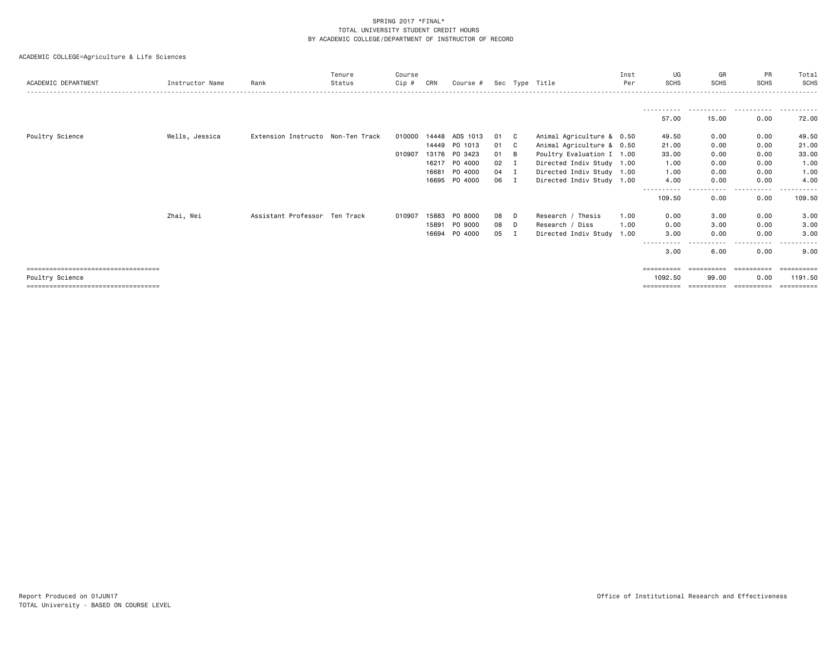| ACADEMIC DEPARTMENT                                      | Instructor Name | Rank                              | Tenure<br>Status | Course<br>Cip # | CRN   | Course # |    |    | Sec Type Title            | Inst<br>Per | UG<br><b>SCHS</b>              | GR<br><b>SCHS</b>   | PR<br><b>SCHS</b>  | Total<br>SCHS         |
|----------------------------------------------------------|-----------------|-----------------------------------|------------------|-----------------|-------|----------|----|----|---------------------------|-------------|--------------------------------|---------------------|--------------------|-----------------------|
|                                                          |                 |                                   |                  |                 |       |          |    |    |                           |             |                                | .                   | .                  | .                     |
|                                                          |                 |                                   |                  |                 |       |          |    |    |                           |             | 57.00                          | 15.00               | 0.00               | 72.00                 |
| Poultry Science                                          | Wells, Jessica  | Extension Instructo Non-Ten Track |                  | 010000          | 14448 | ADS 1013 | 01 | C. | Animal Agriculture & 0.50 |             | 49.50                          | 0.00                | 0.00               | 49.50                 |
|                                                          |                 |                                   |                  |                 | 14449 | PO 1013  | 01 | C  | Animal Agriculture & 0.50 |             | 21.00                          | 0.00                | 0.00               | 21.00                 |
|                                                          |                 |                                   |                  | 010907          | 13176 | PO 3423  | 01 | B  | Poultry Evaluation I 1.00 |             | 33.00                          | 0.00                | 0.00               | 33.00                 |
|                                                          |                 |                                   |                  |                 | 16217 | PO 4000  | 02 |    | Directed Indiv Study 1.00 |             | 1.00                           | 0.00                | 0.00               | 1.00                  |
|                                                          |                 |                                   |                  |                 | 16681 | PO 4000  | 04 |    | Directed Indiv Study 1.00 |             | 1.00                           | 0.00                | 0.00               | 1.00                  |
|                                                          |                 |                                   |                  |                 | 16695 | PO 4000  | 06 | Ι. | Directed Indiv Study 1.00 |             | 4.00                           | 0.00                | 0.00               | 4.00                  |
|                                                          |                 |                                   |                  |                 |       |          |    |    |                           |             | -----------<br>109.50          | .<br>0.00           | .<br>0.00          | .<br>109.50           |
|                                                          | Zhai, Wei       | Assistant Professor Ten Track     |                  | 010907          | 15883 | PO 8000  | 08 | D  | Research / Thesis         | 1.00        | 0.00                           | 3.00                | 0.00               | 3.00                  |
|                                                          |                 |                                   |                  |                 | 15891 | PO 9000  | 08 | D  | Research / Diss           | 1.00        | 0.00                           | 3.00                | 0.00               | 3.00                  |
|                                                          |                 |                                   |                  |                 | 16694 | P0 4000  | 05 | Ι. | Directed Indiv Study 1.00 |             | 3.00                           | 0.00                | 0.00               | 3.00                  |
|                                                          |                 |                                   |                  |                 |       |          |    |    |                           |             | $\cdots \cdots \cdots$<br>3.00 | $\cdots$<br>6.00    | .<br>0.00          | $- - -$<br>9.00       |
| =====================================                    |                 |                                   |                  |                 |       |          |    |    |                           |             | ==========                     | -----------         | -----------        | -----------           |
| Poultry Science<br>===================================== |                 |                                   |                  |                 |       |          |    |    |                           |             | 1092.50<br>==========          | 99.00<br>========== | 0.00<br>========== | 1191.50<br>========== |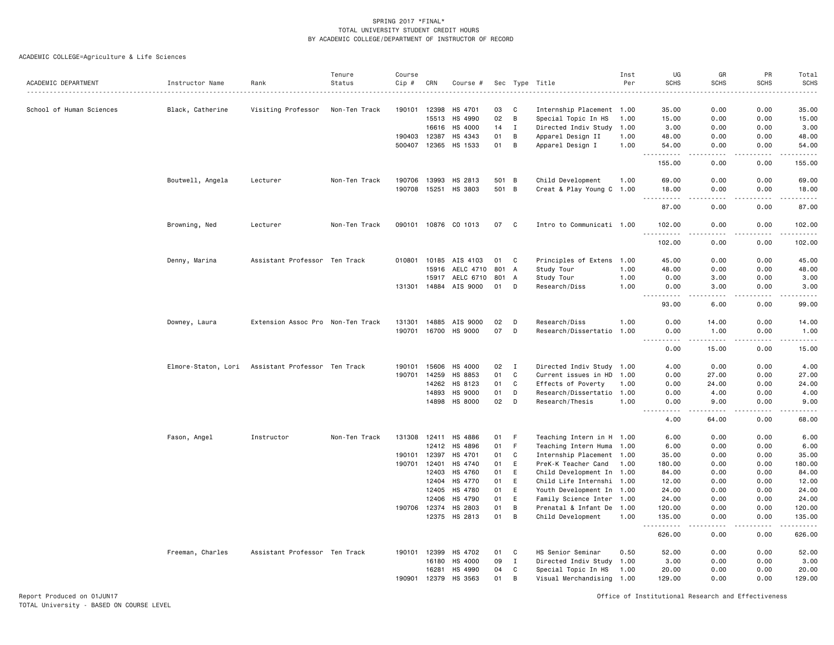ACADEMIC COLLEGE=Agriculture & Life Sciences

| ACADEMIC DEPARTMENT      | Instructor Name  | Rank                                              | Tenure<br>Status | Course<br>Cip # | CRN          | Course #             |     |              | Sec Type Title            | Inst<br>Per | UG<br><b>SCHS</b>                                                                                                                                             | GR<br><b>SCHS</b>            | PR<br><b>SCHS</b>                                                                                                                                            | Total<br><b>SCHS</b> |
|--------------------------|------------------|---------------------------------------------------|------------------|-----------------|--------------|----------------------|-----|--------------|---------------------------|-------------|---------------------------------------------------------------------------------------------------------------------------------------------------------------|------------------------------|--------------------------------------------------------------------------------------------------------------------------------------------------------------|----------------------|
|                          |                  |                                                   |                  |                 |              |                      |     |              |                           |             |                                                                                                                                                               |                              |                                                                                                                                                              |                      |
| School of Human Sciences | Black, Catherine | Visiting Professor                                | Non-Ten Track    | 190101          | 12398        | HS 4701              | 03  | C            | Internship Placement 1.00 |             | 35.00                                                                                                                                                         | 0.00                         | 0.00                                                                                                                                                         | 35.00                |
|                          |                  |                                                   |                  |                 | 15513        | HS 4990              | 02  | B            | Special Topic In HS       | 1.00        | 15.00                                                                                                                                                         | 0.00                         | 0.00                                                                                                                                                         | 15.00                |
|                          |                  |                                                   |                  |                 | 16616        | HS 4000              | 14  | $\mathbf{I}$ | Directed Indiv Study 1.00 |             | 3.00                                                                                                                                                          | 0.00                         | 0.00                                                                                                                                                         | 3.00                 |
|                          |                  |                                                   |                  | 190403          | 12387        | HS 4343              | 01  | B            | Apparel Design II         | 1.00        | 48.00                                                                                                                                                         | 0.00                         | 0.00                                                                                                                                                         | 48.00                |
|                          |                  |                                                   |                  |                 |              | 500407 12365 HS 1533 | 01  | B            | Apparel Design I          | 1.00        | 54.00<br>.                                                                                                                                                    | 0.00<br>د د د د              | 0.00<br>$\frac{1}{2} \left( \frac{1}{2} \right) \left( \frac{1}{2} \right) \left( \frac{1}{2} \right) \left( \frac{1}{2} \right) \left( \frac{1}{2} \right)$ | 54.00<br>.           |
|                          |                  |                                                   |                  |                 |              |                      |     |              |                           |             | 155.00                                                                                                                                                        | 0.00                         | 0.00                                                                                                                                                         | 155.00               |
|                          | Boutwell, Angela | Lecturer                                          | Non-Ten Track    |                 | 190706 13993 | HS 2813              |     | 501 B        | Child Development         | 1.00        | 69.00                                                                                                                                                         | 0.00                         | 0.00                                                                                                                                                         | 69.00                |
|                          |                  |                                                   |                  |                 |              | 190708 15251 HS 3803 |     | 501 B        | Creat & Play Young C 1.00 |             | 18.00<br>$\frac{1}{2} \left( \frac{1}{2} \right) \left( \frac{1}{2} \right) \left( \frac{1}{2} \right) \left( \frac{1}{2} \right) \left( \frac{1}{2} \right)$ | 0.00<br>.                    | 0.00<br>.                                                                                                                                                    | 18.00<br>.           |
|                          |                  |                                                   |                  |                 |              |                      |     |              |                           |             | 87.00                                                                                                                                                         | 0.00                         | 0.00                                                                                                                                                         | 87.00                |
|                          | Browning, Ned    | Lecturer                                          | Non-Ten Track    |                 |              | 090101 10876 CO 1013 | 07  | $\mathbf{C}$ | Intro to Communicati 1.00 |             | 102.00<br>.                                                                                                                                                   | 0.00<br>$   -$               | 0.00<br>.                                                                                                                                                    | 102.00<br><u>.</u>   |
|                          |                  |                                                   |                  |                 |              |                      |     |              |                           |             | 102.00                                                                                                                                                        | 0.00                         | 0.00                                                                                                                                                         | 102.00               |
|                          | Denny, Marina    | Assistant Professor Ten Track                     |                  | 010801          | 10185        | AIS 4103             | 01  | C            | Principles of Extens 1.00 |             | 45.00                                                                                                                                                         | 0.00                         | 0.00                                                                                                                                                         | 45.00                |
|                          |                  |                                                   |                  |                 | 15916        | AELC 4710            | 801 | A            | Study Tour                | 1.00        | 48.00                                                                                                                                                         | 0.00                         | 0.00                                                                                                                                                         | 48.00                |
|                          |                  |                                                   |                  |                 | 15917        | AELC 6710            |     | 801 A        | Study Tour                | 1.00        | 0.00                                                                                                                                                          | 3.00                         | 0.00                                                                                                                                                         | 3.00                 |
|                          |                  |                                                   |                  |                 | 131301 14884 | AIS 9000             | 01  | D            | Research/Diss             | 1.00        | 0.00<br>$\frac{1}{2} \left( \frac{1}{2} \right) \left( \frac{1}{2} \right) \left( \frac{1}{2} \right) \left( \frac{1}{2} \right) \left( \frac{1}{2} \right)$  | 3.00<br>$\sim$ $\sim$ $\sim$ | 0.00<br>.                                                                                                                                                    | 3.00<br>.            |
|                          |                  |                                                   |                  |                 |              |                      |     |              |                           |             | 93.00                                                                                                                                                         | 6.00                         | 0.00                                                                                                                                                         | 99.00                |
|                          | Downey, Laura    | Extension Assoc Pro Non-Ten Track                 |                  | 131301          | 14885        | AIS 9000             | 02  | D            | Research/Diss             | 1.00        | 0.00                                                                                                                                                          | 14.00                        | 0.00                                                                                                                                                         | 14.00                |
|                          |                  |                                                   |                  | 190701          | 16700        | HS 9000              | 07  | D            | Research/Dissertatio      | 1.00        | 0.00<br>$\sim$ $\sim$ $\sim$<br>.                                                                                                                             | 1.00<br>-----                | 0.00                                                                                                                                                         | 1.00<br>.            |
|                          |                  |                                                   |                  |                 |              |                      |     |              |                           |             | 0.00                                                                                                                                                          | 15.00                        | 0.00                                                                                                                                                         | 15.00                |
|                          |                  | Elmore-Staton, Lori Assistant Professor Ten Track |                  | 190101          | 15606        | HS 4000              | 02  | $\mathbf{I}$ | Directed Indiv Study 1.00 |             | 4.00                                                                                                                                                          | 0.00                         | 0.00                                                                                                                                                         | 4.00                 |
|                          |                  |                                                   |                  | 190701          | 14259        | HS 8853              | 01  | C            | Current issues in HD 1.00 |             | 0.00                                                                                                                                                          | 27.00                        | 0.00                                                                                                                                                         | 27.00                |
|                          |                  |                                                   |                  |                 | 14262        | HS 8123              | 01  | C            | Effects of Poverty        | 1.00        | 0.00                                                                                                                                                          | 24.00                        | 0.00                                                                                                                                                         | 24.00                |
|                          |                  |                                                   |                  |                 | 14893        | HS 9000              | 01  | D            | Research/Dissertatio 1.00 |             | 0.00                                                                                                                                                          | 4.00                         | 0.00                                                                                                                                                         | 4.00                 |
|                          |                  |                                                   |                  |                 |              | 14898 HS 8000        | 02  | D            | Research/Thesis           | 1.00        | 0.00                                                                                                                                                          | 9.00                         | 0.00                                                                                                                                                         | 9.00                 |
|                          |                  |                                                   |                  |                 |              |                      |     |              |                           |             | 4.00                                                                                                                                                          | 64.00                        | 0.00                                                                                                                                                         | 68,00                |
|                          | Fason, Angel     | Instructor                                        | Non-Ten Track    |                 |              | 131308 12411 HS 4886 | 01  | $\mathsf F$  | Teaching Intern in H 1.00 |             | 6.00                                                                                                                                                          | 0.00                         | 0.00                                                                                                                                                         | 6.00                 |
|                          |                  |                                                   |                  |                 | 12412        | HS 4896              | 01  | F            | Teaching Intern Huma      | 1.00        | 6.00                                                                                                                                                          | 0.00                         | 0.00                                                                                                                                                         | 6.00                 |
|                          |                  |                                                   |                  | 190101          | 12397        | HS 4701              | 01  | C            | Internship Placement 1.00 |             | 35.00                                                                                                                                                         | 0.00                         | 0.00                                                                                                                                                         | 35.00                |
|                          |                  |                                                   |                  | 190701          | 12401        | HS 4740              | 01  | E            | PreK-K Teacher Cand       | 1.00        | 180.00                                                                                                                                                        | 0.00                         | 0.00                                                                                                                                                         | 180.00               |
|                          |                  |                                                   |                  |                 | 12403        | HS 4760              | 01  | E            | Child Development In 1.00 |             | 84.00                                                                                                                                                         | 0.00                         | 0.00                                                                                                                                                         | 84.00                |
|                          |                  |                                                   |                  |                 | 12404        | HS 4770              | 01  | E            | Child Life Internshi 1.00 |             | 12.00                                                                                                                                                         | 0.00                         | 0.00                                                                                                                                                         | 12.00                |
|                          |                  |                                                   |                  |                 | 12405        | HS 4780              | 01  | E            | Youth Development In 1.00 |             | 24.00                                                                                                                                                         | 0.00                         | 0.00                                                                                                                                                         | 24.00                |
|                          |                  |                                                   |                  |                 | 12406        | HS 4790              | 01  | E            | Family Science Inter 1.00 |             | 24.00                                                                                                                                                         | 0.00                         | 0.00                                                                                                                                                         | 24.00                |
|                          |                  |                                                   |                  |                 | 190706 12374 | HS 2803              | 01  | B            | Prenatal & Infant De 1.00 |             | 120.00                                                                                                                                                        | 0.00                         | 0.00                                                                                                                                                         | 120.00               |
|                          |                  |                                                   |                  |                 |              | 12375 HS 2813        | 01  | B            | Child Development         | 1.00        | 135.00<br>.                                                                                                                                                   | 0.00                         | 0.00<br>.                                                                                                                                                    | 135.00<br><u>.</u>   |
|                          |                  |                                                   |                  |                 |              |                      |     |              |                           |             | 626.00                                                                                                                                                        | 0.00                         | 0.00                                                                                                                                                         | 626.00               |
|                          | Freeman, Charles | Assistant Professor Ten Track                     |                  | 190101          | 12399        | HS 4702              | 01  | C            | HS Senior Seminar         | 0.50        | 52.00                                                                                                                                                         | 0.00                         | 0.00                                                                                                                                                         | 52.00                |
|                          |                  |                                                   |                  |                 | 16180        | HS 4000              | 09  | Ι.           | Directed Indiv Study 1.00 |             | 3.00                                                                                                                                                          | 0.00                         | 0.00                                                                                                                                                         | 3.00                 |
|                          |                  |                                                   |                  |                 | 16281        | HS 4990              | 04  | C            | Special Topic In HS       | 1.00        | 20.00                                                                                                                                                         | 0.00                         | 0.00                                                                                                                                                         | 20.00                |
|                          |                  |                                                   |                  | 190901          | 12379        | HS 3563              | 01  | B            | Visual Merchandising 1.00 |             | 129.00                                                                                                                                                        | 0.00                         | 0.00                                                                                                                                                         | 129.00               |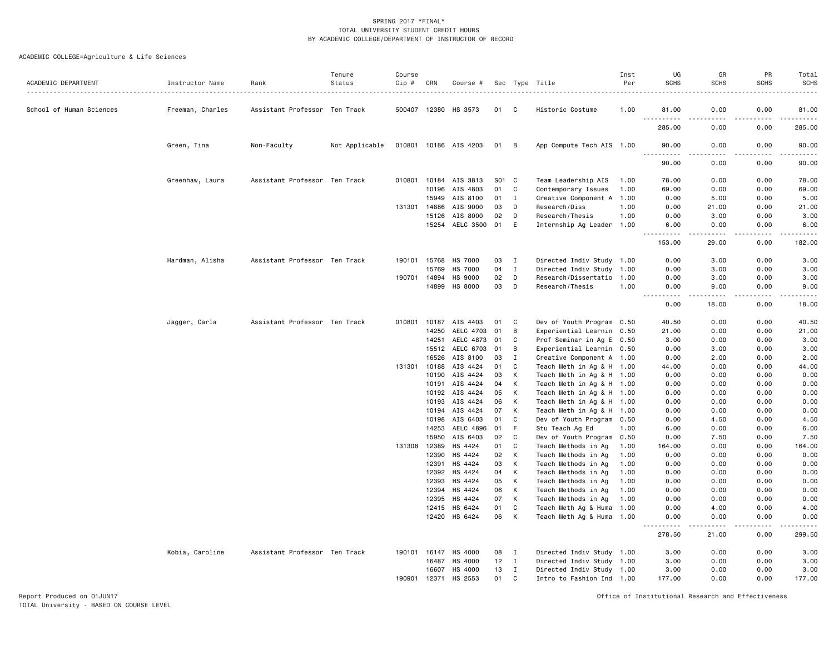# ACADEMIC COLLEGE=Agriculture & Life Sciences

| ACADEMIC DEPARTMENT      | Instructor Name  | Rank                          | Tenure<br>Status | Course<br>Cip # | CRN            | Course #           |          |                              | Sec Type Title                                         | Inst<br>Per | UG<br><b>SCHS</b>                     | GR<br><b>SCHS</b>   | PR<br><b>SCHS</b> | Total<br><b>SCHS</b>                                                                                                                                         |
|--------------------------|------------------|-------------------------------|------------------|-----------------|----------------|--------------------|----------|------------------------------|--------------------------------------------------------|-------------|---------------------------------------|---------------------|-------------------|--------------------------------------------------------------------------------------------------------------------------------------------------------------|
|                          |                  |                               |                  |                 |                |                    |          |                              |                                                        |             |                                       |                     |                   |                                                                                                                                                              |
| School of Human Sciences | Freeman, Charles | Assistant Professor Ten Track |                  | 500407 12380    |                | HS 3573            | 01       | C                            | Historic Costume                                       | 1.00        | 81.00                                 | 0.00                | 0.00              | 81,00                                                                                                                                                        |
|                          |                  |                               |                  |                 |                |                    |          |                              |                                                        |             | 285.00                                | 0.00                | 0.00              | 285.00                                                                                                                                                       |
|                          | Green, Tina      | Non-Faculty                   | Not Applicable   | 010801          |                | 10186 AIS 4203     | 01       | В                            | App Compute Tech AIS 1.00                              |             | 90.00                                 | 0.00                | 0.00              | 90.00                                                                                                                                                        |
|                          |                  |                               |                  |                 |                |                    |          |                              |                                                        |             | 90.00                                 | 0.00                | 0.00              | 90.00                                                                                                                                                        |
|                          | Greenhaw, Laura  | Assistant Professor Ten Track |                  | 010801          |                | 10184 AIS 3813     | S01 C    |                              | Team Leadership AIS                                    | 1.00        | 78.00                                 | 0.00                | 0.00              | 78.00                                                                                                                                                        |
|                          |                  |                               |                  |                 | 10196          | AIS 4803           | 01       | C                            | Contemporary Issues                                    | 1.00        | 69.00                                 | 0.00                | 0.00              | 69.00                                                                                                                                                        |
|                          |                  |                               |                  |                 | 15949          | AIS 8100           | 01       | $\mathbf{I}$                 | Creative Component A 1.00                              |             | 0.00                                  | 5.00                | 0.00              | 5.00                                                                                                                                                         |
|                          |                  |                               |                  | 131301          | 14886          | AIS 9000           | 03       | D                            | Research/Diss                                          | 1.00        | 0.00                                  | 21.00               | 0.00              | 21.00                                                                                                                                                        |
|                          |                  |                               |                  |                 | 15126          | AIS 8000           | 02       | D                            | Research/Thesis                                        | 1.00        | 0.00                                  | 3.00                | 0.00              | 3.00                                                                                                                                                         |
|                          |                  |                               |                  |                 | 15254          | AELC 3500          | 01       | E                            | Internship Ag Leader 1.00                              |             | 6.00<br><u>.</u>                      | 0.00<br>$- - - - -$ | 0.00<br><b>.</b>  | 6.00<br>$\frac{1}{2} \left( \frac{1}{2} \right) \left( \frac{1}{2} \right) \left( \frac{1}{2} \right) \left( \frac{1}{2} \right) \left( \frac{1}{2} \right)$ |
|                          |                  |                               |                  |                 |                |                    |          |                              |                                                        |             | 153.00                                | 29.00               | 0.00              | 182.00                                                                                                                                                       |
|                          | Hardman, Alisha  | Assistant Professor Ten Track |                  | 190101          | 15768          | <b>HS 7000</b>     | 03       | $\mathbf I$                  | Directed Indiv Study 1.00                              |             | 0.00                                  | 3.00                | 0.00              | 3.00                                                                                                                                                         |
|                          |                  |                               |                  |                 | 15769          | <b>HS 7000</b>     | 04       | I                            | Directed Indiv Study 1.00                              |             | 0.00                                  | 3.00                | 0.00              | 3.00                                                                                                                                                         |
|                          |                  |                               |                  | 190701          | 14894          | <b>HS 9000</b>     | 02       | D                            | Research/Dissertatio 1.00                              |             | 0.00                                  | 3.00                | 0.00              | 3.00                                                                                                                                                         |
|                          |                  |                               |                  |                 | 14899          | <b>HS 8000</b>     | 03       | D                            | Research/Thesis                                        | 1.00        | 0.00<br>$\omega$ is $\omega$ in       | 9.00<br>.           | 0.00<br>.         | 9.00<br>.                                                                                                                                                    |
|                          |                  |                               |                  |                 |                |                    |          |                              |                                                        |             | 0.00                                  | 18.00               | 0.00              | 18.00                                                                                                                                                        |
|                          | Jagger, Carla    | Assistant Professor Ten Track |                  | 010801          | 10187          | AIS 4403           | 01       | C                            | Dev of Youth Program 0.50                              |             | 40.50                                 | 0.00                | 0.00              | 40.50                                                                                                                                                        |
|                          |                  |                               |                  |                 | 14250          | AELC 4703          | 01       | B                            | Experiential Learnin 0.50                              |             | 21,00                                 | 0.00                | 0.00              | 21.00                                                                                                                                                        |
|                          |                  |                               |                  |                 | 14251          | AELC 4873          | 01       | C                            | Prof Seminar in Ag E 0.50                              |             | 3.00                                  | 0.00                | 0.00              | 3.00                                                                                                                                                         |
|                          |                  |                               |                  |                 | 15512          | AELC 6703          | 01       | В                            | Experiential Learnin 0.50                              |             | 0.00                                  | 3.00                | 0.00              | 3.00                                                                                                                                                         |
|                          |                  |                               |                  |                 | 16526          | AIS 8100           | 03       | Ι.                           | Creative Component A 1.00                              |             | 0.00                                  | 2.00                | 0.00              | 2.00                                                                                                                                                         |
|                          |                  |                               |                  | 131301          | 10188          | AIS 4424           | 01       | C                            | Teach Meth in Ag & H 1.00                              |             | 44.00                                 | 0.00                | 0.00              | 44.00                                                                                                                                                        |
|                          |                  |                               |                  |                 | 10190          | AIS 4424           | 03       | К                            | Teach Meth in Ag & H 1.00                              |             | 0.00                                  | 0.00                | 0.00              | 0.00                                                                                                                                                         |
|                          |                  |                               |                  |                 | 10191          | AIS 4424           | 04       | К                            | Teach Meth in Ag & H 1.00                              |             | 0.00                                  | 0.00                | 0.00              | 0.00                                                                                                                                                         |
|                          |                  |                               |                  |                 | 10192          | AIS 4424           | 05       | К                            | Teach Meth in Ag & H 1.00                              |             | 0.00                                  | 0.00                | 0.00              | 0.00                                                                                                                                                         |
|                          |                  |                               |                  |                 | 10193          | AIS 4424           | 06       | Κ                            | Teach Meth in Ag & H 1.00                              |             | 0.00                                  | 0.00                | 0.00              | 0.00                                                                                                                                                         |
|                          |                  |                               |                  |                 | 10194          | AIS 4424           | 07       | Κ                            | Teach Meth in Ag & H 1.00                              |             | 0.00                                  | 0.00                | 0.00              | 0.00                                                                                                                                                         |
|                          |                  |                               |                  |                 | 10198          | AIS 6403           | 01       | C                            | Dev of Youth Program 0.50                              |             | 0.00                                  | 4.50                | 0.00              | 4.50                                                                                                                                                         |
|                          |                  |                               |                  |                 | 14253          | AELC 4896          | 01       | F                            | Stu Teach Ag Ed                                        | 1.00        | 6.00                                  | 0.00                | 0.00              | 6.00                                                                                                                                                         |
|                          |                  |                               |                  |                 | 15950          | AIS 6403           | 02       | C                            | Dev of Youth Program 0.50                              |             | 0.00                                  | 7.50                | 0.00              | 7.50                                                                                                                                                         |
|                          |                  |                               |                  | 131308          | 12389          | HS 4424            | 01       | C                            | Teach Methods in Ag                                    | 1.00        | 164.00                                | 0.00                | 0.00              | 164.00                                                                                                                                                       |
|                          |                  |                               |                  |                 | 12390          | HS 4424            | 02       | К                            | Teach Methods in Ag                                    | 1.00        | 0.00                                  | 0.00                | 0.00              | 0.00                                                                                                                                                         |
|                          |                  |                               |                  |                 | 12391          | HS 4424            | 03       | К                            | Teach Methods in Ag                                    | 1.00        | 0.00                                  | 0.00                | 0.00              | 0.00                                                                                                                                                         |
|                          |                  |                               |                  |                 | 12392          | HS 4424            | 04       | Κ                            | Teach Methods in Ag                                    | 1.00        | 0.00                                  | 0.00                | 0.00              | 0.00                                                                                                                                                         |
|                          |                  |                               |                  |                 | 12393          | HS 4424            | 05       | К                            | Teach Methods in Ag                                    | 1.00        | 0.00                                  | 0.00                | 0.00              | 0.00                                                                                                                                                         |
|                          |                  |                               |                  |                 | 12394          | HS 4424            | 06       | Κ                            | Teach Methods in Ag                                    | 1.00        | 0.00                                  | 0.00                | 0.00              | 0.00                                                                                                                                                         |
|                          |                  |                               |                  |                 | 12395          | HS 4424            | 07       | K                            | Teach Methods in Ag                                    | 1.00        | 0.00                                  | 0.00                | 0.00              | 0.00                                                                                                                                                         |
|                          |                  |                               |                  |                 | 12415<br>12420 | HS 6424<br>HS 6424 | 01<br>06 | C<br>K                       | Teach Meth Ag & Huma<br>Teach Meth Ag & Huma 1.00      | 1.00        | 0.00<br>0.00                          | 4.00<br>0.00        | 0.00<br>0.00      | 4.00<br>0.00                                                                                                                                                 |
|                          |                  |                               |                  |                 |                |                    |          |                              |                                                        |             | $\sim$ $\sim$ $\sim$ $\sim$<br>278.50 | 21.00               | 0.00              | 299.50                                                                                                                                                       |
|                          |                  |                               |                  |                 |                |                    |          |                              |                                                        |             |                                       |                     |                   |                                                                                                                                                              |
|                          | Kobia, Caroline  | Assistant Professor Ten Track |                  | 190101          | 16147<br>16487 | HS 4000<br>HS 4000 | 08<br>12 | $\mathbf{I}$<br>$\mathbf{I}$ | Directed Indiv Study 1.00                              |             | 3.00<br>3.00                          | 0.00<br>0.00        | 0.00<br>0.00      | 3.00<br>3.00                                                                                                                                                 |
|                          |                  |                               |                  |                 | 16607          | HS 4000            | 13       | $\mathbf{I}$                 | Directed Indiv Study 1.00<br>Directed Indiv Study 1.00 |             | 3.00                                  | 0.00                | 0.00              | 3.00                                                                                                                                                         |
|                          |                  |                               |                  | 190901          | 12371          | HS 2553            | 01       | C                            | Intro to Fashion Ind 1.00                              |             | 177.00                                | 0.00                | 0.00              | 177.00                                                                                                                                                       |
|                          |                  |                               |                  |                 |                |                    |          |                              |                                                        |             |                                       |                     |                   |                                                                                                                                                              |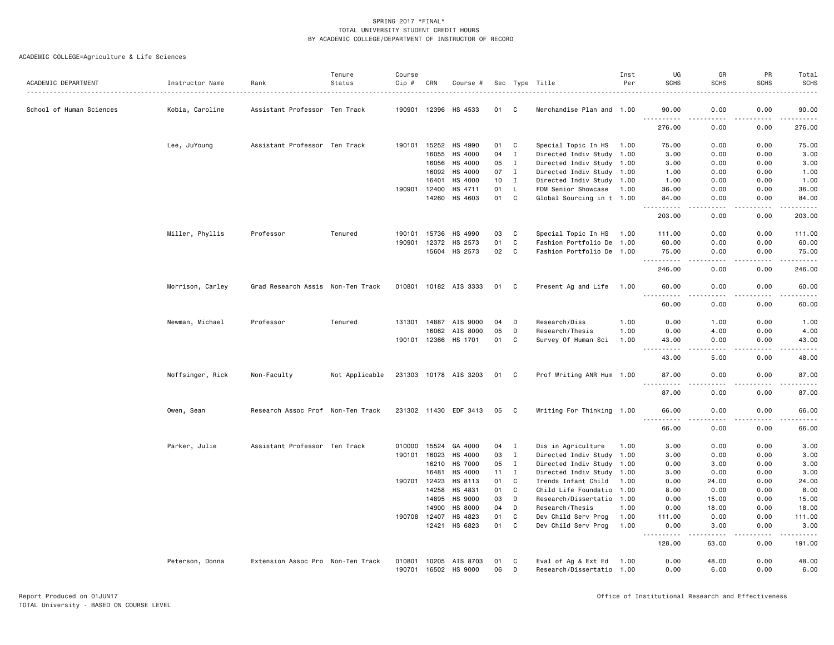|                          |                  |                                   | Tenure         | Course |              |                       |    |              |                           | Inst | UG                                                                                                                                       | GR                   | PR          | Total                                                                                                                                                                                    |
|--------------------------|------------------|-----------------------------------|----------------|--------|--------------|-----------------------|----|--------------|---------------------------|------|------------------------------------------------------------------------------------------------------------------------------------------|----------------------|-------------|------------------------------------------------------------------------------------------------------------------------------------------------------------------------------------------|
| ACADEMIC DEPARTMENT      | Instructor Name  | Rank                              | Status         | Cip #  | CRN          | Course #              |    |              | Sec Type Title            | Per  | <b>SCHS</b>                                                                                                                              | <b>SCHS</b>          | <b>SCHS</b> | <b>SCHS</b>                                                                                                                                                                              |
| School of Human Sciences | Kobia, Caroline  | Assistant Professor Ten Track     |                |        |              | 190901 12396 HS 4533  | 01 | C.           | Merchandise Plan and 1.00 |      | 90.00                                                                                                                                    | 0.00                 | 0.00        | 90.00                                                                                                                                                                                    |
|                          |                  |                                   |                |        |              |                       |    |              |                           |      | 276.00                                                                                                                                   | 0.00                 | 0.00        | 276.00                                                                                                                                                                                   |
|                          | Lee, JuYoung     | Assistant Professor Ten Track     |                | 190101 |              | 15252 HS 4990         | 01 | C            | Special Topic In HS       | 1.00 | 75.00                                                                                                                                    | 0.00                 | 0.00        | 75.00                                                                                                                                                                                    |
|                          |                  |                                   |                |        | 16055        | HS 4000               | 04 | $\mathbf I$  | Directed Indiv Study 1.00 |      | 3.00                                                                                                                                     | 0.00                 | 0.00        | 3.00                                                                                                                                                                                     |
|                          |                  |                                   |                |        | 16056        | HS 4000               | 05 | $\mathbf{I}$ | Directed Indiv Study 1.00 |      | 3.00                                                                                                                                     | 0.00                 | 0.00        | 3.00                                                                                                                                                                                     |
|                          |                  |                                   |                |        | 16092        | HS 4000               | 07 | $\mathbf{I}$ | Directed Indiv Study 1.00 |      | 1.00                                                                                                                                     | 0.00                 | 0.00        | 1.00                                                                                                                                                                                     |
|                          |                  |                                   |                |        | 16401        | HS 4000               | 10 | $\mathbf{I}$ | Directed Indiv Study 1.00 |      | 1.00                                                                                                                                     | 0.00                 | 0.00        | 1.00                                                                                                                                                                                     |
|                          |                  |                                   |                | 190901 | 12400        | HS 4711               | 01 | L.           | FDM Senior Showcase       | 1.00 | 36.00                                                                                                                                    | 0.00                 | 0.00        | 36.00                                                                                                                                                                                    |
|                          |                  |                                   |                |        | 14260        | HS 4603               | 01 | C            | Global Sourcing in t 1.00 |      | 84.00<br>$\begin{array}{cccccccccc} \bullet & \bullet & \bullet & \bullet & \bullet & \bullet & \bullet & \bullet & \bullet \end{array}$ | 0.00<br>.            | 0.00<br>.   | 84.00<br>$\frac{1}{2} \left( \frac{1}{2} \right) \left( \frac{1}{2} \right) \left( \frac{1}{2} \right) \left( \frac{1}{2} \right) \left( \frac{1}{2} \right) \left( \frac{1}{2} \right)$ |
|                          |                  |                                   |                |        |              |                       |    |              |                           |      | 203.00                                                                                                                                   | 0.00                 | 0.00        | 203.00                                                                                                                                                                                   |
|                          | Miller, Phyllis  | Professor                         | Tenured        | 190101 | 15736        | HS 4990               | 03 | C            | Special Topic In HS       | 1.00 | 111.00                                                                                                                                   | 0.00                 | 0.00        | 111.00                                                                                                                                                                                   |
|                          |                  |                                   |                | 190901 | 12372        | HS 2573               | 01 | C            | Fashion Portfolio De 1.00 |      | 60.00                                                                                                                                    | 0.00                 | 0.00        | 60.00                                                                                                                                                                                    |
|                          |                  |                                   |                |        |              | 15604 HS 2573         | 02 | C            | Fashion Portfolio De 1.00 |      | 75.00<br>المتمام المتحدة                                                                                                                 | 0.00                 | 0.00        | 75.00<br>.                                                                                                                                                                               |
|                          |                  |                                   |                |        |              |                       |    |              |                           |      | 246.00                                                                                                                                   | 0.00                 | 0.00        | 246.00                                                                                                                                                                                   |
|                          | Morrison, Carley | Grad Research Assis Non-Ten Track |                |        |              | 010801 10182 AIS 3333 | 01 | C            | Present Ag and Life 1.00  |      | 60.00<br>$\sim$ $\sim$ $\sim$                                                                                                            | 0.00                 | 0.00        | 60.00<br>$\frac{1}{2}$                                                                                                                                                                   |
|                          |                  |                                   |                |        |              |                       |    |              |                           |      | 60.00                                                                                                                                    | 0.00                 | 0.00        | 60.00                                                                                                                                                                                    |
|                          | Newman, Michael  | Professor                         | Tenured        |        |              | 131301 14887 AIS 9000 | 04 | D            | Research/Diss             | 1.00 | 0.00                                                                                                                                     | 1.00                 | 0.00        | 1.00                                                                                                                                                                                     |
|                          |                  |                                   |                |        | 16062        | AIS 8000              | 05 | D            | Research/Thesis           | 1.00 | 0.00                                                                                                                                     | 4.00                 | 0.00        | 4.00                                                                                                                                                                                     |
|                          |                  |                                   |                |        |              | 190101 12366 HS 1701  | 01 | C            | Survey Of Human Sci       | 1.00 | 43.00<br>$ -$<br>.                                                                                                                       | 0.00<br>. <u>.</u> . | 0.00<br>.   | 43.00<br>.                                                                                                                                                                               |
|                          |                  |                                   |                |        |              |                       |    |              |                           |      | 43.00                                                                                                                                    | 5.00                 | 0.00        | 48.00                                                                                                                                                                                    |
|                          | Noffsinger, Rick | Non-Faculty                       | Not Applicable |        |              | 231303 10178 AIS 3203 | 01 | C.           | Prof Writing ANR Hum 1.00 |      | 87.00                                                                                                                                    | 0.00                 | 0.00        | 87.00                                                                                                                                                                                    |
|                          |                  |                                   |                |        |              |                       |    |              |                           |      | 87.00                                                                                                                                    | ه د د د<br>0.00      | .<br>0.00   | .<br>87.00                                                                                                                                                                               |
|                          | Owen, Sean       | Research Assoc Prof Non-Ten Track |                |        |              | 231302 11430 EDF 3413 | 05 | C.           | Writing For Thinking 1.00 |      | 66.00<br>.                                                                                                                               | 0.00<br>.            | 0.00<br>.   | 66.00<br>.                                                                                                                                                                               |
|                          |                  |                                   |                |        |              |                       |    |              |                           |      | $\sim$ $\sim$ $\sim$<br>66.00                                                                                                            | 0.00                 | 0.00        | 66.00                                                                                                                                                                                    |
|                          | Parker, Julie    | Assistant Professor Ten Track     |                | 010000 | 15524        | GA 4000               | 04 | I            | Dis in Agriculture        | 1.00 | 3.00                                                                                                                                     | 0.00                 | 0.00        | 3.00                                                                                                                                                                                     |
|                          |                  |                                   |                |        | 190101 16023 | HS 4000               | 03 | $\mathbf I$  | Directed Indiv Study 1.00 |      | 3.00                                                                                                                                     | 0.00                 | 0.00        | 3.00                                                                                                                                                                                     |
|                          |                  |                                   |                |        | 16210        | HS 7000               | 05 | $\mathbf{I}$ | Directed Indiv Study 1.00 |      | 0.00                                                                                                                                     | 3.00                 | 0.00        | 3.00                                                                                                                                                                                     |
|                          |                  |                                   |                |        | 16481        | HS 4000               | 11 | $\mathbf{I}$ | Directed Indiv Study      | 1.00 | 3.00                                                                                                                                     | 0.00                 | 0.00        | 3.00                                                                                                                                                                                     |
|                          |                  |                                   |                | 190701 | 12423        | HS 8113               | 01 | C            | Trends Infant Child       | 1.00 | 0.00                                                                                                                                     | 24.00                | 0.00        | 24.00                                                                                                                                                                                    |
|                          |                  |                                   |                |        | 14258        | HS 4831               | 01 | C            | Child Life Foundatio 1.00 |      | 8.00                                                                                                                                     | 0.00                 | 0.00        | 8.00                                                                                                                                                                                     |
|                          |                  |                                   |                |        | 14895        | HS 9000               | 03 | D            | Research/Dissertatio 1.00 |      | 0.00                                                                                                                                     | 15.00                | 0.00        | 15.00                                                                                                                                                                                    |
|                          |                  |                                   |                |        | 14900        | <b>HS 8000</b>        | 04 | D            | Research/Thesis           | 1.00 | 0.00                                                                                                                                     | 18.00                | 0.00        | 18.00                                                                                                                                                                                    |
|                          |                  |                                   |                | 190708 | 12407        | HS 4823               | 01 | C            | Dev Child Serv Prog       | 1.00 | 111.00                                                                                                                                   | 0.00                 | 0.00        | 111.00                                                                                                                                                                                   |
|                          |                  |                                   |                |        | 12421        | HS 6823               | 01 | $\mathtt{C}$ | Dev Child Serv Prog       | 1.00 | 0.00<br>.                                                                                                                                | 3.00<br><u>.</u>     | 0.00<br>.   | 3.00<br>.                                                                                                                                                                                |
|                          |                  |                                   |                |        |              |                       |    |              |                           |      | 128.00                                                                                                                                   | 63.00                | 0.00        | 191.00                                                                                                                                                                                   |
|                          | Peterson, Donna  | Extension Assoc Pro Non-Ten Track |                | 010801 |              | 10205 AIS 8703        | 01 | C            | Eval of Ag & Ext Ed       | 1.00 | 0.00                                                                                                                                     | 48.00                | 0.00        | 48.00                                                                                                                                                                                    |
|                          |                  |                                   |                | 190701 | 16502        | HS 9000               | 06 | D            | Research/Dissertatio 1.00 |      | 0.00                                                                                                                                     | 6.00                 | 0.00        | 6.00                                                                                                                                                                                     |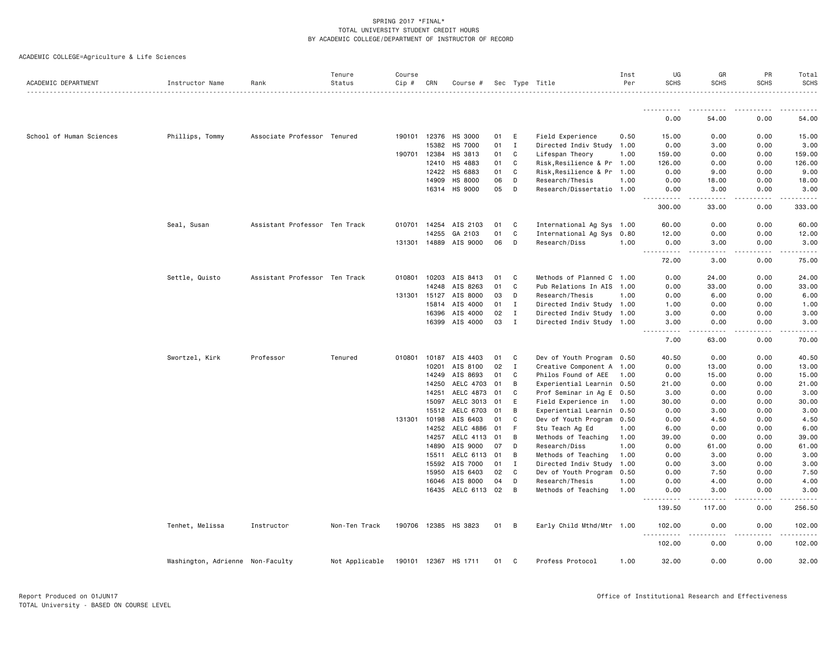| ACADEMIC DEPARTMENT      | Instructor Name                  | Rank                          | Tenure<br>Status | Course<br>Cip # | CRN   | Course #              |          |              | Sec Type Title                          | Inst<br>Per  | UG<br><b>SCHS</b>                                                                                                                      | GR<br><b>SCHS</b>   | PR<br><b>SCHS</b> | Total<br><b>SCHS</b> |
|--------------------------|----------------------------------|-------------------------------|------------------|-----------------|-------|-----------------------|----------|--------------|-----------------------------------------|--------------|----------------------------------------------------------------------------------------------------------------------------------------|---------------------|-------------------|----------------------|
|                          |                                  |                               |                  |                 |       |                       |          |              |                                         |              |                                                                                                                                        |                     |                   |                      |
|                          |                                  |                               |                  |                 |       |                       |          |              |                                         |              | .<br>0.00                                                                                                                              | 54.00               | 0.00              | 54.00                |
| School of Human Sciences | Phillips, Tommy                  | Associate Professor Tenured   |                  | 190101 12376    |       | HS 3000               | 01       | E            | Field Experience                        | 0.50         | 15.00                                                                                                                                  | 0.00                | 0.00              | 15.00                |
|                          |                                  |                               |                  |                 | 15382 | <b>HS 7000</b>        | 01       | $\mathbf{I}$ | Directed Indiv Study 1.00               |              | 0.00                                                                                                                                   | 3.00                | 0.00              | 3.00                 |
|                          |                                  |                               |                  | 190701          | 12384 | HS 3813               | 01       | C            | Lifespan Theory                         | 1.00         | 159.00                                                                                                                                 | 0.00                | 0.00              | 159.00               |
|                          |                                  |                               |                  |                 | 12410 | HS 4883               | 01       | C            | Risk, Resilience & Pr 1.00              |              | 126.00                                                                                                                                 | 0.00                | 0.00              | 126.00               |
|                          |                                  |                               |                  |                 | 12422 | HS 6883               | 01       | C            | Risk, Resilience & Pr                   | 1.00         | 0.00                                                                                                                                   | 9.00                | 0.00              | 9.00                 |
|                          |                                  |                               |                  |                 | 14909 | HS 8000               | 06       | D            | Research/Thesis                         | 1.00         | 0.00                                                                                                                                   | 18.00               | 0.00              | 18.00                |
|                          |                                  |                               |                  |                 |       | 16314 HS 9000         | 05       | D            | Research/Dissertatio 1.00               |              | 0.00<br><u>.</u>                                                                                                                       | 3.00<br>$- - - - -$ | 0.00<br>.         | 3.00                 |
|                          |                                  |                               |                  |                 |       |                       |          |              |                                         |              | 300.00                                                                                                                                 | 33.00               | 0.00              | 333.00               |
|                          | Seal, Susan                      | Assistant Professor Ten Track |                  | 010701 14254    |       | AIS 2103              | 01       | <b>C</b>     | International Ag Sys 1.00               |              | 60.00                                                                                                                                  | 0.00                | 0.00              | 60.00                |
|                          |                                  |                               |                  |                 | 14255 | GA 2103               | 01       | C            | International Ag Sys                    | 0.80         | 12.00                                                                                                                                  | 0.00                | 0.00              | 12.00                |
|                          |                                  |                               |                  | 131301          |       | 14889 AIS 9000        | 06       | D            | Research/Diss                           | 1.00         | 0.00<br>$\frac{1}{2} \left( \frac{1}{2} \right) \left( \frac{1}{2} \right) \left( \frac{1}{2} \right) \left( \frac{1}{2} \right)$<br>. | 3.00                | 0.00              | 3.00                 |
|                          |                                  |                               |                  |                 |       |                       |          |              |                                         |              | 72.00                                                                                                                                  | 3.00                | 0.00              | 75.00                |
|                          | Settle, Quisto                   | Assistant Professor Ten Track |                  | 010801          | 10203 | AIS 8413              | 01       | C.           | Methods of Planned C 1.00               |              | 0.00                                                                                                                                   | 24.00               | 0.00              | 24.00                |
|                          |                                  |                               |                  |                 | 14248 | AIS 8263              | 01       | C            | Pub Relations In AIS                    | 1.00         | 0.00                                                                                                                                   | 33.00               | 0.00              | 33.00                |
|                          |                                  |                               |                  | 131301          | 15127 | AIS 8000              | 03       | D            | Research/Thesis                         | 1.00         | 0.00                                                                                                                                   | 6.00                | 0.00              | 6.00                 |
|                          |                                  |                               |                  |                 | 15814 | AIS 4000              | 01       | I            | Directed Indiv Study 1.00               |              | 1.00                                                                                                                                   | 0.00                | 0.00              | 1.00                 |
|                          |                                  |                               |                  |                 | 16396 | AIS 4000              | 02       | $\mathbf{I}$ | Directed Indiv Study 1.00               |              | 3.00                                                                                                                                   | 0.00                | 0.00              | 3.00                 |
|                          |                                  |                               |                  |                 | 16399 | AIS 4000              | 03       | $\mathbf{I}$ | Directed Indiv Study 1.00               |              | 3.00                                                                                                                                   | 0.00                | 0.00              | 3.00                 |
|                          |                                  |                               |                  |                 |       |                       |          |              |                                         |              | 7.00                                                                                                                                   | 63.00               | 0.00              | 70.00                |
|                          | Swortzel, Kirk                   | Professor                     | Tenured          | 010801          |       | 10187 AIS 4403        | 01       | C            | Dev of Youth Program 0.50               |              | 40.50                                                                                                                                  | 0.00                | 0.00              | 40.50                |
|                          |                                  |                               |                  |                 | 10201 | AIS 8100              | 02       | $\mathbf{I}$ | Creative Component A 1.00               |              | 0.00                                                                                                                                   | 13,00               | 0.00              | 13.00                |
|                          |                                  |                               |                  |                 | 14249 | AIS 8693              | 01       | C            | Philos Found of AEE                     | 1.00         | 0.00                                                                                                                                   | 15.00               | 0.00              | 15.00                |
|                          |                                  |                               |                  |                 | 14250 | AELC 4703             | 01       | В            | Experiential Learnin 0.50               |              | 21.00                                                                                                                                  | 0.00                | 0.00              | 21.00                |
|                          |                                  |                               |                  |                 | 14251 | AELC 4873 01          |          | C            | Prof Seminar in Ag E 0.50               |              | 3.00                                                                                                                                   | 0.00                | 0.00              | 3.00                 |
|                          |                                  |                               |                  |                 | 15097 | AELC 3013 01          |          | E            | Field Experience in                     | 1.00         | 30.00                                                                                                                                  | 0.00                | 0.00              | 30.00                |
|                          |                                  |                               |                  | 131301 10198    | 15512 | AELC 6703<br>AIS 6403 | 01<br>01 | B<br>C       | Experiential Learnin                    | 0.50         | 0.00                                                                                                                                   | 3.00                | 0.00              | 3.00                 |
|                          |                                  |                               |                  |                 | 14252 | AELC 4886             | 01       | F            | Dev of Youth Program<br>Stu Teach Ag Ed | 0.50<br>1.00 | 0.00<br>6.00                                                                                                                           | 4.50<br>0.00        | 0.00<br>0.00      | 4.50<br>6.00         |
|                          |                                  |                               |                  |                 |       | 14257 AELC 4113       | 01       | B            | Methods of Teaching                     | 1.00         | 39.00                                                                                                                                  | 0.00                | 0.00              | 39.00                |
|                          |                                  |                               |                  |                 | 14890 | AIS 9000              | 07       | D            | Research/Diss                           | 1.00         | 0.00                                                                                                                                   | 61.00               | 0.00              | 61.00                |
|                          |                                  |                               |                  |                 | 15511 | AELC 6113 01          |          | B            | Methods of Teaching                     | 1.00         | 0.00                                                                                                                                   | 3.00                | 0.00              | 3.00                 |
|                          |                                  |                               |                  |                 | 15592 | AIS 7000              | 01       | I            | Directed Indiv Study                    | 1.00         | 0.00                                                                                                                                   | 3.00                | 0.00              | 3.00                 |
|                          |                                  |                               |                  |                 | 15950 | AIS 6403              | 02       | C            | Dev of Youth Program                    | 0.50         | 0.00                                                                                                                                   | 7.50                | 0.00              | 7.50                 |
|                          |                                  |                               |                  |                 | 16046 | AIS 8000              | 04       | D            | Research/Thesis                         | 1.00         | 0.00                                                                                                                                   | 4.00                | 0.00              | 4.00                 |
|                          |                                  |                               |                  |                 |       | 16435 AELC 6113 02    |          | B            | Methods of Teaching                     | 1.00         | 0.00                                                                                                                                   | 3.00                | 0.00              | 3.00                 |
|                          |                                  |                               |                  |                 |       |                       |          |              |                                         |              | .<br>139.50                                                                                                                            | 117.00              | .<br>0.00         | 256.50               |
|                          | Tenhet, Melissa                  | Instructor                    | Non-Ten Track    |                 |       | 190706 12385 HS 3823  | 01 B     |              | Early Child Mthd/Mtr 1.00               |              | 102.00<br><u>.</u>                                                                                                                     | 0.00<br><u>.</u>    | 0.00<br>.         | 102.00<br>. <u>.</u> |
|                          |                                  |                               |                  |                 |       |                       |          |              |                                         |              | 102.00                                                                                                                                 | 0.00                | 0.00              | 102.00               |
|                          | Washington, Adrienne Non-Faculty |                               | Not Applicable   |                 |       | 190101 12367 HS 1711  | 01       | C            | Profess Protocol                        | 1.00         | 32.00                                                                                                                                  | 0.00                | 0.00              | 32.00                |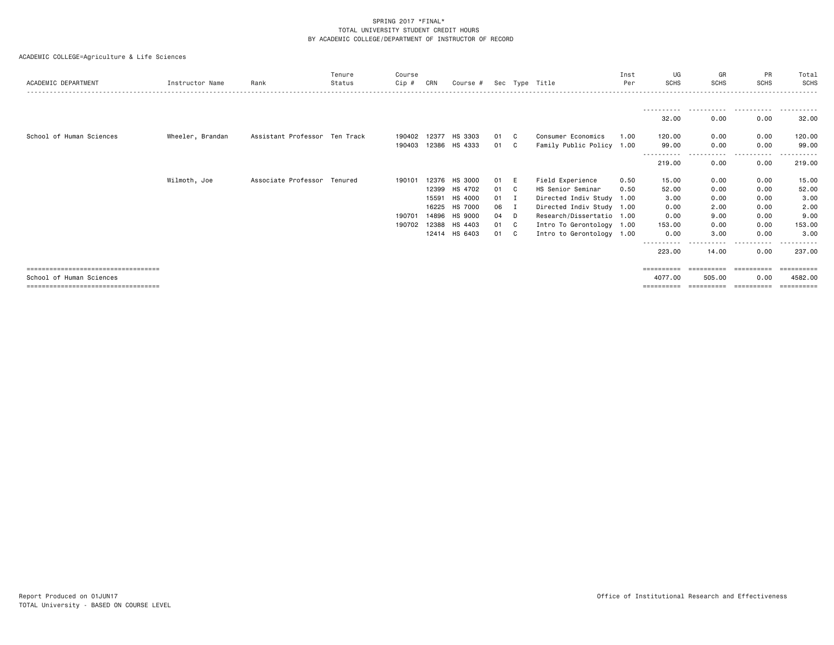| ACADEMIC DEPARTMENT                   | Instructor Name  | Rank                          | Tenure<br>Status | Course<br>$Cip$ # | CRN   | Course #       |    |                | Sec Type Title            | Inst<br>Per | UG<br><b>SCHS</b>   | GR<br><b>SCHS</b> | PR<br><b>SCHS</b> | Total<br>SCHS |
|---------------------------------------|------------------|-------------------------------|------------------|-------------------|-------|----------------|----|----------------|---------------------------|-------------|---------------------|-------------------|-------------------|---------------|
|                                       |                  |                               |                  |                   |       |                |    |                |                           |             |                     | .                 | .                 |               |
|                                       |                  |                               |                  |                   |       |                |    |                |                           |             | 32.00               | 0.00              | 0.00              | 32.00         |
| School of Human Sciences              | Wheeler, Brandan | Assistant Professor Ten Track |                  | 190402            | 12377 | HS 3303        | 01 | C              | Consumer Economics        | 1.00        | 120.00              | 0.00              | 0.00              | 120.00        |
|                                       |                  |                               |                  | 190403            | 12386 | HS 4333        | 01 | C              | Family Public Policy 1.00 |             | 99.00<br>---------- | 0.00<br>.         | 0.00<br>.         | 99.00         |
|                                       |                  |                               |                  |                   |       |                |    |                |                           |             | 219.00              | 0.00              | 0.00              | 219.00        |
|                                       | Wilmoth, Joe     | Associate Professor Tenured   |                  | 190101            | 12376 | <b>HS 3000</b> | 01 | E              | Field Experience          | 0.50        | 15.00               | 0.00              | 0.00              | 15.00         |
|                                       |                  |                               |                  |                   | 12399 | HS 4702        | 01 | - C            | HS Senior Seminar         | 0.50        | 52.00               | 0.00              | 0.00              | 52.00         |
|                                       |                  |                               |                  |                   | 15591 | HS 4000        | 01 | $\blacksquare$ | Directed Indiv Study 1.00 |             | 3.00                | 0.00              | 0.00              | 3.00          |
|                                       |                  |                               |                  |                   | 16225 | HS 7000        | 06 | Ι.             | Directed Indiv Study 1.00 |             | 0.00                | 2.00              | 0.00              | 2.00          |
|                                       |                  |                               |                  | 190701            | 14896 | <b>HS 9000</b> | 04 | D              | Research/Dissertatio 1.00 |             | 0.00                | 9.00              | 0.00              | 9.00          |
|                                       |                  |                               |                  | 190702            | 12388 | HS 4403        | 01 | C              | Intro To Gerontology 1.00 |             | 153.00              | 0.00              | 0.00              | 153.00        |
|                                       |                  |                               |                  |                   |       | 12414 HS 6403  | 01 | C.             | Intro to Gerontology 1.00 |             | 0.00                | 3.00              | 0.00              | 3.00          |
|                                       |                  |                               |                  |                   |       |                |    |                |                           |             | 223.00              | 14.00             | 0.00              | 237,00        |
| ====================================  |                  |                               |                  |                   |       |                |    |                |                           |             | $=$ ==========      | ==========        | -----------       | ==========    |
| School of Human Sciences              |                  |                               |                  |                   |       |                |    |                |                           |             | 4077.00             | 505.00            | 0.00              | 4582.00       |
| ------------------------------------- |                  |                               |                  |                   |       |                |    |                |                           |             | ==========          | ==========        | ==========        | ==========    |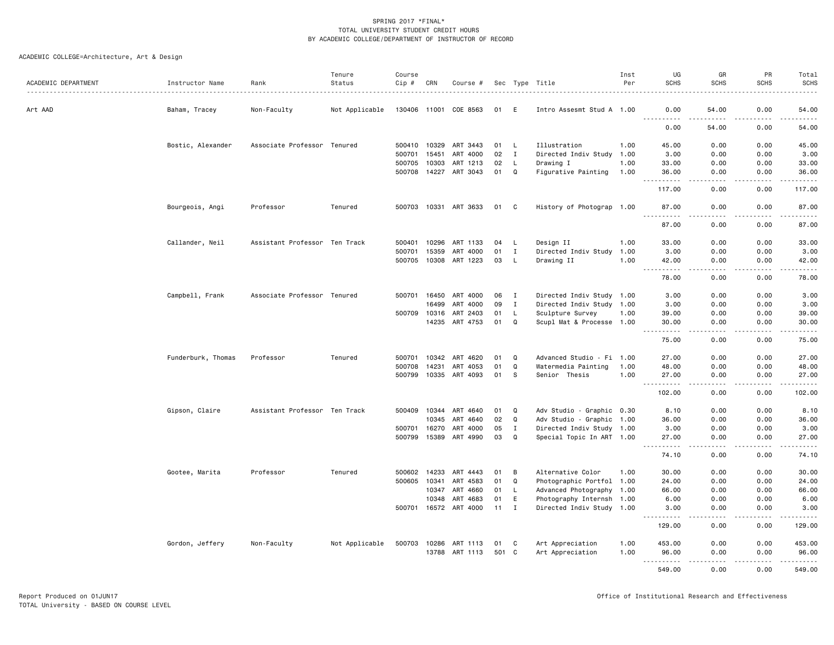| ACADEMIC DEPARTMENT | Instructor Name<br>. | Rank                          | Tenure<br>Status | Course<br>Cip # | CRN   | Course #       |      |              | Sec Type Title            | Inst<br>Per | UG<br><b>SCHS</b>                                                                                                                                             | GR<br><b>SCHS</b>            | PR<br><b>SCHS</b> | Total<br>SCHS<br>----- |
|---------------------|----------------------|-------------------------------|------------------|-----------------|-------|----------------|------|--------------|---------------------------|-------------|---------------------------------------------------------------------------------------------------------------------------------------------------------------|------------------------------|-------------------|------------------------|
| Art AAD             | Baham, Tracey        | Non-Faculty                   | Not Applicable   | 130406 11001    |       | COE 8563       | 01   | E            | Intro Assesmt Stud A 1.00 |             | 0.00                                                                                                                                                          | 54.00                        | 0.00              | 54.00                  |
|                     |                      |                               |                  |                 |       |                |      |              |                           |             | . <b>.</b><br>0.00                                                                                                                                            | 54.00                        | 0.00              | .<br>54.00             |
|                     | Bostic, Alexander    | Associate Professor Tenured   |                  | 500410          | 10329 | ART 3443       | 01   | L            | Illustration              | 1.00        | 45.00                                                                                                                                                         | 0.00                         | 0.00              | 45.00                  |
|                     |                      |                               |                  | 500701          | 15451 | ART 4000       | 02   | $\mathbf I$  | Directed Indiv Study      | 1.00        | 3.00                                                                                                                                                          | 0.00                         | 0.00              | 3.00                   |
|                     |                      |                               |                  | 500705          | 10303 | ART 1213       | 02   | L.           | Drawing I                 | 1.00        | 33.00                                                                                                                                                         | 0.00                         | 0.00              | 33.00                  |
|                     |                      |                               |                  | 500708          | 14227 | ART 3043       | 01   | $\mathsf Q$  | Figurative Painting       | 1.00        | 36.00                                                                                                                                                         | 0.00                         | 0.00              | 36.00<br>$    -$       |
|                     |                      |                               |                  |                 |       |                |      |              |                           |             | 117.00                                                                                                                                                        | 0.00                         | 0.00              | 117.00                 |
|                     | Bourgeois, Angi      | Professor                     | Tenured          | 500703          | 10331 | ART 3633       | 01 C |              | History of Photograp 1.00 |             | 87.00<br>.                                                                                                                                                    | 0.00<br>$\sim$ $\sim$ $\sim$ | 0.00<br>.         | 87.00<br>.             |
|                     |                      |                               |                  |                 |       |                |      |              |                           |             | 87.00                                                                                                                                                         | 0.00                         | 0.00              | 87.00                  |
|                     | Callander, Neil      | Assistant Professor Ten Track |                  | 500401          | 10296 | ART 1133       | 04   | L.           | Design II                 | 1.00        | 33.00                                                                                                                                                         | 0.00                         | 0.00              | 33.00                  |
|                     |                      |                               |                  | 500701          | 15359 | ART 4000       | 01   | $\mathbf I$  | Directed Indiv Study      | 1.00        | 3.00                                                                                                                                                          | 0.00                         | 0.00              | 3.00                   |
|                     |                      |                               |                  | 500705          |       | 10308 ART 1223 | 03   | <b>L</b>     | Drawing II                | 1.00        | 42.00<br>$\frac{1}{2} \left( \frac{1}{2} \right) \left( \frac{1}{2} \right) \left( \frac{1}{2} \right) \left( \frac{1}{2} \right) \left( \frac{1}{2} \right)$ | 0.00<br>.                    | 0.00<br>.         | 42.00<br>.             |
|                     |                      |                               |                  |                 |       |                |      |              |                           |             | 78.00                                                                                                                                                         | 0.00                         | 0.00              | 78.00                  |
|                     | Campbell, Frank      | Associate Professor Tenured   |                  | 500701          | 16450 | ART 4000       | 06   | $\mathbf{I}$ | Directed Indiv Study 1.00 |             | 3.00                                                                                                                                                          | 0.00                         | 0.00              | 3.00                   |
|                     |                      |                               |                  |                 | 16499 | ART 4000       | 09   | $\mathbf I$  | Directed Indiv Study 1.00 |             | 3.00                                                                                                                                                          | 0.00                         | 0.00              | 3.00                   |
|                     |                      |                               |                  | 500709          | 10316 | ART 2403       | 01   | L.           | Sculpture Survey          | 1.00        | 39.00                                                                                                                                                         | 0.00                         | 0.00              | 39.00                  |
|                     |                      |                               |                  |                 | 14235 | ART 4753       | 01   | Q            | Scupl Mat & Processe 1.00 |             | 30.00<br>.                                                                                                                                                    | 0.00<br>الدامات ب            | 0.00<br>.         | 30.00<br>.             |
|                     |                      |                               |                  |                 |       |                |      |              |                           |             | 75.00                                                                                                                                                         | 0.00                         | 0.00              | 75.00                  |
|                     | Funderburk, Thomas   | Professor                     | Tenured          | 500701          | 10342 | ART 4620       | 01   | Q            | Advanced Studio - Fi 1.00 |             | 27.00                                                                                                                                                         | 0.00                         | 0.00              | 27.00                  |
|                     |                      |                               |                  | 500708          | 14231 | ART 4053       | 01   | $\mathsf Q$  | Watermedia Painting       | 1.00        | 48.00                                                                                                                                                         | 0.00                         | 0.00              | 48.00                  |
|                     |                      |                               |                  | 500799          | 10335 | ART 4093       | 01   | <sub>S</sub> | Senior Thesis             | 1.00        | 27.00<br>$\frac{1}{2}$                                                                                                                                        | 0.00<br>د د د د              | 0.00<br>.         | 27.00<br>.             |
|                     |                      |                               |                  |                 |       |                |      |              |                           |             | 102.00                                                                                                                                                        | 0.00                         | 0.00              | 102.00                 |
|                     | Gipson, Claire       | Assistant Professor Ten Track |                  | 500409          | 10344 | ART 4640       | 01   | Q            | Adv Studio - Graphic 0.30 |             | 8.10                                                                                                                                                          | 0.00                         | 0.00              | 8.10                   |
|                     |                      |                               |                  |                 | 10345 | ART 4640       | 02   | $\Omega$     | Adv Studio - Graphic 1.00 |             | 36.00                                                                                                                                                         | 0.00                         | 0.00              | 36.00                  |
|                     |                      |                               |                  | 500701          | 16270 | ART 4000       | 05   | I            | Directed Indiv Study 1.00 |             | 3.00                                                                                                                                                          | 0.00                         | 0.00              | 3.00                   |
|                     |                      |                               |                  | 500799          | 15389 | ART 4990       | 03   | Q            | Special Topic In ART 1.00 |             | 27.00<br>.<br>$- - -$                                                                                                                                         | 0.00<br>$- - - -$            | 0.00<br>.         | 27.00<br>.             |
|                     |                      |                               |                  |                 |       |                |      |              |                           |             | 74.10                                                                                                                                                         | 0.00                         | 0.00              | 74.10                  |
|                     | Gootee, Marita       | Professor                     | Tenured          | 500602          | 14233 | ART 4443       | 01   | B            | Alternative Color         | 1.00        | 30.00                                                                                                                                                         | 0.00                         | 0.00              | 30.00                  |
|                     |                      |                               |                  | 500605          | 10341 | ART 4583       | 01   | $\mathsf Q$  | Photographic Portfol 1.00 |             | 24.00                                                                                                                                                         | 0.00                         | 0.00              | 24.00                  |
|                     |                      |                               |                  |                 | 10347 | ART 4660       | 01   | L            | Advanced Photography 1.00 |             | 66.00                                                                                                                                                         | 0.00                         | 0.00              | 66.00                  |
|                     |                      |                               |                  |                 | 10348 | ART 4683       | 01   | E            | Photography Internsh 1.00 |             | 6.00                                                                                                                                                          | 0.00                         | 0.00              | 6.00                   |
|                     |                      |                               |                  | 500701          |       | 16572 ART 4000 | 11   | $\mathbf I$  | Directed Indiv Study 1.00 |             | 3.00<br>.                                                                                                                                                     | 0.00<br>$\frac{1}{2}$        | 0.00<br>.         | 3.00<br>. <u>.</u> .   |
|                     |                      |                               |                  |                 |       |                |      |              |                           |             | 129.00                                                                                                                                                        | 0.00                         | 0.00              | 129.00                 |
|                     | Gordon, Jeffery      | Non-Faculty                   | Not Applicable   | 500703          | 10286 | ART 1113       | 01   | C            | Art Appreciation          | 1.00        | 453.00                                                                                                                                                        | 0.00                         | 0.00              | 453.00                 |
|                     |                      |                               |                  |                 | 13788 | ART 1113       | 501  | C            | Art Appreciation          | 1.00        | 96.00                                                                                                                                                         | 0.00                         | 0.00              | 96.00                  |
|                     |                      |                               |                  |                 |       |                |      |              |                           |             | 549.00                                                                                                                                                        | ----<br>0.00                 | 0.00              | .<br>549.00            |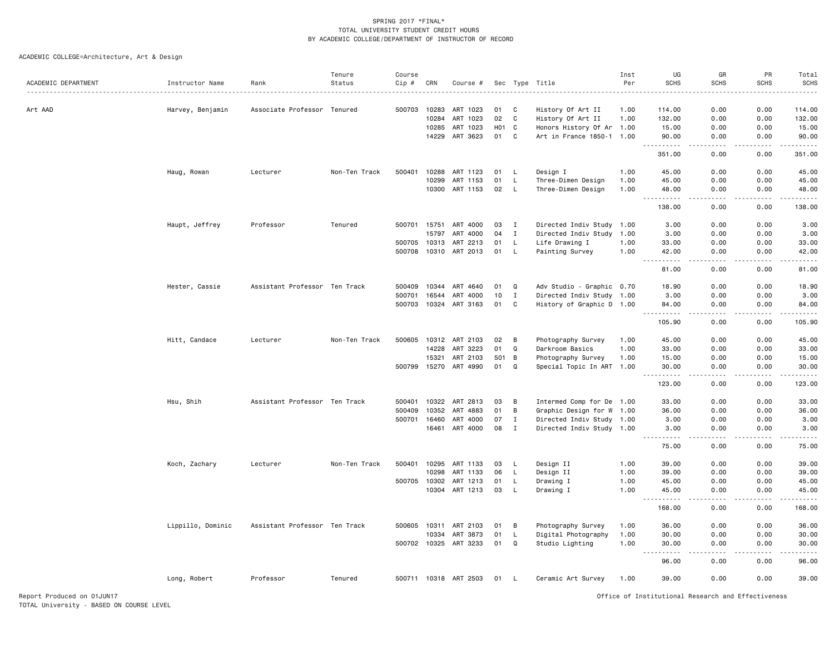| ACADEMIC DEPARTMENT | Instructor Name   | Rank                          | Tenure<br>Status | Course<br>Cip # | CRN          | Course #              |                  |                | Sec Type Title            | Inst<br>Per | UG<br><b>SCHS</b>                                                                                                                                             | GR<br><b>SCHS</b>                                                                                                                 | PR<br><b>SCHS</b> | Total<br><b>SCHS</b> |
|---------------------|-------------------|-------------------------------|------------------|-----------------|--------------|-----------------------|------------------|----------------|---------------------------|-------------|---------------------------------------------------------------------------------------------------------------------------------------------------------------|-----------------------------------------------------------------------------------------------------------------------------------|-------------------|----------------------|
| Art AAD             |                   | Associate Professor           | Tenured          | 500703          | 10283        | ART 1023              | 01               | C              | History Of Art II         | 1.00        | 114.00                                                                                                                                                        | 0.00                                                                                                                              | 0.00              | 114,00               |
|                     | Harvey, Benjamin  |                               |                  |                 | 10284        | ART 1023              | 02               | C              | History Of Art II         | 1.00        | 132.00                                                                                                                                                        | 0.00                                                                                                                              | 0.00              | 132.00               |
|                     |                   |                               |                  |                 | 10285        | ART 1023              | H <sub>0</sub> 1 | C              | Honors History Of Ar 1.00 |             | 15.00                                                                                                                                                         | 0.00                                                                                                                              | 0.00              | 15.00                |
|                     |                   |                               |                  |                 | 14229        | ART 3623              | 01               | C              | Art in France 1850-1 1.00 |             | 90.00                                                                                                                                                         | 0.00                                                                                                                              | 0.00              | 90.00                |
|                     |                   |                               |                  |                 |              |                       |                  |                |                           |             | $\sim$ $\sim$ $\sim$<br>351.00                                                                                                                                | د د د د<br>0.00                                                                                                                   | .<br>0.00         | .<br>351.00          |
|                     | Haug, Rowan       | Lecturer                      | Non-Ten Track    | 500401          | 10288        | ART 1123              | 01               | L              | Design I                  | 1.00        | 45.00                                                                                                                                                         | 0.00                                                                                                                              | 0.00              | 45.00                |
|                     |                   |                               |                  |                 | 10299        | ART 1153              | 01               | L              | Three-Dimen Design        | 1.00        | 45.00                                                                                                                                                         | 0.00                                                                                                                              | 0.00              | 45.00                |
|                     |                   |                               |                  |                 | 10300        | ART 1153              | 02               | $\mathsf{L}$   | Three-Dimen Design        | 1.00        | 48.00<br>$\sim$<br>.                                                                                                                                          | 0.00<br>$\sim$ $\sim$ $\sim$                                                                                                      | 0.00<br>.         | 48.00<br>.           |
|                     |                   |                               |                  |                 |              |                       |                  |                |                           |             | 138.00                                                                                                                                                        | 0.00                                                                                                                              | 0.00              | 138.00               |
|                     | Haupt, Jeffrey    | Professor                     | Tenured          |                 | 500701 15751 | ART 4000              | 03               | I              | Directed Indiv Study 1.00 |             | 3.00                                                                                                                                                          | 0.00                                                                                                                              | 0.00              | 3.00                 |
|                     |                   |                               |                  |                 | 15797        | ART 4000              | 04               | $\mathbf{I}$   | Directed Indiv Study      | 1.00        | 3.00                                                                                                                                                          | 0.00                                                                                                                              | 0.00              | 3.00                 |
|                     |                   |                               |                  | 500705          | 10313        | ART 2213              | 01               | <b>L</b>       | Life Drawing I            | 1.00        | 33.00                                                                                                                                                         | 0.00                                                                                                                              | 0.00              | 33.00                |
|                     |                   |                               |                  | 500708          | 10310        | ART 2013              | 01               | <b>L</b>       | Painting Survey           | 1.00        | 42.00<br>.<br>$\sim$ $\sim$ $\sim$                                                                                                                            | 0.00<br>.                                                                                                                         | 0.00<br>.         | 42.00<br>.           |
|                     |                   |                               |                  |                 |              |                       |                  |                |                           |             | 81.00                                                                                                                                                         | 0.00                                                                                                                              | 0.00              | 81.00                |
|                     | Hester, Cassie    | Assistant Professor Ten Track |                  | 500409          | 10344        | ART 4640              | 01               | Q              | Adv Studio - Graphic 0.70 |             | 18.90                                                                                                                                                         | 0.00                                                                                                                              | 0.00              | 18.90                |
|                     |                   |                               |                  | 500701          | 16544        | ART 4000              | 10               | $\mathbf I$    | Directed Indiv Study 1.00 |             | 3.00                                                                                                                                                          | 0.00                                                                                                                              | 0.00              | 3.00                 |
|                     |                   |                               |                  | 500703          | 10324        | ART 3163              | 01               | C              | History of Graphic D 1.00 |             | 84.00                                                                                                                                                         | 0.00                                                                                                                              | 0.00              | 84.00                |
|                     |                   |                               |                  |                 |              |                       |                  |                |                           |             | $\sim$ $\sim$ $\sim$<br>.<br>105.90                                                                                                                           | $\sim$ $\sim$ $\sim$<br>0.00                                                                                                      | .<br>0.00         | .<br>105.90          |
|                     | Hitt, Candace     | Lecturer                      | Non-Ten Track    | 500605          | 10312        | ART 2103              | 02               | B              | Photography Survey        | 1.00        | 45.00                                                                                                                                                         | 0.00                                                                                                                              | 0.00              | 45.00                |
|                     |                   |                               |                  |                 | 14228        | ART 3223              | 01               | Q              | Darkroom Basics           | 1.00        | 33.00                                                                                                                                                         | 0.00                                                                                                                              | 0.00              | 33.00                |
|                     |                   |                               |                  |                 | 15321        | ART 2103              | 501              | $\overline{B}$ | Photography Survey        | 1.00        | 15.00                                                                                                                                                         | 0.00                                                                                                                              | 0.00              | 15.00                |
|                     |                   |                               |                  |                 | 500799 15270 | ART 4990              | 01               | Q              | Special Topic In ART 1.00 |             | 30.00<br>.<br>$\sim$ $\sim$ .                                                                                                                                 | 0.00<br>د د د د                                                                                                                   | 0.00<br>.         | 30.00<br>.           |
|                     |                   |                               |                  |                 |              |                       |                  |                |                           |             | 123.00                                                                                                                                                        | 0.00                                                                                                                              | 0.00              | 123.00               |
|                     | Hsu, Shih         | Assistant Professor Ten Track |                  | 500401          | 10322        | ART 2813              | 03               | B              | Intermed Comp for De 1.00 |             | 33.00                                                                                                                                                         | 0.00                                                                                                                              | 0.00              | 33.00                |
|                     |                   |                               |                  | 500409          | 10352        | ART 4883              | 01               | $\, {\bf B}$   | Graphic Design for W 1.00 |             | 36.00                                                                                                                                                         | 0.00                                                                                                                              | 0.00              | 36.00                |
|                     |                   |                               |                  | 500701          | 16460        | ART 4000              | 07               | $\mathbf{I}$   | Directed Indiv Study 1.00 |             | 3.00                                                                                                                                                          | 0.00                                                                                                                              | 0.00              | 3.00                 |
|                     |                   |                               |                  |                 | 16461        | ART 4000              | 08               | $\mathbf I$    | Directed Indiv Study 1.00 |             | 3.00<br>.                                                                                                                                                     | 0.00<br>$\sim$ $\sim$ $\sim$                                                                                                      | 0.00<br>.         | 3.00<br>.            |
|                     |                   |                               |                  |                 |              |                       |                  |                |                           |             | 75.00                                                                                                                                                         | 0.00                                                                                                                              | 0.00              | 75.00                |
|                     | Koch, Zachary     | Lecturer                      | Non-Ten Track    | 500401          | 10295        | ART 1133              | 03               | L              | Design II                 | 1.00        | 39.00                                                                                                                                                         | 0.00                                                                                                                              | 0.00              | 39.00                |
|                     |                   |                               |                  |                 | 10298        | ART 1133              | 06               | <b>L</b>       | Design II                 | 1.00        | 39.00                                                                                                                                                         | 0.00                                                                                                                              | 0.00              | 39.00                |
|                     |                   |                               |                  |                 | 500705 10302 | ART 1213              | 01               | L              | Drawing I                 | 1.00        | 45.00                                                                                                                                                         | 0.00                                                                                                                              | 0.00              | 45.00                |
|                     |                   |                               |                  |                 |              | 10304 ART 1213        | 03               | L              | Drawing I                 | 1.00        | 45.00<br>$\frac{1}{2} \left( \frac{1}{2} \right) \left( \frac{1}{2} \right) \left( \frac{1}{2} \right) \left( \frac{1}{2} \right) \left( \frac{1}{2} \right)$ | 0.00<br>$\frac{1}{2} \left( \frac{1}{2} \right) \left( \frac{1}{2} \right) \left( \frac{1}{2} \right) \left( \frac{1}{2} \right)$ | 0.00              | 45.00<br>.           |
|                     |                   |                               |                  |                 |              |                       |                  |                |                           |             | 168.00                                                                                                                                                        | 0.00                                                                                                                              | 0.00              | 168.00               |
|                     | Lippillo, Dominic | Assistant Professor Ten Track |                  |                 |              | 500605 10311 ART 2103 | 01               | B              | Photography Survey        | 1.00        | 36.00                                                                                                                                                         | 0.00                                                                                                                              | 0.00              | 36.00                |
|                     |                   |                               |                  |                 | 10334        | ART 3873              | 01               | L              | Digital Photography       | 1.00        | 30.00                                                                                                                                                         | 0.00                                                                                                                              | 0.00              | 30.00                |
|                     |                   |                               |                  |                 | 500702 10325 | ART 3233              | 01               | $\mathbf Q$    | Studio Lighting           | 1.00        | 30.00<br>$  -$                                                                                                                                                | 0.00                                                                                                                              | 0.00              | 30.00                |
|                     |                   |                               |                  |                 |              |                       |                  |                |                           |             | 96.00                                                                                                                                                         | 0.00                                                                                                                              | 0.00              | 96.00                |
|                     | Long, Robert      | Professor                     | Tenured          |                 |              | 500711 10318 ART 2503 | 01               | - L            | Ceramic Art Survey        | 1.00        | 39.00                                                                                                                                                         | 0.00                                                                                                                              | 0.00              | 39.00                |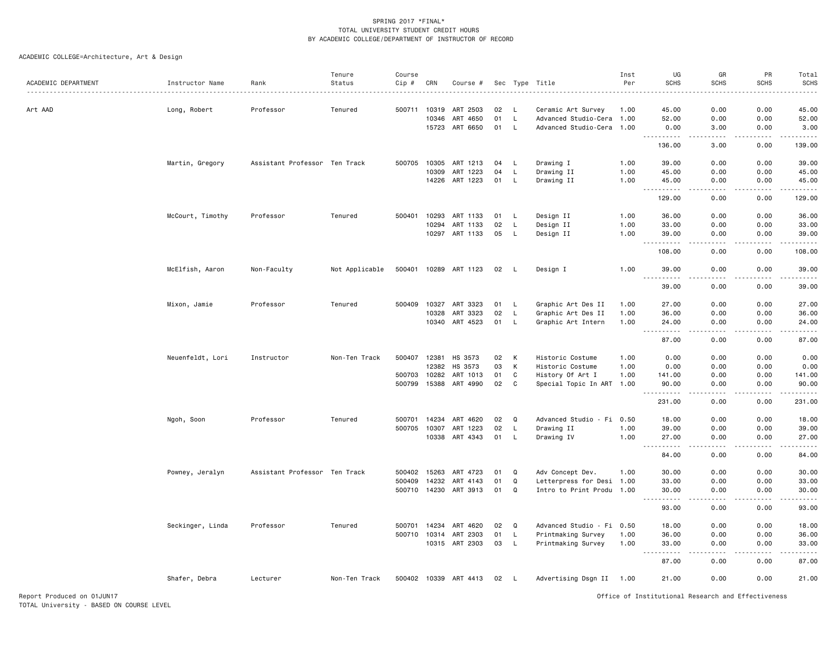|                            |                  |                               | Tenure         | Course |              |                       |     |          |                           | Inst | UG                                                                                                                                                                                                                                                                                                                                                                                                                                                                                                               | GR                                  | PR            | Total                                                                                                                                                         |
|----------------------------|------------------|-------------------------------|----------------|--------|--------------|-----------------------|-----|----------|---------------------------|------|------------------------------------------------------------------------------------------------------------------------------------------------------------------------------------------------------------------------------------------------------------------------------------------------------------------------------------------------------------------------------------------------------------------------------------------------------------------------------------------------------------------|-------------------------------------|---------------|---------------------------------------------------------------------------------------------------------------------------------------------------------------|
| ACADEMIC DEPARTMENT        | Instructor Name  | Rank                          | Status         | Cip #  | CRN          | Course #              | Sec |          | Type Title                | Per  | <b>SCHS</b>                                                                                                                                                                                                                                                                                                                                                                                                                                                                                                      | <b>SCHS</b>                         | <b>SCHS</b>   | <b>SCHS</b>                                                                                                                                                   |
|                            |                  |                               |                |        |              |                       |     |          |                           |      |                                                                                                                                                                                                                                                                                                                                                                                                                                                                                                                  |                                     |               |                                                                                                                                                               |
| Art AAD                    | Long, Robert     | Professor                     | Tenured        | 500711 | 10319        | ART 2503              | 02  | - L      | Ceramic Art Survey        | 1.00 | 45.00                                                                                                                                                                                                                                                                                                                                                                                                                                                                                                            | 0.00                                | 0.00          | 45.00                                                                                                                                                         |
|                            |                  |                               |                |        | 10346        | ART 4650              | 01  | L        | Advanced Studio-Cera 1.00 |      | 52.00                                                                                                                                                                                                                                                                                                                                                                                                                                                                                                            | 0.00                                | 0.00          | 52.00                                                                                                                                                         |
|                            |                  |                               |                |        | 15723        | ART 6650              | 01  | L.       | Advanced Studio-Cera 1.00 |      | 0.00<br><u>.</u>                                                                                                                                                                                                                                                                                                                                                                                                                                                                                                 | 3.00<br>.                           | 0.00<br>.     | 3.00<br>-----                                                                                                                                                 |
|                            |                  |                               |                |        |              |                       |     |          |                           |      | 136.00                                                                                                                                                                                                                                                                                                                                                                                                                                                                                                           | 3.00                                | 0.00          | 139.00                                                                                                                                                        |
|                            | Martin, Gregory  | Assistant Professor Ten Track |                | 500705 | 10305        | ART 1213              | 04  | L.       | Drawing I                 | 1.00 | 39.00                                                                                                                                                                                                                                                                                                                                                                                                                                                                                                            | 0.00                                | 0.00          | 39.00                                                                                                                                                         |
|                            |                  |                               |                |        | 10309        | ART 1223              | 04  | L        | Drawing II                | 1.00 | 45.00                                                                                                                                                                                                                                                                                                                                                                                                                                                                                                            | 0.00                                | 0.00          | 45.00                                                                                                                                                         |
|                            |                  |                               |                |        | 14226        | ART 1223              | 01  | L        | Drawing II                | 1.00 | 45.00<br>$\begin{array}{cccccccccccccc} \multicolumn{2}{c}{} & \multicolumn{2}{c}{} & \multicolumn{2}{c}{} & \multicolumn{2}{c}{} & \multicolumn{2}{c}{} & \multicolumn{2}{c}{} & \multicolumn{2}{c}{} & \multicolumn{2}{c}{} & \multicolumn{2}{c}{} & \multicolumn{2}{c}{} & \multicolumn{2}{c}{} & \multicolumn{2}{c}{} & \multicolumn{2}{c}{} & \multicolumn{2}{c}{} & \multicolumn{2}{c}{} & \multicolumn{2}{c}{} & \multicolumn{2}{c}{} & \multicolumn{2}{c}{} & \multicolumn{2}{c}{} & \$<br>$\frac{1}{2}$ | 0.00<br>.                           | 0.00<br>.     | 45.00<br>.                                                                                                                                                    |
|                            |                  |                               |                |        |              |                       |     |          |                           |      | 129.00                                                                                                                                                                                                                                                                                                                                                                                                                                                                                                           | 0.00                                | 0.00          | 129.00                                                                                                                                                        |
|                            | McCourt, Timothy | Professor                     | Tenured        | 500401 | 10293        | ART 1133              | 01  | L.       | Design II                 | 1.00 | 36.00                                                                                                                                                                                                                                                                                                                                                                                                                                                                                                            | 0.00                                | 0.00          | 36.00                                                                                                                                                         |
|                            |                  |                               |                |        | 10294        | ART 1133              | 02  | L        | Design II                 | 1.00 | 33.00                                                                                                                                                                                                                                                                                                                                                                                                                                                                                                            | 0.00                                | 0.00          | 33.00                                                                                                                                                         |
|                            |                  |                               |                |        | 10297        | ART 1133              | 05  | L.       | Design II                 | 1.00 | 39.00<br><u>.</u>                                                                                                                                                                                                                                                                                                                                                                                                                                                                                                | 0.00<br>.                           | 0.00<br>----- | 39.00<br>$\frac{1}{2} \left( \frac{1}{2} \right) \left( \frac{1}{2} \right) \left( \frac{1}{2} \right) \left( \frac{1}{2} \right) \left( \frac{1}{2} \right)$ |
|                            |                  |                               |                |        |              |                       |     |          |                           |      | 108.00                                                                                                                                                                                                                                                                                                                                                                                                                                                                                                           | 0.00                                | 0.00          | 108.00                                                                                                                                                        |
|                            | McElfish, Aaron  | Non-Faculty                   | Not Applicable |        |              | 500401 10289 ART 1123 | 02  | - L      | Design I                  | 1.00 | 39.00<br>.                                                                                                                                                                                                                                                                                                                                                                                                                                                                                                       | 0.00<br>.                           | 0.00<br>.     | 39.00<br>.                                                                                                                                                    |
|                            |                  |                               |                |        |              |                       |     |          |                           |      | 39.00                                                                                                                                                                                                                                                                                                                                                                                                                                                                                                            | 0.00                                | 0.00          | 39.00                                                                                                                                                         |
|                            | Mixon, Jamie     | Professor                     | Tenured        | 500409 | 10327        | ART 3323              | 01  | L.       | Graphic Art Des II        | 1.00 | 27.00                                                                                                                                                                                                                                                                                                                                                                                                                                                                                                            | 0.00                                | 0.00          | 27.00                                                                                                                                                         |
|                            |                  |                               |                |        | 10328        | ART 3323              | 02  | L.       | Graphic Art Des II        | 1.00 | 36.00                                                                                                                                                                                                                                                                                                                                                                                                                                                                                                            | 0.00                                | 0.00          | 36.00                                                                                                                                                         |
|                            |                  |                               |                |        | 10340        | ART 4523              | 01  | L.       | Graphic Art Intern        | 1.00 | 24.00<br>. <b>.</b><br>$\cdots$                                                                                                                                                                                                                                                                                                                                                                                                                                                                                  | 0.00<br>.                           | 0.00<br>.     | 24.00<br>.                                                                                                                                                    |
|                            |                  |                               |                |        |              |                       |     |          |                           |      | 87.00                                                                                                                                                                                                                                                                                                                                                                                                                                                                                                            | 0.00                                | 0.00          | 87.00                                                                                                                                                         |
|                            | Neuenfeldt, Lori | Instructor                    | Non-Ten Track  | 500407 | 12381        | HS 3573               | 02  | К        | Historic Costume          | 1.00 | 0.00                                                                                                                                                                                                                                                                                                                                                                                                                                                                                                             | 0.00                                | 0.00          | 0.00                                                                                                                                                          |
|                            |                  |                               |                |        | 12382        | HS 3573               | 03  | К        | Historic Costume          | 1.00 | 0.00                                                                                                                                                                                                                                                                                                                                                                                                                                                                                                             | 0.00                                | 0.00          | 0.00                                                                                                                                                          |
|                            |                  |                               |                | 500703 | 10282        | ART 1013              | 01  | C        | History Of Art I          | 1.00 | 141.00                                                                                                                                                                                                                                                                                                                                                                                                                                                                                                           | 0.00                                | 0.00          | 141.00                                                                                                                                                        |
|                            |                  |                               |                | 500799 | 15388        | ART 4990              | 02  | C        | Special Topic In ART 1.00 |      | 90.00<br>.                                                                                                                                                                                                                                                                                                                                                                                                                                                                                                       | 0.00<br>والمستناء                   | 0.00<br>.     | 90.00<br>-----                                                                                                                                                |
|                            |                  |                               |                |        |              |                       |     |          |                           |      | 231.00                                                                                                                                                                                                                                                                                                                                                                                                                                                                                                           | 0.00                                | 0.00          | 231.00                                                                                                                                                        |
|                            | Ngoh, Soon       | Professor                     | Tenured        |        | 500701 14234 | ART 4620              | 02  | Q        | Advanced Studio - Fi 0.50 |      | 18.00                                                                                                                                                                                                                                                                                                                                                                                                                                                                                                            | 0.00                                | 0.00          | 18.00                                                                                                                                                         |
|                            |                  |                               |                | 500705 | 10307        | ART 1223              | 02  | L.       | Drawing II                | 1.00 | 39.00                                                                                                                                                                                                                                                                                                                                                                                                                                                                                                            | 0.00                                | 0.00          | 39.00                                                                                                                                                         |
|                            |                  |                               |                |        | 10338        | ART 4343              | 01  | L.       | Drawing IV                | 1.00 | 27.00                                                                                                                                                                                                                                                                                                                                                                                                                                                                                                            | 0.00                                | 0.00          | 27.00                                                                                                                                                         |
|                            |                  |                               |                |        |              |                       |     |          |                           |      | 84.00                                                                                                                                                                                                                                                                                                                                                                                                                                                                                                            | 0.00                                | 0.00          | 84.00                                                                                                                                                         |
|                            | Powney, Jeralyn  | Assistant Professor Ten Track |                | 500402 | 15263        | ART 4723              | 01  | Q        | Adv Concept Dev.          | 1.00 | 30.00                                                                                                                                                                                                                                                                                                                                                                                                                                                                                                            | 0.00                                | 0.00          | 30.00                                                                                                                                                         |
|                            |                  |                               |                | 500409 | 14232        | ART 4143              | 01  | $\Omega$ | Letterpress for Desi 1.00 |      | 33.00                                                                                                                                                                                                                                                                                                                                                                                                                                                                                                            | 0.00                                | 0.00          | 33.00                                                                                                                                                         |
|                            |                  |                               |                |        |              | 500710 14230 ART 3913 | 01  | Q        | Intro to Print Produ 1.00 |      | 30.00<br>.<br>$\sim$ $\sim$                                                                                                                                                                                                                                                                                                                                                                                                                                                                                      | 0.00<br>$\sim$ $\sim$ $\sim$ $\sim$ | 0.00<br>.     | 30.00<br>.                                                                                                                                                    |
|                            |                  |                               |                |        |              |                       |     |          |                           |      | 93.00                                                                                                                                                                                                                                                                                                                                                                                                                                                                                                            | 0.00                                | 0.00          | 93.00                                                                                                                                                         |
|                            | Seckinger, Linda | Professor                     | Tenured        |        | 500701 14234 | ART 4620              | 02  | Q        | Advanced Studio - Fi 0.50 |      | 18.00                                                                                                                                                                                                                                                                                                                                                                                                                                                                                                            | 0.00                                | 0.00          | 18.00                                                                                                                                                         |
|                            |                  |                               |                | 500710 | 10314        | ART 2303              | 01  | L.       | Printmaking Survey        | 1.00 | 36.00                                                                                                                                                                                                                                                                                                                                                                                                                                                                                                            | 0.00                                | 0.00          | 36.00                                                                                                                                                         |
|                            |                  |                               |                |        |              | 10315 ART 2303        | 03  | L.       | Printmaking Survey        | 1.00 | 33.00                                                                                                                                                                                                                                                                                                                                                                                                                                                                                                            | 0.00                                | 0.00          | 33.00                                                                                                                                                         |
|                            |                  |                               |                |        |              |                       |     |          |                           |      | 87.00                                                                                                                                                                                                                                                                                                                                                                                                                                                                                                            | 0.00                                | 0.00          | 87.00                                                                                                                                                         |
|                            | Shafer, Debra    | Lecturer                      | Non-Ten Track  |        |              | 500402 10339 ART 4413 | 02  | <b>L</b> | Advertising Dsgn II 1.00  |      | 21.00                                                                                                                                                                                                                                                                                                                                                                                                                                                                                                            | 0.00                                | 0.00          | 21.00                                                                                                                                                         |
| Report Produced on 01JUN17 |                  |                               |                |        |              |                       |     |          |                           |      | Office of Institutional Research and Effectiveness                                                                                                                                                                                                                                                                                                                                                                                                                                                               |                                     |               |                                                                                                                                                               |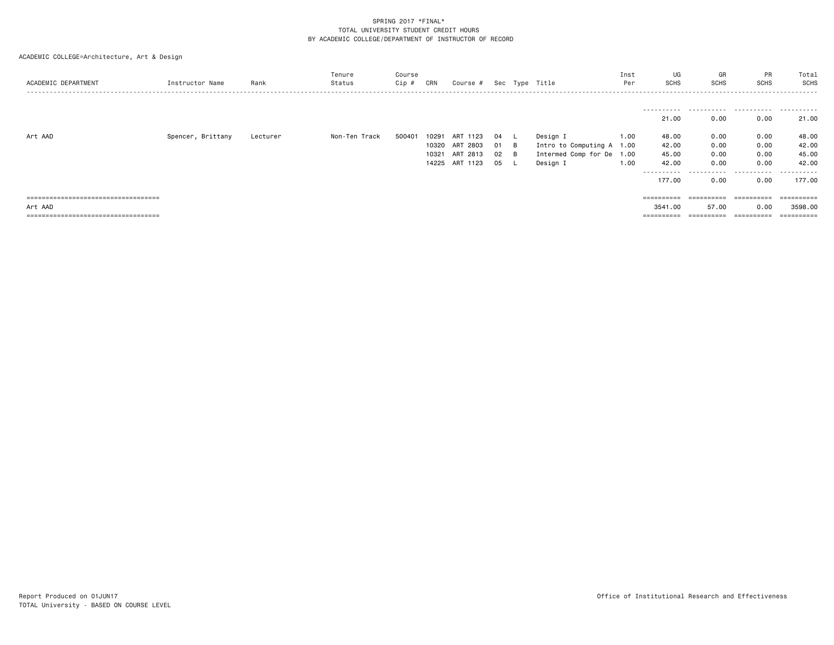| ACADEMIC DEPARTMENT                   | Instructor Name   | Rank     | Tenure<br>Status | Course<br>Cip # | CRN   | Course # |    |   | Sec Type Title            | Inst<br>Per | UG<br><b>SCHS</b>     | GR<br>SCHS            | PR<br><b>SCHS</b> | Total<br>SCHS |
|---------------------------------------|-------------------|----------|------------------|-----------------|-------|----------|----|---|---------------------------|-------------|-----------------------|-----------------------|-------------------|---------------|
|                                       |                   |          |                  |                 |       |          |    |   |                           |             |                       |                       |                   |               |
|                                       |                   |          |                  |                 |       |          |    |   |                           |             | -----------<br>21.00  | 0.00                  | 0.00              | .<br>21.00    |
| Art AAD                               | Spencer, Brittany | Lecturer | Non-Ten Track    | 500401          | 10291 | ART 1123 | 04 |   | Design I                  | 1.00        | 48.00                 | 0.00                  | 0.00              | 48.00         |
|                                       |                   |          |                  |                 | 10320 | ART 2803 | 01 | B | Intro to Computing A 1.00 |             | 42.00                 | 0.00                  | 0.00              | 42.00         |
|                                       |                   |          |                  |                 | 10321 | ART 2813 | 02 | B | Intermed Comp for De 1.00 |             | 45.00                 | 0.00                  | 0.00              | 45.00         |
|                                       |                   |          |                  |                 | 14225 | ART 1123 | 05 |   | Design I                  | 1.00        | 42.00                 | 0.00                  | 0.00              | 42.00         |
|                                       |                   |          |                  |                 |       |          |    |   |                           |             | ---------- <i>-</i>   | .                     | .                 | . <u>.</u>    |
|                                       |                   |          |                  |                 |       |          |    |   |                           |             | 177.00                | 0.00                  | 0.00              | 177.00        |
|                                       |                   |          |                  |                 |       |          |    |   |                           |             |                       |                       |                   |               |
| ===================================== |                   |          |                  |                 |       |          |    |   |                           |             | $=$ = = = = = = = = = | ==========            | ==========        |               |
| Art AAD                               |                   |          |                  |                 |       |          |    |   |                           |             | 3541.00               | 57.00                 | 0.00              | 3598.00       |
| ===================================== |                   |          |                  |                 |       |          |    |   |                           |             | ==========            | $=$ = = = = = = = = = | ==========        |               |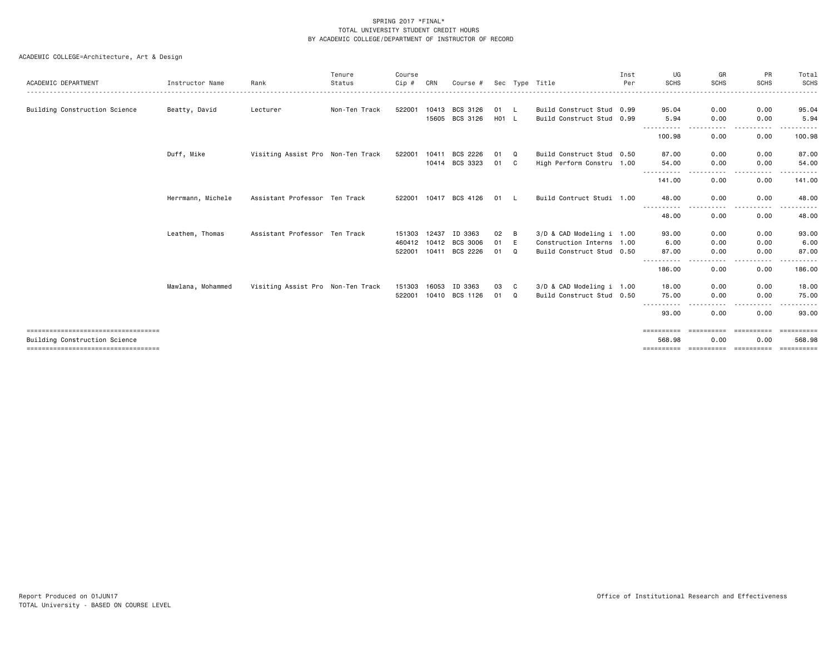|                                      |                   |                                   | Tenure        | Course  |       |                       |       |     |                           | Inst | UG                              | GR                    | PR                         | Total            |
|--------------------------------------|-------------------|-----------------------------------|---------------|---------|-------|-----------------------|-------|-----|---------------------------|------|---------------------------------|-----------------------|----------------------------|------------------|
| ACADEMIC DEPARTMENT                  | Instructor Name   | Rank                              | Status        | $Cip$ # | CRN   | Course #              |       |     | Sec Type Title            | Per  | <b>SCHS</b>                     | <b>SCHS</b>           | <b>SCHS</b>                | SCHS             |
| Building Construction Science        | Beatty, David     | Lecturer                          | Non-Ten Track | 522001  |       | 10413 BCS 3126        | 01 L  |     | Build Construct Stud 0.99 |      | 95.04                           | 0.00                  | 0.00                       | 95.04            |
|                                      |                   |                                   |               |         | 15605 | BCS 3126              | H01 L |     | Build Construct Stud 0.99 |      | 5.94                            | 0.00                  | 0.00                       | 5.94             |
|                                      |                   |                                   |               |         |       |                       |       |     |                           |      | -----------<br>100.98           | .<br>$\cdots$<br>0.00 | $\frac{1}{2}$<br>.<br>0.00 | .<br>100.98      |
|                                      | Duff, Mike        | Visiting Assist Pro Non-Ten Track |               | 522001  | 10411 | BCS 2226              | 01    | Q   | Build Construct Stud 0.50 |      | 87.00                           | 0.00                  | 0.00                       | 87.00            |
|                                      |                   |                                   |               |         |       | 10414 BCS 3323        | 01    | C.  | High Perform Constru 1.00 |      | 54.00<br>.                      | 0.00<br>.             | 0.00<br>-----              | 54.00            |
|                                      |                   |                                   |               |         |       |                       |       |     |                           |      | 141.00                          | 0.00                  | 0.00                       | 141.00           |
|                                      | Herrmann, Michele | Assistant Professor Ten Track     |               | 522001  | 10417 | BCS 4126              | 01    | - L | Build Contruct Studi 1.00 |      | 48.00                           | 0.00                  | 0.00                       | 48.00            |
|                                      |                   |                                   |               |         |       |                       |       |     |                           |      | ----------<br>48.00             | 0.00                  | 0.00                       | 48.00            |
|                                      | Leathem, Thomas   | Assistant Professor Ten Track     |               | 151303  | 12437 | ID 3363               | 02    | B   | 3/D & CAD Modeling i 1.00 |      | 93.00                           | 0.00                  | 0.00                       | 93.00            |
|                                      |                   |                                   |               |         |       | 460412 10412 BCS 3006 | 01    | E   | Construction Interns 1.00 |      | 6.00                            | 0.00                  | 0.00                       | 6.00             |
|                                      |                   |                                   |               | 522001  | 10411 | BCS 2226              | 01    | Q   | Build Construct Stud 0.50 |      | 87.00                           | 0.00                  | 0.00                       | 87.00            |
|                                      |                   |                                   |               |         |       |                       |       |     |                           |      | - - - - - - - - - - -<br>186.00 | $\cdots$<br>0.00      | .<br>0.00                  | 186.00           |
|                                      | Mawlana, Mohammed | Visiting Assist Pro Non-Ten Track |               | 151303  | 16053 | ID 3363               | 03    | - C | 3/D & CAD Modeling i 1.00 |      | 18,00                           | 0.00                  | 0.00                       | 18.00            |
|                                      |                   |                                   |               | 522001  |       | 10410 BCS 1126        | 01    | Q   | Build Construct Stud 0.50 |      | 75.00                           | 0.00<br>- - - -       | 0.00                       | 75.00            |
|                                      |                   |                                   |               |         |       |                       |       |     |                           |      | 93.00                           | 0.00                  | 0.00                       | 93.00            |
| ==================================== |                   |                                   |               |         |       |                       |       |     |                           |      | ==========                      | ==========            | ==========                 | <b>CONSIDERS</b> |
| Building Construction Science        |                   |                                   |               |         |       |                       |       |     |                           |      | 568.98                          | 0.00                  | 0.00                       | 568.98           |
| ==================================== |                   |                                   |               |         |       |                       |       |     |                           |      | ==========                      | <b>EEEEEEEEE</b>      | ==========                 | ----------       |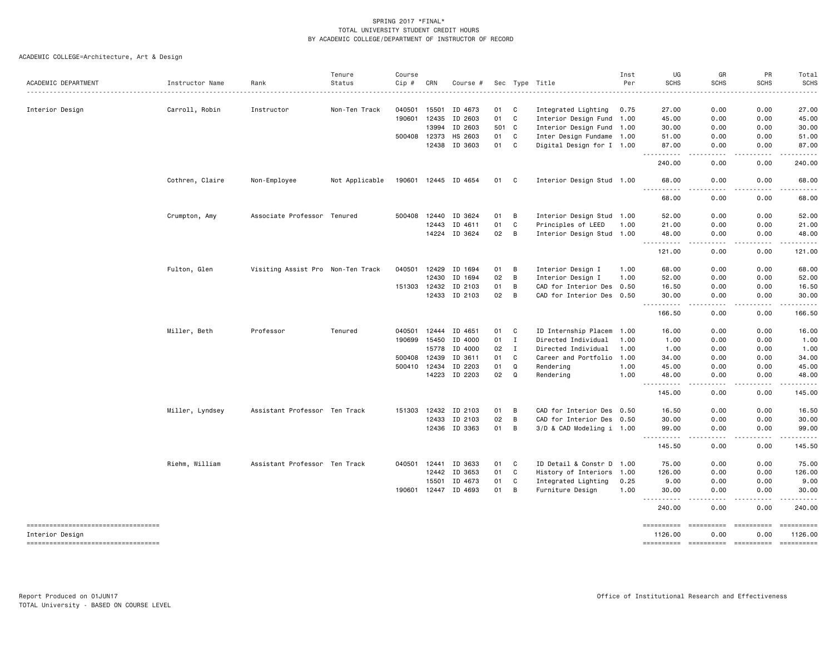| ACADEMIC DEPARTMENT                                    |                 |                                   |                |              |       |                      |       |                   |                           |      |                                                                                                                                    |                               |                                                                                                                                                              | Total                                                                                                                                                                                                                                                                                                                                                                                                                                                                                  |
|--------------------------------------------------------|-----------------|-----------------------------------|----------------|--------------|-------|----------------------|-------|-------------------|---------------------------|------|------------------------------------------------------------------------------------------------------------------------------------|-------------------------------|--------------------------------------------------------------------------------------------------------------------------------------------------------------|----------------------------------------------------------------------------------------------------------------------------------------------------------------------------------------------------------------------------------------------------------------------------------------------------------------------------------------------------------------------------------------------------------------------------------------------------------------------------------------|
|                                                        | Instructor Name | Rank                              | Status         | Cip #        | CRN   | Course #             |       |                   | Sec Type Title            | Per  | <b>SCHS</b>                                                                                                                        | SCHS                          | <b>SCHS</b>                                                                                                                                                  | <b>SCHS</b>                                                                                                                                                                                                                                                                                                                                                                                                                                                                            |
|                                                        |                 |                                   |                |              |       |                      |       |                   |                           |      |                                                                                                                                    |                               |                                                                                                                                                              |                                                                                                                                                                                                                                                                                                                                                                                                                                                                                        |
| Interior Design                                        | Carroll, Robin  | Instructor                        | Non-Ten Track  | 040501       | 15501 | ID 4673              | 01    | C                 | Integrated Lighting       | 0.75 | 27.00                                                                                                                              | 0.00                          | 0.00                                                                                                                                                         | 27.00                                                                                                                                                                                                                                                                                                                                                                                                                                                                                  |
|                                                        |                 |                                   |                | 190601       | 12435 | ID 2603              | 01    | C                 | Interior Design Fund      | 1.00 | 45.00                                                                                                                              | 0.00                          | 0.00                                                                                                                                                         | 45.00                                                                                                                                                                                                                                                                                                                                                                                                                                                                                  |
|                                                        |                 |                                   |                |              | 13994 | ID 2603              | 501 C |                   | Interior Design Fund 1.00 |      | 30.00                                                                                                                              | 0.00                          | 0.00                                                                                                                                                         | 30.00                                                                                                                                                                                                                                                                                                                                                                                                                                                                                  |
|                                                        |                 |                                   |                | 500408 12373 |       | HS 2603              | 01    | C<br>$\mathtt{C}$ | Inter Design Fundame 1.00 |      | 51.00                                                                                                                              | 0.00                          | 0.00                                                                                                                                                         | 51.00                                                                                                                                                                                                                                                                                                                                                                                                                                                                                  |
|                                                        |                 |                                   |                |              | 12438 | ID 3603              | 01    |                   | Digital Design for I 1.00 |      | 87.00                                                                                                                              | 0.00                          | 0.00                                                                                                                                                         | 87.00                                                                                                                                                                                                                                                                                                                                                                                                                                                                                  |
|                                                        |                 |                                   |                |              |       |                      |       |                   |                           |      | 240.00                                                                                                                             | 0.00                          | 0.00                                                                                                                                                         | 240.00                                                                                                                                                                                                                                                                                                                                                                                                                                                                                 |
|                                                        | Cothren, Claire | Non-Employee                      | Not Applicable |              |       | 190601 12445 ID 4654 | 01 C  |                   | Interior Design Stud 1.00 |      | 68.00                                                                                                                              | 0.00                          | 0.00                                                                                                                                                         | 68.00                                                                                                                                                                                                                                                                                                                                                                                                                                                                                  |
|                                                        |                 |                                   |                |              |       |                      |       |                   |                           |      | 68.00                                                                                                                              | 0.00                          | 0.00                                                                                                                                                         | 68.00                                                                                                                                                                                                                                                                                                                                                                                                                                                                                  |
|                                                        | Crumpton, Amy   | Associate Professor               | Tenured        | 500408       | 12440 | ID 3624              | 01    | В                 | Interior Design Stud 1.00 |      | 52.00                                                                                                                              | 0.00                          | 0.00                                                                                                                                                         | 52.00                                                                                                                                                                                                                                                                                                                                                                                                                                                                                  |
|                                                        |                 |                                   |                |              | 12443 | ID 4611              | 01    | C                 | Principles of LEED        | 1.00 | 21.00                                                                                                                              | 0.00                          | 0.00                                                                                                                                                         | 21.00                                                                                                                                                                                                                                                                                                                                                                                                                                                                                  |
|                                                        |                 |                                   |                |              |       | 14224 ID 3624        | 02    | B                 | Interior Design Stud 1.00 |      | 48.00<br>.                                                                                                                         | 0.00<br>.                     | 0.00<br>-----                                                                                                                                                | 48.00                                                                                                                                                                                                                                                                                                                                                                                                                                                                                  |
|                                                        |                 |                                   |                |              |       |                      |       |                   |                           |      | 121.00                                                                                                                             | 0.00                          | 0.00                                                                                                                                                         | 121.00                                                                                                                                                                                                                                                                                                                                                                                                                                                                                 |
|                                                        | Fulton, Glen    | Visiting Assist Pro Non-Ten Track |                | 040501       | 12429 | ID 1694              | 01    | B                 | Interior Design I         | 1.00 | 68.00                                                                                                                              | 0.00                          | 0.00                                                                                                                                                         | 68.00                                                                                                                                                                                                                                                                                                                                                                                                                                                                                  |
|                                                        |                 |                                   |                |              | 12430 | ID 1694              | 02    | B                 | Interior Design I         | 1.00 | 52.00                                                                                                                              | 0.00                          | 0.00                                                                                                                                                         | 52.00                                                                                                                                                                                                                                                                                                                                                                                                                                                                                  |
|                                                        |                 |                                   |                | 151303 12432 |       | ID 2103              | 01    | В                 | CAD for Interior Des 0.50 |      | 16.50                                                                                                                              | 0.00                          | 0.00                                                                                                                                                         | 16.50                                                                                                                                                                                                                                                                                                                                                                                                                                                                                  |
|                                                        |                 |                                   |                |              |       | 12433 ID 2103        | 02    | B                 | CAD for Interior Des 0.50 |      | 30.00                                                                                                                              | 0.00<br>.                     | 0.00                                                                                                                                                         | 30.00                                                                                                                                                                                                                                                                                                                                                                                                                                                                                  |
|                                                        |                 |                                   |                |              |       |                      |       |                   |                           |      | .<br>166.50                                                                                                                        | 0.00                          | -----<br>0.00                                                                                                                                                | $\frac{1}{2} \left( \frac{1}{2} \right) \left( \frac{1}{2} \right) \left( \frac{1}{2} \right) \left( \frac{1}{2} \right) \left( \frac{1}{2} \right) \left( \frac{1}{2} \right)$<br>166.50                                                                                                                                                                                                                                                                                              |
|                                                        | Miller, Beth    | Professor                         | Tenured        | 040501 12444 |       | ID 4651              | 01    | C                 | ID Internship Placem      | 1.00 | 16.00                                                                                                                              | 0.00                          | 0.00                                                                                                                                                         | 16.00                                                                                                                                                                                                                                                                                                                                                                                                                                                                                  |
|                                                        |                 |                                   |                | 190699 15450 |       | ID 4000              | 01    | Ι.                | Directed Individual       | 1.00 | 1.00                                                                                                                               | 0.00                          | 0.00                                                                                                                                                         | 1.00                                                                                                                                                                                                                                                                                                                                                                                                                                                                                   |
|                                                        |                 |                                   |                |              | 15778 | ID 4000              | 02    | $\mathbf I$       | Directed Individual       | 1.00 | 1.00                                                                                                                               | 0.00                          | 0.00                                                                                                                                                         | 1.00                                                                                                                                                                                                                                                                                                                                                                                                                                                                                   |
|                                                        |                 |                                   |                | 500408 12439 |       | ID 3611              | 01    | C                 | Career and Portfolio      | 1.00 | 34.00                                                                                                                              | 0.00                          | 0.00                                                                                                                                                         | 34.00                                                                                                                                                                                                                                                                                                                                                                                                                                                                                  |
|                                                        |                 |                                   |                | 500410 12434 |       | ID 2203              | 01    | Q                 | Rendering                 | 1.00 | 45.00                                                                                                                              | 0.00                          | 0.00                                                                                                                                                         | 45.00                                                                                                                                                                                                                                                                                                                                                                                                                                                                                  |
|                                                        |                 |                                   |                |              |       | 14223 ID 2203        | 02    | $\Omega$          | Rendering                 | 1.00 | 48.00<br>$\frac{1}{2} \left( \frac{1}{2} \right) \left( \frac{1}{2} \right) \left( \frac{1}{2} \right) \left( \frac{1}{2} \right)$ | 0.00                          | 0.00                                                                                                                                                         | 48.00                                                                                                                                                                                                                                                                                                                                                                                                                                                                                  |
|                                                        |                 |                                   |                |              |       |                      |       |                   |                           |      | 145.00                                                                                                                             | 0.00                          | 0.00                                                                                                                                                         | 145.00                                                                                                                                                                                                                                                                                                                                                                                                                                                                                 |
|                                                        | Miller, Lyndsey | Assistant Professor Ten Track     |                | 151303 12432 |       | ID 2103              | 01    | B                 | CAD for Interior Des 0.50 |      | 16.50                                                                                                                              | 0.00                          | 0.00                                                                                                                                                         | 16.50                                                                                                                                                                                                                                                                                                                                                                                                                                                                                  |
|                                                        |                 |                                   |                |              | 12433 | ID 2103              | 02    | B                 | CAD for Interior Des 0.50 |      | 30.00                                                                                                                              | 0.00                          | 0.00                                                                                                                                                         | 30.00                                                                                                                                                                                                                                                                                                                                                                                                                                                                                  |
|                                                        |                 |                                   |                |              |       | 12436 ID 3363        | 01    | B                 | 3/D & CAD Modeling i 1.00 |      | 99.00<br>.                                                                                                                         | 0.00<br>.                     | 0.00<br>$\frac{1}{2} \left( \frac{1}{2} \right) \left( \frac{1}{2} \right) \left( \frac{1}{2} \right) \left( \frac{1}{2} \right) \left( \frac{1}{2} \right)$ | 99.00                                                                                                                                                                                                                                                                                                                                                                                                                                                                                  |
|                                                        |                 |                                   |                |              |       |                      |       |                   |                           |      | 145.50                                                                                                                             | 0.00                          | 0.00                                                                                                                                                         | 145.50                                                                                                                                                                                                                                                                                                                                                                                                                                                                                 |
|                                                        | Riehm, William  | Assistant Professor Ten Track     |                | 040501       | 12441 | ID 3633              | 01    | C                 | ID Detail & Constr D 1.00 |      | 75.00                                                                                                                              | 0.00                          | 0.00                                                                                                                                                         | 75.00                                                                                                                                                                                                                                                                                                                                                                                                                                                                                  |
|                                                        |                 |                                   |                |              | 12442 | ID 3653              | 01    | C                 | History of Interiors 1.00 |      | 126.00                                                                                                                             | 0.00                          | 0.00                                                                                                                                                         | 126.00                                                                                                                                                                                                                                                                                                                                                                                                                                                                                 |
|                                                        |                 |                                   |                |              | 15501 | ID 4673              | 01    | C                 | Integrated Lighting       | 0.25 | 9.00                                                                                                                               | 0.00                          | 0.00                                                                                                                                                         | 9.00                                                                                                                                                                                                                                                                                                                                                                                                                                                                                   |
|                                                        |                 |                                   |                |              |       | 190601 12447 ID 4693 | 01    | B                 | Furniture Design          | 1.00 | 30.00                                                                                                                              | 0.00                          | 0.00                                                                                                                                                         | 30.00                                                                                                                                                                                                                                                                                                                                                                                                                                                                                  |
|                                                        |                 |                                   |                |              |       |                      |       |                   |                           |      | <b></b><br>240.00                                                                                                                  | .<br>0.00                     | -----<br>0.00                                                                                                                                                | 240.00                                                                                                                                                                                                                                                                                                                                                                                                                                                                                 |
| -----------------------------------                    |                 |                                   |                |              |       |                      |       |                   |                           |      |                                                                                                                                    | ==========                    | ==========                                                                                                                                                   | $\begin{array}{cccccccccc} \multicolumn{2}{c}{} & \multicolumn{2}{c}{} & \multicolumn{2}{c}{} & \multicolumn{2}{c}{} & \multicolumn{2}{c}{} & \multicolumn{2}{c}{} & \multicolumn{2}{c}{} & \multicolumn{2}{c}{} & \multicolumn{2}{c}{} & \multicolumn{2}{c}{} & \multicolumn{2}{c}{} & \multicolumn{2}{c}{} & \multicolumn{2}{c}{} & \multicolumn{2}{c}{} & \multicolumn{2}{c}{} & \multicolumn{2}{c}{} & \multicolumn{2}{c}{} & \multicolumn{2}{c}{} & \multicolumn{2}{c}{} & \mult$ |
| Interior Design<br>=================================== |                 |                                   |                |              |       |                      |       |                   |                           |      | 1126.00<br>==========                                                                                                              | 0.00<br>----------- --------- | 0.00                                                                                                                                                         | 1126.00<br>==========                                                                                                                                                                                                                                                                                                                                                                                                                                                                  |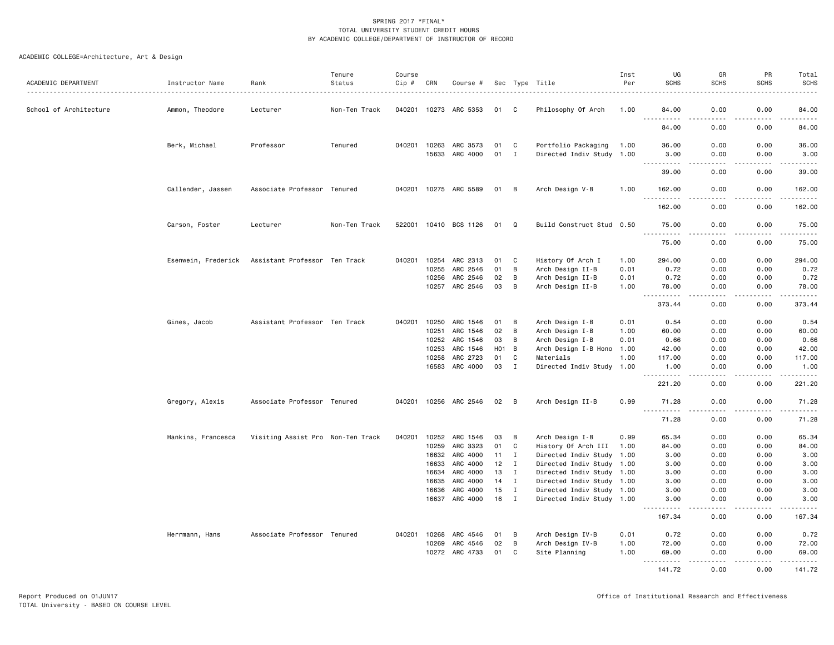| ACADEMIC DEPARTMENT    | Instructor Name     | Rank                              | Tenure<br>Status | Course<br>Cip # | CRN            | Course #              |          |                             | Sec Type Title            | Inst<br>Per | UG<br><b>SCHS</b>                                                                                                                                    | GR<br><b>SCHS</b>                   | PR<br><b>SCHS</b> | Total<br><b>SCHS</b> |
|------------------------|---------------------|-----------------------------------|------------------|-----------------|----------------|-----------------------|----------|-----------------------------|---------------------------|-------------|------------------------------------------------------------------------------------------------------------------------------------------------------|-------------------------------------|-------------------|----------------------|
|                        |                     |                                   |                  |                 |                |                       |          |                             |                           |             |                                                                                                                                                      |                                     |                   |                      |
| School of Architecture | Ammon, Theodore     | Lecturer                          | Non-Ten Track    | 040201 10273    |                | ARC 5353              | 01       | C.                          | Philosophy Of Arch        | 1.00        | 84.00<br>$- - -$                                                                                                                                     | 0.00                                | 0.00              | 84.00                |
|                        |                     |                                   |                  |                 |                |                       |          |                             |                           |             | 84.00                                                                                                                                                | 0.00                                | 0.00              | 84.00                |
|                        | Berk, Michael       | Professor                         | Tenured          | 040201          | 10263<br>15633 | ARC 3573<br>ARC 4000  | 01<br>01 | C<br>$\mathbf I$            | Portfolio Packaging       | 1.00        | 36.00<br>3.00                                                                                                                                        | 0.00<br>0.00                        | 0.00<br>0.00      | 36.00<br>3.00        |
|                        |                     |                                   |                  |                 |                |                       |          |                             | Directed Indiv Study 1.00 |             | $\frac{1}{2} \left( \frac{1}{2} \right) \left( \frac{1}{2} \right) \left( \frac{1}{2} \right) \left( \frac{1}{2} \right) \left( \frac{1}{2} \right)$ | $\omega$ $\omega$ $\omega$ $\omega$ | .                 | $    -$              |
|                        |                     |                                   |                  |                 |                |                       |          |                             |                           |             | 39.00                                                                                                                                                | 0.00                                | 0.00              | 39.00                |
|                        | Callender, Jassen   | Associate Professor Tenured       |                  |                 |                | 040201 10275 ARC 5589 | 01       | B                           | Arch Design V-B           | 1.00        | 162.00                                                                                                                                               | 0.00                                | 0.00              | 162.00               |
|                        |                     |                                   |                  |                 |                |                       |          |                             |                           |             | 162.00                                                                                                                                               | 0.00                                | 0.00              | 162.00               |
|                        | Carson, Foster      | Lecturer                          | Non-Ten Track    | 522001          |                | 10410 BCS 1126        | 01       | Q                           | Build Construct Stud 0.50 |             | 75.00<br>$\sim$ $\sim$ $\sim$<br>. <u>.</u>                                                                                                          | 0.00<br>$\frac{1}{2}$               | 0.00<br>.         | 75.00<br>.           |
|                        |                     |                                   |                  |                 |                |                       |          |                             |                           |             | 75.00                                                                                                                                                | 0.00                                | 0.00              | 75.00                |
|                        | Esenwein, Frederick | Assistant Professor Ten Track     |                  | 040201          | 10254          | ARC 2313              | 01       | C                           | History Of Arch I         | 1.00        | 294.00                                                                                                                                               | 0.00                                | 0.00              | 294.00               |
|                        |                     |                                   |                  |                 | 10255          | ARC 2546              | 01       | B                           | Arch Design II-B          | 0.01        | 0.72                                                                                                                                                 | 0.00                                | 0.00              | 0.72                 |
|                        |                     |                                   |                  |                 | 10256          | ARC 2546              | 02       | B                           | Arch Design II-B          | 0.01        | 0.72                                                                                                                                                 | 0.00                                | 0.00              | 0.72                 |
|                        |                     |                                   |                  |                 |                | 10257 ARC 2546        | 03       | B                           | Arch Design II-B          | 1.00        | 78.00                                                                                                                                                | 0.00<br>$\sim$ $\sim$ $\sim$        | 0.00              | 78.00<br>.           |
|                        |                     |                                   |                  |                 |                |                       |          |                             |                           |             | 373.44                                                                                                                                               | 0.00                                | 0.00              | 373.44               |
|                        | Gines, Jacob        | Assistant Professor Ten Track     |                  | 040201          | 10250          | ARC 1546              | 01       | B                           | Arch Design I-B           | 0.01        | 0.54                                                                                                                                                 | 0.00                                | 0.00              | 0.54                 |
|                        |                     |                                   |                  |                 | 10251          | ARC 1546              | 02       | B                           | Arch Design I-B           | 1.00        | 60.00                                                                                                                                                | 0.00                                | 0.00              | 60.00                |
|                        |                     |                                   |                  |                 | 10252          | ARC 1546              | 03       | B                           | Arch Design I-B           | 0.01        | 0.66                                                                                                                                                 | 0.00                                | 0.00              | 0.66                 |
|                        |                     |                                   |                  |                 | 10253          | ARC 1546              | HO1 B    |                             | Arch Design I-B Hono 1.00 |             | 42.00                                                                                                                                                | 0.00                                | 0.00              | 42.00                |
|                        |                     |                                   |                  |                 | 10258          | ARC 2723              | 01       | C                           | Materials                 | 1.00        | 117.00                                                                                                                                               | 0.00                                | 0.00              | 117.00               |
|                        |                     |                                   |                  |                 | 16583          | ARC 4000              | 03       | $\mathbf{I}$                | Directed Indiv Study 1.00 |             | 1.00<br><u>.</u>                                                                                                                                     | 0.00<br>$\frac{1}{2}$               | 0.00<br>.         | 1.00                 |
|                        |                     |                                   |                  |                 |                |                       |          |                             |                           |             | 221.20                                                                                                                                               | 0.00                                | 0.00              | 221.20               |
|                        | Gregory, Alexis     | Associate Professor Tenured       |                  |                 |                | 040201 10256 ARC 2546 | 02       | B                           | Arch Design II-B          | 0.99        | 71.28<br><u>.</u>                                                                                                                                    | 0.00<br>$\frac{1}{2}$               | 0.00<br>.         | 71.28<br>.           |
|                        |                     |                                   |                  |                 |                |                       |          |                             |                           |             | 71.28                                                                                                                                                | 0.00                                | 0.00              | 71.28                |
|                        | Hankins, Francesca  | Visiting Assist Pro Non-Ten Track |                  | 040201          | 10252          | ARC 1546              | 03       | B                           | Arch Design I-B           | 0.99        | 65.34                                                                                                                                                | 0.00                                | 0.00              | 65.34                |
|                        |                     |                                   |                  |                 | 10259          | ARC 3323              | 01       | C                           | History Of Arch III       | 1.00        | 84.00                                                                                                                                                | 0.00                                | 0.00              | 84.00                |
|                        |                     |                                   |                  |                 | 16632          | ARC 4000              | 11       | $\mathbf{I}$                | Directed Indiv Study 1.00 |             | 3.00                                                                                                                                                 | 0.00                                | 0.00              | 3.00                 |
|                        |                     |                                   |                  |                 | 16633          | ARC 4000              | 12       | $\mathbf{I}$                | Directed Indiv Study 1.00 |             | 3.00                                                                                                                                                 | 0.00                                | 0.00              | 3.00                 |
|                        |                     |                                   |                  |                 | 16634          | ARC 4000              | 13       | $\mathbf I$                 | Directed Indiv Study 1.00 |             | 3.00                                                                                                                                                 | 0.00                                | 0.00              | 3.00                 |
|                        |                     |                                   |                  |                 | 16635          | ARC 4000              | 14       | $\mathbf I$<br>$\mathbf{I}$ | Directed Indiv Study 1.00 |             | 3.00                                                                                                                                                 | 0.00                                | 0.00              | 3.00                 |
|                        |                     |                                   |                  |                 | 16636          | ARC 4000              | 15       | $\mathbf I$                 | Directed Indiv Study 1.00 |             | 3.00<br>3.00                                                                                                                                         | 0.00<br>0.00                        | 0.00              | 3.00                 |
|                        |                     |                                   |                  |                 | 16637          | ARC 4000              | 16       |                             | Directed Indiv Study 1.00 |             | .                                                                                                                                                    |                                     | 0.00              | 3.00<br>.            |
|                        |                     |                                   |                  |                 |                |                       |          |                             |                           |             | 167.34                                                                                                                                               | 0.00                                | 0.00              | 167.34               |
|                        | Herrmann, Hans      | Associate Professor Tenured       |                  | 040201          | 10268          | ARC 4546              | 01       | B                           | Arch Design IV-B          | 0.01        | 0.72                                                                                                                                                 | 0.00                                | 0.00              | 0.72                 |
|                        |                     |                                   |                  |                 | 10269          | ARC 4546              | 02       | B                           | Arch Design IV-B          | 1.00        | 72.00                                                                                                                                                | 0.00                                | 0.00              | 72.00                |
|                        |                     |                                   |                  |                 | 10272          | ARC 4733              | 01       | C                           | Site Planning             | 1.00        | 69.00<br>$\sim$ $\sim$ $\sim$                                                                                                                        | 0.00                                | 0.00              | 69.00                |
|                        |                     |                                   |                  |                 |                |                       |          |                             |                           |             | 141.72                                                                                                                                               | 0.00                                | 0.00              | 141.72               |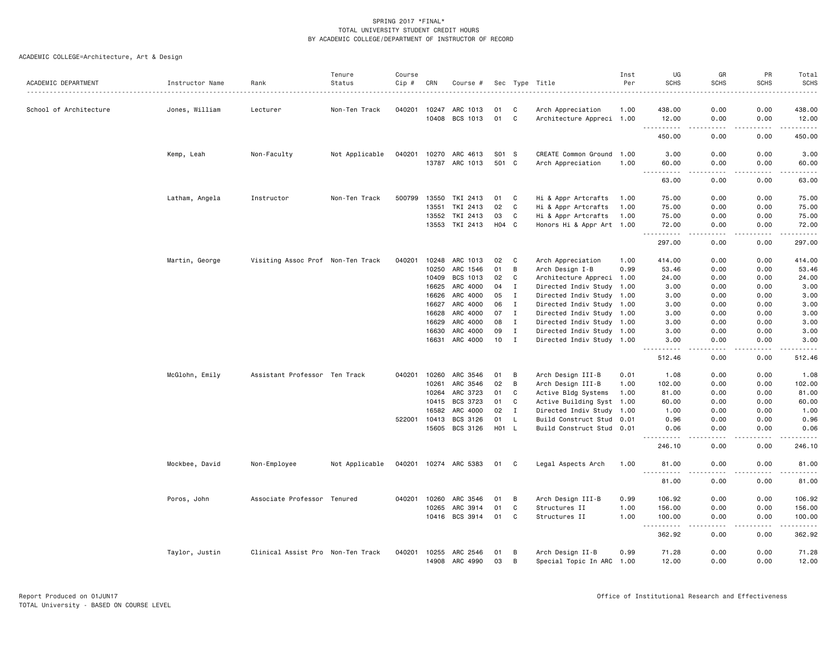| ACADEMIC DEPARTMENT    | Instructor Name | Rank                              | Tenure<br>Status | Course<br>Cip # | CRN            | Course #              |          |              | Sec Type Title                                 | Inst<br>Per | UG<br><b>SCHS</b>                  | GR<br><b>SCHS</b>                   | PR<br><b>SCHS</b>                                                                                                                                            | Total<br><b>SCHS</b>                                                                                                                                           |
|------------------------|-----------------|-----------------------------------|------------------|-----------------|----------------|-----------------------|----------|--------------|------------------------------------------------|-------------|------------------------------------|-------------------------------------|--------------------------------------------------------------------------------------------------------------------------------------------------------------|----------------------------------------------------------------------------------------------------------------------------------------------------------------|
|                        |                 |                                   |                  |                 |                |                       |          |              |                                                |             |                                    |                                     |                                                                                                                                                              |                                                                                                                                                                |
| School of Architecture | Jones, William  | Lecturer                          | Non-Ten Track    | 040201          | 10247<br>10408 | ARC 1013<br>BCS 1013  | 01<br>01 | C<br>C       | Arch Appreciation<br>Architecture Appreci 1.00 | 1.00        | 438.00<br>12.00                    | 0.00<br>0.00                        | 0.00<br>0.00                                                                                                                                                 | 438.00<br>12.00                                                                                                                                                |
|                        |                 |                                   |                  |                 |                |                       |          |              |                                                |             | .<br>450.00                        | $\sim$ $\sim$ $\sim$ $\sim$<br>0.00 | .<br>0.00                                                                                                                                                    | $\frac{1}{2} \left( \frac{1}{2} \right) \left( \frac{1}{2} \right) \left( \frac{1}{2} \right) \left( \frac{1}{2} \right) \left( \frac{1}{2} \right)$<br>450.00 |
|                        | Kemp, Leah      | Non-Faculty                       | Not Applicable   | 040201          | 10270          | ARC 4613              | S01 S    |              | CREATE Common Ground                           | 1.00        | 3.00                               | 0.00                                | 0.00                                                                                                                                                         | 3.00                                                                                                                                                           |
|                        |                 |                                   |                  |                 | 13787          | ARC 1013              | 501 C    |              | Arch Appreciation                              | 1.00        | 60.00<br>$\sim$ $\sim$ $\sim$<br>. | 0.00<br>$   -$                      | 0.00<br>.                                                                                                                                                    | 60.00<br>.                                                                                                                                                     |
|                        |                 |                                   |                  |                 |                |                       |          |              |                                                |             | 63.00                              | 0.00                                | 0.00                                                                                                                                                         | 63.00                                                                                                                                                          |
|                        | Latham, Angela  | Instructor                        | Non-Ten Track    | 500799          | 13550          | TKI 2413              | 01       | C            | Hi & Appr Artcrafts                            | 1.00        | 75.00                              | 0.00                                | 0.00                                                                                                                                                         | 75.00                                                                                                                                                          |
|                        |                 |                                   |                  |                 | 13551          | TKI 2413              | 02       | C            | Hi & Appr Artcrafts                            | 1.00        | 75.00                              | 0.00                                | 0.00                                                                                                                                                         | 75.00                                                                                                                                                          |
|                        |                 |                                   |                  |                 | 13552          | TKI 2413              | 03       | C            | Hi & Appr Artcrafts                            | 1.00        | 75.00                              | 0.00                                | 0.00                                                                                                                                                         | 75.00                                                                                                                                                          |
|                        |                 |                                   |                  |                 | 13553          | TKI 2413              | H04 C    |              | Honors Hi & Appr Art 1.00                      |             | 72.00<br>.                         | 0.00<br>والمستناء                   | 0.00<br>-----                                                                                                                                                | 72.00<br>$\frac{1}{2} \left( \frac{1}{2} \right) \left( \frac{1}{2} \right) \left( \frac{1}{2} \right) \left( \frac{1}{2} \right) \left( \frac{1}{2} \right)$  |
|                        |                 |                                   |                  |                 |                |                       |          |              |                                                |             | 297.00                             | 0.00                                | 0.00                                                                                                                                                         | 297.00                                                                                                                                                         |
|                        | Martin, George  | Visiting Assoc Prof Non-Ten Track |                  | 040201          | 10248          | ARC 1013              | 02       | C            | Arch Appreciation                              | 1.00        | 414.00                             | 0.00                                | 0.00                                                                                                                                                         | 414.00                                                                                                                                                         |
|                        |                 |                                   |                  |                 | 10250          | ARC 1546              | 01       | В            | Arch Design I-B                                | 0.99        | 53.46                              | 0.00                                | 0.00                                                                                                                                                         | 53.46                                                                                                                                                          |
|                        |                 |                                   |                  |                 | 10409          | BCS 1013              | 02       | C            | Architecture Appreci 1.00                      |             | 24.00                              | 0.00                                | 0.00                                                                                                                                                         | 24.00                                                                                                                                                          |
|                        |                 |                                   |                  |                 | 16625          | ARC 4000              | 04       | $\mathbf{I}$ | Directed Indiv Study 1.00                      |             | 3.00                               | 0.00                                | 0.00                                                                                                                                                         | 3.00                                                                                                                                                           |
|                        |                 |                                   |                  |                 | 16626          | ARC 4000              | 05       | $\mathbf{I}$ | Directed Indiv Study 1.00                      |             | 3.00                               | 0.00                                | 0.00                                                                                                                                                         | 3.00                                                                                                                                                           |
|                        |                 |                                   |                  |                 | 16627          | ARC 4000              | 06       | $\mathbf{I}$ | Directed Indiv Study 1.00                      |             | 3.00                               | 0.00                                | 0.00                                                                                                                                                         | 3.00                                                                                                                                                           |
|                        |                 |                                   |                  |                 | 16628          | ARC 4000              | 07       | I            | Directed Indiv Study 1.00                      |             | 3.00                               | 0.00                                | 0.00                                                                                                                                                         | 3.00                                                                                                                                                           |
|                        |                 |                                   |                  |                 | 16629          | ARC 4000              | 08       | $\mathbf I$  | Directed Indiv Study 1.00                      |             | 3.00                               | 0.00                                | 0.00                                                                                                                                                         | 3.00                                                                                                                                                           |
|                        |                 |                                   |                  |                 | 16630          | ARC 4000              | 09       | $\mathbf{I}$ | Directed Indiv Study 1.00                      |             | 3.00                               | 0.00                                | 0.00                                                                                                                                                         | 3.00                                                                                                                                                           |
|                        |                 |                                   |                  |                 | 16631          | ARC 4000              | 10       | $\mathbf{I}$ | Directed Indiv Study 1.00                      |             | 3.00                               | 0.00                                | 0.00                                                                                                                                                         | 3.00                                                                                                                                                           |
|                        |                 |                                   |                  |                 |                |                       |          |              |                                                |             | .<br>512.46                        | الدامات بال<br>0.00                 | $\frac{1}{2} \left( \frac{1}{2} \right) \left( \frac{1}{2} \right) \left( \frac{1}{2} \right) \left( \frac{1}{2} \right) \left( \frac{1}{2} \right)$<br>0.00 | $\mathbf{1} \cdot \mathbf{1} \cdot \mathbf{1} \cdot \mathbf{1} \cdot \mathbf{1}$<br>512.46                                                                     |
|                        | McGlohn, Emily  | Assistant Professor Ten Track     |                  | 040201          | 10260          | ARC 3546              | 01       | В            | Arch Design III-B                              | 0.01        | 1.08                               | 0.00                                | 0.00                                                                                                                                                         | 1.08                                                                                                                                                           |
|                        |                 |                                   |                  |                 | 10261          | ARC 3546              | 02       | В            | Arch Design III-B                              | 1.00        | 102.00                             | 0.00                                | 0.00                                                                                                                                                         | 102.00                                                                                                                                                         |
|                        |                 |                                   |                  |                 | 10264          | ARC 3723              | 01       | C            | Active Bldg Systems                            | 1.00        | 81.00                              | 0.00                                | 0.00                                                                                                                                                         | 81.00                                                                                                                                                          |
|                        |                 |                                   |                  |                 | 10415          | BCS 3723              | 01       | C            | Active Building Syst 1.00                      |             | 60.00                              | 0.00                                | 0.00                                                                                                                                                         | 60.00                                                                                                                                                          |
|                        |                 |                                   |                  |                 | 16582          | ARC 4000              | 02       | $\mathbf{I}$ | Directed Indiv Study 1.00                      |             | 1.00                               | 0.00                                | 0.00                                                                                                                                                         | 1.00                                                                                                                                                           |
|                        |                 |                                   |                  | 522001          | 10413          | BCS 3126              | 01       | L            | Build Construct Stud 0.01                      |             | 0.96                               | 0.00                                | 0.00                                                                                                                                                         | 0.96                                                                                                                                                           |
|                        |                 |                                   |                  |                 | 15605          | BCS 3126              | H01      | - L          | Build Construct Stud 0.01                      |             | 0.06                               | 0.00                                | 0.00                                                                                                                                                         | 0.06                                                                                                                                                           |
|                        |                 |                                   |                  |                 |                |                       |          |              |                                                |             | 246.10                             | 0.00                                | 0.00                                                                                                                                                         | 246.10                                                                                                                                                         |
|                        | Mockbee, David  | Non-Employee                      | Not Applicable   |                 |                | 040201 10274 ARC 5383 | 01       | C            | Legal Aspects Arch                             | 1.00        | 81.00                              | 0.00                                | 0.00                                                                                                                                                         | 81.00                                                                                                                                                          |
|                        |                 |                                   |                  |                 |                |                       |          |              |                                                |             | $\sim$ $\sim$ $\sim$<br>.<br>81.00 | $- - - -$<br>0.00                   | 0.00                                                                                                                                                         | .<br>81.00                                                                                                                                                     |
|                        | Poros, John     | Associate Professor Tenured       |                  | 040201          | 10260          | ARC 3546              | 01       | B            | Arch Design III-B                              | 0.99        | 106.92                             | 0.00                                | 0.00                                                                                                                                                         | 106.92                                                                                                                                                         |
|                        |                 |                                   |                  |                 | 10265          | ARC 3914              | 01       | C            | Structures II                                  | 1.00        | 156.00                             | 0.00                                | 0.00                                                                                                                                                         | 156.00                                                                                                                                                         |
|                        |                 |                                   |                  |                 | 10416          | BCS 3914              | 01       | C            | Structures II                                  | 1.00        | 100.00                             | 0.00                                | 0.00                                                                                                                                                         | 100.00                                                                                                                                                         |
|                        |                 |                                   |                  |                 |                |                       |          |              |                                                |             | ----------                         | .                                   | .                                                                                                                                                            | . <u>.</u> .                                                                                                                                                   |
|                        |                 |                                   |                  |                 |                |                       |          |              |                                                |             | 362.92                             | 0.00                                | 0.00                                                                                                                                                         | 362.92                                                                                                                                                         |
|                        | Taylor, Justin  | Clinical Assist Pro Non-Ten Track |                  | 040201          | 10255          | ARC 2546              | 01       | В            | Arch Design II-B                               | 0.99        | 71.28                              | 0.00                                | 0.00                                                                                                                                                         | 71.28                                                                                                                                                          |
|                        |                 |                                   |                  |                 | 14908          | ARC 4990              | 03       | В            | Special Topic In ARC 1.00                      |             | 12.00                              | 0.00                                | 0.00                                                                                                                                                         | 12.00                                                                                                                                                          |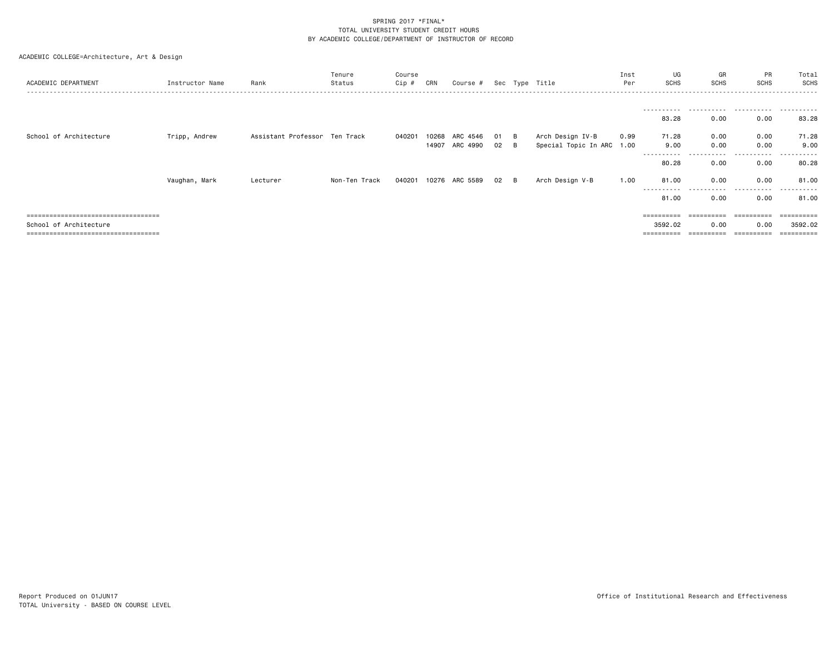| ACADEMIC DEPARTMENT                 | Instructor Name | Rank                          | Tenure<br>Status | Course<br>Cip # | CRN   | Course #            |      |   | Sec Type Title            | Inst<br>Per | UG<br><b>SCHS</b>            | GR<br><b>SCHS</b> | PR<br>SCHS    | Total<br>SCHS |
|-------------------------------------|-----------------|-------------------------------|------------------|-----------------|-------|---------------------|------|---|---------------------------|-------------|------------------------------|-------------------|---------------|---------------|
|                                     |                 |                               |                  |                 |       |                     |      |   |                           |             | .                            |                   |               |               |
|                                     |                 |                               |                  |                 |       |                     |      |   |                           |             | 83.28                        | 0.00              | 0.00          | .<br>83.28    |
| School of Architecture              | Tripp, Andrew   | Assistant Professor Ten Track |                  | 040201          | 10268 | ARC 4546            | 01 B |   | Arch Design IV-B          | 0.99        | 71.28                        | 0.00              | 0.00          | 71.28         |
|                                     |                 |                               |                  |                 |       | 14907 ARC 4990 02 B |      |   | Special Topic In ARC 1.00 |             | 9.00                         | 0.00              | 0.00          | 9.00          |
|                                     |                 |                               |                  |                 |       |                     |      |   |                           |             | ---------- <i>-</i><br>80.28 | 0.00              | -----<br>0.00 | .<br>80.28    |
|                                     | Vaughan, Mark   | Lecturer                      | Non-Ten Track    | 040201          |       | 10276 ARC 5589      | 02   | B | Arch Design V-B           | 1.00        | 81.00<br>-----------         | 0.00<br>.         | 0.00<br>.     | 81.00<br>.    |
|                                     |                 |                               |                  |                 |       |                     |      |   |                           |             | 81.00                        | 0.00              | 0.00          | 81.00         |
| :================================== |                 |                               |                  |                 |       |                     |      |   |                           |             | ========                     |                   |               |               |
| School of Architecture              |                 |                               |                  |                 |       |                     |      |   |                           |             | 3592.02                      | 0.00              | 0.00          | 3592.02       |
| =============================       |                 |                               |                  |                 |       |                     |      |   |                           |             | ==========                   |                   | =========     | =========     |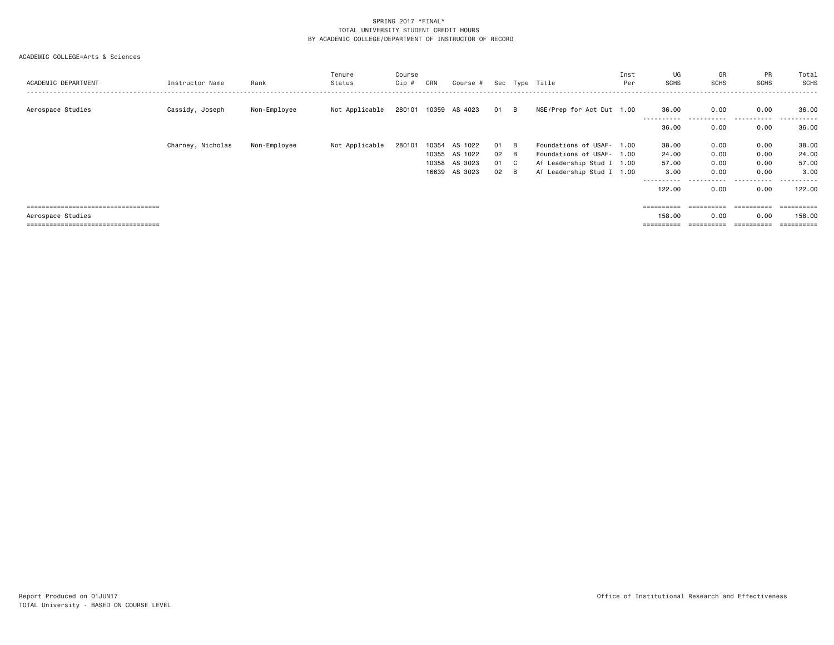| ACADEMIC DEPARTMENT                  | Instructor Name   | Rank         | Tenure<br>Status | Course<br>Cip # | CRN   | Course #             |      |              | Sec Type Title            | Inst<br>Per | UG<br><b>SCHS</b>   | GR<br><b>SCHS</b> | PR<br><b>SCHS</b> | Total<br>SCHS<br>------  |
|--------------------------------------|-------------------|--------------|------------------|-----------------|-------|----------------------|------|--------------|---------------------------|-------------|---------------------|-------------------|-------------------|--------------------------|
| Aerospace Studies                    | Cassidy, Joseph   | Non-Employee | Not Applicable   |                 |       | 280101 10359 AS 4023 | 01 B |              | NSE/Prep for Act Dut 1.00 |             | 36.00               | 0.00              | 0.00              | 36.00                    |
|                                      |                   |              |                  |                 |       |                      |      |              |                           |             | ----------<br>36.00 | ------<br>0.00    | .<br>0.00         | ------<br>$  -$<br>36.00 |
|                                      | Charney, Nicholas | Non-Employee | Not Applicable   | 280101          | 10354 | AS 1022              | 01 B |              | Foundations of USAF- 1.00 |             | 38.00               | 0.00              | 0.00              | 38.00                    |
|                                      |                   |              |                  |                 | 10355 | AS 1022              | 02   | - B          | Foundations of USAF- 1.00 |             | 24.00               | 0.00              | 0.00              | 24.00                    |
|                                      |                   |              |                  |                 | 10358 | AS 3023              | 01   | $\mathbf{C}$ | Af Leadership Stud I 1.00 |             | 57.00               | 0.00              | 0.00              | 57.00                    |
|                                      |                   |              |                  |                 | 16639 | AS 3023              | 02   | <b>B</b>     | Af Leadership Stud I 1.00 |             | 3.00                | 0.00              | 0.00              | 3,00                     |
|                                      |                   |              |                  |                 |       |                      |      |              |                           |             | ----------          | ------            | .                 | ------                   |
|                                      |                   |              |                  |                 |       |                      |      |              |                           |             | 122,00              | 0.00              | 0.00              | 122,00                   |
|                                      |                   |              |                  |                 |       |                      |      |              |                           |             |                     |                   |                   |                          |
| ------------------------------------ |                   |              |                  |                 |       |                      |      |              |                           |             | ==========          | ==========        | ==========        | ==========               |
| Aerospace Studies                    |                   |              |                  |                 |       |                      |      |              |                           |             | 158.00              | 0.00              | 0.00              | 158,00                   |
| ==================================== |                   |              |                  |                 |       |                      |      |              |                           |             | ==========          |                   |                   |                          |
|                                      |                   |              |                  |                 |       |                      |      |              |                           |             |                     |                   |                   |                          |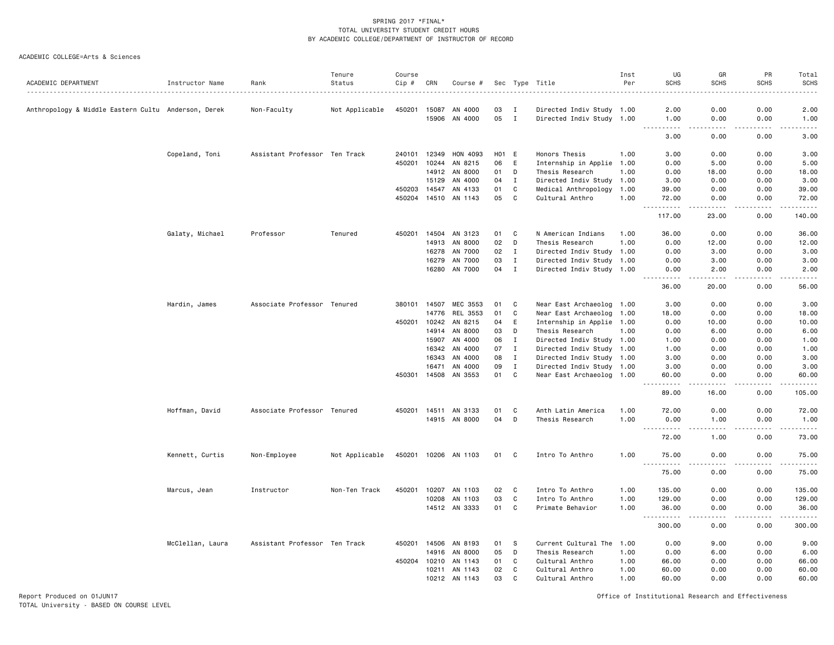ACADEMIC COLLEGE=Arts & Sciences

| ACADEMIC DEPARTMENT                                 | Instructor Name  | Rank                          | Tenure<br>Status | Course<br>Cip # | CRN                   | Course #             |          |                              | Sec Type Title                                         | Inst<br>Per | UG<br><b>SCHS</b>                         | GR<br><b>SCHS</b>                   | PR<br><b>SCHS</b> | Total<br><b>SCHS</b> |
|-----------------------------------------------------|------------------|-------------------------------|------------------|-----------------|-----------------------|----------------------|----------|------------------------------|--------------------------------------------------------|-------------|-------------------------------------------|-------------------------------------|-------------------|----------------------|
|                                                     |                  |                               |                  |                 |                       |                      |          |                              |                                                        |             |                                           |                                     |                   | .                    |
| Anthropology & Middle Eastern Cultu Anderson, Derek |                  | Non-Faculty                   | Not Applicable   |                 | 450201 15087<br>15906 | AN 4000<br>AN 4000   | 03<br>05 | $\mathbf{I}$<br>$\mathbf{I}$ | Directed Indiv Study 1.00<br>Directed Indiv Study 1.00 |             | 2.00<br>1.00                              | 0.00<br>0.00                        | 0.00<br>0.00      | 2.00<br>1.00         |
|                                                     |                  |                               |                  |                 |                       |                      |          |                              |                                                        |             | .                                         | .                                   | .                 | $- - - -$            |
|                                                     |                  |                               |                  |                 |                       |                      |          |                              |                                                        |             | 3.00                                      | 0.00                                | 0.00              | 3.00                 |
|                                                     | Copeland, Toni   | Assistant Professor Ten Track |                  | 240101          | 12349                 | HON 4093             | HO1      | E                            | Honors Thesis                                          | 1.00        | 3.00                                      | 0.00                                | 0.00              | 3.00                 |
|                                                     |                  |                               |                  | 450201          | 10244                 | AN 8215              | 06       | E                            | Internship in Applie 1.00                              |             | 0.00                                      | 5.00                                | 0.00              | 5.00                 |
|                                                     |                  |                               |                  |                 | 14912                 | AN 8000              | 01       | D                            | Thesis Research                                        | 1.00        | 0.00                                      | 18.00                               | 0.00              | 18.00                |
|                                                     |                  |                               |                  |                 | 15129                 | AN 4000              | 04       | $\mathbf{I}$                 | Directed Indiv Study 1.00                              |             | 3.00                                      | 0.00                                | 0.00              | 3.00                 |
|                                                     |                  |                               |                  |                 | 450203 14547          | AN 4133              | 01       | $\mathbf c$                  | Medical Anthropology                                   | 1.00        | 39.00                                     | 0.00                                | 0.00              | 39.00                |
|                                                     |                  |                               |                  |                 | 450204 14510          | AN 1143              | 05       | C                            | Cultural Anthro                                        | 1.00        | 72.00<br>.<br>$\sim$ $\sim$ $\sim$        | 0.00<br>.                           | 0.00<br>.         | 72.00<br>.           |
|                                                     |                  |                               |                  |                 |                       |                      |          |                              |                                                        |             | 117.00                                    | 23.00                               | 0.00              | 140.00               |
|                                                     | Galaty, Michael  | Professor                     | Tenured          | 450201          |                       | 14504 AN 3123        | 01       | C                            | N American Indians                                     | 1.00        | 36.00                                     | 0.00                                | 0.00              | 36.00                |
|                                                     |                  |                               |                  |                 | 14913                 | AN 8000              | 02       | D                            | Thesis Research                                        | 1.00        | 0.00                                      | 12.00                               | 0.00              | 12.00                |
|                                                     |                  |                               |                  |                 | 16278                 | AN 7000              | 02       | I                            | Directed Indiv Study 1.00                              |             | 0.00                                      | 3.00                                | 0.00              | 3.00                 |
|                                                     |                  |                               |                  |                 | 16279                 | AN 7000              | 03       | $\mathbf{I}$                 | Directed Indiv Study 1.00                              |             | 0.00                                      | 3.00                                | 0.00              | 3.00                 |
|                                                     |                  |                               |                  |                 | 16280                 | AN 7000              | 04       | $\mathbf I$                  | Directed Indiv Study 1.00                              |             | 0.00<br>----                              | 2.00                                | 0.00              | 2.00                 |
|                                                     |                  |                               |                  |                 |                       |                      |          |                              |                                                        |             | 36.00                                     | 20.00                               | 0.00              | 56.00                |
|                                                     | Hardin, James    | Associate Professor Tenured   |                  | 380101          | 14507                 | MEC 3553             | 01       | C                            | Near East Archaeolog 1.00                              |             | 3.00                                      | 0.00                                | 0.00              | 3.00                 |
|                                                     |                  |                               |                  |                 | 14776                 | REL 3553             | 01       | C                            | Near East Archaeolog                                   | 1.00        | 18.00                                     | 0.00                                | 0.00              | 18.00                |
|                                                     |                  |                               |                  | 450201          | 10242                 | AN 8215              | 04       | E                            | Internship in Applie 1.00                              |             | 0.00                                      | 10.00                               | 0.00              | 10.00                |
|                                                     |                  |                               |                  |                 | 14914                 | AN 8000              | 03       | D                            | Thesis Research                                        | 1.00        | 0.00                                      | 6.00                                | 0.00              | 6.00                 |
|                                                     |                  |                               |                  |                 | 15907                 | AN 4000              | 06       | $\mathbf{I}$                 | Directed Indiv Study 1.00                              |             | 1.00                                      | 0.00                                | 0.00              | 1.00                 |
|                                                     |                  |                               |                  |                 | 16342                 | AN 4000              | 07       | $\mathbf I$                  | Directed Indiv Study 1.00                              |             | 1.00                                      | 0.00                                | 0.00              | 1.00                 |
|                                                     |                  |                               |                  |                 | 16343                 | AN 4000              | 08       | $\mathbf{I}$                 | Directed Indiv Study 1.00                              |             | 3.00                                      | 0.00                                | 0.00              | 3.00                 |
|                                                     |                  |                               |                  |                 | 16471                 | AN 4000              | 09       | $\mathbf I$                  | Directed Indiv Study 1.00                              |             | 3.00                                      | 0.00                                | 0.00              | 3.00                 |
|                                                     |                  |                               |                  |                 |                       | 450301 14508 AN 3553 | 01       | C                            | Near East Archaeolog 1.00                              |             | 60.00<br>$\sim$ $\sim$<br>المتمام المتعاد | 0.00<br>$\sim$ $\sim$ $\sim$ $\sim$ | 0.00<br>.         | 60.00<br>.           |
|                                                     |                  |                               |                  |                 |                       |                      |          |                              |                                                        |             | 89.00                                     | 16.00                               | 0.00              | 105.00               |
|                                                     | Hoffman, David   | Associate Professor Tenured   |                  |                 |                       | 450201 14511 AN 3133 | 01       | C                            | Anth Latin America                                     | 1.00        | 72.00                                     | 0.00                                | 0.00              | 72.00                |
|                                                     |                  |                               |                  |                 |                       | 14915 AN 8000        | 04       | D                            | Thesis Research                                        | 1.00        | 0.00<br>.<br>$\sim$ $\sim$ $\sim$         | 1.00<br>.                           | 0.00<br>.         | 1.00<br>.            |
|                                                     |                  |                               |                  |                 |                       |                      |          |                              |                                                        |             | 72.00                                     | 1.00                                | 0.00              | 73.00                |
|                                                     | Kennett, Curtis  | Non-Employee                  | Not Applicable   |                 |                       | 450201 10206 AN 1103 | 01       | C.                           | Intro To Anthro                                        | 1.00        | 75.00<br>$\sim$ $\sim$ $\sim$             | 0.00                                | 0.00              | 75.00                |
|                                                     |                  |                               |                  |                 |                       |                      |          |                              |                                                        |             | 75.00                                     | 0.00                                | 0.00              | 75.00                |
|                                                     | Marcus, Jean     | Instructor                    | Non-Ten Track    | 450201          | 10207                 | AN 1103              | 02       | C                            | Intro To Anthro                                        | 1.00        | 135.00                                    | 0.00                                | 0.00              | 135.00               |
|                                                     |                  |                               |                  |                 | 10208                 | AN 1103              | 03       | C                            | Intro To Anthro                                        | 1.00        | 129.00                                    | 0.00                                | 0.00              | 129.00               |
|                                                     |                  |                               |                  |                 | 14512                 | AN 3333              | 01       | C                            | Primate Behavior                                       | 1.00        | 36.00<br>$\sim$ $\sim$ $\sim$<br>.        | 0.00<br>والمحامر                    | 0.00<br>.         | 36.00<br>------      |
|                                                     |                  |                               |                  |                 |                       |                      |          |                              |                                                        |             | 300.00                                    | 0.00                                | 0.00              | 300.00               |
|                                                     | McClellan, Laura | Assistant Professor Ten Track |                  | 450201          | 14506                 | AN 8193              | 01       | S.                           | Current Cultural The                                   | 1.00        | 0.00                                      | 9.00                                | 0.00              | 9.00                 |
|                                                     |                  |                               |                  |                 | 14916                 | AN 8000              | 05       | D                            | Thesis Research                                        | 1.00        | 0.00                                      | 6.00                                | 0.00              | 6.00                 |
|                                                     |                  |                               |                  |                 | 450204 10210          | AN 1143              | 01       | C                            | Cultural Anthro                                        | 1.00        | 66.00                                     | 0.00                                | 0.00              | 66.00                |
|                                                     |                  |                               |                  |                 | 10211                 | AN 1143              | 02       | $\mathtt{C}$                 | Cultural Anthro                                        | 1.00        | 60.00                                     | 0.00                                | 0.00              | 60.00                |
|                                                     |                  |                               |                  |                 | 10212                 | AN 1143              | 03       | C                            | Cultural Anthro                                        | 1.00        | 60.00                                     | 0.00                                | 0.00              | 60.00                |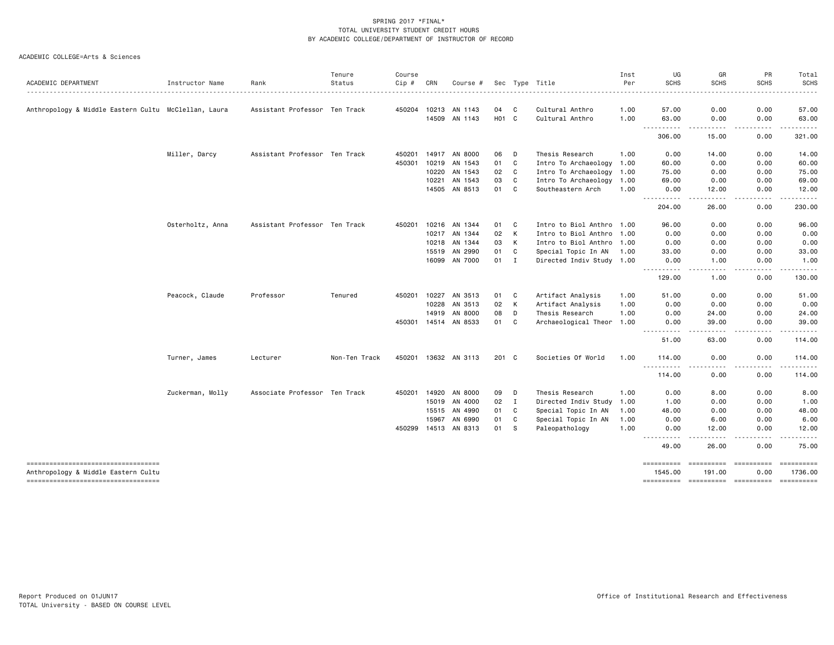|                                                                              |                  |                               | Tenure        | Course       |       |                      |                   |             |                           | Inst | UG                            | GR                   | PR                       | Total                 |
|------------------------------------------------------------------------------|------------------|-------------------------------|---------------|--------------|-------|----------------------|-------------------|-------------|---------------------------|------|-------------------------------|----------------------|--------------------------|-----------------------|
| ACADEMIC DEPARTMENT                                                          | Instructor Name  | Rank                          | Status        | Cip #        | CRN   | Course #             |                   |             | Sec Type Title            | Per  | <b>SCHS</b>                   | <b>SCHS</b>          | <b>SCHS</b>              | <b>SCHS</b>           |
| Anthropology & Middle Eastern Cultu McClellan, Laura                         |                  | Assistant Professor Ten Track |               | 450204 10213 |       | AN 1143              | 04                | C           | Cultural Anthro           | 1.00 | 57.00                         | 0.00                 | 0.00                     | 57.00                 |
|                                                                              |                  |                               |               |              | 14509 | AN 1143              | H <sub>01</sub> C |             | Cultural Anthro           | 1.00 | 63.00                         | 0.00                 | 0.00                     | 63.00                 |
|                                                                              |                  |                               |               |              |       |                      |                   |             |                           |      | ----------<br>306.00          | -----<br>15.00       | -----<br>0.00            | .<br>321.00           |
|                                                                              | Miller, Darcy    | Assistant Professor Ten Track |               | 450201       |       | 14917 AN 8000        | 06                | D           | Thesis Research           | 1.00 | 0.00                          | 14.00                | 0.00                     | 14.00                 |
|                                                                              |                  |                               |               | 450301       | 10219 | AN 1543              | 01                | C           | Intro To Archaeology 1.00 |      | 60.00                         | 0.00                 | 0.00                     | 60.00                 |
|                                                                              |                  |                               |               |              | 10220 | AN 1543              | 02                | C           | Intro To Archaeology 1.00 |      | 75.00                         | 0.00                 | 0.00                     | 75.00                 |
|                                                                              |                  |                               |               |              | 10221 | AN 1543              | 03                | C           | Intro To Archaeology      | 1.00 | 69.00                         | 0.00                 | 0.00                     | 69.00                 |
|                                                                              |                  |                               |               |              |       | 14505 AN 8513        | 01                | C           | Southeastern Arch         | 1.00 | 0.00<br>.                     | 12.00<br>$- - - - -$ | 0.00<br>.                | 12.00<br>.            |
|                                                                              |                  |                               |               |              |       |                      |                   |             |                           |      | 204.00                        | 26.00                | 0.00                     | 230.00                |
|                                                                              | Osterholtz, Anna | Assistant Professor Ten Track |               | 450201       | 10216 | AN 1344              | 01                | C           | Intro to Biol Anthro 1.00 |      | 96.00                         | 0.00                 | 0.00                     | 96.00                 |
|                                                                              |                  |                               |               |              | 10217 | AN 1344              | 02                | K           | Intro to Biol Anthro 1.00 |      | 0.00                          | 0.00                 | 0.00                     | 0.00                  |
|                                                                              |                  |                               |               |              | 10218 | AN 1344              | 03                | К           | Intro to Biol Anthro 1.00 |      | 0.00                          | 0.00                 | 0.00                     | 0.00                  |
|                                                                              |                  |                               |               |              | 15519 | AN 2990              | 01                | C           | Special Topic In AN 1.00  |      | 33.00                         | 0.00                 | 0.00                     | 33.00                 |
|                                                                              |                  |                               |               |              | 16099 | AN 7000              | 01                | $\mathbf I$ | Directed Indiv Study 1.00 |      | 0.00<br>----------            | 1.00<br>.            | 0.00<br>.                | 1.00                  |
|                                                                              |                  |                               |               |              |       |                      |                   |             |                           |      | 129.00                        | 1.00                 | 0.00                     | ------<br>130.00      |
|                                                                              | Peacock, Claude  | Professor                     | Tenured       | 450201       | 10227 | AN 3513              | 01                | C           | Artifact Analysis         | 1.00 | 51.00                         | 0.00                 | 0.00                     | 51.00                 |
|                                                                              |                  |                               |               |              | 10228 | AN 3513              | 02                | K           | Artifact Analysis         | 1.00 | 0.00                          | 0.00                 | 0.00                     | 0.00                  |
|                                                                              |                  |                               |               |              | 14919 | AN 8000              | 08                | D           | Thesis Research           | 1.00 | 0.00                          | 24.00                | 0.00                     | 24.00                 |
|                                                                              |                  |                               |               |              |       | 450301 14514 AN 8533 | 01                | C           | Archaeological Theor 1.00 |      | 0.00<br>----------            | 39.00<br>.           | 0.00<br>-----            | 39.00<br>.            |
|                                                                              |                  |                               |               |              |       |                      |                   |             |                           |      | 51.00                         | 63.00                | 0.00                     | 114.00                |
|                                                                              | Turner, James    | Lecturer                      | Non-Ten Track |              |       | 450201 13632 AN 3113 | 201 C             |             | Societies Of World        | 1.00 | 114.00                        | 0.00                 | 0.00                     | 114.00                |
|                                                                              |                  |                               |               |              |       |                      |                   |             |                           |      | 114.00                        | 0.00                 | 0.00                     | 114.00                |
|                                                                              | Zuckerman, Molly | Associate Professor Ten Track |               | 450201       | 14920 | AN 8000              | 09                | D           | Thesis Research           | 1.00 | 0.00                          | 8.00                 | 0.00                     | 8.00                  |
|                                                                              |                  |                               |               |              | 15019 | AN 4000              | 02                | I           | Directed Indiv Study 1.00 |      | 1.00                          | 0.00                 | 0.00                     | 1.00                  |
|                                                                              |                  |                               |               |              | 15515 | AN 4990              | 01                | C           | Special Topic In AN       | 1.00 | 48.00                         | 0.00                 | 0.00                     | 48.00                 |
|                                                                              |                  |                               |               |              | 15967 | AN 6990              | 01                | C           | Special Topic In AN       | 1.00 | 0.00                          | 6.00                 | 0.00                     | 6.00                  |
|                                                                              |                  |                               |               | 450299 14513 |       | AN 8313              | 01                | s           | Paleopathology            | 1.00 | 0.00<br>.                     | 12.00                | 0.00                     | 12.00                 |
|                                                                              |                  |                               |               |              |       |                      |                   |             |                           |      | $\sim$ $\sim$ $\sim$<br>49.00 | 26.00                | 0.00                     | 75.00                 |
| -------------------------------------<br>Anthropology & Middle Eastern Cultu |                  |                               |               |              |       |                      |                   |             |                           |      | ==========<br>1545.00         | ==========<br>191.00 | <b>ESSESSESS</b><br>0.00 | ==========<br>1736.00 |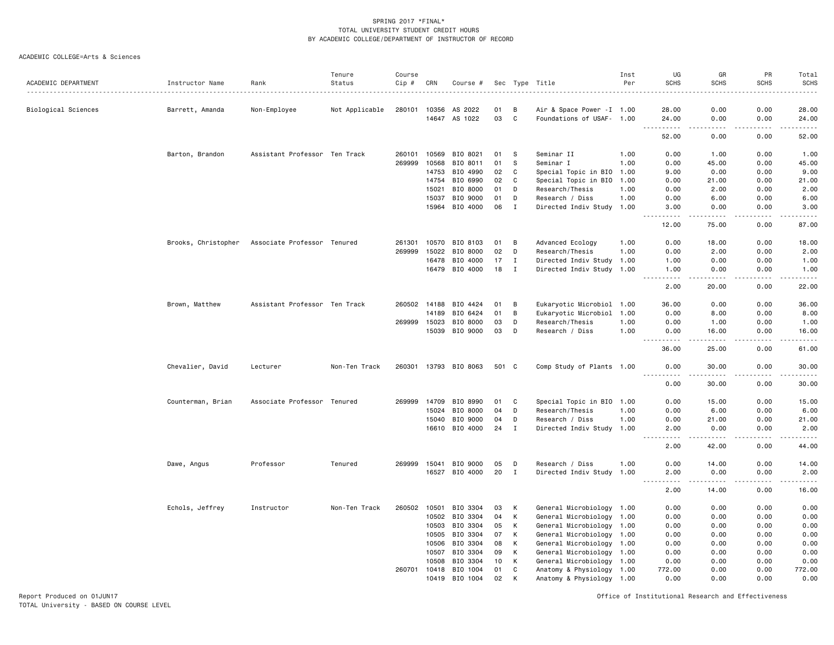#### ACADEMIC COLLEGE=Arts & Sciences

| ACADEMIC DEPARTMENT | Instructor Name     | Rank                          | Tenure<br>Status | Course<br>$Cip$ # | CRN   | Course #       |       |              | Sec Type Title             | Inst<br>Per | UG<br><b>SCHS</b>     | GR<br><b>SCHS</b>                                                                                                                                            | PR<br><b>SCHS</b>     | Total<br>SCHS        |
|---------------------|---------------------|-------------------------------|------------------|-------------------|-------|----------------|-------|--------------|----------------------------|-------------|-----------------------|--------------------------------------------------------------------------------------------------------------------------------------------------------------|-----------------------|----------------------|
| Biological Sciences | Barrett, Amanda     | Non-Employee                  | Not Applicable   | 280101            | 10356 | AS 2022        | 01    | B            | Air & Space Power - I 1.00 |             | 28.00                 | 0.00                                                                                                                                                         | 0.00                  | 28.00                |
|                     |                     |                               |                  |                   |       | 14647 AS 1022  | 03    | $\mathbf{C}$ | Foundations of USAF- 1.00  |             | 24.00                 | 0.00                                                                                                                                                         | 0.00                  | 24.00                |
|                     |                     |                               |                  |                   |       |                |       |              |                            |             | .<br>52.00            | $\frac{1}{2}$<br>0.00                                                                                                                                        | $\frac{1}{2}$<br>0.00 | $- - - - -$<br>52.00 |
|                     | Barton, Brandon     | Assistant Professor Ten Track |                  | 260101            | 10569 | BIO 8021       | 01    | S            | Seminar II                 | 1.00        | 0.00                  | 1.00                                                                                                                                                         | 0.00                  | 1.00                 |
|                     |                     |                               |                  | 269999            | 10568 | BIO 8011       | 01    | S            | Seminar I                  | 1.00        | 0.00                  | 45.00                                                                                                                                                        | 0.00                  | 45.00                |
|                     |                     |                               |                  |                   | 14753 | BIO 4990       | 02    | C            | Special Topic in BIO       | 1.00        | 9.00                  | 0.00                                                                                                                                                         | 0.00                  | 9.00                 |
|                     |                     |                               |                  |                   | 14754 | BIO 6990       | 02    | C            | Special Topic in BIO 1.00  |             | 0.00                  | 21.00                                                                                                                                                        | 0.00                  | 21.00                |
|                     |                     |                               |                  |                   | 15021 | BIO 8000       | 01    | D            | Research/Thesis            | 1.00        | 0.00                  | 2.00                                                                                                                                                         | 0.00                  | 2.00                 |
|                     |                     |                               |                  |                   | 15037 | BIO 9000       | 01    | D            | Research / Diss            | 1.00        | 0.00                  | 6.00                                                                                                                                                         | 0.00                  | 6.00                 |
|                     |                     |                               |                  |                   | 15964 | BIO 4000       | 06    | Ι            | Directed Indiv Study 1.00  |             | 3.00                  | 0.00                                                                                                                                                         | 0.00                  | 3.00                 |
|                     |                     |                               |                  |                   |       |                |       |              |                            |             | 12.00                 | 75.00                                                                                                                                                        | 0.00                  | -----<br>87.00       |
|                     | Brooks, Christopher | Associate Professor Tenured   |                  | 261301            | 10570 | BIO 8103       | 01    | B            | Advanced Ecology           | 1.00        | 0.00                  | 18.00                                                                                                                                                        | 0.00                  | 18.00                |
|                     |                     |                               |                  | 269999            | 15022 | BIO 8000       | 02    | D            | Research/Thesis            | 1.00        | 0.00                  | 2.00                                                                                                                                                         | 0.00                  | 2.00                 |
|                     |                     |                               |                  |                   | 16478 | BIO 4000       | 17    | $\mathbf I$  | Directed Indiv Study       | 1.00        | 1.00                  | 0.00                                                                                                                                                         | 0.00                  | 1.00                 |
|                     |                     |                               |                  |                   | 16479 | BIO 4000       | 18    | $\mathbf I$  | Directed Indiv Study 1.00  |             | 1.00                  | 0.00<br>$\frac{1}{2} \left( \frac{1}{2} \right) \left( \frac{1}{2} \right) \left( \frac{1}{2} \right) \left( \frac{1}{2} \right) \left( \frac{1}{2} \right)$ | 0.00<br>.             | 1.00<br>.            |
|                     |                     |                               |                  |                   |       |                |       |              |                            |             | .<br>2.00             | 20.00                                                                                                                                                        | 0.00                  | 22.00                |
|                     | Brown, Matthew      | Assistant Professor Ten Track |                  | 260502 14188      |       | BIO 4424       | 01    | В            | Eukaryotic Microbiol 1.00  |             | 36.00                 | 0.00                                                                                                                                                         | 0.00                  | 36.00                |
|                     |                     |                               |                  |                   | 14189 | BIO 6424       | 01    | B            | Eukaryotic Microbiol 1.00  |             | 0.00                  | 8.00                                                                                                                                                         | 0.00                  | 8.00                 |
|                     |                     |                               |                  | 269999            | 15023 | BIO 8000       | 03    | D            | Research/Thesis            | 1.00        | 0.00                  | 1.00                                                                                                                                                         | 0.00                  | 1.00                 |
|                     |                     |                               |                  |                   | 15039 | BIO 9000       | 03    | D            | Research / Diss            | 1.00        | 0.00                  | 16.00                                                                                                                                                        | 0.00                  | 16.00                |
|                     |                     |                               |                  |                   |       |                |       |              |                            |             | .<br>36.00            | د د د د<br>25.00                                                                                                                                             | 0.00                  | .<br>61.00           |
|                     | Chevalier, David    | Lecturer                      | Non-Ten Track    | 260301            |       | 13793 BIO 8063 | 501 C |              | Comp Study of Plants 1.00  |             | 0.00<br>$\frac{1}{2}$ | 30.00<br>.                                                                                                                                                   | 0.00<br>$\frac{1}{2}$ | 30.00<br>.           |
|                     |                     |                               |                  |                   |       |                |       |              |                            |             | 0.00                  | 30.00                                                                                                                                                        | 0.00                  | 30.00                |
|                     | Counterman, Brian   | Associate Professor Tenured   |                  | 269999            | 14709 | BIO 8990       | 01    | C            | Special Topic in BIO 1.00  |             | 0.00                  | 15.00                                                                                                                                                        | 0.00                  | 15.00                |
|                     |                     |                               |                  |                   | 15024 | BIO 8000       | 04    | D            | Research/Thesis            | 1.00        | 0.00                  | 6.00                                                                                                                                                         | 0.00                  | 6.00                 |
|                     |                     |                               |                  |                   | 15040 | BIO 9000       | 04    | D            | Research / Diss            | 1.00        | 0.00                  | 21.00                                                                                                                                                        | 0.00                  | 21.00                |
|                     |                     |                               |                  |                   |       | 16610 BIO 4000 | 24    | $\mathbf I$  | Directed Indiv Study 1.00  |             | 2.00                  | 0.00                                                                                                                                                         | 0.00                  | 2.00                 |
|                     |                     |                               |                  |                   |       |                |       |              |                            |             | ----<br>2.00          | .<br>42.00                                                                                                                                                   | $- - - -$<br>0.00     | <u>.</u><br>44.00    |
|                     | Dawe, Angus         | Professor                     | Tenured          | 269999            | 15041 | BIO 9000       | 05    | D            | Research / Diss            | 1.00        | 0.00                  | 14.00                                                                                                                                                        | 0.00                  | 14.00                |
|                     |                     |                               |                  |                   | 16527 | BIO 4000       | 20    | $\mathbf{I}$ | Directed Indiv Study 1.00  |             | 2.00                  | 0.00                                                                                                                                                         | 0.00                  | 2.00                 |
|                     |                     |                               |                  |                   |       |                |       |              |                            |             | .<br>2.00             | $- - - - -$<br>14.00                                                                                                                                         | .<br>0.00             | د د د د د<br>16.00   |
|                     | Echols, Jeffrey     | Instructor                    | Non-Ten Track    | 260502            | 10501 | BIO 3304       | 03    | К            | General Microbiology 1.00  |             | 0.00                  | 0.00                                                                                                                                                         | 0.00                  | 0.00                 |
|                     |                     |                               |                  |                   | 10502 | BIO 3304       | 04    | К            | General Microbiology 1.00  |             | 0.00                  | 0.00                                                                                                                                                         | 0.00                  | 0.00                 |
|                     |                     |                               |                  |                   | 10503 | BIO 3304       | 05    | К            | General Microbiology 1.00  |             | 0.00                  | 0.00                                                                                                                                                         | 0.00                  | 0.00                 |
|                     |                     |                               |                  |                   | 10505 | BIO 3304       | 07    | К            | General Microbiology 1.00  |             | 0.00                  | 0.00                                                                                                                                                         | 0.00                  | 0.00                 |
|                     |                     |                               |                  |                   | 10506 | BIO 3304       | 08    | К            | General Microbiology 1.00  |             | 0.00                  | 0.00                                                                                                                                                         | 0.00                  | 0.00                 |
|                     |                     |                               |                  |                   | 10507 | BIO 3304       | 09    | К            | General Microbiology 1.00  |             | 0.00                  | 0.00                                                                                                                                                         | 0.00                  | 0.00                 |
|                     |                     |                               |                  |                   | 10508 | BIO 3304       | 10    | K            | General Microbiology 1.00  |             | 0.00                  | 0.00                                                                                                                                                         | 0.00                  | 0.00                 |
|                     |                     |                               |                  | 260701            | 10418 | BIO 1004       | 01    | C            | Anatomy & Physiology 1.00  |             | 772.00                | 0.00                                                                                                                                                         | 0.00                  | 772.00               |
|                     |                     |                               |                  |                   | 10419 | BIO 1004       | 02    | K            | Anatomy & Physiology 1.00  |             | 0.00                  | 0.00                                                                                                                                                         | 0.00                  | 0.00                 |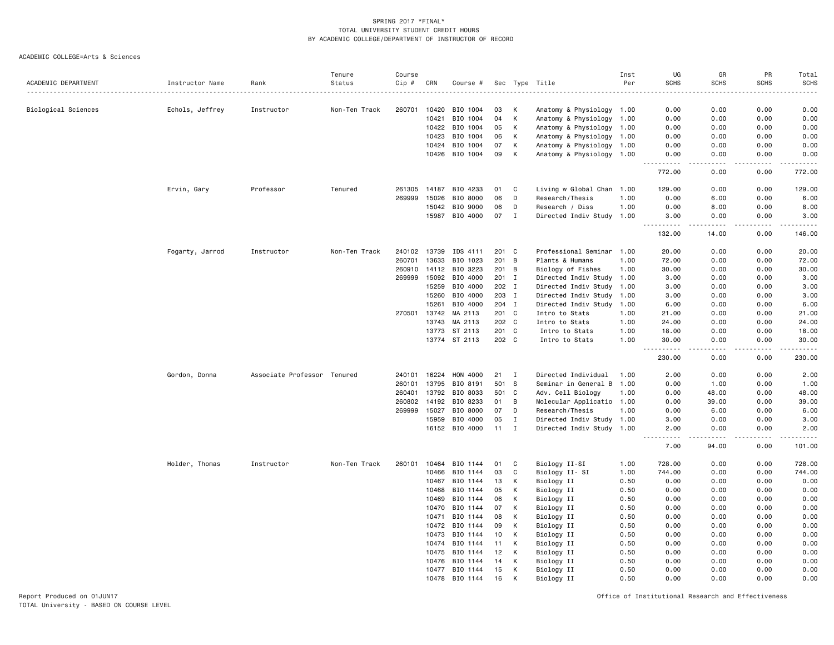ACADEMIC COLLEGE=Arts & Sciences

| <b>SCHS</b><br><b>SCHS</b><br>ACADEMIC DEPARTMENT<br>Instructor Name<br>Status<br>Cip #<br>CRN<br>Sec Type Title<br>Per<br><b>SCHS</b><br>Rank<br>Course #<br>Biological Sciences<br>Echols, Jeffrey<br>Non-Ten Track<br>260701<br>10420<br>BIO 1004<br>Κ<br>Anatomy & Physiology 1.00<br>0.00<br>0.00<br>0.00<br>0.00<br>Instructor<br>03<br>К<br>10421<br>BIO 1004<br>04<br>Anatomy & Physiology<br>0.00<br>0.00<br>0.00<br>0.00<br>1.00<br>К<br>10422<br>BIO 1004<br>05<br>Anatomy & Physiology 1.00<br>0.00<br>0.00<br>0.00<br>0.00<br>10423<br>BIO 1004<br>К<br>Anatomy & Physiology<br>0.00<br>0.00<br>06<br>1.00<br>0.00<br>0.00<br>BIO 1004<br>07<br>К<br>0.00<br>0.00<br>0.00<br>10424<br>Anatomy & Physiology 1.00<br>0.00<br>10426 BIO 1004<br>09<br>К<br>Anatomy & Physiology 1.00<br>0.00<br>0.00<br>0.00<br>0.00<br>772.00<br>0.00<br>0.00<br>772.00<br>Ervin, Gary<br>Professor<br>Tenured<br>261305<br>14187<br>BIO 4233<br>C<br>Living w Global Chan 1.00<br>129.00<br>0.00<br>0.00<br>129.00<br>01<br>BIO 8000<br>269999<br>15026<br>06<br>Research/Thesis<br>0.00<br>6.00<br>0.00<br>6.00<br>D<br>1.00<br>BIO 9000<br>0.00<br>15042<br>06<br>D<br>Research / Diss<br>1.00<br>0.00<br>8.00<br>8.00<br>BIO 4000<br>07<br>15987<br>$\blacksquare$<br>Directed Indiv Study 1.00<br>3.00<br>0.00<br>0.00<br>3.00<br>.<br>132.00<br>14.00<br>0.00<br>146.00<br>Fogarty, Jarrod<br>Instructor<br>Non-Ten Track<br>240102 13739<br>IDS 4111<br>201 C<br>Professional Seminar 1.00<br>20.00<br>0.00<br>0.00<br>20.00<br>260701<br>13633<br>BIO 1023<br>201<br>72.00<br>B<br>Plants & Humans<br>1.00<br>72.00<br>0.00<br>0.00<br>260910<br>14112<br>BIO 3223<br>201 B<br>30.00<br>0.00<br>0.00<br>30.00<br>Biology of Fishes<br>1.00<br>15092<br>BIO 4000<br>269999<br>201 I<br>Directed Indiv Study 1.00<br>3.00<br>0.00<br>0.00<br>3.00<br>15259<br>BIO 4000<br>202 I<br>Directed Indiv Study<br>3.00<br>0.00<br>0.00<br>3.00<br>1.00<br>15260<br>BIO 4000<br>203 I<br>Directed Indiv Study 1.00<br>0.00<br>3.00<br>3.00<br>0.00<br>15261<br>BIO 4000<br>204 I<br>Directed Indiv Study 1.00<br>0.00<br>0.00<br>6.00<br>6.00<br>270501<br>13742<br>MA 2113<br>201 C<br>0.00<br>0.00<br>21.00<br>Intro to Stats<br>1.00<br>21.00<br>13743<br>MA 2113<br>202 C<br>Intro to Stats<br>24.00<br>0.00<br>0.00<br>24.00<br>1.00<br>ST 2113<br>13773<br>201 C<br>0.00<br>0.00<br>18.00<br>Intro to Stats<br>1.00<br>18.00<br>13774 ST 2113<br>202 C<br>0.00<br>Intro to Stats<br>1.00<br>30.00<br>0.00<br>30.00<br>المستبدا<br>.<br>$\sim$ $\sim$ $\sim$ $\sim$<br>230.00<br>0.00<br>230.00<br>0.00<br>Associate Professor Tenured<br>16224<br>Directed Individual<br>0.00<br>2.00<br>240101<br>HON 4000<br>21<br>1.00<br>2.00<br>0.00<br>Gordon, Donna<br>$\mathbf{I}$<br>501<br>260101<br>13795<br>BIO 8191<br>- S<br>Seminar in General B<br>0.00<br>1.00<br>0.00<br>1.00<br>1.00<br>260401<br>13792<br>BIO 8033<br>501 C<br>Adv. Cell Biology<br>48.00<br>0.00<br>48.00<br>1.00<br>0.00<br>260802<br>14192<br>BIO 8233<br>B<br>39.00<br>0.00<br>39.00<br>01<br>Molecular Applicatio 1.00<br>0.00<br>269999<br>15027<br>BIO 8000<br>07<br>D<br>Research/Thesis<br>0.00<br>6.00<br>0.00<br>6.00<br>1.00<br>15959<br>BIO 4000<br>0.00<br>05<br>$\mathbf{I}$<br>Directed Indiv Study 1.00<br>3.00<br>0.00<br>3.00<br>16152 BIO 4000<br>$11 \quad I$<br>Directed Indiv Study 1.00<br>2.00<br>0.00<br>0.00<br>2.00<br>.<br>.<br>.<br>.<br>7.00<br>0.00<br>101.00<br>94.00<br>0.00<br>728.00<br>Holder, Thomas<br>Instructor<br>Non-Ten Track<br>260101<br>10464<br>BIO 1144<br>01<br>C<br>Biology II-SI<br>1.00<br>728.00<br>0.00<br>10466<br>BIO 1144<br>03<br>C<br>Biology II- SI<br>1.00<br>744.00<br>0.00<br>0.00<br>744.00<br>10467<br>BIO 1144<br>Biology II<br>13<br>К<br>0.50<br>0.00<br>0.00<br>0.00<br>0.00<br>BIO 1144<br>10468<br>05<br>К<br>Biology II<br>0.50<br>0.00<br>0.00<br>0.00<br>0.00<br>BIO 1144<br>K<br>0.00<br>10469<br>06<br>Biology II<br>0.50<br>0.00<br>0.00<br>0.00<br>10470<br>BIO 1144<br>07<br>К<br>Biology II<br>0.00<br>0.00<br>0.00<br>0.00<br>0.50<br>BIO 1144<br>K<br>Biology II<br>0.00<br>0.00<br>0.00<br>10471<br>08<br>0.50<br>0.00<br>К<br>Biology II<br>10472<br>BIO 1144<br>09<br>0.50<br>0.00<br>0.00<br>0.00<br>0.00<br>10473<br>BIO 1144<br>10<br>К<br>Biology II<br>0.50<br>0.00<br>0.00<br>0.00<br>0.00<br>BIO 1144<br>10474<br>11<br>К<br>Biology II<br>0.50<br>0.00<br>0.00<br>0.00<br>0.00<br>10475<br>BIO 1144<br>12<br>К<br>Biology II<br>0.50<br>0.00<br>0.00<br>0.00<br>0.00<br>10476<br>BIO 1144<br>14<br>K<br>Biology II<br>0.50<br>0.00<br>0.00<br>0.00<br>0.00<br>BIO 1144<br>К<br>0.00<br>0.00<br>0.00<br>0.00<br>10477<br>15<br>Biology II<br>0.50<br>BIO 1144<br>16<br>K<br>0.00<br>0.00<br>0.00<br>0.00<br>10478<br>Biology II<br>0.50 |  | Tenure | Course |  |  | Inst | UG | GR | PR | Total       |
|---------------------------------------------------------------------------------------------------------------------------------------------------------------------------------------------------------------------------------------------------------------------------------------------------------------------------------------------------------------------------------------------------------------------------------------------------------------------------------------------------------------------------------------------------------------------------------------------------------------------------------------------------------------------------------------------------------------------------------------------------------------------------------------------------------------------------------------------------------------------------------------------------------------------------------------------------------------------------------------------------------------------------------------------------------------------------------------------------------------------------------------------------------------------------------------------------------------------------------------------------------------------------------------------------------------------------------------------------------------------------------------------------------------------------------------------------------------------------------------------------------------------------------------------------------------------------------------------------------------------------------------------------------------------------------------------------------------------------------------------------------------------------------------------------------------------------------------------------------------------------------------------------------------------------------------------------------------------------------------------------------------------------------------------------------------------------------------------------------------------------------------------------------------------------------------------------------------------------------------------------------------------------------------------------------------------------------------------------------------------------------------------------------------------------------------------------------------------------------------------------------------------------------------------------------------------------------------------------------------------------------------------------------------------------------------------------------------------------------------------------------------------------------------------------------------------------------------------------------------------------------------------------------------------------------------------------------------------------------------------------------------------------------------------------------------------------------------------------------------------------------------------------------------------------------------------------------------------------------------------------------------------------------------------------------------------------------------------------------------------------------------------------------------------------------------------------------------------------------------------------------------------------------------------------------------------------------------------------------------------------------------------------------------------------------------------------------------------------------------------------------------------------------------------------------------------------------------------------------------------------------------------------------------------------------------------------------------------------------------------------------------------------------------------------------------------------------------------------------------------------------------------------------------------------------------------------------------------------------------------------------------------------------------------------------------------------------------------------------------------------------------------------------------------------------------------------------------------------------------------------------------------------------------------------------------------------------------------------------------------------------------------------------------------------------------------------------------------------------------------------------------------------------------------------------|--|--------|--------|--|--|------|----|----|----|-------------|
|                                                                                                                                                                                                                                                                                                                                                                                                                                                                                                                                                                                                                                                                                                                                                                                                                                                                                                                                                                                                                                                                                                                                                                                                                                                                                                                                                                                                                                                                                                                                                                                                                                                                                                                                                                                                                                                                                                                                                                                                                                                                                                                                                                                                                                                                                                                                                                                                                                                                                                                                                                                                                                                                                                                                                                                                                                                                                                                                                                                                                                                                                                                                                                                                                                                                                                                                                                                                                                                                                                                                                                                                                                                                                                                                                                                                                                                                                                                                                                                                                                                                                                                                                                                                                                                                                                                                                                                                                                                                                                                                                                                                                                                                                                                                                                                                         |  |        |        |  |  |      |    |    |    | <b>SCHS</b> |
|                                                                                                                                                                                                                                                                                                                                                                                                                                                                                                                                                                                                                                                                                                                                                                                                                                                                                                                                                                                                                                                                                                                                                                                                                                                                                                                                                                                                                                                                                                                                                                                                                                                                                                                                                                                                                                                                                                                                                                                                                                                                                                                                                                                                                                                                                                                                                                                                                                                                                                                                                                                                                                                                                                                                                                                                                                                                                                                                                                                                                                                                                                                                                                                                                                                                                                                                                                                                                                                                                                                                                                                                                                                                                                                                                                                                                                                                                                                                                                                                                                                                                                                                                                                                                                                                                                                                                                                                                                                                                                                                                                                                                                                                                                                                                                                                         |  |        |        |  |  |      |    |    |    |             |
|                                                                                                                                                                                                                                                                                                                                                                                                                                                                                                                                                                                                                                                                                                                                                                                                                                                                                                                                                                                                                                                                                                                                                                                                                                                                                                                                                                                                                                                                                                                                                                                                                                                                                                                                                                                                                                                                                                                                                                                                                                                                                                                                                                                                                                                                                                                                                                                                                                                                                                                                                                                                                                                                                                                                                                                                                                                                                                                                                                                                                                                                                                                                                                                                                                                                                                                                                                                                                                                                                                                                                                                                                                                                                                                                                                                                                                                                                                                                                                                                                                                                                                                                                                                                                                                                                                                                                                                                                                                                                                                                                                                                                                                                                                                                                                                                         |  |        |        |  |  |      |    |    |    |             |
|                                                                                                                                                                                                                                                                                                                                                                                                                                                                                                                                                                                                                                                                                                                                                                                                                                                                                                                                                                                                                                                                                                                                                                                                                                                                                                                                                                                                                                                                                                                                                                                                                                                                                                                                                                                                                                                                                                                                                                                                                                                                                                                                                                                                                                                                                                                                                                                                                                                                                                                                                                                                                                                                                                                                                                                                                                                                                                                                                                                                                                                                                                                                                                                                                                                                                                                                                                                                                                                                                                                                                                                                                                                                                                                                                                                                                                                                                                                                                                                                                                                                                                                                                                                                                                                                                                                                                                                                                                                                                                                                                                                                                                                                                                                                                                                                         |  |        |        |  |  |      |    |    |    |             |
|                                                                                                                                                                                                                                                                                                                                                                                                                                                                                                                                                                                                                                                                                                                                                                                                                                                                                                                                                                                                                                                                                                                                                                                                                                                                                                                                                                                                                                                                                                                                                                                                                                                                                                                                                                                                                                                                                                                                                                                                                                                                                                                                                                                                                                                                                                                                                                                                                                                                                                                                                                                                                                                                                                                                                                                                                                                                                                                                                                                                                                                                                                                                                                                                                                                                                                                                                                                                                                                                                                                                                                                                                                                                                                                                                                                                                                                                                                                                                                                                                                                                                                                                                                                                                                                                                                                                                                                                                                                                                                                                                                                                                                                                                                                                                                                                         |  |        |        |  |  |      |    |    |    |             |
|                                                                                                                                                                                                                                                                                                                                                                                                                                                                                                                                                                                                                                                                                                                                                                                                                                                                                                                                                                                                                                                                                                                                                                                                                                                                                                                                                                                                                                                                                                                                                                                                                                                                                                                                                                                                                                                                                                                                                                                                                                                                                                                                                                                                                                                                                                                                                                                                                                                                                                                                                                                                                                                                                                                                                                                                                                                                                                                                                                                                                                                                                                                                                                                                                                                                                                                                                                                                                                                                                                                                                                                                                                                                                                                                                                                                                                                                                                                                                                                                                                                                                                                                                                                                                                                                                                                                                                                                                                                                                                                                                                                                                                                                                                                                                                                                         |  |        |        |  |  |      |    |    |    |             |
|                                                                                                                                                                                                                                                                                                                                                                                                                                                                                                                                                                                                                                                                                                                                                                                                                                                                                                                                                                                                                                                                                                                                                                                                                                                                                                                                                                                                                                                                                                                                                                                                                                                                                                                                                                                                                                                                                                                                                                                                                                                                                                                                                                                                                                                                                                                                                                                                                                                                                                                                                                                                                                                                                                                                                                                                                                                                                                                                                                                                                                                                                                                                                                                                                                                                                                                                                                                                                                                                                                                                                                                                                                                                                                                                                                                                                                                                                                                                                                                                                                                                                                                                                                                                                                                                                                                                                                                                                                                                                                                                                                                                                                                                                                                                                                                                         |  |        |        |  |  |      |    |    |    |             |
|                                                                                                                                                                                                                                                                                                                                                                                                                                                                                                                                                                                                                                                                                                                                                                                                                                                                                                                                                                                                                                                                                                                                                                                                                                                                                                                                                                                                                                                                                                                                                                                                                                                                                                                                                                                                                                                                                                                                                                                                                                                                                                                                                                                                                                                                                                                                                                                                                                                                                                                                                                                                                                                                                                                                                                                                                                                                                                                                                                                                                                                                                                                                                                                                                                                                                                                                                                                                                                                                                                                                                                                                                                                                                                                                                                                                                                                                                                                                                                                                                                                                                                                                                                                                                                                                                                                                                                                                                                                                                                                                                                                                                                                                                                                                                                                                         |  |        |        |  |  |      |    |    |    |             |
|                                                                                                                                                                                                                                                                                                                                                                                                                                                                                                                                                                                                                                                                                                                                                                                                                                                                                                                                                                                                                                                                                                                                                                                                                                                                                                                                                                                                                                                                                                                                                                                                                                                                                                                                                                                                                                                                                                                                                                                                                                                                                                                                                                                                                                                                                                                                                                                                                                                                                                                                                                                                                                                                                                                                                                                                                                                                                                                                                                                                                                                                                                                                                                                                                                                                                                                                                                                                                                                                                                                                                                                                                                                                                                                                                                                                                                                                                                                                                                                                                                                                                                                                                                                                                                                                                                                                                                                                                                                                                                                                                                                                                                                                                                                                                                                                         |  |        |        |  |  |      |    |    |    |             |
|                                                                                                                                                                                                                                                                                                                                                                                                                                                                                                                                                                                                                                                                                                                                                                                                                                                                                                                                                                                                                                                                                                                                                                                                                                                                                                                                                                                                                                                                                                                                                                                                                                                                                                                                                                                                                                                                                                                                                                                                                                                                                                                                                                                                                                                                                                                                                                                                                                                                                                                                                                                                                                                                                                                                                                                                                                                                                                                                                                                                                                                                                                                                                                                                                                                                                                                                                                                                                                                                                                                                                                                                                                                                                                                                                                                                                                                                                                                                                                                                                                                                                                                                                                                                                                                                                                                                                                                                                                                                                                                                                                                                                                                                                                                                                                                                         |  |        |        |  |  |      |    |    |    |             |
|                                                                                                                                                                                                                                                                                                                                                                                                                                                                                                                                                                                                                                                                                                                                                                                                                                                                                                                                                                                                                                                                                                                                                                                                                                                                                                                                                                                                                                                                                                                                                                                                                                                                                                                                                                                                                                                                                                                                                                                                                                                                                                                                                                                                                                                                                                                                                                                                                                                                                                                                                                                                                                                                                                                                                                                                                                                                                                                                                                                                                                                                                                                                                                                                                                                                                                                                                                                                                                                                                                                                                                                                                                                                                                                                                                                                                                                                                                                                                                                                                                                                                                                                                                                                                                                                                                                                                                                                                                                                                                                                                                                                                                                                                                                                                                                                         |  |        |        |  |  |      |    |    |    |             |
|                                                                                                                                                                                                                                                                                                                                                                                                                                                                                                                                                                                                                                                                                                                                                                                                                                                                                                                                                                                                                                                                                                                                                                                                                                                                                                                                                                                                                                                                                                                                                                                                                                                                                                                                                                                                                                                                                                                                                                                                                                                                                                                                                                                                                                                                                                                                                                                                                                                                                                                                                                                                                                                                                                                                                                                                                                                                                                                                                                                                                                                                                                                                                                                                                                                                                                                                                                                                                                                                                                                                                                                                                                                                                                                                                                                                                                                                                                                                                                                                                                                                                                                                                                                                                                                                                                                                                                                                                                                                                                                                                                                                                                                                                                                                                                                                         |  |        |        |  |  |      |    |    |    |             |
|                                                                                                                                                                                                                                                                                                                                                                                                                                                                                                                                                                                                                                                                                                                                                                                                                                                                                                                                                                                                                                                                                                                                                                                                                                                                                                                                                                                                                                                                                                                                                                                                                                                                                                                                                                                                                                                                                                                                                                                                                                                                                                                                                                                                                                                                                                                                                                                                                                                                                                                                                                                                                                                                                                                                                                                                                                                                                                                                                                                                                                                                                                                                                                                                                                                                                                                                                                                                                                                                                                                                                                                                                                                                                                                                                                                                                                                                                                                                                                                                                                                                                                                                                                                                                                                                                                                                                                                                                                                                                                                                                                                                                                                                                                                                                                                                         |  |        |        |  |  |      |    |    |    |             |
|                                                                                                                                                                                                                                                                                                                                                                                                                                                                                                                                                                                                                                                                                                                                                                                                                                                                                                                                                                                                                                                                                                                                                                                                                                                                                                                                                                                                                                                                                                                                                                                                                                                                                                                                                                                                                                                                                                                                                                                                                                                                                                                                                                                                                                                                                                                                                                                                                                                                                                                                                                                                                                                                                                                                                                                                                                                                                                                                                                                                                                                                                                                                                                                                                                                                                                                                                                                                                                                                                                                                                                                                                                                                                                                                                                                                                                                                                                                                                                                                                                                                                                                                                                                                                                                                                                                                                                                                                                                                                                                                                                                                                                                                                                                                                                                                         |  |        |        |  |  |      |    |    |    |             |
|                                                                                                                                                                                                                                                                                                                                                                                                                                                                                                                                                                                                                                                                                                                                                                                                                                                                                                                                                                                                                                                                                                                                                                                                                                                                                                                                                                                                                                                                                                                                                                                                                                                                                                                                                                                                                                                                                                                                                                                                                                                                                                                                                                                                                                                                                                                                                                                                                                                                                                                                                                                                                                                                                                                                                                                                                                                                                                                                                                                                                                                                                                                                                                                                                                                                                                                                                                                                                                                                                                                                                                                                                                                                                                                                                                                                                                                                                                                                                                                                                                                                                                                                                                                                                                                                                                                                                                                                                                                                                                                                                                                                                                                                                                                                                                                                         |  |        |        |  |  |      |    |    |    |             |
|                                                                                                                                                                                                                                                                                                                                                                                                                                                                                                                                                                                                                                                                                                                                                                                                                                                                                                                                                                                                                                                                                                                                                                                                                                                                                                                                                                                                                                                                                                                                                                                                                                                                                                                                                                                                                                                                                                                                                                                                                                                                                                                                                                                                                                                                                                                                                                                                                                                                                                                                                                                                                                                                                                                                                                                                                                                                                                                                                                                                                                                                                                                                                                                                                                                                                                                                                                                                                                                                                                                                                                                                                                                                                                                                                                                                                                                                                                                                                                                                                                                                                                                                                                                                                                                                                                                                                                                                                                                                                                                                                                                                                                                                                                                                                                                                         |  |        |        |  |  |      |    |    |    |             |
|                                                                                                                                                                                                                                                                                                                                                                                                                                                                                                                                                                                                                                                                                                                                                                                                                                                                                                                                                                                                                                                                                                                                                                                                                                                                                                                                                                                                                                                                                                                                                                                                                                                                                                                                                                                                                                                                                                                                                                                                                                                                                                                                                                                                                                                                                                                                                                                                                                                                                                                                                                                                                                                                                                                                                                                                                                                                                                                                                                                                                                                                                                                                                                                                                                                                                                                                                                                                                                                                                                                                                                                                                                                                                                                                                                                                                                                                                                                                                                                                                                                                                                                                                                                                                                                                                                                                                                                                                                                                                                                                                                                                                                                                                                                                                                                                         |  |        |        |  |  |      |    |    |    |             |
|                                                                                                                                                                                                                                                                                                                                                                                                                                                                                                                                                                                                                                                                                                                                                                                                                                                                                                                                                                                                                                                                                                                                                                                                                                                                                                                                                                                                                                                                                                                                                                                                                                                                                                                                                                                                                                                                                                                                                                                                                                                                                                                                                                                                                                                                                                                                                                                                                                                                                                                                                                                                                                                                                                                                                                                                                                                                                                                                                                                                                                                                                                                                                                                                                                                                                                                                                                                                                                                                                                                                                                                                                                                                                                                                                                                                                                                                                                                                                                                                                                                                                                                                                                                                                                                                                                                                                                                                                                                                                                                                                                                                                                                                                                                                                                                                         |  |        |        |  |  |      |    |    |    |             |
|                                                                                                                                                                                                                                                                                                                                                                                                                                                                                                                                                                                                                                                                                                                                                                                                                                                                                                                                                                                                                                                                                                                                                                                                                                                                                                                                                                                                                                                                                                                                                                                                                                                                                                                                                                                                                                                                                                                                                                                                                                                                                                                                                                                                                                                                                                                                                                                                                                                                                                                                                                                                                                                                                                                                                                                                                                                                                                                                                                                                                                                                                                                                                                                                                                                                                                                                                                                                                                                                                                                                                                                                                                                                                                                                                                                                                                                                                                                                                                                                                                                                                                                                                                                                                                                                                                                                                                                                                                                                                                                                                                                                                                                                                                                                                                                                         |  |        |        |  |  |      |    |    |    |             |
|                                                                                                                                                                                                                                                                                                                                                                                                                                                                                                                                                                                                                                                                                                                                                                                                                                                                                                                                                                                                                                                                                                                                                                                                                                                                                                                                                                                                                                                                                                                                                                                                                                                                                                                                                                                                                                                                                                                                                                                                                                                                                                                                                                                                                                                                                                                                                                                                                                                                                                                                                                                                                                                                                                                                                                                                                                                                                                                                                                                                                                                                                                                                                                                                                                                                                                                                                                                                                                                                                                                                                                                                                                                                                                                                                                                                                                                                                                                                                                                                                                                                                                                                                                                                                                                                                                                                                                                                                                                                                                                                                                                                                                                                                                                                                                                                         |  |        |        |  |  |      |    |    |    |             |
|                                                                                                                                                                                                                                                                                                                                                                                                                                                                                                                                                                                                                                                                                                                                                                                                                                                                                                                                                                                                                                                                                                                                                                                                                                                                                                                                                                                                                                                                                                                                                                                                                                                                                                                                                                                                                                                                                                                                                                                                                                                                                                                                                                                                                                                                                                                                                                                                                                                                                                                                                                                                                                                                                                                                                                                                                                                                                                                                                                                                                                                                                                                                                                                                                                                                                                                                                                                                                                                                                                                                                                                                                                                                                                                                                                                                                                                                                                                                                                                                                                                                                                                                                                                                                                                                                                                                                                                                                                                                                                                                                                                                                                                                                                                                                                                                         |  |        |        |  |  |      |    |    |    |             |
|                                                                                                                                                                                                                                                                                                                                                                                                                                                                                                                                                                                                                                                                                                                                                                                                                                                                                                                                                                                                                                                                                                                                                                                                                                                                                                                                                                                                                                                                                                                                                                                                                                                                                                                                                                                                                                                                                                                                                                                                                                                                                                                                                                                                                                                                                                                                                                                                                                                                                                                                                                                                                                                                                                                                                                                                                                                                                                                                                                                                                                                                                                                                                                                                                                                                                                                                                                                                                                                                                                                                                                                                                                                                                                                                                                                                                                                                                                                                                                                                                                                                                                                                                                                                                                                                                                                                                                                                                                                                                                                                                                                                                                                                                                                                                                                                         |  |        |        |  |  |      |    |    |    |             |
|                                                                                                                                                                                                                                                                                                                                                                                                                                                                                                                                                                                                                                                                                                                                                                                                                                                                                                                                                                                                                                                                                                                                                                                                                                                                                                                                                                                                                                                                                                                                                                                                                                                                                                                                                                                                                                                                                                                                                                                                                                                                                                                                                                                                                                                                                                                                                                                                                                                                                                                                                                                                                                                                                                                                                                                                                                                                                                                                                                                                                                                                                                                                                                                                                                                                                                                                                                                                                                                                                                                                                                                                                                                                                                                                                                                                                                                                                                                                                                                                                                                                                                                                                                                                                                                                                                                                                                                                                                                                                                                                                                                                                                                                                                                                                                                                         |  |        |        |  |  |      |    |    |    |             |
|                                                                                                                                                                                                                                                                                                                                                                                                                                                                                                                                                                                                                                                                                                                                                                                                                                                                                                                                                                                                                                                                                                                                                                                                                                                                                                                                                                                                                                                                                                                                                                                                                                                                                                                                                                                                                                                                                                                                                                                                                                                                                                                                                                                                                                                                                                                                                                                                                                                                                                                                                                                                                                                                                                                                                                                                                                                                                                                                                                                                                                                                                                                                                                                                                                                                                                                                                                                                                                                                                                                                                                                                                                                                                                                                                                                                                                                                                                                                                                                                                                                                                                                                                                                                                                                                                                                                                                                                                                                                                                                                                                                                                                                                                                                                                                                                         |  |        |        |  |  |      |    |    |    |             |
|                                                                                                                                                                                                                                                                                                                                                                                                                                                                                                                                                                                                                                                                                                                                                                                                                                                                                                                                                                                                                                                                                                                                                                                                                                                                                                                                                                                                                                                                                                                                                                                                                                                                                                                                                                                                                                                                                                                                                                                                                                                                                                                                                                                                                                                                                                                                                                                                                                                                                                                                                                                                                                                                                                                                                                                                                                                                                                                                                                                                                                                                                                                                                                                                                                                                                                                                                                                                                                                                                                                                                                                                                                                                                                                                                                                                                                                                                                                                                                                                                                                                                                                                                                                                                                                                                                                                                                                                                                                                                                                                                                                                                                                                                                                                                                                                         |  |        |        |  |  |      |    |    |    |             |
|                                                                                                                                                                                                                                                                                                                                                                                                                                                                                                                                                                                                                                                                                                                                                                                                                                                                                                                                                                                                                                                                                                                                                                                                                                                                                                                                                                                                                                                                                                                                                                                                                                                                                                                                                                                                                                                                                                                                                                                                                                                                                                                                                                                                                                                                                                                                                                                                                                                                                                                                                                                                                                                                                                                                                                                                                                                                                                                                                                                                                                                                                                                                                                                                                                                                                                                                                                                                                                                                                                                                                                                                                                                                                                                                                                                                                                                                                                                                                                                                                                                                                                                                                                                                                                                                                                                                                                                                                                                                                                                                                                                                                                                                                                                                                                                                         |  |        |        |  |  |      |    |    |    |             |
|                                                                                                                                                                                                                                                                                                                                                                                                                                                                                                                                                                                                                                                                                                                                                                                                                                                                                                                                                                                                                                                                                                                                                                                                                                                                                                                                                                                                                                                                                                                                                                                                                                                                                                                                                                                                                                                                                                                                                                                                                                                                                                                                                                                                                                                                                                                                                                                                                                                                                                                                                                                                                                                                                                                                                                                                                                                                                                                                                                                                                                                                                                                                                                                                                                                                                                                                                                                                                                                                                                                                                                                                                                                                                                                                                                                                                                                                                                                                                                                                                                                                                                                                                                                                                                                                                                                                                                                                                                                                                                                                                                                                                                                                                                                                                                                                         |  |        |        |  |  |      |    |    |    |             |
|                                                                                                                                                                                                                                                                                                                                                                                                                                                                                                                                                                                                                                                                                                                                                                                                                                                                                                                                                                                                                                                                                                                                                                                                                                                                                                                                                                                                                                                                                                                                                                                                                                                                                                                                                                                                                                                                                                                                                                                                                                                                                                                                                                                                                                                                                                                                                                                                                                                                                                                                                                                                                                                                                                                                                                                                                                                                                                                                                                                                                                                                                                                                                                                                                                                                                                                                                                                                                                                                                                                                                                                                                                                                                                                                                                                                                                                                                                                                                                                                                                                                                                                                                                                                                                                                                                                                                                                                                                                                                                                                                                                                                                                                                                                                                                                                         |  |        |        |  |  |      |    |    |    |             |
|                                                                                                                                                                                                                                                                                                                                                                                                                                                                                                                                                                                                                                                                                                                                                                                                                                                                                                                                                                                                                                                                                                                                                                                                                                                                                                                                                                                                                                                                                                                                                                                                                                                                                                                                                                                                                                                                                                                                                                                                                                                                                                                                                                                                                                                                                                                                                                                                                                                                                                                                                                                                                                                                                                                                                                                                                                                                                                                                                                                                                                                                                                                                                                                                                                                                                                                                                                                                                                                                                                                                                                                                                                                                                                                                                                                                                                                                                                                                                                                                                                                                                                                                                                                                                                                                                                                                                                                                                                                                                                                                                                                                                                                                                                                                                                                                         |  |        |        |  |  |      |    |    |    |             |
|                                                                                                                                                                                                                                                                                                                                                                                                                                                                                                                                                                                                                                                                                                                                                                                                                                                                                                                                                                                                                                                                                                                                                                                                                                                                                                                                                                                                                                                                                                                                                                                                                                                                                                                                                                                                                                                                                                                                                                                                                                                                                                                                                                                                                                                                                                                                                                                                                                                                                                                                                                                                                                                                                                                                                                                                                                                                                                                                                                                                                                                                                                                                                                                                                                                                                                                                                                                                                                                                                                                                                                                                                                                                                                                                                                                                                                                                                                                                                                                                                                                                                                                                                                                                                                                                                                                                                                                                                                                                                                                                                                                                                                                                                                                                                                                                         |  |        |        |  |  |      |    |    |    |             |
|                                                                                                                                                                                                                                                                                                                                                                                                                                                                                                                                                                                                                                                                                                                                                                                                                                                                                                                                                                                                                                                                                                                                                                                                                                                                                                                                                                                                                                                                                                                                                                                                                                                                                                                                                                                                                                                                                                                                                                                                                                                                                                                                                                                                                                                                                                                                                                                                                                                                                                                                                                                                                                                                                                                                                                                                                                                                                                                                                                                                                                                                                                                                                                                                                                                                                                                                                                                                                                                                                                                                                                                                                                                                                                                                                                                                                                                                                                                                                                                                                                                                                                                                                                                                                                                                                                                                                                                                                                                                                                                                                                                                                                                                                                                                                                                                         |  |        |        |  |  |      |    |    |    |             |
|                                                                                                                                                                                                                                                                                                                                                                                                                                                                                                                                                                                                                                                                                                                                                                                                                                                                                                                                                                                                                                                                                                                                                                                                                                                                                                                                                                                                                                                                                                                                                                                                                                                                                                                                                                                                                                                                                                                                                                                                                                                                                                                                                                                                                                                                                                                                                                                                                                                                                                                                                                                                                                                                                                                                                                                                                                                                                                                                                                                                                                                                                                                                                                                                                                                                                                                                                                                                                                                                                                                                                                                                                                                                                                                                                                                                                                                                                                                                                                                                                                                                                                                                                                                                                                                                                                                                                                                                                                                                                                                                                                                                                                                                                                                                                                                                         |  |        |        |  |  |      |    |    |    |             |
|                                                                                                                                                                                                                                                                                                                                                                                                                                                                                                                                                                                                                                                                                                                                                                                                                                                                                                                                                                                                                                                                                                                                                                                                                                                                                                                                                                                                                                                                                                                                                                                                                                                                                                                                                                                                                                                                                                                                                                                                                                                                                                                                                                                                                                                                                                                                                                                                                                                                                                                                                                                                                                                                                                                                                                                                                                                                                                                                                                                                                                                                                                                                                                                                                                                                                                                                                                                                                                                                                                                                                                                                                                                                                                                                                                                                                                                                                                                                                                                                                                                                                                                                                                                                                                                                                                                                                                                                                                                                                                                                                                                                                                                                                                                                                                                                         |  |        |        |  |  |      |    |    |    |             |
|                                                                                                                                                                                                                                                                                                                                                                                                                                                                                                                                                                                                                                                                                                                                                                                                                                                                                                                                                                                                                                                                                                                                                                                                                                                                                                                                                                                                                                                                                                                                                                                                                                                                                                                                                                                                                                                                                                                                                                                                                                                                                                                                                                                                                                                                                                                                                                                                                                                                                                                                                                                                                                                                                                                                                                                                                                                                                                                                                                                                                                                                                                                                                                                                                                                                                                                                                                                                                                                                                                                                                                                                                                                                                                                                                                                                                                                                                                                                                                                                                                                                                                                                                                                                                                                                                                                                                                                                                                                                                                                                                                                                                                                                                                                                                                                                         |  |        |        |  |  |      |    |    |    |             |
|                                                                                                                                                                                                                                                                                                                                                                                                                                                                                                                                                                                                                                                                                                                                                                                                                                                                                                                                                                                                                                                                                                                                                                                                                                                                                                                                                                                                                                                                                                                                                                                                                                                                                                                                                                                                                                                                                                                                                                                                                                                                                                                                                                                                                                                                                                                                                                                                                                                                                                                                                                                                                                                                                                                                                                                                                                                                                                                                                                                                                                                                                                                                                                                                                                                                                                                                                                                                                                                                                                                                                                                                                                                                                                                                                                                                                                                                                                                                                                                                                                                                                                                                                                                                                                                                                                                                                                                                                                                                                                                                                                                                                                                                                                                                                                                                         |  |        |        |  |  |      |    |    |    |             |
|                                                                                                                                                                                                                                                                                                                                                                                                                                                                                                                                                                                                                                                                                                                                                                                                                                                                                                                                                                                                                                                                                                                                                                                                                                                                                                                                                                                                                                                                                                                                                                                                                                                                                                                                                                                                                                                                                                                                                                                                                                                                                                                                                                                                                                                                                                                                                                                                                                                                                                                                                                                                                                                                                                                                                                                                                                                                                                                                                                                                                                                                                                                                                                                                                                                                                                                                                                                                                                                                                                                                                                                                                                                                                                                                                                                                                                                                                                                                                                                                                                                                                                                                                                                                                                                                                                                                                                                                                                                                                                                                                                                                                                                                                                                                                                                                         |  |        |        |  |  |      |    |    |    |             |
|                                                                                                                                                                                                                                                                                                                                                                                                                                                                                                                                                                                                                                                                                                                                                                                                                                                                                                                                                                                                                                                                                                                                                                                                                                                                                                                                                                                                                                                                                                                                                                                                                                                                                                                                                                                                                                                                                                                                                                                                                                                                                                                                                                                                                                                                                                                                                                                                                                                                                                                                                                                                                                                                                                                                                                                                                                                                                                                                                                                                                                                                                                                                                                                                                                                                                                                                                                                                                                                                                                                                                                                                                                                                                                                                                                                                                                                                                                                                                                                                                                                                                                                                                                                                                                                                                                                                                                                                                                                                                                                                                                                                                                                                                                                                                                                                         |  |        |        |  |  |      |    |    |    |             |
|                                                                                                                                                                                                                                                                                                                                                                                                                                                                                                                                                                                                                                                                                                                                                                                                                                                                                                                                                                                                                                                                                                                                                                                                                                                                                                                                                                                                                                                                                                                                                                                                                                                                                                                                                                                                                                                                                                                                                                                                                                                                                                                                                                                                                                                                                                                                                                                                                                                                                                                                                                                                                                                                                                                                                                                                                                                                                                                                                                                                                                                                                                                                                                                                                                                                                                                                                                                                                                                                                                                                                                                                                                                                                                                                                                                                                                                                                                                                                                                                                                                                                                                                                                                                                                                                                                                                                                                                                                                                                                                                                                                                                                                                                                                                                                                                         |  |        |        |  |  |      |    |    |    |             |
|                                                                                                                                                                                                                                                                                                                                                                                                                                                                                                                                                                                                                                                                                                                                                                                                                                                                                                                                                                                                                                                                                                                                                                                                                                                                                                                                                                                                                                                                                                                                                                                                                                                                                                                                                                                                                                                                                                                                                                                                                                                                                                                                                                                                                                                                                                                                                                                                                                                                                                                                                                                                                                                                                                                                                                                                                                                                                                                                                                                                                                                                                                                                                                                                                                                                                                                                                                                                                                                                                                                                                                                                                                                                                                                                                                                                                                                                                                                                                                                                                                                                                                                                                                                                                                                                                                                                                                                                                                                                                                                                                                                                                                                                                                                                                                                                         |  |        |        |  |  |      |    |    |    |             |
|                                                                                                                                                                                                                                                                                                                                                                                                                                                                                                                                                                                                                                                                                                                                                                                                                                                                                                                                                                                                                                                                                                                                                                                                                                                                                                                                                                                                                                                                                                                                                                                                                                                                                                                                                                                                                                                                                                                                                                                                                                                                                                                                                                                                                                                                                                                                                                                                                                                                                                                                                                                                                                                                                                                                                                                                                                                                                                                                                                                                                                                                                                                                                                                                                                                                                                                                                                                                                                                                                                                                                                                                                                                                                                                                                                                                                                                                                                                                                                                                                                                                                                                                                                                                                                                                                                                                                                                                                                                                                                                                                                                                                                                                                                                                                                                                         |  |        |        |  |  |      |    |    |    |             |
|                                                                                                                                                                                                                                                                                                                                                                                                                                                                                                                                                                                                                                                                                                                                                                                                                                                                                                                                                                                                                                                                                                                                                                                                                                                                                                                                                                                                                                                                                                                                                                                                                                                                                                                                                                                                                                                                                                                                                                                                                                                                                                                                                                                                                                                                                                                                                                                                                                                                                                                                                                                                                                                                                                                                                                                                                                                                                                                                                                                                                                                                                                                                                                                                                                                                                                                                                                                                                                                                                                                                                                                                                                                                                                                                                                                                                                                                                                                                                                                                                                                                                                                                                                                                                                                                                                                                                                                                                                                                                                                                                                                                                                                                                                                                                                                                         |  |        |        |  |  |      |    |    |    |             |
|                                                                                                                                                                                                                                                                                                                                                                                                                                                                                                                                                                                                                                                                                                                                                                                                                                                                                                                                                                                                                                                                                                                                                                                                                                                                                                                                                                                                                                                                                                                                                                                                                                                                                                                                                                                                                                                                                                                                                                                                                                                                                                                                                                                                                                                                                                                                                                                                                                                                                                                                                                                                                                                                                                                                                                                                                                                                                                                                                                                                                                                                                                                                                                                                                                                                                                                                                                                                                                                                                                                                                                                                                                                                                                                                                                                                                                                                                                                                                                                                                                                                                                                                                                                                                                                                                                                                                                                                                                                                                                                                                                                                                                                                                                                                                                                                         |  |        |        |  |  |      |    |    |    |             |
|                                                                                                                                                                                                                                                                                                                                                                                                                                                                                                                                                                                                                                                                                                                                                                                                                                                                                                                                                                                                                                                                                                                                                                                                                                                                                                                                                                                                                                                                                                                                                                                                                                                                                                                                                                                                                                                                                                                                                                                                                                                                                                                                                                                                                                                                                                                                                                                                                                                                                                                                                                                                                                                                                                                                                                                                                                                                                                                                                                                                                                                                                                                                                                                                                                                                                                                                                                                                                                                                                                                                                                                                                                                                                                                                                                                                                                                                                                                                                                                                                                                                                                                                                                                                                                                                                                                                                                                                                                                                                                                                                                                                                                                                                                                                                                                                         |  |        |        |  |  |      |    |    |    |             |
|                                                                                                                                                                                                                                                                                                                                                                                                                                                                                                                                                                                                                                                                                                                                                                                                                                                                                                                                                                                                                                                                                                                                                                                                                                                                                                                                                                                                                                                                                                                                                                                                                                                                                                                                                                                                                                                                                                                                                                                                                                                                                                                                                                                                                                                                                                                                                                                                                                                                                                                                                                                                                                                                                                                                                                                                                                                                                                                                                                                                                                                                                                                                                                                                                                                                                                                                                                                                                                                                                                                                                                                                                                                                                                                                                                                                                                                                                                                                                                                                                                                                                                                                                                                                                                                                                                                                                                                                                                                                                                                                                                                                                                                                                                                                                                                                         |  |        |        |  |  |      |    |    |    |             |
|                                                                                                                                                                                                                                                                                                                                                                                                                                                                                                                                                                                                                                                                                                                                                                                                                                                                                                                                                                                                                                                                                                                                                                                                                                                                                                                                                                                                                                                                                                                                                                                                                                                                                                                                                                                                                                                                                                                                                                                                                                                                                                                                                                                                                                                                                                                                                                                                                                                                                                                                                                                                                                                                                                                                                                                                                                                                                                                                                                                                                                                                                                                                                                                                                                                                                                                                                                                                                                                                                                                                                                                                                                                                                                                                                                                                                                                                                                                                                                                                                                                                                                                                                                                                                                                                                                                                                                                                                                                                                                                                                                                                                                                                                                                                                                                                         |  |        |        |  |  |      |    |    |    |             |
|                                                                                                                                                                                                                                                                                                                                                                                                                                                                                                                                                                                                                                                                                                                                                                                                                                                                                                                                                                                                                                                                                                                                                                                                                                                                                                                                                                                                                                                                                                                                                                                                                                                                                                                                                                                                                                                                                                                                                                                                                                                                                                                                                                                                                                                                                                                                                                                                                                                                                                                                                                                                                                                                                                                                                                                                                                                                                                                                                                                                                                                                                                                                                                                                                                                                                                                                                                                                                                                                                                                                                                                                                                                                                                                                                                                                                                                                                                                                                                                                                                                                                                                                                                                                                                                                                                                                                                                                                                                                                                                                                                                                                                                                                                                                                                                                         |  |        |        |  |  |      |    |    |    |             |
|                                                                                                                                                                                                                                                                                                                                                                                                                                                                                                                                                                                                                                                                                                                                                                                                                                                                                                                                                                                                                                                                                                                                                                                                                                                                                                                                                                                                                                                                                                                                                                                                                                                                                                                                                                                                                                                                                                                                                                                                                                                                                                                                                                                                                                                                                                                                                                                                                                                                                                                                                                                                                                                                                                                                                                                                                                                                                                                                                                                                                                                                                                                                                                                                                                                                                                                                                                                                                                                                                                                                                                                                                                                                                                                                                                                                                                                                                                                                                                                                                                                                                                                                                                                                                                                                                                                                                                                                                                                                                                                                                                                                                                                                                                                                                                                                         |  |        |        |  |  |      |    |    |    |             |
|                                                                                                                                                                                                                                                                                                                                                                                                                                                                                                                                                                                                                                                                                                                                                                                                                                                                                                                                                                                                                                                                                                                                                                                                                                                                                                                                                                                                                                                                                                                                                                                                                                                                                                                                                                                                                                                                                                                                                                                                                                                                                                                                                                                                                                                                                                                                                                                                                                                                                                                                                                                                                                                                                                                                                                                                                                                                                                                                                                                                                                                                                                                                                                                                                                                                                                                                                                                                                                                                                                                                                                                                                                                                                                                                                                                                                                                                                                                                                                                                                                                                                                                                                                                                                                                                                                                                                                                                                                                                                                                                                                                                                                                                                                                                                                                                         |  |        |        |  |  |      |    |    |    |             |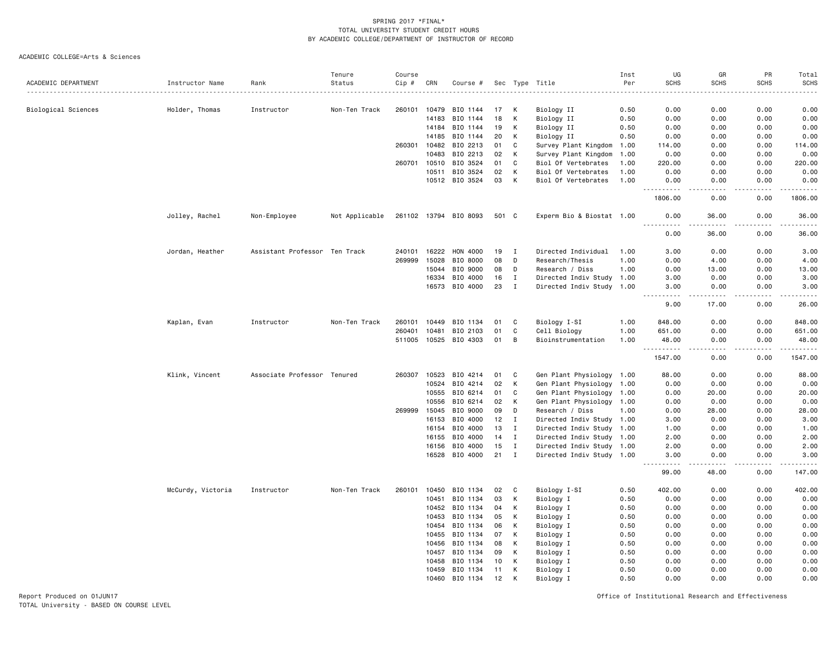ACADEMIC COLLEGE=Arts & Sciences

|                     |                   |                               | Tenure         | Course |       |                       |       |              |                           | Inst | UG                    | GR             | PR            | Total        |
|---------------------|-------------------|-------------------------------|----------------|--------|-------|-----------------------|-------|--------------|---------------------------|------|-----------------------|----------------|---------------|--------------|
| ACADEMIC DEPARTMENT | Instructor Name   | Rank                          | Status         | Cip #  | CRN   | Course #              |       | Sec Type     | Title                     | Per  | <b>SCHS</b>           | <b>SCHS</b>    | <b>SCHS</b>   | <b>SCHS</b>  |
|                     |                   |                               |                |        |       |                       |       |              | .                         |      |                       |                |               |              |
| Biological Sciences | Holder, Thomas    | Instructor                    | Non-Ten Track  | 260101 | 10479 | BIO 1144              | 17    | $\,$ K       | Biology II                | 0.50 | 0.00                  | 0.00           | 0.00          | 0.00         |
|                     |                   |                               |                |        | 14183 | BIO 1144              | 18    | К            | Biology II                | 0.50 | 0.00                  | 0.00           | 0.00          | 0.00         |
|                     |                   |                               |                |        | 14184 | BIO 1144              | 19    | К            | Biology II                | 0.50 | 0.00                  | 0.00           | 0.00          | 0.00         |
|                     |                   |                               |                |        | 14185 | BIO 1144              | 20    | К            | Biology II                | 0.50 | 0.00                  | 0.00           | 0.00          | 0.00         |
|                     |                   |                               |                | 260301 | 10482 | BIO 2213              | 01    | C            | Survey Plant Kingdom      | 1.00 | 114,00                | 0.00           | 0.00          | 114.00       |
|                     |                   |                               |                |        | 10483 | BIO 2213              | 02    | к            | Survey Plant Kingdom      | 1.00 | 0.00                  | 0.00           | 0.00          | 0.00         |
|                     |                   |                               |                | 260701 | 10510 | BIO 3524              | 01    | C            | Biol Of Vertebrates       | 1.00 | 220.00                | 0.00           | 0.00          | 220.00       |
|                     |                   |                               |                |        | 10511 | BIO 3524              | 02    | К            | Biol Of Vertebrates       | 1.00 | 0.00                  | 0.00           | 0.00          | 0.00         |
|                     |                   |                               |                |        |       | 10512 BIO 3524        | 03    | К            | Biol Of Vertebrates       | 1.00 | 0.00                  | 0.00           | 0.00          | 0.00         |
|                     |                   |                               |                |        |       |                       |       |              |                           |      | .<br>1806.00          | 0.00           | 0.00          | .<br>1806.00 |
|                     | Jolley, Rachel    | Non-Employee                  | Not Applicable |        |       | 261102 13794 BIO 8093 | 501 C |              | Experm Bio & Biostat 1.00 |      | 0.00                  | 36.00          | 0.00          | 36.00        |
|                     |                   |                               |                |        |       |                       |       |              |                           |      | $\frac{1}{2}$<br>0.00 | 36.00          | 0.00          | .<br>36.00   |
|                     | Jordan, Heather   | Assistant Professor Ten Track |                | 240101 | 16222 | HON 4000              | 19    | I            | Directed Individual       | 1.00 | 3.00                  | 0.00           | 0.00          | 3.00         |
|                     |                   |                               |                | 269999 | 15028 | BIO 8000              | 08    | D            | Research/Thesis           | 1.00 | 0.00                  | 4.00           | 0.00          | 4.00         |
|                     |                   |                               |                |        | 15044 | BIO 9000              | 08    | D            | Research / Diss           | 1.00 | 0.00                  | 13.00          | 0.00          | 13.00        |
|                     |                   |                               |                |        | 16334 | BIO 4000              | 16    | $\mathbf{I}$ | Directed Indiv Study 1.00 |      | 3.00                  | 0.00           | 0.00          | 3.00         |
|                     |                   |                               |                |        |       | 16573 BIO 4000        | 23    | $\mathbf{I}$ | Directed Indiv Study 1.00 |      | 3.00                  | 0.00           | 0.00          | 3.00         |
|                     |                   |                               |                |        |       |                       |       |              |                           |      | .<br>9.00             | -----<br>17.00 | .<br>0.00     | .<br>26.00   |
|                     |                   |                               |                |        |       |                       |       |              |                           |      |                       |                |               |              |
|                     | Kaplan, Evan      | Instructor                    | Non-Ten Track  | 260101 | 10449 | BIO 1134              | 01    | C            | Biology I-SI              | 1.00 | 848,00                | 0.00           | 0.00          | 848.00       |
|                     |                   |                               |                | 260401 | 10481 | BIO 2103              | 01    | C            | Cell Biology              | 1.00 | 651.00                | 0.00           | 0.00          | 651.00       |
|                     |                   |                               |                |        |       | 511005 10525 BIO 4303 | 01    | B            | Bioinstrumentation        | 1.00 | 48.00<br><u>.</u>     | 0.00<br>.      | 0.00<br>----- | 48.00        |
|                     |                   |                               |                |        |       |                       |       |              |                           |      | 1547.00               | 0.00           | 0.00          | 1547.00      |
|                     | Klink, Vincent    | Associate Professor Tenured   |                | 260307 | 10523 | BIO 4214              | 01    | C            | Gen Plant Physiology 1.00 |      | 88.00                 | 0.00           | 0.00          | 88.00        |
|                     |                   |                               |                |        | 10524 | BIO 4214              | 02    | K            | Gen Plant Physiology 1.00 |      | 0.00                  | 0.00           | 0.00          | 0.00         |
|                     |                   |                               |                |        | 10555 | BIO 6214              | 01    | C            | Gen Plant Physiology      | 1.00 | 0.00                  | 20.00          | 0.00          | 20.00        |
|                     |                   |                               |                |        | 10556 | BIO 6214              | 02    | K            | Gen Plant Physiology 1.00 |      | 0.00                  | 0.00           | 0.00          | 0.00         |
|                     |                   |                               |                | 269999 | 15045 | BIO 9000              | 09    | D            | Research / Diss           | 1.00 | 0.00                  | 28.00          | 0.00          | 28.00        |
|                     |                   |                               |                |        | 16153 | BIO 4000              | 12    | $\mathbf{I}$ | Directed Indiv Study 1.00 |      | 3.00                  | 0.00           | 0.00          | 3.00         |
|                     |                   |                               |                |        | 16154 | BIO 4000              | 13    | $\mathbf I$  | Directed Indiv Study 1.00 |      | 1.00                  | 0.00           | 0.00          | 1.00         |
|                     |                   |                               |                |        | 16155 | BIO 4000              | 14    | $\mathbf I$  | Directed Indiv Study 1.00 |      | 2.00                  | 0.00           | 0.00          | 2.00         |
|                     |                   |                               |                |        | 16156 | BIO 4000              | 15    | $\mathbf I$  | Directed Indiv Study 1.00 |      | 2.00                  | 0.00           | 0.00          | 2.00         |
|                     |                   |                               |                |        | 16528 | BIO 4000              | 21    | $\mathbf I$  | Directed Indiv Study 1.00 |      | 3.00<br>$- - -$<br>.  | 0.00           | 0.00          | 3.00         |
|                     |                   |                               |                |        |       |                       |       |              |                           |      | 99.00                 | 48.00          | 0.00          | 147.00       |
|                     | McCurdy, Victoria | Instructor                    | Non-Ten Track  | 260101 | 10450 | BIO 1134              | 02    | C            | Biology I-SI              | 0.50 | 402.00                | 0.00           | 0.00          | 402.00       |
|                     |                   |                               |                |        | 10451 | BIO 1134              | 03    | К            | Biology I                 | 0.50 | 0.00                  | 0.00           | 0.00          | 0.00         |
|                     |                   |                               |                |        | 10452 | BIO 1134              | 04    | К            | Biology I                 | 0.50 | 0.00                  | 0.00           | 0.00          | 0.00         |
|                     |                   |                               |                |        | 10453 | BIO 1134              | 05    | к            | Biology I                 | 0.50 | 0.00                  | 0.00           | 0.00          | 0.00         |
|                     |                   |                               |                |        | 10454 | BIO 1134              | 06    | К            | Biology I                 | 0.50 | 0.00                  | 0.00           | 0.00          | 0.00         |
|                     |                   |                               |                |        | 10455 | BIO 1134              | 07    | К            | Biology I                 | 0.50 | 0.00                  | 0.00           | 0.00          | 0.00         |
|                     |                   |                               |                |        | 10456 | BIO 1134              | 08    | К            | Biology I                 | 0.50 | 0.00                  | 0.00           | 0.00          | 0.00         |
|                     |                   |                               |                |        | 10457 | BIO 1134              | 09    | К            | Biology I                 | 0.50 | 0.00                  | 0.00           | 0.00          | 0.00         |
|                     |                   |                               |                |        | 10458 | BIO 1134              | 10    | к            | Biology I                 | 0.50 | 0.00                  | 0.00           | 0.00          | 0.00         |
|                     |                   |                               |                |        | 10459 | BIO 1134              | 11    | К            | Biology I                 | 0.50 | 0.00                  | 0.00           | 0.00          | 0.00         |
|                     |                   |                               |                |        | 10460 | BIO 1134              | 12    | К            | Biology I                 | 0.50 | 0.00                  | 0.00           | 0.00          | 0.00         |
|                     |                   |                               |                |        |       |                       |       |              |                           |      |                       |                |               |              |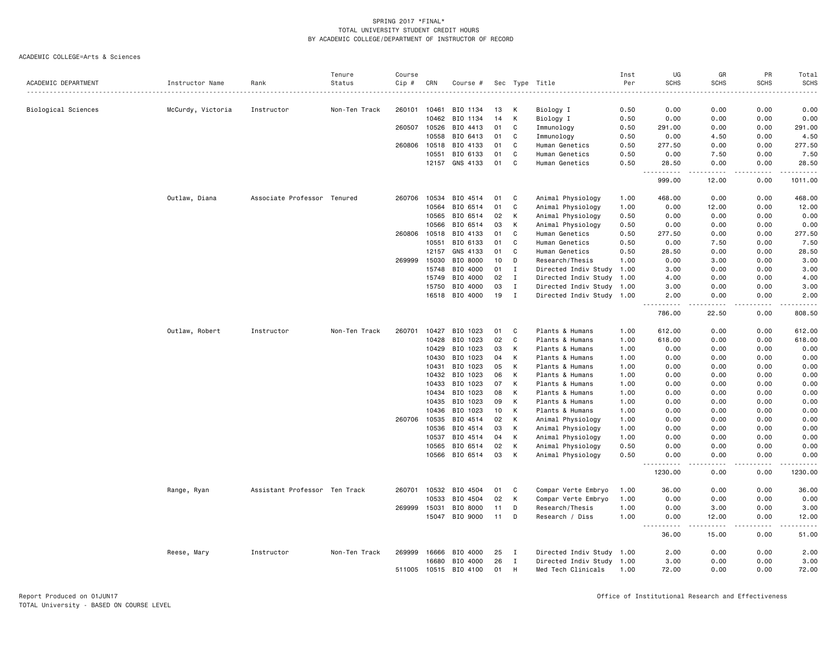|                     |                   |                               | Tenure        | Course |       |                |    |              |                           | Inst | UG                             | GR                                                                                                                                 | PR              | Total                  |
|---------------------|-------------------|-------------------------------|---------------|--------|-------|----------------|----|--------------|---------------------------|------|--------------------------------|------------------------------------------------------------------------------------------------------------------------------------|-----------------|------------------------|
| ACADEMIC DEPARTMENT | Instructor Name   | Rank                          | Status        | Cip #  | CRN   | Course #       |    |              | Sec Type Title            | Per  | <b>SCHS</b>                    | <b>SCHS</b>                                                                                                                        | <b>SCHS</b>     | <b>SCHS</b>            |
|                     | McCurdy, Victoria | Instructor                    | Non-Ten Track | 260101 | 10461 | BIO 1134       | 13 | к            | Biology I                 | 0.50 | 0.00                           | 0.00                                                                                                                               | 0.00            | 0.00                   |
| Biological Sciences |                   |                               |               |        | 10462 | BIO 1134       | 14 | К            | Biology I                 | 0.50 | 0.00                           | 0.00                                                                                                                               | 0.00            | 0.00                   |
|                     |                   |                               |               | 260507 | 10526 | BIO 4413       | 01 | C            | Immunology                | 0.50 | 291.00                         | 0.00                                                                                                                               | 0.00            | 291.00                 |
|                     |                   |                               |               |        | 10558 | BIO 6413       | 01 | C            | Immunology                | 0.50 | 0.00                           | 4.50                                                                                                                               | 0.00            | 4.50                   |
|                     |                   |                               |               | 260806 | 10518 | BIO 4133       | 01 | C            | Human Genetics            | 0.50 | 277.50                         | 0.00                                                                                                                               | 0.00            | 277.50                 |
|                     |                   |                               |               |        | 10551 | BIO 6133       | 01 | C            | Human Genetics            | 0.50 | 0.00                           | 7.50                                                                                                                               | 0.00            | 7.50                   |
|                     |                   |                               |               |        | 12157 | GNS 4133       | 01 | C            | Human Genetics            | 0.50 | 28.50                          | 0.00                                                                                                                               | 0.00            | 28.50                  |
|                     |                   |                               |               |        |       |                |    |              |                           |      | $\sim$ $\sim$ .<br>.<br>999.00 | $\frac{1}{2} \left( \frac{1}{2} \right) \left( \frac{1}{2} \right) \left( \frac{1}{2} \right) \left( \frac{1}{2} \right)$<br>12.00 | $- - -$<br>0.00 | <u>.</u><br>1011.00    |
|                     | Outlaw, Diana     | Associate Professor Tenured   |               | 260706 | 10534 | BIO 4514       | 01 | C            | Animal Physiology         | 1.00 | 468.00                         | 0.00                                                                                                                               | 0.00            | 468.00                 |
|                     |                   |                               |               |        | 10564 | BIO 6514       | 01 | C            | Animal Physiology         | 1.00 | 0.00                           | 12.00                                                                                                                              | 0.00            | 12.00                  |
|                     |                   |                               |               |        | 10565 | BIO 6514       | 02 | К            | Animal Physiology         | 0.50 | 0.00                           | 0.00                                                                                                                               | 0.00            | 0.00                   |
|                     |                   |                               |               |        | 10566 | BIO 6514       | 03 | К            | Animal Physiology         | 0.50 | 0.00                           | 0.00                                                                                                                               | 0.00            | 0.00                   |
|                     |                   |                               |               | 260806 | 10518 | BIO 4133       | 01 | C            | Human Genetics            | 0.50 | 277.50                         | 0.00                                                                                                                               | 0.00            | 277.50                 |
|                     |                   |                               |               |        | 10551 | BIO 6133       | 01 | C            | Human Genetics            | 0.50 | 0.00                           | 7.50                                                                                                                               | 0.00            | 7.50                   |
|                     |                   |                               |               |        | 12157 | GNS 4133       | 01 | C            | Human Genetics            | 0.50 | 28.50                          | 0.00                                                                                                                               | 0.00            | 28.50                  |
|                     |                   |                               |               | 269999 | 15030 | BIO 8000       | 10 | D            | Research/Thesis           | 1.00 | 0.00                           | 3.00                                                                                                                               | 0.00            | 3.00                   |
|                     |                   |                               |               |        | 15748 | BIO 4000       | 01 | $\mathbf I$  | Directed Indiv Study 1.00 |      | 3.00                           | 0.00                                                                                                                               | 0.00            | 3.00                   |
|                     |                   |                               |               |        | 15749 | BIO 4000       | 02 | I            | Directed Indiv Study      | 1.00 | 4.00                           | 0.00                                                                                                                               | 0.00            | 4.00                   |
|                     |                   |                               |               |        | 15750 | BIO 4000       | 03 | $\mathbf I$  | Directed Indiv Study 1.00 |      | 3.00                           | 0.00                                                                                                                               | 0.00            | 3.00                   |
|                     |                   |                               |               |        |       | 16518 BIO 4000 | 19 | $\mathbf I$  | Directed Indiv Study 1.00 |      | 2.00                           | 0.00                                                                                                                               | 0.00            | 2.00                   |
|                     |                   |                               |               |        |       |                |    |              |                           |      | . <u>.</u><br>786.00           | .<br>22.50                                                                                                                         | .<br>0.00       | .<br>808.50            |
|                     | Outlaw, Robert    | Instructor                    | Non-Ten Track | 260701 | 10427 | BIO 1023       | 01 | C            | Plants & Humans           | 1.00 | 612.00                         | 0.00                                                                                                                               | 0.00            | 612.00                 |
|                     |                   |                               |               |        | 10428 | BIO 1023       | 02 | C            | Plants & Humans           | 1.00 | 618.00                         | 0.00                                                                                                                               | 0.00            | 618.00                 |
|                     |                   |                               |               |        | 10429 | BIO 1023       | 03 | K            | Plants & Humans           | 1.00 | 0.00                           | 0.00                                                                                                                               | 0.00            | 0.00                   |
|                     |                   |                               |               |        | 10430 | BIO 1023       | 04 | К            | Plants & Humans           | 1.00 | 0.00                           | 0.00                                                                                                                               | 0.00            | 0.00                   |
|                     |                   |                               |               |        | 10431 | BIO 1023       | 05 | К            | Plants & Humans           | 1.00 | 0.00                           | 0.00                                                                                                                               | 0.00            | 0.00                   |
|                     |                   |                               |               |        | 10432 | BIO 1023       | 06 | K            | Plants & Humans           | 1.00 | 0.00                           | 0.00                                                                                                                               | 0.00            | 0.00                   |
|                     |                   |                               |               |        | 10433 | BIO 1023       | 07 | К            | Plants & Humans           | 1.00 | 0.00                           | 0.00                                                                                                                               | 0.00            | 0.00                   |
|                     |                   |                               |               |        | 10434 | BIO 1023       | 08 | К            | Plants & Humans           | 1.00 | 0.00                           | 0.00                                                                                                                               | 0.00            | 0.00                   |
|                     |                   |                               |               |        | 10435 | BIO 1023       | 09 | К            | Plants & Humans           | 1.00 | 0.00                           | 0.00                                                                                                                               | 0.00            | 0.00                   |
|                     |                   |                               |               |        | 10436 | BIO 1023       | 10 | K            | Plants & Humans           | 1.00 | 0.00                           | 0.00                                                                                                                               | 0.00            | 0.00                   |
|                     |                   |                               |               | 260706 | 10535 | BIO 4514       | 02 | К            | Animal Physiology         | 1.00 | 0.00                           | 0.00                                                                                                                               | 0.00            | 0.00                   |
|                     |                   |                               |               |        | 10536 | BIO 4514       | 03 | К            | Animal Physiology         | 1.00 | 0.00                           | 0.00                                                                                                                               | 0.00            | 0.00                   |
|                     |                   |                               |               |        | 10537 | BIO 4514       | 04 | К            | Animal Physiology         | 1.00 | 0.00                           | 0.00                                                                                                                               | 0.00            | 0.00                   |
|                     |                   |                               |               |        | 10565 | BIO 6514       | 02 | К            | Animal Physiology         | 0.50 | 0.00                           | 0.00                                                                                                                               | 0.00            | 0.00                   |
|                     |                   |                               |               |        |       | 10566 BIO 6514 | 03 | К            | Animal Physiology         | 0.50 | 0.00                           | 0.00                                                                                                                               | 0.00            | 0.00                   |
|                     |                   |                               |               |        |       |                |    |              |                           |      | 1230.00                        | $\sim$ $\sim$ $\sim$<br>0.00                                                                                                       | .<br>0.00       | .<br>1230.00           |
|                     | Range, Ryan       | Assistant Professor Ten Track |               | 260701 | 10532 | BIO 4504       | 01 | C            | Compar Verte Embryo       | 1.00 | 36.00                          | 0.00                                                                                                                               | 0.00            | 36.00                  |
|                     |                   |                               |               |        | 10533 | BIO 4504       | 02 | К            | Compar Verte Embryo       | 1.00 | 0.00                           | 0.00                                                                                                                               | 0.00            | 0.00                   |
|                     |                   |                               |               | 269999 | 15031 | BIO 8000       | 11 | D            | Research/Thesis           | 1.00 | 0.00                           | 3.00                                                                                                                               | 0.00            | 3.00                   |
|                     |                   |                               |               |        |       | 15047 BIO 9000 | 11 | D            | Research / Diss           | 1.00 | 0.00                           | 12.00                                                                                                                              | 0.00            | 12.00                  |
|                     |                   |                               |               |        |       |                |    |              |                           |      | $\sim$ $\sim$ .<br>.<br>36.00  | .<br>15.00                                                                                                                         | 0.00            | $\frac{1}{2}$<br>51.00 |
|                     | Reese, Mary       | Instructor                    | Non-Ten Track | 269999 | 16666 | BIO 4000       | 25 | I            | Directed Indiv Study 1.00 |      | 2.00                           | 0.00                                                                                                                               | 0.00            | 2.00                   |
|                     |                   |                               |               |        | 16680 | BIO 4000       | 26 | $\mathbf{I}$ | Directed Indiv Study 1.00 |      | 3.00                           | 0.00                                                                                                                               | 0.00            | 3.00                   |
|                     |                   |                               |               | 511005 | 10515 | BIO 4100       | 01 | H            | Med Tech Clinicals        | 1.00 | 72.00                          | 0.00                                                                                                                               | 0.00            | 72.00                  |
|                     |                   |                               |               |        |       |                |    |              |                           |      |                                |                                                                                                                                    |                 |                        |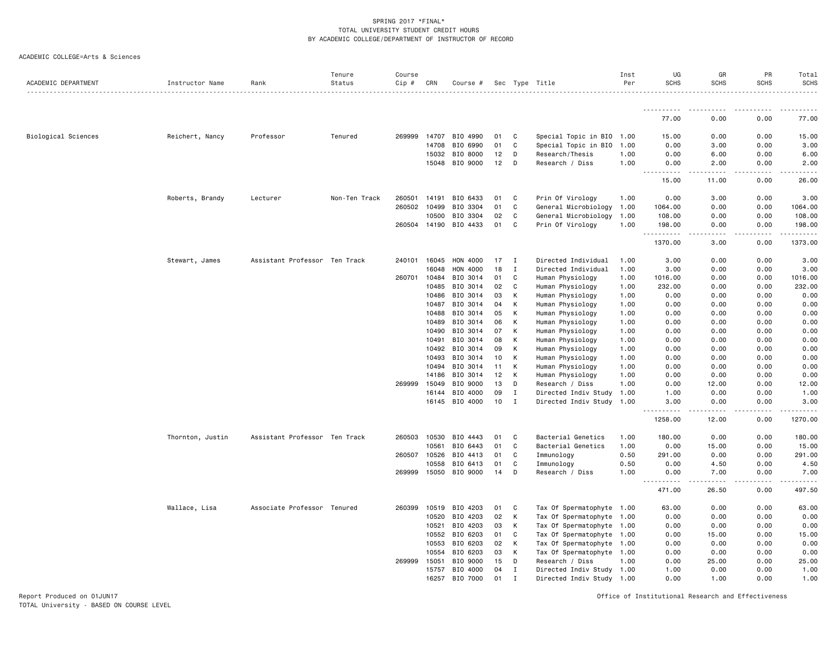| ACADEMIC COLLEGE=Arts & Sciences |
|----------------------------------|
|----------------------------------|

|                     |                  |                               | Tenure        | Course       |              |                |    |   |                           | Inst | UG                                                                                                                                     | GR          | PR            | Total             |
|---------------------|------------------|-------------------------------|---------------|--------------|--------------|----------------|----|---|---------------------------|------|----------------------------------------------------------------------------------------------------------------------------------------|-------------|---------------|-------------------|
| ACADEMIC DEPARTMENT | Instructor Name  | Rank                          | Status        | Cip #        | CRN          | Course #       |    |   | Sec Type Title            | Per  | <b>SCHS</b>                                                                                                                            | <b>SCHS</b> | <b>SCHS</b>   | <b>SCHS</b>       |
|                     |                  |                               |               |              |              |                |    |   |                           |      |                                                                                                                                        |             |               |                   |
|                     |                  |                               |               |              |              |                |    |   |                           |      | 77.00                                                                                                                                  | 0.00        | 0.00          | 77.00             |
| Biological Sciences | Reichert, Nancy  | Professor                     | Tenured       | 269999       | 14707        | BIO 4990       | 01 | C | Special Topic in BIO 1.00 |      | 15.00                                                                                                                                  | 0.00        | 0.00          | 15.00             |
|                     |                  |                               |               |              | 14708        | BIO 6990       | 01 | C | Special Topic in BIO      | 1.00 | 0.00                                                                                                                                   | 3.00        | 0.00          | 3.00              |
|                     |                  |                               |               |              | 15032        | BIO 8000       | 12 | D | Research/Thesis           | 1.00 | 0.00                                                                                                                                   | 6.00        | 0.00          | 6.00              |
|                     |                  |                               |               |              | 15048        | BIO 9000       | 12 | D | Research / Diss           | 1.00 | 0.00<br>.<br>$\frac{1}{2} \left( \frac{1}{2} \right) \left( \frac{1}{2} \right) \left( \frac{1}{2} \right) \left( \frac{1}{2} \right)$ | 2.00<br>.   | 0.00<br>22222 | 2.00<br>المتمالين |
|                     |                  |                               |               |              |              |                |    |   |                           |      | 15.00                                                                                                                                  | 11.00       | 0.00          | 26.00             |
|                     | Roberts, Brandy  | Lecturer                      | Non-Ten Track | 260501       | 14191        | BIO 6433       | 01 | C | Prin Of Virology          | 1.00 | 0.00                                                                                                                                   | 3.00        | 0.00          | 3.00              |
|                     |                  |                               |               | 260502 10499 |              | BIO 3304       | 01 | C | General Microbiology      | 1.00 | 1064.00                                                                                                                                | 0.00        | 0.00          | 1064.00           |
|                     |                  |                               |               |              | 10500        | BIO 3304       | 02 | C | General Microbiology      | 1.00 | 108.00                                                                                                                                 | 0.00        | 0.00          | 108.00            |
|                     |                  |                               |               |              | 260504 14190 | BIO 4433       | 01 | C | Prin Of Virology          | 1.00 | 198.00<br>.                                                                                                                            | 0.00<br>.   | 0.00<br>22222 | 198.00<br>.       |
|                     |                  |                               |               |              |              |                |    |   |                           |      | 1370.00                                                                                                                                | 3.00        | 0.00          | 1373.00           |
|                     | Stewart, James   | Assistant Professor Ten Track |               | 240101       | 16045        | HON 4000       | 17 | I | Directed Individual       | 1.00 | 3.00                                                                                                                                   | 0.00        | 0.00          | 3.00              |
|                     |                  |                               |               |              | 16048        | HON 4000       | 18 | Ι | Directed Individual       | 1.00 | 3.00                                                                                                                                   | 0.00        | 0.00          | 3.00              |
|                     |                  |                               |               | 260701       | 10484        | BIO 3014       | 01 | C | Human Physiology          | 1.00 | 1016.00                                                                                                                                | 0.00        | 0.00          | 1016.00           |
|                     |                  |                               |               |              | 10485        | BIO 3014       | 02 | C | Human Physiology          | 1.00 | 232.00                                                                                                                                 | 0.00        | 0.00          | 232.00            |
|                     |                  |                               |               |              | 10486        | BIO 3014       | 03 | К | Human Physiology          | 1.00 | 0.00                                                                                                                                   | 0.00        | 0.00          | 0.00              |
|                     |                  |                               |               |              | 10487        | BIO 3014       | 04 | К | Human Physiology          | 1.00 | 0.00                                                                                                                                   | 0.00        | 0.00          | 0.00              |
|                     |                  |                               |               |              | 10488        | BIO 3014       | 05 | К | Human Physiology          | 1.00 | 0.00                                                                                                                                   | 0.00        | 0.00          | 0.00              |
|                     |                  |                               |               |              | 10489        | BIO 3014       | 06 | К | Human Physiology          | 1.00 | 0.00                                                                                                                                   | 0.00        | 0.00          | 0.00              |
|                     |                  |                               |               |              | 10490        | BIO 3014       | 07 | К | Human Physiology          | 1.00 | 0.00                                                                                                                                   | 0.00        | 0.00          | 0.00              |
|                     |                  |                               |               |              | 10491        | BIO 3014       | 08 | К | Human Physiology          | 1.00 | 0.00                                                                                                                                   | 0.00        | 0.00          | 0.00              |
|                     |                  |                               |               |              | 10492        | BIO 3014       | 09 | К | Human Physiology          | 1.00 | 0.00                                                                                                                                   | 0.00        | 0.00          | 0.00              |
|                     |                  |                               |               |              | 10493        | BIO 3014       | 10 | К | Human Physiology          | 1.00 | 0.00                                                                                                                                   | 0.00        | 0.00          | 0.00              |
|                     |                  |                               |               |              | 10494        | BIO 3014       | 11 | К | Human Physiology          | 1.00 | 0.00                                                                                                                                   | 0.00        | 0.00          | 0.00              |
|                     |                  |                               |               |              | 14186        | BIO 3014       | 12 | К | Human Physiology          | 1.00 | 0.00                                                                                                                                   | 0.00        | 0.00          | 0.00              |
|                     |                  |                               |               | 269999       | 15049        | BIO 9000       | 13 | D | Research / Diss           | 1.00 | 0.00                                                                                                                                   | 12.00       | 0.00          | 12.00             |
|                     |                  |                               |               |              | 16144        | BIO 4000       | 09 | I | Directed Indiv Study      | 1.00 | 1.00                                                                                                                                   | 0.00        | 0.00          | 1.00              |
|                     |                  |                               |               |              |              | 16145 BIO 4000 | 10 | I | Directed Indiv Study      | 1.00 | 3.00                                                                                                                                   | 0.00        | 0.00          | 3.00              |
|                     |                  |                               |               |              |              |                |    |   |                           |      | 1258.00                                                                                                                                | 12.00       | 0.00          | 1270.00           |
|                     | Thornton, Justin | Assistant Professor Ten Track |               |              | 260503 10530 | BIO 4443       | 01 | C | Bacterial Genetics        | 1.00 | 180.00                                                                                                                                 | 0.00        | 0.00          | 180.00            |
|                     |                  |                               |               |              | 10561        | BIO 6443       | 01 | C | Bacterial Genetics        | 1.00 | 0.00                                                                                                                                   | 15.00       | 0.00          | 15.00             |
|                     |                  |                               |               | 260507       | 10526        | BIO 4413       | 01 | C | Immunology                | 0.50 | 291.00                                                                                                                                 | 0.00        | 0.00          | 291.00            |
|                     |                  |                               |               |              | 10558        | BIO 6413       | 01 | C | Immunology                | 0.50 | 0.00                                                                                                                                   | 4.50        | 0.00          | 4.50              |
|                     |                  |                               |               |              | 269999 15050 | BIO 9000       | 14 | D | Research / Diss           | 1.00 | 0.00<br>.                                                                                                                              | 7.00<br>.   | 0.00<br>----- | 7.00<br>.         |
|                     |                  |                               |               |              |              |                |    |   |                           |      | 471.00                                                                                                                                 | 26.50       | 0.00          | 497.50            |
|                     | Wallace, Lisa    | Associate Professor Tenured   |               | 260399       | 10519        | BIO 4203       | 01 | C | Tax Of Spermatophyte 1.00 |      | 63.00                                                                                                                                  | 0.00        | 0.00          | 63.00             |
|                     |                  |                               |               |              | 10520        | BIO 4203       | 02 | К | Tax Of Spermatophyte      | 1.00 | 0.00                                                                                                                                   | 0.00        | 0.00          | 0.00              |
|                     |                  |                               |               |              | 10521        | BIO 4203       | 03 | К | Tax Of Spermatophyte      | 1.00 | 0.00                                                                                                                                   | 0.00        | 0.00          | 0.00              |
|                     |                  |                               |               |              | 10552        | BIO 6203       | 01 | C | Tax Of Spermatophyte      | 1.00 | 0.00                                                                                                                                   | 15.00       | 0.00          | 15.00             |
|                     |                  |                               |               |              | 10553        | BIO 6203       | 02 | К | Tax Of Spermatophyte      | 1.00 | 0.00                                                                                                                                   | 0.00        | 0.00          | 0.00              |
|                     |                  |                               |               |              | 10554        | BIO 6203       | 03 | К | Tax Of Spermatophyte      | 1.00 | 0.00                                                                                                                                   | 0.00        | 0.00          | 0.00              |
|                     |                  |                               |               | 269999 15051 |              | BIO 9000       | 15 | D | Research / Diss           | 1.00 | 0.00                                                                                                                                   | 25.00       | 0.00          | 25.00             |
|                     |                  |                               |               |              | 15757        | BIO 4000       | 04 | I | Directed Indiv Study 1.00 |      | 1.00                                                                                                                                   | 0.00        | 0.00          | 1.00              |
|                     |                  |                               |               |              | 16257        | BIO 7000       | 01 | I | Directed Indiv Study 1.00 |      | 0.00                                                                                                                                   | 1.00        | 0.00          | 1.00              |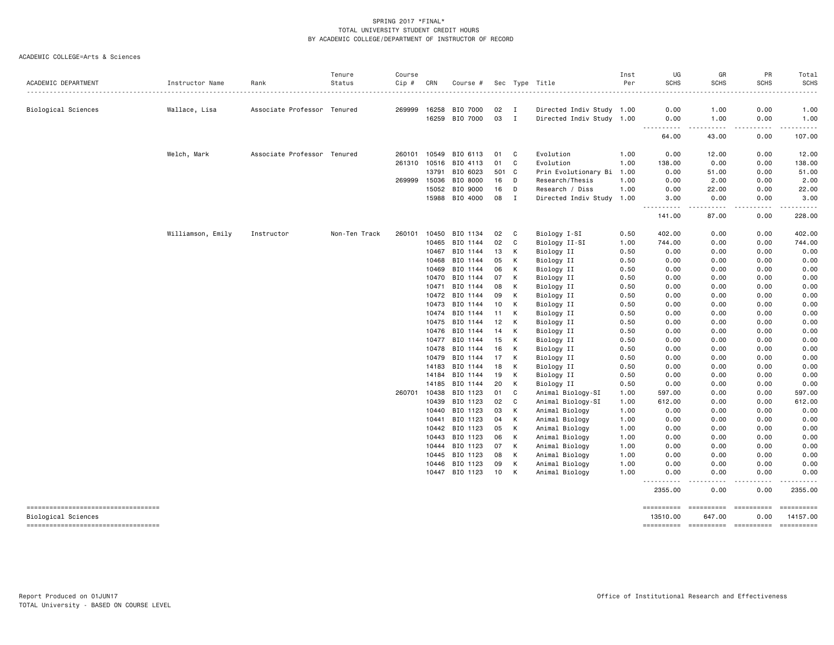#### ACADEMIC COLLEGE=Arts & Sciences

|                                    |                   |                             | Tenure        | Course |       |                |     |              |                           | Inst | UG                                 | GR                         | PR            | Total                                                                                                                                                                                     |
|------------------------------------|-------------------|-----------------------------|---------------|--------|-------|----------------|-----|--------------|---------------------------|------|------------------------------------|----------------------------|---------------|-------------------------------------------------------------------------------------------------------------------------------------------------------------------------------------------|
| ACADEMIC DEPARTMENT                | Instructor Name   | Rank                        | Status        | Cip #  | CRN   | Course #       |     |              | Sec Type Title            | Per  | <b>SCHS</b>                        | <b>SCHS</b><br>$- - - - -$ | <b>SCHS</b>   | <b>SCHS</b><br>.                                                                                                                                                                          |
| Biological Sciences                | Wallace, Lisa     | Associate Professor Tenured |               | 269999 | 16258 | BIO 7000       | 02  | $\mathbf I$  | Directed Indiv Study 1.00 |      | 0.00                               | 1.00                       | 0.00          | 1.00                                                                                                                                                                                      |
|                                    |                   |                             |               |        | 16259 | BIO 7000       | 03  | I            | Directed Indiv Study 1.00 |      | 0.00                               | 1.00                       | 0.00          | 1.00                                                                                                                                                                                      |
|                                    |                   |                             |               |        |       |                |     |              |                           |      | $\sim$ $\sim$ $\sim$<br>.<br>64.00 | -----<br>43.00             | -----<br>0.00 | .<br>107.00                                                                                                                                                                               |
|                                    | Welch, Mark       | Associate Professor Tenured |               | 260101 | 10549 | BIO 6113       | 01  | C            | Evolution                 | 1.00 | 0.00                               | 12.00                      | 0.00          | 12.00                                                                                                                                                                                     |
|                                    |                   |                             |               | 261310 |       | 10516 BIO 4113 | 01  | C            | Evolution                 | 1.00 | 138.00                             | 0.00                       | 0.00          | 138.00                                                                                                                                                                                    |
|                                    |                   |                             |               |        | 13791 | BIO 6023       | 501 | $\mathbf{C}$ | Prin Evolutionary Bi 1.00 |      | 0.00                               | 51.00                      | 0.00          | 51.00                                                                                                                                                                                     |
|                                    |                   |                             |               | 269999 | 15036 | BIO 8000       | 16  | D            | Research/Thesis           | 1.00 | 0.00                               | 2.00                       | 0.00          | 2.00                                                                                                                                                                                      |
|                                    |                   |                             |               |        | 15052 | BIO 9000       | 16  | D            | Research / Diss           | 1.00 | 0.00                               | 22.00                      | 0.00          | 22.00                                                                                                                                                                                     |
|                                    |                   |                             |               |        |       | 15988 BIO 4000 | 08  | $\mathbf I$  | Directed Indiv Study 1.00 |      | 3.00                               | 0.00                       | 0.00          | 3.00                                                                                                                                                                                      |
|                                    |                   |                             |               |        |       |                |     |              |                           |      | -----<br>141.00                    | -----<br>87.00             | -----<br>0.00 | $\frac{1}{2} \left( \frac{1}{2} \right) \left( \frac{1}{2} \right) \left( \frac{1}{2} \right) \left( \frac{1}{2} \right) \left( \frac{1}{2} \right) \left( \frac{1}{2} \right)$<br>228.00 |
|                                    | Williamson, Emily | Instructor                  | Non-Ten Track | 260101 | 10450 | BIO 1134       | 02  | C            | Biology I-SI              | 0.50 | 402.00                             | 0.00                       | 0.00          | 402.00                                                                                                                                                                                    |
|                                    |                   |                             |               |        | 10465 | BIO 1144       | 02  | C            | Biology II-SI             | 1.00 | 744.00                             | 0.00                       | 0.00          | 744.00                                                                                                                                                                                    |
|                                    |                   |                             |               |        | 10467 | BIO 1144       | 13  | К            | Biology II                | 0.50 | 0.00                               | 0.00                       | 0.00          | 0.00                                                                                                                                                                                      |
|                                    |                   |                             |               |        | 10468 | BIO 1144       | 05  | К            | Biology II                | 0.50 | 0.00                               | 0.00                       | 0.00          | 0.00                                                                                                                                                                                      |
|                                    |                   |                             |               |        | 10469 | BIO 1144       | 06  | К            | Biology II                | 0.50 | 0.00                               | 0.00                       | 0.00          | 0.00                                                                                                                                                                                      |
|                                    |                   |                             |               |        | 10470 | BIO 1144       | 07  | К            | Biology II                | 0.50 | 0.00                               | 0.00                       | 0.00          | 0.00                                                                                                                                                                                      |
|                                    |                   |                             |               |        | 10471 | BIO 1144       | 08  | К            | Biology II                | 0.50 | 0.00                               | 0.00                       | 0.00          | 0.00                                                                                                                                                                                      |
|                                    |                   |                             |               |        |       | 10472 BIO 1144 | 09  | К            | Biology II                | 0.50 | 0.00                               | 0.00                       | 0.00          | 0.00                                                                                                                                                                                      |
|                                    |                   |                             |               |        | 10473 | BIO 1144       | 10  | К            | Biology II                | 0.50 | 0.00                               | 0.00                       | 0.00          | 0.00                                                                                                                                                                                      |
|                                    |                   |                             |               |        | 10474 | BIO 1144       | 11  | К            | Biology II                | 0.50 | 0.00                               | 0.00                       | 0.00          | 0.00                                                                                                                                                                                      |
|                                    |                   |                             |               |        | 10475 | BIO 1144       | 12  | К            | Biology II                | 0.50 | 0.00                               | 0.00                       | 0.00          | 0.00                                                                                                                                                                                      |
|                                    |                   |                             |               |        | 10476 | BIO 1144       | 14  | К            | Biology II                | 0.50 | 0.00                               | 0.00                       | 0.00          | 0.00                                                                                                                                                                                      |
|                                    |                   |                             |               |        | 10477 | BIO 1144       | 15  | К            | Biology II                | 0.50 | 0.00                               | 0.00                       | 0.00          | 0.00                                                                                                                                                                                      |
|                                    |                   |                             |               |        | 10478 | BIO 1144       | 16  | К            | Biology II                | 0.50 | 0.00                               | 0.00                       | 0.00          | 0.00                                                                                                                                                                                      |
|                                    |                   |                             |               |        | 10479 | BIO 1144       | 17  | К            | Biology II                | 0.50 | 0.00                               | 0.00                       | 0.00          | 0.00                                                                                                                                                                                      |
|                                    |                   |                             |               |        | 14183 | BIO 1144       | 18  | K            | Biology II                | 0.50 | 0.00                               | 0.00                       | 0.00          | 0.00                                                                                                                                                                                      |
|                                    |                   |                             |               |        | 14184 | BIO 1144       | 19  | К            | Biology II                | 0.50 | 0.00                               | 0.00                       | 0.00          | 0.00                                                                                                                                                                                      |
|                                    |                   |                             |               |        | 14185 | BIO 1144       | 20  | К            | Biology II                | 0.50 | 0.00                               | 0.00                       | 0.00          | 0.00                                                                                                                                                                                      |
|                                    |                   |                             |               | 260701 | 10438 | BIO 1123       | 01  | C            | Animal Biology-SI         | 1.00 | 597.00                             | 0.00                       | 0.00          | 597.00                                                                                                                                                                                    |
|                                    |                   |                             |               |        | 10439 | BIO 1123       | 02  | C            | Animal Biology-SI         | 1.00 | 612.00                             | 0.00                       | 0.00          | 612.00                                                                                                                                                                                    |
|                                    |                   |                             |               |        | 10440 | BIO 1123       | 03  | К            | Animal Biology            | 1.00 | 0.00                               | 0.00                       | 0.00          | 0.00                                                                                                                                                                                      |
|                                    |                   |                             |               |        | 10441 | BIO 1123       | 04  | К            | Animal Biology            | 1.00 | 0.00                               | 0.00                       | 0.00          | 0.00                                                                                                                                                                                      |
|                                    |                   |                             |               |        |       | 10442 BIO 1123 | 05  | К            | Animal Biology            | 1.00 | 0.00                               | 0.00                       | 0.00          | 0.00                                                                                                                                                                                      |
|                                    |                   |                             |               |        | 10443 | BIO 1123       | 06  | К            | Animal Biology            | 1.00 | 0.00                               | 0.00                       | 0.00          | 0.00                                                                                                                                                                                      |
|                                    |                   |                             |               |        | 10444 | BIO 1123       | 07  | К            | Animal Biology            | 1.00 | 0.00                               | 0.00                       | 0.00          | 0.00                                                                                                                                                                                      |
|                                    |                   |                             |               |        | 10445 | BIO 1123       | 08  | К            | Animal Biology            | 1.00 | 0.00                               | 0.00                       | 0.00          | 0.00                                                                                                                                                                                      |
|                                    |                   |                             |               |        | 10446 | BIO 1123       | 09  | к            | Animal Biology            | 1.00 | 0.00                               | 0.00                       | 0.00          | 0.00                                                                                                                                                                                      |
|                                    |                   |                             |               |        | 10447 | BIO 1123       | 10  | К            | Animal Biology            | 1.00 | 0.00                               | 0.00                       | 0.00          | 0.00                                                                                                                                                                                      |
|                                    |                   |                             |               |        |       |                |     |              |                           |      | 2355.00                            | 0.00                       | 0.00          | 2355.00                                                                                                                                                                                   |
| ---------------------------------- |                   |                             |               |        |       |                |     |              |                           |      | ==========                         | ==========                 |               | ==========                                                                                                                                                                                |
| Biological Sciences                |                   |                             |               |        |       |                |     |              |                           |      | 13510.00                           | 647.00                     | 0.00          | 14157.00                                                                                                                                                                                  |

=================================== ========== ========== ========== ==========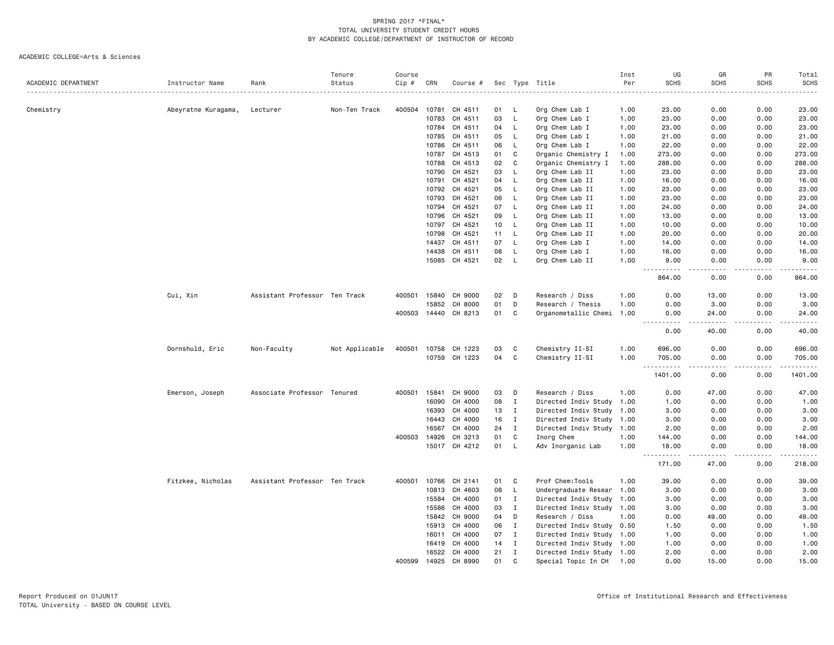|                     |                     |                               | Tenure         | Course |                |               |    |              |                           | Inst | UG                           | GR                                  | PR          | Total            |
|---------------------|---------------------|-------------------------------|----------------|--------|----------------|---------------|----|--------------|---------------------------|------|------------------------------|-------------------------------------|-------------|------------------|
| ACADEMIC DEPARTMENT | Instructor Name     | Rank                          | Status         | Cip #  | CRN            | Course #      |    |              | Sec Type Title            | Per  | <b>SCHS</b>                  | <b>SCHS</b>                         | <b>SCHS</b> | <b>SCHS</b>      |
| Chemistry           | Abeyratne Kuragama, | Lecturer                      | Non-Ten Track  | 400504 | 10781          | CH 4511       | 01 | L.           | Org Chem Lab I            | 1.00 | 23.00                        | 0.00                                | 0.00        | 23.00            |
|                     |                     |                               |                |        | 10783          | CH 4511       | 03 | L            | Org Chem Lab I            | 1.00 | 23.00                        | 0.00                                | 0.00        | 23.00            |
|                     |                     |                               |                |        | 10784          | CH 4511       | 04 | L            | Org Chem Lab I            | 1.00 | 23.00                        | 0.00                                | 0.00        | 23.00            |
|                     |                     |                               |                |        | 10785          | CH 4511       | 05 | L            | Org Chem Lab I            | 1.00 | 21.00                        | 0.00                                | 0.00        | 21.00            |
|                     |                     |                               |                |        | 10786          | CH 4511       | 06 | L.           | Org Chem Lab I            | 1.00 | 22.00                        | 0.00                                | 0.00        | 22.00            |
|                     |                     |                               |                |        | 10787          | CH 4513       | 01 | $\mathtt{C}$ | Organic Chemistry I       | 1.00 | 273.00                       | 0.00                                | 0.00        | 273.00           |
|                     |                     |                               |                |        | 10788          | CH 4513       | 02 | C            | Organic Chemistry I       | 1.00 | 288.00                       | 0.00                                | 0.00        | 288.00           |
|                     |                     |                               |                |        | 10790          | CH 4521       | 03 | L            | Org Chem Lab II           | 1.00 | 23.00                        | 0.00                                | 0.00        | 23.00            |
|                     |                     |                               |                |        | 10791          | CH 4521       | 04 | L            | Org Chem Lab II           | 1.00 | 16.00                        | 0.00                                | 0.00        | 16.00            |
|                     |                     |                               |                |        | 10792          | CH 4521       | 05 | L            | Org Chem Lab II           | 1.00 | 23.00                        | 0.00                                | 0.00        | 23.00            |
|                     |                     |                               |                |        | 10793          | CH 4521       | 06 | L            | Org Chem Lab II           | 1.00 | 23.00                        | 0.00                                | 0.00        | 23.00            |
|                     |                     |                               |                |        | 10794          | CH 4521       | 07 | L            |                           |      | 24.00                        | 0.00                                | 0.00        | 24.00            |
|                     |                     |                               |                |        |                |               |    |              | Org Chem Lab II           | 1.00 |                              |                                     |             |                  |
|                     |                     |                               |                |        | 10796          | CH 4521       | 09 | L            | Org Chem Lab II           | 1.00 | 13.00                        | 0.00                                | 0.00        | 13.00            |
|                     |                     |                               |                |        | 10797          | CH 4521       | 10 | L            | Org Chem Lab II           | 1.00 | 10.00                        | 0.00                                | 0.00        | 10.00            |
|                     |                     |                               |                |        | 10798          | CH 4521       | 11 | L,           | Org Chem Lab II           | 1.00 | 20.00                        | 0.00                                | 0.00        | 20.00            |
|                     |                     |                               |                |        | 14437          | CH 4511       | 07 | L            | Org Chem Lab I            | 1.00 | 14.00                        | 0.00                                | 0.00        | 14.00            |
|                     |                     |                               |                |        | 14438          | CH 4511       | 08 | L,           | Org Chem Lab I            | 1.00 | 16.00                        | 0.00                                | 0.00        | 16.00            |
|                     |                     |                               |                |        |                | 15085 CH 4521 | 02 | L            | Org Chem Lab II           | 1.00 | 9.00<br>$\sim$ $\sim$ $\sim$ | 0.00                                | 0.00        | 9.00<br>.        |
|                     |                     |                               |                |        |                |               |    |              |                           |      | 864.00                       | 0.00                                | 0.00        | 864.00           |
|                     | Cui, Xin            | Assistant Professor Ten Track |                | 400501 | 15840          | CH 9000       | 02 | D            | Research / Diss           | 1.00 | 0.00                         | 13.00                               | 0.00        | 13.00            |
|                     |                     |                               |                |        | 15852          | CH 8000       | 01 | D            | Research / Thesis         | 1.00 | 0.00                         | 3.00                                | 0.00        | 3.00             |
|                     |                     |                               |                | 400503 | 14440          | CH 8213       | 01 | C            | Organometallic Chemi      | 1.00 | 0.00                         | 24.00                               | 0.00        | 24.00<br>$    -$ |
|                     |                     |                               |                |        |                |               |    |              |                           |      | 0.00                         | 40.00                               | 0.00        | 40.00            |
|                     |                     |                               |                | 400501 |                | CH 1223       | 03 | C            | Chemistry II-SI           | 1.00 | 696.00                       | 0.00                                | 0.00        | 696.00           |
|                     | Dornshuld, Eric     | Non-Faculty                   | Not Applicable |        | 10758<br>10759 | CH 1223       | 04 | C            |                           | 1.00 |                              |                                     |             |                  |
|                     |                     |                               |                |        |                |               |    |              | Chemistry II-SI           |      | 705.00<br><u>----------</u>  | 0.00<br>$\sim$ $\sim$ $\sim$ $\sim$ | 0.00<br>.   | 705.00<br>.      |
|                     |                     |                               |                |        |                |               |    |              |                           |      | 1401.00                      | 0.00                                | 0.00        | 1401.00          |
|                     | Emerson, Joseph     | Associate Professor Tenured   |                | 400501 | 15841          | CH 9000       | 03 | D            | Research / Diss           | 1.00 | 0.00                         | 47.00                               | 0.00        | 47.00            |
|                     |                     |                               |                |        | 16090          | CH 4000       | 08 | $\mathbf{I}$ | Directed Indiv Study 1.00 |      | 1.00                         | 0.00                                | 0.00        | 1.00             |
|                     |                     |                               |                |        | 16393          | CH 4000       | 13 | $\;$ I       | Directed Indiv Study 1.00 |      | 3.00                         | 0.00                                | 0.00        | 3.00             |
|                     |                     |                               |                |        | 16443          | CH 4000       | 16 | $\mathbf{I}$ | Directed Indiv Study 1.00 |      | 3.00                         | 0.00                                | 0.00        | 3.00             |
|                     |                     |                               |                |        | 16567          | CH 4000       | 24 | $\mathbf{I}$ | Directed Indiv Study 1.00 |      | 2.00                         | 0.00                                | 0.00        | 2.00             |
|                     |                     |                               |                | 400503 | 14926          | CH 3213       | 01 | C            | Inorg Chem                | 1.00 | 144.00                       | 0.00                                | 0.00        | 144.00           |
|                     |                     |                               |                |        |                | 15017 CH 4212 | 01 | L            | Adv Inorganic Lab         | 1.00 | 18.00<br>-----               | 0.00<br>.                           | 0.00<br>.   | 18.00            |
|                     |                     |                               |                |        |                |               |    |              |                           |      | 171.00                       | 47.00                               | 0.00        | 218.00           |
|                     | Fitzkee, Nicholas   | Assistant Professor Ten Track |                | 400501 | 10766          | CH 2141       | 01 | C            | Prof Chem:Tools           | 1.00 | 39.00                        | 0.00                                | 0.00        | 39.00            |
|                     |                     |                               |                |        | 10813          | CH 4603       | 08 | L            | Undergraduate Resear 1.00 |      | 3.00                         | 0.00                                | 0.00        | 3.00             |
|                     |                     |                               |                |        | 15584          | CH 4000       | 01 | $\mathbf{I}$ | Directed Indiv Study 1.00 |      | 3.00                         | 0.00                                | 0.00        | 3.00             |
|                     |                     |                               |                |        | 15586          | CH 4000       | 03 | $\mathbf{I}$ | Directed Indiv Study 1.00 |      | 3.00                         | 0.00                                | 0.00        | 3.00             |
|                     |                     |                               |                |        | 15842          | CH 9000       | 04 | D            | Research / Diss           | 1.00 | 0.00                         | 49.00                               | 0.00        | 49.00            |
|                     |                     |                               |                |        | 15913          | CH 4000       | 06 | $\mathbf I$  | Directed Indiv Study 0.50 |      | 1.50                         | 0.00                                | 0.00        | 1.50             |
|                     |                     |                               |                |        | 16011          | CH 4000       | 07 | $\mathbf{I}$ | Directed Indiv Study 1.00 |      | 1.00                         | 0.00                                | 0.00        | 1.00             |
|                     |                     |                               |                |        | 16419          | CH 4000       | 14 | $\mathbf{I}$ | Directed Indiv Study 1.00 |      | 1.00                         | 0.00                                | 0.00        | 1.00             |
|                     |                     |                               |                |        | 16522          | CH 4000       | 21 | $\mathbf I$  | Directed Indiv Study 1.00 |      | 2.00                         | 0.00                                | 0.00        | 2.00             |
|                     |                     |                               |                | 400599 | 14925          | CH 8990       | 01 | $\mathbf{C}$ | Special Topic In CH       | 1.00 | 0.00                         | 15.00                               | 0.00        | 15.00            |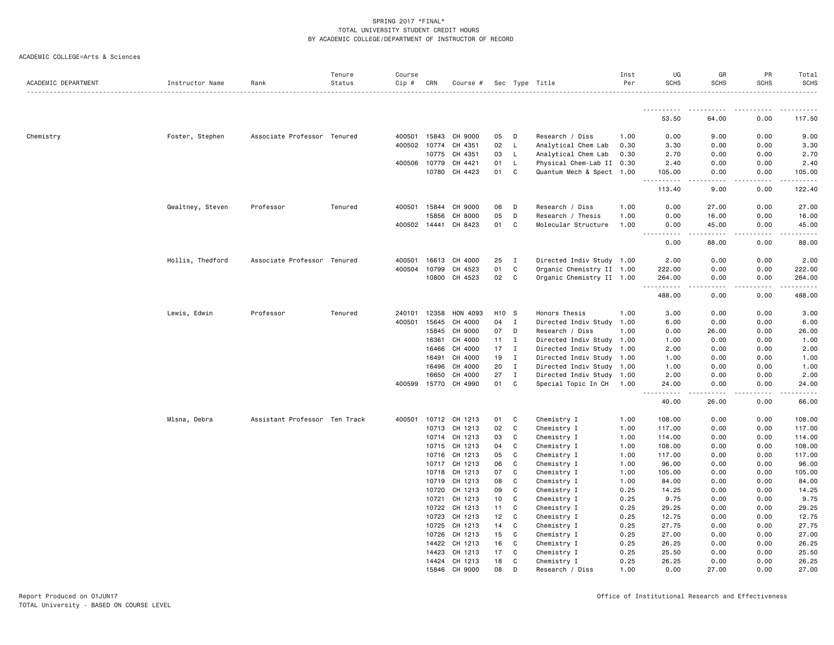|                     |                  |                               | Tenure  | Course       |       |                                 |          |                   |                                                       | Inst         | UG                                                                                                                                     | GR                                  | PR           | Total          |
|---------------------|------------------|-------------------------------|---------|--------------|-------|---------------------------------|----------|-------------------|-------------------------------------------------------|--------------|----------------------------------------------------------------------------------------------------------------------------------------|-------------------------------------|--------------|----------------|
| ACADEMIC DEPARTMENT | Instructor Name  | Rank                          | Status  | Cip #        | CRN   | Course #                        |          |                   | Sec Type Title                                        | Per          | <b>SCHS</b>                                                                                                                            | <b>SCHS</b>                         | <b>SCHS</b>  | <b>SCHS</b>    |
|                     |                  |                               |         |              |       |                                 |          |                   |                                                       |              | .                                                                                                                                      |                                     |              |                |
|                     |                  |                               |         |              |       |                                 |          |                   |                                                       |              | 53.50                                                                                                                                  | 64.00                               | 0.00         | 117.50         |
| Chemistry           | Foster, Stephen  | Associate Professor Tenured   |         | 400501 15843 |       | CH 9000                         | 05       | D                 | Research / Diss                                       | 1.00         | 0.00                                                                                                                                   | 9.00                                | 0.00         | 9.00           |
|                     |                  |                               |         | 400502 10774 |       | CH 4351                         | 02       | L                 | Analytical Chem Lab                                   | 0.30         | 3.30                                                                                                                                   | 0.00                                | 0.00         | 3.30           |
|                     |                  |                               |         |              | 10775 | CH 4351                         | 03       | L.                | Analytical Chem Lab                                   | 0.30         | 2.70                                                                                                                                   | 0.00                                | 0.00         | 2.70           |
|                     |                  |                               |         | 400506 10779 |       | CH 4421                         | 01       | L.                | Physical Chem-Lab II 0.30                             |              | 2.40                                                                                                                                   | 0.00                                | 0.00         | 2.40           |
|                     |                  |                               |         |              | 10780 | CH 4423                         | 01       | C                 | Quantum Mech & Spect 1.00                             |              | 105.00                                                                                                                                 | 0.00                                | 0.00         | 105.00         |
|                     |                  |                               |         |              |       |                                 |          |                   |                                                       |              | د د د د د د<br>$\sim$ $\sim$ $\sim$<br>113.40                                                                                          | $\sim$ $\sim$ $\sim$ $\sim$<br>9.00 | .<br>0.00    | .<br>122.40    |
|                     | Gwaltney, Steven | Professor                     | Tenured | 400501 15844 |       | CH 9000                         | 06       | D                 | Research / Diss                                       | 1.00         | 0.00                                                                                                                                   | 27.00                               | 0.00         | 27.00          |
|                     |                  |                               |         |              | 15856 | CH 8000                         | 05       | D                 | Research / Thesis                                     | 1.00         | 0.00                                                                                                                                   | 16.00                               | 0.00         | 16.00          |
|                     |                  |                               |         |              |       | 400502 14441 CH 8423            | 01       | C                 | Molecular Structure                                   | 1.00         | 0.00<br>.<br>$\frac{1}{2} \left( \frac{1}{2} \right) \left( \frac{1}{2} \right) \left( \frac{1}{2} \right) \left( \frac{1}{2} \right)$ | 45.00<br>$- - - - -$                | 0.00<br>.    | 45.00<br>.     |
|                     |                  |                               |         |              |       |                                 |          |                   |                                                       |              | 0.00                                                                                                                                   | 88.00                               | 0.00         | 88.00          |
|                     | Hollis, Thedford | Associate Professor Tenured   |         | 400501       | 16613 | CH 4000                         | 25       | $\mathbf I$       | Directed Indiv Study 1.00                             |              | 2.00                                                                                                                                   | 0.00                                | 0.00         | 2.00           |
|                     |                  |                               |         | 400504       | 10799 | CH 4523                         | 01       | C                 | Organic Chemistry II 1.00                             |              | 222.00                                                                                                                                 | 0.00                                | 0.00         | 222.00         |
|                     |                  |                               |         |              |       | 10800 CH 4523                   | 02       | C                 | Organic Chemistry II 1.00                             |              | 264.00<br>.                                                                                                                            | 0.00                                | 0.00<br>.    | 264.00<br>.    |
|                     |                  |                               |         |              |       |                                 |          |                   |                                                       |              | 488.00                                                                                                                                 | 0.00                                | 0.00         | 488.00         |
|                     | Lewis, Edwin     | Professor                     | Tenured | 240101       | 12358 | HON 4093                        | H10      | - S               | Honors Thesis                                         | 1.00         | 3.00                                                                                                                                   | 0.00                                | 0.00         | 3.00           |
|                     |                  |                               |         | 400501       | 15645 | CH 4000                         | 04       | $\mathbf{I}$      | Directed Indiv Study 1.00                             |              | 6.00                                                                                                                                   | 0.00                                | 0.00         | 6.00           |
|                     |                  |                               |         |              | 15845 | CH 9000                         | 07       | D                 | Research / Diss                                       | 1.00         | 0.00                                                                                                                                   | 26.00                               | 0.00         | 26.00          |
|                     |                  |                               |         |              | 16361 | CH 4000                         | 11       | $\mathbf{I}$      | Directed Indiv Study 1.00                             |              | 1.00                                                                                                                                   | 0.00                                | 0.00         | 1.00           |
|                     |                  |                               |         |              | 16466 | CH 4000                         | 17       | $\mathbf{I}$      | Directed Indiv Study 1.00                             |              | 2.00                                                                                                                                   | 0.00                                | 0.00         | 2.00           |
|                     |                  |                               |         |              | 16491 | CH 4000                         | 19       | $\mathbf{I}$      | Directed Indiv Study 1.00                             |              | 1.00                                                                                                                                   | 0.00                                | 0.00         | 1.00           |
|                     |                  |                               |         |              | 16496 | CH 4000                         | 20       | $\mathbf{I}$      | Directed Indiv Study 1.00                             |              | 1.00                                                                                                                                   | 0.00                                | 0.00         | 1.00           |
|                     |                  |                               |         |              | 16650 | CH 4000<br>400599 15770 CH 4990 | 27<br>01 | $\mathbf{I}$<br>C | Directed Indiv Study 1.00<br>Special Topic In CH 1.00 |              | 2.00<br>24.00                                                                                                                          | 0.00<br>0.00                        | 0.00<br>0.00 | 2.00<br>24.00  |
|                     |                  |                               |         |              |       |                                 |          |                   |                                                       |              | .<br>40.00                                                                                                                             | 26.00                               | 0.00         | 66.00          |
|                     | Mlsna, Debra     | Assistant Professor Ten Track |         | 400501       | 10712 | CH 1213                         | 01       | C                 | Chemistry I                                           | 1.00         | 108.00                                                                                                                                 | 0.00                                | 0.00         | 108.00         |
|                     |                  |                               |         |              |       | 10713 CH 1213                   | 02       | C                 | Chemistry I                                           | 1.00         | 117.00                                                                                                                                 | 0.00                                | 0.00         | 117.00         |
|                     |                  |                               |         |              | 10714 | CH 1213                         | 03       | C                 | Chemistry I                                           | 1.00         | 114.00                                                                                                                                 | 0.00                                | 0.00         | 114.00         |
|                     |                  |                               |         |              | 10715 | CH 1213                         | 04       | C                 | Chemistry I                                           | 1.00         | 108.00                                                                                                                                 | 0.00                                | 0.00         | 108.00         |
|                     |                  |                               |         |              | 10716 | CH 1213                         | 05       | C                 | Chemistry I                                           | 1.00         | 117.00                                                                                                                                 | 0.00                                | 0.00         | 117.00         |
|                     |                  |                               |         |              | 10717 | CH 1213                         | 06       | C                 | Chemistry I                                           | 1.00         | 96.00                                                                                                                                  | 0.00                                | 0.00         | 96.00          |
|                     |                  |                               |         |              |       | 10718 CH 1213                   | 07       | C                 | Chemistry I                                           | 1.00         | 105.00                                                                                                                                 | 0.00                                | 0.00         | 105.00         |
|                     |                  |                               |         |              | 10719 | CH 1213                         | 08       | C                 | Chemistry I                                           | 1.00         | 84.00                                                                                                                                  | 0.00                                | 0.00         | 84.00          |
|                     |                  |                               |         |              | 10720 | CH 1213                         | 09       | C                 | Chemistry I                                           | 0.25         | 14.25                                                                                                                                  | 0.00                                | 0.00         | 14.25          |
|                     |                  |                               |         |              | 10721 | CH 1213                         | 10       | C                 | Chemistry I                                           | 0.25         | 9.75                                                                                                                                   | 0.00                                | 0.00         | 9.75           |
|                     |                  |                               |         |              | 10722 | CH 1213                         | 11       | C                 | Chemistry I                                           | 0.25         | 29.25                                                                                                                                  | 0.00                                | 0.00         | 29.25          |
|                     |                  |                               |         |              | 10723 | CH 1213                         | 12       | C                 | Chemistry I                                           | 0.25         | 12.75                                                                                                                                  | 0.00                                | 0.00         | 12.75          |
|                     |                  |                               |         |              | 10725 | CH 1213                         | 14       | C                 | Chemistry I                                           | 0.25         | 27.75                                                                                                                                  | 0.00                                | 0.00         | 27.75          |
|                     |                  |                               |         |              | 10726 | CH 1213                         | 15       | C                 | Chemistry I                                           | 0.25         | 27.00                                                                                                                                  | 0.00                                | 0.00         | 27.00          |
|                     |                  |                               |         |              | 14422 | CH 1213                         | 16       | C                 | Chemistry I                                           | 0.25         | 26.25                                                                                                                                  | 0.00                                | 0.00         | 26.25          |
|                     |                  |                               |         |              | 14423 | CH 1213<br>14424 CH 1213        | 17<br>18 | C<br>C            | Chemistry I<br>Chemistry I                            | 0.25<br>0.25 | 25.50<br>26.25                                                                                                                         | 0.00<br>0.00                        | 0.00<br>0.00 | 25.50<br>26.25 |
|                     |                  |                               |         |              |       | 15846 CH 9000                   | 08       | n                 | Research / Diss                                       | 1.00         | 0.00                                                                                                                                   | 27.00                               | 0.00         | 27.00          |
|                     |                  |                               |         |              |       |                                 |          |                   |                                                       |              |                                                                                                                                        |                                     |              |                |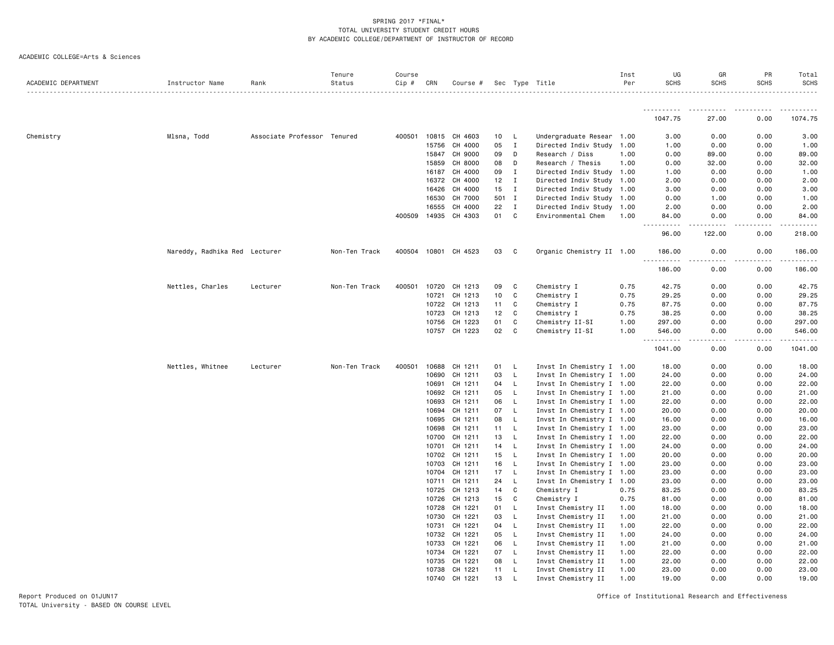ACADEMIC COLLEGE=Arts & Sciences

| ACADEMIC DEPARTMENT | Instructor Name               | Rank                        | Tenure<br>Status | Course<br>$Cip$ # | CRN            | Course #           |                 |                   | Sec Type Title                           | Inst<br>Per  | UG<br><b>SCHS</b>                                                                                                                                             | GR<br><b>SCHS</b> | <b>PR</b><br><b>SCHS</b> | Total<br><b>SCHS</b> |
|---------------------|-------------------------------|-----------------------------|------------------|-------------------|----------------|--------------------|-----------------|-------------------|------------------------------------------|--------------|---------------------------------------------------------------------------------------------------------------------------------------------------------------|-------------------|--------------------------|----------------------|
|                     |                               |                             |                  |                   |                |                    |                 |                   |                                          |              |                                                                                                                                                               |                   |                          |                      |
|                     |                               |                             |                  |                   |                |                    |                 |                   |                                          |              | -----------<br>1047.75                                                                                                                                        | 27.00             | 0.00                     | 1074.75              |
| Chemistry           | Mlsna, Todd                   | Associate Professor Tenured |                  | 400501            |                | 10815 CH 4603      | 10              | L,                | Undergraduate Resear 1.00                |              | 3.00                                                                                                                                                          | 0.00              | 0.00                     | 3.00                 |
|                     |                               |                             |                  |                   | 15756          | CH 4000            | 05              | $\mathbf{I}$      | Directed Indiv Study 1.00                |              | 1.00                                                                                                                                                          | 0.00              | 0.00                     | 1.00                 |
|                     |                               |                             |                  |                   | 15847          | CH 9000            | 09              | D                 | Research / Diss                          | 1.00         | 0.00                                                                                                                                                          | 89.00             | 0.00                     | 89.00                |
|                     |                               |                             |                  |                   | 15859          | CH 8000            | 08              | D                 | Research / Thesis                        | 1.00         | 0.00                                                                                                                                                          | 32.00             | 0.00                     | 32.00                |
|                     |                               |                             |                  |                   | 16187          | CH 4000            | 09              | Ι                 | Directed Indiv Study 1.00                |              | 1.00                                                                                                                                                          | 0.00              | 0.00                     | 1.00                 |
|                     |                               |                             |                  |                   | 16372          | CH 4000            | 12 <sub>2</sub> | I                 | Directed Indiv Study 1.00                |              | 2.00                                                                                                                                                          | 0.00              | 0.00                     | 2.00                 |
|                     |                               |                             |                  |                   | 16426          | CH 4000            | 15              | $\mathbf{I}$      | Directed Indiv Study 1.00                |              | 3.00                                                                                                                                                          | 0.00              | 0.00                     | 3.00                 |
|                     |                               |                             |                  |                   | 16530          | CH 7000            | 501             | $\mathbf{I}$      | Directed Indiv Study 1.00                |              | 0.00                                                                                                                                                          | 1.00              | 0.00                     | 1.00                 |
|                     |                               |                             |                  |                   | 16555          | CH 4000            | 22              | $\mathbf{I}$      | Directed Indiv Study 1.00                |              | 2.00                                                                                                                                                          | 0.00              | 0.00                     | 2.00                 |
|                     |                               |                             |                  | 400509            |                | 14935 CH 4303      | 01              | C                 | Environmental Chem                       | 1.00         | 84.00<br>$\frac{1}{2} \left( \frac{1}{2} \right) \left( \frac{1}{2} \right) \left( \frac{1}{2} \right) \left( \frac{1}{2} \right) \left( \frac{1}{2} \right)$ | 0.00<br>-----     | 0.00<br>.                | 84.00<br>.           |
|                     |                               |                             |                  |                   |                |                    |                 |                   |                                          |              | 96.00                                                                                                                                                         | 122.00            | 0.00                     | 218.00               |
|                     | Nareddy, Radhika Red Lecturer |                             | Non-Ten Track    | 400504            |                | 10801 CH 4523      | 03              | C                 | Organic Chemistry II 1.00                |              | 186.00<br>.                                                                                                                                                   | 0.00<br>.         | 0.00<br>.                | 186.00<br><u>.</u>   |
|                     |                               |                             |                  |                   |                |                    |                 |                   |                                          |              | 186.00                                                                                                                                                        | 0.00              | 0.00                     | 186.00               |
|                     | Nettles, Charles              | Lecturer                    | Non-Ten Track    | 400501            | 10720          | CH 1213            | 09              | C                 | Chemistry I                              | 0.75         | 42.75                                                                                                                                                         | 0.00              | 0.00                     | 42.75                |
|                     |                               |                             |                  |                   | 10721          | CH 1213            | 10              | C                 | Chemistry I                              | 0.75         | 29.25                                                                                                                                                         | 0.00              | 0.00                     | 29.25                |
|                     |                               |                             |                  |                   | 10722          | CH 1213            | 11              | C                 | Chemistry I                              | 0.75         | 87.75                                                                                                                                                         | 0.00              | 0.00                     | 87.75                |
|                     |                               |                             |                  |                   | 10723          | CH 1213            | 12              | C                 | Chemistry I                              | 0.75         | 38.25                                                                                                                                                         | 0.00              | 0.00                     | 38.25                |
|                     |                               |                             |                  |                   |                | 10756 CH 1223      | 01              | C                 | Chemistry II-SI                          | 1.00         | 297.00                                                                                                                                                        | 0.00              | 0.00                     | 297.00               |
|                     |                               |                             |                  |                   |                | 10757 CH 1223      | 02              | C                 | Chemistry II-SI                          | 1.00         | 546.00<br><u>.</u>                                                                                                                                            | 0.00<br>-----     | 0.00<br>.                | 546.00<br>.          |
|                     |                               |                             |                  |                   |                |                    |                 |                   |                                          |              | 1041.00                                                                                                                                                       | 0.00              | 0.00                     | 1041.00              |
|                     | Nettles, Whitnee              | Lecturer                    | Non-Ten Track    | 400501            |                | 10688 CH 1211      | 01              | L.                | Invst In Chemistry I 1.00                |              | 18.00                                                                                                                                                         | 0.00              | 0.00                     | 18.00                |
|                     |                               |                             |                  |                   | 10690          | CH 1211            | 03              | L.                | Invst In Chemistry I 1.00                |              | 24.00                                                                                                                                                         | 0.00              | 0.00                     | 24.00                |
|                     |                               |                             |                  |                   | 10691          | CH 1211            | 04              | L.                | Invst In Chemistry I 1.00                |              | 22.00                                                                                                                                                         | 0.00              | 0.00                     | 22.00                |
|                     |                               |                             |                  |                   | 10692          | CH 1211            | 05              | L                 | Invst In Chemistry I 1.00                |              | 21.00                                                                                                                                                         | 0.00              | 0.00                     | 21.00                |
|                     |                               |                             |                  |                   | 10693          | CH 1211            | 06              | L.                | Invst In Chemistry I 1.00                |              | 22.00                                                                                                                                                         | 0.00              | 0.00                     | 22.00                |
|                     |                               |                             |                  |                   | 10694          | CH 1211            | 07              | L.                | Invst In Chemistry I 1.00                |              | 20.00                                                                                                                                                         | 0.00              | 0.00                     | 20.00                |
|                     |                               |                             |                  |                   | 10695          | CH 1211            | 08              | L                 | Invst In Chemistry I 1.00                |              | 16.00                                                                                                                                                         | 0.00              | 0.00                     | 16.00                |
|                     |                               |                             |                  |                   | 10698          | CH 1211            | 11              | L                 | Invst In Chemistry I 1.00                |              | 23.00                                                                                                                                                         | 0.00              | 0.00                     | 23.00                |
|                     |                               |                             |                  |                   | 10700          | CH 1211            | 13              | L.                | Invst In Chemistry I 1.00                |              | 22.00                                                                                                                                                         | 0.00              | 0.00                     | 22.00                |
|                     |                               |                             |                  |                   | 10701          | CH 1211            | 14              | L.                | Invst In Chemistry I 1.00                |              | 24.00                                                                                                                                                         | 0.00              | 0.00                     | 24.00                |
|                     |                               |                             |                  |                   | 10702          | CH 1211            | 15              | $\mathsf{L}$      | Invst In Chemistry I 1.00                |              | 20.00                                                                                                                                                         | 0.00              | 0.00                     | 20.00                |
|                     |                               |                             |                  |                   | 10703          | CH 1211            | 16              | $\mathsf{L}$      | Invst In Chemistry I 1.00                |              | 23.00                                                                                                                                                         | 0.00              | 0.00                     | 23.00                |
|                     |                               |                             |                  |                   | 10704          | CH 1211            | 17              | L.                | Invst In Chemistry I 1.00                |              | 23.00                                                                                                                                                         | 0.00              | 0.00                     | 23.00                |
|                     |                               |                             |                  |                   | 10711<br>10725 | CH 1211<br>CH 1213 | 24<br>14        | L<br>$\mathtt{C}$ | Invst In Chemistry I 1.00<br>Chemistry I |              | 23.00                                                                                                                                                         | 0.00<br>0.00      | 0.00<br>0.00             | 23.00<br>83.25       |
|                     |                               |                             |                  |                   | 10726          | CH 1213            | 15              | C                 | Chemistry I                              | 0.75<br>0.75 | 83.25<br>81.00                                                                                                                                                | 0.00              | 0.00                     | 81.00                |
|                     |                               |                             |                  |                   | 10728          | CH 1221            | 01              | L.                | Invst Chemistry II                       | 1.00         | 18.00                                                                                                                                                         | 0.00              | 0.00                     | 18.00                |
|                     |                               |                             |                  |                   | 10730          | CH 1221            | 03              | L                 | Invst Chemistry II                       | 1.00         | 21.00                                                                                                                                                         | 0.00              | 0.00                     | 21.00                |
|                     |                               |                             |                  |                   | 10731          | CH 1221            | 04              | L.                | Invst Chemistry II                       | 1.00         | 22.00                                                                                                                                                         | 0.00              | 0.00                     | 22.00                |
|                     |                               |                             |                  |                   | 10732          | CH 1221            | 05              | L                 | Invst Chemistry II                       | 1.00         | 24.00                                                                                                                                                         | 0.00              | 0.00                     | 24.00                |
|                     |                               |                             |                  |                   | 10733          | CH 1221            | 06              | L                 | Invst Chemistry II                       | 1.00         | 21.00                                                                                                                                                         | 0.00              | 0.00                     | 21.00                |
|                     |                               |                             |                  |                   | 10734          | CH 1221            | 07              | L                 | Invst Chemistry II                       | 1.00         | 22.00                                                                                                                                                         | 0.00              | 0.00                     | 22.00                |
|                     |                               |                             |                  |                   | 10735          | CH 1221            | 08              | L                 | Invst Chemistry II                       | 1.00         | 22.00                                                                                                                                                         | 0.00              | 0.00                     | 22.00                |
|                     |                               |                             |                  |                   | 10738          | CH 1221            | 11              | L.                | Invst Chemistry II                       | 1.00         | 23,00                                                                                                                                                         | 0.00              | 0.00                     | 23.00                |
|                     |                               |                             |                  |                   | 10740          | CH 1221            | 13              | L                 | Invst Chemistry II                       | 1.00         | 19,00                                                                                                                                                         | 0.00              | 0.00                     | 19.00                |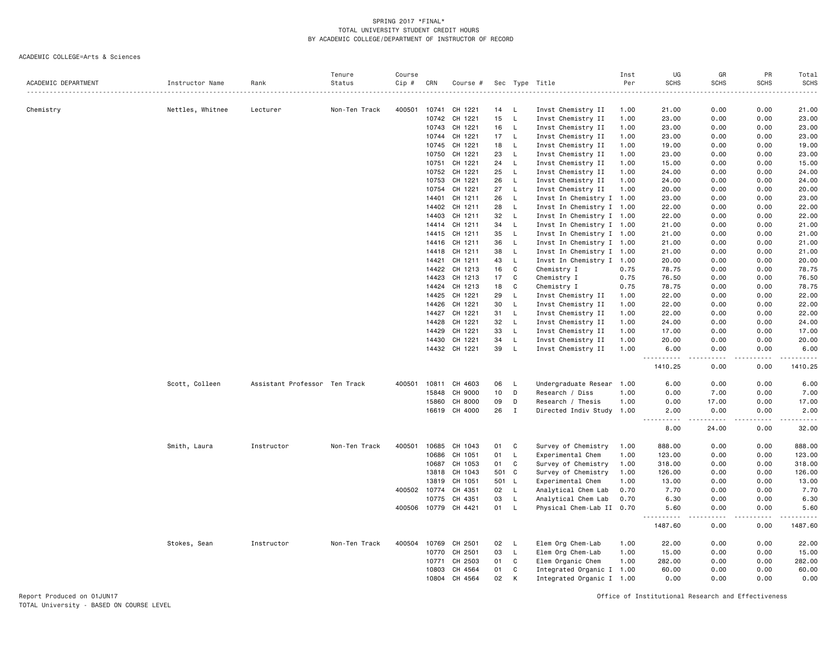#### ACADEMIC COLLEGE=Arts & Sciences

|                     |                  |                               | Tenure        | Course |                |                    |     |              |                           | Inst         | UG                    | GR                                                                                                                                                            | PR              | Total                                       |
|---------------------|------------------|-------------------------------|---------------|--------|----------------|--------------------|-----|--------------|---------------------------|--------------|-----------------------|---------------------------------------------------------------------------------------------------------------------------------------------------------------|-----------------|---------------------------------------------|
| ACADEMIC DEPARTMENT | Instructor Name  | Rank                          | Status        | Cip #  | CRN            | Course #           |     |              | Sec Type Title            | Per          | <b>SCHS</b>           | <b>SCHS</b>                                                                                                                                                   | <b>SCHS</b>     | <b>SCHS</b><br>.                            |
|                     |                  |                               |               |        |                |                    |     |              |                           |              |                       |                                                                                                                                                               |                 |                                             |
| Chemistry           | Nettles, Whitnee | Lecturer                      | Non-Ten Track | 400501 | 10741          | CH 1221            | 14  | - L          | Invst Chemistry II        | 1.00         | 21.00                 | 0.00                                                                                                                                                          | 0.00            | 21.00                                       |
|                     |                  |                               |               |        | 10742          | CH 1221            | 15  | L,           | Invst Chemistry II        | 1.00         | 23.00                 | 0.00                                                                                                                                                          | 0.00            | 23.00                                       |
|                     |                  |                               |               |        | 10743          | CH 1221            | 16  | L            | Invst Chemistry II        | 1.00         | 23.00                 | 0.00                                                                                                                                                          | 0.00            | 23.00                                       |
|                     |                  |                               |               |        | 10744          | CH 1221            | 17  | L            | Invst Chemistry II        | 1.00         | 23.00                 | 0.00                                                                                                                                                          | 0.00            | 23.00                                       |
|                     |                  |                               |               |        | 10745          | CH 1221            | 18  | L            | Invst Chemistry II        | 1.00         | 19.00                 | 0.00                                                                                                                                                          | 0.00            | 19.00                                       |
|                     |                  |                               |               |        | 10750          | CH 1221            | 23  | L,           | Invst Chemistry II        | 1.00         | 23.00                 | 0.00                                                                                                                                                          | 0.00            | 23.00                                       |
|                     |                  |                               |               |        | 10751          | CH 1221            | 24  | L            | Invst Chemistry II        | 1.00         | 15.00                 | 0.00                                                                                                                                                          | 0.00            | 15.00                                       |
|                     |                  |                               |               |        | 10752          | CH 1221            | 25  | L.           | Invst Chemistry II        | 1.00         | 24.00                 | 0.00                                                                                                                                                          | 0.00            | 24.00                                       |
|                     |                  |                               |               |        | 10753          | CH 1221            | 26  | L            | Invst Chemistry II        | 1.00         | 24.00                 | 0.00                                                                                                                                                          | 0.00            | 24.00                                       |
|                     |                  |                               |               |        | 10754          | CH 1221            | 27  | L            | Invst Chemistry II        | 1.00         | 20.00                 | 0.00                                                                                                                                                          | 0.00            | 20.00                                       |
|                     |                  |                               |               |        | 14401          | CH 1211            | 26  | L            | Invst In Chemistry I 1.00 |              | 23.00                 | 0.00                                                                                                                                                          | 0.00            | 23.00                                       |
|                     |                  |                               |               |        | 14402          | CH 1211            | 28  | L            | Invst In Chemistry I 1.00 |              | 22.00                 | 0.00                                                                                                                                                          | 0.00            | 22.00                                       |
|                     |                  |                               |               |        | 14403          | CH 1211            | 32  | L            | Invst In Chemistry I 1.00 |              | 22.00                 | 0.00                                                                                                                                                          | 0.00            | 22.00                                       |
|                     |                  |                               |               |        | 14414          | CH 1211            | 34  | L.           | Invst In Chemistry I 1.00 |              | 21.00                 | 0.00                                                                                                                                                          | 0.00            | 21.00                                       |
|                     |                  |                               |               |        | 14415          | CH 1211            | 35  | L            | Invst In Chemistry I 1.00 |              | 21.00                 | 0.00                                                                                                                                                          | 0.00            | 21.00                                       |
|                     |                  |                               |               |        | 14416          | CH 1211            | 36  | L            | Invst In Chemistry I 1.00 |              | 21.00                 | 0.00                                                                                                                                                          | 0.00            | 21.00                                       |
|                     |                  |                               |               |        | 14418          | CH 1211            | 38  | L.           | Invst In Chemistry I 1.00 |              | 21.00                 | 0.00                                                                                                                                                          | 0.00            | 21.00                                       |
|                     |                  |                               |               |        | 14421          | CH 1211            | 43  | L.           | Invst In Chemistry I 1.00 |              | 20.00                 | 0.00                                                                                                                                                          | 0.00            | 20.00                                       |
|                     |                  |                               |               |        | 14422          | CH 1213            | 16  | $\mathtt{C}$ | Chemistry I               | 0.75         | 78.75                 | 0.00                                                                                                                                                          | 0.00            | 78.75                                       |
|                     |                  |                               |               |        | 14423          | CH 1213            | 17  | C            | Chemistry I               | 0.75         | 76.50                 | 0.00                                                                                                                                                          | 0.00            | 76.50                                       |
|                     |                  |                               |               |        |                |                    |     |              |                           |              |                       |                                                                                                                                                               |                 |                                             |
|                     |                  |                               |               |        | 14424          | CH 1213            | 18  | C            | Chemistry I               | 0.75         | 78.75                 | 0.00                                                                                                                                                          | 0.00            | 78.75                                       |
|                     |                  |                               |               |        | 14425          | CH 1221            | 29  | L            | Invst Chemistry II        | 1.00         | 22.00                 | 0.00                                                                                                                                                          | 0.00            | 22.00                                       |
|                     |                  |                               |               |        | 14426          | CH 1221            | 30  | L            | Invst Chemistry II        | 1.00         | 22.00                 | 0.00                                                                                                                                                          | 0.00            | 22.00                                       |
|                     |                  |                               |               |        | 14427          | CH 1221            | 31  | L            | Invst Chemistry II        | 1.00         | 22.00                 | 0.00                                                                                                                                                          | 0.00            | 22.00                                       |
|                     |                  |                               |               |        | 14428          | CH 1221            | 32  | L            | Invst Chemistry II        | 1.00         | 24.00                 | 0.00                                                                                                                                                          | 0.00            | 24.00                                       |
|                     |                  |                               |               |        | 14429          | CH 1221            | 33  | L            | Invst Chemistry II        | 1.00         | 17.00                 | 0.00                                                                                                                                                          | 0.00            | 17.00                                       |
|                     |                  |                               |               |        | 14430          | CH 1221            | 34  | L,           | Invst Chemistry II        | 1.00         | 20.00                 | 0.00                                                                                                                                                          | 0.00            | 20.00                                       |
|                     |                  |                               |               |        |                | 14432 CH 1221      | 39  | <b>L</b>     | Invst Chemistry II        | 1.00         | 6.00<br>----------    | 0.00<br>د د د د                                                                                                                                               | 0.00<br>.       | 6.00<br>.                                   |
|                     |                  |                               |               |        |                |                    |     |              |                           |              | 1410.25               | 0.00                                                                                                                                                          | 0.00            | 1410.25                                     |
|                     | Scott, Colleen   | Assistant Professor Ten Track |               | 400501 | 10811          | CH 4603            | 06  | L            | Undergraduate Resear 1.00 |              | 6.00                  | 0.00                                                                                                                                                          | 0.00            | 6.00                                        |
|                     |                  |                               |               |        | 15848          | CH 9000            | 10  | D            | Research / Diss           | 1.00         | 0.00                  | 7.00                                                                                                                                                          | 0.00            | 7.00                                        |
|                     |                  |                               |               |        | 15860          | CH 8000            | 09  | D            | Research / Thesis         | 1.00         | 0.00                  | 17.00                                                                                                                                                         | 0.00            | 17.00                                       |
|                     |                  |                               |               |        | 16619          | CH 4000            | 26  | $\mathbf I$  | Directed Indiv Study 1.00 |              | 2.00                  | 0.00                                                                                                                                                          | 0.00            | 2.00                                        |
|                     |                  |                               |               |        |                |                    |     |              |                           |              | 8.00                  | $\frac{1}{2} \left( \frac{1}{2} \right) \left( \frac{1}{2} \right) \left( \frac{1}{2} \right) \left( \frac{1}{2} \right) \left( \frac{1}{2} \right)$<br>24.00 | د د د د<br>0.00 | $\sim$ $\sim$ $\sim$ $\sim$ $\sim$<br>32.00 |
|                     | Smith, Laura     | Instructor                    | Non-Ten Track | 400501 | 10685          | CH 1043            | 01  | C            | Survey of Chemistry       | 1.00         | 888.00                | 0.00                                                                                                                                                          | 0.00            | 888.00                                      |
|                     |                  |                               |               |        | 10686          | CH 1051            | 01  | L.           | Experimental Chem         | 1.00         | 123.00                | 0.00                                                                                                                                                          | 0.00            | 123.00                                      |
|                     |                  |                               |               |        | 10687          | CH 1053            | 01  | C            | Survey of Chemistry       | 1.00         | 318.00                | 0.00                                                                                                                                                          | 0.00            | 318.00                                      |
|                     |                  |                               |               |        | 13818          | CH 1043            | 501 | C            | Survey of Chemistry       | 1.00         | 126.00                | 0.00                                                                                                                                                          | 0.00            | 126.00                                      |
|                     |                  |                               |               |        | 13819          | CH 1051            | 501 | - L          | Experimental Chem         | 1.00         | 13.00                 | 0.00                                                                                                                                                          | 0.00            | 13.00                                       |
|                     |                  |                               |               |        | 400502 10774   | CH 4351            | 02  | L            | Analytical Chem Lab       | 0.70         | 7.70                  | 0.00                                                                                                                                                          | 0.00            | 7.70                                        |
|                     |                  |                               |               |        | 10775          | CH 4351            | 03  | L            | Analytical Chem Lab       | 0.70         | 6.30                  | 0.00                                                                                                                                                          | 0.00            | 6.30                                        |
|                     |                  |                               |               | 400506 | 10779          | CH 4421            | 01  | L            | Physical Chem-Lab II 0.70 |              | 5.60                  | 0.00                                                                                                                                                          | 0.00            | 5.60                                        |
|                     |                  |                               |               |        |                |                    |     |              |                           |              | ----------<br>1487.60 | $- - - -$<br>0.00                                                                                                                                             | د د د د<br>0.00 | .<br>1487.60                                |
|                     |                  | Instructor                    | Non-Ten Track | 400504 | 10769          | CH 2501            | 02  | -L           | Elem Org Chem-Lab         | 1.00         | 22.00                 | 0.00                                                                                                                                                          | 0.00            | 22.00                                       |
|                     | Stokes, Sean     |                               |               |        |                |                    | 03  |              |                           |              |                       |                                                                                                                                                               |                 |                                             |
|                     |                  |                               |               |        | 10770<br>10771 | CH 2501<br>CH 2503 | 01  | L,<br>C      | Elem Org Chem-Lab         | 1.00<br>1.00 | 15.00<br>282.00       | 0.00<br>0.00                                                                                                                                                  | 0.00<br>0.00    | 15.00<br>282.00                             |
|                     |                  |                               |               |        |                |                    |     |              | Elem Organic Chem         |              |                       |                                                                                                                                                               |                 |                                             |
|                     |                  |                               |               |        | 10803          | CH 4564            | 01  | C            | Integrated Organic I 1.00 |              | 60.00                 | 0.00                                                                                                                                                          | 0.00            | 60.00                                       |
|                     |                  |                               |               |        | 10804          | CH 4564            | 02  | K            | Integrated Organic I 1.00 |              | 0.00                  | 0.00                                                                                                                                                          | 0.00            | 0.00                                        |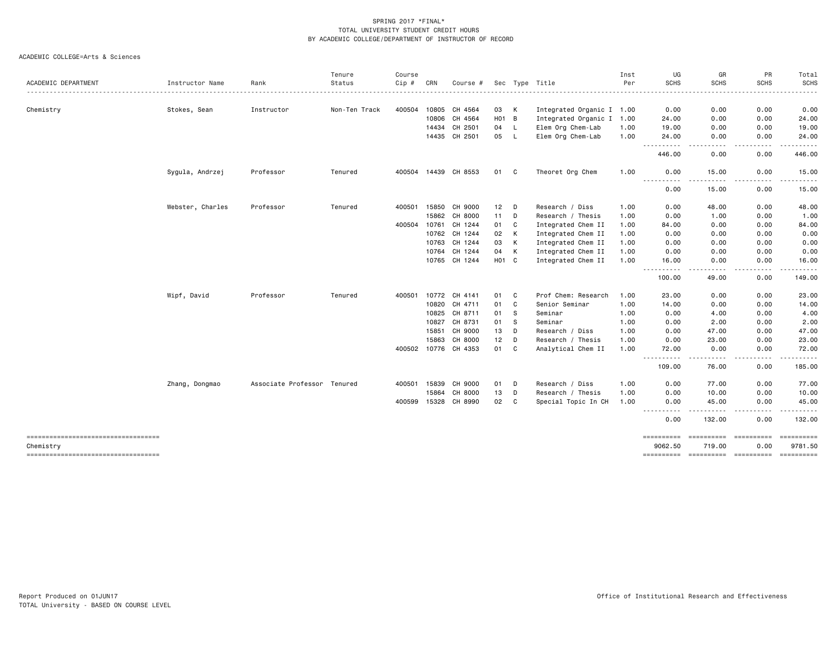|                                                     |                  |                             | Tenure        | Course |                |                      |                   |        |                                                | Inst         | UG                                                                                                                                                  | GR                              | PR            | Total                 |
|-----------------------------------------------------|------------------|-----------------------------|---------------|--------|----------------|----------------------|-------------------|--------|------------------------------------------------|--------------|-----------------------------------------------------------------------------------------------------------------------------------------------------|---------------------------------|---------------|-----------------------|
| ACADEMIC DEPARTMENT                                 | Instructor Name  | Rank                        | Status        | Cip #  | CRN            | Course #             |                   |        | Sec Type Title                                 | Per          | <b>SCHS</b>                                                                                                                                         | <b>SCHS</b>                     | <b>SCHS</b>   | <b>SCHS</b><br>.      |
|                                                     |                  |                             |               |        |                |                      |                   |        |                                                |              |                                                                                                                                                     |                                 |               |                       |
| Chemistry                                           | Stokes, Sean     | Instructor                  | Non-Ten Track | 400504 | 10805<br>10806 | CH 4564<br>CH 4564   | 03<br>$H01$ B     | K      | Integrated Organic I 1.00                      |              | 0.00<br>24.00                                                                                                                                       | 0.00<br>0.00                    | 0.00<br>0.00  | 0.00<br>24.00         |
|                                                     |                  |                             |               |        | 14434          | CH 2501              | 04                | L.     | Integrated Organic I 1.00<br>Elem Org Chem-Lab |              | 19.00                                                                                                                                               | 0.00                            | 0.00          | 19.00                 |
|                                                     |                  |                             |               |        |                | 14435 CH 2501        | 05                | - L    | Elem Org Chem-Lab                              | 1.00<br>1.00 | 24.00                                                                                                                                               | 0.00                            | 0.00          | 24.00                 |
|                                                     |                  |                             |               |        |                |                      |                   |        |                                                |              | ----------                                                                                                                                          | .<br>$\cdots$                   | -----         | . <u>.</u> .          |
|                                                     |                  |                             |               |        |                |                      |                   |        |                                                |              | 446.00                                                                                                                                              | 0.00                            | 0.00          | 446.00                |
|                                                     | Sygula, Andrzej  | Professor                   | Tenured       |        |                | 400504 14439 CH 8553 | 01 C              |        | Theoret Org Chem                               | 1.00         | 0.00<br>$\frac{1}{2}$<br>.                                                                                                                          | 15.00                           | 0.00          | 15.00<br>.            |
|                                                     |                  |                             |               |        |                |                      |                   |        |                                                |              | 0.00                                                                                                                                                | 15.00                           | 0.00          | 15.00                 |
|                                                     | Webster, Charles | Professor                   | Tenured       |        | 400501 15850   | CH 9000              | 12                | $\Box$ | Research / Diss                                | 1.00         | 0.00                                                                                                                                                | 48.00                           | 0.00          | 48.00                 |
|                                                     |                  |                             |               |        | 15862          | CH 8000              | 11                | D      | Research / Thesis                              | 1.00         | 0.00                                                                                                                                                | 1.00                            | 0.00          | 1.00                  |
|                                                     |                  |                             |               |        | 400504 10761   | CH 1244              | 01                | C      | Integrated Chem II                             | 1.00         | 84.00                                                                                                                                               | 0.00                            | 0.00          | 84.00                 |
|                                                     |                  |                             |               |        | 10762          | CH 1244              | 02                | K      | Integrated Chem II                             | 1.00         | 0.00                                                                                                                                                | 0.00                            | 0.00          | 0.00                  |
|                                                     |                  |                             |               |        | 10763          | CH 1244              | 03                | K      | Integrated Chem II                             | 1.00         | 0.00                                                                                                                                                | 0.00                            | 0.00          | 0.00                  |
|                                                     |                  |                             |               |        | 10764          | CH 1244              | 04                | K      | Integrated Chem II                             | 1.00         | 0.00                                                                                                                                                | 0.00                            | 0.00          | 0.00                  |
|                                                     |                  |                             |               |        | 10765          | CH 1244              | H <sub>01</sub> C |        | Integrated Chem II                             | 1.00         | 16.00<br>$\frac{1}{2}$<br>$\frac{1}{2} \left( \frac{1}{2} \right) \left( \frac{1}{2} \right) \left( \frac{1}{2} \right) \left( \frac{1}{2} \right)$ | 0.00                            | 0.00<br>----  | 16.00                 |
|                                                     |                  |                             |               |        |                |                      |                   |        |                                                |              | 100.00                                                                                                                                              | 49.00                           | 0.00          | 149.00                |
|                                                     | Wipf, David      | Professor                   | Tenured       | 400501 | 10772          | CH 4141              | 01                | C      | Prof Chem: Research                            | 1.00         | 23.00                                                                                                                                               | 0.00                            | 0.00          | 23.00                 |
|                                                     |                  |                             |               |        | 10820          | CH 4711              | 01                | C      | Senior Seminar                                 | 1.00         | 14.00                                                                                                                                               | 0.00                            | 0.00          | 14.00                 |
|                                                     |                  |                             |               |        | 10825          | CH 8711              | 01                | -S     | Seminar                                        | 1.00         | 0.00                                                                                                                                                | 4.00                            | 0.00          | 4.00                  |
|                                                     |                  |                             |               |        | 10827          | CH 8731              | 01                | -S     | Seminar                                        | 1.00         | 0.00                                                                                                                                                | 2.00                            | 0.00          | 2.00                  |
|                                                     |                  |                             |               |        | 15851          | CH 9000              | 13                | D      | Research / Diss                                | 1.00         | 0.00                                                                                                                                                | 47.00                           | 0.00          | 47.00                 |
|                                                     |                  |                             |               |        | 15863          | CH 8000              | 12                | D      | Research / Thesis                              | 1.00         | 0.00                                                                                                                                                | 23.00                           | 0.00          | 23.00                 |
|                                                     |                  |                             |               |        | 400502 10776   | CH 4353              | 01                | C      | Analytical Chem II                             | 1.00         | 72.00<br>----------                                                                                                                                 | 0.00                            | 0.00<br>----- | 72.00<br>.            |
|                                                     |                  |                             |               |        |                |                      |                   |        |                                                |              | 109.00                                                                                                                                              | 76.00                           | 0.00          | 185.00                |
|                                                     | Zhang, Dongmao   | Associate Professor Tenured |               |        | 400501 15839   | CH 9000              | 01                | D      | Research / Diss                                | 1.00         | 0.00                                                                                                                                                | 77.00                           | 0.00          | 77.00                 |
|                                                     |                  |                             |               |        | 15864          | CH 8000              | 13                | D      | Research / Thesis                              | 1.00         | 0.00                                                                                                                                                | 10.00                           | 0.00          | 10.00                 |
|                                                     |                  |                             |               |        | 400599 15328   | CH 8990              | 02                | C      | Special Topic In CH                            | 1.00         | 0.00<br>----------                                                                                                                                  | 45.00                           | 0.00<br>----- | 45.00<br>. <u>.</u> . |
|                                                     |                  |                             |               |        |                |                      |                   |        |                                                |              | 0.00                                                                                                                                                | 132.00                          | 0.00          | 132.00                |
| ======================================<br>Chemistry |                  |                             |               |        |                |                      |                   |        |                                                |              | ==========<br>9062.50                                                                                                                               | =====================<br>719,00 | 0.00          | ==========<br>9781.50 |
| ----------------------------------                  |                  |                             |               |        |                |                      |                   |        |                                                |              | ==========                                                                                                                                          | ----------- ----------          |               | ==========            |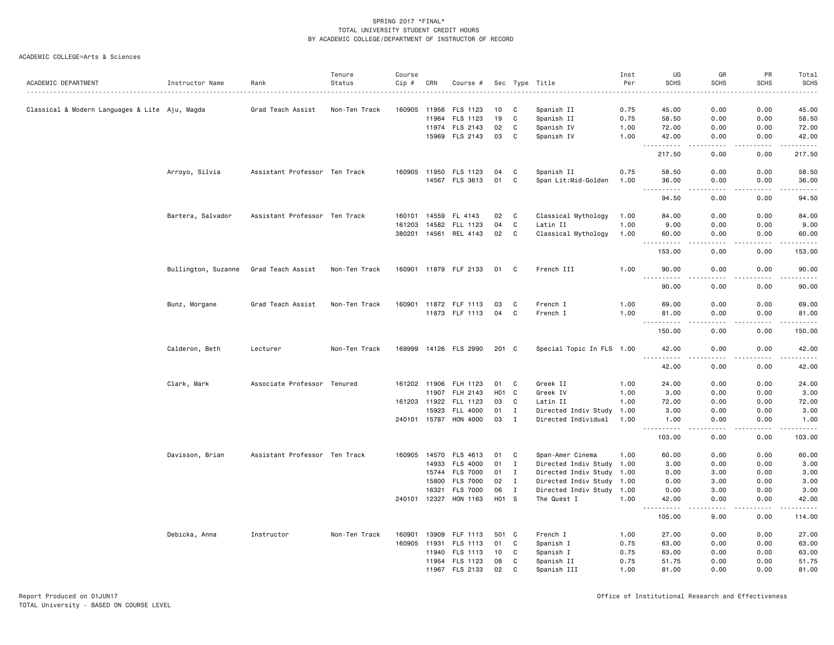|                                                |                     |                               | Tenure        | Course       |       |                       |                    |              |                           | Inst | UG                                 | GR                                                                                                                                | PR            | Total       |
|------------------------------------------------|---------------------|-------------------------------|---------------|--------------|-------|-----------------------|--------------------|--------------|---------------------------|------|------------------------------------|-----------------------------------------------------------------------------------------------------------------------------------|---------------|-------------|
| ACADEMIC DEPARTMENT                            | Instructor Name     | Rank                          | Status        | Cip #        | CRN   | Course #              |                    |              | Sec Type Title            | Per  | <b>SCHS</b>                        | <b>SCHS</b>                                                                                                                       | <b>SCHS</b>   | <b>SCHS</b> |
|                                                |                     |                               |               |              |       |                       |                    |              |                           | .    |                                    |                                                                                                                                   |               | .           |
| Classical & Modern Languages & Lite Aju, Magda |                     | Grad Teach Assist             | Non-Ten Track | 160905 11956 |       | FLS 1123              | 10                 | C            | Spanish II                | 0.75 | 45.00                              | 0.00                                                                                                                              | 0.00          | 45.00       |
|                                                |                     |                               |               |              | 11964 | FLS 1123              | 19                 | C            | Spanish II                | 0.75 | 58.50                              | 0.00                                                                                                                              | 0.00          | 58.50       |
|                                                |                     |                               |               |              |       | 11974 FLS 2143        | 02                 | C            | Spanish IV                | 1.00 | 72.00                              | 0.00                                                                                                                              | 0.00          | 72.00       |
|                                                |                     |                               |               |              |       | 15969 FLS 2143        | 03                 | C            | Spanish IV                | 1.00 | 42.00<br>$\sim$ $\sim$ $\sim$<br>. | 0.00<br>$\frac{1}{2}$                                                                                                             | 0.00<br>.     | 42.00<br>.  |
|                                                |                     |                               |               |              |       |                       |                    |              |                           |      | 217.50                             | 0.00                                                                                                                              | 0.00          | 217.50      |
|                                                | Arroyo, Silvia      | Assistant Professor Ten Track |               |              |       | 160905 11950 FLS 1123 | 04                 | C            | Spanish II                | 0.75 | 58.50                              | 0.00                                                                                                                              | 0.00          | 58.50       |
|                                                |                     |                               |               |              |       | 14567 FLS 3613        | 01                 | C            | Span Lit:Mid-Golden       | 1.00 | 36.00<br>----------                | 0.00<br>.                                                                                                                         | 0.00<br>.     | 36.00<br>.  |
|                                                |                     |                               |               |              |       |                       |                    |              |                           |      | 94.50                              | 0.00                                                                                                                              | 0.00          | 94.50       |
|                                                | Bartera, Salvador   | Assistant Professor Ten Track |               | 160101       | 14559 | FL 4143               | 02                 | C            | Classical Mythology       | 1.00 | 84.00                              | 0.00                                                                                                                              | 0.00          | 84.00       |
|                                                |                     |                               |               | 161203       |       | 14582 FLL 1123        | 04                 | C            | Latin II                  | 1.00 | 9.00                               | 0.00                                                                                                                              | 0.00          | 9.00        |
|                                                |                     |                               |               |              |       | 380201 14561 REL 4143 | 02                 | $\mathbf{C}$ | Classical Mythology       | 1.00 | 60.00                              | 0.00                                                                                                                              | 0.00          | 60.00       |
|                                                |                     |                               |               |              |       |                       |                    |              |                           |      | . <u>.</u><br>153.00               | .<br>0.00                                                                                                                         | -----<br>0.00 | .<br>153.00 |
|                                                | Bullington, Suzanne | Grad Teach Assist             | Non-Ten Track |              |       | 160901 11879 FLF 2133 | 01                 | - C          | French III                | 1.00 | 90.00                              | 0.00                                                                                                                              | 0.00          | 90.00       |
|                                                |                     |                               |               |              |       |                       |                    |              |                           |      | .<br>90.00                         | $\frac{1}{2} \left( \frac{1}{2} \right) \left( \frac{1}{2} \right) \left( \frac{1}{2} \right) \left( \frac{1}{2} \right)$<br>0.00 | .<br>0.00     | .<br>90.00  |
|                                                | Bunz, Morgane       | Grad Teach Assist             | Non-Ten Track |              |       | 160901 11872 FLF 1113 | 03                 | C            | French I                  | 1.00 | 69.00                              | 0.00                                                                                                                              | 0.00          | 69.00       |
|                                                |                     |                               |               |              |       | 11873 FLF 1113        | 04                 | C            | French I                  | 1.00 | 81.00                              | 0.00                                                                                                                              | 0.00          | 81.00       |
|                                                |                     |                               |               |              |       |                       |                    |              |                           |      | .<br>150.00                        | - - - -<br>0.00                                                                                                                   | 0.00          | .<br>150.00 |
|                                                | Calderon, Beth      | Lecturer                      | Non-Ten Track |              |       | 169999 14126 FLS 2990 | 201 C              |              | Special Topic In FLS 1.00 |      | 42.00                              | 0.00                                                                                                                              | 0.00          | 42.00       |
|                                                |                     |                               |               |              |       |                       |                    |              |                           |      | $- - -$<br>42.00                   | $\sim$ $\sim$ $\sim$ $\sim$<br>0.00                                                                                               | .<br>0.00     | .<br>42.00  |
|                                                | Clark, Mark         | Associate Professor Tenured   |               |              |       | 161202 11906 FLH 1123 | 01                 | C            | Greek II                  | 1.00 | 24.00                              | 0.00                                                                                                                              | 0.00          | 24.00       |
|                                                |                     |                               |               |              | 11907 | FLH 2143              | H <sub>0</sub> 1 C |              | Greek IV                  | 1.00 | 3.00                               | 0.00                                                                                                                              | 0.00          | 3.00        |
|                                                |                     |                               |               | 161203 11922 |       | FLL 1123              | 03                 | C            | Latin II                  | 1.00 | 72.00                              | 0.00                                                                                                                              | 0.00          | 72.00       |
|                                                |                     |                               |               |              | 15923 | FLL 4000              | 01                 | $\mathbf{I}$ | Directed Indiv Study 1.00 |      | 3.00                               | 0.00                                                                                                                              | 0.00          | 3.00        |
|                                                |                     |                               |               | 240101 15787 |       | HON 4000              | 03                 | $\mathbf I$  | Directed Individual       | 1.00 | 1.00                               | 0.00                                                                                                                              | 0.00          | 1.00        |
|                                                |                     |                               |               |              |       |                       |                    |              |                           |      | .<br>103.00                        | 0.00                                                                                                                              | 0.00          | .<br>103.00 |
|                                                | Davisson, Brian     | Assistant Professor Ten Track |               |              |       | 160905 14570 FLS 4613 | 01                 | C            | Span-Amer Cinema          | 1.00 | 60.00                              | 0.00                                                                                                                              | 0.00          | 60.00       |
|                                                |                     |                               |               |              | 14933 | <b>FLS 4000</b>       | 01                 | $\mathbf{I}$ | Directed Indiv Study 1.00 |      | 3.00                               | 0.00                                                                                                                              | 0.00          | 3.00        |
|                                                |                     |                               |               |              |       | 15744 FLS 7000        | 01                 | $\mathbf{I}$ | Directed Indiv Study 1.00 |      | 0.00                               | 3.00                                                                                                                              | 0.00          | 3.00        |
|                                                |                     |                               |               |              | 15800 | <b>FLS 7000</b>       | 02                 | $\mathbf{I}$ | Directed Indiv Study 1.00 |      | 0.00                               | 3.00                                                                                                                              | 0.00          | 3.00        |
|                                                |                     |                               |               |              | 16321 | <b>FLS 7000</b>       | 06                 | $\mathbf{I}$ | Directed Indiv Study 1.00 |      | 0.00                               | 3.00                                                                                                                              | 0.00          | 3.00        |
|                                                |                     |                               |               |              |       | 240101 12327 HON 1163 |                    | H01 S        | The Quest I               | 1.00 | 42.00<br>$\sim$ $\sim$ $\sim$<br>. | 0.00                                                                                                                              | 0.00          | 42.00<br>.  |
|                                                |                     |                               |               |              |       |                       |                    |              |                           |      | 105.00                             | 9.00                                                                                                                              | 0.00          | 114.00      |
|                                                | Debicka, Anna       | Instructor                    | Non-Ten Track | 160901       | 13909 | FLF 1113              | 501 C              |              | French I                  | 1.00 | 27.00                              | 0.00                                                                                                                              | 0.00          | 27.00       |
|                                                |                     |                               |               | 160905       |       | 11931 FLS 1113        | 01                 | C            | Spanish I                 | 0.75 | 63.00                              | 0.00                                                                                                                              | 0.00          | 63.00       |
|                                                |                     |                               |               |              | 11940 | FLS 1113              | 10                 | C            | Spanish I                 | 0.75 | 63.00                              | 0.00                                                                                                                              | 0.00          | 63.00       |
|                                                |                     |                               |               |              |       | 11954 FLS 1123        | 08                 | C            | Spanish II                | 0.75 | 51.75                              | 0.00                                                                                                                              | 0.00          | 51.75       |
|                                                |                     |                               |               |              | 11967 | <b>FLS 2133</b>       | 02                 | C            | Spanish III               | 1.00 | 81.00                              | 0.00                                                                                                                              | 0.00          | 81.00       |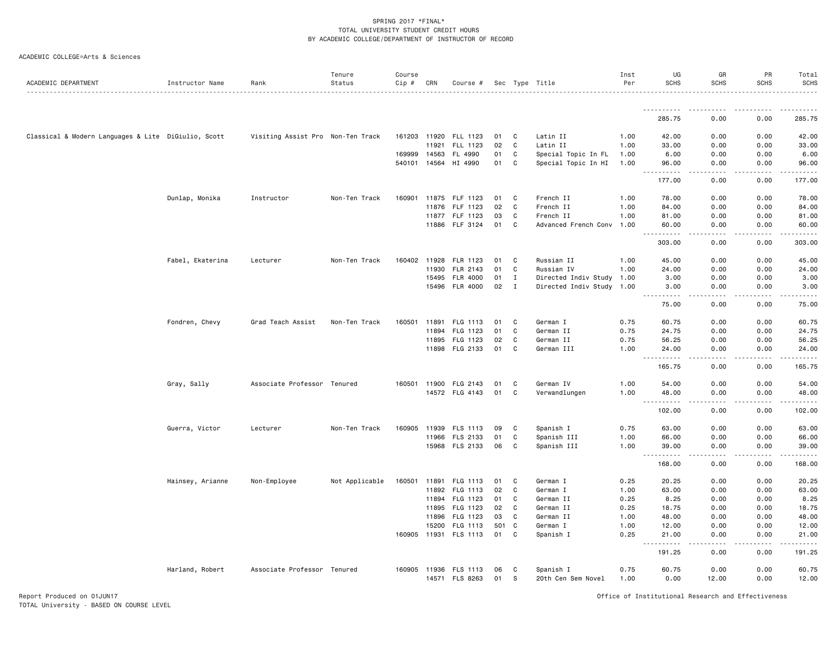| ACADEMIC DEPARTMENT                                 | Instructor Name  | Rank                              | Tenure<br>Status | Course<br>Cip # | CRN          | Course #              |     |                | Sec Type Title            | Inst<br>Per | UG<br><b>SCHS</b>                                                                        | GR<br><b>SCHS</b> | PR<br><b>SCHS</b>                                                                                                                                                                                                                                                                                                                            | Total<br><b>SCHS</b>             |
|-----------------------------------------------------|------------------|-----------------------------------|------------------|-----------------|--------------|-----------------------|-----|----------------|---------------------------|-------------|------------------------------------------------------------------------------------------|-------------------|----------------------------------------------------------------------------------------------------------------------------------------------------------------------------------------------------------------------------------------------------------------------------------------------------------------------------------------------|----------------------------------|
|                                                     |                  |                                   |                  |                 |              |                       |     |                |                           |             |                                                                                          |                   |                                                                                                                                                                                                                                                                                                                                              | .                                |
|                                                     |                  |                                   |                  |                 |              |                       |     |                |                           |             | <b></b><br>285.75                                                                        | 0.00              | $\frac{1}{2} \left( \frac{1}{2} \right) \left( \frac{1}{2} \right) \left( \frac{1}{2} \right) \left( \frac{1}{2} \right) \left( \frac{1}{2} \right)$<br>0.00                                                                                                                                                                                 | . <u>.</u> .<br>285.75           |
| Classical & Modern Languages & Lite DiGiulio, Scott |                  | Visiting Assist Pro Non-Ten Track |                  |                 |              | 161203 11920 FLL 1123 | 01  | C              | Latin II                  | 1.00        | 42.00                                                                                    | 0.00              | 0.00                                                                                                                                                                                                                                                                                                                                         | 42.00                            |
|                                                     |                  |                                   |                  |                 | 11921        | FLL 1123              | 02  | C              | Latin II                  | 1.00        | 33.00                                                                                    | 0.00              | 0.00                                                                                                                                                                                                                                                                                                                                         | 33.00                            |
|                                                     |                  |                                   |                  | 169999 14563    |              | FL 4990               | 01  | C              | Special Topic In FL       | 1.00        | 6.00                                                                                     | 0.00              | 0.00                                                                                                                                                                                                                                                                                                                                         | 6.00                             |
|                                                     |                  |                                   |                  |                 | 540101 14564 | HI 4990               | 01  | C              | Special Topic In HI       | 1.00        | 96.00                                                                                    | 0.00              | 0.00                                                                                                                                                                                                                                                                                                                                         | 96.00                            |
|                                                     |                  |                                   |                  |                 |              |                       |     |                |                           |             | .<br>$\frac{1}{2} \frac{1}{2} \frac{1}{2} \frac{1}{2} \frac{1}{2} \frac{1}{2}$<br>177.00 | د د د د<br>0.00   | .<br>0.00                                                                                                                                                                                                                                                                                                                                    | <b><i><u>.</u></i></b><br>177.00 |
|                                                     | Dunlap, Monika   | Instructor                        | Non-Ten Track    | 160901          | 11875        | FLF 1123              | 01  | C              | French II                 | 1.00        | 78.00                                                                                    | 0.00              | 0.00                                                                                                                                                                                                                                                                                                                                         | 78.00                            |
|                                                     |                  |                                   |                  |                 | 11876        | FLF 1123              | 02  | C              | French II                 | 1.00        | 84.00                                                                                    | 0.00              | 0.00                                                                                                                                                                                                                                                                                                                                         | 84.00                            |
|                                                     |                  |                                   |                  |                 |              | 11877 FLF 1123        | 03  | C              | French II                 | 1.00        | 81.00                                                                                    | 0.00              | 0.00                                                                                                                                                                                                                                                                                                                                         | 81.00                            |
|                                                     |                  |                                   |                  |                 |              | 11886 FLF 3124        | 01  | C              | Advanced French Conv 1.00 |             | 60.00                                                                                    | 0.00<br>د د د د   | 0.00<br>.                                                                                                                                                                                                                                                                                                                                    | 60.00<br><b>.</b>                |
|                                                     |                  |                                   |                  |                 |              |                       |     |                |                           |             | .<br>303.00                                                                              | 0.00              | 0.00                                                                                                                                                                                                                                                                                                                                         | 303.00                           |
|                                                     | Fabel, Ekaterina | Lecturer                          | Non-Ten Track    |                 |              | 160402 11928 FLR 1123 | 01  | C              | Russian II                | 1.00        | 45.00                                                                                    | 0.00              | 0.00                                                                                                                                                                                                                                                                                                                                         | 45.00                            |
|                                                     |                  |                                   |                  |                 |              | 11930 FLR 2143        | 01  | C              | Russian IV                | 1.00        | 24.00                                                                                    | 0.00              | 0.00                                                                                                                                                                                                                                                                                                                                         | 24.00                            |
|                                                     |                  |                                   |                  |                 | 15495        | FLR 4000              | 01  | $\bf{I}$       | Directed Indiv Study 1.00 |             | 3.00                                                                                     | 0.00              | 0.00                                                                                                                                                                                                                                                                                                                                         | 3.00                             |
|                                                     |                  |                                   |                  |                 |              | 15496 FLR 4000        | 02  | I              | Directed Indiv Study 1.00 |             | 3.00<br>.                                                                                | 0.00<br>.         | 0.00<br>.                                                                                                                                                                                                                                                                                                                                    | 3.00<br>------                   |
|                                                     |                  |                                   |                  |                 |              |                       |     |                |                           |             | 75.00                                                                                    | 0.00              | 0.00                                                                                                                                                                                                                                                                                                                                         | 75.00                            |
|                                                     | Fondren, Chevy   | Grad Teach Assist                 | Non-Ten Track    | 160501          | 11891        | FLG 1113              | 01  | C              | German I                  | 0.75        | 60.75                                                                                    | 0.00              | 0.00                                                                                                                                                                                                                                                                                                                                         | 60.75                            |
|                                                     |                  |                                   |                  |                 | 11894        | FLG 1123              | 01  | C              | German II                 | 0.75        | 24.75                                                                                    | 0.00              | 0.00                                                                                                                                                                                                                                                                                                                                         | 24.75                            |
|                                                     |                  |                                   |                  |                 |              | 11895 FLG 1123        | 02  | C              | German II                 | 0.75        | 56.25                                                                                    | 0.00              | 0.00                                                                                                                                                                                                                                                                                                                                         | 56.25                            |
|                                                     |                  |                                   |                  |                 |              | 11898 FLG 2133        | 01  | C              | German III                | 1.00        | 24.00<br>.                                                                               | 0.00<br>.         | 0.00<br>$\frac{1}{2} \left( \begin{array}{ccc} 1 & 0 & 0 & 0 \\ 0 & 0 & 0 & 0 \\ 0 & 0 & 0 & 0 \\ 0 & 0 & 0 & 0 \\ 0 & 0 & 0 & 0 \\ 0 & 0 & 0 & 0 \\ 0 & 0 & 0 & 0 \\ 0 & 0 & 0 & 0 \\ 0 & 0 & 0 & 0 \\ 0 & 0 & 0 & 0 \\ 0 & 0 & 0 & 0 & 0 \\ 0 & 0 & 0 & 0 & 0 \\ 0 & 0 & 0 & 0 & 0 \\ 0 & 0 & 0 & 0 & 0 \\ 0 & 0 & 0 & 0 & 0 \\ 0 & 0 & 0$ | 24.00<br>.                       |
|                                                     |                  |                                   |                  |                 |              |                       |     |                |                           |             | 165.75                                                                                   | 0.00              | 0.00                                                                                                                                                                                                                                                                                                                                         | 165.75                           |
|                                                     | Gray, Sally      | Associate Professor Tenured       |                  |                 |              | 160501 11900 FLG 2143 | 01  | C              | German IV                 | 1.00        | 54.00                                                                                    | 0.00              | 0.00                                                                                                                                                                                                                                                                                                                                         | 54.00                            |
|                                                     |                  |                                   |                  |                 |              | 14572 FLG 4143        | 01  | C              | Verwandlungen             | 1.00        | 48.00<br>----------                                                                      | 0.00              | 0.00                                                                                                                                                                                                                                                                                                                                         | 48.00                            |
|                                                     |                  |                                   |                  |                 |              |                       |     |                |                           |             | 102.00                                                                                   | 0.00              | 0.00                                                                                                                                                                                                                                                                                                                                         | 102.00                           |
|                                                     | Guerra, Victor   | Lecturer                          | Non-Ten Track    | 160905          | 11939        | FLS 1113              | 09  | C              | Spanish I                 | 0.75        | 63.00                                                                                    | 0.00              | 0.00                                                                                                                                                                                                                                                                                                                                         | 63.00                            |
|                                                     |                  |                                   |                  |                 |              | 11966 FLS 2133        | 01  | C              | Spanish III               | 1.00        | 66.00                                                                                    | 0.00              | 0.00                                                                                                                                                                                                                                                                                                                                         | 66.00                            |
|                                                     |                  |                                   |                  |                 |              | 15968 FLS 2133        | 06  | C              | Spanish III               | 1.00        | 39.00<br>.<br>$  -$                                                                      | 0.00<br>.         | 0.00<br>.                                                                                                                                                                                                                                                                                                                                    | 39.00<br>. <b>.</b>              |
|                                                     |                  |                                   |                  |                 |              |                       |     |                |                           |             | 168.00                                                                                   | 0.00              | 0.00                                                                                                                                                                                                                                                                                                                                         | 168.00                           |
|                                                     | Hainsey, Arianne | Non-Employee                      | Not Applicable   | 160501          | 11891        | FLG 1113              | 01  | C              | German I                  | 0.25        | 20.25                                                                                    | 0.00              | 0.00                                                                                                                                                                                                                                                                                                                                         | 20.25                            |
|                                                     |                  |                                   |                  |                 |              | 11892 FLG 1113        | 02  | C              | German I                  | 1.00        | 63.00                                                                                    | 0.00              | 0.00                                                                                                                                                                                                                                                                                                                                         | 63.00                            |
|                                                     |                  |                                   |                  |                 | 11894        | FLG 1123              | 01  | C              | German II                 | 0.25        | 8.25                                                                                     | 0.00              | 0.00                                                                                                                                                                                                                                                                                                                                         | 8.25                             |
|                                                     |                  |                                   |                  |                 | 11895        | FLG 1123              | 02  | C              | German II                 | 0.25        | 18.75                                                                                    | 0.00              | 0.00                                                                                                                                                                                                                                                                                                                                         | 18.75                            |
|                                                     |                  |                                   |                  |                 | 11896        | FLG 1123              | 03  | C              | German II                 | 1.00        | 48.00                                                                                    | 0.00              | 0.00                                                                                                                                                                                                                                                                                                                                         | 48.00                            |
|                                                     |                  |                                   |                  |                 | 15200        | FLG 1113              | 501 | C <sub>1</sub> | German I                  | 1.00        | 12.00                                                                                    | 0.00              | 0.00                                                                                                                                                                                                                                                                                                                                         | 12.00                            |
|                                                     |                  |                                   |                  |                 |              | 160905 11931 FLS 1113 | 01  | C              | Spanish I                 | 0.25        | 21.00<br>$\sim$ $\sim$ $\sim$<br>.                                                       | 0.00<br>.         | 0.00<br>-----                                                                                                                                                                                                                                                                                                                                | 21.00                            |
|                                                     |                  |                                   |                  |                 |              |                       |     |                |                           |             | 191.25                                                                                   | 0.00              | 0.00                                                                                                                                                                                                                                                                                                                                         | 191.25                           |
|                                                     | Harland, Robert  | Associate Professor Tenured       |                  |                 |              | 160905 11936 FLS 1113 | 06  | C              | Spanish I                 | 0.75        | 60.75                                                                                    | 0.00              | 0.00                                                                                                                                                                                                                                                                                                                                         | 60.75                            |
|                                                     |                  |                                   |                  |                 |              | 14571 FLS 8263        | 01  | s              | 20th Cen Sem Novel        | 1.00        | 0.00                                                                                     | 12.00             | 0.00                                                                                                                                                                                                                                                                                                                                         | 12.00                            |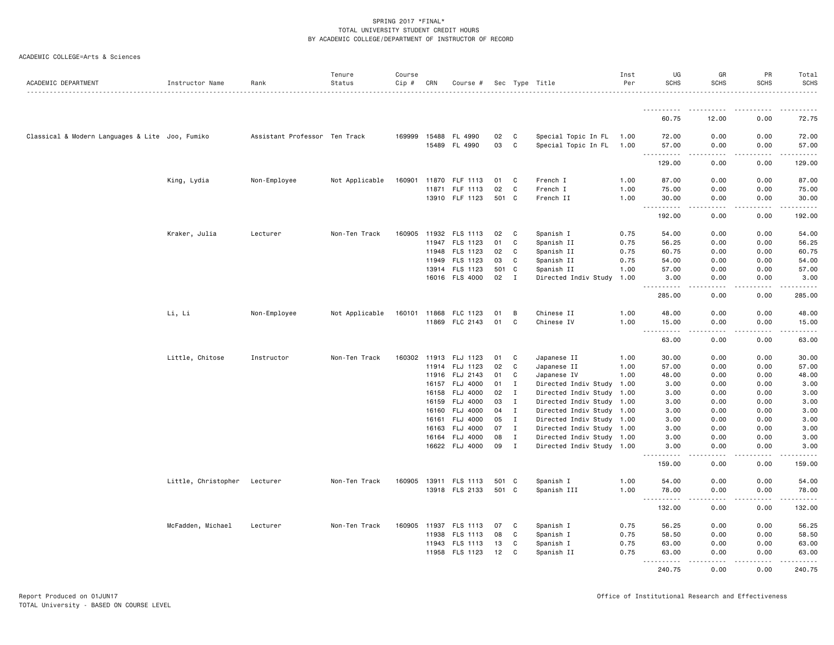|  | ACADEMIC COLLEGE=Arts & Sciences |  |  |
|--|----------------------------------|--|--|
|--|----------------------------------|--|--|

| ACADEMIC DEPARTMENT                             | Instructor Name              | Rank                          | Tenure<br>Status | Course<br>$Cip$ # | CRN   | Course #                   |          |                   | Sec Type Title                                         | Inst<br>Per | UG<br><b>SCHS</b>                                                                                                                                             | GR<br><b>SCHS</b>    | PR<br><b>SCHS</b>     | Total<br><b>SCHS</b>                                                                                                                |
|-------------------------------------------------|------------------------------|-------------------------------|------------------|-------------------|-------|----------------------------|----------|-------------------|--------------------------------------------------------|-------------|---------------------------------------------------------------------------------------------------------------------------------------------------------------|----------------------|-----------------------|-------------------------------------------------------------------------------------------------------------------------------------|
|                                                 |                              |                               |                  |                   |       |                            |          |                   |                                                        |             |                                                                                                                                                               |                      |                       |                                                                                                                                     |
|                                                 |                              |                               |                  |                   |       |                            |          |                   |                                                        |             | ----------<br>60.75                                                                                                                                           | 12.00                | 0.00                  | 72.75                                                                                                                               |
| Classical & Modern Languages & Lite Joo, Fumiko |                              | Assistant Professor Ten Track |                  | 169999            |       | 15488 FL 4990              | 02       | C                 | Special Topic In FL                                    | 1.00        | 72.00                                                                                                                                                         | 0.00                 | 0.00                  | 72.00                                                                                                                               |
|                                                 |                              |                               |                  |                   |       | 15489 FL 4990              | 03       | C                 | Special Topic In FL                                    | 1.00        | 57.00<br>------                                                                                                                                               | 0.00<br>. <u>.</u> . | 0.00<br>.             | 57.00<br>.                                                                                                                          |
|                                                 |                              |                               |                  |                   |       |                            |          |                   |                                                        |             | 129.00                                                                                                                                                        | 0.00                 | 0.00                  | 129.00                                                                                                                              |
|                                                 | King, Lydia                  | Non-Employee                  | Not Applicable   | 160901            | 11870 | FLF 1113                   | 01       | C                 | French I                                               | 1.00        | 87.00                                                                                                                                                         | 0.00                 | 0.00                  | 87.00                                                                                                                               |
|                                                 |                              |                               |                  |                   | 11871 | FLF 1113                   | 02       | C                 | French I                                               | 1.00        | 75.00                                                                                                                                                         | 0.00                 | 0.00                  | 75.00                                                                                                                               |
|                                                 |                              |                               |                  |                   |       | 13910 FLF 1123             | 501 C    |                   | French II                                              | 1.00        | 30.00<br>$\frac{1}{2} \left( \frac{1}{2} \right) \left( \frac{1}{2} \right) \left( \frac{1}{2} \right) \left( \frac{1}{2} \right) \left( \frac{1}{2} \right)$ | 0.00<br>.            | 0.00<br>$\frac{1}{2}$ | 30.00<br>.                                                                                                                          |
|                                                 |                              |                               |                  |                   |       |                            |          |                   |                                                        |             | 192.00                                                                                                                                                        | 0.00                 | 0.00                  | 192.00                                                                                                                              |
|                                                 | Kraker, Julia                | Lecturer                      | Non-Ten Track    | 160905            |       | 11932 FLS 1113             | 02       | C                 | Spanish I                                              | 0.75        | 54.00                                                                                                                                                         | 0.00                 | 0.00                  | 54.00                                                                                                                               |
|                                                 |                              |                               |                  |                   | 11947 | FLS 1123                   | 01       | C                 | Spanish II                                             | 0.75        | 56.25                                                                                                                                                         | 0.00                 | 0.00                  | 56.25                                                                                                                               |
|                                                 |                              |                               |                  |                   |       | 11948 FLS 1123             | 02       | C                 | Spanish II                                             | 0.75        | 60.75                                                                                                                                                         | 0.00                 | 0.00                  | 60.75                                                                                                                               |
|                                                 |                              |                               |                  |                   | 11949 | FLS 1123                   | 03       | C                 | Spanish II                                             | 0.75        | 54.00                                                                                                                                                         | 0.00                 | 0.00                  | 54.00                                                                                                                               |
|                                                 |                              |                               |                  |                   |       | 13914 FLS 1123             | 501      | C<br>I            | Spanish II                                             | 1.00        | 57.00                                                                                                                                                         | 0.00                 | 0.00                  | 57.00                                                                                                                               |
|                                                 |                              |                               |                  |                   |       | 16016 FLS 4000             | 02       |                   | Directed Indiv Study                                   | 1.00        | 3.00<br>.                                                                                                                                                     | 0.00                 | 0.00                  | 3.00<br>.                                                                                                                           |
|                                                 |                              |                               |                  |                   |       |                            |          |                   |                                                        |             | 285.00                                                                                                                                                        | 0.00                 | 0.00                  | 285.00                                                                                                                              |
|                                                 | Li, Li                       | Non-Employee                  | Not Applicable   | 160101 11868      |       | FLC 1123                   | 01       | B                 | Chinese II                                             | 1.00        | 48.00                                                                                                                                                         | 0.00                 | 0.00                  | 48.00                                                                                                                               |
|                                                 |                              |                               |                  |                   | 11869 | FLC 2143                   | 01       | C                 | Chinese IV                                             | 1.00        | 15.00<br>.<br>$\sim$ $\sim$ $\sim$                                                                                                                            | 0.00<br>.            | 0.00<br>.             | 15.00<br>.                                                                                                                          |
|                                                 |                              |                               |                  |                   |       |                            |          |                   |                                                        |             | 63.00                                                                                                                                                         | 0.00                 | 0.00                  | 63.00                                                                                                                               |
|                                                 | Little, Chitose              | Instructor                    | Non-Ten Track    | 160302            | 11913 | FLJ 1123                   | 01       | C                 | Japanese II                                            | 1.00        | 30.00                                                                                                                                                         | 0.00                 | 0.00                  | 30.00                                                                                                                               |
|                                                 |                              |                               |                  |                   |       | 11914 FLJ 1123             | 02       | C                 | Japanese II                                            | 1.00        | 57.00                                                                                                                                                         | 0.00                 | 0.00                  | 57.00                                                                                                                               |
|                                                 |                              |                               |                  |                   |       | 11916 FLJ 2143             | 01       | C                 | Japanese IV                                            | 1.00        | 48.00                                                                                                                                                         | 0.00                 | 0.00                  | 48.00                                                                                                                               |
|                                                 |                              |                               |                  |                   |       | 16157 FLJ 4000             | 01       | $\mathbf{I}$      | Directed Indiv Study                                   | 1.00        | 3.00                                                                                                                                                          | 0.00                 | 0.00                  | 3.00                                                                                                                                |
|                                                 |                              |                               |                  |                   | 16158 | <b>FLJ 4000</b>            | 02       | $\mathbf I$       | Directed Indiv Study 1.00                              |             | 3.00                                                                                                                                                          | 0.00                 | 0.00                  | 3.00                                                                                                                                |
|                                                 |                              |                               |                  |                   | 16159 | FLJ 4000<br>16160 FLJ 4000 | 03<br>04 | I<br>$\mathbf{I}$ | Directed Indiv Study 1.00<br>Directed Indiv Study 1.00 |             | 3.00<br>3.00                                                                                                                                                  | 0.00<br>0.00         | 0.00<br>0.00          | 3.00<br>3.00                                                                                                                        |
|                                                 |                              |                               |                  |                   | 16161 | FLJ 4000                   | 05       | $\mathbf{I}$      | Directed Indiv Study 1.00                              |             | 3.00                                                                                                                                                          | 0.00                 | 0.00                  | 3.00                                                                                                                                |
|                                                 |                              |                               |                  |                   | 16163 | FLJ 4000                   | 07       | $\mathbf{I}$      | Directed Indiv Study 1.00                              |             | 3.00                                                                                                                                                          | 0.00                 | 0.00                  | 3.00                                                                                                                                |
|                                                 |                              |                               |                  |                   |       | 16164 FLJ 4000             | 08       | $\mathbf{I}$      | Directed Indiv Study 1.00                              |             | 3.00                                                                                                                                                          | 0.00                 | 0.00                  | 3.00                                                                                                                                |
|                                                 |                              |                               |                  |                   |       | 16622 FLJ 4000             | 09       | $\mathbf{I}$      | Directed Indiv Study 1.00                              |             | 3.00                                                                                                                                                          | 0.00                 | 0.00                  | 3.00                                                                                                                                |
|                                                 |                              |                               |                  |                   |       |                            |          |                   |                                                        |             | 159.00                                                                                                                                                        | 0.00                 | 0.00                  | $\frac{1}{2} \left( \frac{1}{2} \right) \left( \frac{1}{2} \right) \left( \frac{1}{2} \right) \left( \frac{1}{2} \right)$<br>159.00 |
|                                                 | Little, Christopher Lecturer |                               | Non-Ten Track    |                   |       | 160905 13911 FLS 1113      | 501 C    |                   | Spanish I                                              | 1.00        | 54.00                                                                                                                                                         | 0.00                 | 0.00                  | 54.00                                                                                                                               |
|                                                 |                              |                               |                  |                   |       | 13918 FLS 2133             | 501 C    |                   | Spanish III                                            | 1.00        | 78.00<br>.<br>$\sim$ $\sim$ $\sim$                                                                                                                            | 0.00<br>.            | 0.00<br>-----         | 78.00<br>.                                                                                                                          |
|                                                 |                              |                               |                  |                   |       |                            |          |                   |                                                        |             | 132.00                                                                                                                                                        | 0.00                 | 0.00                  | 132.00                                                                                                                              |
|                                                 | McFadden, Michael            | Lecturer                      | Non-Ten Track    | 160905            |       | 11937 FLS 1113             | 07       | C                 | Spanish I                                              | 0.75        | 56.25                                                                                                                                                         | 0.00                 | 0.00                  | 56.25                                                                                                                               |
|                                                 |                              |                               |                  |                   | 11938 | FLS 1113                   | 08       | C                 | Spanish I                                              | 0.75        | 58.50                                                                                                                                                         | 0.00                 | 0.00                  | 58.50                                                                                                                               |
|                                                 |                              |                               |                  |                   | 11943 | FLS 1113                   | 13       | C                 | Spanish I                                              | 0.75        | 63.00                                                                                                                                                         | 0.00                 | 0.00                  | 63.00                                                                                                                               |
|                                                 |                              |                               |                  |                   | 11958 | FLS 1123                   | 12       | C                 | Spanish II                                             | 0.75        | 63.00<br>.<br>$- - -$                                                                                                                                         | 0.00<br>.            | 0.00<br>.             | 63.00<br>------                                                                                                                     |
|                                                 |                              |                               |                  |                   |       |                            |          |                   |                                                        |             | 240.75                                                                                                                                                        | 0.00                 | 0.00                  | 240.75                                                                                                                              |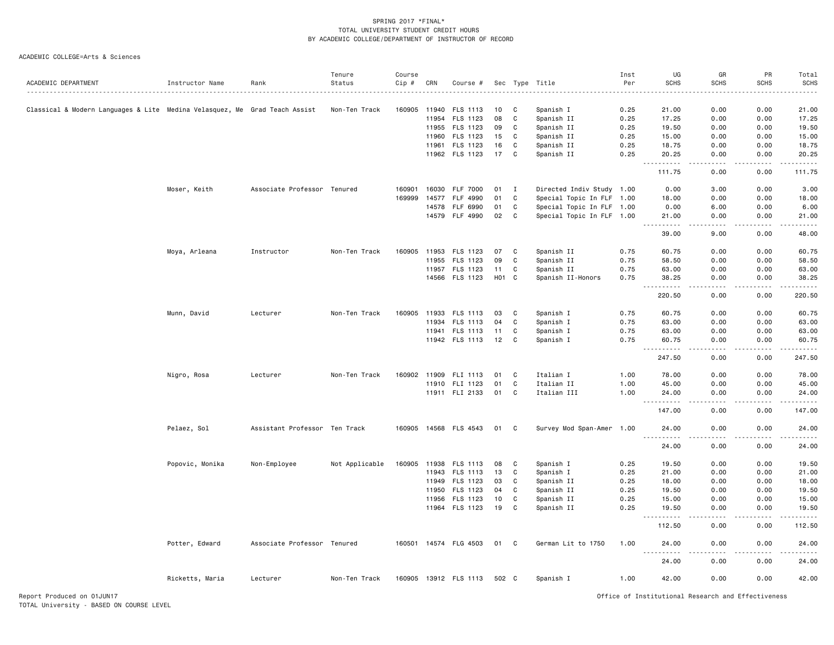|                                                                            |                 |                               | Tenure         | Course |       |                                  |          |              |                           | Inst         | UG                                                                                                                                                            | GR                    | PR                 | Total          |
|----------------------------------------------------------------------------|-----------------|-------------------------------|----------------|--------|-------|----------------------------------|----------|--------------|---------------------------|--------------|---------------------------------------------------------------------------------------------------------------------------------------------------------------|-----------------------|--------------------|----------------|
| ACADEMIC DEPARTMENT                                                        | Instructor Name | Rank                          | Status         | Cip #  | CRN   | Course #                         |          |              | Sec Type Title            | Per          | <b>SCHS</b>                                                                                                                                                   | <b>SCHS</b>           | <b>SCHS</b>        | <b>SCHS</b>    |
|                                                                            |                 |                               |                |        |       |                                  |          |              |                           |              |                                                                                                                                                               |                       |                    |                |
| Classical & Modern Languages & Lite Medina Velasquez, Me Grad Teach Assist |                 |                               | Non-Ten Track  | 160905 | 11940 | FLS 1113<br>11954 FLS 1123       | 10<br>08 | C<br>C       | Spanish I<br>Spanish II   | 0.25<br>0.25 | 21.00<br>17.25                                                                                                                                                | 0.00<br>0.00          | 0.00<br>0.00       | 21.00<br>17.25 |
|                                                                            |                 |                               |                |        |       | 11955 FLS 1123                   | 09       | C            |                           | 0.25         |                                                                                                                                                               | 0.00                  | 0.00               | 19.50          |
|                                                                            |                 |                               |                |        | 11960 | FLS 1123                         |          | C            | Spanish II                | 0.25         | 19.50                                                                                                                                                         | 0.00                  | 0.00               | 15.00          |
|                                                                            |                 |                               |                |        |       |                                  | 15       |              | Spanish II                |              | 15.00                                                                                                                                                         |                       |                    | 18.75          |
|                                                                            |                 |                               |                |        |       | 11961 FLS 1123                   | 16<br>17 | C            | Spanish II                | 0.25         | 18.75                                                                                                                                                         | 0.00                  | 0.00               |                |
|                                                                            |                 |                               |                |        |       | 11962 FLS 1123                   |          | C            | Spanish II                | 0.25         | 20.25<br>$\frac{1}{2} \left( \frac{1}{2} \right) \left( \frac{1}{2} \right) \left( \frac{1}{2} \right) \left( \frac{1}{2} \right) \left( \frac{1}{2} \right)$ | 0.00<br>$\frac{1}{2}$ | 0.00<br>$\cdots$   | 20.25<br>.     |
|                                                                            |                 |                               |                |        |       |                                  |          |              |                           |              | 111.75                                                                                                                                                        | 0.00                  | 0.00               | 111.75         |
|                                                                            | Moser, Keith    | Associate Professor Tenured   |                | 160901 |       | 16030 FLF 7000                   | 01       | $\mathbf{I}$ | Directed Indiv Study 1.00 |              | 0.00                                                                                                                                                          | 3.00                  | 0.00               | 3.00           |
|                                                                            |                 |                               |                | 169999 | 14577 | FLF 4990                         | 01       | C            | Special Topic In FLF 1.00 |              | 18.00                                                                                                                                                         | 0.00                  | 0.00               | 18.00          |
|                                                                            |                 |                               |                |        | 14578 | FLF 6990                         | 01       | C            | Special Topic In FLF 1.00 |              | 0.00                                                                                                                                                          | 6.00                  | 0.00               | 6.00           |
|                                                                            |                 |                               |                |        |       | 14579 FLF 4990                   | 02       | C            | Special Topic In FLF 1.00 |              | 21.00<br>.                                                                                                                                                    | 0.00<br>.             | 0.00<br>. <b>.</b> | 21.00<br>.     |
|                                                                            |                 |                               |                |        |       |                                  |          |              |                           |              | 39.00                                                                                                                                                         | 9.00                  | 0.00               | 48.00          |
|                                                                            | Moya, Arleana   | Instructor                    | Non-Ten Track  |        |       | 160905 11953 FLS 1123            | 07       | C            | Spanish II                | 0.75         | 60.75                                                                                                                                                         | 0.00                  | 0.00               | 60.75          |
|                                                                            |                 |                               |                |        | 11955 | FLS 1123                         | 09       | C            | Spanish II                | 0.75         | 58.50                                                                                                                                                         | 0.00                  | 0.00               | 58.50          |
|                                                                            |                 |                               |                |        |       | 11957 FLS 1123                   | 11       | C            | Spanish II                | 0.75         | 63.00                                                                                                                                                         | 0.00                  | 0.00               | 63.00          |
|                                                                            |                 |                               |                |        |       | 14566 FLS 1123                   | H01 C    |              | Spanish II-Honors         | 0.75         | 38.25                                                                                                                                                         | 0.00                  | 0.00               | 38.25          |
|                                                                            |                 |                               |                |        |       |                                  |          |              |                           |              | $\sim$ $\sim$ $\sim$<br>.<br>220.50                                                                                                                           | د د د د<br>0.00       | 0.00               | .<br>220.50    |
|                                                                            | Munn, David     | Lecturer                      | Non-Ten Track  |        |       | 160905 11933 FLS 1113            | 03       | C            | Spanish I                 | 0.75         | 60.75                                                                                                                                                         | 0.00                  | 0.00               | 60.75          |
|                                                                            |                 |                               |                |        | 11934 | FLS 1113                         | 04       | C            | Spanish I                 | 0.75         | 63.00                                                                                                                                                         | 0.00                  | 0.00               | 63.00          |
|                                                                            |                 |                               |                |        |       | 11941 FLS 1113                   | 11       | C            | Spanish I                 | 0.75         | 63.00                                                                                                                                                         | 0.00                  | 0.00               | 63.00          |
|                                                                            |                 |                               |                |        |       | 11942 FLS 1113                   | 12       | C            | Spanish I                 | 0.75         | 60.75                                                                                                                                                         | 0.00                  | 0.00               | 60.75          |
|                                                                            |                 |                               |                |        |       |                                  |          |              |                           |              | $\sim$ $\sim$ $\sim$<br>247.50                                                                                                                                | 0.00                  | 0.00               | .<br>247.50    |
|                                                                            | Nigro, Rosa     | Lecturer                      | Non-Ten Track  |        |       | 160902 11909 FLI 1113            | 01       | C            | Italian I                 | 1.00         | 78.00                                                                                                                                                         | 0.00                  | 0.00               | 78.00          |
|                                                                            |                 |                               |                |        |       | 11910 FLI 1123                   | 01       | $\mathbf{C}$ | Italian II                | 1.00         | 45.00                                                                                                                                                         | 0.00                  | 0.00               | 45.00          |
|                                                                            |                 |                               |                |        |       | 11911 FLI 2133                   | 01       | C            | Italian III               | 1.00         | 24.00                                                                                                                                                         | 0.00                  | 0.00               | 24.00          |
|                                                                            |                 |                               |                |        |       |                                  |          |              |                           |              | .<br>147.00                                                                                                                                                   | د د د د<br>0.00       | .<br>0.00          | .<br>147.00    |
|                                                                            | Pelaez, Sol     | Assistant Professor Ten Track |                |        |       | 160905 14568 FLS 4543            | 01       | C            | Survey Mod Span-Amer 1.00 |              | 24.00                                                                                                                                                         | 0.00                  | 0.00               | 24.00          |
|                                                                            |                 |                               |                |        |       |                                  |          |              |                           |              | .<br>24.00                                                                                                                                                    | د د د د<br>0.00       | .<br>0.00          | .<br>24.00     |
|                                                                            |                 |                               |                |        |       |                                  |          |              |                           |              |                                                                                                                                                               |                       |                    |                |
|                                                                            | Popovic, Monika | Non-Employee                  | Not Applicable | 160905 |       | 11938 FLS 1113<br>11943 FLS 1113 | 08<br>13 | C<br>C       | Spanish I<br>Spanish I    | 0.25         | 19.50<br>21.00                                                                                                                                                | 0.00                  | 0.00<br>0.00       | 19.50          |
|                                                                            |                 |                               |                |        | 11949 | FLS 1123                         | 03       | C            | Spanish II                | 0.25<br>0.25 |                                                                                                                                                               | 0.00<br>0.00          | 0.00               | 21.00<br>18.00 |
|                                                                            |                 |                               |                |        |       | 11950 FLS 1123                   | 04       | C            | Spanish II                | 0.25         | 18.00<br>19.50                                                                                                                                                | 0.00                  | 0.00               | 19.50          |
|                                                                            |                 |                               |                |        | 11956 | FLS 1123                         | 10       | C            | Spanish II                | 0.25         | 15.00                                                                                                                                                         | 0.00                  | 0.00               | 15.00          |
|                                                                            |                 |                               |                |        |       | 11964 FLS 1123                   | 19       | C            | Spanish II                | 0.25         | 19.50                                                                                                                                                         | 0.00                  | 0.00               | 19.50          |
|                                                                            |                 |                               |                |        |       |                                  |          |              |                           |              | $\sim$ $\sim$ $\sim$<br>.<br>112.50                                                                                                                           | 0.00                  | 0.00               | .<br>112.50    |
|                                                                            | Potter, Edward  | Associate Professor Tenured   |                |        |       | 160501 14574 FLG 4503            | 01       | C            | German Lit to 1750        | 1.00         | 24.00                                                                                                                                                         | 0.00                  | 0.00               | 24.00          |
|                                                                            |                 |                               |                |        |       |                                  |          |              |                           |              | $\sim$ $\sim$ $\sim$ .                                                                                                                                        |                       |                    |                |
|                                                                            |                 |                               |                |        |       |                                  |          |              |                           |              | 24.00                                                                                                                                                         | 0.00                  | 0.00               | 24.00          |
|                                                                            | Ricketts, Maria | Lecturer                      | Non-Ten Track  |        |       | 160905 13912 FLS 1113            | 502 C    |              | Spanish I                 | 1.00         | 42.00                                                                                                                                                         | 0.00                  | 0.00               | 42.00          |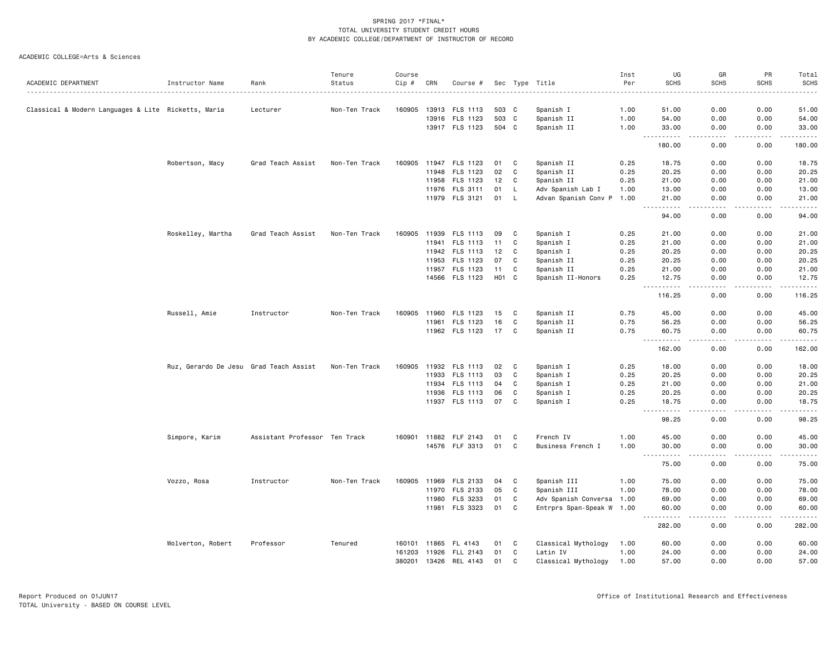|                                                     |                                        |                               | Tenure        | Course       |       |                       |       |    |                           | Inst | UG                                         | GR                  | PR            | Total            |
|-----------------------------------------------------|----------------------------------------|-------------------------------|---------------|--------------|-------|-----------------------|-------|----|---------------------------|------|--------------------------------------------|---------------------|---------------|------------------|
| ACADEMIC DEPARTMENT                                 | Instructor Name                        | Rank                          | Status        | Cip #        | CRN   | Course #              |       |    | Sec Type Title            | Per  | <b>SCHS</b>                                | <b>SCHS</b>         | <b>SCHS</b>   | <b>SCHS</b><br>. |
| Classical & Modern Languages & Lite Ricketts, Maria |                                        | Lecturer                      | Non-Ten Track | 160905       | 13913 | FLS 1113              | 503 C |    | Spanish I                 | 1.00 | 51.00                                      | 0.00                | 0.00          | 51.00            |
|                                                     |                                        |                               |               |              |       | 13916 FLS 1123        | 503 C |    | Spanish II                | 1.00 | 54.00                                      | 0.00                | 0.00          | 54.00            |
|                                                     |                                        |                               |               |              |       | 13917 FLS 1123        | 504 C |    | Spanish II                | 1.00 | 33.00                                      | 0.00                | 0.00          | 33.00            |
|                                                     |                                        |                               |               |              |       |                       |       |    |                           |      | 180.00                                     | 0.00                | 0.00          | 180.00           |
|                                                     | Robertson, Macy                        | Grad Teach Assist             | Non-Ten Track | 160905       | 11947 | FLS 1123              | 01    | C  | Spanish II                | 0.25 | 18.75                                      | 0.00                | 0.00          | 18.75            |
|                                                     |                                        |                               |               |              | 11948 | FLS 1123              | 02    | C  | Spanish II                | 0.25 | 20.25                                      | 0.00                | 0.00          | 20.25            |
|                                                     |                                        |                               |               |              | 11958 | FLS 1123              | 12    | C  | Spanish II                | 0.25 | 21.00                                      | 0.00                | 0.00          | 21.00            |
|                                                     |                                        |                               |               |              | 11976 | FLS 3111              | 01    | L  | Adv Spanish Lab I         | 1.00 | 13.00                                      | 0.00                | 0.00          | 13.00            |
|                                                     |                                        |                               |               |              |       | 11979 FLS 3121        | 01    | L. | Advan Spanish Conv P 1.00 |      | 21.00<br>$- - - - -$                       | 0.00<br>د د د د     | 0.00<br>.     | 21.00<br>.       |
|                                                     |                                        |                               |               |              |       |                       |       |    |                           |      | 94.00                                      | 0.00                | 0.00          | 94.00            |
|                                                     | Roskelley, Martha                      | Grad Teach Assist             | Non-Ten Track | 160905       | 11939 | FLS 1113              | 09    | C  | Spanish I                 | 0.25 | 21.00                                      | 0.00                | 0.00          | 21.00            |
|                                                     |                                        |                               |               |              | 11941 | FLS 1113              | 11    | C  | Spanish I                 | 0.25 | 21.00                                      | 0.00                | 0.00          | 21.00            |
|                                                     |                                        |                               |               |              | 11942 | FLS 1113              | 12    | C  | Spanish I                 | 0.25 | 20.25                                      | 0.00                | 0.00          | 20.25            |
|                                                     |                                        |                               |               |              | 11953 | FLS 1123              | 07    | C  | Spanish II                | 0.25 | 20.25                                      | 0.00                | 0.00          | 20.25            |
|                                                     |                                        |                               |               |              | 11957 | FLS 1123              | 11    | C  | Spanish II                | 0.25 | 21.00                                      | 0.00                | 0.00          | 21.00            |
|                                                     |                                        |                               |               |              |       | 14566 FLS 1123        | H01 C |    | Spanish II-Honors         | 0.25 | 12.75<br>$  -$<br>------                   | 0.00<br>د د د د     | 0.00<br>----- | 12.75            |
|                                                     |                                        |                               |               |              |       |                       |       |    |                           |      | 116.25                                     | 0.00                | 0.00          | 116.25           |
|                                                     | Russell, Amie                          | Instructor                    | Non-Ten Track | 160905       | 11960 | FLS 1123              | 15    | C  | Spanish II                | 0.75 | 45.00                                      | 0.00                | 0.00          | 45.00            |
|                                                     |                                        |                               |               |              | 11961 | FLS 1123              | 16    | C  | Spanish II                | 0.75 | 56.25                                      | 0.00                | 0.00          | 56.25            |
|                                                     |                                        |                               |               |              |       | 11962 FLS 1123        | 17    | C  | Spanish II                | 0.75 | 60.75<br>$\sim$ $\sim$ .<br>.              | 0.00<br>د د د د     | 0.00<br>.     | 60.75<br>-----   |
|                                                     |                                        |                               |               |              |       |                       |       |    |                           |      | 162.00                                     | 0.00                | 0.00          | 162.00           |
|                                                     | Ruz, Gerardo De Jesu Grad Teach Assist |                               | Non-Ten Track | 160905       |       | 11932 FLS 1113        | 02    | C  | Spanish I                 | 0.25 | 18.00                                      | 0.00                | 0.00          | 18.00            |
|                                                     |                                        |                               |               |              | 11933 | FLS 1113              | 03    | C  | Spanish I                 | 0.25 | 20.25                                      | 0.00                | 0.00          | 20.25            |
|                                                     |                                        |                               |               |              | 11934 | FLS 1113              | 04    | C  | Spanish I                 | 0.25 | 21.00                                      | 0.00                | 0.00          | 21.00            |
|                                                     |                                        |                               |               |              | 11936 | FLS 1113              | 06    | C  | Spanish I                 | 0.25 | 20.25                                      | 0.00                | 0.00          | 20.25            |
|                                                     |                                        |                               |               |              |       | 11937 FLS 1113        | 07    | C  | Spanish I                 | 0.25 | 18.75<br>$- - - -$<br>$\sim$ $\sim$ $\sim$ | 0.00                | 0.00          | 18.75            |
|                                                     |                                        |                               |               |              |       |                       |       |    |                           |      | 98.25                                      | 0.00                | 0.00          | 98.25            |
|                                                     | Simpore, Karim                         | Assistant Professor Ten Track |               |              |       | 160901 11882 FLF 2143 | 01    | C  | French IV                 | 1.00 | 45.00                                      | 0.00                | 0.00          | 45.00            |
|                                                     |                                        |                               |               |              |       | 14576 FLF 3313        | 01    | C  | Business French I         | 1.00 | 30.00<br>.<br>$  -$                        | 0.00<br>الدامات بال | 0.00<br>----- | 30.00<br>.       |
|                                                     |                                        |                               |               |              |       |                       |       |    |                           |      | 75.00                                      | 0.00                | 0.00          | 75.00            |
|                                                     | Vozzo, Rosa                            | Instructor                    | Non-Ten Track | 160905       | 11969 | FLS 2133              | 04    | C  | Spanish III               | 1.00 | 75.00                                      | 0.00                | 0.00          | 75.00            |
|                                                     |                                        |                               |               |              | 11970 | FLS 2133              | 05    | C  | Spanish III               | 1.00 | 78.00                                      | 0.00                | 0.00          | 78.00            |
|                                                     |                                        |                               |               |              | 11980 | FLS 3233              | 01    | C  | Adv Spanish Conversa 1.00 |      | 69.00                                      | 0.00                | 0.00          | 69.00            |
|                                                     |                                        |                               |               |              | 11981 | FLS 3323              | 01    | C  | Entrprs Span-Speak W 1.00 |      | 60.00<br>$- - -$<br>. <b>.</b>             | 0.00                | 0.00          | 60.00<br>.       |
|                                                     |                                        |                               |               |              |       |                       |       |    |                           |      | 282.00                                     | 0.00                | 0.00          | 282.00           |
|                                                     | Wolverton, Robert                      | Professor                     | Tenured       | 160101       | 11865 | FL 4143               | 01    | C  | Classical Mythology       | 1.00 | 60.00                                      | 0.00                | 0.00          | 60.00            |
|                                                     |                                        |                               |               | 161203       | 11926 | FLL 2143              | 01    | C  | Latin IV                  | 1.00 | 24.00                                      | 0.00                | 0.00          | 24.00            |
|                                                     |                                        |                               |               | 380201 13426 |       | REL 4143              | 01    | C  | Classical Mythology       | 1.00 | 57.00                                      | 0.00                | 0.00          | 57.00            |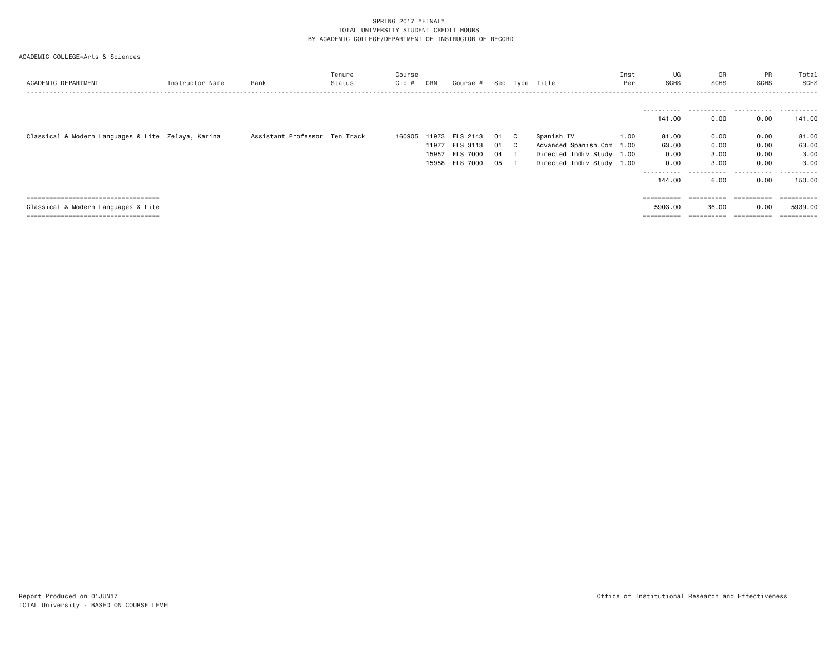| ACADEMIC DEPARTMENT                                | Instructor Name | Rank                          | Tenure<br>Status | Course<br>Cip # | CRN   | Course #              |      |              | Sec Type Title            | Inst<br>Per | UG<br><b>SCHS</b>     | GR<br>SCHS            | PR<br><b>SCHS</b> | Total<br>SCHS |
|----------------------------------------------------|-----------------|-------------------------------|------------------|-----------------|-------|-----------------------|------|--------------|---------------------------|-------------|-----------------------|-----------------------|-------------------|---------------|
|                                                    |                 |                               |                  |                 |       |                       |      |              |                           |             |                       |                       |                   |               |
|                                                    |                 |                               |                  |                 |       |                       |      |              |                           |             | .<br>141.00           | <br>0.00              | 0.00              | .<br>141.00   |
| Classical & Modern Languages & Lite Zelaya, Karina |                 | Assistant Professor Ten Track |                  |                 |       | 160905 11973 FLS 2143 | 01   | $\mathbf{C}$ | Spanish IV                | 1.00        | 81.00                 | 0.00                  | 0.00              | 81.00         |
|                                                    |                 |                               |                  |                 |       | 11977 FLS 3113        | 01 C |              | Advanced Spanish Com 1.00 |             | 63.00                 | 0.00                  | 0.00              | 63.00         |
|                                                    |                 |                               |                  |                 | 15957 | FLS 7000              | 04 I |              | Directed Indiv Study 1.00 |             | 0.00                  | 3.00                  | 0.00              | 3.00          |
|                                                    |                 |                               |                  |                 |       | 15958 FLS 7000        | 05 I |              | Directed Indiv Study 1.00 |             | 0.00                  | 3.00                  | 0.00              | 3,00          |
|                                                    |                 |                               |                  |                 |       |                       |      |              |                           |             | -----------           | .                     | .                 | .             |
|                                                    |                 |                               |                  |                 |       |                       |      |              |                           |             | 144.00                | 6.00                  | 0.00              | 150.00        |
|                                                    |                 |                               |                  |                 |       |                       |      |              |                           |             |                       |                       |                   |               |
| ======================================             |                 |                               |                  |                 |       |                       |      |              |                           |             | $=$ = = = = = = = = = | ==========            | ==========        | ==========    |
| Classical & Modern Languages & Lite                |                 |                               |                  |                 |       |                       |      |              |                           |             | 5903.00               | 36.00                 | 0.00              | 5939.00       |
| =====================================              |                 |                               |                  |                 |       |                       |      |              |                           |             | ==========            | $=$ = = = = = = = = = | ==========        | ==========    |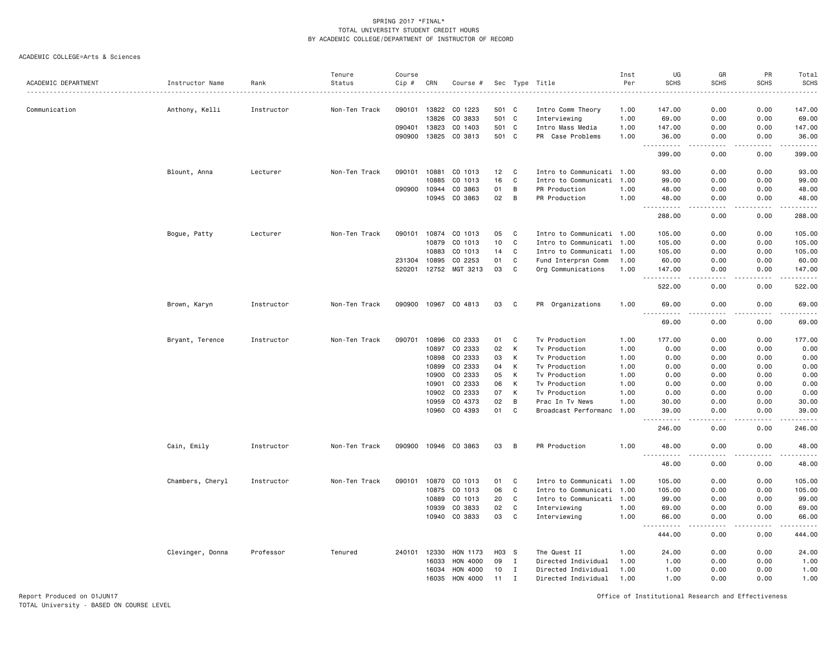ACADEMIC COLLEGE=Arts & Sciences

|                     |                  |            | Tenure        | Course |              |                       |       |             |                           | Inst | UG                           | GR                           | PR            | Total                                                                                                                                                          |
|---------------------|------------------|------------|---------------|--------|--------------|-----------------------|-------|-------------|---------------------------|------|------------------------------|------------------------------|---------------|----------------------------------------------------------------------------------------------------------------------------------------------------------------|
| ACADEMIC DEPARTMENT | Instructor Name  | Rank       | Status        | Cip #  | CRN          | Course #              |       |             | Sec Type Title            | Per  | <b>SCHS</b>                  | <b>SCHS</b>                  | <b>SCHS</b>   | <b>SCHS</b>                                                                                                                                                    |
|                     |                  |            |               |        |              |                       |       |             |                           |      |                              |                              |               |                                                                                                                                                                |
| Communication       | Anthony, Kelli   | Instructor | Non-Ten Track | 090101 | 13822        | CO 1223               | 501   | C           | Intro Comm Theory         | 1.00 | 147.00                       | 0.00                         | 0.00          | 147.00                                                                                                                                                         |
|                     |                  |            |               |        | 13826        | CO 3833               | 501 C |             | Interviewing              | 1.00 | 69.00                        | 0.00                         | 0.00          | 69.00                                                                                                                                                          |
|                     |                  |            |               | 090401 | 13823        | CO 1403               | 501 C |             | Intro Mass Media          | 1.00 | 147.00                       | 0.00                         | 0.00          | 147.00                                                                                                                                                         |
|                     |                  |            |               | 090900 | 13825        | CO 3813               | 501 C |             | PR Case Problems          | 1.00 | 36.00                        | 0.00                         | 0.00          | 36.00                                                                                                                                                          |
|                     |                  |            |               |        |              |                       |       |             |                           |      | .<br>$- - -$<br>399.00       | د د د د<br>0.00              | .<br>0.00     | .<br>399.00                                                                                                                                                    |
|                     | Blount, Anna     | Lecturer   | Non-Ten Track | 090101 | 10881        | CO 1013               | 12    | C           | Intro to Communicati 1.00 |      | 93.00                        | 0.00                         | 0.00          | 93.00                                                                                                                                                          |
|                     |                  |            |               |        | 10885        | CO 1013               | 16    | C           | Intro to Communicati 1.00 |      | 99.00                        | 0.00                         | 0.00          | 99.00                                                                                                                                                          |
|                     |                  |            |               | 090900 | 10944        | CO 3863               | 01    | B           | PR Production             | 1.00 | 48.00                        | 0.00                         | 0.00          | 48.00                                                                                                                                                          |
|                     |                  |            |               |        | 10945        | CO 3863               | 02    | В           | PR Production             | 1.00 | 48.00                        | 0.00                         | 0.00          | 48.00                                                                                                                                                          |
|                     |                  |            |               |        |              |                       |       |             |                           |      | .<br>288.00                  | $\sim$ $\sim$ $\sim$<br>0.00 | .<br>0.00     | .<br>288.00                                                                                                                                                    |
|                     | Bogue, Patty     | Lecturer   | Non-Ten Track | 090101 | 10874        | CO 1013               | 05    | C           | Intro to Communicati 1.00 |      | 105.00                       | 0.00                         | 0.00          | 105.00                                                                                                                                                         |
|                     |                  |            |               |        | 10879        | CO 1013               | 10    | C           | Intro to Communicati 1.00 |      | 105.00                       | 0.00                         | 0.00          | 105.00                                                                                                                                                         |
|                     |                  |            |               |        | 10883        | CO 1013               | 14    | C           | Intro to Communicati 1.00 |      | 105.00                       | 0.00                         | 0.00          | 105.00                                                                                                                                                         |
|                     |                  |            |               |        | 231304 10895 | CO 2253               | 01    | C           | Fund Interprsn Comm       | 1.00 | 60.00                        | 0.00                         | 0.00          | 60.00                                                                                                                                                          |
|                     |                  |            |               |        |              | 520201 12752 MGT 3213 | 03    | C           | Org Communications        | 1.00 | 147.00                       | 0.00                         | 0.00          | 147.00                                                                                                                                                         |
|                     |                  |            |               |        |              |                       |       |             |                           |      | $\sim$ $\sim$<br>522.00      | 0.00                         | 0.00          | $\frac{1}{2} \left( \frac{1}{2} \right) \left( \frac{1}{2} \right) \left( \frac{1}{2} \right) \left( \frac{1}{2} \right) \left( \frac{1}{2} \right)$<br>522.00 |
|                     | Brown, Karyn     | Instructor | Non-Ten Track |        |              | 090900 10967 CO 4813  | 03    | C           | PR Organizations          | 1.00 | 69.00                        | 0.00                         | 0.00          | 69.00                                                                                                                                                          |
|                     |                  |            |               |        |              |                       |       |             |                           |      | $-1$<br>69.00                | 0.00                         | 0.00          | 69.00                                                                                                                                                          |
|                     | Bryant, Terence  | Instructor | Non-Ten Track | 090701 | 10896        | CO 2333               | 01    | C           | Tv Production             | 1.00 | 177.00                       | 0.00                         | 0.00          | 177.00                                                                                                                                                         |
|                     |                  |            |               |        | 10897        | CO 2333               | 02    | K           | Tv Production             | 1.00 | 0.00                         | 0.00                         | 0.00          | 0.00                                                                                                                                                           |
|                     |                  |            |               |        | 10898        | CO 2333               | 03    | K           | Tv Production             | 1.00 | 0.00                         | 0.00                         | 0.00          | 0.00                                                                                                                                                           |
|                     |                  |            |               |        | 10899        | CO 2333               | 04    | К           | Tv Production             | 1.00 | 0.00                         | 0.00                         | 0.00          | 0.00                                                                                                                                                           |
|                     |                  |            |               |        | 10900        | CO 2333               | 05    | К           | Tv Production             | 1.00 | 0.00                         | 0.00                         | 0.00          | 0.00                                                                                                                                                           |
|                     |                  |            |               |        | 10901        | CO 2333               | 06    | K           | Tv Production             | 1.00 | 0.00                         | 0.00                         | 0.00          | 0.00                                                                                                                                                           |
|                     |                  |            |               |        | 10902        | CO 2333               | 07    | К           | Tv Production             | 1.00 | 0.00                         | 0.00                         | 0.00          | 0.00                                                                                                                                                           |
|                     |                  |            |               |        | 10959        | CO 4373               | 02    | B           | Prac In Tv News           | 1.00 | 30.00                        | 0.00                         | 0.00          | 30.00                                                                                                                                                          |
|                     |                  |            |               |        |              | 10960 CO 4393         | 01    | C           | Broadcast Performanc 1.00 |      | 39.00                        | 0.00                         | 0.00          | 39.00                                                                                                                                                          |
|                     |                  |            |               |        |              |                       |       |             |                           |      | 246.00                       | 0.00                         | 0.00          | 246.00                                                                                                                                                         |
|                     | Cain, Emily      | Instructor | Non-Ten Track |        |              | 090900 10946 CO 3863  | 03    | B           | PR Production             | 1.00 | 48.00                        | 0.00                         | 0.00          | 48.00                                                                                                                                                          |
|                     |                  |            |               |        |              |                       |       |             |                           |      | .<br>$- - -$<br>48.00        | د د د د<br>0.00              | -----<br>0.00 | .<br>48.00                                                                                                                                                     |
|                     | Chambers, Cheryl | Instructor | Non-Ten Track | 090101 | 10870        | CO 1013               | 01    | C           | Intro to Communicati 1.00 |      | 105.00                       | 0.00                         | 0.00          | 105.00                                                                                                                                                         |
|                     |                  |            |               |        | 10875        | CO 1013               | 06    | C           | Intro to Communicati 1.00 |      | 105.00                       | 0.00                         | 0.00          | 105.00                                                                                                                                                         |
|                     |                  |            |               |        | 10889        | CO 1013               | 20    | C           | Intro to Communicati 1.00 |      | 99.00                        | 0.00                         | 0.00          | 99.00                                                                                                                                                          |
|                     |                  |            |               |        | 10939        | CO 3833               | 02    | C           | Interviewing              | 1.00 | 69.00                        | 0.00                         | 0.00          | 69.00                                                                                                                                                          |
|                     |                  |            |               |        | 10940        | CO 3833               | 03    | C           | Interviewing              | 1.00 | 66.00                        | 0.00                         | 0.00          | 66.00                                                                                                                                                          |
|                     |                  |            |               |        |              |                       |       |             |                           |      | .<br>$\sim$ $\sim$<br>444.00 | $\frac{1}{2}$<br>0.00        | .<br>0.00     | .<br>444.00                                                                                                                                                    |
|                     | Clevinger, Donna | Professor  | Tenured       | 240101 | 12330        | HON 1173              | H03   | - S         | The Quest II              | 1.00 | 24.00                        | 0.00                         | 0.00          | 24.00                                                                                                                                                          |
|                     |                  |            |               |        | 16033        | HON 4000              | 09    | $\mathbf I$ | Directed Individual       | 1.00 | 1.00                         | 0.00                         | 0.00          | 1.00                                                                                                                                                           |
|                     |                  |            |               |        | 16034        | HON 4000              | 10    | $\mathbf I$ | Directed Individual       | 1.00 | 1.00                         | 0.00                         | 0.00          | 1.00                                                                                                                                                           |
|                     |                  |            |               |        | 16035        | HON 4000              | 11    | Ι.          | Directed Individual       | 1.00 | 1.00                         | 0.00                         | 0.00          | 1.00                                                                                                                                                           |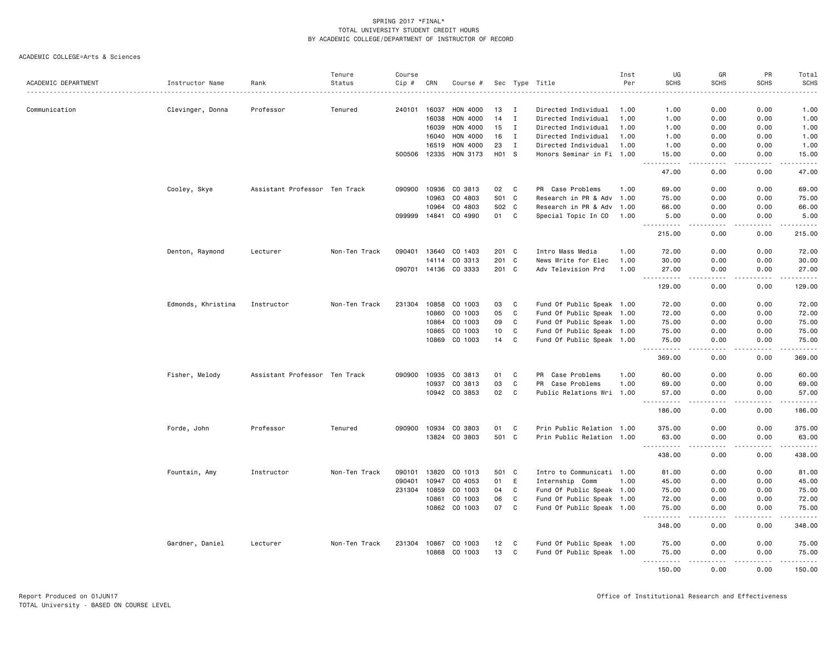|                     |                    |                               | Tenure        | Course |       |                      |       |              |                           | Inst | UG                        | GR          | PR               | Total                                                                                                                                                |
|---------------------|--------------------|-------------------------------|---------------|--------|-------|----------------------|-------|--------------|---------------------------|------|---------------------------|-------------|------------------|------------------------------------------------------------------------------------------------------------------------------------------------------|
| ACADEMIC DEPARTMENT | Instructor Name    | Rank                          | Status        | Cip #  | CRN   | Course #             |       |              | Sec Type Title            | Per  | <b>SCHS</b>               | <b>SCHS</b> | <b>SCHS</b>      | <b>SCHS</b>                                                                                                                                          |
|                     |                    |                               |               |        |       |                      |       |              |                           |      |                           |             |                  | $\frac{1}{2} \left( \frac{1}{2} \right) \left( \frac{1}{2} \right) \left( \frac{1}{2} \right) \left( \frac{1}{2} \right) \left( \frac{1}{2} \right)$ |
| Communication       | Clevinger, Donna   | Professor                     | Tenured       | 240101 | 16037 | <b>HON 4000</b>      | 13    | Ι.           | Directed Individual       | 1.00 | 1.00                      | 0.00        | 0.00             | 1.00                                                                                                                                                 |
|                     |                    |                               |               |        | 16038 | HON 4000             | 14    | $\mathbf{I}$ | Directed Individual       | 1.00 | 1.00                      | 0.00        | 0.00             | 1.00                                                                                                                                                 |
|                     |                    |                               |               |        | 16039 | HON 4000             | 15    | $\mathbf{I}$ | Directed Individual       | 1.00 | 1.00                      | 0.00        | 0.00             | 1.00                                                                                                                                                 |
|                     |                    |                               |               |        | 16040 | HON 4000             | 16    | I            | Directed Individual       | 1.00 | 1.00                      | 0.00        | 0.00             | 1.00                                                                                                                                                 |
|                     |                    |                               |               |        | 16519 | HON 4000             | 23    | $\mathbf I$  | Directed Individual       | 1.00 | 1.00                      | 0.00        | 0.00             | 1.00                                                                                                                                                 |
|                     |                    |                               |               | 500506 | 12335 | HON 3173             | H01 S |              | Honors Seminar in Fi 1.00 |      | 15.00<br>$- - - - -$      | 0.00<br>.   | 0.00<br>.        | 15.00<br>$   -$                                                                                                                                      |
|                     |                    |                               |               |        |       |                      |       |              |                           |      | 47.00                     | 0.00        | 0.00             | 47.00                                                                                                                                                |
|                     | Cooley, Skye       | Assistant Professor Ten Track |               | 090900 | 10936 | CO 3813              | 02    | C            | PR Case Problems          | 1.00 | 69.00                     | 0.00        | 0.00             | 69.00                                                                                                                                                |
|                     |                    |                               |               |        | 10963 | CO 4803              | S01 C |              | Research in PR & Adv      | 1.00 | 75.00                     | 0.00        | 0.00             | 75.00                                                                                                                                                |
|                     |                    |                               |               |        | 10964 | CO 4803              | S02   | $\mathbf{C}$ | Research in PR & Adv      | 1.00 | 66.00                     | 0.00        | 0.00             | 66.00                                                                                                                                                |
|                     |                    |                               |               | 099999 | 14841 | CO 4990              | 01    | $\mathtt{C}$ | Special Topic In CO       | 1.00 | 5.00<br><u>.</u>          | 0.00<br>.   | 0.00<br>.        | 5.00                                                                                                                                                 |
|                     |                    |                               |               |        |       |                      |       |              |                           |      | 215.00                    | 0.00        | 0.00             | 215.00                                                                                                                                               |
|                     | Denton, Raymond    | Lecturer                      | Non-Ten Track | 090401 | 13640 | CO 1403              | 201 C |              | Intro Mass Media          | 1.00 | 72.00                     | 0.00        | 0.00             | 72.00                                                                                                                                                |
|                     |                    |                               |               |        | 14114 | CO 3313              | 201 C |              | News Write for Elec       | 1.00 | 30.00                     | 0.00        | 0.00             | 30.00                                                                                                                                                |
|                     |                    |                               |               |        |       | 090701 14136 CO 3333 | 201 C |              | Adv Television Prd        | 1.00 | 27.00                     | 0.00        | 0.00             | 27.00                                                                                                                                                |
|                     |                    |                               |               |        |       |                      |       |              |                           |      | .<br>129.00               | 0.00        | بالمحامر<br>0.00 | ------<br>129.00                                                                                                                                     |
|                     | Edmonds, Khristina | Instructor                    | Non-Ten Track | 231304 | 10858 | CO 1003              | 03    | C            | Fund Of Public Speak 1.00 |      | 72.00                     | 0.00        | 0.00             | 72.00                                                                                                                                                |
|                     |                    |                               |               |        | 10860 | CO 1003              | 05    | $\mathbb{C}$ | Fund Of Public Speak 1.00 |      | 72.00                     | 0.00        | 0.00             | 72.00                                                                                                                                                |
|                     |                    |                               |               |        | 10864 | CO 1003              | 09    | C            | Fund Of Public Speak 1.00 |      | 75.00                     | 0.00        | 0.00             | 75.00                                                                                                                                                |
|                     |                    |                               |               |        | 10865 | CO 1003              | 10    | C            | Fund Of Public Speak 1.00 |      | 75.00                     | 0.00        | 0.00             | 75.00                                                                                                                                                |
|                     |                    |                               |               |        | 10869 | CO 1003              | 14    | C            | Fund Of Public Speak 1.00 |      | 75.00                     | 0.00        | 0.00             | 75.00                                                                                                                                                |
|                     |                    |                               |               |        |       |                      |       |              |                           |      | 369.00                    | 0.00        | 0.00             | .<br>369.00                                                                                                                                          |
|                     | Fisher, Melody     | Assistant Professor Ten Track |               | 090900 | 10935 | CO 3813              | 01    | C            | Case Problems<br>PR       | 1.00 | 60.00                     | 0.00        | 0.00             | 60.00                                                                                                                                                |
|                     |                    |                               |               |        | 10937 | CO 3813              | 03    | $\mathbb{C}$ | PR<br>Case Problems       | 1.00 | 69.00                     | 0.00        | 0.00             | 69.00                                                                                                                                                |
|                     |                    |                               |               |        |       | 10942 CO 3853        | 02    | C            | Public Relations Wri      | 1.00 | 57.00                     | 0.00        | 0.00             | 57.00                                                                                                                                                |
|                     |                    |                               |               |        |       |                      |       |              |                           |      | 186.00                    | 0.00        | 0.00             | .<br>186.00                                                                                                                                          |
|                     | Forde, John        | Professor                     | Tenured       | 090900 |       | 10934 CO 3803        | 01    | C            | Prin Public Relation 1.00 |      | 375.00                    | 0.00        | 0.00             | 375.00                                                                                                                                               |
|                     |                    |                               |               |        |       | 13824 CO 3803        | 501 C |              | Prin Public Relation 1.00 |      | 63.00                     | 0.00        | 0.00             | 63.00                                                                                                                                                |
|                     |                    |                               |               |        |       |                      |       |              |                           |      | $- - - - - - -$<br>438.00 | 0.00        | .<br>0.00        | .<br>438.00                                                                                                                                          |
|                     | Fountain, Amy      | Instructor                    | Non-Ten Track | 090101 | 13820 | CO 1013              | 501   | C            | Intro to Communicati 1.00 |      | 81.00                     | 0.00        | 0.00             | 81.00                                                                                                                                                |
|                     |                    |                               |               | 090401 | 10947 | CO 4053              | 01    | E            | Internship Comm           | 1.00 | 45.00                     | 0.00        | 0.00             | 45.00                                                                                                                                                |
|                     |                    |                               |               | 231304 | 10859 | CO 1003              | 04    | C            | Fund Of Public Speak 1.00 |      | 75.00                     | 0.00        | 0.00             | 75.00                                                                                                                                                |
|                     |                    |                               |               |        | 10861 | CO 1003              | 06    | C            | Fund Of Public Speak 1.00 |      | 72.00                     | 0.00        | 0.00             | 72.00                                                                                                                                                |
|                     |                    |                               |               |        |       | 10862 CO 1003        | 07    | $\mathtt{C}$ | Fund Of Public Speak 1.00 |      | 75.00                     | 0.00        | 0.00             | 75.00                                                                                                                                                |
|                     |                    |                               |               |        |       |                      |       |              |                           |      | .<br>348.00               | 0.00        | .<br>0.00        | ------<br>348.00                                                                                                                                     |
|                     | Gardner, Daniel    | Lecturer                      | Non-Ten Track | 231304 | 10867 | CO 1003              | 12    | C            | Fund Of Public Speak 1.00 |      | 75.00                     | 0.00        | 0.00             | 75.00                                                                                                                                                |
|                     |                    |                               |               |        | 10868 | CO 1003              | 13    | C            | Fund Of Public Speak 1.00 |      | 75.00                     | 0.00        | 0.00             | 75.00                                                                                                                                                |
|                     |                    |                               |               |        |       |                      |       |              |                           |      | .<br>150.00               | .<br>0.00   | .<br>0.00        | .<br>150.00                                                                                                                                          |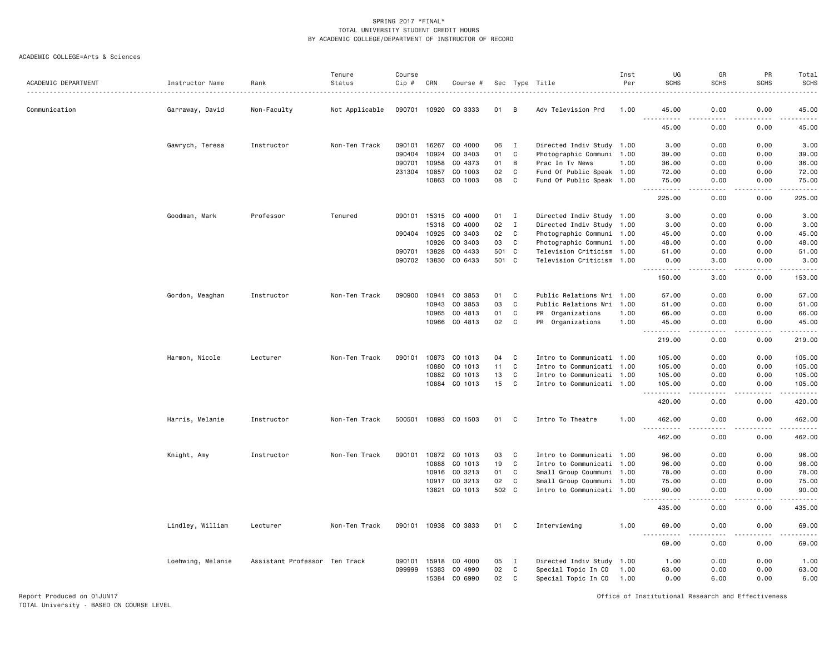### ACADEMIC COLLEGE=Arts & Sciences

|                     |                   |                               | Tenure         | Course           |                |                    |              |              |                                                        | Inst | UG                            | GR                    | PR           | Total                  |
|---------------------|-------------------|-------------------------------|----------------|------------------|----------------|--------------------|--------------|--------------|--------------------------------------------------------|------|-------------------------------|-----------------------|--------------|------------------------|
| ACADEMIC DEPARTMENT | Instructor Name   | Rank                          | Status         | Cip #            | CRN            | Course #           |              |              | Sec Type Title                                         | Per  | <b>SCHS</b>                   | <b>SCHS</b>           | <b>SCHS</b>  | SCHS<br>.              |
| Communication       | Garraway, David   | Non-Faculty                   | Not Applicable | 090701           | 10920          | CO 3333            | 01           | В            | Adv Television Prd                                     | 1.00 | 45.00                         | 0.00                  | 0.00         | 45.00                  |
|                     |                   |                               |                |                  |                |                    |              |              |                                                        |      | $\sim$ $\sim$ $\sim$<br>45.00 | 0.00                  | 0.00         | 45.00                  |
|                     | Gawrych, Teresa   | Instructor                    | Non-Ten Track  | 090101           | 16267          | CO 4000            | 06           | $\mathbf{I}$ | Directed Indiv Study 1.00                              |      | 3.00                          | 0.00                  | 0.00         | 3.00                   |
|                     |                   |                               |                | 090404           | 10924          | CO 3403            | 01           | $\mathbf C$  | Photographic Communi 1.00                              |      | 39.00                         | 0.00                  | 0.00         | 39.00                  |
|                     |                   |                               |                | 090701           | 10958          | CO 4373            | 01           | B            | Prac In Tv News                                        | 1.00 | 36.00                         | 0.00                  | 0.00         | 36.00                  |
|                     |                   |                               |                | 231304           | 10857          | CO 1003            | 02           | C            | Fund Of Public Speak 1.00                              |      | 72.00                         | 0.00                  | 0.00         | 72.00                  |
|                     |                   |                               |                |                  | 10863          | CO 1003            | 08           | C            | Fund Of Public Speak 1.00                              |      | 75.00<br>.                    | 0.00<br>د د د د       | 0.00<br>.    | 75.00<br>.             |
|                     |                   |                               |                |                  |                |                    |              |              |                                                        |      | 225.00                        | 0.00                  | 0.00         | 225.00                 |
|                     | Goodman, Mark     | Professor                     | Tenured        | 090101           | 15315          | CO 4000            | 01           | $\mathbf I$  | Directed Indiv Study 1.00                              |      | 3.00                          | 0.00                  | 0.00         | 3.00                   |
|                     |                   |                               |                |                  | 15318          | CO 4000            | 02           | $\mathbf I$  | Directed Indiv Study 1.00                              |      | 3.00                          | 0.00                  | 0.00         | 3.00                   |
|                     |                   |                               |                | 090404           | 10925          | CO 3403            | 02           | C            | Photographic Communi 1.00                              |      | 45.00                         | 0.00                  | 0.00         | 45.00                  |
|                     |                   |                               |                |                  | 10926          | CO 3403            | 03           | C            | Photographic Communi 1.00                              |      | 48.00                         | 0.00<br>0.00          | 0.00<br>0.00 | 48.00                  |
|                     |                   |                               |                | 090701<br>090702 | 13828<br>13830 | CO 4433<br>CO 6433 | 501<br>501 C | C            | Television Criticism 1.00<br>Television Criticism 1.00 |      | 51.00<br>0.00                 | 3.00                  | 0.00         | 51.00<br>3.00          |
|                     |                   |                               |                |                  |                |                    |              |              |                                                        |      | .                             | الدامات بال           | .            | .                      |
|                     |                   |                               |                |                  |                |                    |              |              |                                                        |      | 150.00                        | 3.00                  | 0.00         | 153.00                 |
|                     | Gordon, Meaghan   | Instructor                    | Non-Ten Track  | 090900           | 10941          | CO 3853            | 01           | C            | Public Relations Wri 1.00                              |      | 57.00                         | 0.00                  | 0.00         | 57.00                  |
|                     |                   |                               |                |                  | 10943          | CO 3853            | 03           | C            | Public Relations Wri                                   | 1.00 | 51.00                         | 0.00                  | 0.00         | 51.00                  |
|                     |                   |                               |                |                  | 10965          | CO 4813            | 01           | C            | PR Organizations                                       | 1.00 | 66.00                         | 0.00                  | 0.00         | 66.00                  |
|                     |                   |                               |                |                  | 10966          | CO 4813            | 02           | C            | PR Organizations                                       | 1.00 | 45.00<br>$- - - - -$          | 0.00<br>المالم مالك   | 0.00<br>.    | 45.00<br>.             |
|                     |                   |                               |                |                  |                |                    |              |              |                                                        |      | 219.00                        | 0.00                  | 0.00         | 219.00                 |
|                     | Harmon, Nicole    | Lecturer                      | Non-Ten Track  | 090101           | 10873          | CO 1013            | 04           | C            | Intro to Communicati 1.00                              |      | 105.00                        | 0.00                  | 0.00         | 105.00                 |
|                     |                   |                               |                |                  | 10880          | CO 1013            | 11           | C            | Intro to Communicati 1.00                              |      | 105.00                        | 0.00                  | 0.00         | 105.00                 |
|                     |                   |                               |                |                  | 10882          | CO 1013            | 13           | C            | Intro to Communicati 1.00                              |      | 105.00                        | 0.00                  | 0.00         | 105.00                 |
|                     |                   |                               |                |                  | 10884          | CO 1013            | 15           | C            | Intro to Communicati 1.00                              |      | 105.00                        | 0.00                  | 0.00         | 105.00                 |
|                     |                   |                               |                |                  |                |                    |              |              |                                                        |      | .<br>420.00                   | $\frac{1}{2}$<br>0.00 | .<br>0.00    | .<br>420.00            |
|                     | Harris, Melanie   | Instructor                    | Non-Ten Track  | 500501           |                | 10893 CO 1503      | 01           | C            | Intro To Theatre                                       | 1.00 | 462.00                        | 0.00                  | 0.00         | 462.00                 |
|                     |                   |                               |                |                  |                |                    |              |              |                                                        |      | 462.00                        | 0.00                  | 0.00         | 462.00                 |
|                     | Knight, Amy       | Instructor                    | Non-Ten Track  | 090101           | 10872          | CO 1013            | 03           | C            | Intro to Communicati 1.00                              |      | 96.00                         | 0.00                  | 0.00         | 96.00                  |
|                     |                   |                               |                |                  | 10888          | CO 1013            | 19           | C            | Intro to Communicati 1.00                              |      | 96.00                         | 0.00                  | 0.00         | 96.00                  |
|                     |                   |                               |                |                  | 10916          | CO 3213            | 01           | C            | Small Group Coummuni 1.00                              |      | 78.00                         | 0.00                  | 0.00         | 78.00                  |
|                     |                   |                               |                |                  | 10917          | CO 3213            | 02           | C            | Small Group Coummuni 1.00                              |      | 75.00                         | 0.00                  | 0.00         | 75.00                  |
|                     |                   |                               |                |                  | 13821          | CO 1013            | 502 C        |              | Intro to Communicati 1.00                              |      | 90.00<br>.                    | 0.00<br>$- - -$       | 0.00<br>.    | 90.00<br>.             |
|                     |                   |                               |                |                  |                |                    |              |              |                                                        |      | 435.00                        | 0.00                  | 0.00         | 435.00                 |
|                     | Lindley, William  | Lecturer                      | Non-Ten Track  | 090101           | 10938          | CO 3833            | 01           | C            | Interviewing                                           | 1.00 | 69.00                         | 0.00                  | 0.00         | 69.00<br>$\frac{1}{2}$ |
|                     |                   |                               |                |                  |                |                    |              |              |                                                        |      | 69.00                         | 0.00                  | 0.00         | 69.00                  |
|                     | Loehwing, Melanie | Assistant Professor Ten Track |                | 090101           | 15918          | CO 4000            | 05           | I            | Directed Indiv Study 1.00                              |      | 1.00                          | 0.00                  | 0.00         | 1.00                   |
|                     |                   |                               |                | 099999           | 15383          | CO 4990            | 02           | C            | Special Topic In CO                                    | 1.00 | 63.00                         | 0.00                  | 0.00         | 63.00                  |
|                     |                   |                               |                |                  | 15384          | CO 6990            | 02           | C            | Special Topic In CO                                    | 1.00 | 0.00                          | 6.00                  | 0.00         | 6.00                   |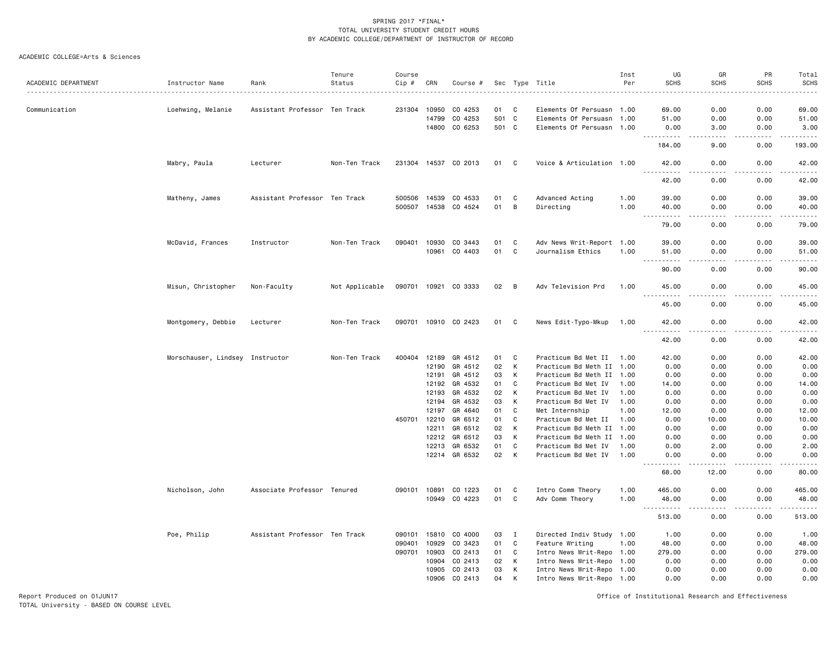### ACADEMIC COLLEGE=Arts & Sciences

|                     |                                 |                               | Tenure         | Course       |                |                      |          |              |                                            | Inst         | UG                                 | GR                                                                                                                                | PR           | Total                             |
|---------------------|---------------------------------|-------------------------------|----------------|--------------|----------------|----------------------|----------|--------------|--------------------------------------------|--------------|------------------------------------|-----------------------------------------------------------------------------------------------------------------------------------|--------------|-----------------------------------|
| ACADEMIC DEPARTMENT | Instructor Name                 | Rank                          | Status         | Cip #        | CRN            | Course #             |          |              | Sec Type Title                             | Per          | <b>SCHS</b>                        | <b>SCHS</b>                                                                                                                       | <b>SCHS</b>  | <b>SCHS</b><br>$- - - -$          |
|                     |                                 |                               |                |              |                |                      |          |              |                                            |              |                                    |                                                                                                                                   |              |                                   |
| Communication       | Loehwing, Melanie               | Assistant Professor Ten Track |                | 231304       | 10950          | CO 4253              | 01       | C            | Elements Of Persuasn 1.00                  |              | 69.00                              | 0.00                                                                                                                              | 0.00         | 69.00                             |
|                     |                                 |                               |                |              | 14799          | CO 4253              | 501 C    |              | Elements Of Persuasn 1.00                  |              | 51.00                              | 0.00                                                                                                                              | 0.00         | 51.00                             |
|                     |                                 |                               |                |              | 14800          | CO 6253              | 501 C    |              | Elements Of Persuasn 1.00                  |              | 0.00                               | 3.00                                                                                                                              | 0.00         | 3.00<br>$\sim 100$ and $\sim 100$ |
|                     |                                 |                               |                |              |                |                      |          |              |                                            |              | 184.00                             | 9.00                                                                                                                              | 0.00         | 193.00                            |
|                     | Mabry, Paula                    | Lecturer                      | Non-Ten Track  |              |                | 231304 14537 CO 2013 | 01 C     |              | Voice & Articulation 1.00                  |              | 42.00<br>.                         | 0.00<br>$- - - -$                                                                                                                 | 0.00<br>.    | 42.00<br>.                        |
|                     |                                 |                               |                |              |                |                      |          |              |                                            |              | 42.00                              | 0.00                                                                                                                              | 0.00         | 42.00                             |
|                     | Matheny, James                  | Assistant Professor           | Ten Track      | 500506       | 14539          | CO 4533              | 01       | C            | Advanced Acting                            | 1.00         | 39.00                              | 0.00                                                                                                                              | 0.00         | 39.00                             |
|                     |                                 |                               |                | 500507       | 14538          | CO 4524              | 01       | B            | Directing                                  | 1.00         | 40.00                              | 0.00                                                                                                                              | 0.00         | 40.00                             |
|                     |                                 |                               |                |              |                |                      |          |              |                                            |              | $\sim$ $\sim$ $\sim$<br>79.00      | 0.00                                                                                                                              | 0.00         | .<br>79.00                        |
|                     | McDavid, Frances                | Instructor                    | Non-Ten Track  | 090401       | 10930          | CO 3443              | 01       | C            | Adv News Writ-Report 1.00                  |              | 39.00                              | 0.00                                                                                                                              | 0.00         | 39.00                             |
|                     |                                 |                               |                |              | 10961          | CO 4403              | 01       | $\mathbf C$  | Journalism Ethics                          | 1.00         | 51.00                              | 0.00                                                                                                                              | 0.00         | 51.00                             |
|                     |                                 |                               |                |              |                |                      |          |              |                                            |              | $\sim$ $\sim$ $\sim$<br>.<br>90.00 | $\frac{1}{2} \left( \frac{1}{2} \right) \left( \frac{1}{2} \right) \left( \frac{1}{2} \right) \left( \frac{1}{2} \right)$<br>0.00 | .<br>0.00    | د د د د د<br>90.00                |
|                     | Misun, Christopher              | Non-Faculty                   | Not Applicable | 090701 10921 |                | CO 3333              | 02       | B            | Adv Television Prd                         | 1.00         | 45.00                              | 0.00                                                                                                                              | 0.00         | 45.00                             |
|                     |                                 |                               |                |              |                |                      |          |              |                                            |              | -----<br>45.00                     | 0.00                                                                                                                              | .<br>0.00    | $    -$<br>45.00                  |
|                     | Montgomery, Debbie              | Lecturer                      | Non-Ten Track  |              |                | 090701 10910 CO 2423 | 01       | C            | News Edit-Typo-Mkup                        | 1.00         | 42.00                              | 0.00                                                                                                                              | 0.00         | 42.00                             |
|                     |                                 |                               |                |              |                |                      |          |              |                                            |              | . <b>.</b> .<br>42.00              | $\frac{1}{2}$<br>0.00                                                                                                             | .<br>0.00    | .<br>42.00                        |
|                     | Morschauser, Lindsey Instructor |                               | Non-Ten Track  | 400404       | 12189          | GR 4512              | 01       | C            | Practicum Bd Met II                        | 1.00         | 42.00                              | 0.00                                                                                                                              | 0.00         | 42.00                             |
|                     |                                 |                               |                |              | 12190          | GR 4512              | 02       | K            | Practicum Bd Meth II 1.00                  |              | 0.00                               | 0.00                                                                                                                              | 0.00         | 0.00                              |
|                     |                                 |                               |                |              | 12191          | GR 4512              | 03       | К            | Practicum Bd Meth II 1.00                  |              | 0.00                               | 0.00                                                                                                                              | 0.00         | 0.00                              |
|                     |                                 |                               |                |              | 12192          | GR 4532              | 01       | C            | Practicum Bd Met IV                        | 1.00         | 14.00                              | 0.00                                                                                                                              | 0.00         | 14.00                             |
|                     |                                 |                               |                |              | 12193          | GR 4532              | 02       | К            | Practicum Bd Met IV                        | 1.00         | 0.00                               | 0.00                                                                                                                              | 0.00         | 0.00                              |
|                     |                                 |                               |                |              | 12194          | GR 4532              | 03       | К            | Practicum Bd Met IV                        | 1.00         | 0.00                               | 0.00                                                                                                                              | 0.00         | 0.00                              |
|                     |                                 |                               |                |              | 12197          | GR 4640              | 01       | $\mathbf C$  | Met Internship                             | 1.00         | 12.00                              | 0.00                                                                                                                              | 0.00         | 12.00                             |
|                     |                                 |                               |                | 450701       | 12210          | GR 6512              | 01       | C            | Practicum Bd Met II                        | 1.00         | 0.00                               | 10.00                                                                                                                             | 0.00         | 10.00                             |
|                     |                                 |                               |                |              | 12211          | GR 6512              | 02       | К            | Practicum Bd Meth II 1.00                  |              | 0.00                               | 0.00                                                                                                                              | 0.00         | 0.00                              |
|                     |                                 |                               |                |              | 12212          | GR 6512              | 03       | К            | Practicum Bd Meth II 1.00                  |              | 0.00                               | 0.00                                                                                                                              | 0.00         | 0.00                              |
|                     |                                 |                               |                |              | 12213<br>12214 | GR 6532<br>GR 6532   | 01<br>02 | C<br>К       | Practicum Bd Met IV<br>Practicum Bd Met IV | 1.00<br>1.00 | 0.00<br>0.00                       | 2.00<br>0.00                                                                                                                      | 0.00<br>0.00 | 2.00<br>0.00                      |
|                     |                                 |                               |                |              |                |                      |          |              |                                            |              | 68.00                              | 12.00                                                                                                                             | 0.00         | $\frac{1}{2}$<br>80.00            |
|                     |                                 |                               |                |              |                |                      |          |              |                                            |              |                                    |                                                                                                                                   |              |                                   |
|                     | Nicholson, John                 | Associate Professor Tenured   |                | 090101 10891 |                | CO 1223              | 01<br>01 | C<br>C       | Intro Comm Theory                          | 1.00         | 465.00                             | 0.00                                                                                                                              | 0.00         | 465.00                            |
|                     |                                 |                               |                |              |                | 10949 CO 4223        |          |              | Adv Comm Theory                            | 1.00         | 48.00<br>$\sim$ $\sim$ $\sim$<br>. | 0.00<br>.                                                                                                                         | 0.00<br>.    | 48.00<br>.                        |
|                     |                                 |                               |                |              |                |                      |          |              |                                            |              | 513.00                             | 0.00                                                                                                                              | 0.00         | 513.00                            |
|                     | Poe, Philip                     | Assistant Professor Ten Track |                | 090101       | 15810          | CO 4000              | 03       | $\mathbf{I}$ | Directed Indiv Study 1.00                  |              | 1.00                               | 0.00                                                                                                                              | 0.00         | 1.00                              |
|                     |                                 |                               |                | 090401       | 10929          | CO 3423              | 01       | $\mathbf C$  | Feature Writing                            | 1.00         | 48.00                              | 0.00                                                                                                                              | 0.00         | 48.00                             |
|                     |                                 |                               |                | 090701       | 10903          | CO 2413              | 01       | C            | Intro News Writ-Repo 1.00                  |              | 279.00                             | 0.00                                                                                                                              | 0.00         | 279.00                            |
|                     |                                 |                               |                |              | 10904          | CO 2413              | 02       | К            | Intro News Writ-Repo 1.00                  |              | 0.00                               | 0.00                                                                                                                              | 0.00         | 0.00                              |
|                     |                                 |                               |                |              | 10905          | CO 2413              | 03       | К            | Intro News Writ-Repo 1.00                  |              | 0.00                               | 0.00                                                                                                                              | 0.00         | 0.00                              |
|                     |                                 |                               |                |              | 10906          | CO 2413              | 04       | K            | Intro News Writ-Repo 1.00                  |              | 0.00                               | 0.00                                                                                                                              | 0.00         | 0.00                              |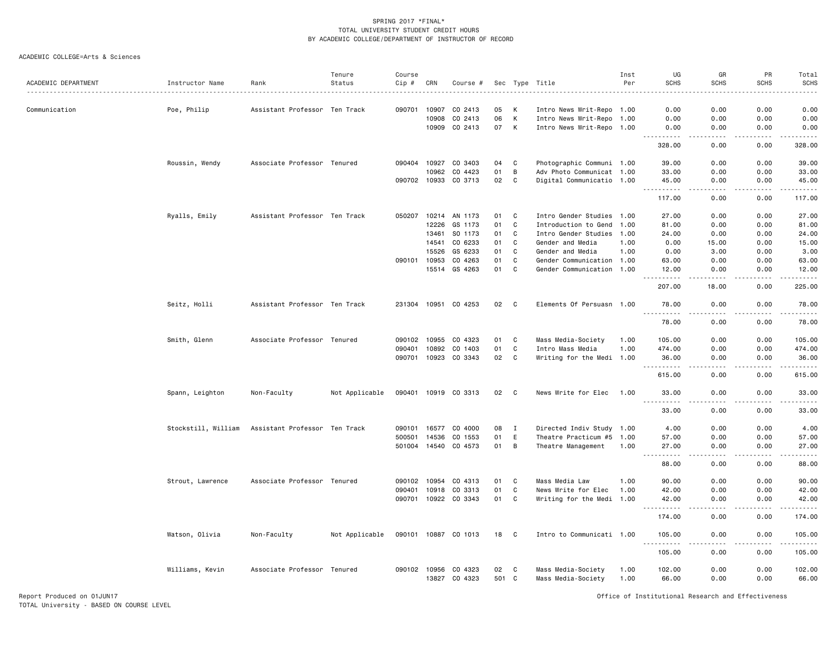#### ACADEMIC COLLEGE=Arts & Sciences

|                     |                     |                               | Tenure         | Course       |       |                      |          |              |                           | Inst | UG                                                                                                                                                            | GR                    | PR                    | Total            |
|---------------------|---------------------|-------------------------------|----------------|--------------|-------|----------------------|----------|--------------|---------------------------|------|---------------------------------------------------------------------------------------------------------------------------------------------------------------|-----------------------|-----------------------|------------------|
| ACADEMIC DEPARTMENT | Instructor Name     | Rank                          | Status         | Cip #        | CRN   | Course #             |          |              | Sec Type Title            | Per  | <b>SCHS</b>                                                                                                                                                   | <b>SCHS</b>           | <b>SCHS</b>           | <b>SCHS</b><br>. |
|                     |                     |                               |                |              |       |                      |          |              |                           |      |                                                                                                                                                               |                       |                       |                  |
| Communication       | Poe, Philip         | Assistant Professor Ten Track |                | 090701       | 10907 | CO 2413              | 05<br>06 | К<br>К       | Intro News Writ-Repo 1.00 |      | 0.00                                                                                                                                                          | 0.00                  | 0.00                  | 0.00             |
|                     |                     |                               |                |              | 10908 | CO 2413              |          |              | Intro News Writ-Repo 1.00 |      | 0.00                                                                                                                                                          | 0.00                  | 0.00                  | 0.00             |
|                     |                     |                               |                |              | 10909 | CO 2413              | 07       | $\mathsf{K}$ | Intro News Writ-Repo 1.00 |      | 0.00                                                                                                                                                          | 0.00                  | 0.00                  | 0.00             |
|                     |                     |                               |                |              |       |                      |          |              |                           |      | 328.00                                                                                                                                                        | 0.00                  | 0.00                  | 328.00           |
|                     | Roussin, Wendy      | Associate Professor Tenured   |                | 090404       |       | 10927 CO 3403        | 04       | C            | Photographic Communi 1.00 |      | 39.00                                                                                                                                                         | 0.00                  | 0.00                  | 39.00            |
|                     |                     |                               |                |              | 10962 | CO 4423              | 01       | B            | Adv Photo Communicat 1.00 |      | 33.00                                                                                                                                                         | 0.00                  | 0.00                  | 33.00            |
|                     |                     |                               |                | 090702       | 10933 | CO 3713              | 02       | $\mathtt{C}$ | Digital Communicatio 1.00 |      | 45.00                                                                                                                                                         | 0.00                  | 0.00                  | 45.00            |
|                     |                     |                               |                |              |       |                      |          |              |                           |      | ----------<br>117.00                                                                                                                                          | 0.00                  | .<br>0.00             | ------<br>117.00 |
|                     | Ryalls, Emily       | Assistant Professor Ten Track |                | 050207       |       | 10214 AN 1173        | 01       | C            | Intro Gender Studies 1.00 |      | 27.00                                                                                                                                                         | 0.00                  | 0.00                  | 27.00            |
|                     |                     |                               |                |              | 12226 | GS 1173              | 01       | C            | Introduction to Gend      | 1.00 | 81.00                                                                                                                                                         | 0.00                  | 0.00                  | 81.00            |
|                     |                     |                               |                |              | 13461 | SO 1173              | 01       | C            | Intro Gender Studies      | 1.00 | 24.00                                                                                                                                                         | 0.00                  | 0.00                  | 24.00            |
|                     |                     |                               |                |              | 14541 | CO 6233              | 01       | $\mathbb{C}$ | Gender and Media          | 1.00 | 0.00                                                                                                                                                          | 15.00                 | 0.00                  | 15.00            |
|                     |                     |                               |                |              | 15526 | GS 6233              | 01       | $\mathbb{C}$ | Gender and Media          | 1.00 | 0.00                                                                                                                                                          | 3.00                  | 0.00                  | 3.00             |
|                     |                     |                               |                | 090101       | 10953 | CO 4263              | 01       | $\mathbb{C}$ | Gender Communication 1.00 |      | 63.00                                                                                                                                                         | 0.00                  | 0.00                  | 63.00            |
|                     |                     |                               |                |              |       | 15514 GS 4263        | 01       | C            | Gender Communication      | 1.00 | 12.00                                                                                                                                                         | 0.00                  | 0.00                  | 12.00            |
|                     |                     |                               |                |              |       |                      |          |              |                           |      | 207.00                                                                                                                                                        | 18.00                 | $\frac{1}{2}$<br>0.00 | .<br>225.00      |
|                     |                     |                               |                |              |       |                      |          |              |                           |      |                                                                                                                                                               |                       |                       |                  |
|                     | Seitz, Holli        | Assistant Professor Ten Track |                |              |       | 231304 10951 CO 4253 | 02       | C            | Elements Of Persuasn 1.00 |      | 78.00<br><u> - - - - - - - - - -</u>                                                                                                                          | 0.00                  | 0.00                  | 78.00<br>------  |
|                     |                     |                               |                |              |       |                      |          |              |                           |      | 78.00                                                                                                                                                         | 0.00                  | 0.00                  | 78.00            |
|                     | Smith, Glenn        | Associate Professor Tenured   |                | 090102       | 10955 | CO 4323              | 01       | C            | Mass Media-Society        | 1.00 | 105.00                                                                                                                                                        | 0.00                  | 0.00                  | 105.00           |
|                     |                     |                               |                | 090401       | 10892 | CO 1403              | 01       | $\mathtt{C}$ | Intro Mass Media          | 1.00 | 474.00                                                                                                                                                        | 0.00                  | 0.00                  | 474.00           |
|                     |                     |                               |                | 090701       | 10923 | CO 3343              | 02       | $\mathbb{C}$ | Writing for the Medi      | 1.00 | 36.00                                                                                                                                                         | 0.00                  | 0.00                  | 36.00            |
|                     |                     |                               |                |              |       |                      |          |              |                           |      | 615.00                                                                                                                                                        | 0.00                  | 0.00                  | .<br>615.00      |
|                     | Spann, Leighton     | Non-Faculty                   | Not Applicable |              |       | 090401 10919 CO 3313 | 02       | $\mathbf{C}$ | News Write for Elec       | 1.00 | 33.00                                                                                                                                                         | 0.00                  | 0.00                  | 33.00            |
|                     |                     |                               |                |              |       |                      |          |              |                           |      | $\frac{1}{2}$<br>33.00                                                                                                                                        | 0.00                  | 0.00                  | .<br>33.00       |
|                     | Stockstill, William | Assistant Professor Ten Track |                | 090101       | 16577 | CO 4000              | 08       | Ι            | Directed Indiv Study 1.00 |      | 4.00                                                                                                                                                          | 0.00                  | 0.00                  | 4.00             |
|                     |                     |                               |                | 500501       | 14536 | CO 1553              | 01       | E            | Theatre Practicum #5      | 1.00 | 57.00                                                                                                                                                         | 0.00                  | 0.00                  | 57.00            |
|                     |                     |                               |                | 501004       |       | 14540 CO 4573        | 01       | B            | Theatre Management        | 1.00 | 27.00                                                                                                                                                         | 0.00                  | 0.00                  | 27.00            |
|                     |                     |                               |                |              |       |                      |          |              |                           |      | $\frac{1}{2} \left( \frac{1}{2} \right) \left( \frac{1}{2} \right) \left( \frac{1}{2} \right) \left( \frac{1}{2} \right) \left( \frac{1}{2} \right)$<br>88.00 | $\frac{1}{2}$<br>0.00 | .<br>0.00             | .<br>88.00       |
|                     | Strout, Lawrence    | Associate Professor Tenured   |                | 090102       | 10954 | CO 4313              | 01       | C            | Mass Media Law            | 1.00 | 90.00                                                                                                                                                         | 0.00                  | 0.00                  | 90.00            |
|                     |                     |                               |                | 090401       | 10918 | CO 3313              | 01       | $\mathtt{C}$ | News Write for Elec       | 1.00 | 42.00                                                                                                                                                         | 0.00                  | 0.00                  | 42.00            |
|                     |                     |                               |                |              |       | 090701 10922 CO 3343 | 01       | $\mathbf{C}$ | Writing for the Medi 1.00 |      | 42.00                                                                                                                                                         | 0.00                  | 0.00                  | 42.00            |
|                     |                     |                               |                |              |       |                      |          |              |                           |      |                                                                                                                                                               |                       |                       | المتمامين        |
|                     |                     |                               |                |              |       |                      |          |              |                           |      | 174.00                                                                                                                                                        | 0.00                  | 0.00                  | 174.00           |
|                     | Watson, Olivia      | Non-Faculty                   | Not Applicable |              |       | 090101 10887 CO 1013 | 18       | C            | Intro to Communicati 1.00 |      | 105.00<br>.                                                                                                                                                   | 0.00                  | 0.00<br>$   -$        | 105.00<br>.      |
|                     |                     |                               |                |              |       |                      |          |              |                           |      | 105.00                                                                                                                                                        | 0.00                  | 0.00                  | 105.00           |
|                     | Williams, Kevin     | Associate Professor Tenured   |                | 090102 10956 |       | CO 4323              | 02       | C            | Mass Media-Society        | 1.00 | 102.00                                                                                                                                                        | 0.00                  | 0.00                  | 102.00           |
|                     |                     |                               |                |              |       | 13827 CO 4323        | 501 C    |              | Mass Media-Society        | 1.00 | 66.00                                                                                                                                                         | 0.00                  | 0.00                  | 66.00            |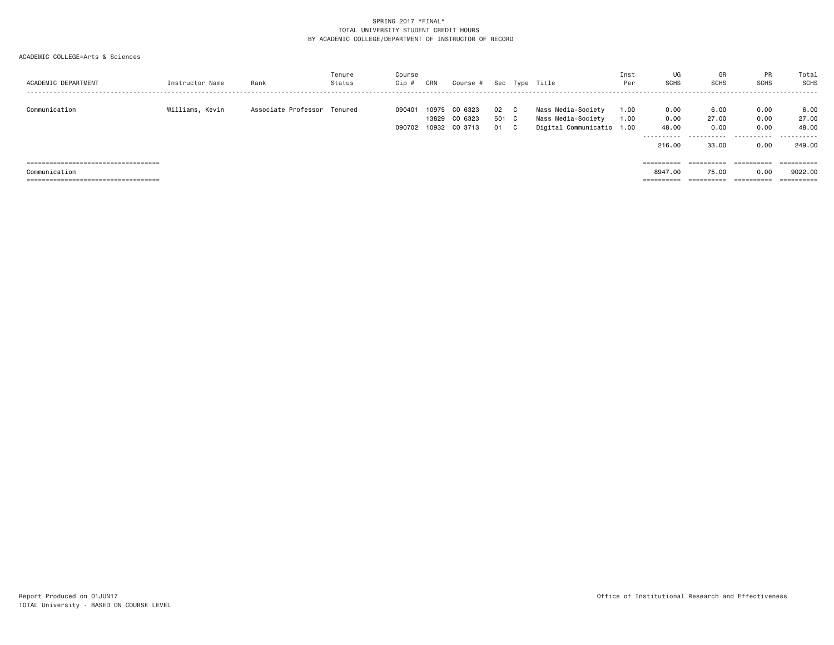| ACADEMIC DEPARTMENT                                    | Instructor Name | Rank                        | Tenure<br>Status | Course<br>Cip # | CRN            | Course #                                   |                     |    | Sec Type Title                                                        | Inst<br>Per  | UG<br><b>SCHS</b>     | GR<br><b>SCHS</b>     | PR<br><b>SCHS</b>    | Total<br><b>SCHS</b><br>------ |
|--------------------------------------------------------|-----------------|-----------------------------|------------------|-----------------|----------------|--------------------------------------------|---------------------|----|-----------------------------------------------------------------------|--------------|-----------------------|-----------------------|----------------------|--------------------------------|
| Communication                                          | Williams, Kevin | Associate Professor Tenured |                  | 090401          | 10975<br>13829 | CO 6323<br>CO 6323<br>090702 10932 CO 3713 | 02 C<br>501 C<br>01 | C. | Mass Media-Society<br>Mass Media-Society<br>Digital Communicatio 1.00 | 1.00<br>1.00 | 0.00<br>0.00<br>48.00 | 6.00<br>27.00<br>0.00 | 0.00<br>0.00<br>0.00 | 6.00<br>27.00<br>48.00         |
|                                                        |                 |                             |                  |                 |                |                                            |                     |    |                                                                       |              | ----------<br>216,00  | .<br>33.00            | .<br>0.00            | .<br>249.00                    |
| =====================================                  |                 |                             |                  |                 |                |                                            |                     |    |                                                                       |              | ==========            | $=$ = = = = = = = = = | ==========           |                                |
| Communication<br>===================================== |                 |                             |                  |                 |                |                                            |                     |    |                                                                       |              | 8947.00<br>========== | 75.00<br>==========   | 0.00<br>==========   | 9022.00                        |
|                                                        |                 |                             |                  |                 |                |                                            |                     |    |                                                                       |              |                       |                       |                      |                                |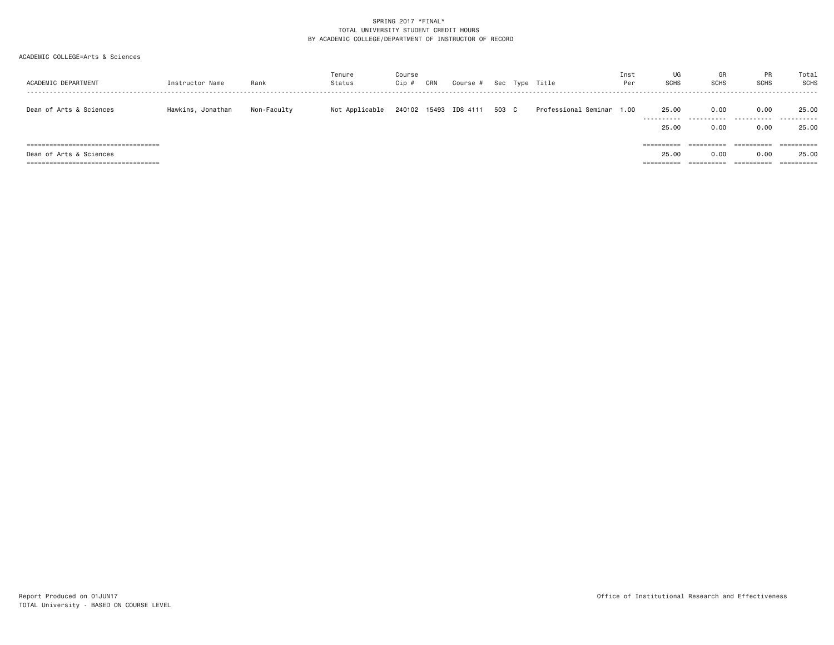| ACADEMIC DEPARTMENT                    | Instructor Name   | Rank        | Tenure<br>Status | Course<br>$Cip$ # | CRN | Course #              |       | Sec Type Title            | Inst<br>Per | UG<br><b>SCHS</b> | GR<br><b>SCHS</b> | <b>PR</b><br><b>SCHS</b> | Total<br><b>SCHS</b> |
|----------------------------------------|-------------------|-------------|------------------|-------------------|-----|-----------------------|-------|---------------------------|-------------|-------------------|-------------------|--------------------------|----------------------|
| Dean of Arts & Sciences                | Hawkins, Jonathan | Non-Faculty | Not Applicable   |                   |     | 240102 15493 IDS 4111 | 503 C | Professional Seminar 1.00 |             | 25.00<br>.        | 0.00              | 0.00                     | 25.00                |
|                                        |                   |             |                  |                   |     |                       |       |                           |             | 25,00             | 0.00              | 0.00                     | 25.00                |
| ====================================== |                   |             |                  |                   |     |                       |       |                           |             | ==========        | ==========        | ==========               |                      |
| Dean of Arts & Sciences                |                   |             |                  |                   |     |                       |       |                           |             | 25,00             | 0.00              | 0.00                     | 25.00                |
| ====================================== |                   |             |                  |                   |     |                       |       |                           |             | ==========        | ==========        | ==========               | ==========           |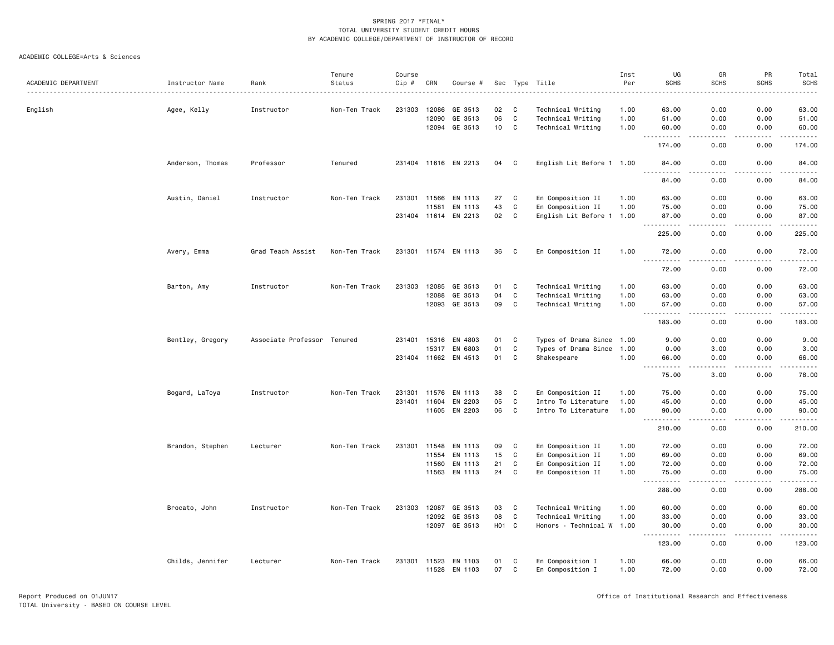|                     |                  |                             | Tenure        | Course       |              |                      |                 |              |                           | Inst | UG                                                                                                                                                                                               | GR                    | PR                                                                                                                                                           | Total                                                                                                                                                         |
|---------------------|------------------|-----------------------------|---------------|--------------|--------------|----------------------|-----------------|--------------|---------------------------|------|--------------------------------------------------------------------------------------------------------------------------------------------------------------------------------------------------|-----------------------|--------------------------------------------------------------------------------------------------------------------------------------------------------------|---------------------------------------------------------------------------------------------------------------------------------------------------------------|
| ACADEMIC DEPARTMENT | Instructor Name  | Rank                        | Status        | Cip #        | CRN          | Course #             |                 |              | Sec Type Title            | Per  | <b>SCHS</b>                                                                                                                                                                                      | <b>SCHS</b>           | <b>SCHS</b>                                                                                                                                                  | SCHS                                                                                                                                                          |
|                     |                  |                             |               |              |              |                      |                 |              |                           |      |                                                                                                                                                                                                  |                       |                                                                                                                                                              |                                                                                                                                                               |
| English             | Agee, Kelly      | Instructor                  | Non-Ten Track | 231303       | 12086        | GE 3513              | 02              | C            | Technical Writing         | 1.00 | 63.00                                                                                                                                                                                            | 0.00                  | 0.00                                                                                                                                                         | 63.00                                                                                                                                                         |
|                     |                  |                             |               |              | 12090        | GE 3513              | 06              | C            | Technical Writing         | 1.00 | 51.00                                                                                                                                                                                            | 0.00                  | 0.00                                                                                                                                                         | 51.00                                                                                                                                                         |
|                     |                  |                             |               |              |              | 12094 GE 3513        | 10 <sub>1</sub> | C            | Technical Writing         | 1.00 | 60.00<br>$ -$<br>$\frac{1}{2} \left( \frac{1}{2} \right) \left( \frac{1}{2} \right) \left( \frac{1}{2} \right) \left( \frac{1}{2} \right) \left( \frac{1}{2} \right) \left( \frac{1}{2} \right)$ | 0.00<br>$   -$        | 0.00<br>$- - - - -$                                                                                                                                          | 60.00<br>.                                                                                                                                                    |
|                     |                  |                             |               |              |              |                      |                 |              |                           |      | 174.00                                                                                                                                                                                           | 0.00                  | 0.00                                                                                                                                                         | 174.00                                                                                                                                                        |
|                     | Anderson, Thomas | Professor                   | Tenured       |              |              | 231404 11616 EN 2213 | 04              | C            | English Lit Before 1 1.00 |      | 84.00<br>$\frac{1}{2}$                                                                                                                                                                           | 0.00<br>د د د د       | 0.00<br>.                                                                                                                                                    | 84.00<br>.                                                                                                                                                    |
|                     |                  |                             |               |              |              |                      |                 |              |                           |      | 84.00                                                                                                                                                                                            | 0.00                  | 0.00                                                                                                                                                         | 84.00                                                                                                                                                         |
|                     | Austin, Daniel   | Instructor                  | Non-Ten Track | 231301       | 11566        | EN 1113              | 27              | C            | En Composition II         | 1.00 | 63.00                                                                                                                                                                                            | 0.00                  | 0.00                                                                                                                                                         | 63.00                                                                                                                                                         |
|                     |                  |                             |               |              | 11581        | EN 1113              | 43              | C            | En Composition II         | 1.00 | 75.00                                                                                                                                                                                            | 0.00                  | 0.00                                                                                                                                                         | 75.00                                                                                                                                                         |
|                     |                  |                             |               |              |              | 231404 11614 EN 2213 | 02              | C            | English Lit Before 1 1.00 |      | 87.00<br>$\sim$ $\sim$ $\sim$<br>.                                                                                                                                                               | 0.00<br>.             | 0.00<br>$\frac{1}{2} \left( \frac{1}{2} \right) \left( \frac{1}{2} \right) \left( \frac{1}{2} \right) \left( \frac{1}{2} \right) \left( \frac{1}{2} \right)$ | 87.00<br>$\frac{1}{2} \left( \frac{1}{2} \right) \left( \frac{1}{2} \right) \left( \frac{1}{2} \right) \left( \frac{1}{2} \right) \left( \frac{1}{2} \right)$ |
|                     |                  |                             |               |              |              |                      |                 |              |                           |      | 225.00                                                                                                                                                                                           | 0.00                  | 0.00                                                                                                                                                         | 225.00                                                                                                                                                        |
|                     | Avery, Emma      | Grad Teach Assist           | Non-Ten Track |              |              | 231301 11574 EN 1113 | 36              | C            | En Composition II         | 1.00 | 72.00<br>$ -$<br>. <b>.</b>                                                                                                                                                                      | 0.00<br>$\frac{1}{2}$ | 0.00<br><b>.</b>                                                                                                                                             | 72.00<br>.                                                                                                                                                    |
|                     |                  |                             |               |              |              |                      |                 |              |                           |      | 72.00                                                                                                                                                                                            | 0.00                  | 0.00                                                                                                                                                         | 72.00                                                                                                                                                         |
|                     | Barton, Amy      | Instructor                  | Non-Ten Track | 231303       | 12085        | GE 3513              | 01              | C            | Technical Writing         | 1.00 | 63.00                                                                                                                                                                                            | 0.00                  | 0.00                                                                                                                                                         | 63.00                                                                                                                                                         |
|                     |                  |                             |               |              | 12088        | GE 3513              | 04              | $\mathtt{C}$ | Technical Writing         | 1.00 | 63.00                                                                                                                                                                                            | 0.00                  | 0.00                                                                                                                                                         | 63.00                                                                                                                                                         |
|                     |                  |                             |               |              |              | 12093 GE 3513        | 09              | C            | Technical Writing         | 1.00 | 57.00                                                                                                                                                                                            | 0.00                  | 0.00                                                                                                                                                         | 57.00                                                                                                                                                         |
|                     |                  |                             |               |              |              |                      |                 |              |                           |      | $- - - - -$<br>183.00                                                                                                                                                                            | $   -$<br>0.00        | $- - - - -$<br>0.00                                                                                                                                          | .<br>183.00                                                                                                                                                   |
|                     | Bentley, Gregory | Associate Professor Tenured |               | 231401       | 15316        | EN 4803              | 01              | C            | Types of Drama Since 1.00 |      | 9.00                                                                                                                                                                                             | 0.00                  | 0.00                                                                                                                                                         | 9.00                                                                                                                                                          |
|                     |                  |                             |               |              | 15317        | EN 6803              | 01              | $\mathtt{C}$ | Types of Drama Since      | 1.00 | 0.00                                                                                                                                                                                             | 3.00                  | 0.00                                                                                                                                                         | 3.00                                                                                                                                                          |
|                     |                  |                             |               |              |              | 231404 11662 EN 4513 | 01              | C            | Shakespeare               | 1.00 | 66.00                                                                                                                                                                                            | 0.00                  | 0.00                                                                                                                                                         | 66.00                                                                                                                                                         |
|                     |                  |                             |               |              |              |                      |                 |              |                           |      | $\sim$ $\sim$ $\sim$<br>.<br>75.00                                                                                                                                                               | .<br>3.00             | .<br>0.00                                                                                                                                                    | .<br>78.00                                                                                                                                                    |
|                     | Bogard, LaToya   | Instructor                  | Non-Ten Track | 231301       | 11576        | EN 1113              | 38              | C            | En Composition II         | 1.00 | 75.00                                                                                                                                                                                            | 0.00                  | 0.00                                                                                                                                                         | 75.00                                                                                                                                                         |
|                     |                  |                             |               |              | 231401 11604 | EN 2203              | 05              | C            | Intro To Literature       | 1.00 | 45.00                                                                                                                                                                                            | 0.00                  | 0.00                                                                                                                                                         | 45.00                                                                                                                                                         |
|                     |                  |                             |               |              | 11605        | EN 2203              | 06              | C            | Intro To Literature       | 1.00 | 90.00                                                                                                                                                                                            | 0.00                  | 0.00                                                                                                                                                         | 90.00                                                                                                                                                         |
|                     |                  |                             |               |              |              |                      |                 |              |                           |      | $\sim$ $\sim$ .<br>.<br>210.00                                                                                                                                                                   | $\frac{1}{2}$<br>0.00 | .<br>0.00                                                                                                                                                    | .<br>210.00                                                                                                                                                   |
|                     | Brandon, Stephen | Lecturer                    | Non-Ten Track | 231301 11548 |              | EN 1113              | 09              | C            | En Composition II         | 1.00 | 72.00                                                                                                                                                                                            | 0.00                  | 0.00                                                                                                                                                         | 72.00                                                                                                                                                         |
|                     |                  |                             |               |              | 11554        | EN 1113              | 15              | C            | En Composition II         | 1.00 | 69.00                                                                                                                                                                                            | 0.00                  | 0.00                                                                                                                                                         | 69.00                                                                                                                                                         |
|                     |                  |                             |               |              | 11560        | EN 1113              | 21              | C            | En Composition II         | 1.00 | 72.00                                                                                                                                                                                            | 0.00                  | 0.00                                                                                                                                                         | 72.00                                                                                                                                                         |
|                     |                  |                             |               |              |              | 11563 EN 1113        | 24              | C            | En Composition II         | 1.00 | 75.00                                                                                                                                                                                            | 0.00                  | 0.00                                                                                                                                                         | 75.00                                                                                                                                                         |
|                     |                  |                             |               |              |              |                      |                 |              |                           |      | $\cdots$<br>288.00                                                                                                                                                                               | $\frac{1}{2}$<br>0.00 | .<br>0.00                                                                                                                                                    | .<br>288.00                                                                                                                                                   |
|                     | Brocato, John    | Instructor                  | Non-Ten Track | 231303       | 12087        | GE 3513              | 03              | C            | Technical Writing         | 1.00 | 60.00                                                                                                                                                                                            | 0.00                  | 0.00                                                                                                                                                         | 60.00                                                                                                                                                         |
|                     |                  |                             |               |              | 12092        | GE 3513              | 08              | C            | Technical Writing         | 1.00 | 33.00                                                                                                                                                                                            | 0.00                  | 0.00                                                                                                                                                         | 33.00                                                                                                                                                         |
|                     |                  |                             |               |              |              | 12097 GE 3513        | H01 C           |              | Honors - Technical W 1.00 |      | 30.00<br>$\sim$ $\sim$ $\sim$<br>. <u>.</u>                                                                                                                                                      | 0.00<br>.             | 0.00<br>.                                                                                                                                                    | 30.00<br>.                                                                                                                                                    |
|                     |                  |                             |               |              |              |                      |                 |              |                           |      | 123.00                                                                                                                                                                                           | 0.00                  | 0.00                                                                                                                                                         | 123.00                                                                                                                                                        |
|                     | Childs, Jennifer | Lecturer                    | Non-Ten Track |              | 231301 11523 | EN 1103              | 01              | C            | En Composition I          | 1.00 | 66.00                                                                                                                                                                                            | 0.00                  | 0.00                                                                                                                                                         | 66.00                                                                                                                                                         |
|                     |                  |                             |               |              | 11528        | EN 1103              | 07              | C            | En Composition I          | 1.00 | 72.00                                                                                                                                                                                            | 0.00                  | 0.00                                                                                                                                                         | 72.00                                                                                                                                                         |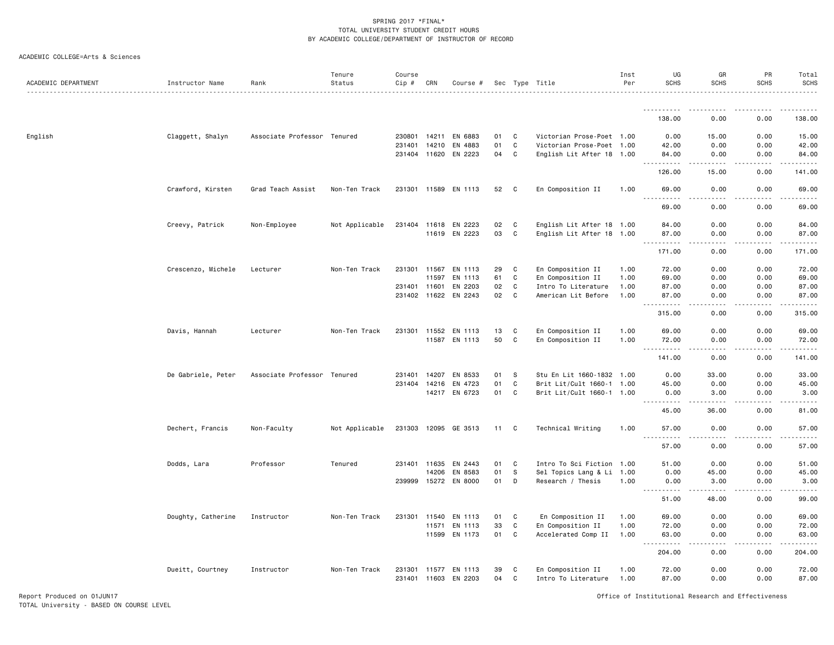ACADEMIC COLLEGE=Arts & Sciences

| ACADEMIC DEPARTMENT | Instructor Name    | Rank                        | Tenure<br>Status | Course<br>Cip # | CRN          | Course #             |    |              | Sec Type Title            | Inst<br>Per | UG<br><b>SCHS</b>                                                                                                                                             | GR<br><b>SCHS</b>                                                          | PR<br><b>SCHS</b>                                                                                                                                            | Total<br><b>SCHS</b> |
|---------------------|--------------------|-----------------------------|------------------|-----------------|--------------|----------------------|----|--------------|---------------------------|-------------|---------------------------------------------------------------------------------------------------------------------------------------------------------------|----------------------------------------------------------------------------|--------------------------------------------------------------------------------------------------------------------------------------------------------------|----------------------|
|                     |                    |                             |                  |                 |              |                      |    |              |                           |             |                                                                                                                                                               |                                                                            |                                                                                                                                                              |                      |
|                     |                    |                             |                  |                 |              |                      |    |              |                           |             | 138.00                                                                                                                                                        | 0.00                                                                       | 0.00                                                                                                                                                         | 138.00               |
| English             | Claggett, Shalyn   | Associate Professor Tenured |                  |                 | 230801 14211 | EN 6883              | 01 | C            | Victorian Prose-Poet 1.00 |             | 0.00                                                                                                                                                          | 15.00                                                                      | 0.00                                                                                                                                                         | 15.00                |
|                     |                    |                             |                  |                 | 231401 14210 | EN 4883              | 01 | $\mathtt{C}$ | Victorian Prose-Poet 1.00 |             | 42.00                                                                                                                                                         | 0.00                                                                       | 0.00                                                                                                                                                         | 42.00                |
|                     |                    |                             |                  |                 | 231404 11620 | EN 2223              | 04 | C            | English Lit After 18 1.00 |             | 84.00<br>$\sim$ $\sim$ $\sim$<br>.                                                                                                                            | 0.00<br>.                                                                  | 0.00<br>.                                                                                                                                                    | 84.00<br>.           |
|                     |                    |                             |                  |                 |              |                      |    |              |                           |             | 126.00                                                                                                                                                        | 15.00                                                                      | 0.00                                                                                                                                                         | 141.00               |
|                     | Crawford, Kirsten  | Grad Teach Assist           | Non-Ten Track    |                 |              | 231301 11589 EN 1113 | 52 | $\mathbf{C}$ | En Composition II         | 1.00        | 69.00                                                                                                                                                         | 0.00                                                                       | 0.00                                                                                                                                                         | 69.00                |
|                     |                    |                             |                  |                 |              |                      |    |              |                           |             | 69.00                                                                                                                                                         | 0.00                                                                       | 0.00                                                                                                                                                         | 69.00                |
|                     | Creevy, Patrick    | Non-Employee                | Not Applicable   |                 | 231404 11618 | EN 2223              | 02 | $\mathbf{C}$ | English Lit After 18 1.00 |             | 84.00                                                                                                                                                         | 0.00                                                                       | 0.00                                                                                                                                                         | 84.00                |
|                     |                    |                             |                  |                 | 11619        | EN 2223              | 03 | C            | English Lit After 18 1.00 |             | 87.00                                                                                                                                                         | 0.00                                                                       | 0.00                                                                                                                                                         | 87.00                |
|                     |                    |                             |                  |                 |              |                      |    |              |                           |             | . <b>.</b><br>$  -$<br>171.00                                                                                                                                 | .<br>0.00                                                                  | .<br>0.00                                                                                                                                                    | .<br>171.00          |
|                     | Crescenzo, Michele | Lecturer                    | Non-Ten Track    | 231301          | 11567        | EN 1113              | 29 | C            | En Composition II         | 1.00        | 72.00                                                                                                                                                         | 0.00                                                                       | 0.00                                                                                                                                                         | 72.00                |
|                     |                    |                             |                  |                 | 11597        | EN 1113              | 61 | C            | En Composition II         | 1.00        | 69.00                                                                                                                                                         | 0.00                                                                       | 0.00                                                                                                                                                         | 69.00                |
|                     |                    |                             |                  |                 | 231401 11601 | EN 2203              | 02 | C            | Intro To Literature       | 1.00        | 87.00                                                                                                                                                         | 0.00                                                                       | 0.00                                                                                                                                                         | 87.00                |
|                     |                    |                             |                  |                 | 231402 11622 | EN 2243              | 02 | C            | American Lit Before       | 1.00        | 87.00<br>.                                                                                                                                                    | 0.00<br>.<br>$\frac{1}{2} \frac{1}{2} \frac{1}{2} \frac{1}{2} \frac{1}{2}$ | 0.00<br>$\frac{1}{2} \left( \frac{1}{2} \right) \left( \frac{1}{2} \right) \left( \frac{1}{2} \right) \left( \frac{1}{2} \right) \left( \frac{1}{2} \right)$ | 87.00<br>.           |
|                     |                    |                             |                  |                 |              |                      |    |              |                           |             | 315.00                                                                                                                                                        | 0.00                                                                       | 0.00                                                                                                                                                         | 315.00               |
|                     | Davis, Hannah      | Lecturer                    | Non-Ten Track    |                 | 231301 11552 | EN 1113              | 13 | C            | En Composition II         | 1.00        | 69.00                                                                                                                                                         | 0.00                                                                       | 0.00                                                                                                                                                         | 69.00                |
|                     |                    |                             |                  |                 |              | 11587 EN 1113        | 50 | C            | En Composition II         | 1.00        | 72.00<br>.                                                                                                                                                    | 0.00<br>.                                                                  | 0.00                                                                                                                                                         | 72.00                |
|                     |                    |                             |                  |                 |              |                      |    |              |                           |             | 141.00                                                                                                                                                        | 0.00                                                                       | 0.00                                                                                                                                                         | 141.00               |
|                     | De Gabriele, Peter | Associate Professor         | Tenured          | 231401 14207    |              | EN 8533              | 01 | S            | Stu En Lit 1660-1832 1.00 |             | 0.00                                                                                                                                                          | 33.00                                                                      | 0.00                                                                                                                                                         | 33.00                |
|                     |                    |                             |                  |                 | 231404 14216 | EN 4723              | 01 | C            | Brit Lit/Cult 1660-1 1.00 |             | 45.00                                                                                                                                                         | 0.00                                                                       | 0.00                                                                                                                                                         | 45.00                |
|                     |                    |                             |                  |                 | 14217        | EN 6723              | 01 | C            | Brit Lit/Cult 1660-1 1.00 |             | 0.00<br><u>.</u>                                                                                                                                              | 3.00<br>.                                                                  | 0.00<br>-----                                                                                                                                                | 3.00<br>.            |
|                     |                    |                             |                  |                 |              |                      |    |              |                           |             | 45.00                                                                                                                                                         | 36.00                                                                      | 0.00                                                                                                                                                         | 81.00                |
|                     | Dechert, Francis   | Non-Faculty                 | Not Applicable   |                 | 231303 12095 | GE 3513              | 11 | $\mathbf{C}$ | Technical Writing         | 1.00        | 57.00<br><b>.</b><br>$\sim$ $\sim$ $\sim$                                                                                                                     | 0.00<br>$\sim$ $\sim$ $\sim$ $\sim$                                        | 0.00                                                                                                                                                         | 57.00                |
|                     |                    |                             |                  |                 |              |                      |    |              |                           |             | 57.00                                                                                                                                                         | 0.00                                                                       | 0.00                                                                                                                                                         | 57.00                |
|                     | Dodds, Lara        | Professor                   | Tenured          |                 | 231401 11635 | EN 2443              | 01 | C            | Intro To Sci Fiction 1.00 |             | 51.00                                                                                                                                                         | 0.00                                                                       | 0.00                                                                                                                                                         | 51.00                |
|                     |                    |                             |                  |                 | 14206        | EN 8583              | 01 | S            | Sel Topics Lang & Li 1.00 |             | 0.00                                                                                                                                                          | 45.00                                                                      | 0.00                                                                                                                                                         | 45.00                |
|                     |                    |                             |                  |                 |              | 239999 15272 EN 8000 | 01 | D            | Research / Thesis         | 1.00        | 0.00<br>$\sim$ $\sim$ $\sim$<br>. <u>.</u>                                                                                                                    | 3.00<br>-----                                                              | 0.00<br>-----                                                                                                                                                | 3.00<br>.            |
|                     |                    |                             |                  |                 |              |                      |    |              |                           |             | 51.00                                                                                                                                                         | 48.00                                                                      | 0.00                                                                                                                                                         | 99.00                |
|                     | Doughty, Catherine | Instructor                  | Non-Ten Track    |                 | 231301 11540 | EN 1113              | 01 | C            | En Composition II         | 1.00        | 69.00                                                                                                                                                         | 0.00                                                                       | 0.00                                                                                                                                                         | 69.00                |
|                     |                    |                             |                  |                 | 11571        | EN 1113              | 33 | C            | En Composition II         | 1.00        | 72.00                                                                                                                                                         | 0.00                                                                       | 0.00                                                                                                                                                         | 72.00                |
|                     |                    |                             |                  |                 | 11599        | EN 1173              | 01 | C            | Accelerated Comp II       | 1.00        | 63.00<br>$\frac{1}{2} \left( \frac{1}{2} \right) \left( \frac{1}{2} \right) \left( \frac{1}{2} \right) \left( \frac{1}{2} \right) \left( \frac{1}{2} \right)$ | 0.00                                                                       | 0.00                                                                                                                                                         | 63.00<br>.           |
|                     |                    |                             |                  |                 |              |                      |    |              |                           |             | 204.00                                                                                                                                                        | 0.00                                                                       | 0.00                                                                                                                                                         | 204.00               |
|                     | Dueitt, Courtney   | Instructor                  | Non-Ten Track    |                 | 231301 11577 | EN 1113              | 39 | C            | En Composition II         | 1.00        | 72.00                                                                                                                                                         | 0.00                                                                       | 0.00                                                                                                                                                         | 72.00                |
|                     |                    |                             |                  |                 |              | 231401 11603 EN 2203 | 04 | C            | Intro To Literature       | 1.00        | 87.00                                                                                                                                                         | 0.00                                                                       | 0.00                                                                                                                                                         | 87.00                |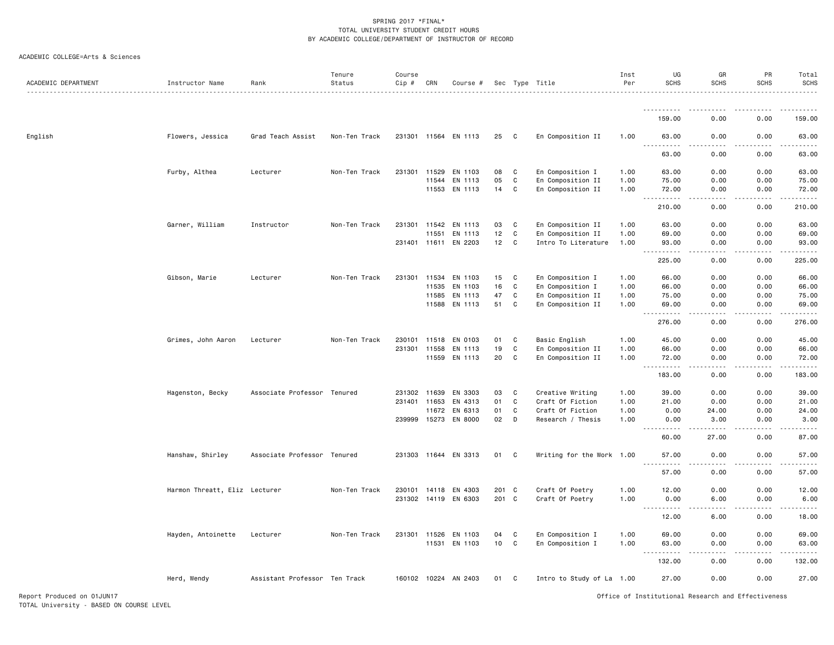| ACADEMIC DEPARTMENT        | Instructor Name               | Rank<br>.                     | Tenure<br>Status | Course<br>Cip # | CRN   | Course #             |       |              | Sec Type Title            | Inst<br>Per | UG<br><b>SCHS</b>                                    | GR<br><b>SCHS</b> | PR<br><b>SCHS</b>                                                                                         | Total<br><b>SCHS</b> |
|----------------------------|-------------------------------|-------------------------------|------------------|-----------------|-------|----------------------|-------|--------------|---------------------------|-------------|------------------------------------------------------|-------------------|-----------------------------------------------------------------------------------------------------------|----------------------|
|                            |                               |                               |                  |                 |       |                      |       |              |                           |             |                                                      |                   |                                                                                                           |                      |
|                            |                               |                               |                  |                 |       |                      |       |              |                           |             | 159.00                                               | 0.00              | 0.00                                                                                                      | 159.00               |
| English                    | Flowers, Jessica              | Grad Teach Assist             | Non-Ten Track    |                 |       | 231301 11564 EN 1113 | 25    | C            | En Composition II         | 1.00        | 63.00<br>.                                           | 0.00<br>.         | 0.00<br>.                                                                                                 | 63.00<br>.           |
|                            |                               |                               |                  |                 |       |                      |       |              |                           |             | 63.00                                                | 0.00              | 0.00                                                                                                      | 63.00                |
|                            | Furby, Althea                 | Lecturer                      | Non-Ten Track    | 231301          | 11529 | EN 1103              | 08    | C            | En Composition I          | 1.00        | 63.00                                                | 0.00              | 0.00                                                                                                      | 63.00                |
|                            |                               |                               |                  |                 | 11544 | EN 1113              | 05    | C            | En Composition II         | 1.00        | 75.00                                                | 0.00              | 0.00                                                                                                      | 75.00                |
|                            |                               |                               |                  |                 |       | 11553 EN 1113        | 14    | C            | En Composition II         | 1.00        | 72.00<br>.<br>$\sim$ $\sim$ $\sim$                   | 0.00              | 0.00                                                                                                      | 72.00<br>.           |
|                            |                               |                               |                  |                 |       |                      |       |              |                           |             | 210.00                                               | 0.00              | 0.00                                                                                                      | 210.00               |
|                            | Garner, William               | Instructor                    | Non-Ten Track    | 231301          | 11542 | EN 1113              | 03    | C            | En Composition II         | 1.00        | 63.00                                                | 0.00              | 0.00                                                                                                      | 63.00                |
|                            |                               |                               |                  |                 | 11551 | EN 1113              | 12    | C            | En Composition II         | 1.00        | 69.00                                                | 0.00              | 0.00                                                                                                      | 69.00                |
|                            |                               |                               |                  | 231401 11611    |       | EN 2203              | 12    | C            | Intro To Literature       | 1.00        | 93.00<br>.<br>$\sim$ $\sim$ $\sim$                   | 0.00<br>.         | 0.00<br>.                                                                                                 | 93.00<br>.           |
|                            |                               |                               |                  |                 |       |                      |       |              |                           |             | 225.00                                               | 0.00              | 0.00                                                                                                      | 225.00               |
|                            | Gibson, Marie                 | Lecturer                      | Non-Ten Track    | 231301 11534    |       | EN 1103              | 15    | C            | En Composition I          | 1.00        | 66.00                                                | 0.00              | 0.00                                                                                                      | 66.00                |
|                            |                               |                               |                  |                 | 11535 | EN 1103              | 16    | C            | En Composition I          | 1.00        | 66.00                                                | 0.00              | 0.00                                                                                                      | 66.00                |
|                            |                               |                               |                  |                 | 11585 | EN 1113              | 47    | C            | En Composition II         | 1.00        | 75.00                                                | 0.00              | 0.00                                                                                                      | 75.00                |
|                            |                               |                               |                  |                 | 11588 | EN 1113              | 51    | C            | En Composition II         | 1.00        | 69.00<br>$\sim$ $\sim$ $\sim$<br>.                   | 0.00<br>.         | 0.00<br>.                                                                                                 | 69.00                |
|                            |                               |                               |                  |                 |       |                      |       |              |                           |             | 276.00                                               | 0.00              | 0.00                                                                                                      | 276.00               |
|                            | Grimes, John Aaron            | Lecturer                      | Non-Ten Track    | 230101          | 11518 | EN 0103              | 01    | C            | Basic English             | 1.00        | 45.00                                                | 0.00              | 0.00                                                                                                      | 45.00                |
|                            |                               |                               |                  | 231301 11558    |       | EN 1113              | 19    | $\mathtt{C}$ | En Composition II         | 1.00        | 66.00                                                | 0.00              | 0.00                                                                                                      | 66.00                |
|                            |                               |                               |                  |                 | 11559 | EN 1113              | 20    | C            | En Composition II         | 1.00        | 72.00<br>$\sim$ $\sim$ $\sim$<br>.                   | 0.00<br>.         | 0.00<br>$\mathbf{1} \cdot \mathbf{1} \cdot \mathbf{1} \cdot \mathbf{1} \cdot \mathbf{1} \cdot \mathbf{1}$ | 72.00<br>.           |
|                            |                               |                               |                  |                 |       |                      |       |              |                           |             | 183.00                                               | 0.00              | 0.00                                                                                                      | 183.00               |
|                            | Hagenston, Becky              | Associate Professor Tenured   |                  | 231302 11639    |       | EN 3303              | 03    | C            | Creative Writing          | 1.00        | 39.00                                                | 0.00              | 0.00                                                                                                      | 39.00                |
|                            |                               |                               |                  | 231401 11653    |       | EN 4313              | 01    | C            | Craft Of Fiction          | 1.00        | 21.00                                                | 0.00              | 0.00                                                                                                      | 21.00                |
|                            |                               |                               |                  |                 | 11672 | EN 6313              | 01    | C            | Craft Of Fiction          | 1.00        | 0.00                                                 | 24.00             | 0.00                                                                                                      | 24.00                |
|                            |                               |                               |                  |                 |       | 239999 15273 EN 8000 | 02    | D            | Research / Thesis         | 1.00        | 0.00<br>.                                            | 3.00<br>.         | 0.00<br>.                                                                                                 | 3.00<br>.            |
|                            |                               |                               |                  |                 |       |                      |       |              |                           |             | 60.00                                                | 27.00             | 0.00                                                                                                      | 87.00                |
|                            | Hanshaw, Shirley              | Associate Professor Tenured   |                  |                 |       | 231303 11644 EN 3313 | 01 C  |              | Writing for the Work 1.00 |             | 57.00                                                | 0.00<br>.         | 0.00<br>-----                                                                                             | 57.00                |
|                            |                               |                               |                  |                 |       |                      |       |              |                           |             | 57.00                                                | 0.00              | 0.00                                                                                                      | 57.00                |
|                            | Harmon Threatt, Eliz Lecturer |                               | Non-Ten Track    |                 |       | 230101 14118 EN 4303 | 201 C |              | Craft Of Poetry           | 1.00        | 12.00                                                | 0.00              | 0.00                                                                                                      | 12.00                |
|                            |                               |                               |                  |                 |       | 231302 14119 EN 6303 | 201 C |              | Craft Of Poetry           | 1.00        | 0.00                                                 | 6.00              | 0.00                                                                                                      | 6.00                 |
|                            |                               |                               |                  |                 |       |                      |       |              |                           |             | الداليات الدالية ال<br>$\sim$ $\sim$ $\sim$<br>12.00 | د د د د<br>6.00   | 22222<br>0.00                                                                                             | .<br>18.00           |
|                            |                               |                               |                  |                 |       |                      |       |              |                           |             |                                                      |                   |                                                                                                           |                      |
|                            | Hayden, Antoinette            | Lecturer                      | Non-Ten Track    | 231301 11526    |       | EN 1103              | 04    | C            | En Composition I          | 1.00        | 69.00                                                | 0.00              | 0.00                                                                                                      | 69.00                |
|                            |                               |                               |                  |                 | 11531 | EN 1103              | 10    | C            | En Composition I          | 1.00        | 63.00<br>$\sim$ $\sim$ .                             | 0.00              | 0.00                                                                                                      | 63.00                |
|                            |                               |                               |                  |                 |       |                      |       |              |                           |             | 132.00                                               | 0.00              | 0.00                                                                                                      | 132.00               |
|                            | Herd, Wendy                   | Assistant Professor Ten Track |                  |                 |       | 160102 10224 AN 2403 | 01    | C            | Intro to Study of La 1.00 |             | 27.00                                                | 0.00              | 0.00                                                                                                      | 27.00                |
| Report Produced on 01JUN17 |                               |                               |                  |                 |       |                      |       |              |                           |             | Office of Institutional Research and Effectiveness   |                   |                                                                                                           |                      |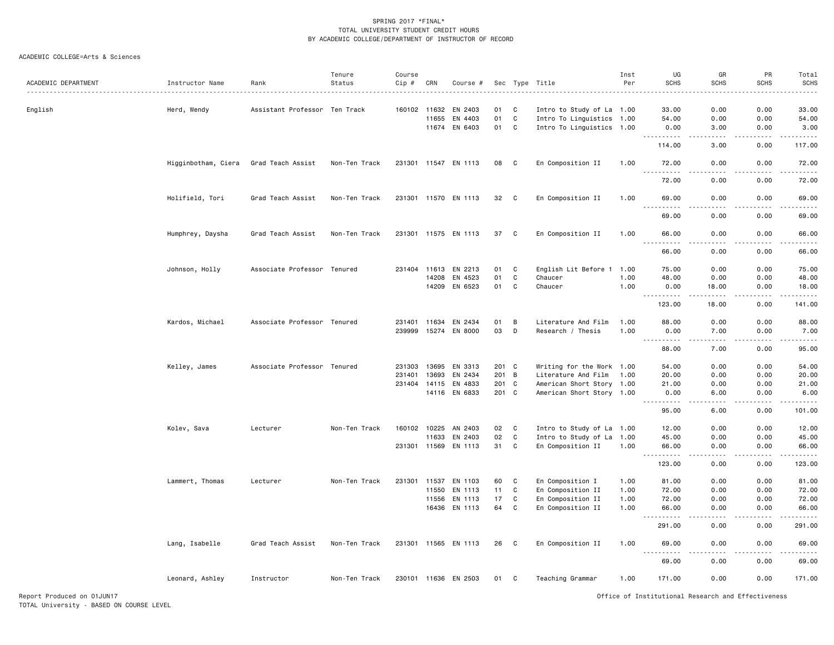| ACADEMIC DEPARTMENT |                     |                               | Tenure        | Course       |       |                      |       |              |                           | Inst<br>Per | UG<br><b>SCHS</b>                                                                                                                                            | GR<br><b>SCHS</b>                                                                                                                                             | PR<br><b>SCHS</b>   | Total<br>SCHS                                                                                                                                                                            |
|---------------------|---------------------|-------------------------------|---------------|--------------|-------|----------------------|-------|--------------|---------------------------|-------------|--------------------------------------------------------------------------------------------------------------------------------------------------------------|---------------------------------------------------------------------------------------------------------------------------------------------------------------|---------------------|------------------------------------------------------------------------------------------------------------------------------------------------------------------------------------------|
| .                   | Instructor Name     | Rank                          | Status        | $Cip$ #      | CRN   | Course #             |       |              | Sec Type Title            |             |                                                                                                                                                              |                                                                                                                                                               |                     |                                                                                                                                                                                          |
| English             | Herd, Wendy         | Assistant Professor Ten Track |               | 160102 11632 |       | EN 2403              | 01    | C            | Intro to Study of La 1.00 |             | 33.00                                                                                                                                                        | 0.00                                                                                                                                                          | 0.00                | 33.00                                                                                                                                                                                    |
|                     |                     |                               |               |              | 11655 | EN 4403              | 01    | C            | Intro To Linguistics 1.00 |             | 54.00                                                                                                                                                        | 0.00                                                                                                                                                          | 0.00                | 54.00                                                                                                                                                                                    |
|                     |                     |                               |               |              | 11674 | EN 6403              | 01    | $\mathbf c$  | Intro To Linguistics 1.00 |             | 0.00<br><u>.</u>                                                                                                                                             | 3.00<br>.                                                                                                                                                     | 0.00<br>.           | 3.00<br>$\frac{1}{2} \left( \frac{1}{2} \right) \left( \frac{1}{2} \right) \left( \frac{1}{2} \right) \left( \frac{1}{2} \right) \left( \frac{1}{2} \right) \left( \frac{1}{2} \right)$  |
|                     |                     |                               |               |              |       |                      |       |              |                           |             | 114.00                                                                                                                                                       | 3.00                                                                                                                                                          | 0.00                | 117.00                                                                                                                                                                                   |
|                     | Higginbotham, Ciera | Grad Teach Assist             | Non-Ten Track |              |       | 231301 11547 EN 1113 | 08    | C            | En Composition II         | 1.00        | 72.00<br>$  -$                                                                                                                                               | 0.00                                                                                                                                                          | 0.00                | 72.00                                                                                                                                                                                    |
|                     |                     |                               |               |              |       |                      |       |              |                           |             | 72.00                                                                                                                                                        | 0.00                                                                                                                                                          | 0.00                | 72.00                                                                                                                                                                                    |
|                     | Holifield, Tori     | Grad Teach Assist             | Non-Ten Track |              |       | 231301 11570 EN 1113 | 32    | C.           | En Composition II         | 1.00        | 69.00<br>$\sim$                                                                                                                                              | 0.00<br>$\sim$ $\sim$ $\sim$ $\sim$                                                                                                                           | 0.00<br>.           | 69.00                                                                                                                                                                                    |
|                     |                     |                               |               |              |       |                      |       |              |                           |             | 69.00                                                                                                                                                        | 0.00                                                                                                                                                          | 0.00                | 69.00                                                                                                                                                                                    |
|                     | Humphrey, Daysha    | Grad Teach Assist             | Non-Ten Track |              |       | 231301 11575 EN 1113 | 37    | C            | En Composition II         | 1.00        | 66.00<br>$\sim$ $\sim$ $\sim$<br>. <u>.</u>                                                                                                                  | 0.00<br>.                                                                                                                                                     | 0.00<br>$- - - - -$ | 66.00<br>.                                                                                                                                                                               |
|                     |                     |                               |               |              |       |                      |       |              |                           |             | 66.00                                                                                                                                                        | 0.00                                                                                                                                                          | 0.00                | 66.00                                                                                                                                                                                    |
|                     | Johnson, Holly      | Associate Professor Tenured   |               | 231404 11613 |       | EN 2213              | 01    | C            | English Lit Before 1      | 1.00        | 75.00                                                                                                                                                        | 0.00                                                                                                                                                          | 0.00                | 75.00                                                                                                                                                                                    |
|                     |                     |                               |               |              | 14208 | EN 4523              | 01    | C            | Chaucer                   | 1.00        | 48.00                                                                                                                                                        | 0.00                                                                                                                                                          | 0.00                | 48.00                                                                                                                                                                                    |
|                     |                     |                               |               |              | 14209 | EN 6523              | 01    | C            | Chaucer                   | 1.00        | 0.00<br>.                                                                                                                                                    | 18.00<br>$\frac{1}{2} \left( \frac{1}{2} \right) \left( \frac{1}{2} \right) \left( \frac{1}{2} \right) \left( \frac{1}{2} \right) \left( \frac{1}{2} \right)$ | 0.00<br>$- - - - -$ | 18.00<br>$\frac{1}{2} \left( \frac{1}{2} \right) \left( \frac{1}{2} \right) \left( \frac{1}{2} \right) \left( \frac{1}{2} \right) \left( \frac{1}{2} \right) \left( \frac{1}{2} \right)$ |
|                     |                     |                               |               |              |       |                      |       |              |                           |             | 123.00                                                                                                                                                       | 18.00                                                                                                                                                         | 0.00                | 141.00                                                                                                                                                                                   |
|                     | Kardos, Michael     | Associate Professor Tenured   |               | 231401       | 11634 | EN 2434              | 01    | B            | Literature And Film       | 1.00        | 88.00                                                                                                                                                        | 0.00                                                                                                                                                          | 0.00                | 88.00                                                                                                                                                                                    |
|                     |                     |                               |               |              |       | 239999 15274 EN 8000 | 03    | D            | Research / Thesis         | 1.00        | 0.00<br>$\frac{1}{2} \left( \frac{1}{2} \right) \left( \frac{1}{2} \right) \left( \frac{1}{2} \right) \left( \frac{1}{2} \right) \left( \frac{1}{2} \right)$ | 7.00<br>.                                                                                                                                                     | 0.00<br>-----       | 7.00<br>.                                                                                                                                                                                |
|                     |                     |                               |               |              |       |                      |       |              |                           |             | 88.00                                                                                                                                                        | 7.00                                                                                                                                                          | 0.00                | 95.00                                                                                                                                                                                    |
|                     | Kelley, James       | Associate Professor Tenured   |               | 231303       | 13695 | EN 3313              | 201 C |              | Writing for the Work 1.00 |             | 54.00                                                                                                                                                        | 0.00                                                                                                                                                          | 0.00                | 54.00                                                                                                                                                                                    |
|                     |                     |                               |               | 231401       | 13693 | EN 2434              | 201   | B            | Literature And Film       | 1.00        | 20.00                                                                                                                                                        | 0.00                                                                                                                                                          | 0.00                | 20.00                                                                                                                                                                                    |
|                     |                     |                               |               | 231404 14115 |       | EN 4833              | 201 C |              | American Short Story 1.00 |             | 21.00                                                                                                                                                        | 0.00                                                                                                                                                          | 0.00                | 21.00                                                                                                                                                                                    |
|                     |                     |                               |               |              |       | 14116 EN 6833        | 201 C |              | American Short Story 1.00 |             | 0.00<br>$\sim$ $\sim$<br>.                                                                                                                                   | 6.00<br>$\sim$ $\sim$ $\sim$                                                                                                                                  | 0.00<br>.           | 6.00<br>.                                                                                                                                                                                |
|                     |                     |                               |               |              |       |                      |       |              |                           |             | 95.00                                                                                                                                                        | 6.00                                                                                                                                                          | 0.00                | 101.00                                                                                                                                                                                   |
|                     | Kolev, Sava         | Lecturer                      | Non-Ten Track | 160102 10225 |       | AN 2403              | 02    | $\mathbf{C}$ | Intro to Study of La 1.00 |             | 12.00                                                                                                                                                        | 0.00                                                                                                                                                          | 0.00                | 12.00                                                                                                                                                                                    |
|                     |                     |                               |               |              | 11633 | EN 2403              | 02    | $\mathtt{C}$ | Intro to Study of La 1.00 |             | 45.00                                                                                                                                                        | 0.00                                                                                                                                                          | 0.00                | 45.00                                                                                                                                                                                    |
|                     |                     |                               |               | 231301       | 11569 | EN 1113              | 31    | $\mathsf{C}$ | En Composition II         | 1.00        | 66.00<br>.                                                                                                                                                   | 0.00<br>.                                                                                                                                                     | 0.00                | 66.00<br>.                                                                                                                                                                               |
|                     |                     |                               |               |              |       |                      |       |              |                           |             | 123.00                                                                                                                                                       | 0.00                                                                                                                                                          | 0.00                | 123.00                                                                                                                                                                                   |
|                     | Lammert, Thomas     | Lecturer                      | Non-Ten Track | 231301       | 11537 | EN 1103              | 60    | C            | En Composition I          | 1.00        | 81.00                                                                                                                                                        | 0.00                                                                                                                                                          | 0.00                | 81.00                                                                                                                                                                                    |
|                     |                     |                               |               |              | 11550 | EN 1113              | 11    | C            | En Composition II         | 1.00        | 72.00                                                                                                                                                        | 0.00                                                                                                                                                          | 0.00                | 72.00                                                                                                                                                                                    |
|                     |                     |                               |               |              | 11556 | EN 1113              | 17    | C            | En Composition II         | 1.00        | 72.00                                                                                                                                                        | 0.00                                                                                                                                                          | 0.00                | 72.00                                                                                                                                                                                    |
|                     |                     |                               |               |              |       | 16436 EN 1113        | 64    | C            | En Composition II         | 1.00        | 66.00<br>.                                                                                                                                                   | 0.00                                                                                                                                                          | 0.00                | 66.00                                                                                                                                                                                    |
|                     |                     |                               |               |              |       |                      |       |              |                           |             | 291.00                                                                                                                                                       | 0.00                                                                                                                                                          | 0.00                | 291.00                                                                                                                                                                                   |
|                     | Lang, Isabelle      | Grad Teach Assist             | Non-Ten Track | 231301 11565 |       | EN 1113              | 26    | C            | En Composition II         | 1.00        | 69.00<br>$\sim$ $\sim$ $\sim$                                                                                                                                | 0.00                                                                                                                                                          | 0.00                | 69.00                                                                                                                                                                                    |
|                     |                     |                               |               |              |       |                      |       |              |                           |             | 69.00                                                                                                                                                        | 0.00                                                                                                                                                          | 0.00                | 69.00                                                                                                                                                                                    |
|                     | Leonard, Ashley     | Instructor                    | Non-Ten Track |              |       | 230101 11636 EN 2503 | 01    | C            | Teaching Grammar          | 1.00        | 171.00                                                                                                                                                       | 0.00                                                                                                                                                          | 0.00                | 171.00                                                                                                                                                                                   |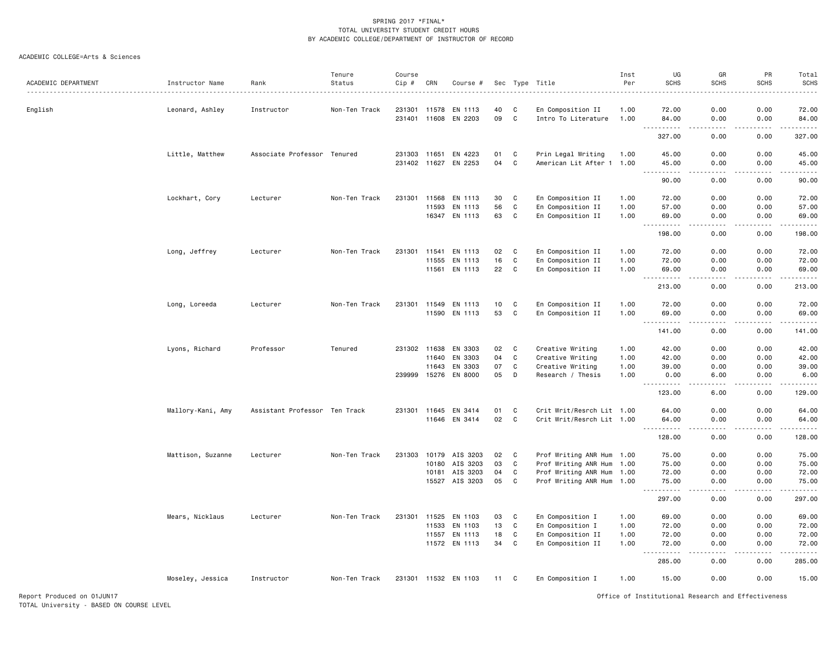| ACADEMIC DEPARTMENT | Instructor Name   | Rank                          | Tenure<br>Status | Course<br>Cip # | CRN   | Course #             |    |             | Sec Type Title            | Inst<br>Per | UG<br><b>SCHS</b>                                            | GR<br><b>SCHS</b>            | PR<br><b>SCHS</b> | Total<br><b>SCHS</b>                                                                                                 |
|---------------------|-------------------|-------------------------------|------------------|-----------------|-------|----------------------|----|-------------|---------------------------|-------------|--------------------------------------------------------------|------------------------------|-------------------|----------------------------------------------------------------------------------------------------------------------|
|                     | <u>.</u>          |                               |                  |                 |       |                      |    |             |                           |             |                                                              |                              |                   |                                                                                                                      |
| English             | Leonard, Ashley   | Instructor                    | Non-Ten Track    | 231301          | 11578 | EN 1113              | 40 | C           | En Composition II         | 1.00        | 72.00                                                        | 0.00                         | 0.00              | 72.00                                                                                                                |
|                     |                   |                               |                  | 231401 11608    |       | EN 2203              | 09 | C           | Intro To Literature       | 1.00        | 84.00                                                        | 0.00                         | 0.00              | 84.00<br>.                                                                                                           |
|                     |                   |                               |                  |                 |       |                      |    |             |                           |             | 327.00                                                       | 0.00                         | 0.00              | 327.00                                                                                                               |
|                     | Little, Matthew   | Associate Professor Tenured   |                  | 231303 11651    |       | EN 4223              | 01 | C           | Prin Legal Writing        | 1.00        | 45.00                                                        | 0.00                         | 0.00              | 45.00                                                                                                                |
|                     |                   |                               |                  |                 |       | 231402 11627 EN 2253 | 04 | C           | American Lit After 1 1.00 |             | 45.00                                                        | 0.00                         | 0.00              | 45.00                                                                                                                |
|                     |                   |                               |                  |                 |       |                      |    |             |                           |             | $\frac{1}{2}$<br>90.00                                       | $\frac{1}{2}$<br>0.00        | .<br>0.00         | .<br>90.00                                                                                                           |
|                     | Lockhart, Cory    | Lecturer                      | Non-Ten Track    | 231301          | 11568 | EN 1113              | 30 | C           | En Composition II         | 1.00        | 72.00                                                        | 0.00                         | 0.00              | 72.00                                                                                                                |
|                     |                   |                               |                  |                 | 11593 | EN 1113              | 56 | $\mathbf C$ | En Composition II         | 1.00        | 57.00                                                        | 0.00                         | 0.00              | 57.00                                                                                                                |
|                     |                   |                               |                  |                 |       | 16347 EN 1113        | 63 | C           | En Composition II         | 1.00        | 69.00                                                        | 0.00                         | 0.00              | 69.00                                                                                                                |
|                     |                   |                               |                  |                 |       |                      |    |             |                           |             | $\sim$ $\sim$ $\sim$<br>198.00                               | 0.00                         | 0.00              | ------<br>198.00                                                                                                     |
|                     | Long, Jeffrey     | Lecturer                      | Non-Ten Track    | 231301          | 11541 | EN 1113              | 02 | C           | En Composition II         | 1.00        | 72.00                                                        | 0.00                         | 0.00              | 72.00                                                                                                                |
|                     |                   |                               |                  |                 | 11555 | EN 1113              | 16 | C           | En Composition II         | 1.00        | 72.00                                                        | 0.00                         | 0.00              | 72.00                                                                                                                |
|                     |                   |                               |                  |                 |       | 11561 EN 1113        | 22 | C           | En Composition II         | 1.00        | 69.00                                                        | 0.00                         | 0.00              | 69.00                                                                                                                |
|                     |                   |                               |                  |                 |       |                      |    |             |                           |             | .<br>$  -$<br>213.00                                         | $\frac{1}{2}$<br>0.00        | .<br>0.00         | .<br>213.00                                                                                                          |
|                     | Long, Loreeda     | Lecturer                      | Non-Ten Track    | 231301          | 11549 | EN 1113              | 10 | C           | En Composition II         | 1.00        | 72.00                                                        | 0.00                         | 0.00              | 72.00                                                                                                                |
|                     |                   |                               |                  |                 | 11590 | EN 1113              | 53 | $\mathbf C$ | En Composition II         | 1.00        | 69.00                                                        | 0.00                         | 0.00              | 69.00                                                                                                                |
|                     |                   |                               |                  |                 |       |                      |    |             |                           |             | 141.00                                                       | .<br>0.00                    | .<br>0.00         | .<br>141.00                                                                                                          |
|                     | Lyons, Richard    | Professor                     | Tenured          | 231302 11638    |       | EN 3303              | 02 | C           | Creative Writing          | 1.00        | 42.00                                                        | 0.00                         | 0.00              | 42.00                                                                                                                |
|                     |                   |                               |                  |                 | 11640 | EN 3303              | 04 | C           | Creative Writing          | 1.00        | 42.00                                                        | 0.00                         | 0.00              | 42.00                                                                                                                |
|                     |                   |                               |                  |                 | 11643 | EN 3303              | 07 | $\mathbf C$ | Creative Writing          | 1.00        | 39.00                                                        | 0.00                         | 0.00              | 39.00                                                                                                                |
|                     |                   |                               |                  | 239999          | 15276 | EN 8000              | 05 | D           | Research / Thesis         | 1.00        | 0.00                                                         | 6.00                         | 0.00              | 6.00<br>.                                                                                                            |
|                     |                   |                               |                  |                 |       |                      |    |             |                           |             | 123.00                                                       | 6.00                         | 0.00              | 129.00                                                                                                               |
|                     | Mallory-Kani, Amy | Assistant Professor Ten Track |                  | 231301 11645    |       | EN 3414              | 01 | C           | Crit Writ/Resrch Lit 1.00 |             | 64.00                                                        | 0.00                         | 0.00              | 64.00                                                                                                                |
|                     |                   |                               |                  |                 |       | 11646 EN 3414        | 02 | C           | Crit Writ/Resrch Lit 1.00 |             | 64.00<br>.                                                   | 0.00<br>$- - -$              | 0.00<br>بالمستعاد | 64.00<br>.                                                                                                           |
|                     |                   |                               |                  |                 |       |                      |    |             |                           |             | 128.00                                                       | 0.00                         | 0.00              | 128.00                                                                                                               |
|                     | Mattison, Suzanne | Lecturer                      | Non-Ten Track    | 231303          |       | 10179 AIS 3203       | 02 | C           | Prof Writing ANR Hum 1.00 |             | 75.00                                                        | 0.00                         | 0.00              | 75.00                                                                                                                |
|                     |                   |                               |                  |                 | 10180 | AIS 3203             | 03 | C           | Prof Writing ANR Hum 1.00 |             | 75.00                                                        | 0.00                         | 0.00              | 75.00                                                                                                                |
|                     |                   |                               |                  |                 | 10181 | AIS 3203             | 04 | C           | Prof Writing ANR Hum 1.00 |             | 72.00                                                        | 0.00                         | 0.00              | 72.00                                                                                                                |
|                     |                   |                               |                  |                 |       | 15527 AIS 3203       | 05 | C           | Prof Writing ANR Hum 1.00 |             | 75.00<br>. <b>.</b>                                          | 0.00<br>.                    | 0.00<br>.         | 75.00<br>.                                                                                                           |
|                     |                   |                               |                  |                 |       |                      |    |             |                           |             | 297.00                                                       | 0.00                         | 0.00              | 297.00                                                                                                               |
|                     | Mears, Nicklaus   | Lecturer                      | Non-Ten Track    | 231301          | 11525 | EN 1103              | 03 | C           | En Composition I          | 1.00        | 69.00                                                        | 0.00                         | 0.00              | 69.00                                                                                                                |
|                     |                   |                               |                  |                 | 11533 | EN 1103              | 13 | $\mathbf C$ | En Composition I          | 1.00        | 72.00                                                        | 0.00                         | 0.00              | 72.00                                                                                                                |
|                     |                   |                               |                  |                 | 11557 | EN 1113              | 18 | C           | En Composition II         | 1.00        | 72.00                                                        | 0.00                         | 0.00              | 72.00                                                                                                                |
|                     |                   |                               |                  |                 |       | 11572 EN 1113        | 34 | C           | En Composition II         | 1.00        | 72.00<br>$\sim$ $\sim$ $\sim$<br>$\sim$ $\sim$ $\sim$ $\sim$ | 0.00<br>$\sim$ $\sim$ $\sim$ | 0.00<br>-----     | 72.00<br>$\begin{array}{cccccccccc} \bullet & \bullet & \bullet & \bullet & \bullet & \bullet & \bullet \end{array}$ |
|                     |                   |                               |                  |                 |       |                      |    |             |                           |             | 285.00                                                       | 0.00                         | 0.00              | 285.00                                                                                                               |
|                     | Moseley, Jessica  | Instructor                    | Non-Ten Track    |                 |       | 231301 11532 EN 1103 | 11 | C.          | En Composition I          | 1.00        | 15.00                                                        | 0.00                         | 0.00              | 15.00                                                                                                                |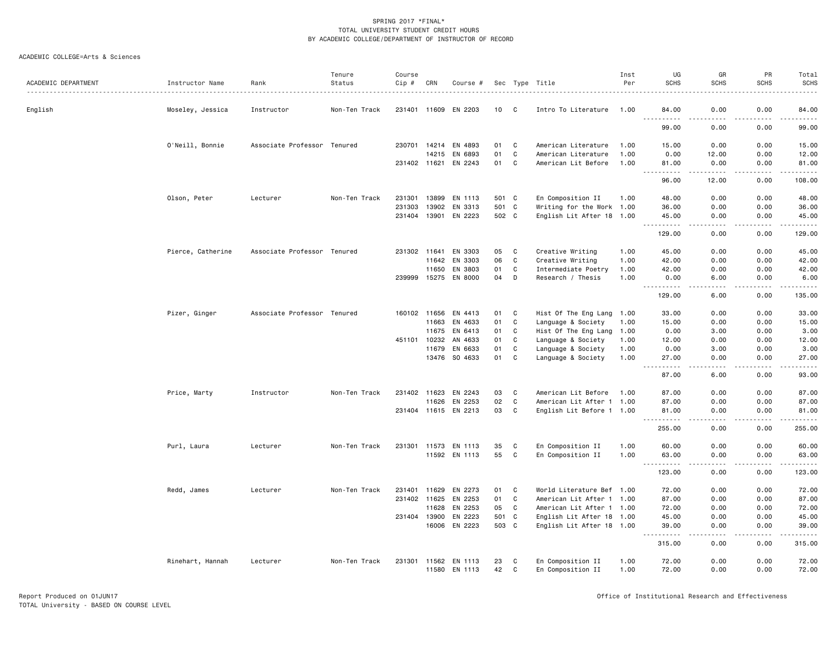|                     |                   |                             | Tenure        | Course       |              |                      |       |       |                           | Inst | UG                                          | GR                | PR               | Total<br><b>SCHS</b> |
|---------------------|-------------------|-----------------------------|---------------|--------------|--------------|----------------------|-------|-------|---------------------------|------|---------------------------------------------|-------------------|------------------|----------------------|
| ACADEMIC DEPARTMENT | Instructor Name   | Rank                        | Status        | Cip #        | CRN          | Course #             |       |       | Sec Type Title            | Per  | <b>SCHS</b>                                 | <b>SCHS</b>       | <b>SCHS</b>      |                      |
| English             | Moseley, Jessica  | Instructor                  | Non-Ten Track |              |              | 231401 11609 EN 2203 | 10    | C     | Intro To Literature       | 1.00 | 84.00                                       | 0.00              | 0.00             | 84.00                |
|                     |                   |                             |               |              |              |                      |       |       |                           |      | 99.00                                       | 0.00              | 0.00             | 99.00                |
|                     | O'Neill, Bonnie   | Associate Professor Tenured |               |              | 230701 14214 | EN 4893              | 01    | C     | American Literature       | 1.00 | 15.00                                       | 0.00              | 0.00             | 15.00                |
|                     |                   |                             |               |              | 14215        | EN 6893              | 01    | C     | American Literature       | 1.00 | 0.00                                        | 12.00             | 0.00             | 12.00                |
|                     |                   |                             |               | 231402 11621 |              | EN 2243              | 01    | C     | American Lit Before       | 1.00 | 81.00<br>$\sim$ $\sim$ $\sim$ $\sim$<br>.   | 0.00<br>-----     | 0.00<br>.        | 81.00<br>.           |
|                     |                   |                             |               |              |              |                      |       |       |                           |      | 96.00                                       | 12.00             | 0.00             | 108.00               |
|                     | Olson, Peter      | Lecturer                    | Non-Ten Track | 231301       | 13899        | EN 1113              |       | 501 C | En Composition II         | 1.00 | 48.00                                       | 0.00              | 0.00             | 48.00                |
|                     |                   |                             |               | 231303       | 13902        | EN 3313              | 501 C |       | Writing for the Work 1.00 |      | 36.00                                       | 0.00              | 0.00             | 36.00                |
|                     |                   |                             |               |              | 231404 13901 | EN 2223              | 502 C |       | English Lit After 18 1.00 |      | 45.00<br>. <b>.</b><br>$\sim$ $\sim$ $\sim$ | 0.00<br>.         | 0.00<br>.        | 45.00<br>.           |
|                     |                   |                             |               |              |              |                      |       |       |                           |      | 129.00                                      | 0.00              | 0.00             | 129.00               |
|                     | Pierce, Catherine | Associate Professor Tenured |               |              | 231302 11641 | EN 3303              | 05    | C     | Creative Writing          | 1.00 | 45.00                                       | 0.00              | 0.00             | 45.00                |
|                     |                   |                             |               |              | 11642        | EN 3303              | 06    | C     | Creative Writing          | 1.00 | 42.00                                       | 0.00              | 0.00             | 42.00                |
|                     |                   |                             |               |              | 11650        | EN 3803              | 01    | C     | Intermediate Poetry       | 1.00 | 42.00                                       | 0.00              | 0.00             | 42.00                |
|                     |                   |                             |               |              |              | 239999 15275 EN 8000 | 04    | D     | Research / Thesis         | 1.00 | 0.00<br>.                                   | 6.00<br>.         | 0.00<br>.        | 6.00<br>.            |
|                     |                   |                             |               |              |              |                      |       |       |                           |      | 129.00                                      | 6.00              | 0.00             | 135.00               |
|                     | Pizer, Ginger     | Associate Professor Tenured |               |              | 160102 11656 | EN 4413              | 01    | C     | Hist Of The Eng Lang 1.00 |      | 33.00                                       | 0.00              | 0.00             | 33.00                |
|                     |                   |                             |               |              | 11663        | EN 4633              | 01    | C     | Language & Society        | 1.00 | 15.00                                       | 0.00              | 0.00             | 15.00                |
|                     |                   |                             |               |              | 11675        | EN 6413              | 01    | C     | Hist Of The Eng Lang 1.00 |      | 0.00                                        | 3.00              | 0.00             | 3.00                 |
|                     |                   |                             |               | 451101       | 10232        | AN 4633              | 01    | C     | Language & Society        | 1.00 | 12.00                                       | 0.00              | 0.00             | 12.00                |
|                     |                   |                             |               |              | 11679        | EN 6633              | 01    | C     | Language & Society        | 1.00 | 0.00                                        | 3.00              | 0.00             | 3.00                 |
|                     |                   |                             |               |              |              | 13476 SO 4633        | 01    | C     | Language & Society        | 1.00 | 27.00<br>.<br>$\sim$ $\sim$ $\sim$          | 0.00<br>المتمامين | 0.00<br>.        | 27.00<br>.           |
|                     |                   |                             |               |              |              |                      |       |       |                           |      | 87.00                                       | 6.00              | 0.00             | 93.00                |
|                     | Price, Marty      | Instructor                  | Non-Ten Track | 231402 11623 |              | EN 2243              | 03    | C     | American Lit Before       | 1.00 | 87.00                                       | 0.00              | 0.00             | 87.00                |
|                     |                   |                             |               |              | 11626        | EN 2253              | 02    | C     | American Lit After 1 1.00 |      | 87.00                                       | 0.00              | 0.00             | 87.00                |
|                     |                   |                             |               |              |              | 231404 11615 EN 2213 | 03    | C     | English Lit Before 1 1.00 |      | 81.00<br>.                                  | 0.00<br>.         | 0.00<br><u>.</u> | 81.00<br>.           |
|                     |                   |                             |               |              |              |                      |       |       |                           |      | 255.00                                      | 0.00              | 0.00             | 255.00               |
|                     | Purl, Laura       | Lecturer                    | Non-Ten Track | 231301 11573 |              | EN 1113              | 35    | C     | En Composition II         | 1.00 | 60.00                                       | 0.00              | 0.00             | 60.00                |
|                     |                   |                             |               |              |              | 11592 EN 1113        | 55    | C     | En Composition II         | 1.00 | 63.00<br>------                             | 0.00              | 0.00             | 63.00<br>.           |
|                     |                   |                             |               |              |              |                      |       |       |                           |      | 123.00                                      | 0.00              | 0.00             | 123.00               |
|                     | Redd, James       | Lecturer                    | Non-Ten Track | 231401 11629 |              | EN 2273              | 01    | C     | World Literature Bef 1.00 |      | 72.00                                       | 0.00              | 0.00             | 72.00                |
|                     |                   |                             |               |              | 231402 11625 | EN 2253              | 01    | C     | American Lit After 1 1.00 |      | 87.00                                       | 0.00              | 0.00             | 87.00                |
|                     |                   |                             |               |              | 11628        | EN 2253              | 05    | C     | American Lit After 1 1.00 |      | 72.00                                       | 0.00              | 0.00             | 72.00                |
|                     |                   |                             |               |              | 231404 13900 | EN 2223              | 501 C |       | English Lit After 18 1.00 |      | 45.00                                       | 0.00              | 0.00             | 45.00                |
|                     |                   |                             |               |              | 16006        | EN 2223              | 503 C |       | English Lit After 18 1.00 |      | 39.00<br>$- - - - -$                        | 0.00<br>$- - - -$ | 0.00<br>.        | 39.00<br>.           |
|                     |                   |                             |               |              |              |                      |       |       |                           |      | 315.00                                      | 0.00              | 0.00             | 315.00               |
|                     | Rinehart, Hannah  | Lecturer                    | Non-Ten Track | 231301 11562 |              | EN 1113              | 23    | C     | En Composition II         | 1.00 | 72.00                                       | 0.00              | 0.00             | 72.00                |
|                     |                   |                             |               |              |              | 11580 EN 1113        | 42    | C     | En Composition II         | 1.00 | 72.00                                       | 0.00              | 0.00             | 72.00                |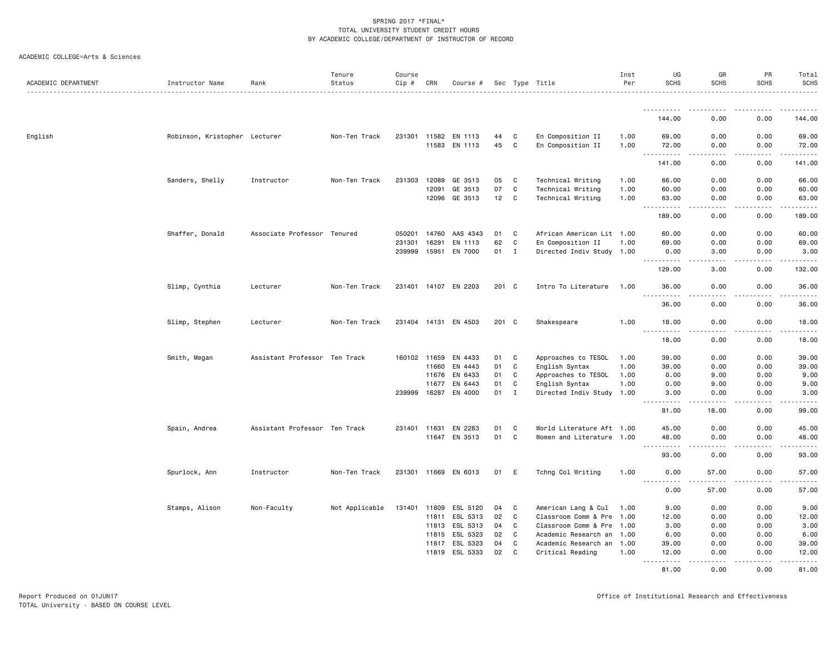| ACADEMIC DEPARTMENT | Instructor Name               | Rank                          | Tenure<br>Status | Course<br>Cip # | CRN            | Course #             |          |                   | Sec Type Title                                | Inst<br>Per | UG<br><b>SCHS</b>                                                                                                                 | GR<br><b>SCHS</b>                                                                                                                 | PR<br><b>SCHS</b>     | Total<br><b>SCHS</b><br>.                                                                                                                                     |
|---------------------|-------------------------------|-------------------------------|------------------|-----------------|----------------|----------------------|----------|-------------------|-----------------------------------------------|-------------|-----------------------------------------------------------------------------------------------------------------------------------|-----------------------------------------------------------------------------------------------------------------------------------|-----------------------|---------------------------------------------------------------------------------------------------------------------------------------------------------------|
|                     |                               |                               |                  |                 |                |                      |          |                   |                                               |             | .                                                                                                                                 |                                                                                                                                   |                       |                                                                                                                                                               |
|                     |                               |                               |                  |                 |                |                      |          |                   |                                               |             | 144.00                                                                                                                            | 0.00                                                                                                                              | 0.00                  | 144.00                                                                                                                                                        |
| English             | Robinson, Kristopher Lecturer |                               | Non-Ten Track    | 231301          |                | 11582 EN 1113        | 44       | C                 | En Composition II                             | 1.00        | 69.00                                                                                                                             | 0.00                                                                                                                              | 0.00                  | 69.00                                                                                                                                                         |
|                     |                               |                               |                  |                 |                | 11583 EN 1113        | 45       | C                 | En Composition II                             | 1.00        | 72.00<br>$\sim$ $\sim$ $\sim$<br>.                                                                                                | 0.00<br>د د د د                                                                                                                   | 0.00<br>.             | 72.00<br>.                                                                                                                                                    |
|                     |                               |                               |                  |                 |                |                      |          |                   |                                               |             | 141.00                                                                                                                            | 0.00                                                                                                                              | 0.00                  | 141.00                                                                                                                                                        |
|                     | Sanders, Shelly               | Instructor                    | Non-Ten Track    | 231303          | 12089          | GE 3513              | 05       | C                 | Technical Writing                             | 1.00        | 66.00                                                                                                                             | 0.00                                                                                                                              | 0.00                  | 66.00                                                                                                                                                         |
|                     |                               |                               |                  |                 | 12091          | GE 3513              | 07       | C                 | Technical Writing                             | 1.00        | 60.00                                                                                                                             | 0.00                                                                                                                              | 0.00                  | 60.00                                                                                                                                                         |
|                     |                               |                               |                  |                 | 12096          | GE 3513              | 12       | $\mathbf{C}$      | Technical Writing                             | 1.00        | 63.00<br>المتمام المتعاد<br>$ -$                                                                                                  | 0.00<br>$   -$                                                                                                                    | 0.00<br>.             | 63.00<br>.                                                                                                                                                    |
|                     |                               |                               |                  |                 |                |                      |          |                   |                                               |             | 189,00                                                                                                                            | 0.00                                                                                                                              | 0.00                  | 189.00                                                                                                                                                        |
|                     | Shaffer, Donald               | Associate Professor Tenured   |                  | 050201          | 14760          | AAS 4343             | 01       | $\mathtt{C}$      | African American Lit 1.00                     |             | 60.00                                                                                                                             | 0.00                                                                                                                              | 0.00                  | 60.00                                                                                                                                                         |
|                     |                               |                               |                  | 231301          | 16291          | EN 1113              | 62       | C                 | En Composition II                             | 1.00        | 69.00                                                                                                                             | 0.00                                                                                                                              | 0.00                  | 69.00                                                                                                                                                         |
|                     |                               |                               |                  | 239999          | 15951          | EN 7000              | 01       | $\mathbf I$       | Directed Indiv Study 1.00                     |             | 0.00<br>.                                                                                                                         | 3.00<br>.                                                                                                                         | 0.00<br>.             | 3.00<br>.                                                                                                                                                     |
|                     |                               |                               |                  |                 |                |                      |          |                   |                                               |             | 129.00                                                                                                                            | 3.00                                                                                                                              | 0.00                  | 132.00                                                                                                                                                        |
|                     | Slimp, Cynthia                | Lecturer                      | Non-Ten Track    |                 |                | 231401 14107 EN 2203 | 201 C    |                   | Intro To Literature                           | 1.00        | 36.00<br>$  -$<br>.                                                                                                               | 0.00<br>$\frac{1}{2} \left( \frac{1}{2} \right) \left( \frac{1}{2} \right) \left( \frac{1}{2} \right) \left( \frac{1}{2} \right)$ | 0.00<br>.             | 36.00<br>.                                                                                                                                                    |
|                     |                               |                               |                  |                 |                |                      |          |                   |                                               |             | 36.00                                                                                                                             | 0.00                                                                                                                              | 0.00                  | 36.00                                                                                                                                                         |
|                     | Slimp, Stephen                | Lecturer                      | Non-Ten Track    |                 |                | 231404 14131 EN 4503 | 201 C    |                   | Shakespeare                                   | 1.00        | 18.00                                                                                                                             | 0.00                                                                                                                              | 0.00                  | 18.00                                                                                                                                                         |
|                     |                               |                               |                  |                 |                |                      |          |                   |                                               |             | <u>.</u><br>18.00                                                                                                                 | .<br>0.00                                                                                                                         | .<br>0.00             | .<br>18.00                                                                                                                                                    |
|                     | Smith, Megan                  | Assistant Professor Ten Track |                  | 160102 11659    |                | EN 4433              | 01       | C                 | Approaches to TESOL                           | 1.00        | 39.00                                                                                                                             | 0.00                                                                                                                              | 0.00                  | 39.00                                                                                                                                                         |
|                     |                               |                               |                  |                 | 11660          | EN 4443              | 01       | C                 | English Syntax                                | 1.00        | 39.00                                                                                                                             | 0.00                                                                                                                              | 0.00                  | 39.00                                                                                                                                                         |
|                     |                               |                               |                  |                 | 11676          | EN 6433              | 01       | C                 | Approaches to TESOL                           | 1.00        | 0.00                                                                                                                              | 9.00                                                                                                                              | 0.00                  | 9.00                                                                                                                                                          |
|                     |                               |                               |                  |                 | 11677          | EN 6443              | 01       | C                 | English Syntax                                | 1.00        | 0.00                                                                                                                              | 9.00                                                                                                                              | 0.00                  | 9.00                                                                                                                                                          |
|                     |                               |                               |                  | 239999          | 16287          | EN 4000              | 01       | $\mathbf{I}$      | Directed Indiv Study                          | 1.00        | 3.00<br><b><i><u>.</u></i></b>                                                                                                    | 0.00<br>.                                                                                                                         | 0.00<br>.             | 3.00<br>$\frac{1}{2} \left( \frac{1}{2} \right) \left( \frac{1}{2} \right) \left( \frac{1}{2} \right) \left( \frac{1}{2} \right) \left( \frac{1}{2} \right)$  |
|                     |                               |                               |                  |                 |                |                      |          |                   |                                               |             | 81.00                                                                                                                             | 18.00                                                                                                                             | 0.00                  | 99.00                                                                                                                                                         |
|                     | Spain, Andrea                 | Assistant Professor Ten Track |                  | 231401 11631    |                | EN 2283              | 01       | C                 | World Literature Aft 1.00                     |             | 45.00                                                                                                                             | 0.00                                                                                                                              | 0.00                  | 45.00                                                                                                                                                         |
|                     |                               |                               |                  |                 | 11647          | EN 3513              | 01       | $\mathtt{C}$      | Women and Literature 1.00                     |             | 48.00<br>$- - - - -$                                                                                                              | 0.00<br>----                                                                                                                      | 0.00<br>$\frac{1}{2}$ | 48.00<br>$\frac{1}{2} \left( \frac{1}{2} \right) \left( \frac{1}{2} \right) \left( \frac{1}{2} \right) \left( \frac{1}{2} \right) \left( \frac{1}{2} \right)$ |
|                     |                               |                               |                  |                 |                |                      |          |                   |                                               |             | 93.00                                                                                                                             | 0.00                                                                                                                              | 0.00                  | 93.00                                                                                                                                                         |
|                     | Spurlock, Ann                 | Instructor                    | Non-Ten Track    |                 |                | 231301 11669 EN 6013 | 01       | E                 | Tchng Col Writing                             | 1.00        | 0.00                                                                                                                              | 57.00                                                                                                                             | 0.00                  | 57.00                                                                                                                                                         |
|                     |                               |                               |                  |                 |                |                      |          |                   |                                               |             | $\frac{1}{2} \left( \frac{1}{2} \right) \left( \frac{1}{2} \right) \left( \frac{1}{2} \right) \left( \frac{1}{2} \right)$<br>0.00 | 57.00                                                                                                                             | 0.00                  | .<br>57.00                                                                                                                                                    |
|                     | Stamps, Alison                | Non-Faculty                   | Not Applicable   | 131401          |                | 11809 ESL 5120       | 04       | C                 | American Lang & Cul                           | 1.00        | 9.00                                                                                                                              | 0.00                                                                                                                              | 0.00                  | 9.00                                                                                                                                                          |
|                     |                               |                               |                  |                 | 11811          | ESL 5313             | 02       | C                 | Classroom Comm & Pre 1.00                     |             | 12.00                                                                                                                             | 0.00                                                                                                                              | 0.00                  | 12.00                                                                                                                                                         |
|                     |                               |                               |                  |                 | 11813          | ESL 5313             | 04       | C                 | Classroom Comm & Pre 1.00                     |             | 3.00                                                                                                                              | 0.00                                                                                                                              | 0.00                  | 3.00                                                                                                                                                          |
|                     |                               |                               |                  |                 |                | 11815 ESL 5323       | 02       | $\mathtt{C}$      | Academic Research an 1.00                     |             | 6.00                                                                                                                              | 0.00                                                                                                                              | 0.00                  | 6.00                                                                                                                                                          |
|                     |                               |                               |                  |                 | 11817<br>11819 | ESL 5323<br>ESL 5333 | 04<br>02 | $\mathtt{C}$<br>C | Academic Research an 1.00<br>Critical Reading | 1.00        | 39.00<br>12.00                                                                                                                    | 0.00<br>0.00                                                                                                                      | 0.00<br>0.00          | 39.00<br>12.00                                                                                                                                                |
|                     |                               |                               |                  |                 |                |                      |          |                   |                                               |             | 81.00                                                                                                                             | 0.00                                                                                                                              | 0.00                  | .<br>81.00                                                                                                                                                    |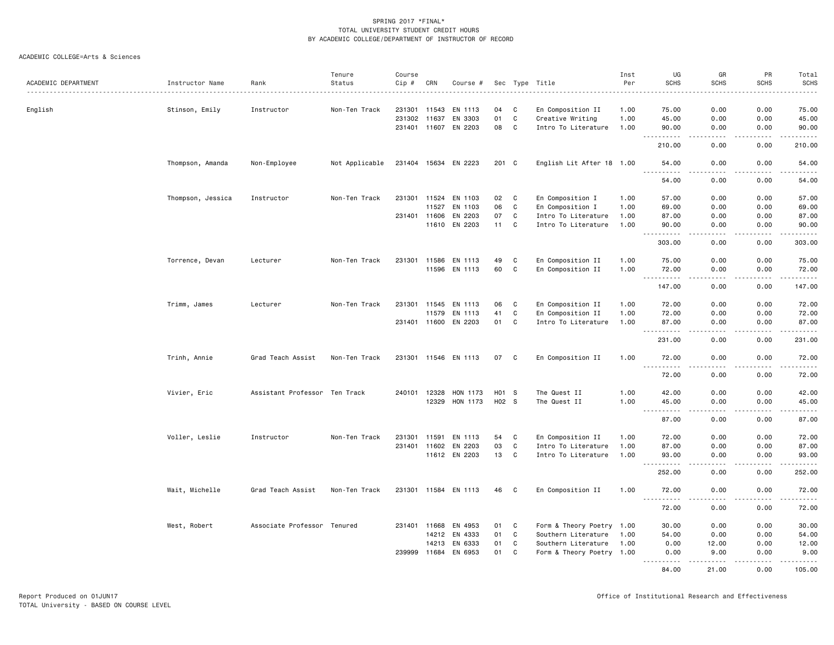|                     |                   |                               | Tenure         | Course       |       |                      |       |                            |                           | Inst | UG                                                                                                                                                                                                                                                                                                                                                                                                                                                                                                             | GR                                                                                                                        | PR                          | Total                                                                                                                               |
|---------------------|-------------------|-------------------------------|----------------|--------------|-------|----------------------|-------|----------------------------|---------------------------|------|----------------------------------------------------------------------------------------------------------------------------------------------------------------------------------------------------------------------------------------------------------------------------------------------------------------------------------------------------------------------------------------------------------------------------------------------------------------------------------------------------------------|---------------------------------------------------------------------------------------------------------------------------|-----------------------------|-------------------------------------------------------------------------------------------------------------------------------------|
| ACADEMIC DEPARTMENT | Instructor Name   | Rank                          | Status         | Cip #        | CRN   | Course #             |       |                            | Sec Type Title            | Per  | <b>SCHS</b>                                                                                                                                                                                                                                                                                                                                                                                                                                                                                                    | <b>SCHS</b>                                                                                                               | <b>SCHS</b>                 | <b>SCHS</b><br>.                                                                                                                    |
|                     |                   |                               |                |              |       |                      |       |                            |                           |      |                                                                                                                                                                                                                                                                                                                                                                                                                                                                                                                |                                                                                                                           |                             |                                                                                                                                     |
| English             | Stinson, Emily    | Instructor                    | Non-Ten Track  | 231301 11543 |       | EN 1113              | 04    | C                          | En Composition II         | 1.00 | 75.00                                                                                                                                                                                                                                                                                                                                                                                                                                                                                                          | 0.00                                                                                                                      | 0.00                        | 75.00                                                                                                                               |
|                     |                   |                               |                | 231302 11637 |       | EN 3303              | 01    | C                          | Creative Writing          | 1.00 | 45.00                                                                                                                                                                                                                                                                                                                                                                                                                                                                                                          | 0.00                                                                                                                      | 0.00                        | 45.00                                                                                                                               |
|                     |                   |                               |                | 231401 11607 |       | EN 2203              | 08    | C                          | Intro To Literature       | 1.00 | 90.00<br><b>.</b><br>$\sim$ $\sim$ $\sim$                                                                                                                                                                                                                                                                                                                                                                                                                                                                      | 0.00<br>$\sim$ $\sim$ $\sim$ $\sim$                                                                                       | 0.00<br>.                   | 90.00<br>.                                                                                                                          |
|                     |                   |                               |                |              |       |                      |       |                            |                           |      | 210.00                                                                                                                                                                                                                                                                                                                                                                                                                                                                                                         | 0.00                                                                                                                      | 0.00                        | 210.00                                                                                                                              |
|                     | Thompson, Amanda  | Non-Employee                  | Not Applicable |              |       | 231404 15634 EN 2223 | 201 C |                            | English Lit After 18 1.00 |      | 54.00                                                                                                                                                                                                                                                                                                                                                                                                                                                                                                          | 0.00                                                                                                                      | 0.00                        | 54.00                                                                                                                               |
|                     |                   |                               |                |              |       |                      |       |                            |                           |      | 54.00                                                                                                                                                                                                                                                                                                                                                                                                                                                                                                          | 0.00                                                                                                                      | 0.00                        | 54.00                                                                                                                               |
|                     | Thompson, Jessica | Instructor                    | Non-Ten Track  | 231301 11524 |       | EN 1103              | 02    | C                          | En Composition I          | 1.00 | 57.00                                                                                                                                                                                                                                                                                                                                                                                                                                                                                                          | 0.00                                                                                                                      | 0.00                        | 57.00                                                                                                                               |
|                     |                   |                               |                |              | 11527 | EN 1103              | 06    | C                          | En Composition I          | 1.00 | 69.00                                                                                                                                                                                                                                                                                                                                                                                                                                                                                                          | 0.00                                                                                                                      | 0.00                        | 69.00                                                                                                                               |
|                     |                   |                               |                | 231401 11606 |       | EN 2203              | 07    | C                          | Intro To Literature       | 1.00 | 87.00                                                                                                                                                                                                                                                                                                                                                                                                                                                                                                          | 0.00                                                                                                                      | 0.00                        | 87.00                                                                                                                               |
|                     |                   |                               |                |              | 11610 | EN 2203              | 11    | C                          | Intro To Literature       | 1.00 | 90.00                                                                                                                                                                                                                                                                                                                                                                                                                                                                                                          | 0.00                                                                                                                      | 0.00                        | 90.00                                                                                                                               |
|                     |                   |                               |                |              |       |                      |       |                            |                           |      | <u>----------</u><br>303.00                                                                                                                                                                                                                                                                                                                                                                                                                                                                                    | .<br>0.00                                                                                                                 | -----<br>0.00               | 303.00                                                                                                                              |
|                     | Torrence, Devan   | Lecturer                      | Non-Ten Track  | 231301 11586 |       | EN 1113              | 49    | C                          | En Composition II         | 1.00 | 75.00                                                                                                                                                                                                                                                                                                                                                                                                                                                                                                          | 0.00                                                                                                                      | 0.00                        | 75.00                                                                                                                               |
|                     |                   |                               |                |              | 11596 | EN 1113              | 60    | C                          | En Composition II         | 1.00 | 72.00                                                                                                                                                                                                                                                                                                                                                                                                                                                                                                          | 0.00                                                                                                                      | 0.00                        | 72.00                                                                                                                               |
|                     |                   |                               |                |              |       |                      |       |                            |                           |      | .<br>147.00                                                                                                                                                                                                                                                                                                                                                                                                                                                                                                    | .<br>0.00                                                                                                                 | 22222.<br>$- - - -$<br>0.00 | $\begin{array}{cccccccccccccc} \bullet & \bullet & \bullet & \bullet & \bullet & \bullet & \bullet & \bullet \end{array}$<br>147.00 |
|                     | Trimm, James      | Lecturer                      | Non-Ten Track  | 231301       | 11545 | EN 1113              | 06    | C                          | En Composition II         | 1.00 | 72.00                                                                                                                                                                                                                                                                                                                                                                                                                                                                                                          | 0.00                                                                                                                      | 0.00                        | 72.00                                                                                                                               |
|                     |                   |                               |                |              | 11579 | EN 1113              | 41    | C                          | En Composition II         | 1.00 | 72.00                                                                                                                                                                                                                                                                                                                                                                                                                                                                                                          | 0.00                                                                                                                      | 0.00                        | 72.00                                                                                                                               |
|                     |                   |                               |                | 231401 11600 |       | EN 2203              | 01    | C                          | Intro To Literature       | 1.00 | 87.00                                                                                                                                                                                                                                                                                                                                                                                                                                                                                                          | 0.00                                                                                                                      | 0.00                        | 87.00                                                                                                                               |
|                     |                   |                               |                |              |       |                      |       |                            |                           |      | .<br>$\sim$ $\sim$ $\sim$<br>231.00                                                                                                                                                                                                                                                                                                                                                                                                                                                                            | د د د د<br>0.00                                                                                                           | -----<br>0.00               | .<br>231.00                                                                                                                         |
|                     | Trinh, Annie      | Grad Teach Assist             | Non-Ten Track  |              |       | 231301 11546 EN 1113 | 07    | $\overline{\phantom{a}}$ C | En Composition II         | 1.00 | 72.00                                                                                                                                                                                                                                                                                                                                                                                                                                                                                                          | 0.00                                                                                                                      | 0.00                        | 72.00                                                                                                                               |
|                     |                   |                               |                |              |       |                      |       |                            |                           |      | $\sim$ $\sim$ $\sim$<br>72.00                                                                                                                                                                                                                                                                                                                                                                                                                                                                                  | 0.00                                                                                                                      | $- - - -$<br>0.00           | .<br>72.00                                                                                                                          |
|                     | Vivier, Eric      | Assistant Professor Ten Track |                | 240101 12328 |       | HON 1173             | H01 S |                            | The Quest II              | 1.00 | 42.00                                                                                                                                                                                                                                                                                                                                                                                                                                                                                                          | 0.00                                                                                                                      | 0.00                        | 42.00                                                                                                                               |
|                     |                   |                               |                |              | 12329 | HON 1173             | H02 S |                            | The Quest II              | 1.00 | 45.00                                                                                                                                                                                                                                                                                                                                                                                                                                                                                                          | 0.00                                                                                                                      | 0.00                        | 45.00                                                                                                                               |
|                     |                   |                               |                |              |       |                      |       |                            |                           |      | $\sim$ $\sim$ $\sim$<br>$\begin{array}{cccccccccccccc} \multicolumn{2}{c}{} & \multicolumn{2}{c}{} & \multicolumn{2}{c}{} & \multicolumn{2}{c}{} & \multicolumn{2}{c}{} & \multicolumn{2}{c}{} & \multicolumn{2}{c}{} & \multicolumn{2}{c}{} & \multicolumn{2}{c}{} & \multicolumn{2}{c}{} & \multicolumn{2}{c}{} & \multicolumn{2}{c}{} & \multicolumn{2}{c}{} & \multicolumn{2}{c}{} & \multicolumn{2}{c}{} & \multicolumn{2}{c}{} & \multicolumn{2}{c}{} & \multicolumn{2}{c}{} & \multicolumn{2}{c}{} & \$ | $\frac{1}{2} \left( \frac{1}{2} \right) \left( \frac{1}{2} \right) \left( \frac{1}{2} \right) \left( \frac{1}{2} \right)$ | .                           | .                                                                                                                                   |
|                     |                   |                               |                |              |       |                      |       |                            |                           |      | 87.00                                                                                                                                                                                                                                                                                                                                                                                                                                                                                                          | 0.00                                                                                                                      | 0.00                        | 87.00                                                                                                                               |
|                     | Voller, Leslie    | Instructor                    | Non-Ten Track  | 231301       | 11591 | EN 1113              | 54    | C                          | En Composition II         | 1.00 | 72.00                                                                                                                                                                                                                                                                                                                                                                                                                                                                                                          | 0.00                                                                                                                      | 0.00                        | 72.00                                                                                                                               |
|                     |                   |                               |                | 231401 11602 |       | EN 2203              | 03    | C                          | Intro To Literature       | 1.00 | 87.00                                                                                                                                                                                                                                                                                                                                                                                                                                                                                                          | 0.00                                                                                                                      | 0.00                        | 87.00                                                                                                                               |
|                     |                   |                               |                |              |       | 11612 EN 2203        | 13    | $\mathbf{C}$               | Intro To Literature       | 1.00 | 93.00<br>.                                                                                                                                                                                                                                                                                                                                                                                                                                                                                                     | 0.00<br>- - - -                                                                                                           | 0.00<br>$- - - -$           | 93.00<br>.                                                                                                                          |
|                     |                   |                               |                |              |       |                      |       |                            |                           |      | 252.00                                                                                                                                                                                                                                                                                                                                                                                                                                                                                                         | 0.00                                                                                                                      | 0.00                        | 252.00                                                                                                                              |
|                     | Wait, Michelle    | Grad Teach Assist             | Non-Ten Track  |              |       | 231301 11584 EN 1113 | 46    | C                          | En Composition II         | 1.00 | 72.00                                                                                                                                                                                                                                                                                                                                                                                                                                                                                                          | 0.00                                                                                                                      | 0.00                        | 72.00                                                                                                                               |
|                     |                   |                               |                |              |       |                      |       |                            |                           |      | -----<br>72.00                                                                                                                                                                                                                                                                                                                                                                                                                                                                                                 | $\sim$ $\sim$ $\sim$ $\sim$<br>0.00                                                                                       | .<br>0.00                   | .<br>72.00                                                                                                                          |
|                     | West, Robert      | Associate Professor Tenured   |                | 231401       | 11668 | EN 4953              | 01    | C                          | Form & Theory Poetry 1.00 |      | 30.00                                                                                                                                                                                                                                                                                                                                                                                                                                                                                                          | 0.00                                                                                                                      | 0.00                        | 30.00                                                                                                                               |
|                     |                   |                               |                |              | 14212 | EN 4333              | 01    | $\mathbf C$                | Southern Literature       | 1.00 | 54.00                                                                                                                                                                                                                                                                                                                                                                                                                                                                                                          | 0.00                                                                                                                      | 0.00                        | 54.00                                                                                                                               |
|                     |                   |                               |                |              | 14213 | EN 6333              | 01    | C                          | Southern Literature       | 1.00 | 0.00                                                                                                                                                                                                                                                                                                                                                                                                                                                                                                           | 12.00                                                                                                                     | 0.00                        | 12.00                                                                                                                               |
|                     |                   |                               |                | 239999       | 11684 | EN 6953              | 01    | C                          | Form & Theory Poetry 1.00 |      | 0.00<br>.                                                                                                                                                                                                                                                                                                                                                                                                                                                                                                      | 9.00<br>.                                                                                                                 | 0.00<br>.                   | 9.00<br>.                                                                                                                           |
|                     |                   |                               |                |              |       |                      |       |                            |                           |      | 84.00                                                                                                                                                                                                                                                                                                                                                                                                                                                                                                          | 21,00                                                                                                                     | 0.00                        | 105.00                                                                                                                              |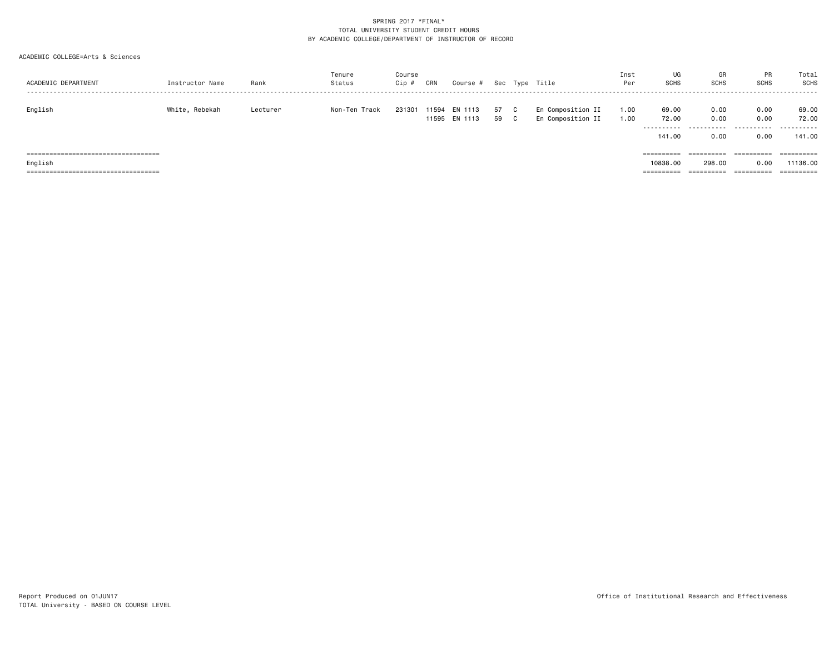| ACADEMIC DEPARTMENT                    | Instructor Name | Rank     | Tenure<br>Status | Course<br>Cip # | CRN            | Course #           |          |   | Sec Type Title                         | Inst<br>Per  | UG<br><b>SCHS</b>             | GR<br><b>SCHS</b> | <b>PR</b><br><b>SCHS</b> | Total<br>SCHS       |
|----------------------------------------|-----------------|----------|------------------|-----------------|----------------|--------------------|----------|---|----------------------------------------|--------------|-------------------------------|-------------------|--------------------------|---------------------|
| English                                | White, Rebekah  | Lecturer | Non-Ten Track    | 231301          | 11594<br>11595 | EN 1113<br>EN 1113 | 57<br>59 | ◡ | En Composition II<br>En Composition II | 1.00<br>1.00 | 69.00<br>72.00<br>----------- | 0.00<br>0.00<br>. | 0.00<br>0.00<br>.        | 69.00<br>72.00<br>. |
|                                        |                 |          |                  |                 |                |                    |          |   |                                        |              | 141.00                        | 0.00              | 0.00                     | 141.00              |
| ====================================== |                 |          |                  |                 |                |                    |          |   |                                        |              | ==========                    | ==========        | ==========               | ==========          |
| English                                |                 |          |                  |                 |                |                    |          |   |                                        |              | 10838,00                      | 298.00            | 0.00                     | 11136.00            |
| ====================================== |                 |          |                  |                 |                |                    |          |   |                                        |              | ==========                    | ==========        | ==========               | ==========          |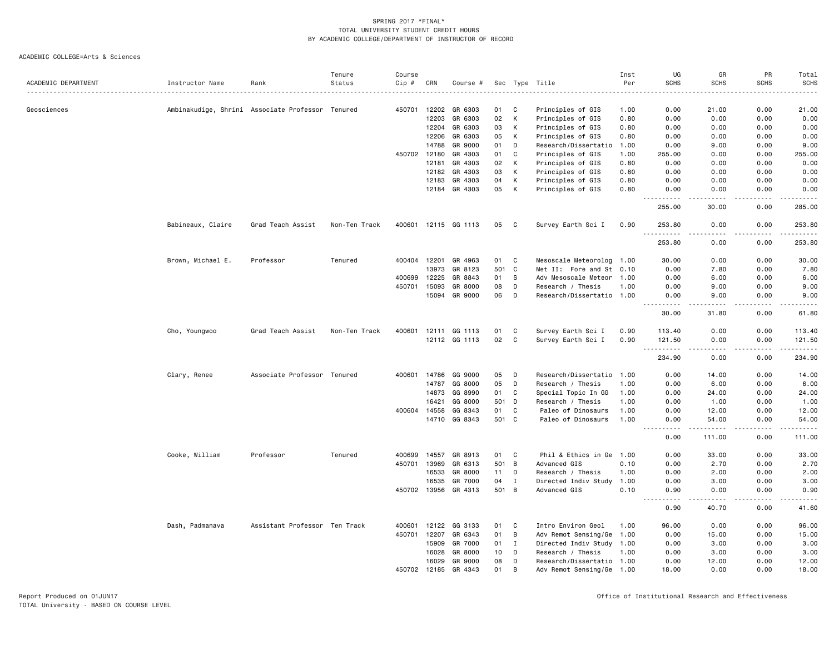|                     |                   |                                                  | Tenure        | Course       |                |                    |          |             |                                           | Inst            | UG                                                          | GR                                                                                                                                                            | PR           | Total              |
|---------------------|-------------------|--------------------------------------------------|---------------|--------------|----------------|--------------------|----------|-------------|-------------------------------------------|-----------------|-------------------------------------------------------------|---------------------------------------------------------------------------------------------------------------------------------------------------------------|--------------|--------------------|
| ACADEMIC DEPARTMENT | Instructor Name   | Rank                                             | Status        | Cip #        | CRN            | Course #           |          |             | Sec Type Title                            | Per<br><u>.</u> | <b>SCHS</b>                                                 | <b>SCHS</b>                                                                                                                                                   | <b>SCHS</b>  | <b>SCHS</b><br>.   |
|                     |                   |                                                  |               |              |                |                    |          |             |                                           |                 |                                                             |                                                                                                                                                               |              |                    |
| Geosciences         |                   | Ambinakudige, Shrini Associate Professor Tenured |               | 450701       | 12202          | GR 6303            | 01       | C           | Principles of GIS                         | 1.00            | 0.00                                                        | 21.00                                                                                                                                                         | 0.00         | 21.00              |
|                     |                   |                                                  |               |              | 12203          | GR 6303            | 02       | K<br>К      | Principles of GIS                         | 0.80            | 0.00                                                        | 0.00                                                                                                                                                          | 0.00         | 0.00               |
|                     |                   |                                                  |               |              | 12204<br>12206 | GR 6303<br>GR 6303 | 03<br>05 | K           | Principles of GIS                         | 0.80            | 0.00<br>0.00                                                | 0.00<br>0.00                                                                                                                                                  | 0.00<br>0.00 | 0.00<br>0.00       |
|                     |                   |                                                  |               |              |                |                    |          |             | Principles of GIS                         | 0.80            |                                                             |                                                                                                                                                               |              |                    |
|                     |                   |                                                  |               | 450702       | 14788          | GR 9000<br>GR 4303 | 01<br>01 | D<br>C      | Research/Dissertatio<br>Principles of GIS | 1.00<br>1.00    | 0.00                                                        | 9.00<br>0.00                                                                                                                                                  | 0.00<br>0.00 | 9.00<br>255.00     |
|                     |                   |                                                  |               |              | 12180<br>12181 | GR 4303            | 02       | К           | Principles of GIS                         | 0.80            | 255.00<br>0.00                                              | 0.00                                                                                                                                                          | 0.00         | 0.00               |
|                     |                   |                                                  |               |              | 12182          | GR 4303            | 03       | К           |                                           | 0.80            | 0.00                                                        | 0.00                                                                                                                                                          | 0.00         | 0.00               |
|                     |                   |                                                  |               |              | 12183          | GR 4303            | 04       | К           | Principles of GIS<br>Principles of GIS    | 0.80            | 0.00                                                        | 0.00                                                                                                                                                          | 0.00         | 0.00               |
|                     |                   |                                                  |               |              | 12184          | GR 4303            | 05       | К           | Principles of GIS                         | 0.80            | 0.00                                                        | 0.00                                                                                                                                                          | 0.00         | 0.00               |
|                     |                   |                                                  |               |              |                |                    |          |             |                                           |                 | 255.00                                                      | 30.00                                                                                                                                                         | 0.00         | المستما<br>285.00  |
|                     | Babineaux, Claire | Grad Teach Assist                                | Non-Ten Track | 400601       |                | 12115 GG 1113      | 05       | C           | Survey Earth Sci I                        | 0.90            | 253.80                                                      | 0.00                                                                                                                                                          | 0.00         | 253.80             |
|                     |                   |                                                  |               |              |                |                    |          |             |                                           |                 | .<br>253.80                                                 | .<br>0.00                                                                                                                                                     | .<br>0.00    | .<br>253.80        |
|                     | Brown, Michael E. | Professor                                        | Tenured       | 400404       | 12201          | GR 4963            | 01       | C           | Mesoscale Meteorolog 1.00                 |                 | 30.00                                                       | 0.00                                                                                                                                                          | 0.00         | 30.00              |
|                     |                   |                                                  |               |              | 13973          | GR 8123            | 501      | <b>C</b>    | Met II: Fore and St 0.10                  |                 | 0.00                                                        | 7.80                                                                                                                                                          | 0.00         | 7.80               |
|                     |                   |                                                  |               | 400699       | 12225          | GR 8843            | 01       | - S         | Adv Mesoscale Meteor 1.00                 |                 | 0.00                                                        | 6.00                                                                                                                                                          | 0.00         | 6.00               |
|                     |                   |                                                  |               | 450701       | 15093          | GR 8000            | 08       | D           | Research / Thesis                         | 1.00            | 0.00                                                        | 9.00                                                                                                                                                          | 0.00         | 9.00               |
|                     |                   |                                                  |               |              | 15094          | GR 9000            | 06       | D           | Research/Dissertatio 1.00                 |                 | 0.00                                                        | 9.00                                                                                                                                                          | 0.00         | 9.00               |
|                     |                   |                                                  |               |              |                |                    |          |             |                                           |                 | .<br>$- - -$<br>30.00                                       | $\frac{1}{2} \left( \frac{1}{2} \right) \left( \frac{1}{2} \right) \left( \frac{1}{2} \right) \left( \frac{1}{2} \right) \left( \frac{1}{2} \right)$<br>31.80 | .<br>0.00    | $    -$<br>61.80   |
|                     | Cho, Youngwoo     | Grad Teach Assist                                | Non-Ten Track | 400601       | 12111          | GG 1113            | 01       | C           | Survey Earth Sci I                        | 0.90            | 113.40                                                      | 0.00                                                                                                                                                          | 0.00         | 113.40             |
|                     |                   |                                                  |               |              |                | 12112 GG 1113      | 02       | C           | Survey Earth Sci I                        | 0.90            | 121.50<br><b></b>                                           | 0.00<br>$   -$                                                                                                                                                | 0.00<br>.    | 121.50<br>.        |
|                     |                   |                                                  |               |              |                |                    |          |             |                                           |                 | 234.90                                                      | 0.00                                                                                                                                                          | 0.00         | 234.90             |
|                     | Clary, Renee      | Associate Professor Tenured                      |               | 400601       | 14786          | GG 9000            | 05       | D           | Research/Dissertatio 1.00                 |                 | 0.00                                                        | 14.00                                                                                                                                                         | 0.00         | 14.00              |
|                     |                   |                                                  |               |              | 14787          | GG 8000            | 05       | D           | Research / Thesis                         | 1.00            | 0.00                                                        | 6.00                                                                                                                                                          | 0.00         | 6.00               |
|                     |                   |                                                  |               |              | 14873          | GG 8990            | 01       | C           | Special Topic In GG                       | 1.00            | 0.00                                                        | 24.00                                                                                                                                                         | 0.00         | 24.00              |
|                     |                   |                                                  |               |              | 16421          | GG 8000            | 501      | D           | Research / Thesis                         | 1.00            | 0.00                                                        | 1.00                                                                                                                                                          | 0.00         | 1.00               |
|                     |                   |                                                  |               | 400604       | 14558          | GG 8343            | 01       | C           | Paleo of Dinosaurs                        | 1.00            | 0.00                                                        | 12.00                                                                                                                                                         | 0.00         | 12.00              |
|                     |                   |                                                  |               |              | 14710          | GG 8343            | 501 C    |             | Paleo of Dinosaurs                        | 1.00            | 0.00                                                        | 54.00                                                                                                                                                         | 0.00         | 54.00<br>.         |
|                     |                   |                                                  |               |              |                |                    |          |             |                                           |                 | 0.00                                                        | 111.00                                                                                                                                                        | 0.00         | 111.00             |
|                     | Cooke, William    | Professor                                        | Tenured       | 400699       | 14557          | GR 8913            | 01       | C           | Phil & Ethics in Ge 1.00                  |                 | 0.00                                                        | 33.00                                                                                                                                                         | 0.00         | 33.00              |
|                     |                   |                                                  |               | 450701       | 13969          | GR 6313            | 501      | B           | Advanced GIS                              | 0.10            | 0.00                                                        | 2.70                                                                                                                                                          | 0.00         | 2.70               |
|                     |                   |                                                  |               |              | 16533          | GR 8000            | 11       | D           | Research / Thesis                         | 1.00            | 0.00                                                        | 2.00                                                                                                                                                          | 0.00         | 2.00               |
|                     |                   |                                                  |               |              | 16535          | GR 7000            | 04       | $\mathbf I$ | Directed Indiv Study 1.00                 |                 | 0.00                                                        | 3.00                                                                                                                                                          | 0.00         | 3.00               |
|                     |                   |                                                  |               | 450702 13956 |                | GR 4313            | 501 B    |             | Advanced GIS                              | 0.10            | 0.90<br>$\sim$ $\sim$ $\sim$ $\sim$<br>$\sim$ $\sim$ $\sim$ | 0.00<br>.                                                                                                                                                     | 0.00<br>.    | 0.90<br>والمناصبات |
|                     |                   |                                                  |               |              |                |                    |          |             |                                           |                 | 0.90                                                        | 40.70                                                                                                                                                         | 0.00         | 41.60              |
|                     | Dash, Padmanava   | Assistant Professor Ten Track                    |               | 400601       | 12122          | GG 3133            | 01       | C           | Intro Environ Geol                        | 1.00            | 96.00                                                       | 0.00                                                                                                                                                          | 0.00         | 96.00              |
|                     |                   |                                                  |               | 450701       | 12207          | GR 6343            | 01       | B           | Adv Remot Sensing/Ge 1.00                 |                 | 0.00                                                        | 15.00                                                                                                                                                         | 0.00         | 15.00              |
|                     |                   |                                                  |               |              | 15909          | GR 7000            | 01       | I           | Directed Indiv Study 1.00                 |                 | 0.00                                                        | 3.00                                                                                                                                                          | 0.00         | 3.00               |
|                     |                   |                                                  |               |              | 16028          | GR 8000            | 10       | D           | Research / Thesis                         | 1.00            | 0.00                                                        | 3.00                                                                                                                                                          | 0.00         | 3.00               |
|                     |                   |                                                  |               |              | 16029          | GR 9000            | 08       | D           | Research/Dissertatio 1.00                 |                 | 0.00                                                        | 12.00                                                                                                                                                         | 0.00         | 12.00              |
|                     |                   |                                                  |               | 450702       | 12185          | GR 4343            | 01       | B           | Adv Remot Sensing/Ge 1.00                 |                 | 18,00                                                       | 0.00                                                                                                                                                          | 0.00         | 18,00              |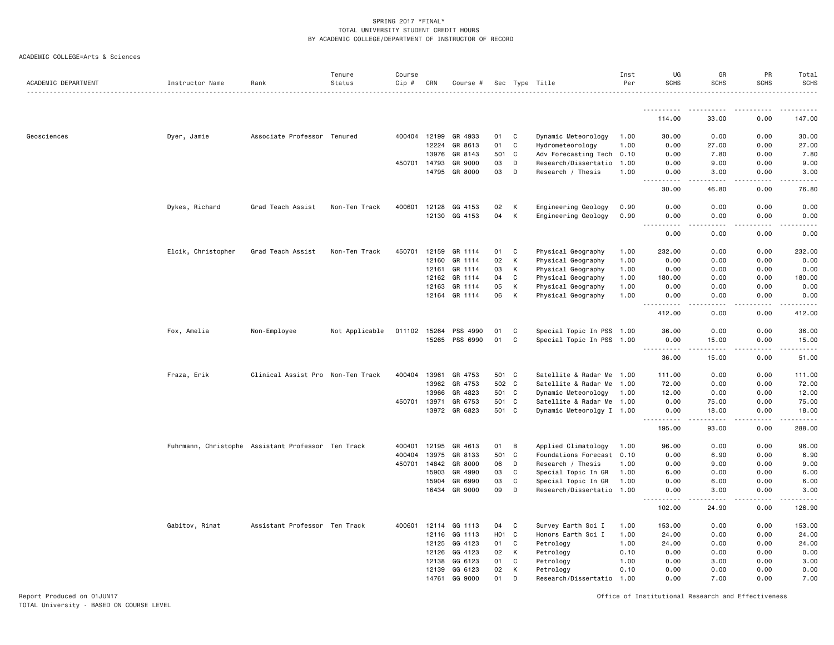#### ACADEMIC COLLEGE=Arts & Sciences

|                     |                                                    |                                   | Tenure         | Course       |       |               |                  |              |                           | Inst | UG                                                                                                                                                                      | GR                                                                                                                                                            | PR            | Total       |
|---------------------|----------------------------------------------------|-----------------------------------|----------------|--------------|-------|---------------|------------------|--------------|---------------------------|------|-------------------------------------------------------------------------------------------------------------------------------------------------------------------------|---------------------------------------------------------------------------------------------------------------------------------------------------------------|---------------|-------------|
| ACADEMIC DEPARTMENT | Instructor Name                                    | Rank                              | Status         | Cip #        | CRN   | Course #      |                  |              | Sec Type Title            | Per  | <b>SCHS</b>                                                                                                                                                             | <b>SCHS</b>                                                                                                                                                   | <b>SCHS</b>   | <b>SCHS</b> |
|                     |                                                    |                                   |                |              |       |               |                  |              |                           |      |                                                                                                                                                                         |                                                                                                                                                               |               |             |
|                     |                                                    |                                   |                |              |       |               |                  |              |                           |      | 114.00                                                                                                                                                                  | 33.00                                                                                                                                                         | 0.00          | 147.00      |
| Geosciences         | Dyer, Jamie                                        | Associate Professor Tenured       |                | 400404 12199 |       | GR 4933       | 01               | C            | Dynamic Meteorology       | 1.00 | 30.00                                                                                                                                                                   | 0.00                                                                                                                                                          | 0.00          | 30.00       |
|                     |                                                    |                                   |                |              | 12224 | GR 8613       | 01               | C            | Hydrometeorology          | 1.00 | 0.00                                                                                                                                                                    | 27.00                                                                                                                                                         | 0.00          | 27.00       |
|                     |                                                    |                                   |                |              | 13976 | GR 8143       | 501              | C            | Adv Forecasting Tech 0.10 |      | 0.00                                                                                                                                                                    | 7.80                                                                                                                                                          | 0.00          | 7.80        |
|                     |                                                    |                                   |                | 450701 14793 |       | GR 9000       | 03               | D            | Research/Dissertatio      | 1.00 | 0.00                                                                                                                                                                    | 9.00                                                                                                                                                          | 0.00          | 9.00        |
|                     |                                                    |                                   |                |              | 14795 | GR 8000       | 03               | D            | Research / Thesis         | 1.00 | 0.00                                                                                                                                                                    | 3.00                                                                                                                                                          | 0.00          | 3.00        |
|                     |                                                    |                                   |                |              |       |               |                  |              |                           |      | $\frac{1}{2} \left( \frac{1}{2} \right) \left( \frac{1}{2} \right) \left( \frac{1}{2} \right) \left( \frac{1}{2} \right)$<br>30.00                                      | 46.80                                                                                                                                                         | 0.00          | 76.80       |
|                     | Dykes, Richard                                     | Grad Teach Assist                 | Non-Ten Track  | 400601       | 12128 | GG 4153       | 02               | К            | Engineering Geology       | 0.90 | 0.00                                                                                                                                                                    | 0.00                                                                                                                                                          | 0.00          | 0.00        |
|                     |                                                    |                                   |                |              | 12130 | GG 4153       | 04               | К            | Engineering Geology       | 0.90 | 0.00                                                                                                                                                                    | 0.00<br>$\sim$ $\sim$ $\sim$ $\sim$                                                                                                                           | 0.00          | 0.00        |
|                     |                                                    |                                   |                |              |       |               |                  |              |                           |      | 0.00                                                                                                                                                                    | 0.00                                                                                                                                                          | 0.00          | 0.00        |
|                     | Elcik, Christopher                                 | Grad Teach Assist                 | Non-Ten Track  | 450701       | 12159 | GR 1114       | 01               | C            | Physical Geography        | 1.00 | 232.00                                                                                                                                                                  | 0.00                                                                                                                                                          | 0.00          | 232.00      |
|                     |                                                    |                                   |                |              | 12160 | GR 1114       | 02               | К            | Physical Geography        | 1.00 | 0.00                                                                                                                                                                    | 0.00                                                                                                                                                          | 0.00          | 0.00        |
|                     |                                                    |                                   |                |              | 12161 | GR 1114       | 03               | К            | Physical Geography        | 1.00 | 0.00                                                                                                                                                                    | 0.00                                                                                                                                                          | 0.00          | 0.00        |
|                     |                                                    |                                   |                |              | 12162 | GR 1114       | 04               | C            | Physical Geography        | 1.00 | 180.00                                                                                                                                                                  | 0.00                                                                                                                                                          | 0.00          | 180.00      |
|                     |                                                    |                                   |                |              | 12163 | GR 1114       | 05               | К            | Physical Geography        | 1.00 | 0.00                                                                                                                                                                    | 0.00                                                                                                                                                          | 0.00          | 0.00        |
|                     |                                                    |                                   |                |              |       | 12164 GR 1114 | 06               | K            | Physical Geography        | 1.00 | 0.00                                                                                                                                                                    | 0.00                                                                                                                                                          | 0.00          | 0.00        |
|                     |                                                    |                                   |                |              |       |               |                  |              |                           |      | $\frac{1}{2} \left( \frac{1}{2} \right) \left( \frac{1}{2} \right) \left( \frac{1}{2} \right) \left( \frac{1}{2} \right) \left( \frac{1}{2} \right)$<br>$  -$<br>412.00 | .<br>0.00                                                                                                                                                     | -----<br>0.00 | .<br>412.00 |
|                     | Fox, Amelia                                        | Non-Employee                      | Not Applicable | 011102       | 15264 | PSS 4990      | 01               | C            | Special Topic In PSS 1.00 |      | 36.00                                                                                                                                                                   | 0.00                                                                                                                                                          | 0.00          | 36.00       |
|                     |                                                    |                                   |                |              | 15265 | PSS 6990      | 01               | C            | Special Topic In PSS 1.00 |      | 0.00<br>.                                                                                                                                                               | 15.00<br>$\frac{1}{2} \left( \frac{1}{2} \right) \left( \frac{1}{2} \right) \left( \frac{1}{2} \right) \left( \frac{1}{2} \right) \left( \frac{1}{2} \right)$ | 0.00<br>.     | 15.00<br>.  |
|                     |                                                    |                                   |                |              |       |               |                  |              |                           |      | 36.00                                                                                                                                                                   | 15.00                                                                                                                                                         | 0.00          | 51.00       |
|                     | Fraza, Erik                                        | Clinical Assist Pro Non-Ten Track |                | 400404       | 13961 | GR 4753       | 501 C            |              | Satellite & Radar Me 1.00 |      | 111.00                                                                                                                                                                  | 0.00                                                                                                                                                          | 0.00          | 111.00      |
|                     |                                                    |                                   |                |              | 13962 | GR 4753       | 502 C            |              | Satellite & Radar Me      | 1.00 | 72.00                                                                                                                                                                   | 0.00                                                                                                                                                          | 0.00          | 72.00       |
|                     |                                                    |                                   |                |              | 13966 | GR 4823       | 501 C            |              | Dynamic Meteorology       | 1.00 | 12.00                                                                                                                                                                   | 0.00                                                                                                                                                          | 0.00          | 12.00       |
|                     |                                                    |                                   |                | 450701 13971 |       | GR 6753       | 501 C            |              | Satellite & Radar Me 1.00 |      | 0.00                                                                                                                                                                    | 75.00                                                                                                                                                         | 0.00          | 75.00       |
|                     |                                                    |                                   |                |              | 13972 | GR 6823       | 501 C            |              | Dynamic Meteorolgy I 1.00 |      | 0.00<br>$\frac{1}{2} \left( \frac{1}{2} \right) \left( \frac{1}{2} \right) \left( \frac{1}{2} \right) \left( \frac{1}{2} \right) \left( \frac{1}{2} \right)$            | 18.00<br><u>.</u>                                                                                                                                             | 0.00<br>.     | 18.00<br>.  |
|                     |                                                    |                                   |                |              |       |               |                  |              |                           |      | 195.00                                                                                                                                                                  | 93.00                                                                                                                                                         | 0.00          | 288.00      |
|                     | Fuhrmann, Christophe Assistant Professor Ten Track |                                   |                | 400401       | 12195 | GR 4613       | 01               | B            | Applied Climatology       | 1.00 | 96.00                                                                                                                                                                   | 0.00                                                                                                                                                          | 0.00          | 96.00       |
|                     |                                                    |                                   |                | 400404       | 13975 | GR 8133       | 501              | $\mathbf{C}$ | Foundations Forecast 0.10 |      | 0.00                                                                                                                                                                    | 6.90                                                                                                                                                          | 0.00          | 6.90        |
|                     |                                                    |                                   |                | 450701 14842 |       | GR 8000       | 06               | D            | Research / Thesis         | 1.00 | 0.00                                                                                                                                                                    | 9.00                                                                                                                                                          | 0.00          | 9.00        |
|                     |                                                    |                                   |                |              | 15903 | GR 4990       | 03               | C            | Special Topic In GR       | 1.00 | 6.00                                                                                                                                                                    | 0.00                                                                                                                                                          | 0.00          | 6.00        |
|                     |                                                    |                                   |                |              | 15904 | GR 6990       | 03               | C            | Special Topic In GR       | 1.00 | 0.00                                                                                                                                                                    | 6.00                                                                                                                                                          | 0.00          | 6.00        |
|                     |                                                    |                                   |                |              | 16434 | GR 9000       | 09               | D            | Research/Dissertatio 1.00 |      | 0.00<br>$\sim$ $\sim$ $\sim$<br>.                                                                                                                                       | 3.00<br>د کا کا ک                                                                                                                                             | 0.00<br>.     | 3.00        |
|                     |                                                    |                                   |                |              |       |               |                  |              |                           |      | 102.00                                                                                                                                                                  | 24.90                                                                                                                                                         | 0.00          | 126.90      |
|                     | Gabitov, Rinat                                     | Assistant Professor Ten Track     |                | 400601 12114 |       | GG 1113       | 04               | C            | Survey Earth Sci I        | 1.00 | 153.00                                                                                                                                                                  | 0.00                                                                                                                                                          | 0.00          | 153.00      |
|                     |                                                    |                                   |                |              | 12116 | GG 1113       | H <sub>0</sub> 1 | C            | Honors Earth Sci I        | 1.00 | 24.00                                                                                                                                                                   | 0.00                                                                                                                                                          | 0.00          | 24.00       |
|                     |                                                    |                                   |                |              | 12125 | GG 4123       | 01               | C            | Petrology                 | 1.00 | 24.00                                                                                                                                                                   | 0.00                                                                                                                                                          | 0.00          | 24.00       |
|                     |                                                    |                                   |                |              | 12126 | GG 4123       | 02               | К            | Petrology                 | 0.10 | 0.00                                                                                                                                                                    | 0.00                                                                                                                                                          | 0.00          | 0.00        |
|                     |                                                    |                                   |                |              | 12138 | GG 6123       | 01               | C            | Petrology                 | 1.00 | 0.00                                                                                                                                                                    | 3.00                                                                                                                                                          | 0.00          | 3.00        |
|                     |                                                    |                                   |                |              | 12139 | GG 6123       | 02               | К            | Petrology                 | 0.10 | 0.00                                                                                                                                                                    | 0.00                                                                                                                                                          | 0.00          | 0.00        |
|                     |                                                    |                                   |                |              | 14761 | GG 9000       | 01               | D            | Research/Dissertatio 1.00 |      | 0.00                                                                                                                                                                    | 7.00                                                                                                                                                          | 0.00          | 7.00        |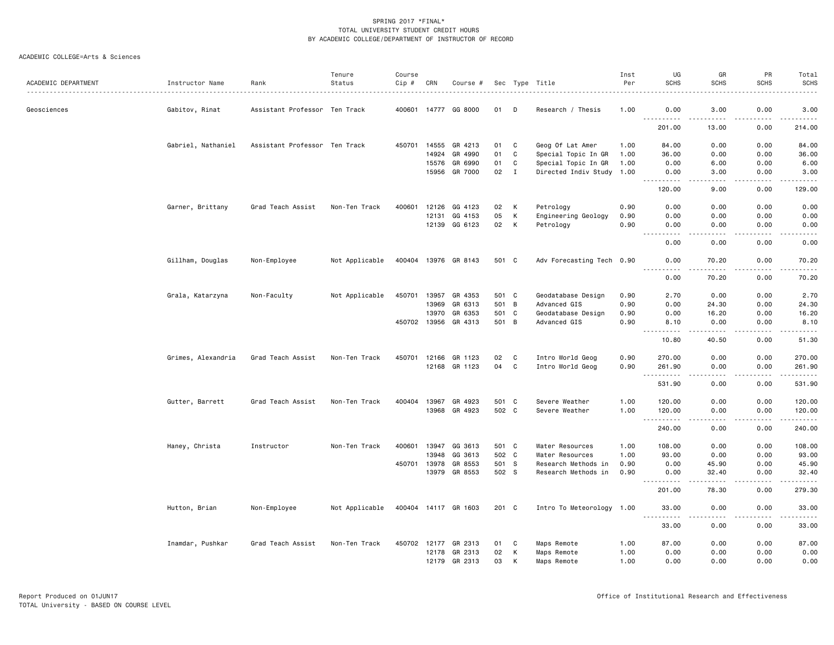| ACADEMIC DEPARTMENT | Instructor Name    | Rank                          | Tenure<br>Status | Course<br>Cip # | CRN          | Course #             |       |              | Sec Type Title            | Inst<br>Per | UG<br><b>SCHS</b>                         | GR<br><b>SCHS</b>     | PR<br><b>SCHS</b>                   | Total<br><b>SCHS</b><br>. |
|---------------------|--------------------|-------------------------------|------------------|-----------------|--------------|----------------------|-------|--------------|---------------------------|-------------|-------------------------------------------|-----------------------|-------------------------------------|---------------------------|
| Geosciences         | Gabitov, Rinat     | Assistant Professor Ten Track |                  |                 |              | 400601 14777 GG 8000 | 01    | D            | Research / Thesis         | 1.00        | 0.00                                      | 3.00                  | 0.00                                | 3.00                      |
|                     |                    |                               |                  |                 |              |                      |       |              |                           |             | .<br>201.00                               | 13.00                 | 0.00                                | ------<br>214.00          |
|                     | Gabriel, Nathaniel | Assistant Professor Ten Track |                  | 450701          | 14555        | GR 4213              | 01    | C            | Geog Of Lat Amer          | 1.00        | 84.00                                     | 0.00                  | 0.00                                | 84.00                     |
|                     |                    |                               |                  |                 | 14924        | GR 4990              | 01    | C            | Special Topic In GR       | 1.00        | 36.00                                     | 0.00                  | 0.00                                | 36.00                     |
|                     |                    |                               |                  |                 | 15576        | GR 6990              | 01    | $\mathtt{C}$ | Special Topic In GR       | 1.00        | 0.00                                      | 6.00                  | 0.00                                | 6.00                      |
|                     |                    |                               |                  |                 | 15956        | GR 7000              | 02    | $\mathbf{I}$ | Directed Indiv Study 1.00 |             | 0.00<br>-----                             | 3.00<br>$\cdots$      | 0.00<br>.                           | 3.00<br>.                 |
|                     |                    |                               |                  |                 |              |                      |       |              |                           |             | 120.00                                    | 9.00                  | 0.00                                | 129.00                    |
|                     | Garner, Brittany   | Grad Teach Assist             | Non-Ten Track    | 400601          | 12126        | GG 4123              | 02    | K            | Petrology                 | 0.90        | 0.00                                      | 0.00                  | 0.00                                | 0.00                      |
|                     |                    |                               |                  |                 | 12131        | GG 4153              | 05    | K            | Engineering Geology       | 0.90        | 0.00                                      | 0.00                  | 0.00                                | 0.00                      |
|                     |                    |                               |                  |                 | 12139        | GG 6123              | 02    | K            | Petrology                 | 0.90        | 0.00<br>.<br>$- - -$                      | 0.00<br>$\frac{1}{2}$ | 0.00<br>.                           | 0.00<br>.                 |
|                     |                    |                               |                  |                 |              |                      |       |              |                           |             | 0.00                                      | 0.00                  | 0.00                                | 0.00                      |
|                     | Gillham, Douglas   | Non-Employee                  | Not Applicable   |                 |              | 400404 13976 GR 8143 | 501 C |              | Adv Forecasting Tech 0.90 |             | 0.00<br>$- - - -$                         | 70.20<br>.            | 0.00<br>.                           | 70.20<br>.                |
|                     |                    |                               |                  |                 |              |                      |       |              |                           |             | 0.00                                      | 70.20                 | 0.00                                | 70.20                     |
|                     | Grala, Katarzyna   | Non-Faculty                   | Not Applicable   | 450701          | 13957        | GR 4353              | 501 C |              | Geodatabase Design        | 0.90        | 2.70                                      | 0.00                  | 0.00                                | 2.70                      |
|                     |                    |                               |                  |                 | 13969        | GR 6313              | 501 B |              | Advanced GIS              | 0.90        | 0.00                                      | 24.30                 | 0.00                                | 24.30                     |
|                     |                    |                               |                  |                 | 13970        | GR 6353              | 501 C |              | Geodatabase Design        | 0.90        | 0.00                                      | 16.20                 | 0.00                                | 16.20                     |
|                     |                    |                               |                  |                 | 450702 13956 | GR 4313              | 501 B |              | Advanced GIS              | 0.90        | 8.10<br>$\omega$ $\omega$ $\omega$ .<br>. | 0.00<br>-----         | 0.00                                | 8.10<br>$    -$           |
|                     |                    |                               |                  |                 |              |                      |       |              |                           |             | 10.80                                     | 40.50                 | 0.00                                | 51.30                     |
|                     | Grimes, Alexandria | Grad Teach Assist             | Non-Ten Track    | 450701 12166    |              | GR 1123              | 02    | C            | Intro World Geog          | 0.90        | 270.00                                    | 0.00                  | 0.00                                | 270.00                    |
|                     |                    |                               |                  |                 | 12168        | GR 1123              | 04    | C            | Intro World Geog          | 0.90        | 261.90                                    | 0.00                  | 0.00<br>$- - - -$                   | 261.90<br>.               |
|                     |                    |                               |                  |                 |              |                      |       |              |                           |             | 531.90                                    | 0.00                  | 0.00                                | 531.90                    |
|                     | Gutter, Barrett    | Grad Teach Assist             | Non-Ten Track    | 400404          | 13967        | GR 4923              | 501 C |              | Severe Weather            | 1.00        | 120.00                                    | 0.00                  | 0.00                                | 120.00                    |
|                     |                    |                               |                  |                 |              | 13968 GR 4923        | 502 C |              | Severe Weather            | 1.00        | 120.00<br>.                               | 0.00<br>$\frac{1}{2}$ | 0.00<br>.                           | 120.00<br>.               |
|                     |                    |                               |                  |                 |              |                      |       |              |                           |             | 240.00                                    | 0.00                  | 0.00                                | 240.00                    |
|                     | Haney, Christa     | Instructor                    | Non-Ten Track    | 400601          | 13947        | GG 3613              | 501 C |              | Water Resources           | 1.00        | 108.00                                    | 0.00                  | 0.00                                | 108.00                    |
|                     |                    |                               |                  |                 | 13948        | GG 3613              | 502 C |              | Water Resources           | 1.00        | 93.00                                     | 0.00                  | 0.00                                | 93.00                     |
|                     |                    |                               |                  | 450701          | 13978        | GR 8553              | 501 S |              | Research Methods in       | 0.90        | 0.00                                      | 45.90                 | 0.00                                | 45.90                     |
|                     |                    |                               |                  |                 | 13979        | GR 8553              | 502 S |              | Research Methods in       | 0.90        | 0.00                                      | 32.40<br>.            | 0.00<br>$\sim$ $\sim$ $\sim$ $\sim$ | 32.40<br>.                |
|                     |                    |                               |                  |                 |              |                      |       |              |                           |             | 201.00                                    | 78.30                 | 0.00                                | 279.30                    |
|                     | Hutton, Brian      | Non-Employee                  | Not Applicable   |                 |              | 400404 14117 GR 1603 | 201 C |              | Intro To Meteorology 1.00 |             | 33.00                                     | 0.00                  | 0.00                                | 33.00<br>والمناصبات       |
|                     |                    |                               |                  |                 |              |                      |       |              |                           |             | 33.00                                     | 0.00                  | 0.00                                | 33.00                     |
|                     | Inamdar, Pushkar   | Grad Teach Assist             | Non-Ten Track    | 450702 12177    |              | GR 2313              | 01    | - C          | Maps Remote               | 1.00        | 87.00                                     | 0.00                  | 0.00                                | 87.00                     |
|                     |                    |                               |                  |                 | 12178        | GR 2313              | 02    | К            | Maps Remote               | 1.00        | 0.00                                      | 0.00                  | 0.00                                | 0.00                      |
|                     |                    |                               |                  |                 | 12179        | GR 2313              | 03    | К            | Maps Remote               | 1.00        | 0.00                                      | 0.00                  | 0.00                                | 0.00                      |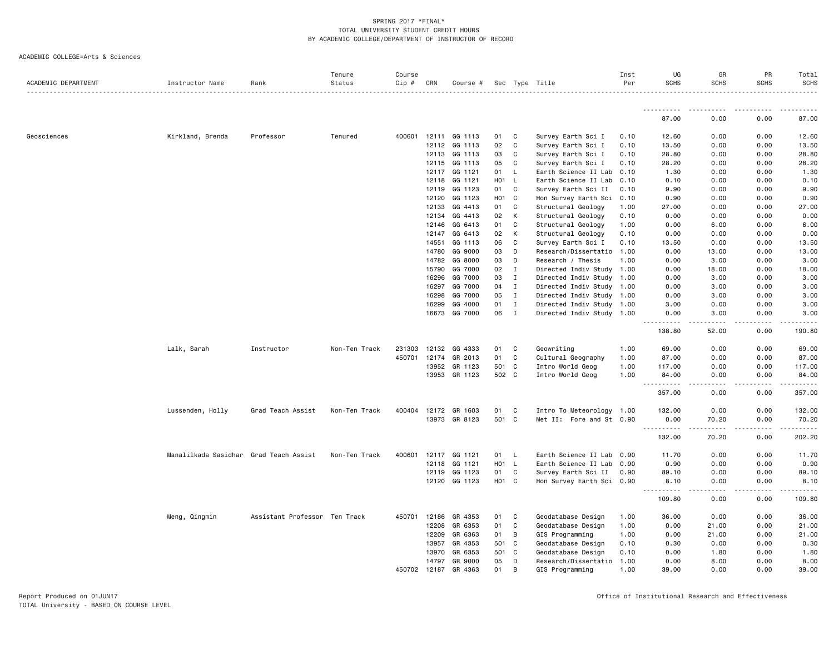| ACADEMIC DEPARTMENT | Instructor Name                        | Rank                          | Tenure<br>Status | Course<br>$Cip$ # | CRN   | Course #      |                   |              | Sec Type Title            | Inst<br>Per | UG<br><b>SCHS</b>                                                                                                                                             | GR<br><b>SCHS</b> | PR<br><b>SCHS</b> | Total<br><b>SCHS</b> |
|---------------------|----------------------------------------|-------------------------------|------------------|-------------------|-------|---------------|-------------------|--------------|---------------------------|-------------|---------------------------------------------------------------------------------------------------------------------------------------------------------------|-------------------|-------------------|----------------------|
|                     |                                        |                               |                  |                   |       |               |                   |              |                           |             |                                                                                                                                                               |                   |                   |                      |
|                     |                                        |                               |                  |                   |       |               |                   |              |                           |             | 87.00                                                                                                                                                         | 0.00              | 0.00              | 87.00                |
| Geosciences         | Kirkland, Brenda                       | Professor                     | Tenured          | 400601            |       | 12111 GG 1113 | 01                | C            | Survey Earth Sci I        | 0.10        | 12.60                                                                                                                                                         | 0.00              | 0.00              | 12.60                |
|                     |                                        |                               |                  |                   | 12112 | GG 1113       | 02                | C            | Survey Earth Sci I        | 0.10        | 13.50                                                                                                                                                         | 0.00              | 0.00              | 13.50                |
|                     |                                        |                               |                  |                   | 12113 | GG 1113       | 03                | C            | Survey Earth Sci I        | 0.10        | 28.80                                                                                                                                                         | 0.00              | 0.00              | 28.80                |
|                     |                                        |                               |                  |                   | 12115 | GG 1113       | 05                | C            | Survey Earth Sci I        | 0.10        | 28.20                                                                                                                                                         | 0.00              | 0.00              | 28.20                |
|                     |                                        |                               |                  |                   | 12117 | GG 1121       | 01                | L            | Earth Science II Lab      | 0.10        | 1.30                                                                                                                                                          | 0.00              | 0.00              | 1.30                 |
|                     |                                        |                               |                  |                   | 12118 | GG 1121       | HO <sub>1</sub>   | $\mathsf{L}$ | Earth Science II Lab      | 0.10        | 0.10                                                                                                                                                          | 0.00              | 0.00              | 0.10                 |
|                     |                                        |                               |                  |                   | 12119 | GG 1123       | 01                | C            | Survey Earth Sci II       | 0.10        | 9.90                                                                                                                                                          | 0.00              | 0.00              | 9.90                 |
|                     |                                        |                               |                  |                   | 12120 | GG 1123       | H <sub>01</sub> C |              | Hon Survey Earth Sci      | 0.10        | 0.90                                                                                                                                                          | 0.00              | 0.00              | 0.90                 |
|                     |                                        |                               |                  |                   | 12133 | GG 4413       | 01                | C            | Structural Geology        | 1.00        | 27.00                                                                                                                                                         | 0.00              | 0.00              | 27.00                |
|                     |                                        |                               |                  |                   | 12134 | GG 4413       | 02                | K            | Structural Geology        | 0.10        | 0.00                                                                                                                                                          | 0.00              | 0.00              | 0.00                 |
|                     |                                        |                               |                  |                   | 12146 | GG 6413       | 01                | C            | Structural Geology        | 1.00        | 0.00                                                                                                                                                          | 6.00              | 0.00              | 6.00                 |
|                     |                                        |                               |                  |                   | 12147 | GG 6413       | 02                | K            | Structural Geology        | 0.10        | 0.00                                                                                                                                                          | 0.00              | 0.00              | 0.00                 |
|                     |                                        |                               |                  |                   | 14551 | GG 1113       | 06                | C            | Survey Earth Sci I        | 0.10        | 13.50                                                                                                                                                         | 0.00              | 0.00              | 13.50                |
|                     |                                        |                               |                  |                   | 14780 | GG 9000       | 03                | D            | Research/Dissertatio      | 1.00        | 0.00                                                                                                                                                          | 13.00             | 0.00              | 13.00                |
|                     |                                        |                               |                  |                   | 14782 | GG 8000       | 03                | D            | Research / Thesis         | 1.00        | 0.00                                                                                                                                                          | 3.00              | 0.00              | 3.00                 |
|                     |                                        |                               |                  |                   | 15790 | GG 7000       | 02                | $\mathbf{I}$ | Directed Indiv Study      | 1.00        | 0.00                                                                                                                                                          | 18.00             | 0.00              | 18.00                |
|                     |                                        |                               |                  |                   | 16296 | GG 7000       | 03                | $\mathbf{I}$ | Directed Indiv Study      | 1.00        | 0.00                                                                                                                                                          | 3.00              | 0.00              | 3.00                 |
|                     |                                        |                               |                  |                   | 16297 | GG 7000       | 04                | $\mathbf{I}$ | Directed Indiv Study      | 1.00        | 0.00                                                                                                                                                          | 3.00              | 0.00              | 3.00                 |
|                     |                                        |                               |                  |                   | 16298 | GG 7000       | 05                | $\mathbf{I}$ | Directed Indiv Study 1.00 |             | 0.00                                                                                                                                                          | 3.00              | 0.00              | 3.00                 |
|                     |                                        |                               |                  |                   | 16299 | GG 4000       | 01                | $\mathbf{I}$ | Directed Indiv Study 1.00 |             | 3.00                                                                                                                                                          | 0.00              | 0.00              | 3.00                 |
|                     |                                        |                               |                  |                   | 16673 | GG 7000       | 06                | $\mathbf{I}$ | Directed Indiv Study 1.00 |             | 0.00<br><u>.</u>                                                                                                                                              | 3.00<br>-----     | 0.00<br>.         | 3.00                 |
|                     |                                        |                               |                  |                   |       |               |                   |              |                           |             | 138.80                                                                                                                                                        | 52.00             | 0.00              | 190.80               |
|                     | Lalk, Sarah                            | Instructor                    | Non-Ten Track    | 231303            | 12132 | GG 4333       | 01                | C            | Geowriting                | 1.00        | 69.00                                                                                                                                                         | 0.00              | 0.00              | 69.00                |
|                     |                                        |                               |                  | 450701            | 12174 | GR 2013       | 01                | C            | Cultural Geography        | 1.00        | 87.00                                                                                                                                                         | 0.00              | 0.00              | 87.00                |
|                     |                                        |                               |                  |                   | 13952 | GR 1123       | 501 C             |              | Intro World Geog          | 1.00        | 117.00                                                                                                                                                        | 0.00              | 0.00              | 117.00               |
|                     |                                        |                               |                  |                   | 13953 | GR 1123       | 502 C             |              | Intro World Geog          | 1.00        | 84.00<br>$\frac{1}{2} \left( \frac{1}{2} \right) \left( \frac{1}{2} \right) \left( \frac{1}{2} \right) \left( \frac{1}{2} \right) \left( \frac{1}{2} \right)$ | 0.00              | 0.00              | 84.00                |
|                     |                                        |                               |                  |                   |       |               |                   |              |                           |             | 357.00                                                                                                                                                        | 0.00              | 0.00              | 357.00               |
|                     | Lussenden, Holly                       | Grad Teach Assist             | Non-Ten Track    | 400404            | 12172 | GR 1603       | 01                | C            | Intro To Meteorology 1.00 |             | 132.00                                                                                                                                                        | 0.00              | 0.00              | 132.00               |
|                     |                                        |                               |                  |                   |       | 13973 GR 8123 | 501 C             |              | Met II: Fore and St 0.90  |             | 0.00<br>.                                                                                                                                                     | 70.20             | 0.00              | 70.20                |
|                     |                                        |                               |                  |                   |       |               |                   |              |                           |             | 132.00                                                                                                                                                        | 70.20             | 0.00              | 202.20               |
|                     | Manalilkada Sasidhar Grad Teach Assist |                               | Non-Ten Track    | 400601            | 12117 | GG 1121       | 01                | L            | Earth Science II Lab      | 0.90        | 11.70                                                                                                                                                         | 0.00              | 0.00              | 11.70                |
|                     |                                        |                               |                  |                   | 12118 | GG 1121       | HO <sub>1</sub>   | - L          | Earth Science II Lab      | 0.90        | 0.90                                                                                                                                                          | 0.00              | 0.00              | 0.90                 |
|                     |                                        |                               |                  |                   | 12119 | GG 1123       | 01                | C            | Survey Earth Sci II       | 0.90        | 89.10                                                                                                                                                         | 0.00              | 0.00              | 89.10                |
|                     |                                        |                               |                  |                   |       | 12120 GG 1123 | H <sub>01</sub> C |              | Hon Survey Earth Sci 0.90 |             | 8.10<br>$- - - - -$<br>$\frac{1}{2} \left( \frac{1}{2} \right) \left( \frac{1}{2} \right) \left( \frac{1}{2} \right) \left( \frac{1}{2} \right)$              | 0.00<br>.         | 0.00              | 8.10                 |
|                     |                                        |                               |                  |                   |       |               |                   |              |                           |             | 109.80                                                                                                                                                        | 0.00              | 0.00              | 109.80               |
|                     | Meng, Qingmin                          | Assistant Professor Ten Track |                  | 450701            | 12186 | GR 4353       | 01                | C            | Geodatabase Design        | 1.00        | 36.00                                                                                                                                                         | 0.00              | 0.00              | 36.00                |
|                     |                                        |                               |                  |                   | 12208 | GR 6353       | 01                | C            | Geodatabase Design        | 1.00        | 0.00                                                                                                                                                          | 21.00             | 0.00              | 21.00                |
|                     |                                        |                               |                  |                   | 12209 | GR 6363       | 01                | В            | GIS Programming           | 1.00        | 0.00                                                                                                                                                          | 21.00             | 0.00              | 21.00                |
|                     |                                        |                               |                  |                   | 13957 | GR 4353       | 501               | $\mathbf{C}$ | Geodatabase Design        | 0.10        | 0.30                                                                                                                                                          | 0.00              | 0.00              | 0.30                 |
|                     |                                        |                               |                  |                   | 13970 | GR 6353       | 501 C             |              | Geodatabase Design        | 0.10        | 0.00                                                                                                                                                          | 1.80              | 0.00              | 1.80                 |
|                     |                                        |                               |                  |                   | 14797 | GR 9000       | 05                | D            | Research/Dissertatio      | 1.00        | 0.00                                                                                                                                                          | 8.00              | 0.00              | 8.00                 |
|                     |                                        |                               |                  | 450702 12187      |       | GR 4363       | 01                | B            | GIS Programming           | 1.00        | 39.00                                                                                                                                                         | 0.00              | 0.00              | 39.00                |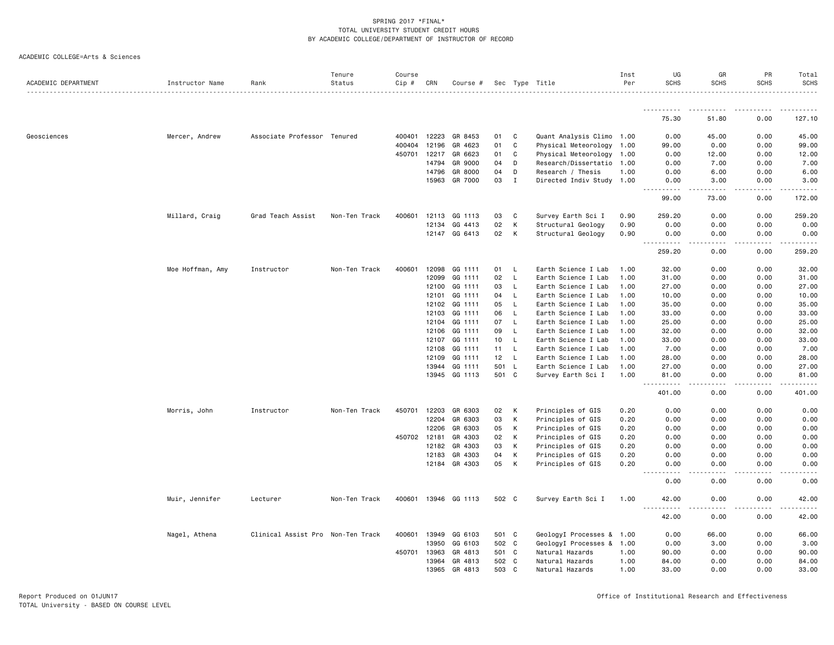|  | ACADEMIC COLLEGE=Arts & Sciences |  |  |
|--|----------------------------------|--|--|
|--|----------------------------------|--|--|

| ACADEMIC DEPARTMENT | Instructor Name  | Rank                              | Tenure<br>Status | Course<br>$Cip \#$ | CRN   | Course #                 |          |              | Sec Type Title                         | Inst<br>Per  | UG<br><b>SCHS</b>            | GR<br><b>SCHS</b>    | PR<br><b>SCHS</b> | Total<br><b>SCHS</b> |
|---------------------|------------------|-----------------------------------|------------------|--------------------|-------|--------------------------|----------|--------------|----------------------------------------|--------------|------------------------------|----------------------|-------------------|----------------------|
|                     |                  |                                   |                  |                    |       |                          |          |              |                                        |              |                              |                      |                   |                      |
|                     |                  |                                   |                  |                    |       |                          |          |              |                                        |              | 75.30                        | 51.80                | 0.00              | 127.10               |
| Geosciences         | Mercer, Andrew   | Associate Professor Tenured       |                  | 400401             | 12223 | GR 8453                  | 01       | C            | Quant Analysis Climo 1.00              |              | 0.00                         | 45.00                | 0.00              | 45.00                |
|                     |                  |                                   |                  | 400404             | 12196 | GR 4623                  | 01       | C            | Physical Meteorology                   | 1.00         | 99.00                        | 0.00                 | 0.00              | 99.00                |
|                     |                  |                                   |                  | 450701             | 12217 | GR 6623                  | 01       | C            | Physical Meteorology                   | 1.00         | 0.00                         | 12.00                | 0.00              | 12.00                |
|                     |                  |                                   |                  |                    | 14794 | GR 9000                  | 04       | D            | Research/Dissertatio                   | 1.00         | 0.00                         | 7.00                 | 0.00              | 7.00                 |
|                     |                  |                                   |                  |                    | 14796 | GR 8000                  | 04       | D            | Research / Thesis                      | 1.00         | 0.00                         | 6.00                 | 0.00              | 6.00                 |
|                     |                  |                                   |                  |                    | 15963 | GR 7000                  | 03       | $\mathbf I$  | Directed Indiv Study 1.00              |              | 0.00                         | 3.00                 | 0.00              | 3.00                 |
|                     |                  |                                   |                  |                    |       |                          |          |              |                                        |              | .<br>99.00                   | .<br>73.00           | .<br>0.00         | .<br>172.00          |
|                     | Millard, Craig   | Grad Teach Assist                 | Non-Ten Track    | 400601             | 12113 | GG 1113                  | 03       | C            | Survey Earth Sci I                     | 0.90         | 259.20                       | 0.00                 | 0.00              | 259.20               |
|                     |                  |                                   |                  |                    | 12134 | GG 4413                  | 02       | К            | Structural Geology                     | 0.90         | 0.00                         | 0.00                 | 0.00              | 0.00                 |
|                     |                  |                                   |                  |                    |       | 12147 GG 6413            | 02       | К            | Structural Geology                     | 0.90         | 0.00<br>$\sim$ $\sim$ $\sim$ | 0.00                 | 0.00              | 0.00                 |
|                     |                  |                                   |                  |                    |       |                          |          |              |                                        |              | 259.20                       | 0.00                 | 0.00              | 259.20               |
|                     | Moe Hoffman, Amy | Instructor                        | Non-Ten Track    | 400601             | 12098 | GG 1111                  | 01 L     |              | Earth Science I Lab                    | 1.00         | 32.00                        | 0.00                 | 0.00              | 32.00                |
|                     |                  |                                   |                  |                    | 12099 | GG 1111                  | 02       | L            | Earth Science I Lab                    | 1.00         | 31.00                        | 0.00                 | 0.00              | 31.00                |
|                     |                  |                                   |                  |                    | 12100 | GG 1111                  | 03       | L            | Earth Science I Lab                    | 1.00         | 27.00                        | 0.00                 | 0.00              | 27.00                |
|                     |                  |                                   |                  |                    | 12101 | GG 1111                  | 04       | L.           | Earth Science I Lab                    | 1.00         | 10.00                        | 0.00                 | 0.00              | 10.00                |
|                     |                  |                                   |                  |                    | 12102 | GG 1111                  | 05       | $\mathsf{L}$ | Earth Science I Lab                    | 1.00         | 35.00                        | 0.00                 | 0.00              | 35.00                |
|                     |                  |                                   |                  |                    | 12103 | GG 1111                  | 06       | L.           | Earth Science I Lab                    | 1.00         | 33.00                        | 0.00                 | 0.00              | 33.00                |
|                     |                  |                                   |                  |                    | 12104 | GG 1111                  | 07       | <b>L</b>     | Earth Science I Lab                    | 1.00         | 25.00                        | 0.00                 | 0.00              | 25.00                |
|                     |                  |                                   |                  |                    | 12106 | GG 1111                  | 09       | L            | Earth Science I Lab                    | 1.00         | 32.00                        | 0.00                 | 0.00              | 32.00                |
|                     |                  |                                   |                  |                    | 12107 | GG 1111                  | 10       | L.           | Earth Science I Lab                    | 1.00         | 33.00                        | 0.00                 | 0.00              | 33.00                |
|                     |                  |                                   |                  |                    | 12108 | GG 1111                  | 11       | L.           | Earth Science I Lab                    | 1.00         | 7.00                         | 0.00                 | 0.00              | 7.00                 |
|                     |                  |                                   |                  |                    | 12109 | GG 1111                  | 12       | $\mathsf{L}$ | Earth Science I Lab                    | 1.00         | 28.00                        | 0.00                 | 0.00              | 28.00                |
|                     |                  |                                   |                  |                    | 13944 | GG 1111                  | 501 L    |              | Earth Science I Lab                    | 1.00         | 27.00                        | 0.00                 | 0.00              | 27.00                |
|                     |                  |                                   |                  |                    |       | 13945 GG 1113            | 501 C    |              | Survey Earth Sci I                     | 1.00         | 81.00<br><u>.</u>            | 0.00<br>.            | 0.00<br>.         | 81.00<br><u>.</u>    |
|                     |                  |                                   |                  |                    |       |                          |          |              |                                        |              | 401.00                       | 0.00                 | 0.00              | 401.00               |
|                     | Morris, John     | Instructor                        | Non-Ten Track    | 450701             | 12203 | GR 6303                  | 02       | К            | Principles of GIS                      | 0.20         | 0.00                         | 0.00                 | 0.00              | 0.00                 |
|                     |                  |                                   |                  |                    | 12204 | GR 6303                  | 03       | К            | Principles of GIS                      | 0.20         | 0.00                         | 0.00                 | 0.00              | 0.00                 |
|                     |                  |                                   |                  |                    | 12206 | GR 6303                  | 05       | К            | Principles of GIS                      | 0.20         | 0.00                         | 0.00                 | 0.00              | 0.00                 |
|                     |                  |                                   |                  | 450702 12181       |       | GR 4303                  | 02       | K            | Principles of GIS                      | 0.20         | 0.00                         | 0.00                 | 0.00              | 0.00                 |
|                     |                  |                                   |                  |                    | 12182 | GR 4303                  | 03       | К            | Principles of GIS                      | 0.20         | 0.00                         | 0.00                 | 0.00              | 0.00                 |
|                     |                  |                                   |                  |                    | 12183 | GR 4303<br>12184 GR 4303 | 04<br>05 | К<br>К       | Principles of GIS<br>Principles of GIS | 0.20<br>0.20 | 0.00<br>0.00                 | 0.00<br>0.00         | 0.00<br>0.00      | 0.00<br>0.00         |
|                     |                  |                                   |                  |                    |       |                          |          |              |                                        |              | <b></b><br>0.00              | . <b>.</b> .<br>0.00 | 0.00              | 0.00                 |
|                     | Muir, Jennifer   | Lecturer                          | Non-Ten Track    |                    |       | 400601 13946 GG 1113     | 502 C    |              | Survey Earth Sci I                     | 1.00         | 42.00                        | 0.00                 | 0.00              | 42.00                |
|                     |                  |                                   |                  |                    |       |                          |          |              |                                        |              | 42.00                        | 0.00                 | 0.00              | 42.00                |
|                     | Nagel, Athena    | Clinical Assist Pro Non-Ten Track |                  | 400601             | 13949 | GG 6103                  | 501 C    |              | GeologyI Processes & 1.00              |              | 0.00                         | 66.00                | 0.00              | 66.00                |
|                     |                  |                                   |                  |                    | 13950 | GG 6103                  | 502 C    |              | GeologyI Processes & 1.00              |              | 0.00                         | 3.00                 | 0.00              | 3.00                 |
|                     |                  |                                   |                  | 450701             | 13963 | GR 4813                  | 501 C    |              | Natural Hazards                        | 1.00         | 90.00                        | 0.00                 | 0.00              | 90.00                |
|                     |                  |                                   |                  |                    | 13964 | GR 4813                  | 502 C    |              | Natural Hazards                        | 1.00         | 84.00                        | 0.00                 | 0.00              | 84.00                |
|                     |                  |                                   |                  |                    | 13965 | GR 4813                  | 503 C    |              | Natural Hazards                        | 1.00         | 33.00                        | 0.00                 | 0.00              | 33.00                |
|                     |                  |                                   |                  |                    |       |                          |          |              |                                        |              |                              |                      |                   |                      |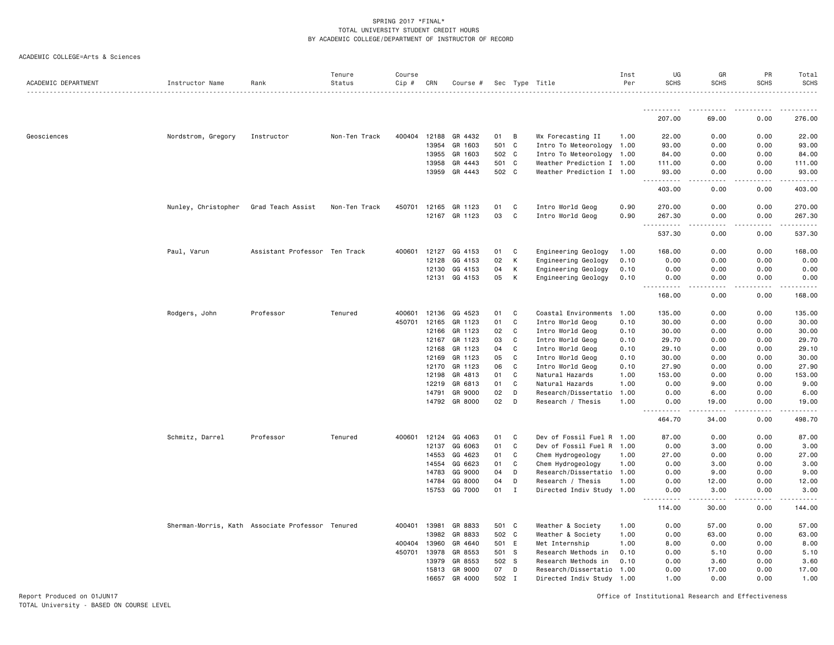|  |  | ACADEMIC COLLEGE=Arts & Sciences |  |  |
|--|--|----------------------------------|--|--|
|--|--|----------------------------------|--|--|

| ACADEMIC DEPARTMENT | Instructor Name     | Rank                                             | Tenure<br>Status | Course<br>Cip # | CRN   | Course #             |       |              | Sec Type Title            | Inst<br>Per | UG<br><b>SCHS</b> | GR<br><b>SCHS</b>                                                                                                                                            | PR<br><b>SCHS</b> | Total<br>SCHS     |
|---------------------|---------------------|--------------------------------------------------|------------------|-----------------|-------|----------------------|-------|--------------|---------------------------|-------------|-------------------|--------------------------------------------------------------------------------------------------------------------------------------------------------------|-------------------|-------------------|
|                     |                     |                                                  |                  |                 |       |                      |       |              |                           |             | .                 | .<br>.                                                                                                                                                       | .                 | . <b>.</b> .<br>. |
|                     |                     |                                                  |                  |                 |       |                      |       |              |                           |             | 207.00            | 69.00                                                                                                                                                        | 0.00              | 276.00            |
| Geosciences         | Nordstrom, Gregory  | Instructor                                       | Non-Ten Track    | 400404          | 12188 | GR 4432              | 01    | B            | Wx Forecasting II         | 1.00        | 22.00             | 0.00                                                                                                                                                         | 0.00              | 22.00             |
|                     |                     |                                                  |                  |                 | 13954 | GR 1603              | 501 C |              | Intro To Meteorology      | 1.00        | 93.00             | 0.00                                                                                                                                                         | 0.00              | 93.00             |
|                     |                     |                                                  |                  |                 | 13955 | GR 1603              | 502 C |              | Intro To Meteorology      | 1.00        | 84.00             | 0.00                                                                                                                                                         | 0.00              | 84.00             |
|                     |                     |                                                  |                  |                 | 13958 | GR 4443              | 501 C |              | Weather Prediction I 1.00 |             | 111.00            | 0.00                                                                                                                                                         | 0.00              | 111.00            |
|                     |                     |                                                  |                  |                 |       | 13959 GR 4443        | 502 C |              | Weather Prediction I 1.00 |             | 93.00             | 0.00                                                                                                                                                         | 0.00              | 93.00             |
|                     |                     |                                                  |                  |                 |       |                      |       |              |                           |             | .                 |                                                                                                                                                              |                   |                   |
|                     |                     |                                                  |                  |                 |       |                      |       |              |                           |             | 403.00            | 0.00                                                                                                                                                         | 0.00              | 403.00            |
|                     | Nunley, Christopher | Grad Teach Assist                                | Non-Ten Track    | 450701          | 12165 | GR 1123              | 01    | C            | Intro World Geog          | 0.90        | 270.00            | 0.00                                                                                                                                                         | 0.00              | 270.00            |
|                     |                     |                                                  |                  |                 |       | 12167 GR 1123        | 03    | C            | Intro World Geog          | 0.90        | 267.30<br>.       | 0.00<br>.                                                                                                                                                    | 0.00              | 267.30            |
|                     |                     |                                                  |                  |                 |       |                      |       |              |                           |             | 537.30            | 0.00                                                                                                                                                         | 0.00              | 537.30            |
|                     | Paul, Varun         | Assistant Professor Ten Track                    |                  | 400601          | 12127 | GG 4153              | 01    | C            | Engineering Geology       | 1.00        | 168.00            | 0.00                                                                                                                                                         | 0.00              | 168.00            |
|                     |                     |                                                  |                  |                 | 12128 | GG 4153              | 02    | К            | Engineering Geology       | 0.10        | 0.00              | 0.00                                                                                                                                                         | 0.00              | 0.00              |
|                     |                     |                                                  |                  |                 | 12130 | GG 4153              | 04    | К            | Engineering Geology       | 0.10        | 0.00              | 0.00                                                                                                                                                         | 0.00              | 0.00              |
|                     |                     |                                                  |                  |                 |       | 12131 GG 4153        | 05    | К            | Engineering Geology       | 0.10        | 0.00              | 0.00                                                                                                                                                         | 0.00              | 0.00              |
|                     |                     |                                                  |                  |                 |       |                      |       |              |                           |             | 168.00            | 0.00                                                                                                                                                         | 0.00              | 168.00            |
|                     | Rodgers, John       | Professor                                        | Tenured          | 400601          | 12136 | GG 4523              | 01    | C            | Coastal Environments 1.00 |             | 135.00            | 0.00                                                                                                                                                         | 0.00              | 135.00            |
|                     |                     |                                                  |                  | 450701          | 12165 | GR 1123              | 01    | C            | Intro World Geog          | 0.10        | 30.00             | 0.00                                                                                                                                                         | 0.00              | 30.00             |
|                     |                     |                                                  |                  |                 | 12166 | GR 1123              | 02    | C            | Intro World Geog          | 0.10        | 30.00             | 0.00                                                                                                                                                         | 0.00              | 30.00             |
|                     |                     |                                                  |                  |                 | 12167 | GR 1123              | 03    | C            | Intro World Geog          | 0.10        | 29.70             | 0.00                                                                                                                                                         | 0.00              | 29.70             |
|                     |                     |                                                  |                  |                 | 12168 | GR 1123              | 04    | C            | Intro World Geog          | 0.10        | 29.10             | 0.00                                                                                                                                                         | 0.00              | 29.10             |
|                     |                     |                                                  |                  |                 | 12169 | GR 1123              | 05    | C            | Intro World Geog          | 0.10        | 30.00             | 0.00                                                                                                                                                         | 0.00              | 30.00             |
|                     |                     |                                                  |                  |                 | 12170 | GR 1123              | 06    | C            | Intro World Geog          | 0.10        | 27.90             | 0.00                                                                                                                                                         | 0.00              | 27.90             |
|                     |                     |                                                  |                  |                 | 12198 | GR 4813              | 01    | C            | Natural Hazards           | 1.00        | 153.00            | 0.00                                                                                                                                                         | 0.00              | 153.00            |
|                     |                     |                                                  |                  |                 | 12219 | GR 6813              | 01    | C            | Natural Hazards           | 1.00        | 0.00              | 9.00                                                                                                                                                         | 0.00              | 9.00              |
|                     |                     |                                                  |                  |                 | 14791 | GR 9000              | 02    | D            | Research/Dissertatio      | 1.00        | 0.00              | 6.00                                                                                                                                                         | 0.00              | 6.00              |
|                     |                     |                                                  |                  |                 |       | 14792 GR 8000        | 02    | D            | Research / Thesis         | 1.00        | 0.00              | 19.00                                                                                                                                                        | 0.00              | 19.00             |
|                     |                     |                                                  |                  |                 |       |                      |       |              |                           |             | 464.70            | 34.00                                                                                                                                                        | 0.00              | 498.70            |
|                     | Schmitz, Darrel     | Professor                                        | Tenured          |                 |       | 400601 12124 GG 4063 | 01    | C            | Dev of Fossil Fuel R 1.00 |             | 87.00             | 0.00                                                                                                                                                         | 0.00              | 87.00             |
|                     |                     |                                                  |                  |                 | 12137 | GG 6063              | 01    | C            | Dev of Fossil Fuel R      | 1.00        | 0.00              | 3.00                                                                                                                                                         | 0.00              | 3.00              |
|                     |                     |                                                  |                  |                 | 14553 | GG 4623              | 01    | C            | Chem Hydrogeology         | 1.00        | 27.00             | 0.00                                                                                                                                                         | 0.00              | 27.00             |
|                     |                     |                                                  |                  |                 | 14554 | GG 6623              | 01    | C            | Chem Hydrogeology         | 1.00        | 0.00              | 3.00                                                                                                                                                         | 0.00              | 3.00              |
|                     |                     |                                                  |                  |                 | 14783 | GG 9000              | 04    | D            | Research/Dissertatio      | 1.00        | 0.00              | 9.00                                                                                                                                                         | 0.00              | 9.00              |
|                     |                     |                                                  |                  |                 | 14784 | GG 8000              | 04    | D            | Research / Thesis         | 1.00        | 0.00              | 12.00                                                                                                                                                        | 0.00              | 12.00             |
|                     |                     |                                                  |                  |                 |       | 15753 GG 7000        | 01    | $\mathbf{I}$ | Directed Indiv Study 1.00 |             | 0.00<br><b></b>   | 3.00<br>$\frac{1}{2} \left( \frac{1}{2} \right) \left( \frac{1}{2} \right) \left( \frac{1}{2} \right) \left( \frac{1}{2} \right) \left( \frac{1}{2} \right)$ | 0.00<br>.         | 3.00              |
|                     |                     |                                                  |                  |                 |       |                      |       |              |                           |             | 114.00            | 30.00                                                                                                                                                        | 0.00              | 144.00            |
|                     |                     | Sherman-Morris, Kath Associate Professor Tenured |                  | 400401          | 13981 | GR 8833              | 501 C |              | Weather & Society         | 1.00        | 0.00              | 57.00                                                                                                                                                        | 0.00              | 57.00             |
|                     |                     |                                                  |                  |                 | 13982 | GR 8833              | 502 C |              | Weather & Society         | 1.00        | 0.00              | 63.00                                                                                                                                                        | 0.00              | 63.00             |
|                     |                     |                                                  |                  | 400404          | 13960 | GR 4640              | 501 E |              | Met Internship            | 1.00        | 8.00              | 0.00                                                                                                                                                         | 0.00              | 8.00              |
|                     |                     |                                                  |                  | 450701          | 13978 | GR 8553              | 501 S |              | Research Methods in       | 0.10        | 0.00              | 5.10                                                                                                                                                         | 0.00              | 5.10              |
|                     |                     |                                                  |                  |                 | 13979 | GR 8553              | 502 S |              | Research Methods in       | 0.10        | 0.00              | 3.60                                                                                                                                                         | 0.00              | 3.60              |
|                     |                     |                                                  |                  |                 | 15813 | GR 9000              | 07    | D            | Research/Dissertatio      | 1.00        | 0.00              | 17.00                                                                                                                                                        | 0.00              | 17.00             |
|                     |                     |                                                  |                  |                 | 16657 | GR 4000              | 502 I |              | Directed Indiv Study 1.00 |             | 1.00              | 0.00                                                                                                                                                         | 0.00              | 1.00              |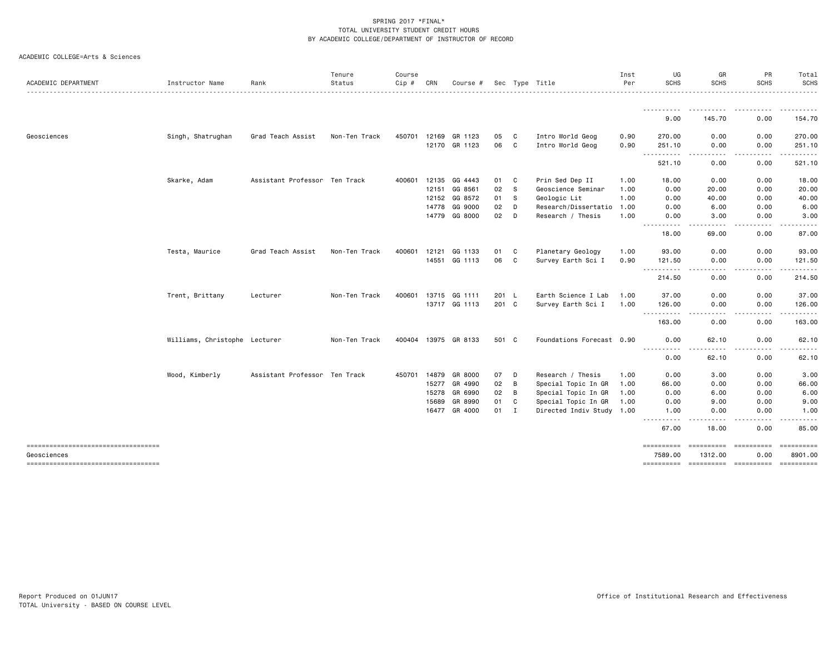| ACADEMIC DEPARTMENT                               | Instructor Name               | Rank                          | Tenure<br>Status | Course<br>Cip # | CRN          | Course #             |       |   | Sec Type Title            | Inst<br>Per | UG<br><b>SCHS</b>                                                                                                                                                                                                                                                                                                                                                                                                                                                                                | GR<br><b>SCHS</b>                          | PR<br><b>SCHS</b> | Total<br><b>SCHS</b>   |
|---------------------------------------------------|-------------------------------|-------------------------------|------------------|-----------------|--------------|----------------------|-------|---|---------------------------|-------------|--------------------------------------------------------------------------------------------------------------------------------------------------------------------------------------------------------------------------------------------------------------------------------------------------------------------------------------------------------------------------------------------------------------------------------------------------------------------------------------------------|--------------------------------------------|-------------------|------------------------|
|                                                   |                               |                               |                  |                 |              |                      |       |   |                           |             | <u>.</u>                                                                                                                                                                                                                                                                                                                                                                                                                                                                                         |                                            |                   | .                      |
|                                                   |                               |                               |                  |                 |              |                      |       |   |                           |             | 9.00                                                                                                                                                                                                                                                                                                                                                                                                                                                                                             | 145.70                                     | 0.00              | 154.70                 |
| Geosciences                                       | Singh, Shatrughan             | Grad Teach Assist             | Non-Ten Track    | 450701          | 12169        | GR 1123              | 05    | C | Intro World Geog          | 0.90        | 270.00                                                                                                                                                                                                                                                                                                                                                                                                                                                                                           | 0.00                                       | 0.00              | 270.00                 |
|                                                   |                               |                               |                  |                 |              | 12170 GR 1123        | 06 C  |   | Intro World Geog          | 0.90        | 251.10<br>$- - - - -$                                                                                                                                                                                                                                                                                                                                                                                                                                                                            | 0.00                                       | 0.00<br>$   -$    | 251.10                 |
|                                                   |                               |                               |                  |                 |              |                      |       |   |                           |             | 521.10                                                                                                                                                                                                                                                                                                                                                                                                                                                                                           | 0.00                                       | 0.00              | 521.10                 |
|                                                   | Skarke, Adam                  | Assistant Professor Ten Track |                  | 400601          | 12135        | GG 4443              | 01    | C | Prin Sed Dep II           | 1.00        | 18.00                                                                                                                                                                                                                                                                                                                                                                                                                                                                                            | 0.00                                       | 0.00              | 18.00                  |
|                                                   |                               |                               |                  |                 | 12151        | GG 8561              | 02    | s | Geoscience Seminar        | 1.00        | 0.00                                                                                                                                                                                                                                                                                                                                                                                                                                                                                             | 20.00                                      | 0.00              | 20.00                  |
|                                                   |                               |                               |                  |                 | 12152        | GG 8572              | 01    | S | Geologic Lit              | 1.00        | 0.00                                                                                                                                                                                                                                                                                                                                                                                                                                                                                             | 40.00                                      | 0.00              | 40.00                  |
|                                                   |                               |                               |                  |                 | 14778        | GG 9000              | 02    | D | Research/Dissertatio      | 1.00        | 0.00                                                                                                                                                                                                                                                                                                                                                                                                                                                                                             | 6.00                                       | 0.00              | 6.00                   |
|                                                   |                               |                               |                  |                 |              | 14779 GG 8000        | 02    | D | Research / Thesis         | 1.00        | 0.00<br>$\frac{1}{2}$                                                                                                                                                                                                                                                                                                                                                                                                                                                                            | 3.00                                       | 0.00              | 3.00                   |
|                                                   |                               |                               |                  |                 |              |                      |       |   |                           |             | 18.00                                                                                                                                                                                                                                                                                                                                                                                                                                                                                            | 69.00                                      | 0.00              | 87.00                  |
|                                                   | Testa, Maurice                | Grad Teach Assist             | Non-Ten Track    | 400601          | 12121        | GG 1133              | 01    | C | Planetary Geology         | 1.00        | 93.00                                                                                                                                                                                                                                                                                                                                                                                                                                                                                            | 0.00                                       | 0.00              | 93.00                  |
|                                                   |                               |                               |                  |                 |              | 14551 GG 1113        | 06    | C | Survey Earth Sci I        | 0.90        | 121.50                                                                                                                                                                                                                                                                                                                                                                                                                                                                                           | 0.00                                       | 0.00              | 121.50                 |
|                                                   |                               |                               |                  |                 |              |                      |       |   |                           |             | $\begin{array}{cccccccccccccc} \multicolumn{2}{c}{} & \multicolumn{2}{c}{} & \multicolumn{2}{c}{} & \multicolumn{2}{c}{} & \multicolumn{2}{c}{} & \multicolumn{2}{c}{} & \multicolumn{2}{c}{} & \multicolumn{2}{c}{} & \multicolumn{2}{c}{} & \multicolumn{2}{c}{} & \multicolumn{2}{c}{} & \multicolumn{2}{c}{} & \multicolumn{2}{c}{} & \multicolumn{2}{c}{} & \multicolumn{2}{c}{} & \multicolumn{2}{c}{} & \multicolumn{2}{c}{} & \multicolumn{2}{c}{} & \multicolumn{2}{c}{} & \$<br>214.50 | $\sim$ $\sim$ $\sim$<br>0.00               | 0.00              | 214.50                 |
|                                                   | Trent, Brittany               | Lecturer                      | Non-Ten Track    | 400601          | 13715        | GG 1111              | 201 L |   | Earth Science I Lab       | 1.00        | 37.00                                                                                                                                                                                                                                                                                                                                                                                                                                                                                            | 0.00                                       | 0.00              | 37.00                  |
|                                                   |                               |                               |                  |                 |              | 13717 GG 1113        | 201 C |   | Survey Earth Sci I        | 1.00        | 126.00                                                                                                                                                                                                                                                                                                                                                                                                                                                                                           | 0.00                                       | 0.00              | 126.00                 |
|                                                   |                               |                               |                  |                 |              |                      |       |   |                           |             | -----------<br>163.00                                                                                                                                                                                                                                                                                                                                                                                                                                                                            | 0.00                                       | 0.00              | 163.00                 |
|                                                   | Williams, Christophe Lecturer |                               | Non-Ten Track    |                 |              | 400404 13975 GR 8133 | 501 C |   | Foundations Forecast 0.90 |             | 0.00                                                                                                                                                                                                                                                                                                                                                                                                                                                                                             | 62.10                                      | 0.00              | 62.10                  |
|                                                   |                               |                               |                  |                 |              |                      |       |   |                           |             | -----<br>$\frac{1}{2} \left( \frac{1}{2} \right) \left( \frac{1}{2} \right) \left( \frac{1}{2} \right) \left( \frac{1}{2} \right)$<br>0.00                                                                                                                                                                                                                                                                                                                                                       | 62.10                                      | 0.00              | 62.10                  |
|                                                   | Wood, Kimberly                | Assistant Professor Ten Track |                  |                 | 450701 14879 | GR 8000              | 07    | D | Research / Thesis         | 1.00        | 0.00                                                                                                                                                                                                                                                                                                                                                                                                                                                                                             | 3.00                                       | 0.00              | 3.00                   |
|                                                   |                               |                               |                  |                 | 15277        | GR 4990              | 02    | B | Special Topic In GR       | 1.00        | 66.00                                                                                                                                                                                                                                                                                                                                                                                                                                                                                            | 0.00                                       | 0.00              | 66.00                  |
|                                                   |                               |                               |                  |                 | 15278        | GR 6990              | 02    | B | Special Topic In GR       | 1.00        | 0.00                                                                                                                                                                                                                                                                                                                                                                                                                                                                                             | 6.00                                       | 0.00              | 6.00                   |
|                                                   |                               |                               |                  |                 | 15689        | GR 8990              | 01    | C | Special Topic In GR       | 1.00        | 0.00                                                                                                                                                                                                                                                                                                                                                                                                                                                                                             | 9.00                                       | 0.00              | 9.00                   |
|                                                   |                               |                               |                  |                 | 16477        | GR 4000              | 01    | I | Directed Indiv Study 1.00 |             | 1.00                                                                                                                                                                                                                                                                                                                                                                                                                                                                                             | 0.00                                       | 0.00              | 1.00                   |
|                                                   |                               |                               |                  |                 |              |                      |       |   |                           |             | $\frac{1}{2} \left( \frac{1}{2} \right) \left( \frac{1}{2} \right) \left( \frac{1}{2} \right) \left( \frac{1}{2} \right)$<br>67.00                                                                                                                                                                                                                                                                                                                                                               | 18.00                                      | 0.00              | 85.00                  |
| ======================================            |                               |                               |                  |                 |              |                      |       |   |                           |             | ==========                                                                                                                                                                                                                                                                                                                                                                                                                                                                                       |                                            |                   | ==========             |
| Geosciences<br>---------------------------------- |                               |                               |                  |                 |              |                      |       |   |                           |             | 7589.00                                                                                                                                                                                                                                                                                                                                                                                                                                                                                          | 1312.00<br>---------- ---------- --------- | 0.00              | 8901.00<br>----------- |
|                                                   |                               |                               |                  |                 |              |                      |       |   |                           |             |                                                                                                                                                                                                                                                                                                                                                                                                                                                                                                  |                                            |                   |                        |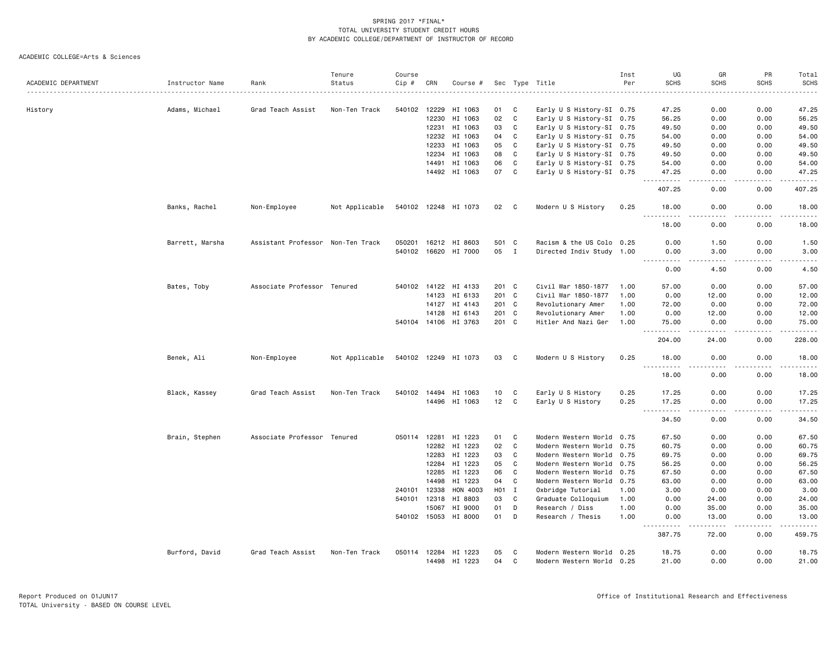|                     |                 |                                   | Tenure         | Course       |       |                      |                  |              |                           | Inst | UG                                                                                                                                                                                    | GR                           | PR            | Total                                                                                                       |
|---------------------|-----------------|-----------------------------------|----------------|--------------|-------|----------------------|------------------|--------------|---------------------------|------|---------------------------------------------------------------------------------------------------------------------------------------------------------------------------------------|------------------------------|---------------|-------------------------------------------------------------------------------------------------------------|
| ACADEMIC DEPARTMENT | Instructor Name | Rank                              | Status         | Cip #        | CRN   | Course #             |                  |              | Sec Type Title            | Per  | <b>SCHS</b>                                                                                                                                                                           | <b>SCHS</b>                  | <b>SCHS</b>   | <b>SCHS</b><br>.                                                                                            |
|                     |                 |                                   |                |              |       |                      |                  |              |                           |      |                                                                                                                                                                                       |                              |               |                                                                                                             |
| History             | Adams, Michael  | Grad Teach Assist                 | Non-Ten Track  | 540102 12229 |       | HI 1063              | 01               | C.           | Early U S History-SI 0.75 |      | 47.25                                                                                                                                                                                 | 0.00                         | 0.00          | 47.25                                                                                                       |
|                     |                 |                                   |                |              | 12230 | HI 1063              | 02               | C            | Early U S History-SI 0.75 |      | 56.25                                                                                                                                                                                 | 0.00                         | 0.00          | 56.25                                                                                                       |
|                     |                 |                                   |                |              | 12231 | HI 1063              | 03               | C            | Early U S History-SI 0.75 |      | 49.50                                                                                                                                                                                 | 0.00                         | 0.00          | 49.50                                                                                                       |
|                     |                 |                                   |                |              |       | 12232 HI 1063        | 04               | C            | Early U S History-SI 0.75 |      | 54.00                                                                                                                                                                                 | 0.00                         | 0.00          | 54.00                                                                                                       |
|                     |                 |                                   |                |              | 12233 | HI 1063              | 05               | C            | Early U S History-SI 0.75 |      | 49.50                                                                                                                                                                                 | 0.00                         | 0.00          | 49.50                                                                                                       |
|                     |                 |                                   |                |              | 12234 | HI 1063              | 08               | C            | Early U S History-SI 0.75 |      | 49.50                                                                                                                                                                                 | 0.00                         | 0.00          | 49.50                                                                                                       |
|                     |                 |                                   |                |              |       | 14491 HI 1063        | 06               | C            | Early U S History-SI 0.75 |      | 54.00                                                                                                                                                                                 | 0.00                         | 0.00          | 54.00                                                                                                       |
|                     |                 |                                   |                |              |       | 14492 HI 1063        | 07               | $\mathbf{C}$ | Early U S History-SI 0.75 |      | 47.25<br>.                                                                                                                                                                            | 0.00<br>$\sim$ $\sim$ $\sim$ | 0.00<br>.     | 47.25<br>.                                                                                                  |
|                     |                 |                                   |                |              |       |                      |                  |              |                           |      | 407.25                                                                                                                                                                                | 0.00                         | 0.00          | 407.25                                                                                                      |
|                     | Banks, Rachel   | Non-Employee                      | Not Applicable |              |       | 540102 12248 HI 1073 | 02               | C            | Modern U S History        | 0.25 | 18.00                                                                                                                                                                                 | 0.00                         | 0.00          | 18.00                                                                                                       |
|                     |                 |                                   |                |              |       |                      |                  |              |                           |      | . <b>.</b><br>18.00                                                                                                                                                                   | $\frac{1}{2}$<br>0.00        | .<br>0.00     | .<br>18.00                                                                                                  |
|                     | Barrett, Marsha | Assistant Professor Non-Ten Track |                | 050201       |       | 16212 HI 8603        | 501 C            |              | Racism & the US Colo 0.25 |      | 0.00                                                                                                                                                                                  | 1.50                         | 0.00          | 1.50                                                                                                        |
|                     |                 |                                   |                |              |       | 540102 16620 HI 7000 | 05               | $\mathbf{I}$ | Directed Indiv Study 1.00 |      | 0.00<br><u>.</u>                                                                                                                                                                      | 3.00<br>.                    | 0.00<br>.     | 3.00<br>$- - - - -$                                                                                         |
|                     |                 |                                   |                |              |       |                      |                  |              |                           |      | 0.00                                                                                                                                                                                  | 4.50                         | 0.00          | 4.50                                                                                                        |
|                     | Bates, Toby     | Associate Professor Tenured       |                | 540102       | 14122 | HI 4133              | 201 C            |              | Civil War 1850-1877       | 1.00 | 57.00                                                                                                                                                                                 | 0.00                         | 0.00          | 57.00                                                                                                       |
|                     |                 |                                   |                |              | 14123 | HI 6133              | 201 C            |              | Civil War 1850-1877       | 1.00 | 0.00                                                                                                                                                                                  | 12.00                        | 0.00          | 12.00                                                                                                       |
|                     |                 |                                   |                |              | 14127 | HI 4143              | 201 C            |              | Revolutionary Amer        | 1.00 | 72.00                                                                                                                                                                                 | 0.00                         | 0.00          | 72.00                                                                                                       |
|                     |                 |                                   |                |              | 14128 | HI 6143              | 201 C            |              | Revolutionary Amer        | 1.00 | 0.00                                                                                                                                                                                  | 12.00                        | 0.00          | 12.00                                                                                                       |
|                     |                 |                                   |                |              |       | 540104 14106 HI 3763 | 201 C            |              | Hitler And Nazi Ger       | 1.00 | 75.00                                                                                                                                                                                 | 0.00                         | 0.00          | 75.00                                                                                                       |
|                     |                 |                                   |                |              |       |                      |                  |              |                           |      | <u>.</u>                                                                                                                                                                              | .                            | .             | $\begin{array}{cccccccccc} \bullet & \bullet & \bullet & \bullet & \bullet & \bullet & \bullet \end{array}$ |
|                     |                 |                                   |                |              |       |                      |                  |              |                           |      | 204.00                                                                                                                                                                                | 24.00                        | 0.00          | 228.00                                                                                                      |
|                     | Benek, Ali      | Non-Employee                      | Not Applicable |              |       | 540102 12249 HI 1073 | 03               | C.           | Modern U S History        | 0.25 | 18,00<br><u> - - - - - - - - - -</u>                                                                                                                                                  | 0.00<br>$\sim$ $\sim$ $\sim$ | 0.00<br>----- | 18.00<br>.                                                                                                  |
|                     |                 |                                   |                |              |       |                      |                  |              |                           |      | 18.00                                                                                                                                                                                 | 0.00                         | 0.00          | 18.00                                                                                                       |
|                     | Black, Kassey   | Grad Teach Assist                 | Non-Ten Track  | 540102       | 14494 | HI 1063              | 10               | C            | Early U S History         | 0.25 | 17.25                                                                                                                                                                                 | 0.00                         | 0.00          | 17.25                                                                                                       |
|                     |                 |                                   |                |              |       | 14496 HI 1063        | 12 <sub>2</sub>  | C            | Early U S History         | 0.25 | 17.25                                                                                                                                                                                 | 0.00                         | 0.00          | 17.25                                                                                                       |
|                     |                 |                                   |                |              |       |                      |                  |              |                           |      | $\sim$ $\sim$ $\sim$<br>$\frac{1}{2} \left( \frac{1}{2} \right) \left( \frac{1}{2} \right) \left( \frac{1}{2} \right) \left( \frac{1}{2} \right) \left( \frac{1}{2} \right)$<br>34.50 | $\frac{1}{2}$<br>0.00        | .<br>0.00     | .<br>34.50                                                                                                  |
|                     | Brain, Stephen  | Associate Professor Tenured       |                |              |       | 050114 12281 HI 1223 | 01               | C            | Modern Western World 0.75 |      | 67.50                                                                                                                                                                                 | 0.00                         | 0.00          | 67.50                                                                                                       |
|                     |                 |                                   |                |              | 12282 | HI 1223              | 02               | C            | Modern Western World 0.75 |      | 60.75                                                                                                                                                                                 | 0.00                         | 0.00          | 60.75                                                                                                       |
|                     |                 |                                   |                |              | 12283 | HI 1223              | 03               | C            | Modern Western World 0.75 |      | 69.75                                                                                                                                                                                 | 0.00                         | 0.00          | 69.75                                                                                                       |
|                     |                 |                                   |                |              | 12284 | HI 1223              | 05               | C            | Modern Western World 0.75 |      | 56.25                                                                                                                                                                                 | 0.00                         | 0.00          | 56.25                                                                                                       |
|                     |                 |                                   |                |              | 12285 | HI 1223              | 06               | C            | Modern Western World 0.75 |      | 67.50                                                                                                                                                                                 | 0.00                         | 0.00          | 67.50                                                                                                       |
|                     |                 |                                   |                |              | 14498 | HI 1223              | 04               | C            | Modern Western World 0.75 |      | 63.00                                                                                                                                                                                 | 0.00                         | 0.00          | 63.00                                                                                                       |
|                     |                 |                                   |                | 240101       | 12338 | HON 4003             | H <sub>0</sub> 1 | $\mathbf{I}$ | Oxbridge Tutorial         | 1.00 | 3.00                                                                                                                                                                                  | 0.00                         | 0.00          | 3.00                                                                                                        |
|                     |                 |                                   |                | 540101       | 12318 | HI 8803              | 03               | C            | Graduate Colloquium       | 1.00 | 0.00                                                                                                                                                                                  | 24.00                        | 0.00          | 24.00                                                                                                       |
|                     |                 |                                   |                |              | 15067 | HI 9000              | 01               | D            | Research / Diss           | 1.00 | 0.00                                                                                                                                                                                  | 35.00                        | 0.00          | 35.00                                                                                                       |
|                     |                 |                                   |                | 540102 15053 |       | HI 8000              | 01               | D            | Research / Thesis         | 1.00 | 0.00                                                                                                                                                                                  | 13.00                        | 0.00          | 13.00                                                                                                       |
|                     |                 |                                   |                |              |       |                      |                  |              |                           |      | .<br>387.75                                                                                                                                                                           | .<br>72.00                   | .<br>0.00     | .<br>459.75                                                                                                 |
|                     | Burford, David  | Grad Teach Assist                 | Non-Ten Track  |              |       | 050114 12284 HI 1223 | 05               | C            | Modern Western World 0.25 |      | 18.75                                                                                                                                                                                 | 0.00                         | 0.00          | 18.75                                                                                                       |
|                     |                 |                                   |                |              | 14498 | HI 1223              | 04               | C            | Modern Western World 0.25 |      | 21.00                                                                                                                                                                                 | 0.00                         | 0.00          | 21.00                                                                                                       |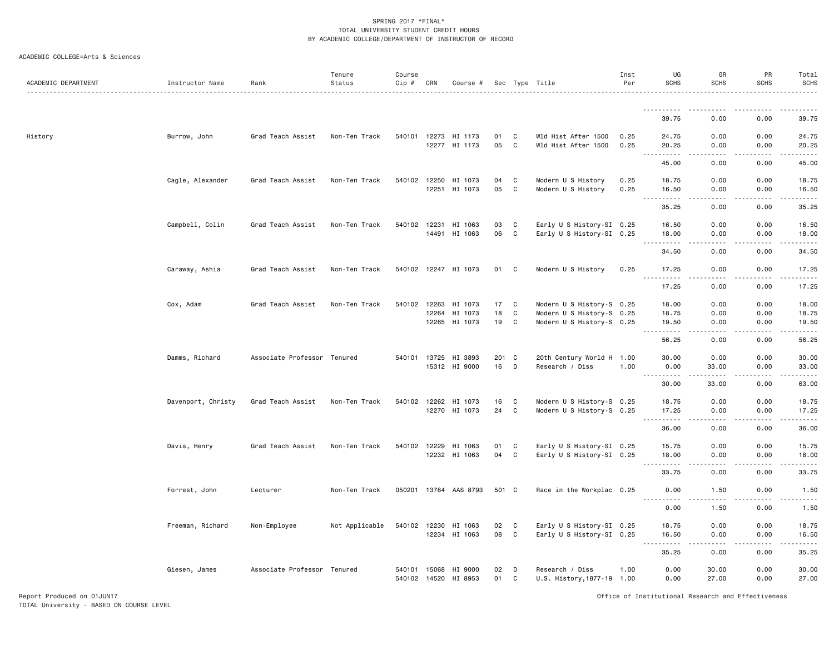| ACADEMIC DEPARTMENT | Instructor Name    | Rank                        | Tenure<br>Status | Course<br>Cip#               | CRN   | Course #              |          |             | Sec Type Title                                | Inst<br>Per | UG<br><b>SCHS</b>                                                                                                   | GR<br><b>SCHS</b> | PR<br><b>SCHS</b> | Total<br><b>SCHS</b>                                                                                                               |
|---------------------|--------------------|-----------------------------|------------------|------------------------------|-------|-----------------------|----------|-------------|-----------------------------------------------|-------------|---------------------------------------------------------------------------------------------------------------------|-------------------|-------------------|------------------------------------------------------------------------------------------------------------------------------------|
|                     |                    |                             |                  |                              |       |                       |          |             |                                               |             | ----------                                                                                                          |                   |                   | .                                                                                                                                  |
|                     |                    |                             |                  |                              |       |                       |          |             |                                               |             | 39.75                                                                                                               | 0.00              | 0.00              | 39.75                                                                                                                              |
| History             | Burrow, John       | Grad Teach Assist           | Non-Ten Track    |                              |       | 540101 12273 HI 1173  | 01       | C           | Wld Hist After 1500                           | 0.25        | 24.75                                                                                                               | 0.00              | 0.00              | 24.75                                                                                                                              |
|                     |                    |                             |                  |                              |       | 12277 HI 1173         | 05       | $\mathbf c$ | Wld Hist After 1500                           | 0.25        | 20.25<br>$\frac{1}{2} \left( \frac{1}{2} \right) \left( \frac{1}{2} \right) \left( \frac{1}{2} \right)$<br><b>.</b> | 0.00<br>.         | 0.00<br>.         | 20.25<br>.                                                                                                                         |
|                     |                    |                             |                  |                              |       |                       |          |             |                                               |             | 45.00                                                                                                               | 0.00              | 0.00              | 45.00                                                                                                                              |
|                     | Cagle, Alexander   | Grad Teach Assist           | Non-Ten Track    | 540102 12250                 |       | HI 1073               | 04       | C           | Modern U S History                            | 0.25        | 18.75                                                                                                               | 0.00              | 0.00              | 18.75                                                                                                                              |
|                     |                    |                             |                  |                              |       | 12251 HI 1073         | 05       | $\mathbf c$ | Modern U S History                            | 0.25        | 16.50<br>$\sim$ $\sim$ $\sim$<br>------                                                                             | 0.00<br>.         | 0.00<br>.         | 16.50<br>.                                                                                                                         |
|                     |                    |                             |                  |                              |       |                       |          |             |                                               |             | 35.25                                                                                                               | 0.00              | 0.00              | 35.25                                                                                                                              |
|                     | Campbell, Colin    | Grad Teach Assist           | Non-Ten Track    | 540102 12231                 |       | HI 1063               | 03       | C           | Early U S History-SI 0.25                     |             | 16.50                                                                                                               | 0.00              | 0.00              | 16.50                                                                                                                              |
|                     |                    |                             |                  |                              | 14491 | HI 1063               | 06       | C           | Early U S History-SI 0.25                     |             | 18.00<br>$\sim$ $\sim$ $\sim$<br>.                                                                                  | 0.00              | 0.00              | 18.00<br>ه د د د د                                                                                                                 |
|                     |                    |                             |                  |                              |       |                       |          |             |                                               |             | 34.50                                                                                                               | 0.00              | 0.00              | 34.50                                                                                                                              |
|                     | Caraway, Ashia     | Grad Teach Assist           | Non-Ten Track    |                              |       | 540102 12247 HI 1073  | 01 C     |             | Modern U S History                            | 0.25        | 17.25<br>$- - - - - - -$                                                                                            | 0.00              | 0.00<br>.         | 17.25<br>.                                                                                                                         |
|                     |                    |                             |                  |                              |       |                       |          |             |                                               |             | 17.25                                                                                                               | 0.00              | 0.00              | 17.25                                                                                                                              |
|                     | Cox, Adam          | Grad Teach Assist           | Non-Ten Track    | 540102                       | 12263 | HI 1073               | 17       | C           | Modern U S History-S 0.25                     |             | 18.00                                                                                                               | 0.00              | 0.00              | 18.00                                                                                                                              |
|                     |                    |                             |                  |                              | 12264 | HI 1073               | 18       | C           | Modern U S History-S 0.25                     |             | 18.75                                                                                                               | 0.00              | 0.00              | 18.75                                                                                                                              |
|                     |                    |                             |                  |                              |       | 12265 HI 1073         | 19       | C           | Modern U S History-S 0.25                     |             | 19.50<br>.                                                                                                          | 0.00<br>.         | 0.00<br>.         | 19.50<br>.                                                                                                                         |
|                     |                    |                             |                  |                              |       |                       |          |             |                                               |             | 56.25                                                                                                               | 0.00              | 0.00              | 56.25                                                                                                                              |
|                     | Damms, Richard     | Associate Professor Tenured |                  |                              |       | 540101 13725 HI 3893  | 201 C    |             | 20th Century World H 1.00                     |             | 30.00                                                                                                               | 0.00              | 0.00              | 30.00                                                                                                                              |
|                     |                    |                             |                  |                              |       | 15312 HI 9000         | 16       | D           | Research / Diss                               | 1.00        | 0.00<br>المتمام المتحدة                                                                                             | 33.00<br>.        | 0.00<br>.         | 33.00<br>.                                                                                                                         |
|                     |                    |                             |                  |                              |       |                       |          |             |                                               |             | 30.00                                                                                                               | 33.00             | 0.00              | 63.00                                                                                                                              |
|                     | Davenport, Christy | Grad Teach Assist           | Non-Ten Track    |                              |       | 540102 12262 HI 1073  | 16       | C           | Modern U S History-S 0.25                     |             | 18.75                                                                                                               | 0.00              | 0.00              | 18.75                                                                                                                              |
|                     |                    |                             |                  |                              |       | 12270 HI 1073         | 24       | C           | Modern U S History-S 0.25                     |             | 17.25                                                                                                               | 0.00              | 0.00              | 17.25                                                                                                                              |
|                     |                    |                             |                  |                              |       |                       |          |             |                                               |             | .<br>36.00                                                                                                          | .<br>0.00         | .<br>0.00         | .<br>36.00                                                                                                                         |
|                     | Davis, Henry       | Grad Teach Assist           | Non-Ten Track    | 540102 12229                 |       | HI 1063               | 01       | C           | Early U S History-SI 0.25                     |             | 15.75                                                                                                               | 0.00              | 0.00              | 15.75                                                                                                                              |
|                     |                    |                             |                  |                              |       | 12232 HI 1063         | 04       | C           | Early U S History-SI 0.25                     |             | 18.00                                                                                                               | 0.00              | 0.00              | 18.00                                                                                                                              |
|                     |                    |                             |                  |                              |       |                       |          |             |                                               |             | 33.75                                                                                                               | 0.00              | 0.00              | $\frac{1}{2} \left( \frac{1}{2} \right) \left( \frac{1}{2} \right) \left( \frac{1}{2} \right) \left( \frac{1}{2} \right)$<br>33.75 |
|                     | Forrest, John      | Lecturer                    | Non-Ten Track    |                              |       | 050201 13784 AAS 8793 | 501 C    |             | Race in the Workplac 0.25                     |             | 0.00                                                                                                                | 1.50<br>د د د د   | 0.00              | 1.50<br>.                                                                                                                          |
|                     |                    |                             |                  |                              |       |                       |          |             |                                               |             | 0.00                                                                                                                | 1.50              | 0.00              | 1.50                                                                                                                               |
|                     | Freeman, Richard   | Non-Employee                | Not Applicable   | 540102                       | 12230 | HI 1063               | 02       | C           | Early U S History-SI 0.25                     |             | 18.75                                                                                                               | 0.00              | 0.00              | 18.75                                                                                                                              |
|                     |                    |                             |                  |                              |       | 12234 HI 1063         | 08       | C           | Early U S History-SI 0.25                     |             | 16.50<br>. <u>.</u> .                                                                                               | 0.00<br>د د د د   | 0.00<br>.         | 16.50<br>.                                                                                                                         |
|                     |                    |                             |                  |                              |       |                       |          |             |                                               |             | 35.25                                                                                                               | 0.00              | 0.00              | 35.25                                                                                                                              |
|                     | Giesen, James      | Associate Professor Tenured |                  | 540101 15068<br>540102 14520 |       | HI 9000<br>HI 8953    | 02<br>01 | D<br>C      | Research / Diss<br>U.S. History, 1877-19 1.00 | 1.00        | 0.00<br>0.00                                                                                                        | 30.00<br>27.00    | 0.00<br>0.00      | 30.00<br>27.00                                                                                                                     |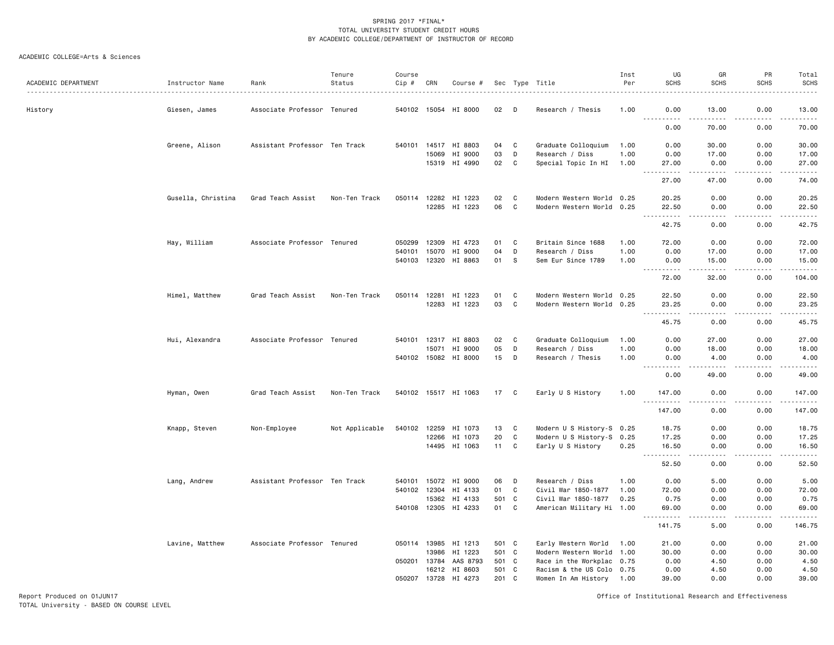#### ACADEMIC COLLEGE=Arts & Sciences

| ACADEMIC DEPARTMENT | Instructor Name    | Rank                          | Tenure<br>Status | Course<br>Cip # | CRN   | Course #             |                |     | Sec Type Title                                         | Inst<br>Per | UG<br><b>SCHS</b>                                                                                                                                                                                                                                                                                                                                                                                                                                                                                             | GR<br><b>SCHS</b>                                                                                                                                             | PR<br><b>SCHS</b> | Total<br><b>SCHS</b> |
|---------------------|--------------------|-------------------------------|------------------|-----------------|-------|----------------------|----------------|-----|--------------------------------------------------------|-------------|---------------------------------------------------------------------------------------------------------------------------------------------------------------------------------------------------------------------------------------------------------------------------------------------------------------------------------------------------------------------------------------------------------------------------------------------------------------------------------------------------------------|---------------------------------------------------------------------------------------------------------------------------------------------------------------|-------------------|----------------------|
| History             | Giesen, James      | Associate Professor Tenured   |                  |                 |       | 540102 15054 HI 8000 | 02             | D   | Research / Thesis                                      | 1.00        | 0.00                                                                                                                                                                                                                                                                                                                                                                                                                                                                                                          | 13.00                                                                                                                                                         | 0.00              | 13.00                |
|                     |                    |                               |                  |                 |       |                      |                |     |                                                        |             | <u>.</u><br>0.00                                                                                                                                                                                                                                                                                                                                                                                                                                                                                              | $\cdots$<br>70.00                                                                                                                                             | .<br>0.00         | .<br>70.00           |
|                     | Greene, Alison     | Assistant Professor Ten Track |                  | 540101          |       | 14517 HI 8803        | 04             | C   | Graduate Colloquium                                    | 1.00        | 0.00                                                                                                                                                                                                                                                                                                                                                                                                                                                                                                          | 30.00                                                                                                                                                         | 0.00              | 30.00                |
|                     |                    |                               |                  |                 | 15069 | HI 9000              | 03             | D   | Research / Diss                                        | 1.00        | 0.00                                                                                                                                                                                                                                                                                                                                                                                                                                                                                                          | 17.00                                                                                                                                                         | 0.00              | 17.00                |
|                     |                    |                               |                  |                 |       | 15319 HI 4990        | 02             | C   | Special Topic In HI                                    | 1.00        | 27.00<br>.                                                                                                                                                                                                                                                                                                                                                                                                                                                                                                    | 0.00<br>.                                                                                                                                                     | 0.00<br>.         | 27.00<br>.           |
|                     |                    |                               |                  |                 |       |                      |                |     |                                                        |             | 27.00                                                                                                                                                                                                                                                                                                                                                                                                                                                                                                         | 47.00                                                                                                                                                         | 0.00              | 74.00                |
|                     | Gusella, Christina | Grad Teach Assist             | Non-Ten Track    | 050114          | 12282 | HI 1223              | 02             | C   | Modern Western World 0.25                              |             | 20.25                                                                                                                                                                                                                                                                                                                                                                                                                                                                                                         | 0.00                                                                                                                                                          | 0.00              | 20.25                |
|                     |                    |                               |                  |                 |       | 12285 HI 1223        | 06             | C   | Modern Western World 0.25                              |             | 22.50<br>$\sim$ $\sim$ $\sim$                                                                                                                                                                                                                                                                                                                                                                                                                                                                                 | 0.00<br>$\sim$ $\sim$ $\sim$                                                                                                                                  | 0.00              | 22.50                |
|                     |                    |                               |                  |                 |       |                      |                |     |                                                        |             | .<br>42.75                                                                                                                                                                                                                                                                                                                                                                                                                                                                                                    | 0.00                                                                                                                                                          | 0.00              | .<br>42.75           |
|                     | Hay, William       | Associate Professor Tenured   |                  | 050299          | 12309 | HI 4723              | 01             | C   | Britain Since 1688                                     | 1.00        | 72.00                                                                                                                                                                                                                                                                                                                                                                                                                                                                                                         | 0.00                                                                                                                                                          | 0.00              | 72.00                |
|                     |                    |                               |                  | 540101          | 15070 | HI 9000              | 04             | D   | Research / Diss                                        | 1.00        | 0.00                                                                                                                                                                                                                                                                                                                                                                                                                                                                                                          | 17.00                                                                                                                                                         | 0.00              | 17.00                |
|                     |                    |                               |                  | 540103          | 12320 | HI 8863              | 01             | - S | Sem Eur Since 1789                                     | 1.00        | 0.00<br>.<br>$\sim$ $\sim$ $\sim$ $\sim$                                                                                                                                                                                                                                                                                                                                                                                                                                                                      | 15.00<br>$\frac{1}{2} \left( \frac{1}{2} \right) \left( \frac{1}{2} \right) \left( \frac{1}{2} \right) \left( \frac{1}{2} \right) \left( \frac{1}{2} \right)$ | 0.00<br>.         | 15.00<br>.           |
|                     |                    |                               |                  |                 |       |                      |                |     |                                                        |             | 72.00                                                                                                                                                                                                                                                                                                                                                                                                                                                                                                         | 32.00                                                                                                                                                         | 0.00              | 104.00               |
|                     | Himel, Matthew     | Grad Teach Assist             | Non-Ten Track    | 050114 12281    |       | HI 1223              | 01             | C   | Modern Western World 0.25                              |             | 22.50                                                                                                                                                                                                                                                                                                                                                                                                                                                                                                         | 0.00                                                                                                                                                          | 0.00              | 22.50                |
|                     |                    |                               |                  |                 |       | 12283 HI 1223        | 03             | C   | Modern Western World 0.25                              |             | 23.25<br>$\sim 100$<br>$\begin{array}{cccccccccccccc} \multicolumn{2}{c}{} & \multicolumn{2}{c}{} & \multicolumn{2}{c}{} & \multicolumn{2}{c}{} & \multicolumn{2}{c}{} & \multicolumn{2}{c}{} & \multicolumn{2}{c}{} & \multicolumn{2}{c}{} & \multicolumn{2}{c}{} & \multicolumn{2}{c}{} & \multicolumn{2}{c}{} & \multicolumn{2}{c}{} & \multicolumn{2}{c}{} & \multicolumn{2}{c}{} & \multicolumn{2}{c}{} & \multicolumn{2}{c}{} & \multicolumn{2}{c}{} & \multicolumn{2}{c}{} & \multicolumn{2}{c}{} & \$ | 0.00<br>22222                                                                                                                                                 | 0.00<br>.         | 23.25<br>.           |
|                     |                    |                               |                  |                 |       |                      |                |     |                                                        |             | 45.75                                                                                                                                                                                                                                                                                                                                                                                                                                                                                                         | 0.00                                                                                                                                                          | 0.00              | 45.75                |
|                     | Hui, Alexandra     | Associate Professor Tenured   |                  |                 |       | 540101 12317 HI 8803 | 02             | C   | Graduate Colloquium                                    | 1.00        | 0.00                                                                                                                                                                                                                                                                                                                                                                                                                                                                                                          | 27.00                                                                                                                                                         | 0.00              | 27.00                |
|                     |                    |                               |                  |                 | 15071 | HI 9000              | 05             | D   | Research / Diss                                        | 1.00        | 0.00                                                                                                                                                                                                                                                                                                                                                                                                                                                                                                          | 18.00                                                                                                                                                         | 0.00              | 18.00                |
|                     |                    |                               |                  |                 |       | 540102 15082 HI 8000 | 15             | D   | Research / Thesis                                      | 1.00        | 0.00                                                                                                                                                                                                                                                                                                                                                                                                                                                                                                          | 4.00                                                                                                                                                          | 0.00              | 4.00<br>.            |
|                     |                    |                               |                  |                 |       |                      |                |     |                                                        |             | 0.00                                                                                                                                                                                                                                                                                                                                                                                                                                                                                                          | 49.00                                                                                                                                                         | 0.00              | 49.00                |
|                     | Hyman, Owen        | Grad Teach Assist             | Non-Ten Track    |                 |       | 540102 15517 HI 1063 | 17             | C   | Early U S History                                      | 1.00        | 147.00<br><u>----------</u>                                                                                                                                                                                                                                                                                                                                                                                                                                                                                   | 0.00<br>.                                                                                                                                                     | 0.00<br>.         | 147.00<br>.          |
|                     |                    |                               |                  |                 |       |                      |                |     |                                                        |             | 147.00                                                                                                                                                                                                                                                                                                                                                                                                                                                                                                        | 0.00                                                                                                                                                          | 0.00              | 147.00               |
|                     | Knapp, Steven      | Non-Employee                  | Not Applicable   | 540102 12259    |       | HI 1073              | 13             | C   | Modern U S History-S 0.25                              |             | 18.75                                                                                                                                                                                                                                                                                                                                                                                                                                                                                                         | 0.00                                                                                                                                                          | 0.00              | 18.75                |
|                     |                    |                               |                  |                 | 12266 | HI 1073              | 20             | C   | Modern U S History-S 0.25                              |             | 17.25                                                                                                                                                                                                                                                                                                                                                                                                                                                                                                         | 0.00                                                                                                                                                          | 0.00              | 17.25                |
|                     |                    |                               |                  |                 |       | 14495 HI 1063        | 11             | C   | Early U S History                                      | 0.25        | 16.50<br>$\frac{1}{2} \left( \frac{1}{2} \right) \left( \frac{1}{2} \right) \left( \frac{1}{2} \right) \left( \frac{1}{2} \right) \left( \frac{1}{2} \right)$                                                                                                                                                                                                                                                                                                                                                 | 0.00<br>$\frac{1}{2}$                                                                                                                                         | 0.00<br>.         | 16.50<br>.           |
|                     |                    |                               |                  |                 |       |                      |                |     |                                                        |             | 52.50                                                                                                                                                                                                                                                                                                                                                                                                                                                                                                         | 0.00                                                                                                                                                          | 0.00              | 52.50                |
|                     | Lang, Andrew       | Assistant Professor Ten Track |                  | 540101          | 15072 | HI 9000              | 06             | D   | Research / Diss                                        | 1.00        | 0.00                                                                                                                                                                                                                                                                                                                                                                                                                                                                                                          | 5.00                                                                                                                                                          | 0.00              | 5.00                 |
|                     |                    |                               |                  |                 |       | 540102 12304 HI 4133 | 01             | C   | Civil War 1850-1877                                    | 1.00        | 72.00                                                                                                                                                                                                                                                                                                                                                                                                                                                                                                         | 0.00                                                                                                                                                          | 0.00              | 72.00                |
|                     |                    |                               |                  |                 | 15362 | HI 4133              | 501 C<br>01    |     | Civil War 1850-1877                                    | 0.25        | 0.75                                                                                                                                                                                                                                                                                                                                                                                                                                                                                                          | 0.00<br>0.00                                                                                                                                                  | 0.00              | 0.75                 |
|                     |                    |                               |                  | 540108 12305    |       | HI 4233              |                | C   | American Military Hi 1.00                              |             | 69.00<br>.                                                                                                                                                                                                                                                                                                                                                                                                                                                                                                    | الدامات بال                                                                                                                                                   | 0.00<br>.         | 69.00<br>.           |
|                     |                    |                               |                  |                 |       |                      |                |     |                                                        |             | 141.75                                                                                                                                                                                                                                                                                                                                                                                                                                                                                                        | 5.00                                                                                                                                                          | 0.00              | 146.75               |
|                     | Lavine, Matthew    | Associate Professor Tenured   |                  | 050114 13985    |       | HI 1213              | 501 C          |     | Early Western World 1.00                               |             | 21.00                                                                                                                                                                                                                                                                                                                                                                                                                                                                                                         | 0.00                                                                                                                                                          | 0.00              | 21.00                |
|                     |                    |                               |                  | 050201 13784    | 13986 | HI 1223<br>AAS 8793  | 501 C<br>501 C |     | Modern Western World 1.00                              |             | 30.00<br>0.00                                                                                                                                                                                                                                                                                                                                                                                                                                                                                                 | 0.00<br>4.50                                                                                                                                                  | 0.00<br>0.00      | 30.00                |
|                     |                    |                               |                  |                 | 16212 | HI 8603              | 501 C          |     | Race in the Workplac 0.75<br>Racism & the US Colo 0.75 |             | 0.00                                                                                                                                                                                                                                                                                                                                                                                                                                                                                                          | 4.50                                                                                                                                                          | 0.00              | 4.50<br>4.50         |
|                     |                    |                               |                  | 050207 13728    |       | HI 4273              | 201 C          |     | Women In Am History 1.00                               |             | 39.00                                                                                                                                                                                                                                                                                                                                                                                                                                                                                                         | 0.00                                                                                                                                                          | 0.00              | 39.00                |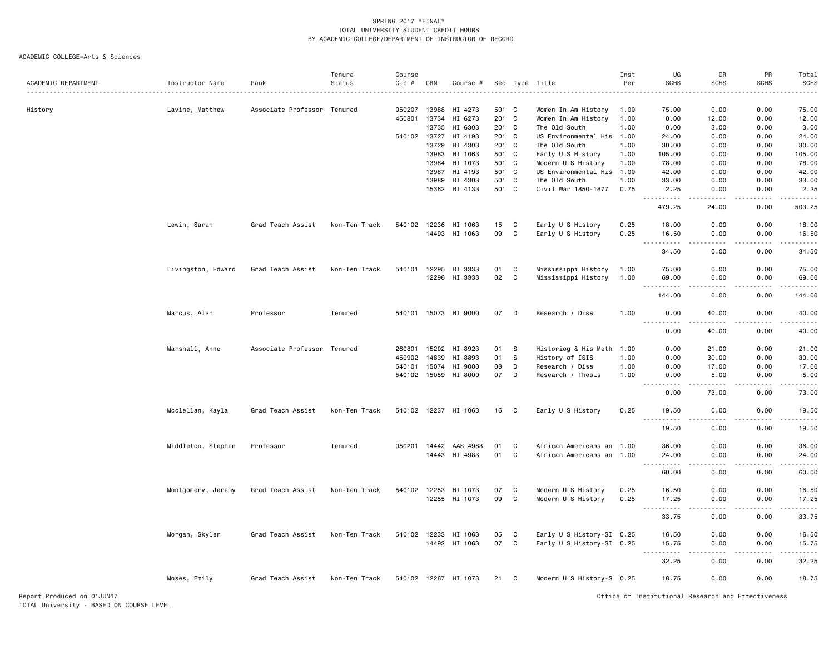|                            |                    |                             | Tenure        | Course       |       |                       |         |   |                           | Inst | UG                                                                                                                                                            | GR          | PR                                                                                                                                                           | Total       |
|----------------------------|--------------------|-----------------------------|---------------|--------------|-------|-----------------------|---------|---|---------------------------|------|---------------------------------------------------------------------------------------------------------------------------------------------------------------|-------------|--------------------------------------------------------------------------------------------------------------------------------------------------------------|-------------|
| ACADEMIC DEPARTMENT        | Instructor Name    | Rank                        | Status        | Cip #        | CRN   | Course #              |         |   | Sec Type Title            | Per  | <b>SCHS</b>                                                                                                                                                   | <b>SCHS</b> | <b>SCHS</b>                                                                                                                                                  | <b>SCHS</b> |
|                            |                    |                             |               |              |       |                       |         |   |                           |      |                                                                                                                                                               |             |                                                                                                                                                              |             |
| History                    | Lavine, Matthew    | Associate Professor Tenured |               |              |       | 050207 13988 HI 4273  | 501 C   |   | Women In Am History       | 1.00 | 75.00                                                                                                                                                         | 0.00        | 0.00                                                                                                                                                         | 75.00       |
|                            |                    |                             |               | 450801       | 13734 | HI 6273               | 201 C   |   | Women In Am History       | 1.00 | 0.00                                                                                                                                                          | 12.00       | 0.00                                                                                                                                                         | 12.00       |
|                            |                    |                             |               |              | 13735 | HI 6303               | $201$ C |   | The Old South             | 1.00 | 0.00                                                                                                                                                          | 3.00        | 0.00                                                                                                                                                         | 3.00        |
|                            |                    |                             |               | 540102 13727 |       | HI 4193               | 201 C   |   | US Environmental His 1.00 |      | 24.00                                                                                                                                                         | 0.00        | 0.00                                                                                                                                                         | 24.00       |
|                            |                    |                             |               |              | 13729 | HI 4303               | 201 C   |   | The Old South             | 1.00 | 30.00                                                                                                                                                         | 0.00        | 0.00                                                                                                                                                         | 30.00       |
|                            |                    |                             |               |              | 13983 | HI 1063               | 501 C   |   | Early U S History         | 1.00 | 105,00                                                                                                                                                        | 0.00        | 0.00                                                                                                                                                         | 105.00      |
|                            |                    |                             |               |              | 13984 | HI 1073               | 501 C   |   | Modern U S History        | 1.00 | 78.00                                                                                                                                                         | 0.00        | 0.00                                                                                                                                                         | 78.00       |
|                            |                    |                             |               |              | 13987 | HI 4193               | 501 C   |   | US Environmental His 1.00 |      | 42.00                                                                                                                                                         | 0.00        | 0.00                                                                                                                                                         | 42.00       |
|                            |                    |                             |               |              | 13989 | HI 4303               | 501 C   |   | The Old South             | 1.00 | 33.00                                                                                                                                                         | 0.00        | 0.00                                                                                                                                                         | 33.00       |
|                            |                    |                             |               |              |       | 15362 HI 4133         | 501 C   |   | Civil War 1850-1877       | 0.75 | 2.25<br>.                                                                                                                                                     | 0.00        | 0.00                                                                                                                                                         | 2.25        |
|                            |                    |                             |               |              |       |                       |         |   |                           |      | 479.25                                                                                                                                                        | 24.00       | 0.00                                                                                                                                                         | 503.25      |
|                            | Lewin, Sarah       | Grad Teach Assist           | Non-Ten Track | 540102 12236 |       | HI 1063               | 15      | C | Early U S History         | 0.25 | 18.00                                                                                                                                                         | 0.00        | 0.00                                                                                                                                                         | 18.00       |
|                            |                    |                             |               |              |       | 14493 HI 1063         | 09      | C | Early U S History         | 0.25 | 16.50<br>$\frac{1}{2} \left( \frac{1}{2} \right) \left( \frac{1}{2} \right) \left( \frac{1}{2} \right) \left( \frac{1}{2} \right) \left( \frac{1}{2} \right)$ | 0.00        | 0.00                                                                                                                                                         | 16.50<br>.  |
|                            |                    |                             |               |              |       |                       |         |   |                           |      | 34.50                                                                                                                                                         | 0.00        | 0.00                                                                                                                                                         | 34.50       |
|                            | Livingston, Edward | Grad Teach Assist           | Non-Ten Track | 540101       | 12295 | HI 3333               | 01      | C | Mississippi History       | 1.00 | 75.00                                                                                                                                                         | 0.00        | 0.00                                                                                                                                                         | 75.00       |
|                            |                    |                             |               |              |       | 12296 HI 3333         | 02      | C | Mississippi History       | 1.00 | 69.00                                                                                                                                                         | 0.00        | 0.00                                                                                                                                                         | 69.00       |
|                            |                    |                             |               |              |       |                       |         |   |                           |      | 144.00                                                                                                                                                        | 0.00        | 0.00                                                                                                                                                         | 144.00      |
|                            | Marcus, Alan       | Professor                   | Tenured       |              |       | 540101 15073 HI 9000  | 07      | D | Research / Diss           | 1.00 | 0.00                                                                                                                                                          | 40.00       | 0.00                                                                                                                                                         | 40.00       |
|                            |                    |                             |               |              |       |                       |         |   |                           |      | .<br>0.00                                                                                                                                                     | 40.00       | 0.00                                                                                                                                                         | 40.00       |
|                            | Marshall, Anne     | Associate Professor Tenured |               | 260801 15202 |       | HI 8923               | 01      | S | Historiog & His Meth 1.00 |      | 0.00                                                                                                                                                          | 21.00       | 0.00                                                                                                                                                         | 21.00       |
|                            |                    |                             |               | 450902       | 14839 | HI 8893               | 01      | s | History of ISIS           | 1.00 | 0.00                                                                                                                                                          | 30.00       | 0.00                                                                                                                                                         | 30.00       |
|                            |                    |                             |               | 540101 15074 |       | HI 9000               | 08      | D | Research / Diss           | 1.00 | 0.00                                                                                                                                                          | 17.00       | 0.00                                                                                                                                                         | 17.00       |
|                            |                    |                             |               |              |       | 540102 15059 HI 8000  | 07      | D | Research / Thesis         | 1.00 | 0.00                                                                                                                                                          | 5.00        | 0.00                                                                                                                                                         | 5.00        |
|                            |                    |                             |               |              |       |                       |         |   |                           |      | .                                                                                                                                                             | .           | $\frac{1}{2} \left( \frac{1}{2} \right) \left( \frac{1}{2} \right) \left( \frac{1}{2} \right) \left( \frac{1}{2} \right) \left( \frac{1}{2} \right)$         | .           |
|                            |                    |                             |               |              |       |                       |         |   |                           |      | 0.00                                                                                                                                                          | 73.00       | 0.00                                                                                                                                                         | 73.00       |
|                            | Mcclellan, Kayla   | Grad Teach Assist           | Non-Ten Track |              |       | 540102 12237 HI 1063  | 16      | C | Early U S History         | 0.25 | 19.50<br><u>.</u>                                                                                                                                             | 0.00        | 0.00                                                                                                                                                         | 19.50<br>.  |
|                            |                    |                             |               |              |       |                       |         |   |                           |      | 19.50                                                                                                                                                         | 0.00        | 0.00                                                                                                                                                         | 19.50       |
|                            | Middleton, Stephen | Professor                   | Tenured       |              |       | 050201 14442 AAS 4983 | 01      | C | African Americans an 1.00 |      | 36.00                                                                                                                                                         | 0.00        | 0.00                                                                                                                                                         | 36.00       |
|                            |                    |                             |               |              |       | 14443 HI 4983         | 01      | C | African Americans an 1.00 |      | 24.00<br>$\sim$ $\sim$ .                                                                                                                                      | 0.00        | 0.00                                                                                                                                                         | 24.00       |
|                            |                    |                             |               |              |       |                       |         |   |                           |      | 60.00                                                                                                                                                         | 0.00        | 0.00                                                                                                                                                         | 60.00       |
|                            | Montgomery, Jeremy | Grad Teach Assist           | Non-Ten Track |              |       | 540102 12253 HI 1073  | 07      | C | Modern U S History        | 0.25 | 16.50                                                                                                                                                         | 0.00        | 0.00                                                                                                                                                         | 16.50       |
|                            |                    |                             |               |              |       | 12255 HI 1073         | 09      | C | Modern U S History        | 0.25 | 17.25<br>$\sim$ $\sim$ $\sim$<br>.                                                                                                                            | 0.00<br>.   | 0.00<br>$\frac{1}{2} \left( \frac{1}{2} \right) \left( \frac{1}{2} \right) \left( \frac{1}{2} \right) \left( \frac{1}{2} \right) \left( \frac{1}{2} \right)$ | 17.25<br>.  |
|                            |                    |                             |               |              |       |                       |         |   |                           |      | 33.75                                                                                                                                                         | 0.00        | 0.00                                                                                                                                                         | 33.75       |
|                            | Morgan, Skyler     | Grad Teach Assist           | Non-Ten Track |              |       | 540102 12233 HI 1063  | 05      | C | Early U S History-SI 0.25 |      | 16.50                                                                                                                                                         | 0.00        | 0.00                                                                                                                                                         | 16.50       |
|                            |                    |                             |               |              |       | 14492 HI 1063         | 07      | C | Early U S History-SI 0.25 |      | 15.75<br>$\sim$ $\sim$<br>.                                                                                                                                   | 0.00<br>.   | 0.00<br>.                                                                                                                                                    | 15.75<br>.  |
|                            |                    |                             |               |              |       |                       |         |   |                           |      | 32.25                                                                                                                                                         | 0.00        | 0.00                                                                                                                                                         | 32.25       |
|                            | Moses, Emily       | Grad Teach Assist           | Non-Ten Track |              |       | 540102 12267 HI 1073  | 21      | C | Modern U S History-S 0.25 |      | 18.75                                                                                                                                                         | 0.00        | 0.00                                                                                                                                                         | 18.75       |
| Report Produced on 01JUN17 |                    |                             |               |              |       |                       |         |   |                           |      | Office of Institutional Research and Effectiveness                                                                                                            |             |                                                                                                                                                              |             |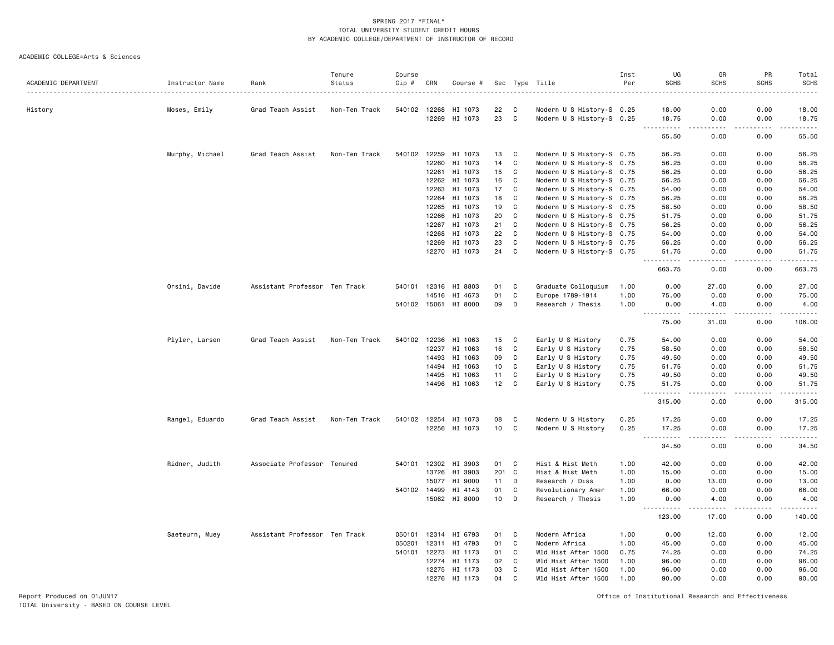ACADEMIC COLLEGE=Arts & Sciences

| ACADEMIC DEPARTMENT | Instructor Name |                               | Tenure<br>Status | Course<br>$Cip \#$ | CRN          |                      |                 |              |                           | Inst<br>Per | UG<br><b>SCHS</b>             | GR<br><b>SCHS</b>     | PR<br><b>SCHS</b>   | Total<br><b>SCHS</b>                                                                                                                                                                    |
|---------------------|-----------------|-------------------------------|------------------|--------------------|--------------|----------------------|-----------------|--------------|---------------------------|-------------|-------------------------------|-----------------------|---------------------|-----------------------------------------------------------------------------------------------------------------------------------------------------------------------------------------|
|                     |                 | Rank                          |                  |                    |              | Course #             |                 |              | Sec Type Title            |             |                               |                       |                     |                                                                                                                                                                                         |
| History             | Moses, Emily    | Grad Teach Assist             | Non-Ten Track    |                    | 540102 12268 | HI 1073              | 22              | C            | Modern U S History-S 0.25 |             | 18.00                         | 0.00                  | 0.00                | 18.00                                                                                                                                                                                   |
|                     |                 |                               |                  |                    | 12269        | HI 1073              | 23              | $\mathbf c$  | Modern U S History-S 0.25 |             | 18.75<br>. <b>.</b>           | 0.00<br>.             | 0.00<br>.           | 18.75<br>.                                                                                                                                                                              |
|                     |                 |                               |                  |                    |              |                      |                 |              |                           |             | 55.50                         | 0.00                  | 0.00                | 55.50                                                                                                                                                                                   |
|                     | Murphy, Michael | Grad Teach Assist             | Non-Ten Track    |                    | 540102 12259 | HI 1073              | 13              | C            | Modern U S History-S 0.75 |             | 56.25                         | 0.00                  | 0.00                | 56.25                                                                                                                                                                                   |
|                     |                 |                               |                  |                    | 12260        | HI 1073              | 14              | C            | Modern U S History-S 0.75 |             | 56.25                         | 0.00                  | 0.00                | 56.25                                                                                                                                                                                   |
|                     |                 |                               |                  |                    | 12261        | HI 1073              | 15              | C            | Modern U S History-S 0.75 |             | 56.25                         | 0.00                  | 0.00                | 56.25                                                                                                                                                                                   |
|                     |                 |                               |                  |                    | 12262        | HI 1073              | 16              | C            | Modern U S History-S 0.75 |             | 56.25                         | 0.00                  | 0.00                | 56.25                                                                                                                                                                                   |
|                     |                 |                               |                  |                    | 12263        | HI 1073              | 17              | $\mathtt{C}$ | Modern U S History-S 0.75 |             | 54.00                         | 0.00                  | 0.00                | 54.00                                                                                                                                                                                   |
|                     |                 |                               |                  |                    | 12264        | HI 1073              | 18              | C            | Modern U S History-S 0.75 |             | 56.25                         | 0.00                  | 0.00                | 56.25                                                                                                                                                                                   |
|                     |                 |                               |                  |                    | 12265        | HI 1073              | 19              | C            | Modern U S History-S 0.75 |             | 58.50                         | 0.00                  | 0.00                | 58.50                                                                                                                                                                                   |
|                     |                 |                               |                  |                    | 12266        | HI 1073              | 20              | C            | Modern U S History-S 0.75 |             | 51.75                         | 0.00                  | 0.00                | 51.75                                                                                                                                                                                   |
|                     |                 |                               |                  |                    | 12267        | HI 1073              | 21              | C            | Modern U S History-S 0.75 |             | 56.25                         | 0.00                  | 0.00                | 56.25                                                                                                                                                                                   |
|                     |                 |                               |                  |                    | 12268        | HI 1073              | 22              | C            | Modern U S History-S 0.75 |             | 54.00                         | 0.00                  | 0.00                | 54.00                                                                                                                                                                                   |
|                     |                 |                               |                  |                    | 12269        | HI 1073              | 23              | C            | Modern U S History-S 0.75 |             | 56.25                         | 0.00                  | 0.00                | 56.25                                                                                                                                                                                   |
|                     |                 |                               |                  |                    |              | 12270 HI 1073        | 24              | C            | Modern U S History-S 0.75 |             | 51.75<br><u>.</u>             | 0.00<br>.             | 0.00<br>$- - - - -$ | 51.75<br><u>.</u>                                                                                                                                                                       |
|                     |                 |                               |                  |                    |              |                      |                 |              |                           |             | 663.75                        | 0.00                  | 0.00                | 663.75                                                                                                                                                                                  |
|                     | Orsini, Davide  | Assistant Professor Ten Track |                  | 540101             |              | 12316 HI 8803        | 01              | C            | Graduate Colloquium       | 1.00        | 0.00                          | 27.00                 | 0.00                | 27.00                                                                                                                                                                                   |
|                     |                 |                               |                  |                    | 14516        | HI 4673              | 01              | C            | Europe 1789-1914          | 1.00        | 75.00                         | 0.00                  | 0.00                | 75.00                                                                                                                                                                                   |
|                     |                 |                               |                  |                    |              | 540102 15061 HI 8000 | 09              | D            | Research / Thesis         | 1.00        | 0.00<br>.                     | 4.00<br>$\frac{1}{2}$ | 0.00<br>.           | 4.00<br>$\frac{1}{2} \left( \frac{1}{2} \right) \left( \frac{1}{2} \right) \left( \frac{1}{2} \right) \left( \frac{1}{2} \right) \left( \frac{1}{2} \right) \left( \frac{1}{2} \right)$ |
|                     |                 |                               |                  |                    |              |                      |                 |              |                           |             | 75.00                         | 31.00                 | 0.00                | 106.00                                                                                                                                                                                  |
|                     | Plyler, Larsen  | Grad Teach Assist             | Non-Ten Track    |                    | 540102 12236 | HI 1063              | 15              | C            | Early U S History         | 0.75        | 54.00                         | 0.00                  | 0.00                | 54.00                                                                                                                                                                                   |
|                     |                 |                               |                  |                    | 12237        | HI 1063              | 16              | C            | Early U S History         | 0.75        | 58.50                         | 0.00                  | 0.00                | 58.50                                                                                                                                                                                   |
|                     |                 |                               |                  |                    | 14493        | HI 1063              | 09              | C            | Early U S History         | 0.75        | 49.50                         | 0.00                  | 0.00                | 49.50                                                                                                                                                                                   |
|                     |                 |                               |                  |                    |              | 14494 HI 1063        | 10              | C            | Early U S History         | 0.75        | 51.75                         | 0.00                  | 0.00                | 51.75                                                                                                                                                                                   |
|                     |                 |                               |                  |                    | 14495        | HI 1063              | 11              | C            | Early U S History         | 0.75        | 49.50                         | 0.00                  | 0.00                | 49.50                                                                                                                                                                                   |
|                     |                 |                               |                  |                    | 14496        | HI 1063              | 12              | C            | Early U S History         | 0.75        | 51.75<br>.                    | 0.00<br>$\frac{1}{2}$ | 0.00<br>.           | 51.75<br>.                                                                                                                                                                              |
|                     |                 |                               |                  |                    |              |                      |                 |              |                           |             | 315.00                        | 0.00                  | 0.00                | 315.00                                                                                                                                                                                  |
|                     | Rangel, Eduardo | Grad Teach Assist             | Non-Ten Track    |                    | 540102 12254 | HI 1073              | 08              | C            | Modern U S History        | 0.25        | 17.25                         | 0.00                  | 0.00                | 17.25                                                                                                                                                                                   |
|                     |                 |                               |                  |                    |              | 12256 HI 1073        | 10 <sub>1</sub> | C            | Modern U S History        | 0.25        | 17.25                         | 0.00                  | 0.00                | 17.25                                                                                                                                                                                   |
|                     |                 |                               |                  |                    |              |                      |                 |              |                           |             | $\sim$ $\sim$ $\sim$<br>34.50 | .<br>0.00             | .<br>0.00           | .<br>34.50                                                                                                                                                                              |
|                     | Ridner, Judith  | Associate Professor Tenured   |                  |                    |              | 540101 12302 HI 3903 | 01              | C            | Hist & Hist Meth          | 1.00        | 42.00                         | 0.00                  | 0.00                | 42.00                                                                                                                                                                                   |
|                     |                 |                               |                  |                    | 13726        | HI 3903              | 201             | $\mathbf{C}$ | Hist & Hist Meth          | 1.00        | 15.00                         | 0.00                  | 0.00                | 15.00                                                                                                                                                                                   |
|                     |                 |                               |                  |                    | 15077        | HI 9000              | 11              | D            | Research / Diss           | 1.00        | 0.00                          | 13.00                 | 0.00                | 13.00                                                                                                                                                                                   |
|                     |                 |                               |                  |                    | 540102 14499 | HI 4143              | 01              | C            | Revolutionary Amer        | 1.00        | 66.00                         | 0.00                  | 0.00                | 66.00                                                                                                                                                                                   |
|                     |                 |                               |                  |                    |              | 15062 HI 8000        | 10              | D            | Research / Thesis         | 1.00        | 0.00<br>.                     | 4.00<br>-----         | 0.00<br>$- - - - -$ | 4.00<br>$\frac{1}{2} \left( \frac{1}{2} \right) \left( \frac{1}{2} \right) \left( \frac{1}{2} \right) \left( \frac{1}{2} \right) \left( \frac{1}{2} \right) \left( \frac{1}{2} \right)$ |
|                     |                 |                               |                  |                    |              |                      |                 |              |                           |             | 123.00                        | 17.00                 | 0.00                | 140.00                                                                                                                                                                                  |
|                     | Saeteurn, Muey  | Assistant Professor Ten Track |                  | 050101             |              | 12314 HI 6793        | 01              | C            | Modern Africa             | 1.00        | 0.00                          | 12.00                 | 0.00                | 12.00                                                                                                                                                                                   |
|                     |                 |                               |                  | 050201             | 12311        | HI 4793              | 01              | C            | Modern Africa             | 1.00        | 45.00                         | 0.00                  | 0.00                | 45.00                                                                                                                                                                                   |
|                     |                 |                               |                  | 540101             | 12273        | HI 1173              | 01              | C            | Wld Hist After 1500       | 0.75        | 74.25                         | 0.00                  | 0.00                | 74.25                                                                                                                                                                                   |
|                     |                 |                               |                  |                    |              | 12274 HI 1173        | 02              | C            | Wld Hist After 1500       | 1.00        | 96.00                         | 0.00                  | 0.00                | 96.00                                                                                                                                                                                   |
|                     |                 |                               |                  |                    | 12275        | HI 1173              | 03              | C            | Wld Hist After 1500       | 1.00        | 96.00                         | 0.00                  | 0.00                | 96.00                                                                                                                                                                                   |
|                     |                 |                               |                  |                    |              | 12276 HI 1173        | 04              | C            | Wld Hist After 1500       | 1.00        | 90.00                         | 0.00                  | 0.00                | 90.00                                                                                                                                                                                   |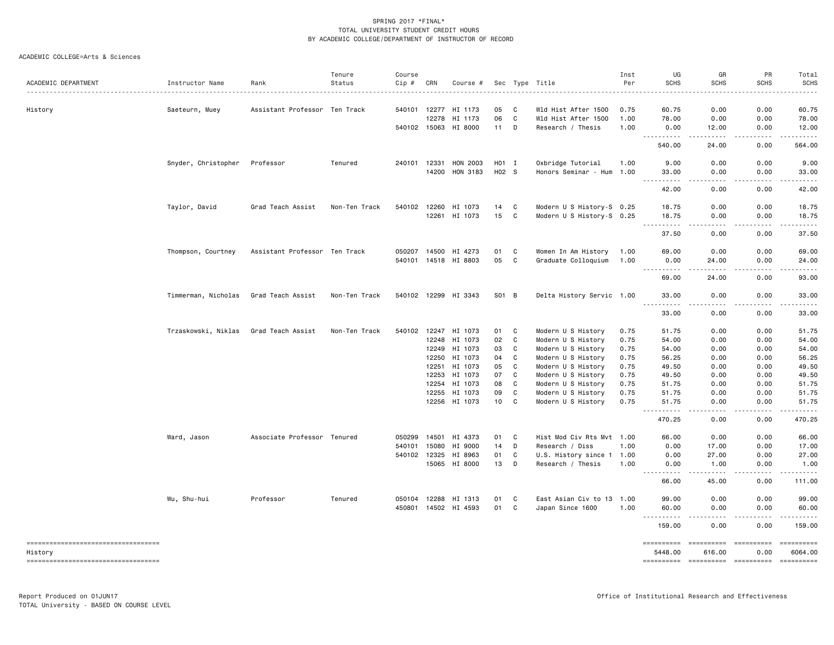|                                      |                     |                               | Tenure        | Course       |       |                      |       |   |                           | Inst | UG                                                                                                                                                                  | GR                                                                                                                                                           | PR            | Total                                                                                                                                                                                     |
|--------------------------------------|---------------------|-------------------------------|---------------|--------------|-------|----------------------|-------|---|---------------------------|------|---------------------------------------------------------------------------------------------------------------------------------------------------------------------|--------------------------------------------------------------------------------------------------------------------------------------------------------------|---------------|-------------------------------------------------------------------------------------------------------------------------------------------------------------------------------------------|
| ACADEMIC DEPARTMENT                  | Instructor Name     | Rank                          | Status        | Cip #        | CRN   | Course #             |       |   | Sec Type Title            | Per  | <b>SCHS</b>                                                                                                                                                         | <b>SCHS</b>                                                                                                                                                  | <b>SCHS</b>   | <b>SCHS</b>                                                                                                                                                                               |
| History                              | Saeteurn, Muey      | Assistant Professor Ten Track |               | 540101 12277 |       | HI 1173              | 05    | C | Wld Hist After 1500       | 0.75 | 60.75                                                                                                                                                               | 0.00                                                                                                                                                         | 0.00          | 60.75                                                                                                                                                                                     |
|                                      |                     |                               |               |              | 12278 | HI 1173              | 06    | C | Wld Hist After 1500       | 1.00 | 78.00                                                                                                                                                               | 0.00                                                                                                                                                         | 0.00          | 78.00                                                                                                                                                                                     |
|                                      |                     |                               |               | 540102 15063 |       | HI 8000              | 11    | D | Research / Thesis         | 1.00 | 0.00                                                                                                                                                                | 12.00                                                                                                                                                        | 0.00          | 12.00                                                                                                                                                                                     |
|                                      |                     |                               |               |              |       |                      |       |   |                           |      | .                                                                                                                                                                   | .                                                                                                                                                            | <b>.</b>      | .                                                                                                                                                                                         |
|                                      |                     |                               |               |              |       |                      |       |   |                           |      | 540.00                                                                                                                                                              | 24.00                                                                                                                                                        | 0.00          | 564.00                                                                                                                                                                                    |
|                                      | Snyder, Christopher | Professor                     | Tenured       | 240101 12331 |       | HON 2003             | H01 I |   | Oxbridge Tutorial         | 1.00 | 9.00                                                                                                                                                                | 0.00                                                                                                                                                         | 0.00          | 9.00                                                                                                                                                                                      |
|                                      |                     |                               |               |              | 14200 | HON 3183             | H02 S |   | Honors Seminar - Hum 1.00 |      | 33.00                                                                                                                                                               | 0.00                                                                                                                                                         | 0.00          | 33.00                                                                                                                                                                                     |
|                                      |                     |                               |               |              |       |                      |       |   |                           |      | $\frac{1}{2} \left( \frac{1}{2} \right) \left( \frac{1}{2} \right) \left( \frac{1}{2} \right) \left( \frac{1}{2} \right) \left( \frac{1}{2} \right)$<br>н.<br>42.00 | $   -$<br>0.00                                                                                                                                               | .<br>0.00     | .<br>42.00                                                                                                                                                                                |
|                                      | Taylor, David       | Grad Teach Assist             | Non-Ten Track | 540102 12260 |       | HI 1073              | 14    | C | Modern U S History-S 0.25 |      | 18.75                                                                                                                                                               | 0.00                                                                                                                                                         | 0.00          | 18.75                                                                                                                                                                                     |
|                                      |                     |                               |               |              | 12261 | HI 1073              | 15    | C | Modern U S History-S 0.25 |      | 18.75                                                                                                                                                               | 0.00                                                                                                                                                         | 0.00          | 18.75                                                                                                                                                                                     |
|                                      |                     |                               |               |              |       |                      |       |   |                           |      | $\sim$ $\sim$ $\sim$<br>.<br>37.50                                                                                                                                  | $\sim$ $\sim$ $\sim$<br>0.00                                                                                                                                 | -----<br>0.00 | .<br>37.50                                                                                                                                                                                |
|                                      | Thompson, Courtney  | Assistant Professor Ten Track |               | 050207 14500 |       | HI 4273              | 01    | C | Women In Am History       | 1.00 | 69.00                                                                                                                                                               | 0.00                                                                                                                                                         | 0.00          | 69.00                                                                                                                                                                                     |
|                                      |                     |                               |               |              |       | 540101 14518 HI 8803 | 05    | C | Graduate Colloquium       | 1.00 | 0.00                                                                                                                                                                | 24.00                                                                                                                                                        | 0.00          | 24.00                                                                                                                                                                                     |
|                                      |                     |                               |               |              |       |                      |       |   |                           |      | .<br>69.00                                                                                                                                                          | -----<br>24.00                                                                                                                                               | .<br>0.00     | .<br>93.00                                                                                                                                                                                |
|                                      | Timmerman, Nicholas | Grad Teach Assist             | Non-Ten Track |              |       | 540102 12299 HI 3343 | S01 B |   | Delta History Servic 1.00 |      | 33.00                                                                                                                                                               | 0.00                                                                                                                                                         | 0.00          | 33.00                                                                                                                                                                                     |
|                                      |                     |                               |               |              |       |                      |       |   |                           |      | 33.00                                                                                                                                                               | 0.00                                                                                                                                                         | 0.00          | 33.00                                                                                                                                                                                     |
|                                      | Trzaskowski, Niklas | Grad Teach Assist             | Non-Ten Track | 540102 12247 |       | HI 1073              | 01    | C | Modern U S History        | 0.75 | 51.75                                                                                                                                                               | 0.00                                                                                                                                                         | 0.00          | 51.75                                                                                                                                                                                     |
|                                      |                     |                               |               |              | 12248 | HI 1073              | 02    | C | Modern U S History        | 0.75 | 54.00                                                                                                                                                               | 0.00                                                                                                                                                         | 0.00          | 54.00                                                                                                                                                                                     |
|                                      |                     |                               |               |              | 12249 | HI 1073              | 03    | C | Modern U S History        | 0.75 | 54.00                                                                                                                                                               | 0.00                                                                                                                                                         | 0.00          | 54.00                                                                                                                                                                                     |
|                                      |                     |                               |               |              | 12250 | HI 1073              | 04    | C | Modern U S History        | 0.75 | 56.25                                                                                                                                                               | 0.00                                                                                                                                                         | 0.00          | 56.25                                                                                                                                                                                     |
|                                      |                     |                               |               |              | 12251 | HI 1073              | 05    | C | Modern U S History        | 0.75 | 49.50                                                                                                                                                               | 0.00                                                                                                                                                         | 0.00          | 49.50                                                                                                                                                                                     |
|                                      |                     |                               |               |              | 12253 | HI 1073              | 07    | C | Modern U S History        | 0.75 | 49.50                                                                                                                                                               | 0.00                                                                                                                                                         | 0.00          | 49.50                                                                                                                                                                                     |
|                                      |                     |                               |               |              | 12254 | HI 1073              | 08    | C | Modern U S History        | 0.75 | 51.75                                                                                                                                                               | 0.00                                                                                                                                                         | 0.00          | 51.75                                                                                                                                                                                     |
|                                      |                     |                               |               |              | 12255 | HI 1073              | 09    | C | Modern U S History        | 0.75 | 51.75                                                                                                                                                               | 0.00                                                                                                                                                         | 0.00          | 51.75                                                                                                                                                                                     |
|                                      |                     |                               |               |              | 12256 | HI 1073              | 10    | C | Modern U S History        | 0.75 | 51.75                                                                                                                                                               | 0.00<br>الدامات بال                                                                                                                                          | 0.00          | 51.75<br>$\begin{array}{cccccccccccccc} \bullet & \bullet & \bullet & \bullet & \bullet & \bullet & \bullet & \bullet \end{array}$                                                        |
|                                      |                     |                               |               |              |       |                      |       |   |                           |      | $- - -$<br>470.25                                                                                                                                                   | 0.00                                                                                                                                                         | .<br>0.00     | 470.25                                                                                                                                                                                    |
|                                      | Ward, Jason         | Associate Professor Tenured   |               | 050299       | 14501 | HI 4373              | 01    | C | Hist Mod Civ Rts Mvt 1.00 |      | 66.00                                                                                                                                                               | 0.00                                                                                                                                                         | 0.00          | 66.00                                                                                                                                                                                     |
|                                      |                     |                               |               | 540101       | 15080 | HI 9000              | 14    | D | Research / Diss           | 1.00 | 0.00                                                                                                                                                                | 17.00                                                                                                                                                        | 0.00          | 17.00                                                                                                                                                                                     |
|                                      |                     |                               |               | 540102 12325 |       | HI 8963              | 01    | C | U.S. History since 1 1.00 |      | 0.00                                                                                                                                                                | 27.00                                                                                                                                                        | 0.00          | 27.00                                                                                                                                                                                     |
|                                      |                     |                               |               |              |       | 15065 HI 8000        | 13    | D | Research / Thesis         | 1.00 | 0.00<br><b>.</b><br>$\frac{1}{2} \left( \frac{1}{2} \right) \left( \frac{1}{2} \right) \left( \frac{1}{2} \right) \left( \frac{1}{2} \right)$                       | 1.00<br>$\frac{1}{2} \left( \frac{1}{2} \right) \left( \frac{1}{2} \right) \left( \frac{1}{2} \right) \left( \frac{1}{2} \right) \left( \frac{1}{2} \right)$ | 0.00<br>----- | 1.00<br>$\mathbf{1} \cdot \mathbf{1} \cdot \mathbf{1} \cdot \mathbf{1} \cdot \mathbf{1}$                                                                                                  |
|                                      |                     |                               |               |              |       |                      |       |   |                           |      | 66.00                                                                                                                                                               | 45.00                                                                                                                                                        | 0.00          | 111.00                                                                                                                                                                                    |
|                                      | Wu, Shu-hui         | Professor                     | Tenured       | 050104 12288 |       | HI 1313              | 01    | C | East Asian Civ to 13 1.00 |      | 99.00                                                                                                                                                               | 0.00                                                                                                                                                         | 0.00          | 99.00                                                                                                                                                                                     |
|                                      |                     |                               |               |              |       | 450801 14502 HI 4593 | 01    | C | Japan Since 1600          | 1.00 | 60.00                                                                                                                                                               | 0.00                                                                                                                                                         | 0.00          | 60.00                                                                                                                                                                                     |
|                                      |                     |                               |               |              |       |                      |       |   |                           |      | .<br>159.00                                                                                                                                                         | .<br>0.00                                                                                                                                                    | .<br>0.00     | $\frac{1}{2} \left( \frac{1}{2} \right) \left( \frac{1}{2} \right) \left( \frac{1}{2} \right) \left( \frac{1}{2} \right) \left( \frac{1}{2} \right) \left( \frac{1}{2} \right)$<br>159.00 |
| ==================================== |                     |                               |               |              |       |                      |       |   |                           |      | ==========                                                                                                                                                          | <b>ESSESSESS</b>                                                                                                                                             | ==========    | ==========                                                                                                                                                                                |
| History                              |                     |                               |               |              |       |                      |       |   |                           |      | 5448.00                                                                                                                                                             | 616.00                                                                                                                                                       | 0.00          | 6064.00                                                                                                                                                                                   |
| -----------------------------------  |                     |                               |               |              |       |                      |       |   |                           |      |                                                                                                                                                                     |                                                                                                                                                              |               |                                                                                                                                                                                           |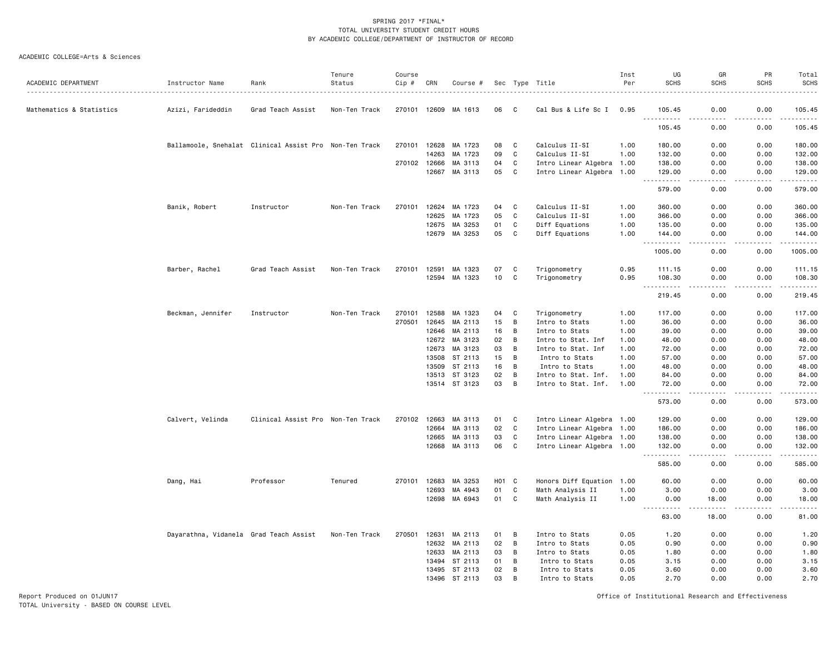#### ACADEMIC COLLEGE=Arts & Sciences

| ACADEMIC DEPARTMENT      | Instructor Name                                        | Rank                              | Tenure<br>Status | Course<br>Cip # | CRN   | Course #      |                 |             | Sec Type Title            | Inst<br>Per | UG<br><b>SCHS</b>                       | GR<br><b>SCHS</b>            | PR<br><b>SCHS</b> | Total<br><b>SCHS</b>                                                                                                  |
|--------------------------|--------------------------------------------------------|-----------------------------------|------------------|-----------------|-------|---------------|-----------------|-------------|---------------------------|-------------|-----------------------------------------|------------------------------|-------------------|-----------------------------------------------------------------------------------------------------------------------|
| Mathematics & Statistics | Azizi, Farideddin                                      | Grad Teach Assist                 | Non-Ten Track    | 270101 12609    |       | MA 1613       | 06              | - C         | Cal Bus & Life Sc I       | 0.95        | 105.45                                  | 0.00                         | 0.00              | 105.45                                                                                                                |
|                          |                                                        |                                   |                  |                 |       |               |                 |             |                           |             | <u>.</u><br>105.45                      | 0.00                         | 0.00              | <u>.</u><br>105.45                                                                                                    |
|                          | Ballamoole, Snehalat Clinical Assist Pro Non-Ten Track |                                   |                  | 270101          | 12628 | MA 1723       | 08              | C           | Calculus II-SI            | 1.00        | 180.00                                  | 0.00                         | 0.00              | 180.00                                                                                                                |
|                          |                                                        |                                   |                  |                 | 14263 | MA 1723       | 09              | $\mathbf C$ | Calculus II-SI            | 1.00        | 132.00                                  | 0.00                         | 0.00              | 132.00                                                                                                                |
|                          |                                                        |                                   |                  | 270102 12666    |       | MA 3113       | 04              | C           | Intro Linear Algebra 1.00 |             | 138.00                                  | 0.00                         | 0.00              | 138.00                                                                                                                |
|                          |                                                        |                                   |                  |                 |       | 12667 MA 3113 | 05              | C           | Intro Linear Algebra 1.00 |             | 129.00                                  | 0.00                         | 0.00              | 129.00<br>.                                                                                                           |
|                          |                                                        |                                   |                  |                 |       |               |                 |             |                           |             | 579.00                                  | 0.00                         | 0.00              | 579.00                                                                                                                |
|                          | Banik, Robert                                          | Instructor                        | Non-Ten Track    | 270101          | 12624 | MA 1723       | 04              | C           | Calculus II-SI            | 1.00        | 360.00                                  | 0.00                         | 0.00              | 360.00                                                                                                                |
|                          |                                                        |                                   |                  |                 | 12625 | MA 1723       | 05              | C           | Calculus II-SI            | 1.00        | 366.00                                  | 0.00                         | 0.00              | 366.00                                                                                                                |
|                          |                                                        |                                   |                  |                 | 12675 | MA 3253       | 01              | C           | Diff Equations            | 1.00        | 135.00                                  | 0.00                         | 0.00              | 135.00                                                                                                                |
|                          |                                                        |                                   |                  |                 | 12679 | MA 3253       | 05              | C           | Diff Equations            | 1.00        | 144.00<br>$\frac{1}{2}$<br>.            | 0.00                         | 0.00              | 144.00<br>. <u>.</u>                                                                                                  |
|                          |                                                        |                                   |                  |                 |       |               |                 |             |                           |             | 1005.00                                 | 0.00                         | 0.00              | 1005.00                                                                                                               |
|                          | Barber, Rachel                                         | Grad Teach Assist                 | Non-Ten Track    | 270101          | 12591 | MA 1323       | 07              | C           | Trigonometry              | 0.95        | 111.15                                  | 0.00                         | 0.00              | 111.15                                                                                                                |
|                          |                                                        |                                   |                  |                 |       | 12594 MA 1323 | 10              | C           | Trigonometry              | 0.95        | 108.30<br>$\sim$ $\sim$ .<br>.          | 0.00<br>$\frac{1}{2}$        | 0.00<br>.         | 108.30<br>$\begin{array}{cccccccccc} \bullet & \bullet & \bullet & \bullet & \bullet & \bullet & \bullet \end{array}$ |
|                          |                                                        |                                   |                  |                 |       |               |                 |             |                           |             | 219.45                                  | 0.00                         | 0.00              | 219.45                                                                                                                |
|                          | Beckman, Jennifer                                      | Instructor                        | Non-Ten Track    | 270101          | 12588 | MA 1323       | 04              | C           | Trigonometry              | 1.00        | 117.00                                  | 0.00                         | 0.00              | 117.00                                                                                                                |
|                          |                                                        |                                   |                  | 270501          | 12645 | MA 2113       | 15              | B           | Intro to Stats            | 1.00        | 36.00                                   | 0.00                         | 0.00              | 36.00                                                                                                                 |
|                          |                                                        |                                   |                  |                 | 12646 | MA 2113       | 16              | B           | Intro to Stats            | 1.00        | 39.00                                   | 0.00                         | 0.00              | 39.00                                                                                                                 |
|                          |                                                        |                                   |                  |                 | 12672 | MA 3123       | 02              | B           | Intro to Stat. Inf        | 1.00        | 48.00                                   | 0.00                         | 0.00              | 48.00                                                                                                                 |
|                          |                                                        |                                   |                  |                 | 12673 | MA 3123       | 03              | B           | Intro to Stat. Inf        | 1.00        | 72.00                                   | 0.00                         | 0.00              | 72.00                                                                                                                 |
|                          |                                                        |                                   |                  |                 | 13508 | ST 2113       | 15              | B           | Intro to Stats            | 1.00        | 57.00                                   | 0.00                         | 0.00              | 57.00                                                                                                                 |
|                          |                                                        |                                   |                  |                 | 13509 | ST 2113       | 16              | B           | Intro to Stats            | 1.00        | 48.00                                   | 0.00                         | 0.00              | 48.00                                                                                                                 |
|                          |                                                        |                                   |                  |                 | 13513 | ST 3123       | 02              | B           | Intro to Stat. Inf.       | 1.00        | 84.00                                   | 0.00                         | 0.00              | 84.00                                                                                                                 |
|                          |                                                        |                                   |                  |                 |       | 13514 ST 3123 | 03              | B           | Intro to Stat. Inf.       | 1.00        | 72.00<br>$\sim$ $\sim$ $\sim$<br>.      | 0.00<br>$\sim$ $\sim$ $\sim$ | 0.00<br>.         | 72.00<br>.                                                                                                            |
|                          |                                                        |                                   |                  |                 |       |               |                 |             |                           |             | 573.00                                  | 0.00                         | 0.00              | 573.00                                                                                                                |
|                          | Calvert, Velinda                                       | Clinical Assist Pro Non-Ten Track |                  | 270102 12663    |       | MA 3113       | 01              | C           | Intro Linear Algebra 1.00 |             | 129.00                                  | 0.00                         | 0.00              | 129.00                                                                                                                |
|                          |                                                        |                                   |                  |                 | 12664 | MA 3113       | 02              | C           | Intro Linear Algebra 1.00 |             | 186.00                                  | 0.00                         | 0.00              | 186.00                                                                                                                |
|                          |                                                        |                                   |                  |                 | 12665 | MA 3113       | 03              | C           | Intro Linear Algebra 1.00 |             | 138.00                                  | 0.00                         | 0.00              | 138.00                                                                                                                |
|                          |                                                        |                                   |                  |                 |       | 12668 MA 3113 | 06              | C           | Intro Linear Algebra 1.00 |             | 132.00                                  | 0.00                         | 0.00              | 132.00<br>.                                                                                                           |
|                          |                                                        |                                   |                  |                 |       |               |                 |             |                           |             | 585.00                                  | 0.00                         | 0.00              | 585.00                                                                                                                |
|                          | Dang, Hai                                              | Professor                         | Tenured          | 270101          | 12683 | MA 3253       | HO <sub>1</sub> | <b>C</b>    | Honors Diff Equation 1.00 |             | 60.00                                   | 0.00                         | 0.00              | 60.00                                                                                                                 |
|                          |                                                        |                                   |                  |                 | 12693 | MA 4943       | 01              | C           | Math Analysis II          | 1.00        | 3.00                                    | 0.00                         | 0.00              | 3.00                                                                                                                  |
|                          |                                                        |                                   |                  |                 | 12698 | MA 6943       | 01              | C           | Math Analysis II          | 1.00        | 0.00<br>د د د د<br>$\sim$ $\sim$ $\sim$ | 18.00<br>.                   | 0.00<br>.         | 18.00<br>.                                                                                                            |
|                          |                                                        |                                   |                  |                 |       |               |                 |             |                           |             | 63.00                                   | 18.00                        | 0.00              | 81.00                                                                                                                 |
|                          | Dayarathna, Vidanela Grad Teach Assist                 |                                   | Non-Ten Track    | 270501          | 12631 | MA 2113       | 01              | B           | Intro to Stats            | 0.05        | 1.20                                    | 0.00                         | 0.00              | 1.20                                                                                                                  |
|                          |                                                        |                                   |                  |                 | 12632 | MA 2113       | 02              | B           | Intro to Stats            | 0.05        | 0.90                                    | 0.00                         | 0.00              | 0.90                                                                                                                  |
|                          |                                                        |                                   |                  |                 | 12633 | MA 2113       | 03              | В           | Intro to Stats            | 0.05        | 1.80                                    | 0.00                         | 0.00              | 1.80                                                                                                                  |
|                          |                                                        |                                   |                  |                 |       | 13494 ST 2113 | 01              | B           | Intro to Stats            | 0.05        | 3.15                                    | 0.00                         | 0.00              | 3.15                                                                                                                  |
|                          |                                                        |                                   |                  |                 | 13495 | ST 2113       | 02              | B           | Intro to Stats            | 0.05        | 3.60                                    | 0.00                         | 0.00              | 3.60                                                                                                                  |
|                          |                                                        |                                   |                  |                 |       | 13496 ST 2113 | 03              | B           | Intro to Stats            | 0.05        | 2.70                                    | 0.00                         | 0.00              | 2.70                                                                                                                  |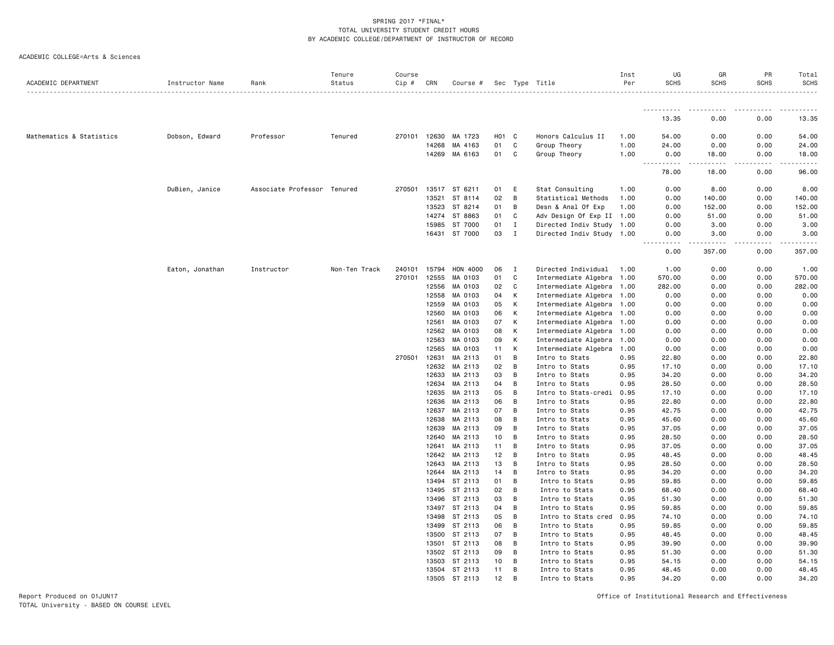|  | ACADEMIC COLLEGE=Arts & Sciences |  |  |
|--|----------------------------------|--|--|
|--|----------------------------------|--|--|

| ACADEMIC DEPARTMENT      | Instructor Name | Rank                        | Tenure<br>Status | Course<br>Cip # | CRN            | Course #           |          |              | Sec Type Title                   | Inst<br>Per  | UG<br><b>SCHS</b>     | GR<br><b>SCHS</b> | PR<br><b>SCHS</b> | Total<br><b>SCHS</b> |
|--------------------------|-----------------|-----------------------------|------------------|-----------------|----------------|--------------------|----------|--------------|----------------------------------|--------------|-----------------------|-------------------|-------------------|----------------------|
|                          |                 |                             |                  |                 |                |                    |          |              |                                  |              | .                     | .                 | .                 | .<br>.               |
|                          |                 |                             |                  |                 |                |                    |          |              |                                  |              | 13.35                 | 0.00              | 0.00              | 13.35                |
| Mathematics & Statistics | Dobson, Edward  | Professor                   | Tenured          | 270101          | 12630          | MA 1723            | HO1      | C            | Honors Calculus II               | 1.00         | 54.00                 | 0.00              | 0.00              | 54.00                |
|                          |                 |                             |                  |                 | 14268          | MA 4163            | 01       | $\mathbf C$  | Group Theory                     | 1.00         | 24.00                 | 0.00              | 0.00              | 24.00                |
|                          |                 |                             |                  |                 | 14269          | MA 6163            | 01       | C            | Group Theory                     | 1.00         | 0.00                  | 18.00             | 0.00              | 18.00                |
|                          |                 |                             |                  |                 |                |                    |          |              |                                  |              | $- - -$<br>.<br>78.00 | .<br>18.00        | .<br>0.00         | .<br>96.00           |
|                          | DuBien, Janice  | Associate Professor Tenured |                  | 270501          |                | 13517 ST 6211      | 01       | Ε            | Stat Consulting                  | 1.00         | 0.00                  | 8.00              | 0.00              | 8.00                 |
|                          |                 |                             |                  |                 | 13521          | ST 8114            | 02       | B            | Statistical Methods              | 1.00         | 0.00                  | 140.00            | 0.00              | 140.00               |
|                          |                 |                             |                  |                 | 13523          | ST 8214            | 01       | B            | Desn & Anal Of Exp               | 1.00         | 0.00                  | 152.00            | 0.00              | 152.00               |
|                          |                 |                             |                  |                 |                | 14274 ST 8863      | 01       | C            | Adv Design Of Exp II 1.00        |              | 0.00                  | 51.00             | 0.00              | 51.00                |
|                          |                 |                             |                  |                 | 15985          | ST 7000            | 01       | Ι.           | Directed Indiv Study 1.00        |              | 0.00                  | 3.00              | 0.00              | 3.00                 |
|                          |                 |                             |                  |                 | 16431          | ST 7000            | 03       | $\;$ I       | Directed Indiv Study 1.00        |              | 0.00                  | 3.00              | 0.00              | 3.00                 |
|                          |                 |                             |                  |                 |                |                    |          |              |                                  |              | 0.00                  | 357.00            | 0.00              | 357.00               |
|                          | Eaton, Jonathan | Instructor                  | Non-Ten Track    | 240101          | 15794          | HON 4000           | 06       | I            | Directed Individual              | 1.00         | 1.00                  | 0.00              | 0.00              | 1.00                 |
|                          |                 |                             |                  | 270101          | 12555          | MA 0103            | 01       | $\mathtt{C}$ | Intermediate Algebra 1.00        |              | 570.00                | 0.00              | 0.00              | 570.00               |
|                          |                 |                             |                  |                 | 12556          | MA 0103            | 02       | $\mathtt{C}$ | Intermediate Algebra 1.00        |              | 282.00                | 0.00              | 0.00              | 282.00               |
|                          |                 |                             |                  |                 | 12558          | MA 0103            | 04       | К            | Intermediate Algebra 1.00        |              | 0.00                  | 0.00              | 0.00              | 0.00                 |
|                          |                 |                             |                  |                 | 12559          | MA 0103            | 05       | К            | Intermediate Algebra 1.00        |              | 0.00                  | 0.00              | 0.00              | 0.00                 |
|                          |                 |                             |                  |                 | 12560          | MA 0103            | 06       | Κ            | Intermediate Algebra 1.00        |              | 0.00                  | 0.00              | 0.00              | 0.00                 |
|                          |                 |                             |                  |                 | 12561          | MA 0103            | 07       | К            | Intermediate Algebra 1.00        |              | 0.00                  | 0.00              | 0.00              | 0.00                 |
|                          |                 |                             |                  |                 | 12562          | MA 0103            | 08       | К            | Intermediate Algebra 1.00        |              | 0.00                  | 0.00              | 0.00              | 0.00                 |
|                          |                 |                             |                  |                 | 12563          | MA 0103            | 09       | К            | Intermediate Algebra 1.00        |              | 0.00                  | 0.00              | 0.00              | 0.00                 |
|                          |                 |                             |                  |                 | 12565          | MA 0103            | 11       | К            | Intermediate Algebra 1.00        |              | 0.00                  | 0.00              | 0.00              | 0.00                 |
|                          |                 |                             |                  | 270501          | 12631          | MA 2113            | 01       | B            | Intro to Stats                   | 0.95         | 22.80                 | 0.00              | 0.00              | 22.80                |
|                          |                 |                             |                  |                 | 12632          | MA 2113            | 02       | B            | Intro to Stats                   | 0.95         | 17.10                 | 0.00              | 0.00              | 17.10                |
|                          |                 |                             |                  |                 | 12633          | MA 2113            | 03       | B            | Intro to Stats                   | 0.95         | 34.20                 | 0.00              | 0.00              | 34.20                |
|                          |                 |                             |                  |                 | 12634          | MA 2113            | 04       | B            | Intro to Stats                   | 0.95         | 28.50                 | 0.00              | 0.00              | 28.50                |
|                          |                 |                             |                  |                 | 12635          | MA 2113            | 05       | B            | Intro to Stats-credi             | 0.95         | 17.10                 | 0.00              | 0.00              | 17.10                |
|                          |                 |                             |                  |                 | 12636          | MA 2113            | 06       | B            | Intro to Stats                   | 0.95         | 22.80                 | 0.00              | 0.00              | 22.80                |
|                          |                 |                             |                  |                 | 12637          | MA 2113            | 07       | В            | Intro to Stats                   | 0.95         | 42.75                 | 0.00              | 0.00              | 42.75                |
|                          |                 |                             |                  |                 | 12638          | MA 2113            | 08       | B            | Intro to Stats                   | 0.95         | 45.60                 | 0.00              | 0.00              | 45.60                |
|                          |                 |                             |                  |                 | 12639          | MA 2113            | 09       | В            | Intro to Stats                   | 0.95         | 37.05                 | 0.00              | 0.00              | 37.05                |
|                          |                 |                             |                  |                 | 12640          | MA 2113            | 10       | B<br>B       | Intro to Stats                   | 0.95         | 28.50                 | 0.00              | 0.00              | 28.50                |
|                          |                 |                             |                  |                 | 12641          | MA 2113            | 11       |              | Intro to Stats                   | 0.95         | 37.05                 | 0.00              | 0.00              | 37.05                |
|                          |                 |                             |                  |                 | 12642<br>12643 | MA 2113<br>MA 2113 | 12<br>13 | B<br>B       | Intro to Stats                   | 0.95<br>0.95 | 48.45<br>28.50        | 0.00<br>0.00      | 0.00<br>0.00      | 48.45                |
|                          |                 |                             |                  |                 | 12644          | MA 2113            | 14       | В            | Intro to Stats<br>Intro to Stats | 0.95         | 34.20                 | 0.00              | 0.00              | 28.50<br>34.20       |
|                          |                 |                             |                  |                 | 13494          | ST 2113            | 01       | B            | Intro to Stats                   | 0.95         | 59.85                 | 0.00              | 0.00              | 59.85                |
|                          |                 |                             |                  |                 |                | 13495 ST 2113      | 02       | B            | Intro to Stats                   | 0.95         | 68.40                 | 0.00              | 0.00              | 68.40                |
|                          |                 |                             |                  |                 | 13496          | ST 2113            | 03       | В            | Intro to Stats                   | 0.95         | 51.30                 | 0.00              | 0.00              | 51.30                |
|                          |                 |                             |                  |                 | 13497          | ST 2113            | 04       | B            | Intro to Stats                   | 0.95         | 59.85                 | 0.00              | 0.00              | 59.85                |
|                          |                 |                             |                  |                 | 13498          | ST 2113            | 05       | B            | Intro to Stats cred              | 0.95         | 74.10                 | 0.00              | 0.00              | 74.10                |
|                          |                 |                             |                  |                 | 13499          | ST 2113            | 06       | B            | Intro to Stats                   | 0.95         | 59.85                 | 0.00              | 0.00              | 59.85                |
|                          |                 |                             |                  |                 | 13500          | ST 2113            | 07       | В            | Intro to Stats                   | 0.95         | 48.45                 | 0.00              | 0.00              | 48.45                |
|                          |                 |                             |                  |                 | 13501          | ST 2113            | 08       | B            | Intro to Stats                   | 0.95         | 39.90                 | 0.00              | 0.00              | 39.90                |
|                          |                 |                             |                  |                 | 13502          | ST 2113            | 09       | B            | Intro to Stats                   | 0.95         | 51.30                 | 0.00              | 0.00              | 51.30                |
|                          |                 |                             |                  |                 | 13503          | ST 2113            | 10       | В            | Intro to Stats                   | 0.95         | 54.15                 | 0.00              | 0.00              | 54.15                |
|                          |                 |                             |                  |                 |                | 13504 ST 2113      | 11       | B            | Intro to Stats                   | 0.95         | 48.45                 | 0.00              | 0.00              | 48.45                |
|                          |                 |                             |                  |                 | 13505          | ST 2113            | 12       | <b>B</b>     | Intro to Stats                   | 0.95         | 34.20                 | 0.00              | 0.00              | 34.20                |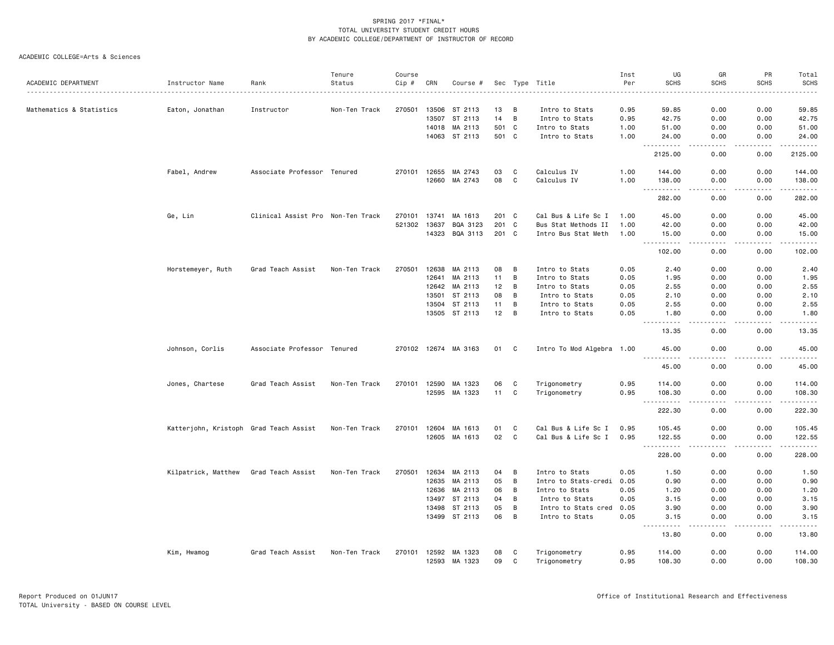| Per<br><b>SCHS</b><br><b>SCHS</b><br>ACADEMIC DEPARTMENT<br>Status<br>Cip #<br>CRN<br>Instructor Name<br>Rank<br>Sec Type Title<br>Course #<br>270501<br>13506<br>ST 2113<br>0.00<br>Mathematics & Statistics<br>Eaton, Jonathan<br>Non-Ten Track<br>13<br>B<br>0.95<br>59.85<br>Instructor<br>Intro to Stats<br>13507<br>ST 2113<br>14<br>B<br>0.00<br>Intro to Stats<br>0.95<br>42.75<br>14018<br>MA 2113<br>501 C<br>1.00<br>51.00<br>0.00<br>Intro to Stats<br>14063 ST 2113<br>501 C<br>1.00<br>0.00<br>Intro to Stats<br>24.00<br>.<br>د د د د<br>2125.00<br>0.00<br>C<br>Fabel, Andrew<br>Associate Professor Tenured<br>12655<br>MA 2743<br>03<br>Calculus IV<br>1.00<br>144.00<br>0.00<br>270101<br>08<br>C<br>12660<br>MA 2743<br>Calculus IV<br>1.00<br>138.00<br>0.00<br><u>.</u><br>$- - - -$<br>282.00<br>0.00<br>Ge, Lin<br>Clinical Assist Pro Non-Ten Track<br>MA 1613<br>201 C<br>Cal Bus & Life Sc I<br>270101<br>13741<br>1.00<br>45.00<br>0.00<br>521302<br>13637<br>BQA 3123<br>201<br>C<br>0.00<br>Bus Stat Methods II<br>1.00<br>42.00<br>14323<br>BQA 3113<br>201 C<br>Intro Bus Stat Meth<br>1.00<br>15.00<br>0.00<br>$ -$<br>.<br>102.00<br>0.00<br>Horstemeyer, Ruth<br>Grad Teach Assist<br>Non-Ten Track<br>270501<br>12638<br>MA 2113<br>08<br>B<br>Intro to Stats<br>0.05<br>0.00<br>2.40<br>11<br>B<br>12641<br>MA 2113<br>Intro to Stats<br>1.95<br>0.00<br>0.05<br>12642 MA 2113<br>12<br>B<br>Intro to Stats<br>0.05<br>0.00<br>2.55 | <b>SCHS</b><br><b>SCHS</b><br>0.00<br>59.85<br>0.00<br>42.75 |  |      |      |                |   |    |         |       |  |  |  |
|--------------------------------------------------------------------------------------------------------------------------------------------------------------------------------------------------------------------------------------------------------------------------------------------------------------------------------------------------------------------------------------------------------------------------------------------------------------------------------------------------------------------------------------------------------------------------------------------------------------------------------------------------------------------------------------------------------------------------------------------------------------------------------------------------------------------------------------------------------------------------------------------------------------------------------------------------------------------------------------------------------------------------------------------------------------------------------------------------------------------------------------------------------------------------------------------------------------------------------------------------------------------------------------------------------------------------------------------------------------------------------------------------------------------------------------------------------------------------|--------------------------------------------------------------|--|------|------|----------------|---|----|---------|-------|--|--|--|
|                                                                                                                                                                                                                                                                                                                                                                                                                                                                                                                                                                                                                                                                                                                                                                                                                                                                                                                                                                                                                                                                                                                                                                                                                                                                                                                                                                                                                                                                          |                                                              |  |      |      |                |   |    |         |       |  |  |  |
|                                                                                                                                                                                                                                                                                                                                                                                                                                                                                                                                                                                                                                                                                                                                                                                                                                                                                                                                                                                                                                                                                                                                                                                                                                                                                                                                                                                                                                                                          |                                                              |  |      |      |                |   |    |         |       |  |  |  |
|                                                                                                                                                                                                                                                                                                                                                                                                                                                                                                                                                                                                                                                                                                                                                                                                                                                                                                                                                                                                                                                                                                                                                                                                                                                                                                                                                                                                                                                                          |                                                              |  |      |      |                |   |    |         |       |  |  |  |
|                                                                                                                                                                                                                                                                                                                                                                                                                                                                                                                                                                                                                                                                                                                                                                                                                                                                                                                                                                                                                                                                                                                                                                                                                                                                                                                                                                                                                                                                          | 0.00<br>51.00                                                |  |      |      |                |   |    |         |       |  |  |  |
|                                                                                                                                                                                                                                                                                                                                                                                                                                                                                                                                                                                                                                                                                                                                                                                                                                                                                                                                                                                                                                                                                                                                                                                                                                                                                                                                                                                                                                                                          | 0.00<br>24.00<br>.<br>.                                      |  |      |      |                |   |    |         |       |  |  |  |
|                                                                                                                                                                                                                                                                                                                                                                                                                                                                                                                                                                                                                                                                                                                                                                                                                                                                                                                                                                                                                                                                                                                                                                                                                                                                                                                                                                                                                                                                          | 0.00<br>2125.00                                              |  |      |      |                |   |    |         |       |  |  |  |
|                                                                                                                                                                                                                                                                                                                                                                                                                                                                                                                                                                                                                                                                                                                                                                                                                                                                                                                                                                                                                                                                                                                                                                                                                                                                                                                                                                                                                                                                          | 0.00<br>144.00                                               |  |      |      |                |   |    |         |       |  |  |  |
|                                                                                                                                                                                                                                                                                                                                                                                                                                                                                                                                                                                                                                                                                                                                                                                                                                                                                                                                                                                                                                                                                                                                                                                                                                                                                                                                                                                                                                                                          | 0.00<br>138.00<br>$- - - - - - -$<br>.                       |  |      |      |                |   |    |         |       |  |  |  |
|                                                                                                                                                                                                                                                                                                                                                                                                                                                                                                                                                                                                                                                                                                                                                                                                                                                                                                                                                                                                                                                                                                                                                                                                                                                                                                                                                                                                                                                                          | 0.00<br>282.00                                               |  |      |      |                |   |    |         |       |  |  |  |
|                                                                                                                                                                                                                                                                                                                                                                                                                                                                                                                                                                                                                                                                                                                                                                                                                                                                                                                                                                                                                                                                                                                                                                                                                                                                                                                                                                                                                                                                          | 0.00<br>45.00                                                |  |      |      |                |   |    |         |       |  |  |  |
|                                                                                                                                                                                                                                                                                                                                                                                                                                                                                                                                                                                                                                                                                                                                                                                                                                                                                                                                                                                                                                                                                                                                                                                                                                                                                                                                                                                                                                                                          | 0.00<br>42.00                                                |  |      |      |                |   |    |         |       |  |  |  |
|                                                                                                                                                                                                                                                                                                                                                                                                                                                                                                                                                                                                                                                                                                                                                                                                                                                                                                                                                                                                                                                                                                                                                                                                                                                                                                                                                                                                                                                                          | 0.00<br>15.00<br>.<br>.                                      |  |      |      |                |   |    |         |       |  |  |  |
|                                                                                                                                                                                                                                                                                                                                                                                                                                                                                                                                                                                                                                                                                                                                                                                                                                                                                                                                                                                                                                                                                                                                                                                                                                                                                                                                                                                                                                                                          | 102.00<br>0.00                                               |  |      |      |                |   |    |         |       |  |  |  |
|                                                                                                                                                                                                                                                                                                                                                                                                                                                                                                                                                                                                                                                                                                                                                                                                                                                                                                                                                                                                                                                                                                                                                                                                                                                                                                                                                                                                                                                                          | 0.00<br>2.40                                                 |  |      |      |                |   |    |         |       |  |  |  |
|                                                                                                                                                                                                                                                                                                                                                                                                                                                                                                                                                                                                                                                                                                                                                                                                                                                                                                                                                                                                                                                                                                                                                                                                                                                                                                                                                                                                                                                                          | 0.00<br>1.95                                                 |  |      |      |                |   |    |         |       |  |  |  |
|                                                                                                                                                                                                                                                                                                                                                                                                                                                                                                                                                                                                                                                                                                                                                                                                                                                                                                                                                                                                                                                                                                                                                                                                                                                                                                                                                                                                                                                                          | 0.00<br>2.55                                                 |  |      |      |                |   |    |         |       |  |  |  |
| 0.00                                                                                                                                                                                                                                                                                                                                                                                                                                                                                                                                                                                                                                                                                                                                                                                                                                                                                                                                                                                                                                                                                                                                                                                                                                                                                                                                                                                                                                                                     | 0.00<br>2.10                                                 |  | 2.10 | 0.05 | Intro to Stats | B | 08 | ST 2113 | 13501 |  |  |  |
| B<br>13504<br>ST 2113<br>11<br>0.05<br>2.55<br>0.00<br>Intro to Stats                                                                                                                                                                                                                                                                                                                                                                                                                                                                                                                                                                                                                                                                                                                                                                                                                                                                                                                                                                                                                                                                                                                                                                                                                                                                                                                                                                                                    | 0.00<br>2.55                                                 |  |      |      |                |   |    |         |       |  |  |  |
| B<br>13505 ST 2113<br>12<br>Intro to Stats<br>0.05<br>0.00<br>1.80<br>$- - - - -$<br>$\frac{1}{2}$                                                                                                                                                                                                                                                                                                                                                                                                                                                                                                                                                                                                                                                                                                                                                                                                                                                                                                                                                                                                                                                                                                                                                                                                                                                                                                                                                                       | 0.00<br>1.80<br>$- - - - -$<br>.                             |  |      |      |                |   |    |         |       |  |  |  |
| 13.35<br>0.00                                                                                                                                                                                                                                                                                                                                                                                                                                                                                                                                                                                                                                                                                                                                                                                                                                                                                                                                                                                                                                                                                                                                                                                                                                                                                                                                                                                                                                                            | 0.00<br>13.35                                                |  |      |      |                |   |    |         |       |  |  |  |
| Johnson, Corlis<br>Associate Professor Tenured<br>270102 12674 MA 3163<br>01<br>C<br>Intro To Mod Algebra 1.00<br>45.00<br>0.00<br><u>.</u>                                                                                                                                                                                                                                                                                                                                                                                                                                                                                                                                                                                                                                                                                                                                                                                                                                                                                                                                                                                                                                                                                                                                                                                                                                                                                                                              | 0.00<br>45.00<br>.                                           |  |      |      |                |   |    |         |       |  |  |  |
| 45.00<br>0.00                                                                                                                                                                                                                                                                                                                                                                                                                                                                                                                                                                                                                                                                                                                                                                                                                                                                                                                                                                                                                                                                                                                                                                                                                                                                                                                                                                                                                                                            | 0.00<br>45.00                                                |  |      |      |                |   |    |         |       |  |  |  |
| 270101<br>12590<br>06<br>C<br>0.95<br>0.00<br>Jones, Chartese<br>Grad Teach Assist<br>Non-Ten Track<br>MA 1323<br>Trigonometry<br>114.00                                                                                                                                                                                                                                                                                                                                                                                                                                                                                                                                                                                                                                                                                                                                                                                                                                                                                                                                                                                                                                                                                                                                                                                                                                                                                                                                 | 0.00<br>114.00                                               |  |      |      |                |   |    |         |       |  |  |  |
| 12595 MA 1323<br>11<br>C<br>Trigonometry<br>0.95<br>108.30<br>0.00<br><u>.</u><br>.                                                                                                                                                                                                                                                                                                                                                                                                                                                                                                                                                                                                                                                                                                                                                                                                                                                                                                                                                                                                                                                                                                                                                                                                                                                                                                                                                                                      | 0.00<br>108.30<br>.<br>.                                     |  |      |      |                |   |    |         |       |  |  |  |
| 222.30<br>0.00                                                                                                                                                                                                                                                                                                                                                                                                                                                                                                                                                                                                                                                                                                                                                                                                                                                                                                                                                                                                                                                                                                                                                                                                                                                                                                                                                                                                                                                           | 222.30<br>0.00                                               |  |      |      |                |   |    |         |       |  |  |  |
| Cal Bus & Life Sc I<br>Katterjohn, Kristoph Grad Teach Assist<br>Non-Ten Track<br>270101<br>12604<br>MA 1613<br>01<br>C<br>0.95<br>105.45<br>0.00                                                                                                                                                                                                                                                                                                                                                                                                                                                                                                                                                                                                                                                                                                                                                                                                                                                                                                                                                                                                                                                                                                                                                                                                                                                                                                                        | 0.00<br>105.45                                               |  |      |      |                |   |    |         |       |  |  |  |
| 02<br>C<br>12605 MA 1613<br>Cal Bus & Life Sc I<br>0.95<br>122.55<br>0.00<br>.<br>$\sim$ $\sim$ $\sim$<br>$\sim$ $\sim$ $\sim$ $\sim$                                                                                                                                                                                                                                                                                                                                                                                                                                                                                                                                                                                                                                                                                                                                                                                                                                                                                                                                                                                                                                                                                                                                                                                                                                                                                                                                    | 0.00<br>122.55<br>.                                          |  |      |      |                |   |    |         |       |  |  |  |
| 228.00<br>0.00                                                                                                                                                                                                                                                                                                                                                                                                                                                                                                                                                                                                                                                                                                                                                                                                                                                                                                                                                                                                                                                                                                                                                                                                                                                                                                                                                                                                                                                           | 0.00<br>228.00                                               |  |      |      |                |   |    |         |       |  |  |  |
| B<br>Kilpatrick, Matthew<br>Grad Teach Assist<br>Non-Ten Track<br>270501<br>12634 MA 2113<br>04<br>Intro to Stats<br>0.05<br>1.50<br>0.00                                                                                                                                                                                                                                                                                                                                                                                                                                                                                                                                                                                                                                                                                                                                                                                                                                                                                                                                                                                                                                                                                                                                                                                                                                                                                                                                | 0.00<br>1.50                                                 |  |      |      |                |   |    |         |       |  |  |  |
| 12635<br>MA 2113<br>05<br>B<br>0.90<br>Intro to Stats-credi<br>0.05<br>0.00                                                                                                                                                                                                                                                                                                                                                                                                                                                                                                                                                                                                                                                                                                                                                                                                                                                                                                                                                                                                                                                                                                                                                                                                                                                                                                                                                                                              | 0.00<br>0.90                                                 |  |      |      |                |   |    |         |       |  |  |  |
| MA 2113<br>06<br>B<br>12636<br>Intro to Stats<br>0.05<br>1.20<br>0.00                                                                                                                                                                                                                                                                                                                                                                                                                                                                                                                                                                                                                                                                                                                                                                                                                                                                                                                                                                                                                                                                                                                                                                                                                                                                                                                                                                                                    | 0.00<br>1.20                                                 |  |      |      |                |   |    |         |       |  |  |  |
| 13497<br>ST 2113<br>04<br>B<br>Intro to Stats<br>0.05<br>0.00<br>3.15                                                                                                                                                                                                                                                                                                                                                                                                                                                                                                                                                                                                                                                                                                                                                                                                                                                                                                                                                                                                                                                                                                                                                                                                                                                                                                                                                                                                    | 0.00<br>3.15                                                 |  |      |      |                |   |    |         |       |  |  |  |
| 13498<br>ST 2113<br>05<br>B<br>0.05<br>3.90<br>0.00<br>Intro to Stats cred                                                                                                                                                                                                                                                                                                                                                                                                                                                                                                                                                                                                                                                                                                                                                                                                                                                                                                                                                                                                                                                                                                                                                                                                                                                                                                                                                                                               | 0.00<br>3.90                                                 |  |      |      |                |   |    |         |       |  |  |  |
| 06<br>B<br>13499 ST 2113<br>0.05<br>Intro to Stats<br>3.15<br>0.00<br>$\sim$ $\sim$ $\sim$<br>د د د د<br>.                                                                                                                                                                                                                                                                                                                                                                                                                                                                                                                                                                                                                                                                                                                                                                                                                                                                                                                                                                                                                                                                                                                                                                                                                                                                                                                                                               | 0.00<br>3.15<br>.<br>د د د د د                               |  |      |      |                |   |    |         |       |  |  |  |
| 13.80<br>0.00                                                                                                                                                                                                                                                                                                                                                                                                                                                                                                                                                                                                                                                                                                                                                                                                                                                                                                                                                                                                                                                                                                                                                                                                                                                                                                                                                                                                                                                            | 13.80<br>0.00                                                |  |      |      |                |   |    |         |       |  |  |  |
| Kim, Hwamog<br>Grad Teach Assist<br>Non-Ten Track<br>270101<br>12592 MA 1323<br>08<br>Trigonometry<br>0.95<br>114.00<br>0.00<br>C<br>12593 MA 1323<br>09<br>$\mathbf C$<br>Trigonometry<br>108.30<br>0.95<br>0.00                                                                                                                                                                                                                                                                                                                                                                                                                                                                                                                                                                                                                                                                                                                                                                                                                                                                                                                                                                                                                                                                                                                                                                                                                                                        |                                                              |  |      |      |                |   |    |         |       |  |  |  |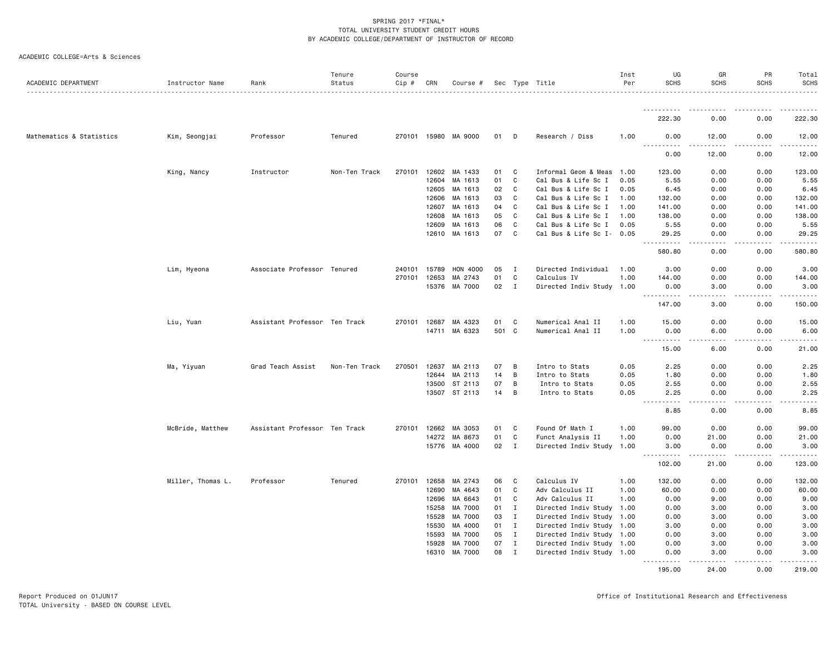|  | ACADEMIC COLLEGE=Arts & Sciences |  |  |
|--|----------------------------------|--|--|
|--|----------------------------------|--|--|

| ACADEMIC DEPARTMENT      | Instructor Name   | Rank                          | Tenure<br>Status | Course<br>Cip # | CRN   | Course #             |       |              | Sec Type Title            | Inst<br>Per | UG<br><b>SCHS</b>                    | GR<br><b>SCHS</b>   | PR<br><b>SCHS</b>                                                                                                                                            | Total<br><b>SCHS</b>                                                                                                                                                                      |
|--------------------------|-------------------|-------------------------------|------------------|-----------------|-------|----------------------|-------|--------------|---------------------------|-------------|--------------------------------------|---------------------|--------------------------------------------------------------------------------------------------------------------------------------------------------------|-------------------------------------------------------------------------------------------------------------------------------------------------------------------------------------------|
|                          |                   |                               |                  |                 |       |                      |       |              |                           |             | .                                    |                     |                                                                                                                                                              |                                                                                                                                                                                           |
|                          |                   |                               |                  |                 |       |                      |       |              |                           |             | 222.30                               | 0.00                | 0.00                                                                                                                                                         | 222.30                                                                                                                                                                                    |
| Mathematics & Statistics | Kim, Seongjai     | Professor                     | Tenured          |                 |       | 270101 15980 MA 9000 | 01    | D            | Research / Diss           | 1.00        | 0.00<br>.                            | 12.00               | 0.00                                                                                                                                                         | 12.00                                                                                                                                                                                     |
|                          |                   |                               |                  |                 |       |                      |       |              |                           |             | 0.00                                 | 12.00               | 0.00                                                                                                                                                         | 12.00                                                                                                                                                                                     |
|                          | King, Nancy       | Instructor                    | Non-Ten Track    | 270101          | 12602 | MA 1433              | 01    | C            | Informal Geom & Meas      | 1.00        | 123.00                               | 0.00                | 0.00                                                                                                                                                         | 123.00                                                                                                                                                                                    |
|                          |                   |                               |                  |                 | 12604 | MA 1613              | 01    | C            | Cal Bus & Life Sc I       | 0.05        | 5.55                                 | 0.00                | 0.00                                                                                                                                                         | 5.55                                                                                                                                                                                      |
|                          |                   |                               |                  |                 | 12605 | MA 1613              | 02    | C            | Cal Bus & Life Sc I       | 0.05        | 6.45                                 | 0.00                | 0.00                                                                                                                                                         | 6.45                                                                                                                                                                                      |
|                          |                   |                               |                  |                 | 12606 | MA 1613              | 03    | C            | Cal Bus & Life Sc I       | 1.00        | 132.00                               | 0.00                | 0.00                                                                                                                                                         | 132.00                                                                                                                                                                                    |
|                          |                   |                               |                  |                 | 12607 | MA 1613              | 04    | C            | Cal Bus & Life Sc I       | 1.00        | 141.00                               | 0.00                | 0.00                                                                                                                                                         | 141.00                                                                                                                                                                                    |
|                          |                   |                               |                  |                 | 12608 | MA 1613              | 05    | C            | Cal Bus & Life Sc I       | 1.00        | 138.00                               | 0.00                | 0.00                                                                                                                                                         | 138.00                                                                                                                                                                                    |
|                          |                   |                               |                  |                 | 12609 | MA 1613              | 06    | C            | Cal Bus & Life Sc I       | 0.05        | 5.55                                 | 0.00                | 0.00                                                                                                                                                         | 5.55                                                                                                                                                                                      |
|                          |                   |                               |                  |                 |       | 12610 MA 1613        | 07    | C            | Cal Bus & Life Sc I- 0.05 |             | 29.25<br>.                           | 0.00<br>.           | 0.00<br>$\frac{1}{2} \left( \frac{1}{2} \right) \left( \frac{1}{2} \right) \left( \frac{1}{2} \right) \left( \frac{1}{2} \right) \left( \frac{1}{2} \right)$ | 29.25<br>$\frac{1}{2} \left( \frac{1}{2} \right) \left( \frac{1}{2} \right) \left( \frac{1}{2} \right) \left( \frac{1}{2} \right) \left( \frac{1}{2} \right) \left( \frac{1}{2} \right)$  |
|                          |                   |                               |                  |                 |       |                      |       |              |                           |             | 580.80                               | 0.00                | 0.00                                                                                                                                                         | 580.80                                                                                                                                                                                    |
|                          | Lim, Hyeona       | Associate Professor Tenured   |                  | 240101          | 15789 | HON 4000             | 05    | $\mathbf I$  | Directed Individual       | 1.00        | 3.00                                 | 0.00                | 0.00                                                                                                                                                         | 3.00                                                                                                                                                                                      |
|                          |                   |                               |                  | 270101          | 12653 | MA 2743              | 01    | C            | Calculus IV               | 1.00        | 144.00                               | 0.00                | 0.00                                                                                                                                                         | 144.00                                                                                                                                                                                    |
|                          |                   |                               |                  |                 |       | 15376 MA 7000        | 02 I  |              | Directed Indiv Study 1.00 |             | 0.00                                 | 3.00                | 0.00                                                                                                                                                         | 3.00                                                                                                                                                                                      |
|                          |                   |                               |                  |                 |       |                      |       |              |                           |             | ----------<br>147.00                 | .<br>3.00           | $\frac{1}{2} \left( \frac{1}{2} \right) \left( \frac{1}{2} \right) \left( \frac{1}{2} \right) \left( \frac{1}{2} \right) \left( \frac{1}{2} \right)$<br>0.00 | $\frac{1}{2} \left( \frac{1}{2} \right) \left( \frac{1}{2} \right) \left( \frac{1}{2} \right) \left( \frac{1}{2} \right) \left( \frac{1}{2} \right) \left( \frac{1}{2} \right)$<br>150.00 |
|                          |                   |                               |                  |                 |       |                      |       |              |                           |             |                                      |                     |                                                                                                                                                              |                                                                                                                                                                                           |
|                          | Liu, Yuan         | Assistant Professor Ten Track |                  | 270101          | 12687 | MA 4323              | 01    | C            | Numerical Anal II         | 1.00        | 15.00                                | 0.00                | 0.00                                                                                                                                                         | 15.00                                                                                                                                                                                     |
|                          |                   |                               |                  |                 |       | 14711 MA 6323        | 501 C |              | Numerical Anal II         | 1.00        | 0.00<br>.<br>$\sim$ $\sim$ $\sim$    | 6.00                | 0.00                                                                                                                                                         | 6.00                                                                                                                                                                                      |
|                          |                   |                               |                  |                 |       |                      |       |              |                           |             | 15.00                                | 6.00                | 0.00                                                                                                                                                         | 21.00                                                                                                                                                                                     |
|                          | Ma, Yiyuan        | Grad Teach Assist             | Non-Ten Track    | 270501          | 12637 | MA 2113              | 07    | В            | Intro to Stats            | 0.05        | 2.25                                 | 0.00                | 0.00                                                                                                                                                         | 2.25                                                                                                                                                                                      |
|                          |                   |                               |                  |                 |       | 12644 MA 2113        | 14    | В            | Intro to Stats            | 0.05        | 1.80                                 | 0.00                | 0.00                                                                                                                                                         | 1.80                                                                                                                                                                                      |
|                          |                   |                               |                  |                 |       | 13500 ST 2113        | 07    | В            | Intro to Stats            | 0.05        | 2.55                                 | 0.00                | 0.00                                                                                                                                                         | 2.55                                                                                                                                                                                      |
|                          |                   |                               |                  |                 |       | 13507 ST 2113        | 14    | В            | Intro to Stats            | 0.05        | 2.25<br>$\frac{1}{2}$<br>$- - - - -$ | 0.00<br>.           | 0.00<br>.                                                                                                                                                    | 2.25<br>$- - - - -$                                                                                                                                                                       |
|                          |                   |                               |                  |                 |       |                      |       |              |                           |             | 8.85                                 | 0.00                | 0.00                                                                                                                                                         | 8.85                                                                                                                                                                                      |
|                          | McBride, Matthew  | Assistant Professor Ten Track |                  |                 |       | 270101 12662 MA 3053 | 01    | C            | Found Of Math I           | 1.00        | 99.00                                | 0.00                | 0.00                                                                                                                                                         | 99.00                                                                                                                                                                                     |
|                          |                   |                               |                  |                 | 14272 | MA 8673              | 01    | C            | Funct Analysis II         | 1.00        | 0.00                                 | 21.00               | 0.00                                                                                                                                                         | 21.00                                                                                                                                                                                     |
|                          |                   |                               |                  |                 |       | 15776 MA 4000        | 02    | $\mathbf{I}$ | Directed Indiv Study 1.00 |             | 3.00<br>.                            | 0.00<br>.           | 0.00<br>.                                                                                                                                                    | 3.00                                                                                                                                                                                      |
|                          |                   |                               |                  |                 |       |                      |       |              |                           |             | 102.00                               | 21.00               | 0.00                                                                                                                                                         | 123.00                                                                                                                                                                                    |
|                          | Miller, Thomas L. | Professor                     | Tenured          |                 |       | 270101 12658 MA 2743 | 06    | C            | Calculus IV               | 1.00        | 132.00                               | 0.00                | 0.00                                                                                                                                                         | 132.00                                                                                                                                                                                    |
|                          |                   |                               |                  |                 | 12690 | MA 4643              | 01    | C            | Adv Calculus II           | 1.00        | 60.00                                | 0.00                | 0.00                                                                                                                                                         | 60.00                                                                                                                                                                                     |
|                          |                   |                               |                  |                 | 12696 | MA 6643              | 01    | C            | Adv Calculus II           | 1.00        | 0.00                                 | 9.00                | 0.00                                                                                                                                                         | 9.00                                                                                                                                                                                      |
|                          |                   |                               |                  |                 | 15258 | MA 7000              | 01    | $\mathbf{I}$ | Directed Indiv Study 1.00 |             | 0.00                                 | 3.00                | 0.00                                                                                                                                                         | 3.00                                                                                                                                                                                      |
|                          |                   |                               |                  |                 | 15528 | MA 7000              | 03    | $\mathbf{I}$ | Directed Indiv Study 1.00 |             | 0.00                                 | 3.00                | 0.00                                                                                                                                                         | 3.00                                                                                                                                                                                      |
|                          |                   |                               |                  |                 | 15530 | MA 4000              | 01    | $\mathbf{I}$ | Directed Indiv Study 1.00 |             | 3.00                                 | 0.00                | 0.00                                                                                                                                                         | 3.00                                                                                                                                                                                      |
|                          |                   |                               |                  |                 | 15593 | MA 7000              | 05    | $\mathbf{I}$ | Directed Indiv Study 1.00 |             | 0.00                                 | 3.00                | 0.00                                                                                                                                                         | 3.00                                                                                                                                                                                      |
|                          |                   |                               |                  |                 | 15928 | MA 7000              | 07    | $\mathbf{I}$ | Directed Indiv Study 1.00 |             | 0.00                                 | 3.00                | 0.00                                                                                                                                                         | 3.00                                                                                                                                                                                      |
|                          |                   |                               |                  |                 | 16310 | MA 7000              | 08    | $\mathbf{I}$ | Directed Indiv Study 1.00 |             | 0.00<br><u>.</u>                     | 3.00<br>$- - - - -$ | 0.00                                                                                                                                                         | 3.00                                                                                                                                                                                      |
|                          |                   |                               |                  |                 |       |                      |       |              |                           |             | 195.00                               | 24.00               | 0.00                                                                                                                                                         | 219.00                                                                                                                                                                                    |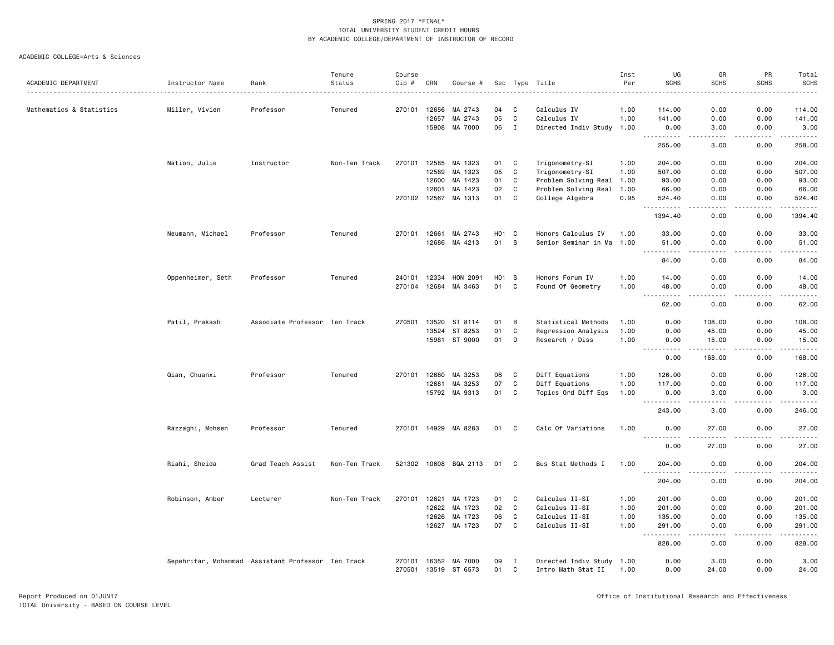|                          |                                                    |                               | Tenure        | Course       |       |                                |                 |                   |                           | Inst | UG                                                                                                                                                   | GR                          | PR                   | Total                   |
|--------------------------|----------------------------------------------------|-------------------------------|---------------|--------------|-------|--------------------------------|-----------------|-------------------|---------------------------|------|------------------------------------------------------------------------------------------------------------------------------------------------------|-----------------------------|----------------------|-------------------------|
| ACADEMIC DEPARTMENT      | Instructor Name                                    | Rank                          | Status        | Cip #        | CRN   | Course #                       |                 |                   | Sec Type Title            | Per  | <b>SCHS</b>                                                                                                                                          | <b>SCHS</b>                 | <b>SCHS</b><br>.     | <b>SCHS</b><br><u>.</u> |
|                          |                                                    |                               |               |              |       |                                |                 |                   |                           |      |                                                                                                                                                      |                             |                      |                         |
| Mathematics & Statistics | Miller, Vivien                                     | Professor                     | Tenured       | 270101       | 12656 | MA 2743                        | 04              | C                 | Calculus IV               | 1.00 | 114,00                                                                                                                                               | 0.00                        | 0.00                 | 114.00                  |
|                          |                                                    |                               |               |              | 12657 | MA 2743                        | 05              | C                 | Calculus IV               | 1.00 | 141.00                                                                                                                                               | 0.00                        | 0.00                 | 141.00                  |
|                          |                                                    |                               |               |              | 15908 | MA 7000                        | 06              | $\mathbf{I}$      | Directed Indiv Study 1.00 |      | 0.00                                                                                                                                                 | 3.00<br>والمحامر            | 0.00<br>.            | 3.00<br>------          |
|                          |                                                    |                               |               |              |       |                                |                 |                   |                           |      | 255.00                                                                                                                                               | 3.00                        | 0.00                 | 258.00                  |
|                          | Nation, Julie                                      | Instructor                    | Non-Ten Track | 270101       | 12585 | MA 1323                        | 01              | C                 | Trigonometry-SI           | 1.00 | 204.00                                                                                                                                               | 0.00                        | 0.00                 | 204.00                  |
|                          |                                                    |                               |               |              | 12589 | MA 1323                        | 05              | $\mathbf C$       | Trigonometry-SI           | 1.00 | 507.00                                                                                                                                               | 0.00                        | 0.00                 | 507.00                  |
|                          |                                                    |                               |               |              | 12600 | MA 1423                        | 01              | C                 | Problem Solving Real 1.00 |      | 93.00                                                                                                                                                | 0.00                        | 0.00                 | 93.00                   |
|                          |                                                    |                               |               |              | 12601 | MA 1423                        | 02              | $\mathbf c$       | Problem Solving Real      | 1.00 | 66.00                                                                                                                                                | 0.00                        | 0.00                 | 66.00                   |
|                          |                                                    |                               |               | 270102       | 12567 | MA 1313                        | 01              | $\mathbf c$       | College Algebra           | 0.95 | 524.40                                                                                                                                               | 0.00                        | 0.00                 | 524.40                  |
|                          |                                                    |                               |               |              |       |                                |                 |                   |                           |      | 1394.40                                                                                                                                              | 0.00                        | 0.00                 | <u>.</u><br>1394.40     |
|                          | Neumann, Michael                                   | Professor                     | Tenured       | 270101       | 12661 | MA 2743                        |                 | H <sub>01</sub> C | Honors Calculus IV        | 1.00 | 33.00                                                                                                                                                | 0.00                        | 0.00                 | 33.00                   |
|                          |                                                    |                               |               |              | 12686 | MA 4213                        | 01              | S                 | Senior Seminar in Ma 1.00 |      | 51.00                                                                                                                                                | 0.00                        | 0.00                 | 51.00                   |
|                          |                                                    |                               |               |              |       |                                |                 |                   |                           |      | $\frac{1}{2} \left( \frac{1}{2} \right) \left( \frac{1}{2} \right) \left( \frac{1}{2} \right) \left( \frac{1}{2} \right) \left( \frac{1}{2} \right)$ | $\sim$ $\sim$ $\sim$ $\sim$ | د د د د              | $    -$                 |
|                          |                                                    |                               |               |              |       |                                |                 |                   |                           |      | 84.00                                                                                                                                                | 0.00                        | 0.00                 | 84.00                   |
|                          | Oppenheimer, Seth                                  | Professor                     | Tenured       | 240101       | 12334 | HON 2091                       | HO <sub>1</sub> | -S                | Honors Forum IV           | 1.00 | 14.00                                                                                                                                                | 0.00                        | 0.00                 | 14.00                   |
|                          |                                                    |                               |               | 270104       | 12684 | MA 3463                        | 01              | C                 | Found Of Geometry         | 1.00 | 48.00                                                                                                                                                | 0.00                        | 0.00                 | 48.00                   |
|                          |                                                    |                               |               |              |       |                                |                 |                   |                           |      | $\sim$ $\sim$ $\sim$<br>.<br>62.00                                                                                                                   | $   -$<br>0.00              | .<br>0.00            | .<br>62.00              |
|                          | Patil, Prakash                                     | Associate Professor Ten Track |               | 270501       | 13520 | ST 8114                        | 01              | B                 | Statistical Methods       | 1.00 | 0.00                                                                                                                                                 | 108.00                      | 0.00                 | 108.00                  |
|                          |                                                    |                               |               |              | 13524 | ST 8253                        | 01              | C                 | Regression Analysis       | 1.00 | 0.00                                                                                                                                                 | 45.00                       | 0.00                 | 45.00                   |
|                          |                                                    |                               |               |              | 15981 | ST 9000                        | 01              | D                 | Research / Diss           | 1.00 | 0.00                                                                                                                                                 | 15.00                       | 0.00                 | 15.00                   |
|                          |                                                    |                               |               |              |       |                                |                 |                   |                           |      | . <b>.</b>                                                                                                                                           | .                           | .                    | .                       |
|                          |                                                    |                               |               |              |       |                                |                 |                   |                           |      | 0.00                                                                                                                                                 | 168.00                      | 0.00                 | 168.00                  |
|                          | Qian, Chuanxi                                      | Professor                     | Tenured       | 270101       | 12680 | MA 3253                        | 06              | C                 | Diff Equations            | 1.00 | 126.00                                                                                                                                               | 0.00                        | 0.00                 | 126.00                  |
|                          |                                                    |                               |               |              | 12681 | MA 3253                        | 07              | $\mathbf C$       | Diff Equations            | 1.00 | 117.00                                                                                                                                               | 0.00                        | 0.00                 | 117.00                  |
|                          |                                                    |                               |               |              | 15792 | MA 9313                        | 01              | C                 | Topics Ord Diff Eqs       | 1.00 | 0.00                                                                                                                                                 | 3.00                        | 0.00                 | 3.00                    |
|                          |                                                    |                               |               |              |       | $\sim$ $\sim$ $\sim$<br>243.00 | 3.00            | 0.00              | .<br>246.00               |      |                                                                                                                                                      |                             |                      |                         |
|                          | Razzaghi, Mohsen                                   | Professor                     | Tenured       | 270101 14929 |       | MA 8283                        | 01              | C                 | Calc Of Variations        | 1.00 | 0.00                                                                                                                                                 | 27.00                       | 0.00                 | 27,00<br>.              |
|                          |                                                    |                               |               |              |       |                                |                 |                   |                           |      | <u>.</u><br>0.00                                                                                                                                     | <u>.</u><br>27.00           | . <u>.</u> .<br>0.00 | 27.00                   |
|                          | Riahi, Sheida                                      | Grad Teach Assist             | Non-Ten Track |              |       | 521302 10608 BQA 2113          | 01 C            |                   | Bus Stat Methods I        | 1.00 | 204.00                                                                                                                                               | 0.00                        | 0.00                 | 204.00                  |
|                          |                                                    |                               |               |              |       |                                |                 |                   |                           |      | $\sim$ $\sim$ $\sim$<br>.<br>204.00                                                                                                                  | 0.00                        | .<br>0.00            | <u>.</u><br>204.00      |
|                          | Robinson, Amber                                    | Lecturer                      | Non-Ten Track | 270101       | 12621 | MA 1723                        | 01              | C                 | Calculus II-SI            | 1.00 | 201.00                                                                                                                                               | 0.00                        | 0.00                 | 201.00                  |
|                          |                                                    |                               |               |              | 12622 | MA 1723                        | 02              | $\mathbf c$       | Calculus II-SI            | 1.00 | 201.00                                                                                                                                               | 0.00                        | 0.00                 | 201.00                  |
|                          |                                                    |                               |               |              | 12626 | MA 1723                        | 06              | C                 | Calculus II-SI            | 1.00 | 135.00                                                                                                                                               | 0.00                        | 0.00                 | 135.00                  |
|                          |                                                    |                               |               |              | 12627 | MA 1723                        | 07              | C                 | Calculus II-SI            | 1.00 | 291.00                                                                                                                                               | 0.00                        | 0.00                 | 291.00                  |
|                          |                                                    |                               |               |              |       |                                |                 |                   |                           |      | د د د د<br>828.00                                                                                                                                    | د د د د<br>0.00             | د د د د<br>0.00      | د د د د د د<br>828.00   |
|                          | Sepehrifar, Mohammad Assistant Professor Ten Track |                               |               | 270101       | 16352 | MA 7000                        | 09              | I                 | Directed Indiv Study 1.00 |      | 0.00                                                                                                                                                 | 3.00                        | 0.00                 | 3.00                    |
|                          |                                                    |                               |               | 270501 13519 |       | ST 6573                        | 01              | C                 | Intro Math Stat II        | 1.00 | 0.00                                                                                                                                                 | 24.00                       | 0.00                 | 24.00                   |
|                          |                                                    |                               |               |              |       |                                |                 |                   |                           |      |                                                                                                                                                      |                             |                      |                         |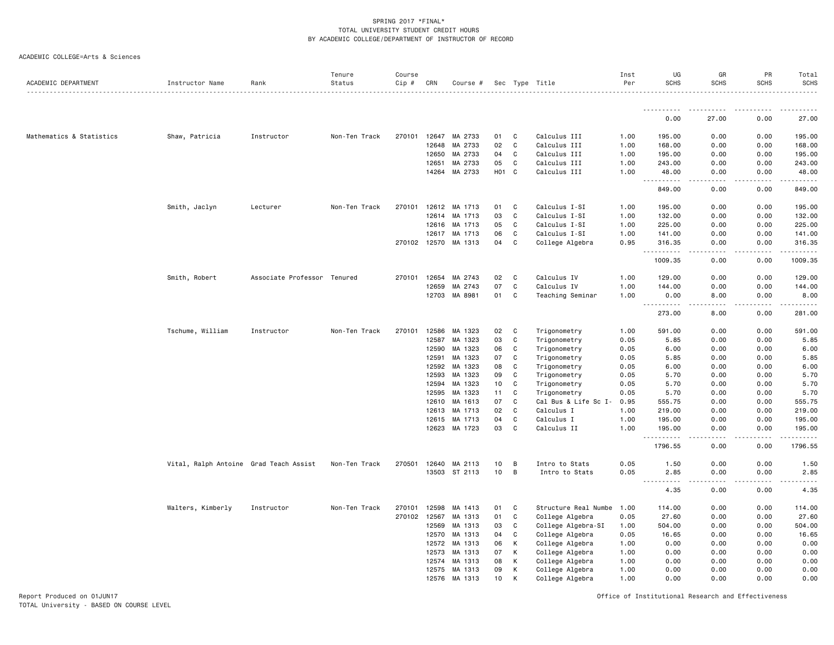|  | ACADEMIC COLLEGE=Arts & Sciences |  |  |
|--|----------------------------------|--|--|
|--|----------------------------------|--|--|

| <u>.</u><br>.<br>0.00<br>0.00<br>27.00<br>Mathematics & Statistics<br>Shaw, Patricia<br>Instructor<br>Non-Ten Track<br>270101<br>12647<br>MA 2733<br>01<br>C<br>Calculus III<br>195.00<br>0.00<br>0.00<br>195.00<br>1.00<br>12648<br>MA 2733<br>02<br>C<br>Calculus III<br>0.00<br>0.00<br>168.00<br>1.00<br>168.00<br>12650<br>MA 2733<br>Calculus III<br>04<br>C<br>1.00<br>195.00<br>0.00<br>0.00<br>195.00<br>12651<br>MA 2733<br>05<br>C<br>Calculus III<br>1.00<br>243.00<br>0.00<br>0.00<br>243.00<br>14264 MA 2733<br>H <sub>01</sub> C<br>Calculus III<br>48.00<br>1.00<br>48.00<br>0.00<br>0.00<br>$\frac{1}{2} \left( \frac{1}{2} \right) \left( \frac{1}{2} \right) \left( \frac{1}{2} \right) \left( \frac{1}{2} \right) \left( \frac{1}{2} \right)$<br>$  -$<br>849.00<br>0.00<br>0.00<br>Calculus I-SI<br>Smith, Jaclyn<br>Lecturer<br>Non-Ten Track<br>270101<br>12612<br>MA 1713<br>01<br>C<br>1.00<br>195.00<br>0.00<br>0.00<br>12614<br>MA 1713<br>03<br>C<br>Calculus I-SI<br>1.00<br>132.00<br>0.00<br>0.00<br>MA 1713<br>Calculus I-SI<br>0.00<br>12616<br>05<br>C<br>1.00<br>225.00<br>0.00<br>12617<br>MA 1713<br>06<br>C<br>Calculus I-SI<br>1.00<br>141.00<br>0.00<br>0.00<br>270102 12570<br>MA 1313<br>04<br>C<br>College Algebra<br>316.35<br>0.00<br>0.00<br>0.95<br>.<br>.<br>.<br>1009.35<br>0.00<br>0.00<br>Smith, Robert<br>Associate Professor Tenured<br>270101<br>12654<br>MA 2743<br>02<br>C<br>Calculus IV<br>1.00<br>129.00<br>0.00<br>0.00<br>07<br>12659<br>MA 2743<br>C<br>Calculus IV<br>1.00<br>144.00<br>0.00<br>0.00<br>12703<br>MA 8981<br>01<br>C<br>Teaching Seminar<br>8.00<br>0.00<br>1.00<br>0.00<br>$\sim$ $\sim$ $\sim$<br>.<br>273.00<br>8.00<br>0.00<br>Tschume, William<br>Instructor<br>Non-Ten Track<br>270101<br>12586<br>MA 1323<br>02<br>C<br>Trigonometry<br>1.00<br>591.00<br>0.00<br>0.00<br>03<br>C<br>12587<br>MA 1323<br>Trigonometry<br>0.05<br>5.85<br>0.00<br>0.00<br>12590<br>MA 1323<br>06<br>C<br>Trigonometry<br>0.05<br>6.00<br>0.00<br>0.00<br>12591<br>MA 1323<br>07<br>C<br>Trigonometry<br>0.05<br>5.85<br>0.00<br>0.00<br>MA 1323<br>12592<br>08<br>C<br>Trigonometry<br>0.05<br>6.00<br>0.00<br>0.00<br>12593<br>MA 1323<br>09<br>C<br>Trigonometry<br>0.05<br>5.70<br>0.00<br>0.00<br>12594<br>MA 1323<br>10<br>C<br>Trigonometry<br>0.05<br>5.70<br>0.00<br>0.00<br>12595<br>MA 1323<br>11<br>C<br>Trigonometry<br>0.05<br>5.70<br>0.00<br>0.00<br>MA 1613<br>07<br>C<br>Cal Bus & Life Sc I-<br>0.00<br>0.00<br>12610<br>0.95<br>555.75<br>MA 1713<br>02<br>C<br>Calculus I<br>0.00<br>12613<br>1.00<br>219.00<br>0.00<br>C<br>Calculus I<br>12615<br>MA 1713<br>04<br>1.00<br>195.00<br>0.00<br>0.00<br>12623 MA 1723<br>03<br>C<br>Calculus II<br>1.00<br>195.00<br>0.00<br>0.00<br>.<br>1796.55<br>0.00<br>0.00<br>0.00<br>Vital, Ralph Antoine Grad Teach Assist<br>Non-Ten Track<br>270501<br>12640<br>MA 2113<br>10<br>B<br>Intro to Stats<br>0.05<br>0.00<br>1.50<br>13503 ST 2113<br>10<br>B<br>Intro to Stats<br>0.05<br>2.85<br>0.00<br>0.00<br>$\sim$ $\sim$ $\sim$ $\sim$<br>.<br>.<br>.<br>-----<br>4.35<br>0.00<br>0.00<br>Walters, Kimberly<br>Instructor<br>Non-Ten Track<br>270101<br>12598<br>MA 1413<br>01<br>C<br>Structure Real Numbe<br>114.00<br>0.00<br>0.00<br>1.00<br>270102 12567<br>MA 1313<br>01<br>C<br>College Algebra<br>27.60<br>0.00<br>0.00<br>0.05<br>12569<br>MA 1313<br>03<br>College Algebra-SI<br>504.00<br>0.00<br>0.00<br>C<br>1.00<br>12570<br>MA 1313<br>04<br>C<br>College Algebra<br>0.05<br>0.00<br>0.00<br>16.65<br>MA 1313<br>К<br>College Algebra<br>12572<br>06<br>1.00<br>0.00<br>0.00<br>0.00<br>K<br>12573<br>MA 1313<br>07<br>College Algebra<br>0.00<br>0.00<br>0.00<br>1.00<br>12574<br>MA 1313<br>08<br>К<br>College Algebra<br>0.00<br>0.00<br>0.00<br>1.00<br>12575<br>MA 1313<br>09<br>К<br>College Algebra<br>1.00<br>0.00<br>0.00<br>0.00<br>12576<br>MA 1313<br>10<br>College Algebra<br>1.00<br>0.00<br>0.00<br>0.00<br>к | ACADEMIC DEPARTMENT | Instructor Name | Rank | Tenure<br>Status | Course<br>Cip # | CRN | Course # |  | Sec Type Title | Inst<br>Per | UG<br><b>SCHS</b> | GR<br><b>SCHS</b> | PR<br>SCHS | Total<br><b>SCHS</b> |
|----------------------------------------------------------------------------------------------------------------------------------------------------------------------------------------------------------------------------------------------------------------------------------------------------------------------------------------------------------------------------------------------------------------------------------------------------------------------------------------------------------------------------------------------------------------------------------------------------------------------------------------------------------------------------------------------------------------------------------------------------------------------------------------------------------------------------------------------------------------------------------------------------------------------------------------------------------------------------------------------------------------------------------------------------------------------------------------------------------------------------------------------------------------------------------------------------------------------------------------------------------------------------------------------------------------------------------------------------------------------------------------------------------------------------------------------------------------------------------------------------------------------------------------------------------------------------------------------------------------------------------------------------------------------------------------------------------------------------------------------------------------------------------------------------------------------------------------------------------------------------------------------------------------------------------------------------------------------------------------------------------------------------------------------------------------------------------------------------------------------------------------------------------------------------------------------------------------------------------------------------------------------------------------------------------------------------------------------------------------------------------------------------------------------------------------------------------------------------------------------------------------------------------------------------------------------------------------------------------------------------------------------------------------------------------------------------------------------------------------------------------------------------------------------------------------------------------------------------------------------------------------------------------------------------------------------------------------------------------------------------------------------------------------------------------------------------------------------------------------------------------------------------------------------------------------------------------------------------------------------------------------------------------------------------------------------------------------------------------------------------------------------------------------------------------------------------------------------------------------------------------------------------------------------------------------------------------------------------------------------------------------------------------------------------------------------------------------------------------------------------------------------------------------------------------------------------------------------------------------------------------------------------------------------------------------------------------------------------------|---------------------|-----------------|------|------------------|-----------------|-----|----------|--|----------------|-------------|-------------------|-------------------|------------|----------------------|
|                                                                                                                                                                                                                                                                                                                                                                                                                                                                                                                                                                                                                                                                                                                                                                                                                                                                                                                                                                                                                                                                                                                                                                                                                                                                                                                                                                                                                                                                                                                                                                                                                                                                                                                                                                                                                                                                                                                                                                                                                                                                                                                                                                                                                                                                                                                                                                                                                                                                                                                                                                                                                                                                                                                                                                                                                                                                                                                                                                                                                                                                                                                                                                                                                                                                                                                                                                                                                                                                                                                                                                                                                                                                                                                                                                                                                                                                                                                                                                                  |                     |                 |      |                  |                 |     |          |  |                |             |                   |                   |            |                      |
|                                                                                                                                                                                                                                                                                                                                                                                                                                                                                                                                                                                                                                                                                                                                                                                                                                                                                                                                                                                                                                                                                                                                                                                                                                                                                                                                                                                                                                                                                                                                                                                                                                                                                                                                                                                                                                                                                                                                                                                                                                                                                                                                                                                                                                                                                                                                                                                                                                                                                                                                                                                                                                                                                                                                                                                                                                                                                                                                                                                                                                                                                                                                                                                                                                                                                                                                                                                                                                                                                                                                                                                                                                                                                                                                                                                                                                                                                                                                                                                  |                     |                 |      |                  |                 |     |          |  |                |             |                   |                   |            | 27.00                |
|                                                                                                                                                                                                                                                                                                                                                                                                                                                                                                                                                                                                                                                                                                                                                                                                                                                                                                                                                                                                                                                                                                                                                                                                                                                                                                                                                                                                                                                                                                                                                                                                                                                                                                                                                                                                                                                                                                                                                                                                                                                                                                                                                                                                                                                                                                                                                                                                                                                                                                                                                                                                                                                                                                                                                                                                                                                                                                                                                                                                                                                                                                                                                                                                                                                                                                                                                                                                                                                                                                                                                                                                                                                                                                                                                                                                                                                                                                                                                                                  |                     |                 |      |                  |                 |     |          |  |                |             |                   |                   |            |                      |
|                                                                                                                                                                                                                                                                                                                                                                                                                                                                                                                                                                                                                                                                                                                                                                                                                                                                                                                                                                                                                                                                                                                                                                                                                                                                                                                                                                                                                                                                                                                                                                                                                                                                                                                                                                                                                                                                                                                                                                                                                                                                                                                                                                                                                                                                                                                                                                                                                                                                                                                                                                                                                                                                                                                                                                                                                                                                                                                                                                                                                                                                                                                                                                                                                                                                                                                                                                                                                                                                                                                                                                                                                                                                                                                                                                                                                                                                                                                                                                                  |                     |                 |      |                  |                 |     |          |  |                |             |                   |                   |            |                      |
|                                                                                                                                                                                                                                                                                                                                                                                                                                                                                                                                                                                                                                                                                                                                                                                                                                                                                                                                                                                                                                                                                                                                                                                                                                                                                                                                                                                                                                                                                                                                                                                                                                                                                                                                                                                                                                                                                                                                                                                                                                                                                                                                                                                                                                                                                                                                                                                                                                                                                                                                                                                                                                                                                                                                                                                                                                                                                                                                                                                                                                                                                                                                                                                                                                                                                                                                                                                                                                                                                                                                                                                                                                                                                                                                                                                                                                                                                                                                                                                  |                     |                 |      |                  |                 |     |          |  |                |             |                   |                   |            |                      |
|                                                                                                                                                                                                                                                                                                                                                                                                                                                                                                                                                                                                                                                                                                                                                                                                                                                                                                                                                                                                                                                                                                                                                                                                                                                                                                                                                                                                                                                                                                                                                                                                                                                                                                                                                                                                                                                                                                                                                                                                                                                                                                                                                                                                                                                                                                                                                                                                                                                                                                                                                                                                                                                                                                                                                                                                                                                                                                                                                                                                                                                                                                                                                                                                                                                                                                                                                                                                                                                                                                                                                                                                                                                                                                                                                                                                                                                                                                                                                                                  |                     |                 |      |                  |                 |     |          |  |                |             |                   |                   |            |                      |
|                                                                                                                                                                                                                                                                                                                                                                                                                                                                                                                                                                                                                                                                                                                                                                                                                                                                                                                                                                                                                                                                                                                                                                                                                                                                                                                                                                                                                                                                                                                                                                                                                                                                                                                                                                                                                                                                                                                                                                                                                                                                                                                                                                                                                                                                                                                                                                                                                                                                                                                                                                                                                                                                                                                                                                                                                                                                                                                                                                                                                                                                                                                                                                                                                                                                                                                                                                                                                                                                                                                                                                                                                                                                                                                                                                                                                                                                                                                                                                                  |                     |                 |      |                  |                 |     |          |  |                |             |                   |                   |            |                      |
|                                                                                                                                                                                                                                                                                                                                                                                                                                                                                                                                                                                                                                                                                                                                                                                                                                                                                                                                                                                                                                                                                                                                                                                                                                                                                                                                                                                                                                                                                                                                                                                                                                                                                                                                                                                                                                                                                                                                                                                                                                                                                                                                                                                                                                                                                                                                                                                                                                                                                                                                                                                                                                                                                                                                                                                                                                                                                                                                                                                                                                                                                                                                                                                                                                                                                                                                                                                                                                                                                                                                                                                                                                                                                                                                                                                                                                                                                                                                                                                  |                     |                 |      |                  |                 |     |          |  |                |             |                   |                   |            | .                    |
|                                                                                                                                                                                                                                                                                                                                                                                                                                                                                                                                                                                                                                                                                                                                                                                                                                                                                                                                                                                                                                                                                                                                                                                                                                                                                                                                                                                                                                                                                                                                                                                                                                                                                                                                                                                                                                                                                                                                                                                                                                                                                                                                                                                                                                                                                                                                                                                                                                                                                                                                                                                                                                                                                                                                                                                                                                                                                                                                                                                                                                                                                                                                                                                                                                                                                                                                                                                                                                                                                                                                                                                                                                                                                                                                                                                                                                                                                                                                                                                  |                     |                 |      |                  |                 |     |          |  |                |             |                   |                   |            | 849.00               |
|                                                                                                                                                                                                                                                                                                                                                                                                                                                                                                                                                                                                                                                                                                                                                                                                                                                                                                                                                                                                                                                                                                                                                                                                                                                                                                                                                                                                                                                                                                                                                                                                                                                                                                                                                                                                                                                                                                                                                                                                                                                                                                                                                                                                                                                                                                                                                                                                                                                                                                                                                                                                                                                                                                                                                                                                                                                                                                                                                                                                                                                                                                                                                                                                                                                                                                                                                                                                                                                                                                                                                                                                                                                                                                                                                                                                                                                                                                                                                                                  |                     |                 |      |                  |                 |     |          |  |                |             |                   |                   |            | 195.00               |
|                                                                                                                                                                                                                                                                                                                                                                                                                                                                                                                                                                                                                                                                                                                                                                                                                                                                                                                                                                                                                                                                                                                                                                                                                                                                                                                                                                                                                                                                                                                                                                                                                                                                                                                                                                                                                                                                                                                                                                                                                                                                                                                                                                                                                                                                                                                                                                                                                                                                                                                                                                                                                                                                                                                                                                                                                                                                                                                                                                                                                                                                                                                                                                                                                                                                                                                                                                                                                                                                                                                                                                                                                                                                                                                                                                                                                                                                                                                                                                                  |                     |                 |      |                  |                 |     |          |  |                |             |                   |                   |            | 132.00               |
|                                                                                                                                                                                                                                                                                                                                                                                                                                                                                                                                                                                                                                                                                                                                                                                                                                                                                                                                                                                                                                                                                                                                                                                                                                                                                                                                                                                                                                                                                                                                                                                                                                                                                                                                                                                                                                                                                                                                                                                                                                                                                                                                                                                                                                                                                                                                                                                                                                                                                                                                                                                                                                                                                                                                                                                                                                                                                                                                                                                                                                                                                                                                                                                                                                                                                                                                                                                                                                                                                                                                                                                                                                                                                                                                                                                                                                                                                                                                                                                  |                     |                 |      |                  |                 |     |          |  |                |             |                   |                   |            | 225.00               |
|                                                                                                                                                                                                                                                                                                                                                                                                                                                                                                                                                                                                                                                                                                                                                                                                                                                                                                                                                                                                                                                                                                                                                                                                                                                                                                                                                                                                                                                                                                                                                                                                                                                                                                                                                                                                                                                                                                                                                                                                                                                                                                                                                                                                                                                                                                                                                                                                                                                                                                                                                                                                                                                                                                                                                                                                                                                                                                                                                                                                                                                                                                                                                                                                                                                                                                                                                                                                                                                                                                                                                                                                                                                                                                                                                                                                                                                                                                                                                                                  |                     |                 |      |                  |                 |     |          |  |                |             |                   |                   |            | 141.00               |
|                                                                                                                                                                                                                                                                                                                                                                                                                                                                                                                                                                                                                                                                                                                                                                                                                                                                                                                                                                                                                                                                                                                                                                                                                                                                                                                                                                                                                                                                                                                                                                                                                                                                                                                                                                                                                                                                                                                                                                                                                                                                                                                                                                                                                                                                                                                                                                                                                                                                                                                                                                                                                                                                                                                                                                                                                                                                                                                                                                                                                                                                                                                                                                                                                                                                                                                                                                                                                                                                                                                                                                                                                                                                                                                                                                                                                                                                                                                                                                                  |                     |                 |      |                  |                 |     |          |  |                |             |                   |                   |            | 316.35<br>.          |
|                                                                                                                                                                                                                                                                                                                                                                                                                                                                                                                                                                                                                                                                                                                                                                                                                                                                                                                                                                                                                                                                                                                                                                                                                                                                                                                                                                                                                                                                                                                                                                                                                                                                                                                                                                                                                                                                                                                                                                                                                                                                                                                                                                                                                                                                                                                                                                                                                                                                                                                                                                                                                                                                                                                                                                                                                                                                                                                                                                                                                                                                                                                                                                                                                                                                                                                                                                                                                                                                                                                                                                                                                                                                                                                                                                                                                                                                                                                                                                                  |                     |                 |      |                  |                 |     |          |  |                |             |                   |                   |            | 1009.35              |
|                                                                                                                                                                                                                                                                                                                                                                                                                                                                                                                                                                                                                                                                                                                                                                                                                                                                                                                                                                                                                                                                                                                                                                                                                                                                                                                                                                                                                                                                                                                                                                                                                                                                                                                                                                                                                                                                                                                                                                                                                                                                                                                                                                                                                                                                                                                                                                                                                                                                                                                                                                                                                                                                                                                                                                                                                                                                                                                                                                                                                                                                                                                                                                                                                                                                                                                                                                                                                                                                                                                                                                                                                                                                                                                                                                                                                                                                                                                                                                                  |                     |                 |      |                  |                 |     |          |  |                |             |                   |                   |            | 129.00               |
|                                                                                                                                                                                                                                                                                                                                                                                                                                                                                                                                                                                                                                                                                                                                                                                                                                                                                                                                                                                                                                                                                                                                                                                                                                                                                                                                                                                                                                                                                                                                                                                                                                                                                                                                                                                                                                                                                                                                                                                                                                                                                                                                                                                                                                                                                                                                                                                                                                                                                                                                                                                                                                                                                                                                                                                                                                                                                                                                                                                                                                                                                                                                                                                                                                                                                                                                                                                                                                                                                                                                                                                                                                                                                                                                                                                                                                                                                                                                                                                  |                     |                 |      |                  |                 |     |          |  |                |             |                   |                   |            | 144.00               |
|                                                                                                                                                                                                                                                                                                                                                                                                                                                                                                                                                                                                                                                                                                                                                                                                                                                                                                                                                                                                                                                                                                                                                                                                                                                                                                                                                                                                                                                                                                                                                                                                                                                                                                                                                                                                                                                                                                                                                                                                                                                                                                                                                                                                                                                                                                                                                                                                                                                                                                                                                                                                                                                                                                                                                                                                                                                                                                                                                                                                                                                                                                                                                                                                                                                                                                                                                                                                                                                                                                                                                                                                                                                                                                                                                                                                                                                                                                                                                                                  |                     |                 |      |                  |                 |     |          |  |                |             |                   |                   |            | 8.00                 |
|                                                                                                                                                                                                                                                                                                                                                                                                                                                                                                                                                                                                                                                                                                                                                                                                                                                                                                                                                                                                                                                                                                                                                                                                                                                                                                                                                                                                                                                                                                                                                                                                                                                                                                                                                                                                                                                                                                                                                                                                                                                                                                                                                                                                                                                                                                                                                                                                                                                                                                                                                                                                                                                                                                                                                                                                                                                                                                                                                                                                                                                                                                                                                                                                                                                                                                                                                                                                                                                                                                                                                                                                                                                                                                                                                                                                                                                                                                                                                                                  |                     |                 |      |                  |                 |     |          |  |                |             |                   |                   |            | 281.00               |
|                                                                                                                                                                                                                                                                                                                                                                                                                                                                                                                                                                                                                                                                                                                                                                                                                                                                                                                                                                                                                                                                                                                                                                                                                                                                                                                                                                                                                                                                                                                                                                                                                                                                                                                                                                                                                                                                                                                                                                                                                                                                                                                                                                                                                                                                                                                                                                                                                                                                                                                                                                                                                                                                                                                                                                                                                                                                                                                                                                                                                                                                                                                                                                                                                                                                                                                                                                                                                                                                                                                                                                                                                                                                                                                                                                                                                                                                                                                                                                                  |                     |                 |      |                  |                 |     |          |  |                |             |                   |                   |            | 591.00               |
|                                                                                                                                                                                                                                                                                                                                                                                                                                                                                                                                                                                                                                                                                                                                                                                                                                                                                                                                                                                                                                                                                                                                                                                                                                                                                                                                                                                                                                                                                                                                                                                                                                                                                                                                                                                                                                                                                                                                                                                                                                                                                                                                                                                                                                                                                                                                                                                                                                                                                                                                                                                                                                                                                                                                                                                                                                                                                                                                                                                                                                                                                                                                                                                                                                                                                                                                                                                                                                                                                                                                                                                                                                                                                                                                                                                                                                                                                                                                                                                  |                     |                 |      |                  |                 |     |          |  |                |             |                   |                   |            | 5.85                 |
|                                                                                                                                                                                                                                                                                                                                                                                                                                                                                                                                                                                                                                                                                                                                                                                                                                                                                                                                                                                                                                                                                                                                                                                                                                                                                                                                                                                                                                                                                                                                                                                                                                                                                                                                                                                                                                                                                                                                                                                                                                                                                                                                                                                                                                                                                                                                                                                                                                                                                                                                                                                                                                                                                                                                                                                                                                                                                                                                                                                                                                                                                                                                                                                                                                                                                                                                                                                                                                                                                                                                                                                                                                                                                                                                                                                                                                                                                                                                                                                  |                     |                 |      |                  |                 |     |          |  |                |             |                   |                   |            | 6.00                 |
|                                                                                                                                                                                                                                                                                                                                                                                                                                                                                                                                                                                                                                                                                                                                                                                                                                                                                                                                                                                                                                                                                                                                                                                                                                                                                                                                                                                                                                                                                                                                                                                                                                                                                                                                                                                                                                                                                                                                                                                                                                                                                                                                                                                                                                                                                                                                                                                                                                                                                                                                                                                                                                                                                                                                                                                                                                                                                                                                                                                                                                                                                                                                                                                                                                                                                                                                                                                                                                                                                                                                                                                                                                                                                                                                                                                                                                                                                                                                                                                  |                     |                 |      |                  |                 |     |          |  |                |             |                   |                   |            | 5.85                 |
|                                                                                                                                                                                                                                                                                                                                                                                                                                                                                                                                                                                                                                                                                                                                                                                                                                                                                                                                                                                                                                                                                                                                                                                                                                                                                                                                                                                                                                                                                                                                                                                                                                                                                                                                                                                                                                                                                                                                                                                                                                                                                                                                                                                                                                                                                                                                                                                                                                                                                                                                                                                                                                                                                                                                                                                                                                                                                                                                                                                                                                                                                                                                                                                                                                                                                                                                                                                                                                                                                                                                                                                                                                                                                                                                                                                                                                                                                                                                                                                  |                     |                 |      |                  |                 |     |          |  |                |             |                   |                   |            | 6.00                 |
|                                                                                                                                                                                                                                                                                                                                                                                                                                                                                                                                                                                                                                                                                                                                                                                                                                                                                                                                                                                                                                                                                                                                                                                                                                                                                                                                                                                                                                                                                                                                                                                                                                                                                                                                                                                                                                                                                                                                                                                                                                                                                                                                                                                                                                                                                                                                                                                                                                                                                                                                                                                                                                                                                                                                                                                                                                                                                                                                                                                                                                                                                                                                                                                                                                                                                                                                                                                                                                                                                                                                                                                                                                                                                                                                                                                                                                                                                                                                                                                  |                     |                 |      |                  |                 |     |          |  |                |             |                   |                   |            | 5.70                 |
|                                                                                                                                                                                                                                                                                                                                                                                                                                                                                                                                                                                                                                                                                                                                                                                                                                                                                                                                                                                                                                                                                                                                                                                                                                                                                                                                                                                                                                                                                                                                                                                                                                                                                                                                                                                                                                                                                                                                                                                                                                                                                                                                                                                                                                                                                                                                                                                                                                                                                                                                                                                                                                                                                                                                                                                                                                                                                                                                                                                                                                                                                                                                                                                                                                                                                                                                                                                                                                                                                                                                                                                                                                                                                                                                                                                                                                                                                                                                                                                  |                     |                 |      |                  |                 |     |          |  |                |             |                   |                   |            | 5.70                 |
|                                                                                                                                                                                                                                                                                                                                                                                                                                                                                                                                                                                                                                                                                                                                                                                                                                                                                                                                                                                                                                                                                                                                                                                                                                                                                                                                                                                                                                                                                                                                                                                                                                                                                                                                                                                                                                                                                                                                                                                                                                                                                                                                                                                                                                                                                                                                                                                                                                                                                                                                                                                                                                                                                                                                                                                                                                                                                                                                                                                                                                                                                                                                                                                                                                                                                                                                                                                                                                                                                                                                                                                                                                                                                                                                                                                                                                                                                                                                                                                  |                     |                 |      |                  |                 |     |          |  |                |             |                   |                   |            | 5.70                 |
|                                                                                                                                                                                                                                                                                                                                                                                                                                                                                                                                                                                                                                                                                                                                                                                                                                                                                                                                                                                                                                                                                                                                                                                                                                                                                                                                                                                                                                                                                                                                                                                                                                                                                                                                                                                                                                                                                                                                                                                                                                                                                                                                                                                                                                                                                                                                                                                                                                                                                                                                                                                                                                                                                                                                                                                                                                                                                                                                                                                                                                                                                                                                                                                                                                                                                                                                                                                                                                                                                                                                                                                                                                                                                                                                                                                                                                                                                                                                                                                  |                     |                 |      |                  |                 |     |          |  |                |             |                   |                   |            | 555.75               |
|                                                                                                                                                                                                                                                                                                                                                                                                                                                                                                                                                                                                                                                                                                                                                                                                                                                                                                                                                                                                                                                                                                                                                                                                                                                                                                                                                                                                                                                                                                                                                                                                                                                                                                                                                                                                                                                                                                                                                                                                                                                                                                                                                                                                                                                                                                                                                                                                                                                                                                                                                                                                                                                                                                                                                                                                                                                                                                                                                                                                                                                                                                                                                                                                                                                                                                                                                                                                                                                                                                                                                                                                                                                                                                                                                                                                                                                                                                                                                                                  |                     |                 |      |                  |                 |     |          |  |                |             |                   |                   |            | 219.00               |
|                                                                                                                                                                                                                                                                                                                                                                                                                                                                                                                                                                                                                                                                                                                                                                                                                                                                                                                                                                                                                                                                                                                                                                                                                                                                                                                                                                                                                                                                                                                                                                                                                                                                                                                                                                                                                                                                                                                                                                                                                                                                                                                                                                                                                                                                                                                                                                                                                                                                                                                                                                                                                                                                                                                                                                                                                                                                                                                                                                                                                                                                                                                                                                                                                                                                                                                                                                                                                                                                                                                                                                                                                                                                                                                                                                                                                                                                                                                                                                                  |                     |                 |      |                  |                 |     |          |  |                |             |                   |                   |            | 195.00               |
|                                                                                                                                                                                                                                                                                                                                                                                                                                                                                                                                                                                                                                                                                                                                                                                                                                                                                                                                                                                                                                                                                                                                                                                                                                                                                                                                                                                                                                                                                                                                                                                                                                                                                                                                                                                                                                                                                                                                                                                                                                                                                                                                                                                                                                                                                                                                                                                                                                                                                                                                                                                                                                                                                                                                                                                                                                                                                                                                                                                                                                                                                                                                                                                                                                                                                                                                                                                                                                                                                                                                                                                                                                                                                                                                                                                                                                                                                                                                                                                  |                     |                 |      |                  |                 |     |          |  |                |             |                   |                   |            | 195.00               |
|                                                                                                                                                                                                                                                                                                                                                                                                                                                                                                                                                                                                                                                                                                                                                                                                                                                                                                                                                                                                                                                                                                                                                                                                                                                                                                                                                                                                                                                                                                                                                                                                                                                                                                                                                                                                                                                                                                                                                                                                                                                                                                                                                                                                                                                                                                                                                                                                                                                                                                                                                                                                                                                                                                                                                                                                                                                                                                                                                                                                                                                                                                                                                                                                                                                                                                                                                                                                                                                                                                                                                                                                                                                                                                                                                                                                                                                                                                                                                                                  |                     |                 |      |                  |                 |     |          |  |                |             |                   |                   |            | 1796.55              |
|                                                                                                                                                                                                                                                                                                                                                                                                                                                                                                                                                                                                                                                                                                                                                                                                                                                                                                                                                                                                                                                                                                                                                                                                                                                                                                                                                                                                                                                                                                                                                                                                                                                                                                                                                                                                                                                                                                                                                                                                                                                                                                                                                                                                                                                                                                                                                                                                                                                                                                                                                                                                                                                                                                                                                                                                                                                                                                                                                                                                                                                                                                                                                                                                                                                                                                                                                                                                                                                                                                                                                                                                                                                                                                                                                                                                                                                                                                                                                                                  |                     |                 |      |                  |                 |     |          |  |                |             |                   |                   |            | 1.50                 |
|                                                                                                                                                                                                                                                                                                                                                                                                                                                                                                                                                                                                                                                                                                                                                                                                                                                                                                                                                                                                                                                                                                                                                                                                                                                                                                                                                                                                                                                                                                                                                                                                                                                                                                                                                                                                                                                                                                                                                                                                                                                                                                                                                                                                                                                                                                                                                                                                                                                                                                                                                                                                                                                                                                                                                                                                                                                                                                                                                                                                                                                                                                                                                                                                                                                                                                                                                                                                                                                                                                                                                                                                                                                                                                                                                                                                                                                                                                                                                                                  |                     |                 |      |                  |                 |     |          |  |                |             |                   |                   |            | 2.85                 |
|                                                                                                                                                                                                                                                                                                                                                                                                                                                                                                                                                                                                                                                                                                                                                                                                                                                                                                                                                                                                                                                                                                                                                                                                                                                                                                                                                                                                                                                                                                                                                                                                                                                                                                                                                                                                                                                                                                                                                                                                                                                                                                                                                                                                                                                                                                                                                                                                                                                                                                                                                                                                                                                                                                                                                                                                                                                                                                                                                                                                                                                                                                                                                                                                                                                                                                                                                                                                                                                                                                                                                                                                                                                                                                                                                                                                                                                                                                                                                                                  |                     |                 |      |                  |                 |     |          |  |                |             |                   |                   |            | 4.35                 |
|                                                                                                                                                                                                                                                                                                                                                                                                                                                                                                                                                                                                                                                                                                                                                                                                                                                                                                                                                                                                                                                                                                                                                                                                                                                                                                                                                                                                                                                                                                                                                                                                                                                                                                                                                                                                                                                                                                                                                                                                                                                                                                                                                                                                                                                                                                                                                                                                                                                                                                                                                                                                                                                                                                                                                                                                                                                                                                                                                                                                                                                                                                                                                                                                                                                                                                                                                                                                                                                                                                                                                                                                                                                                                                                                                                                                                                                                                                                                                                                  |                     |                 |      |                  |                 |     |          |  |                |             |                   |                   |            | 114.00               |
|                                                                                                                                                                                                                                                                                                                                                                                                                                                                                                                                                                                                                                                                                                                                                                                                                                                                                                                                                                                                                                                                                                                                                                                                                                                                                                                                                                                                                                                                                                                                                                                                                                                                                                                                                                                                                                                                                                                                                                                                                                                                                                                                                                                                                                                                                                                                                                                                                                                                                                                                                                                                                                                                                                                                                                                                                                                                                                                                                                                                                                                                                                                                                                                                                                                                                                                                                                                                                                                                                                                                                                                                                                                                                                                                                                                                                                                                                                                                                                                  |                     |                 |      |                  |                 |     |          |  |                |             |                   |                   |            | 27.60                |
|                                                                                                                                                                                                                                                                                                                                                                                                                                                                                                                                                                                                                                                                                                                                                                                                                                                                                                                                                                                                                                                                                                                                                                                                                                                                                                                                                                                                                                                                                                                                                                                                                                                                                                                                                                                                                                                                                                                                                                                                                                                                                                                                                                                                                                                                                                                                                                                                                                                                                                                                                                                                                                                                                                                                                                                                                                                                                                                                                                                                                                                                                                                                                                                                                                                                                                                                                                                                                                                                                                                                                                                                                                                                                                                                                                                                                                                                                                                                                                                  |                     |                 |      |                  |                 |     |          |  |                |             |                   |                   |            | 504.00               |
|                                                                                                                                                                                                                                                                                                                                                                                                                                                                                                                                                                                                                                                                                                                                                                                                                                                                                                                                                                                                                                                                                                                                                                                                                                                                                                                                                                                                                                                                                                                                                                                                                                                                                                                                                                                                                                                                                                                                                                                                                                                                                                                                                                                                                                                                                                                                                                                                                                                                                                                                                                                                                                                                                                                                                                                                                                                                                                                                                                                                                                                                                                                                                                                                                                                                                                                                                                                                                                                                                                                                                                                                                                                                                                                                                                                                                                                                                                                                                                                  |                     |                 |      |                  |                 |     |          |  |                |             |                   |                   |            | 16.65                |
|                                                                                                                                                                                                                                                                                                                                                                                                                                                                                                                                                                                                                                                                                                                                                                                                                                                                                                                                                                                                                                                                                                                                                                                                                                                                                                                                                                                                                                                                                                                                                                                                                                                                                                                                                                                                                                                                                                                                                                                                                                                                                                                                                                                                                                                                                                                                                                                                                                                                                                                                                                                                                                                                                                                                                                                                                                                                                                                                                                                                                                                                                                                                                                                                                                                                                                                                                                                                                                                                                                                                                                                                                                                                                                                                                                                                                                                                                                                                                                                  |                     |                 |      |                  |                 |     |          |  |                |             |                   |                   |            | 0.00                 |
|                                                                                                                                                                                                                                                                                                                                                                                                                                                                                                                                                                                                                                                                                                                                                                                                                                                                                                                                                                                                                                                                                                                                                                                                                                                                                                                                                                                                                                                                                                                                                                                                                                                                                                                                                                                                                                                                                                                                                                                                                                                                                                                                                                                                                                                                                                                                                                                                                                                                                                                                                                                                                                                                                                                                                                                                                                                                                                                                                                                                                                                                                                                                                                                                                                                                                                                                                                                                                                                                                                                                                                                                                                                                                                                                                                                                                                                                                                                                                                                  |                     |                 |      |                  |                 |     |          |  |                |             |                   |                   |            | 0.00                 |
|                                                                                                                                                                                                                                                                                                                                                                                                                                                                                                                                                                                                                                                                                                                                                                                                                                                                                                                                                                                                                                                                                                                                                                                                                                                                                                                                                                                                                                                                                                                                                                                                                                                                                                                                                                                                                                                                                                                                                                                                                                                                                                                                                                                                                                                                                                                                                                                                                                                                                                                                                                                                                                                                                                                                                                                                                                                                                                                                                                                                                                                                                                                                                                                                                                                                                                                                                                                                                                                                                                                                                                                                                                                                                                                                                                                                                                                                                                                                                                                  |                     |                 |      |                  |                 |     |          |  |                |             |                   |                   |            | 0.00                 |
|                                                                                                                                                                                                                                                                                                                                                                                                                                                                                                                                                                                                                                                                                                                                                                                                                                                                                                                                                                                                                                                                                                                                                                                                                                                                                                                                                                                                                                                                                                                                                                                                                                                                                                                                                                                                                                                                                                                                                                                                                                                                                                                                                                                                                                                                                                                                                                                                                                                                                                                                                                                                                                                                                                                                                                                                                                                                                                                                                                                                                                                                                                                                                                                                                                                                                                                                                                                                                                                                                                                                                                                                                                                                                                                                                                                                                                                                                                                                                                                  |                     |                 |      |                  |                 |     |          |  |                |             |                   |                   |            | 0.00                 |
|                                                                                                                                                                                                                                                                                                                                                                                                                                                                                                                                                                                                                                                                                                                                                                                                                                                                                                                                                                                                                                                                                                                                                                                                                                                                                                                                                                                                                                                                                                                                                                                                                                                                                                                                                                                                                                                                                                                                                                                                                                                                                                                                                                                                                                                                                                                                                                                                                                                                                                                                                                                                                                                                                                                                                                                                                                                                                                                                                                                                                                                                                                                                                                                                                                                                                                                                                                                                                                                                                                                                                                                                                                                                                                                                                                                                                                                                                                                                                                                  |                     |                 |      |                  |                 |     |          |  |                |             |                   |                   |            | 0.00                 |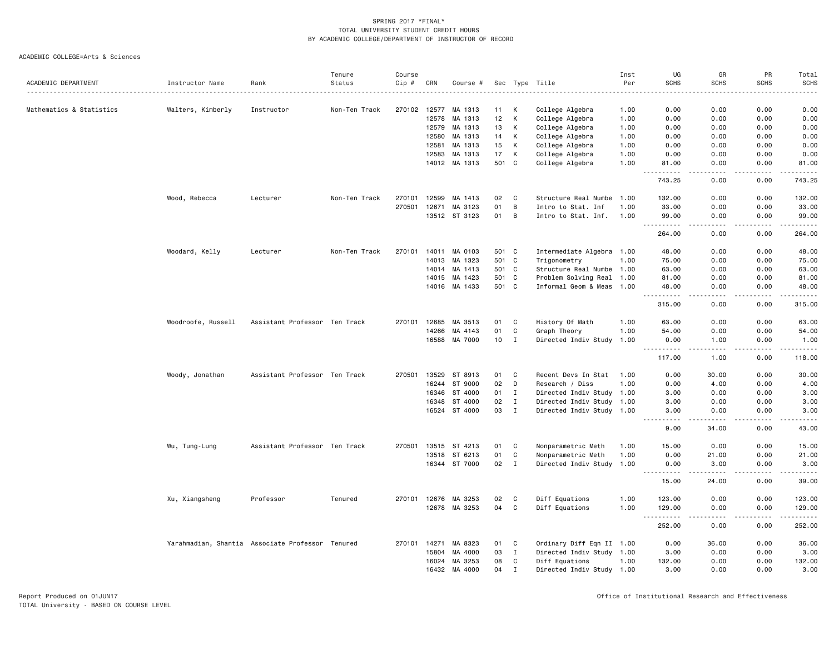| SCHS<br>ACADEMIC DEPARTMENT<br>Status<br>Cip #<br>Per<br><b>SCHS</b><br>Instructor Name<br>Rank<br>CRN<br>Sec Type Title<br>Course #<br>Mathematics & Statistics<br>270102<br>12577<br>College Algebra<br>0.00<br>Walters, Kimberly<br>Instructor<br>Non-Ten Track<br>MA 1313<br>11<br>К<br>1.00<br>0.00<br>К<br>12<br>College Algebra<br>12578<br>MA 1313<br>1.00<br>0.00<br>0.00<br>К<br>12579<br>13<br>College Algebra<br>0.00<br>0.00<br>MA 1313<br>1.00<br>К<br>College Algebra<br>12580<br>MA 1313<br>14<br>0.00<br>1.00<br>0.00<br>К<br>12581<br>MA 1313<br>15<br>College Algebra<br>0.00<br>0.00<br>1.00<br>К<br>12583<br>MA 1313<br>17<br>College Algebra<br>1.00<br>0.00<br>0.00<br>MA 1313<br>501<br>C<br>College Algebra<br>14012<br>1.00<br>81.00<br>0.00<br>743.25<br>0.00<br>12599<br>$\mathbf c$<br>Wood, Rebecca<br>Non-Ten Track<br>270101<br>MA 1413<br>02<br>Structure Real Numbe 1.00<br>132.00<br>0.00<br>Lecturer<br>270501<br>01<br>B<br>12671<br>MA 3123<br>Intro to Stat. Inf<br>1.00<br>33.00<br>0.00<br>13512 ST 3123<br>01<br>B<br>Intro to Stat. Inf.<br>1.00<br>99.00<br>0.00<br>.<br>الدامات ب<br>$- - -$<br>264.00<br>0.00<br>Woodard, Kelly<br>Lecturer<br>Non-Ten Track<br>270101<br>14011<br>MA 0103<br>501 C<br>Intermediate Algebra 1.00<br>48.00<br>0.00<br>14013<br>MA 1323<br>501 C<br>Trigonometry<br>1.00<br>75.00<br>0.00<br>501 C<br>14014<br>MA 1413<br>Structure Real Numbe 1.00<br>63.00<br>0.00<br>501 C<br>14015<br>MA 1423<br>Problem Solving Real 1.00<br>81.00<br>0.00<br>14016 MA 1433<br>501 C<br>Informal Geom & Meas 1.00<br>0.00<br>48.00<br><u>----------</u><br>.<br>315.00<br>0.00<br>12685<br>MA 3513<br>History Of Math<br>Woodroofe, Russell<br>Assistant Professor Ten Track<br>270101<br>01<br>C<br>1.00<br>63.00<br>0.00<br>14266<br>MA 4143<br>01<br>C<br>Graph Theory<br>1.00<br>54.00<br>0.00<br>MA 7000<br>10<br>$\mathbf{I}$<br>16588<br>Directed Indiv Study<br>1.00<br>0.00<br>1.00<br><u> - - - - - - - - - -</u><br>$   -$<br>117.00<br>1.00<br>13529<br>01<br>C<br>30.00<br>Woody, Jonathan<br>Assistant Professor Ten Track<br>270501<br>ST 8913<br>Recent Devs In Stat<br>1.00<br>0.00<br>D<br>16244<br>ST 9000<br>02<br>Research / Diss<br>1.00<br>0.00<br>4.00<br>ST 4000<br>Directed Indiv Study 1.00<br>16346<br>01<br>I<br>3.00<br>0.00<br>16348<br>ST 4000<br>02<br>$\mathbf{I}$<br>Directed Indiv Study 1.00<br>0.00<br>3.00<br>03<br>$\mathbf{I}$<br>16524<br>ST 4000<br>Directed Indiv Study 1.00<br>0.00<br>3.00<br>.<br>.<br>9.00<br>34.00 | <b>SCHS</b><br>0.00<br>0.00<br>0.00<br>0.00<br>0.00<br>0.00<br>0.00<br>0.00<br>0.00<br>0.00<br>0.00<br>.<br>0.00<br>0.00<br>0.00<br>0.00 | <b>SCHS</b><br>0.00<br>0.00<br>0.00<br>0.00<br>0.00<br>0.00<br>81.00<br>$\frac{1}{2} \left( \frac{1}{2} \right) \left( \frac{1}{2} \right) \left( \frac{1}{2} \right) \left( \frac{1}{2} \right) \left( \frac{1}{2} \right)$<br>743.25<br>132.00<br>33.00<br>99.00<br>$\begin{array}{cccccccccc} \bullet & \bullet & \bullet & \bullet & \bullet & \bullet & \bullet \end{array}$<br>264.00<br>48.00 |
|--------------------------------------------------------------------------------------------------------------------------------------------------------------------------------------------------------------------------------------------------------------------------------------------------------------------------------------------------------------------------------------------------------------------------------------------------------------------------------------------------------------------------------------------------------------------------------------------------------------------------------------------------------------------------------------------------------------------------------------------------------------------------------------------------------------------------------------------------------------------------------------------------------------------------------------------------------------------------------------------------------------------------------------------------------------------------------------------------------------------------------------------------------------------------------------------------------------------------------------------------------------------------------------------------------------------------------------------------------------------------------------------------------------------------------------------------------------------------------------------------------------------------------------------------------------------------------------------------------------------------------------------------------------------------------------------------------------------------------------------------------------------------------------------------------------------------------------------------------------------------------------------------------------------------------------------------------------------------------------------------------------------------------------------------------------------------------------------------------------------------------------------------------------------------------------------------------------------------------------------------------------------------------------------------------------------------------------------------------------------------------------------------------------------------------------------------------------------------------------------------------------------------------------|------------------------------------------------------------------------------------------------------------------------------------------|------------------------------------------------------------------------------------------------------------------------------------------------------------------------------------------------------------------------------------------------------------------------------------------------------------------------------------------------------------------------------------------------------|
|                                                                                                                                                                                                                                                                                                                                                                                                                                                                                                                                                                                                                                                                                                                                                                                                                                                                                                                                                                                                                                                                                                                                                                                                                                                                                                                                                                                                                                                                                                                                                                                                                                                                                                                                                                                                                                                                                                                                                                                                                                                                                                                                                                                                                                                                                                                                                                                                                                                                                                                                      |                                                                                                                                          |                                                                                                                                                                                                                                                                                                                                                                                                      |
|                                                                                                                                                                                                                                                                                                                                                                                                                                                                                                                                                                                                                                                                                                                                                                                                                                                                                                                                                                                                                                                                                                                                                                                                                                                                                                                                                                                                                                                                                                                                                                                                                                                                                                                                                                                                                                                                                                                                                                                                                                                                                                                                                                                                                                                                                                                                                                                                                                                                                                                                      |                                                                                                                                          |                                                                                                                                                                                                                                                                                                                                                                                                      |
|                                                                                                                                                                                                                                                                                                                                                                                                                                                                                                                                                                                                                                                                                                                                                                                                                                                                                                                                                                                                                                                                                                                                                                                                                                                                                                                                                                                                                                                                                                                                                                                                                                                                                                                                                                                                                                                                                                                                                                                                                                                                                                                                                                                                                                                                                                                                                                                                                                                                                                                                      |                                                                                                                                          |                                                                                                                                                                                                                                                                                                                                                                                                      |
|                                                                                                                                                                                                                                                                                                                                                                                                                                                                                                                                                                                                                                                                                                                                                                                                                                                                                                                                                                                                                                                                                                                                                                                                                                                                                                                                                                                                                                                                                                                                                                                                                                                                                                                                                                                                                                                                                                                                                                                                                                                                                                                                                                                                                                                                                                                                                                                                                                                                                                                                      |                                                                                                                                          |                                                                                                                                                                                                                                                                                                                                                                                                      |
|                                                                                                                                                                                                                                                                                                                                                                                                                                                                                                                                                                                                                                                                                                                                                                                                                                                                                                                                                                                                                                                                                                                                                                                                                                                                                                                                                                                                                                                                                                                                                                                                                                                                                                                                                                                                                                                                                                                                                                                                                                                                                                                                                                                                                                                                                                                                                                                                                                                                                                                                      |                                                                                                                                          |                                                                                                                                                                                                                                                                                                                                                                                                      |
|                                                                                                                                                                                                                                                                                                                                                                                                                                                                                                                                                                                                                                                                                                                                                                                                                                                                                                                                                                                                                                                                                                                                                                                                                                                                                                                                                                                                                                                                                                                                                                                                                                                                                                                                                                                                                                                                                                                                                                                                                                                                                                                                                                                                                                                                                                                                                                                                                                                                                                                                      |                                                                                                                                          |                                                                                                                                                                                                                                                                                                                                                                                                      |
|                                                                                                                                                                                                                                                                                                                                                                                                                                                                                                                                                                                                                                                                                                                                                                                                                                                                                                                                                                                                                                                                                                                                                                                                                                                                                                                                                                                                                                                                                                                                                                                                                                                                                                                                                                                                                                                                                                                                                                                                                                                                                                                                                                                                                                                                                                                                                                                                                                                                                                                                      |                                                                                                                                          |                                                                                                                                                                                                                                                                                                                                                                                                      |
|                                                                                                                                                                                                                                                                                                                                                                                                                                                                                                                                                                                                                                                                                                                                                                                                                                                                                                                                                                                                                                                                                                                                                                                                                                                                                                                                                                                                                                                                                                                                                                                                                                                                                                                                                                                                                                                                                                                                                                                                                                                                                                                                                                                                                                                                                                                                                                                                                                                                                                                                      |                                                                                                                                          |                                                                                                                                                                                                                                                                                                                                                                                                      |
|                                                                                                                                                                                                                                                                                                                                                                                                                                                                                                                                                                                                                                                                                                                                                                                                                                                                                                                                                                                                                                                                                                                                                                                                                                                                                                                                                                                                                                                                                                                                                                                                                                                                                                                                                                                                                                                                                                                                                                                                                                                                                                                                                                                                                                                                                                                                                                                                                                                                                                                                      |                                                                                                                                          |                                                                                                                                                                                                                                                                                                                                                                                                      |
|                                                                                                                                                                                                                                                                                                                                                                                                                                                                                                                                                                                                                                                                                                                                                                                                                                                                                                                                                                                                                                                                                                                                                                                                                                                                                                                                                                                                                                                                                                                                                                                                                                                                                                                                                                                                                                                                                                                                                                                                                                                                                                                                                                                                                                                                                                                                                                                                                                                                                                                                      |                                                                                                                                          |                                                                                                                                                                                                                                                                                                                                                                                                      |
|                                                                                                                                                                                                                                                                                                                                                                                                                                                                                                                                                                                                                                                                                                                                                                                                                                                                                                                                                                                                                                                                                                                                                                                                                                                                                                                                                                                                                                                                                                                                                                                                                                                                                                                                                                                                                                                                                                                                                                                                                                                                                                                                                                                                                                                                                                                                                                                                                                                                                                                                      |                                                                                                                                          |                                                                                                                                                                                                                                                                                                                                                                                                      |
|                                                                                                                                                                                                                                                                                                                                                                                                                                                                                                                                                                                                                                                                                                                                                                                                                                                                                                                                                                                                                                                                                                                                                                                                                                                                                                                                                                                                                                                                                                                                                                                                                                                                                                                                                                                                                                                                                                                                                                                                                                                                                                                                                                                                                                                                                                                                                                                                                                                                                                                                      |                                                                                                                                          |                                                                                                                                                                                                                                                                                                                                                                                                      |
|                                                                                                                                                                                                                                                                                                                                                                                                                                                                                                                                                                                                                                                                                                                                                                                                                                                                                                                                                                                                                                                                                                                                                                                                                                                                                                                                                                                                                                                                                                                                                                                                                                                                                                                                                                                                                                                                                                                                                                                                                                                                                                                                                                                                                                                                                                                                                                                                                                                                                                                                      |                                                                                                                                          |                                                                                                                                                                                                                                                                                                                                                                                                      |
|                                                                                                                                                                                                                                                                                                                                                                                                                                                                                                                                                                                                                                                                                                                                                                                                                                                                                                                                                                                                                                                                                                                                                                                                                                                                                                                                                                                                                                                                                                                                                                                                                                                                                                                                                                                                                                                                                                                                                                                                                                                                                                                                                                                                                                                                                                                                                                                                                                                                                                                                      |                                                                                                                                          |                                                                                                                                                                                                                                                                                                                                                                                                      |
|                                                                                                                                                                                                                                                                                                                                                                                                                                                                                                                                                                                                                                                                                                                                                                                                                                                                                                                                                                                                                                                                                                                                                                                                                                                                                                                                                                                                                                                                                                                                                                                                                                                                                                                                                                                                                                                                                                                                                                                                                                                                                                                                                                                                                                                                                                                                                                                                                                                                                                                                      |                                                                                                                                          |                                                                                                                                                                                                                                                                                                                                                                                                      |
|                                                                                                                                                                                                                                                                                                                                                                                                                                                                                                                                                                                                                                                                                                                                                                                                                                                                                                                                                                                                                                                                                                                                                                                                                                                                                                                                                                                                                                                                                                                                                                                                                                                                                                                                                                                                                                                                                                                                                                                                                                                                                                                                                                                                                                                                                                                                                                                                                                                                                                                                      |                                                                                                                                          | 75.00                                                                                                                                                                                                                                                                                                                                                                                                |
|                                                                                                                                                                                                                                                                                                                                                                                                                                                                                                                                                                                                                                                                                                                                                                                                                                                                                                                                                                                                                                                                                                                                                                                                                                                                                                                                                                                                                                                                                                                                                                                                                                                                                                                                                                                                                                                                                                                                                                                                                                                                                                                                                                                                                                                                                                                                                                                                                                                                                                                                      |                                                                                                                                          | 63.00                                                                                                                                                                                                                                                                                                                                                                                                |
|                                                                                                                                                                                                                                                                                                                                                                                                                                                                                                                                                                                                                                                                                                                                                                                                                                                                                                                                                                                                                                                                                                                                                                                                                                                                                                                                                                                                                                                                                                                                                                                                                                                                                                                                                                                                                                                                                                                                                                                                                                                                                                                                                                                                                                                                                                                                                                                                                                                                                                                                      | 0.00                                                                                                                                     | 81.00                                                                                                                                                                                                                                                                                                                                                                                                |
|                                                                                                                                                                                                                                                                                                                                                                                                                                                                                                                                                                                                                                                                                                                                                                                                                                                                                                                                                                                                                                                                                                                                                                                                                                                                                                                                                                                                                                                                                                                                                                                                                                                                                                                                                                                                                                                                                                                                                                                                                                                                                                                                                                                                                                                                                                                                                                                                                                                                                                                                      | 0.00<br>.                                                                                                                                | 48.00<br>.                                                                                                                                                                                                                                                                                                                                                                                           |
|                                                                                                                                                                                                                                                                                                                                                                                                                                                                                                                                                                                                                                                                                                                                                                                                                                                                                                                                                                                                                                                                                                                                                                                                                                                                                                                                                                                                                                                                                                                                                                                                                                                                                                                                                                                                                                                                                                                                                                                                                                                                                                                                                                                                                                                                                                                                                                                                                                                                                                                                      | 0.00                                                                                                                                     | 315.00                                                                                                                                                                                                                                                                                                                                                                                               |
|                                                                                                                                                                                                                                                                                                                                                                                                                                                                                                                                                                                                                                                                                                                                                                                                                                                                                                                                                                                                                                                                                                                                                                                                                                                                                                                                                                                                                                                                                                                                                                                                                                                                                                                                                                                                                                                                                                                                                                                                                                                                                                                                                                                                                                                                                                                                                                                                                                                                                                                                      | 0.00                                                                                                                                     | 63.00                                                                                                                                                                                                                                                                                                                                                                                                |
|                                                                                                                                                                                                                                                                                                                                                                                                                                                                                                                                                                                                                                                                                                                                                                                                                                                                                                                                                                                                                                                                                                                                                                                                                                                                                                                                                                                                                                                                                                                                                                                                                                                                                                                                                                                                                                                                                                                                                                                                                                                                                                                                                                                                                                                                                                                                                                                                                                                                                                                                      | 0.00                                                                                                                                     | 54.00                                                                                                                                                                                                                                                                                                                                                                                                |
|                                                                                                                                                                                                                                                                                                                                                                                                                                                                                                                                                                                                                                                                                                                                                                                                                                                                                                                                                                                                                                                                                                                                                                                                                                                                                                                                                                                                                                                                                                                                                                                                                                                                                                                                                                                                                                                                                                                                                                                                                                                                                                                                                                                                                                                                                                                                                                                                                                                                                                                                      | 0.00                                                                                                                                     | 1.00                                                                                                                                                                                                                                                                                                                                                                                                 |
|                                                                                                                                                                                                                                                                                                                                                                                                                                                                                                                                                                                                                                                                                                                                                                                                                                                                                                                                                                                                                                                                                                                                                                                                                                                                                                                                                                                                                                                                                                                                                                                                                                                                                                                                                                                                                                                                                                                                                                                                                                                                                                                                                                                                                                                                                                                                                                                                                                                                                                                                      | .<br>0.00                                                                                                                                | .<br>118.00                                                                                                                                                                                                                                                                                                                                                                                          |
|                                                                                                                                                                                                                                                                                                                                                                                                                                                                                                                                                                                                                                                                                                                                                                                                                                                                                                                                                                                                                                                                                                                                                                                                                                                                                                                                                                                                                                                                                                                                                                                                                                                                                                                                                                                                                                                                                                                                                                                                                                                                                                                                                                                                                                                                                                                                                                                                                                                                                                                                      | 0.00                                                                                                                                     | 30.00                                                                                                                                                                                                                                                                                                                                                                                                |
|                                                                                                                                                                                                                                                                                                                                                                                                                                                                                                                                                                                                                                                                                                                                                                                                                                                                                                                                                                                                                                                                                                                                                                                                                                                                                                                                                                                                                                                                                                                                                                                                                                                                                                                                                                                                                                                                                                                                                                                                                                                                                                                                                                                                                                                                                                                                                                                                                                                                                                                                      | 0.00                                                                                                                                     | 4.00                                                                                                                                                                                                                                                                                                                                                                                                 |
|                                                                                                                                                                                                                                                                                                                                                                                                                                                                                                                                                                                                                                                                                                                                                                                                                                                                                                                                                                                                                                                                                                                                                                                                                                                                                                                                                                                                                                                                                                                                                                                                                                                                                                                                                                                                                                                                                                                                                                                                                                                                                                                                                                                                                                                                                                                                                                                                                                                                                                                                      | 0.00                                                                                                                                     | 3.00                                                                                                                                                                                                                                                                                                                                                                                                 |
|                                                                                                                                                                                                                                                                                                                                                                                                                                                                                                                                                                                                                                                                                                                                                                                                                                                                                                                                                                                                                                                                                                                                                                                                                                                                                                                                                                                                                                                                                                                                                                                                                                                                                                                                                                                                                                                                                                                                                                                                                                                                                                                                                                                                                                                                                                                                                                                                                                                                                                                                      | 0.00                                                                                                                                     | 3.00                                                                                                                                                                                                                                                                                                                                                                                                 |
|                                                                                                                                                                                                                                                                                                                                                                                                                                                                                                                                                                                                                                                                                                                                                                                                                                                                                                                                                                                                                                                                                                                                                                                                                                                                                                                                                                                                                                                                                                                                                                                                                                                                                                                                                                                                                                                                                                                                                                                                                                                                                                                                                                                                                                                                                                                                                                                                                                                                                                                                      | 0.00                                                                                                                                     | 3.00                                                                                                                                                                                                                                                                                                                                                                                                 |
|                                                                                                                                                                                                                                                                                                                                                                                                                                                                                                                                                                                                                                                                                                                                                                                                                                                                                                                                                                                                                                                                                                                                                                                                                                                                                                                                                                                                                                                                                                                                                                                                                                                                                                                                                                                                                                                                                                                                                                                                                                                                                                                                                                                                                                                                                                                                                                                                                                                                                                                                      | بالمحامر<br>0.00                                                                                                                         | $\frac{1}{2} \left( \frac{1}{2} \right) \left( \frac{1}{2} \right) \left( \frac{1}{2} \right) \left( \frac{1}{2} \right) \left( \frac{1}{2} \right)$<br>43.00                                                                                                                                                                                                                                        |
| 13515<br>C<br>Nonparametric Meth<br>Wu, Tung-Lung<br>Assistant Professor Ten Track<br>270501<br>ST 4213<br>01<br>1.00<br>15.00<br>0.00                                                                                                                                                                                                                                                                                                                                                                                                                                                                                                                                                                                                                                                                                                                                                                                                                                                                                                                                                                                                                                                                                                                                                                                                                                                                                                                                                                                                                                                                                                                                                                                                                                                                                                                                                                                                                                                                                                                                                                                                                                                                                                                                                                                                                                                                                                                                                                                               | 0.00                                                                                                                                     | 15.00                                                                                                                                                                                                                                                                                                                                                                                                |
| 01<br>$\mathbf c$<br>13518<br>ST 6213<br>Nonparametric Meth<br>1.00<br>0.00<br>21.00                                                                                                                                                                                                                                                                                                                                                                                                                                                                                                                                                                                                                                                                                                                                                                                                                                                                                                                                                                                                                                                                                                                                                                                                                                                                                                                                                                                                                                                                                                                                                                                                                                                                                                                                                                                                                                                                                                                                                                                                                                                                                                                                                                                                                                                                                                                                                                                                                                                 | 0.00                                                                                                                                     | 21.00                                                                                                                                                                                                                                                                                                                                                                                                |
| 16344 ST 7000<br>02<br>$\mathbf{I}$<br>Directed Indiv Study 1.00<br>0.00<br>3.00                                                                                                                                                                                                                                                                                                                                                                                                                                                                                                                                                                                                                                                                                                                                                                                                                                                                                                                                                                                                                                                                                                                                                                                                                                                                                                                                                                                                                                                                                                                                                                                                                                                                                                                                                                                                                                                                                                                                                                                                                                                                                                                                                                                                                                                                                                                                                                                                                                                     | 0.00<br>.                                                                                                                                | 3.00                                                                                                                                                                                                                                                                                                                                                                                                 |
| -----<br>$- - - - -$<br>15.00<br>24.00                                                                                                                                                                                                                                                                                                                                                                                                                                                                                                                                                                                                                                                                                                                                                                                                                                                                                                                                                                                                                                                                                                                                                                                                                                                                                                                                                                                                                                                                                                                                                                                                                                                                                                                                                                                                                                                                                                                                                                                                                                                                                                                                                                                                                                                                                                                                                                                                                                                                                               | 0.00                                                                                                                                     | .<br>39.00                                                                                                                                                                                                                                                                                                                                                                                           |
| Xu, Xiangsheng<br>Professor<br>Tenured<br>270101<br>12676 MA 3253<br>02<br>C<br>Diff Equations<br>1.00<br>123.00<br>0.00                                                                                                                                                                                                                                                                                                                                                                                                                                                                                                                                                                                                                                                                                                                                                                                                                                                                                                                                                                                                                                                                                                                                                                                                                                                                                                                                                                                                                                                                                                                                                                                                                                                                                                                                                                                                                                                                                                                                                                                                                                                                                                                                                                                                                                                                                                                                                                                                             | 0.00                                                                                                                                     | 123.00                                                                                                                                                                                                                                                                                                                                                                                               |
| C<br>12678 MA 3253<br>04<br>Diff Equations<br>1.00<br>129.00<br>0.00<br>$   -$                                                                                                                                                                                                                                                                                                                                                                                                                                                                                                                                                                                                                                                                                                                                                                                                                                                                                                                                                                                                                                                                                                                                                                                                                                                                                                                                                                                                                                                                                                                                                                                                                                                                                                                                                                                                                                                                                                                                                                                                                                                                                                                                                                                                                                                                                                                                                                                                                                                       | 0.00                                                                                                                                     | 129.00                                                                                                                                                                                                                                                                                                                                                                                               |
| $- - - -$<br>252.00<br>0.00                                                                                                                                                                                                                                                                                                                                                                                                                                                                                                                                                                                                                                                                                                                                                                                                                                                                                                                                                                                                                                                                                                                                                                                                                                                                                                                                                                                                                                                                                                                                                                                                                                                                                                                                                                                                                                                                                                                                                                                                                                                                                                                                                                                                                                                                                                                                                                                                                                                                                                          | .<br>0.00                                                                                                                                | 252.00                                                                                                                                                                                                                                                                                                                                                                                               |
| 270101<br>14271<br>MA 8323<br>01<br>C<br>Ordinary Diff Eqn II 1.00<br>0.00<br>36.00<br>Yarahmadian, Shantia Associate Professor Tenured                                                                                                                                                                                                                                                                                                                                                                                                                                                                                                                                                                                                                                                                                                                                                                                                                                                                                                                                                                                                                                                                                                                                                                                                                                                                                                                                                                                                                                                                                                                                                                                                                                                                                                                                                                                                                                                                                                                                                                                                                                                                                                                                                                                                                                                                                                                                                                                              | 0.00                                                                                                                                     | 36.00                                                                                                                                                                                                                                                                                                                                                                                                |
| 03<br>$\mathbf I$<br>15804<br>MA 4000<br>Directed Indiv Study 1.00<br>3.00<br>0.00                                                                                                                                                                                                                                                                                                                                                                                                                                                                                                                                                                                                                                                                                                                                                                                                                                                                                                                                                                                                                                                                                                                                                                                                                                                                                                                                                                                                                                                                                                                                                                                                                                                                                                                                                                                                                                                                                                                                                                                                                                                                                                                                                                                                                                                                                                                                                                                                                                                   | 0.00                                                                                                                                     | 3.00                                                                                                                                                                                                                                                                                                                                                                                                 |
| 16024<br>MA 3253<br>08<br>C<br>Diff Equations<br>1.00<br>132.00<br>0.00                                                                                                                                                                                                                                                                                                                                                                                                                                                                                                                                                                                                                                                                                                                                                                                                                                                                                                                                                                                                                                                                                                                                                                                                                                                                                                                                                                                                                                                                                                                                                                                                                                                                                                                                                                                                                                                                                                                                                                                                                                                                                                                                                                                                                                                                                                                                                                                                                                                              | 0.00                                                                                                                                     | 132.00                                                                                                                                                                                                                                                                                                                                                                                               |
| 16432<br>MA 4000<br>04<br>$\mathbf{I}$<br>0.00<br>Directed Indiv Study 1.00<br>3.00                                                                                                                                                                                                                                                                                                                                                                                                                                                                                                                                                                                                                                                                                                                                                                                                                                                                                                                                                                                                                                                                                                                                                                                                                                                                                                                                                                                                                                                                                                                                                                                                                                                                                                                                                                                                                                                                                                                                                                                                                                                                                                                                                                                                                                                                                                                                                                                                                                                  | 0.00                                                                                                                                     | 3.00                                                                                                                                                                                                                                                                                                                                                                                                 |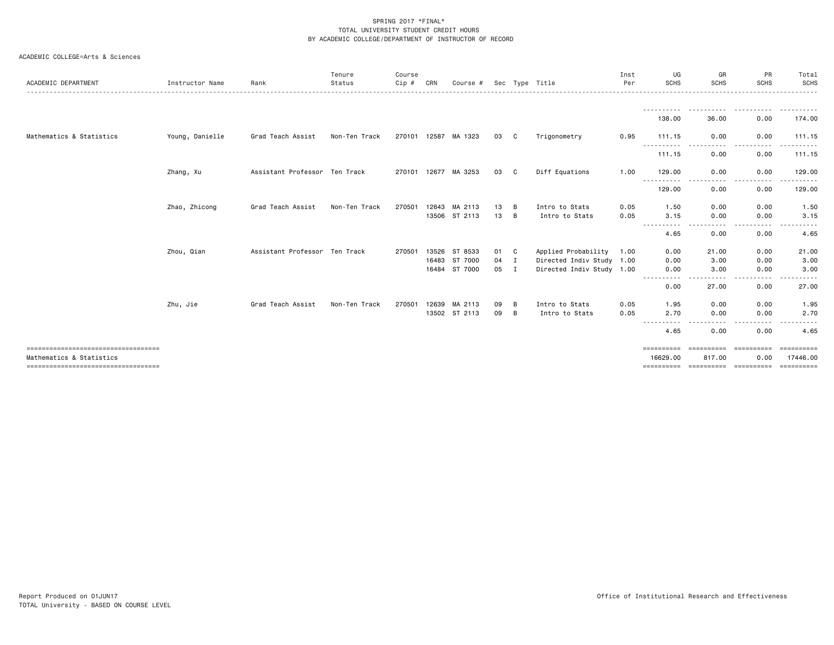| ACADEMIC DEPARTMENT                                              | Instructor Name | Rank                          | Tenure<br>Status | Course<br>Cip # | CRN   | Course #             |        |    | Sec Type Title            | Inst<br>Per | UG<br><b>SCHS</b>      | GR<br><b>SCHS</b>                                                                                                                 | <b>PR</b><br><b>SCHS</b><br>------------------------------ | Total<br><b>SCHS</b>   |
|------------------------------------------------------------------|-----------------|-------------------------------|------------------|-----------------|-------|----------------------|--------|----|---------------------------|-------------|------------------------|-----------------------------------------------------------------------------------------------------------------------------------|------------------------------------------------------------|------------------------|
|                                                                  |                 |                               |                  |                 |       |                      |        |    |                           |             |                        |                                                                                                                                   |                                                            |                        |
|                                                                  |                 |                               |                  |                 |       |                      |        |    |                           |             | 138.00                 | 36.00                                                                                                                             | 0.00                                                       | 174.00                 |
| Mathematics & Statistics                                         | Young, Danielle | Grad Teach Assist             | Non-Ten Track    |                 |       | 270101 12587 MA 1323 | 03     | C. | Trigonometry              | 0.95        | 111.15                 | 0.00                                                                                                                              | 0.00                                                       | 111.15                 |
|                                                                  |                 |                               |                  |                 |       |                      |        |    |                           |             | .<br>111.15            | .<br>$\cdots$<br>0.00                                                                                                             | .<br>$- - -$<br>0.00                                       | .<br>111.15            |
|                                                                  | Zhang, Xu       | Assistant Professor Ten Track |                  | 270101 12677    |       | MA 3253              | 03     | C. | Diff Equations            | 1.00        | 129,00                 | 0.00                                                                                                                              | 0.00                                                       | 129.00                 |
|                                                                  |                 |                               |                  |                 |       |                      |        |    |                           |             | $- - -$<br>129.00      | 0.00                                                                                                                              | 0.00                                                       | 129.00                 |
|                                                                  | Zhao, Zhicong   | Grad Teach Assist             | Non-Ten Track    | 270501          | 12643 | MA 2113              | 13     | B  | Intro to Stats            | 0.05        | 1.50                   | 0.00                                                                                                                              | 0.00                                                       | 1.50                   |
|                                                                  |                 |                               |                  |                 |       | 13506 ST 2113        | 13     | B  | Intro to Stats            | 0.05        | 3.15<br>----------     | 0.00<br>. <b>.</b>                                                                                                                | 0.00<br>.                                                  | 3.15                   |
|                                                                  |                 |                               |                  |                 |       |                      |        |    |                           |             | 4.65                   | 0.00                                                                                                                              | 0.00                                                       | 4.65                   |
|                                                                  | Zhou, Qian      | Assistant Professor Ten Track |                  | 270501          |       | 13526 ST 8533        | 01 C   |    | Applied Probability       | 1.00        | 0.00                   | 21.00                                                                                                                             | 0.00                                                       | 21.00                  |
|                                                                  |                 |                               |                  |                 |       | 16483 ST 7000        | $04$ I |    | Directed Indiv Study 1.00 |             | 0.00                   | 3.00                                                                                                                              | 0.00                                                       | 3.00                   |
|                                                                  |                 |                               |                  |                 |       | 16484 ST 7000        | 05 I   |    | Directed Indiv Study 1.00 |             | 0.00                   | 3.00                                                                                                                              | 0.00                                                       | 3.00                   |
|                                                                  |                 |                               |                  |                 |       |                      |        |    |                           |             | - - - -<br>0.00        | . <b>. .</b><br>27.00                                                                                                             | 0.00                                                       | 27.00                  |
|                                                                  | Zhu, Jie        | Grad Teach Assist             | Non-Ten Track    | 270501          | 12639 | MA 2113              | 09     | B  | Intro to Stats            | 0.05        | 1.95                   | 0.00                                                                                                                              | 0.00                                                       | 1.95                   |
|                                                                  |                 |                               |                  |                 |       | 13502 ST 2113        | 09     | B  | Intro to Stats            | 0.05        | 2.70                   | 0.00                                                                                                                              | 0.00                                                       | 2.70                   |
|                                                                  |                 |                               |                  |                 |       |                      |        |    |                           |             | -----------<br>4.65    | $\frac{1}{2} \left( \frac{1}{2} \right) \left( \frac{1}{2} \right) \left( \frac{1}{2} \right) \left( \frac{1}{2} \right)$<br>0.00 | .<br>0.00                                                  | .<br>4.65              |
| ====================================<br>Mathematics & Statistics |                 |                               |                  |                 |       |                      |        |    |                           |             | ==========<br>16629.00 | ==========<br>817.00                                                                                                              | essessesse<br>0.00                                         | ==========<br>17446.00 |
| ====================================                             |                 |                               |                  |                 |       |                      |        |    |                           |             | ==========             | ==========                                                                                                                        | -----------                                                | ==========             |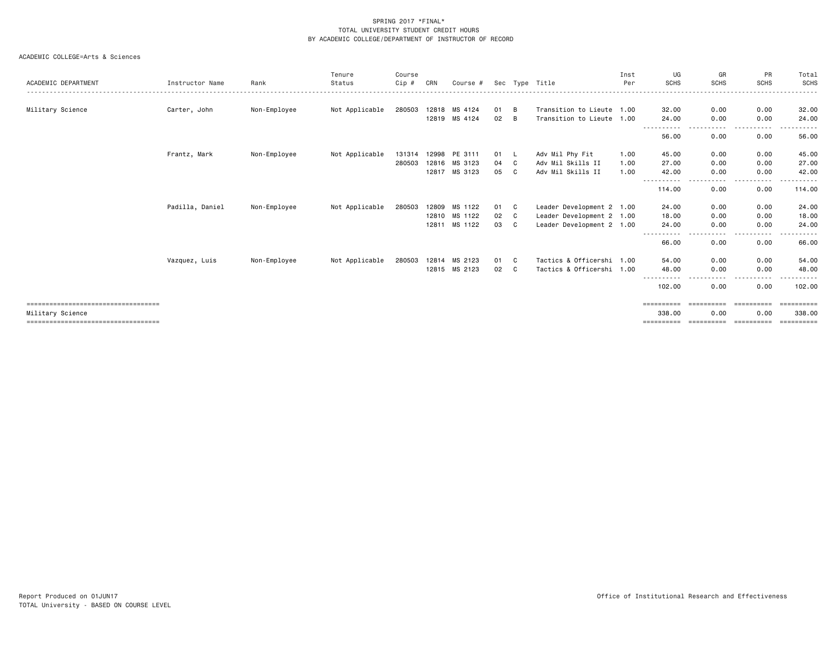| ACADEMIC DEPARTMENT                   | Instructor Name | Rank         | Tenure<br>Status | Course<br>Cip # | CRN   | Course #      |    |     | Sec Type Title            | Inst<br>Per | UG<br><b>SCHS</b>     | GR<br><b>SCHS</b>                                                                                                                 | PR<br><b>SCHS</b>             | Total<br>SCHS         |
|---------------------------------------|-----------------|--------------|------------------|-----------------|-------|---------------|----|-----|---------------------------|-------------|-----------------------|-----------------------------------------------------------------------------------------------------------------------------------|-------------------------------|-----------------------|
|                                       |                 |              |                  |                 |       |               |    |     |                           |             |                       |                                                                                                                                   |                               |                       |
| Military Science                      | Carter, John    | Non-Employee | Not Applicable   | 280503          | 12818 | MS 4124       | 01 | B   | Transition to Lieute 1.00 |             | 32.00                 | 0.00                                                                                                                              | 0.00                          | 32.00                 |
|                                       |                 |              |                  |                 | 12819 | MS 4124       | 02 | B   | Transition to Lieute 1.00 |             | 24,00<br>-----------  | 0.00<br>.                                                                                                                         | 0.00<br>.                     | 24.00                 |
|                                       |                 |              |                  |                 |       |               |    |     |                           |             | 56.00                 | 0.00                                                                                                                              | 0.00                          | 56.00                 |
|                                       | Frantz, Mark    | Non-Employee | Not Applicable   | 131314          | 12998 | PE 3111       | 01 | - L | Adv Mil Phy Fit           | 1.00        | 45.00                 | 0.00                                                                                                                              | 0.00                          | 45.00                 |
|                                       |                 |              |                  | 280503          | 12816 | MS 3123       | 04 | C   | Adv Mil Skills II         | 1.00        | 27,00                 | 0.00                                                                                                                              | 0.00                          | 27.00                 |
|                                       |                 |              |                  |                 | 12817 | MS 3123       | 05 | C   | Adv Mil Skills II         | 1.00        | 42.00<br>-----------  | 0.00<br>$\cdots$                                                                                                                  | 0.00<br>-----                 | 42.00<br>. <b>.</b> . |
|                                       |                 |              |                  |                 |       |               |    |     |                           |             | 114.00                | 0.00                                                                                                                              | 0.00                          | 114.00                |
|                                       | Padilla, Daniel | Non-Employee | Not Applicable   | 280503          | 12809 | MS 1122       | 01 | C   | Leader Development 2 1.00 |             | 24.00                 | 0.00                                                                                                                              | 0.00                          | 24.00                 |
|                                       |                 |              |                  |                 | 12810 | MS 1122       | 02 | C   | Leader Development 2 1.00 |             | 18.00                 | 0.00                                                                                                                              | 0.00                          | 18.00                 |
|                                       |                 |              |                  |                 |       | 12811 MS 1122 | 03 | C   | Leader Development 2 1.00 |             | 24,00                 | 0.00<br>$\frac{1}{2} \left( \frac{1}{2} \right) \left( \frac{1}{2} \right) \left( \frac{1}{2} \right) \left( \frac{1}{2} \right)$ | 0.00<br>. <b>.</b><br>$- - -$ | 24,00<br><u>.</u>     |
|                                       |                 |              |                  |                 |       |               |    |     |                           |             | -----------<br>66.00  | 0.00                                                                                                                              | 0.00                          | 66.00                 |
|                                       | Vazquez, Luis   | Non-Employee | Not Applicable   | 280503          | 12814 | MS 2123       | 01 | C.  | Tactics & Officershi 1.00 |             | 54.00                 | 0.00                                                                                                                              | 0.00                          | 54.00                 |
|                                       |                 |              |                  |                 |       | 12815 MS 2123 | 02 | C   | Tactics & Officershi 1.00 |             | 48.00                 | 0.00                                                                                                                              | 0.00                          | 48.00                 |
|                                       |                 |              |                  |                 |       |               |    |     |                           |             | -----------<br>102.00 | $  -$<br>0.00                                                                                                                     | ----<br>0.00                  | 102.00                |
| ===================================== |                 |              |                  |                 |       |               |    |     |                           |             |                       | ==========                                                                                                                        | ==========                    | ==========            |
| Military Science                      |                 |              |                  |                 |       |               |    |     |                           |             | 338,00                | 0.00                                                                                                                              | 0.00                          | 338,00                |
| ===================================== |                 |              |                  |                 |       |               |    |     |                           |             |                       |                                                                                                                                   |                               | =======               |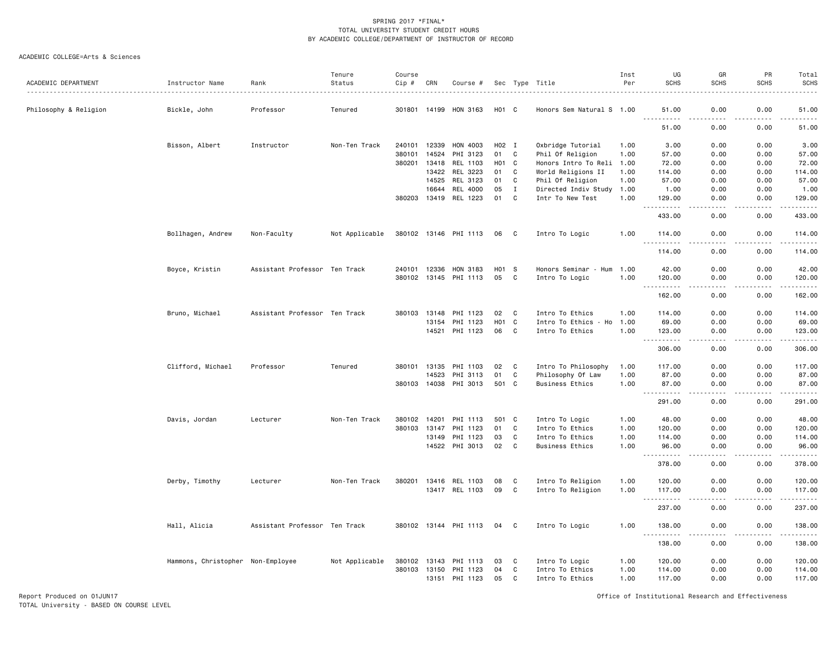#### ACADEMIC COLLEGE=Arts & Sciences

|                       |                                   |                               | Tenure         | Course           |                |                       |                   |              |                                       | Inst         | UG                             | GR                                                                                                                                | PR               | Total                                                                                                                                                                                     |
|-----------------------|-----------------------------------|-------------------------------|----------------|------------------|----------------|-----------------------|-------------------|--------------|---------------------------------------|--------------|--------------------------------|-----------------------------------------------------------------------------------------------------------------------------------|------------------|-------------------------------------------------------------------------------------------------------------------------------------------------------------------------------------------|
| ACADEMIC DEPARTMENT   | Instructor Name                   | Rank                          | Status         | $Cip$ #          | CRN            | Course #              |                   |              | Sec Type Title                        | Per          | <b>SCHS</b>                    | <b>SCHS</b>                                                                                                                       | <b>SCHS</b>      | SCHS                                                                                                                                                                                      |
| Philosophy & Religion | Bickle, John                      | Professor                     | Tenured        | 301801           | 14199          | HON 3163              | H <sub>01</sub> C |              | Honors Sem Natural S 1.00             |              | 51.00                          | 0.00                                                                                                                              | 0.00             | 51.00                                                                                                                                                                                     |
|                       |                                   |                               |                |                  |                |                       |                   |              |                                       |              | .<br>51.00                     | $- - -$<br>0.00                                                                                                                   | .<br>0.00        | .<br>51.00                                                                                                                                                                                |
|                       |                                   |                               |                |                  |                |                       |                   |              |                                       |              |                                |                                                                                                                                   |                  |                                                                                                                                                                                           |
|                       | Bisson, Albert                    | Instructor                    | Non-Ten Track  | 240101<br>380101 | 12339<br>14524 | HON 4003<br>PHI 3123  | H02 I<br>01       | C            | Oxbridge Tutorial<br>Phil Of Religion | 1.00<br>1.00 | 3.00<br>57.00                  | 0.00<br>0.00                                                                                                                      | 0.00<br>0.00     | 3.00<br>57.00                                                                                                                                                                             |
|                       |                                   |                               |                | 380201           | 13418          | REL 1103              | H01 C             |              | Honors Intro To Reli 1.00             |              | 72.00                          | 0.00                                                                                                                              | 0.00             | 72.00                                                                                                                                                                                     |
|                       |                                   |                               |                |                  | 13422          | REL 3223              | 01                | C            | World Religions II                    | 1.00         | 114.00                         | 0.00                                                                                                                              | 0.00             | 114.00                                                                                                                                                                                    |
|                       |                                   |                               |                |                  | 14525          | REL 3123              | 01                | C            | Phil Of Religion                      | 1.00         | 57.00                          | 0.00                                                                                                                              | 0.00             | 57.00                                                                                                                                                                                     |
|                       |                                   |                               |                |                  | 16644          | REL 4000              | 05                | $\mathbf{I}$ | Directed Indiv Study 1.00             |              | 1.00                           | 0.00                                                                                                                              | 0.00             | 1.00                                                                                                                                                                                      |
|                       |                                   |                               |                | 380203           | 13419          | REL 1223              | 01                | C            | Intr To New Test                      | 1.00         | 129.00                         | 0.00                                                                                                                              | 0.00             | 129.00                                                                                                                                                                                    |
|                       |                                   |                               |                |                  |                |                       |                   |              |                                       |              | .<br>$\sim$ $\sim$ .<br>433.00 | $\frac{1}{2} \left( \frac{1}{2} \right) \left( \frac{1}{2} \right) \left( \frac{1}{2} \right) \left( \frac{1}{2} \right)$<br>0.00 | .<br>0.00        | $\frac{1}{2} \left( \frac{1}{2} \right) \left( \frac{1}{2} \right) \left( \frac{1}{2} \right) \left( \frac{1}{2} \right) \left( \frac{1}{2} \right) \left( \frac{1}{2} \right)$<br>433.00 |
|                       | Bollhagen, Andrew                 | Non-Faculty                   | Not Applicable |                  |                | 380102 13146 PHI 1113 | 06                | C            | Intro To Logic                        | 1.00         | 114.00                         | 0.00                                                                                                                              | 0.00             | 114.00                                                                                                                                                                                    |
|                       |                                   |                               |                |                  |                |                       |                   |              |                                       |              | .<br>.<br>114.00               | 0.00                                                                                                                              | 0.00             | 114.00                                                                                                                                                                                    |
|                       | Boyce, Kristin                    | Assistant Professor Ten Track |                | 240101 12336     |                | HON 3183              | H01 S             |              | Honors Seminar - Hum 1.00             |              | 42.00                          | 0.00                                                                                                                              | 0.00             | 42.00                                                                                                                                                                                     |
|                       |                                   |                               |                | 380102 13145     |                | PHI 1113              | 05                | C            | Intro To Logic                        | 1.00         | 120.00                         | 0.00                                                                                                                              | 0.00             | 120.00                                                                                                                                                                                    |
|                       |                                   |                               |                |                  |                |                       |                   |              |                                       |              | .<br>162.00                    | $\frac{1}{2}$<br>0.00                                                                                                             | .<br>0.00        | $\frac{1}{2} \left( \frac{1}{2} \right) \left( \frac{1}{2} \right) \left( \frac{1}{2} \right) \left( \frac{1}{2} \right) \left( \frac{1}{2} \right)$<br>162.00                            |
|                       |                                   |                               |                |                  |                |                       |                   |              |                                       |              |                                |                                                                                                                                   |                  |                                                                                                                                                                                           |
|                       | Bruno, Michael                    | Assistant Professor Ten Track |                | 380103 13148     |                | PHI 1123              | 02                | C            | Intro To Ethics                       | 1.00         | 114.00                         | 0.00                                                                                                                              | 0.00             | 114.00                                                                                                                                                                                    |
|                       |                                   |                               |                |                  | 13154          | PHI 1123              | H <sub>0</sub> 1  | C            | Intro To Ethics - Ho                  | 1.00         | 69.00                          | 0.00                                                                                                                              | 0.00             | 69.00                                                                                                                                                                                     |
|                       |                                   |                               |                |                  | 14521          | PHI 1123              | 06                | C            | Intro To Ethics                       | 1.00         | 123.00<br>$ -$<br>.            | 0.00                                                                                                                              | 0.00             | 123.00<br>.                                                                                                                                                                               |
|                       |                                   |                               |                |                  |                |                       |                   |              |                                       |              | 306.00                         | 0.00                                                                                                                              | 0.00             | 306.00                                                                                                                                                                                    |
|                       | Clifford, Michael                 | Professor                     | Tenured        | 380101 13135     |                | PHI 1103              | 02                | C            | Intro To Philosophy                   | 1.00         | 117.00                         | 0.00                                                                                                                              | 0.00             | 117.00                                                                                                                                                                                    |
|                       |                                   |                               |                |                  | 14523          | PHI 3113              | 01                | C            | Philosophy Of Law                     | 1.00         | 87.00                          | 0.00                                                                                                                              | 0.00             | 87.00                                                                                                                                                                                     |
|                       |                                   |                               |                | 380103 14038     |                | PHI 3013              | 501               | C            | Business Ethics                       | 1.00         | 87.00<br><u>.</u>              | 0.00<br>$\frac{1}{2}$                                                                                                             | 0.00<br>.        | 87.00<br>$- - - - - -$                                                                                                                                                                    |
|                       |                                   |                               |                |                  |                |                       |                   |              |                                       |              | 291.00                         | 0.00                                                                                                                              | 0.00             | 291.00                                                                                                                                                                                    |
|                       | Davis, Jordan                     | Lecturer                      | Non-Ten Track  | 380102           | 14201          | PHI 1113              | 501               | $\mathbf{C}$ | Intro To Logic                        | 1.00         | 48.00                          | 0.00                                                                                                                              | 0.00             | 48.00                                                                                                                                                                                     |
|                       |                                   |                               |                | 380103           | 13147          | PHI 1123              | 01                | C            | Intro To Ethics                       | 1.00         | 120.00                         | 0.00                                                                                                                              | 0.00             | 120.00                                                                                                                                                                                    |
|                       |                                   |                               |                |                  | 13149          | PHI 1123              | 03                | C            | Intro To Ethics                       | 1.00         | 114.00                         | 0.00                                                                                                                              | 0.00             | 114.00                                                                                                                                                                                    |
|                       |                                   |                               |                |                  | 14522          | PHI 3013              | 02                | C            | <b>Business Ethics</b>                | 1.00         | 96.00<br>.<br>$  -$            | 0.00<br>$\sim$ $\sim$ $\sim$ $\sim$                                                                                               | 0.00<br><b>.</b> | 96.00<br>$\frac{1}{2} \left( \frac{1}{2} \right) \left( \frac{1}{2} \right) \left( \frac{1}{2} \right) \left( \frac{1}{2} \right) \left( \frac{1}{2} \right) \left( \frac{1}{2} \right)$  |
|                       |                                   |                               |                |                  |                |                       |                   |              |                                       |              | 378.00                         | 0.00                                                                                                                              | 0.00             | 378.00                                                                                                                                                                                    |
|                       | Derby, Timothy                    | Lecturer                      | Non-Ten Track  | 380201           | 13416          | REL 1103              | 08                | C            | Intro To Religion                     | 1.00         | 120.00                         | 0.00                                                                                                                              | 0.00             | 120.00                                                                                                                                                                                    |
|                       |                                   |                               |                |                  |                | 13417 REL 1103        | 09                | C            | Intro To Religion                     | 1.00         | 117.00                         | 0.00                                                                                                                              | 0.00             | 117.00                                                                                                                                                                                    |
|                       |                                   |                               |                |                  |                |                       |                   |              |                                       |              | <u>.</u><br>237.00             | د د د د<br>0.00                                                                                                                   | .<br>0.00        | .<br>237.00                                                                                                                                                                               |
|                       | Hall, Alicia                      | Assistant Professor Ten Track |                |                  |                | 380102 13144 PHI 1113 | 04                | C            | Intro To Logic                        | 1.00         | 138.00                         | 0.00                                                                                                                              | 0.00             | 138.00                                                                                                                                                                                    |
|                       |                                   |                               |                |                  |                |                       |                   |              |                                       |              | $\sim$ $\sim$ .<br>138.00      | 0.00                                                                                                                              | 0.00             | .<br>138.00                                                                                                                                                                               |
|                       | Hammons, Christopher Non-Employee |                               | Not Applicable | 380102 13143     |                | PHI 1113              | 03                | C            | Intro To Logic                        | 1.00         | 120.00                         | 0.00                                                                                                                              | 0.00             | 120.00                                                                                                                                                                                    |
|                       |                                   |                               |                | 380103 13150     |                | PHI 1123              | 04                | C            | Intro To Ethics                       | 1.00         | 114.00                         | 0.00                                                                                                                              | 0.00             | 114.00                                                                                                                                                                                    |
|                       |                                   |                               |                |                  | 13151          | PHI 1123              | 05                | C            | Intro To Ethics                       | 1.00         | 117.00                         | 0.00                                                                                                                              | 0.00             | 117.00                                                                                                                                                                                    |
|                       |                                   |                               |                |                  |                |                       |                   |              |                                       |              |                                |                                                                                                                                   |                  |                                                                                                                                                                                           |

Report Produced on 01JUN17 Office of Institutional Research and Effectiveness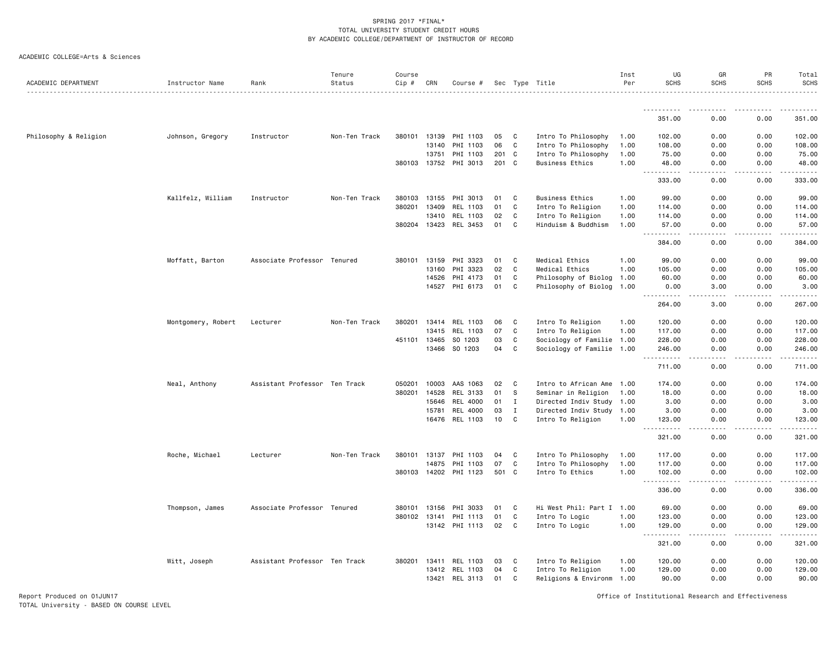|  | ACADEMIC COLLEGE=Arts & Sciences |  |  |
|--|----------------------------------|--|--|
|--|----------------------------------|--|--|

|                       |                    |                               | Tenure        | Course   |              |                       |       |                |                                                        | Inst | UG                                 | GR          | PR                                                                                                                                                           | Total                 |
|-----------------------|--------------------|-------------------------------|---------------|----------|--------------|-----------------------|-------|----------------|--------------------------------------------------------|------|------------------------------------|-------------|--------------------------------------------------------------------------------------------------------------------------------------------------------------|-----------------------|
| ACADEMIC DEPARTMENT   | Instructor Name    | Rank                          | Status        | $Cip \#$ | CRN          | Course #              |       |                | Sec Type Title<br>____________________________________ | Per  | <b>SCHS</b>                        | <b>SCHS</b> | <b>SCHS</b>                                                                                                                                                  | SCHS                  |
|                       |                    |                               |               |          |              |                       |       |                |                                                        |      | .<br>351.00                        | 0.00        | -----<br>0.00                                                                                                                                                | .<br>351.00           |
|                       |                    |                               |               |          |              |                       |       |                |                                                        |      |                                    |             |                                                                                                                                                              |                       |
| Philosophy & Religion | Johnson, Gregory   | Instructor                    | Non-Ten Track | 380101   | 13139        | PHI 1103              | 05    | $\mathbf{C}$   | Intro To Philosophy                                    | 1.00 | 102.00                             | 0.00        | 0.00                                                                                                                                                         | 102.00                |
|                       |                    |                               |               |          | 13140        | PHI 1103              | 06    | C              | Intro To Philosophy                                    | 1.00 | 108.00                             | 0.00        | 0.00                                                                                                                                                         | 108.00                |
|                       |                    |                               |               |          | 13751        | PHI 1103              | 201 C |                | Intro To Philosophy                                    | 1.00 | 75.00                              | 0.00        | 0.00                                                                                                                                                         | 75.00                 |
|                       |                    |                               |               |          |              | 380103 13752 PHI 3013 | 201 C |                | Business Ethics                                        | 1.00 | 48.00<br>.<br>$\sim$ $\sim$ $\sim$ | 0.00<br>.   | 0.00<br>.                                                                                                                                                    | 48.00                 |
|                       |                    |                               |               |          |              |                       |       |                |                                                        |      | 333.00                             | 0.00        | 0.00                                                                                                                                                         | 333.00                |
|                       | Kallfelz, William  | Instructor                    | Non-Ten Track | 380103   | 13155        | PHI 3013              | 01    | C              | <b>Business Ethics</b>                                 | 1.00 | 99.00                              | 0.00        | 0.00                                                                                                                                                         | 99.00                 |
|                       |                    |                               |               |          | 380201 13409 | REL 1103              | 01    | C              | Intro To Religion                                      | 1.00 | 114.00                             | 0.00        | 0.00                                                                                                                                                         | 114.00                |
|                       |                    |                               |               |          | 13410        | REL 1103              | 02    | C              | Intro To Religion                                      | 1.00 | 114.00                             | 0.00        | 0.00                                                                                                                                                         | 114.00                |
|                       |                    |                               |               |          |              | 380204 13423 REL 3453 | 01    | C              | Hinduism & Buddhism                                    | 1.00 | 57.00<br>.<br>$\sim$ $\sim$ $\sim$ | 0.00<br>.   | 0.00<br>.                                                                                                                                                    | 57.00                 |
|                       |                    |                               |               |          |              |                       |       |                |                                                        |      | 384.00                             | 0.00        | 0.00                                                                                                                                                         | 384.00                |
|                       | Moffatt, Barton    | Associate Professor Tenured   |               | 380101   | 13159        | PHI 3323              | 01    | C              | Medical Ethics                                         | 1.00 | 99.00                              | 0.00        | 0.00                                                                                                                                                         | 99.00                 |
|                       |                    |                               |               |          | 13160        | PHI 3323              | 02    | C              | Medical Ethics                                         | 1.00 | 105.00                             | 0.00        | 0.00                                                                                                                                                         | 105.00                |
|                       |                    |                               |               |          | 14526        | PHI 4173              | 01    | C              | Philosophy of Biolog 1.00                              |      | 60.00                              | 0.00        | 0.00                                                                                                                                                         | 60.00                 |
|                       |                    |                               |               |          | 14527        | PHI 6173              | 01    | C              | Philosophy of Biolog 1.00                              |      | 0.00<br>$- - - - - - -$            | 3.00<br>.   | 0.00<br>.                                                                                                                                                    | 3.00<br>$- - - - - -$ |
|                       |                    |                               |               |          |              |                       |       |                |                                                        |      | 264.00                             | 3.00        | 0.00                                                                                                                                                         | 267.00                |
|                       | Montgomery, Robert | Lecturer                      | Non-Ten Track | 380201   | 13414        | REL 1103              | 06    | C              | Intro To Religion                                      | 1.00 | 120.00                             | 0.00        | 0.00                                                                                                                                                         | 120.00                |
|                       |                    |                               |               |          | 13415        | REL 1103              | 07    | C              | Intro To Religion                                      | 1.00 | 117.00                             | 0.00        | 0.00                                                                                                                                                         | 117.00                |
|                       |                    |                               |               |          | 451101 13465 | SO 1203               | 03    | C              | Sociology of Familie 1.00                              |      | 228.00                             | 0.00        | 0.00                                                                                                                                                         | 228.00                |
|                       |                    |                               |               |          |              | 13466 SO 1203         | 04    | C              | Sociology of Familie 1.00                              |      | 246.00<br>. <u>.</u>               | 0.00<br>.   | 0.00<br>.                                                                                                                                                    | 246.00<br>.           |
|                       |                    |                               |               |          |              |                       |       |                |                                                        |      | 711.00                             | 0.00        | 0.00                                                                                                                                                         | 711.00                |
|                       | Neal, Anthony      | Assistant Professor Ten Track |               | 050201   | 10003        | AAS 1063              | 02    | C              | Intro to African Ame 1.00                              |      | 174.00                             | 0.00        | 0.00                                                                                                                                                         | 174.00                |
|                       |                    |                               |               | 380201   | 14528        | REL 3133              | 01    | S.             | Seminar in Religion                                    | 1.00 | 18.00                              | 0.00        | 0.00                                                                                                                                                         | 18.00                 |
|                       |                    |                               |               |          | 15646        | <b>REL 4000</b>       | 01    | I              | Directed Indiv Study 1.00                              |      | 3.00                               | 0.00        | 0.00                                                                                                                                                         | 3.00                  |
|                       |                    |                               |               |          | 15781        | REL 4000              | 03    | $\mathbf I$    | Directed Indiv Study 1.00                              |      | 3.00                               | 0.00        | 0.00                                                                                                                                                         | 3.00                  |
|                       |                    |                               |               |          | 16476        | REL 1103              | 10    | C.             | Intro To Religion                                      | 1.00 | 123.00<br>.<br>$ -$                | 0.00<br>.   | 0.00<br>$\frac{1}{2} \left( \frac{1}{2} \right) \left( \frac{1}{2} \right) \left( \frac{1}{2} \right) \left( \frac{1}{2} \right) \left( \frac{1}{2} \right)$ | 123.00<br>.           |
|                       |                    |                               |               |          |              |                       |       |                |                                                        |      | 321.00                             | 0.00        | 0.00                                                                                                                                                         | 321.00                |
|                       | Roche, Michael     | Lecturer                      | Non-Ten Track | 380101   | 13137        | PHI 1103              | 04    | C              | Intro To Philosophy                                    | 1.00 | 117.00                             | 0.00        | 0.00                                                                                                                                                         | 117.00                |
|                       |                    |                               |               |          | 14875        | PHI 1103              | 07    | C              | Intro To Philosophy                                    | 1.00 | 117.00                             | 0.00        | 0.00                                                                                                                                                         | 117.00                |
|                       |                    |                               |               |          |              | 380103 14202 PHI 1123 | 501 C |                | Intro To Ethics                                        | 1.00 | 102.00<br>.<br>$  -$               | 0.00<br>.   | 0.00<br>.                                                                                                                                                    | 102.00<br>.           |
|                       |                    |                               |               |          |              |                       |       |                |                                                        |      | 336.00                             | 0.00        | 0.00                                                                                                                                                         | 336.00                |
|                       | Thompson, James    | Associate Professor Tenured   |               |          | 380101 13156 | PHI 3033              | 01    | C              | Hi West Phil: Part I 1.00                              |      | 69.00                              | 0.00        | 0.00                                                                                                                                                         | 69.00                 |
|                       |                    |                               |               |          | 380102 13141 | PHI 1113              | 01    | C              | Intro To Logic                                         | 1.00 | 123.00                             | 0.00        | 0.00                                                                                                                                                         | 123.00                |
|                       |                    |                               |               |          |              | 13142 PHI 1113        | 02    | C              | Intro To Logic                                         | 1.00 | 129.00<br>.                        | 0.00        | 0.00                                                                                                                                                         | 129.00                |
|                       |                    |                               |               |          |              |                       |       |                |                                                        |      | 321.00                             | 0.00        | 0.00                                                                                                                                                         | 321.00                |
|                       | Witt, Joseph       | Assistant Professor Ten Track |               |          | 380201 13411 | REL 1103              | 03    | C <sub>c</sub> | Intro To Religion                                      | 1.00 | 120.00                             | 0.00        | 0.00                                                                                                                                                         | 120.00                |
|                       |                    |                               |               |          |              | 13412 REL 1103        | 04    | C              | Intro To Religion                                      | 1.00 | 129.00                             | 0.00        | 0.00                                                                                                                                                         | 129.00                |
|                       |                    |                               |               |          | 13421        | REL 3113              | 01    | C              | Religions & Environm 1.00                              |      | 90.00                              | 0.00        | 0.00                                                                                                                                                         | 90.00                 |

Report Produced on 01JUN17 Office of Institutional Research and Effectiveness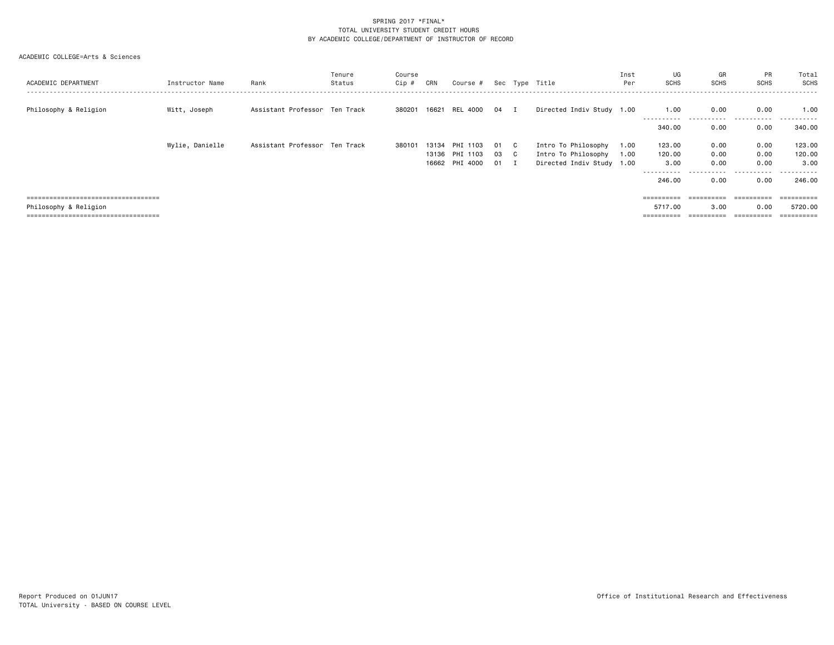| ACADEMIC DEPARTMENT                  | Instructor Name | Rank                          | Tenure<br>Status | Course<br>Cip # | CRN            | Course # Sec Type Title    |              |                                                  | Inst<br>Per | UG<br><b>SCHS</b> | GR<br><b>SCHS</b> | PR<br><b>SCHS</b> | Total<br>SCHS  |
|--------------------------------------|-----------------|-------------------------------|------------------|-----------------|----------------|----------------------------|--------------|--------------------------------------------------|-------------|-------------------|-------------------|-------------------|----------------|
| Philosophy & Religion                | Witt, Joseph    | Assistant Professor Ten Track |                  |                 |                | 380201 16621 REL 4000 04 I |              | Directed Indiv Study 1.00                        |             | 1.00              | 0.00              | 0.00<br>.         | 1.00<br>.      |
|                                      |                 |                               |                  |                 |                |                            |              |                                                  |             | 340.00            | 0.00              | 0.00              | 340.00         |
|                                      | Wylie, Danielle | Assistant Professor Ten Track |                  | 380101          | 13134          | PHI 1103                   | 01 C         | Intro To Philosophy                              | 1.00        | 123.00            | 0.00              | 0.00              | 123.00         |
|                                      |                 |                               |                  |                 | 13136<br>16662 | PHI 1103<br>PHI 4000       | 03 C<br>01 I | Intro To Philosophy<br>Directed Indiv Study 1.00 | 1.00        | 120.00<br>3.00    | 0.00<br>0.00      | 0.00<br>0.00      | 120.00<br>3.00 |
|                                      |                 |                               |                  |                 |                |                            |              |                                                  |             | 246,00            | 0.00              | 0.00              | 246.00         |
| ==================================== |                 |                               |                  |                 |                |                            |              |                                                  |             | ==========        | ==========        | ==========        | =======        |
| Philosophy & Religion                |                 |                               |                  |                 |                |                            |              |                                                  |             | 5717.00           | 3.00              | 0.00              | 5720.00        |
| ==================================== |                 |                               |                  |                 |                |                            |              |                                                  |             | ==========        | ==========        | eeeeeeee          | ==========     |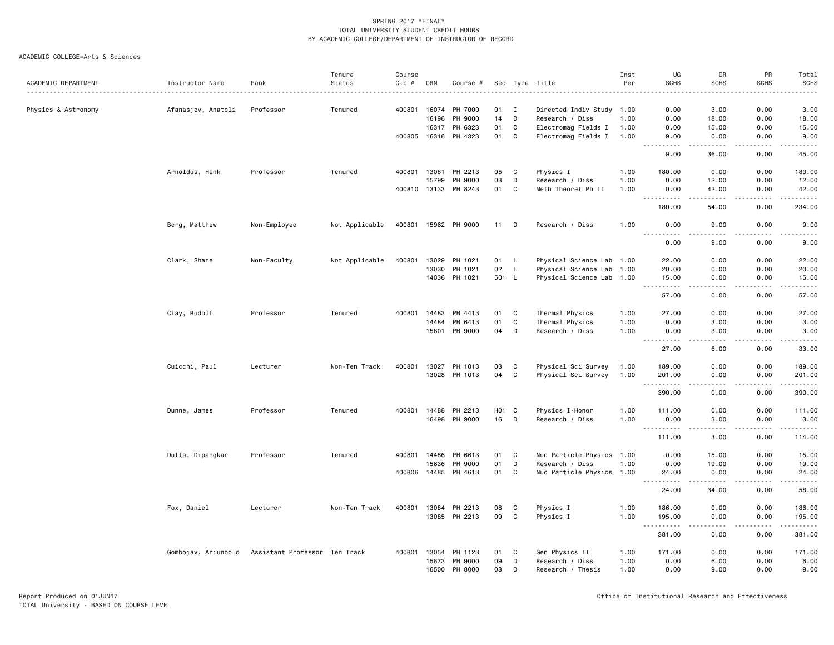|                     |                     |                               | Tenure         | Course       |       |                      |                   |             |                           | Inst | UG                                  | GR                                                                                                                                                            | PR                                                                                    | Total               |
|---------------------|---------------------|-------------------------------|----------------|--------------|-------|----------------------|-------------------|-------------|---------------------------|------|-------------------------------------|---------------------------------------------------------------------------------------------------------------------------------------------------------------|---------------------------------------------------------------------------------------|---------------------|
| ACADEMIC DEPARTMENT | Instructor Name     | Rank                          | Status         | Cip #        | CRN   | Course #             |                   |             | Sec Type Title            | Per  | <b>SCHS</b>                         | <b>SCHS</b>                                                                                                                                                   | <b>SCHS</b>                                                                           | <b>SCHS</b>         |
|                     |                     | Professor                     |                | 400801       | 16074 | PH 7000              | 01                | <b>I</b>    | Directed Indiv Study 1.00 |      |                                     | 3.00                                                                                                                                                          | 0.00                                                                                  | 3.00                |
| Physics & Astronomy | Afanasjev, Anatoli  |                               | Tenured        |              | 16196 | PH 9000              | 14                | D           | Research / Diss           | 1.00 | 0.00<br>0.00                        | 18.00                                                                                                                                                         | 0.00                                                                                  | 18.00               |
|                     |                     |                               |                |              | 16317 | PH 6323              | 01                | $\mathbf c$ | Electromag Fields I       | 1.00 | 0.00                                | 15.00                                                                                                                                                         | 0.00                                                                                  | 15.00               |
|                     |                     |                               |                | 400805       | 16316 | PH 4323              | 01                | C           | Electromag Fields I       | 1.00 | 9.00                                | 0.00                                                                                                                                                          | 0.00                                                                                  | 9.00                |
|                     |                     |                               |                |              |       |                      |                   |             |                           |      | .                                   | $\frac{1}{2} \left( \frac{1}{2} \right) \left( \frac{1}{2} \right) \left( \frac{1}{2} \right) \left( \frac{1}{2} \right) \left( \frac{1}{2} \right)$          | $\sim$ $\sim$ $\sim$                                                                  | $    -$             |
|                     |                     |                               |                |              |       |                      |                   |             |                           |      | 9.00                                | 36.00                                                                                                                                                         | 0.00                                                                                  | 45.00               |
|                     | Arnoldus, Henk      | Professor                     | Tenured        | 400801       | 13081 | PH 2213              | 05                | C           | Physics I                 | 1.00 | 180.00                              | 0.00                                                                                                                                                          | 0.00                                                                                  | 180.00              |
|                     |                     |                               |                |              | 15799 | PH 9000              | 03                | D           | Research / Diss           | 1.00 | 0.00                                | 12.00                                                                                                                                                         | 0.00                                                                                  | 12.00               |
|                     |                     |                               |                | 400810 13133 |       | PH 8243              | 01                | $\mathbf c$ | Meth Theoret Ph II        | 1.00 | 0.00<br>.                           | 42.00<br>$\frac{1}{2} \left( \frac{1}{2} \right) \left( \frac{1}{2} \right) \left( \frac{1}{2} \right) \left( \frac{1}{2} \right) \left( \frac{1}{2} \right)$ | 0.00<br>.                                                                             | 42.00<br><u>.</u>   |
|                     |                     |                               |                |              |       |                      |                   |             |                           |      | 180.00                              | 54.00                                                                                                                                                         | 0.00                                                                                  | 234.00              |
|                     | Berg, Matthew       | Non-Employee                  | Not Applicable |              |       | 400801 15962 PH 9000 | 11                | D           | Research / Diss           | 1.00 | 0.00<br><u>.</u>                    | 9.00<br>----                                                                                                                                                  | 0.00                                                                                  | 9.00<br>$- - - - -$ |
|                     |                     |                               |                |              |       |                      |                   |             |                           |      | 0.00                                | 9.00                                                                                                                                                          | 0.00                                                                                  | 9.00                |
|                     | Clark, Shane        | Non-Faculty                   | Not Applicable | 400801       | 13029 | PH 1021              | 01                | L           | Physical Science Lab 1.00 |      | 22.00                               | 0.00                                                                                                                                                          | 0.00                                                                                  | 22.00               |
|                     |                     |                               |                |              | 13030 | PH 1021              | 02                | L           | Physical Science Lab 1.00 |      | 20.00                               | 0.00                                                                                                                                                          | 0.00                                                                                  | 20.00               |
|                     |                     |                               |                |              |       | 14036 PH 1021        | 501 L             |             | Physical Science Lab 1.00 |      | 15.00<br>$\sim$ $\sim$ $\sim$       | 0.00                                                                                                                                                          | 0.00                                                                                  | 15.00<br>وبالمست    |
|                     |                     |                               |                |              |       |                      |                   |             |                           |      | 57.00                               | 0.00                                                                                                                                                          | 0.00                                                                                  | 57.00               |
|                     | Clay, Rudolf        | Professor                     | Tenured        | 400801       | 14483 | PH 4413              | 01                | C           | Thermal Physics           | 1.00 | 27.00                               | 0.00                                                                                                                                                          | 0.00                                                                                  | 27.00               |
|                     |                     |                               |                |              | 14484 | PH 6413              | 01                | $\mathbf C$ | Thermal Physics           | 1.00 | 0.00                                | 3.00                                                                                                                                                          | 0.00                                                                                  | 3.00                |
|                     |                     |                               |                |              | 15801 | PH 9000              | 04                | D           | Research / Diss           | 1.00 | 0.00<br><u>----------</u>           | 3.00<br>.                                                                                                                                                     | 0.00                                                                                  | 3.00<br>.           |
|                     |                     |                               |                |              |       |                      |                   |             |                           |      | 27.00                               | 6.00                                                                                                                                                          | 0.00                                                                                  | 33.00               |
|                     | Cuicchi, Paul       | Lecturer                      | Non-Ten Track  | 400801       | 13027 | PH 1013              | 03                | C           | Physical Sci Survey       | 1.00 | 189.00                              | 0.00                                                                                                                                                          | 0.00                                                                                  | 189.00              |
|                     |                     |                               |                |              | 13028 | PH 1013              | 04                | $\mathbf C$ | Physical Sci Survey       | 1.00 | 201.00<br>----------                | 0.00<br>.                                                                                                                                                     | 0.00                                                                                  | 201.00              |
|                     |                     |                               |                |              |       |                      |                   |             |                           |      | 390.00                              | 0.00                                                                                                                                                          | 0.00                                                                                  | 390.00              |
|                     | Dunne, James        | Professor                     | Tenured        | 400801       | 14488 | PH 2213              | H <sub>01</sub> C |             | Physics I-Honor           | 1.00 | 111.00                              | 0.00                                                                                                                                                          | 0.00                                                                                  | 111.00              |
|                     |                     |                               |                |              | 16498 | PH 9000              | 16                | D           | Research / Diss           | 1.00 | 0.00<br><u> - - - - - - - - - -</u> | 3.00<br>.                                                                                                                                                     | 0.00                                                                                  | 3.00                |
|                     |                     |                               |                |              |       |                      |                   |             |                           |      | 111.00                              | 3.00                                                                                                                                                          | 0.00                                                                                  | 114.00              |
|                     | Dutta, Dipangkar    | Professor                     | Tenured        | 400801       | 14486 | PH 6613              | 01                | C           | Nuc Particle Physics 1.00 |      | 0.00                                | 15.00                                                                                                                                                         | 0.00                                                                                  | 15.00               |
|                     |                     |                               |                |              | 15636 | PH 9000              | 01                | D           | Research / Diss           | 1.00 | 0.00                                | 19.00                                                                                                                                                         | 0.00                                                                                  | 19.00               |
|                     |                     |                               |                | 400806       | 14485 | PH 4613              | 01                | C           | Nuc Particle Physics 1.00 |      | 24.00<br>.<br>$- - -$               | 0.00<br>$\frac{1}{2} \left( \frac{1}{2} \right) \left( \frac{1}{2} \right) \left( \frac{1}{2} \right) \left( \frac{1}{2} \right) \left( \frac{1}{2} \right)$  | 0.00                                                                                  | 24.00<br>.          |
|                     |                     |                               |                |              |       |                      |                   |             |                           |      | 24.00                               | 34.00                                                                                                                                                         | 0.00                                                                                  | 58.00               |
|                     | Fox, Daniel         | Lecturer                      | Non-Ten Track  | 400801       | 13084 | PH 2213              | 08                | C           | Physics I                 | 1.00 | 186.00                              | 0.00                                                                                                                                                          | 0.00                                                                                  | 186.00              |
|                     |                     |                               |                |              |       | 13085 PH 2213        | 09                | C           | Physics I                 | 1.00 | 195.00<br><u>.</u>                  | 0.00<br>$- - - -$                                                                                                                                             | 0.00<br>$\frac{1}{2}$                                                                 | 195.00<br>.         |
|                     |                     |                               |                |              |       |                      |                   |             |                           |      | 381.00                              | 0.00                                                                                                                                                          | $\sim$ $\sim$ $\sim$ $\sim$<br>.<br>.<br>د د د د<br>.<br>0.00<br>0.00<br>0.00<br>0.00 | 381.00              |
|                     | Gombojav, Ariunbold | Assistant Professor Ten Track |                | 400801       | 13054 | PH 1123              | 01                | C           | Gen Physics II            | 1.00 | 171.00                              | 0.00                                                                                                                                                          |                                                                                       | 171.00              |
|                     |                     |                               |                |              | 15873 | PH 9000              | 09                | D           | Research / Diss           | 1.00 | 0.00                                | 6.00                                                                                                                                                          |                                                                                       | 6.00                |
|                     |                     |                               |                |              | 16500 | PH 8000              | 03                | D           | Research / Thesis         | 1.00 | 0.00                                | 9.00                                                                                                                                                          |                                                                                       | 9.00                |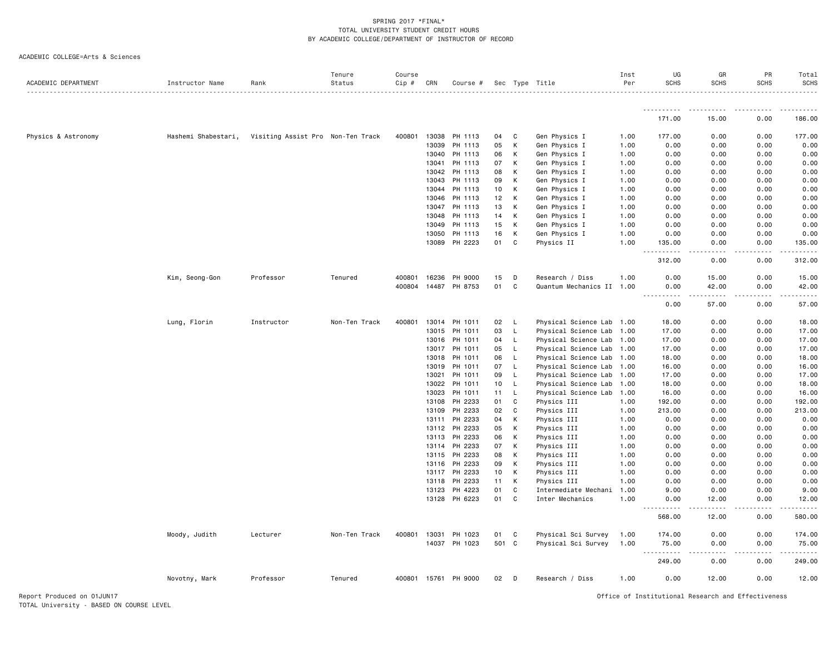| 171.00<br>15.00<br>0.00<br>186.00<br>Physics & Astronomy<br>Hashemi Shabestari,<br>Visiting Assist Pro Non-Ten Track<br>400801<br>13038<br>PH 1113<br>04<br>C<br>Gen Physics I<br>1.00<br>177.00<br>0.00<br>0.00<br>177.00<br>13039<br>PH 1113<br>05<br>К<br>Gen Physics I<br>1.00<br>0.00<br>0.00<br>0.00<br>0.00<br>PH 1113<br>06<br>К<br>Gen Physics I<br>0.00<br>0.00<br>0.00<br>13040<br>1.00<br>0.00<br>PH 1113<br>07<br>К<br>Gen Physics I<br>1.00<br>0.00<br>0.00<br>0.00<br>0.00<br>13041<br>08<br>К<br>Gen Physics I<br>0.00<br>0.00<br>13042<br>PH 1113<br>1.00<br>0.00<br>0.00<br>К<br>09<br>Gen Physics I<br>0.00<br>0.00<br>13043<br>PH 1113<br>1.00<br>0.00<br>0.00<br>10<br>К<br>Gen Physics I<br>1.00<br>0.00<br>0.00<br>0.00<br>13044<br>PH 1113<br>0.00<br>13046<br>PH 1113<br>12<br>К<br>Gen Physics I<br>0.00<br>0.00<br>0.00<br>1.00<br>0.00<br>13047<br>PH 1113<br>13<br>К<br>Gen Physics I<br>0.00<br>0.00<br>1.00<br>0.00<br>0.00<br>К<br>13048<br>PH 1113<br>14<br>Gen Physics I<br>1.00<br>0.00<br>0.00<br>0.00<br>0.00<br>13049<br>PH 1113<br>15<br>К<br>Gen Physics I<br>1.00<br>0.00<br>0.00<br>0.00<br>0.00<br>16<br>К<br>Gen Physics I<br>1.00<br>0.00<br>0.00<br>0.00<br>13050<br>PH 1113<br>0.00<br>13089<br>PH 2223<br>01<br>C<br>Physics II<br>1.00<br>0.00<br>135.00<br>135.00<br>0.00<br>.<br>312.00<br>0.00<br>0.00<br>312.00<br>0.00<br>15.00<br>Kim, Seong-Gon<br>Professor<br>Tenured<br>400801<br>16236<br>PH 9000<br>15<br>D<br>Research / Diss<br>1.00<br>0.00<br>15.00<br>400804 14487 PH 8753<br>01<br>$\mathtt{C}$<br>Quantum Mechanics II 1.00<br>0.00<br>42.00<br>0.00<br>42.00<br>.<br>.<br>.<br>.<br>0.00<br>57.00<br>0.00<br>57.00<br>400801<br>Physical Science Lab 1.00<br>Lung, Florin<br>Instructor<br>Non-Ten Track<br>13014<br>PH 1011<br>02<br>L<br>18.00<br>0.00<br>0.00<br>18.00<br>13015<br>03<br>L<br>Physical Science Lab 1.00<br>0.00<br>0.00<br>PH 1011<br>17.00<br>17.00<br>13016<br>PH 1011<br>Physical Science Lab 1.00<br>17.00<br>04<br>L<br>17.00<br>0.00<br>0.00<br>13017<br>PH 1011<br>05<br>L<br>Physical Science Lab 1.00<br>17.00<br>0.00<br>0.00<br>17.00<br>13018<br>PH 1011<br>06<br>L.<br>Physical Science Lab 1.00<br>18.00<br>0.00<br>0.00<br>18.00<br>PH 1011<br>Physical Science Lab 1.00<br>13019<br>07<br>L.<br>16.00<br>0.00<br>0.00<br>16.00<br>13021<br>PH 1011<br>Physical Science Lab 1.00<br>0.00<br>17.00<br>09<br>L.<br>17.00<br>0.00<br>13022<br>PH 1011<br>10 <sub>1</sub><br>Physical Science Lab 1.00<br>0.00<br>0.00<br>18.00<br>L.<br>18.00<br>13023<br>PH 1011<br>11<br>$\mathsf{L}$<br>Physical Science Lab 1.00<br>16.00<br>0.00<br>0.00<br>16.00<br>13108<br>PH 2233<br>01<br>C<br>Physics III<br>1.00<br>192.00<br>0.00<br>0.00<br>192.00<br>PH 2233<br>$\mathbb{C}$<br>Physics III<br>0.00<br>213.00<br>13109<br>02<br>1.00<br>213.00<br>0.00<br>К<br>0.00<br>0.00<br>13111<br>PH 2233<br>04<br>Physics III<br>1.00<br>0.00<br>0.00<br>13112 PH 2233<br>05<br>К<br>0.00<br>0.00<br>0.00<br>Physics III<br>1.00<br>0.00<br>PH 2233<br>06<br>К<br>Physics III<br>0.00<br>0.00<br>13113<br>1.00<br>0.00<br>0.00<br>PH 2233<br>07<br>K<br>Physics III<br>0.00<br>0.00<br>13114<br>1.00<br>0.00<br>0.00<br>К<br>Physics III<br>0.00<br>13115<br>PH 2233<br>08<br>1.00<br>0.00<br>0.00<br>0.00<br>К<br>Physics III<br>0.00<br>13116<br>PH 2233<br>09<br>1.00<br>0.00<br>0.00<br>0.00<br>PH 2233<br>Physics III<br>0.00<br>13117<br>10<br>Κ<br>1.00<br>0.00<br>0.00<br>0.00<br>К<br>0.00<br>13118<br>PH 2233<br>11<br>Physics III<br>1.00<br>0.00<br>0.00<br>0.00<br>13123<br>PH 4223<br>01<br>C<br>Intermediate Mechani<br>1.00<br>9.00<br>0.00<br>0.00<br>9.00<br>PH 6223<br>01<br>C<br>Inter Mechanics<br>1.00<br>13128<br>0.00<br>12.00<br>0.00<br>12.00<br>.<br>.<br>.<br>$\frac{1}{2} \left( \frac{1}{2} \right) \left( \frac{1}{2} \right) \left( \frac{1}{2} \right) \left( \frac{1}{2} \right) \left( \frac{1}{2} \right)$<br>$\cdots$<br>580.00<br>568.00<br>12.00<br>0.00<br>Moody, Judith<br>Lecturer<br>Non-Ten Track<br>400801<br>13031<br>PH 1023<br>01<br>C<br>Physical Sci Survey<br>1.00<br>174.00<br>0.00<br>0.00<br>174.00<br>501 C<br>14037<br>PH 1023<br>Physical Sci Survey<br>1.00<br>75.00<br>0.00<br>0.00<br>75.00<br>$\sim$ $\sim$ $\sim$<br>.<br>249.00<br>0.00<br>249.00<br>0.00<br>12.00<br>0.00<br>12.00<br>Novotny, Mark<br>Professor<br>Tenured<br>400801<br>15761<br>PH 9000<br>02<br>D<br>Research / Diss<br>1.00<br>0.00 | ACADEMIC DEPARTMENT | Instructor Name | Rank | Tenure<br>Status | Course<br>$Cip$ # | CRN | Course # |  | Sec Type Title | Inst<br>Per | UG<br><b>SCHS</b> | GR<br><b>SCHS</b> | PR<br><b>SCHS</b> | Total<br><b>SCHS</b><br>. |
|-------------------------------------------------------------------------------------------------------------------------------------------------------------------------------------------------------------------------------------------------------------------------------------------------------------------------------------------------------------------------------------------------------------------------------------------------------------------------------------------------------------------------------------------------------------------------------------------------------------------------------------------------------------------------------------------------------------------------------------------------------------------------------------------------------------------------------------------------------------------------------------------------------------------------------------------------------------------------------------------------------------------------------------------------------------------------------------------------------------------------------------------------------------------------------------------------------------------------------------------------------------------------------------------------------------------------------------------------------------------------------------------------------------------------------------------------------------------------------------------------------------------------------------------------------------------------------------------------------------------------------------------------------------------------------------------------------------------------------------------------------------------------------------------------------------------------------------------------------------------------------------------------------------------------------------------------------------------------------------------------------------------------------------------------------------------------------------------------------------------------------------------------------------------------------------------------------------------------------------------------------------------------------------------------------------------------------------------------------------------------------------------------------------------------------------------------------------------------------------------------------------------------------------------------------------------------------------------------------------------------------------------------------------------------------------------------------------------------------------------------------------------------------------------------------------------------------------------------------------------------------------------------------------------------------------------------------------------------------------------------------------------------------------------------------------------------------------------------------------------------------------------------------------------------------------------------------------------------------------------------------------------------------------------------------------------------------------------------------------------------------------------------------------------------------------------------------------------------------------------------------------------------------------------------------------------------------------------------------------------------------------------------------------------------------------------------------------------------------------------------------------------------------------------------------------------------------------------------------------------------------------------------------------------------------------------------------------------------------------------------------------------------------------------------------------------------------------------------------------------------------------------------------------------------------------------------------------------------------------------------------------------------------------------------------------------------------------------------------------------------------------------------------------------------------------------------------------------|---------------------|-----------------|------|------------------|-------------------|-----|----------|--|----------------|-------------|-------------------|-------------------|-------------------|---------------------------|
|                                                                                                                                                                                                                                                                                                                                                                                                                                                                                                                                                                                                                                                                                                                                                                                                                                                                                                                                                                                                                                                                                                                                                                                                                                                                                                                                                                                                                                                                                                                                                                                                                                                                                                                                                                                                                                                                                                                                                                                                                                                                                                                                                                                                                                                                                                                                                                                                                                                                                                                                                                                                                                                                                                                                                                                                                                                                                                                                                                                                                                                                                                                                                                                                                                                                                                                                                                                                                                                                                                                                                                                                                                                                                                                                                                                                                                                                                                                                                                                                                                                                                                                                                                                                                                                                                                                                                                                                                                                                   |                     |                 |      |                  |                   |     |          |  |                |             |                   |                   |                   |                           |
|                                                                                                                                                                                                                                                                                                                                                                                                                                                                                                                                                                                                                                                                                                                                                                                                                                                                                                                                                                                                                                                                                                                                                                                                                                                                                                                                                                                                                                                                                                                                                                                                                                                                                                                                                                                                                                                                                                                                                                                                                                                                                                                                                                                                                                                                                                                                                                                                                                                                                                                                                                                                                                                                                                                                                                                                                                                                                                                                                                                                                                                                                                                                                                                                                                                                                                                                                                                                                                                                                                                                                                                                                                                                                                                                                                                                                                                                                                                                                                                                                                                                                                                                                                                                                                                                                                                                                                                                                                                                   |                     |                 |      |                  |                   |     |          |  |                |             |                   |                   |                   |                           |
|                                                                                                                                                                                                                                                                                                                                                                                                                                                                                                                                                                                                                                                                                                                                                                                                                                                                                                                                                                                                                                                                                                                                                                                                                                                                                                                                                                                                                                                                                                                                                                                                                                                                                                                                                                                                                                                                                                                                                                                                                                                                                                                                                                                                                                                                                                                                                                                                                                                                                                                                                                                                                                                                                                                                                                                                                                                                                                                                                                                                                                                                                                                                                                                                                                                                                                                                                                                                                                                                                                                                                                                                                                                                                                                                                                                                                                                                                                                                                                                                                                                                                                                                                                                                                                                                                                                                                                                                                                                                   |                     |                 |      |                  |                   |     |          |  |                |             |                   |                   |                   |                           |
|                                                                                                                                                                                                                                                                                                                                                                                                                                                                                                                                                                                                                                                                                                                                                                                                                                                                                                                                                                                                                                                                                                                                                                                                                                                                                                                                                                                                                                                                                                                                                                                                                                                                                                                                                                                                                                                                                                                                                                                                                                                                                                                                                                                                                                                                                                                                                                                                                                                                                                                                                                                                                                                                                                                                                                                                                                                                                                                                                                                                                                                                                                                                                                                                                                                                                                                                                                                                                                                                                                                                                                                                                                                                                                                                                                                                                                                                                                                                                                                                                                                                                                                                                                                                                                                                                                                                                                                                                                                                   |                     |                 |      |                  |                   |     |          |  |                |             |                   |                   |                   |                           |
|                                                                                                                                                                                                                                                                                                                                                                                                                                                                                                                                                                                                                                                                                                                                                                                                                                                                                                                                                                                                                                                                                                                                                                                                                                                                                                                                                                                                                                                                                                                                                                                                                                                                                                                                                                                                                                                                                                                                                                                                                                                                                                                                                                                                                                                                                                                                                                                                                                                                                                                                                                                                                                                                                                                                                                                                                                                                                                                                                                                                                                                                                                                                                                                                                                                                                                                                                                                                                                                                                                                                                                                                                                                                                                                                                                                                                                                                                                                                                                                                                                                                                                                                                                                                                                                                                                                                                                                                                                                                   |                     |                 |      |                  |                   |     |          |  |                |             |                   |                   |                   |                           |
|                                                                                                                                                                                                                                                                                                                                                                                                                                                                                                                                                                                                                                                                                                                                                                                                                                                                                                                                                                                                                                                                                                                                                                                                                                                                                                                                                                                                                                                                                                                                                                                                                                                                                                                                                                                                                                                                                                                                                                                                                                                                                                                                                                                                                                                                                                                                                                                                                                                                                                                                                                                                                                                                                                                                                                                                                                                                                                                                                                                                                                                                                                                                                                                                                                                                                                                                                                                                                                                                                                                                                                                                                                                                                                                                                                                                                                                                                                                                                                                                                                                                                                                                                                                                                                                                                                                                                                                                                                                                   |                     |                 |      |                  |                   |     |          |  |                |             |                   |                   |                   |                           |
|                                                                                                                                                                                                                                                                                                                                                                                                                                                                                                                                                                                                                                                                                                                                                                                                                                                                                                                                                                                                                                                                                                                                                                                                                                                                                                                                                                                                                                                                                                                                                                                                                                                                                                                                                                                                                                                                                                                                                                                                                                                                                                                                                                                                                                                                                                                                                                                                                                                                                                                                                                                                                                                                                                                                                                                                                                                                                                                                                                                                                                                                                                                                                                                                                                                                                                                                                                                                                                                                                                                                                                                                                                                                                                                                                                                                                                                                                                                                                                                                                                                                                                                                                                                                                                                                                                                                                                                                                                                                   |                     |                 |      |                  |                   |     |          |  |                |             |                   |                   |                   |                           |
|                                                                                                                                                                                                                                                                                                                                                                                                                                                                                                                                                                                                                                                                                                                                                                                                                                                                                                                                                                                                                                                                                                                                                                                                                                                                                                                                                                                                                                                                                                                                                                                                                                                                                                                                                                                                                                                                                                                                                                                                                                                                                                                                                                                                                                                                                                                                                                                                                                                                                                                                                                                                                                                                                                                                                                                                                                                                                                                                                                                                                                                                                                                                                                                                                                                                                                                                                                                                                                                                                                                                                                                                                                                                                                                                                                                                                                                                                                                                                                                                                                                                                                                                                                                                                                                                                                                                                                                                                                                                   |                     |                 |      |                  |                   |     |          |  |                |             |                   |                   |                   |                           |
|                                                                                                                                                                                                                                                                                                                                                                                                                                                                                                                                                                                                                                                                                                                                                                                                                                                                                                                                                                                                                                                                                                                                                                                                                                                                                                                                                                                                                                                                                                                                                                                                                                                                                                                                                                                                                                                                                                                                                                                                                                                                                                                                                                                                                                                                                                                                                                                                                                                                                                                                                                                                                                                                                                                                                                                                                                                                                                                                                                                                                                                                                                                                                                                                                                                                                                                                                                                                                                                                                                                                                                                                                                                                                                                                                                                                                                                                                                                                                                                                                                                                                                                                                                                                                                                                                                                                                                                                                                                                   |                     |                 |      |                  |                   |     |          |  |                |             |                   |                   |                   |                           |
|                                                                                                                                                                                                                                                                                                                                                                                                                                                                                                                                                                                                                                                                                                                                                                                                                                                                                                                                                                                                                                                                                                                                                                                                                                                                                                                                                                                                                                                                                                                                                                                                                                                                                                                                                                                                                                                                                                                                                                                                                                                                                                                                                                                                                                                                                                                                                                                                                                                                                                                                                                                                                                                                                                                                                                                                                                                                                                                                                                                                                                                                                                                                                                                                                                                                                                                                                                                                                                                                                                                                                                                                                                                                                                                                                                                                                                                                                                                                                                                                                                                                                                                                                                                                                                                                                                                                                                                                                                                                   |                     |                 |      |                  |                   |     |          |  |                |             |                   |                   |                   |                           |
|                                                                                                                                                                                                                                                                                                                                                                                                                                                                                                                                                                                                                                                                                                                                                                                                                                                                                                                                                                                                                                                                                                                                                                                                                                                                                                                                                                                                                                                                                                                                                                                                                                                                                                                                                                                                                                                                                                                                                                                                                                                                                                                                                                                                                                                                                                                                                                                                                                                                                                                                                                                                                                                                                                                                                                                                                                                                                                                                                                                                                                                                                                                                                                                                                                                                                                                                                                                                                                                                                                                                                                                                                                                                                                                                                                                                                                                                                                                                                                                                                                                                                                                                                                                                                                                                                                                                                                                                                                                                   |                     |                 |      |                  |                   |     |          |  |                |             |                   |                   |                   |                           |
|                                                                                                                                                                                                                                                                                                                                                                                                                                                                                                                                                                                                                                                                                                                                                                                                                                                                                                                                                                                                                                                                                                                                                                                                                                                                                                                                                                                                                                                                                                                                                                                                                                                                                                                                                                                                                                                                                                                                                                                                                                                                                                                                                                                                                                                                                                                                                                                                                                                                                                                                                                                                                                                                                                                                                                                                                                                                                                                                                                                                                                                                                                                                                                                                                                                                                                                                                                                                                                                                                                                                                                                                                                                                                                                                                                                                                                                                                                                                                                                                                                                                                                                                                                                                                                                                                                                                                                                                                                                                   |                     |                 |      |                  |                   |     |          |  |                |             |                   |                   |                   |                           |
|                                                                                                                                                                                                                                                                                                                                                                                                                                                                                                                                                                                                                                                                                                                                                                                                                                                                                                                                                                                                                                                                                                                                                                                                                                                                                                                                                                                                                                                                                                                                                                                                                                                                                                                                                                                                                                                                                                                                                                                                                                                                                                                                                                                                                                                                                                                                                                                                                                                                                                                                                                                                                                                                                                                                                                                                                                                                                                                                                                                                                                                                                                                                                                                                                                                                                                                                                                                                                                                                                                                                                                                                                                                                                                                                                                                                                                                                                                                                                                                                                                                                                                                                                                                                                                                                                                                                                                                                                                                                   |                     |                 |      |                  |                   |     |          |  |                |             |                   |                   |                   |                           |
|                                                                                                                                                                                                                                                                                                                                                                                                                                                                                                                                                                                                                                                                                                                                                                                                                                                                                                                                                                                                                                                                                                                                                                                                                                                                                                                                                                                                                                                                                                                                                                                                                                                                                                                                                                                                                                                                                                                                                                                                                                                                                                                                                                                                                                                                                                                                                                                                                                                                                                                                                                                                                                                                                                                                                                                                                                                                                                                                                                                                                                                                                                                                                                                                                                                                                                                                                                                                                                                                                                                                                                                                                                                                                                                                                                                                                                                                                                                                                                                                                                                                                                                                                                                                                                                                                                                                                                                                                                                                   |                     |                 |      |                  |                   |     |          |  |                |             |                   |                   |                   |                           |
|                                                                                                                                                                                                                                                                                                                                                                                                                                                                                                                                                                                                                                                                                                                                                                                                                                                                                                                                                                                                                                                                                                                                                                                                                                                                                                                                                                                                                                                                                                                                                                                                                                                                                                                                                                                                                                                                                                                                                                                                                                                                                                                                                                                                                                                                                                                                                                                                                                                                                                                                                                                                                                                                                                                                                                                                                                                                                                                                                                                                                                                                                                                                                                                                                                                                                                                                                                                                                                                                                                                                                                                                                                                                                                                                                                                                                                                                                                                                                                                                                                                                                                                                                                                                                                                                                                                                                                                                                                                                   |                     |                 |      |                  |                   |     |          |  |                |             |                   |                   |                   |                           |
|                                                                                                                                                                                                                                                                                                                                                                                                                                                                                                                                                                                                                                                                                                                                                                                                                                                                                                                                                                                                                                                                                                                                                                                                                                                                                                                                                                                                                                                                                                                                                                                                                                                                                                                                                                                                                                                                                                                                                                                                                                                                                                                                                                                                                                                                                                                                                                                                                                                                                                                                                                                                                                                                                                                                                                                                                                                                                                                                                                                                                                                                                                                                                                                                                                                                                                                                                                                                                                                                                                                                                                                                                                                                                                                                                                                                                                                                                                                                                                                                                                                                                                                                                                                                                                                                                                                                                                                                                                                                   |                     |                 |      |                  |                   |     |          |  |                |             |                   |                   |                   |                           |
|                                                                                                                                                                                                                                                                                                                                                                                                                                                                                                                                                                                                                                                                                                                                                                                                                                                                                                                                                                                                                                                                                                                                                                                                                                                                                                                                                                                                                                                                                                                                                                                                                                                                                                                                                                                                                                                                                                                                                                                                                                                                                                                                                                                                                                                                                                                                                                                                                                                                                                                                                                                                                                                                                                                                                                                                                                                                                                                                                                                                                                                                                                                                                                                                                                                                                                                                                                                                                                                                                                                                                                                                                                                                                                                                                                                                                                                                                                                                                                                                                                                                                                                                                                                                                                                                                                                                                                                                                                                                   |                     |                 |      |                  |                   |     |          |  |                |             |                   |                   |                   |                           |
|                                                                                                                                                                                                                                                                                                                                                                                                                                                                                                                                                                                                                                                                                                                                                                                                                                                                                                                                                                                                                                                                                                                                                                                                                                                                                                                                                                                                                                                                                                                                                                                                                                                                                                                                                                                                                                                                                                                                                                                                                                                                                                                                                                                                                                                                                                                                                                                                                                                                                                                                                                                                                                                                                                                                                                                                                                                                                                                                                                                                                                                                                                                                                                                                                                                                                                                                                                                                                                                                                                                                                                                                                                                                                                                                                                                                                                                                                                                                                                                                                                                                                                                                                                                                                                                                                                                                                                                                                                                                   |                     |                 |      |                  |                   |     |          |  |                |             |                   |                   |                   |                           |
|                                                                                                                                                                                                                                                                                                                                                                                                                                                                                                                                                                                                                                                                                                                                                                                                                                                                                                                                                                                                                                                                                                                                                                                                                                                                                                                                                                                                                                                                                                                                                                                                                                                                                                                                                                                                                                                                                                                                                                                                                                                                                                                                                                                                                                                                                                                                                                                                                                                                                                                                                                                                                                                                                                                                                                                                                                                                                                                                                                                                                                                                                                                                                                                                                                                                                                                                                                                                                                                                                                                                                                                                                                                                                                                                                                                                                                                                                                                                                                                                                                                                                                                                                                                                                                                                                                                                                                                                                                                                   |                     |                 |      |                  |                   |     |          |  |                |             |                   |                   |                   |                           |
|                                                                                                                                                                                                                                                                                                                                                                                                                                                                                                                                                                                                                                                                                                                                                                                                                                                                                                                                                                                                                                                                                                                                                                                                                                                                                                                                                                                                                                                                                                                                                                                                                                                                                                                                                                                                                                                                                                                                                                                                                                                                                                                                                                                                                                                                                                                                                                                                                                                                                                                                                                                                                                                                                                                                                                                                                                                                                                                                                                                                                                                                                                                                                                                                                                                                                                                                                                                                                                                                                                                                                                                                                                                                                                                                                                                                                                                                                                                                                                                                                                                                                                                                                                                                                                                                                                                                                                                                                                                                   |                     |                 |      |                  |                   |     |          |  |                |             |                   |                   |                   |                           |
|                                                                                                                                                                                                                                                                                                                                                                                                                                                                                                                                                                                                                                                                                                                                                                                                                                                                                                                                                                                                                                                                                                                                                                                                                                                                                                                                                                                                                                                                                                                                                                                                                                                                                                                                                                                                                                                                                                                                                                                                                                                                                                                                                                                                                                                                                                                                                                                                                                                                                                                                                                                                                                                                                                                                                                                                                                                                                                                                                                                                                                                                                                                                                                                                                                                                                                                                                                                                                                                                                                                                                                                                                                                                                                                                                                                                                                                                                                                                                                                                                                                                                                                                                                                                                                                                                                                                                                                                                                                                   |                     |                 |      |                  |                   |     |          |  |                |             |                   |                   |                   |                           |
|                                                                                                                                                                                                                                                                                                                                                                                                                                                                                                                                                                                                                                                                                                                                                                                                                                                                                                                                                                                                                                                                                                                                                                                                                                                                                                                                                                                                                                                                                                                                                                                                                                                                                                                                                                                                                                                                                                                                                                                                                                                                                                                                                                                                                                                                                                                                                                                                                                                                                                                                                                                                                                                                                                                                                                                                                                                                                                                                                                                                                                                                                                                                                                                                                                                                                                                                                                                                                                                                                                                                                                                                                                                                                                                                                                                                                                                                                                                                                                                                                                                                                                                                                                                                                                                                                                                                                                                                                                                                   |                     |                 |      |                  |                   |     |          |  |                |             |                   |                   |                   |                           |
|                                                                                                                                                                                                                                                                                                                                                                                                                                                                                                                                                                                                                                                                                                                                                                                                                                                                                                                                                                                                                                                                                                                                                                                                                                                                                                                                                                                                                                                                                                                                                                                                                                                                                                                                                                                                                                                                                                                                                                                                                                                                                                                                                                                                                                                                                                                                                                                                                                                                                                                                                                                                                                                                                                                                                                                                                                                                                                                                                                                                                                                                                                                                                                                                                                                                                                                                                                                                                                                                                                                                                                                                                                                                                                                                                                                                                                                                                                                                                                                                                                                                                                                                                                                                                                                                                                                                                                                                                                                                   |                     |                 |      |                  |                   |     |          |  |                |             |                   |                   |                   |                           |
|                                                                                                                                                                                                                                                                                                                                                                                                                                                                                                                                                                                                                                                                                                                                                                                                                                                                                                                                                                                                                                                                                                                                                                                                                                                                                                                                                                                                                                                                                                                                                                                                                                                                                                                                                                                                                                                                                                                                                                                                                                                                                                                                                                                                                                                                                                                                                                                                                                                                                                                                                                                                                                                                                                                                                                                                                                                                                                                                                                                                                                                                                                                                                                                                                                                                                                                                                                                                                                                                                                                                                                                                                                                                                                                                                                                                                                                                                                                                                                                                                                                                                                                                                                                                                                                                                                                                                                                                                                                                   |                     |                 |      |                  |                   |     |          |  |                |             |                   |                   |                   |                           |
|                                                                                                                                                                                                                                                                                                                                                                                                                                                                                                                                                                                                                                                                                                                                                                                                                                                                                                                                                                                                                                                                                                                                                                                                                                                                                                                                                                                                                                                                                                                                                                                                                                                                                                                                                                                                                                                                                                                                                                                                                                                                                                                                                                                                                                                                                                                                                                                                                                                                                                                                                                                                                                                                                                                                                                                                                                                                                                                                                                                                                                                                                                                                                                                                                                                                                                                                                                                                                                                                                                                                                                                                                                                                                                                                                                                                                                                                                                                                                                                                                                                                                                                                                                                                                                                                                                                                                                                                                                                                   |                     |                 |      |                  |                   |     |          |  |                |             |                   |                   |                   |                           |
|                                                                                                                                                                                                                                                                                                                                                                                                                                                                                                                                                                                                                                                                                                                                                                                                                                                                                                                                                                                                                                                                                                                                                                                                                                                                                                                                                                                                                                                                                                                                                                                                                                                                                                                                                                                                                                                                                                                                                                                                                                                                                                                                                                                                                                                                                                                                                                                                                                                                                                                                                                                                                                                                                                                                                                                                                                                                                                                                                                                                                                                                                                                                                                                                                                                                                                                                                                                                                                                                                                                                                                                                                                                                                                                                                                                                                                                                                                                                                                                                                                                                                                                                                                                                                                                                                                                                                                                                                                                                   |                     |                 |      |                  |                   |     |          |  |                |             |                   |                   |                   |                           |
|                                                                                                                                                                                                                                                                                                                                                                                                                                                                                                                                                                                                                                                                                                                                                                                                                                                                                                                                                                                                                                                                                                                                                                                                                                                                                                                                                                                                                                                                                                                                                                                                                                                                                                                                                                                                                                                                                                                                                                                                                                                                                                                                                                                                                                                                                                                                                                                                                                                                                                                                                                                                                                                                                                                                                                                                                                                                                                                                                                                                                                                                                                                                                                                                                                                                                                                                                                                                                                                                                                                                                                                                                                                                                                                                                                                                                                                                                                                                                                                                                                                                                                                                                                                                                                                                                                                                                                                                                                                                   |                     |                 |      |                  |                   |     |          |  |                |             |                   |                   |                   |                           |
|                                                                                                                                                                                                                                                                                                                                                                                                                                                                                                                                                                                                                                                                                                                                                                                                                                                                                                                                                                                                                                                                                                                                                                                                                                                                                                                                                                                                                                                                                                                                                                                                                                                                                                                                                                                                                                                                                                                                                                                                                                                                                                                                                                                                                                                                                                                                                                                                                                                                                                                                                                                                                                                                                                                                                                                                                                                                                                                                                                                                                                                                                                                                                                                                                                                                                                                                                                                                                                                                                                                                                                                                                                                                                                                                                                                                                                                                                                                                                                                                                                                                                                                                                                                                                                                                                                                                                                                                                                                                   |                     |                 |      |                  |                   |     |          |  |                |             |                   |                   |                   |                           |
|                                                                                                                                                                                                                                                                                                                                                                                                                                                                                                                                                                                                                                                                                                                                                                                                                                                                                                                                                                                                                                                                                                                                                                                                                                                                                                                                                                                                                                                                                                                                                                                                                                                                                                                                                                                                                                                                                                                                                                                                                                                                                                                                                                                                                                                                                                                                                                                                                                                                                                                                                                                                                                                                                                                                                                                                                                                                                                                                                                                                                                                                                                                                                                                                                                                                                                                                                                                                                                                                                                                                                                                                                                                                                                                                                                                                                                                                                                                                                                                                                                                                                                                                                                                                                                                                                                                                                                                                                                                                   |                     |                 |      |                  |                   |     |          |  |                |             |                   |                   |                   |                           |
|                                                                                                                                                                                                                                                                                                                                                                                                                                                                                                                                                                                                                                                                                                                                                                                                                                                                                                                                                                                                                                                                                                                                                                                                                                                                                                                                                                                                                                                                                                                                                                                                                                                                                                                                                                                                                                                                                                                                                                                                                                                                                                                                                                                                                                                                                                                                                                                                                                                                                                                                                                                                                                                                                                                                                                                                                                                                                                                                                                                                                                                                                                                                                                                                                                                                                                                                                                                                                                                                                                                                                                                                                                                                                                                                                                                                                                                                                                                                                                                                                                                                                                                                                                                                                                                                                                                                                                                                                                                                   |                     |                 |      |                  |                   |     |          |  |                |             |                   |                   |                   |                           |
|                                                                                                                                                                                                                                                                                                                                                                                                                                                                                                                                                                                                                                                                                                                                                                                                                                                                                                                                                                                                                                                                                                                                                                                                                                                                                                                                                                                                                                                                                                                                                                                                                                                                                                                                                                                                                                                                                                                                                                                                                                                                                                                                                                                                                                                                                                                                                                                                                                                                                                                                                                                                                                                                                                                                                                                                                                                                                                                                                                                                                                                                                                                                                                                                                                                                                                                                                                                                                                                                                                                                                                                                                                                                                                                                                                                                                                                                                                                                                                                                                                                                                                                                                                                                                                                                                                                                                                                                                                                                   |                     |                 |      |                  |                   |     |          |  |                |             |                   |                   |                   |                           |
|                                                                                                                                                                                                                                                                                                                                                                                                                                                                                                                                                                                                                                                                                                                                                                                                                                                                                                                                                                                                                                                                                                                                                                                                                                                                                                                                                                                                                                                                                                                                                                                                                                                                                                                                                                                                                                                                                                                                                                                                                                                                                                                                                                                                                                                                                                                                                                                                                                                                                                                                                                                                                                                                                                                                                                                                                                                                                                                                                                                                                                                                                                                                                                                                                                                                                                                                                                                                                                                                                                                                                                                                                                                                                                                                                                                                                                                                                                                                                                                                                                                                                                                                                                                                                                                                                                                                                                                                                                                                   |                     |                 |      |                  |                   |     |          |  |                |             |                   |                   |                   |                           |
|                                                                                                                                                                                                                                                                                                                                                                                                                                                                                                                                                                                                                                                                                                                                                                                                                                                                                                                                                                                                                                                                                                                                                                                                                                                                                                                                                                                                                                                                                                                                                                                                                                                                                                                                                                                                                                                                                                                                                                                                                                                                                                                                                                                                                                                                                                                                                                                                                                                                                                                                                                                                                                                                                                                                                                                                                                                                                                                                                                                                                                                                                                                                                                                                                                                                                                                                                                                                                                                                                                                                                                                                                                                                                                                                                                                                                                                                                                                                                                                                                                                                                                                                                                                                                                                                                                                                                                                                                                                                   |                     |                 |      |                  |                   |     |          |  |                |             |                   |                   |                   |                           |
|                                                                                                                                                                                                                                                                                                                                                                                                                                                                                                                                                                                                                                                                                                                                                                                                                                                                                                                                                                                                                                                                                                                                                                                                                                                                                                                                                                                                                                                                                                                                                                                                                                                                                                                                                                                                                                                                                                                                                                                                                                                                                                                                                                                                                                                                                                                                                                                                                                                                                                                                                                                                                                                                                                                                                                                                                                                                                                                                                                                                                                                                                                                                                                                                                                                                                                                                                                                                                                                                                                                                                                                                                                                                                                                                                                                                                                                                                                                                                                                                                                                                                                                                                                                                                                                                                                                                                                                                                                                                   |                     |                 |      |                  |                   |     |          |  |                |             |                   |                   |                   |                           |
|                                                                                                                                                                                                                                                                                                                                                                                                                                                                                                                                                                                                                                                                                                                                                                                                                                                                                                                                                                                                                                                                                                                                                                                                                                                                                                                                                                                                                                                                                                                                                                                                                                                                                                                                                                                                                                                                                                                                                                                                                                                                                                                                                                                                                                                                                                                                                                                                                                                                                                                                                                                                                                                                                                                                                                                                                                                                                                                                                                                                                                                                                                                                                                                                                                                                                                                                                                                                                                                                                                                                                                                                                                                                                                                                                                                                                                                                                                                                                                                                                                                                                                                                                                                                                                                                                                                                                                                                                                                                   |                     |                 |      |                  |                   |     |          |  |                |             |                   |                   |                   |                           |
|                                                                                                                                                                                                                                                                                                                                                                                                                                                                                                                                                                                                                                                                                                                                                                                                                                                                                                                                                                                                                                                                                                                                                                                                                                                                                                                                                                                                                                                                                                                                                                                                                                                                                                                                                                                                                                                                                                                                                                                                                                                                                                                                                                                                                                                                                                                                                                                                                                                                                                                                                                                                                                                                                                                                                                                                                                                                                                                                                                                                                                                                                                                                                                                                                                                                                                                                                                                                                                                                                                                                                                                                                                                                                                                                                                                                                                                                                                                                                                                                                                                                                                                                                                                                                                                                                                                                                                                                                                                                   |                     |                 |      |                  |                   |     |          |  |                |             |                   |                   |                   |                           |
|                                                                                                                                                                                                                                                                                                                                                                                                                                                                                                                                                                                                                                                                                                                                                                                                                                                                                                                                                                                                                                                                                                                                                                                                                                                                                                                                                                                                                                                                                                                                                                                                                                                                                                                                                                                                                                                                                                                                                                                                                                                                                                                                                                                                                                                                                                                                                                                                                                                                                                                                                                                                                                                                                                                                                                                                                                                                                                                                                                                                                                                                                                                                                                                                                                                                                                                                                                                                                                                                                                                                                                                                                                                                                                                                                                                                                                                                                                                                                                                                                                                                                                                                                                                                                                                                                                                                                                                                                                                                   |                     |                 |      |                  |                   |     |          |  |                |             |                   |                   |                   |                           |
|                                                                                                                                                                                                                                                                                                                                                                                                                                                                                                                                                                                                                                                                                                                                                                                                                                                                                                                                                                                                                                                                                                                                                                                                                                                                                                                                                                                                                                                                                                                                                                                                                                                                                                                                                                                                                                                                                                                                                                                                                                                                                                                                                                                                                                                                                                                                                                                                                                                                                                                                                                                                                                                                                                                                                                                                                                                                                                                                                                                                                                                                                                                                                                                                                                                                                                                                                                                                                                                                                                                                                                                                                                                                                                                                                                                                                                                                                                                                                                                                                                                                                                                                                                                                                                                                                                                                                                                                                                                                   |                     |                 |      |                  |                   |     |          |  |                |             |                   |                   |                   |                           |
|                                                                                                                                                                                                                                                                                                                                                                                                                                                                                                                                                                                                                                                                                                                                                                                                                                                                                                                                                                                                                                                                                                                                                                                                                                                                                                                                                                                                                                                                                                                                                                                                                                                                                                                                                                                                                                                                                                                                                                                                                                                                                                                                                                                                                                                                                                                                                                                                                                                                                                                                                                                                                                                                                                                                                                                                                                                                                                                                                                                                                                                                                                                                                                                                                                                                                                                                                                                                                                                                                                                                                                                                                                                                                                                                                                                                                                                                                                                                                                                                                                                                                                                                                                                                                                                                                                                                                                                                                                                                   |                     |                 |      |                  |                   |     |          |  |                |             |                   |                   |                   |                           |
|                                                                                                                                                                                                                                                                                                                                                                                                                                                                                                                                                                                                                                                                                                                                                                                                                                                                                                                                                                                                                                                                                                                                                                                                                                                                                                                                                                                                                                                                                                                                                                                                                                                                                                                                                                                                                                                                                                                                                                                                                                                                                                                                                                                                                                                                                                                                                                                                                                                                                                                                                                                                                                                                                                                                                                                                                                                                                                                                                                                                                                                                                                                                                                                                                                                                                                                                                                                                                                                                                                                                                                                                                                                                                                                                                                                                                                                                                                                                                                                                                                                                                                                                                                                                                                                                                                                                                                                                                                                                   |                     |                 |      |                  |                   |     |          |  |                |             |                   |                   |                   |                           |
|                                                                                                                                                                                                                                                                                                                                                                                                                                                                                                                                                                                                                                                                                                                                                                                                                                                                                                                                                                                                                                                                                                                                                                                                                                                                                                                                                                                                                                                                                                                                                                                                                                                                                                                                                                                                                                                                                                                                                                                                                                                                                                                                                                                                                                                                                                                                                                                                                                                                                                                                                                                                                                                                                                                                                                                                                                                                                                                                                                                                                                                                                                                                                                                                                                                                                                                                                                                                                                                                                                                                                                                                                                                                                                                                                                                                                                                                                                                                                                                                                                                                                                                                                                                                                                                                                                                                                                                                                                                                   |                     |                 |      |                  |                   |     |          |  |                |             |                   |                   |                   |                           |
|                                                                                                                                                                                                                                                                                                                                                                                                                                                                                                                                                                                                                                                                                                                                                                                                                                                                                                                                                                                                                                                                                                                                                                                                                                                                                                                                                                                                                                                                                                                                                                                                                                                                                                                                                                                                                                                                                                                                                                                                                                                                                                                                                                                                                                                                                                                                                                                                                                                                                                                                                                                                                                                                                                                                                                                                                                                                                                                                                                                                                                                                                                                                                                                                                                                                                                                                                                                                                                                                                                                                                                                                                                                                                                                                                                                                                                                                                                                                                                                                                                                                                                                                                                                                                                                                                                                                                                                                                                                                   |                     |                 |      |                  |                   |     |          |  |                |             |                   |                   |                   |                           |
|                                                                                                                                                                                                                                                                                                                                                                                                                                                                                                                                                                                                                                                                                                                                                                                                                                                                                                                                                                                                                                                                                                                                                                                                                                                                                                                                                                                                                                                                                                                                                                                                                                                                                                                                                                                                                                                                                                                                                                                                                                                                                                                                                                                                                                                                                                                                                                                                                                                                                                                                                                                                                                                                                                                                                                                                                                                                                                                                                                                                                                                                                                                                                                                                                                                                                                                                                                                                                                                                                                                                                                                                                                                                                                                                                                                                                                                                                                                                                                                                                                                                                                                                                                                                                                                                                                                                                                                                                                                                   |                     |                 |      |                  |                   |     |          |  |                |             |                   |                   |                   |                           |
|                                                                                                                                                                                                                                                                                                                                                                                                                                                                                                                                                                                                                                                                                                                                                                                                                                                                                                                                                                                                                                                                                                                                                                                                                                                                                                                                                                                                                                                                                                                                                                                                                                                                                                                                                                                                                                                                                                                                                                                                                                                                                                                                                                                                                                                                                                                                                                                                                                                                                                                                                                                                                                                                                                                                                                                                                                                                                                                                                                                                                                                                                                                                                                                                                                                                                                                                                                                                                                                                                                                                                                                                                                                                                                                                                                                                                                                                                                                                                                                                                                                                                                                                                                                                                                                                                                                                                                                                                                                                   |                     |                 |      |                  |                   |     |          |  |                |             |                   |                   |                   |                           |
|                                                                                                                                                                                                                                                                                                                                                                                                                                                                                                                                                                                                                                                                                                                                                                                                                                                                                                                                                                                                                                                                                                                                                                                                                                                                                                                                                                                                                                                                                                                                                                                                                                                                                                                                                                                                                                                                                                                                                                                                                                                                                                                                                                                                                                                                                                                                                                                                                                                                                                                                                                                                                                                                                                                                                                                                                                                                                                                                                                                                                                                                                                                                                                                                                                                                                                                                                                                                                                                                                                                                                                                                                                                                                                                                                                                                                                                                                                                                                                                                                                                                                                                                                                                                                                                                                                                                                                                                                                                                   |                     |                 |      |                  |                   |     |          |  |                |             |                   |                   |                   |                           |
|                                                                                                                                                                                                                                                                                                                                                                                                                                                                                                                                                                                                                                                                                                                                                                                                                                                                                                                                                                                                                                                                                                                                                                                                                                                                                                                                                                                                                                                                                                                                                                                                                                                                                                                                                                                                                                                                                                                                                                                                                                                                                                                                                                                                                                                                                                                                                                                                                                                                                                                                                                                                                                                                                                                                                                                                                                                                                                                                                                                                                                                                                                                                                                                                                                                                                                                                                                                                                                                                                                                                                                                                                                                                                                                                                                                                                                                                                                                                                                                                                                                                                                                                                                                                                                                                                                                                                                                                                                                                   |                     |                 |      |                  |                   |     |          |  |                |             |                   |                   |                   |                           |
|                                                                                                                                                                                                                                                                                                                                                                                                                                                                                                                                                                                                                                                                                                                                                                                                                                                                                                                                                                                                                                                                                                                                                                                                                                                                                                                                                                                                                                                                                                                                                                                                                                                                                                                                                                                                                                                                                                                                                                                                                                                                                                                                                                                                                                                                                                                                                                                                                                                                                                                                                                                                                                                                                                                                                                                                                                                                                                                                                                                                                                                                                                                                                                                                                                                                                                                                                                                                                                                                                                                                                                                                                                                                                                                                                                                                                                                                                                                                                                                                                                                                                                                                                                                                                                                                                                                                                                                                                                                                   |                     |                 |      |                  |                   |     |          |  |                |             |                   |                   |                   |                           |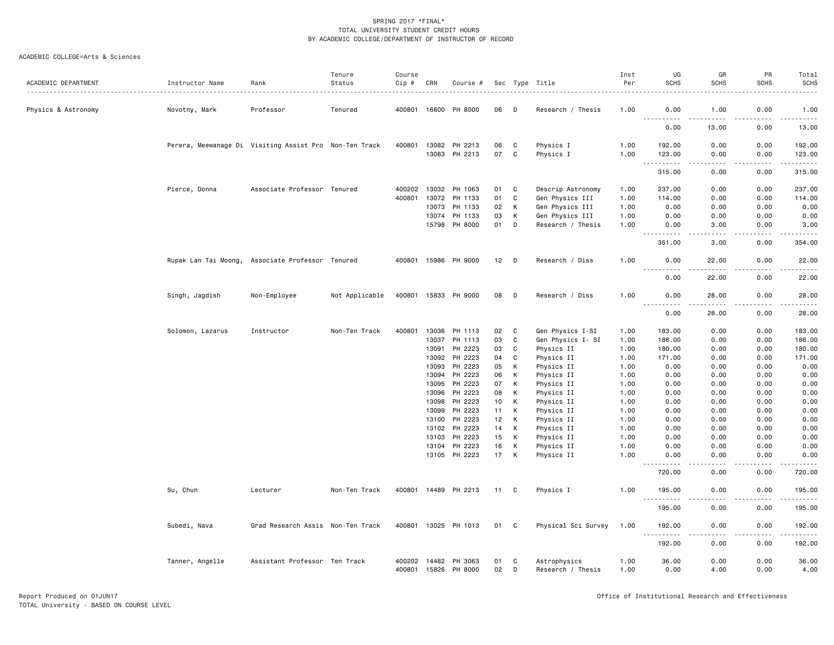| ACADEMIC DEPARTMENT | Instructor Name  | Rank                                                   | Tenure<br>Status | Course | CRN   |                                       |          |              |                                   | Inst<br>Per  | UG<br><b>SCHS</b>                                                                                                                                              | GR<br><b>SCHS</b>                   | PR<br><b>SCHS</b> | Total<br><b>SCHS</b>                                                                       |
|---------------------|------------------|--------------------------------------------------------|------------------|--------|-------|---------------------------------------|----------|--------------|-----------------------------------|--------------|----------------------------------------------------------------------------------------------------------------------------------------------------------------|-------------------------------------|-------------------|--------------------------------------------------------------------------------------------|
|                     |                  |                                                        |                  | Cip #  |       | Course #                              |          |              | Sec Type Title                    |              |                                                                                                                                                                |                                     |                   |                                                                                            |
| Physics & Astronomy | Novotny, Mark    | Professor                                              | Tenured          |        |       | 400801 16600 PH 8000                  | 06       | D            | Research / Thesis                 | 1.00         | 0.00<br>$  -$                                                                                                                                                  | 1.00                                | 0.00              | 1.00                                                                                       |
|                     |                  |                                                        |                  |        |       |                                       |          |              |                                   |              | 0.00                                                                                                                                                           | 13.00                               | 0.00              | 13.00                                                                                      |
|                     |                  | Perera, Meewanage Di Visiting Assist Pro Non-Ten Track |                  | 400801 |       | 13082 PH 2213                         | 06       | C            | Physics I                         | 1.00         | 192.00                                                                                                                                                         | 0.00                                | 0.00              | 192.00                                                                                     |
|                     |                  |                                                        |                  |        |       | 13083 PH 2213                         | 07       | C            | Physics I                         | 1.00         | 123.00<br>$\frac{1}{2} \left( \frac{1}{2} \right) \left( \frac{1}{2} \right) \left( \frac{1}{2} \right) \left( \frac{1}{2} \right) \left( \frac{1}{2} \right)$ | 0.00<br>$\frac{1}{2}$               | 0.00<br>.         | 123.00<br>$\mathbf{1} \cdot \mathbf{1} \cdot \mathbf{1} \cdot \mathbf{1} \cdot \mathbf{1}$ |
|                     |                  |                                                        |                  |        |       |                                       |          |              |                                   |              | 315.00                                                                                                                                                         | 0.00                                | 0.00              | 315.00                                                                                     |
|                     | Pierce, Donna    | Associate Professor Tenured                            |                  | 400202 | 13032 | PH 1063                               | 01       | C            | Descrip Astronomy                 | 1.00         | 237.00                                                                                                                                                         | 0.00                                | 0.00              | 237.00                                                                                     |
|                     |                  |                                                        |                  | 400801 | 13072 | PH 1133                               | 01       | C            | Gen Physics III                   | 1.00         | 114.00                                                                                                                                                         | 0.00                                | 0.00              | 114.00                                                                                     |
|                     |                  |                                                        |                  |        | 13073 | PH 1133                               | 02       | к            | Gen Physics III                   | 1.00         | 0.00                                                                                                                                                           | 0.00                                | 0.00              | 0.00                                                                                       |
|                     |                  |                                                        |                  |        | 13074 | PH 1133                               | 03       | К            | Gen Physics III                   | 1.00         | 0.00                                                                                                                                                           | 0.00                                | 0.00              | 0.00                                                                                       |
|                     |                  |                                                        |                  |        |       | 15798 PH 8000                         | 01       | D            | Research / Thesis                 | 1.00         | 0.00<br>$  -$<br>بالمحام                                                                                                                                       | 3.00<br>$\sim$ $\sim$ $\sim$ $\sim$ | 0.00<br>.         | 3.00<br>.                                                                                  |
|                     |                  |                                                        |                  |        |       |                                       |          |              |                                   |              | 351.00                                                                                                                                                         | 3.00                                | 0.00              | 354.00                                                                                     |
|                     |                  | Rupak Lan Tai Moong, Associate Professor Tenured       |                  |        |       | 400801 15986 PH 9000                  | 12       | D            | Research / Diss                   | 1.00         | 0.00                                                                                                                                                           | 22.00                               | 0.00              | 22.00                                                                                      |
|                     |                  |                                                        |                  |        |       |                                       |          |              |                                   |              | 0.00                                                                                                                                                           | 22.00                               | 0.00              | 22.00                                                                                      |
|                     | Singh, Jagdish   | Non-Employee                                           | Not Applicable   |        |       | 400801 15833 PH 9000                  | 08       | D            | Research / Diss                   | 1.00         | 0.00<br>$\frac{1}{2}$                                                                                                                                          | 28.00<br>.                          | 0.00<br>.         | 28.00<br>.                                                                                 |
|                     |                  |                                                        |                  |        |       |                                       |          |              |                                   |              | 0.00                                                                                                                                                           | 28.00                               | 0.00              | 28.00                                                                                      |
|                     | Solomon, Lazarus | Instructor                                             | Non-Ten Track    | 400801 | 13036 | PH 1113                               | 02       | C            | Gen Physics I-SI                  | 1.00         | 183.00                                                                                                                                                         | 0.00                                | 0.00              | 183.00                                                                                     |
|                     |                  |                                                        |                  |        | 13037 | PH 1113                               | 03       | $\mathtt{C}$ | Gen Physics I- SI                 | 1.00         | 186.00                                                                                                                                                         | 0.00                                | 0.00              | 186.00                                                                                     |
|                     |                  |                                                        |                  |        | 13091 | PH 2223                               | 03       | C            | Physics II                        | 1.00         | 180.00                                                                                                                                                         | 0.00                                | 0.00              | 180.00                                                                                     |
|                     |                  |                                                        |                  |        | 13092 | PH 2223                               | 04       | C            | Physics II                        | 1.00         | 171.00                                                                                                                                                         | 0.00                                | 0.00              | 171.00                                                                                     |
|                     |                  |                                                        |                  |        | 13093 | PH 2223                               | 05       | К            | Physics II                        | 1.00         | 0.00                                                                                                                                                           | 0.00                                | 0.00              | 0.00                                                                                       |
|                     |                  |                                                        |                  |        | 13094 | PH 2223                               | 06       | К            | Physics II                        | 1.00         | 0.00                                                                                                                                                           | 0.00                                | 0.00              | 0.00                                                                                       |
|                     |                  |                                                        |                  |        | 13095 | PH 2223                               | 07       | К            | Physics II                        | 1.00         | 0.00                                                                                                                                                           | 0.00                                | 0.00              | 0.00                                                                                       |
|                     |                  |                                                        |                  |        | 13096 | PH 2223                               | 08       | К            | Physics II                        | 1.00         | 0.00                                                                                                                                                           | 0.00                                | 0.00              | 0.00                                                                                       |
|                     |                  |                                                        |                  |        | 13098 | PH 2223                               | 10       | к            | Physics II                        | 1.00         | 0.00                                                                                                                                                           | 0.00                                | 0.00              | 0.00                                                                                       |
|                     |                  |                                                        |                  |        | 13099 | PH 2223                               | 11       | К            | Physics II                        | 1.00         | 0.00                                                                                                                                                           | 0.00                                | 0.00              | 0.00                                                                                       |
|                     |                  |                                                        |                  |        | 13100 | PH 2223                               | 12       | К            | Physics II                        | 1.00         | 0.00                                                                                                                                                           | 0.00                                | 0.00              | 0.00                                                                                       |
|                     |                  |                                                        |                  |        | 13102 | PH 2223                               | 14       | К            | Physics II                        | 1.00         | 0.00                                                                                                                                                           | 0.00                                | 0.00              | 0.00                                                                                       |
|                     |                  |                                                        |                  |        | 13103 | PH 2223                               | 15       | К            | Physics II                        | 1.00         | 0.00                                                                                                                                                           | 0.00                                | 0.00              | 0.00                                                                                       |
|                     |                  |                                                        |                  |        |       |                                       |          |              |                                   |              |                                                                                                                                                                |                                     |                   |                                                                                            |
|                     |                  |                                                        |                  |        | 13104 | PH 2223<br>13105 PH 2223              | 16<br>17 | К<br>К       | Physics II<br>Physics II          | 1.00<br>1.00 | 0.00<br>0.00                                                                                                                                                   | 0.00<br>0.00                        | 0.00<br>0.00      | 0.00<br>0.00                                                                               |
|                     |                  |                                                        |                  |        |       |                                       |          |              |                                   |              | 720.00                                                                                                                                                         | 0.00                                | 0.00              | 720.00                                                                                     |
|                     | Su, Chun         | Lecturer                                               | Non-Ten Track    |        |       | 400801 14489 PH 2213                  | 11       | C            | Physics I                         | 1.00         | 195.00                                                                                                                                                         | 0.00                                | 0.00              | 195.00                                                                                     |
|                     |                  |                                                        |                  |        |       |                                       |          |              |                                   |              | $\sim$ $\sim$ .<br>.<br>195.00                                                                                                                                 | 0.00                                | 0.00              | .<br>195.00                                                                                |
|                     | Subedi, Nava     | Grad Research Assis Non-Ten Track                      |                  |        |       | 400801 13025 PH 1013                  | 01       | C            | Physical Sci Survey               | 1.00         | 192.00                                                                                                                                                         | 0.00                                | 0.00              | 192.00                                                                                     |
|                     |                  |                                                        |                  |        |       |                                       |          |              |                                   |              | -----                                                                                                                                                          |                                     | . <u>.</u> .      | .                                                                                          |
|                     |                  |                                                        |                  |        |       |                                       |          |              |                                   |              | 192.00                                                                                                                                                         | 0.00                                | 0.00              | 192.00                                                                                     |
|                     | Tanner, Angelle  | Assistant Professor Ten Track                          |                  | 400202 |       | 14482 PH 3063<br>400801 15826 PH 8000 | 01<br>02 | C<br>D       | Astrophysics<br>Research / Thesis | 1.00<br>1.00 | 36.00<br>0.00                                                                                                                                                  | 0.00<br>4.00                        | 0.00<br>0.00      | 36.00<br>4.00                                                                              |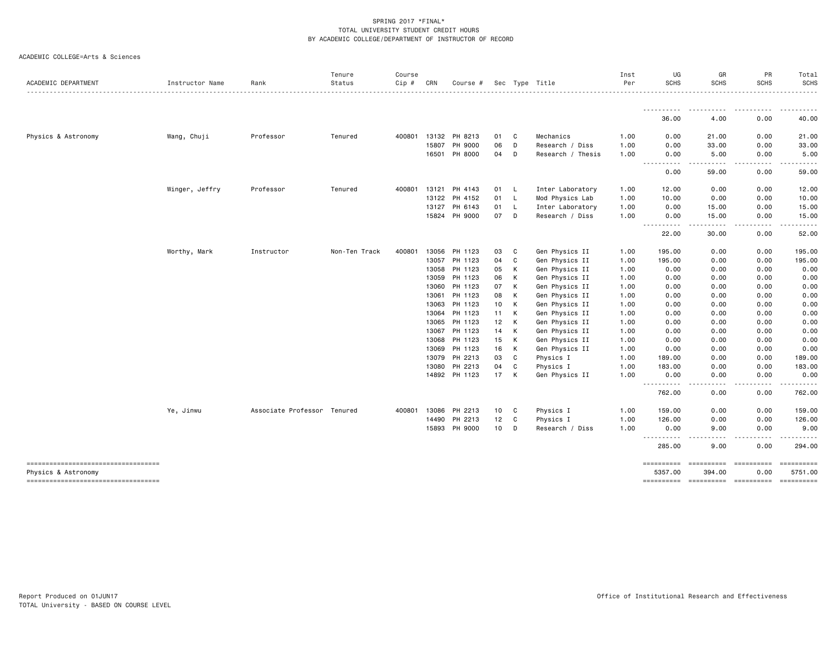|  | ACADEMIC COLLEGE=Arts & Sciences |  |  |
|--|----------------------------------|--|--|
|--|----------------------------------|--|--|

| Tenure<br>Status            | UG<br>GR<br>PR<br>Inst<br><b>SCHS</b><br><b>SCHS</b><br><b>SCHS</b><br>Per                                                                                                                                                                                                                                                                                                                                                                |
|-----------------------------|-------------------------------------------------------------------------------------------------------------------------------------------------------------------------------------------------------------------------------------------------------------------------------------------------------------------------------------------------------------------------------------------------------------------------------------------|
|                             |                                                                                                                                                                                                                                                                                                                                                                                                                                           |
|                             | .<br>$\frac{1}{2}$<br>36.00<br>4.00<br>0.00                                                                                                                                                                                                                                                                                                                                                                                               |
| Professor<br>Tenured        | 0.00<br>21.00<br>0.00<br>1.00                                                                                                                                                                                                                                                                                                                                                                                                             |
|                             | 0.00<br>33.00<br>0.00<br>1.00                                                                                                                                                                                                                                                                                                                                                                                                             |
|                             | 0.00<br>1.00<br>0.00<br>5.00<br>$\frac{1}{2} \left( \frac{1}{2} \right) \left( \frac{1}{2} \right) \left( \frac{1}{2} \right) \left( \frac{1}{2} \right)$<br>$\frac{1}{2} \left( \frac{1}{2} \right) \left( \frac{1}{2} \right) \left( \frac{1}{2} \right) \left( \frac{1}{2} \right) \left( \frac{1}{2} \right)$<br>$\begin{array}{cccccccccccccc} \bullet & \bullet & \bullet & \bullet & \bullet & \bullet & \bullet \end{array}$<br>. |
|                             | 0.00<br>59.00<br>0.00                                                                                                                                                                                                                                                                                                                                                                                                                     |
| Professor<br>Tenured        | 12.00<br>0.00<br>0.00<br>1.00                                                                                                                                                                                                                                                                                                                                                                                                             |
|                             | 10.00<br>0.00<br>0.00<br>1.00                                                                                                                                                                                                                                                                                                                                                                                                             |
|                             | 0.00<br>15.00<br>0.00<br>1.00                                                                                                                                                                                                                                                                                                                                                                                                             |
|                             | 0.00<br>1.00<br>0.00<br>15.00<br>$\frac{1}{2}$<br>.<br>.<br>$\cdots$                                                                                                                                                                                                                                                                                                                                                                      |
|                             | 30.00<br>0.00<br>22.00                                                                                                                                                                                                                                                                                                                                                                                                                    |
| Non-Ten Track<br>Instructor | 0.00<br>1.00<br>195.00<br>0.00                                                                                                                                                                                                                                                                                                                                                                                                            |
|                             | 1.00<br>195.00<br>0.00<br>0.00                                                                                                                                                                                                                                                                                                                                                                                                            |
|                             | 1.00<br>0.00<br>0.00<br>0.00                                                                                                                                                                                                                                                                                                                                                                                                              |
|                             | 0.00<br>0.00<br>0.00<br>1.00                                                                                                                                                                                                                                                                                                                                                                                                              |
|                             | 0.00<br>0.00<br>0.00<br>1.00                                                                                                                                                                                                                                                                                                                                                                                                              |
|                             | 1.00<br>0.00<br>0.00<br>0.00                                                                                                                                                                                                                                                                                                                                                                                                              |
|                             | 0.00<br>0.00<br>0.00<br>1.00                                                                                                                                                                                                                                                                                                                                                                                                              |
|                             | 0.00<br>0.00<br>0.00<br>1.00                                                                                                                                                                                                                                                                                                                                                                                                              |
|                             | 0.00<br>1.00<br>0.00<br>0.00                                                                                                                                                                                                                                                                                                                                                                                                              |
|                             | 0.00<br>0.00<br>0.00<br>1.00                                                                                                                                                                                                                                                                                                                                                                                                              |
|                             | 0.00<br>0.00<br>0.00<br>1.00                                                                                                                                                                                                                                                                                                                                                                                                              |
|                             | 0.00<br>1.00<br>0.00<br>0.00                                                                                                                                                                                                                                                                                                                                                                                                              |
|                             | 0.00<br>0.00<br>1.00<br>189.00                                                                                                                                                                                                                                                                                                                                                                                                            |
|                             | 1.00<br>183.00<br>0.00<br>0.00                                                                                                                                                                                                                                                                                                                                                                                                            |
|                             | 0.00<br>0.00<br>1.00<br>0.00                                                                                                                                                                                                                                                                                                                                                                                                              |
|                             | . <b>.</b><br>.<br>.<br>762.00<br>0.00<br>0.00                                                                                                                                                                                                                                                                                                                                                                                            |
| Associate Professor Tenured | 0.00<br>159.00<br>0.00<br>1.00                                                                                                                                                                                                                                                                                                                                                                                                            |
|                             | 126.00<br>0.00<br>0.00                                                                                                                                                                                                                                                                                                                                                                                                                    |
|                             | 9.00<br>0.00<br>0.00                                                                                                                                                                                                                                                                                                                                                                                                                      |
|                             | .<br>$  -$<br>285.00<br>9.00<br>0.00                                                                                                                                                                                                                                                                                                                                                                                                      |
|                             | ==========<br>==========<br>5357.00<br>394.00<br>0.00                                                                                                                                                                                                                                                                                                                                                                                     |
|                             | PH 2213<br>12<br>C<br>14490<br>Physics I<br>1.00<br>10<br>PH 9000<br>D<br>15893<br>Research / Diss<br>1.00                                                                                                                                                                                                                                                                                                                                |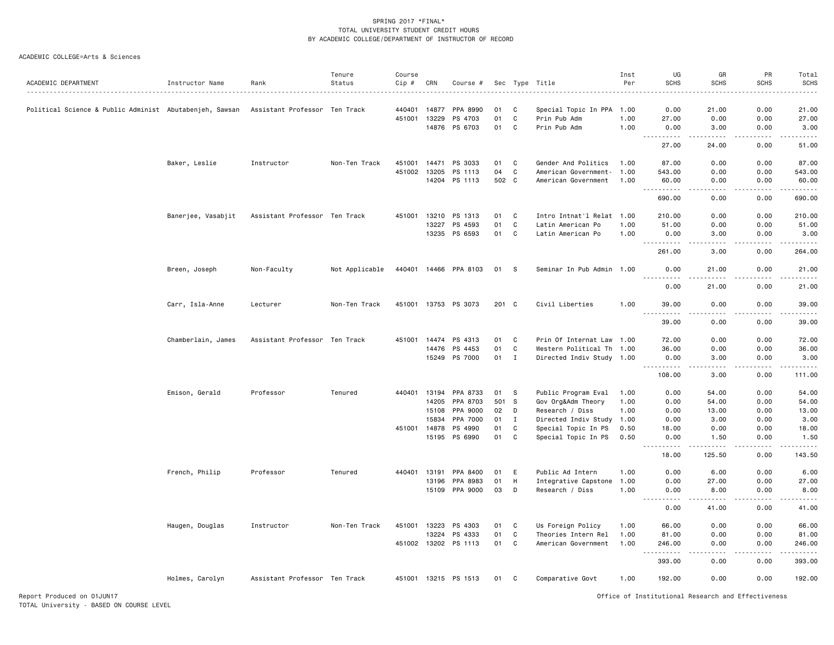|                                                         |                    |                               | Tenure         | Course       |              |                       |          |                  |                                            | Inst | UG                                        | GR                                  | PR                                                                                                                                                                                                                                 | Total              |
|---------------------------------------------------------|--------------------|-------------------------------|----------------|--------------|--------------|-----------------------|----------|------------------|--------------------------------------------|------|-------------------------------------------|-------------------------------------|------------------------------------------------------------------------------------------------------------------------------------------------------------------------------------------------------------------------------------|--------------------|
| ACADEMIC DEPARTMENT                                     | Instructor Name    | Rank                          | Status         | Cip #        | CRN          | Course #              |          |                  | Sec Type Title                             | Per  | <b>SCHS</b>                               | <b>SCHS</b>                         |                                                                                                                                                                                                                                    | <b>SCHS</b>        |
| Political Science & Public Administ Abutabenjeh, Sawsan |                    | Assistant Professor Ten Track |                | 440401       | 14877        | PPA 8990              | 01       | C                | Special Topic In PPA                       | 1.00 | 0.00                                      | 21.00                               |                                                                                                                                                                                                                                    | 21.00              |
|                                                         |                    |                               |                | 451001       | 13229        | PS 4703               | 01       | C                | Prin Pub Adm                               | 1.00 | 27.00                                     | 0.00                                | 0.00                                                                                                                                                                                                                               | 27.00              |
|                                                         |                    |                               |                |              |              | 14876 PS 6703         | 01       | C                | Prin Pub Adm                               | 1.00 | 0.00<br>$\sim$ $\sim$ $\sim$<br>.         | 3.00                                | 0.00                                                                                                                                                                                                                               | 3.00               |
|                                                         |                    |                               |                |              |              |                       |          |                  |                                            |      | 27.00                                     | 24.00                               | 0.00                                                                                                                                                                                                                               | المتمالين<br>51.00 |
|                                                         | Baker, Leslie      | Instructor                    | Non-Ten Track  |              |              | 451001 14471 PS 3033  | 01       | $\mathbf{C}$     | Gender And Politics                        | 1.00 | 87.00                                     | 0.00                                | 0.00                                                                                                                                                                                                                               | 87.00              |
|                                                         |                    |                               |                | 451002       | 13205        | PS 1113               | 04       | C                | American Government- 1.00                  |      | 543.00                                    | 0.00                                | 0.00                                                                                                                                                                                                                               | 543.00             |
|                                                         |                    |                               |                |              |              | 14204 PS 1113         | 502 C    |                  | American Government                        | 1.00 | 60.00<br>.<br>$ -$                        | 0.00                                | 0.00                                                                                                                                                                                                                               | 60.00<br>.         |
|                                                         |                    |                               |                |              |              |                       |          |                  |                                            |      | 690.00                                    | 0.00                                | 0.00                                                                                                                                                                                                                               | 690.00             |
|                                                         | Banerjee, Vasabjit | Assistant Professor Ten Track |                |              | 451001 13210 | PS 1313               | 01       | C                | Intro Intnat'l Relat 1.00                  |      | 210.00                                    | 0.00                                | 0.00                                                                                                                                                                                                                               | 210.00             |
|                                                         |                    |                               |                |              | 13227        | PS 4593               | 01       | $\mathtt{C}$     | Latin American Po                          | 1.00 | 51.00                                     | 0.00                                |                                                                                                                                                                                                                                    | 51.00              |
|                                                         |                    |                               |                |              | 13235        | PS 6593               | 01       | C                | Latin American Po                          | 1.00 | 0.00<br>.                                 | 3.00<br>.                           | -----                                                                                                                                                                                                                              | 3.00<br>دددددد     |
|                                                         |                    |                               |                |              |              |                       |          |                  |                                            |      | 261.00                                    | 3.00                                | 0.00                                                                                                                                                                                                                               | 264.00             |
|                                                         | Breen, Joseph      | Non-Faculty                   | Not Applicable |              |              | 440401 14466 PPA 8103 | 01 S     |                  | Seminar In Pub Admin 1.00                  |      | 0.00<br><u>.</u>                          | 21.00<br>$- - - - -$                | 0.00                                                                                                                                                                                                                               | 21.00<br>.         |
|                                                         |                    |                               |                |              |              |                       |          |                  |                                            |      | 0.00                                      | 21.00                               | 0.00                                                                                                                                                                                                                               | 21.00              |
|                                                         | Carr, Isla-Anne    | Lecturer                      | Non-Ten Track  |              | 451001 13753 | PS 3073               | 201 C    |                  | Civil Liberties                            | 1.00 | 39.00<br>.                                | 0.00                                | 0.00                                                                                                                                                                                                                               | 39.00              |
|                                                         |                    |                               |                |              |              |                       |          |                  |                                            |      | 39.00                                     | .<br>0.00                           | <b>SCHS</b><br>0.00<br>0.00<br>0.00<br>.<br>-----<br>0.00<br>0.00<br>0.00<br>0.00<br>0.00<br>0.00<br>0.00<br>0.00<br>0.00<br>0.00<br>0.00<br>-----<br>0.00<br>0.00<br>0.00<br>0.00<br>0.00<br>0.00<br>0.00<br>0.00<br>0.00<br>0.00 | .<br>39.00         |
|                                                         | Chamberlain, James | Assistant Professor Ten Track |                | 451001       | 14474        | PS 4313               | 01       | C                | Prin Of Internat Law 1.00                  |      | 72.00                                     | 0.00                                |                                                                                                                                                                                                                                    | 72.00              |
|                                                         |                    |                               |                |              | 14476        | PS 4453               | 01       | C                | Western Political Th 1.00                  |      | 36.00                                     | 0.00                                |                                                                                                                                                                                                                                    | 36.00              |
|                                                         |                    |                               |                |              | 15249        | PS 7000               | 01       | $\mathbf{I}$     | Directed Indiv Study 1.00                  |      | 0.00<br>$\sim$ $\sim$ $\sim$<br>د د د د د | 3.00<br>$\sim$ $\sim$ $\sim$ $\sim$ |                                                                                                                                                                                                                                    | 3.00               |
|                                                         |                    |                               |                |              |              |                       |          |                  |                                            |      | 108.00                                    | 3.00                                |                                                                                                                                                                                                                                    | 111.00             |
|                                                         | Emison, Gerald     | Professor                     | Tenured        |              | 440401 13194 | PPA 8733              | 01       | -S               | Public Program Eval                        | 1.00 | 0.00                                      | 54.00                               |                                                                                                                                                                                                                                    | 54.00              |
|                                                         |                    |                               |                |              | 14205        | PPA 8703              | 501 S    |                  | Gov Org&Adm Theory                         | 1.00 | 0.00                                      | 54.00                               |                                                                                                                                                                                                                                    | 54.00              |
|                                                         |                    |                               |                |              | 15108        | PPA 9000              | 02       | D                | Research / Diss                            | 1.00 | 0.00                                      | 13.00                               |                                                                                                                                                                                                                                    | 13.00              |
|                                                         |                    |                               |                | 451001 14878 | 15834        | PPA 7000<br>PS 4990   | 01<br>01 | $\mathbf I$<br>C | Directed Indiv Study 1.00                  | 0.50 | 0.00<br>18.00                             | 3.00<br>0.00                        |                                                                                                                                                                                                                                    | 3.00<br>18.00      |
|                                                         |                    |                               |                |              | 15195        | PS 6990               | 01       | C                | Special Topic In PS<br>Special Topic In PS | 0.50 | 0.00                                      | 1.50                                |                                                                                                                                                                                                                                    | 1.50               |
|                                                         |                    |                               |                |              |              |                       |          |                  |                                            |      | .<br>$\frac{1}{2}$                        | -----                               |                                                                                                                                                                                                                                    | .                  |
|                                                         |                    |                               |                |              |              |                       |          |                  |                                            |      | 18.00                                     | 125.50                              |                                                                                                                                                                                                                                    | 143.50             |
|                                                         | French, Philip     | Professor                     | Tenured        | 440401       | 13191        | PPA 8400              | 01       | E                | Public Ad Intern                           | 1.00 | 0.00                                      | 6.00                                |                                                                                                                                                                                                                                    | 6.00               |
|                                                         |                    |                               |                |              | 13196        | PPA 8983              | 01       | H                | Integrative Capstone 1.00                  |      | 0.00                                      | 27.00                               |                                                                                                                                                                                                                                    | 27.00              |
|                                                         |                    |                               |                |              |              | 15109 PPA 9000        | 03       | D                | Research / Diss                            | 1.00 | 0.00<br>$\sim$ $\sim$ $\sim$<br>لأعاجب    | 8.00                                |                                                                                                                                                                                                                                    | 8.00               |
|                                                         |                    |                               |                |              |              |                       |          |                  |                                            |      | 0.00                                      | 41.00                               |                                                                                                                                                                                                                                    | 41.00              |
|                                                         | Haugen, Douglas    | Instructor                    | Non-Ten Track  |              | 451001 13223 | PS 4303               | 01       | C                | Us Foreign Policy                          | 1.00 | 66.00                                     | 0.00                                |                                                                                                                                                                                                                                    | 66.00              |
|                                                         |                    |                               |                |              | 13224        | PS 4333               | 01       | C                | Theories Intern Rel                        | 1.00 | 81.00                                     | 0.00                                |                                                                                                                                                                                                                                    | 81.00              |
|                                                         |                    |                               |                |              |              | 451002 13202 PS 1113  | 01       | C                | American Government                        | 1.00 | 246.00<br>.<br>$- - -$                    | 0.00                                |                                                                                                                                                                                                                                    | 246.00             |
|                                                         |                    |                               |                |              |              |                       |          |                  |                                            |      | 393.00                                    | 0.00                                |                                                                                                                                                                                                                                    | 393.00             |
|                                                         | Holmes, Carolyn    | Assistant Professor Ten Track |                |              |              | 451001 13215 PS 1513  | 01       | C                | Comparative Govt                           | 1.00 | 192.00                                    | 0.00                                |                                                                                                                                                                                                                                    | 192.00             |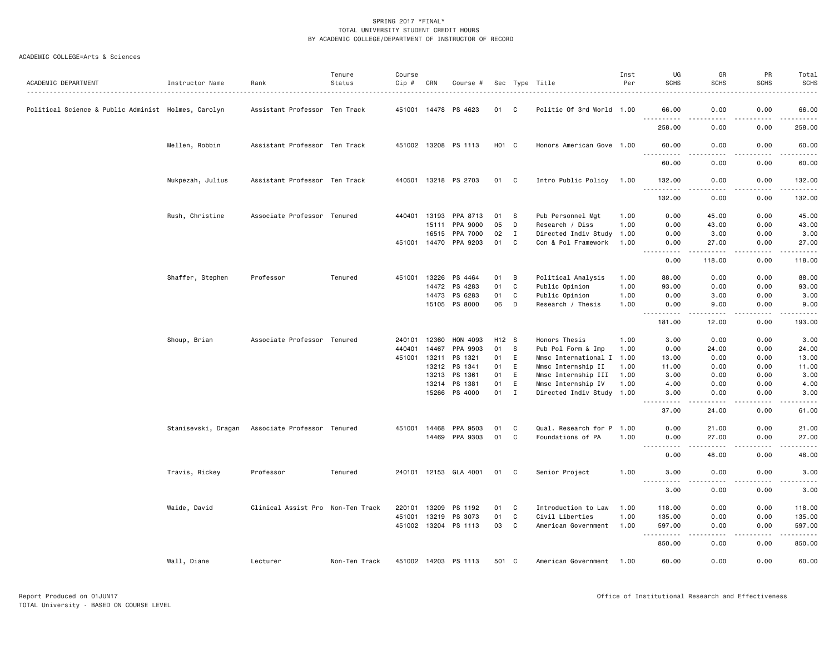| ACADEMIC DEPARTMENT                                 | Instructor Name     | Rank                              | Tenure<br>Status | Course<br>Cip # | CRN   | Course #              |                   |              | Sec Type Title            | Inst<br>Per | UG<br><b>SCHS</b>                                                                                                                                           | GR<br><b>SCHS</b>     | PR<br><b>SCHS</b>                                                                                                                 | Total<br><b>SCHS</b><br>. |
|-----------------------------------------------------|---------------------|-----------------------------------|------------------|-----------------|-------|-----------------------|-------------------|--------------|---------------------------|-------------|-------------------------------------------------------------------------------------------------------------------------------------------------------------|-----------------------|-----------------------------------------------------------------------------------------------------------------------------------|---------------------------|
| Political Science & Public Administ Holmes, Carolyn |                     | Assistant Professor Ten Track     |                  |                 |       | 451001 14478 PS 4623  | 01                | C            | Politic Of 3rd World 1.00 |             | 66.00<br><u>.</u>                                                                                                                                           | 0.00                  | 0.00                                                                                                                              | 66.00                     |
|                                                     |                     |                                   |                  |                 |       |                       |                   |              |                           |             | 258.00                                                                                                                                                      | . <u>. .</u><br>0.00  | .<br>0.00                                                                                                                         | د د د د د د<br>258.00     |
|                                                     | Mellen, Robbin      | Assistant Professor Ten Track     |                  |                 |       | 451002 13208 PS 1113  | H <sub>01</sub> C |              | Honors American Gove 1.00 |             | 60.00                                                                                                                                                       | 0.00<br>د د د د       | 0.00                                                                                                                              | 60.00                     |
|                                                     |                     |                                   |                  |                 |       |                       |                   |              |                           |             | .<br>60.00                                                                                                                                                  | 0.00                  | .<br>0.00                                                                                                                         | .<br>60.00                |
|                                                     | Nukpezah, Julius    | Assistant Professor Ten Track     |                  | 440501          |       | 13218 PS 2703         | 01                | C            | Intro Public Policy       | 1.00        | 132.00<br>$\sim$ $\sim$ $\sim$<br>$\begin{array}{cccccccccccccc} \bullet & \bullet & \bullet & \bullet & \bullet & \bullet & \bullet & \bullet \end{array}$ | 0.00                  | 0.00<br>$\frac{1}{2} \left( \frac{1}{2} \right) \left( \frac{1}{2} \right) \left( \frac{1}{2} \right) \left( \frac{1}{2} \right)$ | 132.00<br>.               |
|                                                     |                     |                                   |                  |                 |       |                       |                   |              |                           |             | 132.00                                                                                                                                                      | 0.00                  | 0.00                                                                                                                              | 132.00                    |
|                                                     | Rush, Christine     | Associate Professor Tenured       |                  | 440401          | 13193 | PPA 8713              | 01                | -S           | Pub Personnel Mgt         | 1.00        | 0.00                                                                                                                                                        | 45.00                 | 0.00                                                                                                                              | 45.00                     |
|                                                     |                     |                                   |                  |                 | 15111 | PPA 9000              | 05                | D            | Research / Diss           | 1.00        | 0.00                                                                                                                                                        | 43.00                 | 0.00                                                                                                                              | 43.00                     |
|                                                     |                     |                                   |                  |                 | 16515 | PPA 7000              | 02                | $\mathbf I$  | Directed Indiv Study      | 1.00        | 0.00                                                                                                                                                        | 3.00                  | 0.00                                                                                                                              | 3.00                      |
|                                                     |                     |                                   |                  |                 |       | 451001 14470 PPA 9203 | 01                | C            | Con & Pol Framework       | 1.00        | 0.00<br>$\omega$ $\omega$ $\omega$ .<br>1.1.1.1.1                                                                                                           | 27.00<br>.            | 0.00<br>.                                                                                                                         | 27.00<br>.                |
|                                                     |                     |                                   |                  |                 |       |                       |                   |              |                           |             | 0.00                                                                                                                                                        | 118.00                | 0.00                                                                                                                              | 118.00                    |
|                                                     | Shaffer, Stephen    | Professor                         | Tenured          | 451001 13226    |       | PS 4464               | 01                | B            | Political Analysis        | 1.00        | 88.00                                                                                                                                                       | 0.00                  | 0.00                                                                                                                              | 88.00                     |
|                                                     |                     |                                   |                  |                 | 14472 | PS 4283               | 01                | C            | Public Opinion            | 1.00        | 93.00                                                                                                                                                       | 0.00                  | 0.00                                                                                                                              | 93.00                     |
|                                                     |                     |                                   |                  |                 | 14473 | PS 6283               | 01                | C            | Public Opinion            | 1.00        | 0.00                                                                                                                                                        | 3.00                  | 0.00                                                                                                                              | 3.00                      |
|                                                     |                     |                                   |                  |                 |       |                       |                   |              |                           |             |                                                                                                                                                             |                       |                                                                                                                                   |                           |
|                                                     |                     |                                   |                  |                 |       | 15105 PS 8000         | 06                | D            | Research / Thesis         | 1.00        | 0.00<br>. <u>.</u> .                                                                                                                                        | 9.00<br>-----         | 0.00<br>.                                                                                                                         | 9.00<br>.                 |
|                                                     |                     |                                   |                  |                 |       |                       |                   |              |                           |             | 181.00                                                                                                                                                      | 12.00                 | 0.00                                                                                                                              | 193.00                    |
|                                                     | Shoup, Brian        | Associate Professor Tenured       |                  | 240101          | 12360 | HON 4093              | H <sub>12</sub> S |              | Honors Thesis             | 1.00        | 3.00                                                                                                                                                        | 0.00                  | 0.00                                                                                                                              | 3.00                      |
|                                                     |                     |                                   |                  | 440401          | 14467 | PPA 9903              | 01                | S            | Pub Pol Form & Imp        | 1.00        | 0.00                                                                                                                                                        | 24.00                 | 0.00                                                                                                                              | 24.00                     |
|                                                     |                     |                                   |                  | 451001          | 13211 | PS 1321               | 01                | E            | Mmsc International I      | 1.00        | 13.00                                                                                                                                                       | 0.00                  | 0.00                                                                                                                              | 13.00                     |
|                                                     |                     |                                   |                  |                 | 13212 | PS 1341               | 01                | E            | Mmsc Internship II        | 1.00        | 11.00                                                                                                                                                       | 0.00                  | 0.00                                                                                                                              | 11.00                     |
|                                                     |                     |                                   |                  |                 | 13213 | PS 1361               | 01                | E            | Mmsc Internship III       | 1.00        | 3.00                                                                                                                                                        | 0.00                  | 0.00                                                                                                                              | 3.00                      |
|                                                     |                     |                                   |                  |                 | 13214 | PS 1381               | 01                | E            | Mmsc Internship IV        | 1.00        | 4.00                                                                                                                                                        | 0.00                  | 0.00                                                                                                                              | 4.00                      |
|                                                     |                     |                                   |                  |                 | 15266 | PS 4000               | 01                | $\mathbf{I}$ | Directed Indiv Study 1.00 |             | 3.00                                                                                                                                                        | 0.00                  | 0.00                                                                                                                              | 3.00                      |
|                                                     |                     |                                   |                  |                 |       |                       |                   |              |                           |             | $- - - - -$<br>37.00                                                                                                                                        | .<br>24.00            | $- - - -$<br>0.00                                                                                                                 | د د د د د<br>61.00        |
|                                                     | Stanisevski, Dragan | Associate Professor Tenured       |                  | 451001 14468    |       | PPA 9503              | 01                | C            | Qual. Research for<br>P   | 1.00        | 0.00                                                                                                                                                        | 21.00                 | 0.00                                                                                                                              | 21.00                     |
|                                                     |                     |                                   |                  |                 | 14469 | PPA 9303              | 01                | C            | Foundations of PA         | 1.00        | 0.00<br>$- - -$<br>.                                                                                                                                        | 27.00<br>. <b>.</b> . | 0.00<br>.                                                                                                                         | 27.00<br>.                |
|                                                     |                     |                                   |                  |                 |       |                       |                   |              |                           |             | 0.00                                                                                                                                                        | 48.00                 | 0.00                                                                                                                              | 48.00                     |
|                                                     | Travis, Rickey      | Professor                         | Tenured          |                 |       | 240101 12153 GLA 4001 | 01                | C            | Senior Project            | 1.00        | 3.00<br><u>.</u>                                                                                                                                            | 0.00<br>$   -$        | 0.00<br>$- - - -$                                                                                                                 | 3.00<br>.                 |
|                                                     |                     |                                   |                  |                 |       |                       |                   |              |                           |             | 3.00                                                                                                                                                        | 0.00                  | 0.00                                                                                                                              | 3.00                      |
|                                                     | Waide, David        | Clinical Assist Pro Non-Ten Track |                  | 220101          | 13209 | PS 1192               | 01                | C            | Introduction to Law       | 1.00        | 118.00                                                                                                                                                      | 0.00                  | 0.00                                                                                                                              | 118.00                    |
|                                                     |                     |                                   |                  | 451001          | 13219 | PS 3073               | 01                | $\mathbf c$  | Civil Liberties           | 1.00        | 135.00                                                                                                                                                      | 0.00                  | 0.00                                                                                                                              | 135.00                    |
|                                                     |                     |                                   |                  |                 |       | 451002 13204 PS 1113  | 03                | C            | American Government       | 1.00        | 597.00<br><u>.</u>                                                                                                                                          | 0.00<br>.             | 0.00<br>.                                                                                                                         | 597.00<br>.               |
|                                                     |                     |                                   |                  |                 |       |                       |                   |              |                           |             | 850.00                                                                                                                                                      | 0.00                  | 0.00                                                                                                                              | 850.00                    |
|                                                     | Wall, Diane         | Lecturer                          | Non-Ten Track    |                 |       | 451002 14203 PS 1113  | 501 C             |              | American Government       | 1.00        | 60.00                                                                                                                                                       | 0.00                  | 0.00                                                                                                                              | 60.00                     |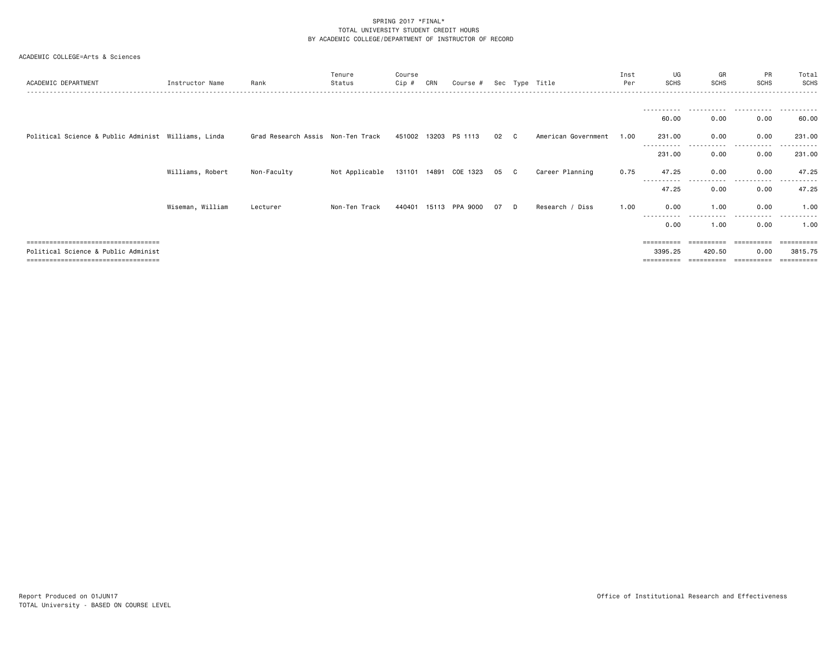| ACADEMIC DEPARTMENT                                                          | Instructor Name  | Rank                               | Tenure<br>Status | Course<br>Cip # | CRN | Course #                 |      |   | Sec Type Title      | Inst<br>Per | UG<br><b>SCHS</b>     | GR<br><b>SCHS</b>   | PR<br><b>SCHS</b> | Total<br><b>SCHS</b> |
|------------------------------------------------------------------------------|------------------|------------------------------------|------------------|-----------------|-----|--------------------------|------|---|---------------------|-------------|-----------------------|---------------------|-------------------|----------------------|
|                                                                              |                  |                                    |                  |                 |     |                          |      |   |                     |             |                       |                     |                   |                      |
|                                                                              |                  |                                    |                  |                 |     |                          |      |   |                     |             | 60.00                 | 0.00                | 0.00              | 60.00                |
| Political Science & Public Administ Williams, Linda                          |                  | Grad Research Assis  Non-Ten Track |                  | 451002 13203    |     | PS 1113                  | 02   | C | American Government | 1.00        | 231.00                | 0.00                | 0.00              | 231.00               |
|                                                                              |                  |                                    |                  |                 |     |                          |      |   |                     |             | 231.00                | .<br>0.00           | .<br>0.00         | 231.00               |
|                                                                              | Williams, Robert | Non-Faculty                        | Not Applicable   |                 |     | 131101  14891  COE  1323 | 05 C |   | Career Planning     | 0.75        | 47.25                 | 0.00                | 0.00              | 47.25                |
|                                                                              |                  |                                    |                  |                 |     |                          |      |   |                     |             | -----------<br>47.25  | -------<br>0.00     | .<br>0.00         | .<br>47.25           |
|                                                                              | Wiseman, William | Lecturer                           | Non-Ten Track    | 440401          |     | 15113 PPA 9000           | 07   | D | Research / Diss     | 1.00        | 0.00                  | 1.00                | 0.00              | 1.00                 |
|                                                                              |                  |                                    |                  |                 |     |                          |      |   |                     |             | -----------<br>0.00   | -----------<br>1.00 | .<br>0.00         | .<br>1.00            |
| =====================================                                        |                  |                                    |                  |                 |     |                          |      |   |                     |             | $=$ = = = = = = = = = | ==========          | ==========        | ==========           |
| Political Science & Public Administ<br>===================================== |                  |                                    |                  |                 |     |                          |      |   |                     |             | 3395.25               | 420.50              | 0.00              | 3815.75<br>:=======  |
|                                                                              |                  |                                    |                  |                 |     |                          |      |   |                     |             |                       |                     |                   |                      |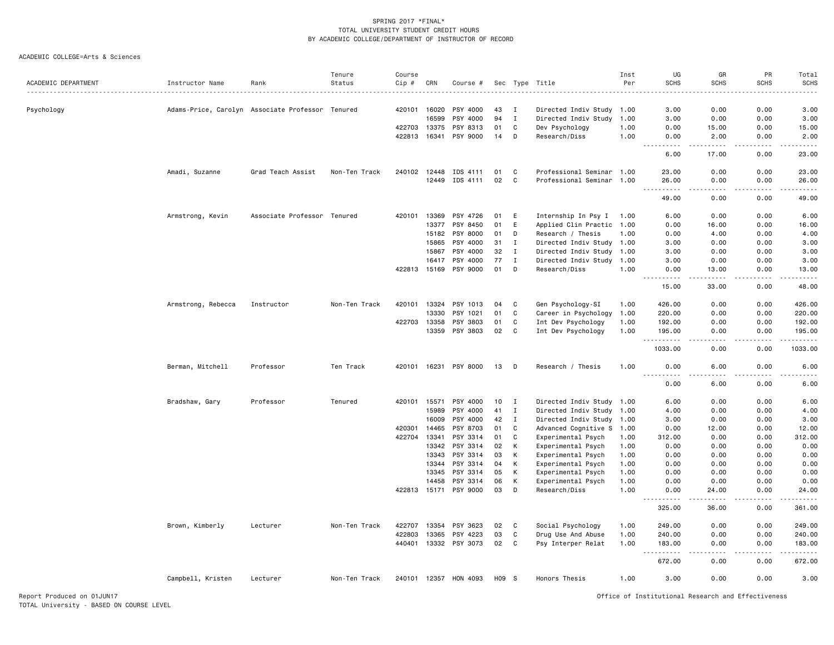#### ACADEMIC COLLEGE=Arts & Sciences

|                     |                    |                                                  | Tenure        | Course |       |                       |       |              |                           | Inst | UG                                            | GR                                                                                                                                                           | PR        | Total                                                                                                                             |
|---------------------|--------------------|--------------------------------------------------|---------------|--------|-------|-----------------------|-------|--------------|---------------------------|------|-----------------------------------------------|--------------------------------------------------------------------------------------------------------------------------------------------------------------|-----------|-----------------------------------------------------------------------------------------------------------------------------------|
| ACADEMIC DEPARTMENT | Instructor Name    | Rank                                             | Status        | Cip #  | CRN   | Course #              |       |              | Sec Type Title            | Per  | <b>SCHS</b>                                   | <b>SCHS</b>                                                                                                                                                  | SCHS      | <b>SCHS</b>                                                                                                                       |
|                     |                    |                                                  |               |        |       |                       |       |              |                           |      |                                               |                                                                                                                                                              |           | <u>.</u>                                                                                                                          |
|                     |                    |                                                  |               |        |       |                       |       |              |                           |      |                                               |                                                                                                                                                              |           |                                                                                                                                   |
| Psychology          |                    | Adams-Price, Carolyn Associate Professor Tenured |               | 420101 | 16020 | PSY 4000              | 43    | $\mathbf{I}$ | Directed Indiv Study 1.00 |      | 3.00                                          | 0.00                                                                                                                                                         | 0.00      | 3.00                                                                                                                              |
|                     |                    |                                                  |               |        | 16599 | PSY 4000              | 94    | $\;$ I       | Directed Indiv Study      | 1.00 | 3.00                                          | 0.00                                                                                                                                                         | 0.00      | 3.00                                                                                                                              |
|                     |                    |                                                  |               | 422703 | 13375 | PSY 8313              | 01    | C            | Dev Psychology            | 1.00 | 0.00                                          | 15.00                                                                                                                                                        | 0.00      | 15.00                                                                                                                             |
|                     |                    |                                                  |               | 422813 | 16341 | PSY 9000              | 14    | D            | Research/Diss             | 1.00 | 0.00                                          | 2.00<br>$\frac{1}{2} \left( \frac{1}{2} \right) \left( \frac{1}{2} \right) \left( \frac{1}{2} \right) \left( \frac{1}{2} \right) \left( \frac{1}{2} \right)$ | 0.00<br>. | 2.00<br>وساعات                                                                                                                    |
|                     |                    |                                                  |               |        |       |                       |       |              |                           |      | 6.00                                          | 17.00                                                                                                                                                        | 0.00      | 23.00                                                                                                                             |
|                     | Amadi, Suzanne     | Grad Teach Assist                                | Non-Ten Track | 240102 | 12448 | IDS 4111              | 01    | C            | Professional Seminar 1.00 |      | 23.00                                         | 0.00                                                                                                                                                         | 0.00      | 23,00                                                                                                                             |
|                     |                    |                                                  |               |        | 12449 | IDS 4111              | 02    | C            | Professional Seminar 1.00 |      | 26.00                                         | 0.00                                                                                                                                                         | 0.00      | 26,00                                                                                                                             |
|                     |                    |                                                  |               |        |       |                       |       |              |                           |      | $\sim$ $\sim$ $\sim$<br>. <u>.</u> .<br>49.00 | 0.00                                                                                                                                                         | 0.00      | .<br>49.00                                                                                                                        |
|                     | Armstrong, Kevin   | Associate Professor Tenured                      |               | 420101 | 13369 | PSY 4726              | 01    | E            | Internship In Psy I       | 1.00 | 6.00                                          | 0.00                                                                                                                                                         | 0.00      | 6.00                                                                                                                              |
|                     |                    |                                                  |               |        | 13377 | PSY 8450              | 01    | E            | Applied Clin Practic 1.00 |      | 0.00                                          | 16.00                                                                                                                                                        | 0.00      | 16.00                                                                                                                             |
|                     |                    |                                                  |               |        | 15182 | PSY 8000              | 01    | D            | Research / Thesis         | 1.00 | 0.00                                          | 4.00                                                                                                                                                         | 0.00      | 4.00                                                                                                                              |
|                     |                    |                                                  |               |        | 15865 | PSY 4000              | 31    | $\mathbf{I}$ | Directed Indiv Study      | 1.00 | 3.00                                          | 0.00                                                                                                                                                         | 0.00      | 3.00                                                                                                                              |
|                     |                    |                                                  |               |        | 15867 | PSY 4000              | 32    | $\mathbf{I}$ | Directed Indiv Study 1.00 |      | 3.00                                          | 0.00                                                                                                                                                         | 0.00      | 3.00                                                                                                                              |
|                     |                    |                                                  |               |        | 16417 | PSY 4000              | 77    | $\mathbf I$  | Directed Indiv Study      | 1.00 | 3.00                                          | 0.00                                                                                                                                                         | 0.00      | 3.00                                                                                                                              |
|                     |                    |                                                  |               | 422813 | 15169 | PSY 9000              | 01    | D            | Research/Diss             | 1.00 | 0.00                                          | 13.00                                                                                                                                                        | 0.00      | 13.00                                                                                                                             |
|                     |                    |                                                  |               |        |       |                       |       |              |                           |      | .<br>$\sim$ $\sim$ $\sim$ $\sim$              | $\frac{1}{2} \left( \frac{1}{2} \right) \left( \frac{1}{2} \right) \left( \frac{1}{2} \right) \left( \frac{1}{2} \right) \left( \frac{1}{2} \right)$         | .         | .                                                                                                                                 |
|                     |                    |                                                  |               |        |       |                       |       |              |                           |      | 15.00                                         | 33.00                                                                                                                                                        | 0.00      | 48.00                                                                                                                             |
|                     | Armstrong, Rebecca | Instructor                                       | Non-Ten Track | 420101 | 13324 | PSY 1013              | 04    | C            | Gen Psychology-SI         | 1.00 | 426.00                                        | 0.00                                                                                                                                                         | 0.00      | 426.00                                                                                                                            |
|                     |                    |                                                  |               |        | 13330 | PSY 1021              | 01    | C            | Career in Psychology      | 1.00 | 220.00                                        | 0.00                                                                                                                                                         | 0.00      | 220.00                                                                                                                            |
|                     |                    |                                                  |               | 422703 | 13358 | PSY 3803              | 01    | C            | Int Dev Psychology        | 1.00 | 192.00                                        | 0.00                                                                                                                                                         | 0.00      | 192.00                                                                                                                            |
|                     |                    |                                                  |               |        | 13359 | PSY 3803              | 02    | C            | Int Dev Psychology        | 1.00 | 195.00<br>.                                   | 0.00<br>$\frac{1}{2}$                                                                                                                                        | 0.00<br>. | 195.00<br>.                                                                                                                       |
|                     |                    |                                                  |               |        |       |                       |       |              |                           |      | 1033.00                                       | 0.00                                                                                                                                                         | 0.00      | 1033.00                                                                                                                           |
|                     | Berman, Mitchell   | Professor                                        | Ten Track     | 420101 | 16231 | PSY 8000              | 13    | D            | Research / Thesis         | 1.00 | 0.00                                          | 6.00                                                                                                                                                         | 0.00      | 6.00                                                                                                                              |
|                     |                    |                                                  |               |        |       |                       |       |              |                           |      | 0.00                                          | $\sim$ $\sim$ $\sim$<br>6.00                                                                                                                                 | .<br>0.00 | $\frac{1}{2} \left( \frac{1}{2} \right) \left( \frac{1}{2} \right) \left( \frac{1}{2} \right) \left( \frac{1}{2} \right)$<br>6.00 |
|                     | Bradshaw, Gary     | Professor                                        | Tenured       | 420101 | 15571 | PSY 4000              | 10    | I            | Directed Indiv Study 1.00 |      | 6.00                                          | 0.00                                                                                                                                                         | 0.00      | 6.00                                                                                                                              |
|                     |                    |                                                  |               |        | 15989 | PSY 4000              | 41    | $\mathbf I$  | Directed Indiv Study 1.00 |      | 4.00                                          | 0.00                                                                                                                                                         | 0.00      | 4.00                                                                                                                              |
|                     |                    |                                                  |               |        | 16009 | PSY 4000              | 42    | $\mathbf I$  | Directed Indiv Study 1.00 |      | 3.00                                          | 0.00                                                                                                                                                         | 0.00      | 3.00                                                                                                                              |
|                     |                    |                                                  |               | 420301 | 14465 | PSY 8703              | 01    | C            | Advanced Cognitive S 1.00 |      | 0.00                                          | 12.00                                                                                                                                                        | 0.00      | 12.00                                                                                                                             |
|                     |                    |                                                  |               | 422704 | 13341 | PSY 3314              | 01    | C            | Experimental Psych        | 1.00 | 312.00                                        | 0.00                                                                                                                                                         | 0.00      | 312.00                                                                                                                            |
|                     |                    |                                                  |               |        | 13342 | PSY 3314              | 02    | К            | Experimental Psych        | 1.00 | 0.00                                          | 0.00                                                                                                                                                         | 0.00      | 0.00                                                                                                                              |
|                     |                    |                                                  |               |        | 13343 | PSY 3314              | 03    | К            | Experimental Psych        | 1.00 | 0.00                                          | 0.00                                                                                                                                                         | 0.00      | 0.00                                                                                                                              |
|                     |                    |                                                  |               |        | 13344 | PSY 3314              | 04    | К            | Experimental Psych        | 1.00 | 0.00                                          | 0.00                                                                                                                                                         | 0.00      | 0.00                                                                                                                              |
|                     |                    |                                                  |               |        | 13345 | PSY 3314              | 05    | К            | Experimental Psych        | 1.00 | 0.00                                          | 0.00                                                                                                                                                         | 0.00      | 0.00                                                                                                                              |
|                     |                    |                                                  |               |        | 14458 | PSY 3314              | 06    | K            | Experimental Psych        | 1.00 | 0.00                                          | 0.00                                                                                                                                                         | 0.00      | 0.00                                                                                                                              |
|                     |                    |                                                  |               |        |       | 422813 15171 PSY 9000 | 03    | D            | Research/Diss             | 1.00 | 0.00                                          | 24.00                                                                                                                                                        | 0.00      | 24.00                                                                                                                             |
|                     |                    |                                                  |               |        |       |                       |       |              |                           |      | 325.00                                        | .<br>36.00                                                                                                                                                   | .<br>0.00 | .<br>361.00                                                                                                                       |
|                     |                    |                                                  |               |        |       |                       |       |              |                           |      |                                               |                                                                                                                                                              |           |                                                                                                                                   |
|                     | Brown, Kimberly    | Lecturer                                         | Non-Ten Track | 422707 | 13354 | PSY 3623              | 02    | C            | Social Psychology         | 1.00 | 249.00                                        | 0.00                                                                                                                                                         | 0.00      | 249.00                                                                                                                            |
|                     |                    |                                                  |               | 422803 | 13365 | PSY 4223              | 03    | C            | Drug Use And Abuse        | 1.00 | 240.00                                        | 0.00                                                                                                                                                         | 0.00      | 240.00                                                                                                                            |
|                     |                    |                                                  |               | 440401 | 13332 | PSY 3073              | 02    | C            | Psy Interper Relat        | 1.00 | 183.00                                        | 0.00                                                                                                                                                         | 0.00      | 183.00                                                                                                                            |
|                     |                    |                                                  |               |        |       |                       |       |              |                           |      | 672.00                                        | 0.00                                                                                                                                                         | 0.00      | 672.00                                                                                                                            |
|                     | Campbell, Kristen  | Lecturer                                         | Non-Ten Track |        |       | 240101 12357 HON 4093 | H09 S |              | Honors Thesis             | 1.00 | 3.00                                          | 0.00                                                                                                                                                         | 0.00      | 3.00                                                                                                                              |

Report Produced on 01JUN17 Office of Institutional Research and Effectiveness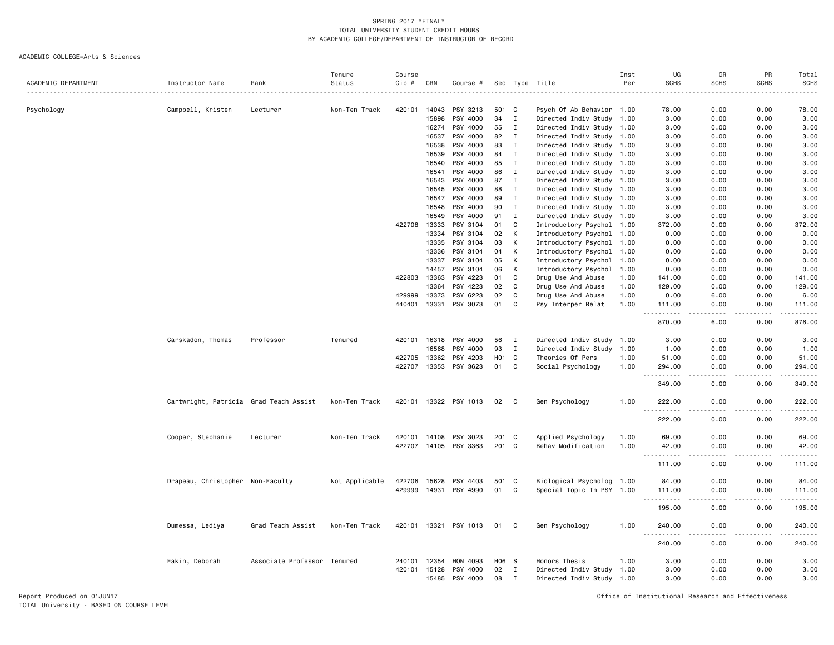ACADEMIC COLLEGE=Arts & Sciences

|                     |                                        |                             | Tenure         | Course |              |                       |                  |              |                           | Inst | UG                                              | GR                           | PR          | Total                                                                                                                                                                                     |
|---------------------|----------------------------------------|-----------------------------|----------------|--------|--------------|-----------------------|------------------|--------------|---------------------------|------|-------------------------------------------------|------------------------------|-------------|-------------------------------------------------------------------------------------------------------------------------------------------------------------------------------------------|
| ACADEMIC DEPARTMENT | Instructor Name                        | Rank                        | Status         | Cip #  | CRN          | Course #              |                  |              | Sec Type Title            | Per  | <b>SCHS</b>                                     | <b>SCHS</b>                  | <b>SCHS</b> | <b>SCHS</b>                                                                                                                                                                               |
| Psychology          | Campbell, Kristen                      | Lecturer                    | Non-Ten Track  | 420101 | 14043        | PSY 3213              | 501              | C            | Psych Of Ab Behavior 1.00 |      | 78.00                                           | 0.00                         | 0.00        | 78.00                                                                                                                                                                                     |
|                     |                                        |                             |                |        | 15898        | PSY 4000              | 34               | I            | Directed Indiv Study 1.00 |      | 3.00                                            | 0.00                         | 0.00        | 3.00                                                                                                                                                                                      |
|                     |                                        |                             |                |        |              | 16274 PSY 4000        | 55               | $\mathbf I$  | Directed Indiv Study 1.00 |      | 3.00                                            | 0.00                         | 0.00        | 3.00                                                                                                                                                                                      |
|                     |                                        |                             |                |        | 16537        | PSY 4000              | 82               | $\mathbf{I}$ | Directed Indiv Study 1.00 |      | 3.00                                            | 0.00                         | 0.00        | 3.00                                                                                                                                                                                      |
|                     |                                        |                             |                |        | 16538        | PSY 4000              | 83               | I            | Directed Indiv Study 1.00 |      | 3.00                                            | 0.00                         | 0.00        | 3.00                                                                                                                                                                                      |
|                     |                                        |                             |                |        | 16539        | PSY 4000              | 84               | $\mathbf I$  | Directed Indiv Study 1.00 |      | 3.00                                            | 0.00                         | 0.00        | 3.00                                                                                                                                                                                      |
|                     |                                        |                             |                |        | 16540        | PSY 4000              | 85               | $\mathbf{I}$ | Directed Indiv Study 1.00 |      | 3.00                                            | 0.00                         | 0.00        | 3.00                                                                                                                                                                                      |
|                     |                                        |                             |                |        | 16541        | PSY 4000              | 86               | $\mathbf I$  | Directed Indiv Study 1.00 |      | 3.00                                            | 0.00                         | 0.00        | 3.00                                                                                                                                                                                      |
|                     |                                        |                             |                |        | 16543        | PSY 4000              | 87               | I            | Directed Indiv Study 1.00 |      | 3.00                                            | 0.00                         | 0.00        | 3.00                                                                                                                                                                                      |
|                     |                                        |                             |                |        | 16545        | PSY 4000              | 88               | $\mathbf I$  | Directed Indiv Study 1.00 |      | 3.00                                            | 0.00                         | 0.00        | 3.00                                                                                                                                                                                      |
|                     |                                        |                             |                |        | 16547        | PSY 4000              | 89               | $\mathbf{I}$ | Directed Indiv Study 1.00 |      | 3.00                                            | 0.00                         | 0.00        | 3.00                                                                                                                                                                                      |
|                     |                                        |                             |                |        | 16548        | PSY 4000              | 90               | $\mathbf I$  | Directed Indiv Study 1.00 |      | 3.00                                            | 0.00                         | 0.00        | 3.00                                                                                                                                                                                      |
|                     |                                        |                             |                |        | 16549        | PSY 4000              | 91               | I            | Directed Indiv Study 1.00 |      | 3.00                                            | 0.00                         | 0.00        | 3.00                                                                                                                                                                                      |
|                     |                                        |                             |                | 422708 | 13333        | PSY 3104              | 01               | C            | Introductory Psychol 1.00 |      | 372.00                                          | 0.00                         | 0.00        | 372.00                                                                                                                                                                                    |
|                     |                                        |                             |                |        | 13334        | PSY 3104              | 02               | к            | Introductory Psychol 1.00 |      | 0.00                                            | 0.00                         | 0.00        | 0.00                                                                                                                                                                                      |
|                     |                                        |                             |                |        | 13335        | PSY 3104              | 03               | K            | Introductory Psychol 1.00 |      | 0.00                                            | 0.00                         | 0.00        | 0.00                                                                                                                                                                                      |
|                     |                                        |                             |                |        | 13336        | PSY 3104              | 04               | K            | Introductory Psychol 1.00 |      | 0.00                                            | 0.00                         | 0.00        | 0.00                                                                                                                                                                                      |
|                     |                                        |                             |                |        | 13337        | PSY 3104              | 05               | К            | Introductory Psychol 1.00 |      | 0.00                                            | 0.00                         | 0.00        | 0.00                                                                                                                                                                                      |
|                     |                                        |                             |                |        | 14457        | PSY 3104              | 06               | К            | Introductory Psychol      | 1.00 | 0.00                                            | 0.00                         | 0.00        | 0.00                                                                                                                                                                                      |
|                     |                                        |                             |                | 422803 | 13363        | PSY 4223              | 01               | C            | Drug Use And Abuse        | 1.00 | 141.00                                          | 0.00                         | 0.00        | 141.00                                                                                                                                                                                    |
|                     |                                        |                             |                |        | 13364        | PSY 4223              | 02               | C            | Drug Use And Abuse        | 1.00 | 129.00                                          | 0.00                         | 0.00        | 129.00                                                                                                                                                                                    |
|                     |                                        |                             |                | 429999 | 13373        | PSY 6223              | 02               | C            | Drug Use And Abuse        | 1.00 | 0.00                                            | 6.00                         | 0.00        | 6.00                                                                                                                                                                                      |
|                     |                                        |                             |                | 440401 | 13331        | PSY 3073              | 01               | C            | Psy Interper Relat        | 1.00 | 111.00<br>$\frac{1}{2}$                         | 0.00                         | 0.00        | 111.00<br>$\frac{1}{2} \left( \frac{1}{2} \right) \left( \frac{1}{2} \right) \left( \frac{1}{2} \right) \left( \frac{1}{2} \right) \left( \frac{1}{2} \right)$                            |
|                     |                                        |                             |                |        |              |                       |                  |              |                           |      | 870.00                                          | 6.00                         | 0.00        | 876.00                                                                                                                                                                                    |
|                     | Carskadon, Thomas                      | Professor                   | Tenured        |        | 420101 16318 | PSY 4000              | 56               | I            | Directed Indiv Study 1.00 |      | 3.00                                            | 0.00                         | 0.00        | 3.00                                                                                                                                                                                      |
|                     |                                        |                             |                |        | 16568        | PSY 4000              | 93               | $\mathbf I$  | Directed Indiv Study 1.00 |      | 1.00                                            | 0.00                         | 0.00        | 1.00                                                                                                                                                                                      |
|                     |                                        |                             |                | 422705 | 13362        | PSY 4203              | H <sub>0</sub> 1 | C            | Theories Of Pers          | 1.00 | 51.00                                           | 0.00                         | 0.00        | 51.00                                                                                                                                                                                     |
|                     |                                        |                             |                |        |              | 422707 13353 PSY 3623 | 01               | C            | Social Psychology         | 1.00 | 294.00<br>.                                     | 0.00                         | 0.00        | 294.00<br>$\frac{1}{2} \left( \frac{1}{2} \right) \left( \frac{1}{2} \right) \left( \frac{1}{2} \right) \left( \frac{1}{2} \right) \left( \frac{1}{2} \right) \left( \frac{1}{2} \right)$ |
|                     |                                        |                             |                |        |              |                       |                  |              |                           |      | 349.00                                          | 0.00                         | 0.00        | 349.00                                                                                                                                                                                    |
|                     | Cartwright, Patricia Grad Teach Assist |                             | Non-Ten Track  |        |              | 420101 13322 PSY 1013 | 02               | C.           | Gen Psychology            | 1.00 | 222.00<br>$\sim$ $\sim$ $\sim$<br>$\frac{1}{2}$ | 0.00                         | 0.00        | 222.00<br>.                                                                                                                                                                               |
|                     |                                        |                             |                |        |              |                       |                  |              |                           |      | 222.00                                          | 0.00                         | 0.00        | 222.00                                                                                                                                                                                    |
|                     | Cooper, Stephanie                      | Lecturer                    | Non-Ten Track  |        | 420101 14108 | PSY 3023              | 201 C            |              | Applied Psychology        | 1.00 | 69.00                                           | 0.00                         | 0.00        | 69.00                                                                                                                                                                                     |
|                     |                                        |                             |                |        |              | 422707 14105 PSY 3363 | 201 C            |              | Behav Modification        | 1.00 | 42.00<br>.                                      | 0.00<br>$\sim$ $\sim$ $\sim$ | 0.00<br>.   | 42.00<br>.                                                                                                                                                                                |
|                     |                                        |                             |                |        |              |                       |                  |              |                           |      | $\sim$ $\sim$ $\sim$<br>111.00                  | 0.00                         | 0.00        | 111.00                                                                                                                                                                                    |
|                     | Drapeau, Christopher Non-Faculty       |                             | Not Applicable | 422706 | 15628        | PSY 4403              | 501              | $\mathbf{C}$ | Biological Psycholog 1.00 |      | 84.00                                           | 0.00                         | 0.00        | 84.00                                                                                                                                                                                     |
|                     |                                        |                             |                | 429999 |              | 14931 PSY 4990        | 01               | C            | Special Topic In PSY 1.00 |      | 111.00<br>.<br>$\sim$ $\sim$ $\sim$             | 0.00<br>.                    | 0.00<br>.   | 111.00<br>.                                                                                                                                                                               |
|                     |                                        |                             |                |        |              |                       |                  |              |                           |      | 195.00                                          | 0.00                         | 0.00        | 195.00                                                                                                                                                                                    |
|                     | Dumessa, Lediya                        | Grad Teach Assist           | Non-Ten Track  |        |              | 420101 13321 PSY 1013 | 01               | C            | Gen Psychology            | 1.00 | 240.00                                          | 0.00                         | 0.00        | 240.00                                                                                                                                                                                    |
|                     |                                        |                             |                |        |              |                       |                  |              |                           |      | 240.00                                          | 0.00                         | 0.00        | 240.00                                                                                                                                                                                    |
|                     | Eakin, Deborah                         | Associate Professor Tenured |                | 240101 | 12354        | HON 4093              | H06 S            |              | Honors Thesis             | 1.00 | 3.00                                            | 0.00                         | 0.00        | 3.00                                                                                                                                                                                      |
|                     |                                        |                             |                | 420101 | 15128        | PSY 4000              | 02               | I            | Directed Indiv Study 1.00 |      | 3.00                                            | 0.00                         | 0.00        | 3.00                                                                                                                                                                                      |
|                     |                                        |                             |                |        | 15485        | PSY 4000              | 08               | Ι.           | Directed Indiv Study 1.00 |      | 3.00                                            | 0.00                         | 0.00        | 3.00                                                                                                                                                                                      |

Report Produced on 01JUN17 Office of Institutional Research and Effectiveness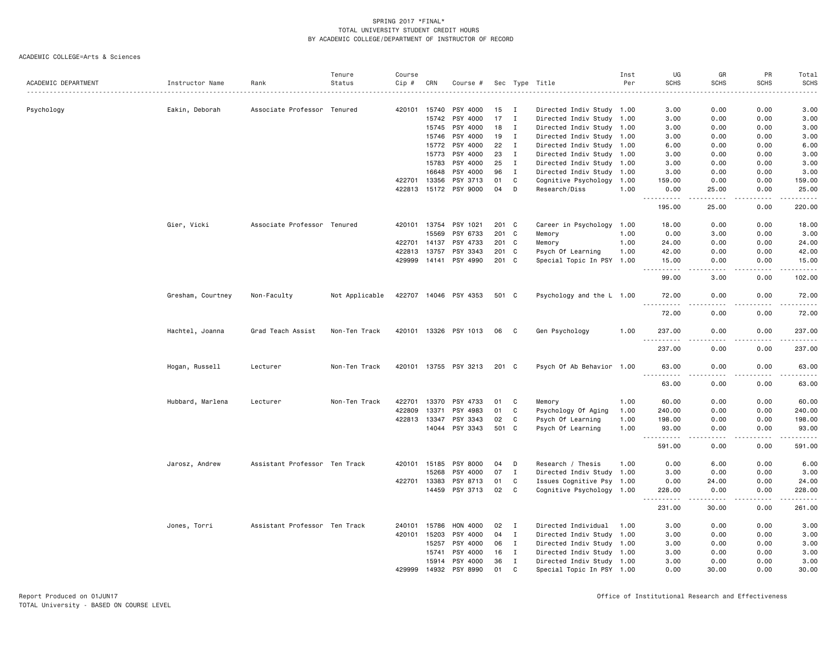|                     |                   |                               | Tenure         | Course |       |                       |       |                |                           | Inst | UG                                 | GR                   | PR                           | Total       |
|---------------------|-------------------|-------------------------------|----------------|--------|-------|-----------------------|-------|----------------|---------------------------|------|------------------------------------|----------------------|------------------------------|-------------|
| ACADEMIC DEPARTMENT | Instructor Name   | Rank                          | Status         | Cip #  | CRN   | Course #              |       |                | Sec Type Title            | Per  | <b>SCHS</b>                        | <b>SCHS</b>          | <b>SCHS</b>                  | <b>SCHS</b> |
|                     |                   |                               |                |        |       |                       |       |                |                           |      |                                    |                      |                              |             |
| Psychology          | Eakin, Deborah    | Associate Professor Tenured   |                | 420101 | 15740 | PSY 4000              | 15    | - I            | Directed Indiv Study 1.00 |      | 3.00                               | 0.00                 | 0.00                         | 3.00        |
|                     |                   |                               |                |        | 15742 | PSY 4000              | 17    | $\mathbf{I}$   | Directed Indiv Study 1.00 |      | 3.00                               | 0.00                 | 0.00                         | 3.00        |
|                     |                   |                               |                |        | 15745 | PSY 4000              | 18    | $\mathbf I$    | Directed Indiv Study 1.00 |      | 3.00                               | 0.00                 | 0.00                         | 3.00        |
|                     |                   |                               |                |        | 15746 | PSY 4000              | 19    | $\mathbf I$    | Directed Indiv Study 1.00 |      | 3.00                               | 0.00                 | 0.00                         | 3.00        |
|                     |                   |                               |                |        | 15772 | PSY 4000              | 22    | $\mathbf I$    | Directed Indiv Study 1.00 |      | 6.00                               | 0.00                 | 0.00                         | 6.00        |
|                     |                   |                               |                |        | 15773 | PSY 4000              | 23    | $\mathbf I$    | Directed Indiv Study 1.00 |      | 3.00                               | 0.00                 | 0.00                         | 3.00        |
|                     |                   |                               |                |        | 15783 | PSY 4000              | 25    | $\mathbf I$    | Directed Indiv Study 1.00 |      | 3.00                               | 0.00                 | 0.00                         | 3.00        |
|                     |                   |                               |                |        | 16648 | PSY 4000              | 96    | $\mathbf I$    | Directed Indiv Study 1.00 |      | 3.00                               | 0.00                 | 0.00                         | 3.00        |
|                     |                   |                               |                | 422701 | 13356 | PSY 3713              | 01    | $\mathbf C$    | Cognitive Psychology 1.00 |      | 159.00                             | 0.00                 | 0.00                         | 159.00      |
|                     |                   |                               |                | 422813 | 15172 | PSY 9000              | 04    | D              | Research/Diss             | 1.00 | 0.00<br>.                          | 25.00<br>.           | 0.00<br>.                    | 25.00<br>.  |
|                     |                   |                               |                |        |       |                       |       |                |                           |      | 195.00                             | 25.00                | 0.00                         | 220.00      |
|                     | Gier, Vicki       | Associate Professor Tenured   |                | 420101 | 13754 | PSY 1021              | 201 C |                | Career in Psychology 1.00 |      | 18.00                              | 0.00                 | 0.00                         | 18.00       |
|                     |                   |                               |                |        | 15569 | PSY 6733              | 201 C |                | Memory                    | 1.00 | 0.00                               | 3.00                 | 0.00                         | 3.00        |
|                     |                   |                               |                | 422701 | 14137 | PSY 4733              | 201   | C              | Memory                    | 1.00 | 24.00                              | 0.00                 | 0.00                         | 24.00       |
|                     |                   |                               |                | 422813 | 13757 | PSY 3343              | 201 C |                | Psych Of Learning         | 1.00 | 42.00                              | 0.00                 | 0.00                         | 42.00       |
|                     |                   |                               |                | 429999 | 14141 | PSY 4990              | 201 C |                | Special Topic In PSY 1.00 |      | 15.00<br>$\sim$ $\sim$ $\sim$<br>. | 0.00<br>.            | 0.00<br>$\sim$ $\sim$ $\sim$ | 15.00<br>.  |
|                     |                   |                               |                |        |       |                       |       |                |                           |      | 99.00                              | 3.00                 | 0.00                         | 102.00      |
|                     | Gresham, Courtney | Non-Faculty                   | Not Applicable |        |       | 422707 14046 PSY 4353 | 501 C |                | Psychology and the L 1.00 |      | 72.00<br>.                         | 0.00<br>.            | 0.00<br>.                    | 72.00<br>.  |
|                     |                   |                               |                |        |       |                       |       |                |                           |      | 72.00                              | 0.00                 | 0.00                         | 72.00       |
|                     | Hachtel, Joanna   | Grad Teach Assist             | Non-Ten Track  |        |       | 420101 13326 PSY 1013 | 06    | C              | Gen Psychology            | 1.00 | 237.00<br>.                        | 0.00                 | 0.00<br>$   -$               | 237.00<br>. |
|                     |                   |                               |                |        |       |                       |       |                |                           |      | 237.00                             | 0.00                 | 0.00                         | 237.00      |
|                     | Hogan, Russell    | Lecturer                      | Non-Ten Track  |        |       | 420101 13755 PSY 3213 | 201 C |                | Psych Of Ab Behavior 1.00 |      | 63.00                              | 0.00                 | 0.00                         | 63.00       |
|                     |                   |                               |                |        |       |                       |       |                |                           |      | 63.00                              | 0.00                 | 0.00                         | 63.00       |
|                     | Hubbard, Marlena  | Lecturer                      | Non-Ten Track  | 422701 | 13370 | PSY 4733              | 01    | C              | Memory                    | 1.00 | 60.00                              | 0.00                 | 0.00                         | 60.00       |
|                     |                   |                               |                | 422809 | 13371 | PSY 4983              | 01    | C              | Psychology Of Aging       | 1.00 | 240.00                             | 0.00                 | 0.00                         | 240.00      |
|                     |                   |                               |                | 422813 | 13347 | PSY 3343              | 02    | C              | Psych Of Learning         | 1.00 | 198.00                             | 0.00                 | 0.00                         | 198.00      |
|                     |                   |                               |                |        |       | 14044 PSY 3343        | 501 C |                | Psych Of Learning         | 1.00 | 93.00<br>-----                     | 0.00<br>.            | 0.00<br>$\frac{1}{2}$        | 93.00<br>.  |
|                     |                   |                               |                |        |       |                       |       |                |                           |      | 591.00                             | 0.00                 | 0.00                         | 591.00      |
|                     | Jarosz, Andrew    | Assistant Professor Ten Track |                | 420101 | 15185 | PSY 8000              | 04    | D              | Research / Thesis         | 1.00 | 0.00                               | 6.00                 | 0.00                         | 6.00        |
|                     |                   |                               |                |        | 15268 | PSY 4000              | 07    | $\;$ I         | Directed Indiv Study 1.00 |      | 3.00                               | 0.00                 | 0.00                         | 3.00        |
|                     |                   |                               |                | 422701 | 13383 | PSY 8713              | 01    | C              | Issues Cognitive Psy 1.00 |      | 0.00                               | 24.00                | 0.00                         | 24.00       |
|                     |                   |                               |                |        |       | 14459 PSY 3713        | 02    | C              | Cognitive Psychology 1.00 |      | 228.00                             | 0.00                 | 0.00                         | 228.00      |
|                     |                   |                               |                |        |       |                       |       |                |                           |      | .<br>231.00                        | $- - - - -$<br>30.00 | .<br>0.00                    | .<br>261.00 |
|                     | Jones, Torri      | Assistant Professor Ten Track |                | 240101 | 15786 | <b>HON 4000</b>       | 02    | $\blacksquare$ | Directed Individual       | 1.00 | 3.00                               | 0.00                 | 0.00                         | 3.00        |
|                     |                   |                               |                | 420101 | 15203 | PSY 4000              | 04    | $\mathbf I$    | Directed Indiv Study 1.00 |      | 3.00                               | 0.00                 | 0.00                         | 3.00        |
|                     |                   |                               |                |        | 15257 | PSY 4000              | 06    | I              | Directed Indiv Study 1.00 |      | 3.00                               | 0.00                 | 0.00                         | 3.00        |
|                     |                   |                               |                |        | 15741 | PSY 4000              | 16    | Ι.             | Directed Indiv Study 1.00 |      | 3.00                               | 0.00                 | 0.00                         | 3.00        |
|                     |                   |                               |                |        | 15914 | PSY 4000              | 36    | $\mathbf I$    | Directed Indiv Study 1.00 |      | 3.00                               | 0.00                 | 0.00                         | 3.00        |
|                     |                   |                               |                | 429999 | 14932 | PSY 8990              | 01    | $\mathsf{C}$   | Special Topic In PSY 1.00 |      | 0.00                               | 30.00                | 0.00                         | 30.00       |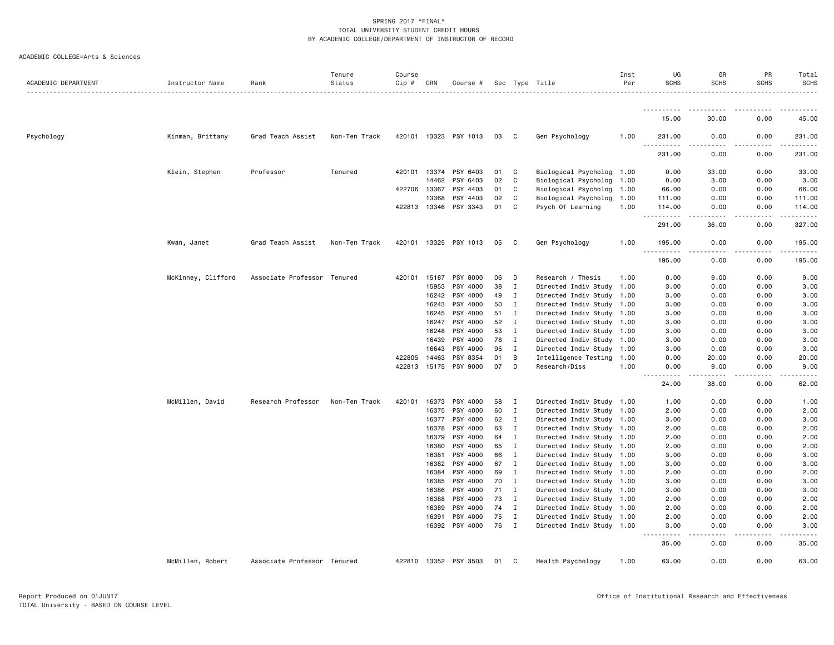| ACADEMIC COLLEGE=Arts & Sciences |  |  |  |
|----------------------------------|--|--|--|
|----------------------------------|--|--|--|

| ACADEMIC DEPARTMENT | Instructor Name    | Rank                        | Tenure<br>Status | Course<br>$Cip \#$ | CRN            | Course #              |          |                              | Sec Type Title                                         | Inst<br>Per | UG<br><b>SCHS</b>      | GR<br><b>SCHS</b> | PR<br><b>SCHS</b> | Total<br>SCHS           |
|---------------------|--------------------|-----------------------------|------------------|--------------------|----------------|-----------------------|----------|------------------------------|--------------------------------------------------------|-------------|------------------------|-------------------|-------------------|-------------------------|
|                     |                    |                             |                  |                    |                |                       |          |                              |                                                        |             | .                      |                   |                   |                         |
|                     |                    |                             |                  |                    |                |                       |          |                              |                                                        |             | 15.00                  | 30.00             | 0.00              | 45.00                   |
| Psychology          | Kinman, Brittany   | Grad Teach Assist           | Non-Ten Track    |                    |                | 420101 13323 PSY 1013 | 03       | C                            | Gen Psychology                                         | 1.00        | 231.00<br><u>.</u>     | 0.00              | 0.00              | 231.00<br>.             |
|                     |                    |                             |                  |                    |                |                       |          |                              |                                                        |             | 231.00                 | 0.00              | 0.00              | 231.00                  |
|                     | Klein, Stephen     | Professor                   | Tenured          |                    |                | 420101 13374 PSY 6403 | 01       | C                            | Biological Psycholog 1.00                              |             | 0.00                   | 33.00             | 0.00              | 33.00                   |
|                     |                    |                             |                  |                    | 14462          | PSY 6403              | 02       | C                            | Biological Psycholog                                   | 1.00        | 0.00                   | 3.00              | 0.00              | 3.00                    |
|                     |                    |                             |                  | 422706             | 13367          | PSY 4403              | 01       | C                            | Biological Psycholog                                   | 1.00        | 66.00                  | 0.00              | 0.00              | 66.00                   |
|                     |                    |                             |                  |                    | 13368          | PSY 4403              | 02       | C                            | Biological Psycholog                                   | 1.00        | 111.00                 | 0.00              | 0.00              | 111.00                  |
|                     |                    |                             |                  | 422813 13346       |                | PSY 3343              | 01       | C                            | Psych Of Learning                                      | 1.00        | 114.00<br><u>.</u>     | 0.00<br>.         | 0.00<br>.         | 114.00<br>$- - - - - -$ |
|                     |                    |                             |                  |                    |                |                       |          |                              |                                                        |             | 291.00                 | 36.00             | 0.00              | 327.00                  |
|                     | Kwan, Janet        | Grad Teach Assist           | Non-Ten Track    | 420101             |                | 13325 PSY 1013        | 05       | C                            | Gen Psychology                                         | 1.00        | 195.00<br>.<br>د د د د | 0.00              | 0.00              | 195.00                  |
|                     |                    |                             |                  |                    |                |                       |          |                              |                                                        |             | 195.00                 | 0.00              | 0.00              | 195.00                  |
|                     | McKinney, Clifford | Associate Professor Tenured |                  | 420101             | 15187          | PSY 8000              | 06       | D                            | Research / Thesis                                      | 1.00        | 0.00                   | 9.00              | 0.00              | 9.00                    |
|                     |                    |                             |                  |                    | 15953          | PSY 4000              | 38       | $\mathbf{I}$                 | Directed Indiv Study                                   | 1.00        | 3.00                   | 0.00              | 0.00              | 3.00                    |
|                     |                    |                             |                  |                    | 16242          | PSY 4000              | 49       | $\mathbf{I}$                 | Directed Indiv Study                                   | 1.00        | 3.00                   | 0.00              | 0.00              | 3.00                    |
|                     |                    |                             |                  |                    | 16243          | PSY 4000              | 50       | $\mathbf I$                  | Directed Indiv Study                                   | 1.00        | 3.00                   | 0.00              | 0.00              | 3.00                    |
|                     |                    |                             |                  |                    | 16245          | PSY 4000              | 51       | $\mathbf{I}$                 | Directed Indiv Study                                   | 1.00        | 3.00                   | 0.00              | 0.00              | 3.00                    |
|                     |                    |                             |                  |                    | 16247          | PSY 4000              | 52       | I                            | Directed Indiv Study                                   | 1.00        | 3.00                   | 0.00              | 0.00              | 3.00                    |
|                     |                    |                             |                  |                    | 16248          | PSY 4000              | 53       | $\mathbf{I}$                 | Directed Indiv Study                                   | 1.00        | 3.00                   | 0.00              | 0.00              | 3.00                    |
|                     |                    |                             |                  |                    | 16439          | PSY 4000              | 78       | $\mathbf{I}$                 | Directed Indiv Study 1.00                              |             | 3.00                   | 0.00              | 0.00              | 3.00                    |
|                     |                    |                             |                  |                    | 16643          | PSY 4000              | 95       | $\mathbf I$                  | Directed Indiv Study                                   | 1.00        | 3.00                   | 0.00              | 0.00              | 3.00                    |
|                     |                    |                             |                  | 422805             | 14463          | PSY 8354              | 01       | B                            | Intelligence Testing 1.00                              |             | 0.00                   | 20.00             | 0.00              | 20.00                   |
|                     |                    |                             |                  |                    | 422813 15175   | PSY 9000              | 07       | D                            | Research/Diss                                          | 1.00        | 0.00<br>.              | 9.00<br>.         | 0.00<br>.         | 9.00                    |
|                     |                    |                             |                  |                    |                |                       |          |                              |                                                        |             | 24.00                  | 38.00             | 0.00              | 62.00                   |
|                     | McMillen, David    | Research Professor          | Non-Ten Track    | 420101             | 16373          | PSY 4000              | 58       | I                            | Directed Indiv Study 1.00                              |             | 1.00                   | 0.00              | 0.00              | 1.00                    |
|                     |                    |                             |                  |                    | 16375          | PSY 4000              | 60       | $\mathbf I$                  | Directed Indiv Study 1.00                              |             | 2.00                   | 0.00              | 0.00              | 2.00                    |
|                     |                    |                             |                  |                    | 16377          | PSY 4000              | 62       | I                            | Directed Indiv Study 1.00                              |             | 3.00                   | 0.00              | 0.00              | 3.00                    |
|                     |                    |                             |                  |                    | 16378          | PSY 4000              | 63       | $\mathbf{I}$                 | Directed Indiv Study 1.00                              |             | 2.00                   | 0.00              | 0.00              | 2.00                    |
|                     |                    |                             |                  |                    | 16379          | PSY 4000              | 64       | $\mathbf I$                  | Directed Indiv Study 1.00                              |             | 2.00                   | 0.00              | 0.00              | 2.00                    |
|                     |                    |                             |                  |                    | 16380          | PSY 4000              | 65       | $\mathbf I$                  | Directed Indiv Study 1.00                              |             | 2.00                   | 0.00              | 0.00              | 2.00                    |
|                     |                    |                             |                  |                    | 16381<br>16382 | PSY 4000<br>PSY 4000  | 66<br>67 | $\mathbf{I}$<br>$\mathbf{I}$ | Directed Indiv Study                                   | 1.00        | 3.00                   | 0.00              | 0.00              | 3.00<br>3.00            |
|                     |                    |                             |                  |                    | 16384          | PSY 4000              | 69       | $\mathbf I$                  | Directed Indiv Study 1.00<br>Directed Indiv Study 1.00 |             | 3.00<br>2.00           | 0.00<br>0.00      | 0.00<br>0.00      | 2.00                    |
|                     |                    |                             |                  |                    | 16385          | PSY 4000              | 70       | $\mathbf{I}$                 | Directed Indiv Study 1.00                              |             | 3.00                   | 0.00              | 0.00              | 3.00                    |
|                     |                    |                             |                  |                    | 16386          | PSY 4000              | 71       | $\mathbf{I}$                 | Directed Indiv Study 1.00                              |             | 3.00                   | 0.00              | 0.00              | 3.00                    |
|                     |                    |                             |                  |                    | 16388          | PSY 4000              | 73       | I                            | Directed Indiv Study 1.00                              |             | 2.00                   | 0.00              | 0.00              | 2.00                    |
|                     |                    |                             |                  |                    | 16389          | PSY 4000              | 74       | $\mathbf{I}$                 | Directed Indiv Study 1.00                              |             | 2.00                   | 0.00              | 0.00              | 2.00                    |
|                     |                    |                             |                  |                    | 16391          | PSY 4000              | 75       | $\mathbf{I}$                 | Directed Indiv Study 1.00                              |             | 2.00                   | 0.00              | 0.00              | 2.00                    |
|                     |                    |                             |                  |                    |                | 16392 PSY 4000        | 76       | $\mathbf{I}$                 | Directed Indiv Study 1.00                              |             | 3.00                   | 0.00              | 0.00              | 3.00                    |
|                     |                    |                             |                  |                    |                |                       |          |                              |                                                        |             | 35.00                  | 0.00              | 0.00              | 35.00                   |
|                     | McMillen, Robert   | Associate Professor Tenured |                  |                    |                | 422810 13352 PSY 3503 | 01       | C)                           | Health Psychology                                      | 1.00        | 63.00                  | 0.00              | 0.00              | 63.00                   |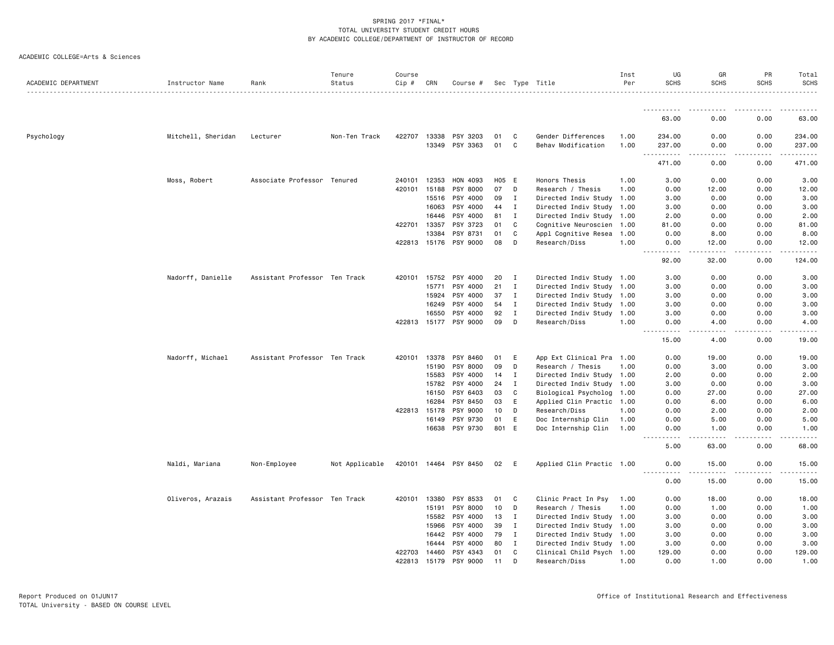|  | ACADEMIC COLLEGE=Arts & Sciences |  |  |  |
|--|----------------------------------|--|--|--|
|--|----------------------------------|--|--|--|

| .<br>63.00<br>0.00<br>0.00<br>63.00<br>Mitchell, Sheridan<br>422707<br>PSY 3203<br>Gender Differences<br>0.00<br>Psychology<br>Lecturer<br>Non-Ten Track<br>13338<br>01<br>C<br>1.00<br>234.00<br>0.00<br>234.00<br>13349<br>PSY 3363<br>01<br>C<br>Behav Modification<br>1.00<br>237.00<br>0.00<br>0.00<br>237.00<br>.<br>$- - - - - -$<br>$\sim$ $\sim$ $\sim$<br>.<br>471.00<br>0.00<br>471.00<br>0.00<br>Moss, Robert<br>Associate Professor Tenured<br>240101<br>12353<br>HON 4093<br>H05 E<br>Honors Thesis<br>1.00<br>3.00<br>0.00<br>0.00<br>3.00<br>PSY 8000<br>420101<br>15188<br>07<br>D<br>Research / Thesis<br>1.00<br>0.00<br>12.00<br>0.00<br>12.00<br>15516<br>PSY 4000<br>09<br>I<br>Directed Indiv Study 1.00<br>3.00<br>0.00<br>0.00<br>3.00<br>16063<br>PSY 4000<br>44<br>$\mathbf{I}$<br>Directed Indiv Study 1.00<br>3.00<br>0.00<br>0.00<br>3.00<br>PSY 4000<br>81<br>$\mathbf{I}$<br>Directed Indiv Study 1.00<br>2.00<br>0.00<br>0.00<br>2.00<br>16446<br>$\mathbb{C}$<br>422701 13357<br>PSY 3723<br>01<br>0.00<br>0.00<br>81.00<br>Cognitive Neuroscien 1.00<br>81.00<br>13384<br>PSY 8731<br>01<br>C<br>Appl Cognitive Resea 1.00<br>0.00<br>8.00<br>0.00<br>8.00<br>422813 15176<br>PSY 9000<br>08<br>D<br>Research/Diss<br>1.00<br>0.00<br>12.00<br>0.00<br>12.00<br>$- - -$<br>-----<br>.<br>.<br>.<br>92.00<br>32.00<br>0.00<br>124.00<br>Nadorff, Danielle<br>0.00<br>Assistant Professor Ten Track<br>420101<br>15752<br>PSY 4000<br>20<br>$\mathbf I$<br>Directed Indiv Study 1.00<br>3.00<br>0.00<br>3.00<br>Directed Indiv Study 1.00<br>15771<br>PSY 4000<br>21<br>Ι.<br>3.00<br>0.00<br>0.00<br>3.00<br>PSY 4000<br>37<br>Directed Indiv Study 1.00<br>3.00<br>15924<br>$\mathbf{I}$<br>3.00<br>0.00<br>0.00<br>PSY 4000<br>54<br>$\mathbf I$<br>Directed Indiv Study 1.00<br>0.00<br>0.00<br>3.00<br>16249<br>3.00<br>PSY 4000<br>$\mathbf I$<br>Directed Indiv Study<br>16550<br>92<br>1.00<br>3.00<br>0.00<br>0.00<br>3.00<br>422813 15177 PSY 9000<br>09<br>D<br>Research/Diss<br>1.00<br>0.00<br>4.00<br>0.00<br>4.00<br>$\frac{1}{2}$<br>15.00<br>4.00<br>0.00<br>19.00<br>Nadorff, Michael<br>Assistant Professor Ten Track<br>13378<br>PSY 8460<br>0.00<br>19.00<br>420101<br>01<br>E<br>App Ext Clinical Pra 1.00<br>0.00<br>19.00<br>PSY 8000<br>09<br>Research / Thesis<br>15190<br>D<br>1.00<br>0.00<br>3.00<br>0.00<br>3.00<br>PSY 4000<br>Directed Indiv Study 1.00<br>0.00<br>0.00<br>2.00<br>15583<br>14<br>$\mathbf{I}$<br>2.00<br>15782<br>PSY 4000<br>24<br>$\mathbf I$<br>Directed Indiv Study 1.00<br>3.00<br>0.00<br>0.00<br>3.00<br>16150<br>PSY 6403<br>03<br>C<br>Biological Psycholog<br>0.00<br>27.00<br>1.00<br>0.00<br>27.00<br>16284<br>PSY 8450<br>03<br>E<br>Applied Clin Practic 1.00<br>0.00<br>6.00<br>0.00<br>6.00<br>PSY 9000<br>10<br>D<br>422813 15178<br>Research/Diss<br>1.00<br>0.00<br>2.00<br>0.00<br>2.00<br>PSY 9730<br>16149<br>01<br>E<br>Doc Internship Clin<br>0.00<br>5.00<br>0.00<br>5.00<br>1.00<br>PSY 9730<br>801 E<br>16638<br>Doc Internship Clin<br>1.00<br>0.00<br>1.00<br>0.00<br>1.00<br>$\sim$ $\sim$ $\sim$ $\sim$<br>$- - - -$<br>5.00<br>63.00<br>0.00<br>68.00<br>Naldi, Mariana<br>Non-Employee<br>Not Applicable<br>420101 14464 PSY 8450<br>02<br>E<br>Applied Clin Practic 1.00<br>0.00<br>15.00<br>0.00<br>15.00<br>.<br>.<br>.<br>0.00<br>15.00<br>0.00<br>15.00<br>13380<br>PSY 8533<br>Oliveros, Arazais<br>Assistant Professor Ten Track<br>420101<br>01<br>C<br>Clinic Pract In Psy<br>0.00<br>18.00<br>0.00<br>18.00<br>1.00<br>15191<br><b>PSY 8000</b><br>10<br>D<br>Research / Thesis<br>1.00<br>0.00<br>1.00<br>0.00<br>1.00<br>15582<br>PSY 4000<br>13<br>Directed Indiv Study 1.00<br>0.00<br>0.00<br>3.00<br>$\mathbf I$<br>3.00<br>PSY 4000<br>39<br>$\mathbf I$<br>Directed Indiv Study 1.00<br>0.00<br>3.00<br>15966<br>3.00<br>0.00<br>PSY 4000<br>79<br>$\mathbf I$<br>3.00<br>16442<br>Directed Indiv Study 1.00<br>3.00<br>0.00<br>0.00<br>16444<br>PSY 4000<br>80<br>$\mathbf I$<br>Directed Indiv Study 1.00<br>3.00<br>0.00<br>0.00<br>3.00<br>422703<br>14460<br>PSY 4343<br>01<br>C<br>Clinical Child Psych 1.00<br>129.00<br>0.00<br>0.00<br>129.00<br>422813<br>PSY 9000<br>11<br>D<br>1.00<br>0.00<br>15179<br>Research/Diss<br>0.00<br>1.00<br>1.00 | ACADEMIC DEPARTMENT | Instructor Name | Rank | Tenure<br>Status | Course<br>Cip # | CRN | Course # |  | Sec Type Title | Inst<br>Per | UG<br><b>SCHS</b> | GR<br><b>SCHS</b> | PR<br><b>SCHS</b> | Total<br>SCHS |
|------------------------------------------------------------------------------------------------------------------------------------------------------------------------------------------------------------------------------------------------------------------------------------------------------------------------------------------------------------------------------------------------------------------------------------------------------------------------------------------------------------------------------------------------------------------------------------------------------------------------------------------------------------------------------------------------------------------------------------------------------------------------------------------------------------------------------------------------------------------------------------------------------------------------------------------------------------------------------------------------------------------------------------------------------------------------------------------------------------------------------------------------------------------------------------------------------------------------------------------------------------------------------------------------------------------------------------------------------------------------------------------------------------------------------------------------------------------------------------------------------------------------------------------------------------------------------------------------------------------------------------------------------------------------------------------------------------------------------------------------------------------------------------------------------------------------------------------------------------------------------------------------------------------------------------------------------------------------------------------------------------------------------------------------------------------------------------------------------------------------------------------------------------------------------------------------------------------------------------------------------------------------------------------------------------------------------------------------------------------------------------------------------------------------------------------------------------------------------------------------------------------------------------------------------------------------------------------------------------------------------------------------------------------------------------------------------------------------------------------------------------------------------------------------------------------------------------------------------------------------------------------------------------------------------------------------------------------------------------------------------------------------------------------------------------------------------------------------------------------------------------------------------------------------------------------------------------------------------------------------------------------------------------------------------------------------------------------------------------------------------------------------------------------------------------------------------------------------------------------------------------------------------------------------------------------------------------------------------------------------------------------------------------------------------------------------------------------------------------------------------------------------------------------------------------------------------------------------------------------------------------------------------------------------------------------------------------------------------------------------------------------------------------------------------------------------------------------------------------------------------------------------------------------------------------------------------------------------------------------------------------------------------------------------|---------------------|-----------------|------|------------------|-----------------|-----|----------|--|----------------|-------------|-------------------|-------------------|-------------------|---------------|
|                                                                                                                                                                                                                                                                                                                                                                                                                                                                                                                                                                                                                                                                                                                                                                                                                                                                                                                                                                                                                                                                                                                                                                                                                                                                                                                                                                                                                                                                                                                                                                                                                                                                                                                                                                                                                                                                                                                                                                                                                                                                                                                                                                                                                                                                                                                                                                                                                                                                                                                                                                                                                                                                                                                                                                                                                                                                                                                                                                                                                                                                                                                                                                                                                                                                                                                                                                                                                                                                                                                                                                                                                                                                                                                                                                                                                                                                                                                                                                                                                                                                                                                                                                                                                                                                                                |                     |                 |      |                  |                 |     |          |  |                |             |                   |                   |                   |               |
|                                                                                                                                                                                                                                                                                                                                                                                                                                                                                                                                                                                                                                                                                                                                                                                                                                                                                                                                                                                                                                                                                                                                                                                                                                                                                                                                                                                                                                                                                                                                                                                                                                                                                                                                                                                                                                                                                                                                                                                                                                                                                                                                                                                                                                                                                                                                                                                                                                                                                                                                                                                                                                                                                                                                                                                                                                                                                                                                                                                                                                                                                                                                                                                                                                                                                                                                                                                                                                                                                                                                                                                                                                                                                                                                                                                                                                                                                                                                                                                                                                                                                                                                                                                                                                                                                                |                     |                 |      |                  |                 |     |          |  |                |             |                   |                   |                   |               |
|                                                                                                                                                                                                                                                                                                                                                                                                                                                                                                                                                                                                                                                                                                                                                                                                                                                                                                                                                                                                                                                                                                                                                                                                                                                                                                                                                                                                                                                                                                                                                                                                                                                                                                                                                                                                                                                                                                                                                                                                                                                                                                                                                                                                                                                                                                                                                                                                                                                                                                                                                                                                                                                                                                                                                                                                                                                                                                                                                                                                                                                                                                                                                                                                                                                                                                                                                                                                                                                                                                                                                                                                                                                                                                                                                                                                                                                                                                                                                                                                                                                                                                                                                                                                                                                                                                |                     |                 |      |                  |                 |     |          |  |                |             |                   |                   |                   |               |
|                                                                                                                                                                                                                                                                                                                                                                                                                                                                                                                                                                                                                                                                                                                                                                                                                                                                                                                                                                                                                                                                                                                                                                                                                                                                                                                                                                                                                                                                                                                                                                                                                                                                                                                                                                                                                                                                                                                                                                                                                                                                                                                                                                                                                                                                                                                                                                                                                                                                                                                                                                                                                                                                                                                                                                                                                                                                                                                                                                                                                                                                                                                                                                                                                                                                                                                                                                                                                                                                                                                                                                                                                                                                                                                                                                                                                                                                                                                                                                                                                                                                                                                                                                                                                                                                                                |                     |                 |      |                  |                 |     |          |  |                |             |                   |                   |                   |               |
|                                                                                                                                                                                                                                                                                                                                                                                                                                                                                                                                                                                                                                                                                                                                                                                                                                                                                                                                                                                                                                                                                                                                                                                                                                                                                                                                                                                                                                                                                                                                                                                                                                                                                                                                                                                                                                                                                                                                                                                                                                                                                                                                                                                                                                                                                                                                                                                                                                                                                                                                                                                                                                                                                                                                                                                                                                                                                                                                                                                                                                                                                                                                                                                                                                                                                                                                                                                                                                                                                                                                                                                                                                                                                                                                                                                                                                                                                                                                                                                                                                                                                                                                                                                                                                                                                                |                     |                 |      |                  |                 |     |          |  |                |             |                   |                   |                   |               |
|                                                                                                                                                                                                                                                                                                                                                                                                                                                                                                                                                                                                                                                                                                                                                                                                                                                                                                                                                                                                                                                                                                                                                                                                                                                                                                                                                                                                                                                                                                                                                                                                                                                                                                                                                                                                                                                                                                                                                                                                                                                                                                                                                                                                                                                                                                                                                                                                                                                                                                                                                                                                                                                                                                                                                                                                                                                                                                                                                                                                                                                                                                                                                                                                                                                                                                                                                                                                                                                                                                                                                                                                                                                                                                                                                                                                                                                                                                                                                                                                                                                                                                                                                                                                                                                                                                |                     |                 |      |                  |                 |     |          |  |                |             |                   |                   |                   |               |
|                                                                                                                                                                                                                                                                                                                                                                                                                                                                                                                                                                                                                                                                                                                                                                                                                                                                                                                                                                                                                                                                                                                                                                                                                                                                                                                                                                                                                                                                                                                                                                                                                                                                                                                                                                                                                                                                                                                                                                                                                                                                                                                                                                                                                                                                                                                                                                                                                                                                                                                                                                                                                                                                                                                                                                                                                                                                                                                                                                                                                                                                                                                                                                                                                                                                                                                                                                                                                                                                                                                                                                                                                                                                                                                                                                                                                                                                                                                                                                                                                                                                                                                                                                                                                                                                                                |                     |                 |      |                  |                 |     |          |  |                |             |                   |                   |                   |               |
|                                                                                                                                                                                                                                                                                                                                                                                                                                                                                                                                                                                                                                                                                                                                                                                                                                                                                                                                                                                                                                                                                                                                                                                                                                                                                                                                                                                                                                                                                                                                                                                                                                                                                                                                                                                                                                                                                                                                                                                                                                                                                                                                                                                                                                                                                                                                                                                                                                                                                                                                                                                                                                                                                                                                                                                                                                                                                                                                                                                                                                                                                                                                                                                                                                                                                                                                                                                                                                                                                                                                                                                                                                                                                                                                                                                                                                                                                                                                                                                                                                                                                                                                                                                                                                                                                                |                     |                 |      |                  |                 |     |          |  |                |             |                   |                   |                   |               |
|                                                                                                                                                                                                                                                                                                                                                                                                                                                                                                                                                                                                                                                                                                                                                                                                                                                                                                                                                                                                                                                                                                                                                                                                                                                                                                                                                                                                                                                                                                                                                                                                                                                                                                                                                                                                                                                                                                                                                                                                                                                                                                                                                                                                                                                                                                                                                                                                                                                                                                                                                                                                                                                                                                                                                                                                                                                                                                                                                                                                                                                                                                                                                                                                                                                                                                                                                                                                                                                                                                                                                                                                                                                                                                                                                                                                                                                                                                                                                                                                                                                                                                                                                                                                                                                                                                |                     |                 |      |                  |                 |     |          |  |                |             |                   |                   |                   |               |
|                                                                                                                                                                                                                                                                                                                                                                                                                                                                                                                                                                                                                                                                                                                                                                                                                                                                                                                                                                                                                                                                                                                                                                                                                                                                                                                                                                                                                                                                                                                                                                                                                                                                                                                                                                                                                                                                                                                                                                                                                                                                                                                                                                                                                                                                                                                                                                                                                                                                                                                                                                                                                                                                                                                                                                                                                                                                                                                                                                                                                                                                                                                                                                                                                                                                                                                                                                                                                                                                                                                                                                                                                                                                                                                                                                                                                                                                                                                                                                                                                                                                                                                                                                                                                                                                                                |                     |                 |      |                  |                 |     |          |  |                |             |                   |                   |                   |               |
|                                                                                                                                                                                                                                                                                                                                                                                                                                                                                                                                                                                                                                                                                                                                                                                                                                                                                                                                                                                                                                                                                                                                                                                                                                                                                                                                                                                                                                                                                                                                                                                                                                                                                                                                                                                                                                                                                                                                                                                                                                                                                                                                                                                                                                                                                                                                                                                                                                                                                                                                                                                                                                                                                                                                                                                                                                                                                                                                                                                                                                                                                                                                                                                                                                                                                                                                                                                                                                                                                                                                                                                                                                                                                                                                                                                                                                                                                                                                                                                                                                                                                                                                                                                                                                                                                                |                     |                 |      |                  |                 |     |          |  |                |             |                   |                   |                   |               |
|                                                                                                                                                                                                                                                                                                                                                                                                                                                                                                                                                                                                                                                                                                                                                                                                                                                                                                                                                                                                                                                                                                                                                                                                                                                                                                                                                                                                                                                                                                                                                                                                                                                                                                                                                                                                                                                                                                                                                                                                                                                                                                                                                                                                                                                                                                                                                                                                                                                                                                                                                                                                                                                                                                                                                                                                                                                                                                                                                                                                                                                                                                                                                                                                                                                                                                                                                                                                                                                                                                                                                                                                                                                                                                                                                                                                                                                                                                                                                                                                                                                                                                                                                                                                                                                                                                |                     |                 |      |                  |                 |     |          |  |                |             |                   |                   |                   |               |
|                                                                                                                                                                                                                                                                                                                                                                                                                                                                                                                                                                                                                                                                                                                                                                                                                                                                                                                                                                                                                                                                                                                                                                                                                                                                                                                                                                                                                                                                                                                                                                                                                                                                                                                                                                                                                                                                                                                                                                                                                                                                                                                                                                                                                                                                                                                                                                                                                                                                                                                                                                                                                                                                                                                                                                                                                                                                                                                                                                                                                                                                                                                                                                                                                                                                                                                                                                                                                                                                                                                                                                                                                                                                                                                                                                                                                                                                                                                                                                                                                                                                                                                                                                                                                                                                                                |                     |                 |      |                  |                 |     |          |  |                |             |                   |                   |                   |               |
|                                                                                                                                                                                                                                                                                                                                                                                                                                                                                                                                                                                                                                                                                                                                                                                                                                                                                                                                                                                                                                                                                                                                                                                                                                                                                                                                                                                                                                                                                                                                                                                                                                                                                                                                                                                                                                                                                                                                                                                                                                                                                                                                                                                                                                                                                                                                                                                                                                                                                                                                                                                                                                                                                                                                                                                                                                                                                                                                                                                                                                                                                                                                                                                                                                                                                                                                                                                                                                                                                                                                                                                                                                                                                                                                                                                                                                                                                                                                                                                                                                                                                                                                                                                                                                                                                                |                     |                 |      |                  |                 |     |          |  |                |             |                   |                   |                   |               |
|                                                                                                                                                                                                                                                                                                                                                                                                                                                                                                                                                                                                                                                                                                                                                                                                                                                                                                                                                                                                                                                                                                                                                                                                                                                                                                                                                                                                                                                                                                                                                                                                                                                                                                                                                                                                                                                                                                                                                                                                                                                                                                                                                                                                                                                                                                                                                                                                                                                                                                                                                                                                                                                                                                                                                                                                                                                                                                                                                                                                                                                                                                                                                                                                                                                                                                                                                                                                                                                                                                                                                                                                                                                                                                                                                                                                                                                                                                                                                                                                                                                                                                                                                                                                                                                                                                |                     |                 |      |                  |                 |     |          |  |                |             |                   |                   |                   |               |
|                                                                                                                                                                                                                                                                                                                                                                                                                                                                                                                                                                                                                                                                                                                                                                                                                                                                                                                                                                                                                                                                                                                                                                                                                                                                                                                                                                                                                                                                                                                                                                                                                                                                                                                                                                                                                                                                                                                                                                                                                                                                                                                                                                                                                                                                                                                                                                                                                                                                                                                                                                                                                                                                                                                                                                                                                                                                                                                                                                                                                                                                                                                                                                                                                                                                                                                                                                                                                                                                                                                                                                                                                                                                                                                                                                                                                                                                                                                                                                                                                                                                                                                                                                                                                                                                                                |                     |                 |      |                  |                 |     |          |  |                |             |                   |                   |                   |               |
|                                                                                                                                                                                                                                                                                                                                                                                                                                                                                                                                                                                                                                                                                                                                                                                                                                                                                                                                                                                                                                                                                                                                                                                                                                                                                                                                                                                                                                                                                                                                                                                                                                                                                                                                                                                                                                                                                                                                                                                                                                                                                                                                                                                                                                                                                                                                                                                                                                                                                                                                                                                                                                                                                                                                                                                                                                                                                                                                                                                                                                                                                                                                                                                                                                                                                                                                                                                                                                                                                                                                                                                                                                                                                                                                                                                                                                                                                                                                                                                                                                                                                                                                                                                                                                                                                                |                     |                 |      |                  |                 |     |          |  |                |             |                   |                   |                   |               |
|                                                                                                                                                                                                                                                                                                                                                                                                                                                                                                                                                                                                                                                                                                                                                                                                                                                                                                                                                                                                                                                                                                                                                                                                                                                                                                                                                                                                                                                                                                                                                                                                                                                                                                                                                                                                                                                                                                                                                                                                                                                                                                                                                                                                                                                                                                                                                                                                                                                                                                                                                                                                                                                                                                                                                                                                                                                                                                                                                                                                                                                                                                                                                                                                                                                                                                                                                                                                                                                                                                                                                                                                                                                                                                                                                                                                                                                                                                                                                                                                                                                                                                                                                                                                                                                                                                |                     |                 |      |                  |                 |     |          |  |                |             |                   |                   |                   |               |
|                                                                                                                                                                                                                                                                                                                                                                                                                                                                                                                                                                                                                                                                                                                                                                                                                                                                                                                                                                                                                                                                                                                                                                                                                                                                                                                                                                                                                                                                                                                                                                                                                                                                                                                                                                                                                                                                                                                                                                                                                                                                                                                                                                                                                                                                                                                                                                                                                                                                                                                                                                                                                                                                                                                                                                                                                                                                                                                                                                                                                                                                                                                                                                                                                                                                                                                                                                                                                                                                                                                                                                                                                                                                                                                                                                                                                                                                                                                                                                                                                                                                                                                                                                                                                                                                                                |                     |                 |      |                  |                 |     |          |  |                |             |                   |                   |                   |               |
|                                                                                                                                                                                                                                                                                                                                                                                                                                                                                                                                                                                                                                                                                                                                                                                                                                                                                                                                                                                                                                                                                                                                                                                                                                                                                                                                                                                                                                                                                                                                                                                                                                                                                                                                                                                                                                                                                                                                                                                                                                                                                                                                                                                                                                                                                                                                                                                                                                                                                                                                                                                                                                                                                                                                                                                                                                                                                                                                                                                                                                                                                                                                                                                                                                                                                                                                                                                                                                                                                                                                                                                                                                                                                                                                                                                                                                                                                                                                                                                                                                                                                                                                                                                                                                                                                                |                     |                 |      |                  |                 |     |          |  |                |             |                   |                   |                   |               |
|                                                                                                                                                                                                                                                                                                                                                                                                                                                                                                                                                                                                                                                                                                                                                                                                                                                                                                                                                                                                                                                                                                                                                                                                                                                                                                                                                                                                                                                                                                                                                                                                                                                                                                                                                                                                                                                                                                                                                                                                                                                                                                                                                                                                                                                                                                                                                                                                                                                                                                                                                                                                                                                                                                                                                                                                                                                                                                                                                                                                                                                                                                                                                                                                                                                                                                                                                                                                                                                                                                                                                                                                                                                                                                                                                                                                                                                                                                                                                                                                                                                                                                                                                                                                                                                                                                |                     |                 |      |                  |                 |     |          |  |                |             |                   |                   |                   |               |
|                                                                                                                                                                                                                                                                                                                                                                                                                                                                                                                                                                                                                                                                                                                                                                                                                                                                                                                                                                                                                                                                                                                                                                                                                                                                                                                                                                                                                                                                                                                                                                                                                                                                                                                                                                                                                                                                                                                                                                                                                                                                                                                                                                                                                                                                                                                                                                                                                                                                                                                                                                                                                                                                                                                                                                                                                                                                                                                                                                                                                                                                                                                                                                                                                                                                                                                                                                                                                                                                                                                                                                                                                                                                                                                                                                                                                                                                                                                                                                                                                                                                                                                                                                                                                                                                                                |                     |                 |      |                  |                 |     |          |  |                |             |                   |                   |                   |               |
|                                                                                                                                                                                                                                                                                                                                                                                                                                                                                                                                                                                                                                                                                                                                                                                                                                                                                                                                                                                                                                                                                                                                                                                                                                                                                                                                                                                                                                                                                                                                                                                                                                                                                                                                                                                                                                                                                                                                                                                                                                                                                                                                                                                                                                                                                                                                                                                                                                                                                                                                                                                                                                                                                                                                                                                                                                                                                                                                                                                                                                                                                                                                                                                                                                                                                                                                                                                                                                                                                                                                                                                                                                                                                                                                                                                                                                                                                                                                                                                                                                                                                                                                                                                                                                                                                                |                     |                 |      |                  |                 |     |          |  |                |             |                   |                   |                   |               |
|                                                                                                                                                                                                                                                                                                                                                                                                                                                                                                                                                                                                                                                                                                                                                                                                                                                                                                                                                                                                                                                                                                                                                                                                                                                                                                                                                                                                                                                                                                                                                                                                                                                                                                                                                                                                                                                                                                                                                                                                                                                                                                                                                                                                                                                                                                                                                                                                                                                                                                                                                                                                                                                                                                                                                                                                                                                                                                                                                                                                                                                                                                                                                                                                                                                                                                                                                                                                                                                                                                                                                                                                                                                                                                                                                                                                                                                                                                                                                                                                                                                                                                                                                                                                                                                                                                |                     |                 |      |                  |                 |     |          |  |                |             |                   |                   |                   |               |
|                                                                                                                                                                                                                                                                                                                                                                                                                                                                                                                                                                                                                                                                                                                                                                                                                                                                                                                                                                                                                                                                                                                                                                                                                                                                                                                                                                                                                                                                                                                                                                                                                                                                                                                                                                                                                                                                                                                                                                                                                                                                                                                                                                                                                                                                                                                                                                                                                                                                                                                                                                                                                                                                                                                                                                                                                                                                                                                                                                                                                                                                                                                                                                                                                                                                                                                                                                                                                                                                                                                                                                                                                                                                                                                                                                                                                                                                                                                                                                                                                                                                                                                                                                                                                                                                                                |                     |                 |      |                  |                 |     |          |  |                |             |                   |                   |                   |               |
|                                                                                                                                                                                                                                                                                                                                                                                                                                                                                                                                                                                                                                                                                                                                                                                                                                                                                                                                                                                                                                                                                                                                                                                                                                                                                                                                                                                                                                                                                                                                                                                                                                                                                                                                                                                                                                                                                                                                                                                                                                                                                                                                                                                                                                                                                                                                                                                                                                                                                                                                                                                                                                                                                                                                                                                                                                                                                                                                                                                                                                                                                                                                                                                                                                                                                                                                                                                                                                                                                                                                                                                                                                                                                                                                                                                                                                                                                                                                                                                                                                                                                                                                                                                                                                                                                                |                     |                 |      |                  |                 |     |          |  |                |             |                   |                   |                   |               |
|                                                                                                                                                                                                                                                                                                                                                                                                                                                                                                                                                                                                                                                                                                                                                                                                                                                                                                                                                                                                                                                                                                                                                                                                                                                                                                                                                                                                                                                                                                                                                                                                                                                                                                                                                                                                                                                                                                                                                                                                                                                                                                                                                                                                                                                                                                                                                                                                                                                                                                                                                                                                                                                                                                                                                                                                                                                                                                                                                                                                                                                                                                                                                                                                                                                                                                                                                                                                                                                                                                                                                                                                                                                                                                                                                                                                                                                                                                                                                                                                                                                                                                                                                                                                                                                                                                |                     |                 |      |                  |                 |     |          |  |                |             |                   |                   |                   |               |
|                                                                                                                                                                                                                                                                                                                                                                                                                                                                                                                                                                                                                                                                                                                                                                                                                                                                                                                                                                                                                                                                                                                                                                                                                                                                                                                                                                                                                                                                                                                                                                                                                                                                                                                                                                                                                                                                                                                                                                                                                                                                                                                                                                                                                                                                                                                                                                                                                                                                                                                                                                                                                                                                                                                                                                                                                                                                                                                                                                                                                                                                                                                                                                                                                                                                                                                                                                                                                                                                                                                                                                                                                                                                                                                                                                                                                                                                                                                                                                                                                                                                                                                                                                                                                                                                                                |                     |                 |      |                  |                 |     |          |  |                |             |                   |                   |                   |               |
|                                                                                                                                                                                                                                                                                                                                                                                                                                                                                                                                                                                                                                                                                                                                                                                                                                                                                                                                                                                                                                                                                                                                                                                                                                                                                                                                                                                                                                                                                                                                                                                                                                                                                                                                                                                                                                                                                                                                                                                                                                                                                                                                                                                                                                                                                                                                                                                                                                                                                                                                                                                                                                                                                                                                                                                                                                                                                                                                                                                                                                                                                                                                                                                                                                                                                                                                                                                                                                                                                                                                                                                                                                                                                                                                                                                                                                                                                                                                                                                                                                                                                                                                                                                                                                                                                                |                     |                 |      |                  |                 |     |          |  |                |             |                   |                   |                   |               |
|                                                                                                                                                                                                                                                                                                                                                                                                                                                                                                                                                                                                                                                                                                                                                                                                                                                                                                                                                                                                                                                                                                                                                                                                                                                                                                                                                                                                                                                                                                                                                                                                                                                                                                                                                                                                                                                                                                                                                                                                                                                                                                                                                                                                                                                                                                                                                                                                                                                                                                                                                                                                                                                                                                                                                                                                                                                                                                                                                                                                                                                                                                                                                                                                                                                                                                                                                                                                                                                                                                                                                                                                                                                                                                                                                                                                                                                                                                                                                                                                                                                                                                                                                                                                                                                                                                |                     |                 |      |                  |                 |     |          |  |                |             |                   |                   |                   |               |
|                                                                                                                                                                                                                                                                                                                                                                                                                                                                                                                                                                                                                                                                                                                                                                                                                                                                                                                                                                                                                                                                                                                                                                                                                                                                                                                                                                                                                                                                                                                                                                                                                                                                                                                                                                                                                                                                                                                                                                                                                                                                                                                                                                                                                                                                                                                                                                                                                                                                                                                                                                                                                                                                                                                                                                                                                                                                                                                                                                                                                                                                                                                                                                                                                                                                                                                                                                                                                                                                                                                                                                                                                                                                                                                                                                                                                                                                                                                                                                                                                                                                                                                                                                                                                                                                                                |                     |                 |      |                  |                 |     |          |  |                |             |                   |                   |                   |               |
|                                                                                                                                                                                                                                                                                                                                                                                                                                                                                                                                                                                                                                                                                                                                                                                                                                                                                                                                                                                                                                                                                                                                                                                                                                                                                                                                                                                                                                                                                                                                                                                                                                                                                                                                                                                                                                                                                                                                                                                                                                                                                                                                                                                                                                                                                                                                                                                                                                                                                                                                                                                                                                                                                                                                                                                                                                                                                                                                                                                                                                                                                                                                                                                                                                                                                                                                                                                                                                                                                                                                                                                                                                                                                                                                                                                                                                                                                                                                                                                                                                                                                                                                                                                                                                                                                                |                     |                 |      |                  |                 |     |          |  |                |             |                   |                   |                   |               |
|                                                                                                                                                                                                                                                                                                                                                                                                                                                                                                                                                                                                                                                                                                                                                                                                                                                                                                                                                                                                                                                                                                                                                                                                                                                                                                                                                                                                                                                                                                                                                                                                                                                                                                                                                                                                                                                                                                                                                                                                                                                                                                                                                                                                                                                                                                                                                                                                                                                                                                                                                                                                                                                                                                                                                                                                                                                                                                                                                                                                                                                                                                                                                                                                                                                                                                                                                                                                                                                                                                                                                                                                                                                                                                                                                                                                                                                                                                                                                                                                                                                                                                                                                                                                                                                                                                |                     |                 |      |                  |                 |     |          |  |                |             |                   |                   |                   |               |
|                                                                                                                                                                                                                                                                                                                                                                                                                                                                                                                                                                                                                                                                                                                                                                                                                                                                                                                                                                                                                                                                                                                                                                                                                                                                                                                                                                                                                                                                                                                                                                                                                                                                                                                                                                                                                                                                                                                                                                                                                                                                                                                                                                                                                                                                                                                                                                                                                                                                                                                                                                                                                                                                                                                                                                                                                                                                                                                                                                                                                                                                                                                                                                                                                                                                                                                                                                                                                                                                                                                                                                                                                                                                                                                                                                                                                                                                                                                                                                                                                                                                                                                                                                                                                                                                                                |                     |                 |      |                  |                 |     |          |  |                |             |                   |                   |                   |               |
|                                                                                                                                                                                                                                                                                                                                                                                                                                                                                                                                                                                                                                                                                                                                                                                                                                                                                                                                                                                                                                                                                                                                                                                                                                                                                                                                                                                                                                                                                                                                                                                                                                                                                                                                                                                                                                                                                                                                                                                                                                                                                                                                                                                                                                                                                                                                                                                                                                                                                                                                                                                                                                                                                                                                                                                                                                                                                                                                                                                                                                                                                                                                                                                                                                                                                                                                                                                                                                                                                                                                                                                                                                                                                                                                                                                                                                                                                                                                                                                                                                                                                                                                                                                                                                                                                                |                     |                 |      |                  |                 |     |          |  |                |             |                   |                   |                   |               |
|                                                                                                                                                                                                                                                                                                                                                                                                                                                                                                                                                                                                                                                                                                                                                                                                                                                                                                                                                                                                                                                                                                                                                                                                                                                                                                                                                                                                                                                                                                                                                                                                                                                                                                                                                                                                                                                                                                                                                                                                                                                                                                                                                                                                                                                                                                                                                                                                                                                                                                                                                                                                                                                                                                                                                                                                                                                                                                                                                                                                                                                                                                                                                                                                                                                                                                                                                                                                                                                                                                                                                                                                                                                                                                                                                                                                                                                                                                                                                                                                                                                                                                                                                                                                                                                                                                |                     |                 |      |                  |                 |     |          |  |                |             |                   |                   |                   |               |
|                                                                                                                                                                                                                                                                                                                                                                                                                                                                                                                                                                                                                                                                                                                                                                                                                                                                                                                                                                                                                                                                                                                                                                                                                                                                                                                                                                                                                                                                                                                                                                                                                                                                                                                                                                                                                                                                                                                                                                                                                                                                                                                                                                                                                                                                                                                                                                                                                                                                                                                                                                                                                                                                                                                                                                                                                                                                                                                                                                                                                                                                                                                                                                                                                                                                                                                                                                                                                                                                                                                                                                                                                                                                                                                                                                                                                                                                                                                                                                                                                                                                                                                                                                                                                                                                                                |                     |                 |      |                  |                 |     |          |  |                |             |                   |                   |                   |               |
|                                                                                                                                                                                                                                                                                                                                                                                                                                                                                                                                                                                                                                                                                                                                                                                                                                                                                                                                                                                                                                                                                                                                                                                                                                                                                                                                                                                                                                                                                                                                                                                                                                                                                                                                                                                                                                                                                                                                                                                                                                                                                                                                                                                                                                                                                                                                                                                                                                                                                                                                                                                                                                                                                                                                                                                                                                                                                                                                                                                                                                                                                                                                                                                                                                                                                                                                                                                                                                                                                                                                                                                                                                                                                                                                                                                                                                                                                                                                                                                                                                                                                                                                                                                                                                                                                                |                     |                 |      |                  |                 |     |          |  |                |             |                   |                   |                   |               |
|                                                                                                                                                                                                                                                                                                                                                                                                                                                                                                                                                                                                                                                                                                                                                                                                                                                                                                                                                                                                                                                                                                                                                                                                                                                                                                                                                                                                                                                                                                                                                                                                                                                                                                                                                                                                                                                                                                                                                                                                                                                                                                                                                                                                                                                                                                                                                                                                                                                                                                                                                                                                                                                                                                                                                                                                                                                                                                                                                                                                                                                                                                                                                                                                                                                                                                                                                                                                                                                                                                                                                                                                                                                                                                                                                                                                                                                                                                                                                                                                                                                                                                                                                                                                                                                                                                |                     |                 |      |                  |                 |     |          |  |                |             |                   |                   |                   |               |
|                                                                                                                                                                                                                                                                                                                                                                                                                                                                                                                                                                                                                                                                                                                                                                                                                                                                                                                                                                                                                                                                                                                                                                                                                                                                                                                                                                                                                                                                                                                                                                                                                                                                                                                                                                                                                                                                                                                                                                                                                                                                                                                                                                                                                                                                                                                                                                                                                                                                                                                                                                                                                                                                                                                                                                                                                                                                                                                                                                                                                                                                                                                                                                                                                                                                                                                                                                                                                                                                                                                                                                                                                                                                                                                                                                                                                                                                                                                                                                                                                                                                                                                                                                                                                                                                                                |                     |                 |      |                  |                 |     |          |  |                |             |                   |                   |                   |               |
|                                                                                                                                                                                                                                                                                                                                                                                                                                                                                                                                                                                                                                                                                                                                                                                                                                                                                                                                                                                                                                                                                                                                                                                                                                                                                                                                                                                                                                                                                                                                                                                                                                                                                                                                                                                                                                                                                                                                                                                                                                                                                                                                                                                                                                                                                                                                                                                                                                                                                                                                                                                                                                                                                                                                                                                                                                                                                                                                                                                                                                                                                                                                                                                                                                                                                                                                                                                                                                                                                                                                                                                                                                                                                                                                                                                                                                                                                                                                                                                                                                                                                                                                                                                                                                                                                                |                     |                 |      |                  |                 |     |          |  |                |             |                   |                   |                   |               |
|                                                                                                                                                                                                                                                                                                                                                                                                                                                                                                                                                                                                                                                                                                                                                                                                                                                                                                                                                                                                                                                                                                                                                                                                                                                                                                                                                                                                                                                                                                                                                                                                                                                                                                                                                                                                                                                                                                                                                                                                                                                                                                                                                                                                                                                                                                                                                                                                                                                                                                                                                                                                                                                                                                                                                                                                                                                                                                                                                                                                                                                                                                                                                                                                                                                                                                                                                                                                                                                                                                                                                                                                                                                                                                                                                                                                                                                                                                                                                                                                                                                                                                                                                                                                                                                                                                |                     |                 |      |                  |                 |     |          |  |                |             |                   |                   |                   |               |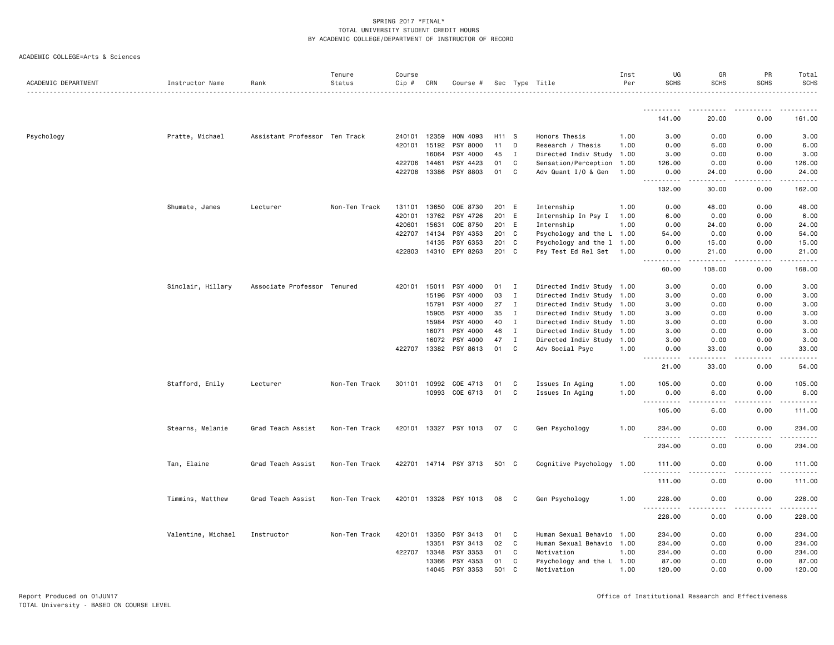| ACADEMIC DEPARTMENT | Instructor Name    | Rank                          | Tenure<br>Status | Course<br>$Cip \#$ | CRN          | Course #              |                   |              | Sec Type Title            | Inst<br>Per | UG<br><b>SCHS</b>                                                                                                                                            | GR<br>SCHS                      | PR<br><b>SCHS</b> | Total<br><b>SCHS</b> |
|---------------------|--------------------|-------------------------------|------------------|--------------------|--------------|-----------------------|-------------------|--------------|---------------------------|-------------|--------------------------------------------------------------------------------------------------------------------------------------------------------------|---------------------------------|-------------------|----------------------|
|                     |                    |                               |                  |                    |              |                       |                   |              |                           |             |                                                                                                                                                              |                                 |                   |                      |
|                     |                    |                               |                  |                    |              |                       |                   |              |                           |             | <u>.</u><br>141.00                                                                                                                                           | 20.00                           | 0.00              | 161.00               |
| Psychology          | Pratte, Michael    | Assistant Professor Ten Track |                  |                    | 240101 12359 | HON 4093              | H <sub>11</sub> S |              | Honors Thesis             | 1.00        | 3.00                                                                                                                                                         | 0.00                            | 0.00              | 3.00                 |
|                     |                    |                               |                  |                    | 420101 15192 | PSY 8000              | 11                | D            | Research / Thesis         | 1.00        | 0.00                                                                                                                                                         | 6.00                            | 0.00              | 6.00                 |
|                     |                    |                               |                  |                    | 16064        | PSY 4000              | 45                | $\mathbf I$  | Directed Indiv Study 1.00 |             | 3.00                                                                                                                                                         | 0.00                            | 0.00              | 3.00                 |
|                     |                    |                               |                  |                    | 422706 14461 | PSY 4423              | 01                | C            | Sensation/Perception      | 1.00        | 126.00                                                                                                                                                       | 0.00                            | 0.00              | 126.00               |
|                     |                    |                               |                  |                    | 422708 13386 | PSY 8803              | 01                | C            | Adv Quant I/O & Gen       | 1.00        | 0.00<br>.                                                                                                                                                    | 24.00<br>$\sim$ $\sim$ $\sim$ . | 0.00              | 24.00                |
|                     |                    |                               |                  |                    |              |                       |                   |              |                           |             | 132.00                                                                                                                                                       | 30.00                           | 0.00              | 162.00               |
|                     | Shumate, James     | Lecturer                      | Non-Ten Track    |                    | 131101 13650 | COE 8730              | 201 E             |              | Internship                | 1.00        | 0.00                                                                                                                                                         | 48.00                           | 0.00              | 48.00                |
|                     |                    |                               |                  | 420101             | 13762        | PSY 4726              | 201               | E            | Internship In Psy I       | 1.00        | 6.00                                                                                                                                                         | 0.00                            | 0.00              | 6.00                 |
|                     |                    |                               |                  | 420601             | 15631        | COE 8750              | 201 E             |              | Internship                | 1.00        | 0.00                                                                                                                                                         | 24.00                           | 0.00              | 24.00                |
|                     |                    |                               |                  |                    | 422707 14134 | PSY 4353              | 201 C             |              | Psychology and the L 1.00 |             | 54.00                                                                                                                                                        | 0.00                            | 0.00              | 54.00                |
|                     |                    |                               |                  |                    | 14135        | PSY 6353              | 201 C             |              | Psychology and the 1 1.00 |             | 0.00                                                                                                                                                         | 15.00                           | 0.00              | 15.00                |
|                     |                    |                               |                  |                    |              | 422803 14310 EPY 8263 | 201 C             |              | Psy Test Ed Rel Set       | 1.00        | 0.00<br>.                                                                                                                                                    | 21.00                           | 0.00              | 21.00                |
|                     |                    |                               |                  |                    |              |                       |                   |              |                           |             | 60.00                                                                                                                                                        | 108.00                          | 0.00              | 168.00               |
|                     | Sinclair, Hillary  | Associate Professor Tenured   |                  |                    | 420101 15011 | PSY 4000              | 01                | Ι            | Directed Indiv Study 1.00 |             | 3.00                                                                                                                                                         | 0.00                            | 0.00              | 3.00                 |
|                     |                    |                               |                  |                    | 15196        | PSY 4000              | 03                | $\mathbf I$  | Directed Indiv Study 1.00 |             | 3.00                                                                                                                                                         | 0.00                            | 0.00              | 3.00                 |
|                     |                    |                               |                  |                    | 15791        | PSY 4000              | 27                | Ι.           | Directed Indiv Study 1.00 |             | 3.00                                                                                                                                                         | 0.00                            | 0.00              | 3.00                 |
|                     |                    |                               |                  |                    | 15905        | PSY 4000              | 35                | I            | Directed Indiv Study 1.00 |             | 3.00                                                                                                                                                         | 0.00                            | 0.00              | 3.00                 |
|                     |                    |                               |                  |                    | 15984        | PSY 4000              | 40                | $\mathbf I$  | Directed Indiv Study 1.00 |             | 3.00                                                                                                                                                         | 0.00                            | 0.00              | 3.00                 |
|                     |                    |                               |                  |                    | 16071        | PSY 4000              | 46                | $\mathbf{I}$ | Directed Indiv Study      | 1.00        | 3.00                                                                                                                                                         | 0.00                            | 0.00              | 3.00                 |
|                     |                    |                               |                  |                    | 16072        | PSY 4000              | 47                | $\mathbf I$  | Directed Indiv Study 1.00 |             | 3.00                                                                                                                                                         | 0.00                            | 0.00              | 3.00                 |
|                     |                    |                               |                  |                    |              | 422707 13382 PSY 8613 | 01                | C            | Adv Social Psyc           | 1.00        | 0.00<br>$\frac{1}{2} \left( \frac{1}{2} \right) \left( \frac{1}{2} \right) \left( \frac{1}{2} \right) \left( \frac{1}{2} \right) \left( \frac{1}{2} \right)$ | 33.00                           | 0.00              | 33.00                |
|                     |                    |                               |                  |                    |              |                       |                   |              |                           |             | 21.00                                                                                                                                                        | 33.00                           | 0.00              | 54.00                |
|                     | Stafford, Emily    | Lecturer                      | Non-Ten Track    |                    | 301101 10992 | COE 4713              | 01                | C            | Issues In Aging           | 1.00        | 105.00                                                                                                                                                       | 0.00                            | 0.00              | 105.00               |
|                     |                    |                               |                  |                    | 10993        | COE 6713              | 01                | C            | Issues In Aging           | 1.00        | 0.00                                                                                                                                                         | 6.00                            | 0.00              | 6.00                 |
|                     |                    |                               |                  |                    |              |                       |                   |              |                           |             | 105.00                                                                                                                                                       | 6.00                            | 0.00              | 111.00               |
|                     | Stearns, Melanie   | Grad Teach Assist             | Non-Ten Track    |                    |              | 420101 13327 PSY 1013 | 07                | C            | Gen Psychology            | 1.00        | 234.00<br>.                                                                                                                                                  | 0.00                            | 0.00              | 234.00               |
|                     |                    |                               |                  |                    |              |                       |                   |              |                           |             | 234.00                                                                                                                                                       | 0.00                            | 0.00              | 234.00               |
|                     | Tan, Elaine        | Grad Teach Assist             | Non-Ten Track    |                    |              | 422701 14714 PSY 3713 | 501 C             |              | Cognitive Psychology 1.00 |             | 111.00                                                                                                                                                       | 0.00                            | 0.00              | 111.00               |
|                     |                    |                               |                  |                    |              |                       |                   |              |                           |             | <u>.</u><br>111.00                                                                                                                                           | 0.00                            | 0.00              | .<br>111.00          |
|                     | Timmins, Matthew   | Grad Teach Assist             | Non-Ten Track    |                    |              | 420101 13328 PSY 1013 | 08                | C            | Gen Psychology            | 1.00        | 228.00                                                                                                                                                       | 0.00                            | 0.00              | 228.00               |
|                     |                    |                               |                  |                    |              |                       |                   |              |                           |             | .<br>228.00                                                                                                                                                  | .<br>0.00                       | .<br>0.00         | 228.00               |
|                     | Valentine, Michael | Instructor                    | Non-Ten Track    | 420101             | 13350        | PSY 3413              | 01                | C            | Human Sexual Behavio      | 1.00        | 234.00                                                                                                                                                       | 0.00                            | 0.00              | 234.00               |
|                     |                    |                               |                  |                    | 13351        | PSY 3413              | 02                | C            | Human Sexual Behavio      | 1.00        | 234.00                                                                                                                                                       | 0.00                            | 0.00              | 234.00               |
|                     |                    |                               |                  |                    | 422707 13348 | PSY 3353              | 01                | C            | Motivation                | 1.00        | 234.00                                                                                                                                                       | 0.00                            | 0.00              | 234.00               |
|                     |                    |                               |                  |                    | 13366        | PSY 4353              | 01                | C            | Psychology and the L 1.00 |             | 87.00                                                                                                                                                        | 0.00                            | 0.00              | 87.00                |
|                     |                    |                               |                  |                    |              | 14045 PSY 3353        | 501               | C            | Motivation                | 1.00        | 120.00                                                                                                                                                       | 0.00                            | 0.00              | 120.00               |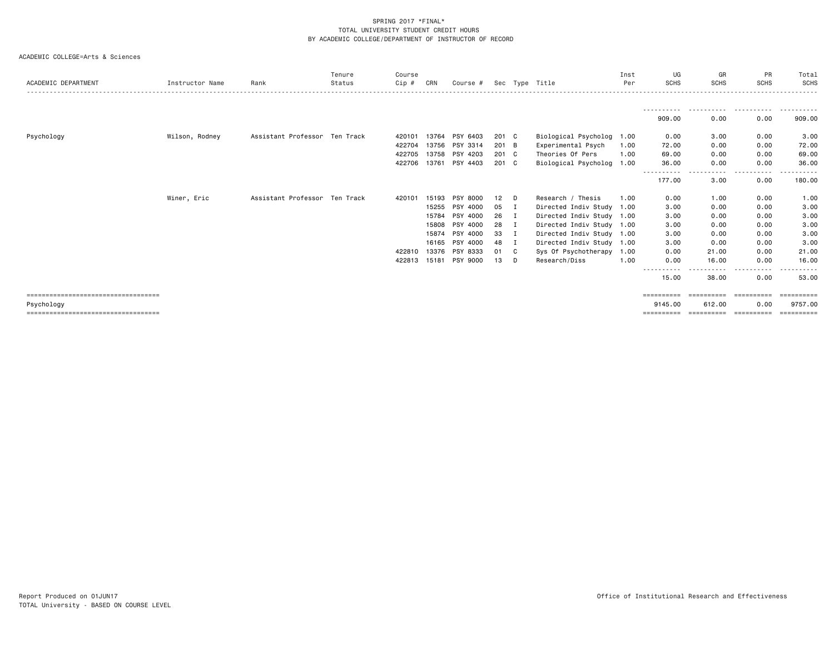|                                       |                 |                               | Tenure | Course |       |          |                 |    |                           | Inst | UG                    | GR          | PR                         | Total       |
|---------------------------------------|-----------------|-------------------------------|--------|--------|-------|----------|-----------------|----|---------------------------|------|-----------------------|-------------|----------------------------|-------------|
| ACADEMIC DEPARTMENT                   | Instructor Name | Rank                          | Status | Cip #  | CRN   | Course # |                 |    | Sec Type Title            | Per  | <b>SCHS</b>           | <b>SCHS</b> | <b>SCHS</b>                | SCHS        |
|                                       |                 |                               |        |        |       |          |                 |    |                           |      |                       |             |                            |             |
|                                       |                 |                               |        |        |       |          |                 |    |                           |      | 909.00                | 0.00        | 0.00                       | .<br>909.00 |
| Psychology                            | Wilson, Rodney  | Assistant Professor Ten Track |        | 420101 | 13764 | PSY 6403 | 201 C           |    | Biological Psycholog 1.00 |      | 0.00                  | 3.00        | 0.00                       | 3.00        |
|                                       |                 |                               |        | 422704 | 13756 | PSY 3314 | 201 B           |    | Experimental Psych        | 1.00 | 72.00                 | 0.00        | 0.00                       | 72.00       |
|                                       |                 |                               |        | 422705 | 13758 | PSY 4203 | $201 \quad C$   |    | Theories Of Pers          | 1.00 | 69.00                 | 0.00        | 0.00                       | 69.00       |
|                                       |                 |                               |        | 422706 | 13761 | PSY 4403 | 201 C           |    | Biological Psycholog 1.00 |      | 36.00                 | 0.00        | 0.00                       | 36.00       |
|                                       |                 |                               |        |        |       |          |                 |    |                           |      | -----------<br>177.00 | .<br>3.00   | $- - - -$<br>-----<br>0.00 | .<br>180.00 |
|                                       | Winer, Eric     | Assistant Professor Ten Track |        | 420101 | 15193 | PSY 8000 | 12 <sup>2</sup> | D  | Research / Thesis         | 1.00 | 0.00                  | 1.00        | 0.00                       | 1.00        |
|                                       |                 |                               |        |        | 15255 | PSY 4000 | 05              | Ι. | Directed Indiv Study 1.00 |      | 3.00                  | 0.00        | 0.00                       | 3.00        |
|                                       |                 |                               |        |        | 15784 | PSY 4000 | 26              | Ι. | Directed Indiv Study 1.00 |      | 3.00                  | 0.00        | 0.00                       | 3.00        |
|                                       |                 |                               |        |        | 15808 | PSY 4000 | 28              |    | Directed Indiv Study 1.00 |      | 3.00                  | 0.00        | 0.00                       | 3.00        |
|                                       |                 |                               |        |        | 15874 | PSY 4000 | 33              |    | Directed Indiv Study 1.00 |      | 3.00                  | 0.00        | 0.00                       | 3.00        |
|                                       |                 |                               |        |        | 16165 | PSY 4000 | 48              |    | Directed Indiv Study 1.00 |      | 3.00                  | 0.00        | 0.00                       | 3.00        |
|                                       |                 |                               |        | 422810 | 13376 | PSY 8333 | 01              | C  | Sys Of Psychotherapy 1.00 |      | 0.00                  | 21.00       | 0.00                       | 21.00       |
|                                       |                 |                               |        | 422813 | 15181 | PSY 9000 | 13              | D  | Research/Diss             | 1.00 | 0.00                  | 16.00       | 0.00                       | 16.00       |
|                                       |                 |                               |        |        |       |          |                 |    |                           |      | $- - -$<br>15.00      | 38.00       | ----<br>0.00               | 53.00       |
| ===================================== |                 |                               |        |        |       |          |                 |    |                           |      | ==========            | ==========  | -----------                | ==========  |
| Psychology                            |                 |                               |        |        |       |          |                 |    |                           |      | 9145.00               | 612.00      | 0.00                       | 9757.00     |
| ===================================== |                 |                               |        |        |       |          |                 |    |                           |      | ==========            | ==========  | -----------                | ==========  |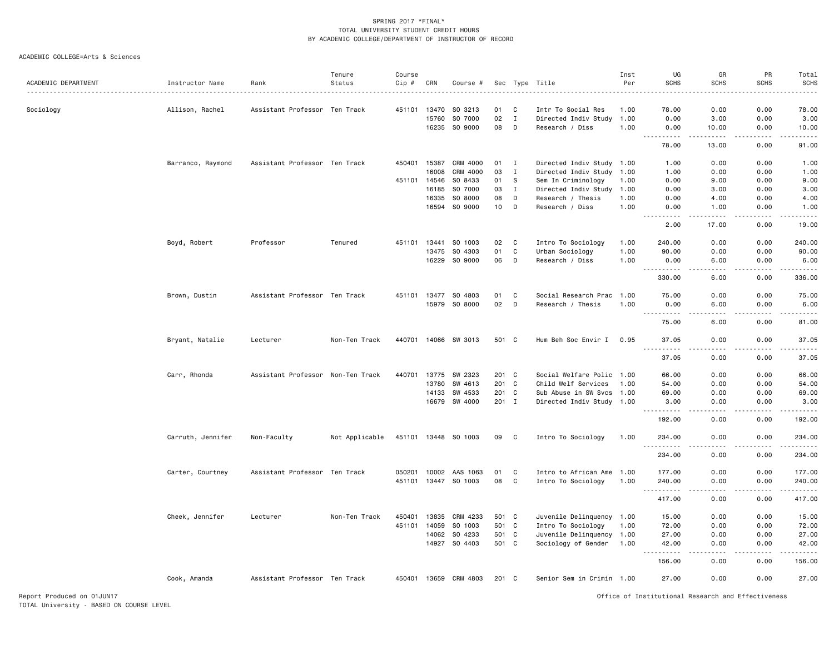| ACADEMIC DEPARTMENT        |                   |                                   | Tenure<br>Status | Course       | CRN          |                      |         |              |                           | Inst<br>Per | UG<br><b>SCHS</b>                                  | GR<br><b>SCHS</b>                                                                                                                                            | PR<br><b>SCHS</b> | Total<br><b>SCHS</b> |
|----------------------------|-------------------|-----------------------------------|------------------|--------------|--------------|----------------------|---------|--------------|---------------------------|-------------|----------------------------------------------------|--------------------------------------------------------------------------------------------------------------------------------------------------------------|-------------------|----------------------|
|                            | Instructor Name   | Rank                              |                  | Cip #        |              | Course #             | Sec     |              | Type Title                |             |                                                    |                                                                                                                                                              |                   |                      |
| Sociology                  | Allison, Rachel   | Assistant Professor Ten Track     |                  | 451101       | 13470        | SO 3213              | 01      | C            | Intr To Social Res        | 1.00        | 78.00                                              | 0.00                                                                                                                                                         | 0.00              | 78.00                |
|                            |                   |                                   |                  |              | 15760        | SO 7000              | 02      | $\mathbf{I}$ | Directed Indiv Study      | 1.00        | 0.00                                               | 3.00                                                                                                                                                         | 0.00              | 3.00                 |
|                            |                   |                                   |                  |              | 16235        | SO 9000              | 08      | D            | Research / Diss           | 1.00        | 0.00<br><u>.</u>                                   | 10.00<br>.                                                                                                                                                   | 0.00<br>.         | 10.00<br>.           |
|                            |                   |                                   |                  |              |              |                      |         |              |                           |             | 78.00                                              | 13.00                                                                                                                                                        | 0.00              | 91.00                |
|                            | Barranco, Raymond | Assistant Professor Ten Track     |                  |              | 450401 15387 | CRM 4000             | 01      | I            | Directed Indiv Study 1.00 |             | 1.00                                               | 0.00                                                                                                                                                         | 0.00              | 1.00                 |
|                            |                   |                                   |                  |              | 16008        | CRM 4000             | 03      | $\mathbf{I}$ | Directed Indiv Study 1.00 |             | 1.00                                               | 0.00                                                                                                                                                         | 0.00              | 1.00                 |
|                            |                   |                                   |                  | 451101 14546 |              | SO 8433              | 01      | S            | Sem In Criminology        | 1.00        | 0.00                                               | 9.00                                                                                                                                                         | 0.00              | 9.00                 |
|                            |                   |                                   |                  |              | 16185        | SO 7000              | 03      | $\mathbf{I}$ | Directed Indiv Study      | 1.00        | 0.00                                               | 3.00                                                                                                                                                         | 0.00              | 3.00                 |
|                            |                   |                                   |                  |              | 16335        | SO 8000              | 08      | D            | Research / Thesis         | 1.00        | 0.00                                               | 4.00                                                                                                                                                         | 0.00              | 4.00                 |
|                            |                   |                                   |                  |              | 16594        | SO 9000              | 10      | D            | Research / Diss           | 1.00        | 0.00<br>.                                          | 1.00<br>$\frac{1}{2} \left( \frac{1}{2} \right) \left( \frac{1}{2} \right) \left( \frac{1}{2} \right) \left( \frac{1}{2} \right) \left( \frac{1}{2} \right)$ | 0.00<br>-----     | 1.00<br>.            |
|                            |                   |                                   |                  |              |              |                      |         |              |                           |             | 2.00                                               | 17.00                                                                                                                                                        | 0.00              | 19.00                |
|                            | Boyd, Robert      | Professor                         | Tenured          |              | 451101 13441 | SO 1003              | 02      | C            | Intro To Sociology        | 1.00        | 240.00                                             | 0.00                                                                                                                                                         | 0.00              | 240.00               |
|                            |                   |                                   |                  |              | 13475        | SO 4303              | 01      | C            | Urban Sociology           | 1.00        | 90.00                                              | 0.00                                                                                                                                                         | 0.00              | 90.00                |
|                            |                   |                                   |                  |              | 16229        | SO 9000              | 06      | D            | Research / Diss           | 1.00        | 0.00<br>----------                                 | 6.00<br>.                                                                                                                                                    | 0.00<br>.         | 6.00                 |
|                            |                   |                                   |                  |              |              |                      |         |              |                           |             | 330.00                                             | 6.00                                                                                                                                                         | 0.00              | 336.00               |
|                            | Brown, Dustin     | Assistant Professor Ten Track     |                  | 451101 13477 |              | SO 4803              | 01      | C            | Social Research Prac      | 1.00        | 75.00                                              | 0.00                                                                                                                                                         | 0.00              | 75.00                |
|                            |                   |                                   |                  |              |              | 15979 SO 8000        | 02      | D            | Research / Thesis         | 1.00        | 0.00<br>.                                          | 6.00<br>.                                                                                                                                                    | 0.00<br>.         | 6.00<br>.            |
|                            |                   |                                   |                  |              |              |                      |         |              |                           |             | 75.00                                              | 6.00                                                                                                                                                         | 0.00              | 81.00                |
|                            | Bryant, Natalie   | Lecturer                          | Non-Ten Track    |              |              | 440701 14066 SW 3013 | 501 C   |              | Hum Beh Soc Envir I       | 0.95        | 37.05<br>.                                         | 0.00<br>.                                                                                                                                                    | 0.00<br>.         | 37.05<br>.           |
|                            |                   |                                   |                  |              |              |                      |         |              |                           |             | 37.05                                              | 0.00                                                                                                                                                         | 0.00              | 37.05                |
|                            | Carr, Rhonda      | Assistant Professor Non-Ten Track |                  | 440701       | 13775        | SW 2323              | $201$ C |              | Social Welfare Polic 1.00 |             | 66.00                                              | 0.00                                                                                                                                                         | 0.00              | 66.00                |
|                            |                   |                                   |                  |              | 13780        | SW 4613              | 201 C   |              | Child Welf Services       | 1.00        | 54.00                                              | 0.00                                                                                                                                                         | 0.00              | 54.00                |
|                            |                   |                                   |                  |              | 14133        | SW 4533              | 201 C   |              | Sub Abuse in SW Svcs 1.00 |             | 69.00                                              | 0.00                                                                                                                                                         | 0.00              | 69.00                |
|                            |                   |                                   |                  |              |              | 16679 SW 4000        | 201 I   |              | Directed Indiv Study 1.00 |             | 3.00                                               | 0.00                                                                                                                                                         | 0.00              | 3.00<br>.            |
|                            |                   |                                   |                  |              |              |                      |         |              |                           |             | 192.00                                             | 0.00                                                                                                                                                         | 0.00              | 192.00               |
|                            | Carruth, Jennifer | Non-Faculty                       | Not Applicable   |              |              | 451101 13448 SO 1003 | 09      | C            | Intro To Sociology        | 1.00        | 234,00                                             | 0.00                                                                                                                                                         | 0.00              | 234.00               |
|                            |                   |                                   |                  |              |              |                      |         |              |                           |             | 234.00                                             | 0.00                                                                                                                                                         | 0.00              | 234.00               |
|                            | Carter, Courtney  | Assistant Professor Ten Track     |                  | 050201       | 10002        | AAS 1063             | 01      | C            | Intro to African Ame 1.00 |             | 177.00                                             | 0.00                                                                                                                                                         | 0.00              | 177.00               |
|                            |                   |                                   |                  |              |              | 451101 13447 SO 1003 | 08      | C            | Intro To Sociology        | 1.00        | 240.00                                             | 0.00                                                                                                                                                         | 0.00              | 240,00               |
|                            |                   |                                   |                  |              |              |                      |         |              |                           |             | .<br>417.00                                        | 0.00                                                                                                                                                         | 0.00              | .<br>417.00          |
|                            | Cheek, Jennifer   | Lecturer                          | Non-Ten Track    | 450401       | 13835        | CRM 4233             | 501 C   |              | Juvenile Delinquency 1.00 |             | 15.00                                              | 0.00                                                                                                                                                         | 0.00              | 15.00                |
|                            |                   |                                   |                  | 451101       | 14059        | SO 1003              | 501 C   |              | Intro To Sociology        | 1.00        | 72.00                                              | 0.00                                                                                                                                                         | 0.00              | 72.00                |
|                            |                   |                                   |                  |              | 14062        | SO 4233              | 501 C   |              | Juvenile Delinquency 1.00 |             | 27.00                                              | 0.00                                                                                                                                                         | 0.00              | 27.00                |
|                            |                   |                                   |                  |              | 14927        | SO 4403              | 501 C   |              | Sociology of Gender       | 1.00        | 42.00                                              | 0.00                                                                                                                                                         | 0.00              | 42.00                |
|                            |                   |                                   |                  |              |              |                      |         |              |                           |             | 156.00                                             | 0.00                                                                                                                                                         | 0.00              | 156.00               |
|                            | Cook, Amanda      | Assistant Professor Ten Track     |                  | 450401       |              | 13659 CRM 4803       | 201 C   |              | Senior Sem in Crimin 1.00 |             | 27.00                                              | 0.00                                                                                                                                                         | 0.00              | 27.00                |
| Report Produced on 01JUN17 |                   |                                   |                  |              |              |                      |         |              |                           |             | Office of Institutional Research and Effectiveness |                                                                                                                                                              |                   |                      |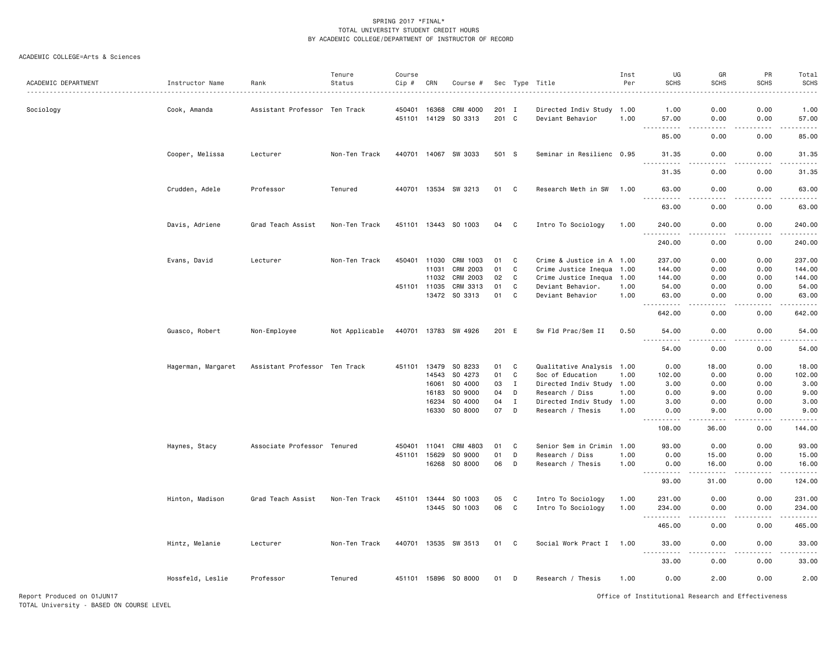#### ACADEMIC COLLEGE=Arts & Sciences

|                     |                    |                               | Tenure         | Course       |       |                      |       |              |                           | Inst | UG                                                                                                          | GR                                  | PR          | Total                                                                                                                               |
|---------------------|--------------------|-------------------------------|----------------|--------------|-------|----------------------|-------|--------------|---------------------------|------|-------------------------------------------------------------------------------------------------------------|-------------------------------------|-------------|-------------------------------------------------------------------------------------------------------------------------------------|
| ACADEMIC DEPARTMENT | Instructor Name    | Rank                          | Status         | Cip #        | CRN   | Course #             |       |              | Sec Type Title            | Per  | <b>SCHS</b>                                                                                                 | <b>SCHS</b>                         | <b>SCHS</b> | SCHS                                                                                                                                |
| Sociology           | Cook, Amanda       | Assistant Professor Ten Track |                | 450401       | 16368 | CRM 4000             | 201 I |              | Directed Indiv Study 1.00 |      | 1.00                                                                                                        | 0.00                                | 0.00        | 1.00                                                                                                                                |
|                     |                    |                               |                | 451101 14129 |       | SO 3313              | 201 C |              | Deviant Behavior          | 1.00 | 57.00                                                                                                       | 0.00                                | 0.00        | 57.00                                                                                                                               |
|                     |                    |                               |                |              |       |                      |       |              |                           |      | 85.00                                                                                                       | 0.00                                | 0.00        | د د د د د<br>85.00                                                                                                                  |
|                     | Cooper, Melissa    | Lecturer                      | Non-Ten Track  |              |       | 440701 14067 SW 3033 | 501 S |              | Seminar in Resilienc 0.95 |      | 31.35                                                                                                       | 0.00                                | 0.00        | 31.35<br>.                                                                                                                          |
|                     |                    |                               |                |              |       |                      |       |              |                           |      | 31.35                                                                                                       | 0.00                                | 0.00        | 31.35                                                                                                                               |
|                     | Crudden, Adele     | Professor                     | Tenured        |              |       | 440701 13534 SW 3213 | 01 C  |              | Research Meth in SW 1.00  |      | 63.00<br>$\frac{1}{2}$                                                                                      | 0.00<br>$- - - -$                   | 0.00<br>.   | 63.00<br>.                                                                                                                          |
|                     |                    |                               |                |              |       |                      |       |              |                           |      | 63.00                                                                                                       | 0.00                                | 0.00        | 63.00                                                                                                                               |
|                     | Davis, Adriene     | Grad Teach Assist             | Non-Ten Track  |              |       | 451101 13443 SO 1003 | 04    | C            | Intro To Sociology        | 1.00 | 240.00                                                                                                      | 0.00                                | 0.00        | 240.00<br>.                                                                                                                         |
|                     |                    |                               |                |              |       |                      |       |              |                           |      | 240.00                                                                                                      | 0.00                                | 0.00        | 240.00                                                                                                                              |
|                     | Evans, David       | Lecturer                      | Non-Ten Track  | 450401 11030 |       | CRM 1003             | 01    | C            | Crime & Justice in A 1.00 |      | 237.00                                                                                                      | 0.00                                | 0.00        | 237.00                                                                                                                              |
|                     |                    |                               |                |              | 11031 | CRM 2003             | 01    | $\mathtt{C}$ | Crime Justice Inequa      | 1.00 | 144.00                                                                                                      | 0.00                                | 0.00        | 144.00                                                                                                                              |
|                     |                    |                               |                |              | 11032 | CRM 2003             | 02    | $\mathbf C$  | Crime Justice Inequa      | 1.00 | 144.00                                                                                                      | 0.00                                | 0.00        | 144.00                                                                                                                              |
|                     |                    |                               |                | 451101 11035 |       | CRM 3313             | 01    | $\mathbf C$  | Deviant Behavior.         | 1.00 | 54.00                                                                                                       | 0.00                                | 0.00        | 54.00                                                                                                                               |
|                     |                    |                               |                |              | 13472 | SO 3313              | 01    | C            | Deviant Behavior          | 1.00 | 63.00<br>.                                                                                                  | 0.00<br>$\frac{1}{2}$               | 0.00<br>.   | 63.00<br>.                                                                                                                          |
|                     |                    |                               |                |              |       |                      |       |              |                           |      | 642.00                                                                                                      | 0.00                                | 0.00        | 642.00                                                                                                                              |
|                     | Guasco, Robert     | Non-Employee                  | Not Applicable | 440701 13783 |       | SW 4926              | 201 E |              | Sw Fld Prac/Sem II        | 0.50 | 54.00                                                                                                       | 0.00<br>$\sim$ $\sim$ $\sim$ $\sim$ | 0.00<br>.   | 54.00<br>.                                                                                                                          |
|                     |                    |                               |                |              |       |                      |       |              |                           |      | 54.00                                                                                                       | 0.00                                | 0.00        | 54.00                                                                                                                               |
|                     | Hagerman, Margaret | Assistant Professor Ten Track |                | 451101       | 13479 | SO 8233              | 01    | C            | Qualitative Analysis 1.00 |      | 0.00                                                                                                        | 18.00                               | 0.00        | 18.00                                                                                                                               |
|                     |                    |                               |                |              | 14543 | SO 4273              | 01    | C            | Soc of Education          | 1.00 | 102.00                                                                                                      | 0.00                                | 0.00        | 102.00                                                                                                                              |
|                     |                    |                               |                |              | 16061 | SO 4000              | 03    | $\mathbf I$  | Directed Indiv Study 1.00 |      | 3.00                                                                                                        | 0.00                                | 0.00        | 3.00                                                                                                                                |
|                     |                    |                               |                |              | 16183 | SO 9000              | 04    | D            | Research / Diss           | 1.00 | 0.00                                                                                                        | 9.00                                | 0.00        | 9.00                                                                                                                                |
|                     |                    |                               |                |              | 16234 | SO 4000              | 04    | $\mathbf I$  | Directed Indiv Study      | 1.00 | 3.00                                                                                                        | 0.00                                | 0.00        | 3.00                                                                                                                                |
|                     |                    |                               |                |              | 16330 | SO 8000              | 07    | D            | Research / Thesis         | 1.00 | 0.00<br>.                                                                                                   | 9.00<br>.                           | 0.00<br>.   | 9.00<br><u>.</u>                                                                                                                    |
|                     |                    |                               |                |              |       |                      |       |              |                           |      | 108.00                                                                                                      | 36.00                               | 0.00        | 144.00                                                                                                                              |
|                     | Haynes, Stacy      | Associate Professor Tenured   |                | 450401       | 11041 | CRM 4803             | 01    | C            | Senior Sem in Crimin 1.00 |      | 93.00                                                                                                       | 0.00                                | 0.00        | 93.00                                                                                                                               |
|                     |                    |                               |                | 451101       | 15629 | SO 9000              | 01    | D            | Research / Diss           | 1.00 | 0.00                                                                                                        | 15.00                               | 0.00        | 15.00                                                                                                                               |
|                     |                    |                               |                |              | 16268 | SO 8000              | 06    | D            | Research / Thesis         | 1.00 | 0.00<br>.<br>$\frac{1}{2} \left( \frac{1}{2} \right) \left( \frac{1}{2} \right) \left( \frac{1}{2} \right)$ | 16.00<br>.                          | 0.00<br>.   | 16.00<br>.                                                                                                                          |
|                     |                    |                               |                |              |       |                      |       |              |                           |      | 93.00                                                                                                       | 31.00                               | 0.00        | 124.00                                                                                                                              |
|                     | Hinton, Madison    | Grad Teach Assist             | Non-Ten Track  | 451101       | 13444 | SO 1003              | 05    | C            | Intro To Sociology        | 1.00 | 231.00                                                                                                      | 0.00                                | 0.00        | 231.00                                                                                                                              |
|                     |                    |                               |                |              |       | 13445 SO 1003        | 06    | C            | Intro To Sociology        | 1.00 | 234.00<br>.                                                                                                 | 0.00<br>$\sim$ $\sim$ $\sim$        | 0.00<br>.   | 234.00<br>$\begin{array}{cccccccccccccc} \bullet & \bullet & \bullet & \bullet & \bullet & \bullet & \bullet & \bullet \end{array}$ |
|                     |                    |                               |                |              |       |                      |       |              |                           |      | 465.00                                                                                                      | 0.00                                | 0.00        | 465.00                                                                                                                              |
|                     | Hintz, Melanie     | Lecturer                      | Non-Ten Track  |              |       | 440701 13535 SW 3513 | 01    | <b>C</b>     | Social Work Pract I 1.00  |      | 33.00                                                                                                       | 0.00                                | 0.00        | 33.00<br>$\frac{1}{2}$                                                                                                              |
|                     |                    |                               |                |              |       |                      |       |              |                           |      | 33.00                                                                                                       | 0.00                                | 0.00        | 33.00                                                                                                                               |
|                     | Hossfeld, Leslie   | Professor                     | Tenured        |              |       | 451101 15896 SO 8000 | 01    | D            | Research / Thesis         | 1.00 | 0.00                                                                                                        | 2.00                                | 0.00        | 2.00                                                                                                                                |

Report Produced on 01JUN17 Office of Institutional Research and Effectiveness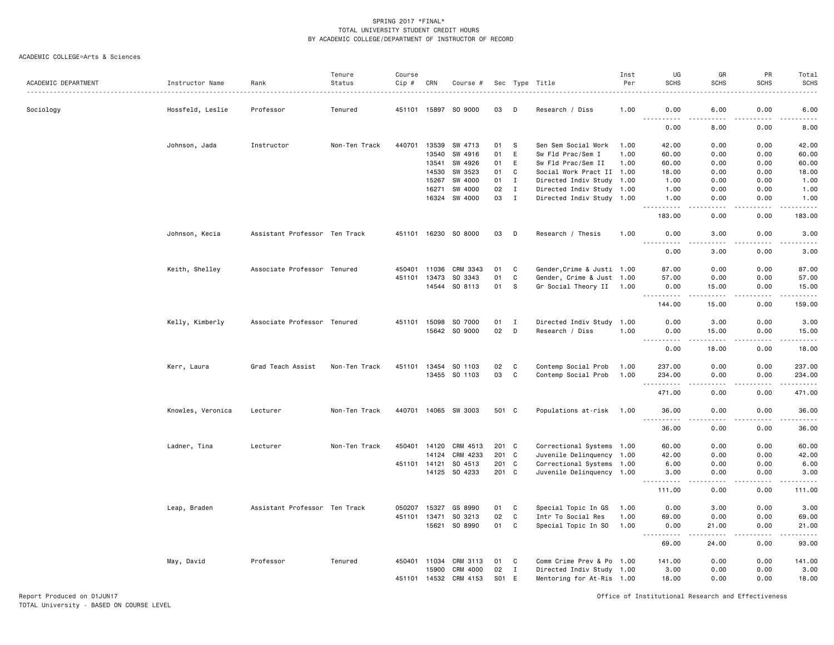#### ACADEMIC COLLEGE=Arts & Sciences

|                     |                   |                               | Tenure        | Course       |       |                       |       |              |                            | Inst | UG                                                                                                                                                                                                                                                                                                                                                                                                                                                                                             | GR                                  | PR                | Total                 |
|---------------------|-------------------|-------------------------------|---------------|--------------|-------|-----------------------|-------|--------------|----------------------------|------|------------------------------------------------------------------------------------------------------------------------------------------------------------------------------------------------------------------------------------------------------------------------------------------------------------------------------------------------------------------------------------------------------------------------------------------------------------------------------------------------|-------------------------------------|-------------------|-----------------------|
| ACADEMIC DEPARTMENT | Instructor Name   | Rank                          | Status        | Cip #        | CRN   | Course #              |       |              | Sec Type Title             | Per  | <b>SCHS</b>                                                                                                                                                                                                                                                                                                                                                                                                                                                                                    | <b>SCHS</b>                         | <b>SCHS</b>       | <b>SCHS</b>           |
| Sociology           | Hossfeld, Leslie  | Professor                     | Tenured       | 451101 15897 |       | SO 9000               | 03    | D            | Research / Diss            | 1.00 | 0.00<br>.                                                                                                                                                                                                                                                                                                                                                                                                                                                                                      | 6.00<br>$\sim$ $\sim$ $\sim$ $\sim$ | 0.00<br>$- - - -$ | 6.00                  |
|                     |                   |                               |               |              |       |                       |       |              |                            |      | 0.00                                                                                                                                                                                                                                                                                                                                                                                                                                                                                           | 8.00                                | 0.00              | 8.00                  |
|                     | Johnson, Jada     | Instructor                    | Non-Ten Track | 440701       | 13539 | SW 4713               | 01    | <b>S</b>     | Sen Sem Social Work        | 1.00 | 42.00                                                                                                                                                                                                                                                                                                                                                                                                                                                                                          | 0.00                                | 0.00              | 42.00                 |
|                     |                   |                               |               |              | 13540 | SW 4916               | 01    | E            | Sw Fld Prac/Sem I          | 1.00 | 60.00                                                                                                                                                                                                                                                                                                                                                                                                                                                                                          | 0.00                                | 0.00              | 60.00                 |
|                     |                   |                               |               |              | 13541 | SW 4926               | 01    | E            | Sw Fld Prac/Sem II         | 1.00 | 60.00                                                                                                                                                                                                                                                                                                                                                                                                                                                                                          | 0.00                                | 0.00              | 60.00                 |
|                     |                   |                               |               |              | 14530 | SW 3523               | 01    | C            | Social Work Pract II 1.00  |      | 18.00                                                                                                                                                                                                                                                                                                                                                                                                                                                                                          | 0.00                                | 0.00              | 18.00                 |
|                     |                   |                               |               |              | 15267 | SW 4000               | 01    | $\mathbf I$  | Directed Indiv Study 1.00  |      | 1.00                                                                                                                                                                                                                                                                                                                                                                                                                                                                                           | 0.00                                | 0.00              | 1.00                  |
|                     |                   |                               |               |              | 16271 | SW 4000               | 02    | $\mathbf{I}$ | Directed Indiv Study 1.00  |      | 1.00                                                                                                                                                                                                                                                                                                                                                                                                                                                                                           | 0.00                                | 0.00              | 1.00                  |
|                     |                   |                               |               |              | 16324 | SW 4000               | 03    | $\mathbf{I}$ | Directed Indiv Study 1.00  |      | 1.00<br>$\begin{array}{cccccccccccccc} \multicolumn{2}{c}{} & \multicolumn{2}{c}{} & \multicolumn{2}{c}{} & \multicolumn{2}{c}{} & \multicolumn{2}{c}{} & \multicolumn{2}{c}{} & \multicolumn{2}{c}{} & \multicolumn{2}{c}{} & \multicolumn{2}{c}{} & \multicolumn{2}{c}{} & \multicolumn{2}{c}{} & \multicolumn{2}{c}{} & \multicolumn{2}{c}{} & \multicolumn{2}{c}{} & \multicolumn{2}{c}{} & \multicolumn{2}{c}{} & \multicolumn{2}{c}{} & \multicolumn{2}{c}{} & \multicolumn{2}{c}{} & \$ | 0.00<br>الدامات بال                 | 0.00<br>.         | 1.00<br>.             |
|                     |                   |                               |               |              |       |                       |       |              |                            |      | 183.00                                                                                                                                                                                                                                                                                                                                                                                                                                                                                         | 0.00                                | 0.00              | 183.00                |
|                     | Johnson, Kecia    | Assistant Professor Ten Track |               |              |       | 451101 16230 SO 8000  | 03    | D            | Research / Thesis          | 1.00 | 0.00                                                                                                                                                                                                                                                                                                                                                                                                                                                                                           | 3.00                                | 0.00              | 3.00                  |
|                     |                   |                               |               |              |       |                       |       |              |                            |      | 0.00                                                                                                                                                                                                                                                                                                                                                                                                                                                                                           | 3.00                                | 0.00              | 3.00                  |
|                     | Keith, Shelley    | Associate Professor Tenured   |               | 450401 11036 |       | CRM 3343              | 01    | C            | Gender, Crime & Justi 1.00 |      | 87.00                                                                                                                                                                                                                                                                                                                                                                                                                                                                                          | 0.00                                | 0.00              | 87.00                 |
|                     |                   |                               |               | 451101       | 13473 | SO 3343               | 01    | C            | Gender, Crime & Just 1.00  |      | 57.00                                                                                                                                                                                                                                                                                                                                                                                                                                                                                          | 0.00                                | 0.00              | 57.00                 |
|                     |                   |                               |               |              | 14544 | SO 8113               | 01    | S            | Gr Social Theory II 1.00   |      | 0.00                                                                                                                                                                                                                                                                                                                                                                                                                                                                                           | 15.00                               | 0.00              | 15.00                 |
|                     |                   |                               |               |              |       |                       |       |              |                            |      | .                                                                                                                                                                                                                                                                                                                                                                                                                                                                                              | $\frac{1}{2}$                       | .                 | <u>.</u>              |
|                     |                   |                               |               |              |       |                       |       |              |                            |      | 144.00                                                                                                                                                                                                                                                                                                                                                                                                                                                                                         | 15.00                               | 0.00              | 159.00                |
|                     | Kelly, Kimberly   | Associate Professor Tenured   |               | 451101 15098 |       | SO 7000               | 01    | $\mathbf{I}$ | Directed Indiv Study 1.00  |      | 0.00                                                                                                                                                                                                                                                                                                                                                                                                                                                                                           | 3.00                                | 0.00              | 3.00                  |
|                     |                   |                               |               |              |       | 15642 SO 9000         | 02    | D            | Research / Diss            | 1.00 | 0.00                                                                                                                                                                                                                                                                                                                                                                                                                                                                                           | 15.00                               | 0.00              | 15.00                 |
|                     |                   |                               |               |              |       |                       |       |              |                            |      | $- - -$<br>.                                                                                                                                                                                                                                                                                                                                                                                                                                                                                   |                                     |                   |                       |
|                     |                   |                               |               |              |       |                       |       |              |                            |      | 0.00                                                                                                                                                                                                                                                                                                                                                                                                                                                                                           | 18.00                               | 0.00              | 18.00                 |
|                     | Kerr, Laura       | Grad Teach Assist             | Non-Ten Track |              |       | 451101 13454 SO 1103  | 02    | C            | Contemp Social Prob        | 1.00 | 237.00                                                                                                                                                                                                                                                                                                                                                                                                                                                                                         | 0.00                                | 0.00              | 237.00                |
|                     |                   |                               |               |              |       | 13455 SO 1103         | 03    | C            | Contemp Social Prob        | 1.00 | 234.00                                                                                                                                                                                                                                                                                                                                                                                                                                                                                         | 0.00                                | 0.00              | 234.00                |
|                     |                   |                               |               |              |       |                       |       |              |                            |      | 471.00                                                                                                                                                                                                                                                                                                                                                                                                                                                                                         | 0.00                                | .<br>0.00         | .<br>471.00           |
|                     |                   |                               |               |              |       |                       |       |              |                            |      |                                                                                                                                                                                                                                                                                                                                                                                                                                                                                                |                                     |                   |                       |
|                     | Knowles, Veronica | Lecturer                      | Non-Ten Track |              |       | 440701 14065 SW 3003  | 501 C |              | Populations at-risk        | 1.00 | 36.00<br>.                                                                                                                                                                                                                                                                                                                                                                                                                                                                                     | 0.00<br>.                           | 0.00<br>.         | 36.00<br>------       |
|                     |                   |                               |               |              |       |                       |       |              |                            |      | 36.00                                                                                                                                                                                                                                                                                                                                                                                                                                                                                          | 0.00                                | 0.00              | 36.00                 |
|                     | Ladner, Tina      | Lecturer                      | Non-Ten Track | 450401       | 14120 | CRM 4513              | 201 C |              | Correctional Systems 1.00  |      | 60.00                                                                                                                                                                                                                                                                                                                                                                                                                                                                                          | 0.00                                | 0.00              | 60.00                 |
|                     |                   |                               |               |              | 14124 | CRM 4233              | 201 C |              | Juvenile Delinquency 1.00  |      | 42.00                                                                                                                                                                                                                                                                                                                                                                                                                                                                                          | 0.00                                | 0.00              | 42.00                 |
|                     |                   |                               |               | 451101 14121 |       | SO 4513               | 201 C |              | Correctional Systems 1.00  |      | 6.00                                                                                                                                                                                                                                                                                                                                                                                                                                                                                           | 0.00                                | 0.00              | 6.00                  |
|                     |                   |                               |               |              |       | 14125 SO 4233         | 201 C |              | Juvenile Delinquency 1.00  |      | 3.00                                                                                                                                                                                                                                                                                                                                                                                                                                                                                           | 0.00                                | 0.00              | 3.00                  |
|                     |                   |                               |               |              |       |                       |       |              |                            |      | $- - - - -$<br>111.00                                                                                                                                                                                                                                                                                                                                                                                                                                                                          | د د د د<br>0.00                     | <u>.</u><br>0.00  | . <b>.</b><br>111.00  |
|                     |                   |                               |               |              |       |                       |       |              |                            |      |                                                                                                                                                                                                                                                                                                                                                                                                                                                                                                |                                     |                   |                       |
|                     | Leap, Braden      | Assistant Professor Ten Track |               | 050207       | 15327 | GS 8990               | 01    | C            | Special Topic In GS        | 1.00 | 0.00                                                                                                                                                                                                                                                                                                                                                                                                                                                                                           | 3.00                                | 0.00              | 3.00                  |
|                     |                   |                               |               | 451101 13471 |       | SO 3213               | 02    | C            | Intr To Social Res         | 1.00 | 69.00                                                                                                                                                                                                                                                                                                                                                                                                                                                                                          | 0.00                                | 0.00              | 69.00                 |
|                     |                   |                               |               |              |       | 15621 SO 8990         | 01    | C            | Special Topic In SO        | 1.00 | 0.00<br>$\frac{1}{2} \left( \frac{1}{2} \right) \left( \frac{1}{2} \right) \left( \frac{1}{2} \right)$<br>. <b>.</b>                                                                                                                                                                                                                                                                                                                                                                           | 21.00<br>-----                      | 0.00<br>.         | 21.00<br>. <u>.</u> . |
|                     |                   |                               |               |              |       |                       |       |              |                            |      | 69.00                                                                                                                                                                                                                                                                                                                                                                                                                                                                                          | 24.00                               | 0.00              | 93.00                 |
|                     | May, David        | Professor                     | Tenured       | 450401 11034 |       | CRM 3113              | 01    | C            | Comm Crime Prev & Po 1.00  |      | 141.00                                                                                                                                                                                                                                                                                                                                                                                                                                                                                         | 0.00                                | 0.00              | 141.00                |
|                     |                   |                               |               |              | 15900 | CRM 4000              | 02    | $\mathbf{I}$ | Directed Indiv Study 1.00  |      | 3.00                                                                                                                                                                                                                                                                                                                                                                                                                                                                                           | 0.00                                | 0.00              | 3.00                  |
|                     |                   |                               |               |              |       | 451101 14532 CRM 4153 | S01   | E            | Mentoring for At-Ris 1.00  |      | 18.00                                                                                                                                                                                                                                                                                                                                                                                                                                                                                          | 0.00                                | 0.00              | 18.00                 |

Report Produced on 01JUN17 Office of Institutional Research and Effectiveness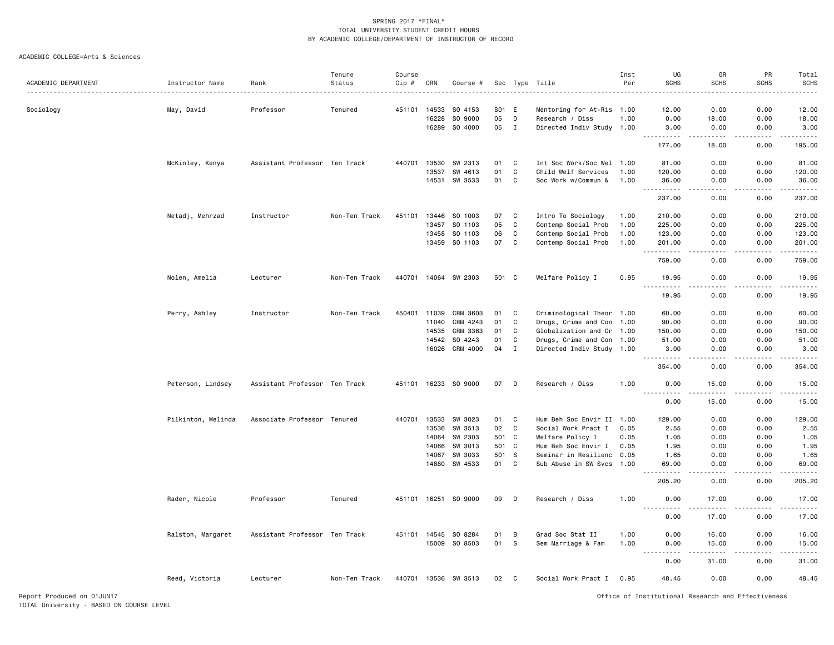|                          |                    |                               | Tenure        | Course  |       |          |       |              |                           | Inst | UG                                  | GR                                                                                                                                                            | PR                                  | Total                 |
|--------------------------|--------------------|-------------------------------|---------------|---------|-------|----------|-------|--------------|---------------------------|------|-------------------------------------|---------------------------------------------------------------------------------------------------------------------------------------------------------------|-------------------------------------|-----------------------|
| ACADEMIC DEPARTMENT<br>. | Instructor Name    | Rank                          | Status        | $Cip$ # | CRN   | Course # |       |              | Sec Type Title            | Per  | <b>SCHS</b>                         | <b>SCHS</b>                                                                                                                                                   | <b>SCHS</b>                         | <b>SCHS</b>           |
|                          |                    |                               |               |         |       |          |       |              |                           |      |                                     |                                                                                                                                                               |                                     |                       |
| Sociology                | May, David         | Professor                     | Tenured       | 451101  | 14533 | SO 4153  | S01 E |              | Mentoring for At-Ris 1.00 |      | 12.00                               | 0.00                                                                                                                                                          | 0.00                                | 12.00                 |
|                          |                    |                               |               |         | 16228 | SO 9000  | 05    | D            | Research / Diss           | 1.00 | 0.00                                | 18.00                                                                                                                                                         | 0.00                                | 18.00                 |
|                          |                    |                               |               |         | 16289 | SO 4000  | 05    | $\mathbf{I}$ | Directed Indiv Study 1.00 |      | 3.00<br>.                           | 0.00<br>.                                                                                                                                                     | 0.00<br>.                           | 3.00<br><u>.</u>      |
|                          |                    |                               |               |         |       |          |       |              |                           |      | 177.00                              | 18.00                                                                                                                                                         | 0.00                                | 195.00                |
|                          | McKinley, Kenya    | Assistant Professor Ten Track |               | 440701  | 13530 | SW 2313  | 01    | C            | Int Soc Work/Soc Wel 1.00 |      | 81.00                               | 0.00                                                                                                                                                          | 0.00                                | 81.00                 |
|                          |                    |                               |               |         | 13537 | SW 4613  | 01    | $\mathtt{C}$ | Child Welf Services       | 1.00 | 120.00                              | 0.00                                                                                                                                                          | 0.00                                | 120.00                |
|                          |                    |                               |               |         | 14531 | SW 3533  | 01    | C            | Soc Work w/Commun &       | 1.00 | 36.00                               | 0.00                                                                                                                                                          | 0.00                                | 36.00                 |
|                          |                    |                               |               |         |       |          |       |              |                           |      | $\sim$ $\sim$ $\sim$<br>.<br>237.00 | 0.00                                                                                                                                                          | د د د د<br>0.00                     | 237.00                |
|                          | Netadj, Mehrzad    | Instructor                    | Non-Ten Track | 451101  | 13446 | SO 1003  | 07    | C            | Intro To Sociology        | 1.00 | 210.00                              | 0.00                                                                                                                                                          | 0.00                                | 210.00                |
|                          |                    |                               |               |         | 13457 | SO 1103  | 05    | $\mathbb C$  | Contemp Social Prob       | 1.00 | 225.00                              | 0.00                                                                                                                                                          | 0.00                                | 225.00                |
|                          |                    |                               |               |         | 13458 | SO 1103  | 06    | $\mathbb C$  | Contemp Social Prob       | 1.00 | 123.00                              | 0.00                                                                                                                                                          | 0.00                                | 123.00                |
|                          |                    |                               |               |         | 13459 | SO 1103  | 07    | $\mathbb C$  | Contemp Social Prob       | 1.00 | 201.00                              | 0.00<br>$- - - -$                                                                                                                                             | 0.00<br>.                           | 201.00<br>.           |
|                          |                    |                               |               |         |       |          |       |              |                           |      | <u>.</u><br>759.00                  | 0.00                                                                                                                                                          | 0.00                                | 759.00                |
|                          | Nolen, Amelia      | Lecturer                      | Non-Ten Track | 440701  | 14064 | SW 2303  | 501 C |              | Welfare Policy I          | 0.95 | 19.95                               | 0.00                                                                                                                                                          | 0.00                                | 19.95<br>.            |
|                          |                    |                               |               |         |       |          |       |              |                           |      | 19.95                               | 0.00                                                                                                                                                          | 0.00                                | 19.95                 |
|                          | Perry, Ashley      | Instructor                    | Non-Ten Track | 450401  | 11039 | CRM 3603 | 01    | C            | Criminological Theor 1.00 |      | 60.00                               | 0.00                                                                                                                                                          | 0.00                                | 60.00                 |
|                          |                    |                               |               |         | 11040 | CRM 4243 | 01    | $\mathtt{C}$ | Drugs, Crime and Con 1.00 |      | 90.00                               | 0.00                                                                                                                                                          | 0.00                                | 90.00                 |
|                          |                    |                               |               |         | 14535 | CRM 3363 | 01    | $\mathbb C$  | Globalization and Cr 1.00 |      | 150.00                              | 0.00                                                                                                                                                          | 0.00                                | 150.00                |
|                          |                    |                               |               |         | 14542 | SO 4243  | 01    | C            | Drugs, Crime and Con 1.00 |      | 51.00                               | 0.00                                                                                                                                                          | 0.00                                | 51.00                 |
|                          |                    |                               |               |         | 16026 | CRM 4000 | 04    | $\mathbf I$  | Directed Indiv Study 1.00 |      | 3.00                                | 0.00                                                                                                                                                          | 0.00                                | 3.00<br>$\frac{1}{2}$ |
|                          |                    |                               |               |         |       |          |       |              |                           |      | 354.00                              | 0.00                                                                                                                                                          | 0.00                                | 354.00                |
|                          | Peterson, Lindsey  | Assistant Professor Ten Track |               | 451101  | 16233 | SO 9000  | 07    | D            | Research / Diss           | 1.00 | 0.00                                | 15.00                                                                                                                                                         | 0.00                                | 15.00<br>.            |
|                          |                    |                               |               |         |       |          |       |              |                           |      | 0.00                                | 15.00                                                                                                                                                         | 0.00                                | 15.00                 |
|                          | Pilkinton, Melinda | Associate Professor Tenured   |               | 440701  | 13533 | SW 3023  | 01    | C            | Hum Beh Soc Envir II 1.00 |      | 129.00                              | 0.00                                                                                                                                                          | 0.00                                | 129.00                |
|                          |                    |                               |               |         | 13536 | SW 3513  | 02    | $\mathbf{C}$ | Social Work Pract I       | 0.05 | 2.55                                | 0.00                                                                                                                                                          | 0.00                                | 2.55                  |
|                          |                    |                               |               |         | 14064 | SW 2303  | 501   | C            | Welfare Policy I          | 0.05 | 1.05                                | 0.00                                                                                                                                                          | 0.00                                | 1.05                  |
|                          |                    |                               |               |         | 14066 | SW 3013  | 501   | C            | Hum Beh Soc Envir I       | 0.05 | 1.95                                | 0.00                                                                                                                                                          | 0.00                                | 1.95                  |
|                          |                    |                               |               |         | 14067 | SW 3033  | 501   | S            | Seminar in Resilienc      | 0.05 | 1.65                                | 0.00                                                                                                                                                          | 0.00                                | 1.65                  |
|                          |                    |                               |               |         | 14880 | SW 4533  | 01    | C            | Sub Abuse in SW Svcs 1.00 |      | 69.00<br>$- - - - -$                | 0.00<br>$- - - -$                                                                                                                                             | 0.00<br>.                           | 69.00<br>.            |
|                          |                    |                               |               |         |       |          |       |              |                           |      | 205.20                              | 0.00                                                                                                                                                          | 0.00                                | 205.20                |
|                          | Rader, Nicole      | Professor                     | Tenured       | 451101  | 16251 | SO 9000  | 09    | D            | Research / Diss           | 1.00 | 0.00<br>.                           | 17.00<br>$\frac{1}{2} \left( \frac{1}{2} \right) \left( \frac{1}{2} \right) \left( \frac{1}{2} \right) \left( \frac{1}{2} \right) \left( \frac{1}{2} \right)$ | 0.00<br>$\sim$ $\sim$ $\sim$ $\sim$ | 17.00<br>.            |
|                          |                    |                               |               |         |       |          |       |              |                           |      | 0.00                                | 17.00                                                                                                                                                         | 0.00                                | 17.00                 |
|                          | Ralston, Margaret  | Assistant Professor Ten Track |               | 451101  | 14545 | SO 8284  | 01    | В            | Grad Soc Stat II          | 1.00 | 0.00                                | 16.00                                                                                                                                                         | 0.00                                | 16.00                 |
|                          |                    |                               |               |         | 15009 | SO 8503  | 01    | s            | Sem Marriage & Fam        | 1.00 | 0.00                                | 15.00                                                                                                                                                         | 0.00                                | 15.00                 |
|                          |                    |                               |               |         |       |          |       |              |                           |      | 0.00                                | 31.00                                                                                                                                                         | 0.00                                | -----<br>31.00        |
|                          | Reed, Victoria     | Lecturer                      | Non-Ten Track | 440701  | 13536 | SW 3513  | 02    | C            | Social Work Pract I       | 0.95 | 48.45                               | 0.00                                                                                                                                                          | 0.00                                | 48.45                 |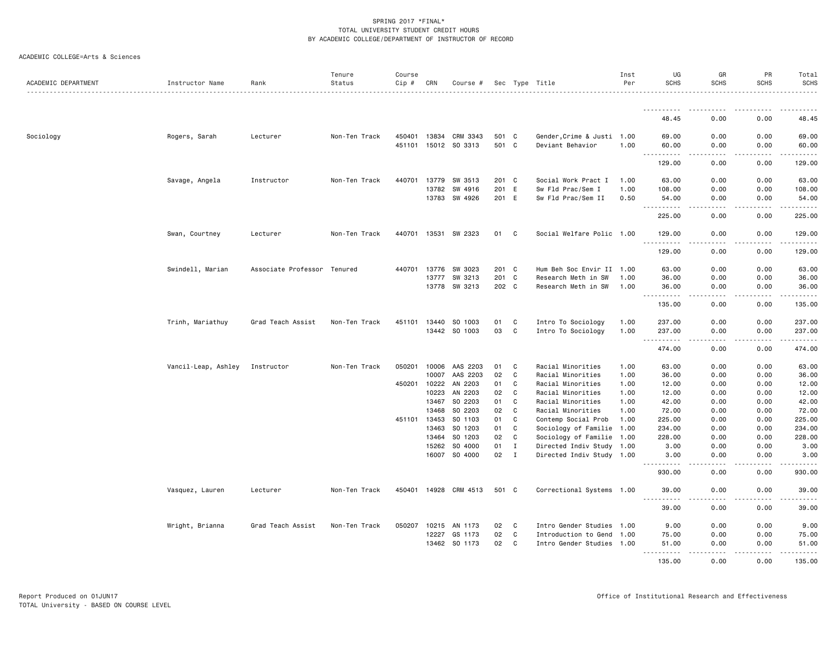|  | ACADEMIC COLLEGE=Arts & Sciences |  |  |
|--|----------------------------------|--|--|
|--|----------------------------------|--|--|

| ACADEMIC DEPARTMENT | Instructor Name     | Rank                | Tenure<br>Status | Course<br>$Cip$ # | CRN                   | Course #              |          |              | Sec Type Title                           | Inst<br>Per  | UG<br><b>SCHS</b>                                                                                                                                                                                                                                                                         | GR<br><b>SCHS</b>     | PR<br><b>SCHS</b> | Total<br><b>SCHS</b> |
|---------------------|---------------------|---------------------|------------------|-------------------|-----------------------|-----------------------|----------|--------------|------------------------------------------|--------------|-------------------------------------------------------------------------------------------------------------------------------------------------------------------------------------------------------------------------------------------------------------------------------------------|-----------------------|-------------------|----------------------|
|                     |                     |                     |                  |                   |                       |                       |          |              |                                          |              | .                                                                                                                                                                                                                                                                                         |                       |                   |                      |
|                     |                     |                     |                  |                   |                       |                       |          |              |                                          |              | 48.45                                                                                                                                                                                                                                                                                     | 0.00                  | 0.00              | 48.45                |
| Sociology           | Rogers, Sarah       | Lecturer            | Non-Ten Track    |                   | 450401 13834          | CRM 3343              | 501 C    |              | Gender, Crime & Justi 1.00               |              | 69.00                                                                                                                                                                                                                                                                                     | 0.00                  | 0.00              | 69.00                |
|                     |                     |                     |                  | 451101            |                       | 15012 SO 3313         | 501 C    |              | Deviant Behavior                         | 1.00         | 60.00<br>.<br>$\sim$ $\sim$ .                                                                                                                                                                                                                                                             | 0.00<br>والمحامر      | 0.00<br>.         | 60.00<br>.           |
|                     |                     |                     |                  |                   |                       |                       |          |              |                                          |              | 129.00                                                                                                                                                                                                                                                                                    | 0.00                  | 0.00              | 129.00               |
|                     | Savage, Angela      | Instructor          | Non-Ten Track    | 440701            | 13779                 | SW 3513               | 201      | $\mathbf{C}$ | Social Work Pract I                      | 1.00         | 63.00                                                                                                                                                                                                                                                                                     | 0.00                  | 0.00              | 63.00                |
|                     |                     |                     |                  |                   | 13782                 | SW 4916               | 201 E    |              | Sw Fld Prac/Sem I                        | 1.00         | 108.00                                                                                                                                                                                                                                                                                    | 0.00                  | 0.00              | 108.00               |
|                     |                     |                     |                  |                   | 13783                 | SW 4926               | 201 E    |              | Sw Fld Prac/Sem II                       | 0.50         | 54.00<br>.                                                                                                                                                                                                                                                                                | 0.00<br>.             | 0.00<br>-----     | 54.00<br>.           |
|                     |                     |                     |                  |                   |                       |                       |          |              |                                          |              | 225.00                                                                                                                                                                                                                                                                                    | 0.00                  | 0.00              | 225.00               |
|                     | Swan, Courtney      | Lecturer            | Non-Ten Track    |                   | 440701 13531          | SW 2323               | 01       | C            | Social Welfare Polic 1.00                |              | 129.00                                                                                                                                                                                                                                                                                    | 0.00                  | 0.00              | 129.00               |
|                     |                     |                     |                  |                   |                       |                       |          |              |                                          |              | 129.00                                                                                                                                                                                                                                                                                    | 0.00                  | 0.00              | 129.00               |
|                     | Swindell, Marian    | Associate Professor | Tenured          | 440701            | 13776                 | SW 3023               | 201 C    |              | Hum Beh Soc Envir II 1.00                |              | 63.00                                                                                                                                                                                                                                                                                     | 0.00                  | 0.00              | 63.00                |
|                     |                     |                     |                  |                   | 13777                 | SW 3213               | 201 C    |              | Research Meth in SW                      | 1.00         | 36.00                                                                                                                                                                                                                                                                                     | 0.00                  | 0.00              | 36.00                |
|                     |                     |                     |                  |                   | 13778                 | SW 3213               | 202 C    |              | Research Meth in SW                      | 1.00         | 36.00<br>.                                                                                                                                                                                                                                                                                | 0.00<br>$\frac{1}{2}$ | 0.00<br>.         | 36.00<br>.           |
|                     |                     |                     |                  |                   |                       |                       |          |              |                                          |              | 135.00                                                                                                                                                                                                                                                                                    | 0.00                  | 0.00              | 135.00               |
|                     | Trinh, Mariathuy    | Grad Teach Assist   | Non-Ten Track    |                   | 451101 13440          | SO 1003               | 01       | C            | Intro To Sociology                       | 1.00         | 237.00                                                                                                                                                                                                                                                                                    | 0.00                  | 0.00              | 237.00               |
|                     |                     |                     |                  |                   |                       | 13442 SO 1003         | 03       | C            | Intro To Sociology                       | 1.00         | 237.00<br>.<br>$\sim$ $\sim$ .                                                                                                                                                                                                                                                            | 0.00<br>.             | 0.00<br>.         | 237.00<br>. <u>.</u> |
|                     |                     |                     |                  |                   |                       |                       |          |              |                                          |              | 474.00                                                                                                                                                                                                                                                                                    | 0.00                  | 0.00              | 474.00               |
|                     | Vancil-Leap, Ashley | Instructor          | Non-Ten Track    | 050201            | 10006                 | AAS 2203              | 01       | C            | Racial Minorities                        | 1.00         | 63.00                                                                                                                                                                                                                                                                                     | 0.00                  | 0.00              | 63.00                |
|                     |                     |                     |                  |                   | 10007                 | AAS 2203              | 02       | C            | Racial Minorities                        | 1.00         | 36.00                                                                                                                                                                                                                                                                                     | 0.00                  | 0.00              | 36.00                |
|                     |                     |                     |                  |                   | 450201 10222          | AN 2203               | 01       | C            | Racial Minorities                        | 1.00         | 12.00                                                                                                                                                                                                                                                                                     | 0.00                  | 0.00              | 12.00                |
|                     |                     |                     |                  |                   | 10223                 | AN 2203               | 02       | C            | Racial Minorities                        | 1.00         | 12.00                                                                                                                                                                                                                                                                                     | 0.00                  | 0.00              | 12.00                |
|                     |                     |                     |                  |                   | 13467                 | SO 2203               | 01       | C<br>C       | Racial Minorities                        | 1.00         | 42.00                                                                                                                                                                                                                                                                                     | 0.00                  | 0.00              | 42.00                |
|                     |                     |                     |                  |                   | 13468<br>451101 13453 | SO 2203<br>SO 1103    | 02<br>01 | C            | Racial Minorities<br>Contemp Social Prob | 1.00<br>1.00 | 72.00<br>225.00                                                                                                                                                                                                                                                                           | 0.00<br>0.00          | 0.00<br>0.00      | 72.00<br>225.00      |
|                     |                     |                     |                  |                   | 13463                 | SO 1203               | 01       | C            | Sociology of Familie 1.00                |              | 234.00                                                                                                                                                                                                                                                                                    | 0.00                  | 0.00              | 234.00               |
|                     |                     |                     |                  |                   | 13464                 | SO 1203               | 02       | C            | Sociology of Familie 1.00                |              | 228.00                                                                                                                                                                                                                                                                                    | 0.00                  | 0.00              | 228.00               |
|                     |                     |                     |                  |                   | 15262                 | SO 4000               | 01       | I            | Directed Indiv Study 1.00                |              | 3.00                                                                                                                                                                                                                                                                                      | 0.00                  | 0.00              | 3.00                 |
|                     |                     |                     |                  |                   | 16007                 | SO 4000               | 02       | $\mathbf{I}$ | Directed Indiv Study 1.00                |              | 3.00<br>$\frac{1}{2} \left( \frac{1}{2} \right) \left( \frac{1}{2} \right) \left( \frac{1}{2} \right) \left( \frac{1}{2} \right)$<br>$\frac{1}{2} \left( \frac{1}{2} \right) \left( \frac{1}{2} \right) \left( \frac{1}{2} \right) \left( \frac{1}{2} \right) \left( \frac{1}{2} \right)$ | 0.00                  | 0.00              | 3.00                 |
|                     |                     |                     |                  |                   |                       |                       |          |              |                                          |              | 930.00                                                                                                                                                                                                                                                                                    | 0.00                  | 0.00              | 930.00               |
|                     | Vasquez, Lauren     | Lecturer            | Non-Ten Track    |                   |                       | 450401 14928 CRM 4513 | 501 C    |              | Correctional Systems 1.00                |              | 39.00                                                                                                                                                                                                                                                                                     | 0.00                  | 0.00              | 39.00                |
|                     |                     |                     |                  |                   |                       |                       |          |              |                                          |              | $\sim$ $\sim$ $\sim$<br>39.00                                                                                                                                                                                                                                                             | 0.00                  | 0.00              | 39.00                |
|                     | Wright, Brianna     | Grad Teach Assist   | Non-Ten Track    |                   | 050207 10215          | AN 1173               | 02       | C            | Intro Gender Studies 1.00                |              | 9.00                                                                                                                                                                                                                                                                                      | 0.00                  | 0.00              | 9.00                 |
|                     |                     |                     |                  |                   | 12227                 | GS 1173               | 02       | C            | Introduction to Gend                     | 1.00         | 75.00                                                                                                                                                                                                                                                                                     | 0.00                  | 0.00              | 75.00                |
|                     |                     |                     |                  |                   |                       | 13462 SO 1173         | 02       | $\mathbf{C}$ | Intro Gender Studies 1.00                |              | 51.00                                                                                                                                                                                                                                                                                     | 0.00<br>د د د د       | 0.00<br>.         | 51.00<br>.           |
|                     |                     |                     |                  |                   |                       |                       |          |              |                                          |              | .<br>135.00                                                                                                                                                                                                                                                                               | 0.00                  | 0.00              | 135.00               |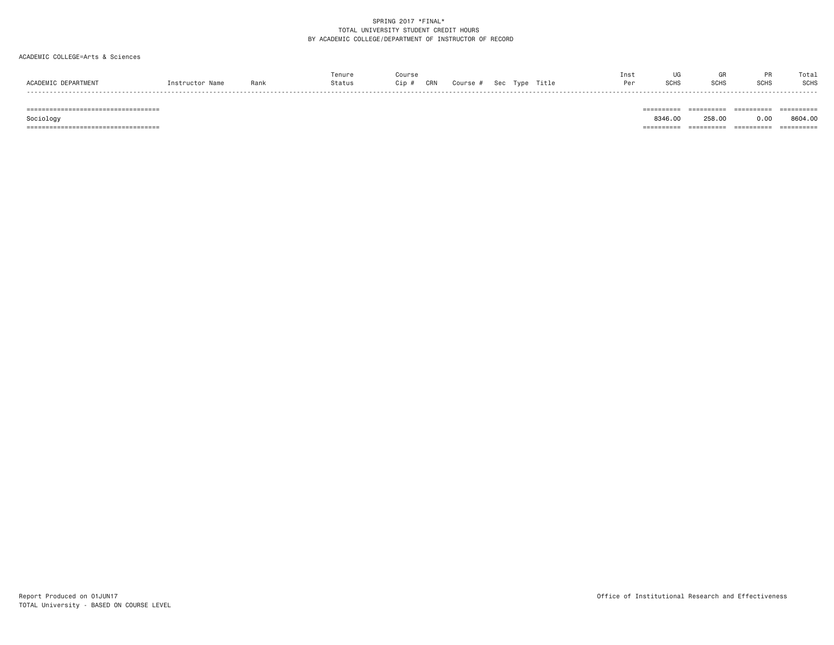#### ACADEMIC COLLEGE=Arts & Sciences

|         |      | enure  | ours: |     |            |   |       | Insi |   |      |      | Total       |
|---------|------|--------|-------|-----|------------|---|-------|------|---|------|------|-------------|
|         | Rank | Status | Cip   | CRN | <b>OCU</b> | . | Γitl∈ |      | . | SCH: | SCHS | <b>SCHS</b> |
| - - - - |      |        |       |     |            |   |       |      |   |      |      |             |
|         |      |        |       |     |            |   |       |      |   |      |      |             |
|         |      |        |       |     |            |   |       |      |   |      |      |             |

0.00 8604.00  $Sociology$   $8346.00$   $258.00$ =================================== ========== ========== ========== ==========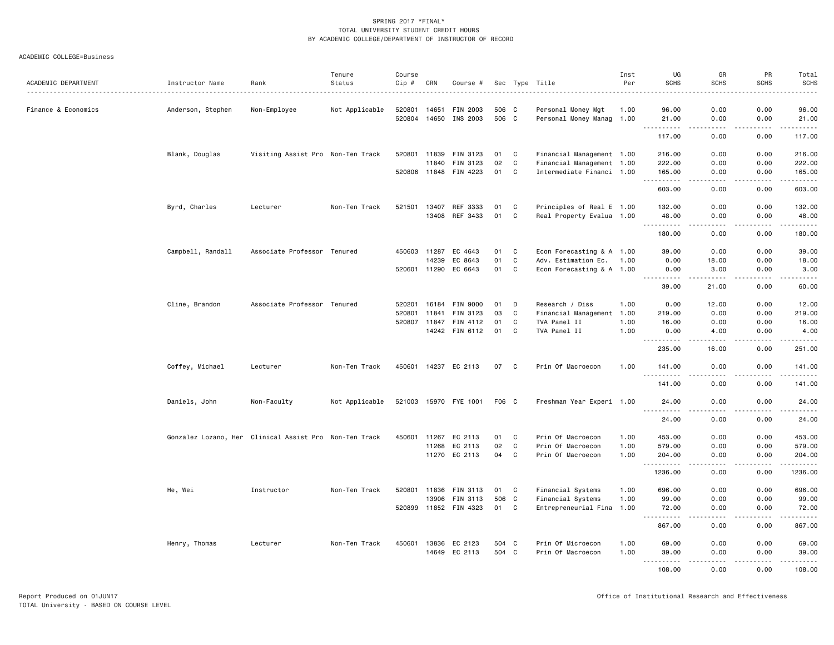| ACADEMIC DEPARTMENT | Instructor Name   | Rank                                                   | Tenure<br>Status | Course<br>$Cip \#$ | CRN   | Course #              |       |              | Sec Type Title            | Inst<br>Per | UG<br><b>SCHS</b>             | GR<br><b>SCHS</b>     | PR<br><b>SCHS</b> | Total<br><b>SCHS</b> |
|---------------------|-------------------|--------------------------------------------------------|------------------|--------------------|-------|-----------------------|-------|--------------|---------------------------|-------------|-------------------------------|-----------------------|-------------------|----------------------|
|                     |                   |                                                        |                  |                    |       |                       |       |              |                           |             |                               |                       |                   | $- - - - -$          |
| Finance & Economics | Anderson, Stephen | Non-Employee                                           | Not Applicable   | 520801             | 14651 | FIN 2003              | 506 C |              | Personal Money Mgt        | 1.00        | 96.00                         | 0.00                  | 0.00              | 96.00                |
|                     |                   |                                                        |                  | 520804             | 14650 | INS 2003              | 506 C |              | Personal Money Manag 1.00 |             | 21.00<br>.                    | 0.00<br>$\frac{1}{2}$ | 0.00<br>.         | 21.00<br>.           |
|                     |                   |                                                        |                  |                    |       |                       |       |              |                           |             | 117.00                        | 0.00                  | 0.00              | 117.00               |
|                     | Blank, Douglas    | Visiting Assist Pro Non-Ten Track                      |                  | 520801             | 11839 | FIN 3123              | 01    | C            | Financial Management 1.00 |             | 216.00                        | 0.00                  | 0.00              | 216.00               |
|                     |                   |                                                        |                  |                    | 11840 | FIN 3123              | 02    | $\mathbf{C}$ | Financial Management 1.00 |             | 222.00                        | 0.00                  | 0.00              | 222.00               |
|                     |                   |                                                        |                  |                    |       | 520806 11848 FIN 4223 | 01    | C            | Intermediate Financi 1.00 |             | 165.00                        | 0.00                  | 0.00              | 165.00<br><u>.</u>   |
|                     |                   |                                                        |                  |                    |       |                       |       |              |                           |             | 603.00                        | 0.00                  | 0.00              | 603.00               |
|                     | Byrd, Charles     | Lecturer                                               | Non-Ten Track    | 521501             | 13407 | REF 3333              | 01    | C            | Principles of Real E 1.00 |             | 132.00                        | 0.00                  | 0.00              | 132.00               |
|                     |                   |                                                        |                  |                    | 13408 | REF 3433              | 01    | C            | Real Property Evalua 1.00 |             | 48.00<br><u>.</u>             | 0.00                  | 0.00<br>.         | 48.00<br>------      |
|                     |                   |                                                        |                  |                    |       |                       |       |              |                           |             | 180.00                        | 0.00                  | 0.00              | 180.00               |
|                     | Campbell, Randall | Associate Professor Tenured                            |                  | 450603             | 11287 | EC 4643               | 01    | C            | Econ Forecasting & A 1.00 |             | 39.00                         | 0.00                  | 0.00              | 39.00                |
|                     |                   |                                                        |                  |                    | 14239 | EC 8643               | 01    | $\mathbf{C}$ | Adv. Estimation Ec. 1.00  |             | 0.00                          | 18.00                 | 0.00              | 18.00                |
|                     |                   |                                                        |                  | 520601             | 11290 | EC 6643               | 01    | C            | Econ Forecasting & A 1.00 |             | 0.00                          | 3.00                  | 0.00<br>.         | 3.00<br>-----        |
|                     |                   |                                                        |                  |                    |       |                       |       |              |                           |             | 39.00                         | 21.00                 | 0.00              | 60.00                |
|                     | Cline, Brandon    | Associate Professor Tenured                            |                  | 520201             | 16184 | <b>FIN 9000</b>       | 01    | D            | Research / Diss           | 1.00        | 0.00                          | 12.00                 | 0.00              | 12.00                |
|                     |                   |                                                        |                  | 520801             | 11841 | FIN 3123              | 03    | C            | Financial Management      | 1.00        | 219.00                        | 0.00                  | 0.00              | 219.00               |
|                     |                   |                                                        |                  | 520807             | 11847 | FIN 4112              | 01    | C            | TVA Panel II              | 1.00        | 16.00                         | 0.00                  | 0.00              | 16.00                |
|                     |                   |                                                        |                  |                    |       | 14242 FIN 6112        | 01    | C            | TVA Panel II              | 1.00        | 0.00                          | 4.00                  | 0.00              | 4.00<br>. <u>.</u>   |
|                     |                   |                                                        |                  |                    |       |                       |       |              |                           |             | 235.00                        | 16.00                 | 0.00              | 251.00               |
|                     | Coffey, Michael   | Lecturer                                               | Non-Ten Track    | 450601             |       | 14237 EC 2113         | 07    | C            | Prin Of Macroecon         | 1.00        | 141.00<br>.                   | 0.00                  | 0.00              | 141.00<br>.          |
|                     |                   |                                                        |                  |                    |       |                       |       |              |                           |             | 141.00                        | 0.00                  | 0.00              | 141.00               |
|                     | Daniels, John     | Non-Faculty                                            | Not Applicable   |                    |       | 521003 15970 FYE 1001 | F06 C |              | Freshman Year Experi 1.00 |             | 24.00<br>.                    | 0.00                  | 0.00<br>.         | 24.00<br>.           |
|                     |                   |                                                        |                  |                    |       |                       |       |              |                           |             | 24.00                         | 0.00                  | 0.00              | 24.00                |
|                     |                   | Gonzalez Lozano, Her Clinical Assist Pro Non-Ten Track |                  | 450601             | 11267 | EC 2113               | 01    | C            | Prin Of Macroecon         | 1.00        | 453.00                        | 0.00                  | 0.00              | 453.00               |
|                     |                   |                                                        |                  |                    | 11268 | EC 2113               | 02    | C            | Prin Of Macroecon         | 1.00        | 579.00                        | 0.00                  | 0.00              | 579.00               |
|                     |                   |                                                        |                  |                    |       | 11270 EC 2113         | 04    | C            | Prin Of Macroecon         | 1.00        | 204.00<br>.                   | 0.00<br>$\frac{1}{2}$ | 0.00<br>.         | 204.00<br>.          |
|                     |                   |                                                        |                  |                    |       |                       |       |              |                           |             | 1236.00                       | 0.00                  | 0.00              | 1236.00              |
|                     | He, Wei           | Instructor                                             | Non-Ten Track    | 520801             | 11836 | FIN 3113              | 01    | C            | Financial Systems         | 1.00        | 696.00                        | 0.00                  | 0.00              | 696.00               |
|                     |                   |                                                        |                  |                    | 13906 | FIN 3113              | 506 C |              | Financial Systems         | 1.00        | 99.00                         | 0.00                  | 0.00              | 99.00                |
|                     |                   |                                                        |                  | 520899             |       | 11852 FIN 4323        | 01    | C            | Entrepreneurial Fina 1.00 |             | 72.00                         | 0.00                  | 0.00<br>$- - -$   | 72.00<br>.           |
|                     |                   |                                                        |                  |                    |       |                       |       |              |                           |             | 867.00                        | 0.00                  | 0.00              | 867.00               |
|                     | Henry, Thomas     | Lecturer                                               | Non-Ten Track    | 450601             |       | 13836 EC 2123         | 504 C |              | Prin Of Microecon         | 1.00        | 69.00                         | 0.00                  | 0.00              | 69.00                |
|                     |                   |                                                        |                  |                    | 14649 | EC 2113               | 504 C |              | Prin Of Macroecon         | 1.00        | 39.00<br>$\sim$ $\sim$ $\sim$ | 0.00                  | 0.00              | 39.00<br>.           |
|                     |                   |                                                        |                  |                    |       |                       |       |              |                           |             | 108.00                        | 0.00                  | 0.00              | 108.00               |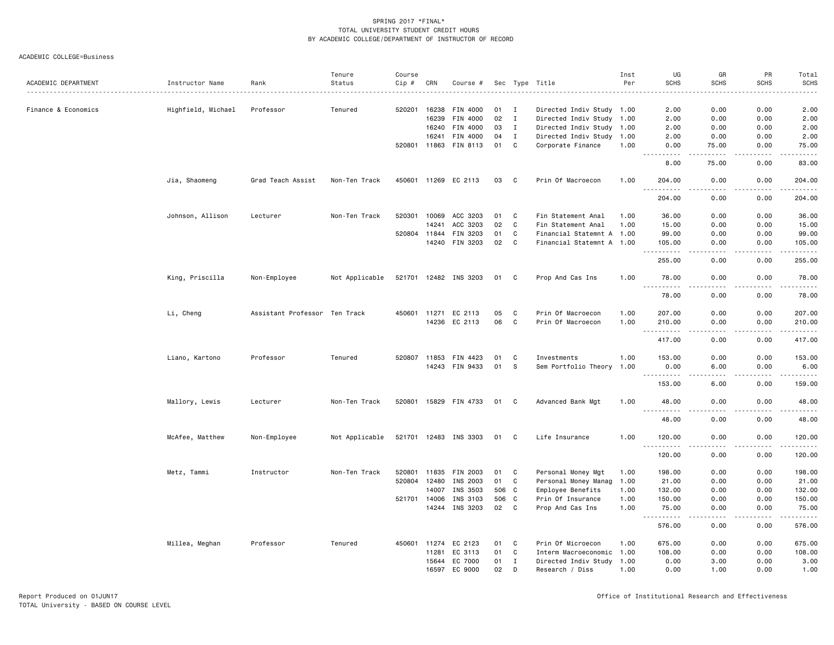| ACADEMIC DEPARTMENT | Instructor Name    | Rank                          | Tenure<br>Status | Course<br>Cip # | CRN          | Course #              |      |              | Sec Type Title            | Inst<br>Per | UG<br><b>SCHS</b>                       | GR<br><b>SCHS</b>                   | PR<br><b>SCHS</b>    | Total<br><b>SCHS</b>                                                                                                                                           |
|---------------------|--------------------|-------------------------------|------------------|-----------------|--------------|-----------------------|------|--------------|---------------------------|-------------|-----------------------------------------|-------------------------------------|----------------------|----------------------------------------------------------------------------------------------------------------------------------------------------------------|
|                     |                    |                               |                  |                 |              |                       |      |              |                           |             |                                         |                                     |                      | <u>.</u>                                                                                                                                                       |
| Finance & Economics | Highfield, Michael | Professor                     | Tenured          | 520201          | 16238        | FIN 4000              | 01   | I            | Directed Indiv Study 1.00 |             | 2.00                                    | 0.00                                | 0.00                 | 2.00                                                                                                                                                           |
|                     |                    |                               |                  |                 | 16239        | FIN 4000              | 02   | $\mathbf{I}$ | Directed Indiv Study 1.00 |             | 2.00                                    | 0.00                                | 0.00                 | 2.00                                                                                                                                                           |
|                     |                    |                               |                  |                 | 16240        | FIN 4000              | 03   | $\mathbf{I}$ | Directed Indiv Study 1.00 |             | 2.00                                    | 0.00                                | 0.00                 | 2.00                                                                                                                                                           |
|                     |                    |                               |                  |                 | 16241        | FIN 4000              | 04   | $\mathbf{I}$ | Directed Indiv Study 1.00 |             | 2.00                                    | 0.00                                | 0.00                 | 2.00                                                                                                                                                           |
|                     |                    |                               |                  |                 |              | 520801 11863 FIN 8113 | 01   | C            | Corporate Finance         | 1.00        | 0.00                                    | 75.00                               | 0.00                 | 75.00                                                                                                                                                          |
|                     |                    |                               |                  |                 |              |                       |      |              |                           |             | 8.00                                    | 75.00                               | 0.00                 | 83.00                                                                                                                                                          |
|                     | Jia, Shaomeng      | Grad Teach Assist             | Non-Ten Track    |                 |              | 450601 11269 EC 2113  | 03   | C            | Prin Of Macroecon         | 1.00        | 204.00                                  | 0.00                                | 0.00                 | 204.00                                                                                                                                                         |
|                     |                    |                               |                  |                 |              |                       |      |              |                           |             | $\sim$ $\sim$ $\sim$<br>.<br>204.00     | $\sim$ $\sim$ $\sim$ $\sim$<br>0.00 | 22222<br>0.00        | ------<br>204.00                                                                                                                                               |
|                     | Johnson, Allison   | Lecturer                      | Non-Ten Track    | 520301          | 10069        | ACC 3203              | 01   | C            | Fin Statement Anal        | 1.00        | 36.00                                   | 0.00                                | 0.00                 | 36.00                                                                                                                                                          |
|                     |                    |                               |                  |                 | 14241        | ACC 3203              | 02   | $\mathtt{C}$ | Fin Statement Anal        | 1.00        | 15.00                                   | 0.00                                | 0.00                 | 15.00                                                                                                                                                          |
|                     |                    |                               |                  |                 | 520804 11844 | FIN 3203              | 01   | C            | Financial Statemnt A 1.00 |             | 99.00                                   | 0.00                                | 0.00                 | 99.00                                                                                                                                                          |
|                     |                    |                               |                  |                 | 14240        | FIN 3203              | 02   | C            | Financial Statemnt A 1.00 |             | 105.00<br>.<br>$\sim$ $\sim$ $\sim$     | 0.00<br>والمحامر                    | 0.00<br>.            | 105.00<br>$\omega$ is $\omega$ in $\omega$ in                                                                                                                  |
|                     |                    |                               |                  |                 |              |                       |      |              |                           |             | 255.00                                  | 0.00                                | 0.00                 | 255.00                                                                                                                                                         |
|                     | King, Priscilla    | Non-Employee                  | Not Applicable   |                 |              | 521701 12482 INS 3203 | 01 C |              | Prop And Cas Ins          | 1.00        | 78.00                                   | 0.00                                | 0.00                 | 78.00                                                                                                                                                          |
|                     |                    |                               |                  |                 |              |                       |      |              |                           |             | 78.00                                   | 0.00                                | 0.00                 | 78.00                                                                                                                                                          |
|                     | Li, Cheng          | Assistant Professor Ten Track |                  |                 | 450601 11271 | EC 2113               | 05   | C            | Prin Of Macroecon         | 1.00        | 207.00                                  | 0.00                                | 0.00                 | 207.00                                                                                                                                                         |
|                     |                    |                               |                  |                 |              | 14236 EC 2113         | 06   | C            | Prin Of Macroecon         | 1.00        | 210.00                                  | 0.00                                | 0.00                 | 210.00                                                                                                                                                         |
|                     |                    |                               |                  |                 |              |                       |      |              |                           |             | $\sim$ $\sim$<br>.<br>417.00            | $\frac{1}{2}$<br>0.00               | .<br>0.00            | $\frac{1}{2} \left( \frac{1}{2} \right) \left( \frac{1}{2} \right) \left( \frac{1}{2} \right) \left( \frac{1}{2} \right) \left( \frac{1}{2} \right)$<br>417.00 |
|                     | Liano, Kartono     | Professor                     | Tenured          | 520807          | 11853        | FIN 4423              | 01   | C            | Investments               | 1.00        | 153.00                                  | 0.00                                | 0.00                 | 153.00                                                                                                                                                         |
|                     |                    |                               |                  |                 |              | 14243 FIN 9433        | 01   | s            | Sem Portfolio Theory      | 1.00        | 0.00                                    | 6.00                                | 0.00                 | 6.00                                                                                                                                                           |
|                     |                    |                               |                  |                 |              |                       |      |              |                           |             | 153.00                                  | 6.00                                | 0.00                 | 159.00                                                                                                                                                         |
|                     | Mallory, Lewis     | Lecturer                      | Non-Ten Track    |                 |              | 520801 15829 FIN 4733 | 01   | C            | Advanced Bank Mgt         | 1.00        | 48.00                                   | 0.00                                | 0.00                 | 48.00                                                                                                                                                          |
|                     |                    |                               |                  |                 |              |                       |      |              |                           |             | <u>.</u><br>48.00                       | 0.00                                | . <b>.</b> .<br>0.00 | .<br>48.00                                                                                                                                                     |
|                     | McAfee, Matthew    | Non-Employee                  | Not Applicable   |                 |              | 521701 12483 INS 3303 | 01 C |              | Life Insurance            | 1.00        | 120.00                                  | 0.00                                | 0.00                 | 120.00                                                                                                                                                         |
|                     |                    |                               |                  |                 |              |                       |      |              |                           |             | 120.00                                  | 0.00                                | 0.00                 | 120.00                                                                                                                                                         |
|                     | Metz, Tammi        | Instructor                    | Non-Ten Track    | 520801          |              | 11835 FIN 2003        | 01   | C            | Personal Money Mgt        | 1.00        | 198.00                                  | 0.00                                | 0.00                 | 198.00                                                                                                                                                         |
|                     |                    |                               |                  | 520804          | 12480        | INS 2003              | 01   | C            | Personal Money Manag      | 1.00        | 21.00                                   | 0.00                                | 0.00                 | 21.00                                                                                                                                                          |
|                     |                    |                               |                  |                 | 14007        | INS 3503              | 506  | $\mathbf{C}$ | Employee Benefits         | 1.00        | 132.00                                  | 0.00                                | 0.00                 | 132.00                                                                                                                                                         |
|                     |                    |                               |                  |                 | 521701 14006 | INS 3103              | 506  | C            | Prin Of Insurance         | 1.00        | 150.00                                  | 0.00                                | 0.00                 | 150.00                                                                                                                                                         |
|                     |                    |                               |                  |                 | 14244        | INS 3203              | 02   | C            | Prop And Cas Ins          | 1.00        | 75.00                                   | 0.00                                | 0.00                 | 75.00                                                                                                                                                          |
|                     |                    |                               |                  |                 |              |                       |      |              |                           |             | $\sim$ $\sim$ .<br>. <b>.</b><br>576.00 | $- - - -$<br>0.00                   | .<br>0.00            | <u>.</u><br>576.00                                                                                                                                             |
|                     | Millea, Meghan     | Professor                     | Tenured          | 450601          | 11274        | EC 2123               | 01   | C            | Prin Of Microecon         | 1.00        | 675.00                                  | 0.00                                | 0.00                 | 675.00                                                                                                                                                         |
|                     |                    |                               |                  |                 | 11281        | EC 3113               | 01   | C            | Interm Macroeconomic 1.00 |             | 108.00                                  | 0.00                                | 0.00                 | 108.00                                                                                                                                                         |
|                     |                    |                               |                  |                 | 15644        | EC 7000               | 01   | I            | Directed Indiv Study 1.00 |             | 0.00                                    | 3.00                                | 0.00                 | 3.00                                                                                                                                                           |
|                     |                    |                               |                  |                 |              | 16597 EC 9000         | 02   | D            | Research / Diss           | 1.00        | 0.00                                    | 1.00                                | 0.00                 | 1.00                                                                                                                                                           |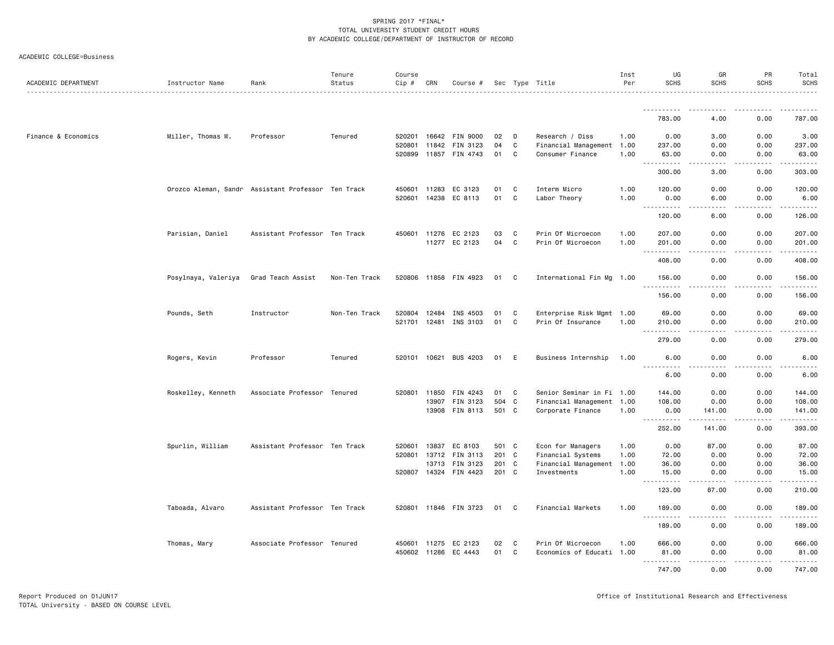| ACADEMIC DEPARTMENT | Instructor Name                                    | Rank                          | Tenure<br>Status | Course<br>Cip # | CRN          | Course #              |       |              | Sec Type Title            | Inst<br>Per | UG<br><b>SCHS</b>                     | GR<br><b>SCHS</b>            | PR<br><b>SCHS</b> | Total<br><b>SCHS</b><br>. |
|---------------------|----------------------------------------------------|-------------------------------|------------------|-----------------|--------------|-----------------------|-------|--------------|---------------------------|-------------|---------------------------------------|------------------------------|-------------------|---------------------------|
|                     |                                                    |                               |                  |                 |              |                       |       |              |                           |             |                                       |                              |                   |                           |
|                     |                                                    |                               |                  |                 |              |                       |       |              |                           |             | 783.00                                | 4.00                         | 0.00              | 787.00                    |
| Finance & Economics | Miller, Thomas W.                                  | Professor                     | Tenured          | 520201          |              | 16642 FIN 9000        | 02    | D            | Research / Diss           | 1.00        | 0.00                                  | 3.00                         | 0.00              | 3.00                      |
|                     |                                                    |                               |                  | 520801          | 11842        | FIN 3123              | 04    | C            | Financial Management 1.00 |             | 237.00                                | 0.00                         | 0.00              | 237.00                    |
|                     |                                                    |                               |                  | 520899          |              | 11857 FIN 4743        | 01    | C            | Consumer Finance          | 1.00        | 63.00                                 | 0.00                         | 0.00              | 63.00                     |
|                     |                                                    |                               |                  |                 |              |                       |       |              |                           |             | .<br>$\frac{1}{2}$<br>300.00          | .<br>3.00                    | .<br>0.00         | 303.00                    |
|                     | Orozco Aleman, Sandr Assistant Professor Ten Track |                               |                  | 450601          | 11283        | EC 3123               | 01    | C            | Interm Micro              | 1.00        | 120.00                                | 0.00                         | 0.00              | 120.00                    |
|                     |                                                    |                               |                  |                 | 520601 14238 | EC 8113               | 01    | C            | Labor Theory              | 1.00        | 0.00<br><u>.</u>                      | 6.00<br>.                    | 0.00<br>.         | 6.00<br>.                 |
|                     |                                                    |                               |                  |                 |              |                       |       |              |                           |             | 120.00                                | 6.00                         | 0.00              | 126.00                    |
|                     | Parisian, Daniel                                   | Assistant Professor Ten Track |                  |                 | 450601 11276 | EC 2123               | 03    | C            | Prin Of Microecon         | 1.00        | 207.00                                | 0.00                         | 0.00              | 207.00                    |
|                     |                                                    |                               |                  |                 | 11277        | EC 2123               | 04    | C            | Prin Of Microecon         | 1.00        | 201.00<br>-----                       | 0.00<br>- - - -              | 0.00<br>بالمستعاد | 201.00<br>.               |
|                     |                                                    |                               |                  |                 |              |                       |       |              |                           |             | 408.00                                | 0.00                         | 0.00              | 408.00                    |
|                     | Posylnaya, Valeriya                                | Grad Teach Assist             | Non-Ten Track    |                 |              | 520806 11858 FIN 4923 | 01    | $\mathbf{C}$ | International Fin Mg 1.00 |             | 156.00                                | 0.00                         | 0.00              | 156.00<br>$- - - - - -$   |
|                     |                                                    |                               |                  |                 |              |                       |       |              |                           |             | 156.00                                | 0.00                         | 0.00              | 156.00                    |
|                     | Pounds, Seth                                       | Instructor                    | Non-Ten Track    | 520804          | 12484        | INS 4503              | 01    | C            | Enterprise Risk Mgmt 1.00 |             | 69.00                                 | 0.00                         | 0.00              | 69.00                     |
|                     |                                                    |                               |                  | 521701          | 12481        | INS 3103              | 01    | C            | Prin Of Insurance         | 1.00        | 210.00<br>.<br>$\sim$ $\sim$          | 0.00<br>$\sim$ $\sim$ $\sim$ | 0.00<br>.         | 210.00<br>.               |
|                     |                                                    |                               |                  |                 |              |                       |       |              |                           |             | 279.00                                | 0.00                         | 0.00              | 279.00                    |
|                     | Rogers, Kevin                                      | Professor                     | Tenured          | 520101 10621    |              | BUS 4203              | 01    | E            | Business Internship       | 1.00        | 6.00                                  | 0.00                         | 0.00              | 6.00                      |
|                     |                                                    |                               |                  |                 |              |                       |       |              |                           |             | 6.00                                  | 0.00                         | 0.00              | 6.00                      |
|                     | Roskelley, Kenneth                                 | Associate Professor Tenured   |                  | 520801          | 11850        | FIN 4243              | 01    | C            | Senior Seminar in Fi 1.00 |             | 144.00                                | 0.00                         | 0.00              | 144.00                    |
|                     |                                                    |                               |                  |                 | 13907        | FIN 3123              | 504 C |              | Financial Management 1.00 |             | 108.00                                | 0.00                         | 0.00              | 108.00                    |
|                     |                                                    |                               |                  |                 |              | 13908 FIN 8113        | 501 C |              | Corporate Finance         | 1.00        | 0.00<br><u> - - - - - - - - - -</u>   | 141.00<br>. <u>.</u>         | 0.00              | 141.00<br>.               |
|                     |                                                    |                               |                  |                 |              |                       |       |              |                           |             | 252.00                                | 141.00                       | .<br>0.00         | 393.00                    |
|                     | Spurlin, William                                   | Assistant Professor Ten Track |                  | 520601          | 13837        | EC 8103               | 501 C |              | Econ for Managers         | 1.00        | 0.00                                  | 87.00                        | 0.00              | 87.00                     |
|                     |                                                    |                               |                  | 520801          | 13712        | FIN 3113              | 201 C |              | Financial Systems         | 1.00        | 72.00                                 | 0.00                         | 0.00              | 72.00                     |
|                     |                                                    |                               |                  |                 | 13713        | FIN 3123              | 201 C |              | Financial Management      | 1.00        | 36.00                                 | 0.00                         | 0.00              | 36.00                     |
|                     |                                                    |                               |                  | 520807          | 14324        | FIN 4423              | 201 C |              | Investments               | 1.00        | 15.00                                 | 0.00                         | 0.00              | 15.00<br>.                |
|                     |                                                    |                               |                  |                 |              |                       |       |              |                           |             | 123.00                                | 87.00                        | 0.00              | 210.00                    |
|                     | Taboada, Alvaro                                    | Assistant Professor Ten Track |                  |                 |              | 520801 11846 FIN 3723 | 01    | C            | Financial Markets         | 1.00        | 189.00<br><u> - - - - - - - - - -</u> | 0.00                         | 0.00              | 189.00<br>.               |
|                     |                                                    |                               |                  |                 |              |                       |       |              |                           |             | 189.00                                | 0.00                         | 0.00              | 189.00                    |
|                     | Thomas, Mary                                       | Associate Professor Tenured   |                  | 450601          | 11275        | EC 2123               | 02    | C            | Prin Of Microecon         | 1.00        | 666.00                                | 0.00                         | 0.00              | 666.00                    |
|                     |                                                    |                               |                  | 450602          | 11286        | EC 4443               | 01    | C            | Economics of Educati 1.00 |             | 81.00                                 | 0.00                         | 0.00              | 81.00                     |
|                     |                                                    |                               |                  |                 |              |                       |       |              |                           |             | .<br>747.00                           | .<br>0.00                    | .<br>0.00         | .<br>747.00               |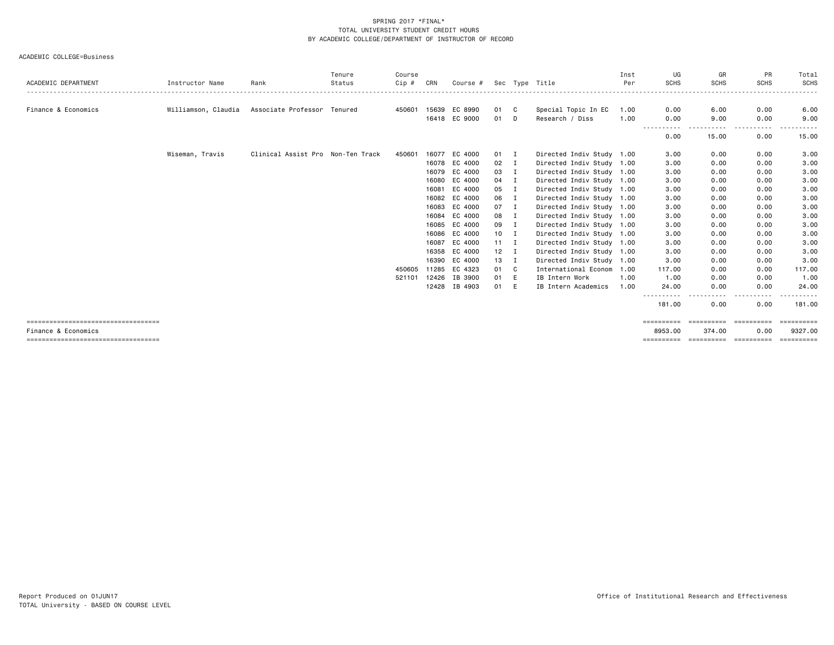|                                      |                     |                                   | Tenure | Course |       |               |              |     |                           | Inst | UG                  | GR          | <b>PR</b>               | Total                   |
|--------------------------------------|---------------------|-----------------------------------|--------|--------|-------|---------------|--------------|-----|---------------------------|------|---------------------|-------------|-------------------------|-------------------------|
| ACADEMIC DEPARTMENT                  | Instructor Name     | Rank                              | Status | Cip #  | CRN   | Course #      |              |     | Sec Type Title            | Per  | <b>SCHS</b>         | <b>SCHS</b> | <b>SCHS</b><br>-------- | <b>SCHS</b>             |
|                                      |                     |                                   |        |        |       |               |              |     |                           |      |                     |             |                         |                         |
| Finance & Economics                  | Williamson, Claudia | Associate Professor Tenured       |        | 450601 |       | 15639 EC 8990 | 01           | C   | Special Topic In EC       | 1.00 | 0.00                | 6.00        | 0.00                    | 6.00                    |
|                                      |                     |                                   |        |        |       | 16418 EC 9000 | 01           | D   | Research / Diss           | 1.00 | 0.00<br>---<br>---- | 9.00<br>.   | 0.00<br>.               | 9.00                    |
|                                      |                     |                                   |        |        |       |               |              |     |                           |      | 0.00                | 15.00       | 0.00                    | 15.00                   |
|                                      | Wiseman, Travis     | Clinical Assist Pro Non-Ten Track |        | 450601 | 16077 | EC 4000       | 01           | л.  | Directed Indiv Study 1.00 |      | 3.00                | 0.00        | 0.00                    | 3.00                    |
|                                      |                     |                                   |        |        |       | 16078 EC 4000 | 02           |     | Directed Indiv Study 1.00 |      | 3.00                | 0.00        | 0.00                    | 3.00                    |
|                                      |                     |                                   |        |        | 16079 | EC 4000       | 03           | Ι.  | Directed Indiv Study 1.00 |      | 3.00                | 0.00        | 0.00                    | 3.00                    |
|                                      |                     |                                   |        |        | 16080 | EC 4000       | 04           |     | Directed Indiv Study 1.00 |      | 3.00                | 0.00        | 0.00                    | 3.00                    |
|                                      |                     |                                   |        |        | 16081 | EC 4000       | 05           |     | Directed Indiv Study 1.00 |      | 3.00                | 0.00        | 0.00                    | 3.00                    |
|                                      |                     |                                   |        |        | 16082 | EC 4000       | 06           | п.  | Directed Indiv Study 1.00 |      | 3.00                | 0.00        | 0.00                    | 3.00                    |
|                                      |                     |                                   |        |        | 16083 | EC 4000       | 07           |     | Directed Indiv Study 1.00 |      | 3.00                | 0.00        | 0.00                    | 3.00                    |
|                                      |                     |                                   |        |        | 16084 | EC 4000       | 08           |     | Directed Indiv Study 1.00 |      | 3.00                | 0.00        | 0.00                    | 3.00                    |
|                                      |                     |                                   |        |        | 16085 | EC 4000       | 09           | п   | Directed Indiv Study 1.00 |      | 3.00                | 0.00        | 0.00                    | 3.00                    |
|                                      |                     |                                   |        |        | 16086 | EC 4000       | 10           |     | Directed Indiv Study 1.00 |      | 3.00                | 0.00        | 0.00                    | 3.00                    |
|                                      |                     |                                   |        |        | 16087 | EC 4000       | $11 \quad I$ |     | Directed Indiv Study 1.00 |      | 3.00                | 0.00        | 0.00                    | 3.00                    |
|                                      |                     |                                   |        |        | 16358 | EC 4000       | 12           | - 1 | Directed Indiv Study 1.00 |      | 3.00                | 0.00        | 0.00                    | 3.00                    |
|                                      |                     |                                   |        |        | 16390 | EC 4000       | 13           |     | Directed Indiv Study 1.00 |      | 3.00                | 0.00        | 0.00                    | 3.00                    |
|                                      |                     |                                   |        | 450605 | 11285 | EC 4323       | 01           |     | International Econom 1.00 |      | 117.00              | 0.00        | 0.00                    | 117.00                  |
|                                      |                     |                                   |        | 521101 | 12426 | IB 3900       | 01           | E   | IB Intern Work            | 1.00 | 1.00                | 0.00        | 0.00                    | 1.00                    |
|                                      |                     |                                   |        |        |       | 12428 IB 4903 | 01           | E   | IB Intern Academics       | 1.00 | 24.00               | 0.00        | 0.00<br>$\cdots$        | 24.00                   |
|                                      |                     |                                   |        |        |       |               |              |     |                           |      | 181.00              | 0.00        | 0.00                    | 181.00                  |
| ==================================== |                     |                                   |        |        |       |               |              |     |                           |      | ==========          | ==========  | ==========              | $=$ = = = = = = = = = = |
| Finance & Economics                  |                     |                                   |        |        |       |               |              |     |                           |      | 8953.00             | 374.00      | 0.00                    | 9327,00                 |
| ==================================== |                     |                                   |        |        |       |               |              |     |                           |      | ==========          | ----------- | ==========              | ==========              |
|                                      |                     |                                   |        |        |       |               |              |     |                           |      |                     |             |                         |                         |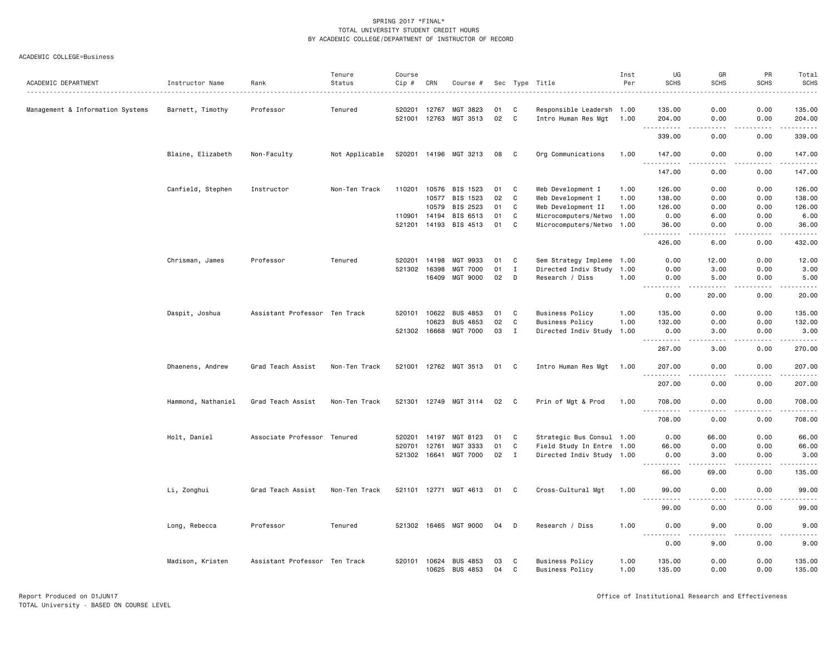|                                  |                    |                               | Tenure         | Course       |       |                       |      |              |                           | Inst | UG                             | GR                                                                                                                                | PR                    | Total                                                                                                                                                                                     |
|----------------------------------|--------------------|-------------------------------|----------------|--------------|-------|-----------------------|------|--------------|---------------------------|------|--------------------------------|-----------------------------------------------------------------------------------------------------------------------------------|-----------------------|-------------------------------------------------------------------------------------------------------------------------------------------------------------------------------------------|
| ACADEMIC DEPARTMENT              | Instructor Name    | Rank                          | Status         | Cip #        | CRN   | Course #              |      |              | Sec Type Title<br>.       | Per  | <b>SCHS</b>                    | <b>SCHS</b>                                                                                                                       | <b>SCHS</b>           | <b>SCHS</b><br>.                                                                                                                                                                          |
| Management & Information Systems | Barnett, Timothy   | Professor                     | Tenured        | 520201       | 12767 | MGT 3823              | 01   | C            | Responsible Leadersh 1.00 |      | 135.00                         | 0.00                                                                                                                              | 0.00                  | 135.00                                                                                                                                                                                    |
|                                  |                    |                               |                | 521001 12763 |       | MGT 3513              | 02   | C            | Intro Human Res Mgt       | 1.00 | 204.00                         | 0.00                                                                                                                              | 0.00                  | 204.00                                                                                                                                                                                    |
|                                  |                    |                               |                |              |       |                       |      |              |                           |      | .<br>339.00                    | $- - - -$<br>0.00                                                                                                                 | .<br>0.00             | $- - - - - - -$<br>339.00                                                                                                                                                                 |
|                                  | Blaine, Elizabeth  | Non-Faculty                   | Not Applicable |              |       | 520201 14196 MGT 3213 | 08   | C            | Org Communications        | 1.00 | 147.00                         | 0.00                                                                                                                              | 0.00                  | 147.00                                                                                                                                                                                    |
|                                  |                    |                               |                |              |       |                       |      |              |                           |      | .<br>147.00                    | $\frac{1}{2} \left( \frac{1}{2} \right) \left( \frac{1}{2} \right) \left( \frac{1}{2} \right) \left( \frac{1}{2} \right)$<br>0.00 | $- - - -$<br>0.00     | .<br>147.00                                                                                                                                                                               |
|                                  | Canfield, Stephen  | Instructor                    | Non-Ten Track  | 110201       | 10576 | BIS 1523              | 01   | C            | Web Development I         | 1.00 | 126.00                         | 0.00                                                                                                                              | 0.00                  | 126.00                                                                                                                                                                                    |
|                                  |                    |                               |                |              | 10577 | BIS 1523              | 02   | C            | Web Development I         | 1.00 | 138.00                         | 0.00                                                                                                                              | 0.00                  | 138.00                                                                                                                                                                                    |
|                                  |                    |                               |                |              | 10579 | BIS 2523              | 01   | C            | Web Development II        | 1.00 | 126.00                         | 0.00                                                                                                                              | 0.00                  | 126.00                                                                                                                                                                                    |
|                                  |                    |                               |                | 110901       | 14194 | BIS 6513              | 01   | C            | Microcomputers/Netwo      | 1.00 | 0.00                           | 6.00                                                                                                                              | 0.00                  | 6.00                                                                                                                                                                                      |
|                                  |                    |                               |                | 521201       | 14193 | BIS 4513              | 01   | C            | Microcomputers/Netwo      | 1.00 | 36.00                          | 0.00                                                                                                                              | 0.00                  | 36.00                                                                                                                                                                                     |
|                                  |                    |                               |                |              |       |                       |      |              |                           |      | .<br>426.00                    | ----<br>6.00                                                                                                                      | $\frac{1}{2}$<br>0.00 | .<br>432.00                                                                                                                                                                               |
|                                  | Chrisman, James    | Professor                     | Tenured        | 520201       | 14198 | MGT 9933              | 01   | C            | Sem Strategy Impleme      | 1.00 | 0.00                           | 12.00                                                                                                                             | 0.00                  | 12.00                                                                                                                                                                                     |
|                                  |                    |                               |                | 521302       | 16398 | <b>MGT 7000</b>       | 01   | $\mathbf I$  | Directed Indiv Study      | 1.00 | 0.00                           | 3.00                                                                                                                              | 0.00                  | 3.00                                                                                                                                                                                      |
|                                  |                    |                               |                |              | 16409 | <b>MGT 9000</b>       | 02   | D            | Research / Diss           | 1.00 | 0.00                           | 5.00                                                                                                                              | 0.00                  | 5.00                                                                                                                                                                                      |
|                                  |                    |                               |                |              |       |                       |      |              |                           |      | 0.00                           | 20.00                                                                                                                             | 0.00                  | 20.00                                                                                                                                                                                     |
|                                  | Daspit, Joshua     | Assistant Professor Ten Track |                | 520101       | 10622 | <b>BUS 4853</b>       | 01   | C            | <b>Business Policy</b>    | 1.00 | 135.00                         | 0.00                                                                                                                              | 0.00                  | 135.00                                                                                                                                                                                    |
|                                  |                    |                               |                |              | 10623 | <b>BUS 4853</b>       | 02   | $\mathbf{C}$ | <b>Business Policy</b>    | 1.00 | 132.00                         | 0.00                                                                                                                              | 0.00                  | 132.00                                                                                                                                                                                    |
|                                  |                    |                               |                | 521302 16668 |       | MGT 7000              | 03   | I            | Directed Indiv Study      | 1.00 | 0.00                           | 3.00                                                                                                                              | 0.00                  | 3.00                                                                                                                                                                                      |
|                                  |                    |                               |                |              |       |                       |      |              |                           |      | 267.00                         | 3.00                                                                                                                              | 0.00                  | المالم المالية ال<br>270.00                                                                                                                                                               |
|                                  | Dhaenens, Andrew   | Grad Teach Assist             | Non-Ten Track  | 521001 12762 |       | MGT 3513              | 01   | C            | Intro Human Res Mgt       | 1.00 | 207.00                         | 0.00                                                                                                                              | 0.00                  | 207.00                                                                                                                                                                                    |
|                                  |                    |                               |                |              |       |                       |      |              |                           |      | $\omega \sim \omega$<br>207.00 | 0.00                                                                                                                              | 0.00                  | $\frac{1}{2} \left( \frac{1}{2} \right) \left( \frac{1}{2} \right) \left( \frac{1}{2} \right) \left( \frac{1}{2} \right) \left( \frac{1}{2} \right) \left( \frac{1}{2} \right)$<br>207.00 |
|                                  | Hammond, Nathaniel | Grad Teach Assist             | Non-Ten Track  | 521301 12749 |       | MGT 3114              | 02   | C            | Prin of Mgt & Prod        | 1.00 | 708.00                         | 0.00                                                                                                                              | 0.00                  | 708.00                                                                                                                                                                                    |
|                                  |                    |                               |                |              |       |                       |      |              |                           |      | .<br>708.00                    | ----<br>0.00                                                                                                                      | $\cdots$<br>0.00      | .<br>708.00                                                                                                                                                                               |
|                                  | Holt, Daniel       | Associate Professor           | Tenured        | 520201       | 14197 | MGT 8123              | 01   | C            | Strategic Bus Consul 1.00 |      | 0.00                           | 66.00                                                                                                                             | 0.00                  | 66.00                                                                                                                                                                                     |
|                                  |                    |                               |                | 520701       | 12761 | MGT 3333              | 01   | C            | Field Study In Entre 1.00 |      | 66.00                          | 0.00                                                                                                                              | 0.00                  | 66.00                                                                                                                                                                                     |
|                                  |                    |                               |                | 521302       | 16641 | MGT 7000              | 02   | $\mathbf{I}$ | Directed Indiv Study 1.00 |      | 0.00                           | 3.00                                                                                                                              | 0.00                  | 3.00                                                                                                                                                                                      |
|                                  |                    |                               |                |              |       |                       |      |              |                           |      | .<br>66.00                     | ----<br>69.00                                                                                                                     | $\frac{1}{2}$<br>0.00 | .<br>135.00                                                                                                                                                                               |
|                                  | Li, Zonghui        | Grad Teach Assist             | Non-Ten Track  |              |       | 521101 12771 MGT 4613 | 01 C |              | Cross-Cultural Mgt        | 1.00 | 99.00                          | 0.00                                                                                                                              | 0.00                  | 99.00                                                                                                                                                                                     |
|                                  |                    |                               |                |              |       |                       |      |              |                           |      | $  -$<br>$- - - - -$<br>99.00  | ----<br>0.00                                                                                                                      | .<br>0.00             | .<br>99.00                                                                                                                                                                                |
|                                  | Long, Rebecca      | Professor                     | Tenured        | 521302 16465 |       | MGT 9000              | 04   | D            | Research / Diss           | 1.00 | 0.00                           | 9.00                                                                                                                              | 0.00                  | 9.00                                                                                                                                                                                      |
|                                  |                    |                               |                |              |       |                       |      |              |                           |      | .<br>0.00                      | $\frac{1}{2}$<br>9.00                                                                                                             | $  -$<br>0.00         | -----<br>9.00                                                                                                                                                                             |
|                                  |                    | Assistant Professor Ten Track |                | 520101       | 10624 | <b>BUS 4853</b>       | 03   | C            | <b>Business Policy</b>    | 1.00 | 135.00                         | 0.00                                                                                                                              | 0.00                  | 135.00                                                                                                                                                                                    |
|                                  | Madison, Kristen   |                               |                |              | 10625 | <b>BUS 4853</b>       | 04   | C            | <b>Business Policy</b>    | 1.00 | 135.00                         | 0.00                                                                                                                              | 0.00                  | 135.00                                                                                                                                                                                    |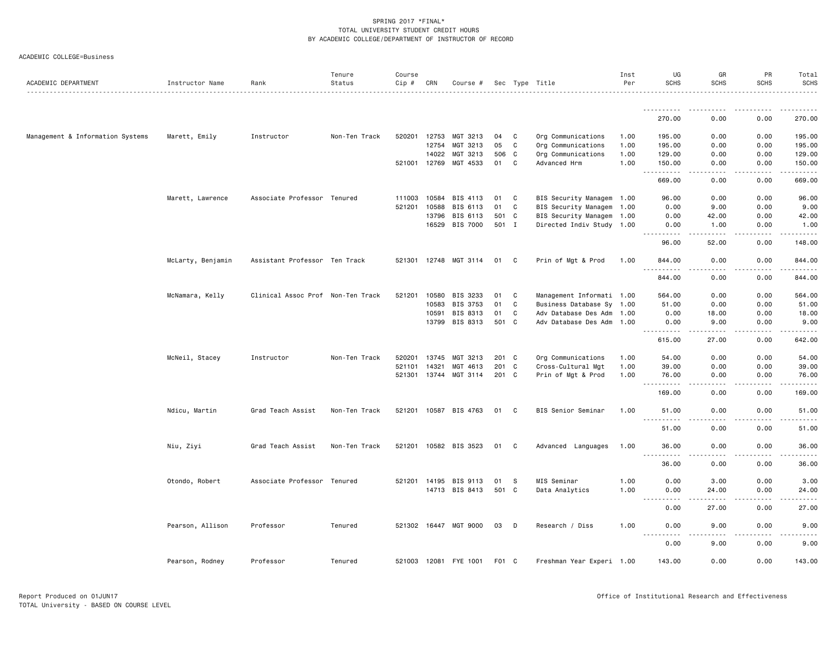|  | ACADEMIC COLLEGE=Business |
|--|---------------------------|
|--|---------------------------|

| ACADEMIC DEPARTMENT              | Instructor Name   | Rank                              | Tenure<br>Status | Course<br>Cip # | CRN          | Course #              |       |              | Sec Type Title            | Inst<br>Per | UG<br><b>SCHS</b>                                                  | GR<br><b>SCHS</b>                                                                                                                                             | PR<br><b>SCHS</b> | Total<br><b>SCHS</b>    |
|----------------------------------|-------------------|-----------------------------------|------------------|-----------------|--------------|-----------------------|-------|--------------|---------------------------|-------------|--------------------------------------------------------------------|---------------------------------------------------------------------------------------------------------------------------------------------------------------|-------------------|-------------------------|
|                                  |                   |                                   |                  |                 |              |                       |       |              |                           |             |                                                                    |                                                                                                                                                               |                   |                         |
|                                  |                   |                                   |                  |                 |              |                       |       |              |                           |             | .<br>270.00                                                        | 0.00                                                                                                                                                          | 0.00              | 270.00                  |
| Management & Information Systems | Marett, Emily     | Instructor                        | Non-Ten Track    |                 | 520201 12753 | MGT 3213              | 04    | $\mathbf{C}$ | Org Communications        | 1.00        | 195.00                                                             | 0.00                                                                                                                                                          | 0.00              | 195.00                  |
|                                  |                   |                                   |                  |                 | 12754        | MGT 3213              | 05    | $\mathbf{C}$ | Org Communications        | 1.00        | 195.00                                                             | 0.00                                                                                                                                                          | 0.00              | 195.00                  |
|                                  |                   |                                   |                  |                 | 14022        | MGT 3213              | 506 C |              | Org Communications        | 1.00        | 129.00                                                             | 0.00                                                                                                                                                          | 0.00              | 129.00                  |
|                                  |                   |                                   |                  |                 | 521001 12769 | MGT 4533              | 01    | C            | Advanced Hrm              | 1.00        | 150.00                                                             | 0.00                                                                                                                                                          | 0.00              | 150.00                  |
|                                  |                   |                                   |                  |                 |              |                       |       |              |                           |             | <u>.</u><br>669.00                                                 | .<br>0.00                                                                                                                                                     | .<br>0.00         | $- - - - - -$<br>669.00 |
|                                  |                   |                                   |                  |                 |              |                       |       |              |                           |             |                                                                    |                                                                                                                                                               |                   |                         |
|                                  | Marett, Lawrence  | Associate Professor Tenured       |                  |                 | 111003 10584 | BIS 4113              | 01    | C            | BIS Security Managem 1.00 |             | 96.00                                                              | 0.00                                                                                                                                                          | 0.00              | 96.00                   |
|                                  |                   |                                   |                  | 521201          | 10588        | BIS 6113              | 01    | C            | BIS Security Managem      | 1.00        | 0.00                                                               | 9.00                                                                                                                                                          | 0.00              | 9.00                    |
|                                  |                   |                                   |                  |                 | 13796        | BIS 6113              | 501 C |              | BIS Security Managem 1.00 |             | 0.00                                                               | 42.00                                                                                                                                                         | 0.00              | 42.00                   |
|                                  |                   |                                   |                  |                 |              | 16529 BIS 7000        | 501 I |              | Directed Indiv Study 1.00 |             | 0.00                                                               | 1.00                                                                                                                                                          | 0.00              | 1.00                    |
|                                  |                   |                                   |                  |                 |              |                       |       |              |                           |             | .<br>96.00                                                         | $- - - - -$<br>52.00                                                                                                                                          | .<br>0.00         | . <u>.</u> .<br>148.00  |
|                                  | McLarty, Benjamin | Assistant Professor Ten Track     |                  |                 |              | 521301 12748 MGT 3114 | 01 C  |              | Prin of Mgt & Prod        | 1.00        | 844.00                                                             | 0.00                                                                                                                                                          | 0.00              | 844.00                  |
|                                  |                   |                                   |                  |                 |              |                       |       |              |                           |             | . <b>.</b><br>$  -$<br>844.00                                      | .<br>0.00                                                                                                                                                     | .<br>0.00         | .<br>844.00             |
|                                  | McNamara, Kelly   | Clinical Assoc Prof Non-Ten Track |                  | 521201          | 10580        | BIS 3233              | 01    | C            | Management Informati 1.00 |             | 564.00                                                             | 0.00                                                                                                                                                          | 0.00              | 564.00                  |
|                                  |                   |                                   |                  |                 |              |                       |       |              |                           |             |                                                                    |                                                                                                                                                               |                   |                         |
|                                  |                   |                                   |                  |                 | 10583        | BIS 3753              | 01    | C            | Business Database Sy 1.00 |             | 51.00                                                              | 0.00                                                                                                                                                          | 0.00              | 51.00                   |
|                                  |                   |                                   |                  |                 | 10591        | BIS 8313              | 01    | C            | Adv Database Des Adm 1.00 |             | 0.00                                                               | 18.00                                                                                                                                                         | 0.00              | 18.00                   |
|                                  |                   |                                   |                  |                 | 13799        | BIS 8313              | 501 C |              | Adv Database Des Adm 1.00 |             | 0.00<br>.                                                          | 9.00                                                                                                                                                          | 0.00              | 9.00                    |
|                                  |                   |                                   |                  |                 |              |                       |       |              |                           |             | 615.00                                                             | 27.00                                                                                                                                                         | 0.00              | 642.00                  |
|                                  | McNeil, Stacey    | Instructor                        | Non-Ten Track    | 520201          | 13745        | MGT 3213              | 201 C |              | Org Communications        | 1.00        | 54.00                                                              | 0.00                                                                                                                                                          | 0.00              | 54.00                   |
|                                  |                   |                                   |                  | 521101          | 14321        | MGT 4613              | 201 C |              | Cross-Cultural Mgt        | 1.00        | 39.00                                                              | 0.00                                                                                                                                                          | 0.00              | 39.00                   |
|                                  |                   |                                   |                  |                 | 521301 13744 | MGT 3114              | 201 C |              | Prin of Mgt & Prod        | 1.00        | 76.00                                                              | 0.00                                                                                                                                                          | 0.00              | 76.00                   |
|                                  |                   |                                   |                  |                 |              |                       |       |              |                           |             | .<br>$ -$<br>169.00                                                | 0.00                                                                                                                                                          | 0.00              | 169.00                  |
|                                  | Ndicu, Martin     | Grad Teach Assist                 | Non-Ten Track    |                 |              | 521201 10587 BIS 4763 | 01    | $\mathbf{C}$ | BIS Senior Seminar        | 1.00        | 51.00                                                              | 0.00                                                                                                                                                          | 0.00              | 51.00                   |
|                                  |                   |                                   |                  |                 |              |                       |       |              |                           |             | .<br>51.00                                                         | .<br>0.00                                                                                                                                                     | .<br>0.00         | .<br>51.00              |
|                                  | Niu, Ziyi         | Grad Teach Assist                 | Non-Ten Track    |                 |              | 521201 10582 BIS 3523 | 01 C  |              | Advanced Languages        | 1.00        | 36.00                                                              | 0.00                                                                                                                                                          | 0.00              | 36.00                   |
|                                  |                   |                                   |                  |                 |              |                       |       |              |                           |             | .<br>$\sim$ $\sim$ $\sim$<br>36.00                                 | .<br>0.00                                                                                                                                                     | .<br>0.00         | 36.00                   |
|                                  |                   |                                   |                  |                 |              |                       |       |              |                           |             |                                                                    |                                                                                                                                                               |                   |                         |
|                                  | Otondo, Robert    | Associate Professor Tenured       |                  |                 |              | 521201 14195 BIS 9113 | 01    | -S           | MIS Seminar               | 1.00        | 0.00                                                               | 3.00                                                                                                                                                          | 0.00              | 3.00                    |
|                                  |                   |                                   |                  |                 |              | 14713 BIS 8413        | 501 C |              | Data Analytics            | 1.00        | 0.00<br>22222<br>$\sim$ $\sim$ $\sim$                              | 24.00<br>$\frac{1}{2} \left( \frac{1}{2} \right) \left( \frac{1}{2} \right) \left( \frac{1}{2} \right) \left( \frac{1}{2} \right) \left( \frac{1}{2} \right)$ | 0.00              | 24.00                   |
|                                  |                   |                                   |                  |                 |              |                       |       |              |                           |             | 0.00                                                               | 27.00                                                                                                                                                         | 0.00              | 27.00                   |
|                                  | Pearson, Allison  | Professor                         | Tenured          |                 |              | 521302 16447 MGT 9000 | 03 D  |              | Research / Diss           | 1.00        | 0.00<br>$\sim$ $\sim$ $\sim$ $\sim$<br>$\sim$ $\sim$ $\sim$ $\sim$ | 9.00                                                                                                                                                          | 0.00              | 9.00                    |
|                                  |                   |                                   |                  |                 |              |                       |       |              |                           |             | 0.00                                                               | 9.00                                                                                                                                                          | 0.00              | 9.00                    |
|                                  | Pearson, Rodney   | Professor                         | Tenured          |                 |              | 521003 12081 FYE 1001 | F01 C |              | Freshman Year Experi 1.00 |             | 143.00                                                             | 0.00                                                                                                                                                          | 0.00              | 143.00                  |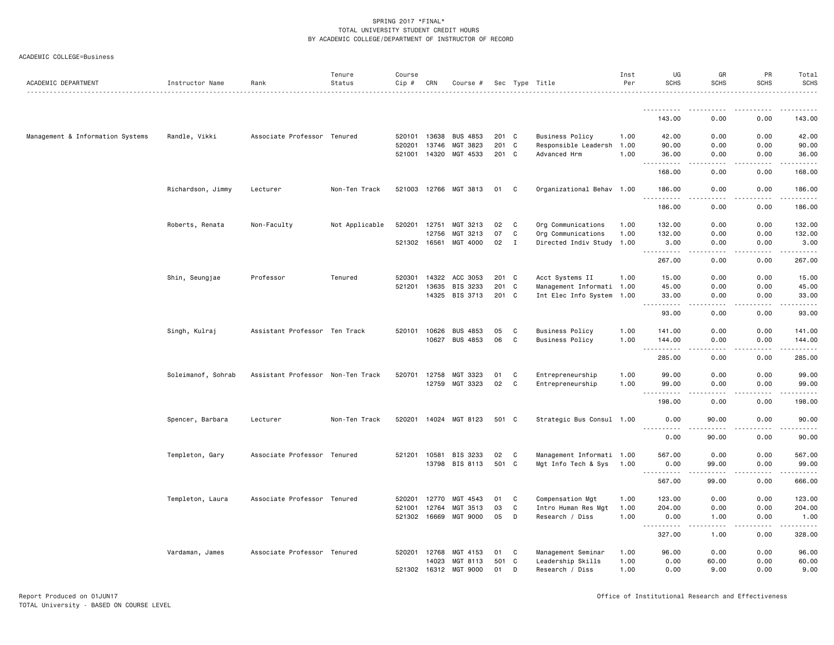|                                  |                    |                                   | Tenure         | Course       |       |                 |       |             |                           | Inst | UG                             | GR                                  | PR                | Total            |
|----------------------------------|--------------------|-----------------------------------|----------------|--------------|-------|-----------------|-------|-------------|---------------------------|------|--------------------------------|-------------------------------------|-------------------|------------------|
| ACADEMIC DEPARTMENT              | Instructor Name    | Rank                              | Status         | Cip #        | CRN   | Course #        |       |             | Sec Type Title            | Per  | <b>SCHS</b>                    | <b>SCHS</b>                         | <b>SCHS</b>       | <b>SCHS</b><br>. |
|                                  |                    |                                   |                |              |       |                 |       |             |                           |      |                                |                                     |                   |                  |
|                                  |                    |                                   |                |              |       |                 |       |             |                           |      | 143.00                         | 0.00                                | 0.00              | 143.00           |
| Management & Information Systems | Randle, Vikki      | Associate Professor Tenured       |                | 520101       | 13638 | <b>BUS 4853</b> | 201 C |             | <b>Business Policy</b>    | 1.00 | 42.00                          | 0.00                                | 0.00              | 42.00            |
|                                  |                    |                                   |                | 520201       | 13746 | MGT 3823        | 201 C |             | Responsible Leadersh 1.00 |      | 90.00                          | 0.00                                | 0.00              | 90.00            |
|                                  |                    |                                   |                | 521001       | 14320 | MGT 4533        | 201 C |             | Advanced Hrm              | 1.00 | 36.00<br>.                     | 0.00<br>.                           | 0.00<br>د د د د   | 36,00<br>$    -$ |
|                                  |                    |                                   |                |              |       |                 |       |             |                           |      | 168.00                         | 0.00                                | 0.00              | 168.00           |
|                                  | Richardson, Jimmy  | Lecturer                          | Non-Ten Track  | 521003 12766 |       | MGT 3813        | 01    | C           | Organizational Behav 1.00 |      | 186.00                         | 0.00                                | 0.00              | 186.00<br>.      |
|                                  |                    |                                   |                |              |       |                 |       |             |                           |      | 186.00                         | 0.00                                | 0.00              | 186.00           |
|                                  | Roberts, Renata    | Non-Faculty                       | Not Applicable | 520201       | 12751 | MGT 3213        | 02    | C           | Org Communications        | 1.00 | 132.00                         | 0.00                                | 0.00              | 132.00           |
|                                  |                    |                                   |                |              | 12756 | MGT 3213        | 07    | C           | Org Communications        | 1.00 | 132.00                         | 0.00                                | 0.00              | 132.00           |
|                                  |                    |                                   |                | 521302 16561 |       | MGT 4000        | 02    | $\mathbf I$ | Directed Indiv Study 1.00 |      | 3.00<br>.                      | 0.00<br>$\frac{1}{2}$               | 0.00<br>.         | 3.00<br>.        |
|                                  |                    |                                   |                |              |       |                 |       |             |                           |      | 267.00                         | 0.00                                | 0.00              | 267.00           |
|                                  | Shin, Seungjae     | Professor                         | Tenured        | 520301       | 14322 | ACC 3053        | 201 C |             | Acct Systems II           | 1.00 | 15.00                          | 0.00                                | 0.00              | 15.00            |
|                                  |                    |                                   |                | 521201       | 13635 | BIS 3233        | 201 C |             | Management Informati 1.00 |      | 45.00                          | 0.00                                | 0.00              | 45.00            |
|                                  |                    |                                   |                |              |       | 14325 BIS 3713  | 201 C |             | Int Elec Info System 1.00 |      | 33.00<br>.                     | 0.00<br>$\sim$ $\sim$ $\sim$ $\sim$ | 0.00<br>.         | 33.00<br>.       |
|                                  |                    |                                   |                |              |       |                 |       |             |                           |      | 93.00                          | 0.00                                | 0.00              | 93.00            |
|                                  | Singh, Kulraj      | Assistant Professor Ten Track     |                | 520101       | 10626 | <b>BUS 4853</b> | 05    | C           | <b>Business Policy</b>    | 1.00 | 141.00                         | 0.00                                | 0.00              | 141.00           |
|                                  |                    |                                   |                |              | 10627 | BUS 4853        | 06    | C           | <b>Business Policy</b>    | 1.00 | 144.00                         | 0.00                                | 0.00              | 144.00<br>.      |
|                                  |                    |                                   |                |              |       |                 |       |             |                           |      | $\sim$ $\sim$ $\sim$<br>285.00 | 0.00                                | 0.00              | 285.00           |
|                                  | Soleimanof, Sohrab | Assistant Professor Non-Ten Track |                | 520701       | 12758 | MGT 3323        | 01    | C           | Entrepreneurship          | 1.00 | 99.00                          | 0.00                                | 0.00              | 99.00            |
|                                  |                    |                                   |                |              | 12759 | MGT 3323        | 02    | C           | Entrepreneurship          | 1.00 | 99.00                          | 0.00                                | 0.00              | 99.00            |
|                                  |                    |                                   |                |              |       |                 |       |             |                           |      | .<br>$  -$<br>198.00           | $- - - -$<br>0.00                   | .<br>0.00         | .<br>198.00      |
|                                  | Spencer, Barbara   | Lecturer                          | Non-Ten Track  | 520201       | 14024 | MGT 8123        | 501 C |             | Strategic Bus Consul 1.00 |      | 0.00                           | 90.00                               | 0.00              | 90.00            |
|                                  |                    |                                   |                |              |       |                 |       |             |                           |      | .<br>0.00                      | 90.00                               | 0.00              | .<br>90.00       |
|                                  | Templeton, Gary    | Associate Professor Tenured       |                | 521201 10581 |       | BIS 3233        | 02    | C           | Management Informati 1.00 |      | 567.00                         | 0.00                                | 0.00              | 567.00           |
|                                  |                    |                                   |                |              |       | 13798 BIS 8113  | 501 C |             | Mgt Info Tech & Sys 1.00  |      | 0.00                           | 99.00                               | 0.00              | 99.00            |
|                                  |                    |                                   |                |              |       |                 |       |             |                           |      | <b></b><br>567.00              | .<br>99.00                          | .<br>0.00         | .<br>666.00      |
|                                  | Templeton, Laura   | Associate Professor Tenured       |                | 520201       | 12770 | MGT 4543        | 01    | C           | Compensation Mgt          | 1.00 | 123.00                         | 0.00                                | 0.00              | 123.00           |
|                                  |                    |                                   |                | 521001       | 12764 | MGT 3513        | 03    | C           | Intro Human Res Mgt       | 1.00 | 204.00                         | 0.00                                | 0.00              | 204.00           |
|                                  |                    |                                   |                | 521302 16669 |       | MGT 9000        | 05    | D           | Research / Diss           | 1.00 | 0.00<br>$  -$                  | 1.00<br>----                        | 0.00              | 1.00<br>.        |
|                                  |                    |                                   |                |              |       |                 |       |             |                           |      | ----<br>327.00                 | 1.00                                | $- - - -$<br>0.00 | 328.00           |
|                                  | Vardaman, James    | Associate Professor Tenured       |                | 520201       | 12768 | MGT 4153        | 01    | C           | Management Seminar        | 1.00 | 96.00                          | 0.00                                | 0.00              | 96.00            |
|                                  |                    |                                   |                |              | 14023 | MGT 8113        | 501   | C           | Leadership Skills         | 1.00 | 0.00                           | 60.00                               | 0.00              | 60.00            |
|                                  |                    |                                   |                | 521302 16312 |       | MGT 9000        | 01    | D           | Research / Diss           | 1.00 | 0.00                           | 9.00                                | 0.00              | 9.00             |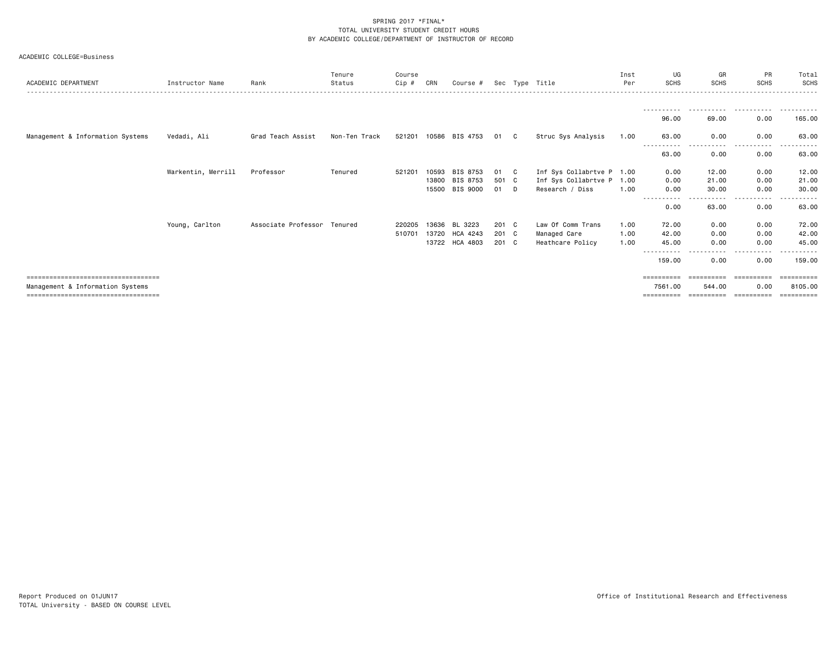|  | ACADEMIC COLLEGE=Business |
|--|---------------------------|
|--|---------------------------|

| ACADEMIC DEPARTMENT                   | Instructor Name    | Rank                | Tenure<br>Status | Course<br>Cip # | CRN   | Course #       |               |     | Sec Type Title            | Inst<br>Per | UG<br><b>SCHS</b>    | GR<br><b>SCHS</b> | PR<br><b>SCHS</b> | Total<br><b>SCHS</b>    |
|---------------------------------------|--------------------|---------------------|------------------|-----------------|-------|----------------|---------------|-----|---------------------------|-------------|----------------------|-------------------|-------------------|-------------------------|
|                                       |                    |                     |                  |                 |       |                |               |     |                           |             |                      |                   |                   |                         |
|                                       |                    |                     |                  |                 |       |                |               |     |                           |             | -----------<br>96.00 | .<br>69.00        | .<br>0.00         | .<br>165.00             |
| Management & Information Systems      | Vedadi, Ali        | Grad Teach Assist   | Non-Ten Track    | 521201          |       | 10586 BIS 4753 | 01            | C . | Struc Sys Analysis        | 1.00        | 63.00                | 0.00              | 0.00              | 63.00                   |
|                                       |                    |                     |                  |                 |       |                |               |     |                           |             | 63.00                | 0.00              | 0.00              | 63.00                   |
|                                       | Warkentin, Merrill | Professor           | Tenured          | 521201          | 10593 | BIS 8753       | 01            | C . | Inf Sys Collabrtve P 1.00 |             | 0.00                 | 12.00             | 0.00              | 12.00                   |
|                                       |                    |                     |                  |                 |       | 13800 BIS 8753 | 501 C         |     | Inf Sys Collabrtve P 1.00 |             | 0.00                 | 21.00             | 0.00              | 21.00                   |
|                                       |                    |                     |                  |                 |       | 15500 BIS 9000 | 01 D          |     | Research / Diss           | 1.00        | 0.00                 | 30,00             | 0.00              | 30.00                   |
|                                       |                    |                     |                  |                 |       |                |               |     |                           |             |                      |                   |                   |                         |
|                                       |                    |                     |                  |                 |       |                |               |     |                           |             | 0.00                 | 63.00             | 0.00              | 63.00                   |
|                                       | Young, Carlton     | Associate Professor | Tenured          | 220205          |       | 13636 BL 3223  | 201 C         |     | Law Of Comm Trans         | 1.00        | 72.00                | 0.00              | 0.00              | 72.00                   |
|                                       |                    |                     |                  | 510701          |       | 13720 HCA 4243 | $201 \quad C$ |     | Managed Care              | 1.00        | 42.00                | 0.00              | 0.00              | 42.00                   |
|                                       |                    |                     |                  |                 |       | 13722 HCA 4803 | 201 C         |     | Heathcare Policy          | 1.00        | 45.00                | 0.00              | 0.00              | 45.00                   |
|                                       |                    |                     |                  |                 |       |                |               |     |                           |             | 159.00               | 0.00              | 0.00              | 159.00                  |
| ===================================== |                    |                     |                  |                 |       |                |               |     |                           |             | ==========           |                   |                   | =========               |
| Management & Information Systems      |                    |                     |                  |                 |       |                |               |     |                           |             | 7561.00              | 544.00            | 0.00              | 8105.00                 |
| ===================================== |                    |                     |                  |                 |       |                |               |     |                           |             | ==========           | ==========        | ==========        | $=$ = = = = = = = = $=$ |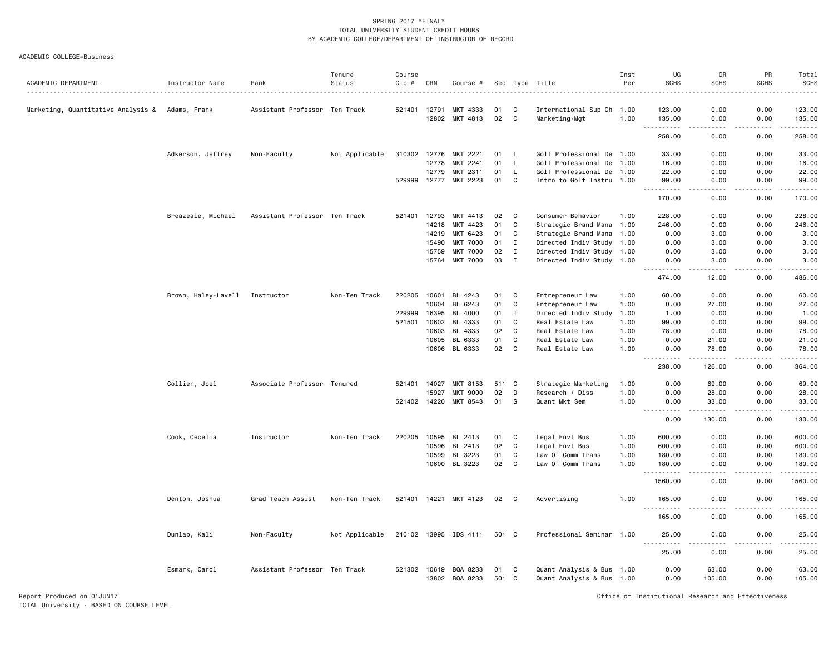ACADEMIC COLLEGE=Business

| ACADEMIC DEPARTMENT                | Instructor Name                | Rank                          | Tenure<br>Status | Course<br>Cip # | CRN          | Course #                   |             |              | Sec Type Title                                         | Inst<br>Per | UG<br><b>SCHS</b>                                                                                                                                                                      | GR<br>SCHS                          | PR<br><b>SCHS</b> | Total<br><b>SCHS</b><br>.                                                                                                                                                                 |
|------------------------------------|--------------------------------|-------------------------------|------------------|-----------------|--------------|----------------------------|-------------|--------------|--------------------------------------------------------|-------------|----------------------------------------------------------------------------------------------------------------------------------------------------------------------------------------|-------------------------------------|-------------------|-------------------------------------------------------------------------------------------------------------------------------------------------------------------------------------------|
| Marketing, Quantitative Analysis & | Adams, Frank                   | Assistant Professor Ten Track |                  | 521401 12791    |              | MKT 4333                   | 01          | C            | International Sup Ch 1.00                              |             | 123.00                                                                                                                                                                                 | 0.00                                | 0.00              | 123.00                                                                                                                                                                                    |
|                                    |                                |                               |                  |                 | 12802        | MKT 4813                   | 02          | C            | Marketing-Mgt                                          | 1.00        | 135.00                                                                                                                                                                                 | 0.00                                | 0.00              | 135.00<br>.                                                                                                                                                                               |
|                                    |                                |                               |                  |                 |              |                            |             |              |                                                        |             | 258.00                                                                                                                                                                                 | 0.00                                | 0.00              | 258.00                                                                                                                                                                                    |
|                                    | Adkerson, Jeffrey              | Non-Faculty                   | Not Applicable   | 310302 12776    |              | MKT 2221                   | 01          | L.           | Golf Professional De 1.00                              |             | 33.00                                                                                                                                                                                  | 0.00                                | 0.00              | 33.00                                                                                                                                                                                     |
|                                    |                                |                               |                  |                 | 12778        | MKT 2241                   | 01          | $\mathsf{L}$ | Golf Professional De 1.00                              |             | 16.00                                                                                                                                                                                  | 0.00                                | 0.00              | 16.00                                                                                                                                                                                     |
|                                    |                                |                               |                  |                 | 12779        | MKT 2311                   | 01          | L            | Golf Professional De 1.00                              |             | 22.00                                                                                                                                                                                  | 0.00                                | 0.00              | 22.00                                                                                                                                                                                     |
|                                    |                                |                               |                  | 529999          | 12777        | MKT 2223                   | 01          | C            | Intro to Golf Instru 1.00                              |             | 99.00                                                                                                                                                                                  | 0.00                                | 0.00              | 99.00                                                                                                                                                                                     |
|                                    |                                |                               |                  |                 |              |                            |             |              |                                                        |             | 170.00                                                                                                                                                                                 | 0.00                                | 0.00              | 170.00                                                                                                                                                                                    |
|                                    | Breazeale, Michael             | Assistant Professor Ten Track |                  |                 | 521401 12793 | MKT 4413                   | 02          | C            | Consumer Behavior                                      | 1.00        | 228.00                                                                                                                                                                                 | 0.00                                | 0.00              | 228.00                                                                                                                                                                                    |
|                                    |                                |                               |                  |                 | 14218        | MKT 4423                   | 01          | C            | Strategic Brand Mana 1.00                              |             | 246.00                                                                                                                                                                                 | 0.00                                | 0.00              | 246.00                                                                                                                                                                                    |
|                                    |                                |                               |                  |                 | 14219        | MKT 6423                   | 01          | C            | Strategic Brand Mana 1.00                              |             | 0.00                                                                                                                                                                                   | 3.00                                | 0.00              | 3.00                                                                                                                                                                                      |
|                                    |                                |                               |                  |                 | 15490        | <b>MKT 7000</b>            | 01          | $\mathbf{I}$ | Directed Indiv Study 1.00                              |             | 0.00                                                                                                                                                                                   | 3.00                                | 0.00              | 3.00                                                                                                                                                                                      |
|                                    |                                |                               |                  |                 | 15759        | <b>MKT 7000</b>            | 02          | $\mathbf{I}$ | Directed Indiv Study 1.00                              |             | 0.00                                                                                                                                                                                   | 3.00                                | 0.00              | 3.00                                                                                                                                                                                      |
|                                    |                                |                               |                  |                 | 15764        | <b>MKT 7000</b>            | 03          | $\mathbf I$  | Directed Indiv Study 1.00                              |             | 0.00                                                                                                                                                                                   | 3.00                                | 0.00              | 3.00                                                                                                                                                                                      |
|                                    |                                |                               |                  |                 |              |                            |             |              |                                                        |             | 474.00                                                                                                                                                                                 | 12.00                               | 0.00              | 486.00                                                                                                                                                                                    |
|                                    | Brown, Haley-Lavell Instructor |                               | Non-Ten Track    | 220205          | 10601        | BL 4243                    | 01          | C            | Entrepreneur Law                                       | 1.00        | 60.00                                                                                                                                                                                  | 0.00                                | 0.00              | 60.00                                                                                                                                                                                     |
|                                    |                                |                               |                  |                 | 10604        | BL 6243                    | 01          | C            | Entrepreneur Law                                       | 1.00        | 0.00                                                                                                                                                                                   | 27.00                               | 0.00              | 27.00                                                                                                                                                                                     |
|                                    |                                |                               |                  | 229999          | 16395        | BL 4000                    | 01          | $\mathbf{I}$ | Directed Indiv Study                                   | 1.00        | 1.00                                                                                                                                                                                   | 0.00                                | 0.00              | 1.00                                                                                                                                                                                      |
|                                    |                                |                               |                  | 521501          | 10602        | BL 4333                    | 01          | C            | Real Estate Law                                        | 1.00        | 99.00                                                                                                                                                                                  | 0.00                                | 0.00              | 99.00                                                                                                                                                                                     |
|                                    |                                |                               |                  |                 | 10603        | BL 4333                    | 02          | $\mathtt{C}$ | Real Estate Law                                        | 1.00        | 78.00                                                                                                                                                                                  | 0.00                                | 0.00              | 78.00                                                                                                                                                                                     |
|                                    |                                |                               |                  |                 | 10605        | BL 6333                    | 01          | C            | Real Estate Law                                        | 1.00        | 0.00                                                                                                                                                                                   | 21.00                               | 0.00              | 21.00                                                                                                                                                                                     |
|                                    |                                |                               |                  |                 |              | 10606 BL 6333              | 02          | C            | Real Estate Law                                        | 1.00        | 0.00                                                                                                                                                                                   | 78.00                               | 0.00              | 78.00                                                                                                                                                                                     |
|                                    |                                |                               |                  |                 |              |                            |             |              |                                                        |             | $\frac{1}{2} \left( \frac{1}{2} \right) \left( \frac{1}{2} \right) \left( \frac{1}{2} \right) \left( \frac{1}{2} \right) \left( \frac{1}{2} \right)$<br>$\sim$ $\sim$ $\sim$<br>238.00 | .<br>126.00                         | .<br>0.00         | .<br>364.00                                                                                                                                                                               |
|                                    | Collier, Joel                  | Associate Professor Tenured   |                  | 521401 14027    |              | MKT 8153                   | 511 C       |              | Strategic Marketing                                    | 1.00        | 0.00                                                                                                                                                                                   | 69.00                               | 0.00              | 69.00                                                                                                                                                                                     |
|                                    |                                |                               |                  |                 | 15927        | <b>MKT 9000</b>            | 02          | D            | Research / Diss                                        | 1.00        | 0.00                                                                                                                                                                                   | 28.00                               | 0.00              | 28.00                                                                                                                                                                                     |
|                                    |                                |                               |                  |                 | 521402 14220 | MKT 8543                   | 01          | - S          | Quant Mkt Sem                                          | 1.00        | 0.00                                                                                                                                                                                   | 33.00                               | 0.00              | 33.00                                                                                                                                                                                     |
|                                    |                                |                               |                  |                 |              |                            |             |              |                                                        |             | 0.00                                                                                                                                                                                   | 130.00                              | 0.00              | 130.00                                                                                                                                                                                    |
|                                    | Cook, Cecelia                  | Instructor                    | Non-Ten Track    |                 |              | 220205 10595 BL 2413       | 01          | C            | Legal Envt Bus                                         | 1.00        | 600.00                                                                                                                                                                                 | 0.00                                | 0.00              | 600.00                                                                                                                                                                                    |
|                                    |                                |                               |                  |                 | 10596        | BL 2413                    | 02          | C            | Legal Envt Bus                                         | 1.00        | 600.00                                                                                                                                                                                 | 0.00                                | 0.00              | 600.00                                                                                                                                                                                    |
|                                    |                                |                               |                  |                 | 10599        | BL 3223                    | 01          | C            | Law Of Comm Trans                                      | 1.00        | 180.00                                                                                                                                                                                 | 0.00                                | 0.00              | 180.00                                                                                                                                                                                    |
|                                    |                                |                               |                  |                 | 10600        | BL 3223                    | 02          | C            | Law Of Comm Trans                                      | 1.00        | 180.00                                                                                                                                                                                 | 0.00                                | 0.00              | 180.00                                                                                                                                                                                    |
|                                    |                                |                               |                  |                 |              |                            |             |              |                                                        |             | .<br>1560.00                                                                                                                                                                           | .<br>0.00                           | المستبدا<br>0.00  | 1560.00                                                                                                                                                                                   |
|                                    | Denton, Joshua                 | Grad Teach Assist             | Non-Ten Track    |                 |              | 521401 14221 MKT 4123      | 02          | C            | Advertising                                            | 1.00        | 165.00                                                                                                                                                                                 | 0.00                                | 0.00              | 165.00                                                                                                                                                                                    |
|                                    |                                |                               |                  |                 |              |                            |             |              |                                                        |             | $- - -$<br>.<br>165.00                                                                                                                                                                 | .<br>0.00                           | .<br>0.00         | $\frac{1}{2} \left( \frac{1}{2} \right) \left( \frac{1}{2} \right) \left( \frac{1}{2} \right) \left( \frac{1}{2} \right) \left( \frac{1}{2} \right) \left( \frac{1}{2} \right)$<br>165.00 |
|                                    | Dunlap, Kali                   | Non-Faculty                   | Not Applicable   |                 |              | 240102 13995 IDS 4111      | 501 C       |              | Professional Seminar 1.00                              |             | 25.00                                                                                                                                                                                  | 0.00                                | 0.00              | 25.00                                                                                                                                                                                     |
|                                    |                                |                               |                  |                 |              |                            |             |              |                                                        |             | <b>.</b><br>25.00                                                                                                                                                                      | $\sim$ $\sim$ $\sim$ $\sim$<br>0.00 | .<br>0.00         | .<br>25.00                                                                                                                                                                                |
|                                    | Esmark, Carol                  | Assistant Professor Ten Track |                  |                 | 521302 10619 | BQA 8233<br>13802 BQA 8233 | 01<br>501 C | C            | Quant Analysis & Bus 1.00<br>Quant Analysis & Bus 1.00 |             | 0.00<br>0.00                                                                                                                                                                           | 63.00<br>105.00                     | 0.00<br>0.00      | 63.00<br>105.00                                                                                                                                                                           |

Report Produced on 01JUN17 Office of Institutional Research and Effectiveness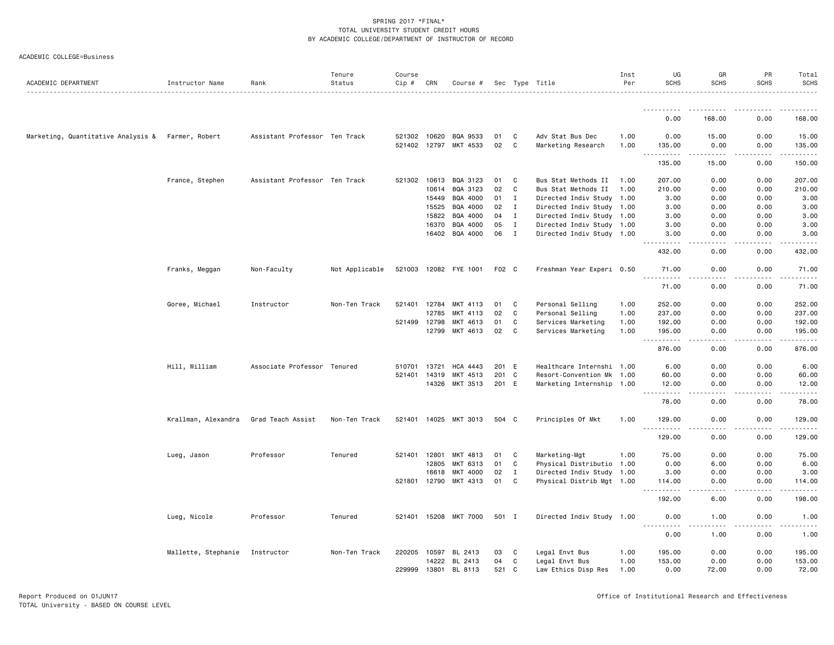| ACADEMIC DEPARTMENT                               | Instructor Name     | Rank                          | Tenure<br>Status | Course<br>$Cip \#$           | CRN   | Course #              |          |                   | Sec Type Title                         | Inst<br>Per  | UG<br><b>SCHS</b>                                                                                                                                              | GR<br><b>SCHS</b>                   | PR<br><b>SCHS</b> | Total<br><b>SCHS</b>                                                             |
|---------------------------------------------------|---------------------|-------------------------------|------------------|------------------------------|-------|-----------------------|----------|-------------------|----------------------------------------|--------------|----------------------------------------------------------------------------------------------------------------------------------------------------------------|-------------------------------------|-------------------|----------------------------------------------------------------------------------|
|                                                   |                     |                               |                  |                              |       |                       |          |                   |                                        |              |                                                                                                                                                                |                                     |                   |                                                                                  |
|                                                   |                     |                               |                  |                              |       |                       |          |                   |                                        |              | 0.00                                                                                                                                                           | 168.00                              | 0.00              | 168.00                                                                           |
|                                                   |                     |                               |                  |                              |       |                       |          |                   |                                        |              |                                                                                                                                                                |                                     |                   |                                                                                  |
| Marketing, Quantitative Analysis & Farmer, Robert |                     | Assistant Professor Ten Track |                  | 521302 10620<br>521402 12797 |       | BQA 9533<br>MKT 4533  | 01<br>02 | C<br>$\mathsf{C}$ | Adv Stat Bus Dec<br>Marketing Research | 1.00<br>1.00 | 0.00<br>135.00                                                                                                                                                 | 15.00<br>0.00                       | 0.00<br>0.00      | 15.00<br>135.00                                                                  |
|                                                   |                     |                               |                  |                              |       |                       |          |                   |                                        |              | .                                                                                                                                                              | .                                   | .                 | $\mathbf{1} \cdot \mathbf{1} \cdot \mathbf{1} \cdot \mathbf{1} \cdot \mathbf{1}$ |
|                                                   |                     |                               |                  |                              |       |                       |          |                   |                                        |              | 135.00                                                                                                                                                         | 15.00                               | 0.00              | 150.00                                                                           |
|                                                   | France, Stephen     | Assistant Professor Ten Track |                  | 521302                       | 10613 | BQA 3123              | 01       | C                 | Bus Stat Methods II                    | 1.00         | 207.00                                                                                                                                                         | 0.00                                | 0.00              | 207.00                                                                           |
|                                                   |                     |                               |                  |                              | 10614 | BQA 3123              | 02       | C                 | Bus Stat Methods II                    | 1.00         | 210.00                                                                                                                                                         | 0.00                                | 0.00              | 210.00                                                                           |
|                                                   |                     |                               |                  |                              | 15449 | BQA 4000              | 01       | $\bf{I}$          | Directed Indiv Study 1.00              |              | 3.00                                                                                                                                                           | 0.00                                | 0.00              | 3.00                                                                             |
|                                                   |                     |                               |                  |                              | 15525 | BQA 4000              | 02       | $\mathbf{I}$      | Directed Indiv Study 1.00              |              | 3.00                                                                                                                                                           | 0.00                                | 0.00              | 3.00                                                                             |
|                                                   |                     |                               |                  |                              | 15822 | BQA 4000              | 04       | $\mathbf{I}$      | Directed Indiv Study 1.00              |              | 3.00                                                                                                                                                           | 0.00                                | 0.00              | 3.00                                                                             |
|                                                   |                     |                               |                  |                              | 16370 | BQA 4000              | 05       | $\mathbf{I}$      | Directed Indiv Study 1.00              |              | 3.00                                                                                                                                                           | 0.00                                | 0.00              | 3.00                                                                             |
|                                                   |                     |                               |                  |                              |       | 16402 BQA 4000        | 06       | $\mathbf{I}$      | Directed Indiv Study 1.00              |              | 3.00<br>د د د د د                                                                                                                                              | 0.00<br>$\sim$ $\sim$ $\sim$ $\sim$ | 0.00<br>.         | 3.00<br>.                                                                        |
|                                                   |                     |                               |                  |                              |       |                       |          |                   |                                        |              | 432.00                                                                                                                                                         | 0.00                                | 0.00              | 432.00                                                                           |
|                                                   | Franks, Meggan      | Non-Faculty                   | Not Applicable   |                              |       | 521003 12082 FYE 1001 | F02 C    |                   | Freshman Year Experi 0.50              |              | 71.00                                                                                                                                                          | 0.00                                | 0.00              | 71.00                                                                            |
|                                                   |                     |                               |                  |                              |       |                       |          |                   |                                        |              | 71.00                                                                                                                                                          | 0.00                                | 0.00              | 71.00                                                                            |
|                                                   | Goree, Michael      | Instructor                    | Non-Ten Track    | 521401                       | 12784 | MKT 4113              | 01       | C                 | Personal Selling                       | 1.00         | 252.00                                                                                                                                                         | 0.00                                | 0.00              | 252.00                                                                           |
|                                                   |                     |                               |                  |                              | 12785 | MKT 4113              | 02       | C                 | Personal Selling                       | 1.00         | 237.00                                                                                                                                                         | 0.00                                | 0.00              | 237.00                                                                           |
|                                                   |                     |                               |                  | 521499                       | 12798 | MKT 4613              | 01       | C                 | Services Marketing                     | 1.00         | 192.00                                                                                                                                                         | 0.00                                | 0.00              | 192.00                                                                           |
|                                                   |                     |                               |                  |                              | 12799 | MKT 4613              | 02       | C                 | Services Marketing                     | 1.00         | 195.00                                                                                                                                                         | 0.00                                | 0.00              | 195.00                                                                           |
|                                                   |                     |                               |                  |                              |       |                       |          |                   |                                        |              | $- - -$<br>.<br>876.00                                                                                                                                         | 0.00                                | .<br>0.00         | ------<br>876.00                                                                 |
|                                                   | Hill, William       | Associate Professor Tenured   |                  | 510701                       | 13721 | <b>HCA 4443</b>       | 201      | E                 | Healthcare Internshi 1.00              |              | 6.00                                                                                                                                                           | 0.00                                | 0.00              | 6.00                                                                             |
|                                                   |                     |                               |                  | 521401                       | 14319 | MKT 4513              | 201 C    |                   | Resort-Convention Mk 1.00              |              | 60.00                                                                                                                                                          | 0.00                                | 0.00              | 60.00                                                                            |
|                                                   |                     |                               |                  |                              | 14326 | MKT 3513              | 201 E    |                   | Marketing Internship 1.00              |              | 12.00                                                                                                                                                          | 0.00                                | 0.00              | 12.00                                                                            |
|                                                   |                     |                               |                  |                              |       |                       |          |                   |                                        |              | 78.00                                                                                                                                                          | .<br>0.00                           | .<br>0.00         | .<br>78.00                                                                       |
|                                                   | Krallman, Alexandra | Grad Teach Assist             | Non-Ten Track    |                              |       | 521401 14025 MKT 3013 | 504 C    |                   | Principles Of Mkt                      | 1.00         | 129.00                                                                                                                                                         | 0.00                                | 0.00              | 129.00                                                                           |
|                                                   |                     |                               |                  |                              |       |                       |          |                   |                                        |              | $-$<br>129.00                                                                                                                                                  | 0.00                                | 0.00              | 129.00                                                                           |
|                                                   | Lueg, Jason         | Professor                     | Tenured          | 521401                       | 12801 | MKT 4813              | 01       | C                 | Marketing-Mgt                          | 1.00         | 75.00                                                                                                                                                          | 0.00                                | 0.00              | 75.00                                                                            |
|                                                   |                     |                               |                  |                              | 12805 | MKT 6313              | 01       | C                 | Physical Distributio 1.00              |              | 0.00                                                                                                                                                           | 6.00                                | 0.00              | 6.00                                                                             |
|                                                   |                     |                               |                  |                              | 16618 | MKT 4000              | 02       | $\mathbf{I}$      | Directed Indiv Study 1.00              |              | 3.00                                                                                                                                                           | 0.00                                | 0.00              | 3.00                                                                             |
|                                                   |                     |                               |                  | 521801                       | 12790 | MKT 4313              | 01       | C                 | Physical Distrib Mgt 1.00              |              | 114.00                                                                                                                                                         | 0.00                                | 0.00              | 114.00                                                                           |
|                                                   |                     |                               |                  |                              |       |                       |          |                   |                                        |              | $\frac{1}{2} \left( \frac{1}{2} \right) \left( \frac{1}{2} \right) \left( \frac{1}{2} \right) \left( \frac{1}{2} \right) \left( \frac{1}{2} \right)$<br>192.00 | $\frac{1}{2}$<br>6.00               | .<br>0.00         | $- - - - - -$<br>198.00                                                          |
|                                                   | Lueg, Nicole        | Professor                     | Tenured          |                              |       | 521401 15208 MKT 7000 | 501 I    |                   | Directed Indiv Study 1.00              |              | 0.00                                                                                                                                                           | 1.00                                | 0.00              | 1.00                                                                             |
|                                                   |                     |                               |                  |                              |       |                       |          |                   |                                        |              | $\frac{1}{2}$<br>0.00                                                                                                                                          | $\frac{1}{2}$<br>1.00               | .<br>0.00         | 1.00                                                                             |
|                                                   | Mallette, Stephanie | Instructor                    | Non-Ten Track    |                              |       | 220205 10597 BL 2413  | 03       | C                 | Legal Envt Bus                         | 1.00         | 195.00                                                                                                                                                         | 0.00                                | 0.00              | 195.00                                                                           |
|                                                   |                     |                               |                  |                              | 14222 | BL 2413               | 04       | C                 | Legal Envt Bus                         | 1.00         | 153.00                                                                                                                                                         | 0.00                                | 0.00              | 153.00                                                                           |
|                                                   |                     |                               |                  | 229999                       | 13801 | BL 8113               | 521      | C.                | Law Ethics Disp Res                    | 1.00         | 0.00                                                                                                                                                           | 72.00                               | 0.00              | 72.00                                                                            |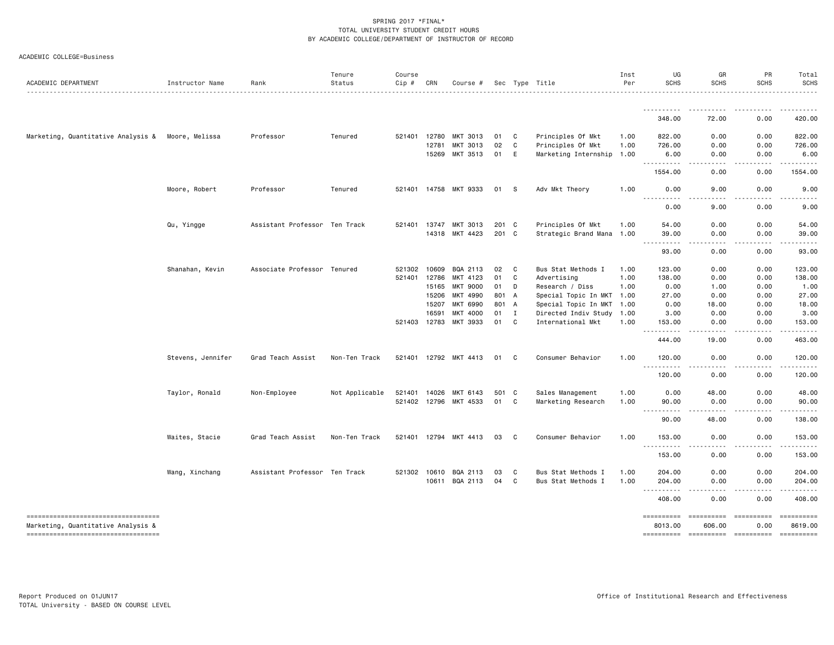|  | ACADEMIC COLLEGE=Business |
|--|---------------------------|
|--|---------------------------|

| ACADEMIC DEPARTMENT                                                       | Instructor Name   | Rank                          | Tenure<br>Status | Course<br>Cip # | CRN   | Course #              |       |              | Sec Type Title            | Inst<br>Per | UG<br><b>SCHS</b>                                                                                                                                                  | GR<br><b>SCHS</b>                         | PR<br><b>SCHS</b> | Total<br><b>SCHS</b>                                                                                                                                                                                                                                                                                                                                                                                                                                                                   |
|---------------------------------------------------------------------------|-------------------|-------------------------------|------------------|-----------------|-------|-----------------------|-------|--------------|---------------------------|-------------|--------------------------------------------------------------------------------------------------------------------------------------------------------------------|-------------------------------------------|-------------------|----------------------------------------------------------------------------------------------------------------------------------------------------------------------------------------------------------------------------------------------------------------------------------------------------------------------------------------------------------------------------------------------------------------------------------------------------------------------------------------|
|                                                                           |                   |                               |                  |                 |       |                       |       |              |                           |             |                                                                                                                                                                    |                                           |                   |                                                                                                                                                                                                                                                                                                                                                                                                                                                                                        |
|                                                                           |                   |                               |                  |                 |       |                       |       |              |                           |             | 348.00                                                                                                                                                             | 72.00                                     | 0.00              | 420.00                                                                                                                                                                                                                                                                                                                                                                                                                                                                                 |
| Marketing, Quantitative Analysis &                                        | Moore, Melissa    | Professor                     | Tenured          | 521401          | 12780 | MKT 3013              | 01    | C            | Principles Of Mkt         | 1.00        | 822.00                                                                                                                                                             | 0.00                                      | 0.00              | 822.00                                                                                                                                                                                                                                                                                                                                                                                                                                                                                 |
|                                                                           |                   |                               |                  |                 | 12781 | MKT 3013              | 02    | C            | Principles Of Mkt         | 1.00        | 726.00                                                                                                                                                             | 0.00                                      | 0.00              | 726.00                                                                                                                                                                                                                                                                                                                                                                                                                                                                                 |
|                                                                           |                   |                               |                  |                 | 15269 | MKT 3513              | 01    | E            | Marketing Internship      | 1.00        | 6.00<br><b></b>                                                                                                                                                    | 0.00<br>.<br>$  -$                        | 0.00<br>.         | 6.00                                                                                                                                                                                                                                                                                                                                                                                                                                                                                   |
|                                                                           |                   |                               |                  |                 |       |                       |       |              |                           |             | 1554.00                                                                                                                                                            | 0.00                                      | 0.00              | 1554.00                                                                                                                                                                                                                                                                                                                                                                                                                                                                                |
|                                                                           | Moore, Robert     | Professor                     | Tenured          |                 |       | 521401 14758 MKT 9333 | 01 S  |              | Adv Mkt Theory            | 1.00        | 0.00<br>$\sim$ $\sim$ $\sim$                                                                                                                                       | 9.00                                      | 0.00              | 9.00                                                                                                                                                                                                                                                                                                                                                                                                                                                                                   |
|                                                                           |                   |                               |                  |                 |       |                       |       |              |                           |             | 0.00                                                                                                                                                               | 9.00                                      | 0.00              | 9.00                                                                                                                                                                                                                                                                                                                                                                                                                                                                                   |
|                                                                           | Qu, Yingge        | Assistant Professor Ten Track |                  | 521401          | 13747 | MKT 3013              | 201 C |              | Principles Of Mkt         | 1.00        | 54.00                                                                                                                                                              | 0.00                                      | 0.00              | 54.00                                                                                                                                                                                                                                                                                                                                                                                                                                                                                  |
|                                                                           |                   |                               |                  |                 |       | 14318 MKT 4423        | 201 C |              | Strategic Brand Mana 1.00 |             | 39.00<br>.<br>$\frac{1}{2} \left( \frac{1}{2} \right) \left( \frac{1}{2} \right) \left( \frac{1}{2} \right) \left( \frac{1}{2} \right) \left( \frac{1}{2} \right)$ | 0.00                                      | 0.00              | 39.00                                                                                                                                                                                                                                                                                                                                                                                                                                                                                  |
|                                                                           |                   |                               |                  |                 |       |                       |       |              |                           |             | 93.00                                                                                                                                                              | 0.00                                      | 0.00              | 93.00                                                                                                                                                                                                                                                                                                                                                                                                                                                                                  |
|                                                                           | Shanahan, Kevin   | Associate Professor Tenured   |                  | 521302 10609    |       | BQA 2113              | 02    | C            | Bus Stat Methods I        | 1.00        | 123.00                                                                                                                                                             | 0.00                                      | 0.00              | 123.00                                                                                                                                                                                                                                                                                                                                                                                                                                                                                 |
|                                                                           |                   |                               |                  | 521401 12786    |       | MKT 4123              | 01    | C            | Advertising               | 1.00        | 138.00                                                                                                                                                             | 0.00                                      | 0.00              | 138.00                                                                                                                                                                                                                                                                                                                                                                                                                                                                                 |
|                                                                           |                   |                               |                  |                 | 15165 | <b>MKT 9000</b>       | 01    | D            | Research / Diss           | 1.00        | 0.00                                                                                                                                                               | 1.00                                      | 0.00              | 1.00                                                                                                                                                                                                                                                                                                                                                                                                                                                                                   |
|                                                                           |                   |                               |                  |                 | 15206 | MKT 4990              | 801 A |              | Special Topic In MKT      | 1.00        | 27.00                                                                                                                                                              | 0.00                                      | 0.00              | 27.00                                                                                                                                                                                                                                                                                                                                                                                                                                                                                  |
|                                                                           |                   |                               |                  |                 | 15207 | MKT 6990              | 801 A |              | Special Topic In MKT      | 1.00        | 0.00                                                                                                                                                               | 18.00                                     | 0.00              | 18.00                                                                                                                                                                                                                                                                                                                                                                                                                                                                                  |
|                                                                           |                   |                               |                  |                 | 16591 | MKT 4000              | 01    | $\mathbf{I}$ | Directed Indiv Study      | 1.00        | 3.00                                                                                                                                                               | 0.00                                      | 0.00              | 3.00                                                                                                                                                                                                                                                                                                                                                                                                                                                                                   |
|                                                                           |                   |                               |                  | 521403 12783    |       | MKT 3933              | 01    | C            | International Mkt         | 1.00        | 153.00<br>.                                                                                                                                                        | 0.00                                      | 0.00<br>.         | 153.00                                                                                                                                                                                                                                                                                                                                                                                                                                                                                 |
|                                                                           |                   |                               |                  |                 |       |                       |       |              |                           |             | 444.00                                                                                                                                                             | 19.00                                     | 0.00              | 463.00                                                                                                                                                                                                                                                                                                                                                                                                                                                                                 |
|                                                                           | Stevens, Jennifer | Grad Teach Assist             | Non-Ten Track    |                 |       | 521401 12792 MKT 4413 | 01    | C            | Consumer Behavior         | 1.00        | 120.00<br><b></b>                                                                                                                                                  | 0.00                                      | 0.00              | 120.00                                                                                                                                                                                                                                                                                                                                                                                                                                                                                 |
|                                                                           |                   |                               |                  |                 |       |                       |       |              |                           |             | 120.00                                                                                                                                                             | 0.00                                      | 0.00              | 120.00                                                                                                                                                                                                                                                                                                                                                                                                                                                                                 |
|                                                                           | Taylor, Ronald    | Non-Employee                  | Not Applicable   | 521401 14026    |       | MKT 6143              | 501 C |              | Sales Management          | 1.00        | 0.00                                                                                                                                                               | 48.00                                     | 0.00              | 48.00                                                                                                                                                                                                                                                                                                                                                                                                                                                                                  |
|                                                                           |                   |                               |                  | 521402 12796    |       | MKT 4533              | 01    | C            | Marketing Research        | 1.00        | 90.00<br>.                                                                                                                                                         | 0.00                                      | 0.00              | 90.00                                                                                                                                                                                                                                                                                                                                                                                                                                                                                  |
|                                                                           |                   |                               |                  |                 |       |                       |       |              |                           |             | 90.00                                                                                                                                                              | 48.00                                     | 0.00              | 138.00                                                                                                                                                                                                                                                                                                                                                                                                                                                                                 |
|                                                                           | Waites, Stacie    | Grad Teach Assist             | Non-Ten Track    |                 |       | 521401 12794 MKT 4413 | 03    | C            | Consumer Behavior         | 1.00        | 153.00                                                                                                                                                             | 0.00                                      | 0.00              | 153.00                                                                                                                                                                                                                                                                                                                                                                                                                                                                                 |
|                                                                           |                   |                               |                  |                 |       |                       |       |              |                           |             | <b></b><br>153.00                                                                                                                                                  | -----<br>0.00                             | .<br>0.00         | <u>.</u><br>153.00                                                                                                                                                                                                                                                                                                                                                                                                                                                                     |
|                                                                           | Wang, Xinchang    | Assistant Professor Ten Track |                  | 521302 10610    |       | BQA 2113              | 03    | C            | Bus Stat Methods I        | 1.00        | 204.00                                                                                                                                                             | 0.00                                      | 0.00              | 204.00                                                                                                                                                                                                                                                                                                                                                                                                                                                                                 |
|                                                                           |                   |                               |                  |                 |       | 10611 BQA 2113        | 04    | C            | Bus Stat Methods I        | 1.00        | 204.00                                                                                                                                                             | 0.00                                      | 0.00              | 204.00                                                                                                                                                                                                                                                                                                                                                                                                                                                                                 |
|                                                                           |                   |                               |                  |                 |       |                       |       |              |                           |             | .<br>408.00                                                                                                                                                        | .<br>0.00                                 | .<br>0.00         | <u>.</u><br>408.00                                                                                                                                                                                                                                                                                                                                                                                                                                                                     |
| -----------------------------------                                       |                   |                               |                  |                 |       |                       |       |              |                           |             | ==========                                                                                                                                                         |                                           |                   | $\begin{array}{cccccccccc} \multicolumn{2}{c}{} & \multicolumn{2}{c}{} & \multicolumn{2}{c}{} & \multicolumn{2}{c}{} & \multicolumn{2}{c}{} & \multicolumn{2}{c}{} & \multicolumn{2}{c}{} & \multicolumn{2}{c}{} & \multicolumn{2}{c}{} & \multicolumn{2}{c}{} & \multicolumn{2}{c}{} & \multicolumn{2}{c}{} & \multicolumn{2}{c}{} & \multicolumn{2}{c}{} & \multicolumn{2}{c}{} & \multicolumn{2}{c}{} & \multicolumn{2}{c}{} & \multicolumn{2}{c}{} & \multicolumn{2}{c}{} & \mult$ |
| Marketing, Quantitative Analysis &<br>----------------------------------- |                   |                               |                  |                 |       |                       |       |              |                           |             | 8013.00                                                                                                                                                            | 606.00<br>---------- ---------- --------- | 0.00              | 8619.00<br>1000000000000                                                                                                                                                                                                                                                                                                                                                                                                                                                               |
|                                                                           |                   |                               |                  |                 |       |                       |       |              |                           |             |                                                                                                                                                                    |                                           |                   |                                                                                                                                                                                                                                                                                                                                                                                                                                                                                        |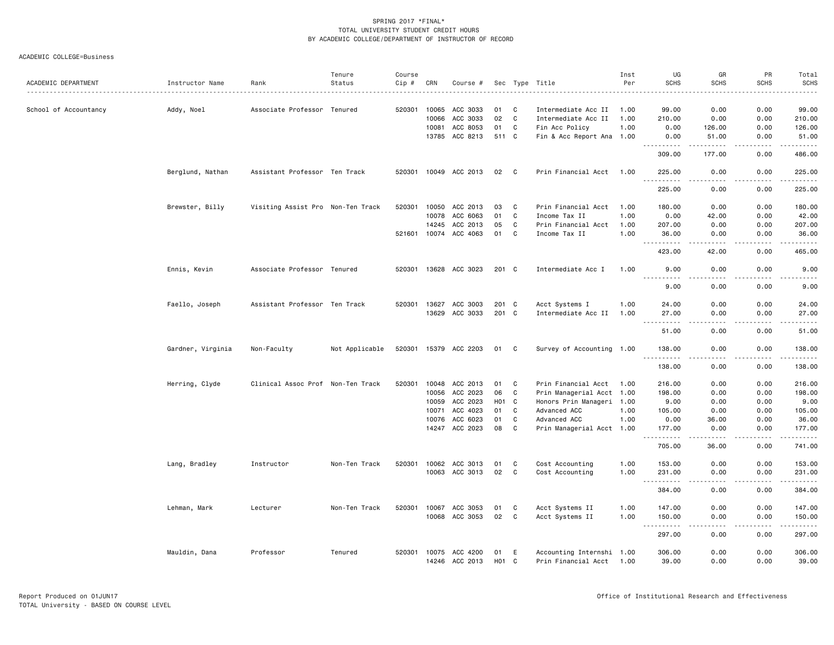|                       |                   |                                   | Tenure         | Course |              |                       |                    |              |                           | Inst | UG                                                                                                                                                                                                                                                                                                                                                                                                          | GR                | PR          | Total                                                                                                                                                                                     |
|-----------------------|-------------------|-----------------------------------|----------------|--------|--------------|-----------------------|--------------------|--------------|---------------------------|------|-------------------------------------------------------------------------------------------------------------------------------------------------------------------------------------------------------------------------------------------------------------------------------------------------------------------------------------------------------------------------------------------------------------|-------------------|-------------|-------------------------------------------------------------------------------------------------------------------------------------------------------------------------------------------|
| ACADEMIC DEPARTMENT   | Instructor Name   | Rank                              | Status         | Cip #  | CRN          | Course #              |                    |              | Sec Type Title            | Per  | <b>SCHS</b>                                                                                                                                                                                                                                                                                                                                                                                                 | <b>SCHS</b>       | <b>SCHS</b> | <b>SCHS</b><br>$\frac{1}{2}$                                                                                                                                                              |
| School of Accountancy | Addy, Noel        | Associate Professor Tenured       |                | 520301 | 10065        | ACC 3033              | 01                 | C            | Intermediate Acc II       | 1.00 | 99.00                                                                                                                                                                                                                                                                                                                                                                                                       | 0.00              | 0.00        | 99.00                                                                                                                                                                                     |
|                       |                   |                                   |                |        | 10066        | ACC 3033              | 02                 | C            | Intermediate Acc II       | 1.00 | 210.00                                                                                                                                                                                                                                                                                                                                                                                                      | 0.00              | 0.00        | 210.00                                                                                                                                                                                    |
|                       |                   |                                   |                |        | 10081        | ACC 8053              | 01                 | C            | Fin Acc Policy            | 1.00 | 0.00                                                                                                                                                                                                                                                                                                                                                                                                        | 126.00            | 0.00        | 126.00                                                                                                                                                                                    |
|                       |                   |                                   |                |        |              | 13785 ACC 8213        | 511 C              |              | Fin & Acc Report Ana 1.00 |      | 0.00<br>.                                                                                                                                                                                                                                                                                                                                                                                                   | 51.00<br>.        | 0.00        | 51.00                                                                                                                                                                                     |
|                       |                   |                                   |                |        |              |                       |                    |              |                           |      | 309.00                                                                                                                                                                                                                                                                                                                                                                                                      | 177.00            | .<br>0.00   | 486.00                                                                                                                                                                                    |
|                       | Berglund, Nathan  | Assistant Professor Ten Track     |                |        |              | 520301 10049 ACC 2013 | 02                 | $\mathbf{C}$ | Prin Financial Acct 1.00  |      | 225.00                                                                                                                                                                                                                                                                                                                                                                                                      | 0.00              | 0.00        | 225.00                                                                                                                                                                                    |
|                       |                   |                                   |                |        |              |                       |                    |              |                           |      | .<br>225.00                                                                                                                                                                                                                                                                                                                                                                                                 | .<br>0.00         | .<br>0.00   | $\frac{1}{2} \left( \frac{1}{2} \right) \left( \frac{1}{2} \right) \left( \frac{1}{2} \right) \left( \frac{1}{2} \right) \left( \frac{1}{2} \right) \left( \frac{1}{2} \right)$<br>225.00 |
|                       | Brewster, Billy   | Visiting Assist Pro Non-Ten Track |                | 520301 | 10050        | ACC 2013              | 03                 | C            | Prin Financial Acct       | 1.00 | 180.00                                                                                                                                                                                                                                                                                                                                                                                                      | 0.00              | 0.00        | 180.00                                                                                                                                                                                    |
|                       |                   |                                   |                |        | 10078        | ACC 6063              | 01                 | C            | Income Tax II             | 1.00 | 0.00                                                                                                                                                                                                                                                                                                                                                                                                        | 42.00             | 0.00        | 42.00                                                                                                                                                                                     |
|                       |                   |                                   |                |        | 14245        | ACC 2013              | 05                 | C            | Prin Financial Acct       | 1.00 | 207.00                                                                                                                                                                                                                                                                                                                                                                                                      | 0.00              | 0.00        | 207.00                                                                                                                                                                                    |
|                       |                   |                                   |                |        | 521601 10074 | ACC 4063              | 01                 | C            | Income Tax II             | 1.00 | 36.00<br><u>.</u>                                                                                                                                                                                                                                                                                                                                                                                           | 0.00<br>$  -$     | 0.00<br>.   | 36.00<br>.                                                                                                                                                                                |
|                       |                   |                                   |                |        |              |                       |                    |              |                           |      | 423.00                                                                                                                                                                                                                                                                                                                                                                                                      | 42.00             | 0.00        | 465.00                                                                                                                                                                                    |
|                       | Ennis, Kevin      | Associate Professor Tenured       |                |        |              | 520301 13628 ACC 3023 | 201 C              |              | Intermediate Acc I        | 1.00 | 9.00                                                                                                                                                                                                                                                                                                                                                                                                        | 0.00              | 0.00        | 9.00                                                                                                                                                                                      |
|                       |                   |                                   |                |        |              |                       |                    |              |                           |      | 9.00                                                                                                                                                                                                                                                                                                                                                                                                        | 0.00              | 0.00        | 9.00                                                                                                                                                                                      |
|                       | Faello, Joseph    | Assistant Professor Ten Track     |                |        |              | 520301 13627 ACC 3003 | 201 C              |              | Acct Systems I            | 1.00 | 24.00                                                                                                                                                                                                                                                                                                                                                                                                       | 0.00              | 0.00        | 24.00                                                                                                                                                                                     |
|                       |                   |                                   |                |        | 13629        | ACC 3033              | 201 C              |              | Intermediate Acc II       | 1.00 | 27.00                                                                                                                                                                                                                                                                                                                                                                                                       | 0.00              | 0.00        | 27.00                                                                                                                                                                                     |
|                       |                   |                                   |                |        |              |                       |                    |              |                           |      | .<br>$- - -$<br>51.00                                                                                                                                                                                                                                                                                                                                                                                       | $- - - -$<br>0.00 | .<br>0.00   | .<br>51.00                                                                                                                                                                                |
|                       | Gardner, Virginia | Non-Faculty                       | Not Applicable |        |              | 520301 15379 ACC 2203 | 01                 | C            | Survey of Accounting 1.00 |      | 138.00<br>.                                                                                                                                                                                                                                                                                                                                                                                                 | 0.00              | 0.00        | 138.00<br>.                                                                                                                                                                               |
|                       |                   |                                   |                |        |              |                       |                    |              |                           |      | 138.00                                                                                                                                                                                                                                                                                                                                                                                                      | 0.00              | 0.00        | 138.00                                                                                                                                                                                    |
|                       | Herring, Clyde    | Clinical Assoc Prof Non-Ten Track |                | 520301 |              | 10048 ACC 2013        | 01                 | C            | Prin Financial Acct 1.00  |      | 216.00                                                                                                                                                                                                                                                                                                                                                                                                      | 0.00              | 0.00        | 216.00                                                                                                                                                                                    |
|                       |                   |                                   |                |        | 10056        | ACC 2023              | 06                 | C            | Prin Managerial Acct 1.00 |      | 198.00                                                                                                                                                                                                                                                                                                                                                                                                      | 0.00              | 0.00        | 198.00                                                                                                                                                                                    |
|                       |                   |                                   |                |        |              | 10059 ACC 2023        | H <sub>0</sub> 1 C |              | Honors Prin Manageri 1.00 |      | 9.00                                                                                                                                                                                                                                                                                                                                                                                                        | 0.00              | 0.00        | 9.00                                                                                                                                                                                      |
|                       |                   |                                   |                |        | 10071        | ACC 4023              | 01                 | C            | Advanced ACC              | 1.00 | 105.00                                                                                                                                                                                                                                                                                                                                                                                                      | 0.00              | 0.00        | 105.00                                                                                                                                                                                    |
|                       |                   |                                   |                |        | 10076        | ACC 6023              | 01                 | C            | Advanced ACC              | 1.00 | 0.00                                                                                                                                                                                                                                                                                                                                                                                                        | 36.00             | 0.00        | 36.00                                                                                                                                                                                     |
|                       |                   |                                   |                |        | 14247        | ACC 2023              | 08                 | C            | Prin Managerial Acct 1.00 |      | 177.00<br>.                                                                                                                                                                                                                                                                                                                                                                                                 | 0.00              | 0.00        | 177.00<br>.                                                                                                                                                                               |
|                       |                   |                                   |                |        |              |                       |                    |              |                           |      | 705.00                                                                                                                                                                                                                                                                                                                                                                                                      | 36.00             | 0.00        | 741.00                                                                                                                                                                                    |
|                       | Lang, Bradley     | Instructor                        | Non-Ten Track  | 520301 |              | 10062 ACC 3013        | 01                 | C            | Cost Accounting           | 1.00 | 153.00                                                                                                                                                                                                                                                                                                                                                                                                      | 0.00              | 0.00        | 153.00                                                                                                                                                                                    |
|                       |                   |                                   |                |        |              | 10063 ACC 3013        | 02                 | C            | Cost Accounting           | 1.00 | 231.00<br>$- - - - - - -$<br>$\sim$ $\sim$ $\sim$                                                                                                                                                                                                                                                                                                                                                           | 0.00<br>$   -$    | 0.00<br>.   | 231.00<br>.                                                                                                                                                                               |
|                       |                   |                                   |                |        |              |                       |                    |              |                           |      | 384.00                                                                                                                                                                                                                                                                                                                                                                                                      | 0.00              | 0.00        | 384.00                                                                                                                                                                                    |
|                       | Lehman, Mark      | Lecturer                          | Non-Ten Track  | 520301 | 10067        | ACC 3053              | 01                 | C            | Acct Systems II           | 1.00 | 147.00                                                                                                                                                                                                                                                                                                                                                                                                      | 0.00              | 0.00        | 147.00                                                                                                                                                                                    |
|                       |                   |                                   |                |        |              | 10068 ACC 3053        | 02                 | C            | Acct Systems II           | 1.00 | 150.00                                                                                                                                                                                                                                                                                                                                                                                                      | 0.00<br>$- - - -$ | 0.00<br>.   | 150.00<br>$\frac{1}{2} \left( \frac{1}{2} \right) \left( \frac{1}{2} \right) \left( \frac{1}{2} \right) \left( \frac{1}{2} \right) \left( \frac{1}{2} \right)$                            |
|                       |                   |                                   |                |        |              |                       |                    |              |                           |      | $\frac{1}{2} \frac{1}{2} \frac{1}{2} \frac{1}{2} \frac{1}{2} \frac{1}{2} \frac{1}{2} \frac{1}{2} \frac{1}{2} \frac{1}{2} \frac{1}{2} \frac{1}{2} \frac{1}{2} \frac{1}{2} \frac{1}{2} \frac{1}{2} \frac{1}{2} \frac{1}{2} \frac{1}{2} \frac{1}{2} \frac{1}{2} \frac{1}{2} \frac{1}{2} \frac{1}{2} \frac{1}{2} \frac{1}{2} \frac{1}{2} \frac{1}{2} \frac{1}{2} \frac{1}{2} \frac{1}{2} \frac{$<br>.<br>297.00 | 0.00              | 0.00        | 297.00                                                                                                                                                                                    |
|                       | Mauldin, Dana     | Professor                         | Tenured        |        | 520301 10075 | ACC 4200              | 01                 | E            | Accounting Internshi 1.00 |      | 306.00                                                                                                                                                                                                                                                                                                                                                                                                      | 0.00              | 0.00        | 306.00                                                                                                                                                                                    |
|                       |                   |                                   |                |        |              | 14246 ACC 2013        | H <sub>01</sub> C  |              | Prin Financial Acct 1.00  |      | 39.00                                                                                                                                                                                                                                                                                                                                                                                                       | 0.00              | 0.00        | 39.00                                                                                                                                                                                     |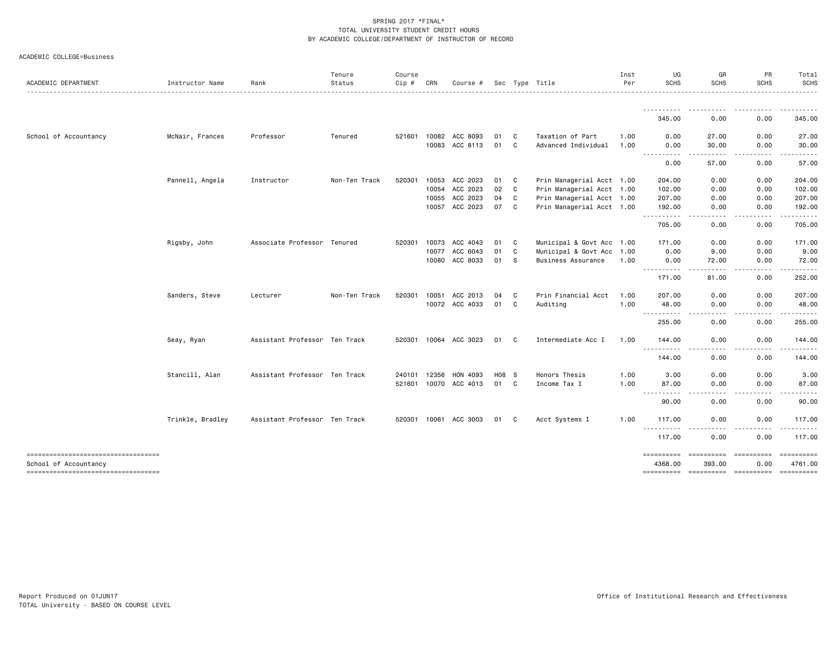|  | ACADEMIC COLLEGE=Business |
|--|---------------------------|
|--|---------------------------|

| ACADEMIC DEPARTMENT                                          | Instructor Name  | Rank                          | Tenure<br>Status | Course<br>Cip # | CRN   | Course #                   |          |              | Sec Type Title                          | Inst<br>Per  | UG<br><b>SCHS</b>                                                                                                                  | GR<br><b>SCHS</b>     | PR<br><b>SCHS</b>    | Total<br>SCHS         |
|--------------------------------------------------------------|------------------|-------------------------------|------------------|-----------------|-------|----------------------------|----------|--------------|-----------------------------------------|--------------|------------------------------------------------------------------------------------------------------------------------------------|-----------------------|----------------------|-----------------------|
|                                                              |                  |                               |                  |                 |       |                            |          |              |                                         |              | <u>.</u><br>345.00                                                                                                                 | 0.00                  | .<br>0.00            | .<br>345.00           |
|                                                              |                  |                               |                  |                 |       |                            |          |              |                                         |              |                                                                                                                                    |                       |                      |                       |
| School of Accountancy                                        | McNair, Frances  | Professor                     | Tenured          | 521601          | 10082 | ACC 8093<br>10083 ACC 8113 | 01<br>01 | C<br>C       | Taxation of Part<br>Advanced Individual | 1.00<br>1.00 | 0.00<br>0.00                                                                                                                       | 27.00<br>30.00        | 0.00<br>0.00         | 27.00<br>30.00        |
|                                                              |                  |                               |                  |                 |       |                            |          |              |                                         |              | $\frac{1}{2} \left( \frac{1}{2} \right) \left( \frac{1}{2} \right) \left( \frac{1}{2} \right) \left( \frac{1}{2} \right)$<br>.     |                       |                      |                       |
|                                                              |                  |                               |                  |                 |       |                            |          |              |                                         |              | 0.00                                                                                                                               | 57.00                 | 0.00                 | 57.00                 |
|                                                              | Pannell, Angela  | Instructor                    | Non-Ten Track    | 520301          |       | 10053 ACC 2023             | 01 C     |              | Prin Managerial Acct 1.00               |              | 204.00                                                                                                                             | 0.00                  | 0.00                 | 204.00                |
|                                                              |                  |                               |                  |                 | 10054 | ACC 2023                   | 02       | C)           | Prin Managerial Acct 1.00               |              | 102.00                                                                                                                             | 0.00                  | 0.00                 | 102.00                |
|                                                              |                  |                               |                  |                 | 10055 | ACC 2023                   | 04       | C            | Prin Managerial Acct 1.00               |              | 207.00                                                                                                                             | 0.00                  | 0.00                 | 207.00                |
|                                                              |                  |                               |                  |                 |       | 10057 ACC 2023             | 07 C     |              | Prin Managerial Acct 1.00               |              | 192.00                                                                                                                             | 0.00                  | 0.00                 | 192.00                |
|                                                              |                  |                               |                  |                 |       |                            |          |              |                                         |              | ----------<br>705.00                                                                                                               | .<br>0.00             | -----<br>0.00        | ------<br>705.00      |
|                                                              | Rigsby, John     | Associate Professor Tenured   |                  | 520301          |       | 10073 ACC 4043             | 01       | $\mathbf{C}$ | Municipal & Govt Acc 1.00               |              | 171.00                                                                                                                             | 0.00                  | 0.00                 | 171.00                |
|                                                              |                  |                               |                  |                 |       | 10077 ACC 6043             | 01       | C            | Municipal & Govt Acc 1.00               |              | 0.00                                                                                                                               | 9.00                  | 0.00                 | 9.00                  |
|                                                              |                  |                               |                  |                 |       | 10080 ACC 8033             | 01 S     |              | Business Assurance                      | 1.00         | 0.00                                                                                                                               | 72.00                 | 0.00                 | 72.00                 |
|                                                              |                  |                               |                  |                 |       |                            |          |              |                                         |              | <u>.</u><br>171.00                                                                                                                 | 81.00                 | 0.00                 | 252.00                |
|                                                              | Sanders, Steve   | Lecturer                      | Non-Ten Track    | 520301          | 10051 | ACC 2013                   | 04       | C            | Prin Financial Acct                     | 1.00         | 207.00                                                                                                                             | 0.00                  | 0.00                 | 207.00                |
|                                                              |                  |                               |                  |                 |       | 10072 ACC 4033             | 01       | C            | Auditing                                | 1.00         | 48.00                                                                                                                              | 0.00                  | 0.00                 | 48.00                 |
|                                                              |                  |                               |                  |                 |       |                            |          |              |                                         |              | .<br>255.00                                                                                                                        | 0.00                  | 0.00                 | 255.00                |
|                                                              | Seay, Ryan       | Assistant Professor Ten Track |                  |                 |       | 520301 10064 ACC 3023      | 01 C     |              | Intermediate Acc I                      | 1.00         | 144.00                                                                                                                             | 0.00                  | 0.00                 | 144.00                |
|                                                              |                  |                               |                  |                 |       |                            |          |              |                                         |              | .<br>144.00                                                                                                                        | . <b>.</b><br>0.00    | . <u>.</u> .<br>0.00 | 144.00                |
|                                                              | Stancill, Alan   | Assistant Professor Ten Track |                  | 240101          | 12356 | HON 4093                   | H08 S    |              | Honors Thesis                           | 1.00         | 3.00                                                                                                                               | 0.00                  | 0.00                 | 3.00                  |
|                                                              |                  |                               |                  |                 |       | 521601 10070 ACC 4013      | 01 C     |              | Income Tax I                            | 1.00         | 87.00                                                                                                                              | 0.00                  | 0.00                 | 87.00                 |
|                                                              |                  |                               |                  |                 |       |                            |          |              |                                         |              | $\frac{1}{2} \left( \frac{1}{2} \right) \left( \frac{1}{2} \right) \left( \frac{1}{2} \right) \left( \frac{1}{2} \right)$<br>90.00 | 0.00                  | 0.00                 | 90.00                 |
|                                                              | Trinkle, Bradley | Assistant Professor Ten Track |                  |                 |       | 520301 10061 ACC 3003      | 01       | C.           | Acct Systems I                          | 1.00         | 117.00                                                                                                                             | 0.00                  | 0.00                 | 117.00                |
|                                                              |                  |                               |                  |                 |       |                            |          |              |                                         |              | <u>.</u><br>117.00                                                                                                                 | 0.00                  | .<br>0.00            | .<br>117.00           |
| -----------------------------------<br>School of Accountancy |                  |                               |                  |                 |       |                            |          |              |                                         |              | 4368.00                                                                                                                            | ==========<br>393,00  | 0.00                 | ==========<br>4761.00 |
| ----------------------------------                           |                  |                               |                  |                 |       |                            |          |              |                                         |              | ==========                                                                                                                         | ----------- --------- |                      | - ==========          |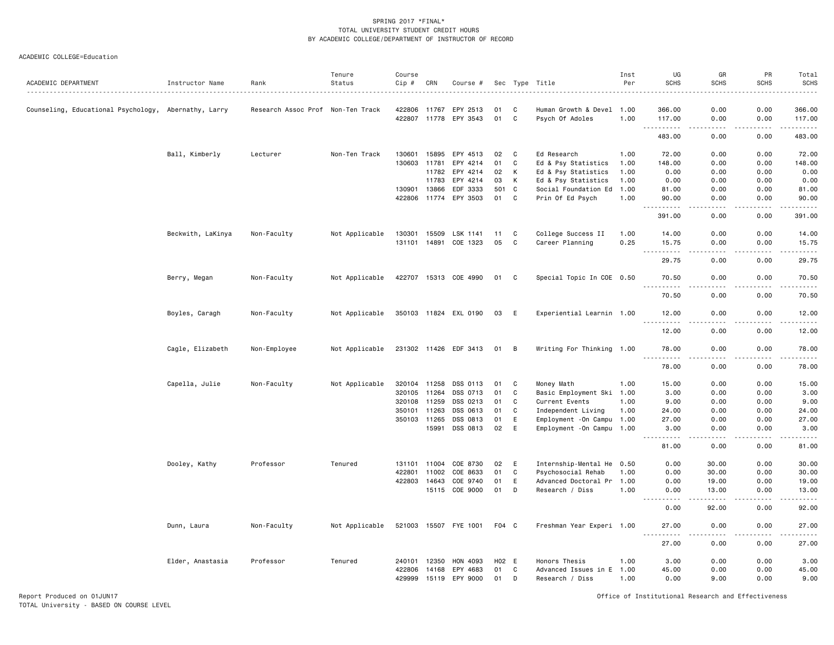#### ACADEMIC COLLEGE=Education

| ACADEMIC DEPARTMENT                                  | Instructor Name   | Rank                | Tenure<br>Status | Course<br>Cip # | CRN   | Course #              |       |             | Sec Type Title             | Inst<br>Per | UG<br><b>SCHS</b>                                                                                                                                                      | GR<br>SCHS            | PR<br><b>SCHS</b>            | Total<br><b>SCHS</b><br>. |
|------------------------------------------------------|-------------------|---------------------|------------------|-----------------|-------|-----------------------|-------|-------------|----------------------------|-------------|------------------------------------------------------------------------------------------------------------------------------------------------------------------------|-----------------------|------------------------------|---------------------------|
| Counseling, Educational Psychology, Abernathy, Larry |                   | Research Assoc Prof | Non-Ten Track    | 422806          | 11767 | EPY 2513              | 01    | C           | Human Growth & Devel 1.00  |             | 366.00                                                                                                                                                                 | 0.00                  | 0.00                         | 366.00                    |
|                                                      |                   |                     |                  | 422807          | 11778 | EPY 3543              | 01    | C           | Psych Of Adoles            | 1.00        | 117.00                                                                                                                                                                 | 0.00                  | 0.00                         | 117.00                    |
|                                                      |                   |                     |                  |                 |       |                       |       |             |                            |             | 483.00                                                                                                                                                                 | 0.00                  | 0.00                         | .<br>483.00               |
|                                                      | Ball, Kimberly    | Lecturer            | Non-Ten Track    | 130601          | 15895 | EPY 4513              | 02    | C           | Ed Research                | 1.00        | 72.00                                                                                                                                                                  | 0.00                  | 0.00                         | 72.00                     |
|                                                      |                   |                     |                  | 130603          | 11781 | EPY 4214              | 01    | C           | Ed & Psy Statistics        | 1.00        | 148.00                                                                                                                                                                 | 0.00                  | 0.00                         | 148.00                    |
|                                                      |                   |                     |                  |                 | 11782 | EPY 4214              | 02    | К           | Ed & Psy Statistics        | 1.00        | 0.00                                                                                                                                                                   | 0.00                  | 0.00                         | 0.00                      |
|                                                      |                   |                     |                  |                 | 11783 | EPY 4214              | 03    | К           | Ed & Psy Statistics        | 1.00        | 0.00                                                                                                                                                                   | 0.00                  | 0.00                         | 0.00                      |
|                                                      |                   |                     |                  | 130901          | 13866 | EDF 3333              | 501   | C           | Social Foundation Ed       | 1.00        | 81.00                                                                                                                                                                  | 0.00                  | 0.00                         | 81.00                     |
|                                                      |                   |                     |                  | 422806          | 11774 | EPY 3503              | 01    | C           | Prin Of Ed Psych           | 1.00        | 90.00<br>$\sim$ $\sim$ $\sim$                                                                                                                                          | 0.00                  | 0.00                         | 90.00<br>وبالمسامين       |
|                                                      |                   |                     |                  |                 |       |                       |       |             |                            |             | 391.00                                                                                                                                                                 | 0.00                  | 0.00                         | 391.00                    |
|                                                      | Beckwith, LaKinya | Non-Faculty         | Not Applicable   | 130301          | 15509 | LSK 1141              | 11    | C           | College Success II         | 1.00        | 14.00                                                                                                                                                                  | 0.00                  | 0.00                         | 14.00                     |
|                                                      |                   |                     |                  | 131101          | 14891 | COE 1323              | 05    | $\mathbf c$ | Career Planning            | 0.25        | 15.75<br>$\frac{1}{2} \left( \frac{1}{2} \right) \left( \frac{1}{2} \right) \left( \frac{1}{2} \right) \left( \frac{1}{2} \right) \left( \frac{1}{2} \right)$<br>$  -$ | 0.00<br>.             | 0.00<br>$\sim$ $\sim$ $\sim$ | 15.75<br>د د د د د        |
|                                                      |                   |                     |                  |                 |       |                       |       |             |                            |             | 29.75                                                                                                                                                                  | 0.00                  | 0.00                         | 29.75                     |
|                                                      | Berry, Megan      | Non-Faculty         | Not Applicable   |                 |       | 422707 15313 COE 4990 | 01 C  |             | Special Topic In COE 0.50  |             | 70.50<br>.                                                                                                                                                             | 0.00<br>$\frac{1}{2}$ | 0.00<br>.                    | 70.50<br>.                |
|                                                      |                   |                     |                  |                 |       |                       |       |             |                            |             | 70.50                                                                                                                                                                  | 0.00                  | 0.00                         | 70.50                     |
| Boyles, Caragh                                       |                   | Non-Faculty         | Not Applicable   |                 |       | 350103 11824 EXL 0190 | 03    | E           | Experiential Learnin 1.00  |             | 12.00                                                                                                                                                                  | 0.00                  | 0.00                         | 12.00                     |
|                                                      |                   |                     |                  |                 |       |                       |       |             |                            |             | 1.1.1.1.1<br>12.00                                                                                                                                                     | .<br>0.00             | .<br>0.00                    | .<br>12.00                |
|                                                      | Cagle, Elizabeth  | Non-Employee        | Not Applicable   |                 |       | 231302 11426 EDF 3413 | 01    | B           | Writing For Thinking 1.00  |             | 78.00                                                                                                                                                                  | 0.00                  | 0.00                         | 78.00                     |
|                                                      |                   |                     |                  |                 |       |                       |       |             |                            |             | -----<br>78.00                                                                                                                                                         | $- - - -$<br>0.00     | .<br>0.00                    | .<br>78.00                |
|                                                      | Capella, Julie    | Non-Faculty         | Not Applicable   | 320104          | 11258 | DSS 0113              | 01    | C           | Money Math                 | 1.00        | 15.00                                                                                                                                                                  | 0.00                  | 0.00                         | 15.00                     |
|                                                      |                   |                     |                  | 320105          | 11264 | DSS 0713              | 01    | $\mathbf c$ | Basic Employment Ski 1.00  |             | 3.00                                                                                                                                                                   | 0.00                  | 0.00                         | 3.00                      |
|                                                      |                   |                     |                  | 320108          | 11259 | DSS 0213              | 01    | C           | Current Events             | 1.00        | 9.00                                                                                                                                                                   | 0.00                  | 0.00                         | 9.00                      |
|                                                      |                   |                     |                  | 350101          | 11263 | DSS 0613              | 01    | C           | Independent Living         | 1.00        | 24.00                                                                                                                                                                  | 0.00                  | 0.00                         | 24.00                     |
|                                                      |                   |                     |                  | 350103          | 11265 | DSS 0813              | 01    | Ε           | Employment - On Campu 1.00 |             | 27.00                                                                                                                                                                  | 0.00                  | 0.00                         | 27.00                     |
|                                                      |                   |                     |                  |                 | 15991 | DSS 0813              | 02    | $\mathsf E$ | Employment - On Campu 1.00 |             | 3.00                                                                                                                                                                   | 0.00<br>$- - - -$     | 0.00                         | 3.00<br>$- - - - -$       |
|                                                      |                   |                     |                  |                 |       |                       |       |             |                            |             | -----<br>81.00                                                                                                                                                         | 0.00                  | $\frac{1}{2}$<br>0.00        | 81.00                     |
|                                                      | Dooley, Kathy     | Professor           | Tenured          | 131101          | 11004 | COE 8730              | 02    | E           | Internship-Mental He 0.50  |             | 0.00                                                                                                                                                                   | 30.00                 | 0.00                         | 30.00                     |
|                                                      |                   |                     |                  | 422801          | 11002 | COE 8633              | 01    | C           | Psychosocial Rehab         | 1.00        | 0.00                                                                                                                                                                   | 30.00                 | 0.00                         | 30.00                     |
|                                                      |                   |                     |                  | 422803          | 14643 | COE 9740              | 01    | E           | Advanced Doctoral Pr       | 1.00        | 0.00                                                                                                                                                                   | 19.00                 | 0.00                         | 19.00                     |
|                                                      |                   |                     |                  |                 |       | 15115 COE 9000        | 01    | D           | Research / Diss            | 1.00        | 0.00<br>$\frac{1}{2} \left( \frac{1}{2} \right) \left( \frac{1}{2} \right) \left( \frac{1}{2} \right) \left( \frac{1}{2} \right) \left( \frac{1}{2} \right)$           | 13.00<br>-----        | 0.00<br>د د د د              | 13.00<br>.                |
|                                                      |                   |                     |                  |                 |       |                       |       |             |                            |             | 0.00                                                                                                                                                                   | 92.00                 | 0.00                         | 92.00                     |
|                                                      | Dunn, Laura       | Non-Faculty         | Not Applicable   |                 |       | 521003 15507 FYE 1001 | F04 C |             | Freshman Year Experi 1.00  |             | 27.00                                                                                                                                                                  | 0.00                  | 0.00                         | 27.00<br>.                |
|                                                      |                   |                     |                  |                 |       |                       |       |             |                            |             | 27.00                                                                                                                                                                  | 0.00                  | 0.00                         | 27.00                     |
|                                                      | Elder, Anastasia  | Professor           | Tenured          | 240101          | 12350 | HON 4093              | H02 E |             | Honors Thesis              | 1.00        | 3.00                                                                                                                                                                   | 0.00                  | 0.00                         | 3.00                      |
|                                                      |                   |                     |                  | 422806          | 14168 | EPY 4683              | 01    | C           | Advanced Issues in E       | 1.00        | 45.00                                                                                                                                                                  | 0.00                  | 0.00                         | 45.00                     |
|                                                      |                   |                     |                  | 429999          | 15119 | EPY 9000              | 01    | D           | Research / Diss            | 1.00        | 0.00                                                                                                                                                                   | 9.00                  | 0.00                         | 9.00                      |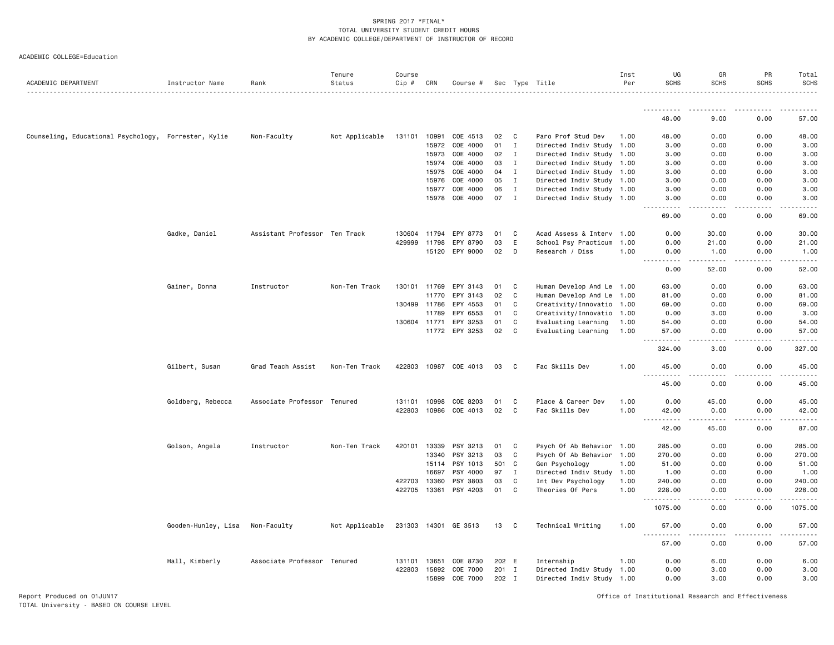|                                                      |                     |                               | Tenure         | Course       |              |                       |       |              |                           | Inst | UG                | GR                    | PR                  | Total            |
|------------------------------------------------------|---------------------|-------------------------------|----------------|--------------|--------------|-----------------------|-------|--------------|---------------------------|------|-------------------|-----------------------|---------------------|------------------|
| ACADEMIC DEPARTMENT                                  | Instructor Name     | Rank                          | Status         | Cip #        | CRN          | Course #              |       |              | Sec Type Title            | Per  | <b>SCHS</b>       | <b>SCHS</b>           | <b>SCHS</b>         | <b>SCHS</b>      |
|                                                      |                     |                               |                |              |              |                       |       |              |                           |      | .                 |                       |                     |                  |
|                                                      |                     |                               |                |              |              |                       |       |              |                           |      | 48.00             | 9.00                  | 0.00                | 57.00            |
| Counseling, Educational Psychology, Forrester, Kylie |                     | Non-Faculty                   | Not Applicable | 131101       | 10991        | COE 4513              | 02    | C            | Paro Prof Stud Dev        | 1.00 | 48.00             | 0.00                  | 0.00                | 48.00            |
|                                                      |                     |                               |                |              | 15972        | COE 4000              | 01    | $\mathbf I$  | Directed Indiv Study 1.00 |      | 3,00              | 0.00                  | 0.00                | 3.00             |
|                                                      |                     |                               |                |              | 15973        | COE 4000              | 02    | $\mathbf I$  | Directed Indiv Study 1.00 |      | 3.00              | 0.00                  | 0.00                | 3.00             |
|                                                      |                     |                               |                |              | 15974        | COE 4000              | 03    | $\mathbf{I}$ | Directed Indiv Study 1.00 |      | 3.00              | 0.00                  | 0.00                | 3.00             |
|                                                      |                     |                               |                |              | 15975        | COE 4000              | 04    | $\mathbf{I}$ | Directed Indiv Study 1.00 |      | 3.00              | 0.00                  | 0.00                | 3.00             |
|                                                      |                     |                               |                |              | 15976        | COE 4000              | 05    | I            | Directed Indiv Study 1.00 |      | 3.00              | 0.00                  | 0.00                | 3.00             |
|                                                      |                     |                               |                |              | 15977        | COE 4000              | 06    | $\mathbf I$  | Directed Indiv Study 1.00 |      | 3.00              | 0.00                  | 0.00                | 3.00             |
|                                                      |                     |                               |                |              | 15978        | COE 4000              | 07    | $\mathbf{I}$ | Directed Indiv Study 1.00 |      | 3.00              | 0.00                  | 0.00                | 3.00             |
|                                                      |                     |                               |                |              |              |                       |       |              |                           |      | .<br>69.00        | $\frac{1}{2}$<br>0.00 | .<br>0.00           | .<br>69.00       |
|                                                      | Gadke, Daniel       | Assistant Professor Ten Track |                |              | 130604 11794 | EPY 8773              | 01    | C            | Acad Assess & Interv 1.00 |      | 0.00              | 30.00                 | 0.00                | 30.00            |
|                                                      |                     |                               |                | 429999       | 11798        | EPY 8790              | 03    | E            | School Psy Practicum 1.00 |      | 0.00              | 21.00                 | 0.00                | 21.00            |
|                                                      |                     |                               |                |              |              | 15120 EPY 9000        | 02    | D            | Research / Diss           | 1.00 | 0.00<br>.         | 1.00<br>.             | 0.00<br>$- - - - -$ | 1.00<br><u>.</u> |
|                                                      |                     |                               |                |              |              |                       |       |              |                           |      | 0.00              | 52.00                 | 0.00                | 52.00            |
|                                                      | Gainer, Donna       | Instructor                    | Non-Ten Track  |              | 130101 11769 | EPY 3143              | 01    | C            | Human Develop And Le 1.00 |      | 63.00             | 0.00                  | 0.00                | 63.00            |
|                                                      |                     |                               |                |              | 11770        | EPY 3143              | 02    | C            | Human Develop And Le      | 1.00 | 81.00             | 0.00                  | 0.00                | 81.00            |
|                                                      |                     |                               |                |              | 130499 11786 | EPY 4553              | 01    | C            | Creativity/Innovatio 1.00 |      | 69.00             | 0.00                  | 0.00                | 69.00            |
|                                                      |                     |                               |                |              | 11789        | EPY 6553              | 01    | C            | Creativity/Innovatio 1.00 |      | 0.00              | 3.00                  | 0.00                | 3.00             |
|                                                      |                     |                               |                |              | 130604 11771 | EPY 3253              | 01    | C            | Evaluating Learning       | 1.00 | 54.00             | 0.00                  | 0.00                | 54.00            |
|                                                      |                     |                               |                |              |              | 11772 EPY 3253        | 02    | C            | Evaluating Learning       | 1.00 | 57.00             | 0.00                  | 0.00                | 57.00            |
|                                                      |                     |                               |                |              |              |                       |       |              |                           |      | -----<br>324.00   | 3.00                  | 0.00                | 327.00           |
|                                                      | Gilbert, Susan      | Grad Teach Assist             | Non-Ten Track  | 422803       |              | 10987 COE 4013        | 03    | C            | Fac Skills Dev            | 1.00 | 45.00             | 0.00                  | 0.00                | 45.00            |
|                                                      |                     |                               |                |              |              |                       |       |              |                           |      | -----<br>45.00    | 0.00                  | 0.00                | 45.00            |
|                                                      | Goldberg, Rebecca   | Associate Professor Tenured   |                | 131101       | 10998        | COE 8203              | 01    | C            | Place & Career Dev        | 1.00 | 0.00              | 45.00                 | 0.00                | 45.00            |
|                                                      |                     |                               |                | 422803       | 10986        | COE 4013              | 02    | $\mathbb{C}$ | Fac Skills Dev            | 1.00 | 42.00             | 0.00                  | 0.00                | 42.00            |
|                                                      |                     |                               |                |              |              |                       |       |              |                           |      | .                 | .                     | .                   | .                |
|                                                      |                     |                               |                |              |              |                       |       |              |                           |      | 42.00             | 45.00                 | 0.00                | 87.00            |
|                                                      | Golson, Angela      | Instructor                    | Non-Ten Track  | 420101       | 13339        | PSY 3213              | 01    | C            | Psych Of Ab Behavior 1.00 |      | 285.00            | 0.00                  | 0.00                | 285.00           |
|                                                      |                     |                               |                |              | 13340        | PSY 3213              | 03    | C            | Psych Of Ab Behavior 1.00 |      | 270.00            | 0.00                  | 0.00                | 270.00           |
|                                                      |                     |                               |                |              | 15114        | PSY 1013              | 501   | C            | Gen Psychology            | 1.00 | 51.00             | 0.00                  | 0.00                | 51.00            |
|                                                      |                     |                               |                |              | 16697        | PSY 4000              | 97    | I            | Directed Indiv Study 1.00 |      | 1.00              | 0.00                  | 0.00                | 1.00             |
|                                                      |                     |                               |                | 422703       | 13360        | PSY 3803              | 03    | C            | Int Dev Psychology        | 1.00 | 240.00            | 0.00                  | 0.00                | 240.00           |
|                                                      |                     |                               |                |              |              | 422705 13361 PSY 4203 | 01    | C            | Theories Of Pers          | 1.00 | 228.00<br>.       | 0.00                  | 0.00                | 228.00<br>.      |
|                                                      |                     |                               |                |              |              |                       |       |              |                           |      | 1075.00           | 0.00                  | 0.00                | 1075.00          |
|                                                      | Gooden-Hunley, Lisa | Non-Faculty                   | Not Applicable |              |              | 231303 14301 GE 3513  | 13    | $\mathbf{C}$ | Technical Writing         | 1.00 | 57.00<br><u>.</u> | 0.00                  | 0.00                | 57.00            |
|                                                      |                     |                               |                |              |              |                       |       |              |                           |      | 57.00             | 0.00                  | 0.00                | 57.00            |
|                                                      | Hall, Kimberly      | Associate Professor Tenured   |                | 131101 13651 |              | COE 8730              | 202 E |              | Internship                | 1.00 | 0.00              | 6.00                  | 0.00                | 6.00             |
|                                                      |                     |                               |                |              | 422803 15892 | COE 7000              | 201 I |              | Directed Indiv Study 1.00 |      | 0.00              | 3.00                  | 0.00                | 3.00             |
|                                                      |                     |                               |                |              | 15899        | COE 7000              | 202 I |              | Directed Indiv Study 1.00 |      | 0.00              | 3.00                  | 0.00                | 3.00             |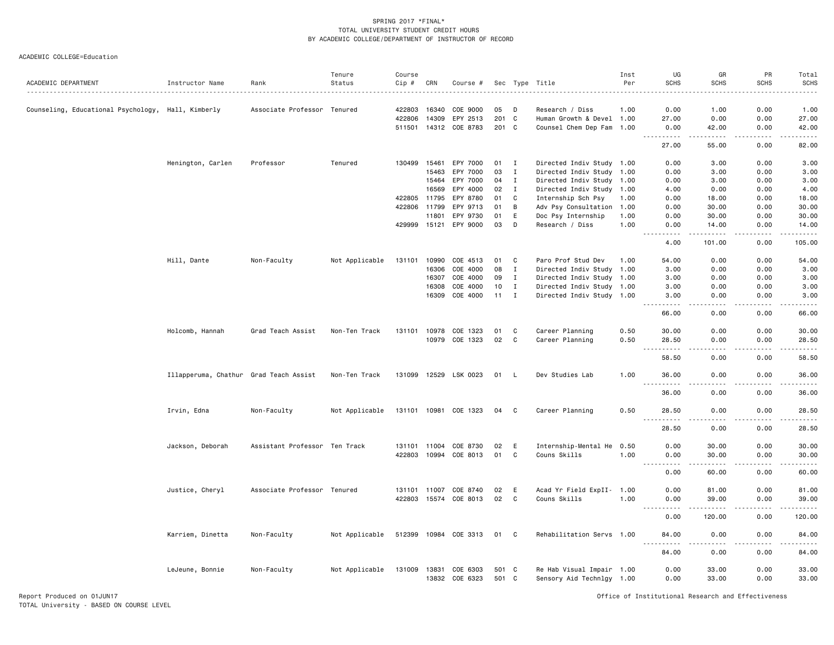|                                                    |                                        |                               | Tenure         | Course       |       |                            |                |              |                           | Inst | UG                                                                                                         | GR                    | PR              | Total            |
|----------------------------------------------------|----------------------------------------|-------------------------------|----------------|--------------|-------|----------------------------|----------------|--------------|---------------------------|------|------------------------------------------------------------------------------------------------------------|-----------------------|-----------------|------------------|
| ACADEMIC DEPARTMENT                                | Instructor Name                        | Rank                          | Status         | $Cip$ #      | CRN   | Course #                   |                |              | Sec Type Title            | Per  | <b>SCHS</b>                                                                                                | <b>SCHS</b>           | <b>SCHS</b>     | <b>SCHS</b>      |
|                                                    |                                        |                               |                |              |       |                            |                |              |                           |      |                                                                                                            |                       |                 |                  |
| Counseling, Educational Psychology, Hall, Kimberly |                                        | Associate Professor Tenured   |                | 422803       | 16340 | COE 9000                   | 05             | D            | Research / Diss           | 1.00 | 0.00                                                                                                       | 1.00                  | 0.00            | 1.00             |
|                                                    |                                        |                               |                | 422806       | 14309 | EPY 2513                   | 201 C          |              | Human Growth & Devel 1.00 |      | 27.00                                                                                                      | 0.00                  | 0.00            | 27.00            |
|                                                    |                                        |                               |                |              |       | 511501 14312 COE 8783      | 201 C          |              | Counsel Chem Dep Fam 1.00 |      | 0.00<br>$\frac{1}{2}$                                                                                      | 42.00<br>$- - - - -$  | 0.00<br>.       | 42.00<br>$    -$ |
|                                                    |                                        |                               |                |              |       |                            |                |              |                           |      | 27.00                                                                                                      | 55.00                 | 0.00            | 82.00            |
|                                                    | Henington, Carlen                      | Professor                     | Tenured        | 130499       | 15461 | EPY 7000                   | 01             | $\mathbf{I}$ | Directed Indiv Study 1.00 |      | 0.00                                                                                                       | 3.00                  | 0.00            | 3.00             |
|                                                    |                                        |                               |                |              | 15463 | EPY 7000                   | 03             | $\mathbf I$  | Directed Indiv Study 1.00 |      | 0.00                                                                                                       | 3.00                  | 0.00            | 3.00             |
|                                                    |                                        |                               |                |              | 15464 | EPY 7000                   | 04             | $\mathbf{I}$ | Directed Indiv Study 1.00 |      | 0.00                                                                                                       | 3.00                  | 0.00            | 3.00             |
|                                                    |                                        |                               |                |              | 16569 | EPY 4000                   | 02             | $\mathbf{I}$ | Directed Indiv Study 1.00 |      | 4.00                                                                                                       | 0.00                  | 0.00            | 4.00             |
|                                                    |                                        |                               |                | 422805       | 11795 | EPY 8780                   | 01             | C            | Internship Sch Psy        | 1.00 | 0.00                                                                                                       | 18.00                 | 0.00            | 18.00            |
|                                                    |                                        |                               |                | 422806       | 11799 | EPY 9713                   | 01             | B            | Adv Psy Consultation 1.00 |      | 0.00                                                                                                       | 30.00                 | 0.00            | 30.00            |
|                                                    |                                        |                               |                |              | 11801 | EPY 9730                   | 01             | E            | Doc Psy Internship        | 1.00 | 0.00                                                                                                       | 30.00                 | 0.00            | 30.00            |
|                                                    |                                        |                               |                | 429999       | 15121 | EPY 9000                   | 03             | D            | Research / Diss           | 1.00 | 0.00                                                                                                       | 14.00                 | 0.00            | 14.00            |
|                                                    |                                        |                               |                |              |       |                            |                |              |                           |      | .<br>$- - -$                                                                                               | .                     | .               | .                |
|                                                    |                                        |                               |                |              |       |                            |                |              |                           |      | 4.00                                                                                                       | 101.00                | 0.00            | 105.00           |
|                                                    | Hill, Dante                            | Non-Faculty                   | Not Applicable | 131101       | 10990 | COE 4513                   | 01             | C            | Paro Prof Stud Dev        | 1.00 | 54.00                                                                                                      | 0.00                  | 0.00            | 54.00            |
|                                                    |                                        |                               |                |              | 16306 | COE 4000                   | 08             | $\mathbf I$  | Directed Indiv Study 1.00 |      | 3.00                                                                                                       | 0.00                  | 0.00            | 3.00             |
|                                                    |                                        |                               |                |              | 16307 | COE 4000                   | 09             | I            | Directed Indiv Study 1.00 |      | 3.00                                                                                                       | 0.00                  | 0.00            | 3.00             |
|                                                    |                                        |                               |                |              | 16308 | COE 4000                   | 10             | I            | Directed Indiv Study 1.00 |      | 3.00                                                                                                       | 0.00                  | 0.00            | 3.00             |
|                                                    |                                        |                               |                |              | 16309 | COE 4000                   | 11             | $\mathbf{I}$ | Directed Indiv Study 1.00 |      | 3.00                                                                                                       | 0.00                  | 0.00            | 3.00             |
|                                                    |                                        |                               |                |              |       |                            |                |              |                           |      | 66.00                                                                                                      | 0.00                  | 0.00            | -----<br>66.00   |
|                                                    | Holcomb, Hannah                        | Grad Teach Assist             | Non-Ten Track  | 131101       | 10978 | COE 1323                   | 01             | C            | Career Planning           | 0.50 | 30.00                                                                                                      | 0.00                  | 0.00            | 30.00            |
|                                                    |                                        |                               |                |              | 10979 | COE 1323                   | 02             | C            | Career Planning           | 0.50 | 28.50                                                                                                      | 0.00                  | 0.00            | 28.50            |
|                                                    |                                        |                               |                |              |       |                            |                |              |                           |      |                                                                                                            |                       |                 | المتمام          |
|                                                    |                                        |                               |                |              |       |                            |                |              |                           |      | 58.50                                                                                                      | 0.00                  | 0.00            | 58.50            |
|                                                    | Illapperuma, Chathur Grad Teach Assist |                               | Non-Ten Track  |              |       | 131099 12529 LSK 0023      | 01 L           |              | Dev Studies Lab           | 1.00 | 36.00<br>$\sim$ $\sim$ $\sim$<br>.                                                                         | 0.00<br>$\frac{1}{2}$ | 0.00<br>.       | 36.00<br>.       |
|                                                    |                                        |                               |                |              |       |                            |                |              |                           |      | 36.00                                                                                                      | 0.00                  | 0.00            | 36.00            |
|                                                    | Irvin, Edna                            | Non-Faculty                   | Not Applicable | 131101 10981 |       | COE 1323                   | 04             | C.           | Career Planning           | 0.50 | 28.50<br>.                                                                                                 | 0.00<br>.             | 0.00<br>د د د د | 28.50<br>.       |
|                                                    |                                        |                               |                |              |       |                            |                |              |                           |      | 28.50                                                                                                      | 0.00                  | 0.00            | 28.50            |
|                                                    | Jackson, Deborah                       | Assistant Professor Ten Track |                | 131101       | 11004 | COE 8730                   | 02             | Ε            | Internship-Mental He      | 0.50 | 0.00                                                                                                       | 30.00                 | 0.00            | 30.00            |
|                                                    |                                        |                               |                | 422803       | 10994 | COE 8013                   | 01             | $\mathbf C$  | Couns Skills              | 1.00 | 0.00                                                                                                       | 30.00                 | 0.00            | 30.00            |
|                                                    |                                        |                               |                |              |       |                            |                |              |                           |      | $\frac{1}{2} \left( \frac{1}{2} \right) \left( \frac{1}{2} \right) \left( \frac{1}{2} \right)$<br><u>.</u> |                       |                 | وبالمستريث       |
|                                                    |                                        |                               |                |              |       |                            |                |              |                           |      | 0.00                                                                                                       | 60.00                 | 0.00            | 60.00            |
|                                                    | Justice, Cheryl                        | Associate Professor Tenured   |                | 131101 11007 |       | COE 8740                   | 02             | E            | Acad Yr Field ExpII- 1.00 |      | 0.00                                                                                                       | 81.00                 | 0.00            | 81.00            |
|                                                    |                                        |                               |                |              |       | 422803 15574 COE 8013      | 02             | C            | Couns Skills              | 1.00 | 0.00                                                                                                       | 39.00                 | 0.00            | 39.00            |
|                                                    |                                        |                               |                |              |       |                            |                |              |                           |      | $- - -$<br>.                                                                                               | . <u>.</u>            | .               | .                |
|                                                    |                                        |                               |                |              |       |                            |                |              |                           |      | 0.00                                                                                                       | 120.00                | 0.00            | 120.00           |
|                                                    | Karriem, Dinetta                       | Non-Faculty                   | Not Applicable | 512399       |       | 10984 COE 3313             | 01 C           |              | Rehabilitation Servs 1.00 |      | 84.00<br>.                                                                                                 | 0.00<br>.             | 0.00<br>.       | 84.00<br>.       |
|                                                    |                                        |                               |                |              |       |                            |                |              |                           |      | 84.00                                                                                                      | 0.00                  | 0.00            | 84.00            |
|                                                    |                                        |                               |                | 131009       | 13831 |                            |                |              | Re Hab Visual Impair 1.00 |      |                                                                                                            | 33.00                 | 0.00            |                  |
|                                                    | LeJeune, Bonnie                        | Non-Faculty                   | Not Applicable |              |       | COE 6303<br>13832 COE 6323 | 501 C<br>501 C |              | Sensory Aid Technlgy 1.00 |      | 0.00<br>0.00                                                                                               | 33.00                 | 0.00            | 33.00<br>33.00   |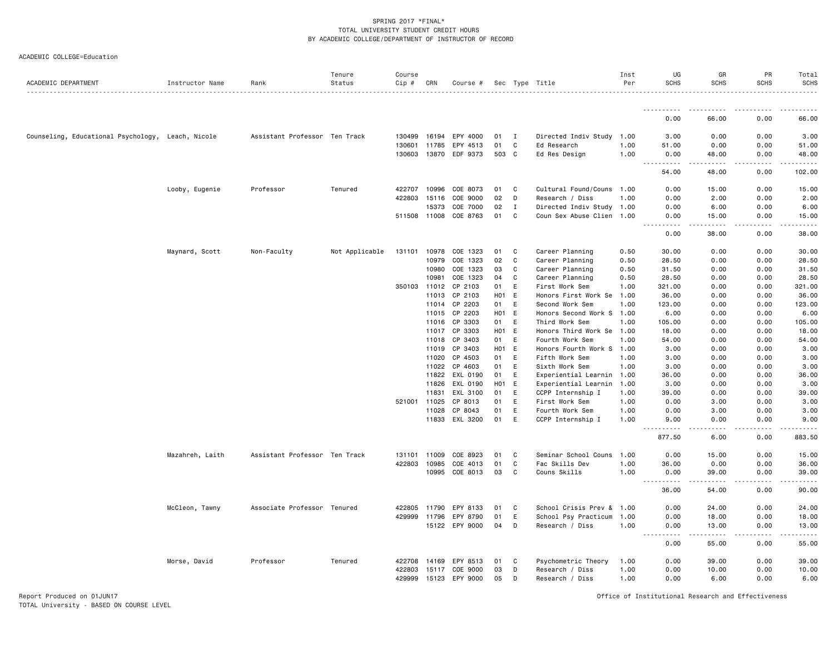#### ACADEMIC COLLEGE=Education

|                                                   |                 |                               | Tenure         | Course       |              |                       |                  |          |                           | Inst | UG                                                                                                                                                            | GR                                                                                                                                                            | PR          | Total            |
|---------------------------------------------------|-----------------|-------------------------------|----------------|--------------|--------------|-----------------------|------------------|----------|---------------------------|------|---------------------------------------------------------------------------------------------------------------------------------------------------------------|---------------------------------------------------------------------------------------------------------------------------------------------------------------|-------------|------------------|
| ACADEMIC DEPARTMENT                               | Instructor Name | Rank                          | Status         | Cip #        | CRN          | Course #              |                  |          | Sec Type Title            | Per  | <b>SCHS</b>                                                                                                                                                   | <b>SCHS</b>                                                                                                                                                   | <b>SCHS</b> | <b>SCHS</b><br>. |
|                                                   |                 |                               |                |              |              |                       |                  |          |                           |      | .                                                                                                                                                             | <u>.</u>                                                                                                                                                      |             |                  |
|                                                   |                 |                               |                |              |              |                       |                  |          |                           |      | 0.00                                                                                                                                                          | 66.00                                                                                                                                                         | 0.00        | 66.00            |
| Counseling, Educational Psychology, Leach, Nicole |                 | Assistant Professor Ten Track |                | 130499       | 16194        | EPY 4000              | 01               | <b>I</b> | Directed Indiv Study      | 1.00 | 3.00                                                                                                                                                          | 0.00                                                                                                                                                          | 0.00        | 3.00             |
|                                                   |                 |                               |                | 130601       | 11785        | EPY 4513              | 01               | C        | Ed Research               | 1.00 | 51.00                                                                                                                                                         | 0.00                                                                                                                                                          | 0.00        | 51.00            |
|                                                   |                 |                               |                |              |              | 130603 13870 EDF 9373 | 503 C            |          | Ed Res Design             | 1.00 | 0.00                                                                                                                                                          | 48.00                                                                                                                                                         | 0.00        | 48.00            |
|                                                   |                 |                               |                |              |              |                       |                  |          |                           |      | $\frac{1}{2} \left( \frac{1}{2} \right) \left( \frac{1}{2} \right) \left( \frac{1}{2} \right)$<br>.<br>54.00                                                  | $- - - - -$<br>48.00                                                                                                                                          | .<br>0.00   | .<br>102.00      |
|                                                   | Looby, Eugenie  | Professor                     | Tenured        | 422707       | 10996        | COE 8073              | 01               | C        | Cultural Found/Couns 1.00 |      | 0.00                                                                                                                                                          | 15.00                                                                                                                                                         | 0.00        | 15.00            |
|                                                   |                 |                               |                | 422803       | 15116        | COE 9000              | 02               | D        | Research / Diss           | 1.00 | 0.00                                                                                                                                                          | 2.00                                                                                                                                                          | 0.00        | 2.00             |
|                                                   |                 |                               |                |              | 15373        | COE 7000              | 02               | I        | Directed Indiv Study 1.00 |      | 0.00                                                                                                                                                          | 6.00                                                                                                                                                          | 0.00        | 6.00             |
|                                                   |                 |                               |                |              | 511508 11008 | COE 8763              | 01               | C        | Coun Sex Abuse Clien 1.00 |      | 0.00<br>$\frac{1}{2} \left( \frac{1}{2} \right) \left( \frac{1}{2} \right) \left( \frac{1}{2} \right) \left( \frac{1}{2} \right)$                             | 15.00<br>-----                                                                                                                                                | 0.00<br>.   | 15.00            |
|                                                   |                 |                               |                |              |              |                       |                  |          |                           |      | 0.00                                                                                                                                                          | 38.00                                                                                                                                                         | 0.00        | 38.00            |
|                                                   | Maynard, Scott  | Non-Faculty                   | Not Applicable | 131101       | 10978        | COE 1323              | 01               | C        | Career Planning           | 0.50 | 30.00                                                                                                                                                         | 0.00                                                                                                                                                          | 0.00        | 30.00            |
|                                                   |                 |                               |                |              | 10979        | COE 1323              | 02               | C        | Career Planning           | 0.50 | 28.50                                                                                                                                                         | 0.00                                                                                                                                                          | 0.00        | 28.50            |
|                                                   |                 |                               |                |              | 10980        | COE 1323              | 03               | C        | Career Planning           | 0.50 | 31.50                                                                                                                                                         | 0.00                                                                                                                                                          | 0.00        | 31.50            |
|                                                   |                 |                               |                |              | 10981        | COE 1323              | 04               | C        | Career Planning           | 0.50 | 28.50                                                                                                                                                         | 0.00                                                                                                                                                          | 0.00        | 28.50            |
|                                                   |                 |                               |                | 350103       | 11012        | CP 2103               | 01               | E        | First Work Sem            | 1.00 | 321.00                                                                                                                                                        | 0.00                                                                                                                                                          | 0.00        | 321.00           |
|                                                   |                 |                               |                |              | 11013        | CP 2103               | H <sub>0</sub> 1 | E        | Honors First Work Se      | 1.00 | 36.00                                                                                                                                                         | 0.00                                                                                                                                                          | 0.00        | 36.00            |
|                                                   |                 |                               |                |              | 11014        | CP 2203               | 01               | E        | Second Work Sem           | 1.00 | 123.00                                                                                                                                                        | 0.00                                                                                                                                                          | 0.00        | 123.00           |
|                                                   |                 |                               |                |              | 11015        | CP 2203               | H01 E            |          | Honors Second Work S 1.00 |      | 6.00                                                                                                                                                          | 0.00                                                                                                                                                          | 0.00        | 6.00             |
|                                                   |                 |                               |                |              | 11016        | CP 3303               | 01               | E        | Third Work Sem            | 1.00 | 105.00                                                                                                                                                        | 0.00                                                                                                                                                          | 0.00        | 105.00           |
|                                                   |                 |                               |                |              | 11017        | CP 3303               | H <sub>0</sub> 1 | E        | Honors Third Work Se      | 1.00 | 18.00                                                                                                                                                         | 0.00                                                                                                                                                          | 0.00        | 18.00            |
|                                                   |                 |                               |                |              | 11018        | CP 3403               | 01               | E        | Fourth Work Sem           | 1.00 | 54.00                                                                                                                                                         | 0.00                                                                                                                                                          | 0.00        | 54.00            |
|                                                   |                 |                               |                |              | 11019        | CP 3403               | $H01$ E          |          | Honors Fourth Work S      | 1.00 | 3,00                                                                                                                                                          | 0.00                                                                                                                                                          | 0.00        | 3.00             |
|                                                   |                 |                               |                |              | 11020        | CP 4503               | 01               | E        | Fifth Work Sem            | 1.00 | 3.00                                                                                                                                                          | 0.00                                                                                                                                                          | 0.00        | 3.00             |
|                                                   |                 |                               |                |              | 11022        | CP 4603               | 01               | E        | Sixth Work Sem            | 1.00 | 3.00                                                                                                                                                          | 0.00                                                                                                                                                          | 0.00        | 3.00             |
|                                                   |                 |                               |                |              | 11822        | EXL 0190              | 01               | E        | Experiential Learnin 1.00 |      | 36.00                                                                                                                                                         | 0.00                                                                                                                                                          | 0.00        | 36.00            |
|                                                   |                 |                               |                |              | 11826        | EXL 0190              | H <sub>0</sub> 1 | E        | Experiential Learnin      | 1.00 | 3.00                                                                                                                                                          | 0.00                                                                                                                                                          | 0.00        | 3.00             |
|                                                   |                 |                               |                |              | 11831        | EXL 3100              | 01               | E        | CCPP Internship I         | 1.00 | 39.00                                                                                                                                                         | 0.00                                                                                                                                                          | 0.00        | 39.00            |
|                                                   |                 |                               |                |              | 521001 11025 | CP 8013               | 01               | Ε        | First Work Sem            | 1.00 | 0.00                                                                                                                                                          | 3.00                                                                                                                                                          | 0.00        | 3.00             |
|                                                   |                 |                               |                |              | 11028        | CP 8043               | 01               | E        | Fourth Work Sem           | 1.00 | 0.00                                                                                                                                                          | 3.00                                                                                                                                                          | 0.00        | 3.00             |
|                                                   |                 |                               |                |              | 11833        | EXL 3200              | 01               | E        | CCPP Internship I         | 1.00 | 9.00                                                                                                                                                          | 0.00                                                                                                                                                          | 0.00        | 9.00             |
|                                                   |                 |                               |                |              |              |                       |                  |          |                           |      | .<br>877.50                                                                                                                                                   | 6.00                                                                                                                                                          | 0.00        | 883.50           |
|                                                   | Mazahreh, Laith | Assistant Professor Ten Track |                |              | 131101 11009 | COE 8923              | 01               | C        | Seminar School Couns 1.00 |      | 0.00                                                                                                                                                          | 15.00                                                                                                                                                         | 0.00        | 15.00            |
|                                                   |                 |                               |                |              | 422803 10985 | COE 4013              | 01               | C        | Fac Skills Dev            | 1.00 | 36.00                                                                                                                                                         | 0.00                                                                                                                                                          | 0.00        | 36.00            |
|                                                   |                 |                               |                |              |              | 10995 COE 8013        | 03               | C        | Couns Skills              | 1.00 | 0.00                                                                                                                                                          | 39.00                                                                                                                                                         | 0.00        | 39.00            |
|                                                   |                 |                               |                |              |              |                       |                  |          |                           |      | $\frac{1}{2} \left( \frac{1}{2} \right) \left( \frac{1}{2} \right) \left( \frac{1}{2} \right) \left( \frac{1}{2} \right) \left( \frac{1}{2} \right)$<br>36.00 | $\frac{1}{2} \left( \frac{1}{2} \right) \left( \frac{1}{2} \right) \left( \frac{1}{2} \right) \left( \frac{1}{2} \right) \left( \frac{1}{2} \right)$<br>54.00 | .<br>0.00   | .<br>90.00       |
|                                                   | McCleon, Tawny  | Associate Professor Tenured   |                | 422805 11790 |              | EPY 8133              | 01               | C        | School Crisis Prev & 1.00 |      | 0.00                                                                                                                                                          | 24.00                                                                                                                                                         | 0.00        | 24.00            |
|                                                   |                 |                               |                |              | 429999 11796 | EPY 8790              | 01               | E        | School Psy Practicum      | 1.00 | 0.00                                                                                                                                                          | 18.00                                                                                                                                                         | 0.00        | 18.00            |
|                                                   |                 |                               |                |              |              | 15122 EPY 9000        | 04               | D        | Research / Diss           | 1.00 | 0.00                                                                                                                                                          | 13.00                                                                                                                                                         | 0.00        | 13.00            |
|                                                   |                 |                               |                |              |              |                       |                  |          |                           |      | $- - - -$<br>.<br>0.00                                                                                                                                        | .<br>55.00                                                                                                                                                    | .<br>0.00   | .<br>55.00       |
|                                                   | Morse, David    | Professor                     | Tenured        | 422708       | 14169        | EPY 8513              | 01               | C        | Psychometric Theory       | 1.00 | 0.00                                                                                                                                                          | 39.00                                                                                                                                                         | 0.00        | 39.00            |
|                                                   |                 |                               |                | 422803       | 15117        | COE 9000              | 03               | D        | Research / Diss           | 1.00 | 0.00                                                                                                                                                          | 10.00                                                                                                                                                         | 0.00        | 10.00            |
|                                                   |                 |                               |                |              | 429999 15123 | EPY 9000              | 05               | D        | Research / Diss           | 1.00 | 0.00                                                                                                                                                          | 6.00                                                                                                                                                          | 0.00        | 6.00             |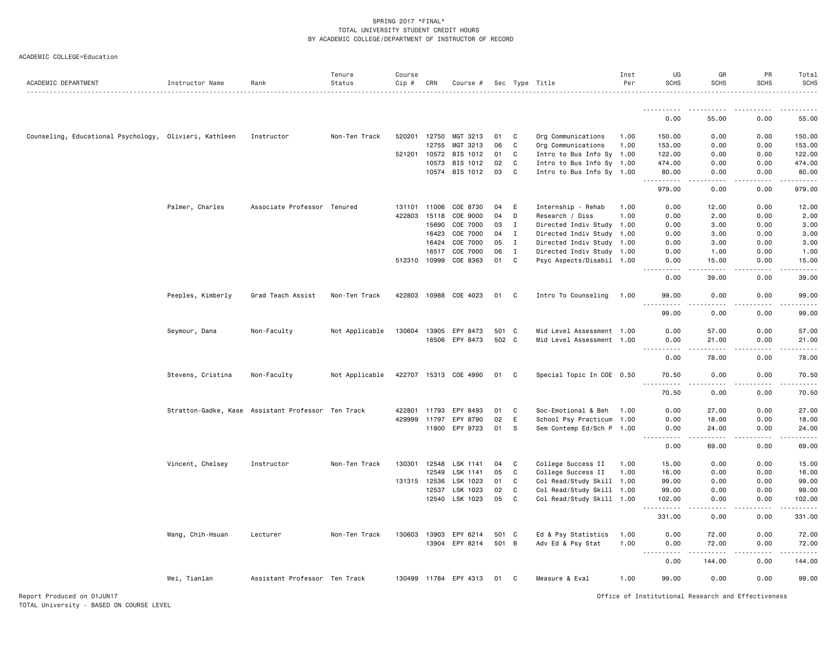| ACADEMIC DEPARTMENT                                    | Instructor Name   | Rank                                               | Tenure<br>Status | Course<br>Cip # | CRN   | Course #              |       |              | Sec Type Title            | Inst<br>Per | UG<br><b>SCHS</b>                                                                                                                                            | GR<br><b>SCHS</b> | PR<br><b>SCHS</b> | Total<br><b>SCHS</b> |
|--------------------------------------------------------|-------------------|----------------------------------------------------|------------------|-----------------|-------|-----------------------|-------|--------------|---------------------------|-------------|--------------------------------------------------------------------------------------------------------------------------------------------------------------|-------------------|-------------------|----------------------|
|                                                        |                   |                                                    |                  |                 |       |                       |       |              |                           |             |                                                                                                                                                              |                   |                   |                      |
|                                                        |                   |                                                    |                  |                 |       |                       |       |              |                           |             | 0.00                                                                                                                                                         | 55.00             | 0.00              | 55.00                |
| Counseling, Educational Psychology, Olivieri, Kathleen |                   | Instructor                                         | Non-Ten Track    | 520201 12750    |       | MGT 3213              | 01    | C            | Org Communications        | 1.00        | 150.00                                                                                                                                                       | 0.00              | 0.00              | 150.00               |
|                                                        |                   |                                                    |                  |                 | 12755 | MGT 3213              | 06    | C            | Org Communications        | 1.00        | 153.00                                                                                                                                                       | 0.00              | 0.00              | 153.00               |
|                                                        |                   |                                                    |                  | 521201 10572    |       | BIS 1012              | 01    | C            | Intro to Bus Info Sy 1.00 |             | 122.00                                                                                                                                                       | 0.00              | 0.00              | 122.00               |
|                                                        |                   |                                                    |                  |                 | 10573 | BIS 1012              | 02    | C            | Intro to Bus Info Sy 1.00 |             | 474.00                                                                                                                                                       | 0.00              | 0.00              | 474.00               |
|                                                        |                   |                                                    |                  |                 |       | 10574 BIS 1012        | 03    | C            | Intro to Bus Info Sy 1.00 |             | 80.00<br>.                                                                                                                                                   | 0.00              | 0.00              | 80.00                |
|                                                        |                   |                                                    |                  |                 |       |                       |       |              |                           |             | 979.00                                                                                                                                                       | 0.00              | 0.00              | 979.00               |
|                                                        | Palmer, Charles   | Associate Professor Tenured                        |                  | 131101 11006    |       | COE 8730              | 04    | Ε            | Internship - Rehab        | 1.00        | 0.00                                                                                                                                                         | 12.00             | 0.00              | 12.00                |
|                                                        |                   |                                                    |                  | 422803 15118    |       | COE 9000              | 04    | D            | Research / Diss           | 1.00        | 0.00                                                                                                                                                         | 2.00              | 0.00              | 2.00                 |
|                                                        |                   |                                                    |                  |                 | 15690 | COE 7000              | 03    | I            | Directed Indiv Study 1.00 |             | 0.00                                                                                                                                                         | 3.00              | 0.00              | 3.00                 |
|                                                        |                   |                                                    |                  |                 | 16423 | COE 7000              | 04    | I            | Directed Indiv Study      | 1.00        | 0.00                                                                                                                                                         | 3.00              | 0.00              | 3.00                 |
|                                                        |                   |                                                    |                  |                 | 16424 | COE 7000              | 05    | I            | Directed Indiv Study 1.00 |             | 0.00                                                                                                                                                         | 3.00              | 0.00              | 3.00                 |
|                                                        |                   |                                                    |                  |                 | 16517 | COE 7000              | 06    | $\mathbf{I}$ | Directed Indiv Study 1.00 |             | 0.00                                                                                                                                                         | 1.00              | 0.00              | 1.00                 |
|                                                        |                   |                                                    |                  | 512310 10999    |       | COE 8363              | 01    | C            | Psyc Aspects/Disabil 1.00 |             | 0.00<br>والأمام                                                                                                                                              | 15.00<br>.        | 0.00<br>.         | 15.00<br>د د د د د   |
|                                                        |                   |                                                    |                  |                 |       |                       |       |              |                           |             | 0.00                                                                                                                                                         | 39.00             | 0.00              | 39.00                |
|                                                        | Peeples, Kimberly | Grad Teach Assist                                  | Non-Ten Track    |                 |       | 422803 10988 COE 4023 | 01    | C            | Intro To Counseling       | 1.00        | 99.00<br><u>.</u>                                                                                                                                            | 0.00<br>.         | 0.00              | 99.00                |
|                                                        |                   |                                                    |                  |                 |       |                       |       |              |                           |             | 99.00                                                                                                                                                        | 0.00              | .<br>0.00         | . <u>.</u><br>99.00  |
|                                                        | Seymour, Dana     | Non-Faculty                                        | Not Applicable   |                 |       | 130604 13905 EPY 8473 | 501 C |              | Mid Level Assessment 1.00 |             | 0.00                                                                                                                                                         | 57.00             | 0.00              | 57.00                |
|                                                        |                   |                                                    |                  |                 |       | 16506 EPY 8473        | 502 C |              | Mid Level Assessment 1.00 |             | 0.00                                                                                                                                                         | 21.00             | 0.00              | 21.00                |
|                                                        |                   |                                                    |                  |                 |       |                       |       |              |                           |             | .<br>$\frac{1}{2}$                                                                                                                                           | .                 |                   |                      |
|                                                        |                   |                                                    |                  |                 |       |                       |       |              |                           |             | 0.00                                                                                                                                                         | 78.00             | 0.00              | 78.00                |
|                                                        | Stevens, Cristina | Non-Faculty                                        | Not Applicable   |                 |       | 422707 15313 COE 4990 | 01    | C            | Special Topic In COE 0.50 |             | 70.50<br>.                                                                                                                                                   | 0.00              | 0.00              | 70.50                |
|                                                        |                   |                                                    |                  |                 |       |                       |       |              |                           |             | 70.50                                                                                                                                                        | 0.00              | 0.00              | 70.50                |
|                                                        |                   | Stratton-Gadke, Kase Assistant Professor Ten Track |                  | 422801 11793    |       | EPY 8493              | 01    | C            | Soc-Emotional & Beh       | 1.00        | 0.00                                                                                                                                                         | 27.00             | 0.00              | 27.00                |
|                                                        |                   |                                                    |                  | 429999 11797    |       | EPY 8790              | 02    | E            | School Psy Practicum      | 1.00        | 0.00                                                                                                                                                         | 18.00             | 0.00              | 18.00                |
|                                                        |                   |                                                    |                  |                 | 11800 | EPY 9723              | 01    | s            | Sem Contemp Ed/Sch P 1.00 |             | 0.00<br><u>.</u>                                                                                                                                             | 24.00<br>.        | 0.00<br>-----     | 24.00<br>.           |
|                                                        |                   |                                                    |                  |                 |       |                       |       |              |                           |             | 0.00                                                                                                                                                         | 69.00             | 0.00              | 69.00                |
|                                                        | Vincent, Chelsey  | Instructor                                         | Non-Ten Track    | 130301          | 12548 | LSK 1141              | 04    | C            | College Success II        | 1.00        | 15.00                                                                                                                                                        | 0.00              | 0.00              | 15.00                |
|                                                        |                   |                                                    |                  |                 | 12549 | LSK 1141              | 05    | C            | College Success II        | 1.00        | 16.00                                                                                                                                                        | 0.00              | 0.00              | 16.00                |
|                                                        |                   |                                                    |                  | 131315 12536    |       | LSK 1023              | 01    | C            | Col Read/Study Skill 1.00 |             | 99.00                                                                                                                                                        | 0.00              | 0.00              | 99.00                |
|                                                        |                   |                                                    |                  |                 | 12537 | LSK 1023              | 02    | C            | Col Read/Study Skill 1.00 |             | 99.00                                                                                                                                                        | 0.00              | 0.00              | 99.00                |
|                                                        |                   |                                                    |                  |                 | 12540 | LSK 1023              | 05    | C            | Col Read/Study Skill 1.00 |             | 102.00<br><b></b>                                                                                                                                            | 0.00<br>$  -$     | 0.00<br>.         | 102.00<br>.          |
|                                                        |                   |                                                    |                  |                 |       |                       |       |              |                           |             | 331.00                                                                                                                                                       | 0.00              | 0.00              | 331.00               |
|                                                        | Wang, Chih-Hsuan  | Lecturer                                           | Non-Ten Track    | 130603 13903    |       | EPY 6214              | 501   | $\mathbf{C}$ | Ed & Psy Statistics       | 1.00        | 0.00                                                                                                                                                         | 72.00             | 0.00              | 72.00                |
|                                                        |                   |                                                    |                  |                 |       | 13904 EPY 8214        | 501 B |              | Adv Ed & Psy Stat         | 1.00        | 0.00                                                                                                                                                         | 72.00             | 0.00              | 72.00                |
|                                                        |                   |                                                    |                  |                 |       |                       |       |              |                           |             | $\frac{1}{2} \left( \frac{1}{2} \right) \left( \frac{1}{2} \right) \left( \frac{1}{2} \right) \left( \frac{1}{2} \right) \left( \frac{1}{2} \right)$<br>0.00 | 144.00            | 0.00              | 144.00               |
|                                                        | Wei, Tianlan      | Assistant Professor Ten Track                      |                  |                 |       | 130499 11784 EPY 4313 | 01    | C            | Measure & Eval            | 1.00        | 99.00                                                                                                                                                        | 0.00              | 0.00              | 99.00                |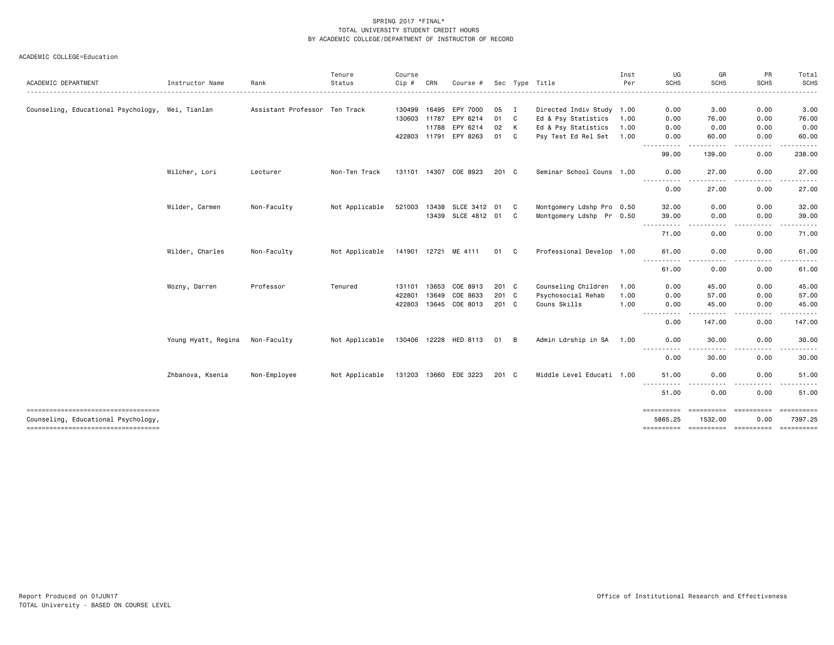|                                                                            |                     |                               | Tenure         | Course       |              |                       |               |    |                           | Inst | UG                                                                                                                                                                                                                                                             | GR                                | PR                 | Total             |
|----------------------------------------------------------------------------|---------------------|-------------------------------|----------------|--------------|--------------|-----------------------|---------------|----|---------------------------|------|----------------------------------------------------------------------------------------------------------------------------------------------------------------------------------------------------------------------------------------------------------------|-----------------------------------|--------------------|-------------------|
| ACADEMIC DEPARTMENT                                                        | Instructor Name     | Rank                          | Status         | $Cip \#$     | CRN          | Course #              |               |    | Sec Type Title            | Per  | <b>SCHS</b>                                                                                                                                                                                                                                                    | <b>SCHS</b>                       | <b>SCHS</b>        | SCHS              |
| Counseling, Educational Psychology, Wei, Tianlan                           |                     | Assistant Professor Ten Track |                | 130499       | 16495        | EPY 7000              | 05            | I  | Directed Indiv Study 1.00 |      | 0.00                                                                                                                                                                                                                                                           | 3.00                              | 0.00               | 3.00              |
|                                                                            |                     |                               |                | 130603 11787 |              | EPY 6214              | 01            | C  | Ed & Psy Statistics       | 1.00 | 0.00                                                                                                                                                                                                                                                           | 76.00                             | 0.00               | 76.00             |
|                                                                            |                     |                               |                |              | 11788        | EPY 6214              | 02            | К  | Ed & Psy Statistics       | 1.00 | 0.00                                                                                                                                                                                                                                                           | 0.00                              | 0.00               | 0.00              |
|                                                                            |                     |                               |                | 422803 11791 |              | EPY 8263              | 01            | C  | Psy Test Ed Rel Set 1.00  |      | 0.00                                                                                                                                                                                                                                                           | 60.00                             | 0.00               | 60.00             |
|                                                                            |                     |                               |                |              |              |                       |               |    |                           |      | $- - -$<br>99.00                                                                                                                                                                                                                                               | 139.00                            | 0.00               | 238.00            |
|                                                                            | Wilcher, Lori       | Lecturer                      | Non-Ten Track  | 131101       | 14307        | COE 8923              | 201 C         |    | Seminar School Couns 1.00 |      | 0.00                                                                                                                                                                                                                                                           | 27.00                             | 0.00               | 27.00             |
|                                                                            |                     |                               |                |              |              |                       |               |    |                           |      | ----------<br>0.00                                                                                                                                                                                                                                             | $\frac{1}{2}$<br>27.00            | -----<br>0.00      | <u>.</u><br>27.00 |
|                                                                            | Wilder, Carmen      | Non-Faculty                   | Not Applicable | 521003       | 13438        | SLCE 3412             | 01            | C  | Montgomery Ldshp Pro 0.50 |      | 32.00                                                                                                                                                                                                                                                          | 0.00                              | 0.00               | 32.00             |
|                                                                            |                     |                               |                |              | 13439        | SLCE 4812 01          |               | C. | Montgomery Ldshp Pr 0.50  |      | 39.00                                                                                                                                                                                                                                                          | 0.00                              | 0.00               | 39.00             |
|                                                                            |                     |                               |                |              |              |                       |               |    |                           |      | ----------<br>71.00                                                                                                                                                                                                                                            | .<br>0.00                         | -----<br>0.00      | .<br>71.00        |
|                                                                            | Wilder, Charles     | Non-Faculty                   | Not Applicable | 141901 12721 |              | ME 4111               | 01            | C  | Professional Develop 1.00 |      | 61.00                                                                                                                                                                                                                                                          | 0.00                              | 0.00               | 61.00             |
|                                                                            |                     |                               |                |              |              |                       |               |    |                           |      | $\sim$ $\sim$ $\sim$<br>61.00                                                                                                                                                                                                                                  | 0.00                              | 0.00               | 61.00             |
|                                                                            | Wozny, Darren       | Professor                     | Tenured        | 131101       | 13653        | COE 8913              | 201 C         |    | Counseling Children       | 1.00 | 0.00                                                                                                                                                                                                                                                           | 45.00                             | 0.00               | 45.00             |
|                                                                            |                     |                               |                | 422801       | 13649        | COE 8633              | 201 C         |    | Psychosocial Rehab        | 1.00 | 0.00                                                                                                                                                                                                                                                           | 57.00                             | 0.00               | 57.00             |
|                                                                            |                     |                               |                | 422803       | 13645        | COE 8013              | $201 \quad C$ |    | Couns Skills              | 1.00 | 0.00                                                                                                                                                                                                                                                           | 45.00                             | 0.00               | 45.00             |
|                                                                            |                     |                               |                |              |              |                       |               |    |                           |      | $\frac{1}{2} \left( \frac{1}{2} \right) \left( \frac{1}{2} \right) \left( \frac{1}{2} \right) \left( \frac{1}{2} \right)$<br>$\frac{1}{2} \left( \frac{1}{2} \right) \left( \frac{1}{2} \right) \left( \frac{1}{2} \right) \left( \frac{1}{2} \right)$<br>0.00 | -----<br>147.00                   | .<br>0.00          | .<br>147.00       |
|                                                                            | Young Hyatt, Regina | Non-Faculty                   | Not Applicable |              | 130406 12228 | HED 8113              | 01            | В  | Admin Ldrship in SA       | 1.00 | 0.00                                                                                                                                                                                                                                                           | 30.00                             | 0.00               | 30.00             |
|                                                                            |                     |                               |                |              |              |                       |               |    |                           |      | ----------<br>0.00                                                                                                                                                                                                                                             | $\frac{1}{2}$<br>30.00            | -----<br>0.00      | .<br>30.00        |
|                                                                            | Zhbanova, Ksenia    | Non-Employee                  | Not Applicable |              |              | 131203 13660 EDE 3223 | $201 \quad C$ |    | Middle Level Educati 1.00 |      | 51.00                                                                                                                                                                                                                                                          | 0.00                              | 0.00               | 51.00             |
|                                                                            |                     |                               |                |              |              |                       |               |    |                           |      | $\frac{1}{2} \left( \frac{1}{2} \right) \left( \frac{1}{2} \right) \left( \frac{1}{2} \right) \left( \frac{1}{2} \right)$<br>51.00                                                                                                                             | 0.00                              | 0.00               | 51.00             |
| -----------------------------------<br>Counseling, Educational Psychology, |                     |                               |                |              |              |                       |               |    |                           |      | ==========<br>5865.25                                                                                                                                                                                                                                          | ==========<br>1532.00             | ==========<br>0.00 | 7397.25           |
| ----------------------------------                                         |                     |                               |                |              |              |                       |               |    |                           |      | ==========                                                                                                                                                                                                                                                     | ----------- ---------- ---------- |                    |                   |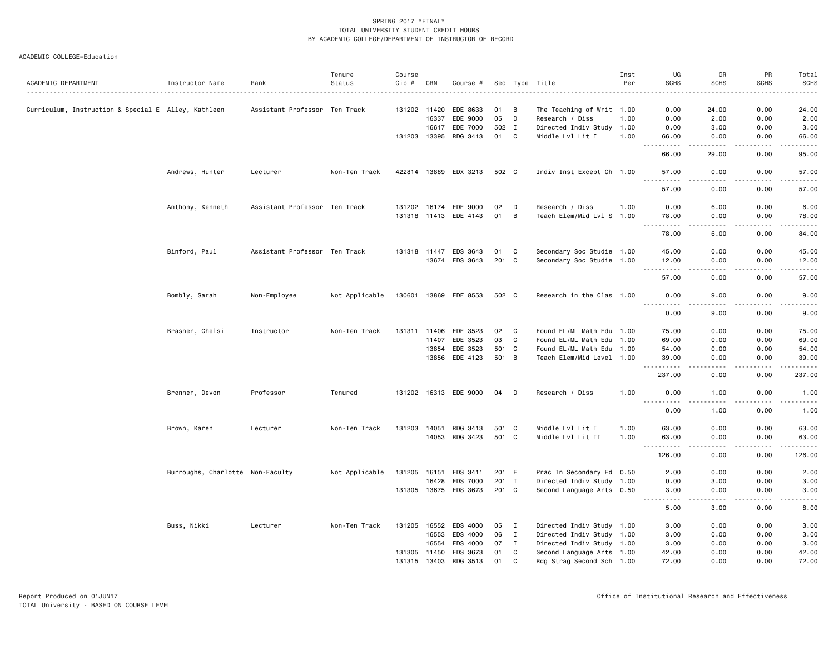|                                                     |                                  |                               | Tenure         | Course       |       |                       |          |                |                                              | Inst | UG                                 | GR                                  | PR                                                                                                                                | Total                   |
|-----------------------------------------------------|----------------------------------|-------------------------------|----------------|--------------|-------|-----------------------|----------|----------------|----------------------------------------------|------|------------------------------------|-------------------------------------|-----------------------------------------------------------------------------------------------------------------------------------|-------------------------|
| ACADEMIC DEPARTMENT                                 | Instructor Name                  | Rank                          | Status         | $Cip$ #      | CRN   | Course #              |          |                | Sec Type Title                               | Per  | <b>SCHS</b>                        | <b>SCHS</b>                         | <b>SCHS</b>                                                                                                                       | <b>SCHS</b><br>$\cdots$ |
|                                                     |                                  |                               |                |              |       |                       |          |                |                                              |      |                                    |                                     |                                                                                                                                   |                         |
| Curriculum, Instruction & Special E Alley, Kathleen |                                  | Assistant Professor Ten Track |                | 131202 11420 | 16337 | EDE 8633<br>EDE 9000  | 01<br>05 | B<br>D         | The Teaching of Writ 1.00<br>Research / Diss | 1.00 | 0.00<br>0.00                       | 24.00<br>2.00                       | 0.00<br>0.00                                                                                                                      | 24.00<br>2.00           |
|                                                     |                                  |                               |                |              | 16617 | EDE 7000              | 502      | $\mathbf{I}$   | Directed Indiv Study 1.00                    |      | 0.00                               | 3.00                                | 0.00                                                                                                                              | 3.00                    |
|                                                     |                                  |                               |                | 131203 13395 |       | RDG 3413              | 01       | C              | Middle Lvl Lit I                             | 1.00 | 66.00                              | 0.00                                | 0.00                                                                                                                              | 66.00                   |
|                                                     |                                  |                               |                |              |       |                       |          |                |                                              |      | .<br>$\sim$ $\sim$ $\sim$          | <u>.</u>                            | .                                                                                                                                 | .                       |
|                                                     |                                  |                               |                |              |       |                       |          |                |                                              |      | 66.00                              | 29.00                               | 0.00                                                                                                                              | 95.00                   |
|                                                     | Andrews, Hunter                  | Lecturer                      | Non-Ten Track  |              |       | 422814 13889 EDX 3213 | 502 C    |                | Indiv Inst Except Ch 1.00                    |      | 57.00<br>.                         | 0.00<br>$\frac{1}{2}$               | 0.00<br>.                                                                                                                         | 57.00<br>.              |
|                                                     |                                  |                               |                |              |       |                       |          |                |                                              |      | 57.00                              | 0.00                                | 0.00                                                                                                                              | 57.00                   |
|                                                     | Anthony, Kenneth                 | Assistant Professor Ten Track |                | 131202 16174 |       | EDE 9000              | 02       | D              | Research / Diss                              | 1.00 | 0.00                               | 6.00                                | 0.00                                                                                                                              | 6.00                    |
|                                                     |                                  |                               |                |              |       | 131318 11413 EDE 4143 | 01       | $\overline{B}$ | Teach Elem/Mid Lvl S 1.00                    |      | 78.00<br>.<br>$\sim$ $\sim$ $\sim$ | 0.00<br>.                           | 0.00<br>$\frac{1}{2} \left( \frac{1}{2} \right) \left( \frac{1}{2} \right) \left( \frac{1}{2} \right) \left( \frac{1}{2} \right)$ | 78.00<br>.              |
|                                                     |                                  |                               |                |              |       |                       |          |                |                                              |      | 78.00                              | 6.00                                | 0.00                                                                                                                              | 84.00                   |
|                                                     | Binford, Paul                    | Assistant Professor Ten Track |                |              |       | 131318 11447 EDS 3643 | 01 C     |                | Secondary Soc Studie 1.00                    |      | 45.00                              | 0.00                                | 0.00                                                                                                                              | 45.00                   |
|                                                     |                                  |                               |                |              | 13674 | EDS 3643              | 201 C    |                | Secondary Soc Studie 1.00                    |      | 12.00<br>.<br>$  -$                | 0.00                                | 0.00                                                                                                                              | 12.00<br>.              |
|                                                     |                                  |                               |                |              |       |                       |          |                |                                              |      | 57.00                              | 0.00                                | 0.00                                                                                                                              | 57.00                   |
|                                                     | Bombly, Sarah                    | Non-Employee                  | Not Applicable |              |       | 130601 13869 EDF 8553 | 502 C    |                | Research in the Clas 1.00                    |      | 0.00<br><u>.</u>                   | 9.00<br>.                           | 0.00<br>.                                                                                                                         | 9.00<br>-----           |
|                                                     |                                  |                               |                |              |       |                       |          |                |                                              |      | 0.00                               | 9.00                                | 0.00                                                                                                                              | 9.00                    |
|                                                     | Brasher, Chelsi                  | Instructor                    | Non-Ten Track  | 131311 11406 |       | EDE 3523              | 02       | C              | Found EL/ML Math Edu 1.00                    |      | 75.00                              | 0.00                                | 0.00                                                                                                                              | 75.00                   |
|                                                     |                                  |                               |                |              | 11407 | EDE 3523              | 03       | C              | Found EL/ML Math Edu 1.00                    |      | 69.00                              | 0.00                                | 0.00                                                                                                                              | 69.00                   |
|                                                     |                                  |                               |                |              | 13854 | EDE 3523              | 501 C    |                | Found EL/ML Math Edu 1.00                    |      | 54.00                              | 0.00                                | 0.00                                                                                                                              | 54.00                   |
|                                                     |                                  |                               |                |              |       | 13856 EDE 4123        | 501 B    |                | Teach Elem/Mid Level 1.00                    |      | 39.00<br>.                         | 0.00<br>$\sim$ $\sim$ $\sim$ $\sim$ | 0.00<br>.                                                                                                                         | 39.00<br>.              |
|                                                     |                                  |                               |                |              |       |                       |          |                |                                              |      | 237.00                             | 0.00                                | 0.00                                                                                                                              | 237.00                  |
|                                                     | Brenner, Devon                   | Professor                     | Tenured        |              |       | 131202 16313 EDE 9000 | 04       | D              | Research / Diss                              | 1.00 | 0.00                               | 1.00                                | 0.00                                                                                                                              | 1.00                    |
|                                                     |                                  |                               |                |              |       |                       |          |                |                                              |      | 0.00                               | 1.00                                | 0.00                                                                                                                              | 1.00                    |
|                                                     | Brown, Karen                     | Lecturer                      | Non-Ten Track  | 131203 14051 |       | RDG 3413              | 501 C    |                | Middle Lvl Lit I                             | 1.00 | 63.00                              | 0.00                                | 0.00                                                                                                                              | 63.00                   |
|                                                     |                                  |                               |                |              | 14053 | RDG 3423              | 501 C    |                | Middle Lvl Lit II                            | 1.00 | 63.00<br>-----                     | 0.00<br>$\frac{1}{2}$               | 0.00<br>.                                                                                                                         | 63.00<br>.              |
|                                                     |                                  |                               |                |              |       |                       |          |                |                                              |      | 126.00                             | 0.00                                | 0.00                                                                                                                              | 126.00                  |
|                                                     | Burroughs, Charlotte Non-Faculty |                               | Not Applicable | 131205       | 16151 | EDS 3411              |          | 201 E          | Prac In Secondary Ed 0.50                    |      | 2.00                               | 0.00                                | 0.00                                                                                                                              | 2.00                    |
|                                                     |                                  |                               |                |              | 16428 | EDS 7000              | 201 I    |                | Directed Indiv Study 1.00                    |      | 0.00                               | 3.00                                | 0.00                                                                                                                              | 3.00                    |
|                                                     |                                  |                               |                |              |       | 131305 13675 EDS 3673 | 201 C    |                | Second Language Arts 0.50                    |      | 3.00<br>.                          | 0.00<br>.                           | 0.00<br>.                                                                                                                         | 3.00<br>وعاعات          |
|                                                     |                                  |                               |                |              |       |                       |          |                |                                              |      | 5.00                               | 3.00                                | 0.00                                                                                                                              | 8.00                    |
|                                                     | Buss, Nikki                      | Lecturer                      | Non-Ten Track  | 131205       | 16552 | EDS 4000              | 05       | $\mathbf{I}$   | Directed Indiv Study 1.00                    |      | 3.00                               | 0.00                                | 0.00                                                                                                                              | 3.00                    |
|                                                     |                                  |                               |                |              | 16553 | EDS 4000              | 06       | $\mathbf{I}$   | Directed Indiv Study 1.00                    |      | 3.00                               | 0.00                                | 0.00                                                                                                                              | 3.00                    |
|                                                     |                                  |                               |                |              | 16554 | EDS 4000              | 07       | $\mathbf{I}$   | Directed Indiv Study 1.00                    |      | 3.00                               | 0.00                                | 0.00                                                                                                                              | 3.00                    |
|                                                     |                                  |                               |                | 131305 11450 |       | EDS 3673              | 01       | C              | Second Language Arts 1.00                    |      | 42.00                              | 0.00                                | 0.00                                                                                                                              | 42.00                   |
|                                                     |                                  |                               |                | 131315 13403 |       | RDG 3513              | 01       | C              | Rdg Strag Second Sch 1.00                    |      | 72.00                              | 0.00                                | 0.00                                                                                                                              | 72.00                   |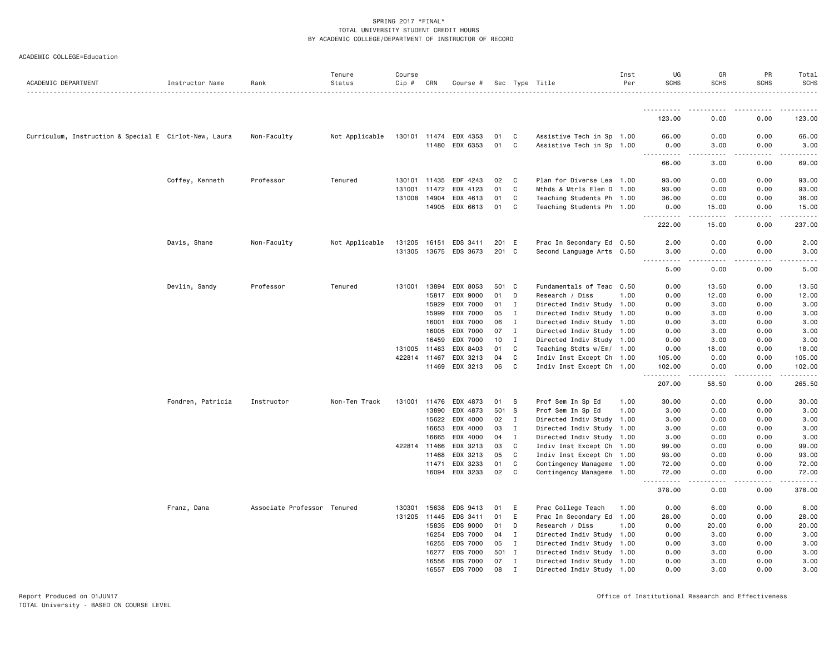| ACADEMIC COLLEGE=Education |  |
|----------------------------|--|
|----------------------------|--|

| ACADEMIC DEPARTMENT                                   | Instructor Name   | Rank                        | Tenure<br>Status | Course<br>Cip # | CRN   | Course #       |       |              | Sec Type Title            | Inst<br>Per | UG<br><b>SCHS</b>   | GR<br><b>SCHS</b>     | PR<br><b>SCHS</b> | Total<br><b>SCHS</b> |
|-------------------------------------------------------|-------------------|-----------------------------|------------------|-----------------|-------|----------------|-------|--------------|---------------------------|-------------|---------------------|-----------------------|-------------------|----------------------|
|                                                       |                   |                             |                  |                 |       |                |       |              |                           |             |                     |                       |                   |                      |
|                                                       |                   |                             |                  |                 |       |                |       |              |                           |             | 123.00              | 0.00                  | 0.00              | 123.00               |
| Curriculum, Instruction & Special E Cirlot-New, Laura |                   | Non-Faculty                 | Not Applicable   | 130101 11474    |       | EDX 4353       | 01    | C            | Assistive Tech in Sp 1.00 |             | 66.00               | 0.00                  | 0.00              | 66.00                |
|                                                       |                   |                             |                  |                 | 11480 | EDX 6353       | 01    | C            | Assistive Tech in Sp 1.00 |             | 0.00<br>$- - - - -$ | 3.00<br>. <u>.</u> .  | 0.00<br>.         | 3.00                 |
|                                                       |                   |                             |                  |                 |       |                |       |              |                           |             | 66.00               | 3.00                  | 0.00              | 69.00                |
|                                                       | Coffey, Kenneth   | Professor                   | Tenured          | 130101 11435    |       | EDF 4243       | 02    | C            | Plan for Diverse Lea 1.00 |             | 93.00               | 0.00                  | 0.00              | 93.00                |
|                                                       |                   |                             |                  | 131001 11472    |       | EDX 4123       | 01    | C            | Mthds & Mtrls Elem D 1.00 |             | 93.00               | 0.00                  | 0.00              | 93.00                |
|                                                       |                   |                             |                  | 131008 14904    |       | EDX 4613       | 01    | C            | Teaching Students Ph 1.00 |             | 36.00               | 0.00                  | 0.00              | 36.00                |
|                                                       |                   |                             |                  |                 |       | 14905 EDX 6613 | 01    | C            | Teaching Students Ph 1.00 |             | 0.00                | 15.00<br>.            | 0.00<br>.         | 15.00<br>.           |
|                                                       |                   |                             |                  |                 |       |                |       |              |                           |             | 222.00              | 15.00                 | 0.00              | 237.00               |
|                                                       | Davis, Shane      | Non-Faculty                 | Not Applicable   | 131205 16151    |       | EDS 3411       | 201 E |              | Prac In Secondary Ed 0.50 |             | 2.00                | 0.00                  | 0.00              | 2.00                 |
|                                                       |                   |                             |                  | 131305 13675    |       | EDS 3673       | 201 C |              | Second Language Arts 0.50 |             | 3.00<br>.           | 0.00                  | 0.00              | 3.00                 |
|                                                       |                   |                             |                  |                 |       |                |       |              |                           |             | 5.00                | 0.00                  | 0.00              | 5.00                 |
|                                                       | Devlin, Sandy     | Professor                   | Tenured          | 131001 13894    |       | EDX 8053       | 501   | C            | Fundamentals of Teac 0.50 |             | 0.00                | 13.50                 | 0.00              | 13.50                |
|                                                       |                   |                             |                  |                 | 15817 | EDX 9000       | 01    | D            | Research / Diss           | 1.00        | 0.00                | 12.00                 | 0.00              | 12.00                |
|                                                       |                   |                             |                  |                 | 15929 | EDX 7000       | 01    | I            | Directed Indiv Study 1.00 |             | 0.00                | 3.00                  | 0.00              | 3.00                 |
|                                                       |                   |                             |                  |                 | 15999 | EDX 7000       | 05    | $\mathbf{I}$ | Directed Indiv Study 1.00 |             | 0.00                | 3.00                  | 0.00              | 3.00                 |
|                                                       |                   |                             |                  |                 | 16001 | EDX 7000       | 06    | $\mathbf I$  | Directed Indiv Study 1.00 |             | 0.00                | 3.00                  | 0.00              | 3.00                 |
|                                                       |                   |                             |                  |                 | 16005 | EDX 7000       | 07    | I            | Directed Indiv Study 1.00 |             | 0.00                | 3.00                  | 0.00              | 3.00                 |
|                                                       |                   |                             |                  |                 | 16459 | EDX 7000       | 10    | I            | Directed Indiv Study 1.00 |             | 0.00                | 3.00                  | 0.00              | 3.00                 |
|                                                       |                   |                             |                  | 131005 11483    |       | EDX 8403       | 01    | C            | Teaching Stdts w/Em/ 1.00 |             | 0.00                | 18.00                 | 0.00              | 18.00                |
|                                                       |                   |                             |                  | 422814 11467    |       | EDX 3213       | 04    | C            | Indiv Inst Except Ch 1.00 |             | 105.00              | 0.00                  | 0.00              | 105.00               |
|                                                       |                   |                             |                  |                 | 11469 | EDX 3213       | 06    | C            | Indiv Inst Except Ch 1.00 |             | 102.00<br>.         | 0.00                  | 0.00              | 102.00<br>.          |
|                                                       |                   |                             |                  |                 |       |                |       |              |                           |             | 207.00              | 58.50                 | 0.00              | 265.50               |
|                                                       | Fondren, Patricia | Instructor                  | Non-Ten Track    | 131001 11476    |       | EDX 4873       | 01    | -S           | Prof Sem In Sp Ed         | 1.00        | 30.00               | 0.00                  | 0.00              | 30.00                |
|                                                       |                   |                             |                  |                 | 13890 | EDX 4873       | 501   | S.           | Prof Sem In Sp Ed         | 1.00        | 3.00                | 0.00                  | 0.00              | 3.00                 |
|                                                       |                   |                             |                  |                 | 15622 | EDX 4000       | 02    | I            | Directed Indiv Study 1.00 |             | 3.00                | 0.00                  | 0.00              | 3.00                 |
|                                                       |                   |                             |                  |                 | 16653 | EDX 4000       | 03    | I            | Directed Indiv Study 1.00 |             | 3.00                | 0.00                  | 0.00              | 3.00                 |
|                                                       |                   |                             |                  |                 | 16665 | EDX 4000       | 04    | $\mathbf{I}$ | Directed Indiv Study 1.00 |             | 3.00                | 0.00                  | 0.00              | 3.00                 |
|                                                       |                   |                             |                  | 422814 11466    |       | EDX 3213       | 03    | C            | Indiv Inst Except Ch 1.00 |             | 99.00               | 0.00                  | 0.00              | 99.00                |
|                                                       |                   |                             |                  |                 | 11468 | EDX 3213       | 05    | C            | Indiv Inst Except Ch 1.00 |             | 93.00               | 0.00                  | 0.00              | 93.00                |
|                                                       |                   |                             |                  |                 | 11471 | EDX 3233       | 01    | C            | Contingency Manageme 1.00 |             | 72.00               | 0.00                  | 0.00              | 72.00                |
|                                                       |                   |                             |                  |                 | 16094 | EDX 3233       | 02    | C            | Contingency Manageme 1.00 |             | 72.00<br>.          | 0.00<br>$\frac{1}{2}$ | 0.00<br>.         | 72.00<br>.           |
|                                                       |                   |                             |                  |                 |       |                |       |              |                           |             | 378.00              | 0.00                  | 0.00              | 378.00               |
|                                                       | Franz, Dana       | Associate Professor Tenured |                  | 130301 15638    |       | EDS 9413       | 01    | Ε            | Prac College Teach        | 1.00        | 0.00                | 6.00                  | 0.00              | 6.00                 |
|                                                       |                   |                             |                  | 131205 11445    |       | EDS 3411       | 01    | Ε            | Prac In Secondary Ed 1.00 |             | 28.00               | 0.00                  | 0.00              | 28.00                |
|                                                       |                   |                             |                  |                 | 15835 | EDS 9000       | 01    | D            | Research / Diss           | 1.00        | 0.00                | 20.00                 | 0.00              | 20.00                |
|                                                       |                   |                             |                  |                 | 16254 | EDS 7000       | 04    | I            | Directed Indiv Study 1.00 |             | 0.00                | 3.00                  | 0.00              | 3.00                 |
|                                                       |                   |                             |                  |                 | 16255 | EDS 7000       | 05    | I            | Directed Indiv Study 1.00 |             | 0.00                | 3.00                  | 0.00              | 3.00                 |
|                                                       |                   |                             |                  |                 | 16277 | EDS 7000       | 501 I |              | Directed Indiv Study 1.00 |             | 0.00                | 3.00                  | 0.00              | 3.00                 |
|                                                       |                   |                             |                  |                 | 16556 | EDS 7000       | 07    | $\mathbf{I}$ | Directed Indiv Study 1.00 |             | 0.00                | 3.00                  | 0.00              | 3.00                 |
|                                                       |                   |                             |                  |                 | 16557 | EDS 7000       | 08    | $\mathbf I$  | Directed Indiv Study 1.00 |             | 0.00                | 3.00                  | 0.00              | 3.00                 |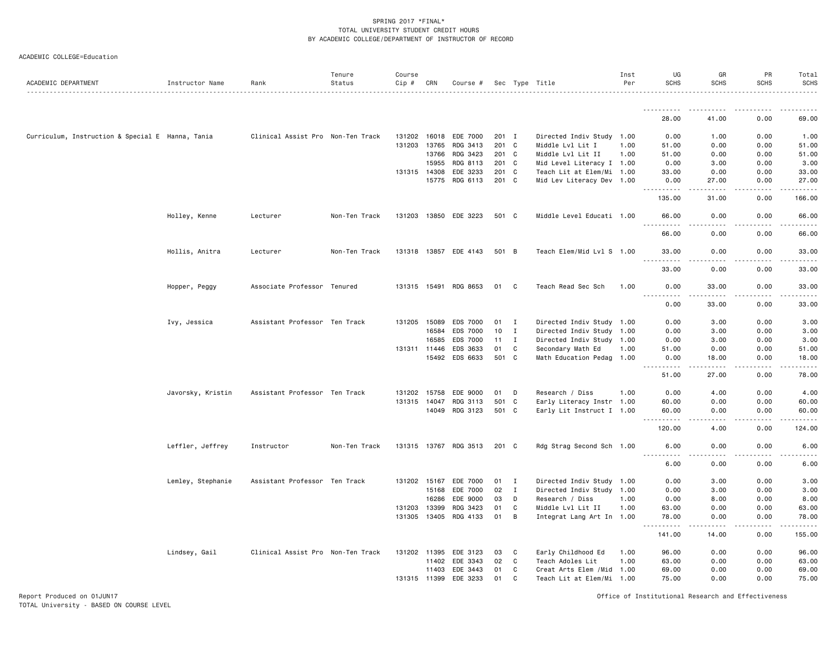| ACADEMIC COLLEGE=Education |  |  |
|----------------------------|--|--|
|----------------------------|--|--|

| ACADEMIC DEPARTMENT                              | Instructor Name   | Rank                              | Tenure<br>Status | Course<br>Cip # | CRN          | Course #              |       |              | Sec Type Title             | Inst<br>Per | UG<br><b>SCHS</b> | GR<br><b>SCHS</b>    | PR<br><b>SCHS</b> | Total<br><b>SCHS</b> |
|--------------------------------------------------|-------------------|-----------------------------------|------------------|-----------------|--------------|-----------------------|-------|--------------|----------------------------|-------------|-------------------|----------------------|-------------------|----------------------|
|                                                  |                   |                                   |                  |                 |              |                       |       |              |                            |             |                   |                      |                   |                      |
|                                                  |                   |                                   |                  |                 |              |                       |       |              |                            |             | <u>.</u><br>28.00 | 41.00                | 0.00              | 69.00                |
| Curriculum, Instruction & Special E Hanna, Tania |                   | Clinical Assist Pro Non-Ten Track |                  |                 | 131202 16018 | EDE 7000              | 201 I |              | Directed Indiv Study 1.00  |             | 0.00              | 1.00                 | 0.00              | 1.00                 |
|                                                  |                   |                                   |                  |                 | 131203 13765 | RDG 3413              | 201 C |              | Middle Lvl Lit I           | 1.00        | 51.00             | 0.00                 | 0.00              | 51.00                |
|                                                  |                   |                                   |                  |                 | 13766        | RDG 3423              | 201 C |              | Middle Lvl Lit II          | 1.00        | 51.00             | 0.00                 | 0.00              | 51.00                |
|                                                  |                   |                                   |                  |                 | 15955        | RDG 8113              | 201 C |              | Mid Level Literacy I 1.00  |             | 0.00              | 3.00                 | 0.00              | 3.00                 |
|                                                  |                   |                                   |                  |                 | 131315 14308 | EDE 3233              | 201 C |              | Teach Lit at Elem/Mi 1.00  |             | 33.00             | 0.00                 | 0.00              | 33.00                |
|                                                  |                   |                                   |                  |                 | 15775        | RDG 6113              | 201 C |              | Mid Lev Literacy Dev 1.00  |             | 0.00<br>د د د د د | 27.00                | 0.00              | 27.00                |
|                                                  |                   |                                   |                  |                 |              |                       |       |              |                            |             | 135.00            | 31.00                | 0.00              | 166.00               |
|                                                  | Holley, Kenne     | Lecturer                          | Non-Ten Track    |                 |              | 131203 13850 EDE 3223 | 501 C |              | Middle Level Educati 1.00  |             | 66.00<br>.        | 0.00<br>. <u>.</u> . | 0.00<br>.         | 66.00<br>.           |
|                                                  |                   |                                   |                  |                 |              |                       |       |              |                            |             | 66.00             | 0.00                 | 0.00              | 66.00                |
|                                                  | Hollis, Anitra    | Lecturer                          | Non-Ten Track    |                 |              | 131318 13857 EDE 4143 | 501 B |              | Teach Elem/Mid Lvl S 1.00  |             | 33.00<br>.        | 0.00<br>.            | 0.00<br>.         | 33.00<br>.           |
|                                                  |                   |                                   |                  |                 |              |                       |       |              |                            |             | 33.00             | 0.00                 | 0.00              | 33.00                |
|                                                  | Hopper, Peggy     | Associate Professor Tenured       |                  |                 |              | 131315 15491 RDG 8653 | 01    | C            | Teach Read Sec Sch         | 1.00        | 0.00<br>.         | 33.00<br>.           | 0.00<br>.         | 33.00<br>.           |
|                                                  |                   |                                   |                  |                 |              |                       |       |              |                            |             | 0.00              | 33.00                | 0.00              | 33.00                |
|                                                  | Ivy, Jessica      | Assistant Professor Ten Track     |                  |                 | 131205 15089 | EDS 7000              | 01    | $\mathbf{I}$ | Directed Indiv Study 1.00  |             | 0.00              | 3.00                 | 0.00              | 3.00                 |
|                                                  |                   |                                   |                  |                 | 16584        | <b>EDS 7000</b>       | 10    | I            | Directed Indiv Study 1.00  |             | 0.00              | 3.00                 | 0.00              | 3.00                 |
|                                                  |                   |                                   |                  |                 | 16585        | EDS 7000              | 11    | $\mathbf{I}$ | Directed Indiv Study 1.00  |             | 0.00              | 3.00                 | 0.00              | 3.00                 |
|                                                  |                   |                                   |                  |                 | 131311 11446 | EDS 3633              | 01    | C            | Secondary Math Ed          | 1.00        | 51.00             | 0.00                 | 0.00              | 51.00                |
|                                                  |                   |                                   |                  |                 |              | 15492 EDS 6633        | 501   | $\mathbf{C}$ | Math Education Pedag 1.00  |             | 0.00<br>.         | 18.00                | 0.00              | 18.00                |
|                                                  |                   |                                   |                  |                 |              |                       |       |              |                            |             | 51.00             | 27.00                | 0.00              | 78.00                |
|                                                  | Javorsky, Kristin | Assistant Professor Ten Track     |                  |                 | 131202 15758 | EDE 9000              | 01    | D            | Research / Diss            | 1.00        | 0.00              | 4.00                 | 0.00              | 4.00                 |
|                                                  |                   |                                   |                  |                 | 131315 14047 | RDG 3113              | 501   | C            | Early Literacy Instr 1.00  |             | 60.00             | 0.00                 | 0.00              | 60.00                |
|                                                  |                   |                                   |                  |                 | 14049        | RDG 3123              | 501 C |              | Early Lit Instruct I 1.00  |             | 60.00<br>.        | 0.00<br>د د د د      | 0.00<br>.         | 60.00<br>.           |
|                                                  |                   |                                   |                  |                 |              |                       |       |              |                            |             | 120.00            | 4.00                 | 0.00              | 124.00               |
|                                                  | Leffler, Jeffrey  | Instructor                        | Non-Ten Track    |                 |              | 131315 13767 RDG 3513 | 201 C |              | Rdg Strag Second Sch 1.00  |             | 6.00<br>.         | 0.00<br>.            | 0.00              | 6.00                 |
|                                                  |                   |                                   |                  |                 |              |                       |       |              |                            |             | 6.00              | 0.00                 | 0.00              | 6.00                 |
|                                                  | Lemley, Stephanie | Assistant Professor Ten Track     |                  |                 | 131202 15167 | EDE 7000              | 01    | I            | Directed Indiv Study 1.00  |             | 0.00              | 3.00                 | 0.00              | 3.00                 |
|                                                  |                   |                                   |                  |                 | 15168        | EDE 7000              | 02    | $\mathbf{I}$ | Directed Indiv Study 1.00  |             | 0.00              | 3.00                 | 0.00              | 3.00                 |
|                                                  |                   |                                   |                  |                 | 16286        | EDE 9000              | 03    | D            | Research / Diss            | 1.00        | 0.00              | 8.00                 | 0.00              | 8.00                 |
|                                                  |                   |                                   |                  | 131203 13399    |              | RDG 3423              | 01    | C            | Middle Lvl Lit II          | 1.00        | 63.00             | 0.00                 | 0.00              | 63.00                |
|                                                  |                   |                                   |                  |                 |              | 131305 13405 RDG 4133 | 01    | B            | Integrat Lang Art In 1.00  |             | 78.00<br>.        | 0.00                 | 0.00              | 78.00                |
|                                                  |                   |                                   |                  |                 |              |                       |       |              |                            |             | 141.00            | 14.00                | 0.00              | 155.00               |
|                                                  | Lindsey, Gail     | Clinical Assist Pro Non-Ten Track |                  |                 | 131202 11395 | EDE 3123              | 03    | C            | Early Childhood Ed         | 1.00        | 96.00             | 0.00                 | 0.00              | 96.00                |
|                                                  |                   |                                   |                  |                 | 11402        | EDE 3343              | 02    | C            | Teach Adoles Lit           | 1.00        | 63.00             | 0.00                 | 0.00              | 63.00                |
|                                                  |                   |                                   |                  |                 | 11403        | EDE 3443              | 01    | C            | Creat Arts Elem / Mid 1.00 |             | 69.00             | 0.00                 | 0.00              | 69.00                |
|                                                  |                   |                                   |                  |                 | 131315 11399 | EDE 3233              | 01    | C            | Teach Lit at Elem/Mi 1.00  |             | 75.00             | 0.00                 | 0.00              | 75.00                |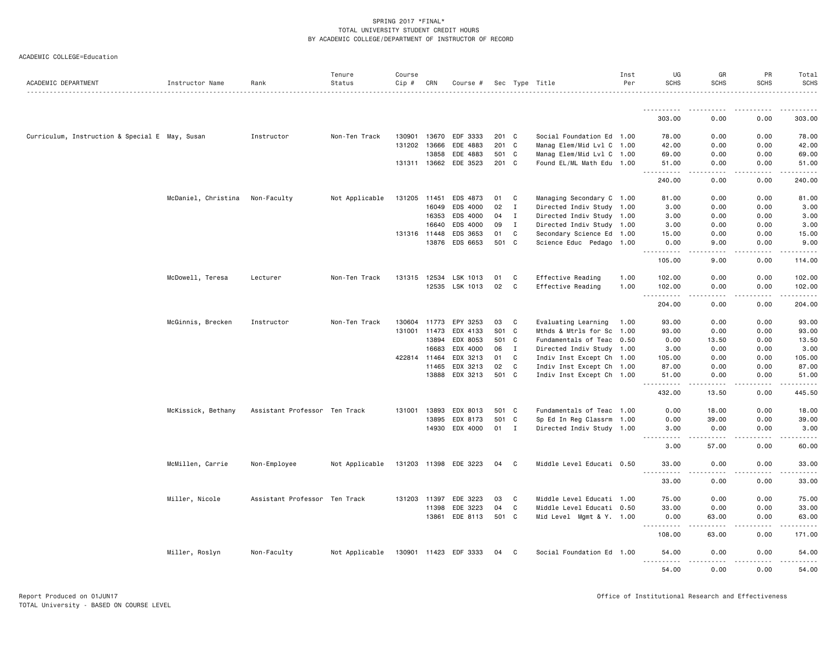|  |  | ACADEMIC COLLEGE=Education |
|--|--|----------------------------|
|--|--|----------------------------|

| <u>.</u><br>$\frac{1}{2} \left( \frac{1}{2} \right) \left( \frac{1}{2} \right) \left( \frac{1}{2} \right) \left( \frac{1}{2} \right) \left( \frac{1}{2} \right) \left( \frac{1}{2} \right)$<br>303.00<br>0.00<br>0.00<br>303.00<br>Social Foundation Ed 1.00<br>Curriculum, Instruction & Special E May, Susan<br>Instructor<br>Non-Ten Track<br>130901<br>13670<br>EDF 3333<br>201 C<br>78.00<br>0.00<br>0.00<br>78.00<br>131202 13666<br>EDE 4883<br>201 C<br>Manag Elem/Mid Lvl C 1.00<br>42.00<br>0.00<br>0.00<br>42.00<br>EDE 4883<br>501 C<br>Manag Elem/Mid Lvl C 1.00<br>69.00<br>0.00<br>0.00<br>69.00<br>13858<br>EDE 3523<br>131311 13662<br>201 C<br>Found EL/ML Math Edu 1.00<br>51.00<br>0.00<br>0.00<br>51.00<br>$\sim$ $\sim$ $\sim$<br>.<br>.<br>240.00<br>240.00<br>0.00<br>0.00<br>McDaniel, Christina<br>Non-Faculty<br>Not Applicable<br>131205 11451<br>EDS 4873<br>01<br>C<br>Managing Secondary C 1.00<br>81.00<br>0.00<br>0.00<br>81.00<br>16049<br>EDS 4000<br>02<br>$\mathbf{I}$<br>Directed Indiv Study 1.00<br>3.00<br>0.00<br>0.00<br>3.00<br>EDS 4000<br>$\mathbf{I}$<br>Directed Indiv Study 1.00<br>3.00<br>0.00<br>0.00<br>3.00<br>16353<br>04<br>EDS 4000<br>3.00<br>16640<br>09<br>$\mathbf{I}$<br>Directed Indiv Study 1.00<br>3.00<br>0.00<br>0.00<br>C<br>Secondary Science Ed 1.00<br>131316 11448<br>EDS 3653<br>01<br>15.00<br>0.00<br>0.00<br>15.00<br>EDS 6653<br>501<br>C<br>Science Educ Pedago 1.00<br>0.00<br>9.00<br>13876<br>0.00<br>9.00<br>.<br>الدامات بال<br>.<br>$- - - - - -$<br>105.00<br>0.00<br>9.00<br>114.00<br>McDowell, Teresa<br>Non-Ten Track<br>131315<br>LSK 1013<br>C<br>Effective Reading<br>102.00<br>0.00<br>0.00<br>102.00<br>Lecturer<br>12534<br>01<br>1.00<br>12535<br>LSK 1013<br>02<br>C<br>Effective Reading<br>1.00<br>102.00<br>0.00<br>0.00<br>102.00<br>.<br>.<br>.<br>.<br>204.00<br>0.00<br>0.00<br>204.00<br>McGinnis, Brecken<br>Non-Ten Track<br>0.00<br>Instructor<br>130604 11773<br>EPY 3253<br>03<br>C.<br>Evaluating Learning<br>93.00<br>0.00<br>93.00<br>1.00<br>131001<br>EDX 4133<br>S01<br>C<br>Mthds & Mtrls for Sc 1.00<br>93.00<br>0.00<br>0.00<br>93.00<br>11473<br>EDX 8053<br>13.50<br>13894<br>501<br>C.<br>Fundamentals of Teac 0.50<br>0.00<br>13.50<br>0.00<br>$\mathbf{I}$<br>Directed Indiv Study 1.00<br>16683<br>EDX 4000<br>06<br>3.00<br>0.00<br>0.00<br>3.00<br>422814 11464<br>EDX 3213<br>01<br>C<br>Indiv Inst Except Ch 1.00<br>105.00<br>0.00<br>0.00<br>105.00<br>11465<br>EDX 3213<br>02<br>C<br>Indiv Inst Except Ch 1.00<br>87.00<br>0.00<br>0.00<br>87.00<br>EDX 3213<br>501 C<br>13888<br>Indiv Inst Except Ch 1.00<br>51.00<br>0.00<br>0.00<br>51.00<br>.<br>$- - - - -$<br>$\frac{1}{2}$<br>.<br>432.00<br>13.50<br>0.00<br>445.50<br>Fundamentals of Teac 1.00<br>0.00<br>18.00<br>McKissick, Bethany<br>Assistant Professor Ten Track<br>13893<br>EDX 8013<br>501 C<br>0.00<br>18.00<br>131001<br>501<br>Sp Ed In Reg Classrm 1.00<br>13895<br>EDX 8173<br>C<br>0.00<br>39.00<br>0.00<br>39.00<br>EDX 4000<br>01<br>$\mathbf{I}$<br>Directed Indiv Study 1.00<br>3.00<br>14930<br>3.00<br>0.00<br>0.00<br>.<br>$\sim$ $\sim$ $\sim$ $\sim$ $\sim$<br>.<br>3.00<br>57.00<br>0.00<br>60.00<br>McMillen, Carrie<br>Middle Level Educati 0.50<br>Non-Employee<br>Not Applicable<br>131203 11398 EDE 3223<br>04<br>C<br>33.00<br>0.00<br>0.00<br>33.00<br>$  -$<br>33.00<br>0.00<br>0.00<br>33.00<br>Miller, Nicole<br>EDE 3223<br>C<br>Middle Level Educati 1.00<br>75.00<br>0.00<br>0.00<br>75.00<br>Assistant Professor Ten Track<br>131203 11397<br>03<br>C<br>11398<br>EDE 3223<br>04<br>Middle Level Educati 0.50<br>33.00<br>0.00<br>0.00<br>33.00<br>13861<br>EDE 8113<br>501 C<br>63.00<br>0.00<br>63.00<br>Mid Level Mgmt & Y. 1.00<br>0.00<br>.<br>.<br>.<br>.<br>108.00<br>63.00<br>0.00<br>171.00<br>Miller, Roslyn<br>Non-Faculty<br>Not Applicable<br>130901 11423 EDF 3333<br>C<br>Social Foundation Ed 1.00<br>0.00<br>04<br>54.00<br>0.00<br>54,00<br>$\frac{1}{2}$<br>.<br>54.00<br>0.00<br>0.00<br>54.00 | ACADEMIC DEPARTMENT | Instructor Name | Rank | Tenure<br>Status | Course<br>Cip # | CRN | Course # |  | Sec Type Title | Inst<br>Per | UG<br><b>SCHS</b> | GR<br><b>SCHS</b> | PR<br><b>SCHS</b> | Total<br>SCHS |
|----------------------------------------------------------------------------------------------------------------------------------------------------------------------------------------------------------------------------------------------------------------------------------------------------------------------------------------------------------------------------------------------------------------------------------------------------------------------------------------------------------------------------------------------------------------------------------------------------------------------------------------------------------------------------------------------------------------------------------------------------------------------------------------------------------------------------------------------------------------------------------------------------------------------------------------------------------------------------------------------------------------------------------------------------------------------------------------------------------------------------------------------------------------------------------------------------------------------------------------------------------------------------------------------------------------------------------------------------------------------------------------------------------------------------------------------------------------------------------------------------------------------------------------------------------------------------------------------------------------------------------------------------------------------------------------------------------------------------------------------------------------------------------------------------------------------------------------------------------------------------------------------------------------------------------------------------------------------------------------------------------------------------------------------------------------------------------------------------------------------------------------------------------------------------------------------------------------------------------------------------------------------------------------------------------------------------------------------------------------------------------------------------------------------------------------------------------------------------------------------------------------------------------------------------------------------------------------------------------------------------------------------------------------------------------------------------------------------------------------------------------------------------------------------------------------------------------------------------------------------------------------------------------------------------------------------------------------------------------------------------------------------------------------------------------------------------------------------------------------------------------------------------------------------------------------------------------------------------------------------------------------------------------------------------------------------------------------------------------------------------------------------------------------------------------------------------------------------------------------------------------------------------------------------------------------------------------------------------------------------------------------------------------------------------------------------------------------------------------------------------------------------------------------------------------------------------------------------------------------------------------------------------------------------------------------------------------------------------------------------------------------------------------------------------------|---------------------|-----------------|------|------------------|-----------------|-----|----------|--|----------------|-------------|-------------------|-------------------|-------------------|---------------|
|                                                                                                                                                                                                                                                                                                                                                                                                                                                                                                                                                                                                                                                                                                                                                                                                                                                                                                                                                                                                                                                                                                                                                                                                                                                                                                                                                                                                                                                                                                                                                                                                                                                                                                                                                                                                                                                                                                                                                                                                                                                                                                                                                                                                                                                                                                                                                                                                                                                                                                                                                                                                                                                                                                                                                                                                                                                                                                                                                                                                                                                                                                                                                                                                                                                                                                                                                                                                                                                                                                                                                                                                                                                                                                                                                                                                                                                                                                                                                                                                                                                          |                     |                 |      |                  |                 |     |          |  |                |             |                   |                   |                   |               |
|                                                                                                                                                                                                                                                                                                                                                                                                                                                                                                                                                                                                                                                                                                                                                                                                                                                                                                                                                                                                                                                                                                                                                                                                                                                                                                                                                                                                                                                                                                                                                                                                                                                                                                                                                                                                                                                                                                                                                                                                                                                                                                                                                                                                                                                                                                                                                                                                                                                                                                                                                                                                                                                                                                                                                                                                                                                                                                                                                                                                                                                                                                                                                                                                                                                                                                                                                                                                                                                                                                                                                                                                                                                                                                                                                                                                                                                                                                                                                                                                                                                          |                     |                 |      |                  |                 |     |          |  |                |             |                   |                   |                   |               |
|                                                                                                                                                                                                                                                                                                                                                                                                                                                                                                                                                                                                                                                                                                                                                                                                                                                                                                                                                                                                                                                                                                                                                                                                                                                                                                                                                                                                                                                                                                                                                                                                                                                                                                                                                                                                                                                                                                                                                                                                                                                                                                                                                                                                                                                                                                                                                                                                                                                                                                                                                                                                                                                                                                                                                                                                                                                                                                                                                                                                                                                                                                                                                                                                                                                                                                                                                                                                                                                                                                                                                                                                                                                                                                                                                                                                                                                                                                                                                                                                                                                          |                     |                 |      |                  |                 |     |          |  |                |             |                   |                   |                   |               |
|                                                                                                                                                                                                                                                                                                                                                                                                                                                                                                                                                                                                                                                                                                                                                                                                                                                                                                                                                                                                                                                                                                                                                                                                                                                                                                                                                                                                                                                                                                                                                                                                                                                                                                                                                                                                                                                                                                                                                                                                                                                                                                                                                                                                                                                                                                                                                                                                                                                                                                                                                                                                                                                                                                                                                                                                                                                                                                                                                                                                                                                                                                                                                                                                                                                                                                                                                                                                                                                                                                                                                                                                                                                                                                                                                                                                                                                                                                                                                                                                                                                          |                     |                 |      |                  |                 |     |          |  |                |             |                   |                   |                   |               |
|                                                                                                                                                                                                                                                                                                                                                                                                                                                                                                                                                                                                                                                                                                                                                                                                                                                                                                                                                                                                                                                                                                                                                                                                                                                                                                                                                                                                                                                                                                                                                                                                                                                                                                                                                                                                                                                                                                                                                                                                                                                                                                                                                                                                                                                                                                                                                                                                                                                                                                                                                                                                                                                                                                                                                                                                                                                                                                                                                                                                                                                                                                                                                                                                                                                                                                                                                                                                                                                                                                                                                                                                                                                                                                                                                                                                                                                                                                                                                                                                                                                          |                     |                 |      |                  |                 |     |          |  |                |             |                   |                   |                   |               |
|                                                                                                                                                                                                                                                                                                                                                                                                                                                                                                                                                                                                                                                                                                                                                                                                                                                                                                                                                                                                                                                                                                                                                                                                                                                                                                                                                                                                                                                                                                                                                                                                                                                                                                                                                                                                                                                                                                                                                                                                                                                                                                                                                                                                                                                                                                                                                                                                                                                                                                                                                                                                                                                                                                                                                                                                                                                                                                                                                                                                                                                                                                                                                                                                                                                                                                                                                                                                                                                                                                                                                                                                                                                                                                                                                                                                                                                                                                                                                                                                                                                          |                     |                 |      |                  |                 |     |          |  |                |             |                   |                   |                   |               |
|                                                                                                                                                                                                                                                                                                                                                                                                                                                                                                                                                                                                                                                                                                                                                                                                                                                                                                                                                                                                                                                                                                                                                                                                                                                                                                                                                                                                                                                                                                                                                                                                                                                                                                                                                                                                                                                                                                                                                                                                                                                                                                                                                                                                                                                                                                                                                                                                                                                                                                                                                                                                                                                                                                                                                                                                                                                                                                                                                                                                                                                                                                                                                                                                                                                                                                                                                                                                                                                                                                                                                                                                                                                                                                                                                                                                                                                                                                                                                                                                                                                          |                     |                 |      |                  |                 |     |          |  |                |             |                   |                   |                   |               |
|                                                                                                                                                                                                                                                                                                                                                                                                                                                                                                                                                                                                                                                                                                                                                                                                                                                                                                                                                                                                                                                                                                                                                                                                                                                                                                                                                                                                                                                                                                                                                                                                                                                                                                                                                                                                                                                                                                                                                                                                                                                                                                                                                                                                                                                                                                                                                                                                                                                                                                                                                                                                                                                                                                                                                                                                                                                                                                                                                                                                                                                                                                                                                                                                                                                                                                                                                                                                                                                                                                                                                                                                                                                                                                                                                                                                                                                                                                                                                                                                                                                          |                     |                 |      |                  |                 |     |          |  |                |             |                   |                   |                   |               |
|                                                                                                                                                                                                                                                                                                                                                                                                                                                                                                                                                                                                                                                                                                                                                                                                                                                                                                                                                                                                                                                                                                                                                                                                                                                                                                                                                                                                                                                                                                                                                                                                                                                                                                                                                                                                                                                                                                                                                                                                                                                                                                                                                                                                                                                                                                                                                                                                                                                                                                                                                                                                                                                                                                                                                                                                                                                                                                                                                                                                                                                                                                                                                                                                                                                                                                                                                                                                                                                                                                                                                                                                                                                                                                                                                                                                                                                                                                                                                                                                                                                          |                     |                 |      |                  |                 |     |          |  |                |             |                   |                   |                   |               |
|                                                                                                                                                                                                                                                                                                                                                                                                                                                                                                                                                                                                                                                                                                                                                                                                                                                                                                                                                                                                                                                                                                                                                                                                                                                                                                                                                                                                                                                                                                                                                                                                                                                                                                                                                                                                                                                                                                                                                                                                                                                                                                                                                                                                                                                                                                                                                                                                                                                                                                                                                                                                                                                                                                                                                                                                                                                                                                                                                                                                                                                                                                                                                                                                                                                                                                                                                                                                                                                                                                                                                                                                                                                                                                                                                                                                                                                                                                                                                                                                                                                          |                     |                 |      |                  |                 |     |          |  |                |             |                   |                   |                   |               |
|                                                                                                                                                                                                                                                                                                                                                                                                                                                                                                                                                                                                                                                                                                                                                                                                                                                                                                                                                                                                                                                                                                                                                                                                                                                                                                                                                                                                                                                                                                                                                                                                                                                                                                                                                                                                                                                                                                                                                                                                                                                                                                                                                                                                                                                                                                                                                                                                                                                                                                                                                                                                                                                                                                                                                                                                                                                                                                                                                                                                                                                                                                                                                                                                                                                                                                                                                                                                                                                                                                                                                                                                                                                                                                                                                                                                                                                                                                                                                                                                                                                          |                     |                 |      |                  |                 |     |          |  |                |             |                   |                   |                   |               |
|                                                                                                                                                                                                                                                                                                                                                                                                                                                                                                                                                                                                                                                                                                                                                                                                                                                                                                                                                                                                                                                                                                                                                                                                                                                                                                                                                                                                                                                                                                                                                                                                                                                                                                                                                                                                                                                                                                                                                                                                                                                                                                                                                                                                                                                                                                                                                                                                                                                                                                                                                                                                                                                                                                                                                                                                                                                                                                                                                                                                                                                                                                                                                                                                                                                                                                                                                                                                                                                                                                                                                                                                                                                                                                                                                                                                                                                                                                                                                                                                                                                          |                     |                 |      |                  |                 |     |          |  |                |             |                   |                   |                   |               |
|                                                                                                                                                                                                                                                                                                                                                                                                                                                                                                                                                                                                                                                                                                                                                                                                                                                                                                                                                                                                                                                                                                                                                                                                                                                                                                                                                                                                                                                                                                                                                                                                                                                                                                                                                                                                                                                                                                                                                                                                                                                                                                                                                                                                                                                                                                                                                                                                                                                                                                                                                                                                                                                                                                                                                                                                                                                                                                                                                                                                                                                                                                                                                                                                                                                                                                                                                                                                                                                                                                                                                                                                                                                                                                                                                                                                                                                                                                                                                                                                                                                          |                     |                 |      |                  |                 |     |          |  |                |             |                   |                   |                   |               |
|                                                                                                                                                                                                                                                                                                                                                                                                                                                                                                                                                                                                                                                                                                                                                                                                                                                                                                                                                                                                                                                                                                                                                                                                                                                                                                                                                                                                                                                                                                                                                                                                                                                                                                                                                                                                                                                                                                                                                                                                                                                                                                                                                                                                                                                                                                                                                                                                                                                                                                                                                                                                                                                                                                                                                                                                                                                                                                                                                                                                                                                                                                                                                                                                                                                                                                                                                                                                                                                                                                                                                                                                                                                                                                                                                                                                                                                                                                                                                                                                                                                          |                     |                 |      |                  |                 |     |          |  |                |             |                   |                   |                   |               |
|                                                                                                                                                                                                                                                                                                                                                                                                                                                                                                                                                                                                                                                                                                                                                                                                                                                                                                                                                                                                                                                                                                                                                                                                                                                                                                                                                                                                                                                                                                                                                                                                                                                                                                                                                                                                                                                                                                                                                                                                                                                                                                                                                                                                                                                                                                                                                                                                                                                                                                                                                                                                                                                                                                                                                                                                                                                                                                                                                                                                                                                                                                                                                                                                                                                                                                                                                                                                                                                                                                                                                                                                                                                                                                                                                                                                                                                                                                                                                                                                                                                          |                     |                 |      |                  |                 |     |          |  |                |             |                   |                   |                   |               |
|                                                                                                                                                                                                                                                                                                                                                                                                                                                                                                                                                                                                                                                                                                                                                                                                                                                                                                                                                                                                                                                                                                                                                                                                                                                                                                                                                                                                                                                                                                                                                                                                                                                                                                                                                                                                                                                                                                                                                                                                                                                                                                                                                                                                                                                                                                                                                                                                                                                                                                                                                                                                                                                                                                                                                                                                                                                                                                                                                                                                                                                                                                                                                                                                                                                                                                                                                                                                                                                                                                                                                                                                                                                                                                                                                                                                                                                                                                                                                                                                                                                          |                     |                 |      |                  |                 |     |          |  |                |             |                   |                   |                   |               |
|                                                                                                                                                                                                                                                                                                                                                                                                                                                                                                                                                                                                                                                                                                                                                                                                                                                                                                                                                                                                                                                                                                                                                                                                                                                                                                                                                                                                                                                                                                                                                                                                                                                                                                                                                                                                                                                                                                                                                                                                                                                                                                                                                                                                                                                                                                                                                                                                                                                                                                                                                                                                                                                                                                                                                                                                                                                                                                                                                                                                                                                                                                                                                                                                                                                                                                                                                                                                                                                                                                                                                                                                                                                                                                                                                                                                                                                                                                                                                                                                                                                          |                     |                 |      |                  |                 |     |          |  |                |             |                   |                   |                   |               |
|                                                                                                                                                                                                                                                                                                                                                                                                                                                                                                                                                                                                                                                                                                                                                                                                                                                                                                                                                                                                                                                                                                                                                                                                                                                                                                                                                                                                                                                                                                                                                                                                                                                                                                                                                                                                                                                                                                                                                                                                                                                                                                                                                                                                                                                                                                                                                                                                                                                                                                                                                                                                                                                                                                                                                                                                                                                                                                                                                                                                                                                                                                                                                                                                                                                                                                                                                                                                                                                                                                                                                                                                                                                                                                                                                                                                                                                                                                                                                                                                                                                          |                     |                 |      |                  |                 |     |          |  |                |             |                   |                   |                   |               |
|                                                                                                                                                                                                                                                                                                                                                                                                                                                                                                                                                                                                                                                                                                                                                                                                                                                                                                                                                                                                                                                                                                                                                                                                                                                                                                                                                                                                                                                                                                                                                                                                                                                                                                                                                                                                                                                                                                                                                                                                                                                                                                                                                                                                                                                                                                                                                                                                                                                                                                                                                                                                                                                                                                                                                                                                                                                                                                                                                                                                                                                                                                                                                                                                                                                                                                                                                                                                                                                                                                                                                                                                                                                                                                                                                                                                                                                                                                                                                                                                                                                          |                     |                 |      |                  |                 |     |          |  |                |             |                   |                   |                   |               |
|                                                                                                                                                                                                                                                                                                                                                                                                                                                                                                                                                                                                                                                                                                                                                                                                                                                                                                                                                                                                                                                                                                                                                                                                                                                                                                                                                                                                                                                                                                                                                                                                                                                                                                                                                                                                                                                                                                                                                                                                                                                                                                                                                                                                                                                                                                                                                                                                                                                                                                                                                                                                                                                                                                                                                                                                                                                                                                                                                                                                                                                                                                                                                                                                                                                                                                                                                                                                                                                                                                                                                                                                                                                                                                                                                                                                                                                                                                                                                                                                                                                          |                     |                 |      |                  |                 |     |          |  |                |             |                   |                   |                   |               |
|                                                                                                                                                                                                                                                                                                                                                                                                                                                                                                                                                                                                                                                                                                                                                                                                                                                                                                                                                                                                                                                                                                                                                                                                                                                                                                                                                                                                                                                                                                                                                                                                                                                                                                                                                                                                                                                                                                                                                                                                                                                                                                                                                                                                                                                                                                                                                                                                                                                                                                                                                                                                                                                                                                                                                                                                                                                                                                                                                                                                                                                                                                                                                                                                                                                                                                                                                                                                                                                                                                                                                                                                                                                                                                                                                                                                                                                                                                                                                                                                                                                          |                     |                 |      |                  |                 |     |          |  |                |             |                   |                   |                   |               |
|                                                                                                                                                                                                                                                                                                                                                                                                                                                                                                                                                                                                                                                                                                                                                                                                                                                                                                                                                                                                                                                                                                                                                                                                                                                                                                                                                                                                                                                                                                                                                                                                                                                                                                                                                                                                                                                                                                                                                                                                                                                                                                                                                                                                                                                                                                                                                                                                                                                                                                                                                                                                                                                                                                                                                                                                                                                                                                                                                                                                                                                                                                                                                                                                                                                                                                                                                                                                                                                                                                                                                                                                                                                                                                                                                                                                                                                                                                                                                                                                                                                          |                     |                 |      |                  |                 |     |          |  |                |             |                   |                   |                   |               |
|                                                                                                                                                                                                                                                                                                                                                                                                                                                                                                                                                                                                                                                                                                                                                                                                                                                                                                                                                                                                                                                                                                                                                                                                                                                                                                                                                                                                                                                                                                                                                                                                                                                                                                                                                                                                                                                                                                                                                                                                                                                                                                                                                                                                                                                                                                                                                                                                                                                                                                                                                                                                                                                                                                                                                                                                                                                                                                                                                                                                                                                                                                                                                                                                                                                                                                                                                                                                                                                                                                                                                                                                                                                                                                                                                                                                                                                                                                                                                                                                                                                          |                     |                 |      |                  |                 |     |          |  |                |             |                   |                   |                   |               |
|                                                                                                                                                                                                                                                                                                                                                                                                                                                                                                                                                                                                                                                                                                                                                                                                                                                                                                                                                                                                                                                                                                                                                                                                                                                                                                                                                                                                                                                                                                                                                                                                                                                                                                                                                                                                                                                                                                                                                                                                                                                                                                                                                                                                                                                                                                                                                                                                                                                                                                                                                                                                                                                                                                                                                                                                                                                                                                                                                                                                                                                                                                                                                                                                                                                                                                                                                                                                                                                                                                                                                                                                                                                                                                                                                                                                                                                                                                                                                                                                                                                          |                     |                 |      |                  |                 |     |          |  |                |             |                   |                   |                   |               |
|                                                                                                                                                                                                                                                                                                                                                                                                                                                                                                                                                                                                                                                                                                                                                                                                                                                                                                                                                                                                                                                                                                                                                                                                                                                                                                                                                                                                                                                                                                                                                                                                                                                                                                                                                                                                                                                                                                                                                                                                                                                                                                                                                                                                                                                                                                                                                                                                                                                                                                                                                                                                                                                                                                                                                                                                                                                                                                                                                                                                                                                                                                                                                                                                                                                                                                                                                                                                                                                                                                                                                                                                                                                                                                                                                                                                                                                                                                                                                                                                                                                          |                     |                 |      |                  |                 |     |          |  |                |             |                   |                   |                   |               |
|                                                                                                                                                                                                                                                                                                                                                                                                                                                                                                                                                                                                                                                                                                                                                                                                                                                                                                                                                                                                                                                                                                                                                                                                                                                                                                                                                                                                                                                                                                                                                                                                                                                                                                                                                                                                                                                                                                                                                                                                                                                                                                                                                                                                                                                                                                                                                                                                                                                                                                                                                                                                                                                                                                                                                                                                                                                                                                                                                                                                                                                                                                                                                                                                                                                                                                                                                                                                                                                                                                                                                                                                                                                                                                                                                                                                                                                                                                                                                                                                                                                          |                     |                 |      |                  |                 |     |          |  |                |             |                   |                   |                   |               |
|                                                                                                                                                                                                                                                                                                                                                                                                                                                                                                                                                                                                                                                                                                                                                                                                                                                                                                                                                                                                                                                                                                                                                                                                                                                                                                                                                                                                                                                                                                                                                                                                                                                                                                                                                                                                                                                                                                                                                                                                                                                                                                                                                                                                                                                                                                                                                                                                                                                                                                                                                                                                                                                                                                                                                                                                                                                                                                                                                                                                                                                                                                                                                                                                                                                                                                                                                                                                                                                                                                                                                                                                                                                                                                                                                                                                                                                                                                                                                                                                                                                          |                     |                 |      |                  |                 |     |          |  |                |             |                   |                   |                   |               |
|                                                                                                                                                                                                                                                                                                                                                                                                                                                                                                                                                                                                                                                                                                                                                                                                                                                                                                                                                                                                                                                                                                                                                                                                                                                                                                                                                                                                                                                                                                                                                                                                                                                                                                                                                                                                                                                                                                                                                                                                                                                                                                                                                                                                                                                                                                                                                                                                                                                                                                                                                                                                                                                                                                                                                                                                                                                                                                                                                                                                                                                                                                                                                                                                                                                                                                                                                                                                                                                                                                                                                                                                                                                                                                                                                                                                                                                                                                                                                                                                                                                          |                     |                 |      |                  |                 |     |          |  |                |             |                   |                   |                   |               |
|                                                                                                                                                                                                                                                                                                                                                                                                                                                                                                                                                                                                                                                                                                                                                                                                                                                                                                                                                                                                                                                                                                                                                                                                                                                                                                                                                                                                                                                                                                                                                                                                                                                                                                                                                                                                                                                                                                                                                                                                                                                                                                                                                                                                                                                                                                                                                                                                                                                                                                                                                                                                                                                                                                                                                                                                                                                                                                                                                                                                                                                                                                                                                                                                                                                                                                                                                                                                                                                                                                                                                                                                                                                                                                                                                                                                                                                                                                                                                                                                                                                          |                     |                 |      |                  |                 |     |          |  |                |             |                   |                   |                   |               |
|                                                                                                                                                                                                                                                                                                                                                                                                                                                                                                                                                                                                                                                                                                                                                                                                                                                                                                                                                                                                                                                                                                                                                                                                                                                                                                                                                                                                                                                                                                                                                                                                                                                                                                                                                                                                                                                                                                                                                                                                                                                                                                                                                                                                                                                                                                                                                                                                                                                                                                                                                                                                                                                                                                                                                                                                                                                                                                                                                                                                                                                                                                                                                                                                                                                                                                                                                                                                                                                                                                                                                                                                                                                                                                                                                                                                                                                                                                                                                                                                                                                          |                     |                 |      |                  |                 |     |          |  |                |             |                   |                   |                   |               |
|                                                                                                                                                                                                                                                                                                                                                                                                                                                                                                                                                                                                                                                                                                                                                                                                                                                                                                                                                                                                                                                                                                                                                                                                                                                                                                                                                                                                                                                                                                                                                                                                                                                                                                                                                                                                                                                                                                                                                                                                                                                                                                                                                                                                                                                                                                                                                                                                                                                                                                                                                                                                                                                                                                                                                                                                                                                                                                                                                                                                                                                                                                                                                                                                                                                                                                                                                                                                                                                                                                                                                                                                                                                                                                                                                                                                                                                                                                                                                                                                                                                          |                     |                 |      |                  |                 |     |          |  |                |             |                   |                   |                   |               |
|                                                                                                                                                                                                                                                                                                                                                                                                                                                                                                                                                                                                                                                                                                                                                                                                                                                                                                                                                                                                                                                                                                                                                                                                                                                                                                                                                                                                                                                                                                                                                                                                                                                                                                                                                                                                                                                                                                                                                                                                                                                                                                                                                                                                                                                                                                                                                                                                                                                                                                                                                                                                                                                                                                                                                                                                                                                                                                                                                                                                                                                                                                                                                                                                                                                                                                                                                                                                                                                                                                                                                                                                                                                                                                                                                                                                                                                                                                                                                                                                                                                          |                     |                 |      |                  |                 |     |          |  |                |             |                   |                   |                   |               |
|                                                                                                                                                                                                                                                                                                                                                                                                                                                                                                                                                                                                                                                                                                                                                                                                                                                                                                                                                                                                                                                                                                                                                                                                                                                                                                                                                                                                                                                                                                                                                                                                                                                                                                                                                                                                                                                                                                                                                                                                                                                                                                                                                                                                                                                                                                                                                                                                                                                                                                                                                                                                                                                                                                                                                                                                                                                                                                                                                                                                                                                                                                                                                                                                                                                                                                                                                                                                                                                                                                                                                                                                                                                                                                                                                                                                                                                                                                                                                                                                                                                          |                     |                 |      |                  |                 |     |          |  |                |             |                   |                   |                   |               |
|                                                                                                                                                                                                                                                                                                                                                                                                                                                                                                                                                                                                                                                                                                                                                                                                                                                                                                                                                                                                                                                                                                                                                                                                                                                                                                                                                                                                                                                                                                                                                                                                                                                                                                                                                                                                                                                                                                                                                                                                                                                                                                                                                                                                                                                                                                                                                                                                                                                                                                                                                                                                                                                                                                                                                                                                                                                                                                                                                                                                                                                                                                                                                                                                                                                                                                                                                                                                                                                                                                                                                                                                                                                                                                                                                                                                                                                                                                                                                                                                                                                          |                     |                 |      |                  |                 |     |          |  |                |             |                   |                   |                   |               |
|                                                                                                                                                                                                                                                                                                                                                                                                                                                                                                                                                                                                                                                                                                                                                                                                                                                                                                                                                                                                                                                                                                                                                                                                                                                                                                                                                                                                                                                                                                                                                                                                                                                                                                                                                                                                                                                                                                                                                                                                                                                                                                                                                                                                                                                                                                                                                                                                                                                                                                                                                                                                                                                                                                                                                                                                                                                                                                                                                                                                                                                                                                                                                                                                                                                                                                                                                                                                                                                                                                                                                                                                                                                                                                                                                                                                                                                                                                                                                                                                                                                          |                     |                 |      |                  |                 |     |          |  |                |             |                   |                   |                   |               |
|                                                                                                                                                                                                                                                                                                                                                                                                                                                                                                                                                                                                                                                                                                                                                                                                                                                                                                                                                                                                                                                                                                                                                                                                                                                                                                                                                                                                                                                                                                                                                                                                                                                                                                                                                                                                                                                                                                                                                                                                                                                                                                                                                                                                                                                                                                                                                                                                                                                                                                                                                                                                                                                                                                                                                                                                                                                                                                                                                                                                                                                                                                                                                                                                                                                                                                                                                                                                                                                                                                                                                                                                                                                                                                                                                                                                                                                                                                                                                                                                                                                          |                     |                 |      |                  |                 |     |          |  |                |             |                   |                   |                   |               |
|                                                                                                                                                                                                                                                                                                                                                                                                                                                                                                                                                                                                                                                                                                                                                                                                                                                                                                                                                                                                                                                                                                                                                                                                                                                                                                                                                                                                                                                                                                                                                                                                                                                                                                                                                                                                                                                                                                                                                                                                                                                                                                                                                                                                                                                                                                                                                                                                                                                                                                                                                                                                                                                                                                                                                                                                                                                                                                                                                                                                                                                                                                                                                                                                                                                                                                                                                                                                                                                                                                                                                                                                                                                                                                                                                                                                                                                                                                                                                                                                                                                          |                     |                 |      |                  |                 |     |          |  |                |             |                   |                   |                   |               |
|                                                                                                                                                                                                                                                                                                                                                                                                                                                                                                                                                                                                                                                                                                                                                                                                                                                                                                                                                                                                                                                                                                                                                                                                                                                                                                                                                                                                                                                                                                                                                                                                                                                                                                                                                                                                                                                                                                                                                                                                                                                                                                                                                                                                                                                                                                                                                                                                                                                                                                                                                                                                                                                                                                                                                                                                                                                                                                                                                                                                                                                                                                                                                                                                                                                                                                                                                                                                                                                                                                                                                                                                                                                                                                                                                                                                                                                                                                                                                                                                                                                          |                     |                 |      |                  |                 |     |          |  |                |             |                   |                   |                   |               |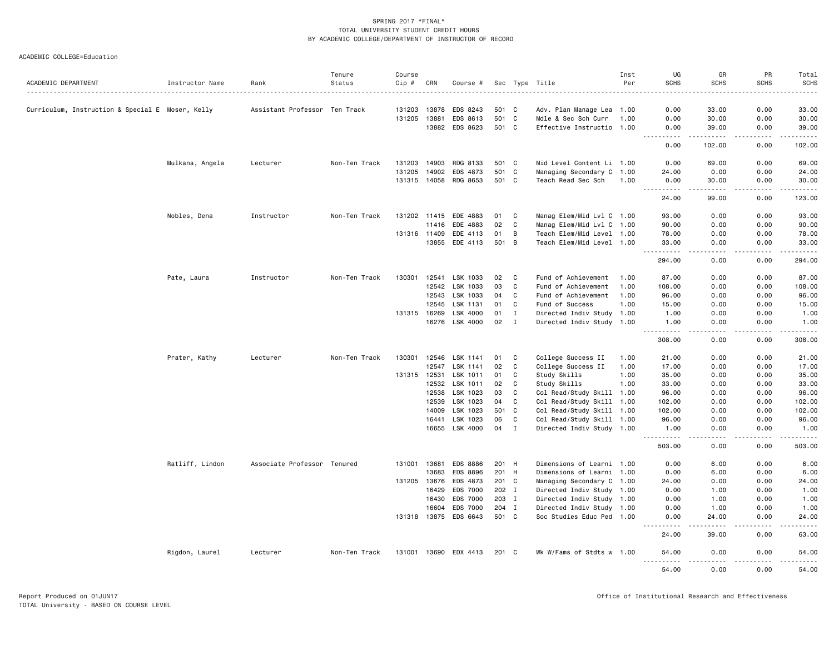|                                                  |                 |                               | Tenure        | Course       |                |                       |                |              |                                                  | Inst | UG                                                                                                          | GR                                                                                                                                                            | PR               | Total             |
|--------------------------------------------------|-----------------|-------------------------------|---------------|--------------|----------------|-----------------------|----------------|--------------|--------------------------------------------------|------|-------------------------------------------------------------------------------------------------------------|---------------------------------------------------------------------------------------------------------------------------------------------------------------|------------------|-------------------|
| ACADEMIC DEPARTMENT                              | Instructor Name | Rank                          | Status        | Cip #        | CRN            | Course #              |                |              | Sec Type Title                                   | Per  | <b>SCHS</b>                                                                                                 | <b>SCHS</b>                                                                                                                                                   | <b>SCHS</b>      | SCHS<br>.         |
|                                                  |                 |                               |               |              |                |                       |                |              |                                                  |      |                                                                                                             |                                                                                                                                                               |                  |                   |
| Curriculum, Instruction & Special E Moser, Kelly |                 | Assistant Professor Ten Track |               | 131203       | 13878          | EDS 8243              | 501 C          |              | Adv. Plan Manage Lea 1.00                        |      | 0.00                                                                                                        | 33.00                                                                                                                                                         | 0.00             | 33.00             |
|                                                  |                 |                               |               | 131205       | 13881<br>13882 | EDS 8613<br>EDS 8623  | 501 C<br>501 C |              | Mdle & Sec Sch Curr<br>Effective Instructio 1.00 | 1.00 | 0.00                                                                                                        | 30.00<br>39.00                                                                                                                                                | 0.00<br>0.00     | 30.00<br>39.00    |
|                                                  |                 |                               |               |              |                |                       |                |              |                                                  |      | 0.00<br>$\frac{1}{2} \left( \frac{1}{2} \right) \left( \frac{1}{2} \right) \left( \frac{1}{2} \right)$<br>. | <u>.</u>                                                                                                                                                      | .                | .                 |
|                                                  |                 |                               |               |              |                |                       |                |              |                                                  |      | 0.00                                                                                                        | 102.00                                                                                                                                                        | 0.00             | 102.00            |
|                                                  | Mulkana, Angela | Lecturer                      | Non-Ten Track | 131203       | 14903          | RDG 8133              | 501 C          |              | Mid Level Content Li 1.00                        |      | 0.00                                                                                                        | 69.00                                                                                                                                                         | 0.00             | 69.00             |
|                                                  |                 |                               |               | 131205       | 14902          | EDS 4873              | 501 C          |              | Managing Secondary C 1.00                        |      | 24.00                                                                                                       | 0.00                                                                                                                                                          | 0.00             | 24.00             |
|                                                  |                 |                               |               |              | 131315 14058   | RDG 8653              | 501 C          |              | Teach Read Sec Sch                               | 1.00 | 0.00<br>.                                                                                                   | 30.00<br>$\frac{1}{2} \left( \frac{1}{2} \right) \left( \frac{1}{2} \right) \left( \frac{1}{2} \right) \left( \frac{1}{2} \right) \left( \frac{1}{2} \right)$ | 0.00<br>.        | 30.00<br>.        |
|                                                  |                 |                               |               |              |                |                       |                |              |                                                  |      | 24.00                                                                                                       | 99.00                                                                                                                                                         | 0.00             | 123.00            |
|                                                  | Nobles, Dena    | Instructor                    | Non-Ten Track |              | 131202 11415   | EDE 4883              | 01             | C            | Manag Elem/Mid Lvl C 1.00                        |      | 93.00                                                                                                       | 0.00                                                                                                                                                          | 0.00             | 93.00             |
|                                                  |                 |                               |               |              | 11416          | EDE 4883              | 02             | C            | Manag Elem/Mid Lvl C 1.00                        |      | 90.00                                                                                                       | 0.00                                                                                                                                                          | 0.00             | 90.00             |
|                                                  |                 |                               |               | 131316 11409 |                | EDE 4113              | 01             | B            | Teach Elem/Mid Level 1.00                        |      | 78.00                                                                                                       | 0.00                                                                                                                                                          | 0.00             | 78.00             |
|                                                  |                 |                               |               |              | 13855          | EDE 4113              | 501 B          |              | Teach Elem/Mid Level 1.00                        |      | 33.00<br>. <b>.</b>                                                                                         | 0.00<br>$\frac{1}{2}$                                                                                                                                         | 0.00<br>.        | 33.00<br><u>.</u> |
|                                                  |                 |                               |               |              |                |                       |                |              |                                                  |      | 294.00                                                                                                      | 0.00                                                                                                                                                          | 0.00             | 294.00            |
|                                                  | Pate, Laura     | Instructor                    | Non-Ten Track | 130301       | 12541          | LSK 1033              | 02             | C            | Fund of Achievement                              | 1.00 | 87.00                                                                                                       | 0.00                                                                                                                                                          | 0.00             | 87.00             |
|                                                  |                 |                               |               |              | 12542          | LSK 1033              | 03             | C            | Fund of Achievement                              | 1.00 | 108.00                                                                                                      | 0.00                                                                                                                                                          | 0.00             | 108.00            |
|                                                  |                 |                               |               |              | 12543          | LSK 1033              | 04             | C            | Fund of Achievement                              | 1.00 | 96.00                                                                                                       | 0.00                                                                                                                                                          | 0.00             | 96.00             |
|                                                  |                 |                               |               |              | 12545          | LSK 1131              | 01             | C            | Fund of Success                                  | 1.00 | 15.00                                                                                                       | 0.00                                                                                                                                                          | 0.00             | 15.00             |
|                                                  |                 |                               |               | 131315 16269 |                | LSK 4000              | 01             | $\mathbf I$  | Directed Indiv Study 1.00                        |      | 1.00                                                                                                        | 0.00                                                                                                                                                          | 0.00             | 1.00              |
|                                                  |                 |                               |               |              | 16276          | LSK 4000              | 02             | $\mathbf I$  | Directed Indiv Study 1.00                        |      | 1.00                                                                                                        | 0.00                                                                                                                                                          | 0.00             | 1.00              |
|                                                  |                 |                               |               |              |                |                       |                |              |                                                  |      | .<br>308.00                                                                                                 | $\sim$ $\sim$ $\sim$ $\sim$<br>0.00                                                                                                                           | .<br>0.00        | .<br>308.00       |
|                                                  | Prater, Kathy   | Lecturer                      | Non-Ten Track | 130301       | 12546          | LSK 1141              | 01             | C            | College Success II                               | 1.00 | 21.00                                                                                                       | 0.00                                                                                                                                                          | 0.00             | 21.00             |
|                                                  |                 |                               |               |              | 12547          | LSK 1141              | 02             | C            | College Success II                               | 1.00 | 17.00                                                                                                       | 0.00                                                                                                                                                          | 0.00             | 17.00             |
|                                                  |                 |                               |               | 131315 12531 |                | LSK 1011              | 01             | C            | Study Skills                                     | 1.00 | 35.00                                                                                                       | 0.00                                                                                                                                                          | 0.00             | 35.00             |
|                                                  |                 |                               |               |              | 12532          | LSK 1011              | 02             | C            | Study Skills                                     | 1.00 | 33.00                                                                                                       | 0.00                                                                                                                                                          | 0.00             | 33.00             |
|                                                  |                 |                               |               |              | 12538          | LSK 1023              | 03             | C            | Col Read/Study Skill 1.00                        |      | 96.00                                                                                                       | 0.00                                                                                                                                                          | 0.00             | 96.00             |
|                                                  |                 |                               |               |              | 12539          | LSK 1023              | 04             | C            | Col Read/Study Skill 1.00                        |      | 102.00                                                                                                      | 0.00                                                                                                                                                          | 0.00             | 102.00            |
|                                                  |                 |                               |               |              | 14009          | LSK 1023              | 501            | $\mathbf{C}$ | Col Read/Study Skill 1.00                        |      | 102.00                                                                                                      | 0.00                                                                                                                                                          | 0.00             | 102.00            |
|                                                  |                 |                               |               |              | 16441          | LSK 1023              | 06             | C            | Col Read/Study Skill 1.00                        |      | 96.00                                                                                                       | 0.00                                                                                                                                                          | 0.00             | 96.00             |
|                                                  |                 |                               |               |              |                | 16655 LSK 4000        | 04             | $\mathbf{I}$ | Directed Indiv Study 1.00                        |      | 1.00                                                                                                        | 0.00                                                                                                                                                          | 0.00             | 1.00<br>.         |
|                                                  |                 |                               |               |              |                |                       |                |              |                                                  |      | 503.00                                                                                                      | 0.00                                                                                                                                                          | 0.00             | 503.00            |
|                                                  | Ratliff, Lindon | Associate Professor Tenured   |               | 131001       | 13681          | EDS 8886              | 201 H          |              | Dimensions of Learni 1.00                        |      | 0.00                                                                                                        | 6.00                                                                                                                                                          | 0.00             | 6.00              |
|                                                  |                 |                               |               |              | 13683          | EDS 8896              | 201 H          |              | Dimensions of Learni 1.00                        |      | 0.00                                                                                                        | 6.00                                                                                                                                                          | 0.00             | 6.00              |
|                                                  |                 |                               |               |              | 131205 13676   | EDS 4873              | 201 C          |              | Managing Secondary C 1.00                        |      | 24.00                                                                                                       | 0.00                                                                                                                                                          | 0.00             | 24.00             |
|                                                  |                 |                               |               |              | 16429          | EDS 7000              | 202 I          |              | Directed Indiv Study 1.00                        |      | 0.00                                                                                                        | 1.00                                                                                                                                                          | 0.00             | 1.00              |
|                                                  |                 |                               |               |              | 16430          | EDS 7000              | 203 I          |              | Directed Indiv Study 1.00                        |      | 0.00                                                                                                        | 1.00                                                                                                                                                          | 0.00             | 1.00              |
|                                                  |                 |                               |               |              | 16604          | EDS 7000              | 204 I          |              | Directed Indiv Study 1.00                        |      | 0.00                                                                                                        | 1.00                                                                                                                                                          | 0.00             | 1.00              |
|                                                  |                 |                               |               | 131318 13875 |                | EDS 6643              | 501 C          |              | Soc Studies Educ Ped 1.00                        |      | 0.00<br>$- - - - -$                                                                                         | 24.00<br>$- - - - -$                                                                                                                                          | 0.00<br><u>.</u> | 24.00<br>.        |
|                                                  |                 |                               |               |              |                |                       |                |              |                                                  |      | 24.00                                                                                                       | 39.00                                                                                                                                                         | 0.00             | 63.00             |
|                                                  | Rigdon, Laurel  | Lecturer                      | Non-Ten Track |              |                | 131001 13690 EDX 4413 | 201 C          |              | Wk W/Fams of Stdts w 1.00                        |      | 54.00<br>.                                                                                                  | 0.00<br>.                                                                                                                                                     | 0.00<br>.        | 54.00<br>.        |
|                                                  |                 |                               |               |              |                |                       |                |              |                                                  |      | 54.00                                                                                                       | 0.00                                                                                                                                                          | 0.00             | 54.00             |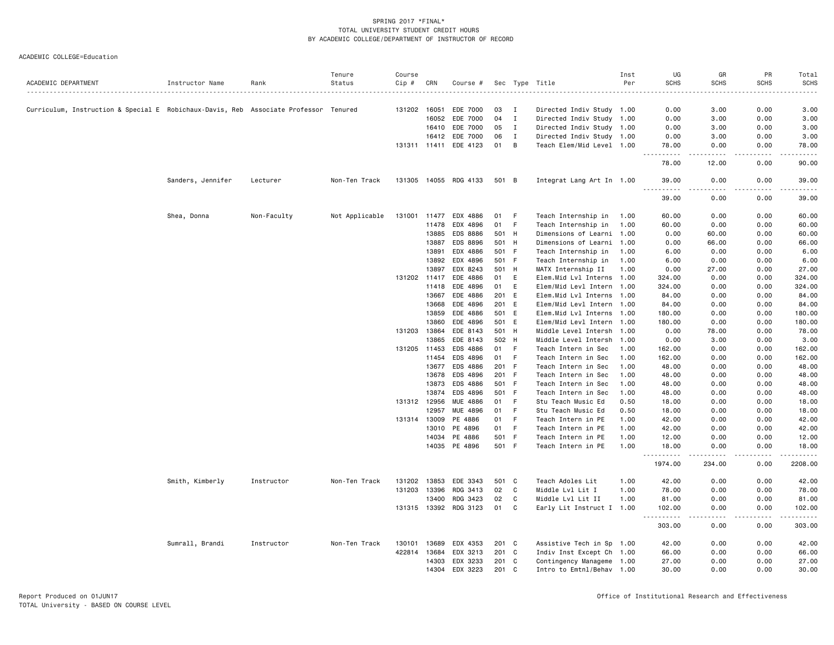|                                                                                      |                   |             | Tenure         | Course       |              |                       |     |              |                           | Inst | UG                                                                                                                                                            | GR                         | PR               | Total                        |
|--------------------------------------------------------------------------------------|-------------------|-------------|----------------|--------------|--------------|-----------------------|-----|--------------|---------------------------|------|---------------------------------------------------------------------------------------------------------------------------------------------------------------|----------------------------|------------------|------------------------------|
| ACADEMIC DEPARTMENT                                                                  | Instructor Name   | Rank        | Status         | Cip #        | CRN          | Course #              |     |              | Sec Type Title            | Per  | <b>SCHS</b><br>.                                                                                                                                              | <b>SCHS</b><br>$- - - - -$ | <b>SCHS</b>      | <b>SCHS</b><br>$\frac{1}{2}$ |
|                                                                                      |                   |             |                |              |              |                       |     |              |                           |      |                                                                                                                                                               |                            |                  |                              |
| Curriculum, Instruction & Special E Robichaux-Davis, Reb Associate Professor Tenured |                   |             |                | 131202       | 16051        | EDE 7000              | 03  | $\mathbf{I}$ | Directed Indiv Study 1.00 |      | 0.00                                                                                                                                                          | 3.00                       | 0.00             | 3.00                         |
|                                                                                      |                   |             |                |              | 16052        | EDE 7000              | 04  | $\mathbf{I}$ | Directed Indiv Study 1.00 |      | 0.00                                                                                                                                                          | 3.00                       | 0.00             | 3.00                         |
|                                                                                      |                   |             |                |              | 16410        | EDE 7000              | 05  | $\mathbf{I}$ | Directed Indiv Study 1.00 |      | 0.00                                                                                                                                                          | 3.00                       | 0.00             | 3.00                         |
|                                                                                      |                   |             |                |              | 16412        | EDE 7000              | 06  | $\mathbf{I}$ | Directed Indiv Study 1.00 |      | 0.00                                                                                                                                                          | 3.00                       | 0.00             | 3.00                         |
|                                                                                      |                   |             |                |              |              | 131311 11411 EDE 4123 | 01  | B            | Teach Elem/Mid Level 1.00 |      | 78.00<br>$\frac{1}{2} \left( \frac{1}{2} \right) \left( \frac{1}{2} \right) \left( \frac{1}{2} \right) \left( \frac{1}{2} \right) \left( \frac{1}{2} \right)$ | 0.00<br>.                  | 0.00<br>.        | 78.00                        |
|                                                                                      |                   |             |                |              |              |                       |     |              |                           |      | 78.00                                                                                                                                                         | 12.00                      | 0.00             | 90.00                        |
|                                                                                      | Sanders, Jennifer | Lecturer    | Non-Ten Track  |              |              | 131305 14055 RDG 4133 |     | 501 B        | Integrat Lang Art In 1.00 |      | 39.00<br>1.1.1.1.1                                                                                                                                            | 0.00<br>.                  | 0.00             | 39.00                        |
|                                                                                      |                   |             |                |              |              |                       |     |              |                           |      | 39.00                                                                                                                                                         | 0.00                       | -----<br>0.00    | .<br>39.00                   |
|                                                                                      | Shea, Donna       | Non-Faculty | Not Applicable | 131001       | 11477        | EDX 4886              | 01  | F            | Teach Internship in       | 1.00 | 60.00                                                                                                                                                         | 0.00                       | 0.00             | 60.00                        |
|                                                                                      |                   |             |                |              | 11478        | EDX 4896              | 01  | - F          | Teach Internship in       | 1.00 | 60.00                                                                                                                                                         | 0.00                       | 0.00             | 60.00                        |
|                                                                                      |                   |             |                |              | 13885        | EDS 8886              |     | 501 H        | Dimensions of Learni 1.00 |      | 0.00                                                                                                                                                          | 60.00                      | 0.00             | 60.00                        |
|                                                                                      |                   |             |                |              | 13887        | EDS 8896              |     | 501 H        | Dimensions of Learni 1.00 |      | 0.00                                                                                                                                                          | 66.00                      | 0.00             | 66.00                        |
|                                                                                      |                   |             |                |              | 13891        | EDX 4886              |     | 501 F        | Teach Internship in       | 1.00 | 6.00                                                                                                                                                          | 0.00                       | 0.00             | 6.00                         |
|                                                                                      |                   |             |                |              | 13892        | EDX 4896              |     | 501 F        | Teach Internship in       | 1.00 | 6.00                                                                                                                                                          | 0.00                       | 0.00             | 6.00                         |
|                                                                                      |                   |             |                |              | 13897        | EDX 8243              |     | 501 H        | MATX Internship II        | 1.00 | 0.00                                                                                                                                                          | 27.00                      | 0.00             | 27.00                        |
|                                                                                      |                   |             |                |              | 131202 11417 | EDE 4886              | 01  | E            | Elem.Mid Lvl Interns 1.00 |      | 324.00                                                                                                                                                        | 0.00                       | 0.00             | 324.00                       |
|                                                                                      |                   |             |                |              | 11418        | EDE 4896              | 01  | E            | Elem/Mid Levl Intern 1.00 |      | 324.00                                                                                                                                                        | 0.00                       | 0.00             | 324.00                       |
|                                                                                      |                   |             |                |              | 13667        | EDE 4886              |     | 201 E        | Elem.Mid Lvl Interns 1.00 |      | 84.00                                                                                                                                                         | 0.00                       | 0.00             | 84.00                        |
|                                                                                      |                   |             |                |              | 13668        | EDE 4896              |     | 201 E        | Elem/Mid Levl Intern 1.00 |      | 84.00                                                                                                                                                         | 0.00                       | 0.00             | 84.00                        |
|                                                                                      |                   |             |                |              | 13859        | EDE 4886              |     | 501 E        | Elem.Mid Lvl Interns 1.00 |      | 180.00                                                                                                                                                        | 0.00                       | 0.00             | 180.00                       |
|                                                                                      |                   |             |                |              | 13860        | EDE 4896              |     | 501 E        | Elem/Mid Levl Intern 1.00 |      | 180.00                                                                                                                                                        | 0.00                       | 0.00             | 180.00                       |
|                                                                                      |                   |             |                | 131203       | 13864        | EDE 8143              |     | 501 H        | Middle Level Intersh 1.00 |      | 0.00                                                                                                                                                          | 78.00                      | 0.00             | 78.00                        |
|                                                                                      |                   |             |                |              | 13865        | EDE 8143              |     | 502 H        | Middle Level Intersh 1.00 |      | 0.00                                                                                                                                                          | 3.00                       | 0.00             | 3.00                         |
|                                                                                      |                   |             |                | 131205 11453 |              | EDS 4886              | 01  | - F          | Teach Intern in Sec       | 1.00 | 162.00                                                                                                                                                        | 0.00                       | 0.00             | 162.00                       |
|                                                                                      |                   |             |                |              | 11454        | EDS 4896              | 01  | - F          | Teach Intern in Sec       | 1.00 | 162.00                                                                                                                                                        | 0.00                       | 0.00             | 162.00                       |
|                                                                                      |                   |             |                |              | 13677        | EDS 4886              |     | 201 F        | Teach Intern in Sec       | 1.00 | 48.00                                                                                                                                                         | 0.00                       | 0.00             | 48.00                        |
|                                                                                      |                   |             |                |              | 13678        | EDS 4896              |     | 201 F        | Teach Intern in Sec       | 1.00 | 48.00                                                                                                                                                         | 0.00                       | 0.00             | 48.00                        |
|                                                                                      |                   |             |                |              | 13873        | EDS 4886              |     | 501 F        | Teach Intern in Sec       | 1.00 | 48.00                                                                                                                                                         | 0.00                       | 0.00             | 48.00                        |
|                                                                                      |                   |             |                |              | 13874        | EDS 4896              | 501 | - F          | Teach Intern in Sec       | 1.00 | 48.00                                                                                                                                                         | 0.00                       | 0.00             | 48.00                        |
|                                                                                      |                   |             |                |              | 131312 12956 | <b>MUE 4886</b>       | 01  | - F          | Stu Teach Music Ed        | 0.50 | 18.00                                                                                                                                                         | 0.00                       | 0.00             | 18.00                        |
|                                                                                      |                   |             |                |              | 12957        | MUE 4896              | 01  | -F           | Stu Teach Music Ed        | 0.50 | 18,00                                                                                                                                                         | 0.00                       | 0.00             | 18.00                        |
|                                                                                      |                   |             |                | 131314       | 13009        | PE 4886               | 01  | F            | Teach Intern in PE        | 1.00 | 42.00                                                                                                                                                         | 0.00                       | 0.00             | 42.00                        |
|                                                                                      |                   |             |                |              | 13010        | PE 4896               |     | 01 F         | Teach Intern in PE        | 1.00 | 42.00                                                                                                                                                         | 0.00                       | 0.00             | 42.00                        |
|                                                                                      |                   |             |                |              | 14034        | PE 4886               |     | 501 F        | Teach Intern in PE        | 1.00 | 12.00                                                                                                                                                         | 0.00                       | 0.00             | 12.00                        |
|                                                                                      |                   |             |                |              | 14035        | PE 4896               |     | 501 F        | Teach Intern in PE        | 1.00 | 18.00                                                                                                                                                         | 0.00                       | 0.00             | 18.00                        |
|                                                                                      |                   |             |                |              |              |                       |     |              |                           |      | . <b>.</b><br>$\frac{1}{2} \frac{1}{2} \frac{1}{2} \frac{1}{2} \frac{1}{2} \frac{1}{2}$<br>1974.00                                                            | 234.00                     | 0.00             | 2208.00                      |
|                                                                                      | Smith, Kimberly   | Instructor  | Non-Ten Track  | 131202       | 13853        | EDE 3343              |     | 501 C        | Teach Adoles Lit          | 1.00 | 42.00                                                                                                                                                         | 0.00                       | 0.00             | 42.00                        |
|                                                                                      |                   |             |                | 131203       | 13396        | RDG 3413              | 02  | $\mathbf{C}$ | Middle Lvl Lit I          | 1.00 | 78.00                                                                                                                                                         | 0.00                       | 0.00             | 78.00                        |
|                                                                                      |                   |             |                |              | 13400        | RDG 3423              | 02  | C            | Middle Lvl Lit II         | 1.00 | 81.00                                                                                                                                                         | 0.00                       | 0.00             | 81.00                        |
|                                                                                      |                   |             |                |              | 131315 13392 | RDG 3123              | 01  | C            | Early Lit Instruct I 1.00 |      | 102.00<br>.                                                                                                                                                   | 0.00<br>.                  | 0.00<br><u>.</u> | 102.00<br>.                  |
|                                                                                      |                   |             |                |              |              |                       |     |              |                           |      | 303.00                                                                                                                                                        | 0.00                       | 0.00             | 303.00                       |
|                                                                                      | Sumrall, Brandi   | Instructor  | Non-Ten Track  | 130101       | 13689        | EDX 4353              |     | 201 C        | Assistive Tech in Sp 1.00 |      | 42.00                                                                                                                                                         | 0.00                       | 0.00             | 42.00                        |
|                                                                                      |                   |             |                | 422814       | 13684        | EDX 3213              |     | 201 C        | Indiv Inst Except Ch 1.00 |      | 66.00                                                                                                                                                         | 0.00                       | 0.00             | 66.00                        |
|                                                                                      |                   |             |                |              | 14303        | EDX 3233              |     | 201 C        | Contingency Manageme 1.00 |      | 27.00                                                                                                                                                         | 0.00                       | 0.00             | 27.00                        |
|                                                                                      |                   |             |                |              | 14304        | EDX 3223              |     | 201 C        | Intro to Emtnl/Behav 1.00 |      | 30.00                                                                                                                                                         | 0.00                       | 0.00             | 30.00                        |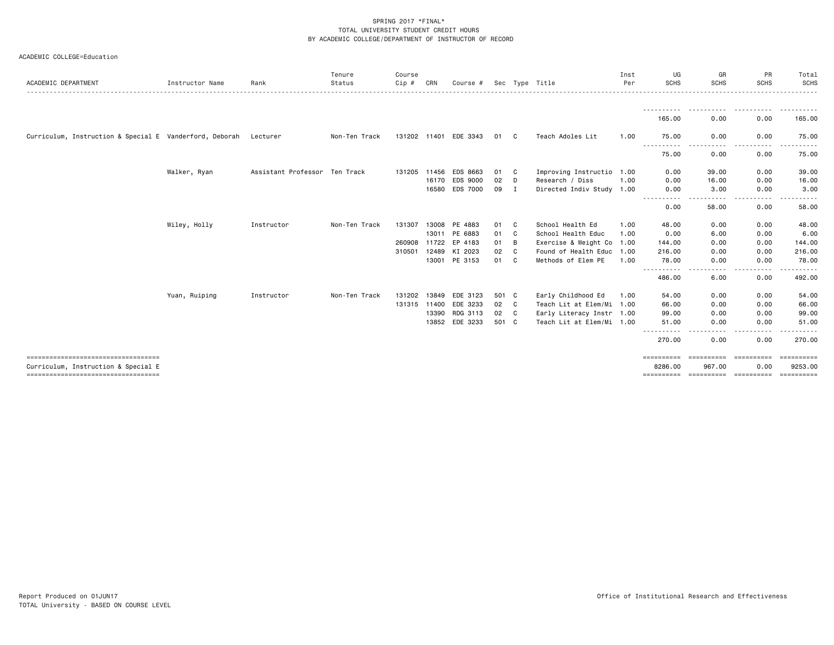| ACADEMIC COLLEGE=Education |  |  |
|----------------------------|--|--|
|----------------------------|--|--|

| ACADEMIC DEPARTMENT                                     | Instructor Name | Rank                          | Tenure<br>Status | Course<br>Cip # | CRN          | Course #              |       |              | Sec Type Title            | Inst<br>Per | UG<br><b>SCHS</b>     | GR<br><b>SCHS</b>    | PR<br><b>SCHS</b>  | Total<br>SCHS         |
|---------------------------------------------------------|-----------------|-------------------------------|------------------|-----------------|--------------|-----------------------|-------|--------------|---------------------------|-------------|-----------------------|----------------------|--------------------|-----------------------|
|                                                         |                 |                               |                  |                 |              |                       |       |              |                           |             | - - - - - - - - - - - |                      |                    | ------                |
|                                                         |                 |                               |                  |                 |              |                       |       |              |                           |             | 165.00                | 0.00                 | 0.00               | 165.00                |
| Curriculum, Instruction & Special E Vanderford, Deborah |                 | Lecturer                      | Non-Ten Track    | 131202 11401    |              | EDE 3343              | 01    | C            | Teach Adoles Lit          | 1.00        | 75.00                 | 0.00                 | 0.00               | 75.00                 |
|                                                         |                 |                               |                  |                 |              |                       |       |              |                           |             | 75.00                 | 0.00                 | 0.00               | 75.00                 |
|                                                         | Walker, Ryan    | Assistant Professor Ten Track |                  |                 |              | 131205 11456 EDS 8663 | 01    | C.           | Improving Instructio 1.00 |             | 0.00                  | 39.00                | 0.00               | 39.00                 |
|                                                         |                 |                               |                  |                 | 16170        | EDS 9000              | 02    | D            | Research / Diss           | 1.00        | 0.00                  | 16.00                | 0.00               | 16.00                 |
|                                                         |                 |                               |                  |                 | 16580        | <b>EDS 7000</b>       | 09    | $\mathbf{I}$ | Directed Indiv Study 1.00 |             | 0.00                  | 3.00                 | 0.00               | 3.00                  |
|                                                         |                 |                               |                  |                 |              |                       |       |              |                           |             | 0.00                  | 58.00                | 0.00               | 58.00                 |
|                                                         | Wiley, Holly    | Instructor                    | Non-Ten Track    | 131307          | 13008        | PE 4883               | 01    | C            | School Health Ed          | 1.00        | 48.00                 | 0.00                 | 0.00               | 48.00                 |
|                                                         |                 |                               |                  |                 | 13011        | PE 6883               | 01    | C            | School Health Educ        | 1.00        | 0.00                  | 6.00                 | 0.00               | 6.00                  |
|                                                         |                 |                               |                  | 260908 11722    |              | EP 4183               | 01    | B            | Exercise & Weight Co 1.00 |             | 144.00                | 0.00                 | 0.00               | 144.00                |
|                                                         |                 |                               |                  | 310501          | 12489        | KI 2023               | 02    | C.           | Found of Health Educ 1.00 |             | 216.00                | 0.00                 | 0.00               | 216.00                |
|                                                         |                 |                               |                  |                 | 13001        | PE 3153               | 01    | C.           | Methods of Elem PE        | 1.00        | 78.00                 | 0.00                 | 0.00               | 78.00                 |
|                                                         |                 |                               |                  |                 |              |                       |       |              |                           |             | 486.00                | 6.00                 | 0.00               | 492.00                |
|                                                         | Yuan, Ruiping   | Instructor                    | Non-Ten Track    |                 | 131202 13849 | EDE 3123              | 501 C |              | Early Childhood Ed        | 1.00        | 54.00                 | 0.00                 | 0.00               | 54.00                 |
|                                                         |                 |                               |                  | 131315 11400    |              | EDE 3233              | 02    | C.           | Teach Lit at Elem/Mi 1.00 |             | 66.00                 | 0.00                 | 0.00               | 66.00                 |
|                                                         |                 |                               |                  |                 | 13390        | RDG 3113              | 02    | $\mathbf{C}$ | Early Literacy Instr 1.00 |             | 99.00                 | 0.00                 | 0.00               | 99.00                 |
|                                                         |                 |                               |                  |                 | 13852        | EDE 3233              | 501 C |              | Teach Lit at Elem/Mi 1.00 |             | 51.00                 | 0.00                 | 0.00               | 51.00                 |
|                                                         |                 |                               |                  |                 |              |                       |       |              |                           |             | 270.00                | 0.00                 | .<br>0.00          | 270.00                |
| -------------------------------------                   |                 |                               |                  |                 |              |                       |       |              |                           |             | ==========            | <b>EEEEEEEEE</b>     | <b>CONSESSER</b>   | ==========            |
| Curriculum, Instruction & Special E                     |                 |                               |                  |                 |              |                       |       |              |                           |             | 8286.00<br>========== | 967.00<br>========== | 0.00<br>========== | 9253.00<br>========== |
|                                                         |                 |                               |                  |                 |              |                       |       |              |                           |             |                       |                      |                    |                       |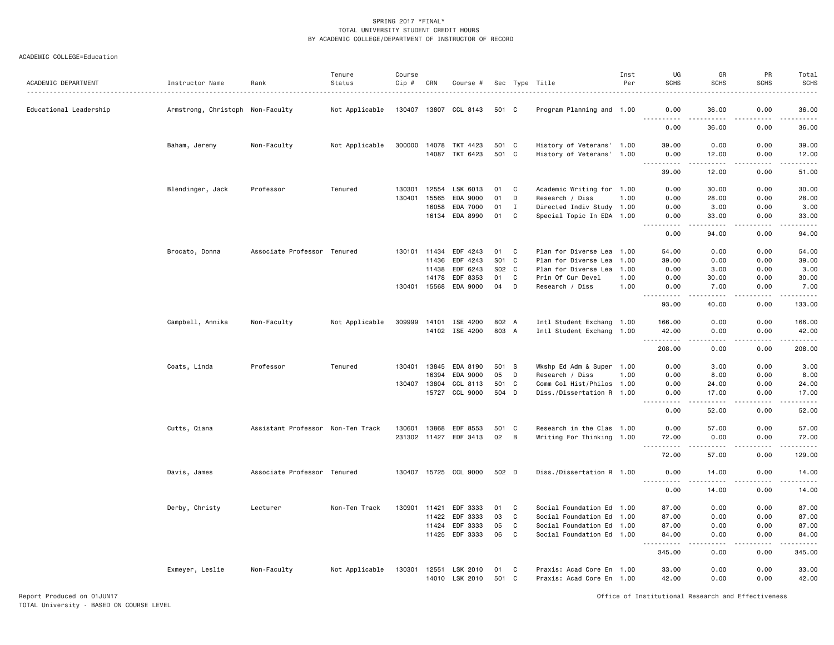#### ACADEMIC COLLEGE=Education

| ACADEMIC DEPARTMENT    | Instructor Name                  | Rank                              | Tenure<br>Status | Course<br>Cip # | CRN   | Course #                   |              |             | Sec Type Title                                         | Inst<br>Per | UG<br><b>SCHS</b>                     | GR<br><b>SCHS</b>             | PR<br><b>SCHS</b>            | Total<br>SCHS                               |
|------------------------|----------------------------------|-----------------------------------|------------------|-----------------|-------|----------------------------|--------------|-------------|--------------------------------------------------------|-------------|---------------------------------------|-------------------------------|------------------------------|---------------------------------------------|
| Educational Leadership | Armstrong, Christoph Non-Faculty |                                   | Not Applicable   |                 |       | 130407 13807 CCL 8143      | 501 C        |             | Program Planning and 1.00                              |             | 0.00                                  | 36.00                         | 0.00                         | 36.00                                       |
|                        |                                  |                                   |                  |                 |       |                            |              |             |                                                        |             | <u>.</u><br>0.00                      | $\frac{1}{2}$<br>36.00        | .<br>0.00                    | .<br>36.00                                  |
|                        | Baham, Jeremy                    | Non-Faculty                       | Not Applicable   | 300000          | 14078 | TKT 4423                   | 501 C        |             | History of Veterans' 1.00                              |             | 39,00                                 | 0.00                          | 0.00                         | 39.00                                       |
|                        |                                  |                                   |                  |                 |       | 14087 TKT 6423             | 501 C        |             | History of Veterans' 1.00                              |             | 0.00<br>$\sim$ $\sim$ $\sim$<br>----- | 12.00<br>-----                | 0.00<br>لأعامل               | 12.00<br>وساعات                             |
|                        |                                  |                                   |                  |                 |       |                            |              |             |                                                        |             | 39.00                                 | 12.00                         | 0.00                         | 51.00                                       |
|                        | Blendinger, Jack                 | Professor                         | Tenured          | 130301          | 12554 | LSK 6013                   | 01           | C           | Academic Writing for 1.00                              |             | 0.00                                  | 30.00                         | 0.00                         | 30.00                                       |
|                        |                                  |                                   |                  | 130401          | 15565 | EDA 9000                   | 01           | D           | Research / Diss                                        | 1.00        | 0.00                                  | 28.00                         | 0.00                         | 28.00                                       |
|                        |                                  |                                   |                  |                 | 16058 | EDA 7000                   | 01           | $\mathbf I$ | Directed Indiv Study 1.00                              |             | 0.00                                  | 3.00                          | 0.00                         | 3.00                                        |
|                        |                                  |                                   |                  |                 | 16134 | EDA 8990                   | 01           | C           | Special Topic In EDA 1.00                              |             | 0.00                                  | 33.00<br>$\sim$ $\sim$ $\sim$ | 0.00<br>$\sim$ $\sim$ $\sim$ | 33.00<br>$\sim$ $\sim$ $\sim$ $\sim$ $\sim$ |
|                        |                                  |                                   |                  |                 |       |                            |              |             |                                                        |             | 0.00                                  | 94.00                         | 0.00                         | 94.00                                       |
|                        | Brocato, Donna                   | Associate Professor Tenured       |                  | 130101 11434    |       | EDF 4243                   | 01 C         |             | Plan for Diverse Lea 1.00                              |             | 54.00                                 | 0.00                          | 0.00                         | 54.00                                       |
|                        |                                  |                                   |                  |                 | 11436 | EDF 4243                   | <b>S01</b>   | C           | Plan for Diverse Lea                                   | 1.00        | 39.00                                 | 0.00                          | 0.00                         | 39.00                                       |
|                        |                                  |                                   |                  |                 | 11438 | EDF 6243                   | S02 C        |             | Plan for Diverse Lea                                   | 1.00        | 0.00                                  | 3.00                          | 0.00                         | 3.00                                        |
|                        |                                  |                                   |                  |                 | 14178 | EDF 8353                   | 01           | <b>C</b>    | Prin Of Cur Devel                                      | 1.00        | 0.00                                  | 30.00                         | 0.00                         | 30.00                                       |
|                        |                                  |                                   |                  | 130401          | 15568 | EDA 9000                   | 04           | D           | Research / Diss                                        | 1.00        | 0.00<br>.                             | 7.00<br>-----                 | 0.00<br>.                    | 7.00<br>.                                   |
|                        |                                  |                                   |                  |                 |       |                            |              |             |                                                        |             | 93.00                                 | 40.00                         | 0.00                         | 133.00                                      |
|                        | Campbell, Annika                 | Non-Faculty                       | Not Applicable   | 309999          | 14101 | ISE 4200                   | 802 A        |             | Intl Student Exchang 1.00                              |             | 166.00                                | 0.00                          | 0.00                         | 166.00                                      |
|                        |                                  |                                   |                  |                 |       | 14102 ISE 4200             | 803 A        |             | Intl Student Exchang 1.00                              |             | 42.00                                 | 0.00                          | 0.00                         | 42.00<br>.                                  |
|                        |                                  |                                   |                  |                 |       |                            |              |             |                                                        |             | 208.00                                | 0.00                          | 0.00                         | 208.00                                      |
|                        | Coats, Linda                     | Professor                         | Tenured          | 130401 13845    |       | EDA 8190                   | 501 S        |             | Wkshp Ed Adm & Super 1.00                              |             | 0.00                                  | 3.00                          | 0.00                         | 3.00                                        |
|                        |                                  |                                   |                  |                 | 16394 | EDA 9000                   | 05           | D           | Research / Diss                                        | 1.00        | 0.00                                  | 8.00                          | 0.00                         | 8.00                                        |
|                        |                                  |                                   |                  | 130407 13804    |       | CCL 8113                   | 501 C        |             | Comm Col Hist/Philos 1.00                              |             | 0.00                                  | 24.00                         | 0.00                         | 24.00                                       |
|                        |                                  |                                   |                  |                 |       | 15727 CCL 9000             | 504 D        |             | Diss./Dissertation R 1.00                              |             | 0.00                                  | 17.00<br>.                    | 0.00                         | 17.00<br>.                                  |
|                        |                                  |                                   |                  |                 |       |                            |              |             |                                                        |             | 0.00                                  | 52.00                         | 0.00                         | 52.00                                       |
|                        | Cutts, Qiana                     | Assistant Professor Non-Ten Track |                  | 130601          | 13868 | EDF 8553                   | 501 C        |             | Research in the Clas 1.00                              |             | 0.00                                  | 57.00                         | 0.00                         | 57.00                                       |
|                        |                                  |                                   |                  |                 |       | 231302 11427 EDF 3413      | $02 \quad B$ |             | Writing For Thinking 1.00                              |             | 72.00<br>-----                        | 0.00<br>-----                 | 0.00<br>.                    | 72.00<br>.                                  |
|                        |                                  |                                   |                  |                 |       |                            |              |             |                                                        |             | 72.00                                 | 57.00                         | 0.00                         | 129.00                                      |
|                        | Davis, James                     | Associate Professor Tenured       |                  |                 |       | 130407 15725 CCL 9000      | 502 D        |             | Diss./Dissertation R 1.00                              |             | 0.00                                  | 14.00                         | 0.00                         | 14.00                                       |
|                        |                                  |                                   |                  |                 |       |                            |              |             |                                                        |             | <b>.</b><br>0.00                      | .<br>14.00                    | .<br>0.00                    | .<br>14.00                                  |
|                        | Derby, Christy                   | Lecturer                          | Non-Ten Track    | 130901          | 11421 | EDF 3333                   | 01           | C           | Social Foundation Ed 1.00                              |             | 87.00                                 | 0.00                          | 0.00                         | 87.00                                       |
|                        |                                  |                                   |                  |                 | 11422 | EDF 3333                   | 03           | C           | Social Foundation Ed 1.00                              |             | 87.00                                 | 0.00                          | 0.00                         | 87.00                                       |
|                        |                                  |                                   |                  |                 | 11424 | EDF 3333                   | 05           | $\mathbf C$ | Social Foundation Ed 1.00                              |             | 87.00                                 | 0.00                          | 0.00                         | 87.00                                       |
|                        |                                  |                                   |                  |                 | 11425 | EDF 3333                   | 06           | C           | Social Foundation Ed 1.00                              |             | 84.00                                 | 0.00<br>$\sim$ $\sim$ $\sim$  | 0.00                         | 84.00                                       |
|                        |                                  |                                   |                  |                 |       |                            |              |             |                                                        |             | .<br>345.00                           | 0.00                          | .<br>0.00                    | .<br>345.00                                 |
|                        | Exmeyer, Leslie                  | Non-Faculty                       | Not Applicable   | 130301          | 12551 | LSK 2010<br>14010 LSK 2010 | 01<br>501 C  | C           | Praxis: Acad Core En 1.00<br>Praxis: Acad Core En 1.00 |             | 33.00<br>42.00                        | 0.00<br>0.00                  | 0.00<br>0.00                 | 33.00<br>42.00                              |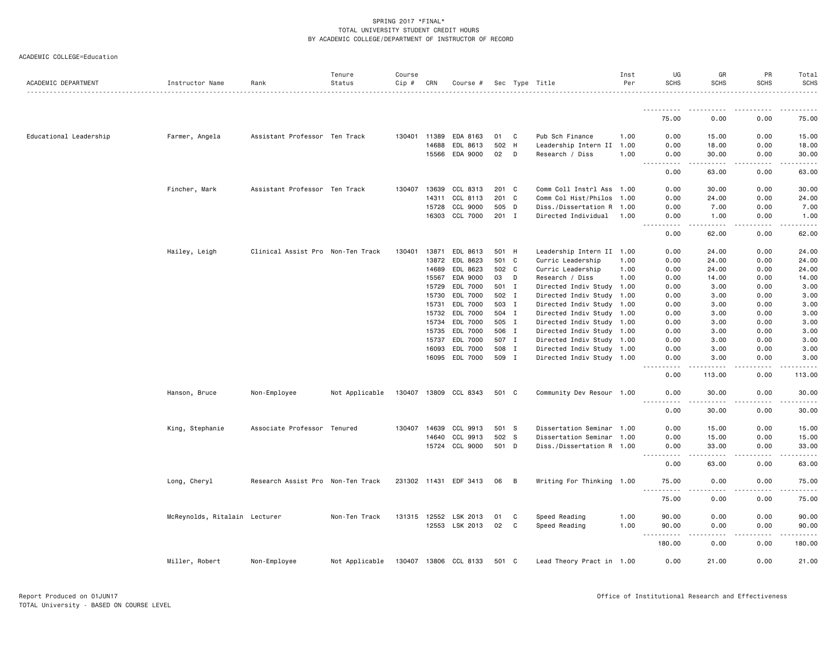| ACADEMIC COLLEGE=Education |  |
|----------------------------|--|
|                            |  |

| ACADEMIC DEPARTMENT    | Instructor Name               | Rank                              | Tenure<br>Status | Course<br>Cip # | CRN   | Course #              |       |    | Sec Type Title            | Inst<br>Per | UG<br><b>SCHS</b>                                                                                                                                            | GR<br><b>SCHS</b>                                                                                                                                             | PR<br><b>SCHS</b>                                                                                                                                            | Total<br><b>SCHS</b> |
|------------------------|-------------------------------|-----------------------------------|------------------|-----------------|-------|-----------------------|-------|----|---------------------------|-------------|--------------------------------------------------------------------------------------------------------------------------------------------------------------|---------------------------------------------------------------------------------------------------------------------------------------------------------------|--------------------------------------------------------------------------------------------------------------------------------------------------------------|----------------------|
|                        |                               |                                   | .                |                 |       |                       |       |    |                           |             |                                                                                                                                                              |                                                                                                                                                               |                                                                                                                                                              | .                    |
|                        |                               |                                   |                  |                 |       |                       |       |    |                           |             | <u>.</u><br>75.00                                                                                                                                            | 0.00                                                                                                                                                          | 0.00                                                                                                                                                         | .<br>75.00           |
| Educational Leadership | Farmer, Angela                | Assistant Professor Ten Track     |                  | 130401 11389    |       | EDA 8163              | 01    | C  | Pub Sch Finance           | 1.00        | 0.00                                                                                                                                                         | 15.00                                                                                                                                                         | 0.00                                                                                                                                                         | 15.00                |
|                        |                               |                                   |                  |                 | 14688 | EDL 8613              | 502   | H  | Leadership Intern II      | 1.00        | 0.00                                                                                                                                                         | 18.00                                                                                                                                                         | 0.00                                                                                                                                                         | 18.00                |
|                        |                               |                                   |                  |                 |       | 15566 EDA 9000        | 02    | D  | Research / Diss           | 1.00        | 0.00<br>.                                                                                                                                                    | 30.00                                                                                                                                                         | 0.00                                                                                                                                                         | 30.00                |
|                        |                               |                                   |                  |                 |       |                       |       |    |                           |             | $\sim$ $\sim$ $\sim$<br>0.00                                                                                                                                 | .<br>63.00                                                                                                                                                    | $\frac{1}{2} \left( \frac{1}{2} \right) \left( \frac{1}{2} \right) \left( \frac{1}{2} \right) \left( \frac{1}{2} \right) \left( \frac{1}{2} \right)$<br>0.00 | .<br>63.00           |
|                        | Fincher, Mark                 | Assistant Professor Ten Track     |                  | 130407          | 13639 | CCL 8313              | 201 C |    | Comm Coll Instrl Ass 1.00 |             | 0.00                                                                                                                                                         | 30.00                                                                                                                                                         | 0.00                                                                                                                                                         | 30.00                |
|                        |                               |                                   |                  |                 | 14311 | CCL 8113              | 201 C |    | Comm Col Hist/Philos      | 1.00        | 0.00                                                                                                                                                         | 24.00                                                                                                                                                         | 0.00                                                                                                                                                         | 24.00                |
|                        |                               |                                   |                  |                 |       | 15728 CCL 9000        | 505 D |    | Diss./Dissertation R 1.00 |             | 0.00                                                                                                                                                         | 7.00                                                                                                                                                          | 0.00                                                                                                                                                         | 7.00                 |
|                        |                               |                                   |                  |                 | 16303 | CCL 7000              | 201 I |    | Directed Individual       | 1.00        | 0.00<br>$\sim 100$<br>$\frac{1}{2} \left( \frac{1}{2} \right) \left( \frac{1}{2} \right) \left( \frac{1}{2} \right) \left( \frac{1}{2} \right)$              | 1.00                                                                                                                                                          | 0.00                                                                                                                                                         | 1.00<br>.            |
|                        |                               |                                   |                  |                 |       |                       |       |    |                           |             | 0.00                                                                                                                                                         | 62.00                                                                                                                                                         | 0.00                                                                                                                                                         | 62.00                |
|                        | Hailey, Leigh                 | Clinical Assist Pro Non-Ten Track |                  | 130401          | 13871 | EDL 8613              | 501 H |    | Leadership Intern II 1.00 |             | 0.00                                                                                                                                                         | 24.00                                                                                                                                                         | 0.00                                                                                                                                                         | 24.00                |
|                        |                               |                                   |                  |                 | 13872 | EDL 8623              | 501   | C. | Curric Leadership         | 1.00        | 0.00                                                                                                                                                         | 24.00                                                                                                                                                         | 0.00                                                                                                                                                         | 24.00                |
|                        |                               |                                   |                  |                 | 14689 | EDL 8623              | 502 C |    | Curric Leadership         | 1.00        | 0.00                                                                                                                                                         | 24.00                                                                                                                                                         | 0.00                                                                                                                                                         | 24.00                |
|                        |                               |                                   |                  |                 | 15567 | EDA 9000              | 03    | D  | Research / Diss           | 1.00        | 0.00                                                                                                                                                         | 14.00                                                                                                                                                         | 0.00                                                                                                                                                         | 14.00                |
|                        |                               |                                   |                  |                 | 15729 | EDL 7000              | 501 I |    | Directed Indiv Study      | 1.00        | 0.00                                                                                                                                                         | 3.00                                                                                                                                                          | 0.00                                                                                                                                                         | 3.00                 |
|                        |                               |                                   |                  |                 | 15730 | EDL 7000              | 502 I |    | Directed Indiv Study 1.00 |             | 0.00                                                                                                                                                         | 3.00                                                                                                                                                          | 0.00                                                                                                                                                         | 3.00                 |
|                        |                               |                                   |                  |                 | 15731 | EDL 7000              | 503 I |    | Directed Indiv Study 1.00 |             | 0.00                                                                                                                                                         | 3.00                                                                                                                                                          | 0.00                                                                                                                                                         | 3.00                 |
|                        |                               |                                   |                  |                 | 15732 | EDL 7000              | 504 I |    | Directed Indiv Study      | 1.00        | 0.00                                                                                                                                                         | 3.00                                                                                                                                                          | 0.00                                                                                                                                                         | 3.00                 |
|                        |                               |                                   |                  |                 | 15734 | EDL 7000              | 505 I |    | Directed Indiv Study 1.00 |             | 0.00                                                                                                                                                         | 3.00                                                                                                                                                          | 0.00                                                                                                                                                         | 3.00                 |
|                        |                               |                                   |                  |                 | 15735 | EDL 7000              | 506 I |    | Directed Indiv Study 1.00 |             | 0.00                                                                                                                                                         | 3.00                                                                                                                                                          | 0.00                                                                                                                                                         | 3.00                 |
|                        |                               |                                   |                  |                 | 15737 | EDL 7000              | 507 I |    | Directed Indiv Study 1.00 |             | 0.00                                                                                                                                                         | 3.00                                                                                                                                                          | 0.00                                                                                                                                                         | 3.00                 |
|                        |                               |                                   |                  |                 | 16093 | EDL 7000              | 508 I |    | Directed Indiv Study 1.00 |             | 0.00                                                                                                                                                         | 3.00                                                                                                                                                          | 0.00                                                                                                                                                         | 3.00                 |
|                        |                               |                                   |                  |                 |       | 16095 EDL 7000        | 509 I |    | Directed Indiv Study 1.00 |             | 0.00                                                                                                                                                         | 3.00                                                                                                                                                          | 0.00                                                                                                                                                         | 3.00                 |
|                        |                               |                                   |                  |                 |       |                       |       |    |                           |             | $\frac{1}{2} \left( \frac{1}{2} \right) \left( \frac{1}{2} \right) \left( \frac{1}{2} \right) \left( \frac{1}{2} \right) \left( \frac{1}{2} \right)$<br>0.00 | 113.00                                                                                                                                                        | .<br>0.00                                                                                                                                                    | 113.00               |
|                        | Hanson, Bruce                 | Non-Employee                      | Not Applicable   |                 |       | 130407 13809 CCL 8343 | 501 C |    | Community Dev Resour 1.00 |             | 0.00<br>.                                                                                                                                                    | 30.00<br>. <u>.</u>                                                                                                                                           | 0.00                                                                                                                                                         | 30.00<br>. <b>.</b>  |
|                        |                               |                                   |                  |                 |       |                       |       |    |                           |             | 0.00                                                                                                                                                         | 30.00                                                                                                                                                         | <u>.</u><br>0.00                                                                                                                                             | 30.00                |
|                        | King, Stephanie               | Associate Professor Tenured       |                  | 130407          | 14639 | CCL 9913              | 501 S |    | Dissertation Seminar      | 1.00        | 0.00                                                                                                                                                         | 15.00                                                                                                                                                         | 0.00                                                                                                                                                         | 15.00                |
|                        |                               |                                   |                  |                 | 14640 | CCL 9913              | 502 S |    | Dissertation Seminar 1.00 |             | 0.00                                                                                                                                                         | 15.00                                                                                                                                                         | 0.00                                                                                                                                                         | 15.00                |
|                        |                               |                                   |                  |                 |       | 15724 CCL 9000        | 501 D |    | Diss./Dissertation R 1.00 |             | 0.00<br>.                                                                                                                                                    | 33.00<br>$\frac{1}{2} \left( \frac{1}{2} \right) \left( \frac{1}{2} \right) \left( \frac{1}{2} \right) \left( \frac{1}{2} \right) \left( \frac{1}{2} \right)$ | 0.00<br>.                                                                                                                                                    | 33.00<br>.           |
|                        |                               |                                   |                  |                 |       |                       |       |    |                           |             | 0.00                                                                                                                                                         | 63.00                                                                                                                                                         | 0.00                                                                                                                                                         | 63.00                |
|                        | Long, Cheryl                  | Research Assist Pro Non-Ten Track |                  |                 |       | 231302 11431 EDF 3413 | 06    | B  | Writing For Thinking 1.00 |             | 75.00                                                                                                                                                        | 0.00                                                                                                                                                          | 0.00                                                                                                                                                         | 75.00                |
|                        |                               |                                   |                  |                 |       |                       |       |    |                           |             | 75.00                                                                                                                                                        | 0.00                                                                                                                                                          | 0.00                                                                                                                                                         | 75.00                |
|                        | McReynolds, Ritalain Lecturer |                                   | Non-Ten Track    |                 |       | 131315 12552 LSK 2013 | 01    | C  | Speed Reading             | 1.00        | 90.00                                                                                                                                                        | 0.00                                                                                                                                                          | 0.00                                                                                                                                                         | 90.00                |
|                        |                               |                                   |                  |                 |       | 12553 LSK 2013        | 02    | C  | Speed Reading             | 1.00        | 90.00                                                                                                                                                        | 0.00                                                                                                                                                          | 0.00                                                                                                                                                         | 90.00                |
|                        |                               |                                   |                  |                 |       |                       |       |    |                           |             | $\sim$ $\sim$ $\sim$<br>$\cdots \cdots \cdots$<br>180.00                                                                                                     | .<br>0.00                                                                                                                                                     | -----<br>0.00                                                                                                                                                | .<br>180.00          |
|                        | Miller, Robert                | Non-Employee                      | Not Applicable   |                 |       | 130407 13806 CCL 8133 | 501 C |    | Lead Theory Pract in 1.00 |             | 0.00                                                                                                                                                         | 21.00                                                                                                                                                         | 0.00                                                                                                                                                         | 21.00                |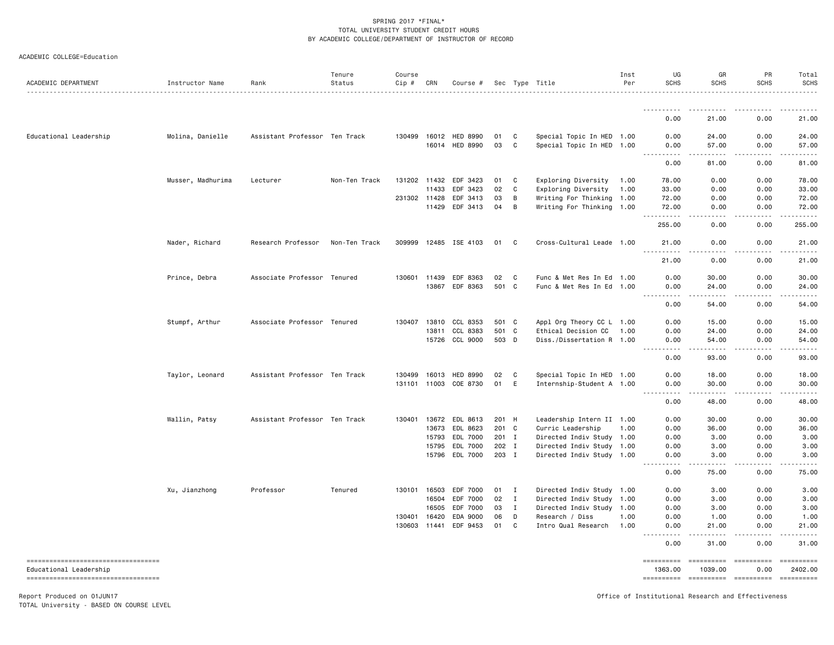| ACADEMIC COLLEGE=Education |  |  |
|----------------------------|--|--|
|----------------------------|--|--|

| ACADEMIC DEPARTMENT    | Instructor Name   | Rank                          | Tenure<br>Status | Course<br>Cip # | CRN          | Course #              |         |              | Sec Type Title            | Inst<br>Per | UG<br><b>SCHS</b>                   | GR<br><b>SCHS</b>                                                                                                                                             | PR<br><b>SCHS</b>  | Total<br><b>SCHS</b> |
|------------------------|-------------------|-------------------------------|------------------|-----------------|--------------|-----------------------|---------|--------------|---------------------------|-------------|-------------------------------------|---------------------------------------------------------------------------------------------------------------------------------------------------------------|--------------------|----------------------|
|                        |                   |                               |                  |                 |              |                       |         |              |                           |             | <u>.</u>                            |                                                                                                                                                               |                    |                      |
|                        |                   |                               |                  |                 |              |                       |         |              |                           |             | 0.00                                | 21.00                                                                                                                                                         | 0.00               | 21.00                |
| Educational Leadership | Molina, Danielle  | Assistant Professor Ten Track |                  |                 |              | 130499 16012 HED 8990 | 01      | C            | Special Topic In HED 1.00 |             | 0.00                                | 24.00                                                                                                                                                         | 0.00               | 24.00                |
|                        |                   |                               |                  |                 |              | 16014 HED 8990        | 03      | C            | Special Topic In HED 1.00 |             | 0.00<br>.                           | 57.00<br>.                                                                                                                                                    | 0.00<br>-----      | 57.00<br>.           |
|                        |                   |                               |                  |                 |              |                       |         |              |                           |             | 0.00                                | 81.00                                                                                                                                                         | 0.00               | 81.00                |
|                        | Musser, Madhurima | Lecturer                      | Non-Ten Track    |                 | 131202 11432 | EDF 3423              | 01      | C            | Exploring Diversity       | 1.00        | 78.00                               | 0.00                                                                                                                                                          | 0.00               | 78.00                |
|                        |                   |                               |                  |                 | 11433        | EDF 3423              | 02      | C            | Exploring Diversity       | 1.00        | 33.00                               | 0.00                                                                                                                                                          | 0.00               | 33.00                |
|                        |                   |                               |                  |                 | 231302 11428 | EDF 3413              | 03      | В            | Writing For Thinking      | 1.00        | 72.00                               | 0.00                                                                                                                                                          | 0.00               | 72.00                |
|                        |                   |                               |                  |                 | 11429        | EDF 3413              | 04      | В            | Writing For Thinking 1.00 |             | 72.00<br>.                          | 0.00                                                                                                                                                          | 0.00               | 72.00                |
|                        |                   |                               |                  |                 |              |                       |         |              |                           |             | 255.00                              | 0.00                                                                                                                                                          | 0.00               | 255.00               |
|                        | Nader, Richard    | Research Professor            | Non-Ten Track    |                 |              | 309999 12485 ISE 4103 | 01      | C            | Cross-Cultural Leade 1.00 |             | 21.00<br>.                          | 0.00<br>.                                                                                                                                                     | 0.00               | 21.00<br>.           |
|                        |                   |                               |                  |                 |              |                       |         |              |                           |             | 21.00                               | 0.00                                                                                                                                                          | 0.00               | 21.00                |
|                        | Prince, Debra     | Associate Professor Tenured   |                  |                 | 130601 11439 | EDF 8363              | 02      | C            | Func & Met Res In Ed      | 1.00        | 0.00                                | 30.00                                                                                                                                                         | 0.00               | 30.00                |
|                        |                   |                               |                  |                 |              | 13867 EDF 8363        | 501     | <b>C</b>     | Func & Met Res In Ed 1.00 |             | 0.00<br>.                           | 24.00<br>$- - - - -$                                                                                                                                          | 0.00<br>.          | 24.00<br>. <b>.</b>  |
|                        |                   |                               |                  |                 |              |                       |         |              |                           |             | 0.00                                | 54.00                                                                                                                                                         | 0.00               | 54.00                |
|                        | Stumpf, Arthur    | Associate Professor Tenured   |                  | 130407          | 13810        | CCL 8353              | 501 C   |              | Appl Org Theory CC L 1.00 |             | 0.00                                | 15.00                                                                                                                                                         | 0.00               | 15.00                |
|                        |                   |                               |                  |                 | 13811        | CCL 8383              | 501 C   |              | Ethical Decision CC       | 1.00        | 0.00                                | 24.00                                                                                                                                                         | 0.00               | 24.00                |
|                        |                   |                               |                  |                 |              | 15726 CCL 9000        | 503 D   |              | Diss./Dissertation R 1.00 |             | 0.00<br>.                           | 54.00<br>.                                                                                                                                                    | 0.00<br>.          | 54.00<br>. <b>.</b>  |
|                        |                   |                               |                  |                 |              |                       |         |              |                           |             | 0.00                                | 93.00                                                                                                                                                         | 0.00               | 93.00                |
|                        | Taylor, Leonard   | Assistant Professor Ten Track |                  | 130499          | 16013        | <b>HED 8990</b>       | 02      | C            | Special Topic In HED 1.00 |             | 0.00                                | 18.00                                                                                                                                                         | 0.00               | 18.00                |
|                        |                   |                               |                  |                 |              | 131101 11003 COE 8730 | 01      | E            | Internship-Student A 1.00 |             | 0.00<br>$\sim$ $\sim$ $\sim$ $\sim$ | 30.00<br>$\frac{1}{2} \left( \frac{1}{2} \right) \left( \frac{1}{2} \right) \left( \frac{1}{2} \right) \left( \frac{1}{2} \right) \left( \frac{1}{2} \right)$ | 0.00<br>-----      | 30.00<br>.           |
|                        |                   |                               |                  |                 |              |                       |         |              |                           |             | 0.00                                | 48.00                                                                                                                                                         | 0.00               | 48.00                |
|                        | Wallin, Patsy     | Assistant Professor Ten Track |                  | 130401          |              | 13672 EDL 8613        | 201 H   |              | Leadership Intern II 1.00 |             | 0.00                                | 30.00                                                                                                                                                         | 0.00               | 30.00                |
|                        |                   |                               |                  |                 |              | 13673 EDL 8623        | 201 C   |              | Curric Leadership         | 1.00        | 0.00                                | 36.00                                                                                                                                                         | 0.00               | 36.00                |
|                        |                   |                               |                  |                 | 15793        | EDL 7000              | $201$ I |              | Directed Indiv Study 1.00 |             | 0.00                                | 3.00                                                                                                                                                          | 0.00               | 3.00                 |
|                        |                   |                               |                  |                 |              | 15795 EDL 7000        | 202 I   |              | Directed Indiv Study 1.00 |             | 0.00                                | 3.00                                                                                                                                                          | 0.00               | 3.00                 |
|                        |                   |                               |                  |                 | 15796        | EDL 7000              | 203 I   |              | Directed Indiv Study 1.00 |             | 0.00<br>$\sim$ $\sim$ $\sim$ $\sim$ | 3.00<br>.                                                                                                                                                     | 0.00<br>.          | 3.00<br>$- - - - -$  |
|                        |                   |                               |                  |                 |              |                       |         |              |                           |             | 0.00                                | 75.00                                                                                                                                                         | 0.00               | 75.00                |
|                        | Xu, Jianzhong     | Professor                     | Tenured          | 130101          | 16503        | EDF 7000              | 01      | Ι.           | Directed Indiv Study 1.00 |             | 0.00                                | 3.00                                                                                                                                                          | 0.00               | 3.00                 |
|                        |                   |                               |                  |                 | 16504        | EDF 7000              | 02      | $\mathbf{I}$ | Directed Indiv Study 1.00 |             | 0.00                                | 3.00                                                                                                                                                          | 0.00               | 3.00                 |
|                        |                   |                               |                  |                 | 16505        | EDF 7000              | 03      | $\mathbf I$  | Directed Indiv Study 1.00 |             | 0.00                                | 3.00                                                                                                                                                          | 0.00               | 3.00                 |
|                        |                   |                               |                  |                 | 130401 16420 | EDA 9000              | 06      | D            | Research / Diss           | 1.00        | 0.00                                | 1.00                                                                                                                                                          | 0.00               | 1.00                 |
|                        |                   |                               |                  |                 | 130603 11441 | EDF 9453              | 01      | C            | Intro Qual Research       | 1.00        | 0.00<br>$\frac{1}{2}$<br>.          | 21.00                                                                                                                                                         | 0.00               | 21.00                |
|                        |                   |                               |                  |                 |              |                       |         |              |                           |             | 0.00                                | 31.00                                                                                                                                                         | 0.00               | 31.00                |
| Educational Leadership |                   |                               |                  |                 |              |                       |         |              |                           |             | ==========<br>1363.00               | ==========<br>1039.00                                                                                                                                         | ==========<br>0.00 | 2402.00              |
|                        |                   |                               |                  |                 |              |                       |         |              |                           |             |                                     | ---------- ---------- ---------                                                                                                                               |                    |                      |

Report Produced on 01JUN17 Office of Institutional Research and Effectiveness

TOTAL University - BASED ON COURSE LEVEL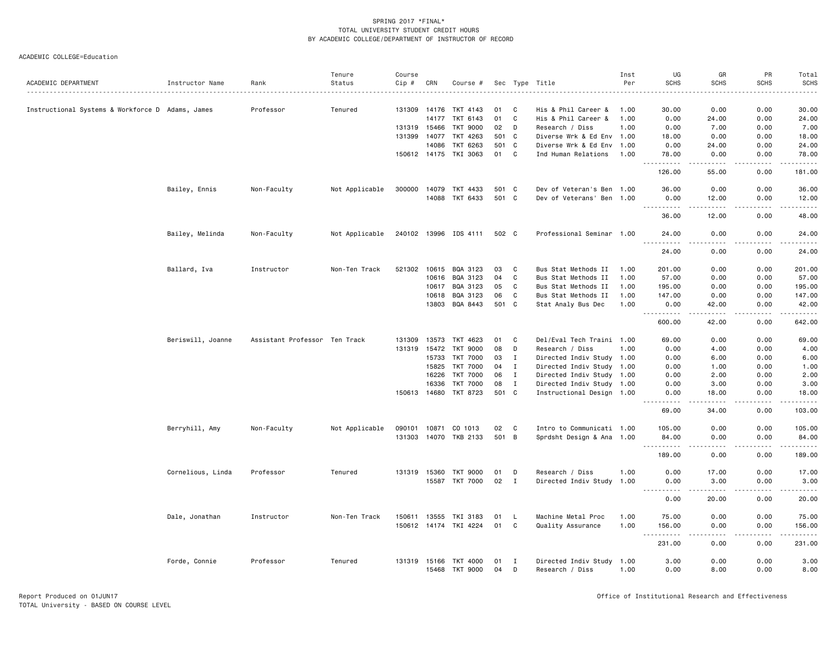|                                                  |                   |                               | Tenure         | Course       |       |                       |       |              |                           | Inst | UG                                                                                                                             | GR                                                                                                                                | PR            | Total                                                                                                                     |
|--------------------------------------------------|-------------------|-------------------------------|----------------|--------------|-------|-----------------------|-------|--------------|---------------------------|------|--------------------------------------------------------------------------------------------------------------------------------|-----------------------------------------------------------------------------------------------------------------------------------|---------------|---------------------------------------------------------------------------------------------------------------------------|
| ACADEMIC DEPARTMENT                              | Instructor Name   | Rank                          | Status         | Cip #        | CRN   | Course #              |       |              | Sec Type Title            | Per  | <b>SCHS</b>                                                                                                                    | <b>SCHS</b>                                                                                                                       | <b>SCHS</b>   | <b>SCHS</b>                                                                                                               |
|                                                  |                   |                               |                |              |       |                       |       |              |                           |      |                                                                                                                                |                                                                                                                                   |               | $\frac{1}{2} \left( \frac{1}{2} \right) \left( \frac{1}{2} \right) \left( \frac{1}{2} \right) \left( \frac{1}{2} \right)$ |
| Instructional Systems & Workforce D Adams, James |                   | Professor                     | Tenured        | 131309 14176 |       | TKT 4143              | 01    | C            | His & Phil Career &       | 1.00 | 30.00                                                                                                                          | 0.00                                                                                                                              | 0.00          | 30.00                                                                                                                     |
|                                                  |                   |                               |                |              | 14177 | TKT 6143              | 01    | C            | His & Phil Career &       | 1.00 | 0.00                                                                                                                           | 24.00                                                                                                                             | 0.00          | 24.00                                                                                                                     |
|                                                  |                   |                               |                | 131319 15466 |       | <b>TKT 9000</b>       | 02    | D            | Research / Diss           | 1.00 | 0.00                                                                                                                           | 7.00                                                                                                                              | 0.00          | 7.00                                                                                                                      |
|                                                  |                   |                               |                | 131399       | 14077 | TKT 4263              | 501 C |              | Diverse Wrk & Ed Env 1.00 |      | 18.00                                                                                                                          | 0.00                                                                                                                              | 0.00          | 18.00                                                                                                                     |
|                                                  |                   |                               |                |              | 14086 | TKT 6263              |       | 501 C        | Diverse Wrk & Ed Env 1.00 |      | 0.00                                                                                                                           | 24.00                                                                                                                             | 0.00          | 24.00                                                                                                                     |
|                                                  |                   |                               |                |              |       | 150612 14175 TKI 3063 | 01    | C            | Ind Human Relations       | 1.00 | 78.00<br>$\begin{array}{cccccccccc} \bullet & \bullet & \bullet & \bullet & \bullet & \bullet & \bullet & \bullet \end{array}$ | 0.00<br>.                                                                                                                         | 0.00<br>.     | 78.00<br>.                                                                                                                |
|                                                  |                   |                               |                |              |       |                       |       |              |                           |      | 126.00                                                                                                                         | 55.00                                                                                                                             | 0.00          | 181.00                                                                                                                    |
|                                                  | Bailey, Ennis     | Non-Faculty                   | Not Applicable | 300000       | 14079 | TKT 4433              | 501 C |              | Dev of Veteran's Ben 1.00 |      | 36.00                                                                                                                          | 0.00                                                                                                                              | 0.00          | 36.00                                                                                                                     |
|                                                  |                   |                               |                |              | 14088 | TKT 6433              | 501 C |              | Dev of Veterans' Ben 1.00 |      | 0.00<br>-----                                                                                                                  | 12.00<br>-----                                                                                                                    | 0.00<br>----- | 12.00<br>.                                                                                                                |
|                                                  |                   |                               |                |              |       |                       |       |              |                           |      | 36.00                                                                                                                          | 12.00                                                                                                                             | 0.00          | 48.00                                                                                                                     |
|                                                  | Bailey, Melinda   | Non-Faculty                   | Not Applicable |              |       | 240102 13996 IDS 4111 | 502 C |              | Professional Seminar 1.00 |      | 24.00                                                                                                                          | 0.00                                                                                                                              | 0.00          | 24.00                                                                                                                     |
|                                                  |                   |                               |                |              |       |                       |       |              |                           |      | 24.00                                                                                                                          | 0.00                                                                                                                              | 0.00          | 24.00                                                                                                                     |
|                                                  | Ballard, Iva      | Instructor                    | Non-Ten Track  |              |       | 521302 10615 BQA 3123 | 03    | C            | Bus Stat Methods II       | 1.00 | 201.00                                                                                                                         | 0.00                                                                                                                              | 0.00          | 201.00                                                                                                                    |
|                                                  |                   |                               |                |              | 10616 | BQA 3123              | 04    | C            | Bus Stat Methods II       | 1.00 | 57.00                                                                                                                          | 0.00                                                                                                                              | 0.00          | 57.00                                                                                                                     |
|                                                  |                   |                               |                |              | 10617 | BQA 3123              | 05    | C            | Bus Stat Methods II       | 1.00 | 195.00                                                                                                                         | 0.00                                                                                                                              | 0.00          | 195.00                                                                                                                    |
|                                                  |                   |                               |                |              | 10618 | BQA 3123              | 06    | C            | Bus Stat Methods II       | 1.00 | 147.00                                                                                                                         | 0.00                                                                                                                              | 0.00          | 147.00                                                                                                                    |
|                                                  |                   |                               |                |              | 13803 | BQA 8443              |       | 501 C        | Stat Analy Bus Dec        | 1.00 | 0.00                                                                                                                           | 42.00<br><u>.</u>                                                                                                                 | 0.00          | 42.00                                                                                                                     |
|                                                  |                   |                               |                |              |       |                       |       |              |                           |      | -----------<br>600.00                                                                                                          | 42.00                                                                                                                             | .<br>0.00     | 642.00                                                                                                                    |
|                                                  | Beriswill, Joanne | Assistant Professor Ten Track |                | 131309       | 13573 | TKT 4623              | 01    | C.           | Del/Eval Tech Traini 1.00 |      | 69.00                                                                                                                          | 0.00                                                                                                                              | 0.00          | 69.00                                                                                                                     |
|                                                  |                   |                               |                | 131319       | 15472 | TKT 9000              | 08    | D            | Research / Diss           | 1.00 | 0.00                                                                                                                           | 4.00                                                                                                                              | 0.00          | 4.00                                                                                                                      |
|                                                  |                   |                               |                |              | 15733 | TKT 7000              | 03    | $\mathbf{I}$ | Directed Indiv Study 1.00 |      | 0.00                                                                                                                           | 6.00                                                                                                                              | 0.00          | 6.00                                                                                                                      |
|                                                  |                   |                               |                |              | 15825 | TKT 7000              | 04    | $\mathbf{I}$ | Directed Indiv Study 1.00 |      | 0.00                                                                                                                           | 1.00                                                                                                                              | 0.00          | 1.00                                                                                                                      |
|                                                  |                   |                               |                |              | 16226 | TKT 7000              | 06    | $\mathbf{I}$ | Directed Indiv Study 1.00 |      | 0.00                                                                                                                           | 2.00                                                                                                                              | 0.00          | 2.00                                                                                                                      |
|                                                  |                   |                               |                |              | 16336 | TKT 7000              | 08    | $\mathbf I$  | Directed Indiv Study 1.00 |      | 0.00                                                                                                                           | 3.00                                                                                                                              | 0.00          | 3.00                                                                                                                      |
|                                                  |                   |                               |                | 150613 14680 |       | TKT 8723              |       | 501 C        | Instructional Design 1.00 |      | 0.00                                                                                                                           | 18.00                                                                                                                             | 0.00          | 18.00<br>والمناصبات                                                                                                       |
|                                                  |                   |                               |                |              |       |                       |       |              |                           |      | 69.00                                                                                                                          | 34.00                                                                                                                             | 0.00          | 103.00                                                                                                                    |
|                                                  | Berryhill, Amy    | Non-Faculty                   | Not Applicable | 090101 10871 |       | CO 1013               | 02    | <b>C</b>     | Intro to Communicati 1.00 |      | 105.00                                                                                                                         | 0.00                                                                                                                              | 0.00          | 105.00                                                                                                                    |
|                                                  |                   |                               |                |              |       | 131303 14070 TKB 2133 | 501 B |              | Sprdsht Design & Ana 1.00 |      | 84.00                                                                                                                          | 0.00                                                                                                                              | 0.00          | 84.00                                                                                                                     |
|                                                  |                   |                               |                |              |       |                       |       |              |                           |      | 189.00                                                                                                                         | 0.00                                                                                                                              | 0.00          | 189.00                                                                                                                    |
|                                                  | Cornelious, Linda | Professor                     | Tenured        | 131319 15360 |       | TKT 9000              | 01    | D            | Research / Diss           | 1.00 | 0.00                                                                                                                           | 17.00                                                                                                                             | 0.00          | 17.00                                                                                                                     |
|                                                  |                   |                               |                |              |       | 15587 TKT 7000        | 02    | $\mathbf{I}$ | Directed Indiv Study 1.00 |      | 0.00                                                                                                                           | 3.00                                                                                                                              | 0.00          | 3.00<br>والمناصبات                                                                                                        |
|                                                  |                   |                               |                |              |       |                       |       |              |                           |      | 0.00                                                                                                                           | 20.00                                                                                                                             | 0.00          | 20.00                                                                                                                     |
|                                                  | Dale, Jonathan    | Instructor                    | Non-Ten Track  | 150611       | 13555 | TKI 3183              | 01    | L            | Machine Metal Proc        | 1.00 | 75.00                                                                                                                          | 0.00                                                                                                                              | 0.00          | 75.00                                                                                                                     |
|                                                  |                   |                               |                |              |       | 150612 14174 TKI 4224 | 01    | C            | Quality Assurance         | 1.00 | 156.00<br>$\sim$ $\sim$<br>-----                                                                                               | 0.00<br>$\frac{1}{2} \left( \frac{1}{2} \right) \left( \frac{1}{2} \right) \left( \frac{1}{2} \right) \left( \frac{1}{2} \right)$ | 0.00<br>----- | 156.00<br>.                                                                                                               |
|                                                  |                   |                               |                |              |       |                       |       |              |                           |      | 231.00                                                                                                                         | 0.00                                                                                                                              | 0.00          | 231.00                                                                                                                    |
|                                                  | Forde, Connie     | Professor                     | Tenured        | 131319 15166 |       | TKT 4000              | 01    | I            | Directed Indiv Study 1.00 |      | 3.00                                                                                                                           | 0.00                                                                                                                              | 0.00          | 3.00                                                                                                                      |
|                                                  |                   |                               |                |              | 15468 | TKT 9000              | 04    | D            | Research / Diss           | 1.00 | 0.00                                                                                                                           | 8.00                                                                                                                              | 0.00          | 8.00                                                                                                                      |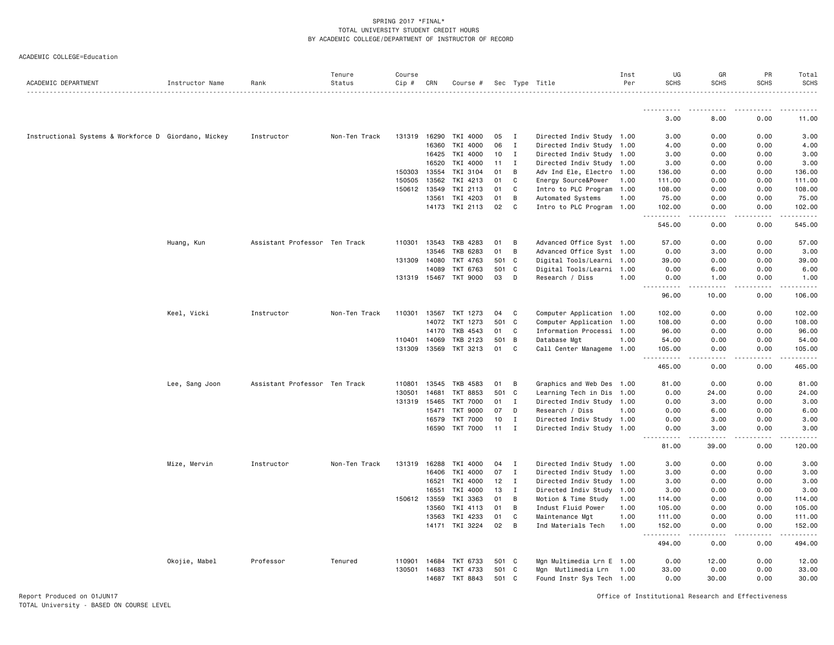#### ACADEMIC COLLEGE=Education

| ACADEMIC DEPARTMENT                                  | Instructor Name | Rank                          | Tenure<br>Status | Course<br>$Cip \#$ | CRN   | Course #              |       |              | Sec Type Title            | Inst<br>Per | UG<br><b>SCHS</b>                   | GR<br><b>SCHS</b>                                                                                                                                            | PR<br><b>SCHS</b>                                                                                                                                            | Total<br><b>SCHS</b>                                                                                                                                                                      |
|------------------------------------------------------|-----------------|-------------------------------|------------------|--------------------|-------|-----------------------|-------|--------------|---------------------------|-------------|-------------------------------------|--------------------------------------------------------------------------------------------------------------------------------------------------------------|--------------------------------------------------------------------------------------------------------------------------------------------------------------|-------------------------------------------------------------------------------------------------------------------------------------------------------------------------------------------|
|                                                      |                 |                               |                  |                    |       |                       |       |              |                           |             |                                     |                                                                                                                                                              |                                                                                                                                                              |                                                                                                                                                                                           |
|                                                      |                 |                               |                  |                    |       |                       |       |              |                           |             | 3.00                                | $\frac{1}{2} \left( \frac{1}{2} \right) \left( \frac{1}{2} \right) \left( \frac{1}{2} \right) \left( \frac{1}{2} \right) \left( \frac{1}{2} \right)$<br>8.00 | 0.00                                                                                                                                                         | 11.00                                                                                                                                                                                     |
|                                                      |                 |                               |                  |                    |       |                       |       |              |                           |             |                                     |                                                                                                                                                              |                                                                                                                                                              |                                                                                                                                                                                           |
| Instructional Systems & Workforce D Giordano, Mickey |                 | Instructor                    | Non-Ten Track    | 131319             | 16290 | TKI 4000              | 05    | $\mathbf{I}$ | Directed Indiv Study 1.00 |             | 3.00                                | 0.00                                                                                                                                                         | 0.00                                                                                                                                                         | 3.00                                                                                                                                                                                      |
|                                                      |                 |                               |                  |                    | 16360 | TKI 4000              | 06    | $\mathbf I$  | Directed Indiv Study 1.00 |             | 4.00                                | 0.00                                                                                                                                                         | 0.00                                                                                                                                                         | 4.00                                                                                                                                                                                      |
|                                                      |                 |                               |                  |                    | 16425 | TKI 4000              | 10    | $\bf{I}$     | Directed Indiv Study 1.00 |             | 3.00                                | 0.00                                                                                                                                                         | 0.00                                                                                                                                                         | 3.00                                                                                                                                                                                      |
|                                                      |                 |                               |                  |                    | 16520 | TKI 4000              | 11    | $\bf{I}$     | Directed Indiv Study 1.00 |             | 3.00                                | 0.00                                                                                                                                                         | 0.00                                                                                                                                                         | 3.00                                                                                                                                                                                      |
|                                                      |                 |                               |                  | 150303             | 13554 | TKI 3104              | 01    | В            | Adv Ind Ele, Electro 1.00 |             | 136.00                              | 0.00                                                                                                                                                         | 0.00                                                                                                                                                         | 136.00                                                                                                                                                                                    |
|                                                      |                 |                               |                  | 150505             | 13562 | TKI 4213              | 01    | C            | Energy Source&Power 1.00  |             | 111.00                              | 0.00                                                                                                                                                         | 0.00                                                                                                                                                         | 111.00                                                                                                                                                                                    |
|                                                      |                 |                               |                  | 150612 13549       |       | TKI 2113              | 01    | $\mathsf{C}$ | Intro to PLC Program 1.00 |             | 108.00                              | 0.00                                                                                                                                                         | 0.00                                                                                                                                                         | 108.00                                                                                                                                                                                    |
|                                                      |                 |                               |                  |                    | 13561 | TKI 4203              | 01    | В            | Automated Systems         | 1.00        | 75.00                               | 0.00                                                                                                                                                         | 0.00                                                                                                                                                         | 75.00                                                                                                                                                                                     |
|                                                      |                 |                               |                  |                    |       | 14173 TKI 2113        | 02    | C            | Intro to PLC Program 1.00 |             | 102.00<br>.<br>$ -$                 | 0.00                                                                                                                                                         | 0.00                                                                                                                                                         | 102.00<br>2.2.2.2.2.3                                                                                                                                                                     |
|                                                      |                 |                               |                  |                    |       |                       |       |              |                           |             | 545.00                              | 0.00                                                                                                                                                         | 0.00                                                                                                                                                         | 545.00                                                                                                                                                                                    |
|                                                      | Huang, Kun      | Assistant Professor Ten Track |                  | 110301             | 13543 | TKB 4283              | 01    | B            | Advanced Office Syst 1.00 |             | 57.00                               | 0.00                                                                                                                                                         | 0.00                                                                                                                                                         | 57.00                                                                                                                                                                                     |
|                                                      |                 |                               |                  |                    | 13546 | TKB 6283              | 01    | В            | Advanced Office Syst 1.00 |             | 0.00                                | 3.00                                                                                                                                                         | 0.00                                                                                                                                                         | 3.00                                                                                                                                                                                      |
|                                                      |                 |                               |                  | 131309             | 14080 | TKT 4763              | 501   | C            | Digital Tools/Learni 1.00 |             | 39.00                               | 0.00                                                                                                                                                         | 0.00                                                                                                                                                         | 39.00                                                                                                                                                                                     |
|                                                      |                 |                               |                  |                    | 14089 | TKT 6763              | 501   | C            | Digital Tools/Learni 1.00 |             | 0.00                                | 6.00                                                                                                                                                         | 0.00                                                                                                                                                         | 6.00                                                                                                                                                                                      |
|                                                      |                 |                               |                  |                    |       | 131319 15467 TKT 9000 | 03    | D            | Research / Diss           | 1.00        | 0.00<br>$\sim$ $\sim$<br>.          | 1.00                                                                                                                                                         | 0.00                                                                                                                                                         | 1.00                                                                                                                                                                                      |
|                                                      |                 |                               |                  |                    |       |                       |       |              |                           |             | 96.00                               | 10.00                                                                                                                                                        | 0.00                                                                                                                                                         | 106.00                                                                                                                                                                                    |
|                                                      | Keel, Vicki     | Instructor                    | Non-Ten Track    |                    |       | 110301 13567 TKT 1273 | 04    | C            | Computer Application 1.00 |             | 102.00                              | 0.00                                                                                                                                                         | 0.00                                                                                                                                                         | 102.00                                                                                                                                                                                    |
|                                                      |                 |                               |                  |                    | 14072 | TKT 1273              | 501   | C            | Computer Application 1.00 |             | 108.00                              | 0.00                                                                                                                                                         | 0.00                                                                                                                                                         | 108.00                                                                                                                                                                                    |
|                                                      |                 |                               |                  |                    | 14170 | TKB 4543              | 01    | C            | Information Processi 1.00 |             | 96.00                               | 0.00                                                                                                                                                         | 0.00                                                                                                                                                         | 96.00                                                                                                                                                                                     |
|                                                      |                 |                               |                  | 110401             | 14069 | TKB 2123              | 501   | B            | Database Mgt              | 1.00        | 54.00                               | 0.00                                                                                                                                                         | 0.00                                                                                                                                                         | 54.00                                                                                                                                                                                     |
|                                                      |                 |                               |                  | 131309             | 13569 | TKT 3213              | 01    | C            | Call Center Manageme 1.00 |             | 105.00                              | 0.00                                                                                                                                                         | 0.00                                                                                                                                                         | 105.00                                                                                                                                                                                    |
|                                                      |                 |                               |                  |                    |       |                       |       |              |                           |             | $\sim$ $\sim$ .<br>.<br>465.00      | د د د د<br>0.00                                                                                                                                              | $\frac{1}{2} \left( \frac{1}{2} \right) \left( \frac{1}{2} \right) \left( \frac{1}{2} \right) \left( \frac{1}{2} \right) \left( \frac{1}{2} \right)$<br>0.00 | $\begin{array}{cccccccccccccc} \bullet & \bullet & \bullet & \bullet & \bullet & \bullet & \bullet & \bullet \end{array}$<br>465.00                                                       |
|                                                      | Lee, Sang Joon  | Assistant Professor Ten Track |                  | 110801             | 13545 | TKB 4583              | 01    | В            | Graphics and Web Des 1.00 |             | 81.00                               | 0.00                                                                                                                                                         | 0.00                                                                                                                                                         | 81.00                                                                                                                                                                                     |
|                                                      |                 |                               |                  | 130501             | 14681 | <b>TKT 8853</b>       | 501   | C            | Learning Tech in Dis 1.00 |             | 0.00                                | 24.00                                                                                                                                                        | 0.00                                                                                                                                                         | 24.00                                                                                                                                                                                     |
|                                                      |                 |                               |                  | 131319             | 15465 | TKT 7000              | 01    | I            | Directed Indiv Study 1.00 |             | 0.00                                | 3.00                                                                                                                                                         | 0.00                                                                                                                                                         | 3.00                                                                                                                                                                                      |
|                                                      |                 |                               |                  |                    | 15471 | <b>TKT 9000</b>       | 07    | D            | Research / Diss           | 1.00        | 0.00                                | 6.00                                                                                                                                                         | 0.00                                                                                                                                                         | 6.00                                                                                                                                                                                      |
|                                                      |                 |                               |                  |                    | 16579 | TKT 7000              | 10    | $\mathbf{I}$ | Directed Indiv Study 1.00 |             | 0.00                                | 3.00                                                                                                                                                         | 0.00                                                                                                                                                         | 3.00                                                                                                                                                                                      |
|                                                      |                 |                               |                  |                    | 16590 | TKT 7000              | 11    | $\mathbf{I}$ | Directed Indiv Study 1.00 |             | 0.00<br>.                           | 3.00                                                                                                                                                         | 0.00                                                                                                                                                         | 3.00<br>.                                                                                                                                                                                 |
|                                                      |                 |                               |                  |                    |       |                       |       |              |                           |             | 81.00                               | 39.00                                                                                                                                                        | 0.00                                                                                                                                                         | 120.00                                                                                                                                                                                    |
|                                                      | Mize, Mervin    | Instructor                    | Non-Ten Track    | 131319 16288       |       | TKI 4000              | 04    | $\mathbf I$  | Directed Indiv Study 1.00 |             | 3.00                                | 0.00                                                                                                                                                         | 0.00                                                                                                                                                         | 3.00                                                                                                                                                                                      |
|                                                      |                 |                               |                  |                    | 16406 | TKI 4000              | 07    | $\mathbf{I}$ | Directed Indiv Study 1.00 |             | 3.00                                | 0.00                                                                                                                                                         | 0.00                                                                                                                                                         | 3.00                                                                                                                                                                                      |
|                                                      |                 |                               |                  |                    | 16521 | TKI 4000              | 12    | $\mathbf{I}$ | Directed Indiv Study 1.00 |             | 3.00                                | 0.00                                                                                                                                                         | 0.00                                                                                                                                                         | 3.00                                                                                                                                                                                      |
|                                                      |                 |                               |                  |                    | 16551 | TKI 4000              | 13    | $\mathbf{I}$ | Directed Indiv Study 1.00 |             | 3.00                                | 0.00                                                                                                                                                         | 0.00                                                                                                                                                         | 3.00                                                                                                                                                                                      |
|                                                      |                 |                               |                  | 150612 13559       |       | TKI 3363              | 01    | B            | Motion & Time Study       | 1.00        | 114.00                              | 0.00                                                                                                                                                         | 0.00                                                                                                                                                         | 114.00                                                                                                                                                                                    |
|                                                      |                 |                               |                  |                    | 13560 | TKI 4113              | 01    | В            | Indust Fluid Power        | 1.00        | 105.00                              | 0.00                                                                                                                                                         | 0.00                                                                                                                                                         | 105.00                                                                                                                                                                                    |
|                                                      |                 |                               |                  |                    | 13563 | TKI 4233              | 01    | C            | Maintenance Mgt           | 1.00        | 111.00                              | 0.00                                                                                                                                                         | 0.00                                                                                                                                                         | 111.00                                                                                                                                                                                    |
|                                                      |                 |                               |                  |                    |       | 14171 TKI 3224        | 02    | В            | Ind Materials Tech        | 1.00        | 152.00                              | 0.00                                                                                                                                                         | 0.00                                                                                                                                                         | 152.00                                                                                                                                                                                    |
|                                                      |                 |                               |                  |                    |       |                       |       |              |                           |             | $\sim$ $\sim$ $\sim$<br>.<br>494.00 | $- - -$<br>0.00                                                                                                                                              | .<br>0.00                                                                                                                                                    | $\frac{1}{2} \left( \frac{1}{2} \right) \left( \frac{1}{2} \right) \left( \frac{1}{2} \right) \left( \frac{1}{2} \right) \left( \frac{1}{2} \right) \left( \frac{1}{2} \right)$<br>494.00 |
|                                                      | Okojie, Mabel   | Professor                     | Tenured          | 110901             | 14684 | TKT 6733              | 501 C |              | Mgn Multimedia Lrn E 1.00 |             | 0.00                                | 12.00                                                                                                                                                        | 0.00                                                                                                                                                         | 12.00                                                                                                                                                                                     |
|                                                      |                 |                               |                  | 130501             | 14683 | TKT 4733              | 501   | C            | Mgn Mutlimedia Lrn 1.00   |             | 33.00                               | 0.00                                                                                                                                                         | 0.00                                                                                                                                                         | 33.00                                                                                                                                                                                     |
|                                                      |                 |                               |                  |                    |       | 14687 TKT 8843        | 501 C |              | Found Instr Sys Tech 1.00 |             | 0.00                                | 30.00                                                                                                                                                        | 0.00                                                                                                                                                         | 30.00                                                                                                                                                                                     |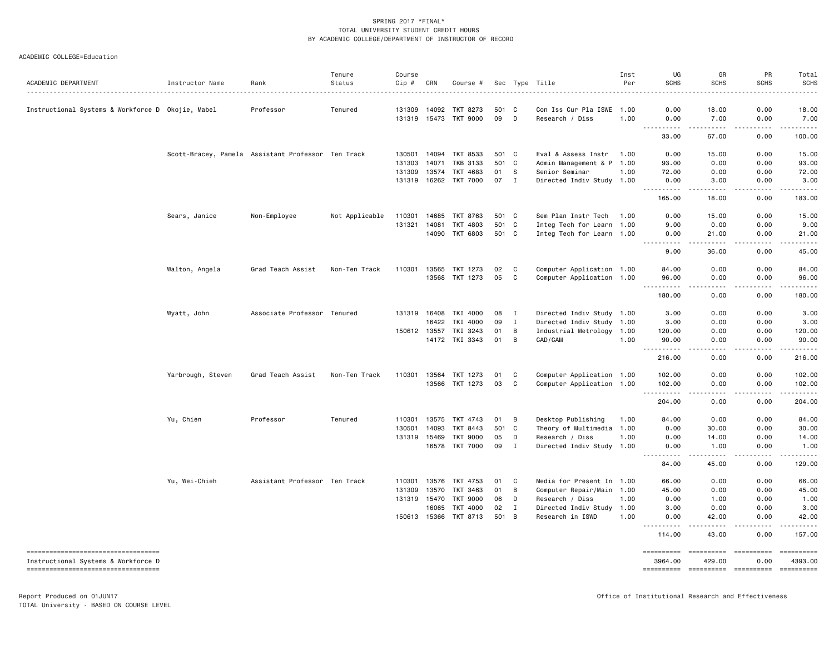| ACADEMIC DEPARTMENT                                                       | Instructor Name   | Rank                                               | Tenure<br>Status | Course<br>Cip # | CRN   | Course #              |       |                | Sec Type Title            | Inst<br>Per | UG<br><b>SCHS</b>     | GR<br><b>SCHS</b>                                                                                                                                                                                                                                                                                                                                                                                                                         | PR<br><b>SCHS</b>        | Total<br><b>SCHS</b>                                                                                                                                                                                                                                                                                                                                                                                                                                                            |
|---------------------------------------------------------------------------|-------------------|----------------------------------------------------|------------------|-----------------|-------|-----------------------|-------|----------------|---------------------------|-------------|-----------------------|-------------------------------------------------------------------------------------------------------------------------------------------------------------------------------------------------------------------------------------------------------------------------------------------------------------------------------------------------------------------------------------------------------------------------------------------|--------------------------|---------------------------------------------------------------------------------------------------------------------------------------------------------------------------------------------------------------------------------------------------------------------------------------------------------------------------------------------------------------------------------------------------------------------------------------------------------------------------------|
|                                                                           |                   |                                                    |                  |                 |       |                       |       |                |                           |             |                       |                                                                                                                                                                                                                                                                                                                                                                                                                                           |                          | $- - - -$                                                                                                                                                                                                                                                                                                                                                                                                                                                                       |
| Instructional Systems & Workforce D Okojie, Mabel                         |                   | Professor                                          | Tenured          | 131309          | 14092 | TKT 8273              | 501 C |                | Con Iss Cur Pla ISWE 1.00 |             | 0.00                  | 18.00                                                                                                                                                                                                                                                                                                                                                                                                                                     | 0.00                     | 18.00                                                                                                                                                                                                                                                                                                                                                                                                                                                                           |
|                                                                           |                   |                                                    |                  | 131319 15473    |       | TKT 9000              | 09    | D              | Research / Diss           | 1.00        | 0.00<br>$ -$<br>----- | 7.00<br>$\frac{1}{2} \left( \frac{1}{2} \right) \left( \frac{1}{2} \right) \left( \frac{1}{2} \right) \left( \frac{1}{2} \right) \left( \frac{1}{2} \right)$                                                                                                                                                                                                                                                                              | 0.00<br>-----            | 7.00                                                                                                                                                                                                                                                                                                                                                                                                                                                                            |
|                                                                           |                   |                                                    |                  |                 |       |                       |       |                |                           |             | 33.00                 | 67.00                                                                                                                                                                                                                                                                                                                                                                                                                                     | 0.00                     | 100.00                                                                                                                                                                                                                                                                                                                                                                                                                                                                          |
|                                                                           |                   | Scott-Bracey, Pamela Assistant Professor Ten Track |                  | 130501          | 14094 | TKT 8533              | 501 C |                | Eval & Assess Instr       | 1.00        | 0.00                  | 15.00                                                                                                                                                                                                                                                                                                                                                                                                                                     | 0.00                     | 15.00                                                                                                                                                                                                                                                                                                                                                                                                                                                                           |
|                                                                           |                   |                                                    |                  | 131303          | 14071 | <b>TKB 3133</b>       | 501   | $\mathbf{C}$   | Admin Management & P 1.00 |             | 93.00                 | 0.00                                                                                                                                                                                                                                                                                                                                                                                                                                      | 0.00                     | 93.00                                                                                                                                                                                                                                                                                                                                                                                                                                                                           |
|                                                                           |                   |                                                    |                  | 131309          | 13574 | TKT 4683              | 01    | - S            | Senior Seminar            | 1.00        | 72.00                 | 0.00                                                                                                                                                                                                                                                                                                                                                                                                                                      | 0.00                     | 72.00                                                                                                                                                                                                                                                                                                                                                                                                                                                                           |
|                                                                           |                   |                                                    |                  |                 |       | 131319 16262 TKT 7000 | 07    | $\mathbf{I}$   | Directed Indiv Study 1.00 |             | 0.00<br>.             | 3.00<br>$\frac{1}{2} \left( \frac{1}{2} \right) \left( \frac{1}{2} \right) \left( \frac{1}{2} \right) \left( \frac{1}{2} \right) \left( \frac{1}{2} \right)$                                                                                                                                                                                                                                                                              | 0.00<br>.                | 3.00<br>.                                                                                                                                                                                                                                                                                                                                                                                                                                                                       |
|                                                                           |                   |                                                    |                  |                 |       |                       |       |                |                           |             | 165.00                | 18.00                                                                                                                                                                                                                                                                                                                                                                                                                                     | 0.00                     | 183.00                                                                                                                                                                                                                                                                                                                                                                                                                                                                          |
|                                                                           | Sears, Janice     | Non-Employee                                       | Not Applicable   | 110301          | 14685 | TKT 8763              | 501 C |                | Sem Plan Instr Tech       | 1.00        | 0.00                  | 15.00                                                                                                                                                                                                                                                                                                                                                                                                                                     | 0.00                     | 15.00                                                                                                                                                                                                                                                                                                                                                                                                                                                                           |
|                                                                           |                   |                                                    |                  | 131321          | 14081 | TKT 4803              | 501 C |                | Integ Tech for Learn 1.00 |             | 9.00                  | 0.00                                                                                                                                                                                                                                                                                                                                                                                                                                      | 0.00                     | 9.00                                                                                                                                                                                                                                                                                                                                                                                                                                                                            |
|                                                                           |                   |                                                    |                  |                 | 14090 | TKT 6803              | 501 C |                | Integ Tech for Learn 1.00 |             | 0.00                  | 21.00                                                                                                                                                                                                                                                                                                                                                                                                                                     | 0.00                     | 21.00                                                                                                                                                                                                                                                                                                                                                                                                                                                                           |
|                                                                           |                   |                                                    |                  |                 |       |                       |       |                |                           |             | 9.00                  | 36.00                                                                                                                                                                                                                                                                                                                                                                                                                                     | 0.00                     | 45.00                                                                                                                                                                                                                                                                                                                                                                                                                                                                           |
|                                                                           | Walton, Angela    | Grad Teach Assist                                  | Non-Ten Track    | 110301          | 13565 | TKT 1273              | 02    | C              | Computer Application 1.00 |             | 84.00                 | 0.00                                                                                                                                                                                                                                                                                                                                                                                                                                      | 0.00                     | 84.00                                                                                                                                                                                                                                                                                                                                                                                                                                                                           |
|                                                                           |                   |                                                    |                  |                 | 13568 | TKT 1273              | 05    | C              | Computer Application 1.00 |             | 96.00                 | 0.00                                                                                                                                                                                                                                                                                                                                                                                                                                      | 0.00                     | 96.00                                                                                                                                                                                                                                                                                                                                                                                                                                                                           |
|                                                                           |                   |                                                    |                  |                 |       |                       |       |                |                           |             | 180.00                | 0.00                                                                                                                                                                                                                                                                                                                                                                                                                                      | 0.00                     | 180.00                                                                                                                                                                                                                                                                                                                                                                                                                                                                          |
|                                                                           | Wyatt, John       | Associate Professor Tenured                        |                  | 131319 16408    |       | TKI 4000              | 08    | I              | Directed Indiv Study 1.00 |             | 3.00                  | 0.00                                                                                                                                                                                                                                                                                                                                                                                                                                      | 0.00                     | 3.00                                                                                                                                                                                                                                                                                                                                                                                                                                                                            |
|                                                                           |                   |                                                    |                  |                 | 16422 | TKI 4000              | 09    | I              | Directed Indiv Study 1.00 |             | 3.00                  | 0.00                                                                                                                                                                                                                                                                                                                                                                                                                                      | 0.00                     | 3.00                                                                                                                                                                                                                                                                                                                                                                                                                                                                            |
|                                                                           |                   |                                                    |                  | 150612 13557    |       | TKI 3243              | 01    | B              | Industrial Metrology 1.00 |             | 120.00                | 0.00                                                                                                                                                                                                                                                                                                                                                                                                                                      | 0.00                     | 120.00                                                                                                                                                                                                                                                                                                                                                                                                                                                                          |
|                                                                           |                   |                                                    |                  |                 |       | 14172 TKI 3343        | 01    | B              | CAD/CAM                   | 1.00        | 90.00                 | 0.00                                                                                                                                                                                                                                                                                                                                                                                                                                      | 0.00                     | 90.00<br><u>.</u>                                                                                                                                                                                                                                                                                                                                                                                                                                                               |
|                                                                           |                   |                                                    |                  |                 |       |                       |       |                |                           |             | 216.00                | 0.00                                                                                                                                                                                                                                                                                                                                                                                                                                      | 0.00                     | 216.00                                                                                                                                                                                                                                                                                                                                                                                                                                                                          |
|                                                                           | Yarbrough, Steven | Grad Teach Assist                                  | Non-Ten Track    | 110301 13564    |       | TKT 1273              | 01    | C              | Computer Application 1.00 |             | 102.00                | 0.00                                                                                                                                                                                                                                                                                                                                                                                                                                      | 0.00                     | 102.00                                                                                                                                                                                                                                                                                                                                                                                                                                                                          |
|                                                                           |                   |                                                    |                  |                 |       | 13566 TKT 1273        | 03    | C              | Computer Application 1.00 |             | 102.00                | 0.00                                                                                                                                                                                                                                                                                                                                                                                                                                      | 0.00                     | 102.00                                                                                                                                                                                                                                                                                                                                                                                                                                                                          |
|                                                                           |                   |                                                    |                  |                 |       |                       |       |                |                           |             | <u>.</u><br>204.00    | .<br>0.00                                                                                                                                                                                                                                                                                                                                                                                                                                 | .<br>0.00                | .<br>204.00                                                                                                                                                                                                                                                                                                                                                                                                                                                                     |
|                                                                           | Yu, Chien         | Professor                                          | Tenured          | 110301          | 13575 | TKT 4743              | 01    | B              | Desktop Publishing        | 1.00        | 84.00                 | 0.00                                                                                                                                                                                                                                                                                                                                                                                                                                      | 0.00                     | 84.00                                                                                                                                                                                                                                                                                                                                                                                                                                                                           |
|                                                                           |                   |                                                    |                  | 130501          | 14093 | TKT 8443              | 501   | C              | Theory of Multimedia 1.00 |             | 0.00                  | 30.00                                                                                                                                                                                                                                                                                                                                                                                                                                     | 0.00                     | 30.00                                                                                                                                                                                                                                                                                                                                                                                                                                                                           |
|                                                                           |                   |                                                    |                  | 131319 15469    |       | <b>TKT 9000</b>       | 05    | D              | Research / Diss           | 1.00        | 0.00                  | 14.00                                                                                                                                                                                                                                                                                                                                                                                                                                     | 0.00                     | 14.00                                                                                                                                                                                                                                                                                                                                                                                                                                                                           |
|                                                                           |                   |                                                    |                  |                 | 16578 | <b>TKT 7000</b>       | 09    | $\mathbf{I}$   | Directed Indiv Study 1.00 |             | 0.00<br>.             | 1.00<br>$\frac{1}{2} \left( \frac{1}{2} \right) \left( \frac{1}{2} \right) \left( \frac{1}{2} \right) \left( \frac{1}{2} \right) \left( \frac{1}{2} \right)$                                                                                                                                                                                                                                                                              | 0.00<br>.                | 1.00<br>.                                                                                                                                                                                                                                                                                                                                                                                                                                                                       |
|                                                                           |                   |                                                    |                  |                 |       |                       |       |                |                           |             | 84.00                 | 45.00                                                                                                                                                                                                                                                                                                                                                                                                                                     | 0.00                     | 129.00                                                                                                                                                                                                                                                                                                                                                                                                                                                                          |
|                                                                           | Yu, Wei-Chieh     | Assistant Professor Ten Track                      |                  | 110301          | 13576 | TKT 4753              | 01    | C              | Media for Present In 1.00 |             | 66.00                 | 0.00                                                                                                                                                                                                                                                                                                                                                                                                                                      | 0.00                     | 66.00                                                                                                                                                                                                                                                                                                                                                                                                                                                                           |
|                                                                           |                   |                                                    |                  | 131309          | 13570 | TKT 3463              | 01    | B              | Computer Repair/Main 1.00 |             | 45.00                 | 0.00                                                                                                                                                                                                                                                                                                                                                                                                                                      | 0.00                     | 45.00                                                                                                                                                                                                                                                                                                                                                                                                                                                                           |
|                                                                           |                   |                                                    |                  | 131319          | 15470 | <b>TKT 9000</b>       | 06    | D              | Research / Diss           | 1.00        | 0.00                  | 1.00                                                                                                                                                                                                                                                                                                                                                                                                                                      | 0.00                     | 1.00                                                                                                                                                                                                                                                                                                                                                                                                                                                                            |
|                                                                           |                   |                                                    |                  |                 | 16065 | <b>TKT 4000</b>       | 02    | $\mathbf{I}$   | Directed Indiv Study 1.00 |             | 3.00                  | 0.00                                                                                                                                                                                                                                                                                                                                                                                                                                      | 0.00                     | 3.00                                                                                                                                                                                                                                                                                                                                                                                                                                                                            |
|                                                                           |                   |                                                    |                  | 150613 15366    |       | TKT 8713              | 501   | $\overline{B}$ | Research in ISWD          | 1.00        | 0.00<br>.             | 42.00<br>.                                                                                                                                                                                                                                                                                                                                                                                                                                | 0.00<br><u>.</u>         | 42.00<br>$- - - - - -$                                                                                                                                                                                                                                                                                                                                                                                                                                                          |
|                                                                           |                   |                                                    |                  |                 |       |                       |       |                |                           |             | 114.00                | 43.00                                                                                                                                                                                                                                                                                                                                                                                                                                     | 0.00                     | 157.00                                                                                                                                                                                                                                                                                                                                                                                                                                                                          |
| ----------------------------------<br>Instructional Systems & Workforce D |                   |                                                    |                  |                 |       |                       |       |                |                           |             | ==========<br>3964.00 | $\begin{minipage}{0.03\linewidth} \hspace*{-0.2cm} \textbf{m} = \textbf{m} = \textbf{m} = \textbf{m} = \textbf{m} = \textbf{m} = \textbf{m} = \textbf{m} = \textbf{m} = \textbf{m} = \textbf{m} = \textbf{m} = \textbf{m} = \textbf{m} = \textbf{m} = \textbf{m} = \textbf{m} = \textbf{m} = \textbf{m} = \textbf{m} = \textbf{m} = \textbf{m} = \textbf{m} = \textbf{m} = \textbf{m} = \textbf{m} = \textbf{m} = \textbf{m} =$<br>429.00 | <b>SEEBERSEE</b><br>0.00 | $\begin{minipage}{0.03\linewidth} \hspace*{-0.2cm} \textbf{if the number of } \texttt{if} \texttt{if} \texttt{if} \texttt{if} \texttt{if} \texttt{if} \texttt{if} \texttt{if} \texttt{if} \texttt{if} \texttt{if} \texttt{if} \texttt{if} \texttt{if} \texttt{if} \texttt{if} \texttt{if} \texttt{if} \texttt{if} \texttt{if} \texttt{if} \texttt{if} \texttt{if} \texttt{if} \texttt{if} \texttt{if} \texttt{if} \texttt{if} \texttt{if} \texttt{if} \texttt{if} \$<br>4393.00 |
| -----------------------------------                                       |                   |                                                    |                  |                 |       |                       |       |                |                           |             |                       | ======================                                                                                                                                                                                                                                                                                                                                                                                                                    | -----------              | ==========                                                                                                                                                                                                                                                                                                                                                                                                                                                                      |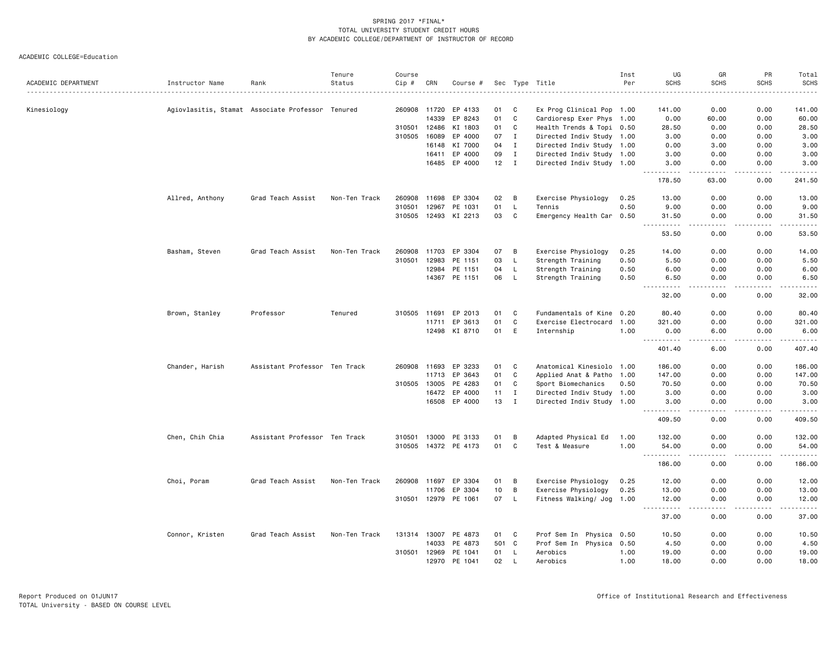|                     |                                                  |                               | Tenure        | Course       |       |                      |       |              |                           | Inst | UG                                 | GR                                  | PR                | Total                                                                                                               |
|---------------------|--------------------------------------------------|-------------------------------|---------------|--------------|-------|----------------------|-------|--------------|---------------------------|------|------------------------------------|-------------------------------------|-------------------|---------------------------------------------------------------------------------------------------------------------|
| ACADEMIC DEPARTMENT | Instructor Name                                  | Rank                          | Status        | $Cip$ #      | CRN   | Course #             |       |              | Sec Type Title            | Per  | <b>SCHS</b>                        | <b>SCHS</b>                         | <b>SCHS</b>       | <b>SCHS</b><br>.                                                                                                    |
| Kinesiology         | Agiovlasitis, Stamat Associate Professor Tenured |                               |               | 260908 11720 |       | EP 4133              | 01    | C            | Ex Prog Clinical Pop 1.00 |      | 141.00                             | 0.00                                | 0.00              | 141.00                                                                                                              |
|                     |                                                  |                               |               |              | 14339 | EP 8243              | 01    | $\mathtt{C}$ | Cardioresp Exer Phys 1.00 |      | 0.00                               | 60.00                               | 0.00              | 60.00                                                                                                               |
|                     |                                                  |                               |               | 310501       | 12486 | KI 1803              | 01    | C            | Health Trends & Topi 0.50 |      | 28.50                              | 0.00                                | 0.00              | 28.50                                                                                                               |
|                     |                                                  |                               |               | 310505       | 16089 | EP 4000              | 07    | $\mathbf{I}$ | Directed Indiv Study 1.00 |      | 3.00                               | 0.00                                | 0.00              | 3.00                                                                                                                |
|                     |                                                  |                               |               |              | 16148 | KI 7000              | 04    | $\mathbf I$  | Directed Indiv Study 1.00 |      | 0.00                               | 3.00                                | 0.00              | 3.00                                                                                                                |
|                     |                                                  |                               |               |              | 16411 | EP 4000              | 09    | Ι.           | Directed Indiv Study 1.00 |      | 3.00                               | 0.00                                | 0.00              | 3.00                                                                                                                |
|                     |                                                  |                               |               |              |       | 16485 EP 4000        | 12    | $\mathbf{I}$ | Directed Indiv Study 1.00 |      | 3.00                               | 0.00                                | 0.00              | 3.00                                                                                                                |
|                     |                                                  |                               |               |              |       |                      |       |              |                           |      | .<br>178.50                        | $   -$<br>63.00                     | بالمستعاد<br>0.00 | .<br>241.50                                                                                                         |
|                     | Allred, Anthony                                  | Grad Teach Assist             | Non-Ten Track | 260908       | 11698 | EP 3304              | 02    | В            | Exercise Physiology       | 0.25 | 13.00                              | 0.00                                | 0.00              | 13.00                                                                                                               |
|                     |                                                  |                               |               | 310501       | 12967 | PE 1031              | 01    | L            | Tennis                    | 0.50 | 9.00                               | 0.00                                | 0.00              | 9.00                                                                                                                |
|                     |                                                  |                               |               |              |       | 310505 12493 KI 2213 | 03    | C            | Emergency Health Car 0.50 |      | 31.50                              | 0.00                                | 0.00              | 31.50                                                                                                               |
|                     |                                                  |                               |               |              |       |                      |       |              |                           |      | .<br>53.50                         | $\frac{1}{2}$<br>0.00               | .<br>0.00         | $    -$<br>53.50                                                                                                    |
|                     | Basham, Steven                                   | Grad Teach Assist             | Non-Ten Track | 260908       | 11703 | EP 3304              | 07    | B            | Exercise Physiology       | 0.25 | 14.00                              | 0.00                                | 0.00              | 14.00                                                                                                               |
|                     |                                                  |                               |               | 310501       | 12983 | PE 1151              | 03    | L            | Strength Training         | 0.50 | 5.50                               | 0.00                                | 0.00              | 5.50                                                                                                                |
|                     |                                                  |                               |               |              | 12984 | PE 1151              | 04    | L            | Strength Training         | 0.50 | 6.00                               | 0.00                                | 0.00              | 6.00                                                                                                                |
|                     |                                                  |                               |               |              | 14367 | PE 1151              | 06    | <b>L</b>     | Strength Training         | 0.50 | 6.50                               | 0.00                                | 0.00              | 6.50                                                                                                                |
|                     |                                                  |                               |               |              |       |                      |       |              |                           |      | .<br>$\sim$ $\sim$ $\sim$<br>32.00 | د د د د<br>0.00                     | .<br>0.00         | .<br>32.00                                                                                                          |
|                     | Brown, Stanley                                   | Professor                     | Tenured       | 310505       | 11691 | EP 2013              | 01    | C.           | Fundamentals of Kine 0.20 |      | 80.40                              | 0.00                                | 0.00              | 80.40                                                                                                               |
|                     |                                                  |                               |               |              | 11711 | EP 3613              | 01    | C            | Exercise Electrocard 1.00 |      | 321.00                             | 0.00                                | 0.00              | 321.00                                                                                                              |
|                     |                                                  |                               |               |              | 12498 | KI 8710              | 01    | E            | Internship                | 1.00 | 0.00<br>.                          | 6.00<br>$\sim$ $\sim$ $\sim$ $\sim$ | 0.00<br>.         | 6.00<br>$\begin{array}{cccccccccc} \bullet & \bullet & \bullet & \bullet & \bullet & \bullet & \bullet \end{array}$ |
|                     |                                                  |                               |               |              |       |                      |       |              |                           |      | 401.40                             | 6.00                                | 0.00              | 407.40                                                                                                              |
|                     | Chander, Harish                                  | Assistant Professor Ten Track |               | 260908       | 11693 | EP 3233              | 01    | C            | Anatomical Kinesiolo 1.00 |      | 186.00                             | 0.00                                | 0.00              | 186.00                                                                                                              |
|                     |                                                  |                               |               |              | 11713 | EP 3643              | 01    | C            | Applied Anat & Patho 1.00 |      | 147.00                             | 0.00                                | 0.00              | 147.00                                                                                                              |
|                     |                                                  |                               |               | 310505 13005 |       | PE 4283              | 01    | C            | Sport Biomechanics        | 0.50 | 70.50                              | 0.00                                | 0.00              | 70.50                                                                                                               |
|                     |                                                  |                               |               |              | 16472 | EP 4000              | 11    | $\mathbf{I}$ | Directed Indiv Study 1.00 |      | 3.00                               | 0.00                                | 0.00              | 3.00                                                                                                                |
|                     |                                                  |                               |               |              | 16508 | EP 4000              | 13    | $\mathbf{I}$ | Directed Indiv Study 1.00 |      | 3.00                               | 0.00                                | 0.00              | 3.00                                                                                                                |
|                     |                                                  |                               |               |              |       |                      |       |              |                           |      | 409.50                             | 0.00                                | 0.00              | $\frac{1}{2}$<br>409.50                                                                                             |
|                     | Chen, Chih Chia                                  | Assistant Professor Ten Track |               | 310501       | 13000 | PE 3133              | 01    | B            | Adapted Physical Ed       | 1.00 | 132.00                             | 0.00                                | 0.00              | 132.00                                                                                                              |
|                     |                                                  |                               |               |              |       | 310505 14372 PE 4173 | 01    | C            | Test & Measure            | 1.00 | 54.00<br>$  -$<br>-----            | 0.00<br>$  -$                       | 0.00<br>-----     | 54.00<br>.                                                                                                          |
|                     |                                                  |                               |               |              |       |                      |       |              |                           |      | 186.00                             | 0.00                                | 0.00              | 186.00                                                                                                              |
|                     | Choi, Poram                                      | Grad Teach Assist             | Non-Ten Track | 260908 11697 |       | EP 3304              | 01    | B            | Exercise Physiology       | 0.25 | 12.00                              | 0.00                                | 0.00              | 12.00                                                                                                               |
|                     |                                                  |                               |               |              | 11706 | EP 3304              | 10    | B            | Exercise Physiology       | 0.25 | 13.00                              | 0.00                                | 0.00              | 13.00                                                                                                               |
|                     |                                                  |                               |               |              |       | 310501 12979 PE 1061 | 07    | $\mathsf{L}$ | Fitness Walking/ Jog 1.00 |      | 12.00                              | 0.00                                | 0.00              | 12.00<br>.                                                                                                          |
|                     |                                                  |                               |               |              |       |                      |       |              |                           |      | 37.00                              | 0.00                                | 0.00              | 37.00                                                                                                               |
|                     | Connor, Kristen                                  | Grad Teach Assist             | Non-Ten Track | 131314 13007 |       | PE 4873              | 01    | C            | Prof Sem In Physica 0.50  |      | 10.50                              | 0.00                                | 0.00              | 10.50                                                                                                               |
|                     |                                                  |                               |               |              | 14033 | PE 4873              | 501 C |              | Prof Sem In Physica 0.50  |      | 4.50                               | 0.00                                | 0.00              | 4.50                                                                                                                |
|                     |                                                  |                               |               | 310501       | 12969 | PE 1041              | 01    | L            | Aerobics                  | 1.00 | 19.00                              | 0.00                                | 0.00              | 19.00                                                                                                               |
|                     |                                                  |                               |               |              | 12970 | PE 1041              | 02    | L.           | Aerobics                  | 1.00 | 18,00                              | 0.00                                | 0.00              | 18.00                                                                                                               |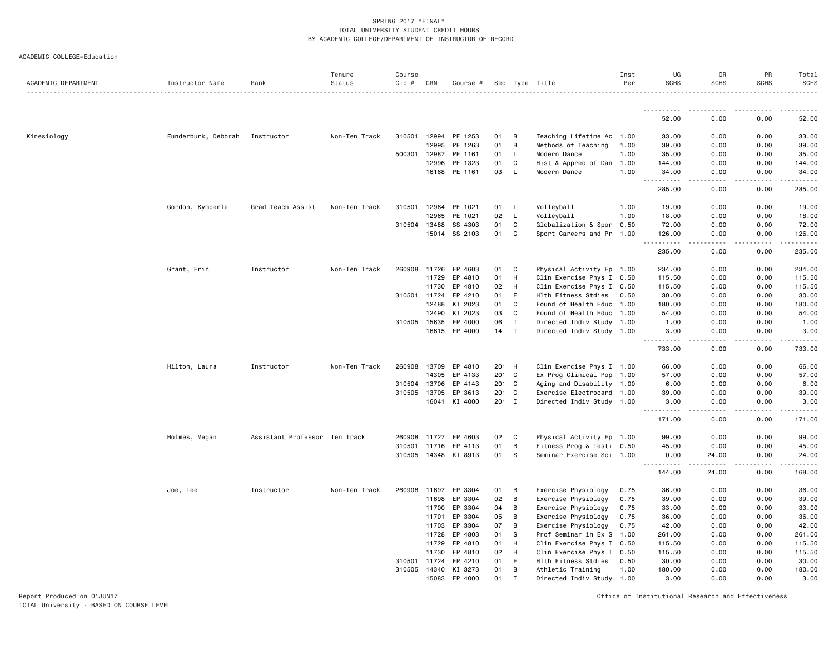|  |  | ACADEMIC COLLEGE=Education |
|--|--|----------------------------|
|--|--|----------------------------|

| ACADEMIC DEPARTMENT | Instructor Name     | Rank                          | Tenure<br>Status | Course<br>Cip # | CRN          | Course #      |       |             | Sec Type Title            | Inst<br>Per | UG<br><b>SCHS</b>       | GR<br><b>SCHS</b> | PR<br><b>SCHS</b> | Total<br><b>SCHS</b> |
|---------------------|---------------------|-------------------------------|------------------|-----------------|--------------|---------------|-------|-------------|---------------------------|-------------|-------------------------|-------------------|-------------------|----------------------|
|                     |                     |                               |                  |                 |              |               |       |             |                           |             |                         |                   |                   | <u>.</u>             |
|                     |                     |                               |                  |                 |              |               |       |             |                           |             | 52.00                   | 0.00              | 0.00              | 52.00                |
| Kinesiology         | Funderburk, Deborah | Instructor                    | Non-Ten Track    | 310501          |              | 12994 PE 1253 | 01    | В           | Teaching Lifetime Ac 1.00 |             | 33.00                   | 0.00              | 0.00              | 33.00                |
|                     |                     |                               |                  |                 | 12995        | PE 1263       | 01    | В           | Methods of Teaching       | 1.00        | 39.00                   | 0.00              | 0.00              | 39.00                |
|                     |                     |                               |                  | 500301          | 12987        | PE 1161       | 01    | L           | Modern Dance              | 1.00        | 35.00                   | 0.00              | 0.00              | 35.00                |
|                     |                     |                               |                  |                 | 12996        | PE 1323       | 01    | C           | Hist & Apprec of Dan      | 1.00        | 144.00                  | 0.00              | 0.00              | 144.00               |
|                     |                     |                               |                  |                 |              | 16168 PE 1161 | 03    | L           | Modern Dance              | 1.00        | 34.00<br>.              | 0.00              | 0.00              | 34.00<br>.           |
|                     |                     |                               |                  |                 |              |               |       |             |                           |             | 285.00                  | 0.00              | 0.00              | 285.00               |
|                     | Gordon, Kymberle    | Grad Teach Assist             | Non-Ten Track    | 310501          | 12964        | PE 1021       | 01    | L           | Volleyball                | 1.00        | 19.00                   | 0.00              | 0.00              | 19.00                |
|                     |                     |                               |                  |                 | 12965        | PE 1021       | 02    | L           | Volleyball                | 1.00        | 18.00                   | 0.00              | 0.00              | 18.00                |
|                     |                     |                               |                  | 310504          | 13488        | SS 4303       | 01    | C           | Globalization & Spor 0.50 |             | 72.00                   | 0.00              | 0.00              | 72.00                |
|                     |                     |                               |                  |                 | 15014        | SS 2103       | 01    | C           | Sport Careers and Pr 1.00 |             | 126.00<br>$\sim$ $\sim$ | 0.00              | 0.00              | 126.00<br>.          |
|                     |                     |                               |                  |                 |              |               |       |             |                           |             | 235.00                  | 0.00              | 0.00              | 235.00               |
|                     | Grant, Erin         | Instructor                    | Non-Ten Track    | 260908          | 11726        | EP 4603       | 01    | C           | Physical Activity Ep 1.00 |             | 234.00                  | 0.00              | 0.00              | 234.00               |
|                     |                     |                               |                  |                 | 11729        | EP 4810       | 01    | H           | Clin Exercise Phys I 0.50 |             | 115.50                  | 0.00              | 0.00              | 115.50               |
|                     |                     |                               |                  |                 | 11730        | EP 4810       | 02    | H           | Clin Exercise Phys I 0.50 |             | 115.50                  | 0.00              | 0.00              | 115.50               |
|                     |                     |                               |                  | 310501          | 11724        | EP 4210       | 01    | E           | Hlth Fitness Stdies       | 0.50        | 30.00                   | 0.00              | 0.00              | 30.00                |
|                     |                     |                               |                  |                 | 12488        | KI 2023       | 01    | C           | Found of Health Educ 1.00 |             | 180.00                  | 0.00              | 0.00              | 180.00               |
|                     |                     |                               |                  |                 | 12490        | KI 2023       | 03    | C           | Found of Health Educ 1.00 |             | 54.00                   | 0.00              | 0.00              | 54.00                |
|                     |                     |                               |                  | 310505          | 15635        | EP 4000       | 06    | Ι.          | Directed Indiv Study 1.00 |             | 1.00                    | 0.00              | 0.00              | 1.00                 |
|                     |                     |                               |                  |                 | 16615        | EP 4000       | 14    | I           | Directed Indiv Study 1.00 |             | 3.00                    | 0.00              | 0.00              | 3.00                 |
|                     |                     |                               |                  |                 |              |               |       |             |                           |             | .<br>733.00             | 0.00              | 0.00              | .<br>733.00          |
|                     | Hilton, Laura       | Instructor                    | Non-Ten Track    | 260908 13709    |              | EP 4810       | 201 H |             | Clin Exercise Phys I 1.00 |             | 66.00                   | 0.00              | 0.00              | 66.00                |
|                     |                     |                               |                  |                 | 14305        | EP 4133       | 201   | C           | Ex Prog Clinical Pop 1.00 |             | 57.00                   | 0.00              | 0.00              | 57.00                |
|                     |                     |                               |                  | 310504          | 13706        | EP 4143       | 201   | C           | Aging and Disability 1.00 |             | 6.00                    | 0.00              | 0.00              | 6.00                 |
|                     |                     |                               |                  |                 | 310505 13705 | EP 3613       | 201 C |             | Exercise Electrocard 1.00 |             | 39.00                   | 0.00              | 0.00              | 39.00                |
|                     |                     |                               |                  |                 | 16041        | KI 4000       | 201 I |             | Directed Indiv Study 1.00 |             | 3.00                    | 0.00              | 0.00              | 3.00                 |
|                     |                     |                               |                  |                 |              |               |       |             |                           |             | .<br>171.00             | د د د د<br>0.00   | .<br>0.00         | -----<br>171.00      |
|                     | Holmes, Megan       | Assistant Professor Ten Track |                  |                 | 260908 11727 | EP 4603       | 02    | C           | Physical Activity Ep 1.00 |             | 99.00                   | 0.00              | 0.00              | 99.00                |
|                     |                     |                               |                  | 310501          | 11716        | EP 4113       | 01    | В           | Fitness Prog & Testi 0.50 |             | 45.00                   | 0.00              | 0.00              | 45.00                |
|                     |                     |                               |                  | 310505 14348    |              | KI 8913       | 01    | S           | Seminar Exercise Sci 1.00 |             | 0.00<br><u>.</u>        | 24.00             | 0.00              | 24.00<br>.           |
|                     |                     |                               |                  |                 |              |               |       |             |                           |             | 144.00                  | 24.00             | 0.00              | 168.00               |
|                     | Joe, Lee            | Instructor                    | Non-Ten Track    | 260908          | 11697        | EP 3304       | 01    | В           | Exercise Physiology       | 0.75        | 36.00                   | 0.00              | 0.00              | 36.00                |
|                     |                     |                               |                  |                 | 11698        | EP 3304       | 02    | В           | Exercise Physiology       | 0.75        | 39.00                   | 0.00              | 0.00              | 39.00                |
|                     |                     |                               |                  |                 | 11700        | EP 3304       | 04    | В           | Exercise Physiology       | 0.75        | 33.00                   | 0.00              | 0.00              | 33.00                |
|                     |                     |                               |                  |                 | 11701        | EP 3304       | 05    | В           | Exercise Physiology       | 0.75        | 36.00                   | 0.00              | 0.00              | 36.00                |
|                     |                     |                               |                  |                 | 11703        | EP 3304       | 07    | В           | Exercise Physiology       | 0.75        | 42.00                   | 0.00              | 0.00              | 42.00                |
|                     |                     |                               |                  |                 | 11728        | EP 4803       | 01    | S           | Prof Seminar in Ex S 1.00 |             | 261.00                  | 0.00              | 0.00              | 261.00               |
|                     |                     |                               |                  |                 | 11729        | EP 4810       | 01    | H           | Clin Exercise Phys I 0.50 |             | 115.50                  | 0.00              | 0.00              | 115.50               |
|                     |                     |                               |                  |                 | 11730        | EP 4810       | 02    | H           | Clin Exercise Phys I 0.50 |             | 115.50                  | 0.00              | 0.00              | 115.50               |
|                     |                     |                               |                  | 310501          | 11724        | EP 4210       | 01    | E           | Hlth Fitness Stdies       | 0.50        | 30.00                   | 0.00              | 0.00              | 30.00                |
|                     |                     |                               |                  | 310505          | 14340        | KI 3273       | 01    | В           | Athletic Training         | 1.00        | 180.00                  | 0.00              | 0.00              | 180.00               |
|                     |                     |                               |                  |                 | 15083        | EP 4000       | 01    | $\mathbf I$ | Directed Indiv Study 1.00 |             | 3.00                    | 0.00              | 0.00              | 3.00                 |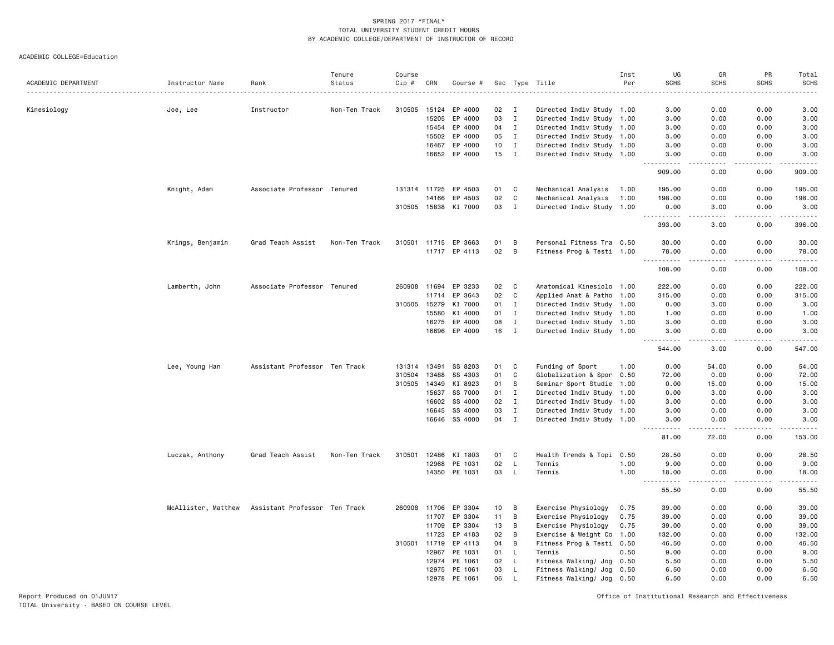ACADEMIC COLLEGE=Education

| ACADEMIC DEPARTMENT | Instructor Name     | Rank                          | Tenure<br>Status | Course<br>Cip# | CRN   | Course #             |    |                | Sec Type Title            | Inst<br>Per | UG<br><b>SCHS</b>   | GR<br><b>SCHS</b> | PR<br><b>SCHS</b> | Total<br><b>SCHS</b>                                                                                                                                                                    |
|---------------------|---------------------|-------------------------------|------------------|----------------|-------|----------------------|----|----------------|---------------------------|-------------|---------------------|-------------------|-------------------|-----------------------------------------------------------------------------------------------------------------------------------------------------------------------------------------|
|                     |                     |                               |                  |                |       |                      |    |                |                           |             |                     |                   |                   |                                                                                                                                                                                         |
| Kinesiology         | Joe, Lee            | Instructor                    | Non-Ten Track    | 310505         | 15124 | EP 4000              | 02 | $\blacksquare$ | Directed Indiv Study 1.00 |             | 3.00                | 0.00              | 0.00              | 3.00                                                                                                                                                                                    |
|                     |                     |                               |                  |                | 15205 | EP 4000              | 03 | $\mathbf{I}$   | Directed Indiv Study 1.00 |             | 3.00                | 0.00              | 0.00              | 3.00                                                                                                                                                                                    |
|                     |                     |                               |                  |                | 15454 | EP 4000              | 04 | $\mathbf I$    | Directed Indiv Study 1.00 |             | 3.00                | 0.00              | 0.00              | 3.00                                                                                                                                                                                    |
|                     |                     |                               |                  |                | 15502 | EP 4000              | 05 | $\mathbf{I}$   | Directed Indiv Study 1.00 |             | 3.00                | 0.00              | 0.00              | 3.00                                                                                                                                                                                    |
|                     |                     |                               |                  |                | 16467 | EP 4000              | 10 | $\mathbf I$    | Directed Indiv Study 1.00 |             | 3.00                | 0.00              | 0.00              | 3.00                                                                                                                                                                                    |
|                     |                     |                               |                  |                |       | 16652 EP 4000        | 15 | $\blacksquare$ | Directed Indiv Study 1.00 |             | 3.00<br>.           | 0.00              | 0.00              | 3.00<br>.                                                                                                                                                                               |
|                     |                     |                               |                  |                |       |                      |    |                |                           |             | 909.00              | 0.00              | 0.00              | 909.00                                                                                                                                                                                  |
|                     | Knight, Adam        | Associate Professor Tenured   |                  |                |       | 131314 11725 EP 4503 | 01 | C              | Mechanical Analysis       | 1.00        | 195.00              | 0.00              | 0.00              | 195.00                                                                                                                                                                                  |
|                     |                     |                               |                  |                | 14166 | EP 4503              | 02 | C              | Mechanical Analysis       | 1.00        | 198.00              | 0.00              | 0.00              | 198.00                                                                                                                                                                                  |
|                     |                     |                               |                  |                |       | 310505 15838 KI 7000 | 03 | $\mathbf I$    | Directed Indiv Study 1.00 |             | 0.00<br>. <b>.</b>  | 3.00              | 0.00              | 3.00<br>$\frac{1}{2} \left( \frac{1}{2} \right) \left( \frac{1}{2} \right) \left( \frac{1}{2} \right) \left( \frac{1}{2} \right) \left( \frac{1}{2} \right) \left( \frac{1}{2} \right)$ |
|                     |                     |                               |                  |                |       |                      |    |                |                           |             | 393.00              | 3.00              | 0.00              | 396.00                                                                                                                                                                                  |
|                     | Krings, Benjamin    | Grad Teach Assist             | Non-Ten Track    |                |       | 310501 11715 EP 3663 | 01 | B              | Personal Fitness Tra 0.50 |             | 30.00               | 0.00              | 0.00              | 30.00                                                                                                                                                                                   |
|                     |                     |                               |                  |                |       | 11717 EP 4113        | 02 | B              | Fitness Prog & Testi 1.00 |             | 78.00<br>.          | 0.00<br>.         | 0.00<br>.         | 78.00<br>.                                                                                                                                                                              |
|                     |                     |                               |                  |                |       |                      |    |                |                           |             | 108.00              | 0.00              | 0.00              | 108.00                                                                                                                                                                                  |
|                     | Lamberth, John      | Associate Professor Tenured   |                  | 260908         |       | 11694 EP 3233        | 02 | C              | Anatomical Kinesiolo 1.00 |             | 222.00              | 0.00              | 0.00              | 222.00                                                                                                                                                                                  |
|                     |                     |                               |                  |                | 11714 | EP 3643              | 02 | C              | Applied Anat & Patho 1.00 |             | 315.00              | 0.00              | 0.00              | 315.00                                                                                                                                                                                  |
|                     |                     |                               |                  | 310505         | 15279 | KI 7000              | 01 | $\mathbf{I}$   | Directed Indiv Study 1.00 |             | 0.00                | 3.00              | 0.00              | 3.00                                                                                                                                                                                    |
|                     |                     |                               |                  |                | 15580 | KI 4000              | 01 | $\mathbf{I}$   | Directed Indiv Study 1.00 |             | 1.00                | 0.00              | 0.00              | 1.00                                                                                                                                                                                    |
|                     |                     |                               |                  |                | 16275 | EP 4000              | 08 | $\mathbf I$    | Directed Indiv Study 1.00 |             | 3.00                | 0.00              | 0.00              | 3.00                                                                                                                                                                                    |
|                     |                     |                               |                  |                | 16696 | EP 4000              | 16 | $\mathbf I$    | Directed Indiv Study 1.00 |             | 3.00                | 0.00<br>.         | 0.00              | 3.00<br>.                                                                                                                                                                               |
|                     |                     |                               |                  |                |       |                      |    |                |                           |             | 544.00              | 3.00              | 0.00              | 547.00                                                                                                                                                                                  |
|                     | Lee, Young Han      | Assistant Professor Ten Track |                  | 131314 13491   |       | SS 8203              | 01 | C              | Funding of Sport          | 1.00        | 0.00                | 54.00             | 0.00              | 54.00                                                                                                                                                                                   |
|                     |                     |                               |                  | 310504         | 13488 | SS 4303              | 01 | C              | Globalization & Spor 0.50 |             | 72.00               | 0.00              | 0.00              | 72.00                                                                                                                                                                                   |
|                     |                     |                               |                  | 310505         | 14349 | KI 8923              | 01 | s              | Seminar Sport Studie 1.00 |             | 0.00                | 15.00             | 0.00              | 15.00                                                                                                                                                                                   |
|                     |                     |                               |                  |                | 15637 | SS 7000              | 01 | $\mathbf I$    | Directed Indiv Study 1.00 |             | 0.00                | 3.00              | 0.00              | 3.00                                                                                                                                                                                    |
|                     |                     |                               |                  |                | 16602 | SS 4000              | 02 | $\mathbf{I}$   | Directed Indiv Study 1.00 |             | 3.00                | 0.00              | 0.00              | 3.00                                                                                                                                                                                    |
|                     |                     |                               |                  |                | 16645 | SS 4000              | 03 | $\mathbf I$    | Directed Indiv Study 1.00 |             | 3.00                | 0.00              | 0.00              | 3.00                                                                                                                                                                                    |
|                     |                     |                               |                  |                |       | 16646 SS 4000        | 04 | $\mathbf I$    | Directed Indiv Study 1.00 |             | 3.00                | 0.00              | 0.00              | 3.00<br>$\cdots$                                                                                                                                                                        |
|                     |                     |                               |                  |                |       |                      |    |                |                           |             | 81.00               | 72.00             | 0.00              | 153.00                                                                                                                                                                                  |
|                     | Luczak, Anthony     | Grad Teach Assist             | Non-Ten Track    | 310501         | 12486 | KI 1803              | 01 | C              | Health Trends & Topi 0.50 |             | 28.50               | 0.00              | 0.00              | 28.50                                                                                                                                                                                   |
|                     |                     |                               |                  |                | 12968 | PE 1031              | 02 | L              | Tennis                    | 1.00        | 9.00                | 0.00              | 0.00              | 9.00                                                                                                                                                                                    |
|                     |                     |                               |                  |                |       | 14350 PE 1031        | 03 | L              | Tennis                    | 1.00        | 18.00<br>.<br>$  -$ | 0.00<br>.         | 0.00<br>.         | 18.00<br>.                                                                                                                                                                              |
|                     |                     |                               |                  |                |       |                      |    |                |                           |             | 55.50               | 0.00              | 0.00              | 55.50                                                                                                                                                                                   |
|                     | McAllister, Matthew | Assistant Professor Ten Track |                  | 260908         | 11706 | EP 3304              | 10 | B              | Exercise Physiology       | 0.75        | 39.00               | 0.00              | 0.00              | 39.00                                                                                                                                                                                   |
|                     |                     |                               |                  |                | 11707 | EP 3304              | 11 | B              | Exercise Physiology       | 0.75        | 39.00               | 0.00              | 0.00              | 39.00                                                                                                                                                                                   |
|                     |                     |                               |                  |                | 11709 | EP 3304              | 13 | B              | Exercise Physiology       | 0.75        | 39.00               | 0.00              | 0.00              | 39.00                                                                                                                                                                                   |
|                     |                     |                               |                  |                | 11723 | EP 4183              | 02 | B              | Exercise & Weight Co      | 1.00        | 132.00              | 0.00              | 0.00              | 132.00                                                                                                                                                                                  |
|                     |                     |                               |                  | 310501         | 11719 | EP 4113              | 04 | B              | Fitness Prog & Testi 0.50 |             | 46.50               | 0.00              | 0.00              | 46.50                                                                                                                                                                                   |
|                     |                     |                               |                  |                | 12967 | PE 1031              | 01 | L              | Tennis                    | 0.50        | 9.00                | 0.00              | 0.00              | 9.00                                                                                                                                                                                    |
|                     |                     |                               |                  |                | 12974 | PE 1061              | 02 | L.             | Fitness Walking/ Jog      | 0.50        | 5.50                | 0.00              | 0.00              | 5.50                                                                                                                                                                                    |
|                     |                     |                               |                  |                | 12975 | PE 1061              | 03 | L              | Fitness Walking/ Jog      | 0.50        | 6.50                | 0.00              | 0.00              | 6.50                                                                                                                                                                                    |
|                     |                     |                               |                  |                | 12978 | PE 1061              | 06 | L              | Fitness Walking/ Jog 0.50 |             | 6.50                | 0.00              | 0.00              | 6.50                                                                                                                                                                                    |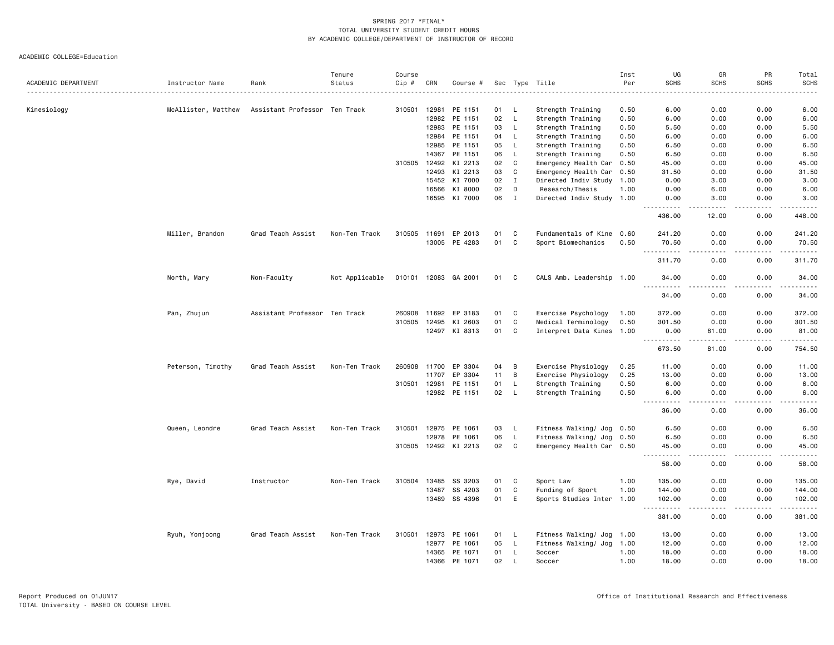|                     |                     |                               | Tenure         | Course       |              |                      |    |              |                           | Inst     | UG                   | GR                                                                                                                                                            | PR               | Total                                                                                                                                                         |
|---------------------|---------------------|-------------------------------|----------------|--------------|--------------|----------------------|----|--------------|---------------------------|----------|----------------------|---------------------------------------------------------------------------------------------------------------------------------------------------------------|------------------|---------------------------------------------------------------------------------------------------------------------------------------------------------------|
| ACADEMIC DEPARTMENT | Instructor Name     | Rank                          | Status         | Cip #        | CRN          | Course #             |    |              | Sec Type Title            | Per<br>. | <b>SCHS</b>          | <b>SCHS</b>                                                                                                                                                   | <b>SCHS</b>      | <b>SCHS</b><br>$- - - -$                                                                                                                                      |
| Kinesiology         | McAllister, Matthew | Assistant Professor Ten Track |                | 310501       | 12981        | PE 1151              | 01 | L.           | Strength Training         | 0.50     | 6.00                 | 0.00                                                                                                                                                          | 0.00             | 6.00                                                                                                                                                          |
|                     |                     |                               |                |              |              | 12982 PE 1151        | 02 | $\mathsf{L}$ | Strength Training         | 0.50     | 6.00                 | 0.00                                                                                                                                                          | 0.00             | 6.00                                                                                                                                                          |
|                     |                     |                               |                |              | 12983        | PE 1151              | 03 | L.           | Strength Training         | 0.50     | 5.50                 | 0.00                                                                                                                                                          | 0.00             | 5.50                                                                                                                                                          |
|                     |                     |                               |                |              |              | 12984 PE 1151        | 04 | $\mathsf{L}$ | Strength Training         | 0.50     | 6.00                 | 0.00                                                                                                                                                          | 0.00             | 6.00                                                                                                                                                          |
|                     |                     |                               |                |              |              | 12985 PE 1151        | 05 | $\mathsf{L}$ | Strength Training         | 0.50     | 6.50                 | 0.00                                                                                                                                                          | 0.00             | 6.50                                                                                                                                                          |
|                     |                     |                               |                |              |              | 14367 PE 1151        | 06 | L.           | Strength Training         | 0.50     | 6.50                 | 0.00                                                                                                                                                          | 0.00             | 6.50                                                                                                                                                          |
|                     |                     |                               |                |              |              | 310505 12492 KI 2213 | 02 | C            | Emergency Health Car 0.50 |          | 45.00                | 0.00                                                                                                                                                          | 0.00             | 45.00                                                                                                                                                         |
|                     |                     |                               |                |              | 12493        | KI 2213              | 03 | $\mathtt{C}$ | Emergency Health Car 0.50 |          | 31.50                | 0.00                                                                                                                                                          | 0.00             | 31.50                                                                                                                                                         |
|                     |                     |                               |                |              |              | 15452 KI 7000        | 02 | I            | Directed Indiv Study      | 1.00     | 0.00                 | 3.00                                                                                                                                                          | 0.00             | 3.00                                                                                                                                                          |
|                     |                     |                               |                |              | 16566        | KI 8000              | 02 | D            | Research/Thesis           | 1.00     | 0.00                 | 6.00                                                                                                                                                          | 0.00             | 6.00                                                                                                                                                          |
|                     |                     |                               |                |              |              | 16595 KI 7000        | 06 | I            | Directed Indiv Study 1.00 |          | 0.00<br>.            | 3.00<br>-----                                                                                                                                                 | 0.00<br>.        | 3.00<br>$\frac{1}{2} \left( \frac{1}{2} \right) \left( \frac{1}{2} \right) \left( \frac{1}{2} \right) \left( \frac{1}{2} \right) \left( \frac{1}{2} \right)$  |
|                     |                     |                               |                |              |              |                      |    |              |                           |          | 436.00               | 12.00                                                                                                                                                         | 0.00             | 448.00                                                                                                                                                        |
|                     | Miller, Brandon     | Grad Teach Assist             | Non-Ten Track  |              |              | 310505 11691 EP 2013 | 01 | C            | Fundamentals of Kine 0.60 |          | 241.20               | 0.00                                                                                                                                                          | 0.00             | 241.20                                                                                                                                                        |
|                     |                     |                               |                |              |              | 13005 PE 4283        | 01 | C            | Sport Biomechanics        | 0.50     | 70.50<br><b></b>     | 0.00<br>$- - -$                                                                                                                                               | 0.00<br>.        | 70.50<br><u>.</u>                                                                                                                                             |
|                     |                     |                               |                |              |              |                      |    |              |                           |          | 311.70               | 0.00                                                                                                                                                          | 0.00             | 311.70                                                                                                                                                        |
|                     | North, Mary         | Non-Faculty                   | Not Applicable |              |              | 010101 12083 GA 2001 | 01 | C            | CALS Amb. Leadership 1.00 |          | 34.00                | 0.00<br>$\sim$ $\sim$ $\sim$ $\sim$                                                                                                                           | 0.00<br>المستبدا | 34.00<br>.                                                                                                                                                    |
|                     |                     |                               |                |              |              |                      |    |              |                           |          | 34.00                | 0.00                                                                                                                                                          | 0.00             | 34.00                                                                                                                                                         |
|                     | Pan, Zhujun         | Assistant Professor Ten Track |                | 260908       | 11692        | EP 3183              | 01 | C            | Exercise Psychology       | 1.00     | 372.00               | 0.00                                                                                                                                                          | 0.00             | 372.00                                                                                                                                                        |
|                     |                     |                               |                | 310505       | 12495        | KI 2603              | 01 | C            | Medical Terminology       | 0.50     | 301.50               | 0.00                                                                                                                                                          | 0.00             | 301.50                                                                                                                                                        |
|                     |                     |                               |                |              |              | 12497 KI 8313        | 01 | C            | Interpret Data Kines 1.00 |          | 0.00<br>.            | 81.00<br>$\frac{1}{2} \left( \frac{1}{2} \right) \left( \frac{1}{2} \right) \left( \frac{1}{2} \right) \left( \frac{1}{2} \right) \left( \frac{1}{2} \right)$ | 0.00<br>.        | 81.00<br>$\frac{1}{2} \left( \frac{1}{2} \right) \left( \frac{1}{2} \right) \left( \frac{1}{2} \right) \left( \frac{1}{2} \right) \left( \frac{1}{2} \right)$ |
|                     |                     |                               |                |              |              |                      |    |              |                           |          | 673.50               | 81.00                                                                                                                                                         | 0.00             | 754.50                                                                                                                                                        |
|                     | Peterson, Timothy   | Grad Teach Assist             | Non-Ten Track  |              | 260908 11700 | EP 3304              | 04 | B            | Exercise Physiology       | 0.25     | 11.00                | 0.00                                                                                                                                                          | 0.00             | 11.00                                                                                                                                                         |
|                     |                     |                               |                |              | 11707        | EP 3304              | 11 | B            | Exercise Physiology       | 0.25     | 13.00                | 0.00                                                                                                                                                          | 0.00             | 13.00                                                                                                                                                         |
|                     |                     |                               |                | 310501 12981 |              | PE 1151              | 01 | L,           | Strength Training         | 0.50     | 6.00                 | 0.00                                                                                                                                                          | 0.00             | 6.00                                                                                                                                                          |
|                     |                     |                               |                |              |              | 12982 PE 1151        | 02 | $\mathsf{L}$ | Strength Training         | 0.50     | 6.00<br>.            | 0.00<br>$\frac{1}{2}$                                                                                                                                         | 0.00<br>.        | 6.00<br>.                                                                                                                                                     |
|                     |                     |                               |                |              |              |                      |    |              |                           |          | 36.00                | 0.00                                                                                                                                                          | 0.00             | 36.00                                                                                                                                                         |
|                     | Queen, Leondre      | Grad Teach Assist             | Non-Ten Track  | 310501       | 12975        | PE 1061              | 03 | L.           | Fitness Walking/ Jog 0.50 |          | 6.50                 | 0.00                                                                                                                                                          | 0.00             | 6.50                                                                                                                                                          |
|                     |                     |                               |                |              |              | 12978 PE 1061        | 06 | L            | Fitness Walking/ Jog      | 0.50     | 6.50                 | 0.00                                                                                                                                                          | 0.00             | 6.50                                                                                                                                                          |
|                     |                     |                               |                |              |              | 310505 12492 KI 2213 | 02 | C.           | Emergency Health Car 0.50 |          | 45.00<br>.<br>$  -$  | 0.00<br>.                                                                                                                                                     | 0.00<br>.        | 45.00<br>.                                                                                                                                                    |
|                     |                     |                               |                |              |              |                      |    |              |                           |          | 58.00                | 0.00                                                                                                                                                          | 0.00             | 58.00                                                                                                                                                         |
|                     | Rye, David          | Instructor                    | Non-Ten Track  | 310504       | 13485        | SS 3203              | 01 | C            | Sport Law                 | 1.00     | 135.00               | 0.00                                                                                                                                                          | 0.00             | 135.00                                                                                                                                                        |
|                     |                     |                               |                |              |              | 13487 SS 4203        | 01 | $\mathtt{C}$ | Funding of Sport          | 1.00     | 144.00               | 0.00                                                                                                                                                          | 0.00             | 144.00                                                                                                                                                        |
|                     |                     |                               |                |              |              | 13489 SS 4396        | 01 | E            | Sports Studies Inter 1.00 |          | 102.00               | 0.00                                                                                                                                                          | 0.00             | 102.00                                                                                                                                                        |
|                     |                     |                               |                |              |              |                      |    |              |                           |          | . <b>.</b><br>381.00 | .<br>0.00                                                                                                                                                     | .<br>0.00        | 381.00                                                                                                                                                        |
|                     | Ryuh, Yonjoong      | Grad Teach Assist             | Non-Ten Track  | 310501       | 12973        | PE 1061              | 01 | L.           | Fitness Walking/ Jog 1.00 |          | 13.00                | 0.00                                                                                                                                                          | 0.00             | 13.00                                                                                                                                                         |
|                     |                     |                               |                |              | 12977        | PE 1061              | 05 | <b>L</b>     | Fitness Walking/ Jog 1.00 |          | 12.00                | 0.00                                                                                                                                                          | 0.00             | 12.00                                                                                                                                                         |
|                     |                     |                               |                |              |              | 14365 PE 1071        | 01 | L.           | Soccer                    | 1.00     | 18.00                | 0.00                                                                                                                                                          | 0.00             | 18.00                                                                                                                                                         |
|                     |                     |                               |                |              |              | 14366 PE 1071        | 02 | $\mathsf{L}$ | Soccer                    | 1.00     | 18.00                | 0.00                                                                                                                                                          | 0.00             | 18.00                                                                                                                                                         |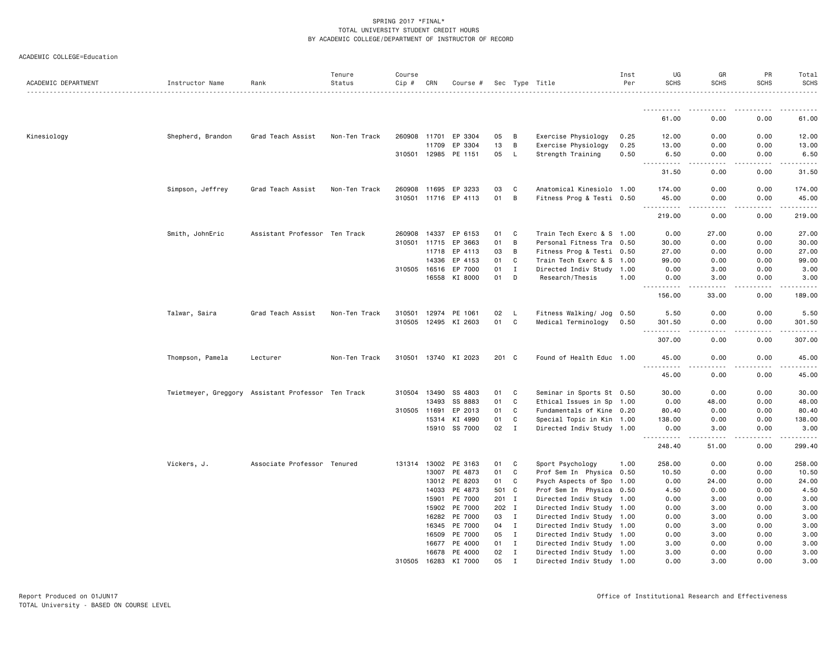| ACADEMIC DEPARTMENT | Instructor Name                                    | Rank                          | Tenure<br>Status | Course<br>Cip # | CRN   | Course #             |       |              | Sec Type Title            | Inst<br>Per | UG<br><b>SCHS</b>                  | GR<br><b>SCHS</b> | PR<br><b>SCHS</b> | Total<br><b>SCHS</b> |
|---------------------|----------------------------------------------------|-------------------------------|------------------|-----------------|-------|----------------------|-------|--------------|---------------------------|-------------|------------------------------------|-------------------|-------------------|----------------------|
|                     |                                                    |                               |                  |                 |       |                      |       |              |                           |             |                                    |                   |                   |                      |
|                     |                                                    |                               |                  |                 |       |                      |       |              |                           |             | 61.00                              | 0.00              | 0.00              | 61.00                |
| Kinesiology         | Shepherd, Brandon                                  | Grad Teach Assist             | Non-Ten Track    | 260908          | 11701 | EP 3304              | 05    | B            | Exercise Physiology       | 0.25        | 12.00                              | 0.00              | 0.00              | 12.00                |
|                     |                                                    |                               |                  |                 | 11709 | EP 3304              | 13    | B            | Exercise Physiology       | 0.25        | 13.00                              | 0.00              | 0.00              | 13.00                |
|                     |                                                    |                               |                  |                 |       | 310501 12985 PE 1151 | 05    | L            | Strength Training         | 0.50        | 6.50                               | 0.00              | 0.00              | 6.50                 |
|                     |                                                    |                               |                  |                 |       |                      |       |              |                           |             | .<br>31.50                         | .<br>0.00         | .<br>0.00         | .<br>31.50           |
|                     | Simpson, Jeffrey                                   | Grad Teach Assist             | Non-Ten Track    | 260908          | 11695 | EP 3233              | 03    | C            | Anatomical Kinesiolo 1.00 |             | 174.00                             | 0.00              | 0.00              | 174.00               |
|                     |                                                    |                               |                  |                 |       | 310501 11716 EP 4113 | 01    | B            | Fitness Prog & Testi 0.50 |             | 45.00                              | 0.00              | 0.00              | 45.00                |
|                     |                                                    |                               |                  |                 |       |                      |       |              |                           |             | .                                  | $- - - -$         | .                 | <u>.</u>             |
|                     |                                                    |                               |                  |                 |       |                      |       |              |                           |             | 219.00                             | 0.00              | 0.00              | 219.00               |
|                     | Smith, JohnEric                                    | Assistant Professor Ten Track |                  | 260908          | 14337 | EP 6153              | 01    | C            | Train Tech Exerc & S 1.00 |             | 0.00                               | 27.00             | 0.00              | 27.00                |
|                     |                                                    |                               |                  | 310501 11715    |       | EP 3663              | 01    | B            | Personal Fitness Tra 0.50 |             | 30.00                              | 0.00              | 0.00              | 30.00                |
|                     |                                                    |                               |                  |                 | 11718 | EP 4113              | 03    | B            | Fitness Prog & Testi 0.50 |             | 27.00                              | 0.00              | 0.00              | 27.00                |
|                     |                                                    |                               |                  |                 | 14336 | EP 4153              | 01    | C            | Train Tech Exerc & S 1.00 |             | 99.00                              | 0.00              | 0.00              | 99.00                |
|                     |                                                    |                               |                  | 310505 16516    |       | EP 7000              | 01    | $\mathbf I$  | Directed Indiv Study 1.00 |             | 0.00                               | 3.00              | 0.00              | 3.00                 |
|                     |                                                    |                               |                  |                 | 16558 | KI 8000              | 01    | D            | Research/Thesis           | 1.00        | 0.00<br><u>.</u>                   | 3.00<br>.         | 0.00<br>$- - - -$ | 3.00<br>.            |
|                     |                                                    |                               |                  |                 |       |                      |       |              |                           |             | 156.00                             | 33.00             | 0.00              | 189.00               |
|                     | Talwar, Saira                                      | Grad Teach Assist             | Non-Ten Track    | 310501          | 12974 | PE 1061              | 02    | L            | Fitness Walking/ Jog 0.50 |             | 5.50                               | 0.00              | 0.00              | 5.50                 |
|                     |                                                    |                               |                  |                 |       | 310505 12495 KI 2603 | 01    | C            | Medical Terminology       | 0.50        | 301.50                             | 0.00              | 0.00              | 301.50               |
|                     |                                                    |                               |                  |                 |       |                      |       |              |                           |             | -----<br>307.00                    | $- - - -$<br>0.00 | .<br>0.00         | .<br>307.00          |
|                     | Thompson, Pamela                                   | Lecturer                      | Non-Ten Track    |                 |       | 310501 13740 KI 2023 | 201 C |              | Found of Health Educ 1.00 |             | 45.00                              | 0.00              | 0.00<br>$  -$     | 45.00                |
|                     |                                                    |                               |                  |                 |       |                      |       |              |                           |             | $\sim$ $\sim$ $\sim$<br>.<br>45.00 | - - - -<br>0.00   | 0.00              | .<br>45.00           |
|                     | Twietmeyer, Greggory Assistant Professor Ten Track |                               |                  | 310504          | 13490 | SS 4803              | 01    | C            | Seminar in Sports St 0.50 |             | 30.00                              | 0.00              | 0.00              | 30.00                |
|                     |                                                    |                               |                  |                 | 13493 | SS 8883              | 01    | C            | Ethical Issues in Sp 1.00 |             | 0.00                               | 48.00             | 0.00              | 48.00                |
|                     |                                                    |                               |                  | 310505 11691    |       | EP 2013              | 01    | $\mathtt{C}$ | Fundamentals of Kine 0.20 |             | 80.40                              | 0.00              | 0.00              | 80.40                |
|                     |                                                    |                               |                  |                 | 15314 | KI 4990              | 01    | $\mathtt{C}$ | Special Topic in Kin 1.00 |             | 138.00                             | 0.00              | 0.00              | 138.00               |
|                     |                                                    |                               |                  |                 |       | 15910 SS 7000        | 02    | $\mathbf I$  | Directed Indiv Study 1.00 |             | 0.00                               | 3.00              | 0.00              | 3.00                 |
|                     |                                                    |                               |                  |                 |       |                      |       |              |                           |             | -----<br>248.40                    | .<br>51.00        | .<br>0.00         | .<br>299.40          |
|                     | Vickers, J.                                        | Associate Professor Tenured   |                  |                 |       | 131314 13002 PE 3163 | 01    | C            | Sport Psychology          | 1.00        | 258.00                             | 0.00              | 0.00              | 258.00               |
|                     |                                                    |                               |                  |                 | 13007 | PE 4873              | 01    | C            | Prof Sem In Physica 0.50  |             | 10.50                              | 0.00              | 0.00              | 10.50                |
|                     |                                                    |                               |                  |                 | 13012 | PE 8203              | 01    | C            | Psych Aspects of Spo 1.00 |             | 0.00                               | 24.00             | 0.00              | 24.00                |
|                     |                                                    |                               |                  |                 | 14033 | PE 4873              | 501 C |              | Prof Sem In Physica 0.50  |             | 4.50                               | 0.00              | 0.00              | 4.50                 |
|                     |                                                    |                               |                  |                 | 15901 | PE 7000              | 201 I |              | Directed Indiv Study 1.00 |             | 0.00                               | 3.00              | 0.00              | 3.00                 |
|                     |                                                    |                               |                  |                 | 15902 | PE 7000              | 202 I |              | Directed Indiv Study 1.00 |             | 0.00                               | 3.00              | 0.00              | 3.00                 |
|                     |                                                    |                               |                  |                 | 16282 | PE 7000              | 03    | $\mathbf{I}$ | Directed Indiv Study 1.00 |             | 0.00                               | 3.00              | 0.00              | 3.00                 |
|                     |                                                    |                               |                  |                 | 16345 | PE 7000              | 04    | $\mathbf I$  | Directed Indiv Study 1.00 |             | 0.00                               | 3.00              | 0.00              | 3.00                 |
|                     |                                                    |                               |                  |                 | 16509 | PE 7000              | 05    | $\mathbf I$  | Directed Indiv Study 1.00 |             | 0.00                               | 3.00              | 0.00              | 3.00                 |
|                     |                                                    |                               |                  |                 | 16677 | PE 4000              | 01    | Ι.           | Directed Indiv Study 1.00 |             | 3.00                               | 0.00              | 0.00              | 3.00                 |
|                     |                                                    |                               |                  |                 | 16678 | PE 4000              | 02    | $\mathbf I$  | Directed Indiv Study 1.00 |             | 3.00                               | 0.00              | 0.00              | 3.00                 |
|                     |                                                    |                               |                  | 310505          | 16283 | KI 7000              | 05    | Ι            | Directed Indiv Study 1.00 |             | 0.00                               | 3.00              | 0.00              | 3.00                 |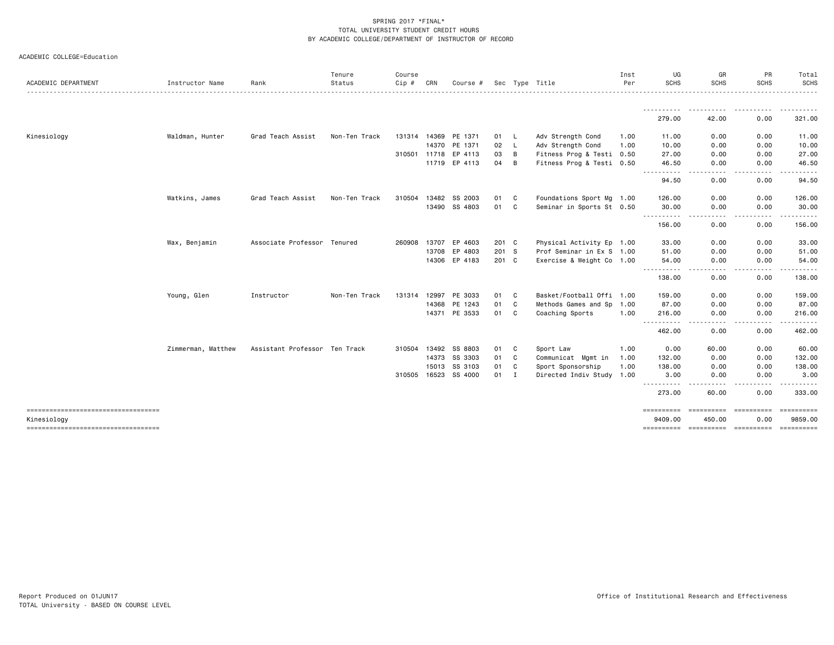|  | ACADEMIC COLLEGE=Education |
|--|----------------------------|
|--|----------------------------|

| ACADEMIC DEPARTMENT                |                    | Rank                          | Tenure<br>Status | Course<br>$Cip \#$ | CRN          |                      |       |                | Sec Type Title            | Inst<br>Per | UG<br><b>SCHS</b>            | GR<br><b>SCHS</b>                                                                                                                 | PR<br><b>SCHS</b> | Total<br><b>SCHS</b> |
|------------------------------------|--------------------|-------------------------------|------------------|--------------------|--------------|----------------------|-------|----------------|---------------------------|-------------|------------------------------|-----------------------------------------------------------------------------------------------------------------------------------|-------------------|----------------------|
|                                    | Instructor Name    |                               |                  |                    |              | Course #             |       |                |                           |             |                              |                                                                                                                                   |                   |                      |
|                                    |                    |                               |                  |                    |              |                      |       |                |                           |             | 279.00                       | 42.00                                                                                                                             | .<br>0.00         | ----------<br>321.00 |
| Kinesiology                        | Waldman, Hunter    | Grad Teach Assist             | Non-Ten Track    |                    |              | 131314 14369 PE 1371 | 01    | - L            | Adv Strength Cond         | 1.00        | 11.00                        | 0.00                                                                                                                              | 0.00              | 11.00                |
|                                    |                    |                               |                  |                    | 14370        | PE 1371              | 02    | <b>L</b>       | Adv Strength Cond         | 1.00        | 10.00                        | 0.00                                                                                                                              | 0.00              | 10.00                |
|                                    |                    |                               |                  |                    |              | 310501 11718 EP 4113 | 03    | B              | Fitness Prog & Testi 0.50 |             | 27.00                        | 0.00                                                                                                                              | 0.00              | 27.00                |
|                                    |                    |                               |                  |                    |              | 11719 EP 4113        | 04    | $\overline{B}$ | Fitness Prog & Testi 0.50 |             | 46.50                        | 0.00                                                                                                                              | 0.00              | 46.50                |
|                                    |                    |                               |                  |                    |              |                      |       |                |                           |             | <u>.</u><br>94.50            | . <b>.</b><br>0.00                                                                                                                | .<br>0.00         | <u>.</u><br>94.50    |
|                                    | Watkins, James     | Grad Teach Assist             | Non-Ten Track    | 310504             | 13482        | SS 2003              | 01    | C              | Foundations Sport Mg 1.00 |             | 126.00                       | 0.00                                                                                                                              | 0.00              | 126.00               |
|                                    |                    |                               |                  |                    |              | 13490 SS 4803        | 01    | C              | Seminar in Sports St 0.50 |             | 30.00                        | 0.00                                                                                                                              | 0.00              | 30.00                |
|                                    |                    |                               |                  |                    |              |                      |       |                |                           |             | .<br>156.00                  | $\frac{1}{2}$<br>0.00                                                                                                             | .<br>0.00         | .<br>156.00          |
|                                    | Wax, Benjamin      | Associate Professor Tenured   |                  |                    |              | 260908 13707 EP 4603 | 201 C |                | Physical Activity Ep 1.00 |             | 33.00                        | 0.00                                                                                                                              | 0.00              | 33.00                |
|                                    |                    |                               |                  |                    |              | 13708 EP 4803        | 201 S |                | Prof Seminar in Ex S 1.00 |             | 51.00                        | 0.00                                                                                                                              | 0.00              | 51.00                |
|                                    |                    |                               |                  |                    |              | 14306 EP 4183        | 201 C |                | Exercise & Weight Co 1.00 |             | 54.00<br>---------- <i>-</i> | 0.00<br>. <u>.</u>                                                                                                                | 0.00<br>.         | 54.00<br>.           |
|                                    |                    |                               |                  |                    |              |                      |       |                |                           |             | 138.00                       | 0.00                                                                                                                              | 0.00              | 138.00               |
|                                    | Young, Glen        | Instructor                    | Non-Ten Track    |                    | 131314 12997 | PE 3033              | 01    | C              | Basket/Football Offi 1.00 |             | 159.00                       | 0.00                                                                                                                              | 0.00              | 159.00               |
|                                    |                    |                               |                  |                    |              | 14368 PE 1243        | 01    | C              | Methods Games and Sp 1.00 |             | 87.00                        | 0.00                                                                                                                              | 0.00              | 87.00                |
|                                    |                    |                               |                  |                    |              | 14371 PE 3533        | 01    | C              | Coaching Sports           | 1.00        | 216.00<br>----------         | 0.00<br>$\frac{1}{2} \left( \frac{1}{2} \right) \left( \frac{1}{2} \right) \left( \frac{1}{2} \right) \left( \frac{1}{2} \right)$ | 0.00<br>----      | 216.00<br><u>.</u>   |
|                                    |                    |                               |                  |                    |              |                      |       |                |                           |             | 462.00                       | 0.00                                                                                                                              | 0.00              | 462.00               |
|                                    | Zimmerman, Matthew | Assistant Professor Ten Track |                  |                    | 310504 13492 | SS 8803              | 01    | C              | Sport Law                 | 1.00        | 0.00                         | 60.00                                                                                                                             | 0.00              | 60.00                |
|                                    |                    |                               |                  |                    | 14373        | SS 3303              | 01    | C              | Communicat Mgmt in        | 1.00        | 132.00                       | 0.00                                                                                                                              | 0.00              | 132.00               |
|                                    |                    |                               |                  |                    | 15013        | SS 3103              | 01    | C              | Sport Sponsorship         | 1.00        | 138.00                       | 0.00                                                                                                                              | 0.00              | 138.00               |
|                                    |                    |                               |                  |                    | 310505 16523 | SS 4000              | 01    | I              | Directed Indiv Study 1.00 |             | 3,00<br>----                 | 0.00                                                                                                                              | 0.00<br>$- - - -$ | 3.00                 |
|                                    |                    |                               |                  |                    |              |                      |       |                |                           |             | 273.00                       | 60.00                                                                                                                             | 0.00              | 333.00               |
| ---------------------------------- |                    |                               |                  |                    |              |                      |       |                |                           |             | ----------                   | ==========                                                                                                                        | -----------       |                      |
| Kinesiology                        |                    |                               |                  |                    |              |                      |       |                |                           |             | 9409.00                      | 450.00                                                                                                                            | 0.00              | 9859.00              |
| ---------------------------------- |                    |                               |                  |                    |              |                      |       |                |                           |             |                              |                                                                                                                                   |                   | ==========           |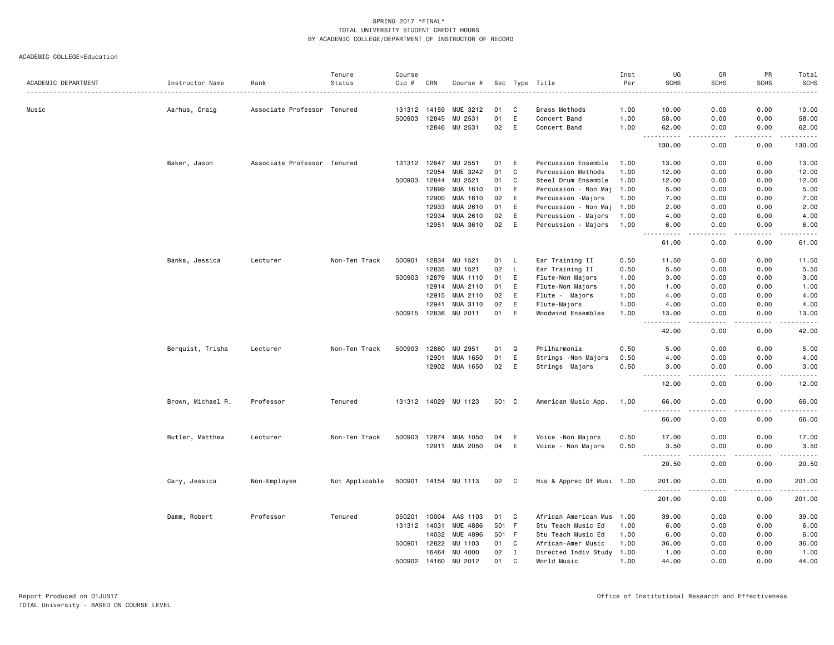| ACADEMIC DEPARTMENT<br>Rank<br>Status<br>CRN<br>Sec Type Title<br>Instructor Name<br>Course #<br>$   -$<br>0.00<br>0.00<br>Music<br>Aarhus, Craig<br>Associate Professor Tenured<br>131312 14159<br>MUE 3212<br>01<br>C<br>Brass Methods<br>1.00<br>10.00<br>10.00<br>E<br>500903<br>12845<br>MU 2531<br>01<br>1.00<br>58.00<br>0.00<br>0.00<br>58.00<br>Concert Band<br>02<br>E<br>12846<br>MU 2531<br>Concert Band<br>1.00<br>62.00<br>0.00<br>0.00<br>62.00<br>$\sim$ $\sim$ $\sim$<br>.<br>$-$ - $-$ -<br>.<br>0.00<br>130.00<br>130.00<br>0.00<br>Baker, Jason<br>Associate Professor Tenured<br>131312 12847<br>MU 2551<br>01<br>E<br>Percussion Ensemble<br>1.00<br>13.00<br>0.00<br>0.00<br>13.00<br>12954<br>MUE 3242<br>01<br>C<br>1.00<br>12.00<br>0.00<br>0.00<br>12.00<br>Percussion Methods<br>12844<br>MU 2521<br>C<br>500903<br>01<br>Steel Drum Ensemble<br>1.00<br>0.00<br>0.00<br>12.00<br>12.00<br>12899<br>MUA 1610<br>01<br>E<br>0.00<br>0.00<br>5.00<br>Percussion - Non Maj<br>1.00<br>5.00<br>MUA 1610<br>12900<br>02<br>E<br>Percussion -Majors<br>1.00<br>7.00<br>0.00<br>0.00<br>7.00<br>MUA 2610<br>12933<br>01<br>E<br>Percussion - Non Maj<br>0.00<br>0.00<br>2.00<br>1.00<br>2.00<br>MUA 2610<br>02<br>E<br>12934<br>Percussion - Majors<br>1.00<br>4.00<br>0.00<br>0.00<br>4.00<br>MUA 3610<br>02<br>E<br>12951<br>Percussion - Majors<br>1.00<br>6.00<br>0.00<br>0.00<br>6.00<br>.<br>.<br>$    -$<br>.<br>61.00<br>0.00<br>0.00<br>61.00<br>500901<br>12834<br>MU 1521<br>01<br>Ear Training II<br>0.00<br>0.00<br>11.50<br>Banks, Jessica<br>Lecturer<br>Non-Ten Track<br>0.50<br>11.50<br>L,<br>12835<br>02<br>L<br>Ear Training II<br>5.50<br>0.00<br>0.00<br>5.50<br>MU 1521<br>0.50<br>500903<br>E<br>0.00<br>0.00<br>3.00<br>12879<br>MUA 1110<br>01<br>Flute-Non Majors<br>1.00<br>3.00<br>12914<br>MUA 2110<br>E<br>01<br>Flute-Non Majors<br>1.00<br>0.00<br>0.00<br>1.00<br>1.00<br>MUA 2110<br>02<br>E<br>4.00<br>12915<br>Flute - Majors<br>1.00<br>4.00<br>0.00<br>0.00<br>12941<br>MUA 3110<br>02<br>E<br>Flute-Majors<br>1.00<br>0.00<br>0.00<br>4.00<br>4.00<br>E<br>500915 12836<br>MU 2011<br>01<br>Woodwind Ensembles<br>0.00<br>0.00<br>13.00<br>1.00<br>13.00<br>$\frac{1}{2} \left( \frac{1}{2} \right) \left( \frac{1}{2} \right) \left( \frac{1}{2} \right) \left( \frac{1}{2} \right) \left( \frac{1}{2} \right)$<br>42.00<br>0.00<br>0.00<br>42.00<br>MU 2951<br>Q<br>0.00<br>5.00<br>Berquist, Trisha<br>Non-Ten Track<br>500903<br>12860<br>01<br>Philharmonia<br>0.50<br>5.00<br>0.00<br>Lecturer<br>E<br>01<br>0.00<br>12901<br>MUA 1650<br>Strings - Non Majors<br>0.50<br>4.00<br>0.00<br>4.00<br>12902<br>MUA 1650<br>02<br>E<br>0.00<br>0.00<br>3.00<br>Strings Majors<br>0.50<br>3.00<br>.<br>$\frac{1}{2}$<br>$\frac{1}{2} \left( \frac{1}{2} \right) \left( \frac{1}{2} \right) \left( \frac{1}{2} \right) \left( \frac{1}{2} \right) \left( \frac{1}{2} \right)$<br>$\frac{1}{2}$<br>12.00<br>0.00<br>0.00<br>12.00<br>0.00<br>0.00<br>66.00<br>Brown, Michael R.<br>Professor<br>Tenured<br>131312 14029<br>MU 1123<br>501 C<br>American Music App.<br>1.00<br>66.00<br>.<br>.<br>66.00<br>0.00<br>0.00<br>66.00<br>Butler, Matthew<br>500903<br>12874<br>MUA 1050<br>E<br>0.50<br>17.00<br>0.00<br>0.00<br>17.00<br>Lecturer<br>Non-Ten Track<br>04<br>Voice - Non Majors<br>E<br>12911 MUA 2050<br>04<br>Voice - Non Majors<br>0.50<br>3.50<br>0.00<br>0.00<br>3.50<br>.<br>.<br>$\frac{1}{2}$<br>.<br>$\frac{1}{2} \left( \frac{1}{2} \right) \left( \frac{1}{2} \right) \left( \frac{1}{2} \right)$<br>0.00<br>20.50<br>20.50<br>0.00<br>500901 14154 MU 1113<br>02<br>$\mathbf{C}$<br>His & Apprec Of Musi 1.00<br>201.00<br>0.00<br>0.00<br>201.00<br>Cary, Jessica<br>Non-Employee<br>Not Applicable<br>.<br>201.00<br>0.00<br>0.00<br>201.00<br>Damm, Robert<br>Professor<br>Tenured<br>050201<br>10004<br>AAS 1103<br>01<br>C<br>African American Mus<br>39.00<br>0.00<br>0.00<br>39.00<br>1.00<br>501 F<br>0.00<br>131312 14031<br><b>MUE 4886</b><br>Stu Teach Music Ed<br>1.00<br>6.00<br>0.00<br>6.00<br>14032<br>MUE 4896<br>501 F<br>0.00<br>6.00<br>Stu Teach Music Ed<br>1.00<br>6.00<br>0.00<br>500901<br>12822<br>MU 1103<br>01<br>C<br>0.00<br>36.00<br>African-Amer Music<br>1.00<br>36.00<br>0.00<br>02<br>$\mathbf I$<br>16464<br>MU 4000<br>Directed Indiv Study<br>1.00<br>1.00<br>0.00<br>0.00<br>1.00<br>500902 14160<br>MU 2012<br>01<br>C<br>World Music<br>1.00<br>44.00<br>0.00<br>0.00<br>44.00 |  | Tenure | Course |  |  | Inst | UG          | GR          | PR          | Total       |
|-----------------------------------------------------------------------------------------------------------------------------------------------------------------------------------------------------------------------------------------------------------------------------------------------------------------------------------------------------------------------------------------------------------------------------------------------------------------------------------------------------------------------------------------------------------------------------------------------------------------------------------------------------------------------------------------------------------------------------------------------------------------------------------------------------------------------------------------------------------------------------------------------------------------------------------------------------------------------------------------------------------------------------------------------------------------------------------------------------------------------------------------------------------------------------------------------------------------------------------------------------------------------------------------------------------------------------------------------------------------------------------------------------------------------------------------------------------------------------------------------------------------------------------------------------------------------------------------------------------------------------------------------------------------------------------------------------------------------------------------------------------------------------------------------------------------------------------------------------------------------------------------------------------------------------------------------------------------------------------------------------------------------------------------------------------------------------------------------------------------------------------------------------------------------------------------------------------------------------------------------------------------------------------------------------------------------------------------------------------------------------------------------------------------------------------------------------------------------------------------------------------------------------------------------------------------------------------------------------------------------------------------------------------------------------------------------------------------------------------------------------------------------------------------------------------------------------------------------------------------------------------------------------------------------------------------------------------------------------------------------------------------------------------------------------------------------------------------------------------------------------------------------------------------------------------------------------------------------------------------------------------------------------------------------------------------------------------------------------------------------------------------------------------------------------------------------------------------------------------------------------------------------------------------------------------------------------------------------------------------------------------------------------------------------------------------------------------------------------------------------------------------------------------------------------------------------------------------------------------------------------------------------------------------------------------------------------------------------------------------------------------------------------------------------------------------------------------------------------------------------------------------------------------------------------------------------------------------------------------------------------------------------------------------------------------------------------------------------------------------------------------------------------------------------------------------------------------------------------------------------------------|--|--------|--------|--|--|------|-------------|-------------|-------------|-------------|
|                                                                                                                                                                                                                                                                                                                                                                                                                                                                                                                                                                                                                                                                                                                                                                                                                                                                                                                                                                                                                                                                                                                                                                                                                                                                                                                                                                                                                                                                                                                                                                                                                                                                                                                                                                                                                                                                                                                                                                                                                                                                                                                                                                                                                                                                                                                                                                                                                                                                                                                                                                                                                                                                                                                                                                                                                                                                                                                                                                                                                                                                                                                                                                                                                                                                                                                                                                                                                                                                                                                                                                                                                                                                                                                                                                                                                                                                                                                                                                                                                                                                                                                                                                                                                                                                                                                                                                                                                                                                                                           |  |        | Cip #  |  |  | Per  | <b>SCHS</b> | <b>SCHS</b> | <b>SCHS</b> | <b>SCHS</b> |
|                                                                                                                                                                                                                                                                                                                                                                                                                                                                                                                                                                                                                                                                                                                                                                                                                                                                                                                                                                                                                                                                                                                                                                                                                                                                                                                                                                                                                                                                                                                                                                                                                                                                                                                                                                                                                                                                                                                                                                                                                                                                                                                                                                                                                                                                                                                                                                                                                                                                                                                                                                                                                                                                                                                                                                                                                                                                                                                                                                                                                                                                                                                                                                                                                                                                                                                                                                                                                                                                                                                                                                                                                                                                                                                                                                                                                                                                                                                                                                                                                                                                                                                                                                                                                                                                                                                                                                                                                                                                                                           |  |        |        |  |  |      |             |             |             |             |
|                                                                                                                                                                                                                                                                                                                                                                                                                                                                                                                                                                                                                                                                                                                                                                                                                                                                                                                                                                                                                                                                                                                                                                                                                                                                                                                                                                                                                                                                                                                                                                                                                                                                                                                                                                                                                                                                                                                                                                                                                                                                                                                                                                                                                                                                                                                                                                                                                                                                                                                                                                                                                                                                                                                                                                                                                                                                                                                                                                                                                                                                                                                                                                                                                                                                                                                                                                                                                                                                                                                                                                                                                                                                                                                                                                                                                                                                                                                                                                                                                                                                                                                                                                                                                                                                                                                                                                                                                                                                                                           |  |        |        |  |  |      |             |             |             |             |
|                                                                                                                                                                                                                                                                                                                                                                                                                                                                                                                                                                                                                                                                                                                                                                                                                                                                                                                                                                                                                                                                                                                                                                                                                                                                                                                                                                                                                                                                                                                                                                                                                                                                                                                                                                                                                                                                                                                                                                                                                                                                                                                                                                                                                                                                                                                                                                                                                                                                                                                                                                                                                                                                                                                                                                                                                                                                                                                                                                                                                                                                                                                                                                                                                                                                                                                                                                                                                                                                                                                                                                                                                                                                                                                                                                                                                                                                                                                                                                                                                                                                                                                                                                                                                                                                                                                                                                                                                                                                                                           |  |        |        |  |  |      |             |             |             |             |
|                                                                                                                                                                                                                                                                                                                                                                                                                                                                                                                                                                                                                                                                                                                                                                                                                                                                                                                                                                                                                                                                                                                                                                                                                                                                                                                                                                                                                                                                                                                                                                                                                                                                                                                                                                                                                                                                                                                                                                                                                                                                                                                                                                                                                                                                                                                                                                                                                                                                                                                                                                                                                                                                                                                                                                                                                                                                                                                                                                                                                                                                                                                                                                                                                                                                                                                                                                                                                                                                                                                                                                                                                                                                                                                                                                                                                                                                                                                                                                                                                                                                                                                                                                                                                                                                                                                                                                                                                                                                                                           |  |        |        |  |  |      |             |             |             |             |
|                                                                                                                                                                                                                                                                                                                                                                                                                                                                                                                                                                                                                                                                                                                                                                                                                                                                                                                                                                                                                                                                                                                                                                                                                                                                                                                                                                                                                                                                                                                                                                                                                                                                                                                                                                                                                                                                                                                                                                                                                                                                                                                                                                                                                                                                                                                                                                                                                                                                                                                                                                                                                                                                                                                                                                                                                                                                                                                                                                                                                                                                                                                                                                                                                                                                                                                                                                                                                                                                                                                                                                                                                                                                                                                                                                                                                                                                                                                                                                                                                                                                                                                                                                                                                                                                                                                                                                                                                                                                                                           |  |        |        |  |  |      |             |             |             |             |
|                                                                                                                                                                                                                                                                                                                                                                                                                                                                                                                                                                                                                                                                                                                                                                                                                                                                                                                                                                                                                                                                                                                                                                                                                                                                                                                                                                                                                                                                                                                                                                                                                                                                                                                                                                                                                                                                                                                                                                                                                                                                                                                                                                                                                                                                                                                                                                                                                                                                                                                                                                                                                                                                                                                                                                                                                                                                                                                                                                                                                                                                                                                                                                                                                                                                                                                                                                                                                                                                                                                                                                                                                                                                                                                                                                                                                                                                                                                                                                                                                                                                                                                                                                                                                                                                                                                                                                                                                                                                                                           |  |        |        |  |  |      |             |             |             |             |
|                                                                                                                                                                                                                                                                                                                                                                                                                                                                                                                                                                                                                                                                                                                                                                                                                                                                                                                                                                                                                                                                                                                                                                                                                                                                                                                                                                                                                                                                                                                                                                                                                                                                                                                                                                                                                                                                                                                                                                                                                                                                                                                                                                                                                                                                                                                                                                                                                                                                                                                                                                                                                                                                                                                                                                                                                                                                                                                                                                                                                                                                                                                                                                                                                                                                                                                                                                                                                                                                                                                                                                                                                                                                                                                                                                                                                                                                                                                                                                                                                                                                                                                                                                                                                                                                                                                                                                                                                                                                                                           |  |        |        |  |  |      |             |             |             |             |
|                                                                                                                                                                                                                                                                                                                                                                                                                                                                                                                                                                                                                                                                                                                                                                                                                                                                                                                                                                                                                                                                                                                                                                                                                                                                                                                                                                                                                                                                                                                                                                                                                                                                                                                                                                                                                                                                                                                                                                                                                                                                                                                                                                                                                                                                                                                                                                                                                                                                                                                                                                                                                                                                                                                                                                                                                                                                                                                                                                                                                                                                                                                                                                                                                                                                                                                                                                                                                                                                                                                                                                                                                                                                                                                                                                                                                                                                                                                                                                                                                                                                                                                                                                                                                                                                                                                                                                                                                                                                                                           |  |        |        |  |  |      |             |             |             |             |
|                                                                                                                                                                                                                                                                                                                                                                                                                                                                                                                                                                                                                                                                                                                                                                                                                                                                                                                                                                                                                                                                                                                                                                                                                                                                                                                                                                                                                                                                                                                                                                                                                                                                                                                                                                                                                                                                                                                                                                                                                                                                                                                                                                                                                                                                                                                                                                                                                                                                                                                                                                                                                                                                                                                                                                                                                                                                                                                                                                                                                                                                                                                                                                                                                                                                                                                                                                                                                                                                                                                                                                                                                                                                                                                                                                                                                                                                                                                                                                                                                                                                                                                                                                                                                                                                                                                                                                                                                                                                                                           |  |        |        |  |  |      |             |             |             |             |
|                                                                                                                                                                                                                                                                                                                                                                                                                                                                                                                                                                                                                                                                                                                                                                                                                                                                                                                                                                                                                                                                                                                                                                                                                                                                                                                                                                                                                                                                                                                                                                                                                                                                                                                                                                                                                                                                                                                                                                                                                                                                                                                                                                                                                                                                                                                                                                                                                                                                                                                                                                                                                                                                                                                                                                                                                                                                                                                                                                                                                                                                                                                                                                                                                                                                                                                                                                                                                                                                                                                                                                                                                                                                                                                                                                                                                                                                                                                                                                                                                                                                                                                                                                                                                                                                                                                                                                                                                                                                                                           |  |        |        |  |  |      |             |             |             |             |
|                                                                                                                                                                                                                                                                                                                                                                                                                                                                                                                                                                                                                                                                                                                                                                                                                                                                                                                                                                                                                                                                                                                                                                                                                                                                                                                                                                                                                                                                                                                                                                                                                                                                                                                                                                                                                                                                                                                                                                                                                                                                                                                                                                                                                                                                                                                                                                                                                                                                                                                                                                                                                                                                                                                                                                                                                                                                                                                                                                                                                                                                                                                                                                                                                                                                                                                                                                                                                                                                                                                                                                                                                                                                                                                                                                                                                                                                                                                                                                                                                                                                                                                                                                                                                                                                                                                                                                                                                                                                                                           |  |        |        |  |  |      |             |             |             |             |
|                                                                                                                                                                                                                                                                                                                                                                                                                                                                                                                                                                                                                                                                                                                                                                                                                                                                                                                                                                                                                                                                                                                                                                                                                                                                                                                                                                                                                                                                                                                                                                                                                                                                                                                                                                                                                                                                                                                                                                                                                                                                                                                                                                                                                                                                                                                                                                                                                                                                                                                                                                                                                                                                                                                                                                                                                                                                                                                                                                                                                                                                                                                                                                                                                                                                                                                                                                                                                                                                                                                                                                                                                                                                                                                                                                                                                                                                                                                                                                                                                                                                                                                                                                                                                                                                                                                                                                                                                                                                                                           |  |        |        |  |  |      |             |             |             |             |
|                                                                                                                                                                                                                                                                                                                                                                                                                                                                                                                                                                                                                                                                                                                                                                                                                                                                                                                                                                                                                                                                                                                                                                                                                                                                                                                                                                                                                                                                                                                                                                                                                                                                                                                                                                                                                                                                                                                                                                                                                                                                                                                                                                                                                                                                                                                                                                                                                                                                                                                                                                                                                                                                                                                                                                                                                                                                                                                                                                                                                                                                                                                                                                                                                                                                                                                                                                                                                                                                                                                                                                                                                                                                                                                                                                                                                                                                                                                                                                                                                                                                                                                                                                                                                                                                                                                                                                                                                                                                                                           |  |        |        |  |  |      |             |             |             |             |
|                                                                                                                                                                                                                                                                                                                                                                                                                                                                                                                                                                                                                                                                                                                                                                                                                                                                                                                                                                                                                                                                                                                                                                                                                                                                                                                                                                                                                                                                                                                                                                                                                                                                                                                                                                                                                                                                                                                                                                                                                                                                                                                                                                                                                                                                                                                                                                                                                                                                                                                                                                                                                                                                                                                                                                                                                                                                                                                                                                                                                                                                                                                                                                                                                                                                                                                                                                                                                                                                                                                                                                                                                                                                                                                                                                                                                                                                                                                                                                                                                                                                                                                                                                                                                                                                                                                                                                                                                                                                                                           |  |        |        |  |  |      |             |             |             |             |
|                                                                                                                                                                                                                                                                                                                                                                                                                                                                                                                                                                                                                                                                                                                                                                                                                                                                                                                                                                                                                                                                                                                                                                                                                                                                                                                                                                                                                                                                                                                                                                                                                                                                                                                                                                                                                                                                                                                                                                                                                                                                                                                                                                                                                                                                                                                                                                                                                                                                                                                                                                                                                                                                                                                                                                                                                                                                                                                                                                                                                                                                                                                                                                                                                                                                                                                                                                                                                                                                                                                                                                                                                                                                                                                                                                                                                                                                                                                                                                                                                                                                                                                                                                                                                                                                                                                                                                                                                                                                                                           |  |        |        |  |  |      |             |             |             |             |
|                                                                                                                                                                                                                                                                                                                                                                                                                                                                                                                                                                                                                                                                                                                                                                                                                                                                                                                                                                                                                                                                                                                                                                                                                                                                                                                                                                                                                                                                                                                                                                                                                                                                                                                                                                                                                                                                                                                                                                                                                                                                                                                                                                                                                                                                                                                                                                                                                                                                                                                                                                                                                                                                                                                                                                                                                                                                                                                                                                                                                                                                                                                                                                                                                                                                                                                                                                                                                                                                                                                                                                                                                                                                                                                                                                                                                                                                                                                                                                                                                                                                                                                                                                                                                                                                                                                                                                                                                                                                                                           |  |        |        |  |  |      |             |             |             |             |
|                                                                                                                                                                                                                                                                                                                                                                                                                                                                                                                                                                                                                                                                                                                                                                                                                                                                                                                                                                                                                                                                                                                                                                                                                                                                                                                                                                                                                                                                                                                                                                                                                                                                                                                                                                                                                                                                                                                                                                                                                                                                                                                                                                                                                                                                                                                                                                                                                                                                                                                                                                                                                                                                                                                                                                                                                                                                                                                                                                                                                                                                                                                                                                                                                                                                                                                                                                                                                                                                                                                                                                                                                                                                                                                                                                                                                                                                                                                                                                                                                                                                                                                                                                                                                                                                                                                                                                                                                                                                                                           |  |        |        |  |  |      |             |             |             |             |
|                                                                                                                                                                                                                                                                                                                                                                                                                                                                                                                                                                                                                                                                                                                                                                                                                                                                                                                                                                                                                                                                                                                                                                                                                                                                                                                                                                                                                                                                                                                                                                                                                                                                                                                                                                                                                                                                                                                                                                                                                                                                                                                                                                                                                                                                                                                                                                                                                                                                                                                                                                                                                                                                                                                                                                                                                                                                                                                                                                                                                                                                                                                                                                                                                                                                                                                                                                                                                                                                                                                                                                                                                                                                                                                                                                                                                                                                                                                                                                                                                                                                                                                                                                                                                                                                                                                                                                                                                                                                                                           |  |        |        |  |  |      |             |             |             |             |
|                                                                                                                                                                                                                                                                                                                                                                                                                                                                                                                                                                                                                                                                                                                                                                                                                                                                                                                                                                                                                                                                                                                                                                                                                                                                                                                                                                                                                                                                                                                                                                                                                                                                                                                                                                                                                                                                                                                                                                                                                                                                                                                                                                                                                                                                                                                                                                                                                                                                                                                                                                                                                                                                                                                                                                                                                                                                                                                                                                                                                                                                                                                                                                                                                                                                                                                                                                                                                                                                                                                                                                                                                                                                                                                                                                                                                                                                                                                                                                                                                                                                                                                                                                                                                                                                                                                                                                                                                                                                                                           |  |        |        |  |  |      |             |             |             |             |
|                                                                                                                                                                                                                                                                                                                                                                                                                                                                                                                                                                                                                                                                                                                                                                                                                                                                                                                                                                                                                                                                                                                                                                                                                                                                                                                                                                                                                                                                                                                                                                                                                                                                                                                                                                                                                                                                                                                                                                                                                                                                                                                                                                                                                                                                                                                                                                                                                                                                                                                                                                                                                                                                                                                                                                                                                                                                                                                                                                                                                                                                                                                                                                                                                                                                                                                                                                                                                                                                                                                                                                                                                                                                                                                                                                                                                                                                                                                                                                                                                                                                                                                                                                                                                                                                                                                                                                                                                                                                                                           |  |        |        |  |  |      |             |             |             |             |
|                                                                                                                                                                                                                                                                                                                                                                                                                                                                                                                                                                                                                                                                                                                                                                                                                                                                                                                                                                                                                                                                                                                                                                                                                                                                                                                                                                                                                                                                                                                                                                                                                                                                                                                                                                                                                                                                                                                                                                                                                                                                                                                                                                                                                                                                                                                                                                                                                                                                                                                                                                                                                                                                                                                                                                                                                                                                                                                                                                                                                                                                                                                                                                                                                                                                                                                                                                                                                                                                                                                                                                                                                                                                                                                                                                                                                                                                                                                                                                                                                                                                                                                                                                                                                                                                                                                                                                                                                                                                                                           |  |        |        |  |  |      |             |             |             |             |
|                                                                                                                                                                                                                                                                                                                                                                                                                                                                                                                                                                                                                                                                                                                                                                                                                                                                                                                                                                                                                                                                                                                                                                                                                                                                                                                                                                                                                                                                                                                                                                                                                                                                                                                                                                                                                                                                                                                                                                                                                                                                                                                                                                                                                                                                                                                                                                                                                                                                                                                                                                                                                                                                                                                                                                                                                                                                                                                                                                                                                                                                                                                                                                                                                                                                                                                                                                                                                                                                                                                                                                                                                                                                                                                                                                                                                                                                                                                                                                                                                                                                                                                                                                                                                                                                                                                                                                                                                                                                                                           |  |        |        |  |  |      |             |             |             |             |
|                                                                                                                                                                                                                                                                                                                                                                                                                                                                                                                                                                                                                                                                                                                                                                                                                                                                                                                                                                                                                                                                                                                                                                                                                                                                                                                                                                                                                                                                                                                                                                                                                                                                                                                                                                                                                                                                                                                                                                                                                                                                                                                                                                                                                                                                                                                                                                                                                                                                                                                                                                                                                                                                                                                                                                                                                                                                                                                                                                                                                                                                                                                                                                                                                                                                                                                                                                                                                                                                                                                                                                                                                                                                                                                                                                                                                                                                                                                                                                                                                                                                                                                                                                                                                                                                                                                                                                                                                                                                                                           |  |        |        |  |  |      |             |             |             |             |
|                                                                                                                                                                                                                                                                                                                                                                                                                                                                                                                                                                                                                                                                                                                                                                                                                                                                                                                                                                                                                                                                                                                                                                                                                                                                                                                                                                                                                                                                                                                                                                                                                                                                                                                                                                                                                                                                                                                                                                                                                                                                                                                                                                                                                                                                                                                                                                                                                                                                                                                                                                                                                                                                                                                                                                                                                                                                                                                                                                                                                                                                                                                                                                                                                                                                                                                                                                                                                                                                                                                                                                                                                                                                                                                                                                                                                                                                                                                                                                                                                                                                                                                                                                                                                                                                                                                                                                                                                                                                                                           |  |        |        |  |  |      |             |             |             |             |
|                                                                                                                                                                                                                                                                                                                                                                                                                                                                                                                                                                                                                                                                                                                                                                                                                                                                                                                                                                                                                                                                                                                                                                                                                                                                                                                                                                                                                                                                                                                                                                                                                                                                                                                                                                                                                                                                                                                                                                                                                                                                                                                                                                                                                                                                                                                                                                                                                                                                                                                                                                                                                                                                                                                                                                                                                                                                                                                                                                                                                                                                                                                                                                                                                                                                                                                                                                                                                                                                                                                                                                                                                                                                                                                                                                                                                                                                                                                                                                                                                                                                                                                                                                                                                                                                                                                                                                                                                                                                                                           |  |        |        |  |  |      |             |             |             |             |
|                                                                                                                                                                                                                                                                                                                                                                                                                                                                                                                                                                                                                                                                                                                                                                                                                                                                                                                                                                                                                                                                                                                                                                                                                                                                                                                                                                                                                                                                                                                                                                                                                                                                                                                                                                                                                                                                                                                                                                                                                                                                                                                                                                                                                                                                                                                                                                                                                                                                                                                                                                                                                                                                                                                                                                                                                                                                                                                                                                                                                                                                                                                                                                                                                                                                                                                                                                                                                                                                                                                                                                                                                                                                                                                                                                                                                                                                                                                                                                                                                                                                                                                                                                                                                                                                                                                                                                                                                                                                                                           |  |        |        |  |  |      |             |             |             |             |
|                                                                                                                                                                                                                                                                                                                                                                                                                                                                                                                                                                                                                                                                                                                                                                                                                                                                                                                                                                                                                                                                                                                                                                                                                                                                                                                                                                                                                                                                                                                                                                                                                                                                                                                                                                                                                                                                                                                                                                                                                                                                                                                                                                                                                                                                                                                                                                                                                                                                                                                                                                                                                                                                                                                                                                                                                                                                                                                                                                                                                                                                                                                                                                                                                                                                                                                                                                                                                                                                                                                                                                                                                                                                                                                                                                                                                                                                                                                                                                                                                                                                                                                                                                                                                                                                                                                                                                                                                                                                                                           |  |        |        |  |  |      |             |             |             |             |
|                                                                                                                                                                                                                                                                                                                                                                                                                                                                                                                                                                                                                                                                                                                                                                                                                                                                                                                                                                                                                                                                                                                                                                                                                                                                                                                                                                                                                                                                                                                                                                                                                                                                                                                                                                                                                                                                                                                                                                                                                                                                                                                                                                                                                                                                                                                                                                                                                                                                                                                                                                                                                                                                                                                                                                                                                                                                                                                                                                                                                                                                                                                                                                                                                                                                                                                                                                                                                                                                                                                                                                                                                                                                                                                                                                                                                                                                                                                                                                                                                                                                                                                                                                                                                                                                                                                                                                                                                                                                                                           |  |        |        |  |  |      |             |             |             |             |
|                                                                                                                                                                                                                                                                                                                                                                                                                                                                                                                                                                                                                                                                                                                                                                                                                                                                                                                                                                                                                                                                                                                                                                                                                                                                                                                                                                                                                                                                                                                                                                                                                                                                                                                                                                                                                                                                                                                                                                                                                                                                                                                                                                                                                                                                                                                                                                                                                                                                                                                                                                                                                                                                                                                                                                                                                                                                                                                                                                                                                                                                                                                                                                                                                                                                                                                                                                                                                                                                                                                                                                                                                                                                                                                                                                                                                                                                                                                                                                                                                                                                                                                                                                                                                                                                                                                                                                                                                                                                                                           |  |        |        |  |  |      |             |             |             |             |
|                                                                                                                                                                                                                                                                                                                                                                                                                                                                                                                                                                                                                                                                                                                                                                                                                                                                                                                                                                                                                                                                                                                                                                                                                                                                                                                                                                                                                                                                                                                                                                                                                                                                                                                                                                                                                                                                                                                                                                                                                                                                                                                                                                                                                                                                                                                                                                                                                                                                                                                                                                                                                                                                                                                                                                                                                                                                                                                                                                                                                                                                                                                                                                                                                                                                                                                                                                                                                                                                                                                                                                                                                                                                                                                                                                                                                                                                                                                                                                                                                                                                                                                                                                                                                                                                                                                                                                                                                                                                                                           |  |        |        |  |  |      |             |             |             |             |
|                                                                                                                                                                                                                                                                                                                                                                                                                                                                                                                                                                                                                                                                                                                                                                                                                                                                                                                                                                                                                                                                                                                                                                                                                                                                                                                                                                                                                                                                                                                                                                                                                                                                                                                                                                                                                                                                                                                                                                                                                                                                                                                                                                                                                                                                                                                                                                                                                                                                                                                                                                                                                                                                                                                                                                                                                                                                                                                                                                                                                                                                                                                                                                                                                                                                                                                                                                                                                                                                                                                                                                                                                                                                                                                                                                                                                                                                                                                                                                                                                                                                                                                                                                                                                                                                                                                                                                                                                                                                                                           |  |        |        |  |  |      |             |             |             |             |
|                                                                                                                                                                                                                                                                                                                                                                                                                                                                                                                                                                                                                                                                                                                                                                                                                                                                                                                                                                                                                                                                                                                                                                                                                                                                                                                                                                                                                                                                                                                                                                                                                                                                                                                                                                                                                                                                                                                                                                                                                                                                                                                                                                                                                                                                                                                                                                                                                                                                                                                                                                                                                                                                                                                                                                                                                                                                                                                                                                                                                                                                                                                                                                                                                                                                                                                                                                                                                                                                                                                                                                                                                                                                                                                                                                                                                                                                                                                                                                                                                                                                                                                                                                                                                                                                                                                                                                                                                                                                                                           |  |        |        |  |  |      |             |             |             |             |
|                                                                                                                                                                                                                                                                                                                                                                                                                                                                                                                                                                                                                                                                                                                                                                                                                                                                                                                                                                                                                                                                                                                                                                                                                                                                                                                                                                                                                                                                                                                                                                                                                                                                                                                                                                                                                                                                                                                                                                                                                                                                                                                                                                                                                                                                                                                                                                                                                                                                                                                                                                                                                                                                                                                                                                                                                                                                                                                                                                                                                                                                                                                                                                                                                                                                                                                                                                                                                                                                                                                                                                                                                                                                                                                                                                                                                                                                                                                                                                                                                                                                                                                                                                                                                                                                                                                                                                                                                                                                                                           |  |        |        |  |  |      |             |             |             |             |
|                                                                                                                                                                                                                                                                                                                                                                                                                                                                                                                                                                                                                                                                                                                                                                                                                                                                                                                                                                                                                                                                                                                                                                                                                                                                                                                                                                                                                                                                                                                                                                                                                                                                                                                                                                                                                                                                                                                                                                                                                                                                                                                                                                                                                                                                                                                                                                                                                                                                                                                                                                                                                                                                                                                                                                                                                                                                                                                                                                                                                                                                                                                                                                                                                                                                                                                                                                                                                                                                                                                                                                                                                                                                                                                                                                                                                                                                                                                                                                                                                                                                                                                                                                                                                                                                                                                                                                                                                                                                                                           |  |        |        |  |  |      |             |             |             |             |
|                                                                                                                                                                                                                                                                                                                                                                                                                                                                                                                                                                                                                                                                                                                                                                                                                                                                                                                                                                                                                                                                                                                                                                                                                                                                                                                                                                                                                                                                                                                                                                                                                                                                                                                                                                                                                                                                                                                                                                                                                                                                                                                                                                                                                                                                                                                                                                                                                                                                                                                                                                                                                                                                                                                                                                                                                                                                                                                                                                                                                                                                                                                                                                                                                                                                                                                                                                                                                                                                                                                                                                                                                                                                                                                                                                                                                                                                                                                                                                                                                                                                                                                                                                                                                                                                                                                                                                                                                                                                                                           |  |        |        |  |  |      |             |             |             |             |
|                                                                                                                                                                                                                                                                                                                                                                                                                                                                                                                                                                                                                                                                                                                                                                                                                                                                                                                                                                                                                                                                                                                                                                                                                                                                                                                                                                                                                                                                                                                                                                                                                                                                                                                                                                                                                                                                                                                                                                                                                                                                                                                                                                                                                                                                                                                                                                                                                                                                                                                                                                                                                                                                                                                                                                                                                                                                                                                                                                                                                                                                                                                                                                                                                                                                                                                                                                                                                                                                                                                                                                                                                                                                                                                                                                                                                                                                                                                                                                                                                                                                                                                                                                                                                                                                                                                                                                                                                                                                                                           |  |        |        |  |  |      |             |             |             |             |
|                                                                                                                                                                                                                                                                                                                                                                                                                                                                                                                                                                                                                                                                                                                                                                                                                                                                                                                                                                                                                                                                                                                                                                                                                                                                                                                                                                                                                                                                                                                                                                                                                                                                                                                                                                                                                                                                                                                                                                                                                                                                                                                                                                                                                                                                                                                                                                                                                                                                                                                                                                                                                                                                                                                                                                                                                                                                                                                                                                                                                                                                                                                                                                                                                                                                                                                                                                                                                                                                                                                                                                                                                                                                                                                                                                                                                                                                                                                                                                                                                                                                                                                                                                                                                                                                                                                                                                                                                                                                                                           |  |        |        |  |  |      |             |             |             |             |
|                                                                                                                                                                                                                                                                                                                                                                                                                                                                                                                                                                                                                                                                                                                                                                                                                                                                                                                                                                                                                                                                                                                                                                                                                                                                                                                                                                                                                                                                                                                                                                                                                                                                                                                                                                                                                                                                                                                                                                                                                                                                                                                                                                                                                                                                                                                                                                                                                                                                                                                                                                                                                                                                                                                                                                                                                                                                                                                                                                                                                                                                                                                                                                                                                                                                                                                                                                                                                                                                                                                                                                                                                                                                                                                                                                                                                                                                                                                                                                                                                                                                                                                                                                                                                                                                                                                                                                                                                                                                                                           |  |        |        |  |  |      |             |             |             |             |
|                                                                                                                                                                                                                                                                                                                                                                                                                                                                                                                                                                                                                                                                                                                                                                                                                                                                                                                                                                                                                                                                                                                                                                                                                                                                                                                                                                                                                                                                                                                                                                                                                                                                                                                                                                                                                                                                                                                                                                                                                                                                                                                                                                                                                                                                                                                                                                                                                                                                                                                                                                                                                                                                                                                                                                                                                                                                                                                                                                                                                                                                                                                                                                                                                                                                                                                                                                                                                                                                                                                                                                                                                                                                                                                                                                                                                                                                                                                                                                                                                                                                                                                                                                                                                                                                                                                                                                                                                                                                                                           |  |        |        |  |  |      |             |             |             |             |
|                                                                                                                                                                                                                                                                                                                                                                                                                                                                                                                                                                                                                                                                                                                                                                                                                                                                                                                                                                                                                                                                                                                                                                                                                                                                                                                                                                                                                                                                                                                                                                                                                                                                                                                                                                                                                                                                                                                                                                                                                                                                                                                                                                                                                                                                                                                                                                                                                                                                                                                                                                                                                                                                                                                                                                                                                                                                                                                                                                                                                                                                                                                                                                                                                                                                                                                                                                                                                                                                                                                                                                                                                                                                                                                                                                                                                                                                                                                                                                                                                                                                                                                                                                                                                                                                                                                                                                                                                                                                                                           |  |        |        |  |  |      |             |             |             |             |
|                                                                                                                                                                                                                                                                                                                                                                                                                                                                                                                                                                                                                                                                                                                                                                                                                                                                                                                                                                                                                                                                                                                                                                                                                                                                                                                                                                                                                                                                                                                                                                                                                                                                                                                                                                                                                                                                                                                                                                                                                                                                                                                                                                                                                                                                                                                                                                                                                                                                                                                                                                                                                                                                                                                                                                                                                                                                                                                                                                                                                                                                                                                                                                                                                                                                                                                                                                                                                                                                                                                                                                                                                                                                                                                                                                                                                                                                                                                                                                                                                                                                                                                                                                                                                                                                                                                                                                                                                                                                                                           |  |        |        |  |  |      |             |             |             |             |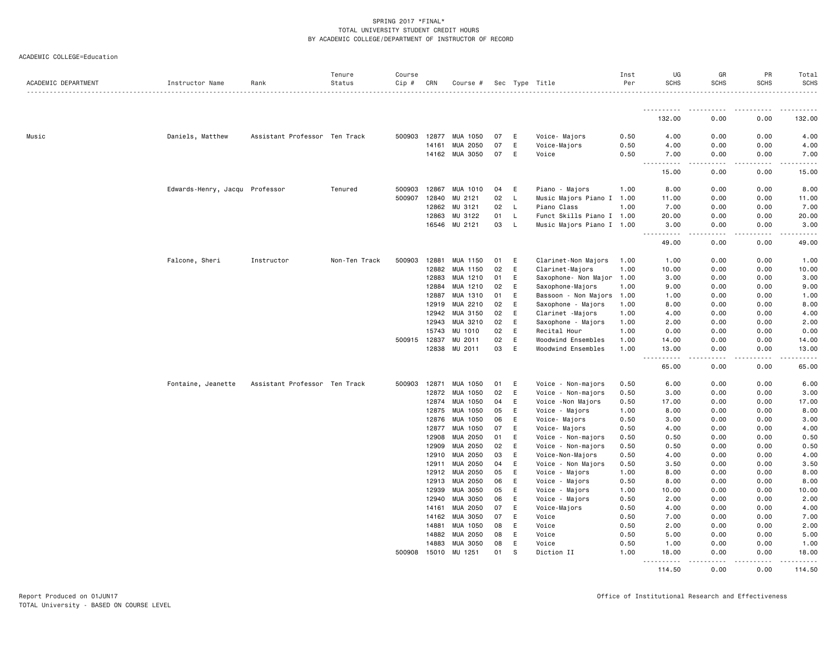| ACADEMIC COLLEGE=Education |  |  |
|----------------------------|--|--|
|----------------------------|--|--|

| ACADEMIC DEPARTMENT | Instructor Name                | Rank                          | Tenure<br>Status | Course<br>$Cip \#$ | CRN            | Course #            |          |        | Sec Type Title            | Inst<br>Per  | UG<br><b>SCHS</b>                                                                                                                                            | GR<br><b>SCHS</b>                           | PR<br><b>SCHS</b>                                                                                                                                            | Total<br>SCHS |
|---------------------|--------------------------------|-------------------------------|------------------|--------------------|----------------|---------------------|----------|--------|---------------------------|--------------|--------------------------------------------------------------------------------------------------------------------------------------------------------------|---------------------------------------------|--------------------------------------------------------------------------------------------------------------------------------------------------------------|---------------|
|                     |                                |                               |                  |                    |                |                     |          |        |                           |              | <u>.</u>                                                                                                                                                     |                                             | <b>.</b>                                                                                                                                                     |               |
|                     |                                |                               |                  |                    |                |                     |          |        |                           |              | 132.00                                                                                                                                                       | 0.00                                        | 0.00                                                                                                                                                         | 132.00        |
| Music               | Daniels, Matthew               | Assistant Professor Ten Track |                  | 500903             | 12877          | MUA 1050            | 07       | E      | Voice- Majors             | 0.50         | 4.00                                                                                                                                                         | 0.00                                        | 0.00                                                                                                                                                         | 4.00          |
|                     |                                |                               |                  |                    | 14161          | MUA 2050            | 07       | E      | Voice-Majors              | 0.50         | 4.00                                                                                                                                                         | 0.00                                        | 0.00                                                                                                                                                         | 4.00          |
|                     |                                |                               |                  |                    |                | 14162 MUA 3050      | 07       | E      | Voice                     | 0.50         | 7.00                                                                                                                                                         | 0.00                                        | 0.00                                                                                                                                                         | 7.00          |
|                     |                                |                               |                  |                    |                |                     |          |        |                           |              | $\sim 100$ km s $^{-1}$<br>.<br>15.00                                                                                                                        | .<br>0.00                                   | .<br>0.00                                                                                                                                                    | .<br>15.00    |
|                     | Edwards-Henry, Jacqu Professor |                               | Tenured          | 500903             | 12867          | MUA 1010            | 04       | E      | Piano - Majors            | 1.00         | 8.00                                                                                                                                                         | 0.00                                        | 0.00                                                                                                                                                         | 8.00          |
|                     |                                |                               |                  | 500907             | 12840          | MU 2121             | 02       | L.     | Music Majors Piano I 1.00 |              | 11.00                                                                                                                                                        | 0.00                                        | 0.00                                                                                                                                                         | 11.00         |
|                     |                                |                               |                  |                    | 12862          | MU 3121             | 02       | L.     | Piano Class               | 1.00         | 7.00                                                                                                                                                         | 0.00                                        | 0.00                                                                                                                                                         | 7.00          |
|                     |                                |                               |                  |                    | 12863          | MU 3122             | 01       | L      | Funct Skills Piano I 1.00 |              | 20.00                                                                                                                                                        | 0.00                                        | 0.00                                                                                                                                                         | 20.00         |
|                     |                                |                               |                  |                    |                | 16546 MU 2121       | 03       | L.     | Music Majors Piano I 1.00 |              | 3.00<br>$\frac{1}{2} \left( \frac{1}{2} \right) \left( \frac{1}{2} \right) \left( \frac{1}{2} \right) \left( \frac{1}{2} \right) \left( \frac{1}{2} \right)$ | 0.00<br>.                                   | 0.00<br>$\frac{1}{2} \left( \frac{1}{2} \right) \left( \frac{1}{2} \right) \left( \frac{1}{2} \right) \left( \frac{1}{2} \right) \left( \frac{1}{2} \right)$ | 3.00<br>.     |
|                     |                                |                               |                  |                    |                |                     |          |        |                           |              | 49.00                                                                                                                                                        | 0.00                                        | 0.00                                                                                                                                                         | 49.00         |
|                     | Falcone, Sheri                 | Instructor                    | Non-Ten Track    | 500903             | 12881          | MUA 1150            | 01       | E      | Clarinet-Non Majors       | 1.00         | 1.00                                                                                                                                                         | 0.00                                        | 0.00                                                                                                                                                         | 1.00          |
|                     |                                |                               |                  |                    | 12882          | MUA 1150            | 02       | E      | Clarinet-Majors           | 1.00         | 10.00                                                                                                                                                        | 0.00                                        | 0.00                                                                                                                                                         | 10.00         |
|                     |                                |                               |                  |                    | 12883          | MUA 1210            | 01       | E      | Saxophone- Non Major 1.00 |              | 3.00                                                                                                                                                         | 0.00                                        | 0.00                                                                                                                                                         | 3.00          |
|                     |                                |                               |                  |                    | 12884          | MUA 1210            | 02       | Ε      | Saxophone-Majors          | 1.00         | 9.00                                                                                                                                                         | 0.00                                        | 0.00                                                                                                                                                         | 9.00          |
|                     |                                |                               |                  |                    | 12887          | MUA 1310            | 01       | E      | Bassoon - Non Majors      | 1.00         | 1.00                                                                                                                                                         | 0.00                                        | 0.00                                                                                                                                                         | 1.00          |
|                     |                                |                               |                  |                    | 12919          | MUA 2210            | 02       | E      | Saxophone - Majors        | 1.00         | 8.00                                                                                                                                                         | 0.00                                        | 0.00                                                                                                                                                         | 8.00          |
|                     |                                |                               |                  |                    | 12942          | MUA 3150            | 02       | E      | Clarinet - Majors         | 1.00         | 4.00                                                                                                                                                         | 0.00                                        | 0.00                                                                                                                                                         | 4.00          |
|                     |                                |                               |                  |                    | 12943          | MUA 3210            | 02       | E      | Saxophone - Majors        | 1.00         | 2.00                                                                                                                                                         | 0.00                                        | 0.00                                                                                                                                                         | 2.00          |
|                     |                                |                               |                  |                    | 15743          | MU 1010             | 02       | E      | Recital Hour              | 1.00         | 0.00                                                                                                                                                         | 0.00                                        | 0.00                                                                                                                                                         | 0.00          |
|                     |                                |                               |                  | 500915             | 12837          | MU 2011             | 02       | E      | Woodwind Ensembles        | 1.00         | 14.00                                                                                                                                                        | 0.00                                        | 0.00                                                                                                                                                         | 14.00         |
|                     |                                |                               |                  |                    | 12838          | MU 2011             | 03       | E      | Woodwind Ensembles        | 1.00         | 13.00<br>.<br>$\sim$ $\sim$ $\sim$                                                                                                                           | 0.00<br>$\frac{1}{2}$                       | 0.00<br>.                                                                                                                                                    | 13.00<br>.    |
|                     |                                |                               |                  |                    |                |                     |          |        |                           |              | 65.00                                                                                                                                                        | 0.00                                        | 0.00                                                                                                                                                         | 65.00         |
|                     | Fontaine, Jeanette             | Assistant Professor Ten Track |                  | 500903             | 12871          | MUA 1050            | 01       | E      | Voice - Non-majors        | 0.50         | 6.00                                                                                                                                                         | 0.00                                        | 0.00                                                                                                                                                         | 6.00          |
|                     |                                |                               |                  |                    | 12872          | MUA 1050            | 02       | Ε      | Voice - Non-majors        | 0.50         | 3.00                                                                                                                                                         | 0.00                                        | 0.00                                                                                                                                                         | 3.00          |
|                     |                                |                               |                  |                    | 12874          | MUA 1050            | 04       | E      | Voice -Non Majors         | 0.50         | 17.00                                                                                                                                                        | 0.00                                        | 0.00                                                                                                                                                         | 17.00         |
|                     |                                |                               |                  |                    | 12875          | MUA 1050            | 05       | E      | Voice - Majors            | 1.00         | 8.00                                                                                                                                                         | 0.00                                        | 0.00                                                                                                                                                         | 8.00          |
|                     |                                |                               |                  |                    | 12876          | MUA 1050            | 06       | E      | Voice- Majors             | 0.50         | 3.00                                                                                                                                                         | 0.00                                        | 0.00                                                                                                                                                         | 3.00          |
|                     |                                |                               |                  |                    | 12877          | MUA 1050            | 07       | E      | Voice- Majors             | 0.50         | 4.00                                                                                                                                                         | 0.00                                        | 0.00                                                                                                                                                         | 4.00          |
|                     |                                |                               |                  |                    | 12908          | MUA 2050            | 01       | E      | Voice - Non-majors        | 0.50         | 0.50                                                                                                                                                         | 0.00                                        | 0.00                                                                                                                                                         | 0.50          |
|                     |                                |                               |                  |                    | 12909          | MUA 2050            | 02       | Ε      | Voice - Non-majors        | 0.50         | 0.50                                                                                                                                                         | 0.00                                        | 0.00                                                                                                                                                         | 0.50          |
|                     |                                |                               |                  |                    | 12910          | MUA 2050            | 03       | E      | Voice-Non-Majors          | 0.50         | 4.00                                                                                                                                                         | 0.00                                        | 0.00                                                                                                                                                         | 4.00          |
|                     |                                |                               |                  |                    | 12911          | MUA 2050            | 04       | E      | Voice - Non Majors        | 0.50         | 3.50                                                                                                                                                         | 0.00                                        | 0.00                                                                                                                                                         | 3.50          |
|                     |                                |                               |                  |                    | 12912          | MUA 2050            | 05       | E      | Voice - Majors            | 1.00         | 8.00                                                                                                                                                         | 0.00                                        | 0.00                                                                                                                                                         | 8.00          |
|                     |                                |                               |                  |                    | 12913          | MUA 2050            | 06       | E      | Voice - Majors            | 0.50         | 8.00                                                                                                                                                         | 0.00                                        | 0.00                                                                                                                                                         | 8.00          |
|                     |                                |                               |                  |                    | 12939          | MUA 3050            | 05       | E      | Voice - Majors            | 1.00         | 10.00                                                                                                                                                        | 0.00                                        | 0.00                                                                                                                                                         | 10.00         |
|                     |                                |                               |                  |                    | 12940          | MUA 3050            | 06       | E      | Voice - Majors            | 0.50         | 2.00                                                                                                                                                         | 0.00                                        | 0.00                                                                                                                                                         | 2.00          |
|                     |                                |                               |                  |                    | 14161          | MUA 2050            | 07       | Ε      | Voice-Majors              | 0.50         | 4.00                                                                                                                                                         | 0.00                                        | 0.00                                                                                                                                                         | 4.00          |
|                     |                                |                               |                  |                    | 14162          | MUA 3050            | 07       | E      | Voice                     | 0.50         | 7.00                                                                                                                                                         | 0.00                                        | 0.00                                                                                                                                                         | 7.00          |
|                     |                                |                               |                  |                    | 14881          | MUA 1050            | 08       | E      | Voice                     | 0.50         | 2.00                                                                                                                                                         | 0.00                                        | 0.00                                                                                                                                                         | 2.00          |
|                     |                                |                               |                  |                    | 14882          | MUA 2050            | 08       | E<br>E | Voice                     | 0.50         | 5.00                                                                                                                                                         | 0.00                                        | 0.00                                                                                                                                                         | 5.00          |
|                     |                                |                               |                  | 500908             | 14883<br>15010 | MUA 3050<br>MU 1251 | 08<br>01 | S      | Voice<br>Diction II       | 0.50<br>1.00 | 1.00<br>18.00                                                                                                                                                | 0.00<br>0.00                                | 0.00<br>0.00                                                                                                                                                 | 1.00<br>18.00 |
|                     |                                |                               |                  |                    |                |                     |          |        |                           |              | .<br>114.50                                                                                                                                                  | $\omega$ $\omega$ $\omega$ $\omega$<br>0.00 | 0.00                                                                                                                                                         | 114.50        |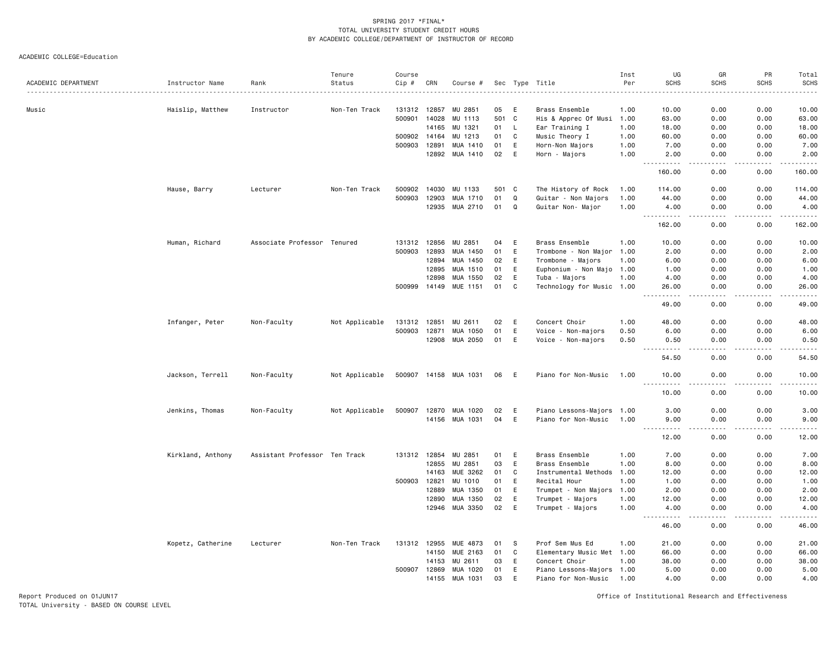ACADEMIC COLLEGE=Education

| ACADEMIC DEPARTMENT | Instructor Name   | Rank                          | Tenure<br>Status | Course<br>Cip # | CRN   | Course #              |       |              | Sec Type Title            | Inst<br>Per | UG<br><b>SCHS</b>  | GR<br><b>SCHS</b>            | PR<br><b>SCHS</b> | Total<br><b>SCHS</b><br>.                                                                                                                                     |
|---------------------|-------------------|-------------------------------|------------------|-----------------|-------|-----------------------|-------|--------------|---------------------------|-------------|--------------------|------------------------------|-------------------|---------------------------------------------------------------------------------------------------------------------------------------------------------------|
| Music               | Haislip, Matthew  | Instructor                    | Non-Ten Track    | 131312 12857    |       | MU 2851               | 05    | E            | Brass Ensemble            | 1.00        | 10.00              | 0.00                         | 0.00              | 10.00                                                                                                                                                         |
|                     |                   |                               |                  | 500901 14028    |       | MU 1113               | 501   | $\mathbf{C}$ | His & Apprec Of Musi      | 1.00        | 63.00              | 0.00                         | 0.00              | 63.00                                                                                                                                                         |
|                     |                   |                               |                  |                 | 14165 | MU 1321               | 01    | L,           | Ear Training I            | 1.00        | 18.00              | 0.00                         | 0.00              | 18.00                                                                                                                                                         |
|                     |                   |                               |                  | 500902          | 14164 | 1213<br>MU            | 01    | C            | Music Theory I            | 1.00        | 60.00              | 0.00                         | 0.00              | 60.00                                                                                                                                                         |
|                     |                   |                               |                  | 500903          | 12891 | MUA 1410              | 01    | E            | Horn-Non Majors           | 1.00        | 7.00               | 0.00                         | 0.00              | 7.00                                                                                                                                                          |
|                     |                   |                               |                  |                 |       | 12892 MUA 1410        | 02    | E            | Horn - Majors             | 1.00        | 2.00<br>د د د د    | 0.00<br>$\sim$ $\sim$ $\sim$ | 0.00<br>.         | 2.00<br>.                                                                                                                                                     |
|                     |                   |                               |                  |                 |       |                       |       |              |                           |             | 160.00             | 0.00                         | 0.00              | 160.00                                                                                                                                                        |
|                     | Hause, Barry      | Lecturer                      | Non-Ten Track    | 500902          | 14030 | MU 1133               | 501 C |              | The History of Rock       | 1.00        | 114.00             | 0.00                         | 0.00              | 114.00                                                                                                                                                        |
|                     |                   |                               |                  | 500903          | 12903 | MUA 1710              | 01    | Q            | Guitar - Non Majors       | 1.00        | 44.00              | 0.00                         | 0.00              | 44.00                                                                                                                                                         |
|                     |                   |                               |                  |                 |       | 12935 MUA 2710        | 01    | $\Omega$     | Guitar Non- Major         | 1.00        | 4.00<br>.          | 0.00                         | 0.00              | 4.00<br>.                                                                                                                                                     |
|                     |                   |                               |                  |                 |       |                       |       |              |                           |             | 162.00             | 0.00                         | 0.00              | 162.00                                                                                                                                                        |
|                     | Human, Richard    | Associate Professor Tenured   |                  | 131312 12856    |       | MU 2851               | 04    | E            | Brass Ensemble            | 1.00        | 10.00              | 0.00                         | 0.00              | 10.00                                                                                                                                                         |
|                     |                   |                               |                  | 500903          | 12893 | MUA 1450              | 01    | E            | Trombone - Non Major 1.00 |             | 2.00               | 0.00                         | 0.00              | 2.00                                                                                                                                                          |
|                     |                   |                               |                  |                 | 12894 | MUA 1450              | 02    | E            | Trombone - Majors         | 1.00        | 6.00               | 0.00                         | 0.00              | 6.00                                                                                                                                                          |
|                     |                   |                               |                  |                 | 12895 | MUA 1510              | 01    | E            | Euphonium - Non Majo 1.00 |             | 1.00               | 0.00                         | 0.00              | 1.00                                                                                                                                                          |
|                     |                   |                               |                  |                 | 12898 | MUA 1550              | 02    | E            | Tuba - Majors             | 1.00        | 4.00               | 0.00                         | 0.00              | 4.00                                                                                                                                                          |
|                     |                   |                               |                  | 500999          | 14149 | MUE 1151              | 01    | C            | Technology for Music 1.00 |             | 26.00<br>المتمامين | 0.00<br>الماليات الما        | 0.00<br>.         | 26.00<br>.                                                                                                                                                    |
|                     |                   |                               |                  |                 |       |                       |       |              |                           |             | 49.00              | 0.00                         | 0.00              | 49.00                                                                                                                                                         |
|                     | Infanger, Peter   | Non-Faculty                   | Not Applicable   | 131312          | 12851 | 2611<br>MU            | 02    | E            | Concert Choir             | 1.00        | 48.00              | 0.00                         | 0.00              | 48.00                                                                                                                                                         |
|                     |                   |                               |                  | 500903          | 12871 | MUA 1050              | 01    | E            | Voice - Non-majors        | 0.50        | 6.00               | 0.00                         | 0.00              | 6.00                                                                                                                                                          |
|                     |                   |                               |                  |                 | 12908 | MUA 2050              | 01    | E            | Voice - Non-majors        | 0.50        | 0.50               | 0.00<br>$\sim$ $\sim$ $\sim$ | 0.00<br>.         | 0.50<br>والمناصبات                                                                                                                                            |
|                     |                   |                               |                  |                 |       |                       |       |              |                           |             | 54.50              | 0.00                         | 0.00              | 54.50                                                                                                                                                         |
|                     | Jackson, Terrell  | Non-Faculty                   | Not Applicable   |                 |       | 500907 14158 MUA 1031 | 06 E  |              | Piano for Non-Music       | 1.00        | 10.00<br>.         | 0.00<br>$\frac{1}{2}$        | 0.00<br>-----     | 10.00<br>.                                                                                                                                                    |
|                     |                   |                               |                  |                 |       |                       |       |              |                           |             | 10.00              | 0.00                         | 0.00              | 10.00                                                                                                                                                         |
|                     | Jenkins, Thomas   | Non-Faculty                   | Not Applicable   | 500907          | 12870 | MUA 1020              | 02    | E            | Piano Lessons-Majors 1.00 |             | 3.00               | 0.00                         | 0.00              | 3.00                                                                                                                                                          |
|                     |                   |                               |                  |                 |       | 14156 MUA 1031        | 04    | E            | Piano for Non-Music       | 1.00        | 9.00               | 0.00                         | 0.00              | 9.00                                                                                                                                                          |
|                     |                   |                               |                  |                 |       |                       |       |              |                           |             | 12.00              | 0.00                         | 0.00              | $\frac{1}{2} \left( \frac{1}{2} \right) \left( \frac{1}{2} \right) \left( \frac{1}{2} \right) \left( \frac{1}{2} \right) \left( \frac{1}{2} \right)$<br>12.00 |
|                     | Kirkland, Anthony | Assistant Professor Ten Track |                  | 131312 12854    |       | MU 2851               | 01    | E            | Brass Ensemble            | 1.00        | 7.00               | 0.00                         | 0.00              | 7.00                                                                                                                                                          |
|                     |                   |                               |                  |                 | 12855 | MU 2851               | 03    | E            | Brass Ensemble            | 1.00        | 8.00               | 0.00                         | 0.00              | 8.00                                                                                                                                                          |
|                     |                   |                               |                  |                 | 14163 | MUE 3262              | 01    | C            | Instrumental Methods      | 1.00        | 12.00              | 0.00                         | 0.00              | 12.00                                                                                                                                                         |
|                     |                   |                               |                  | 500903          | 12821 | MU 1010               | 01    | E            | Recital Hour              | 1.00        | 1.00               | 0.00                         | 0.00              | 1.00                                                                                                                                                          |
|                     |                   |                               |                  |                 | 12889 | MUA 1350              | 01    | E            | Trumpet - Non Majors      | 1.00        | 2.00               | 0.00                         | 0.00              | 2.00                                                                                                                                                          |
|                     |                   |                               |                  |                 | 12890 | MUA 1350              | 02    | E            | Trumpet - Majors          | 1.00        | 12.00              | 0.00                         | 0.00              | 12.00                                                                                                                                                         |
|                     |                   |                               |                  |                 | 12946 | MUA 3350              | 02    | E            | Trumpet - Majors          | 1.00        | 4.00<br>.          | 0.00<br>$\frac{1}{2}$        | 0.00<br>.         | 4.00<br>.                                                                                                                                                     |
|                     |                   |                               |                  |                 |       |                       |       |              |                           |             | 46.00              | 0.00                         | 0.00              | 46.00                                                                                                                                                         |
|                     | Kopetz, Catherine | Lecturer                      | Non-Ten Track    | 131312 12955    |       | MUE 4873              | 01    | S            | Prof Sem Mus Ed           | 1.00        | 21.00              | 0.00                         | 0.00              | 21.00                                                                                                                                                         |
|                     |                   |                               |                  |                 | 14150 | <b>MUE 2163</b>       | 01    | C            | Elementary Music Met 1.00 |             | 66.00              | 0.00                         | 0.00              | 66.00                                                                                                                                                         |
|                     |                   |                               |                  |                 | 14153 | MU 2611               | 03    | E            | Concert Choir             | 1.00        | 38.00              | 0.00                         | 0.00              | 38.00                                                                                                                                                         |
|                     |                   |                               |                  | 500907 12869    |       | MUA 1020              | 01    | E            | Piano Lessons-Majors 1.00 |             | 5.00               | 0.00                         | 0.00              | 5.00                                                                                                                                                          |
|                     |                   |                               |                  |                 | 14155 | MUA 1031              | 03    | E            | Piano for Non-Music       | 1.00        | 4.00               | 0.00                         | 0.00              | 4.00                                                                                                                                                          |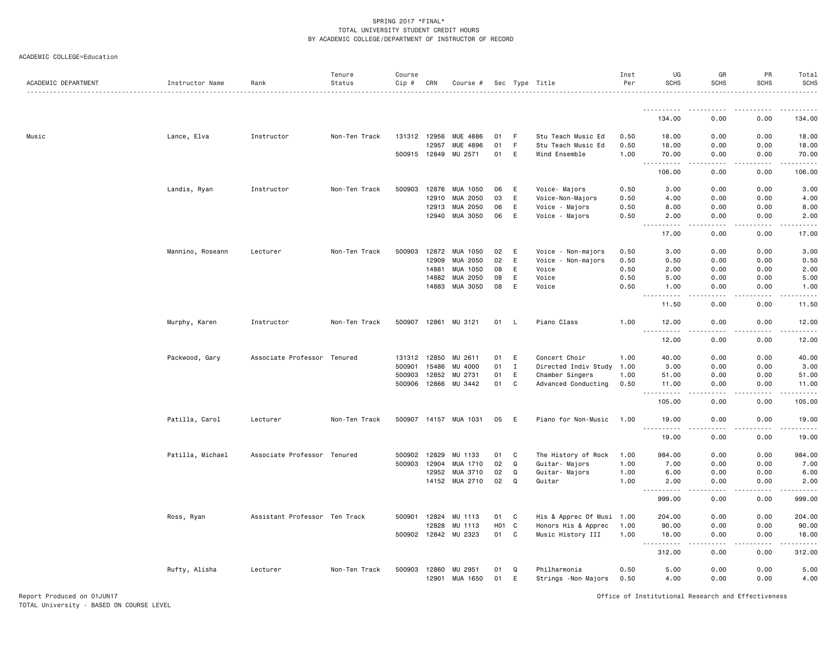| ACADEMIC COLLEGE=Education |  |  |
|----------------------------|--|--|
|----------------------------|--|--|

| ACADEMIC DEPARTMENT | Instructor Name  | Rank                          | Tenure<br>Status | Course<br>Cip # | CRN          | Course #              |                  |              | Sec Type Title            | Inst<br>Per | UG<br><b>SCHS</b>                 | GR<br><b>SCHS</b>            | PR<br><b>SCHS</b> | Total<br><b>SCHS</b> |
|---------------------|------------------|-------------------------------|------------------|-----------------|--------------|-----------------------|------------------|--------------|---------------------------|-------------|-----------------------------------|------------------------------|-------------------|----------------------|
|                     |                  |                               |                  |                 |              |                       |                  |              |                           |             |                                   |                              |                   |                      |
|                     |                  |                               |                  |                 |              |                       |                  |              |                           |             | 134.00                            | 0.00                         | 0.00              | 134.00               |
| Music               | Lance, Elva      | Instructor                    | Non-Ten Track    | 131312 12956    |              | MUE 4886              | 01               | -F           | Stu Teach Music Ed        | 0.50        | 18.00                             | 0.00                         | 0.00              | 18.00                |
|                     |                  |                               |                  |                 | 12957        | MUE 4896              | 01               | $\mathsf F$  | Stu Teach Music Ed        | 0.50        | 18.00                             | 0.00                         | 0.00              | 18.00                |
|                     |                  |                               |                  |                 | 500915 12849 | MU 2571               | 01               | E            | Wind Ensemble             | 1.00        | 70.00                             | 0.00                         | 0.00              | 70.00                |
|                     |                  |                               |                  |                 |              |                       |                  |              |                           |             | $  -$<br>. <b>.</b><br>106.00     | .<br>0.00                    | .<br>0.00         | .<br>106.00          |
|                     | Landis, Ryan     | Instructor                    | Non-Ten Track    | 500903          | 12876        | MUA 1050              | 06               | E            | Voice- Majors             | 0.50        | 3.00                              | 0.00                         | 0.00              | 3.00                 |
|                     |                  |                               |                  |                 | 12910        | MUA 2050              | 03               | E            | Voice-Non-Majors          | 0.50        | 4.00                              | 0.00                         | 0.00              | 4.00                 |
|                     |                  |                               |                  |                 | 12913        | MUA 2050              | 06               | E            | Voice - Majors            | 0.50        | 8.00                              | 0.00                         | 0.00              | 8.00                 |
|                     |                  |                               |                  |                 | 12940        | MUA 3050              | 06               | E            | Voice - Majors            | 0.50        | 2.00<br>$\sim$ $\sim$ $\sim$<br>. | 0.00<br>. <u>. .</u>         | 0.00<br>.         | 2.00<br>.            |
|                     |                  |                               |                  |                 |              |                       |                  |              |                           |             | 17.00                             | 0.00                         | 0.00              | 17.00                |
|                     | Mannino, Roseann | Lecturer                      | Non-Ten Track    |                 | 500903 12872 | MUA 1050              | 02               | E            | Voice<br>- Non-majors     | 0.50        | 3.00                              | 0.00                         | 0.00              | 3.00                 |
|                     |                  |                               |                  |                 | 12909        | MUA 2050              | 02               | E            | - Non-majors<br>Voice     | 0.50        | 0.50                              | 0.00                         | 0.00              | 0.50                 |
|                     |                  |                               |                  |                 | 14881        | MUA 1050              | 08               | E            | Voice                     | 0.50        | 2.00                              | 0.00                         | 0.00              | 2.00                 |
|                     |                  |                               |                  |                 | 14882        | MUA 2050              | 08               | E            | Voice                     | 0.50        | 5.00                              | 0.00                         | 0.00              | 5.00                 |
|                     |                  |                               |                  |                 | 14883        | MUA 3050              | 08               | E            | Voice                     | 0.50        | 1.00                              | 0.00                         | 0.00              | 1.00                 |
|                     |                  |                               |                  |                 |              |                       |                  |              |                           |             | 2.2.2.2.2<br>11.50                | د د د د<br>0.00              | .<br>0.00         | .<br>11.50           |
|                     | Murphy, Karen    | Instructor                    | Non-Ten Track    |                 | 500907 12861 | MU 3121               | 01               | - L          | Piano Class               | 1.00        | 12.00                             | 0.00                         | 0.00              | 12.00                |
|                     |                  |                               |                  |                 |              |                       |                  |              |                           |             | .<br>12.00                        | .<br>0.00                    | .<br>0.00         | .<br>12.00           |
|                     | Packwood, Gary   | Associate Professor Tenured   |                  | 131312          | 12850        | MU 2611               | 01               | E            | Concert Choir             | 1.00        | 40.00                             | 0.00                         | 0.00              | 40.00                |
|                     |                  |                               |                  | 500901          | 15486        | MU 4000               | 01               | $\mathbf I$  | Directed Indiv Study      | 1.00        | 3.00                              | 0.00                         | 0.00              | 3.00                 |
|                     |                  |                               |                  | 500903          | 12852        | MU 2731               | 01               | E            | Chamber Singers           | 1.00        | 51.00                             | 0.00                         | 0.00              | 51.00                |
|                     |                  |                               |                  | 500906          | 12866        | MU 3442               | 01               | C            | Advanced Conducting       | 0.50        | 11.00                             | 0.00                         | 0.00              | 11.00                |
|                     |                  |                               |                  |                 |              |                       |                  |              |                           |             | . <b>.</b><br>$  -$<br>105.00     | د د د د<br>0.00              | .<br>0.00         | <u>.</u><br>105.00   |
|                     | Patilla, Carol   | Lecturer                      | Non-Ten Track    |                 |              | 500907 14157 MUA 1031 | 05               | E            | Piano for Non-Music       | 1.00        | 19.00                             | 0.00                         | 0.00              | 19.00                |
|                     |                  |                               |                  |                 |              |                       |                  |              |                           |             | .<br>19.00                        | $\sim$ $\sim$ $\sim$<br>0.00 | .<br>0.00         | .<br>19.00           |
|                     | Patilla, Michael | Associate Professor Tenured   |                  | 500902          | 12829        | MU 1133               | 01               | C            | The History of Rock       | 1.00        | 984.00                            | 0.00                         | 0.00              | 984.00               |
|                     |                  |                               |                  | 500903          | 12904        | MUA 1710              | 02               | Q            | Guitar- Majors            | 1.00        | 7.00                              | 0.00                         | 0.00              | 7.00                 |
|                     |                  |                               |                  |                 | 12952        | MUA 3710              | 02               | Q            | Guitar- Majors            | 1.00        | 6.00                              | 0.00                         | 0.00              | 6.00                 |
|                     |                  |                               |                  |                 | 14152        | MUA 2710              | 02               | Q            | Guitar                    | 1.00        | 2.00                              | 0.00                         | 0.00              | 2.00                 |
|                     |                  |                               |                  |                 |              |                       |                  |              |                           |             | <u>.</u><br>999.00                | $- - - -$<br>0.00            | .<br>0.00         | .<br>999.00          |
|                     | Ross, Ryan       | Assistant Professor Ten Track |                  | 500901          | 12824        | MU 1113               | 01               | C            | His & Apprec Of Musi 1.00 |             | 204.00                            | 0.00                         | 0.00              | 204.00               |
|                     |                  |                               |                  |                 | 12828        | MU 1113               | H <sub>0</sub> 1 | $\mathbf{C}$ | Honors His & Apprec       | 1.00        | 90.00                             | 0.00                         | 0.00              | 90.00                |
|                     |                  |                               |                  |                 |              | 500902 12842 MU 2323  | 01               | C            | Music History III         | 1.00        | 18.00                             | 0.00                         | 0.00              | 18.00                |
|                     |                  |                               |                  |                 |              |                       |                  |              |                           |             | .<br>312.00                       | .<br>0.00                    | .<br>0.00         | .<br>312.00          |
|                     | Rufty, Alisha    | Lecturer                      | Non-Ten Track    |                 | 500903 12860 | MU 2951               | 01               | Q            | Philharmonia              | 0.50        | 5.00                              | 0.00                         | 0.00              | 5.00                 |
|                     |                  |                               |                  |                 | 12901        | MUA 1650              | 01               | E            | Strings -Non Majors       | 0.50        | 4.00                              | 0.00                         | 0.00              | 4.00                 |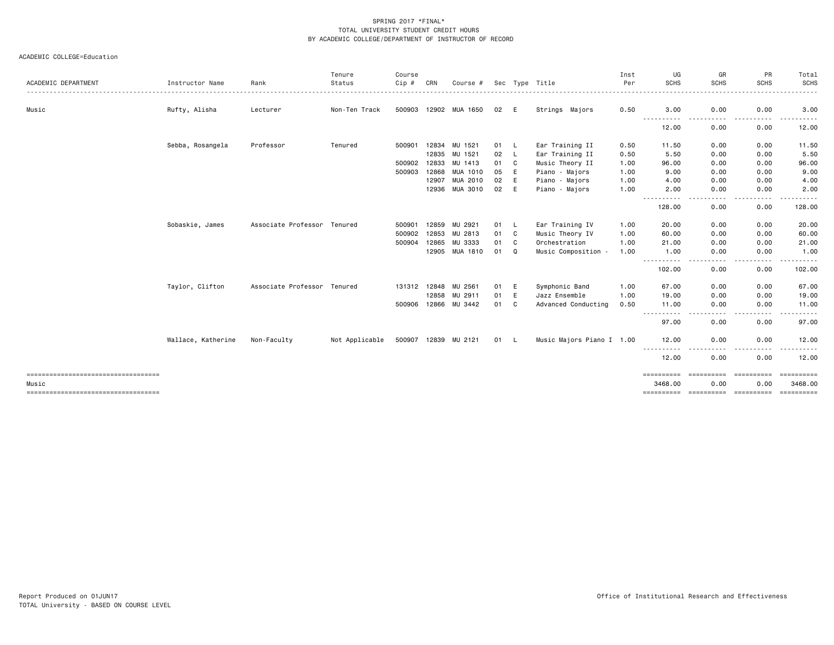|                                       |                    |                             | Tenure         | Course       |       |                       |    |     |                           | Inst | UG                                                                                                                                                           | GR                    | PR                                               | Total                 |
|---------------------------------------|--------------------|-----------------------------|----------------|--------------|-------|-----------------------|----|-----|---------------------------|------|--------------------------------------------------------------------------------------------------------------------------------------------------------------|-----------------------|--------------------------------------------------|-----------------------|
| ACADEMIC DEPARTMENT                   | Instructor Name    | Rank                        | Status         | $Cip$ #      | CRN   | Course #              |    |     | Sec Type Title            | Per  | <b>SCHS</b>                                                                                                                                                  | <b>SCHS</b>           | <b>SCHS</b>                                      | <b>SCHS</b>           |
| Music                                 | Rufty, Alisha      | Lecturer                    | Non-Ten Track  |              |       | 500903 12902 MUA 1650 | 02 | E   | Strings Majors            | 0.50 | 3.00<br>$\frac{1}{2} \left( \frac{1}{2} \right) \left( \frac{1}{2} \right) \left( \frac{1}{2} \right) \left( \frac{1}{2} \right)$                            | 0.00                  | 0.00                                             | 3.00                  |
|                                       |                    |                             |                |              |       |                       |    |     |                           |      | 12.00                                                                                                                                                        | 0.00                  | 0.00                                             | 12.00                 |
|                                       | Sebba, Rosangela   | Professor                   | Tenured        | 500901       | 12834 | MU 1521               | 01 | - L | Ear Training II           | 0.50 | 11.50                                                                                                                                                        | 0.00                  | 0.00                                             | 11.50                 |
|                                       |                    |                             |                |              | 12835 | MU 1521               | 02 |     | Ear Training II           | 0.50 | 5.50                                                                                                                                                         | 0.00                  | 0.00                                             | 5.50                  |
|                                       |                    |                             |                | 500902       | 12833 | MU 1413               | 01 | C   | Music Theory II           | 1.00 | 96.00                                                                                                                                                        | 0.00                  | 0.00                                             | 96.00                 |
|                                       |                    |                             |                | 500903       | 12868 | MUA 1010              | 05 | E   | Piano - Majors            | 1.00 | 9.00                                                                                                                                                         | 0.00                  | 0.00                                             | 9.00                  |
|                                       |                    |                             |                |              | 12907 | MUA 2010              | 02 | E   | Piano - Majors            | 1.00 | 4.00                                                                                                                                                         | 0.00                  | 0.00                                             | 4.00                  |
|                                       |                    |                             |                |              |       | 12936 MUA 3010        | 02 | E   | Piano - Majors            | 1.00 | 2.00                                                                                                                                                         | 0.00                  | 0.00                                             | 2.00                  |
|                                       |                    |                             |                |              |       |                       |    |     |                           |      | .<br>128.00                                                                                                                                                  | $\frac{1}{2}$<br>0.00 | 0.00                                             | .<br>128.00           |
|                                       | Sobaskie, James    | Associate Professor Tenured |                | 500901       | 12859 | MU 2921               | 01 | -L  | Ear Training IV           | 1.00 | 20.00                                                                                                                                                        | 0.00                  | 0.00                                             | 20.00                 |
|                                       |                    |                             |                | 500902       | 12853 | MU 2813               | 01 | C   | Music Theory IV           | 1.00 | 60.00                                                                                                                                                        | 0.00                  | 0.00                                             | 60.00                 |
|                                       |                    |                             |                | 500904       | 12865 | MU 3333               | 01 | C   | Orchestration             | 1.00 | 21.00                                                                                                                                                        | 0.00                  | 0.00                                             | 21.00                 |
|                                       |                    |                             |                |              | 12905 | MUA 1810              | 01 | Q   | Music Composition -       | 1.00 | 1.00                                                                                                                                                         | 0.00                  | 0.00                                             | 1.00                  |
|                                       |                    |                             |                |              |       |                       |    |     |                           |      | $\frac{1}{2} \left( \frac{1}{2} \right) \left( \frac{1}{2} \right) \left( \frac{1}{2} \right) \left( \frac{1}{2} \right)$<br>----<br>102.00                  | 0.00                  | 0.00                                             | 102.00                |
|                                       | Taylor, Clifton    | Associate Professor Tenured |                | 131312 12848 |       | MU 2561               | 01 | E   | Symphonic Band            | 1.00 | 67.00                                                                                                                                                        | 0.00                  | 0.00                                             | 67.00                 |
|                                       |                    |                             |                |              | 12858 | MU 2911               | 01 | E   | Jazz Ensemble             | 1.00 | 19.00                                                                                                                                                        | 0.00                  | 0.00                                             | 19.00                 |
|                                       |                    |                             |                | 500906 12866 |       | MU 3442               | 01 | C   | Advanced Conducting       | 0.50 | 11.00<br>$\cdots \cdots \cdots$<br>$\frac{1}{2} \left( \frac{1}{2} \right) \left( \frac{1}{2} \right) \left( \frac{1}{2} \right) \left( \frac{1}{2} \right)$ | 0.00                  | 0.00                                             | 11.00                 |
|                                       |                    |                             |                |              |       |                       |    |     |                           |      | 97.00                                                                                                                                                        | 0.00                  | 0.00                                             | 97.00                 |
|                                       | Wallace, Katherine | Non-Faculty                 | Not Applicable |              |       | 500907 12839 MU 2121  | 01 | -L. | Music Majors Piano I 1.00 |      | 12.00                                                                                                                                                        | 0.00                  | 0.00                                             | 12.00                 |
|                                       |                    |                             |                |              |       |                       |    |     |                           |      | .<br>12.00                                                                                                                                                   | - - - -<br>0.00       | .<br>$\cdots$<br>.<br>0.00<br>==========<br>0.00 | 12.00                 |
| Music                                 |                    |                             |                |              |       |                       |    |     |                           |      | ==========<br>3468.00                                                                                                                                        | ==========<br>0.00    |                                                  | ==========<br>3468.00 |
| ===================================== |                    |                             |                |              |       |                       |    |     |                           |      |                                                                                                                                                              |                       |                                                  |                       |
|                                       |                    |                             |                |              |       |                       |    |     |                           |      |                                                                                                                                                              |                       |                                                  |                       |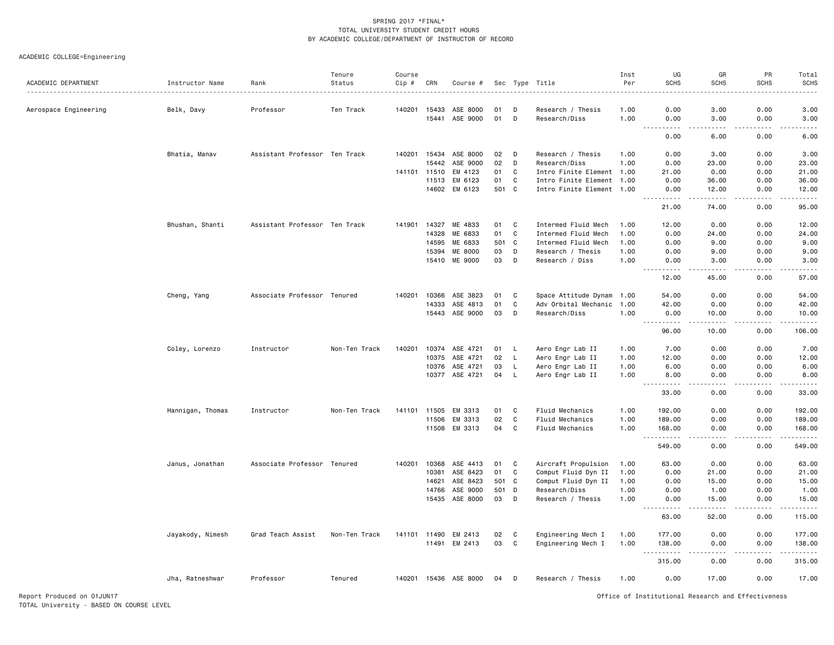ACADEMIC COLLEGE=Engineering

| ACADEMIC DEPARTMENT   | Instructor Name  | Rank                          | Tenure<br>Status | Course<br>Cip # | CRN          | Course #                   |          |              | Sec Type Title                     | Inst<br>Per  | UG<br><b>SCHS</b>                            | GR<br><b>SCHS</b> | PR<br><b>SCHS</b>  | Total<br><b>SCHS</b>                                                                                                                                                                     |
|-----------------------|------------------|-------------------------------|------------------|-----------------|--------------|----------------------------|----------|--------------|------------------------------------|--------------|----------------------------------------------|-------------------|--------------------|------------------------------------------------------------------------------------------------------------------------------------------------------------------------------------------|
|                       |                  |                               |                  |                 |              |                            |          |              |                                    |              |                                              |                   |                    |                                                                                                                                                                                          |
| Aerospace Engineering | Belk, Davy       | Professor                     | Ten Track        |                 | 140201 15433 | ASE 8000<br>15441 ASE 9000 | 01<br>01 | D<br>D       | Research / Thesis<br>Research/Diss | 1.00<br>1.00 | 0.00<br>0.00                                 | 3.00<br>3.00      | 0.00<br>0.00       | 3.00<br>3.00                                                                                                                                                                             |
|                       |                  |                               |                  |                 |              |                            |          |              |                                    |              | $- - - -$<br>$\sim$ $\sim$                   | .                 | .                  | <u>.</u>                                                                                                                                                                                 |
|                       |                  |                               |                  |                 |              |                            |          |              |                                    |              | 0.00                                         | 6.00              | 0.00               | 6.00                                                                                                                                                                                     |
|                       | Bhatia, Manav    | Assistant Professor Ten Track |                  | 140201          | 15434        | ASE 8000                   | 02       | D            | Research / Thesis                  | 1.00         | 0.00                                         | 3.00              | 0.00               | 3.00                                                                                                                                                                                     |
|                       |                  |                               |                  |                 | 15442        | ASE 9000                   | 02       | D            | Research/Diss                      | 1.00         | 0.00                                         | 23.00             | 0.00               | 23.00                                                                                                                                                                                    |
|                       |                  |                               |                  | 141101          | 11510        | EM 4123                    | 01       | C            | Intro Finite Element 1.00          |              | 21.00                                        | 0.00              | 0.00               | 21.00                                                                                                                                                                                    |
|                       |                  |                               |                  |                 | 11513        | EM 6123                    | 01       | C            | Intro Finite Element 1.00          |              | 0.00                                         | 36.00             | 0.00               | 36.00                                                                                                                                                                                    |
|                       |                  |                               |                  |                 |              | 14602 EM 6123              | 501 C    |              | Intro Finite Element 1.00          |              | 0.00                                         | 12.00             | 0.00<br>المستبدا   | 12.00                                                                                                                                                                                    |
|                       |                  |                               |                  |                 |              |                            |          |              |                                    |              | 21.00                                        | 74.00             | 0.00               | 95.00                                                                                                                                                                                    |
|                       | Bhushan, Shanti  | Assistant Professor Ten Track |                  | 141901 14327    |              | ME 4833                    | 01       | C            | Intermed Fluid Mech                | 1.00         | 12.00                                        | 0.00              | 0.00               | 12.00                                                                                                                                                                                    |
|                       |                  |                               |                  |                 | 14328        | ME 6833                    | 01       | $\mathbf{C}$ | Intermed Fluid Mech                | 1.00         | 0.00                                         | 24.00             | 0.00               | 24.00                                                                                                                                                                                    |
|                       |                  |                               |                  |                 | 14595        | ME 6833                    | 501      | $\mathbf c$  | Intermed Fluid Mech                | 1.00         | 0.00                                         | 9.00              | 0.00               | 9.00                                                                                                                                                                                     |
|                       |                  |                               |                  |                 | 15394        | ME 8000                    | 03       | D            | Research / Thesis                  | 1.00         | 0.00                                         | 9.00              | 0.00               | 9.00                                                                                                                                                                                     |
|                       |                  |                               |                  |                 | 15410        | ME 9000                    | 03       | D            | Research / Diss                    | 1.00         | 0.00<br>.                                    | 3.00<br>.         | 0.00<br>-----      | 3.00<br>.                                                                                                                                                                                |
|                       |                  |                               |                  |                 |              |                            |          |              |                                    |              | 12.00                                        | 45.00             | 0.00               | 57.00                                                                                                                                                                                    |
|                       | Cheng, Yang      | Associate Professor Tenured   |                  | 140201          | 10366        | ASE 3823                   | 01       | C            | Space Attitude Dynam 1.00          |              | 54.00                                        | 0.00              | 0.00               | 54.00                                                                                                                                                                                    |
|                       |                  |                               |                  |                 | 14333        | ASE 4813                   | 01       | C            | Adv Orbital Mechanic 1.00          |              | 42.00                                        | 0.00              | 0.00               | 42.00                                                                                                                                                                                    |
|                       |                  |                               |                  |                 |              | 15443 ASE 9000             | 03       | D            | Research/Diss                      | 1.00         | 0.00<br>.                                    | 10.00<br>.        | 0.00<br>. <b>.</b> | 10,00<br>$\frac{1}{2} \left( \frac{1}{2} \right) \left( \frac{1}{2} \right) \left( \frac{1}{2} \right) \left( \frac{1}{2} \right) \left( \frac{1}{2} \right) \left( \frac{1}{2} \right)$ |
|                       |                  |                               |                  |                 |              |                            |          |              |                                    |              | 96.00                                        | 10.00             | 0.00               | 106.00                                                                                                                                                                                   |
|                       | Coley, Lorenzo   | Instructor                    | Non-Ten Track    | 140201          | 10374        | ASE 4721                   | 01       | L,           | Aero Engr Lab II                   | 1.00         | 7.00                                         | 0.00              | 0.00               | 7.00                                                                                                                                                                                     |
|                       |                  |                               |                  |                 | 10375        | ASE 4721                   | 02       | $\mathsf{L}$ | Aero Engr Lab II                   | 1.00         | 12.00                                        | 0.00              | 0.00               | 12.00                                                                                                                                                                                    |
|                       |                  |                               |                  |                 | 10376        | ASE 4721                   | 03       | L.           | Aero Engr Lab II                   | 1.00         | 6.00                                         | 0.00              | 0.00               | 6.00                                                                                                                                                                                     |
|                       |                  |                               |                  |                 | 10377        | ASE 4721                   | 04       | L            | Aero Engr Lab II                   | 1.00         | 8.00<br><u>.</u>                             | 0.00<br>.         | 0.00               | 8.00<br>.                                                                                                                                                                                |
|                       |                  |                               |                  |                 |              |                            |          |              |                                    |              | 33.00                                        | 0.00              | 0.00               | 33.00                                                                                                                                                                                    |
|                       | Hannigan, Thomas | Instructor                    | Non-Ten Track    | 141101 11505    |              | EM 3313                    | 01       | C            | Fluid Mechanics                    | 1.00         | 192.00                                       | 0.00              | 0.00               | 192.00                                                                                                                                                                                   |
|                       |                  |                               |                  |                 | 11506        | EM 3313                    | 02       | C            | Fluid Mechanics                    | 1.00         | 189.00                                       | 0.00              | 0.00               | 189.00                                                                                                                                                                                   |
|                       |                  |                               |                  |                 | 11508        | EM 3313                    | 04       | C            | Fluid Mechanics                    | 1.00         | 168.00                                       | 0.00              | 0.00               | 168.00                                                                                                                                                                                   |
|                       |                  |                               |                  |                 |              |                            |          |              |                                    |              | . <b>.</b><br>$\sim$ $\sim$ $\sim$<br>549.00 | .<br>0.00         | .<br>0.00          | .<br>549.00                                                                                                                                                                              |
|                       | Janus, Jonathan  | Associate Professor Tenured   |                  | 140201          | 10368        | ASE 4413                   | 01       | C            | Aircraft Propulsion                | 1.00         | 63.00                                        | 0.00              | 0.00               | 63.00                                                                                                                                                                                    |
|                       |                  |                               |                  |                 | 10381        | ASE 8423                   | 01       | C            | Comput Fluid Dyn II                | 1.00         | 0.00                                         | 21.00             | 0.00               | 21.00                                                                                                                                                                                    |
|                       |                  |                               |                  |                 | 14621        | ASE 8423                   | 501      | $\mathbf{C}$ | Comput Fluid Dyn II                | 1.00         | 0.00                                         | 15.00             | 0.00               | 15.00                                                                                                                                                                                    |
|                       |                  |                               |                  |                 | 14766        | ASE 9000                   | 501      | D            | Research/Diss                      | 1.00         | 0.00                                         | 1.00              | 0.00               | 1.00                                                                                                                                                                                     |
|                       |                  |                               |                  |                 | 15435        | ASE 8000                   | 03       | D            | Research / Thesis                  | 1.00         | 0.00                                         | 15.00<br>- - - -  | 0.00               | 15.00<br>.                                                                                                                                                                               |
|                       |                  |                               |                  |                 |              |                            |          |              |                                    |              | 63.00                                        | 52.00             | 0.00               | 115.00                                                                                                                                                                                   |
|                       | Jayakody, Nimesh | Grad Teach Assist             | Non-Ten Track    | 141101 11490    |              | EM 2413                    | 02       | C            | Engineering Mech I                 | 1.00         | 177.00                                       | 0.00              | 0.00               | 177.00                                                                                                                                                                                   |
|                       |                  |                               |                  |                 |              | 11491 EM 2413              | 03       | C            | Engineering Mech I                 | 1.00         | 138.00                                       | 0.00              | 0.00               | 138.00                                                                                                                                                                                   |
|                       |                  |                               |                  |                 |              |                            |          |              |                                    |              | $\sim$ $\sim$ .<br>.                         |                   |                    |                                                                                                                                                                                          |
|                       |                  |                               |                  |                 |              |                            |          |              |                                    |              | 315.00                                       | 0.00              | 0.00               | 315.00                                                                                                                                                                                   |
|                       | Jha, Ratneshwar  | Professor                     | Tenured          |                 |              | 140201 15436 ASE 8000      | 04       | D            | Research / Thesis                  | 1.00         | 0.00                                         | 17.00             | 0.00               | 17.00                                                                                                                                                                                    |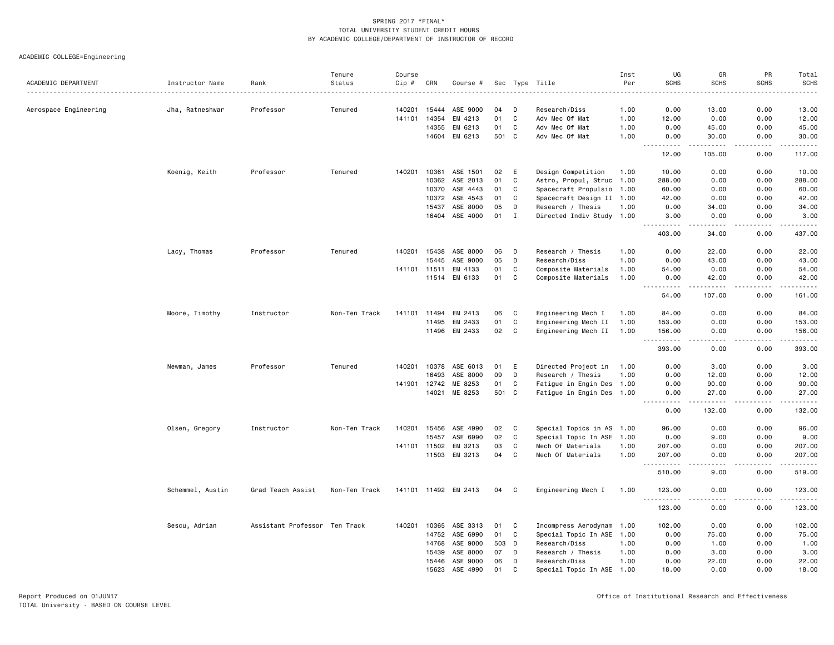ACADEMIC COLLEGE=Engineering

| <b>SCHS</b><br>ACADEMIC DEPARTMENT<br>Status<br>Cip #<br>CRN<br>Per<br><b>SCHS</b><br><b>SCHS</b><br>Instructor Name<br>Rank<br>Course #<br>Sec Type Title<br>.<br>.<br>Aerospace Engineering<br>Jha, Ratneshwar<br>Professor<br>Tenured<br>140201<br>15444<br>ASE 9000<br>04<br>D<br>Research/Diss<br>1.00<br>0.00<br>13.00<br>0.00<br>13.00<br>14354<br>C<br>141101<br>EM 4213<br>01<br>Adv Mec Of Mat<br>1.00<br>12.00<br>0.00<br>0.00<br>12.00<br>14355<br>EM 6213<br>01<br>C<br>Adv Mec Of Mat<br>0.00<br>45.00<br>0.00<br>45.00<br>1.00<br>EM 6213<br>501<br>C<br>14604<br>Adv Mec Of Mat<br>1.00<br>30.00<br>0.00<br>0.00<br>.<br><u>.</u><br>12.00<br>105.00<br>0.00<br>117.00<br>10361<br>ASE 1501<br>0.00<br>Professor<br>Tenured<br>140201<br>02<br>E<br>Design Competition<br>0.00<br>10.00<br>Koenig, Keith<br>1.00<br>10.00<br>10362<br>ASE 2013<br>01<br>C<br>Astro, Propul, Struc 1.00<br>288.00<br>0.00<br>0.00<br>288.00<br>10370<br>ASE 4443<br>C<br>Spacecraft Propulsio 1.00<br>0.00<br>60.00<br>01<br>60.00<br>0.00<br>10372<br>ASE 4543<br>01<br>C<br>Spacecraft Design II 1.00<br>42.00<br>0.00<br>0.00<br>42.00<br>15437<br>ASE 8000<br>05<br>D<br>34.00<br>Research / Thesis<br>1.00<br>0.00<br>0.00<br>34.00<br>ASE 4000<br>16404<br>01<br>$\mathbf I$<br>Directed Indiv Study 1.00<br>3.00<br>0.00<br>0.00<br>403.00<br>34.00<br>0.00<br>437.00<br>140201<br>15438<br>ASE 8000<br>06<br>Research / Thesis<br>22.00<br>0.00<br>Lacy, Thomas<br>Professor<br>Tenured<br>D<br>1.00<br>0.00<br>D<br>15445<br>ASE 9000<br>05<br>Research/Diss<br>1.00<br>0.00<br>43.00<br>0.00<br>EM 4133<br>01<br>C<br>Composite Materials<br>54.00<br>0.00<br>0.00<br>141101 11511<br>1.00<br>EM 6133<br>01<br>C<br>11514<br>Composite Materials<br>1.00<br>0.00<br>42.00<br>0.00<br>.<br>$- - - - -$<br>54.00<br>107.00<br>0.00<br>Non-Ten Track<br>141101 11494<br>EM 2413<br>06<br>C<br>Engineering Mech I<br>0.00<br>0.00<br>Moore, Timothy<br>Instructor<br>1.00<br>84.00<br>$\mathtt{C}$<br>01<br>153.00<br>0.00<br>0.00<br>11495<br>EM 2433<br>Engineering Mech II<br>1.00<br>11496 EM 2433<br>02<br>C<br>Engineering Mech II<br>1.00<br>156.00<br>0.00<br>0.00<br>393.00<br>0.00<br>0.00<br>10378<br>ASE 6013<br>Directed Project in<br>Newman, James<br>Professor<br>Tenured<br>140201<br>01<br>Ε<br>1.00<br>0.00<br>3.00<br>0.00<br>ASE 8000<br>16493<br>09<br>D<br>Research / Thesis<br>1.00<br>0.00<br>12.00<br>0.00<br>141901 12742<br>ME 8253<br>01<br>C<br>90.00<br>0.00<br>Fatigue in Engin Des 1.00<br>0.00<br>ME 8253<br>501<br>C<br>14021<br>Fatigue in Engin Des 1.00<br>27.00<br>0.00<br>0.00<br><u>.</u><br>.<br>.<br>0.00<br>132.00<br>0.00<br>Olsen, Gregory<br>140201 15456<br>ASE 4990<br>02<br>C<br>96.00<br>0.00<br>0.00<br>Instructor<br>Non-Ten Track<br>Special Topics in AS 1.00<br>02<br>C<br>9.00<br>15457<br>ASE 6990<br>Special Topic In ASE 1.00<br>0.00<br>0.00<br>11502<br>EM 3213<br>03<br>C<br>141101<br>Mech Of Materials<br>1.00<br>207.00<br>0.00<br>0.00<br>EM 3213<br>04<br>C<br>11503<br>Mech Of Materials<br>1.00<br>207.00<br>0.00<br>0.00<br>.<br>.<br>.<br>.<br>0.00<br>510.00<br>9.00<br>Schemmel, Austin<br>Grad Teach Assist<br>Non-Ten Track<br>141101 11492 EM 2413<br>C<br>Engineering Mech I<br>1.00<br>123.00<br>0.00<br>0.00<br>04<br><u>.</u><br>$- - - -$<br>-----<br>123.00<br>0.00<br>0.00<br>Sescu, Adrian<br>Assistant Professor Ten Track<br>10365 ASE 3313<br>C<br>Incompress Aerodynam 1.00<br>0.00<br>0.00<br>102.00<br>140201<br>01<br>102.00<br>ASE 6990<br>14752<br>01<br>C<br>Special Topic In ASE 1.00<br>0.00<br>75.00<br>0.00<br>75.00<br>14768<br>ASE 9000<br>503<br>Research/Diss<br>0.00<br>1.00<br>0.00<br>1.00<br>D<br>1.00<br>15439<br>ASE 8000<br>07<br>D<br>0.00<br>3.00<br>0.00<br>Research / Thesis<br>1.00<br>ASE 9000<br>15446<br>06<br>D<br>Research/Diss<br>1.00<br>0.00<br>22.00<br>0.00<br>ASE 4990<br>$\mathsf{C}$<br>15623<br>01<br>Special Topic In ASE 1.00<br>18,00<br>0.00<br>0.00 |  | Tenure | Course |  |  | Inst | UG | GR | PR | Total                     |
|------------------------------------------------------------------------------------------------------------------------------------------------------------------------------------------------------------------------------------------------------------------------------------------------------------------------------------------------------------------------------------------------------------------------------------------------------------------------------------------------------------------------------------------------------------------------------------------------------------------------------------------------------------------------------------------------------------------------------------------------------------------------------------------------------------------------------------------------------------------------------------------------------------------------------------------------------------------------------------------------------------------------------------------------------------------------------------------------------------------------------------------------------------------------------------------------------------------------------------------------------------------------------------------------------------------------------------------------------------------------------------------------------------------------------------------------------------------------------------------------------------------------------------------------------------------------------------------------------------------------------------------------------------------------------------------------------------------------------------------------------------------------------------------------------------------------------------------------------------------------------------------------------------------------------------------------------------------------------------------------------------------------------------------------------------------------------------------------------------------------------------------------------------------------------------------------------------------------------------------------------------------------------------------------------------------------------------------------------------------------------------------------------------------------------------------------------------------------------------------------------------------------------------------------------------------------------------------------------------------------------------------------------------------------------------------------------------------------------------------------------------------------------------------------------------------------------------------------------------------------------------------------------------------------------------------------------------------------------------------------------------------------------------------------------------------------------------------------------------------------------------------------------------------------------------------------------------------------------------------------------------------------------------------------------------------------------------------------------------------------------------------------------------------------------------------------------------------------------------------------------------------------------------------------------------------------------------------------------------------------------------------------------------------------------------------------------------------------------------------------------------------------------------------------------------------------------------------------------------------------------------------------------------------------------------------------------------------------------------------------|--|--------|--------|--|--|------|----|----|----|---------------------------|
|                                                                                                                                                                                                                                                                                                                                                                                                                                                                                                                                                                                                                                                                                                                                                                                                                                                                                                                                                                                                                                                                                                                                                                                                                                                                                                                                                                                                                                                                                                                                                                                                                                                                                                                                                                                                                                                                                                                                                                                                                                                                                                                                                                                                                                                                                                                                                                                                                                                                                                                                                                                                                                                                                                                                                                                                                                                                                                                                                                                                                                                                                                                                                                                                                                                                                                                                                                                                                                                                                                                                                                                                                                                                                                                                                                                                                                                                                                                                                                                                |  |        |        |  |  |      |    |    |    | <b>SCHS</b>               |
|                                                                                                                                                                                                                                                                                                                                                                                                                                                                                                                                                                                                                                                                                                                                                                                                                                                                                                                                                                                                                                                                                                                                                                                                                                                                                                                                                                                                                                                                                                                                                                                                                                                                                                                                                                                                                                                                                                                                                                                                                                                                                                                                                                                                                                                                                                                                                                                                                                                                                                                                                                                                                                                                                                                                                                                                                                                                                                                                                                                                                                                                                                                                                                                                                                                                                                                                                                                                                                                                                                                                                                                                                                                                                                                                                                                                                                                                                                                                                                                                |  |        |        |  |  |      |    |    |    |                           |
|                                                                                                                                                                                                                                                                                                                                                                                                                                                                                                                                                                                                                                                                                                                                                                                                                                                                                                                                                                                                                                                                                                                                                                                                                                                                                                                                                                                                                                                                                                                                                                                                                                                                                                                                                                                                                                                                                                                                                                                                                                                                                                                                                                                                                                                                                                                                                                                                                                                                                                                                                                                                                                                                                                                                                                                                                                                                                                                                                                                                                                                                                                                                                                                                                                                                                                                                                                                                                                                                                                                                                                                                                                                                                                                                                                                                                                                                                                                                                                                                |  |        |        |  |  |      |    |    |    |                           |
|                                                                                                                                                                                                                                                                                                                                                                                                                                                                                                                                                                                                                                                                                                                                                                                                                                                                                                                                                                                                                                                                                                                                                                                                                                                                                                                                                                                                                                                                                                                                                                                                                                                                                                                                                                                                                                                                                                                                                                                                                                                                                                                                                                                                                                                                                                                                                                                                                                                                                                                                                                                                                                                                                                                                                                                                                                                                                                                                                                                                                                                                                                                                                                                                                                                                                                                                                                                                                                                                                                                                                                                                                                                                                                                                                                                                                                                                                                                                                                                                |  |        |        |  |  |      |    |    |    |                           |
|                                                                                                                                                                                                                                                                                                                                                                                                                                                                                                                                                                                                                                                                                                                                                                                                                                                                                                                                                                                                                                                                                                                                                                                                                                                                                                                                                                                                                                                                                                                                                                                                                                                                                                                                                                                                                                                                                                                                                                                                                                                                                                                                                                                                                                                                                                                                                                                                                                                                                                                                                                                                                                                                                                                                                                                                                                                                                                                                                                                                                                                                                                                                                                                                                                                                                                                                                                                                                                                                                                                                                                                                                                                                                                                                                                                                                                                                                                                                                                                                |  |        |        |  |  |      |    |    |    | 30.00                     |
|                                                                                                                                                                                                                                                                                                                                                                                                                                                                                                                                                                                                                                                                                                                                                                                                                                                                                                                                                                                                                                                                                                                                                                                                                                                                                                                                                                                                                                                                                                                                                                                                                                                                                                                                                                                                                                                                                                                                                                                                                                                                                                                                                                                                                                                                                                                                                                                                                                                                                                                                                                                                                                                                                                                                                                                                                                                                                                                                                                                                                                                                                                                                                                                                                                                                                                                                                                                                                                                                                                                                                                                                                                                                                                                                                                                                                                                                                                                                                                                                |  |        |        |  |  |      |    |    |    | .                         |
|                                                                                                                                                                                                                                                                                                                                                                                                                                                                                                                                                                                                                                                                                                                                                                                                                                                                                                                                                                                                                                                                                                                                                                                                                                                                                                                                                                                                                                                                                                                                                                                                                                                                                                                                                                                                                                                                                                                                                                                                                                                                                                                                                                                                                                                                                                                                                                                                                                                                                                                                                                                                                                                                                                                                                                                                                                                                                                                                                                                                                                                                                                                                                                                                                                                                                                                                                                                                                                                                                                                                                                                                                                                                                                                                                                                                                                                                                                                                                                                                |  |        |        |  |  |      |    |    |    |                           |
|                                                                                                                                                                                                                                                                                                                                                                                                                                                                                                                                                                                                                                                                                                                                                                                                                                                                                                                                                                                                                                                                                                                                                                                                                                                                                                                                                                                                                                                                                                                                                                                                                                                                                                                                                                                                                                                                                                                                                                                                                                                                                                                                                                                                                                                                                                                                                                                                                                                                                                                                                                                                                                                                                                                                                                                                                                                                                                                                                                                                                                                                                                                                                                                                                                                                                                                                                                                                                                                                                                                                                                                                                                                                                                                                                                                                                                                                                                                                                                                                |  |        |        |  |  |      |    |    |    |                           |
|                                                                                                                                                                                                                                                                                                                                                                                                                                                                                                                                                                                                                                                                                                                                                                                                                                                                                                                                                                                                                                                                                                                                                                                                                                                                                                                                                                                                                                                                                                                                                                                                                                                                                                                                                                                                                                                                                                                                                                                                                                                                                                                                                                                                                                                                                                                                                                                                                                                                                                                                                                                                                                                                                                                                                                                                                                                                                                                                                                                                                                                                                                                                                                                                                                                                                                                                                                                                                                                                                                                                                                                                                                                                                                                                                                                                                                                                                                                                                                                                |  |        |        |  |  |      |    |    |    |                           |
|                                                                                                                                                                                                                                                                                                                                                                                                                                                                                                                                                                                                                                                                                                                                                                                                                                                                                                                                                                                                                                                                                                                                                                                                                                                                                                                                                                                                                                                                                                                                                                                                                                                                                                                                                                                                                                                                                                                                                                                                                                                                                                                                                                                                                                                                                                                                                                                                                                                                                                                                                                                                                                                                                                                                                                                                                                                                                                                                                                                                                                                                                                                                                                                                                                                                                                                                                                                                                                                                                                                                                                                                                                                                                                                                                                                                                                                                                                                                                                                                |  |        |        |  |  |      |    |    |    |                           |
|                                                                                                                                                                                                                                                                                                                                                                                                                                                                                                                                                                                                                                                                                                                                                                                                                                                                                                                                                                                                                                                                                                                                                                                                                                                                                                                                                                                                                                                                                                                                                                                                                                                                                                                                                                                                                                                                                                                                                                                                                                                                                                                                                                                                                                                                                                                                                                                                                                                                                                                                                                                                                                                                                                                                                                                                                                                                                                                                                                                                                                                                                                                                                                                                                                                                                                                                                                                                                                                                                                                                                                                                                                                                                                                                                                                                                                                                                                                                                                                                |  |        |        |  |  |      |    |    |    |                           |
|                                                                                                                                                                                                                                                                                                                                                                                                                                                                                                                                                                                                                                                                                                                                                                                                                                                                                                                                                                                                                                                                                                                                                                                                                                                                                                                                                                                                                                                                                                                                                                                                                                                                                                                                                                                                                                                                                                                                                                                                                                                                                                                                                                                                                                                                                                                                                                                                                                                                                                                                                                                                                                                                                                                                                                                                                                                                                                                                                                                                                                                                                                                                                                                                                                                                                                                                                                                                                                                                                                                                                                                                                                                                                                                                                                                                                                                                                                                                                                                                |  |        |        |  |  |      |    |    |    | 3.00                      |
|                                                                                                                                                                                                                                                                                                                                                                                                                                                                                                                                                                                                                                                                                                                                                                                                                                                                                                                                                                                                                                                                                                                                                                                                                                                                                                                                                                                                                                                                                                                                                                                                                                                                                                                                                                                                                                                                                                                                                                                                                                                                                                                                                                                                                                                                                                                                                                                                                                                                                                                                                                                                                                                                                                                                                                                                                                                                                                                                                                                                                                                                                                                                                                                                                                                                                                                                                                                                                                                                                                                                                                                                                                                                                                                                                                                                                                                                                                                                                                                                |  |        |        |  |  |      |    |    |    |                           |
|                                                                                                                                                                                                                                                                                                                                                                                                                                                                                                                                                                                                                                                                                                                                                                                                                                                                                                                                                                                                                                                                                                                                                                                                                                                                                                                                                                                                                                                                                                                                                                                                                                                                                                                                                                                                                                                                                                                                                                                                                                                                                                                                                                                                                                                                                                                                                                                                                                                                                                                                                                                                                                                                                                                                                                                                                                                                                                                                                                                                                                                                                                                                                                                                                                                                                                                                                                                                                                                                                                                                                                                                                                                                                                                                                                                                                                                                                                                                                                                                |  |        |        |  |  |      |    |    |    |                           |
|                                                                                                                                                                                                                                                                                                                                                                                                                                                                                                                                                                                                                                                                                                                                                                                                                                                                                                                                                                                                                                                                                                                                                                                                                                                                                                                                                                                                                                                                                                                                                                                                                                                                                                                                                                                                                                                                                                                                                                                                                                                                                                                                                                                                                                                                                                                                                                                                                                                                                                                                                                                                                                                                                                                                                                                                                                                                                                                                                                                                                                                                                                                                                                                                                                                                                                                                                                                                                                                                                                                                                                                                                                                                                                                                                                                                                                                                                                                                                                                                |  |        |        |  |  |      |    |    |    | 22.00                     |
|                                                                                                                                                                                                                                                                                                                                                                                                                                                                                                                                                                                                                                                                                                                                                                                                                                                                                                                                                                                                                                                                                                                                                                                                                                                                                                                                                                                                                                                                                                                                                                                                                                                                                                                                                                                                                                                                                                                                                                                                                                                                                                                                                                                                                                                                                                                                                                                                                                                                                                                                                                                                                                                                                                                                                                                                                                                                                                                                                                                                                                                                                                                                                                                                                                                                                                                                                                                                                                                                                                                                                                                                                                                                                                                                                                                                                                                                                                                                                                                                |  |        |        |  |  |      |    |    |    | 43.00                     |
|                                                                                                                                                                                                                                                                                                                                                                                                                                                                                                                                                                                                                                                                                                                                                                                                                                                                                                                                                                                                                                                                                                                                                                                                                                                                                                                                                                                                                                                                                                                                                                                                                                                                                                                                                                                                                                                                                                                                                                                                                                                                                                                                                                                                                                                                                                                                                                                                                                                                                                                                                                                                                                                                                                                                                                                                                                                                                                                                                                                                                                                                                                                                                                                                                                                                                                                                                                                                                                                                                                                                                                                                                                                                                                                                                                                                                                                                                                                                                                                                |  |        |        |  |  |      |    |    |    | 54.00                     |
|                                                                                                                                                                                                                                                                                                                                                                                                                                                                                                                                                                                                                                                                                                                                                                                                                                                                                                                                                                                                                                                                                                                                                                                                                                                                                                                                                                                                                                                                                                                                                                                                                                                                                                                                                                                                                                                                                                                                                                                                                                                                                                                                                                                                                                                                                                                                                                                                                                                                                                                                                                                                                                                                                                                                                                                                                                                                                                                                                                                                                                                                                                                                                                                                                                                                                                                                                                                                                                                                                                                                                                                                                                                                                                                                                                                                                                                                                                                                                                                                |  |        |        |  |  |      |    |    |    | 42.00<br>.                |
|                                                                                                                                                                                                                                                                                                                                                                                                                                                                                                                                                                                                                                                                                                                                                                                                                                                                                                                                                                                                                                                                                                                                                                                                                                                                                                                                                                                                                                                                                                                                                                                                                                                                                                                                                                                                                                                                                                                                                                                                                                                                                                                                                                                                                                                                                                                                                                                                                                                                                                                                                                                                                                                                                                                                                                                                                                                                                                                                                                                                                                                                                                                                                                                                                                                                                                                                                                                                                                                                                                                                                                                                                                                                                                                                                                                                                                                                                                                                                                                                |  |        |        |  |  |      |    |    |    | 161.00                    |
|                                                                                                                                                                                                                                                                                                                                                                                                                                                                                                                                                                                                                                                                                                                                                                                                                                                                                                                                                                                                                                                                                                                                                                                                                                                                                                                                                                                                                                                                                                                                                                                                                                                                                                                                                                                                                                                                                                                                                                                                                                                                                                                                                                                                                                                                                                                                                                                                                                                                                                                                                                                                                                                                                                                                                                                                                                                                                                                                                                                                                                                                                                                                                                                                                                                                                                                                                                                                                                                                                                                                                                                                                                                                                                                                                                                                                                                                                                                                                                                                |  |        |        |  |  |      |    |    |    | 84.00                     |
|                                                                                                                                                                                                                                                                                                                                                                                                                                                                                                                                                                                                                                                                                                                                                                                                                                                                                                                                                                                                                                                                                                                                                                                                                                                                                                                                                                                                                                                                                                                                                                                                                                                                                                                                                                                                                                                                                                                                                                                                                                                                                                                                                                                                                                                                                                                                                                                                                                                                                                                                                                                                                                                                                                                                                                                                                                                                                                                                                                                                                                                                                                                                                                                                                                                                                                                                                                                                                                                                                                                                                                                                                                                                                                                                                                                                                                                                                                                                                                                                |  |        |        |  |  |      |    |    |    | 153.00                    |
|                                                                                                                                                                                                                                                                                                                                                                                                                                                                                                                                                                                                                                                                                                                                                                                                                                                                                                                                                                                                                                                                                                                                                                                                                                                                                                                                                                                                                                                                                                                                                                                                                                                                                                                                                                                                                                                                                                                                                                                                                                                                                                                                                                                                                                                                                                                                                                                                                                                                                                                                                                                                                                                                                                                                                                                                                                                                                                                                                                                                                                                                                                                                                                                                                                                                                                                                                                                                                                                                                                                                                                                                                                                                                                                                                                                                                                                                                                                                                                                                |  |        |        |  |  |      |    |    |    | 156.00                    |
|                                                                                                                                                                                                                                                                                                                                                                                                                                                                                                                                                                                                                                                                                                                                                                                                                                                                                                                                                                                                                                                                                                                                                                                                                                                                                                                                                                                                                                                                                                                                                                                                                                                                                                                                                                                                                                                                                                                                                                                                                                                                                                                                                                                                                                                                                                                                                                                                                                                                                                                                                                                                                                                                                                                                                                                                                                                                                                                                                                                                                                                                                                                                                                                                                                                                                                                                                                                                                                                                                                                                                                                                                                                                                                                                                                                                                                                                                                                                                                                                |  |        |        |  |  |      |    |    |    | 393.00                    |
|                                                                                                                                                                                                                                                                                                                                                                                                                                                                                                                                                                                                                                                                                                                                                                                                                                                                                                                                                                                                                                                                                                                                                                                                                                                                                                                                                                                                                                                                                                                                                                                                                                                                                                                                                                                                                                                                                                                                                                                                                                                                                                                                                                                                                                                                                                                                                                                                                                                                                                                                                                                                                                                                                                                                                                                                                                                                                                                                                                                                                                                                                                                                                                                                                                                                                                                                                                                                                                                                                                                                                                                                                                                                                                                                                                                                                                                                                                                                                                                                |  |        |        |  |  |      |    |    |    | 3.00                      |
|                                                                                                                                                                                                                                                                                                                                                                                                                                                                                                                                                                                                                                                                                                                                                                                                                                                                                                                                                                                                                                                                                                                                                                                                                                                                                                                                                                                                                                                                                                                                                                                                                                                                                                                                                                                                                                                                                                                                                                                                                                                                                                                                                                                                                                                                                                                                                                                                                                                                                                                                                                                                                                                                                                                                                                                                                                                                                                                                                                                                                                                                                                                                                                                                                                                                                                                                                                                                                                                                                                                                                                                                                                                                                                                                                                                                                                                                                                                                                                                                |  |        |        |  |  |      |    |    |    | 12.00                     |
|                                                                                                                                                                                                                                                                                                                                                                                                                                                                                                                                                                                                                                                                                                                                                                                                                                                                                                                                                                                                                                                                                                                                                                                                                                                                                                                                                                                                                                                                                                                                                                                                                                                                                                                                                                                                                                                                                                                                                                                                                                                                                                                                                                                                                                                                                                                                                                                                                                                                                                                                                                                                                                                                                                                                                                                                                                                                                                                                                                                                                                                                                                                                                                                                                                                                                                                                                                                                                                                                                                                                                                                                                                                                                                                                                                                                                                                                                                                                                                                                |  |        |        |  |  |      |    |    |    | 90.00                     |
|                                                                                                                                                                                                                                                                                                                                                                                                                                                                                                                                                                                                                                                                                                                                                                                                                                                                                                                                                                                                                                                                                                                                                                                                                                                                                                                                                                                                                                                                                                                                                                                                                                                                                                                                                                                                                                                                                                                                                                                                                                                                                                                                                                                                                                                                                                                                                                                                                                                                                                                                                                                                                                                                                                                                                                                                                                                                                                                                                                                                                                                                                                                                                                                                                                                                                                                                                                                                                                                                                                                                                                                                                                                                                                                                                                                                                                                                                                                                                                                                |  |        |        |  |  |      |    |    |    | 27.00                     |
|                                                                                                                                                                                                                                                                                                                                                                                                                                                                                                                                                                                                                                                                                                                                                                                                                                                                                                                                                                                                                                                                                                                                                                                                                                                                                                                                                                                                                                                                                                                                                                                                                                                                                                                                                                                                                                                                                                                                                                                                                                                                                                                                                                                                                                                                                                                                                                                                                                                                                                                                                                                                                                                                                                                                                                                                                                                                                                                                                                                                                                                                                                                                                                                                                                                                                                                                                                                                                                                                                                                                                                                                                                                                                                                                                                                                                                                                                                                                                                                                |  |        |        |  |  |      |    |    |    | 132.00                    |
|                                                                                                                                                                                                                                                                                                                                                                                                                                                                                                                                                                                                                                                                                                                                                                                                                                                                                                                                                                                                                                                                                                                                                                                                                                                                                                                                                                                                                                                                                                                                                                                                                                                                                                                                                                                                                                                                                                                                                                                                                                                                                                                                                                                                                                                                                                                                                                                                                                                                                                                                                                                                                                                                                                                                                                                                                                                                                                                                                                                                                                                                                                                                                                                                                                                                                                                                                                                                                                                                                                                                                                                                                                                                                                                                                                                                                                                                                                                                                                                                |  |        |        |  |  |      |    |    |    | 96.00                     |
|                                                                                                                                                                                                                                                                                                                                                                                                                                                                                                                                                                                                                                                                                                                                                                                                                                                                                                                                                                                                                                                                                                                                                                                                                                                                                                                                                                                                                                                                                                                                                                                                                                                                                                                                                                                                                                                                                                                                                                                                                                                                                                                                                                                                                                                                                                                                                                                                                                                                                                                                                                                                                                                                                                                                                                                                                                                                                                                                                                                                                                                                                                                                                                                                                                                                                                                                                                                                                                                                                                                                                                                                                                                                                                                                                                                                                                                                                                                                                                                                |  |        |        |  |  |      |    |    |    | 9.00                      |
|                                                                                                                                                                                                                                                                                                                                                                                                                                                                                                                                                                                                                                                                                                                                                                                                                                                                                                                                                                                                                                                                                                                                                                                                                                                                                                                                                                                                                                                                                                                                                                                                                                                                                                                                                                                                                                                                                                                                                                                                                                                                                                                                                                                                                                                                                                                                                                                                                                                                                                                                                                                                                                                                                                                                                                                                                                                                                                                                                                                                                                                                                                                                                                                                                                                                                                                                                                                                                                                                                                                                                                                                                                                                                                                                                                                                                                                                                                                                                                                                |  |        |        |  |  |      |    |    |    | 207.00                    |
|                                                                                                                                                                                                                                                                                                                                                                                                                                                                                                                                                                                                                                                                                                                                                                                                                                                                                                                                                                                                                                                                                                                                                                                                                                                                                                                                                                                                                                                                                                                                                                                                                                                                                                                                                                                                                                                                                                                                                                                                                                                                                                                                                                                                                                                                                                                                                                                                                                                                                                                                                                                                                                                                                                                                                                                                                                                                                                                                                                                                                                                                                                                                                                                                                                                                                                                                                                                                                                                                                                                                                                                                                                                                                                                                                                                                                                                                                                                                                                                                |  |        |        |  |  |      |    |    |    | 207.00                    |
|                                                                                                                                                                                                                                                                                                                                                                                                                                                                                                                                                                                                                                                                                                                                                                                                                                                                                                                                                                                                                                                                                                                                                                                                                                                                                                                                                                                                                                                                                                                                                                                                                                                                                                                                                                                                                                                                                                                                                                                                                                                                                                                                                                                                                                                                                                                                                                                                                                                                                                                                                                                                                                                                                                                                                                                                                                                                                                                                                                                                                                                                                                                                                                                                                                                                                                                                                                                                                                                                                                                                                                                                                                                                                                                                                                                                                                                                                                                                                                                                |  |        |        |  |  |      |    |    |    | 519.00                    |
|                                                                                                                                                                                                                                                                                                                                                                                                                                                                                                                                                                                                                                                                                                                                                                                                                                                                                                                                                                                                                                                                                                                                                                                                                                                                                                                                                                                                                                                                                                                                                                                                                                                                                                                                                                                                                                                                                                                                                                                                                                                                                                                                                                                                                                                                                                                                                                                                                                                                                                                                                                                                                                                                                                                                                                                                                                                                                                                                                                                                                                                                                                                                                                                                                                                                                                                                                                                                                                                                                                                                                                                                                                                                                                                                                                                                                                                                                                                                                                                                |  |        |        |  |  |      |    |    |    | 123.00                    |
|                                                                                                                                                                                                                                                                                                                                                                                                                                                                                                                                                                                                                                                                                                                                                                                                                                                                                                                                                                                                                                                                                                                                                                                                                                                                                                                                                                                                                                                                                                                                                                                                                                                                                                                                                                                                                                                                                                                                                                                                                                                                                                                                                                                                                                                                                                                                                                                                                                                                                                                                                                                                                                                                                                                                                                                                                                                                                                                                                                                                                                                                                                                                                                                                                                                                                                                                                                                                                                                                                                                                                                                                                                                                                                                                                                                                                                                                                                                                                                                                |  |        |        |  |  |      |    |    |    | $- - - - - - -$<br>123.00 |
|                                                                                                                                                                                                                                                                                                                                                                                                                                                                                                                                                                                                                                                                                                                                                                                                                                                                                                                                                                                                                                                                                                                                                                                                                                                                                                                                                                                                                                                                                                                                                                                                                                                                                                                                                                                                                                                                                                                                                                                                                                                                                                                                                                                                                                                                                                                                                                                                                                                                                                                                                                                                                                                                                                                                                                                                                                                                                                                                                                                                                                                                                                                                                                                                                                                                                                                                                                                                                                                                                                                                                                                                                                                                                                                                                                                                                                                                                                                                                                                                |  |        |        |  |  |      |    |    |    |                           |
|                                                                                                                                                                                                                                                                                                                                                                                                                                                                                                                                                                                                                                                                                                                                                                                                                                                                                                                                                                                                                                                                                                                                                                                                                                                                                                                                                                                                                                                                                                                                                                                                                                                                                                                                                                                                                                                                                                                                                                                                                                                                                                                                                                                                                                                                                                                                                                                                                                                                                                                                                                                                                                                                                                                                                                                                                                                                                                                                                                                                                                                                                                                                                                                                                                                                                                                                                                                                                                                                                                                                                                                                                                                                                                                                                                                                                                                                                                                                                                                                |  |        |        |  |  |      |    |    |    |                           |
|                                                                                                                                                                                                                                                                                                                                                                                                                                                                                                                                                                                                                                                                                                                                                                                                                                                                                                                                                                                                                                                                                                                                                                                                                                                                                                                                                                                                                                                                                                                                                                                                                                                                                                                                                                                                                                                                                                                                                                                                                                                                                                                                                                                                                                                                                                                                                                                                                                                                                                                                                                                                                                                                                                                                                                                                                                                                                                                                                                                                                                                                                                                                                                                                                                                                                                                                                                                                                                                                                                                                                                                                                                                                                                                                                                                                                                                                                                                                                                                                |  |        |        |  |  |      |    |    |    |                           |
|                                                                                                                                                                                                                                                                                                                                                                                                                                                                                                                                                                                                                                                                                                                                                                                                                                                                                                                                                                                                                                                                                                                                                                                                                                                                                                                                                                                                                                                                                                                                                                                                                                                                                                                                                                                                                                                                                                                                                                                                                                                                                                                                                                                                                                                                                                                                                                                                                                                                                                                                                                                                                                                                                                                                                                                                                                                                                                                                                                                                                                                                                                                                                                                                                                                                                                                                                                                                                                                                                                                                                                                                                                                                                                                                                                                                                                                                                                                                                                                                |  |        |        |  |  |      |    |    |    | 3.00                      |
|                                                                                                                                                                                                                                                                                                                                                                                                                                                                                                                                                                                                                                                                                                                                                                                                                                                                                                                                                                                                                                                                                                                                                                                                                                                                                                                                                                                                                                                                                                                                                                                                                                                                                                                                                                                                                                                                                                                                                                                                                                                                                                                                                                                                                                                                                                                                                                                                                                                                                                                                                                                                                                                                                                                                                                                                                                                                                                                                                                                                                                                                                                                                                                                                                                                                                                                                                                                                                                                                                                                                                                                                                                                                                                                                                                                                                                                                                                                                                                                                |  |        |        |  |  |      |    |    |    | 22.00                     |
|                                                                                                                                                                                                                                                                                                                                                                                                                                                                                                                                                                                                                                                                                                                                                                                                                                                                                                                                                                                                                                                                                                                                                                                                                                                                                                                                                                                                                                                                                                                                                                                                                                                                                                                                                                                                                                                                                                                                                                                                                                                                                                                                                                                                                                                                                                                                                                                                                                                                                                                                                                                                                                                                                                                                                                                                                                                                                                                                                                                                                                                                                                                                                                                                                                                                                                                                                                                                                                                                                                                                                                                                                                                                                                                                                                                                                                                                                                                                                                                                |  |        |        |  |  |      |    |    |    | 18.00                     |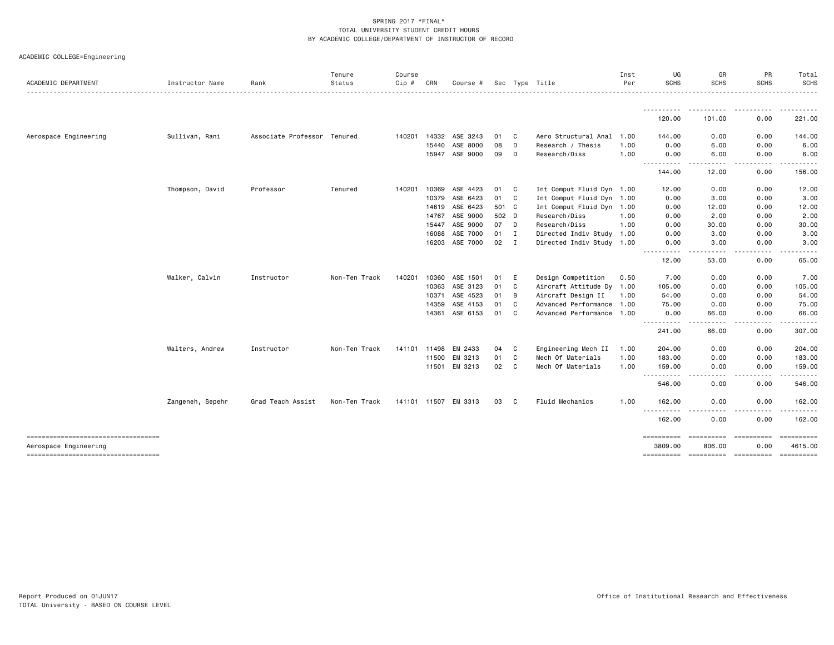|  |  |  | ACADEMIC COLLEGE=Engineering |
|--|--|--|------------------------------|
|--|--|--|------------------------------|

| ACADEMIC DEPARTMENT                                          | Instructor Name  | Rank                        | Tenure<br>Status | Course<br>$Cip$ # | CRN          | Course #       |       |              | Sec Type Title            | Inst<br>Per | UG<br><b>SCHS</b>                                                                                                                                    | GR<br><b>SCHS</b>                | PR<br><b>SCHS</b> | Total<br><b>SCHS</b>  |
|--------------------------------------------------------------|------------------|-----------------------------|------------------|-------------------|--------------|----------------|-------|--------------|---------------------------|-------------|------------------------------------------------------------------------------------------------------------------------------------------------------|----------------------------------|-------------------|-----------------------|
|                                                              |                  |                             |                  |                   |              |                |       |              |                           |             |                                                                                                                                                      |                                  |                   |                       |
|                                                              |                  |                             |                  |                   |              |                |       |              |                           |             | .<br>120.00                                                                                                                                          | 101.00                           | 0.00              | . <u>.</u><br>221.00  |
| Aerospace Engineering                                        | Sullivan, Rani   | Associate Professor Tenured |                  | 140201            | 14332        | ASE 3243       | 01    | C.           | Aero Structural Anal      | 1.00        | 144.00                                                                                                                                               | 0.00                             | 0.00              | 144.00                |
|                                                              |                  |                             |                  |                   | 15440        | ASE 8000       | 08    | D            | Research / Thesis         | 1.00        | 0.00                                                                                                                                                 | 6.00                             | 0.00              | 6.00                  |
|                                                              |                  |                             |                  |                   |              | 15947 ASE 9000 | 09    | D            | Research/Diss             | 1.00        | 0.00                                                                                                                                                 | 6.00                             | 0.00              | 6.00                  |
|                                                              |                  |                             |                  |                   |              |                |       |              |                           |             | $\frac{1}{2} \left( \frac{1}{2} \right) \left( \frac{1}{2} \right) \left( \frac{1}{2} \right) \left( \frac{1}{2} \right)$<br>-----<br>144.00         | 12.00                            | .<br>0.00         | 156.00                |
|                                                              | Thompson, David  | Professor                   | Tenured          | 140201            | 10369        | ASE 4423       | 01    | C            | Int Comput Fluid Dyn 1.00 |             | 12.00                                                                                                                                                | 0.00                             | 0.00              | 12.00                 |
|                                                              |                  |                             |                  |                   | 10379        | ASE 6423       | 01    | $\mathbf{C}$ | Int Comput Fluid Dyn 1.00 |             | 0.00                                                                                                                                                 | 3.00                             | 0.00              | 3.00                  |
|                                                              |                  |                             |                  |                   |              | 14619 ASE 6423 | 501 C |              | Int Comput Fluid Dyn 1.00 |             | 0.00                                                                                                                                                 | 12.00                            | 0.00              | 12.00                 |
|                                                              |                  |                             |                  |                   | 14767        | ASE 9000       | 502 D |              | Research/Diss             | 1.00        | 0.00                                                                                                                                                 | 2.00                             | 0.00              | 2.00                  |
|                                                              |                  |                             |                  |                   | 15447        | ASE 9000       | 07 D  |              | Research/Diss             | 1.00        | 0.00                                                                                                                                                 | 30.00                            | 0.00              | 30.00                 |
|                                                              |                  |                             |                  |                   | 16088        | ASE 7000       | 01 I  |              | Directed Indiv Study 1.00 |             | 0.00                                                                                                                                                 | 3.00                             | 0.00              | 3.00                  |
|                                                              |                  |                             |                  |                   |              | 16203 ASE 7000 | 02    | $\mathbf{I}$ | Directed Indiv Study 1.00 |             | 0.00<br>$- -$                                                                                                                                        | 3.00                             | 0.00              | 3.00                  |
|                                                              |                  |                             |                  |                   |              |                |       |              |                           |             | 12.00                                                                                                                                                | 53.00                            | 0.00              | 65.00                 |
|                                                              | Walker, Calvin   | Instructor                  | Non-Ten Track    | 140201            | 10360        | ASE 1501       | 01    | E            | Design Competition        | 0.50        | 7.00                                                                                                                                                 | 0.00                             | 0.00              | 7.00                  |
|                                                              |                  |                             |                  |                   | 10363        | ASE 3123       | 01    | C            | Aircraft Attitude Dy 1.00 |             | 105.00                                                                                                                                               | 0.00                             | 0.00              | 105.00                |
|                                                              |                  |                             |                  |                   | 10371        | ASE 4523       | 01    | B            | Aircraft Design II        | 1.00        | 54.00                                                                                                                                                | 0.00                             | 0.00              | 54.00                 |
|                                                              |                  |                             |                  |                   | 14359        | ASE 4153       | 01    | C            | Advanced Performance 1.00 |             | 75.00                                                                                                                                                | 0.00                             | 0.00              | 75.00                 |
|                                                              |                  |                             |                  |                   |              | 14361 ASE 6153 | 01    | C)           | Advanced Performance 1.00 |             | 0.00                                                                                                                                                 | 66.00                            | 0.00              | 66.00                 |
|                                                              |                  |                             |                  |                   |              |                |       |              |                           |             | <u>.</u><br>241.00                                                                                                                                   | . <u>.</u><br>66.00              | .<br>0.00         | 307.00                |
|                                                              | Walters, Andrew  | Instructor                  | Non-Ten Track    |                   | 141101 11498 | EM 2433        | 04    | C            | Engineering Mech II       | 1.00        | 204.00                                                                                                                                               | 0.00                             | 0.00              | 204.00                |
|                                                              |                  |                             |                  |                   | 11500        | EM 3213        | 01    | C            | Mech Of Materials         | 1.00        | 183.00                                                                                                                                               | 0.00                             | 0.00              | 183.00                |
|                                                              |                  |                             |                  |                   | 11501        | EM 3213        | 02 C  |              | Mech Of Materials         | 1.00        | 159.00                                                                                                                                               | 0.00                             | 0.00<br>.         | 159.00                |
|                                                              |                  |                             |                  |                   |              |                |       |              |                           |             | د د د د<br>546.00                                                                                                                                    | 0.00                             | 0.00              | 546.00                |
|                                                              | Zangeneh, Sepehr | Grad Teach Assist           | Non-Ten Track    | 141101 11507      |              | EM 3313        | 03 C  |              | Fluid Mechanics           | 1.00        | 162.00                                                                                                                                               | 0.00                             | 0.00              | 162.00                |
|                                                              |                  |                             |                  |                   |              |                |       |              |                           |             | $\frac{1}{2}$<br>$\frac{1}{2} \left( \frac{1}{2} \right) \left( \frac{1}{2} \right) \left( \frac{1}{2} \right) \left( \frac{1}{2} \right)$<br>162.00 | 0.00                             | ----<br>0.00      | ------<br>162.00      |
| -------------------------------------                        |                  |                             |                  |                   |              |                |       |              |                           |             |                                                                                                                                                      |                                  | essessesse        | ==========            |
| Aerospace Engineering<br>----------------------------------- |                  |                             |                  |                   |              |                |       |              |                           |             | 3809.00<br>==========                                                                                                                                | 806.00<br>---------------------- | 0.00              | 4615.00<br>---------- |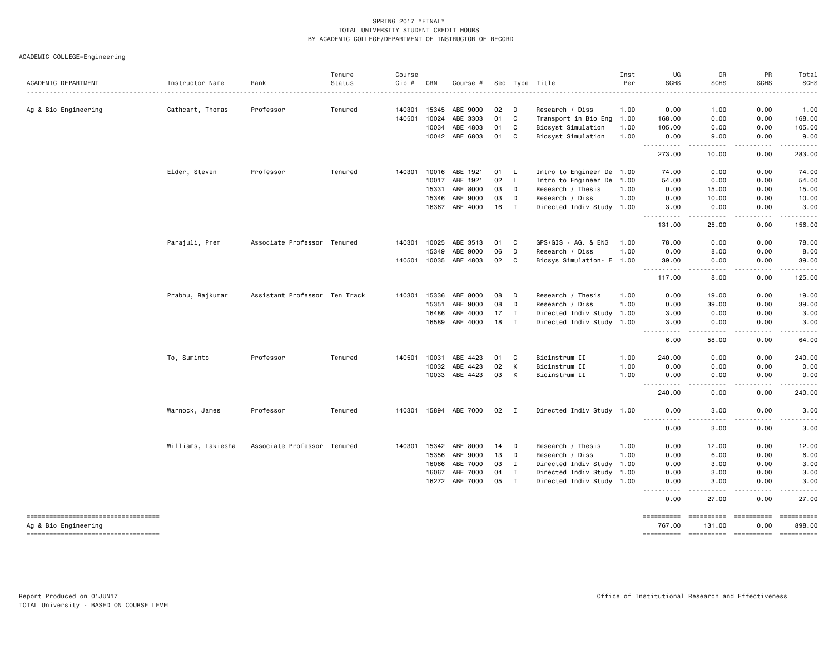ACADEMIC COLLEGE=Engineering

| ACADEMIC DEPARTMENT                                            | Instructor Name    | Rank                          | Tenure<br>Status | Course<br>Cip # | CRN   | Course #       |    |              | Sec Type Title            | Inst<br>Per | UG<br><b>SCHS</b>                                                                                                                                         | GR<br><b>SCHS</b>             | PR<br><b>SCHS</b>                                                                                                                                            | Total<br><b>SCHS</b>                                                                                                                                                                    |
|----------------------------------------------------------------|--------------------|-------------------------------|------------------|-----------------|-------|----------------|----|--------------|---------------------------|-------------|-----------------------------------------------------------------------------------------------------------------------------------------------------------|-------------------------------|--------------------------------------------------------------------------------------------------------------------------------------------------------------|-----------------------------------------------------------------------------------------------------------------------------------------------------------------------------------------|
|                                                                |                    |                               |                  |                 |       |                |    |              |                           |             |                                                                                                                                                           |                               |                                                                                                                                                              |                                                                                                                                                                                         |
| Ag & Bio Engineering                                           | Cathcart, Thomas   | Professor                     | Tenured          | 140301          | 15345 | ABE 9000       | 02 | D            | Research / Diss           | 1.00        | 0.00                                                                                                                                                      | 1.00                          | 0.00                                                                                                                                                         | 1.00                                                                                                                                                                                    |
|                                                                |                    |                               |                  | 140501          | 10024 | ABE 3303       | 01 | C            | Transport in Bio Eng      | 1.00        | 168.00                                                                                                                                                    | 0.00                          | 0.00                                                                                                                                                         | 168.00                                                                                                                                                                                  |
|                                                                |                    |                               |                  |                 | 10034 | ABE 4803       | 01 | C            | Biosyst Simulation        | 1.00        | 105.00                                                                                                                                                    | 0.00                          | 0.00                                                                                                                                                         | 105.00                                                                                                                                                                                  |
|                                                                |                    |                               |                  |                 |       | 10042 ABE 6803 | 01 | C            | Biosyst Simulation        | 1.00        | 0.00<br>.<br>$\frac{1}{2} \left( \frac{1}{2} \right) \left( \frac{1}{2} \right) \left( \frac{1}{2} \right) \left( \frac{1}{2} \right)$                    | 9.00<br>-----                 | 0.00<br>-----                                                                                                                                                | 9.00<br>.                                                                                                                                                                               |
|                                                                |                    |                               |                  |                 |       |                |    |              |                           |             | 273.00                                                                                                                                                    | 10.00                         | 0.00                                                                                                                                                         | 283.00                                                                                                                                                                                  |
|                                                                | Elder, Steven      | Professor                     | Tenured          | 140301          | 10016 | ABE 1921       | 01 | L.           | Intro to Engineer De 1.00 |             | 74.00                                                                                                                                                     | 0.00                          | 0.00                                                                                                                                                         | 74.00                                                                                                                                                                                   |
|                                                                |                    |                               |                  |                 | 10017 | ABE 1921       | 02 | L.           | Intro to Engineer De      | 1.00        | 54.00                                                                                                                                                     | 0.00                          | 0.00                                                                                                                                                         | 54.00                                                                                                                                                                                   |
|                                                                |                    |                               |                  |                 | 15331 | ABE 8000       | 03 | D            | Research / Thesis         | 1.00        | 0.00                                                                                                                                                      | 15.00                         | 0.00                                                                                                                                                         | 15.00                                                                                                                                                                                   |
|                                                                |                    |                               |                  |                 | 15346 | ABE 9000       | 03 | D            | Research / Diss           | 1.00        | 0.00                                                                                                                                                      | 10.00                         | 0.00                                                                                                                                                         | 10.00                                                                                                                                                                                   |
|                                                                |                    |                               |                  |                 | 16367 | ABE 4000       | 16 | $\mathbf{I}$ | Directed Indiv Study 1.00 |             | 3.00                                                                                                                                                      | 0.00                          | 0.00                                                                                                                                                         | 3.00                                                                                                                                                                                    |
|                                                                |                    |                               |                  |                 |       |                |    |              |                           |             | <u>.</u><br>131.00                                                                                                                                        | -----<br>25.00                | .<br>0.00                                                                                                                                                    | .<br>156.00                                                                                                                                                                             |
|                                                                | Parajuli, Prem     | Associate Professor Tenured   |                  | 140301          | 10025 | ABE 3513       | 01 | C            | GPS/GIS - AG. & ENG       | 1.00        | 78.00                                                                                                                                                     | 0.00                          | 0.00                                                                                                                                                         | 78.00                                                                                                                                                                                   |
|                                                                |                    |                               |                  |                 | 15349 | ABE 9000       | 06 | D            | Research / Diss           | 1.00        | 0.00                                                                                                                                                      | 8.00                          | 0.00                                                                                                                                                         | 8.00                                                                                                                                                                                    |
|                                                                |                    |                               |                  | 140501          | 10035 | ABE 4803       | 02 | C            | Biosys Simulation- E 1.00 |             | 39.00                                                                                                                                                     | 0.00                          | 0.00                                                                                                                                                         | 39.00                                                                                                                                                                                   |
|                                                                |                    |                               |                  |                 |       |                |    |              |                           |             | .<br>$- - -$<br>117.00                                                                                                                                    | .<br>8.00                     | $\frac{1}{2} \left( \frac{1}{2} \right) \left( \frac{1}{2} \right) \left( \frac{1}{2} \right) \left( \frac{1}{2} \right) \left( \frac{1}{2} \right)$<br>0.00 | ------<br>125.00                                                                                                                                                                        |
|                                                                | Prabhu, Rajkumar   | Assistant Professor Ten Track |                  | 140301          | 15336 | ABE 8000       | 08 | D            | Research / Thesis         | 1.00        | 0.00                                                                                                                                                      | 19.00                         | 0.00                                                                                                                                                         | 19.00                                                                                                                                                                                   |
|                                                                |                    |                               |                  |                 | 15351 | ABE 9000       | 08 | D            | Research / Diss           | 1.00        | 0.00                                                                                                                                                      | 39.00                         | 0.00                                                                                                                                                         | 39.00                                                                                                                                                                                   |
|                                                                |                    |                               |                  |                 | 16486 | ABE 4000       | 17 | $\bf{I}$     | Directed Indiv Study 1.00 |             | 3.00                                                                                                                                                      | 0.00                          | 0.00                                                                                                                                                         | 3.00                                                                                                                                                                                    |
|                                                                |                    |                               |                  |                 | 16589 | ABE 4000       | 18 | $\mathbf{I}$ | Directed Indiv Study 1.00 |             | 3.00                                                                                                                                                      | 0.00                          | 0.00                                                                                                                                                         | 3.00                                                                                                                                                                                    |
|                                                                |                    |                               |                  |                 |       |                |    |              |                           |             | $\sim$ $\sim$ $\sim$<br>$\frac{1}{2} \left( \frac{1}{2} \right) \left( \frac{1}{2} \right) \left( \frac{1}{2} \right) \left( \frac{1}{2} \right)$<br>6.00 | $\sim$ $\sim$ $\sim$<br>58.00 | 0.00                                                                                                                                                         | 64.00                                                                                                                                                                                   |
|                                                                | To, Suminto        | Professor                     | Tenured          | 140501          | 10031 | ABE 4423       | 01 | C            | Bioinstrum II             | 1.00        | 240.00                                                                                                                                                    | 0.00                          | 0.00                                                                                                                                                         | 240.00                                                                                                                                                                                  |
|                                                                |                    |                               |                  |                 | 10032 | ABE 4423       | 02 | К            | Bioinstrum II             | 1.00        | 0.00                                                                                                                                                      | 0.00                          | 0.00                                                                                                                                                         | 0.00                                                                                                                                                                                    |
|                                                                |                    |                               |                  |                 | 10033 | ABE 4423       | 03 | К            | Bioinstrum II             | 1.00        | 0.00<br>$\frac{1}{2}$<br>$- - - - -$                                                                                                                      | 0.00<br>$\frac{1}{2}$         | 0.00<br>.                                                                                                                                                    | 0.00<br>$\frac{1}{2} \left( \frac{1}{2} \right) \left( \frac{1}{2} \right) \left( \frac{1}{2} \right) \left( \frac{1}{2} \right) \left( \frac{1}{2} \right) \left( \frac{1}{2} \right)$ |
|                                                                |                    |                               |                  |                 |       |                |    |              |                           |             | 240.00                                                                                                                                                    | 0.00                          | 0.00                                                                                                                                                         | 240.00                                                                                                                                                                                  |
|                                                                | Warnock, James     | Professor                     | Tenured          | 140301          |       | 15894 ABE 7000 | 02 | I            | Directed Indiv Study 1.00 |             | 0.00<br>$\sim$ $\sim$ $\sim$                                                                                                                              | 3.00                          | 0.00                                                                                                                                                         | 3.00                                                                                                                                                                                    |
|                                                                |                    |                               |                  |                 |       |                |    |              |                           |             | 0.00                                                                                                                                                      | 3.00                          | 0.00                                                                                                                                                         | 3.00                                                                                                                                                                                    |
|                                                                | Williams, Lakiesha | Associate Professor Tenured   |                  | 140301          | 15342 | ABE 8000       | 14 | D            | Research / Thesis         | 1.00        | 0.00                                                                                                                                                      | 12.00                         | 0.00                                                                                                                                                         | 12.00                                                                                                                                                                                   |
|                                                                |                    |                               |                  |                 | 15356 | ABE 9000       | 13 | D            | Research / Diss           | 1.00        | 0.00                                                                                                                                                      | 6.00                          | 0.00                                                                                                                                                         | 6.00                                                                                                                                                                                    |
|                                                                |                    |                               |                  |                 | 16066 | ABE 7000       | 03 | $\mathbf I$  | Directed Indiv Study 1.00 |             | 0.00                                                                                                                                                      | 3,00                          | 0.00                                                                                                                                                         | 3.00                                                                                                                                                                                    |
|                                                                |                    |                               |                  |                 | 16067 | ABE 7000       | 04 | $\mathbf{I}$ | Directed Indiv Study 1.00 |             | 0.00                                                                                                                                                      | 3.00                          | 0.00                                                                                                                                                         | 3.00                                                                                                                                                                                    |
|                                                                |                    |                               |                  |                 | 16272 | ABE 7000       | 05 | $\mathbf{I}$ | Directed Indiv Study 1.00 |             | 0.00<br>.<br>$- - - -$                                                                                                                                    | 3.00<br>.                     | 0.00<br>$- - - - -$                                                                                                                                          | 3.00<br>. <b>.</b>                                                                                                                                                                      |
|                                                                |                    |                               |                  |                 |       |                |    |              |                           |             | 0.00                                                                                                                                                      | 27.00                         | 0.00                                                                                                                                                         | 27.00                                                                                                                                                                                   |
| -----------------------------------                            |                    |                               |                  |                 |       |                |    |              |                           |             | ==========                                                                                                                                                | ==========                    | -----------                                                                                                                                                  |                                                                                                                                                                                         |
| Ag & Bio Engineering<br>====================================== |                    |                               |                  |                 |       |                |    |              |                           |             | 767.00<br><b>BEBBEBBBBB</b>                                                                                                                               | 131.00<br><b>ESSESSESSE</b>   | 0.00<br><b>Eccesseded</b>                                                                                                                                    | 898.00<br>-----------                                                                                                                                                                   |
|                                                                |                    |                               |                  |                 |       |                |    |              |                           |             |                                                                                                                                                           |                               |                                                                                                                                                              |                                                                                                                                                                                         |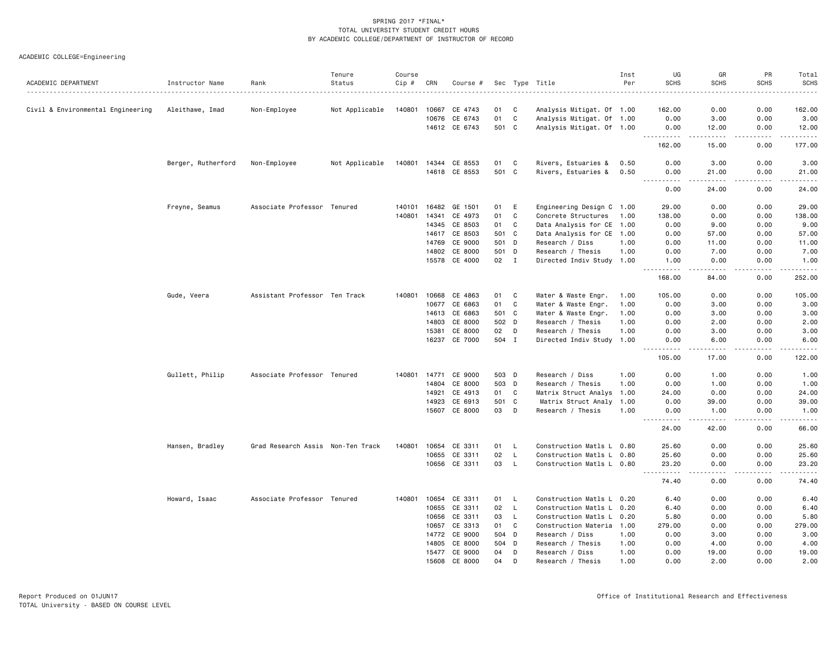ACADEMIC COLLEGE=Engineering

| ACADEMIC DEPARTMENT               | Instructor Name    | Rank                              | Tenure<br>Status | Course<br>Cip # | CRN   | Course #      |       |              | Sec Type Title            | Inst<br>Per | UG<br><b>SCHS</b>                       | GR<br><b>SCHS</b>                                                                                                                                             | PR<br><b>SCHS</b> | Total<br><b>SCHS</b> |
|-----------------------------------|--------------------|-----------------------------------|------------------|-----------------|-------|---------------|-------|--------------|---------------------------|-------------|-----------------------------------------|---------------------------------------------------------------------------------------------------------------------------------------------------------------|-------------------|----------------------|
|                                   |                    |                                   |                  |                 |       |               |       |              |                           |             |                                         |                                                                                                                                                               | $\frac{1}{2}$     | .                    |
| Civil & Environmental Engineering | Aleithawe, Imad    | Non-Employee                      | Not Applicable   | 140801          | 10667 | CE 4743       | 01    | C            | Analysis Mitigat. Of 1.00 |             | 162.00                                  | 0.00                                                                                                                                                          | 0.00              | 162.00               |
|                                   |                    |                                   |                  |                 | 10676 | CE 6743       | 01    | C            | Analysis Mitigat. Of 1.00 |             | 0.00                                    | 3.00                                                                                                                                                          | 0.00              | 3.00                 |
|                                   |                    |                                   |                  |                 |       | 14612 CE 6743 | 501 C |              | Analysis Mitigat. Of 1.00 |             | 0.00<br>----------                      | 12.00<br>$\frac{1}{2} \left( \frac{1}{2} \right) \left( \frac{1}{2} \right) \left( \frac{1}{2} \right) \left( \frac{1}{2} \right) \left( \frac{1}{2} \right)$ | 0.00<br><u>.</u>  | 12.00                |
|                                   |                    |                                   |                  |                 |       |               |       |              |                           |             | 162.00                                  | 15.00                                                                                                                                                         | 0.00              | 177.00               |
|                                   | Berger, Rutherford | Non-Employee                      | Not Applicable   | 140801          |       | 14344 CE 8553 | 01    | C            | Rivers, Estuaries &       | 0.50        | 0.00                                    | 3.00                                                                                                                                                          | 0.00              | 3.00                 |
|                                   |                    |                                   |                  |                 |       | 14618 CE 8553 | 501 C |              | Rivers, Estuaries &       | 0.50        | 0.00<br>$\sim$ $\sim$ $\sim$ .<br>----- | 21.00<br>$\sim$ $\sim$ $\sim$ $\sim$ $\sim$                                                                                                                   | 0.00<br>.         | 21.00<br>.           |
|                                   |                    |                                   |                  |                 |       |               |       |              |                           |             | 0.00                                    | 24.00                                                                                                                                                         | 0.00              | 24.00                |
|                                   | Freyne, Seamus     | Associate Professor Tenured       |                  | 140101          | 16482 | GE 1501       | 01    | E            | Engineering Design C 1.00 |             | 29.00                                   | 0.00                                                                                                                                                          | 0.00              | 29.00                |
|                                   |                    |                                   |                  | 140801          | 14341 | CE 4973       | 01    | C            | Concrete Structures       | 1.00        | 138.00                                  | 0.00                                                                                                                                                          | 0.00              | 138.00               |
|                                   |                    |                                   |                  |                 | 14345 | CE 8503       | 01    | C            | Data Analysis for CE 1.00 |             | 0.00                                    | 9.00                                                                                                                                                          | 0.00              | 9.00                 |
|                                   |                    |                                   |                  |                 | 14617 | CE 8503       | 501 C |              | Data Analysis for CE 1.00 |             | 0.00                                    | 57.00                                                                                                                                                         | 0.00              | 57.00                |
|                                   |                    |                                   |                  |                 | 14769 | CE 9000       | 501 D |              | Research / Diss           | 1.00        | 0.00                                    | 11.00                                                                                                                                                         | 0.00              | 11.00                |
|                                   |                    |                                   |                  |                 | 14802 | CE 8000       | 501   | D            | Research / Thesis         | 1.00        | 0.00                                    | 7.00                                                                                                                                                          | 0.00              | 7.00                 |
|                                   |                    |                                   |                  |                 | 15578 | CE 4000       | 02    | I            | Directed Indiv Study 1.00 |             | 1.00<br>.                               | 0.00<br>.                                                                                                                                                     | 0.00<br>.         | 1.00<br>.            |
|                                   |                    |                                   |                  |                 |       |               |       |              |                           |             | 168.00                                  | 84.00                                                                                                                                                         | 0.00              | 252.00               |
|                                   | Gude, Veera        | Assistant Professor Ten Track     |                  | 140801          | 10668 | CE 4863       | 01    | C            | Water & Waste Engr.       | 1.00        | 105.00                                  | 0.00                                                                                                                                                          | 0.00              | 105.00               |
|                                   |                    |                                   |                  |                 | 10677 | CE 6863       | 01    | C            | Water & Waste Engr.       | 1.00        | 0.00                                    | 3.00                                                                                                                                                          | 0.00              | 3.00                 |
|                                   |                    |                                   |                  |                 | 14613 | CE 6863       | 501   | <b>C</b>     | Water & Waste Engr.       | 1.00        | 0.00                                    | 3.00                                                                                                                                                          | 0.00              | 3.00                 |
|                                   |                    |                                   |                  |                 | 14803 | CE 8000       | 502 D |              | Research / Thesis         | 1.00        | 0.00                                    | 2.00                                                                                                                                                          | 0.00              | 2.00                 |
|                                   |                    |                                   |                  |                 | 15381 | CE 8000       | 02    | D            | Research / Thesis         | 1.00        | 0.00                                    | 3.00                                                                                                                                                          | 0.00              | 3.00                 |
|                                   |                    |                                   |                  |                 |       | 16237 CE 7000 | 504 I |              | Directed Indiv Study 1.00 |             | 0.00                                    | 6.00<br>.                                                                                                                                                     | 0.00<br>.         | 6.00<br>.            |
|                                   |                    |                                   |                  |                 |       |               |       |              |                           |             | 105.00                                  | 17.00                                                                                                                                                         | 0.00              | 122.00               |
|                                   | Gullett, Philip    | Associate Professor Tenured       |                  | 140801          | 14771 | CE 9000       | 503 D |              | Research / Diss           | 1.00        | 0.00                                    | 1.00                                                                                                                                                          | 0.00              | 1.00                 |
|                                   |                    |                                   |                  |                 | 14804 | CE 8000       | 503 D |              | Research / Thesis         | 1.00        | 0.00                                    | 1.00                                                                                                                                                          | 0.00              | 1.00                 |
|                                   |                    |                                   |                  |                 | 14921 | CE 4913       | 01    | C            | Matrix Struct Analys      | 1.00        | 24.00                                   | 0.00                                                                                                                                                          | 0.00              | 24.00                |
|                                   |                    |                                   |                  |                 | 14923 | CE 6913       | 501 C |              | Matrix Struct Analy 1.00  |             | 0.00                                    | 39.00                                                                                                                                                         | 0.00              | 39.00                |
|                                   |                    |                                   |                  |                 | 15607 | CE 8000       | 03    | D            | Research / Thesis         | 1.00        | 0.00                                    | 1.00                                                                                                                                                          | 0.00              | 1.00                 |
|                                   |                    |                                   |                  |                 |       |               |       |              |                           |             | $\sim$ $\sim$ $\sim$<br>.<br>24.00      | $\sim$ $\sim$ $\sim$ $\sim$<br>42.00                                                                                                                          | .<br>0.00         | .<br>66.00           |
|                                   | Hansen, Bradley    | Grad Research Assis Non-Ten Track |                  | 140801          | 10654 | CE 3311       | 01    | L            | Construction Matls L 0.80 |             | 25.60                                   | 0.00                                                                                                                                                          | 0.00              | 25.60                |
|                                   |                    |                                   |                  |                 | 10655 | CE 3311       | 02    | L            | Construction Matls L      | 0.80        | 25.60                                   | 0.00                                                                                                                                                          | 0.00              | 25.60                |
|                                   |                    |                                   |                  |                 |       | 10656 CE 3311 | 03    | $\mathsf{L}$ | Construction Matls L 0.80 |             | 23.20                                   | 0.00                                                                                                                                                          | 0.00              | 23.20                |
|                                   |                    |                                   |                  |                 |       |               |       |              |                           |             | .<br>74.40                              | د د د د<br>0.00                                                                                                                                               | -----<br>0.00     | .<br>74.40           |
|                                   | Howard, Isaac      | Associate Professor Tenured       |                  | 140801          | 10654 | CE 3311       | 01    | L            | Construction Matls L 0.20 |             | 6.40                                    | 0.00                                                                                                                                                          | 0.00              | 6.40                 |
|                                   |                    |                                   |                  |                 | 10655 | CE 3311       | 02    | L            | Construction Matls L      | 0.20        | 6.40                                    | 0.00                                                                                                                                                          | 0.00              | 6.40                 |
|                                   |                    |                                   |                  |                 | 10656 | CE 3311       | 03    | L            | Construction Matls L 0.20 |             | 5.80                                    | 0.00                                                                                                                                                          | 0.00              | 5.80                 |
|                                   |                    |                                   |                  |                 | 10657 | CE 3313       | 01    | C            | Construction Materia      | 1.00        | 279.00                                  | 0.00                                                                                                                                                          | 0.00              | 279.00               |
|                                   |                    |                                   |                  |                 | 14772 | CE 9000       | 504 D |              | Research / Diss           | 1.00        | 0.00                                    | 3.00                                                                                                                                                          | 0.00              | 3.00                 |
|                                   |                    |                                   |                  |                 | 14805 | CE 8000       | 504 D |              | Research / Thesis         | 1.00        | 0.00                                    | 4.00                                                                                                                                                          | 0.00              | 4.00                 |
|                                   |                    |                                   |                  |                 | 15477 | CE 9000       | 04    | D            | Research / Diss           | 1.00        | 0.00                                    | 19.00                                                                                                                                                         | 0.00              | 19.00                |
|                                   |                    |                                   |                  |                 | 15608 | CE 8000       | 04    | D            | Research / Thesis         | 1.00        | 0.00                                    | 2.00                                                                                                                                                          | 0.00              | 2.00                 |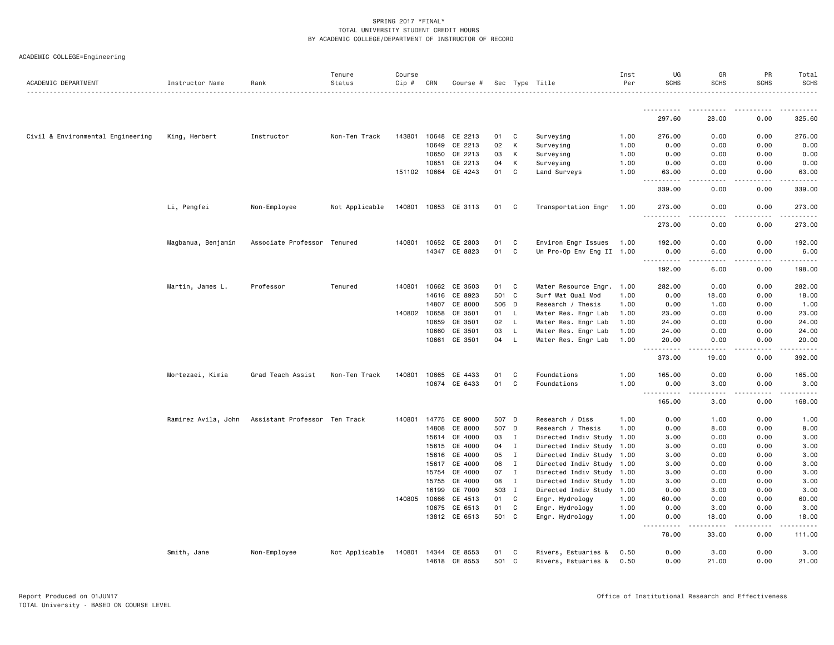|  | ACADEMIC COLLEGE=Engineering |  |
|--|------------------------------|--|
|--|------------------------------|--|

| ACADEMIC DEPARTMENT               | Instructor Name     | Rank                          | Tenure<br>Status | Course<br>Cip # | CRN   | Course #             |       |              | Sec Type Title            | Inst<br>Per | UG<br><b>SCHS</b>                                                                                                                                            | GR<br><b>SCHS</b>                                                                                                                                             | PR<br><b>SCHS</b> | Total<br><b>SCHS</b>      |
|-----------------------------------|---------------------|-------------------------------|------------------|-----------------|-------|----------------------|-------|--------------|---------------------------|-------------|--------------------------------------------------------------------------------------------------------------------------------------------------------------|---------------------------------------------------------------------------------------------------------------------------------------------------------------|-------------------|---------------------------|
|                                   |                     |                               |                  |                 |       |                      |       |              |                           |             |                                                                                                                                                              |                                                                                                                                                               |                   |                           |
|                                   |                     |                               |                  |                 |       |                      |       |              |                           |             | .<br>297.60                                                                                                                                                  | 28.00                                                                                                                                                         | 0.00              | 325.60                    |
| Civil & Environmental Engineering | King, Herbert       | Instructor                    | Non-Ten Track    | 143801          | 10648 | CE 2213              | 01    | C            | Surveying                 | 1.00        | 276.00                                                                                                                                                       | 0.00                                                                                                                                                          | 0.00              | 276.00                    |
|                                   |                     |                               |                  |                 | 10649 | CE 2213              | 02    | К            | Surveying                 | 1.00        | 0.00                                                                                                                                                         | 0.00                                                                                                                                                          | 0.00              | 0.00                      |
|                                   |                     |                               |                  |                 | 10650 | CE 2213              | 03    | К            | Surveying                 | 1.00        | 0.00                                                                                                                                                         | 0.00                                                                                                                                                          | 0.00              | 0.00                      |
|                                   |                     |                               |                  |                 | 10651 | CE 2213              | 04    | К            | Surveying                 | 1.00        | 0.00                                                                                                                                                         | 0.00                                                                                                                                                          | 0.00              | 0.00                      |
|                                   |                     |                               |                  |                 |       | 151102 10664 CE 4243 | 01    | C            | Land Surveys              | 1.00        | 63.00<br>.                                                                                                                                                   | 0.00<br>.                                                                                                                                                     | 0.00<br>.         | 63.00                     |
|                                   |                     |                               |                  |                 |       |                      |       |              |                           |             | 339.00                                                                                                                                                       | 0.00                                                                                                                                                          | 0.00              | 339.00                    |
|                                   | Li, Pengfei         | Non-Employee                  | Not Applicable   | 140801          | 10653 | CE 3113              | 01    | C            | Transportation Engr       | 1.00        | 273.00                                                                                                                                                       | 0.00                                                                                                                                                          | 0.00              | 273.00                    |
|                                   |                     |                               |                  |                 |       |                      |       |              |                           |             | . <u>.</u><br>273.00                                                                                                                                         | 0.00                                                                                                                                                          | 0.00              | 273.00                    |
|                                   | Magbanua, Benjamin  | Associate Professor Tenured   |                  | 140801          | 10652 | CE 2803              | 01    | C            | Environ Engr Issues       | 1.00        | 192.00                                                                                                                                                       | 0.00                                                                                                                                                          | 0.00              | 192.00                    |
|                                   |                     |                               |                  |                 |       | 14347 CE 8823        | 01    | C            | Un Pro-Op Env Eng II 1.00 |             | 0.00                                                                                                                                                         | 6.00                                                                                                                                                          | 0.00              | 6.00                      |
|                                   |                     |                               |                  |                 |       |                      |       |              |                           |             | .<br>192.00                                                                                                                                                  | -----<br>6.00                                                                                                                                                 | -----<br>0.00     | .<br>198.00               |
|                                   | Martin, James L.    | Professor                     | Tenured          | 140801          | 10662 | CE 3503              | 01    | C            | Water Resource Engr.      | 1.00        | 282.00                                                                                                                                                       | 0.00                                                                                                                                                          | 0.00              | 282.00                    |
|                                   |                     |                               |                  |                 | 14616 | CE 8923              | 501 C |              | Surf Wat Qual Mod         | 1.00        | 0.00                                                                                                                                                         | 18.00                                                                                                                                                         | 0.00              | 18.00                     |
|                                   |                     |                               |                  |                 | 14807 | CE 8000              | 506 D |              | Research / Thesis         | 1.00        | 0.00                                                                                                                                                         | 1.00                                                                                                                                                          | 0.00              | 1.00                      |
|                                   |                     |                               |                  | 140802 10658    |       | CE 3501              | 01    | <b>L</b>     | Water Res. Engr Lab       | 1.00        | 23.00                                                                                                                                                        | 0.00                                                                                                                                                          | 0.00              | 23.00                     |
|                                   |                     |                               |                  |                 | 10659 | CE 3501              | 02    | $\mathsf{L}$ | Water Res. Engr Lab       | 1.00        | 24.00                                                                                                                                                        | 0.00                                                                                                                                                          | 0.00              | 24.00                     |
|                                   |                     |                               |                  |                 | 10660 | CE 3501              | 03    | L            | Water Res. Engr Lab       | 1.00        | 24.00                                                                                                                                                        | 0.00                                                                                                                                                          | 0.00              | 24.00                     |
|                                   |                     |                               |                  |                 | 10661 | CE 3501              | 04    | L            | Water Res. Engr Lab       | 1.00        | 20.00                                                                                                                                                        | 0.00                                                                                                                                                          | 0.00              | 20.00                     |
|                                   |                     |                               |                  |                 |       |                      |       |              |                           |             | <b></b><br>373.00                                                                                                                                            | <u>.</u><br>19.00                                                                                                                                             | -----<br>0.00     | $- - - - - - -$<br>392.00 |
|                                   | Mortezaei, Kimia    | Grad Teach Assist             | Non-Ten Track    | 140801          | 10665 | CE 4433              | 01    | C            | Foundations               | 1.00        | 165.00                                                                                                                                                       | 0.00                                                                                                                                                          | 0.00              | 165.00                    |
|                                   |                     |                               |                  |                 |       | 10674 CE 6433        | 01    | C            | Foundations               | 1.00        | 0.00                                                                                                                                                         | 3.00<br>$\frac{1}{2}$                                                                                                                                         | 0.00              | 3.00                      |
|                                   |                     |                               |                  |                 |       |                      |       |              |                           |             | . <b>.</b><br>165.00                                                                                                                                         | 3.00                                                                                                                                                          | 0.00              | 168.00                    |
|                                   | Ramirez Avila, John | Assistant Professor Ten Track |                  | 140801          | 14775 | CE 9000              | 507 D |              | Research / Diss           | 1.00        | 0.00                                                                                                                                                         | 1.00                                                                                                                                                          | 0.00              | 1.00                      |
|                                   |                     |                               |                  |                 | 14808 | CE 8000              | 507   | $\mathsf{D}$ | Research / Thesis         | 1.00        | 0.00                                                                                                                                                         | 8.00                                                                                                                                                          | 0.00              | 8.00                      |
|                                   |                     |                               |                  |                 |       | 15614 CE 4000        | 03    | $\mathbf{I}$ | Directed Indiv Study      | 1.00        | 3.00                                                                                                                                                         | 0.00                                                                                                                                                          | 0.00              | 3.00                      |
|                                   |                     |                               |                  |                 | 15615 | CE 4000              | 04    | $\mathbf{I}$ | Directed Indiv Study      | 1.00        | 3.00                                                                                                                                                         | 0.00                                                                                                                                                          | 0.00              | 3.00                      |
|                                   |                     |                               |                  |                 | 15616 | CE 4000              | 05    | $\mathbf{I}$ | Directed Indiv Study      | 1.00        | 3.00                                                                                                                                                         | 0.00                                                                                                                                                          | 0.00              | 3.00                      |
|                                   |                     |                               |                  |                 |       | 15617 CE 4000        | 06    | $\mathbf{I}$ | Directed Indiv Study 1.00 |             | 3.00                                                                                                                                                         | 0.00                                                                                                                                                          | 0.00              | 3.00                      |
|                                   |                     |                               |                  |                 | 15754 | CE 4000              | 07 I  |              | Directed Indiv Study      | 1.00        | 3.00                                                                                                                                                         | 0.00                                                                                                                                                          | 0.00              | 3.00                      |
|                                   |                     |                               |                  |                 | 15755 | CE 4000              | 08    | $\mathbf{I}$ | Directed Indiv Study      | 1.00        | 3.00                                                                                                                                                         | 0.00                                                                                                                                                          | 0.00              | 3.00                      |
|                                   |                     |                               |                  |                 | 16199 | CE 7000              | 503   | $\mathbf{I}$ | Directed Indiv Study 1.00 |             | 0.00                                                                                                                                                         | 3.00                                                                                                                                                          | 0.00              | 3.00                      |
|                                   |                     |                               |                  | 140805 10666    |       | CE 4513              | 01    | C            | Engr. Hydrology           | 1.00        | 60.00                                                                                                                                                        | 0.00                                                                                                                                                          | 0.00              | 60.00                     |
|                                   |                     |                               |                  |                 | 10675 | CE 6513              | 01    | C            | Engr. Hydrology           | 1.00        | 0.00                                                                                                                                                         | 3.00                                                                                                                                                          | 0.00              | 3.00                      |
|                                   |                     |                               |                  |                 |       | 13812 CE 6513        | 501 C |              | Engr. Hydrology           | 1.00        | 0.00<br>$\frac{1}{2} \left( \frac{1}{2} \right) \left( \frac{1}{2} \right) \left( \frac{1}{2} \right) \left( \frac{1}{2} \right) \left( \frac{1}{2} \right)$ | 18.00<br>$\frac{1}{2} \left( \frac{1}{2} \right) \left( \frac{1}{2} \right) \left( \frac{1}{2} \right) \left( \frac{1}{2} \right) \left( \frac{1}{2} \right)$ | 0.00<br>.         | 18.00                     |
|                                   |                     |                               |                  |                 |       |                      |       |              |                           |             | 78.00                                                                                                                                                        | 33.00                                                                                                                                                         | 0.00              | 111.00                    |
|                                   | Smith, Jane         | Non-Employee                  | Not Applicable   | 140801          |       | 14344 CE 8553        | 01    | C            | Rivers, Estuaries &       | 0.50        | 0.00                                                                                                                                                         | 3.00                                                                                                                                                          | 0.00              | 3.00                      |
|                                   |                     |                               |                  |                 |       | 14618 CE 8553        | 501 C |              | Rivers, Estuaries &       | 0.50        | 0.00                                                                                                                                                         | 21.00                                                                                                                                                         | 0.00              | 21.00                     |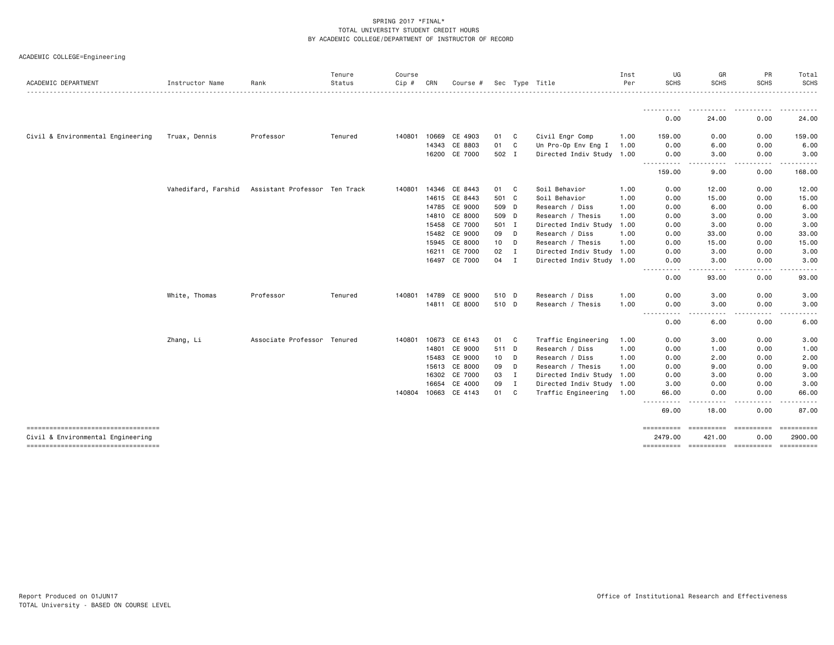| ACADEMIC COLLEGE=Engineering |  |  |  |  |
|------------------------------|--|--|--|--|
|------------------------------|--|--|--|--|

| ACADEMIC DEPARTMENT                                                     | Instructor Name     | Rank                          | Tenure<br>Status | Course<br>Cip # | CRN          | Course #      |       |              | Sec Type Title            | Inst<br>Per | UG<br><b>SCHS</b>                                                                                                                                                    | GR<br><b>SCHS</b>                | PR<br><b>SCHS</b> | Total<br><b>SCHS</b>  |
|-------------------------------------------------------------------------|---------------------|-------------------------------|------------------|-----------------|--------------|---------------|-------|--------------|---------------------------|-------------|----------------------------------------------------------------------------------------------------------------------------------------------------------------------|----------------------------------|-------------------|-----------------------|
|                                                                         |                     |                               |                  |                 |              |               |       |              |                           |             |                                                                                                                                                                      |                                  |                   |                       |
|                                                                         |                     |                               |                  |                 |              |               |       |              |                           |             | ---------- <i>-</i><br>0.00                                                                                                                                          | 24.00                            | 0.00              | 24.00                 |
| Civil & Environmental Engineering                                       | Truax, Dennis       | Professor                     | Tenured          | 140801          | 10669        | CE 4903       | 01    | C            | Civil Engr Comp           | 1.00        | 159.00                                                                                                                                                               | 0.00                             | 0.00              | 159.00                |
|                                                                         |                     |                               |                  |                 | 14343        | CE 8803       | 01    | C            | Un Pro-Op Env Eng I       | 1.00        | 0.00                                                                                                                                                                 | 6.00                             | 0.00              | 6.00                  |
|                                                                         |                     |                               |                  |                 |              | 16200 CE 7000 | 502 I |              | Directed Indiv Study 1.00 |             | 0.00<br>----------                                                                                                                                                   | 3.00                             | 0.00              | 3.00                  |
|                                                                         |                     |                               |                  |                 |              |               |       |              |                           |             | 159.00                                                                                                                                                               | 9.00                             | 0.00              | 168.00                |
|                                                                         | Vahedifard, Farshid | Assistant Professor Ten Track |                  |                 | 140801 14346 | CE 8443       | 01    | C            | Soil Behavior             | 1.00        | 0.00                                                                                                                                                                 | 12.00                            | 0.00              | 12.00                 |
|                                                                         |                     |                               |                  |                 | 14615        | CE 8443       | 501 C |              | Soil Behavior             | 1.00        | 0.00                                                                                                                                                                 | 15.00                            | 0.00              | 15.00                 |
|                                                                         |                     |                               |                  |                 |              | 14785 CE 9000 | 509 D |              | Research / Diss           | 1.00        | 0.00                                                                                                                                                                 | 6.00                             | 0.00              | 6.00                  |
|                                                                         |                     |                               |                  |                 |              | 14810 CE 8000 | 509 D |              | Research / Thesis         | 1.00        | 0.00                                                                                                                                                                 | 3.00                             | 0.00              | 3.00                  |
|                                                                         |                     |                               |                  |                 | 15458        | CE 7000       | 501 I |              | Directed Indiv Study      | 1.00        | 0.00                                                                                                                                                                 | 3.00                             | 0.00              | 3.00                  |
|                                                                         |                     |                               |                  |                 | 15482        | CE 9000       | 09    | D            | Research / Diss           | 1.00        | 0.00                                                                                                                                                                 | 33.00                            | 0.00              | 33.00                 |
|                                                                         |                     |                               |                  |                 | 15945        | CE 8000       | 10    | D            | Research / Thesis         | 1.00        | 0.00                                                                                                                                                                 | 15.00                            | 0.00              | 15.00                 |
|                                                                         |                     |                               |                  |                 | 16211        | CE 7000       | 02    | $\mathbf{I}$ | Directed Indiv Study 1.00 |             | 0.00                                                                                                                                                                 | 3.00                             | 0.00              | 3.00                  |
|                                                                         |                     |                               |                  |                 | 16497        | CE 7000       | 04 I  |              | Directed Indiv Study 1.00 |             | 0.00                                                                                                                                                                 | 3.00                             | 0.00              | 3.00                  |
|                                                                         |                     |                               |                  |                 |              |               |       |              |                           |             | 0.00                                                                                                                                                                 | 93.00                            | 0.00              | 93.00                 |
|                                                                         | White, Thomas       | Professor                     | Tenured          | 140801          | 14789        | CE 9000       | 510 D |              | Research / Diss           | 1.00        | 0.00                                                                                                                                                                 | 3.00                             | 0.00              | 3.00                  |
|                                                                         |                     |                               |                  |                 |              | 14811 CE 8000 | 510 D |              | Research / Thesis         | 1.00        | 0.00<br>----<br>$\frac{1}{2} \left( \frac{1}{2} \right) \left( \frac{1}{2} \right) \left( \frac{1}{2} \right) \left( \frac{1}{2} \right) \left( \frac{1}{2} \right)$ | 3.00                             | 0.00              | 3.00                  |
|                                                                         |                     |                               |                  |                 |              |               |       |              |                           |             | 0.00                                                                                                                                                                 | 6.00                             | 0.00              | 6.00                  |
|                                                                         | Zhang, Li           | Associate Professor Tenured   |                  | 140801          | 10673        | CE 6143       | 01    | C            | Traffic Engineering       | 1.00        | 0.00                                                                                                                                                                 | 3.00                             | 0.00              | 3.00                  |
|                                                                         |                     |                               |                  |                 | 14801        | CE 9000       | 511 D |              | Research / Diss           | 1.00        | 0.00                                                                                                                                                                 | 1.00                             | 0.00              | 1.00                  |
|                                                                         |                     |                               |                  |                 | 15483        | CE 9000       | 10    | D            | Research / Diss           | 1.00        | 0.00                                                                                                                                                                 | 2.00                             | 0.00              | 2.00                  |
|                                                                         |                     |                               |                  |                 |              | 15613 CE 8000 | 09    | D            | Research / Thesis         | 1.00        | 0.00                                                                                                                                                                 | 9.00                             | 0.00              | 9.00                  |
|                                                                         |                     |                               |                  |                 | 16302        | CE 7000       | 03    | $\mathbf{I}$ | Directed Indiv Study 1.00 |             | 0.00                                                                                                                                                                 | 3.00                             | 0.00              | 3.00                  |
|                                                                         |                     |                               |                  |                 | 16654        | CE 4000       | 09    | $\mathbf{I}$ | Directed Indiv Study 1.00 |             | 3.00                                                                                                                                                                 | 0.00                             | 0.00              | 3.00                  |
|                                                                         |                     |                               |                  | 140804 10663    |              | CE 4143       | 01    | C            | Traffic Engineering       | 1.00        | 66.00<br>$\frac{1}{2} \left( \frac{1}{2} \right) \left( \frac{1}{2} \right) \left( \frac{1}{2} \right)$                                                              | 0.00                             | 0.00              | 66.00                 |
|                                                                         |                     |                               |                  |                 |              |               |       |              |                           |             | 69.00                                                                                                                                                                | 18.00                            | 0.00              | 87.00                 |
| ----------------------------------<br>Civil & Environmental Engineering |                     |                               |                  |                 |              |               |       |              |                           |             | ==========<br>2479.00                                                                                                                                                | =========== ==========<br>421.00 | 0.00              | ==========<br>2900.00 |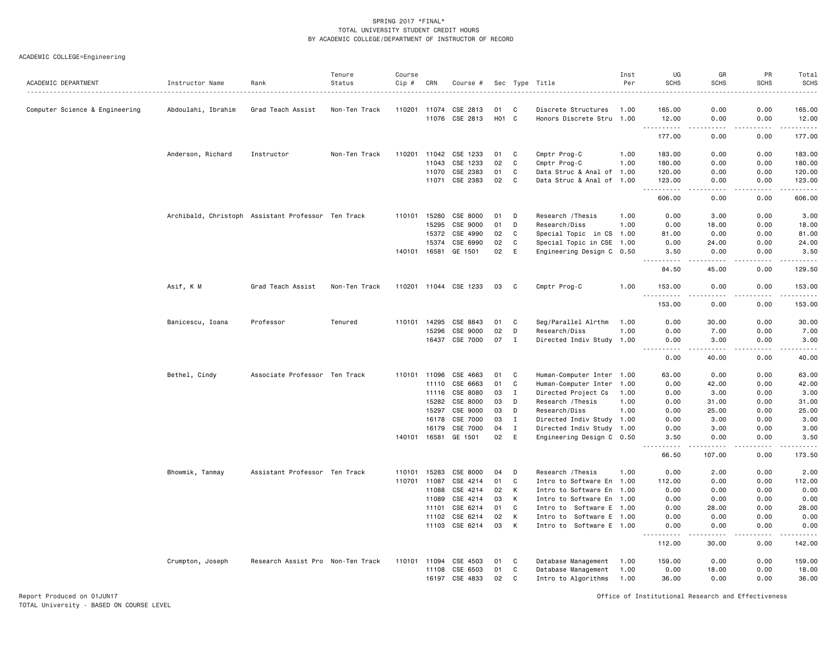ACADEMIC COLLEGE=Engineering

| ACADEMIC DEPARTMENT            | Instructor Name    | Rank                                               | Tenure<br>Status | Course<br>Cip # | CRN          | Course #              |                   |          | Sec Type Title            | Inst<br>Per | UG<br><b>SCHS</b>                                                                                             | GR<br><b>SCHS</b>     | PR<br><b>SCHS</b> | Total<br><b>SCHS</b>                                                                                                                                          |
|--------------------------------|--------------------|----------------------------------------------------|------------------|-----------------|--------------|-----------------------|-------------------|----------|---------------------------|-------------|---------------------------------------------------------------------------------------------------------------|-----------------------|-------------------|---------------------------------------------------------------------------------------------------------------------------------------------------------------|
|                                |                    |                                                    |                  |                 |              |                       |                   |          |                           |             |                                                                                                               |                       |                   | .                                                                                                                                                             |
| Computer Science & Engineering | Abdoulahi, Ibrahim | Grad Teach Assist                                  | Non-Ten Track    |                 | 110201 11074 | CSE 2813              | 01                | C        | Discrete Structures       | 1.00        | 165.00                                                                                                        | 0.00                  | 0.00              | 165.00                                                                                                                                                        |
|                                |                    |                                                    |                  |                 | 11076        | CSE 2813              | H <sub>01</sub> C |          | Honors Discrete Stru 1.00 |             | 12.00<br>.                                                                                                    | 0.00<br>. <u>.</u> .  | 0.00<br>.         | 12.00<br>$\frac{1}{2} \left( \frac{1}{2} \right) \left( \frac{1}{2} \right) \left( \frac{1}{2} \right) \left( \frac{1}{2} \right) \left( \frac{1}{2} \right)$ |
|                                |                    |                                                    |                  |                 |              |                       |                   |          |                           |             | 177.00                                                                                                        | 0.00                  | 0.00              | 177.00                                                                                                                                                        |
|                                | Anderson, Richard  | Instructor                                         | Non-Ten Track    |                 | 110201 11042 | CSE 1233              | 01                | C        | Cmptr Prog-C              | 1.00        | 183.00                                                                                                        | 0.00                  | 0.00              | 183.00                                                                                                                                                        |
|                                |                    |                                                    |                  |                 | 11043        | CSE 1233              | 02                | C        | Cmptr Prog-C              | 1.00        | 180.00                                                                                                        | 0.00                  | 0.00              | 180.00                                                                                                                                                        |
|                                |                    |                                                    |                  |                 | 11070        | CSE 2383              | 01                | C        | Data Struc & Anal of 1.00 |             | 120.00                                                                                                        | 0.00                  | 0.00              | 120.00                                                                                                                                                        |
|                                |                    |                                                    |                  |                 |              | 11071 CSE 2383        | 02                | C        | Data Struc & Anal of 1.00 |             | 123.00                                                                                                        | 0.00                  | 0.00              | 123.00                                                                                                                                                        |
|                                |                    |                                                    |                  |                 |              |                       |                   |          |                           |             | $- - - - -$<br>606.00                                                                                         | $\frac{1}{2}$<br>0.00 | $   -$<br>0.00    | .<br>606.00                                                                                                                                                   |
|                                |                    | Archibald, Christoph Assistant Professor Ten Track |                  |                 | 110101 15280 | CSE 8000              | 01                | D        | Research / Thesis         | 1.00        | 0.00                                                                                                          | 3.00                  | 0.00              | 3.00                                                                                                                                                          |
|                                |                    |                                                    |                  |                 | 15295        | CSE 9000              | 01                | D        | Research/Diss             | 1.00        | 0.00                                                                                                          | 18.00                 | 0.00              | 18.00                                                                                                                                                         |
|                                |                    |                                                    |                  |                 | 15372        | CSE 4990              | 02                | C        | Special Topic in CS 1.00  |             | 81.00                                                                                                         | 0.00                  | 0.00              | 81.00                                                                                                                                                         |
|                                |                    |                                                    |                  |                 | 15374        | CSE 6990              | 02                | C        | Special Topic in CSE 1.00 |             | 0.00                                                                                                          | 24.00                 | 0.00              | 24.00                                                                                                                                                         |
|                                |                    |                                                    |                  |                 | 140101 16581 | GE 1501               | 02                | E        | Engineering Design C 0.50 |             | 3.50                                                                                                          | 0.00                  | 0.00              | 3.50                                                                                                                                                          |
|                                |                    |                                                    |                  |                 |              |                       |                   |          |                           |             | .<br>84.50                                                                                                    | .<br>45.00            | .<br>0.00         | <u>.</u><br>129.50                                                                                                                                            |
|                                | Asif, K M          | Grad Teach Assist                                  | Non-Ten Track    |                 |              | 110201 11044 CSE 1233 | 03                | C        | Cmptr Prog-C              | 1.00        | 153.00                                                                                                        | 0.00                  | 0.00              | 153.00                                                                                                                                                        |
|                                |                    |                                                    |                  |                 |              |                       |                   |          |                           |             | <u>.</u><br>153.00                                                                                            | .<br>0.00             | .<br>0.00         | .<br>153.00                                                                                                                                                   |
|                                | Banicescu, Ioana   | Professor                                          | Tenured          | 110101          | 14295        | CSE 8843              | 01                | C        | Seg/Parallel Alrthm       | 1.00        | 0.00                                                                                                          | 30.00                 | 0.00              | 30.00                                                                                                                                                         |
|                                |                    |                                                    |                  |                 | 15296        | CSE 9000              | 02                | D        | Research/Diss             | 1.00        | 0.00                                                                                                          | 7.00                  | 0.00              | 7.00                                                                                                                                                          |
|                                |                    |                                                    |                  |                 | 16437        | CSE 7000              | 07                | Ι.       | Directed Indiv Study 1.00 |             | 0.00                                                                                                          | 3.00                  | 0.00              | 3.00                                                                                                                                                          |
|                                |                    |                                                    |                  |                 |              |                       |                   |          |                           |             | $\sim$ $\sim$ $\sim$ $\sim$<br>0.00                                                                           | .<br>40.00            | .<br>0.00         | .<br>40.00                                                                                                                                                    |
|                                | Bethel, Cindy      | Associate Professor Ten Track                      |                  |                 | 110101 11096 | CSE 4663              | 01                | C        | Human-Computer Inter 1.00 |             | 63.00                                                                                                         | 0.00                  | 0.00              | 63.00                                                                                                                                                         |
|                                |                    |                                                    |                  |                 | 11110        | CSE 6663              | 01                | C        | Human-Computer Inter      | 1.00        | 0.00                                                                                                          | 42.00                 | 0.00              | 42.00                                                                                                                                                         |
|                                |                    |                                                    |                  |                 | 11116        | CSE 8080              | 03                | <b>I</b> | Directed Project Cs       | 1.00        | 0.00                                                                                                          | 3.00                  | 0.00              | 3.00                                                                                                                                                          |
|                                |                    |                                                    |                  |                 | 15282        | CSE 8000              | 03                | D        | Research / Thesis         | 1.00        | 0.00                                                                                                          | 31.00                 | 0.00              | 31.00                                                                                                                                                         |
|                                |                    |                                                    |                  |                 | 15297        | CSE 9000              | 03                | D        | Research/Diss             | 1.00        | 0.00                                                                                                          | 25.00                 | 0.00              | 25.00                                                                                                                                                         |
|                                |                    |                                                    |                  |                 | 16178        | CSE 7000              | 03                | Ι.       | Directed Indiv Study 1.00 |             | 0.00                                                                                                          | 3.00                  | 0.00              | 3.00                                                                                                                                                          |
|                                |                    |                                                    |                  |                 | 16179        | CSE 7000              | 04                | I        | Directed Indiv Study 1.00 |             | 0.00                                                                                                          | 3.00                  | 0.00              | 3.00                                                                                                                                                          |
|                                |                    |                                                    |                  |                 | 140101 16581 | GE 1501               | 02                | E        | Engineering Design C 0.50 |             | 3.50                                                                                                          | 0.00                  | 0.00              | 3.50                                                                                                                                                          |
|                                |                    |                                                    |                  |                 |              |                       |                   |          |                           |             | .<br>66.50                                                                                                    | -----<br>107.00       | .<br>0.00         | .<br>173.50                                                                                                                                                   |
|                                | Bhowmik, Tanmay    | Assistant Professor Ten Track                      |                  | 110101          | 15283        | CSE 8000              | 04                | D        | Research / Thesis         | 1.00        | 0.00                                                                                                          | 2.00                  | 0.00              | 2.00                                                                                                                                                          |
|                                |                    |                                                    |                  |                 | 110701 11087 | CSE 4214              | 01                | C        | Intro to Software En      | 1.00        | 112.00                                                                                                        | 0.00                  | 0.00              | 112.00                                                                                                                                                        |
|                                |                    |                                                    |                  |                 | 11088        | CSE 4214              | 02                | К        | Intro to Software En 1.00 |             | 0.00                                                                                                          | 0.00                  | 0.00              | 0.00                                                                                                                                                          |
|                                |                    |                                                    |                  |                 | 11089        | CSE 4214              | 03                | К        | Intro to Software En 1.00 |             | 0.00                                                                                                          | 0.00                  | 0.00              | 0.00                                                                                                                                                          |
|                                |                    |                                                    |                  |                 | 11101        | CSE 6214              | 01                | C        | Intro to Software E       | 1.00        | 0.00                                                                                                          | 28.00                 | 0.00              | 28.00                                                                                                                                                         |
|                                |                    |                                                    |                  |                 | 11102        | CSE 6214              | 02                | K        | Intro to Software E 1.00  |             | 0.00                                                                                                          | 0.00                  | 0.00              | 0.00                                                                                                                                                          |
|                                |                    |                                                    |                  |                 |              | 11103 CSE 6214        | 03                | К        | Intro to Software E 1.00  |             | 0.00                                                                                                          | 0.00                  | 0.00              | 0.00                                                                                                                                                          |
|                                |                    |                                                    |                  |                 |              |                       |                   |          |                           |             | $\frac{1}{2} \left( \frac{1}{2} \right) \left( \frac{1}{2} \right) \left( \frac{1}{2} \right)$<br>.<br>112.00 | 30.00                 | .<br>0.00         | 142.00                                                                                                                                                        |
|                                | Crumpton, Joseph   | Research Assist Pro Non-Ten Track                  |                  |                 | 110101 11094 | CSE 4503              | 01                | C        | Database Management       | 1.00        | 159.00                                                                                                        | 0.00                  | 0.00              | 159.00                                                                                                                                                        |
|                                |                    |                                                    |                  |                 | 11108        | CSE 6503              | 01                | C        | Database Management       | 1.00        | 0.00                                                                                                          | 18.00                 | 0.00              | 18.00                                                                                                                                                         |
|                                |                    |                                                    |                  |                 |              | 16197 CSE 4833        | 02                | C        | Intro to Algorithms       | 1.00        | 36.00                                                                                                         | 0.00                  | 0.00              | 36.00                                                                                                                                                         |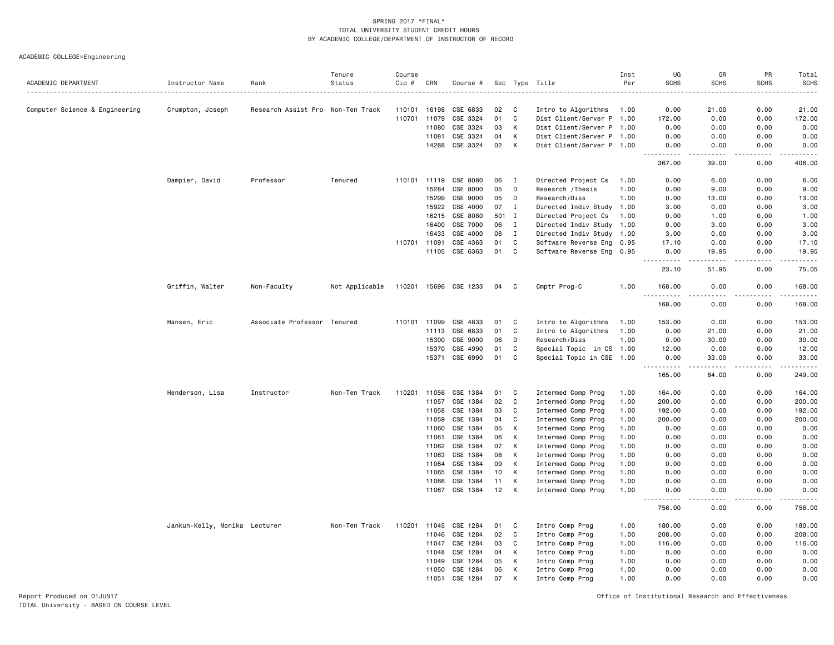ACADEMIC COLLEGE=Engineering

|                                |                               |                                   | Tenure         | Course |              |                |     |              |                           | Inst | UG                                                                                                                                                           | GR                    | PR          | Total                   |
|--------------------------------|-------------------------------|-----------------------------------|----------------|--------|--------------|----------------|-----|--------------|---------------------------|------|--------------------------------------------------------------------------------------------------------------------------------------------------------------|-----------------------|-------------|-------------------------|
| ACADEMIC DEPARTMENT            | Instructor Name               | Rank                              | Status         | Cip #  | CRN          | Course #       |     |              | Sec Type Title            | Per  | <b>SCHS</b>                                                                                                                                                  | <b>SCHS</b>           | <b>SCHS</b> | <b>SCHS</b><br>.        |
| Computer Science & Engineering | Crumpton, Joseph              | Research Assist Pro Non-Ten Track |                | 110101 | 16198        | CSE 6833       | 02  | C            | Intro to Algorithms       | 1.00 | 0.00                                                                                                                                                         | 21.00                 | 0.00        | 21.00                   |
|                                |                               |                                   |                | 110701 | 11079        | CSE 3324       | 01  | C            | Dist Client/Server P 1.00 |      | 172.00                                                                                                                                                       | 0.00                  | 0.00        | 172.00                  |
|                                |                               |                                   |                |        | 11080        | CSE 3324       | 03  | К            | Dist Client/Server P 1.00 |      | 0.00                                                                                                                                                         | 0.00                  | 0.00        | 0.00                    |
|                                |                               |                                   |                |        | 11081        | CSE 3324       | 04  | К            | Dist Client/Server P 1.00 |      | 0.00                                                                                                                                                         | 0.00                  | 0.00        | 0.00                    |
|                                |                               |                                   |                |        | 14288        | CSE 3324       | 02  | К            | Dist Client/Server P 1.00 |      | 0.00<br>.                                                                                                                                                    | 0.00<br>-----         | 0.00<br>.   | 0.00<br><u>.</u>        |
|                                |                               |                                   |                |        |              |                |     |              |                           |      | 367.00                                                                                                                                                       | 39.00                 | 0.00        | 406.00                  |
|                                | Dampier, David                | Professor                         | Tenured        |        | 110101 11119 | CSE 8080       | 06  | $\mathbf I$  | Directed Project Cs       | 1.00 | 0.00                                                                                                                                                         | 6.00                  | 0.00        | 6.00                    |
|                                |                               |                                   |                |        | 15284        | CSE 8000       | 05  | D            | Research / Thesis         | 1.00 | 0.00                                                                                                                                                         | 9.00                  | 0.00        | 9.00                    |
|                                |                               |                                   |                |        | 15299        | CSE 9000       | 05  | D            | Research/Diss             | 1.00 | 0.00                                                                                                                                                         | 13.00                 | 0.00        | 13.00                   |
|                                |                               |                                   |                |        | 15922        | CSE 4000       | 07  | I            | Directed Indiv Study 1.00 |      | 3.00                                                                                                                                                         | 0.00                  | 0.00        | 3.00                    |
|                                |                               |                                   |                |        | 16215        | CSE 8080       | 501 | $\mathbf{I}$ | Directed Project Cs       | 1.00 | 0.00                                                                                                                                                         | 1.00                  | 0.00        | 1.00                    |
|                                |                               |                                   |                |        | 16400        | CSE 7000       | 06  | $\mathbf{I}$ | Directed Indiv Study 1.00 |      | 0.00                                                                                                                                                         | 3.00                  | 0.00        | 3.00                    |
|                                |                               |                                   |                |        | 16433        | CSE 4000       | 08  | $\mathbf{I}$ | Directed Indiv Study 1.00 |      | 3.00                                                                                                                                                         | 0.00                  | 0.00        | 3.00                    |
|                                |                               |                                   |                | 110701 | 11091        | CSE 4363       | 01  | C            | Software Reverse Eng 0.95 |      | 17.10                                                                                                                                                        | 0.00                  | 0.00        | 17.10                   |
|                                |                               |                                   |                |        | 11105        | CSE 6363       | 01  | C            | Software Reverse Eng 0.95 |      | 0.00<br>$\frac{1}{2} \left( \frac{1}{2} \right) \left( \frac{1}{2} \right) \left( \frac{1}{2} \right) \left( \frac{1}{2} \right) \left( \frac{1}{2} \right)$ | 19.95<br>.            | 0.00<br>.   | 19.95<br>.              |
|                                |                               |                                   |                |        |              |                |     |              |                           |      | 23.10                                                                                                                                                        | 51.95                 | 0.00        | 75.05                   |
|                                | Griffin, Walter               | Non-Faculty                       | Not Applicable | 110201 |              | 15696 CSE 1233 | 04  | C            | Cmptr Prog-C              | 1.00 | 168.00<br>.                                                                                                                                                  | 0.00<br>$\frac{1}{2}$ | 0.00<br>.   | 168.00<br>$- - - - - -$ |
|                                |                               |                                   |                |        |              |                |     |              |                           |      | 168.00                                                                                                                                                       | 0.00                  | 0.00        | 168.00                  |
|                                | Hansen, Eric                  | Associate Professor               | Tenured        | 110101 | 11099        | CSE 4833       | 01  | C            | Intro to Algorithms       | 1.00 | 153.00                                                                                                                                                       | 0.00                  | 0.00        | 153.00                  |
|                                |                               |                                   |                |        | 11113        | CSE 6833       | 01  | C            | Intro to Algorithms       | 1.00 | 0.00                                                                                                                                                         | 21.00                 | 0.00        | 21.00                   |
|                                |                               |                                   |                |        | 15300        | CSE 9000       | 06  | D            | Research/Diss             | 1.00 | 0.00                                                                                                                                                         | 30.00                 | 0.00        | 30.00                   |
|                                |                               |                                   |                |        | 15370        | CSE 4990       | 01  | C            | Special Topic in CS 1.00  |      | 12.00                                                                                                                                                        | 0.00                  | 0.00        | 12.00                   |
|                                |                               |                                   |                |        | 15371        | CSE 6990       | 01  | C            | Special Topic in CSE 1.00 |      | 0.00<br><u>.</u>                                                                                                                                             | 33.00                 | 0.00        | 33.00<br>.              |
|                                |                               |                                   |                |        |              |                |     |              |                           |      | 165.00                                                                                                                                                       | 84.00                 | 0.00        | 249.00                  |
|                                | Henderson, Lisa               | Instructor                        | Non-Ten Track  | 110201 | 11056        | CSE 1384       | 01  | C            | Intermed Comp Prog        | 1.00 | 164.00                                                                                                                                                       | 0.00                  | 0.00        | 164.00                  |
|                                |                               |                                   |                |        | 11057        | CSE 1384       | 02  | C            | Intermed Comp Prog        | 1.00 | 200.00                                                                                                                                                       | 0.00                  | 0.00        | 200.00                  |
|                                |                               |                                   |                |        | 11058        | CSE 1384       | 03  | C            | Intermed Comp Prog        | 1.00 | 192.00                                                                                                                                                       | 0.00                  | 0.00        | 192.00                  |
|                                |                               |                                   |                |        | 11059        | CSE 1384       | 04  | C            | Intermed Comp Prog        | 1.00 | 200.00                                                                                                                                                       | 0.00                  | 0.00        | 200.00                  |
|                                |                               |                                   |                |        | 11060        | CSE 1384       | 05  | Κ            | Intermed Comp Prog        | 1.00 | 0.00                                                                                                                                                         | 0.00                  | 0.00        | 0.00                    |
|                                |                               |                                   |                |        | 11061        | CSE 1384       | 06  | К            | Intermed Comp Prog        | 1.00 | 0.00                                                                                                                                                         | 0.00                  | 0.00        | 0.00                    |
|                                |                               |                                   |                |        | 11062        | CSE 1384       | 07  | Κ            | Intermed Comp Prog        | 1.00 | 0.00                                                                                                                                                         | 0.00                  | 0.00        | 0.00                    |
|                                |                               |                                   |                |        | 11063        | CSE 1384       | 08  | K            | Intermed Comp Prog        | 1.00 | 0.00                                                                                                                                                         | 0.00                  | 0.00        | 0.00                    |
|                                |                               |                                   |                |        | 11064        | CSE 1384       | 09  | К            | Intermed Comp Prog        | 1.00 | 0.00                                                                                                                                                         | 0.00                  | 0.00        | 0.00                    |
|                                |                               |                                   |                |        | 11065        | CSE 1384       | 10  | К            | Intermed Comp Prog        | 1.00 | 0.00                                                                                                                                                         | 0.00                  | 0.00        | 0.00                    |
|                                |                               |                                   |                |        | 11066        | CSE 1384       | 11  | к            | Intermed Comp Prog        | 1.00 | 0.00                                                                                                                                                         | 0.00                  | 0.00        | 0.00                    |
|                                |                               |                                   |                |        | 11067        | CSE 1384       | 12  | К            | Intermed Comp Prog        | 1.00 | 0.00<br>.                                                                                                                                                    | 0.00<br>$   -$        | 0.00<br>.   | 0.00<br>.               |
|                                |                               |                                   |                |        |              |                |     |              |                           |      | 756.00                                                                                                                                                       | 0.00                  | 0.00        | 756.00                  |
|                                | Jankun-Kelly, Monika Lecturer |                                   | Non-Ten Track  | 110201 | 11045        | CSE 1284       | 01  | C            | Intro Comp Prog           | 1.00 | 180.00                                                                                                                                                       | 0.00                  | 0.00        | 180.00                  |
|                                |                               |                                   |                |        | 11046        | CSE 1284       | 02  | C            | Intro Comp Prog           | 1.00 | 208.00                                                                                                                                                       | 0.00                  | 0.00        | 208.00                  |
|                                |                               |                                   |                |        | 11047        | CSE 1284       | 03  | C            | Intro Comp Prog           | 1.00 | 116.00                                                                                                                                                       | 0.00                  | 0.00        | 116.00                  |
|                                |                               |                                   |                |        | 11048        | CSE 1284       | 04  | К            | Intro Comp Prog           | 1.00 | 0.00                                                                                                                                                         | 0.00                  | 0.00        | 0.00                    |
|                                |                               |                                   |                |        | 11049        | CSE 1284       | 05  | К            | Intro Comp Prog           | 1.00 | 0.00                                                                                                                                                         | 0.00                  | 0.00        | 0.00                    |
|                                |                               |                                   |                |        | 11050        | CSE 1284       | 06  | Κ            | Intro Comp Prog           | 1.00 | 0.00                                                                                                                                                         | 0.00                  | 0.00        | 0.00                    |
|                                |                               |                                   |                |        | 11051        | CSE 1284       | 07  | к            | Intro Comp Prog           | 1.00 | 0.00                                                                                                                                                         | 0.00                  | 0.00        | 0.00                    |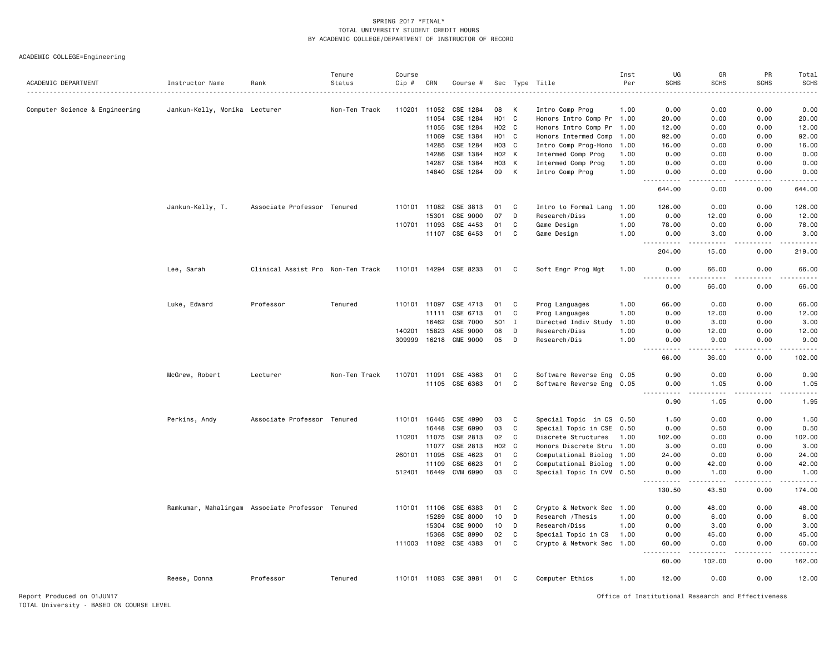ACADEMIC COLLEGE=Engineering

|                                |                                                  |                                   | Tenure        | Course       |              |                       |                    |              |                                              | Inst | UG                                                                                                                             | GR          | PR          | Total        |
|--------------------------------|--------------------------------------------------|-----------------------------------|---------------|--------------|--------------|-----------------------|--------------------|--------------|----------------------------------------------|------|--------------------------------------------------------------------------------------------------------------------------------|-------------|-------------|--------------|
| ACADEMIC DEPARTMENT            | Instructor Name                                  | Rank                              | Status        | Cip #        | CRN          | Course #              |                    |              | Sec Type Title                               | Per  | <b>SCHS</b>                                                                                                                    | <b>SCHS</b> | <b>SCHS</b> | <b>SCHS</b>  |
|                                | Jankun-Kelly, Monika Lecturer                    |                                   | Non-Ten Track | 110201       | 11052        | CSE 1284              | 08                 | к            |                                              | 1.00 | 0.00                                                                                                                           | 0.00        | 0.00        | 0.00         |
| Computer Science & Engineering |                                                  |                                   |               |              | 11054        | CSE 1284              | H01 C              |              | Intro Comp Prog<br>Honors Intro Comp Pr 1.00 |      | 20.00                                                                                                                          | 0.00        | 0.00        | 20.00        |
|                                |                                                  |                                   |               |              | 11055        | CSE 1284              | H02 C              |              | Honors Intro Comp Pr 1.00                    |      | 12.00                                                                                                                          | 0.00        | 0.00        | 12.00        |
|                                |                                                  |                                   |               |              | 11069        | CSE 1384              | H <sub>0</sub> 1 C |              | Honors Intermed Comp                         | 1.00 | 92.00                                                                                                                          | 0.00        | 0.00        | 92.00        |
|                                |                                                  |                                   |               |              | 14285        | CSE 1284              | H03 C              |              | Intro Comp Prog-Hono                         | 1.00 | 16.00                                                                                                                          | 0.00        | 0.00        | 16.00        |
|                                |                                                  |                                   |               |              | 14286        | CSE 1384              | H02 K              |              | Intermed Comp Prog                           | 1.00 | 0.00                                                                                                                           | 0.00        | 0.00        | 0.00         |
|                                |                                                  |                                   |               |              | 14287        | CSE 1384              | H03 K              |              | Intermed Comp Prog                           | 1.00 | 0.00                                                                                                                           | 0.00        | 0.00        | 0.00         |
|                                |                                                  |                                   |               |              | 14840        | CSE 1284              | 09                 | к            | Intro Comp Prog                              | 1.00 | 0.00                                                                                                                           | 0.00        | 0.00        | 0.00         |
|                                |                                                  |                                   |               |              |              |                       |                    |              |                                              |      | .<br>$\frac{1}{2} \left( \frac{1}{2} \right) \left( \frac{1}{2} \right) \left( \frac{1}{2} \right) \left( \frac{1}{2} \right)$ | .           | .           | <u>.</u>     |
|                                |                                                  |                                   |               |              |              |                       |                    |              |                                              |      | 644.00                                                                                                                         | 0.00        | 0.00        | 644.00       |
|                                | Jankun-Kelly, T.                                 | Associate Professor Tenured       |               | 110101       | 11082        | CSE 3813              | 01                 | C            | Intro to Formal Lang                         | 1.00 | 126.00                                                                                                                         | 0.00        | 0.00        | 126.00       |
|                                |                                                  |                                   |               |              | 15301        | CSE 9000              | 07                 | D            | Research/Diss                                | 1.00 | 0.00                                                                                                                           | 12.00       | 0.00        | 12.00        |
|                                |                                                  |                                   |               | 110701 11093 |              | CSE 4453              | 01                 | C            | Game Design                                  | 1.00 | 78.00                                                                                                                          | 0.00        | 0.00        | 78.00        |
|                                |                                                  |                                   |               |              | 11107        | CSE 6453              | 01                 | C            | Game Design                                  | 1.00 | 0.00                                                                                                                           | 3.00        | 0.00        | 3.00         |
|                                |                                                  |                                   |               |              |              |                       |                    |              |                                              |      | <u>.</u><br>204.00                                                                                                             | .<br>15.00  | .<br>0.00   | .<br>219.00  |
|                                | Lee, Sarah                                       | Clinical Assist Pro Non-Ten Track |               |              |              | 110101 14294 CSE 8233 | 01                 | C            | Soft Engr Prog Mgt                           | 1.00 | 0.00                                                                                                                           | 66.00       | 0.00        | 66.00        |
|                                |                                                  |                                   |               |              |              |                       |                    |              |                                              |      | <u>.</u><br>0.00                                                                                                               | .<br>66.00  | 0.00        | 66.00        |
|                                | Luke, Edward                                     | Professor                         | Tenured       |              | 110101 11097 | CSE 4713              | 01                 | C            | Prog Languages                               | 1.00 | 66.00                                                                                                                          | 0.00        | 0.00        | 66.00        |
|                                |                                                  |                                   |               |              | 11111        | CSE 6713              | 01                 | C            | Prog Languages                               | 1.00 | 0.00                                                                                                                           | 12.00       | 0.00        | 12.00        |
|                                |                                                  |                                   |               |              | 16462        | CSE 7000              | 501 I              |              | Directed Indiv Study                         | 1.00 | 0.00                                                                                                                           | 3.00        | 0.00        | 3.00         |
|                                |                                                  |                                   |               |              | 140201 15823 | ASE 9000              | 08                 | D            | Research/Diss                                | 1.00 | 0.00                                                                                                                           | 12.00       | 0.00        | 12.00        |
|                                |                                                  |                                   |               | 309999       | 16218        | <b>CME 9000</b>       | 05                 | D            | Research/Dis                                 | 1.00 | 0.00                                                                                                                           | 9.00        | 0.00        | 9.00         |
|                                |                                                  |                                   |               |              |              |                       |                    |              |                                              |      | .<br>$\frac{1}{2}$                                                                                                             | .           | -----       | . <b>.</b> . |
|                                |                                                  |                                   |               |              |              |                       |                    |              |                                              |      | 66.00                                                                                                                          | 36.00       | 0.00        | 102.00       |
|                                | McGrew, Robert                                   | Lecturer                          | Non-Ten Track | 110701 11091 |              | CSE 4363              | 01                 | C            | Software Reverse Eng 0.05                    |      | 0.90                                                                                                                           | 0.00        | 0.00        | 0.90         |
|                                |                                                  |                                   |               |              | 11105        | CSE 6363              | 01                 | C            | Software Reverse Eng 0.05                    |      | 0.00                                                                                                                           | 1.05        | 0.00        | 1.05         |
|                                |                                                  |                                   |               |              |              |                       |                    |              |                                              |      | 0.90                                                                                                                           | 1.05        | 0.00        | 1.95         |
|                                | Perkins, Andy                                    | Associate Professor Tenured       |               |              | 110101 16445 | CSE 4990              | 03                 | C            | Special Topic in CS 0.50                     |      | 1.50                                                                                                                           | 0.00        | 0.00        | 1.50         |
|                                |                                                  |                                   |               |              | 16448        | CSE 6990              | 03                 | C            | Special Topic in CSE 0.50                    |      | 0.00                                                                                                                           | 0.50        | 0.00        | 0.50         |
|                                |                                                  |                                   |               | 110201 11075 |              | CSE 2813              | 02                 | C            | Discrete Structures                          | 1.00 | 102.00                                                                                                                         | 0.00        | 0.00        | 102.00       |
|                                |                                                  |                                   |               |              | 11077        | CSE 2813              | H02 C              |              | Honors Discrete Stru 1.00                    |      | 3.00                                                                                                                           | 0.00        | 0.00        | 3.00         |
|                                |                                                  |                                   |               |              | 260101 11095 | CSE 4623              | 01                 | $\mathbb{C}$ | Computational Biolog 1.00                    |      | 24.00                                                                                                                          | 0.00        | 0.00        | 24.00        |
|                                |                                                  |                                   |               |              | 11109        | CSE 6623              | 01                 | C            | Computational Biolog                         | 1.00 | 0.00                                                                                                                           | 42.00       | 0.00        | 42.00        |
|                                |                                                  |                                   |               |              | 512401 16449 | CVM 6990              | 03                 | C            | Special Topic In CVM 0.50                    |      | 0.00<br>. <b>.</b>                                                                                                             | 1.00        | 0.00        | 1.00<br>.    |
|                                |                                                  |                                   |               |              |              |                       |                    |              |                                              |      | 130.50                                                                                                                         | 43.50       | 0.00        | 174.00       |
|                                | Ramkumar, Mahalingam Associate Professor Tenured |                                   |               |              | 110101 11106 | CSE 6383              | 01                 | C            | Crypto & Network Sec 1.00                    |      | 0.00                                                                                                                           | 48.00       | 0.00        | 48.00        |
|                                |                                                  |                                   |               |              | 15289        | CSE 8000              | 10                 | D            | Research / Thesis                            | 1.00 | 0.00                                                                                                                           | 6.00        | 0.00        | 6.00         |
|                                |                                                  |                                   |               |              | 15304        | CSE 9000              | 10                 | D            | Research/Diss                                | 1.00 | 0.00                                                                                                                           | 3.00        | 0.00        | 3.00         |
|                                |                                                  |                                   |               |              | 15368        | CSE 8990              | 02                 | C            | Special Topic in CS                          | 1.00 | 0.00                                                                                                                           | 45.00       | 0.00        | 45.00        |
|                                |                                                  |                                   |               |              | 111003 11092 | CSE 4383              | 01                 | C            | Crypto & Network Sec 1.00                    |      | 60.00<br>-----                                                                                                                 | 0.00        | 0.00<br>.   | 60.00<br>.   |
|                                |                                                  |                                   |               |              |              |                       |                    |              |                                              |      | 60.00                                                                                                                          | 102.00      | 0.00        | 162.00       |
|                                | Reese, Donna                                     | Professor                         | Tenured       |              |              | 110101 11083 CSE 3981 | 01                 | C            | Computer Ethics                              | 1.00 | 12.00                                                                                                                          | 0.00        | 0.00        | 12.00        |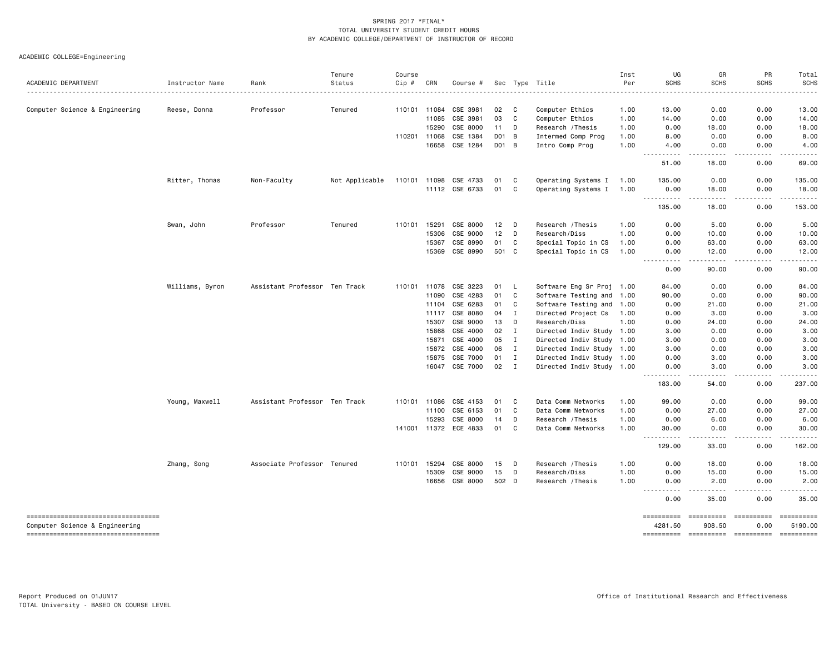ACADEMIC COLLEGE=Engineering

|                                                                      |                 |                               | Tenure         | Course       |       |                       |                 |              |                           | Inst | UG                    | GR                   | PR                       | Total                 |
|----------------------------------------------------------------------|-----------------|-------------------------------|----------------|--------------|-------|-----------------------|-----------------|--------------|---------------------------|------|-----------------------|----------------------|--------------------------|-----------------------|
| ACADEMIC DEPARTMENT                                                  | Instructor Name | Rank                          | Status         | Cip #        | CRN   | Course #              |                 |              | Sec Type Title            | Per  | <b>SCHS</b>           | <b>SCHS</b>          | <b>SCHS</b>              | <b>SCHS</b>           |
| Computer Science & Engineering                                       | Reese, Donna    | Professor                     | Tenured        | 110101 11084 |       | CSE 3981              | 02              | $\mathbf{C}$ | Computer Ethics           | 1.00 | 13.00                 | 0.00                 | 0.00                     | 13.00                 |
|                                                                      |                 |                               |                |              | 11085 | CSE 3981              | 03              | C            | Computer Ethics           | 1.00 | 14.00                 | 0.00                 | 0.00                     | 14.00                 |
|                                                                      |                 |                               |                |              | 15290 | CSE 8000              | 11              | D            | Research / Thesis         | 1.00 | 0.00                  | 18.00                | 0.00                     | 18.00                 |
|                                                                      |                 |                               |                | 110201 11068 |       | CSE 1384              | D01 B           |              | Intermed Comp Prog        | 1.00 | 8.00                  | 0.00                 | 0.00                     | 8.00                  |
|                                                                      |                 |                               |                |              | 16658 | CSE 1284              | D01 B           |              | Intro Comp Prog           | 1.00 | 4.00                  | 0.00                 | 0.00                     | 4.00                  |
|                                                                      |                 |                               |                |              |       |                       |                 |              |                           |      | .<br>51.00            | .<br>18.00           | .<br>0.00                | $- - - - -$<br>69.00  |
|                                                                      | Ritter, Thomas  | Non-Faculty                   | Not Applicable | 110101 11098 |       | CSE 4733              | 01              | C            | Operating Systems I       | 1.00 | 135.00                | 0.00                 | 0.00                     | 135.00                |
|                                                                      |                 |                               |                |              |       | 11112 CSE 6733        | 01              | C            | Operating Systems I       | 1.00 | 0.00<br>----------    | 18.00<br>-----       | 0.00<br>.                | 18.00<br>.            |
|                                                                      |                 |                               |                |              |       |                       |                 |              |                           |      | 135.00                | 18.00                | 0.00                     | 153.00                |
|                                                                      | Swan, John      | Professor                     | Tenured        | 110101       | 15291 | CSE 8000              | 12              | D            | Research / Thesis         | 1.00 | 0.00                  | 5.00                 | 0.00                     | 5.00                  |
|                                                                      |                 |                               |                |              | 15306 | CSE 9000              | 12 <sub>2</sub> | D            | Research/Diss             | 1.00 | 0.00                  | 10.00                | 0.00                     | 10.00                 |
|                                                                      |                 |                               |                |              | 15367 | CSE 8990              | 01              | C            | Special Topic in CS       | 1.00 | 0.00                  | 63.00                | 0.00                     | 63.00                 |
|                                                                      |                 |                               |                |              | 15369 | CSE 8990              | 501 C           |              | Special Topic in CS       | 1.00 | 0.00<br>----------    | 12.00<br>.           | 0.00<br>-----            | 12.00<br>.            |
|                                                                      |                 |                               |                |              |       |                       |                 |              |                           |      | 0.00                  | 90.00                | 0.00                     | 90.00                 |
|                                                                      | Williams, Byron | Assistant Professor Ten Track |                | 110101       | 11078 | CSE 3223              | 01              | L.           | Software Eng Sr Proj 1.00 |      | 84.00                 | 0.00                 | 0.00                     | 84.00                 |
|                                                                      |                 |                               |                |              | 11090 | CSE 4283              | 01              | C            | Software Testing and 1.00 |      | 90.00                 | 0.00                 | 0.00                     | 90.00                 |
|                                                                      |                 |                               |                |              | 11104 | CSE 6283              | 01              | C            | Software Testing and 1.00 |      | 0.00                  | 21.00                | 0.00                     | 21.00                 |
|                                                                      |                 |                               |                |              | 11117 | CSE 8080              | 04              | I            | Directed Project Cs       | 1.00 | 0.00                  | 3.00                 | 0.00                     | 3.00                  |
|                                                                      |                 |                               |                |              | 15307 | CSE 9000              | 13              | D            | Research/Diss             | 1.00 | 0.00                  | 24.00                | 0.00                     | 24.00                 |
|                                                                      |                 |                               |                |              | 15868 | CSE 4000              | 02              | I            | Directed Indiv Study 1.00 |      | 3.00                  | 0.00                 | 0.00                     | 3.00                  |
|                                                                      |                 |                               |                |              | 15871 | CSE 4000              | 05              | I            | Directed Indiv Study 1.00 |      | 3.00                  | 0.00                 | 0.00                     | 3.00                  |
|                                                                      |                 |                               |                |              | 15872 | CSE 4000              | 06              | $\mathbf{I}$ | Directed Indiv Study 1.00 |      | 3.00                  | 0.00                 | 0.00                     | 3.00                  |
|                                                                      |                 |                               |                |              | 15875 | CSE 7000              | 01              | $\mathbf I$  | Directed Indiv Study 1.00 |      | 0.00                  | 3.00                 | 0.00                     | 3.00                  |
|                                                                      |                 |                               |                |              |       | 16047 CSE 7000        | 02              | $\mathbf{I}$ | Directed Indiv Study 1.00 |      | 0.00<br>. <b>.</b> .  | 3.00<br>.            | 0.00<br>-----            | 3.00                  |
|                                                                      |                 |                               |                |              |       |                       |                 |              |                           |      | 183.00                | 54.00                | 0.00                     | 237.00                |
|                                                                      | Young, Maxwell  | Assistant Professor Ten Track |                | 110101 11086 |       | CSE 4153              | 01              | C            | Data Comm Networks        | 1.00 | 99.00                 | 0.00                 | 0.00                     | 99.00                 |
|                                                                      |                 |                               |                |              | 11100 | CSE 6153              | 01              | C            | Data Comm Networks        | 1.00 | 0.00                  | 27.00                | 0.00                     | 27.00                 |
|                                                                      |                 |                               |                |              | 15293 | CSE 8000              | 14              | D            | Research /Thesis          | 1.00 | 0.00                  | 6.00                 | 0.00                     | 6.00                  |
|                                                                      |                 |                               |                |              |       | 141001 11372 ECE 4833 | 01              | C            | Data Comm Networks        | 1.00 | 30.00<br><u>.</u>     | 0.00<br>. <u>.</u> . | 0.00<br>.                | 30.00<br>.            |
|                                                                      |                 |                               |                |              |       |                       |                 |              |                           |      | 129.00                | 33.00                | 0.00                     | 162.00                |
|                                                                      | Zhang, Song     | Associate Professor Tenured   |                | 110101       | 15294 | CSE 8000              | 15              | D            | Research / Thesis         | 1.00 | 0.00                  | 18.00                | 0.00                     | 18.00                 |
|                                                                      |                 |                               |                |              | 15309 | CSE 9000              | 15              | D            | Research/Diss             | 1.00 | 0.00                  | 15.00                | 0.00                     | 15.00                 |
|                                                                      |                 |                               |                |              | 16656 | CSE 8000              | 502 D           |              | Research /Thesis          | 1.00 | 0.00<br>.             | 2.00<br>.            | 0.00<br>.                | 2.00<br>.             |
|                                                                      |                 |                               |                |              |       |                       |                 |              |                           |      | 0.00                  | 35.00                | 0.00                     | 35.00                 |
| ----------------------------------                                   |                 |                               |                |              |       |                       |                 |              |                           |      | ==========            | ==========           | <b>CONSESSER</b>         | ==========            |
| Computer Science & Engineering<br>---------------------------------- |                 |                               |                |              |       |                       |                 |              |                           |      | 4281.50<br>========== | 908.50<br>========== | 0.00<br><b>CONSESSER</b> | 5190.00<br>========== |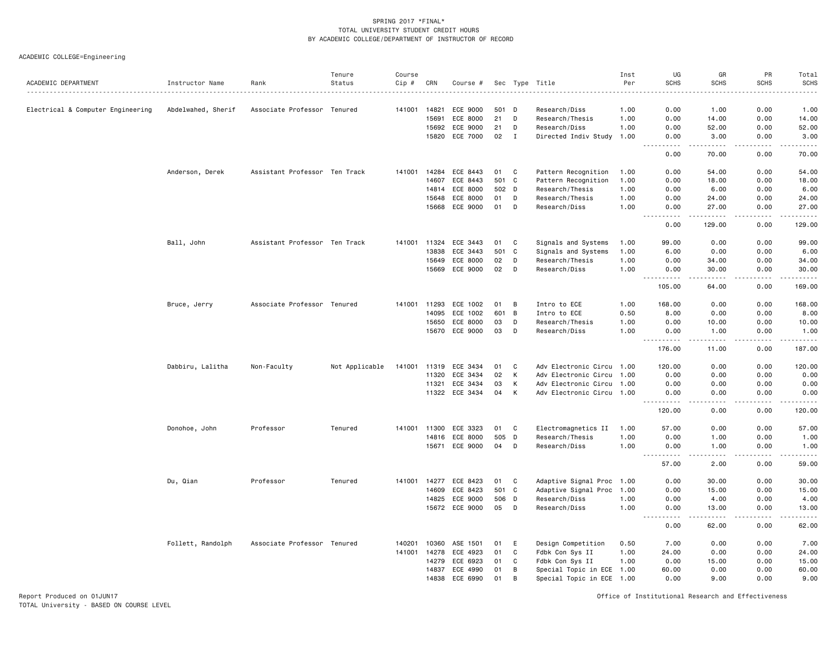ACADEMIC COLLEGE=Engineering

| ACADEMIC DEPARTMENT               | Instructor Name    | Rank                          | Tenure<br>Status | Course<br>Cip # | CRN          | Course #       |       |             | Sec Type Title            | Inst<br>Per | UG<br><b>SCHS</b>                                                                                                                 | GR<br><b>SCHS</b>                                                                                                                                             | PR<br>SCHS | Total<br><b>SCHS</b><br>$- - - - -$ |
|-----------------------------------|--------------------|-------------------------------|------------------|-----------------|--------------|----------------|-------|-------------|---------------------------|-------------|-----------------------------------------------------------------------------------------------------------------------------------|---------------------------------------------------------------------------------------------------------------------------------------------------------------|------------|-------------------------------------|
|                                   |                    |                               |                  | 141001          | 14821        | ECE 9000       | 501 D |             | Research/Diss             | 1.00        | 0.00                                                                                                                              | 1.00                                                                                                                                                          | 0.00       | 1.00                                |
| Electrical & Computer Engineering | Abdelwahed, Sherif | Associate Professor Tenured   |                  |                 | 15691        | ECE 8000       | 21    | D           | Research/Thesis           | 1.00        | 0.00                                                                                                                              | 14.00                                                                                                                                                         | 0.00       | 14.00                               |
|                                   |                    |                               |                  |                 | 15692        | ECE 9000       | 21    | D           | Research/Diss             | 1.00        | 0.00                                                                                                                              | 52.00                                                                                                                                                         | 0.00       | 52.00                               |
|                                   |                    |                               |                  |                 | 15820        | ECE 7000       | 02    | Ι.          | Directed Indiv Study      | 1.00        | 0.00                                                                                                                              | 3.00                                                                                                                                                          | 0.00       | 3.00                                |
|                                   |                    |                               |                  |                 |              |                |       |             |                           |             | $\frac{1}{2} \left( \frac{1}{2} \right) \left( \frac{1}{2} \right) \left( \frac{1}{2} \right) \left( \frac{1}{2} \right)$<br>0.00 | $\frac{1}{2} \left( \frac{1}{2} \right) \left( \frac{1}{2} \right) \left( \frac{1}{2} \right) \left( \frac{1}{2} \right) \left( \frac{1}{2} \right)$<br>70.00 | .<br>0.00  | .<br>70.00                          |
|                                   | Anderson, Derek    | Assistant Professor Ten Track |                  | 141001          | 14284        | ECE 8443       | 01    | $\mathbf c$ | Pattern Recognition       | 1.00        | 0.00                                                                                                                              | 54.00                                                                                                                                                         | 0.00       | 54.00                               |
|                                   |                    |                               |                  |                 | 14607        | ECE 8443       |       | 501 C       | Pattern Recognition       | 1.00        | 0.00                                                                                                                              | 18.00                                                                                                                                                         | 0.00       | 18.00                               |
|                                   |                    |                               |                  |                 | 14814        | ECE 8000       | 502 D |             | Research/Thesis           | 1.00        | 0.00                                                                                                                              | 6.00                                                                                                                                                          | 0.00       | 6.00                                |
|                                   |                    |                               |                  |                 | 15648        | ECE 8000       | 01    | D           | Research/Thesis           | 1.00        | 0.00                                                                                                                              | 24.00                                                                                                                                                         | 0.00       | 24.00                               |
|                                   |                    |                               |                  |                 | 15668        | ECE 9000       | 01    | D           | Research/Diss             | 1.00        | 0.00<br>.                                                                                                                         | 27.00<br>$\frac{1}{2} \left( \frac{1}{2} \right) \left( \frac{1}{2} \right) \left( \frac{1}{2} \right) \left( \frac{1}{2} \right) \left( \frac{1}{2} \right)$ | 0.00       | 27.00<br>.                          |
|                                   |                    |                               |                  |                 |              |                |       |             |                           |             | 0.00                                                                                                                              | 129.00                                                                                                                                                        | 0.00       | 129.00                              |
|                                   | Ball, John         | Assistant Professor Ten Track |                  |                 | 141001 11324 | ECE 3443       | 01    | C           | Signals and Systems       | 1.00        | 99.00                                                                                                                             | 0.00                                                                                                                                                          | 0.00       | 99.00                               |
|                                   |                    |                               |                  |                 | 13838        | ECE 3443       | 501 C |             | Signals and Systems       | 1.00        | 6.00                                                                                                                              | 0.00                                                                                                                                                          | 0.00       | 6.00                                |
|                                   |                    |                               |                  |                 | 15649        | ECE 8000       | 02    | D           | Research/Thesis           | 1.00        | 0.00                                                                                                                              | 34.00                                                                                                                                                         | 0.00       | 34.00                               |
|                                   |                    |                               |                  |                 | 15669        | ECE 9000       | 02    | D           | Research/Diss             | 1.00        | 0.00                                                                                                                              | 30.00<br>-----                                                                                                                                                | 0.00<br>.  | 30.00<br>.                          |
|                                   |                    |                               |                  |                 |              |                |       |             |                           |             | 105.00                                                                                                                            | 64.00                                                                                                                                                         | 0.00       | 169.00                              |
|                                   | Bruce, Jerry       | Associate Professor Tenured   |                  | 141001          | 11293        | ECE 1002       | 01    | B           | Intro to ECE              | 1.00        | 168.00                                                                                                                            | 0.00                                                                                                                                                          | 0.00       | 168.00                              |
|                                   |                    |                               |                  |                 | 14095        | ECE 1002       | 601 B |             | Intro to ECE              | 0.50        | 8.00                                                                                                                              | 0.00                                                                                                                                                          | 0.00       | 8.00                                |
|                                   |                    |                               |                  |                 | 15650        | ECE 8000       | 03    | D           | Research/Thesis           | 1.00        | 0.00                                                                                                                              | 10.00                                                                                                                                                         | 0.00       | 10.00                               |
|                                   |                    |                               |                  |                 | 15670        | ECE 9000       | 03    | D           | Research/Diss             | 1.00        | 0.00                                                                                                                              | 1.00                                                                                                                                                          | 0.00       | 1.00<br>.                           |
|                                   |                    |                               |                  |                 |              |                |       |             |                           |             | 176.00                                                                                                                            | 11.00                                                                                                                                                         | 0.00       | 187.00                              |
|                                   | Dabbiru, Lalitha   | Non-Faculty                   | Not Applicable   | 141001 11319    |              | ECE 3434       | 01    | C           | Adv Electronic Circu 1.00 |             | 120.00                                                                                                                            | 0.00                                                                                                                                                          | 0.00       | 120.00                              |
|                                   |                    |                               |                  |                 | 11320        | ECE 3434       | 02    | K           | Adv Electronic Circu 1.00 |             | 0.00                                                                                                                              | 0.00                                                                                                                                                          | 0.00       | 0.00                                |
|                                   |                    |                               |                  |                 | 11321        | ECE 3434       | 03    | K           | Adv Electronic Circu 1.00 |             | 0.00                                                                                                                              | 0.00                                                                                                                                                          | 0.00       | 0.00                                |
|                                   |                    |                               |                  |                 |              | 11322 ECE 3434 | 04    | K           | Adv Electronic Circu 1.00 |             | 0.00<br>.<br>$\frac{1}{2} \left( \frac{1}{2} \right) \left( \frac{1}{2} \right) \left( \frac{1}{2} \right)$                       | 0.00<br>.                                                                                                                                                     | 0.00<br>.  | 0.00<br><u>.</u>                    |
|                                   |                    |                               |                  |                 |              |                |       |             |                           |             | 120.00                                                                                                                            | 0.00                                                                                                                                                          | 0.00       | 120.00                              |
|                                   | Donohoe, John      | Professor                     | Tenured          | 141001          | 11300        | ECE 3323       | 01    | C           | Electromagnetics II       | 1.00        | 57.00                                                                                                                             | 0.00                                                                                                                                                          | 0.00       | 57.00                               |
|                                   |                    |                               |                  |                 | 14816        | ECE 8000       | 505   | D           | Research/Thesis           | 1.00        | 0.00                                                                                                                              | 1.00                                                                                                                                                          | 0.00       | 1.00                                |
|                                   |                    |                               |                  |                 |              | 15671 ECE 9000 | 04    | D           | Research/Diss             | 1.00        | 0.00<br><u>.</u><br>$- - -$                                                                                                       | 1.00<br>د د د د                                                                                                                                               | 0.00<br>.  | 1.00<br>.                           |
|                                   |                    |                               |                  |                 |              |                |       |             |                           |             | 57.00                                                                                                                             | 2.00                                                                                                                                                          | 0.00       | 59.00                               |
|                                   | Du, Qian           | Professor                     | Tenured          | 141001          | 14277        | ECE 8423       | 01    | C           | Adaptive Signal Proc 1.00 |             | 0.00                                                                                                                              | 30.00                                                                                                                                                         | 0.00       | 30.00                               |
|                                   |                    |                               |                  |                 | 14609        | ECE 8423       | 501 C |             | Adaptive Signal Proc 1.00 |             | 0.00                                                                                                                              | 15.00                                                                                                                                                         | 0.00       | 15.00                               |
|                                   |                    |                               |                  |                 | 14825        | ECE 9000       |       | 506 D       | Research/Diss             | 1.00        | 0.00                                                                                                                              | 4.00                                                                                                                                                          | 0.00       | 4.00                                |
|                                   |                    |                               |                  |                 | 15672        | ECE 9000       | 05    | D           | Research/Diss             | 1.00        | 0.00<br>$\sim$ $\sim$ $\sim$ $\sim$                                                                                               | 13,00<br>$\frac{1}{2} \left( \frac{1}{2} \right) \left( \frac{1}{2} \right) \left( \frac{1}{2} \right) \left( \frac{1}{2} \right) \left( \frac{1}{2} \right)$ | 0.00<br>.  | 13.00<br>$    -$                    |
|                                   |                    |                               |                  |                 |              |                |       |             |                           |             | 0.00                                                                                                                              | 62.00                                                                                                                                                         | 0.00       | 62.00                               |
|                                   | Follett, Randolph  | Associate Professor Tenured   |                  | 140201          | 10360        | ASE 1501       | 01    | E           | Design Competition        | 0.50        | 7.00                                                                                                                              | 0.00                                                                                                                                                          | 0.00       | 7.00                                |
|                                   |                    |                               |                  | 141001          | 14278        | ECE 4923       | 01    | C           | Fdbk Con Sys II           | 1.00        | 24.00                                                                                                                             | 0.00                                                                                                                                                          | 0.00       | 24.00                               |
|                                   |                    |                               |                  |                 | 14279        | ECE 6923       | 01    | C           | Fdbk Con Sys II           | 1.00        | 0.00                                                                                                                              | 15.00                                                                                                                                                         | 0.00       | 15.00                               |
|                                   |                    |                               |                  |                 | 14837        | ECE 4990       | 01    | B           | Special Topic in ECE 1.00 |             | 60.00                                                                                                                             | 0.00                                                                                                                                                          | 0.00       | 60.00                               |
|                                   |                    |                               |                  |                 | 14838        | ECE 6990       | 01    | B           | Special Topic in ECE 1.00 |             | 0.00                                                                                                                              | 9.00                                                                                                                                                          | 0.00       | 9.00                                |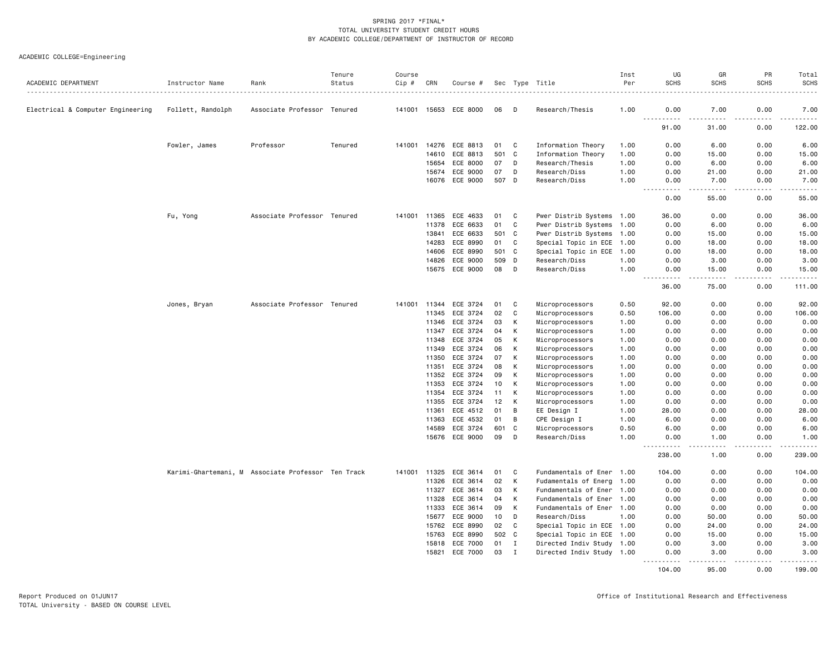# ACADEMIC COLLEGE=Engineering

| ACADEMIC DEPARTMENT               | Instructor Name   | Rank                                               | Tenure<br>Status | Course<br>$Cip$ # | CRN            | Course #             |          |             | Sec Type Title                     | Inst<br>Per  | UG<br><b>SCHS</b>                                                                                                                                                       | GR<br><b>SCHS</b>                                                                                                                                             | PR<br><b>SCHS</b> | Total<br>SCHS    |
|-----------------------------------|-------------------|----------------------------------------------------|------------------|-------------------|----------------|----------------------|----------|-------------|------------------------------------|--------------|-------------------------------------------------------------------------------------------------------------------------------------------------------------------------|---------------------------------------------------------------------------------------------------------------------------------------------------------------|-------------------|------------------|
|                                   |                   |                                                    |                  |                   |                |                      |          |             |                                    |              |                                                                                                                                                                         |                                                                                                                                                               |                   |                  |
| Electrical & Computer Engineering | Follett, Randolph | Associate Professor Tenured                        |                  | 141001            | 15653          | ECE 8000             | 06       | D           | Research/Thesis                    | 1.00         | 0.00<br>$\sim$ $\sim$ $\sim$                                                                                                                                            | 7.00                                                                                                                                                          | 0.00              | 7.00<br><u>.</u> |
|                                   |                   |                                                    |                  |                   |                |                      |          |             |                                    |              | 91.00                                                                                                                                                                   | 31.00                                                                                                                                                         | 0.00              | 122.00           |
|                                   | Fowler, James     | Professor                                          | Tenured          | 141001            | 14276          | ECE 8813             | 01       | C           | Information Theory                 | 1.00         | 0.00                                                                                                                                                                    | 6.00                                                                                                                                                          | 0.00              | 6.00             |
|                                   |                   |                                                    |                  |                   | 14610          | ECE 8813             | 501      | C           | Information Theory                 | 1.00         | 0.00                                                                                                                                                                    | 15.00                                                                                                                                                         | 0.00              | 15.00            |
|                                   |                   |                                                    |                  |                   | 15654          | ECE 8000             | 07       | D           | Research/Thesis                    | 1.00         | 0.00                                                                                                                                                                    | 6.00                                                                                                                                                          | 0.00              | 6.00             |
|                                   |                   |                                                    |                  |                   | 15674          | ECE 9000             | 07       | D           | Research/Diss                      | 1.00         | 0.00                                                                                                                                                                    | 21.00                                                                                                                                                         | 0.00              | 21.00            |
|                                   |                   |                                                    |                  |                   | 16076          | ECE 9000             | 507 D    |             | Research/Diss                      | 1.00         | 0.00<br>.<br>$\sim$ $\sim$ $\sim$                                                                                                                                       | 7.00<br>.                                                                                                                                                     | 0.00<br>.         | 7.00<br>.        |
|                                   |                   |                                                    |                  |                   |                |                      |          |             |                                    |              | 0.00                                                                                                                                                                    | 55.00                                                                                                                                                         | 0.00              | 55.00            |
|                                   | Fu, Yong          | Associate Professor Tenured                        |                  | 141001            | 11365          | ECE 4633             | 01       | C           | Pwer Distrib Systems 1.00          |              | 36.00                                                                                                                                                                   | 0.00                                                                                                                                                          | 0.00              | 36.00            |
|                                   |                   |                                                    |                  |                   | 11378          | ECE 6633             | 01       | C           | Pwer Distrib Systems 1.00          |              | 0.00                                                                                                                                                                    | 6.00                                                                                                                                                          | 0.00              | 6.00             |
|                                   |                   |                                                    |                  |                   | 13841          | ECE 6633             | 501 C    |             | Pwer Distrib Systems 1.00          |              | 0.00                                                                                                                                                                    | 15.00                                                                                                                                                         | 0.00              | 15.00            |
|                                   |                   |                                                    |                  |                   | 14283          | ECE 8990             | 01       | C           | Special Topic in ECE 1.00          |              | 0.00                                                                                                                                                                    | 18.00                                                                                                                                                         | 0.00              | 18.00            |
|                                   |                   |                                                    |                  |                   | 14606          | ECE 8990             | 501 C    |             | Special Topic in ECE 1.00          |              | 0.00                                                                                                                                                                    | 18.00                                                                                                                                                         | 0.00              | 18.00            |
|                                   |                   |                                                    |                  |                   | 14826          | ECE 9000             | 509 D    |             | Research/Diss                      | 1.00         | 0.00                                                                                                                                                                    | 3.00                                                                                                                                                          | 0.00              | 3.00             |
|                                   |                   |                                                    |                  |                   | 15675          | ECE 9000             | 08       | D           | Research/Diss                      | 1.00         | 0.00<br>$\frac{1}{2} \left( \frac{1}{2} \right) \left( \frac{1}{2} \right) \left( \frac{1}{2} \right) \left( \frac{1}{2} \right) \left( \frac{1}{2} \right)$<br>$- - -$ | 15.00<br>$\frac{1}{2} \left( \frac{1}{2} \right) \left( \frac{1}{2} \right) \left( \frac{1}{2} \right) \left( \frac{1}{2} \right) \left( \frac{1}{2} \right)$ | 0.00<br>.         | 15.00<br>.       |
|                                   |                   |                                                    |                  |                   |                |                      |          |             |                                    |              | 36.00                                                                                                                                                                   | 75.00                                                                                                                                                         | 0.00              | 111.00           |
|                                   | Jones, Bryan      | Associate Professor Tenured                        |                  | 141001            | 11344          | ECE 3724             | 01       | C           | Microprocessors                    | 0.50         | 92.00                                                                                                                                                                   | 0.00                                                                                                                                                          | 0.00              | 92.00            |
|                                   |                   |                                                    |                  |                   | 11345          | ECE 3724             | 02       | C           | Microprocessors                    | 0.50         | 106.00                                                                                                                                                                  | 0.00                                                                                                                                                          | 0.00              | 106.00           |
|                                   |                   |                                                    |                  |                   | 11346          | ECE 3724             | 03       | К           | Microprocessors                    | 1.00         | 0.00                                                                                                                                                                    | 0.00                                                                                                                                                          | 0.00              | 0.00             |
|                                   |                   |                                                    |                  |                   | 11347          | ECE 3724             | 04       | К           | Microprocessors                    | 1.00         | 0.00                                                                                                                                                                    | 0.00                                                                                                                                                          | 0.00              | 0.00             |
|                                   |                   |                                                    |                  |                   | 11348          | ECE 3724             | 05       | К           | Microprocessors                    | 1.00         | 0.00                                                                                                                                                                    | 0.00                                                                                                                                                          | 0.00              | 0.00             |
|                                   |                   |                                                    |                  |                   | 11349          | ECE 3724             | 06       | К           | Microprocessors                    | 1.00         | 0.00                                                                                                                                                                    | 0.00                                                                                                                                                          | 0.00              | 0.00             |
|                                   |                   |                                                    |                  |                   | 11350          | ECE 3724             | 07       | К           | Microprocessors                    | 1.00         | 0.00                                                                                                                                                                    | 0.00                                                                                                                                                          | 0.00              | 0.00             |
|                                   |                   |                                                    |                  |                   | 11351          | ECE 3724             | 08       | К           | Microprocessors                    | 1.00         | 0.00                                                                                                                                                                    | 0.00                                                                                                                                                          | 0.00              | 0.00             |
|                                   |                   |                                                    |                  |                   | 11352<br>11353 | ECE 3724<br>ECE 3724 | 09<br>10 | К<br>К      | Microprocessors<br>Microprocessors | 1.00         | 0.00                                                                                                                                                                    | 0.00<br>0.00                                                                                                                                                  | 0.00<br>0.00      | 0.00<br>0.00     |
|                                   |                   |                                                    |                  |                   | 11354          | ECE 3724             | 11       | K           | Microprocessors                    | 1.00<br>1.00 | 0.00<br>0.00                                                                                                                                                            | 0.00                                                                                                                                                          | 0.00              | 0.00             |
|                                   |                   |                                                    |                  |                   | 11355          | ECE 3724             | 12       | К           | Microprocessors                    | 1.00         | 0.00                                                                                                                                                                    | 0.00                                                                                                                                                          | 0.00              | 0.00             |
|                                   |                   |                                                    |                  |                   | 11361          | ECE 4512             | 01       | B           | EE Design I                        | 1.00         | 28.00                                                                                                                                                                   | 0.00                                                                                                                                                          | 0.00              | 28.00            |
|                                   |                   |                                                    |                  |                   | 11363          | ECE 4532             | 01       | B           | CPE Design I                       | 1.00         | 6.00                                                                                                                                                                    | 0.00                                                                                                                                                          | 0.00              | 6.00             |
|                                   |                   |                                                    |                  |                   | 14589          | ECE 3724             | 601      | C           | Microprocessors                    | 0.50         | 6.00                                                                                                                                                                    | 0.00                                                                                                                                                          | 0.00              | 6.00             |
|                                   |                   |                                                    |                  |                   |                | 15676 ECE 9000       | 09       | D           | Research/Diss                      | 1.00         | 0.00                                                                                                                                                                    | 1.00                                                                                                                                                          | 0.00              | 1.00             |
|                                   |                   |                                                    |                  |                   |                |                      |          |             |                                    |              | .<br>$- - -$<br>238.00                                                                                                                                                  | .<br>1.00                                                                                                                                                     | .<br>0.00         | .<br>239.00      |
|                                   |                   | Karimi-Ghartemani, M Associate Professor Ten Track |                  | 141001            | 11325          | ECE 3614             | 01       | C           | Fundamentals of Ener 1.00          |              | 104.00                                                                                                                                                                  | 0.00                                                                                                                                                          | 0.00              | 104.00           |
|                                   |                   |                                                    |                  |                   | 11326          | ECE 3614             | 02       | К           | Fudamentals of Energ 1.00          |              | 0.00                                                                                                                                                                    | 0.00                                                                                                                                                          | 0.00              | 0.00             |
|                                   |                   |                                                    |                  |                   | 11327          | ECE 3614             | 03       | К           | Fundamentals of Ener 1.00          |              | 0.00                                                                                                                                                                    | 0.00                                                                                                                                                          | 0.00              | 0.00             |
|                                   |                   |                                                    |                  |                   | 11328          | ECE 3614             | 04       | К           | Fundamentals of Ener 1.00          |              | 0.00                                                                                                                                                                    | 0.00                                                                                                                                                          | 0.00              | 0.00             |
|                                   |                   |                                                    |                  |                   | 11333          | ECE 3614             | 09       | К           | Fundamentals of Ener 1.00          |              | 0.00                                                                                                                                                                    | 0.00                                                                                                                                                          | 0.00              | 0.00             |
|                                   |                   |                                                    |                  |                   | 15677          | ECE 9000             | 10       | D           | Research/Diss                      | 1.00         | 0.00                                                                                                                                                                    | 50.00                                                                                                                                                         | 0.00              | 50.00            |
|                                   |                   |                                                    |                  |                   | 15762          | ECE 8990             | 02       | $\mathbf C$ | Special Topic in ECE 1.00          |              | 0.00                                                                                                                                                                    | 24.00                                                                                                                                                         | 0.00              | 24.00            |
|                                   |                   |                                                    |                  |                   | 15763          | ECE 8990             | 502 C    |             | Special Topic in ECE 1.00          |              | 0.00                                                                                                                                                                    | 15.00                                                                                                                                                         | 0.00              | 15.00            |
|                                   |                   |                                                    |                  |                   | 15818          | ECE 7000             | 01       | $\mathbf I$ | Directed Indiv Study 1.00          |              | 0.00                                                                                                                                                                    | 3.00                                                                                                                                                          | 0.00              | 3.00             |
|                                   |                   |                                                    |                  |                   | 15821          | ECE 7000             | 03       | $\mathbf I$ | Directed Indiv Study 1.00          |              | 0.00<br>$- - - - - - -$                                                                                                                                                 | 3.00<br>$- - - - -$                                                                                                                                           | 0.00<br>.         | 3.00<br>.        |
|                                   |                   |                                                    |                  |                   |                |                      |          |             |                                    |              | 104.00                                                                                                                                                                  | 95.00                                                                                                                                                         | 0.00              | 199.00           |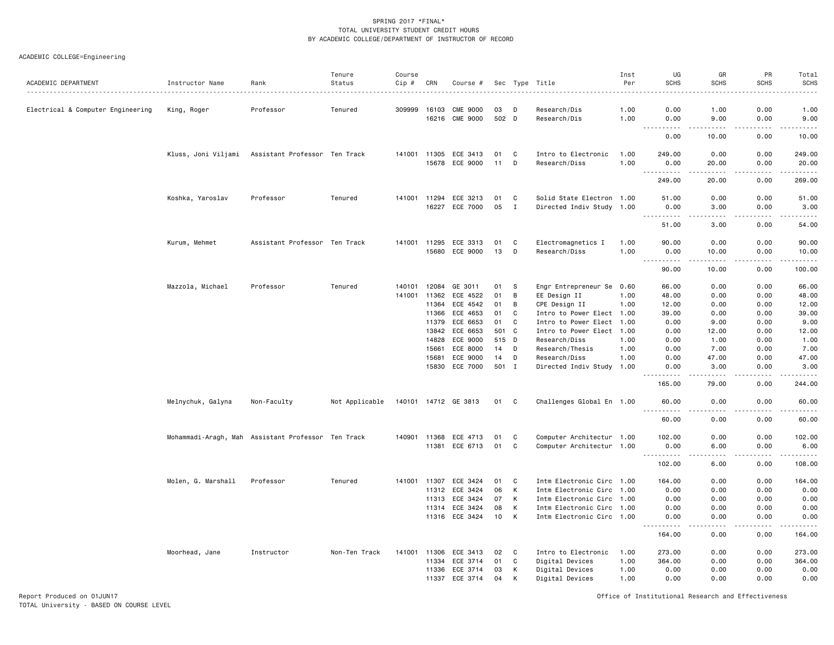# ACADEMIC COLLEGE=Engineering

| ACADEMIC DEPARTMENT               | Instructor Name    | Rank                                               | Tenure<br>Status | Course<br>Cip # | CRN          | Course #             |       |             | Sec Type Title            | Inst<br>Per | UG<br><b>SCHS</b>                  | GR<br><b>SCHS</b>                    | PR<br><b>SCHS</b> | Total<br><b>SCHS</b><br>$\frac{1}{2}$ |
|-----------------------------------|--------------------|----------------------------------------------------|------------------|-----------------|--------------|----------------------|-------|-------------|---------------------------|-------------|------------------------------------|--------------------------------------|-------------------|---------------------------------------|
| Electrical & Computer Engineering | King, Roger        | Professor                                          | Tenured          | 309999          | 16103        | <b>CME 9000</b>      | 03    | D           | Research/Dis              | 1.00        | 0.00                               | 1.00                                 | 0.00              | 1.00                                  |
|                                   |                    |                                                    |                  |                 | 16216        | <b>CME 9000</b>      | 502 D |             | Research/Dis              | 1.00        | 0.00                               | 9.00                                 | 0.00              | 9.00                                  |
|                                   |                    |                                                    |                  |                 |              |                      |       |             |                           |             | 0.00                               | 10.00                                | 0.00              | 10.00                                 |
|                                   |                    | Kluss, Joni Viljami Assistant Professor Ten Track  |                  | 141001 11305    |              | ECE 3413             | 01    | C           | Intro to Electronic       | 1.00        | 249.00                             | 0.00                                 | 0.00              | 249.00                                |
|                                   |                    |                                                    |                  |                 | 15678        | ECE 9000             | 11    | D           | Research/Diss             | 1.00        | 0.00                               | 20.00                                | 0.00              | 20.00                                 |
|                                   |                    |                                                    |                  |                 |              |                      |       |             |                           |             | .<br>$\frac{1}{2}$<br>249.00       | .<br>20.00                           | المستبدا<br>0.00  | .<br>269.00                           |
|                                   | Koshka, Yaroslav   | Professor                                          | Tenured          | 141001          | 11294        | ECE 3213             | 01    | C           | Solid State Electron 1.00 |             | 51.00                              | 0.00                                 | 0.00              | 51.00                                 |
|                                   |                    |                                                    |                  |                 | 16227        | ECE 7000             | 05    | $\mathbf I$ | Directed Indiv Study 1.00 |             | 0.00                               | 3.00                                 | 0.00              | 3.00                                  |
|                                   |                    |                                                    |                  |                 |              |                      |       |             |                           |             | <u>.</u><br>51.00                  | .<br>3.00                            | .<br>0.00         | .<br>54.00                            |
|                                   | Kurum, Mehmet      | Assistant Professor Ten Track                      |                  |                 | 141001 11295 | ECE 3313             | 01    | C           | Electromagnetics I        | 1.00        | 90.00                              | 0.00                                 | 0.00              | 90.00                                 |
|                                   |                    |                                                    |                  |                 | 15680        | ECE 9000             | 13    | D           | Research/Diss             | 1.00        | 0.00                               | 10.00                                | 0.00              | 10.00                                 |
|                                   |                    |                                                    |                  |                 |              |                      |       |             |                           |             | $\sim$ $\sim$ $\sim$<br>.<br>90.00 | $\sim$ $\sim$ $\sim$ $\sim$<br>10.00 | .<br>0.00         | .<br>100.00                           |
|                                   | Mazzola, Michael   | Professor                                          | Tenured          | 140101          | 12084        | GE 3011              | 01    | s           | Engr Entrepreneur Se      | 0.60        | 66.00                              | 0.00                                 | 0.00              | 66.00                                 |
|                                   |                    |                                                    |                  | 141001          | 11362        | ECE 4522             | 01    | B           | EE Design II              | 1.00        | 48.00                              | 0.00                                 | 0.00              | 48.00                                 |
|                                   |                    |                                                    |                  |                 | 11364        | ECE 4542             | 01    | B           | CPE Design II             | 1.00        | 12.00                              | 0.00                                 | 0.00              | 12.00                                 |
|                                   |                    |                                                    |                  |                 | 11366        | ECE 4653             | 01    | C           | Intro to Power Elect 1.00 |             | 39.00                              | 0.00                                 | 0.00              | 39.00                                 |
|                                   |                    |                                                    |                  |                 | 11379        | ECE 6653             | 01    | C           | Intro to Power Elect      | 1.00        | 0.00                               | 9.00                                 | 0.00              | 9.00                                  |
|                                   |                    |                                                    |                  |                 | 13842        | ECE 6653             | 501 C |             | Intro to Power Elect 1.00 |             | 0.00                               | 12.00                                | 0.00              | 12.00                                 |
|                                   |                    |                                                    |                  |                 | 14828        | ECE 9000             | 515 D |             | Research/Diss             | 1.00        | 0.00                               | 1.00                                 | 0.00              | 1.00                                  |
|                                   |                    |                                                    |                  |                 | 15661        | ECE 8000             | 14    | D           | Research/Thesis           | 1.00        | 0.00                               | 7.00                                 | 0.00              | 7.00                                  |
|                                   |                    |                                                    |                  |                 | 15681        | ECE 9000             | 14    | D           | Research/Diss             | 1.00        | 0.00                               | 47.00                                | 0.00              | 47.00                                 |
|                                   |                    |                                                    |                  |                 | 15830        | ECE 7000             | 501 I |             | Directed Indiv Study 1.00 |             | 0.00<br>.                          | 3.00<br>.                            | 0.00<br>.         | 3.00<br>.                             |
|                                   |                    |                                                    |                  |                 |              |                      |       |             |                           |             | 165.00                             | 79.00                                | 0.00              | 244.00                                |
|                                   | Melnychuk, Galyna  | Non-Faculty                                        | Not Applicable   |                 |              | 140101 14712 GE 3813 | 01 C  |             | Challenges Global En 1.00 |             | 60.00                              | 0.00                                 | 0.00              | 60.00                                 |
|                                   |                    |                                                    |                  |                 |              |                      |       |             |                           |             | $ -$<br>.<br>60.00                 | .<br>0.00                            | -----<br>0.00     | .<br>60.00                            |
|                                   |                    | Mohammadi-Aragh, Mah Assistant Professor Ten Track |                  | 140901 11368    |              | ECE 4713             | 01    | C           | Computer Architectur 1.00 |             | 102.00                             | 0.00                                 | 0.00              | 102.00                                |
|                                   |                    |                                                    |                  |                 | 11381        | ECE 6713             | 01    | C           | Computer Architectur 1.00 |             | 0.00                               | 6.00                                 | 0.00              | 6.00                                  |
|                                   |                    |                                                    |                  |                 |              |                      |       |             |                           |             | 102.00                             | 6.00                                 | 0.00              | وعاعات<br>108.00                      |
|                                   | Molen, G. Marshall | Professor                                          | Tenured          | 141001          | 11307        | ECE 3424             | 01    | C           | Intm Electronic Circ 1.00 |             | 164.00                             | 0.00                                 | 0.00              | 164.00                                |
|                                   |                    |                                                    |                  |                 | 11312        | ECE 3424             | 06    | K           | Intm Electronic Circ 1.00 |             | 0.00                               | 0.00                                 | 0.00              | 0.00                                  |
|                                   |                    |                                                    |                  |                 | 11313        | ECE 3424             | 07    | K           | Intm Electronic Circ 1.00 |             | 0.00                               | 0.00                                 | 0.00              | 0.00                                  |
|                                   |                    |                                                    |                  |                 | 11314        | ECE 3424             | 08    | К           | Intm Electronic Circ 1.00 |             | 0.00                               | 0.00                                 | 0.00              | 0.00                                  |
|                                   |                    |                                                    |                  |                 |              | 11316 ECE 3424       | 10    | K           | Intm Electronic Circ 1.00 |             | 0.00<br>.                          | 0.00<br>والمحامر                     | 0.00<br>-----     | 0.00                                  |
|                                   |                    |                                                    |                  |                 |              |                      |       |             |                           |             | 164.00                             | 0.00                                 | 0.00              | 164.00                                |
|                                   | Moorhead, Jane     | Instructor                                         | Non-Ten Track    | 141001          | 11306        | ECE 3413             | 02    | C           | Intro to Electronic       | 1.00        | 273.00                             | 0.00                                 | 0.00              | 273.00                                |
|                                   |                    |                                                    |                  |                 | 11334        | ECE 3714             | 01    | C           | Digital Devices           | 1.00        | 364.00                             | 0.00                                 | 0.00              | 364.00                                |
|                                   |                    |                                                    |                  |                 | 11336        | ECE 3714             | 03    | К           | Digital Devices           | 1.00        | 0.00                               | 0.00                                 | 0.00              | 0.00                                  |
|                                   |                    |                                                    |                  |                 | 11337        | ECE 3714             | 04    | К           | Digital Devices           | 1.00        | 0.00                               | 0.00                                 | 0.00              | 0.00                                  |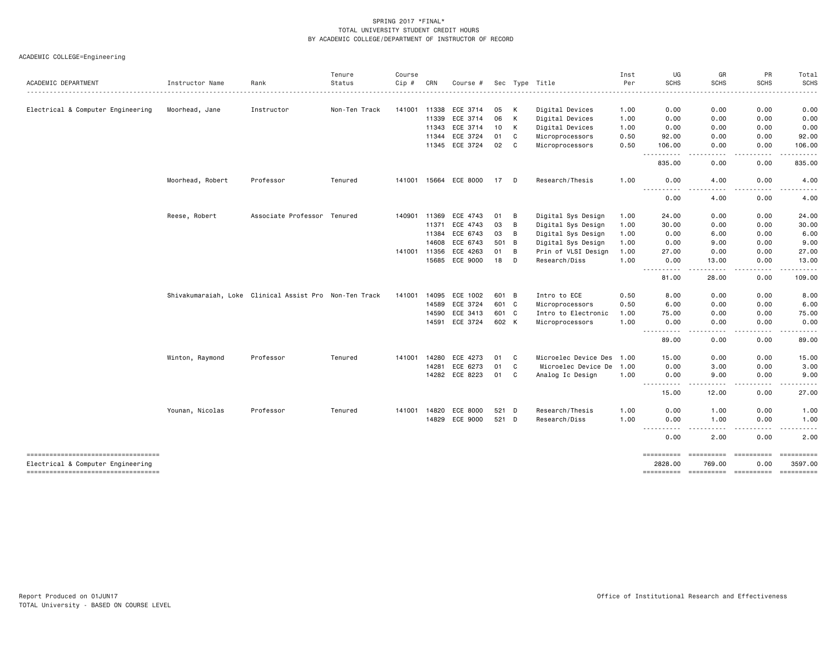ACADEMIC COLLEGE=Engineering

|                                                                             |                                                        |                             | Tenure        | Course |       |                |       |   |                           | Inst | UG                                                                                                                                                                                                                                                                                        | GR              | PR<br><b>SCHS</b>                                                                                                                 | Total<br><b>SCHS</b>                                                                                   |
|-----------------------------------------------------------------------------|--------------------------------------------------------|-----------------------------|---------------|--------|-------|----------------|-------|---|---------------------------|------|-------------------------------------------------------------------------------------------------------------------------------------------------------------------------------------------------------------------------------------------------------------------------------------------|-----------------|-----------------------------------------------------------------------------------------------------------------------------------|--------------------------------------------------------------------------------------------------------|
| ACADEMIC DEPARTMENT                                                         | Instructor Name                                        | Rank                        | Status        | Cip#   | CRN   | Course #       |       |   | Sec Type Title            | Per  | <b>SCHS</b>                                                                                                                                                                                                                                                                               | <b>SCHS</b>     |                                                                                                                                   |                                                                                                        |
| Electrical & Computer Engineering                                           | Moorhead, Jane                                         | Instructor                  | Non-Ten Track | 141001 | 11338 | ECE 3714       | 05    | К | Digital Devices           | 1.00 | 0.00                                                                                                                                                                                                                                                                                      | 0.00            | 0.00                                                                                                                              | 0.00                                                                                                   |
|                                                                             |                                                        |                             |               |        | 11339 | ECE 3714       | 06    | К | Digital Devices           | 1.00 | 0.00                                                                                                                                                                                                                                                                                      | 0.00            | 0.00                                                                                                                              | 0.00                                                                                                   |
|                                                                             |                                                        |                             |               |        | 11343 | ECE 3714       | 10    | K | Digital Devices           | 1.00 | 0.00                                                                                                                                                                                                                                                                                      | 0.00            | 0.00                                                                                                                              | 0.00                                                                                                   |
|                                                                             |                                                        |                             |               |        | 11344 | ECE 3724       | 01    | C | Microprocessors           | 0.50 | 92.00                                                                                                                                                                                                                                                                                     | 0.00            | 0.00                                                                                                                              | 92.00                                                                                                  |
|                                                                             |                                                        |                             |               |        | 11345 | ECE 3724       | 02    | C | Microprocessors           | 0.50 | 106.00<br>$\sim$ $\sim$ $\sim$<br>.                                                                                                                                                                                                                                                       | 0.00            | 0.00<br>$\sim$ $\sim$ $\sim$ $\sim$                                                                                               | 106.00<br>د د د د د                                                                                    |
|                                                                             |                                                        |                             |               |        |       |                |       |   |                           |      | 835.00                                                                                                                                                                                                                                                                                    | 0.00            | 0.00                                                                                                                              | 835.00                                                                                                 |
|                                                                             | Moorhead, Robert                                       | Professor                   | Tenured       | 141001 | 15664 | ECE 8000       | 17    | D | Research/Thesis           | 1.00 | 0.00                                                                                                                                                                                                                                                                                      | 4.00            | 0.00                                                                                                                              | 4.00                                                                                                   |
|                                                                             |                                                        |                             |               |        |       |                |       |   |                           |      | $\frac{1}{2} \left( \frac{1}{2} \right) \left( \frac{1}{2} \right) \left( \frac{1}{2} \right) \left( \frac{1}{2} \right)$<br>$\frac{1}{2} \left( \frac{1}{2} \right) \left( \frac{1}{2} \right) \left( \frac{1}{2} \right) \left( \frac{1}{2} \right) \left( \frac{1}{2} \right)$<br>0.00 | .<br>4.00       | $\frac{1}{2} \left( \frac{1}{2} \right) \left( \frac{1}{2} \right) \left( \frac{1}{2} \right) \left( \frac{1}{2} \right)$<br>0.00 | $- - - - -$<br>4.00                                                                                    |
|                                                                             | Reese, Robert                                          | Associate Professor Tenured |               | 140901 | 11369 | ECE 4743       | 01    | B | Digital Sys Design        | 1.00 | 24.00                                                                                                                                                                                                                                                                                     | 0.00            | 0.00                                                                                                                              | 24.00                                                                                                  |
|                                                                             |                                                        |                             |               |        | 11371 | ECE 4743       | 03    | B | Digital Sys Design        | 1.00 | 30.00                                                                                                                                                                                                                                                                                     | 0.00            | 0.00                                                                                                                              | 30.00                                                                                                  |
|                                                                             |                                                        |                             |               |        | 11384 | ECE 6743       | 03    | B | Digital Sys Design        | 1.00 | 0.00                                                                                                                                                                                                                                                                                      | 6.00            | 0.00                                                                                                                              | 6.00                                                                                                   |
|                                                                             |                                                        |                             |               |        | 14608 | ECE 6743       | 501   | B | Digital Sys Design        | 1.00 | 0.00                                                                                                                                                                                                                                                                                      | 9.00            | 0.00                                                                                                                              | 9.00                                                                                                   |
|                                                                             |                                                        |                             |               | 141001 | 11356 | ECE 4263       | 01    | B | Prin of VLSI Design       | 1.00 | 27.00                                                                                                                                                                                                                                                                                     | 0.00            | 0.00                                                                                                                              | 27.00                                                                                                  |
|                                                                             |                                                        |                             |               |        | 15685 | ECE 9000       | 18    | D | Research/Diss             | 1.00 | 0.00<br>$\frac{1}{2} \left( \frac{1}{2} \right) \left( \frac{1}{2} \right) \left( \frac{1}{2} \right) \left( \frac{1}{2} \right) \left( \frac{1}{2} \right)$                                                                                                                              | 13.00           | 0.00<br>.                                                                                                                         | 13,00<br>. <u>.</u>                                                                                    |
|                                                                             |                                                        |                             |               |        |       |                |       |   |                           |      | 81.00                                                                                                                                                                                                                                                                                     | 28.00           | 0.00                                                                                                                              | 109.00                                                                                                 |
|                                                                             | Shivakumaraiah, Loke Clinical Assist Pro Non-Ten Track |                             |               | 141001 | 14095 | ECE 1002       | 601 B |   | Intro to ECE              | 0.50 | 8.00                                                                                                                                                                                                                                                                                      | 0.00            | 0.00                                                                                                                              | 8.00                                                                                                   |
|                                                                             |                                                        |                             |               |        | 14589 | ECE 3724       | 601 C |   | Microprocessors           | 0.50 | 6.00                                                                                                                                                                                                                                                                                      | 0.00            | 0.00                                                                                                                              | 6.00                                                                                                   |
|                                                                             |                                                        |                             |               |        | 14590 | ECE 3413       | 601 C |   | Intro to Electronic       | 1.00 | 75.00                                                                                                                                                                                                                                                                                     | 0.00            | 0.00                                                                                                                              | 75.00                                                                                                  |
|                                                                             |                                                        |                             |               |        |       | 14591 ECE 3724 | 602 K |   | Microprocessors           | 1.00 | 0.00<br>$- - -$<br>$\frac{1}{2} \left( \frac{1}{2} \right) \left( \frac{1}{2} \right) \left( \frac{1}{2} \right) \left( \frac{1}{2} \right)$                                                                                                                                              | 0.00<br>.       | 0.00<br>.                                                                                                                         | 0.00<br>$- - - - -$                                                                                    |
|                                                                             |                                                        |                             |               |        |       |                |       |   |                           |      | 89.00                                                                                                                                                                                                                                                                                     | 0.00            | 0.00                                                                                                                              | 89.00                                                                                                  |
|                                                                             | Winton, Raymond                                        | Professor                   | Tenured       | 141001 | 14280 | ECE 4273       | 01    | C | Microelec Device Des 1.00 |      | 15.00                                                                                                                                                                                                                                                                                     | 0.00            | 0.00                                                                                                                              | 15.00                                                                                                  |
|                                                                             |                                                        |                             |               |        | 14281 | ECE 6273       | 01    | C | Microelec Device De       | 1.00 | 0.00                                                                                                                                                                                                                                                                                      | 3.00            | 0.00                                                                                                                              | 3.00                                                                                                   |
|                                                                             |                                                        |                             |               |        | 14282 | ECE 8223       | 01    | C | Analog Ic Design          | 1.00 | 0.00                                                                                                                                                                                                                                                                                      | 9.00<br>- - - - | 0.00<br>.                                                                                                                         | 9.00<br>-----                                                                                          |
|                                                                             |                                                        |                             |               |        |       |                |       |   |                           |      | .<br>15.00                                                                                                                                                                                                                                                                                | 12.00           | 0.00                                                                                                                              | 27.00                                                                                                  |
|                                                                             | Younan, Nicolas                                        | Professor                   | Tenured       | 141001 | 14820 | ECE 8000       | 521   | D | Research/Thesis           | 1.00 | 0.00                                                                                                                                                                                                                                                                                      | 1.00            | 0.00                                                                                                                              | 1.00                                                                                                   |
|                                                                             |                                                        |                             |               |        | 14829 | ECE 9000       | 521 D |   | Research/Diss             | 1.00 | 0.00                                                                                                                                                                                                                                                                                      | 1.00            | 0.00<br>.                                                                                                                         | 1.00<br>-----                                                                                          |
|                                                                             |                                                        |                             |               |        |       |                |       |   |                           |      | -----<br>0.00                                                                                                                                                                                                                                                                             | 2.00            | 0.00                                                                                                                              | $\frac{1}{2} \left( \frac{1}{2} \right) \left( \frac{1}{2} \right) \left( \frac{1}{2} \right)$<br>2.00 |
| ----------------------------------                                          |                                                        |                             |               |        |       |                |       |   |                           |      | ==========                                                                                                                                                                                                                                                                                | ==========      | ==========                                                                                                                        |                                                                                                        |
| Electrical & Computer Engineering<br>====================================== |                                                        |                             |               |        |       |                |       |   |                           |      | 2828.00                                                                                                                                                                                                                                                                                   | 769.00          | 0.00                                                                                                                              | 3597.00                                                                                                |
|                                                                             |                                                        |                             |               |        |       |                |       |   |                           |      |                                                                                                                                                                                                                                                                                           |                 |                                                                                                                                   |                                                                                                        |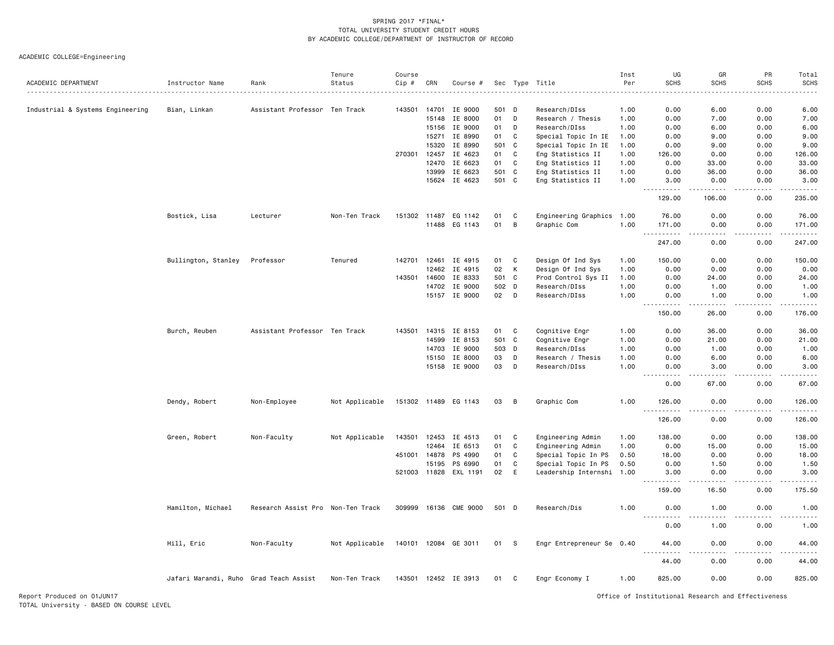ACADEMIC COLLEGE=Engineering

|                                  |                                        |                                   | Tenure         | Course |                |                       |          |        |                                      | Inst         | UG                                                                                                                                                           | GR                                                                                                                                                           | PR                | Total           |
|----------------------------------|----------------------------------------|-----------------------------------|----------------|--------|----------------|-----------------------|----------|--------|--------------------------------------|--------------|--------------------------------------------------------------------------------------------------------------------------------------------------------------|--------------------------------------------------------------------------------------------------------------------------------------------------------------|-------------------|-----------------|
| ACADEMIC DEPARTMENT              | Instructor Name                        | Rank                              | Status         | Cip #  | CRN            | Course #              |          |        | Sec Type Title                       | Per          | <b>SCHS</b>                                                                                                                                                  | <b>SCHS</b>                                                                                                                                                  | <b>SCHS</b>       | <b>SCHS</b>     |
|                                  |                                        |                                   |                |        |                |                       |          |        |                                      |              |                                                                                                                                                              |                                                                                                                                                              |                   |                 |
| Industrial & Systems Engineering | Bian, Linkan                           | Assistant Professor Ten Track     |                | 143501 | 14701          | IE 9000               | 501      | D      | Research/DIss                        | 1.00         | 0.00                                                                                                                                                         | 6.00                                                                                                                                                         | 0.00              | 6.00            |
|                                  |                                        |                                   |                |        | 15148          | IE 8000               | 01       | D      | Research / Thesis                    | 1.00         | 0.00                                                                                                                                                         | 7.00                                                                                                                                                         | 0.00              | 7.00            |
|                                  |                                        |                                   |                |        | 15156<br>15271 | IE 9000<br>IE 8990    | 01<br>01 | D<br>C | Research/DIss<br>Special Topic In IE | 1.00<br>1.00 | 0.00<br>0.00                                                                                                                                                 | 6.00<br>9.00                                                                                                                                                 | 0.00<br>0.00      | 6.00<br>9.00    |
|                                  |                                        |                                   |                |        | 15320          | IE 8990               | 501      | C      | Special Topic In IE                  | 1.00         | 0.00                                                                                                                                                         | 9.00                                                                                                                                                         | 0.00              | 9.00            |
|                                  |                                        |                                   |                | 270301 | 12457          | IE 4623               | 01       | C      | Eng Statistics II                    | 1.00         | 126.00                                                                                                                                                       | 0.00                                                                                                                                                         | 0.00              | 126.00          |
|                                  |                                        |                                   |                |        | 12470          | IE 6623               | 01       | C      | Eng Statistics II                    | 1.00         | 0.00                                                                                                                                                         | 33.00                                                                                                                                                        | 0.00              | 33.00           |
|                                  |                                        |                                   |                |        | 13999          | IE 6623               | 501      | C      | Eng Statistics II                    | 1.00         | 0.00                                                                                                                                                         | 36.00                                                                                                                                                        | 0.00              | 36.00           |
|                                  |                                        |                                   |                |        | 15624          | IE 4623               | 501 C    |        | Eng Statistics II                    | 1.00         | 3.00                                                                                                                                                         | 0.00                                                                                                                                                         | 0.00              | 3.00            |
|                                  |                                        |                                   |                |        |                |                       |          |        |                                      |              | .<br>129.00                                                                                                                                                  | 106.00                                                                                                                                                       | 0.00              | 235.00          |
|                                  | Bostick, Lisa                          | Lecturer                          | Non-Ten Track  |        | 151302 11487   | EG 1142               | 01       | C      | Engineering Graphics 1.00            |              | 76.00                                                                                                                                                        | 0.00                                                                                                                                                         | 0.00              | 76.00           |
|                                  |                                        |                                   |                |        |                | 11488 EG 1143         | 01       | B      | Graphic Com                          | 1.00         | 171.00                                                                                                                                                       | 0.00                                                                                                                                                         | 0.00              | 171.00          |
|                                  |                                        |                                   |                |        |                |                       |          |        |                                      |              | $\frac{1}{2}$<br>.<br>247.00                                                                                                                                 | $\sim$ $\sim$ $\sim$ $\sim$<br>0.00                                                                                                                          | المستبدا<br>0.00  | -----<br>247.00 |
|                                  | Bullington, Stanley                    | Professor                         | Tenured        |        |                | 142701 12461 IE 4915  | 01       | C      | Design Of Ind Sys                    | 1.00         | 150.00                                                                                                                                                       | 0.00                                                                                                                                                         | 0.00              | 150.00          |
|                                  |                                        |                                   |                |        | 12462          | IE 4915               | 02       | K      | Design Of Ind Sys                    | 1.00         | 0.00                                                                                                                                                         | 0.00                                                                                                                                                         | 0.00              | 0.00            |
|                                  |                                        |                                   |                | 143501 | 14600          | IE 8333               | 501      | C      | Prod Control Sys II                  | 1.00         | 0.00                                                                                                                                                         | 24.00                                                                                                                                                        | 0.00              | 24.00           |
|                                  |                                        |                                   |                |        | 14702          | IE 9000               | 502      | D      | Research/DIss                        | 1.00         | 0.00                                                                                                                                                         | 1.00                                                                                                                                                         | 0.00              | 1.00            |
|                                  |                                        |                                   |                |        | 15157          | IE 9000               | 02       | D      | Research/DIss                        | 1.00         | 0.00<br>$\frac{1}{2} \left( \frac{1}{2} \right) \left( \frac{1}{2} \right) \left( \frac{1}{2} \right) \left( \frac{1}{2} \right) \left( \frac{1}{2} \right)$ | 1.00<br>$\frac{1}{2} \left( \frac{1}{2} \right) \left( \frac{1}{2} \right) \left( \frac{1}{2} \right) \left( \frac{1}{2} \right) \left( \frac{1}{2} \right)$ | 0.00<br>.         | 1.00<br>.       |
|                                  |                                        |                                   |                |        |                |                       |          |        |                                      |              | 150.00                                                                                                                                                       | 26.00                                                                                                                                                        | 0.00              | 176.00          |
|                                  | Burch, Reuben                          | Assistant Professor Ten Track     |                | 143501 |                | 14315 IE 8153         | 01       | C      | Cognitive Engr                       | 1.00         | 0.00                                                                                                                                                         | 36.00                                                                                                                                                        | 0.00              | 36.00           |
|                                  |                                        |                                   |                |        | 14599          | IE 8153               | 501      | C      | Cognitive Engr                       | 1.00         | 0.00                                                                                                                                                         | 21.00                                                                                                                                                        | 0.00              | 21.00           |
|                                  |                                        |                                   |                |        | 14703          | IE 9000               | 503      | D      | Research/DIss                        | 1.00         | 0.00                                                                                                                                                         | 1.00                                                                                                                                                         | 0.00              | 1.00            |
|                                  |                                        |                                   |                |        | 15150          | IE 8000               | 03       | D      | Research / Thesis                    | 1.00         | 0.00                                                                                                                                                         | 6.00                                                                                                                                                         | 0.00              | 6.00            |
|                                  |                                        |                                   |                |        |                | 15158 IE 9000         | 03       | D      | Research/DIss                        | 1.00         | 0.00<br>المتمام المنا<br>$- - -$                                                                                                                             | 3.00<br>.                                                                                                                                                    | 0.00<br>.         | 3.00<br>.       |
|                                  |                                        |                                   |                |        |                |                       |          |        |                                      |              | 0.00                                                                                                                                                         | 67.00                                                                                                                                                        | 0.00              | 67.00           |
|                                  | Dendy, Robert                          | Non-Employee                      | Not Applicable |        |                | 151302 11489 EG 1143  | 03       | B      | Graphic Com                          | 1.00         | 126.00<br>$\sim$ $\sim$ $\sim$<br>.                                                                                                                          | 0.00<br>.                                                                                                                                                    | 0.00<br>$- - - -$ | 126.00<br>.     |
|                                  |                                        |                                   |                |        |                |                       |          |        |                                      |              | 126.00                                                                                                                                                       | 0.00                                                                                                                                                         | 0.00              | 126.00          |
|                                  | Green, Robert                          | Non-Faculty                       | Not Applicable | 143501 | 12453          | IE 4513               | 01       | C      | Engineering Admin                    | 1.00         | 138.00                                                                                                                                                       | 0.00                                                                                                                                                         | 0.00              | 138.00          |
|                                  |                                        |                                   |                |        | 12464          | IE 6513               | 01       | C      | Engineering Admin                    | 1.00         | 0.00                                                                                                                                                         | 15.00                                                                                                                                                        | 0.00              | 15.00           |
|                                  |                                        |                                   |                |        | 451001 14878   | PS 4990               | 01       | C      | Special Topic In PS                  | 0.50         | 18.00                                                                                                                                                        | 0.00                                                                                                                                                         | 0.00              | 18.00           |
|                                  |                                        |                                   |                |        | 15195          | PS 6990               | 01       | C      | Special Topic In PS                  | 0.50         | 0.00                                                                                                                                                         | 1.50                                                                                                                                                         | 0.00              | 1.50            |
|                                  |                                        |                                   |                |        |                | 521003 11828 EXL 1191 | 02       | E      | Leadership Internshi 1.00            |              | 3.00<br><u>.</u>                                                                                                                                             | 0.00                                                                                                                                                         | 0.00              | 3.00<br>.       |
|                                  |                                        |                                   |                |        |                |                       |          |        |                                      |              | 159.00                                                                                                                                                       | 16.50                                                                                                                                                        | 0.00              | 175.50          |
|                                  | Hamilton, Michael                      | Research Assist Pro Non-Ten Track |                |        |                | 309999 16136 CME 9000 | 501 D    |        | Research/Dis                         | 1.00         | 0.00                                                                                                                                                         | 1.00                                                                                                                                                         | 0.00              | 1.00            |
|                                  |                                        |                                   |                |        |                |                       |          |        |                                      |              | 0.00                                                                                                                                                         | 1.00                                                                                                                                                         | 0.00              | 1.00            |
|                                  | Hill, Eric                             | Non-Faculty                       | Not Applicable |        |                | 140101 12084 GE 3011  | 01       | - S    | Engr Entrepreneur Se 0.40            |              | 44.00                                                                                                                                                        | 0.00                                                                                                                                                         | 0.00              | 44.00           |
|                                  |                                        |                                   |                |        |                |                       |          |        |                                      |              | 44.00                                                                                                                                                        | 0.00                                                                                                                                                         | 0.00              | 44.00           |
|                                  | Jafari Marandi, Ruho Grad Teach Assist |                                   | Non-Ten Track  |        |                | 143501 12452 IE 3913  | 01       | C      | Engr Economy I                       | 1.00         | 825.00                                                                                                                                                       | 0.00                                                                                                                                                         | 0.00              | 825.00          |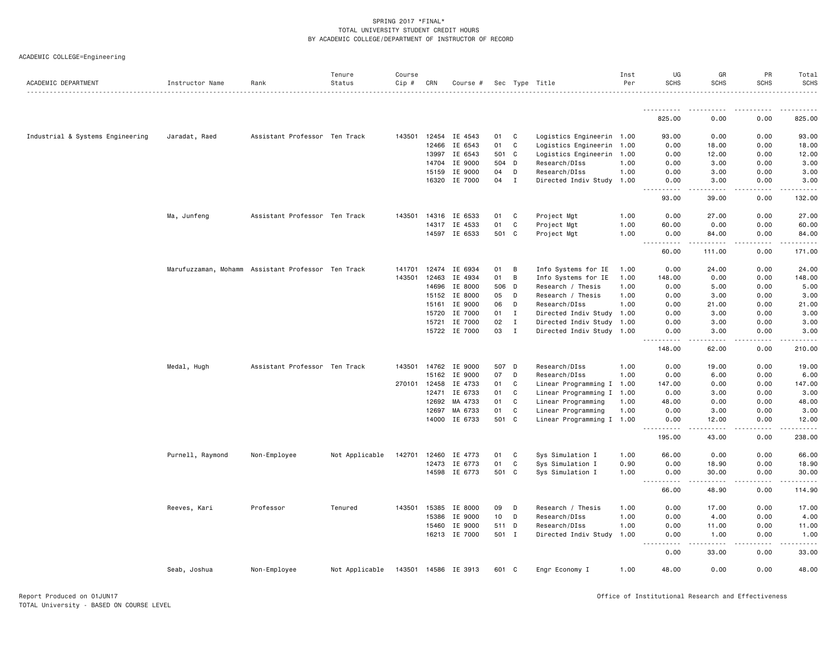|  | ACADEMIC COLLEGE=Engineering |  |
|--|------------------------------|--|
|--|------------------------------|--|

| ACADEMIC DEPARTMENT<br>Instructor Name<br>Rank<br>Status<br>Cip #<br>CRN<br>Course #<br>Sec Type Title                      |                                | <b>SCHS</b><br>Per                     | <b>SCHS</b><br>.     | <b>SCHS</b> | <b>SCHS</b>   |
|-----------------------------------------------------------------------------------------------------------------------------|--------------------------------|----------------------------------------|----------------------|-------------|---------------|
|                                                                                                                             |                                | <u>.</u>                               |                      | <u>.</u>    |               |
|                                                                                                                             |                                | 825.00                                 | 0.00                 | 0.00        | 825.00        |
| Industrial & Systems Engineering<br>Assistant Professor Ten Track<br>12454<br>IE 4543<br>Jaradat, Raed<br>143501<br>01<br>C | Logistics Engineerin 1.00      | 93.00                                  | 0.00                 | 0.00        | 93.00         |
| 12466<br>IE 6543<br>01<br>C                                                                                                 | Logistics Engineerin 1.00      | 0.00                                   | 18.00                | 0.00        | 18.00         |
| 13997<br>IE 6543<br>501 C                                                                                                   | Logistics Engineerin           | 1.00<br>0.00                           | 12.00                | 0.00        | 12.00         |
| IE 9000<br>504 D<br>14704                                                                                                   | Research/DIss                  | 0.00<br>1.00                           | 3.00                 | 0.00        | 3.00          |
| IE 9000<br>15159<br>04<br>D                                                                                                 | Research/DIss                  | 0.00<br>1.00                           | 3.00                 | 0.00        | 3.00          |
| 16320 IE 7000<br>04<br>$\mathbf I$                                                                                          | Directed Indiv Study 1.00      | 0.00                                   | 3.00                 | 0.00        | 3.00          |
|                                                                                                                             |                                | .<br>93.00                             | -----<br>39.00       | 0.00        | 132.00        |
| Ma, Junfeng<br>Assistant Professor Ten Track<br>143501<br>14316 IE 6533<br>01<br>C                                          | Project Mgt                    | 0.00<br>1.00                           | 27.00                | 0.00        | 27.00         |
| IE 4533<br>01<br>C<br>14317                                                                                                 | Project Mgt                    | 1.00<br>60.00                          | 0.00                 | 0.00        | 60.00         |
| 14597 IE 6533<br>501 C                                                                                                      | Project Mgt                    | 1.00<br>0.00                           | 84.00                | 0.00        | 84.00         |
|                                                                                                                             |                                | . <b>.</b><br>60.00                    | .<br>111.00          | .<br>0.00   | .<br>171.00   |
| Marufuzzaman, Mohamm Assistant Professor Ten Track<br>12474<br>141701<br>IE 6934<br>01<br>B                                 | Info Systems for IE            | 1.00<br>0.00                           | 24.00                | 0.00        | 24.00         |
| 143501<br>12463<br>IE 4934<br>01<br>B                                                                                       | Info Systems for IE            | 1.00<br>148.00                         | 0.00                 | 0.00        | 148.00        |
| 14696<br>IE 8000<br>506<br>D                                                                                                | Research / Thesis              | 1.00<br>0.00                           | 5.00                 | 0.00        | 5.00          |
| 15152<br>IE 8000<br>05<br>D                                                                                                 | Research / Thesis              | 0.00<br>1.00                           | 3.00                 | 0.00        | 3.00          |
| IE 9000<br>06<br>D<br>15161                                                                                                 | Research/DIss                  | 0.00<br>1.00                           | 21.00                | 0.00        | 21.00         |
| IE 7000<br>15720<br>01<br>Ι.                                                                                                | Directed Indiv Study           | 1.00<br>0.00                           | 3.00                 | 0.00        | 3.00          |
| IE 7000<br>02<br>$\mathbf{I}$<br>15721                                                                                      | Directed Indiv Study 1.00      | 0.00                                   | 3.00                 | 0.00        | 3.00          |
| 15722 IE 7000<br>03<br>$\mathbf{I}$                                                                                         | Directed Indiv Study 1.00      | 0.00                                   | 3.00                 | 0.00        | 3.00          |
|                                                                                                                             |                                | $\frac{1}{2}$<br>$- - - - -$<br>148.00 | $- - - - -$<br>62.00 | .<br>0.00   | 210.00        |
| Assistant Professor Ten Track                                                                                               |                                |                                        |                      |             |               |
| Medal, Hugh<br>143501<br>14762<br>IE 9000<br>507 D<br>15162<br>IE 9000<br>07<br>D                                           | Research/DIss<br>Research/DIss | 1.00<br>0.00<br>1.00<br>0.00           | 19.00<br>6.00        | 0.00        | 19.00<br>6.00 |
|                                                                                                                             |                                |                                        |                      | 0.00        |               |
| 270101 12458<br>IE 4733<br>C<br>01                                                                                          | Linear Programming I 1.00      | 147.00                                 | 0.00                 | 0.00        | 147.00        |
| $\mathbf c$<br>12471<br>IE 6733<br>01                                                                                       | Linear Programming I           | 0.00<br>1.00                           | 3.00                 | 0.00        | 3.00          |
| MA 4733<br>12692<br>01<br>C                                                                                                 | Linear Programming             | 1.00<br>48.00                          | 0.00                 | 0.00        | 48.00         |
| MA 6733<br>01<br>C<br>12697<br>501 C                                                                                        | Linear Programming             | 0.00<br>1.00                           | 3.00                 | 0.00        | 3.00          |
| 14000 IE 6733                                                                                                               | Linear Programming I 1.00      | 0.00<br>$- - - - -$                    | 12.00<br>$- - - - -$ | 0.00<br>.   | 12.00<br>.    |
|                                                                                                                             |                                | 195.00                                 | 43.00                | 0.00        | 238.00        |
| Purnell, Raymond<br>Non-Employee<br>Not Applicable<br>142701<br>12460<br>IE 4773<br>01<br>C                                 | Sys Simulation I               | 1.00<br>66.00                          | 0.00                 | 0.00        | 66.00         |
| IE 6773<br>01<br>C<br>12473                                                                                                 | Sys Simulation I               | 0.90<br>0.00                           | 18.90                | 0.00        | 18.90         |
| 14598 IE 6773<br>501 C                                                                                                      | Sys Simulation I               | 1.00<br>0.00                           | 30.00                | 0.00        | 30.00         |
|                                                                                                                             |                                | ----<br>66.00                          | 48.90                | 0.00        | 114.90        |
| Professor<br>Reeves, Kari<br>Tenured<br>143501<br>15385<br>IE 8000<br>09<br>D                                               | Research / Thesis              | 1.00<br>0.00                           | 17.00                | 0.00        | 17.00         |
| 15386<br>IE 9000<br>10<br>D                                                                                                 | Research/DIss                  | 0.00<br>1.00                           | 4.00                 | 0.00        | 4.00          |
| IE 9000<br>511 D<br>15460                                                                                                   | Research/DIss                  | 0.00<br>1.00                           | 11.00                | 0.00        | 11.00         |
| 16213 IE 7000<br>501 I                                                                                                      | Directed Indiv Study           | 1.00<br>0.00                           | 1.00                 | 0.00        | 1.00          |
|                                                                                                                             |                                | .<br>0.00                              | $- - - - -$<br>33.00 | 0.00        | 33.00         |
| Seab, Joshua<br>Non-Employee<br>Not Applicable<br>143501 14586 IE 3913<br>601 C                                             | Engr Economy I                 | 1.00<br>48.00                          | 0.00                 | 0.00        | 48.00         |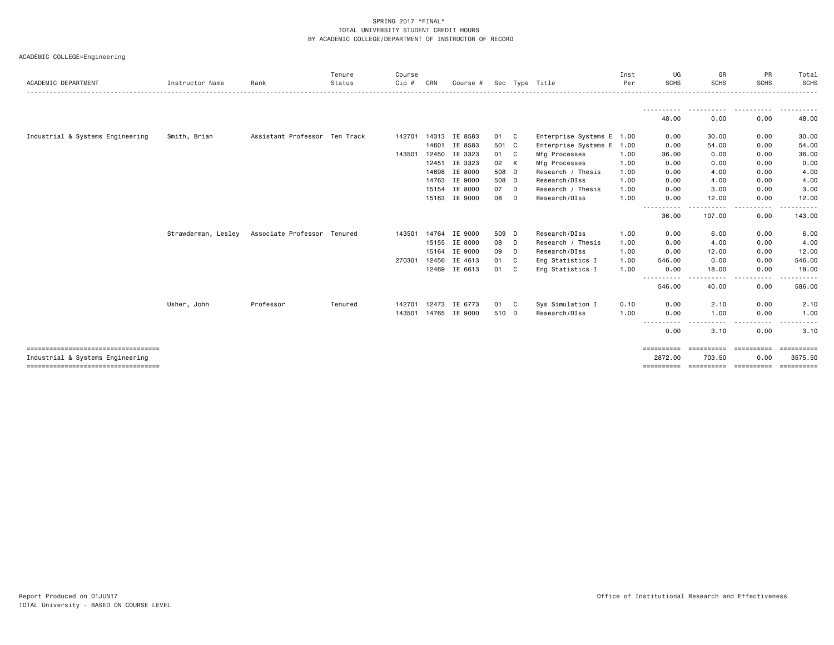| ACADEMIC COLLEGE=Engineering |  |  |  |  |
|------------------------------|--|--|--|--|
|------------------------------|--|--|--|--|

| ACADEMIC DEPARTMENT                                                      | Instructor Name     | Rank                          | Tenure<br>Status | Course<br>Cip# | CRN   | Course #      | Sec   |              | Tvpe Title                | Inst<br>Per | UG<br><b>SCHS</b>                  | GR<br><b>SCHS</b>                                                                                                                                                                                                                                                                                                                                                                                                                                                                   | <b>PR</b><br><b>SCHS</b> | Total<br><b>SCHS</b><br><u>.</u> |
|--------------------------------------------------------------------------|---------------------|-------------------------------|------------------|----------------|-------|---------------|-------|--------------|---------------------------|-------------|------------------------------------|-------------------------------------------------------------------------------------------------------------------------------------------------------------------------------------------------------------------------------------------------------------------------------------------------------------------------------------------------------------------------------------------------------------------------------------------------------------------------------------|--------------------------|----------------------------------|
|                                                                          |                     |                               |                  |                |       |               |       |              |                           |             |                                    |                                                                                                                                                                                                                                                                                                                                                                                                                                                                                     |                          |                                  |
|                                                                          |                     |                               |                  |                |       |               |       |              |                           |             | 48.00                              | 0.00                                                                                                                                                                                                                                                                                                                                                                                                                                                                                | 0.00                     | 48.00                            |
| Industrial & Systems Engineering                                         | Smith, Brian        | Assistant Professor Ten Track |                  | 142701         |       | 14313 IE 8583 | 01 C  |              | Enterprise Systems E 1.00 |             | 0.00                               | 30.00                                                                                                                                                                                                                                                                                                                                                                                                                                                                               | 0.00                     | 30.00                            |
|                                                                          |                     |                               |                  |                | 14601 | IE 8583       | 501 C |              | Enterprise Systems E 1.00 |             | 0.00                               | 54.00                                                                                                                                                                                                                                                                                                                                                                                                                                                                               | 0.00                     | 54.00                            |
|                                                                          |                     |                               |                  | 143501         | 12450 | IE 3323       | 01 C  |              | Mfg Processes             | 1.00        | 36.00                              | 0.00                                                                                                                                                                                                                                                                                                                                                                                                                                                                                | 0.00                     | 36.00                            |
|                                                                          |                     |                               |                  |                | 12451 | IE 3323       | 02    | K            | Mfg Processes             | 1.00        | 0.00                               | 0.00                                                                                                                                                                                                                                                                                                                                                                                                                                                                                | 0.00                     | 0.00                             |
|                                                                          |                     |                               |                  |                | 14698 | IE 8000       | 508 D |              | Research / Thesis         | 1.00        | 0.00                               | 4.00                                                                                                                                                                                                                                                                                                                                                                                                                                                                                | 0.00                     | 4.00                             |
|                                                                          |                     |                               |                  |                |       | 14763 IE 9000 | 508 D |              | Research/DIss             | 1.00        | 0.00                               | 4.00                                                                                                                                                                                                                                                                                                                                                                                                                                                                                | 0.00                     | 4.00                             |
|                                                                          |                     |                               |                  |                |       | 15154 IE 8000 | 07    | D            | Research / Thesis         | 1.00        | 0.00                               | 3.00                                                                                                                                                                                                                                                                                                                                                                                                                                                                                | 0.00                     | 3.00                             |
|                                                                          |                     |                               |                  |                |       | 15163 IE 9000 | 08    | D            | Research/DIss             | 1.00        | 0.00                               | 12.00                                                                                                                                                                                                                                                                                                                                                                                                                                                                               | 0.00                     | 12.00                            |
|                                                                          |                     |                               |                  |                |       |               |       |              |                           |             | $\frac{1}{2}$<br>$\cdots$<br>36.00 | 107.00                                                                                                                                                                                                                                                                                                                                                                                                                                                                              | . <b>.</b> .<br>0.00     | 143.00                           |
|                                                                          | Strawderman, Lesley | Associate Professor Tenured   |                  | 143501         | 14764 | IE 9000       | 509 D |              | Research/DIss             | 1.00        | 0.00                               | 6.00                                                                                                                                                                                                                                                                                                                                                                                                                                                                                | 0.00                     | 6.00                             |
|                                                                          |                     |                               |                  |                |       | 15155 IE 8000 | 08    | D            | Research / Thesis         | 1.00        | 0.00                               | 4.00                                                                                                                                                                                                                                                                                                                                                                                                                                                                                | 0.00                     | 4.00                             |
|                                                                          |                     |                               |                  |                | 15164 | IE 9000       | 09    | D            | Research/DIss             | 1.00        | 0.00                               | 12.00                                                                                                                                                                                                                                                                                                                                                                                                                                                                               | 0.00                     | 12.00                            |
|                                                                          |                     |                               |                  | 270301         | 12456 | IE 4613       | 01    | - C          | Eng Statistics I          | 1.00        | 546.00                             | 0.00                                                                                                                                                                                                                                                                                                                                                                                                                                                                                | 0.00                     | 546.00                           |
|                                                                          |                     |                               |                  |                |       | 12469 IE 6613 | 01    | $\mathbf{C}$ | Eng Statistics I          | 1.00        | 0.00                               | 18.00                                                                                                                                                                                                                                                                                                                                                                                                                                                                               | 0.00                     | 18.00                            |
|                                                                          |                     |                               |                  |                |       |               |       |              |                           |             | 546.00                             | 40.00                                                                                                                                                                                                                                                                                                                                                                                                                                                                               | .<br>0.00                | 586.00                           |
|                                                                          | Usher, John         | Professor                     | Tenured          | 142701         | 12473 | IE 6773       | 01 C  |              | Sys Simulation I          | 0.10        | 0.00                               | 2.10                                                                                                                                                                                                                                                                                                                                                                                                                                                                                | 0.00                     | 2.10                             |
|                                                                          |                     |                               |                  | 143501         |       | 14765 IE 9000 | 510 D |              | Research/DIss             | 1.00        | 0.00                               | 1.00                                                                                                                                                                                                                                                                                                                                                                                                                                                                                | 0.00                     | 1.00                             |
|                                                                          |                     |                               |                  |                |       |               |       |              |                           |             | .<br>0.00                          | 3.10                                                                                                                                                                                                                                                                                                                                                                                                                                                                                | 0.00                     | 3.10                             |
| ====================================                                     |                     |                               |                  |                |       |               |       |              |                           |             | ==========                         |                                                                                                                                                                                                                                                                                                                                                                                                                                                                                     |                          | <b>Expressed</b>                 |
| Industrial & Systems Engineering<br>==================================== |                     |                               |                  |                |       |               |       |              |                           |             | 2872.00<br>==========              | 703.50<br>$\begin{minipage}{0.03\textwidth} \begin{tabular}{@{}l@{}} \multicolumn{3}{c}{\textbf{1}} & \multicolumn{3}{c}{\textbf{1}} & \multicolumn{3}{c}{\textbf{1}} & \multicolumn{3}{c}{\textbf{1}} & \multicolumn{3}{c}{\textbf{1}} & \multicolumn{3}{c}{\textbf{1}} & \multicolumn{3}{c}{\textbf{1}} & \multicolumn{3}{c}{\textbf{1}} & \multicolumn{3}{c}{\textbf{1}} & \multicolumn{3}{c}{\textbf{1}} & \multicolumn{3}{c}{\textbf{1}} & \multicolumn{3}{c}{\textbf{1}} & \$ | 0.00                     | 3575.50<br><b>Expressed</b>      |
|                                                                          |                     |                               |                  |                |       |               |       |              |                           |             |                                    |                                                                                                                                                                                                                                                                                                                                                                                                                                                                                     |                          |                                  |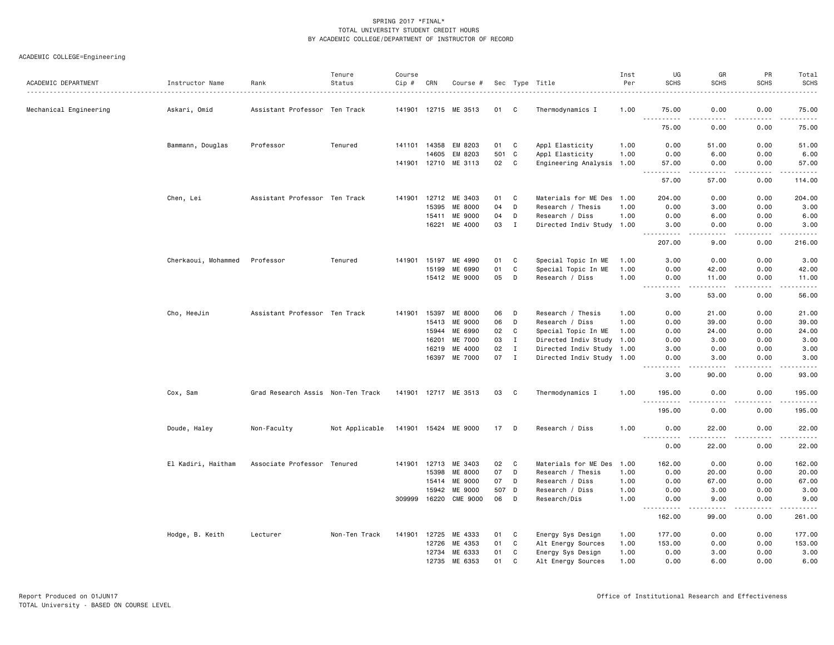# ACADEMIC COLLEGE=Engineering

|                        |                     |                                   | Tenure         | Course       |                |                                 |           |                  |                                              | Inst         | UG                                                                                                                                                           | GR                                                                                                                                                            | PR                                          | Total                                                                                                                                                        |
|------------------------|---------------------|-----------------------------------|----------------|--------------|----------------|---------------------------------|-----------|------------------|----------------------------------------------|--------------|--------------------------------------------------------------------------------------------------------------------------------------------------------------|---------------------------------------------------------------------------------------------------------------------------------------------------------------|---------------------------------------------|--------------------------------------------------------------------------------------------------------------------------------------------------------------|
| ACADEMIC DEPARTMENT    | Instructor Name     | Rank                              | Status         | Cip #        | CRN            | Course #                        |           |                  | Sec Type Title                               | Per          | <b>SCHS</b>                                                                                                                                                  | <b>SCHS</b>                                                                                                                                                   | <b>SCHS</b>                                 | <b>SCHS</b><br>.                                                                                                                                             |
| Mechanical Engineering | Askari, Omid        | Assistant Professor Ten Track     |                |              |                | 141901 12715 ME 3513            | 01        | C                | Thermodynamics I                             | 1.00         | 75.00                                                                                                                                                        | 0.00                                                                                                                                                          | 0.00                                        | 75.00                                                                                                                                                        |
|                        |                     |                                   |                |              |                |                                 |           |                  |                                              |              | <u>.</u>                                                                                                                                                     | .<br>0.00                                                                                                                                                     | .                                           | .                                                                                                                                                            |
|                        |                     |                                   |                |              |                |                                 |           |                  |                                              |              | 75.00                                                                                                                                                        |                                                                                                                                                               | 0.00                                        | 75.00                                                                                                                                                        |
|                        | Bammann, Douglas    | Professor                         | Tenured        | 141101 14358 |                | EM 8203                         | 01        | C                | Appl Elasticity                              | 1.00         | 0.00                                                                                                                                                         | 51.00                                                                                                                                                         | 0.00                                        | 51.00                                                                                                                                                        |
|                        |                     |                                   |                |              | 14605          | EM 8203<br>141901 12710 ME 3113 | 501<br>02 | C<br>$\mathbf C$ | Appl Elasticity<br>Engineering Analysis 1.00 | 1.00         | 0.00<br>57.00                                                                                                                                                | 6.00<br>0.00                                                                                                                                                  | 0.00<br>0.00                                | 6.00<br>57.00                                                                                                                                                |
|                        |                     |                                   |                |              |                |                                 |           |                  |                                              |              | $\sim$ $\sim$ $\sim$<br>.                                                                                                                                    | $\frac{1}{2} \left( \frac{1}{2} \right) \left( \frac{1}{2} \right) \left( \frac{1}{2} \right) \left( \frac{1}{2} \right) \left( \frac{1}{2} \right)$          | .                                           | .                                                                                                                                                            |
|                        |                     |                                   |                |              |                |                                 |           |                  |                                              |              | 57.00                                                                                                                                                        | 57.00                                                                                                                                                         | 0.00                                        | 114.00                                                                                                                                                       |
|                        | Chen, Lei           | Assistant Professor Ten Track     |                |              |                | 141901 12712 ME 3403            | 01        | C                | Materials for ME Des 1.00                    |              | 204.00                                                                                                                                                       | 0.00                                                                                                                                                          | 0.00                                        | 204.00                                                                                                                                                       |
|                        |                     |                                   |                |              | 15395          | <b>ME 8000</b>                  | 04        | D                | Research / Thesis                            | 1.00         | 0.00                                                                                                                                                         | 3.00                                                                                                                                                          | 0.00                                        | 3.00                                                                                                                                                         |
|                        |                     |                                   |                |              | 15411          | ME 9000                         | 04        | D                | Research / Diss                              | 1.00         | 0.00                                                                                                                                                         | 6.00                                                                                                                                                          | 0.00                                        | 6.00                                                                                                                                                         |
|                        |                     |                                   |                |              | 16221          | ME 4000                         | 03        | $\mathbf I$      | Directed Indiv Study 1.00                    |              | 3.00<br>$\frac{1}{2} \left( \frac{1}{2} \right) \left( \frac{1}{2} \right) \left( \frac{1}{2} \right) \left( \frac{1}{2} \right) \left( \frac{1}{2} \right)$ | 0.00<br>$\sim$ $\sim$ $\sim$ $\sim$                                                                                                                           | 0.00<br>د د د د                             | 3.00<br>.                                                                                                                                                    |
|                        |                     |                                   |                |              |                |                                 |           |                  |                                              |              | 207.00                                                                                                                                                       | 9.00                                                                                                                                                          | 0.00                                        | 216.00                                                                                                                                                       |
|                        | Cherkaoui, Mohammed | Professor                         | Tenured        | 141901       | 15197          | МE<br>4990                      | 01        | C                | Special Topic In ME                          | 1.00         | 3.00                                                                                                                                                         | 0.00                                                                                                                                                          | 0.00                                        | 3.00                                                                                                                                                         |
|                        |                     |                                   |                |              | 15199          | ME 6990                         | 01        | C                | Special Topic In ME                          | 1.00         | 0.00                                                                                                                                                         | 42.00                                                                                                                                                         | 0.00                                        | 42.00                                                                                                                                                        |
|                        |                     |                                   |                |              |                | 15412 ME 9000                   | 05        | D                | Research / Diss                              | 1.00         | 0.00<br>.                                                                                                                                                    | 11.00<br>$\frac{1}{2} \left( \frac{1}{2} \right) \left( \frac{1}{2} \right) \left( \frac{1}{2} \right) \left( \frac{1}{2} \right) \left( \frac{1}{2} \right)$ | 0.00<br>.                                   | 11.00<br>.                                                                                                                                                   |
|                        |                     |                                   |                |              |                |                                 |           |                  |                                              |              | 3.00                                                                                                                                                         | 53.00                                                                                                                                                         | 0.00                                        | 56.00                                                                                                                                                        |
|                        | Cho, HeeJin         | Assistant Professor Ten Track     |                | 141901       | 15397          | ME 8000                         | 06        | D                | Research / Thesis                            | 1.00         | 0.00                                                                                                                                                         | 21.00                                                                                                                                                         | 0.00                                        | 21.00                                                                                                                                                        |
|                        |                     |                                   |                |              | 15413          | ME 9000                         | 06        | D                | Research / Diss                              | 1.00         | 0.00                                                                                                                                                         | 39.00                                                                                                                                                         | 0.00                                        | 39.00                                                                                                                                                        |
|                        |                     |                                   |                |              | 15944          | ME 6990                         | 02        | $\mathbf C$      | Special Topic In ME                          | 1.00         | 0.00                                                                                                                                                         | 24.00                                                                                                                                                         | 0.00                                        | 24.00                                                                                                                                                        |
|                        |                     |                                   |                |              | 16201          | ME 7000                         | 03        | $\mathbf I$      | Directed Indiv Study                         | 1.00         | 0.00                                                                                                                                                         | 3.00                                                                                                                                                          | 0.00                                        | 3.00                                                                                                                                                         |
|                        |                     |                                   |                |              | 16219          | ME 4000                         | 02        | $\mathbf I$      | Directed Indiv Study 1.00                    |              | 3.00                                                                                                                                                         | 0.00                                                                                                                                                          | 0.00                                        | 3.00                                                                                                                                                         |
|                        |                     |                                   |                |              | 16397          | ME 7000                         | 07        | $\mathbf I$      | Directed Indiv Study 1.00                    |              | 0.00<br>-----                                                                                                                                                | 3.00<br>.                                                                                                                                                     | 0.00<br>$\omega$ $\omega$ $\omega$ $\omega$ | 3.00<br>$\frac{1}{2} \left( \frac{1}{2} \right) \left( \frac{1}{2} \right) \left( \frac{1}{2} \right) \left( \frac{1}{2} \right) \left( \frac{1}{2} \right)$ |
|                        |                     |                                   |                |              |                |                                 |           |                  |                                              |              | 3.00                                                                                                                                                         | 90.00                                                                                                                                                         | 0.00                                        | 93.00                                                                                                                                                        |
|                        | Cox, Sam            | Grad Research Assis Non-Ten Track |                |              |                | 141901 12717 ME 3513            | 03        | C                | Thermodynamics I                             | 1.00         | 195.00                                                                                                                                                       | 0.00                                                                                                                                                          | 0.00                                        | 195.00                                                                                                                                                       |
|                        |                     |                                   |                |              |                |                                 |           |                  |                                              |              | $- - -$<br>.<br>195.00                                                                                                                                       | 0.00                                                                                                                                                          | 0.00                                        | .<br>195.00                                                                                                                                                  |
|                        | Doude, Haley        | Non-Faculty                       | Not Applicable |              |                | 141901 15424 ME 9000            | 17        | D                | Research / Diss                              | 1.00         | 0.00                                                                                                                                                         | 22.00                                                                                                                                                         | 0.00                                        | 22.00                                                                                                                                                        |
|                        |                     |                                   |                |              |                |                                 |           |                  |                                              |              | <u> - - - - - - - - - -</u><br>0.00                                                                                                                          | .<br>22.00                                                                                                                                                    | $- - - -$<br>0.00                           | $    -$<br>22.00                                                                                                                                             |
|                        |                     |                                   |                |              |                |                                 |           |                  |                                              |              |                                                                                                                                                              |                                                                                                                                                               |                                             |                                                                                                                                                              |
|                        | El Kadiri, Haitham  | Associate Professor Tenured       |                | 141901       | 12713          | ME 3403                         | 02        | C                | Materials for ME Des                         | 1.00         | 162.00                                                                                                                                                       | 0.00                                                                                                                                                          | 0.00                                        | 162.00                                                                                                                                                       |
|                        |                     |                                   |                |              | 15398          | ME 8000<br>ME 9000              | 07<br>07  | D<br>D           | Research / Thesis                            | 1.00         | 0.00                                                                                                                                                         | 20.00                                                                                                                                                         | 0.00<br>0.00                                | 20.00                                                                                                                                                        |
|                        |                     |                                   |                |              | 15414<br>15942 | ME 9000                         | 507 D     |                  | Research / Diss<br>Research / Diss           | 1.00<br>1.00 | 0.00<br>0.00                                                                                                                                                 | 67.00<br>3.00                                                                                                                                                 | 0.00                                        | 67.00<br>3.00                                                                                                                                                |
|                        |                     |                                   |                | 309999       |                | 16220 CME 9000                  | 06        | D                | Research/Dis                                 | 1.00         | 0.00                                                                                                                                                         | 9.00                                                                                                                                                          | 0.00                                        | 9.00                                                                                                                                                         |
|                        |                     |                                   |                |              |                |                                 |           |                  |                                              |              | 162.00                                                                                                                                                       | 99.00                                                                                                                                                         | 0.00                                        | .<br>261.00                                                                                                                                                  |
|                        |                     |                                   |                |              |                |                                 |           |                  |                                              |              |                                                                                                                                                              |                                                                                                                                                               |                                             |                                                                                                                                                              |
|                        | Hodge, B. Keith     | Lecturer                          | Non-Ten Track  | 141901       | 12725          | ME 4333                         | 01        | C                | Energy Sys Design                            | 1.00         | 177.00                                                                                                                                                       | 0.00                                                                                                                                                          | 0.00                                        | 177.00                                                                                                                                                       |
|                        |                     |                                   |                |              | 12726          | ME 4353                         | 01        | C                | Alt Energy Sources                           | 1.00         | 153.00                                                                                                                                                       | 0.00                                                                                                                                                          | 0.00                                        | 153.00                                                                                                                                                       |
|                        |                     |                                   |                |              | 12734          | ME 6333                         | 01        | C                | Energy Sys Design                            | 1.00         | 0.00                                                                                                                                                         | 3.00                                                                                                                                                          | 0.00                                        | 3.00                                                                                                                                                         |
|                        |                     |                                   |                |              | 12735          | ME 6353                         | 01        | C                | Alt Energy Sources                           | 1.00         | 0.00                                                                                                                                                         | 6.00                                                                                                                                                          | 0.00                                        | 6.00                                                                                                                                                         |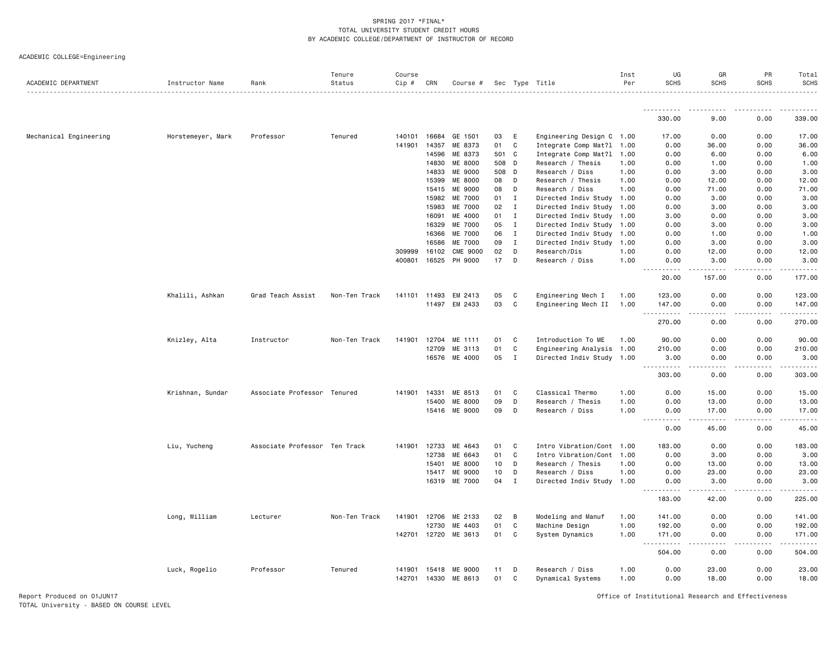ACADEMIC COLLEGE=Engineering

| Tenure<br>Course<br>Inst<br>UG<br>ACADEMIC DEPARTMENT<br>Rank<br>Status<br>Cip #<br>CRN<br>Sec Type Title<br>Per<br><b>SCHS</b><br>Instructor Name<br>Course #     | GR<br>PR<br><b>SCHS</b><br><b>SCHS</b>    | Total<br><b>SCHS</b> |
|--------------------------------------------------------------------------------------------------------------------------------------------------------------------|-------------------------------------------|----------------------|
| ----------                                                                                                                                                         | .                                         | <u>.</u>             |
| 330.00                                                                                                                                                             | 0.00<br>9.00                              | 339.00               |
| 16684<br>Mechanical Engineering<br>Horstemeyer, Mark<br>Professor<br>Tenured<br>GE 1501<br>03<br>E<br>Engineering Design C 1.00<br>140101<br>17.00                 | 0.00<br>0.00                              | 17.00                |
| 01<br>C<br>Integrate Comp Mat?1 1.00<br>141901<br>14357<br>ME 8373<br>0.00                                                                                         | 36.00<br>0.00                             | 36.00                |
| 14596<br>ME 8373<br>501 C<br>Integrate Comp Mat?1 1.00<br>0.00                                                                                                     | 6.00<br>0.00                              | 6.00                 |
| D<br>14830<br>ME 8000<br>508<br>Research / Thesis<br>1.00<br>0.00                                                                                                  | 1.00<br>0.00                              | 1.00                 |
| 14833<br>ME 9000<br>508<br>D<br>Research / Diss<br>1.00<br>0.00                                                                                                    | 3.00<br>0.00                              | 3.00                 |
| 15399<br>ME 8000<br>08<br>D<br>Research / Thesis<br>1.00<br>0.00                                                                                                   | 0.00<br>12.00                             | 12.00                |
| 15415<br>ME 9000<br>08<br>D<br>1.00<br>0.00<br>Research / Diss                                                                                                     | 71.00<br>0.00                             | 71.00                |
| 15982<br>ME 7000<br>01<br>$\mathbf I$<br>Directed Indiv Study 1.00<br>0.00                                                                                         | 3.00<br>0.00                              | 3.00                 |
| 15983<br>ME 7000<br>02<br>$\mathbf I$<br>Directed Indiv Study 1.00<br>0.00                                                                                         | 3.00<br>0.00                              | 3.00                 |
| 16091<br>ME 4000<br>01<br>$\mathbf I$<br>Directed Indiv Study 1.00<br>3.00                                                                                         | 0.00<br>0.00                              | 3.00                 |
| ME 7000<br>05<br>$\mathbf I$<br>Directed Indiv Study 1.00<br>16329<br>0.00                                                                                         | 3.00<br>0.00                              | 3.00                 |
| 16366<br>06<br>$\mathbf{I}$<br>Directed Indiv Study<br><b>ME 7000</b><br>1.00<br>0.00                                                                              | 1.00<br>0.00                              | 1.00                 |
| 16586<br>09<br>$\mathbf I$<br><b>ME 7000</b><br>Directed Indiv Study<br>1.00<br>0.00                                                                               | 0.00<br>3.00                              | 3.00                 |
| 16102<br><b>CME 9000</b><br>02<br>D<br>309999<br>Research/Dis<br>1.00<br>0.00                                                                                      | 12.00<br>0.00                             | 12.00                |
| 400801<br>16525<br>PH 9000<br>17<br>D<br>Research / Diss<br>1.00<br>0.00<br>.                                                                                      | 3.00<br>0.00<br>$\sim$ $\sim$ $\sim$<br>. | 3.00<br>.            |
| 20.00                                                                                                                                                              | 157.00<br>0.00                            | 177.00               |
| Khalili, Ashkan<br>Grad Teach Assist<br>Non-Ten Track<br>141101<br>11493<br>EM 2413<br>05<br>C<br>Engineering Mech I<br>123.00<br>1.00                             | 0.00<br>0.00                              | 123.00               |
| 03<br>C<br>EM 2433<br>Engineering Mech II<br>1.00<br>11497<br>147.00                                                                                               | 0.00<br>0.00                              | 147.00               |
| $\sim$ $\sim$ $\sim$<br>$\frac{1}{2}$<br>270.00                                                                                                                    | 0.00<br>0.00                              | .<br>270.00          |
| 12704<br>C<br>Introduction To ME<br>Knizley, Alta<br>Instructor<br>Non-Ten Track<br>141901<br>ME 1111<br>01<br>1.00<br>90.00                                       | 0.00<br>0.00                              | 90.00                |
| C<br>12709<br>ME 3113<br>01<br>Engineering Analysis 1.00<br>210.00                                                                                                 | 0.00<br>0.00                              | 210.00               |
| 16576<br>ME 4000<br>05<br>$\mathbf I$<br>Directed Indiv Study 1.00<br>3.00                                                                                         | 0.00<br>0.00<br>.<br>.                    | 3.00                 |
| $\frac{1}{2} \left( \frac{1}{2} \right) \left( \frac{1}{2} \right) \left( \frac{1}{2} \right) \left( \frac{1}{2} \right) \left( \frac{1}{2} \right)$<br>303.00     | 0.00<br>0.00                              | .<br>303.00          |
| Associate Professor Tenured<br>14331<br>ME 8513<br>01<br>C<br>Classical Thermo<br>1.00<br>0.00<br>Krishnan, Sundar<br>141901                                       | 0.00<br>15.00                             | 15.00                |
| 09<br>D<br>15400<br><b>ME 8000</b><br>1.00<br>0.00<br>Research / Thesis                                                                                            | 13.00<br>0.00                             | 13.00                |
| 09<br>D<br>15416<br>ME 9000<br>Research / Diss<br>1.00<br>0.00                                                                                                     | 0.00<br>17.00                             | 17.00<br>$- - - - -$ |
| 0.00                                                                                                                                                               | 0.00<br>45.00                             | 45.00                |
| Liu, Yucheng<br>Associate Professor Ten Track<br>141901<br>12733<br>ME 4643<br>01<br>C<br>Intro Vibration/Cont 1.00<br>183.00                                      | 0.00<br>0.00                              | 183.00               |
| 01<br>$\mathbf c$<br>12738<br>ME 6643<br>Intro Vibration/Cont 1.00<br>0.00                                                                                         | 3.00<br>0.00                              | 3.00                 |
| 10<br>D<br>15401<br>ME 8000<br>Research / Thesis<br>1.00<br>0.00                                                                                                   | 13.00<br>0.00                             | 13.00                |
| 10<br>D<br>15417<br>ME 9000<br>Research / Diss<br>1.00<br>0.00                                                                                                     | 23.00<br>0.00                             | 23.00                |
| ME 7000<br>04<br>$\mathbf I$<br>16319<br>Directed Indiv Study 1.00<br>0.00<br>. <u>.</u>                                                                           | 3.00<br>0.00<br>-----<br>.                | 3.00<br>.            |
| 183.00                                                                                                                                                             | 0.00<br>42.00                             | 225.00               |
| B<br>Long, William<br>Non-Ten Track<br>141901<br>12706<br>ME 2133<br>02<br>Modeling and Manuf<br>1.00<br>141.00<br>Lecturer                                        | 0.00<br>0.00                              | 141.00               |
| 01<br>C<br>12730<br>ME 4403<br>Machine Design<br>1.00<br>192.00                                                                                                    | 0.00<br>0.00                              | 192.00               |
| C<br>142701 12720<br>ME 3613<br>01<br>System Dynamics<br>1.00<br>171.00<br><u>.</u>                                                                                | 0.00<br>0.00<br>$\sim$ $\sim$ $\sim$      | 171.00<br>.          |
| 504.00                                                                                                                                                             | .<br>0.00<br>0.00                         | 504.00               |
| Professor<br>D<br>1.00                                                                                                                                             | 0.00                                      |                      |
| 0.00<br>Luck, Rogelio<br>Tenured<br>ME 9000<br>11<br>Research / Diss<br>141901<br>15418<br>142701 14330<br>ME 8613<br>01<br>C<br>1.00<br>0.00<br>Dynamical Systems | 23.00<br>18.00<br>0.00                    | 23.00<br>18.00       |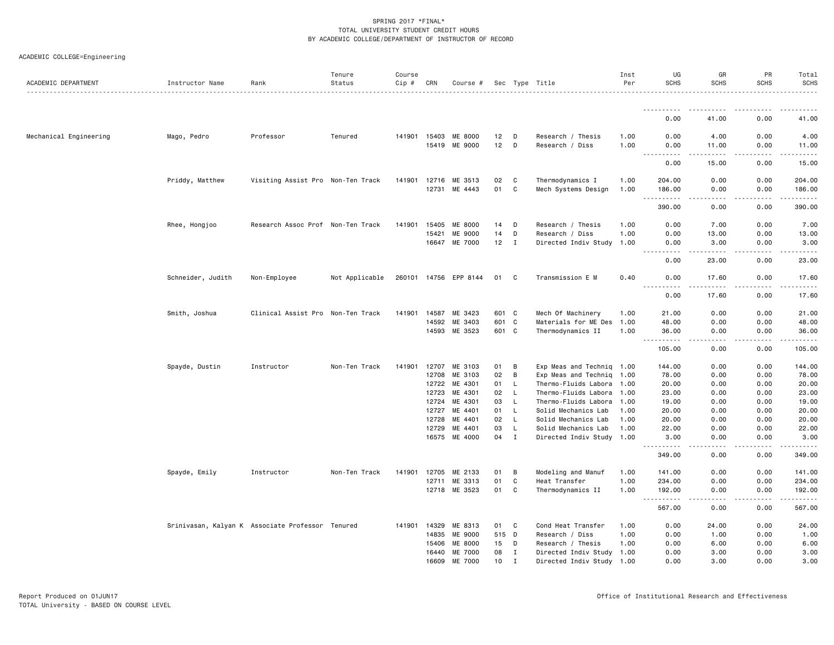|  | ACADEMIC COLLEGE=Engineering |  |
|--|------------------------------|--|
|--|------------------------------|--|

| ACADEMIC DEPARTMENT    | Instructor Name   | Rank                                             | Tenure<br>Status | Course<br>$Cip$ # | CRN            | Course #              |          |                    | Sec Type Title                                   | Inst<br>Per | UG<br><b>SCHS</b>                                                                                                                                              | GR<br><b>SCHS</b>                   | PR<br><b>SCHS</b> | Total<br><b>SCHS</b> |
|------------------------|-------------------|--------------------------------------------------|------------------|-------------------|----------------|-----------------------|----------|--------------------|--------------------------------------------------|-------------|----------------------------------------------------------------------------------------------------------------------------------------------------------------|-------------------------------------|-------------------|----------------------|
|                        |                   |                                                  |                  |                   |                |                       |          |                    |                                                  |             |                                                                                                                                                                |                                     |                   |                      |
|                        |                   |                                                  |                  |                   |                |                       |          |                    |                                                  |             | 0.00                                                                                                                                                           | 41.00                               | 0.00              | 41.00                |
| Mechanical Engineering | Mago, Pedro       | Professor                                        | Tenured          |                   | 141901 15403   | ME 8000               | 12       | D                  | Research / Thesis                                | 1.00        | 0.00                                                                                                                                                           | 4.00                                | 0.00              | 4.00                 |
|                        |                   |                                                  |                  |                   | 15419          | ME 9000               | 12       | D                  | Research / Diss                                  | 1.00        | 0.00                                                                                                                                                           | 11.00                               | 0.00              | 11.00                |
|                        |                   |                                                  |                  |                   |                |                       |          |                    |                                                  |             | $\frac{1}{2} \left( \frac{1}{2} \right) \left( \frac{1}{2} \right) \left( \frac{1}{2} \right) \left( \frac{1}{2} \right)$<br>0.00                              | .<br>15.00                          | .<br>0.00         | .<br>15.00           |
|                        | Priddy, Matthew   | Visiting Assist Pro Non-Ten Track                |                  | 141901            | 12716          | ME 3513               | 02       | C                  | Thermodynamics I                                 | 1.00        | 204.00                                                                                                                                                         | 0.00                                | 0.00              | 204.00               |
|                        |                   |                                                  |                  |                   |                | 12731 ME 4443         | 01       | C                  | Mech Systems Design                              | 1.00        | 186.00                                                                                                                                                         | 0.00                                | 0.00              | 186.00               |
|                        |                   |                                                  |                  |                   |                |                       |          |                    |                                                  |             | $\sim$ $\sim$<br>$\begin{array}{cccccccccccccc} \bullet & \bullet & \bullet & \bullet & \bullet & \bullet & \bullet \end{array}$                               | $\sim$ $\sim$ $\sim$ $\sim$         | .                 | .                    |
|                        |                   |                                                  |                  |                   |                |                       |          |                    |                                                  |             | 390.00                                                                                                                                                         | 0.00                                | 0.00              | 390.00               |
|                        | Rhee, Hongjoo     | Research Assoc Prof Non-Ten Track                |                  | 141901            | 15405          | ME 8000               | 14       | D                  | Research / Thesis                                | 1.00        | 0.00                                                                                                                                                           | 7.00                                | 0.00              | 7.00                 |
|                        |                   |                                                  |                  |                   | 15421          | ME 9000               | 14       | D                  | Research / Diss                                  | 1.00        | 0.00                                                                                                                                                           | 13.00                               | 0.00              | 13.00                |
|                        |                   |                                                  |                  |                   |                | 16647 ME 7000         | 12       | $\mathbf{I}$       | Directed Indiv Study                             | 1.00        | 0.00<br>$\sim$ $\sim$<br>.                                                                                                                                     | 3.00<br>.                           | 0.00              | 3.00<br>----         |
|                        |                   |                                                  |                  |                   |                |                       |          |                    |                                                  |             | 0.00                                                                                                                                                           | 23.00                               | 0.00              | 23.00                |
|                        | Schneider, Judith | Non-Employee                                     | Not Applicable   |                   |                | 260101 14756 EPP 8144 | 01       | C                  | Transmission E M                                 | 0.40        | 0.00<br><u>.</u>                                                                                                                                               | 17.60<br>$\frac{1}{2}$              | 0.00<br>.         | 17.60<br>.           |
|                        |                   |                                                  |                  |                   |                |                       |          |                    |                                                  |             | $- - -$<br>0.00                                                                                                                                                | 17.60                               | 0.00              | 17.60                |
|                        | Smith, Joshua     | Clinical Assist Pro Non-Ten Track                |                  | 141901            | 14587          | ME 3423               | 601 C    |                    | Mech Of Machinery                                | 1.00        | 21.00                                                                                                                                                          | 0.00                                | 0.00              | 21.00                |
|                        |                   |                                                  |                  |                   | 14592          | ME 3403               |          | 601 C              | Materials for ME Des                             | 1.00        | 48.00                                                                                                                                                          | 0.00                                | 0.00              | 48.00                |
|                        |                   |                                                  |                  |                   | 14593          | ME 3523               | 601 C    |                    | Thermodynamics II                                | 1.00        | 36.00                                                                                                                                                          | 0.00                                | 0.00              | 36.00                |
|                        |                   |                                                  |                  |                   |                |                       |          |                    |                                                  |             | $\frac{1}{2} \left( \frac{1}{2} \right) \left( \frac{1}{2} \right) \left( \frac{1}{2} \right) \left( \frac{1}{2} \right) \left( \frac{1}{2} \right)$<br>105.00 | د د د د<br>0.00                     | .<br>0.00         | .<br>105.00          |
|                        | Spayde, Dustin    | Instructor                                       | Non-Ten Track    | 141901            | 12707          | ME 3103               | 01       | B                  | Exp Meas and Techniq 1.00                        |             | 144.00                                                                                                                                                         | 0.00                                | 0.00              | 144.00               |
|                        |                   |                                                  |                  |                   | 12708          | ME 3103               | 02       | B                  | Exp Meas and Techniq 1.00                        |             | 78.00                                                                                                                                                          | 0.00                                | 0.00              | 78.00                |
|                        |                   |                                                  |                  |                   | 12722          | ME 4301               | 01       | L.                 | Thermo-Fluids Labora 1.00                        |             | 20.00                                                                                                                                                          | 0.00                                | 0.00              | 20.00                |
|                        |                   |                                                  |                  |                   | 12723          | ME 4301               | 02       | L.                 | Thermo-Fluids Labora 1.00                        |             | 23.00                                                                                                                                                          | 0.00                                | 0.00              | 23.00                |
|                        |                   |                                                  |                  |                   | 12724          | ME 4301               | 03       | L                  | Thermo-Fluids Labora                             | 1.00        | 19.00                                                                                                                                                          | 0.00                                | 0.00              | 19.00                |
|                        |                   |                                                  |                  |                   | 12727          | ME 4401               | 01       | L.                 | Solid Mechanics Lab                              | 1.00        | 20.00                                                                                                                                                          | 0.00                                | 0.00              | 20.00                |
|                        |                   |                                                  |                  |                   | 12728          | ME 4401               | 02       | L                  | Solid Mechanics Lab                              | 1.00        | 20.00                                                                                                                                                          | 0.00                                | 0.00              | 20.00                |
|                        |                   |                                                  |                  |                   | 12729<br>16575 | ME 4401<br>ME 4000    | 03<br>04 | L.<br>$\mathbf{I}$ | Solid Mechanics Lab<br>Directed Indiv Study 1.00 | 1.00        | 22.00<br>3.00                                                                                                                                                  | 0.00<br>0.00                        | 0.00<br>0.00      | 22.00<br>3.00        |
|                        |                   |                                                  |                  |                   |                |                       |          |                    |                                                  |             | 349.00                                                                                                                                                         | $\sim$ $\sim$ $\sim$ $\sim$<br>0.00 | المستبدا<br>0.00  | .<br>349.00          |
|                        |                   |                                                  |                  |                   |                |                       |          |                    |                                                  |             |                                                                                                                                                                |                                     |                   |                      |
|                        | Spayde, Emily     | Instructor                                       | Non-Ten Track    | 141901            | 12705          | ME 2133               | 01       | В                  | Modeling and Manuf                               | 1.00        | 141.00                                                                                                                                                         | 0.00                                | 0.00              | 141.00               |
|                        |                   |                                                  |                  |                   | 12711          | ME 3313               | 01       | C                  | Heat Transfer                                    | 1.00        | 234.00                                                                                                                                                         | 0.00                                | 0.00              | 234.00               |
|                        |                   |                                                  |                  |                   |                | 12718 ME 3523         | 01       | C                  | Thermodynamics II                                | 1.00        | 192.00<br>$\sim$ $\sim$ $\sim$<br>.                                                                                                                            | 0.00<br>$\sim$ $\sim$ $\sim$        | 0.00<br>.         | 192.00<br>.          |
|                        |                   |                                                  |                  |                   |                |                       |          |                    |                                                  |             | 567.00                                                                                                                                                         | 0.00                                | 0.00              | 567.00               |
|                        |                   | Srinivasan, Kalyan K Associate Professor Tenured |                  | 141901            | 14329          | ME 8313               | 01       | C                  | Cond Heat Transfer                               | 1.00        | 0.00                                                                                                                                                           | 24.00                               | 0.00              | 24.00                |
|                        |                   |                                                  |                  |                   | 14835          | <b>ME 9000</b>        | 515 D    |                    | Research / Diss                                  | 1.00        | 0.00                                                                                                                                                           | 1.00                                | 0.00              | 1.00                 |
|                        |                   |                                                  |                  |                   | 15406          | <b>ME 8000</b>        | 15       | D                  | Research / Thesis                                | 1.00        | 0.00                                                                                                                                                           | 6.00                                | 0.00              | 6.00                 |
|                        |                   |                                                  |                  |                   | 16440          | ME 7000               | 08       | $\mathbf I$        | Directed Indiv Study                             | 1.00        | 0.00                                                                                                                                                           | 3.00                                | 0.00              | 3.00                 |
|                        |                   |                                                  |                  |                   | 16609          | <b>ME 7000</b>        | 10       | I                  | Directed Indiv Study 1.00                        |             | 0.00                                                                                                                                                           | 3.00                                | 0.00              | 3.00                 |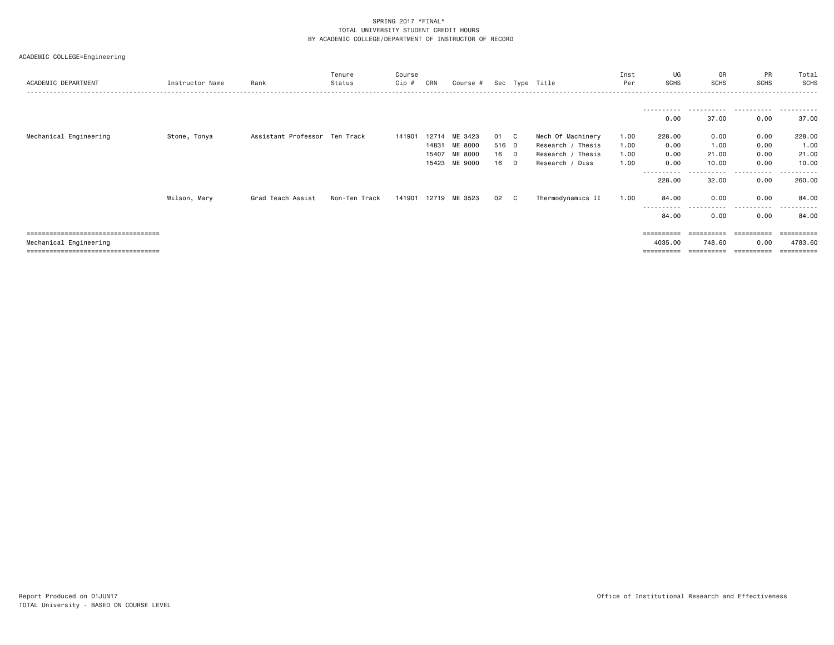|  | ACADEMIC COLLEGE=Engineering |
|--|------------------------------|
|--|------------------------------|

| ACADEMIC DEPARTMENT                                                                                            | Instructor Name | Rank                          | Tenure<br>Status | Course<br>Cip # | CRN                              | Course #                                 |                         |                        | Sec Type Title                                                                 | Inst<br>Per                  | UG<br><b>SCHS</b>                            | GR<br><b>SCHS</b>              | PR<br>SCHS                   | Total<br>SCHS                            |
|----------------------------------------------------------------------------------------------------------------|-----------------|-------------------------------|------------------|-----------------|----------------------------------|------------------------------------------|-------------------------|------------------------|--------------------------------------------------------------------------------|------------------------------|----------------------------------------------|--------------------------------|------------------------------|------------------------------------------|
|                                                                                                                |                 |                               |                  |                 |                                  |                                          |                         |                        |                                                                                |                              | 0.00                                         | 37.00                          | 0.00                         | 37.00                                    |
| Mechanical Engineering                                                                                         | Stone, Tonya    | Assistant Professor Ten Track |                  | 141901          | 12714<br>14831<br>15407<br>15423 | ME 3423<br>ME 8000<br>ME 8000<br>ME 9000 | 01<br>516 D<br>16<br>16 | $\mathbf{C}$<br>D<br>D | Mech Of Machinery<br>Research / Thesis<br>Research / Thesis<br>Research / Diss | 1.00<br>1.00<br>1.00<br>1.00 | 228.00<br>0.00<br>0.00<br>0.00               | 0.00<br>1.00<br>21.00<br>10.00 | 0.00<br>0.00<br>0.00<br>0.00 | 228.00<br>1.00<br>21.00<br>10.00         |
|                                                                                                                | Wilson, Mary    | Grad Teach Assist             | Non-Ten Track    |                 |                                  | 141901 12719 ME 3523                     | 02                      | C                      | Thermodynamics II                                                              | 1.00                         | ---------- <i>-</i><br>228.00<br>84.00       | .<br>32.00<br>0.00<br>-----    | .<br>0.00<br>0.00<br>.       | -------<br>260.00<br>84.00               |
| <u>====================================</u><br>Mechanical Engineering<br>===================================== |                 |                               |                  |                 |                                  |                                          |                         |                        |                                                                                |                              | 84.00<br>==========<br>4035.00<br>========== | 0.00<br>748.60<br>==========   | 0.00<br>0.00<br>-----------  | 84.00<br>======<br>4783.60<br>---------- |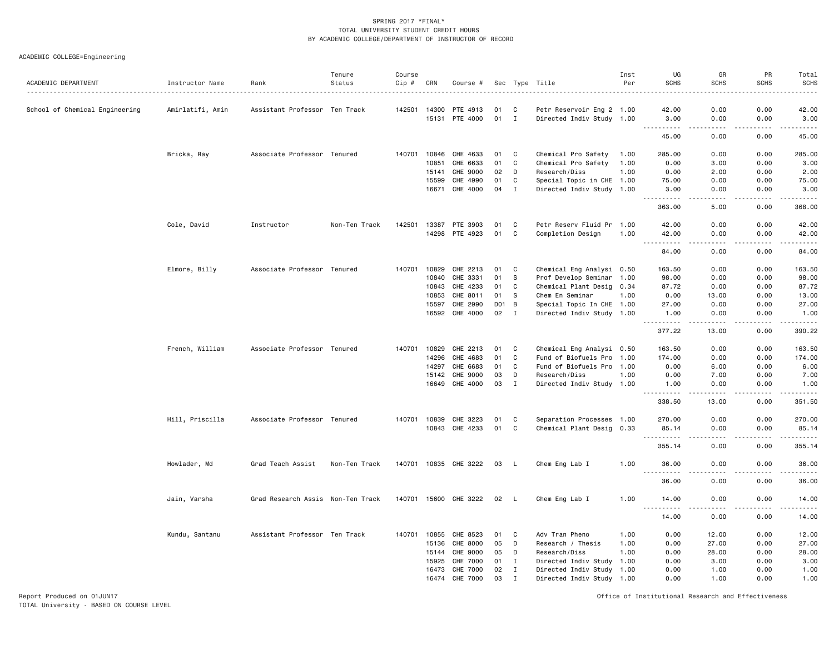ACADEMIC COLLEGE=Engineering

| ACADEMIC DEPARTMENT            | Instructor Name  | Rank                              | Tenure<br>Status | Course<br>Cip # | CRN          | Course #              |      |                | Sec Type Title            | Inst<br>Per | UG<br><b>SCHS</b>                                                                                                                                            | GR<br><b>SCHS</b>                   | PR<br><b>SCHS</b>   | Total<br><b>SCHS</b>                                                                                                                                         |
|--------------------------------|------------------|-----------------------------------|------------------|-----------------|--------------|-----------------------|------|----------------|---------------------------|-------------|--------------------------------------------------------------------------------------------------------------------------------------------------------------|-------------------------------------|---------------------|--------------------------------------------------------------------------------------------------------------------------------------------------------------|
|                                |                  |                                   |                  |                 |              |                       |      |                |                           |             |                                                                                                                                                              |                                     |                     |                                                                                                                                                              |
| School of Chemical Engineering | Amirlatifi, Amin | Assistant Professor Ten Track     |                  |                 | 142501 14300 | PTE 4913              | 01   | C              | Petr Reservoir Eng 2 1.00 |             | 42.00                                                                                                                                                        | 0.00                                | 0.00                | 42.00                                                                                                                                                        |
|                                |                  |                                   |                  |                 |              | 15131 PTE 4000        | 01 I |                | Directed Indiv Study 1.00 |             | 3.00                                                                                                                                                         | 0.00                                | 0.00                | 3.00                                                                                                                                                         |
|                                |                  |                                   |                  |                 |              |                       |      |                |                           |             | 45.00                                                                                                                                                        | 0.00                                | 0.00                | 45.00                                                                                                                                                        |
|                                | Bricka, Ray      | Associate Professor Tenured       |                  |                 |              | 140701 10846 CHE 4633 | 01   | C              | Chemical Pro Safety       | 1.00        | 285.00                                                                                                                                                       | 0.00                                | 0.00                | 285.00                                                                                                                                                       |
|                                |                  |                                   |                  |                 | 10851        | CHE 6633              | 01   | C              | Chemical Pro Safety       | 1.00        | 0.00                                                                                                                                                         | 3.00                                | 0.00                | 3.00                                                                                                                                                         |
|                                |                  |                                   |                  |                 | 15141        | CHE 9000              | 02   | D              | Research/Diss             | 1.00        | 0.00                                                                                                                                                         | 2.00                                | 0.00                | 2.00                                                                                                                                                         |
|                                |                  |                                   |                  |                 | 15599        | CHE 4990              | 01   | C              | Special Topic in CHE 1.00 |             | 75.00                                                                                                                                                        | 0.00                                | 0.00                | 75.00                                                                                                                                                        |
|                                |                  |                                   |                  |                 | 16671        | CHE 4000              | 04   | $\mathbf I$    | Directed Indiv Study 1.00 |             | 3.00<br>$\frac{1}{2} \left( \frac{1}{2} \right) \left( \frac{1}{2} \right) \left( \frac{1}{2} \right) \left( \frac{1}{2} \right) \left( \frac{1}{2} \right)$ | 0.00<br>$\sim$ $\sim$ $\sim$ $\sim$ | 0.00<br>.           | 3.00<br>.                                                                                                                                                    |
|                                |                  |                                   |                  |                 |              |                       |      |                |                           |             | 363.00                                                                                                                                                       | 5.00                                | 0.00                | 368.00                                                                                                                                                       |
|                                | Cole, David      | Instructor                        | Non-Ten Track    | 142501          | 13387        | PTE 3903              | 01   | C              | Petr Reserv Fluid Pr 1.00 |             | 42.00                                                                                                                                                        | 0.00                                | 0.00                | 42.00                                                                                                                                                        |
|                                |                  |                                   |                  |                 |              | 14298 PTE 4923        | 01   | C              | Completion Design         | 1.00        | 42.00<br>$\sim$ $\sim$ $\sim$                                                                                                                                | 0.00                                | 0.00                | 42.00                                                                                                                                                        |
|                                |                  |                                   |                  |                 |              |                       |      |                |                           |             | 84.00                                                                                                                                                        | 0.00                                | 0.00                | 84.00                                                                                                                                                        |
|                                | Elmore, Billy    | Associate Professor Tenured       |                  | 140701          | 10829        | CHE 2213              | 01   | C              | Chemical Eng Analysi 0.50 |             | 163.50                                                                                                                                                       | 0.00                                | 0.00                | 163.50                                                                                                                                                       |
|                                |                  |                                   |                  |                 | 10840        | CHE 3331              | 01   | -S             | Prof Develop Seminar 1.00 |             | 98.00                                                                                                                                                        | 0.00                                | 0.00                | 98.00                                                                                                                                                        |
|                                |                  |                                   |                  |                 | 10843        | CHE 4233              | 01   | C              | Chemical Plant Desig 0.34 |             | 87.72                                                                                                                                                        | 0.00                                | 0.00                | 87.72                                                                                                                                                        |
|                                |                  |                                   |                  |                 | 10853        | CHE 8011              | 01   | -S             | Chem En Seminar           | 1.00        | 0.00                                                                                                                                                         | 13.00                               | 0.00                | 13.00                                                                                                                                                        |
|                                |                  |                                   |                  |                 | 15597        | CHE 2990              | DO 1 | $\overline{B}$ | Special Topic In CHE 1.00 |             | 27.00                                                                                                                                                        | 0.00                                | 0.00                | 27.00                                                                                                                                                        |
|                                |                  |                                   |                  |                 |              | 16592 CHE 4000        | 02   | $\mathbf{I}$   | Directed Indiv Study 1.00 |             | 1.00<br>.                                                                                                                                                    | 0.00<br>.                           | 0.00<br>.           | 1.00<br>$\omega_{\alpha}=\omega_{\alpha}=\omega_{\alpha}=\omega_{\alpha}$                                                                                    |
|                                |                  |                                   |                  |                 |              |                       |      |                |                           |             | 377.22                                                                                                                                                       | 13.00                               | 0.00                | 390.22                                                                                                                                                       |
|                                | French, William  | Associate Professor Tenured       |                  | 140701          | 10829        | CHE 2213              | 01   | C              | Chemical Eng Analysi 0.50 |             | 163.50                                                                                                                                                       | 0.00                                | 0.00                | 163.50                                                                                                                                                       |
|                                |                  |                                   |                  |                 | 14296        | CHE 4683              | 01   | C              | Fund of Biofuels Pro 1.00 |             | 174.00                                                                                                                                                       | 0.00                                | 0.00                | 174.00                                                                                                                                                       |
|                                |                  |                                   |                  |                 | 14297        | CHE 6683              | 01   | C              | Fund of Biofuels Pro 1.00 |             | 0.00                                                                                                                                                         | 6.00                                | 0.00                | 6.00                                                                                                                                                         |
|                                |                  |                                   |                  |                 | 15142        | CHE 9000              | 03   | D              | Research/Diss             | 1.00        | 0.00                                                                                                                                                         | 7.00                                | 0.00                | 7.00                                                                                                                                                         |
|                                |                  |                                   |                  |                 | 16649        | CHE 4000              | 03   | $\mathbf I$    | Directed Indiv Study 1.00 |             | 1.00<br><u>.</u>                                                                                                                                             | 0.00<br>.                           | 0.00<br>.           | 1.00<br>$\frac{1}{2} \left( \frac{1}{2} \right) \left( \frac{1}{2} \right) \left( \frac{1}{2} \right) \left( \frac{1}{2} \right) \left( \frac{1}{2} \right)$ |
|                                |                  |                                   |                  |                 |              |                       |      |                |                           |             | 338.50                                                                                                                                                       | 13.00                               | 0.00                | 351.50                                                                                                                                                       |
|                                | Hill, Priscilla  | Associate Professor Tenured       |                  |                 | 140701 10839 | CHE 3223              | 01   | C              | Separation Processes 1.00 |             | 270.00                                                                                                                                                       | 0.00                                | 0.00                | 270.00                                                                                                                                                       |
|                                |                  |                                   |                  |                 |              | 10843 CHE 4233        | 01   | C              | Chemical Plant Desig 0.33 |             | 85.14<br><u>.</u>                                                                                                                                            | 0.00<br>.                           | 0.00<br>.           | 85.14                                                                                                                                                        |
|                                |                  |                                   |                  |                 |              |                       |      |                |                           |             | 355.14                                                                                                                                                       | 0.00                                | 0.00                | 355.14                                                                                                                                                       |
|                                | Howlader, Md     | Grad Teach Assist                 | Non-Ten Track    |                 |              | 140701 10835 CHE 3222 | 03   | L.             | Chem Eng Lab I            | 1.00        | 36.00<br>$  -$                                                                                                                                               | 0.00<br>.                           | 0.00<br>$-$ - $-$ - | 36.00<br>.                                                                                                                                                   |
|                                |                  |                                   |                  |                 |              |                       |      |                |                           |             | 36.00                                                                                                                                                        | 0.00                                | 0.00                | 36.00                                                                                                                                                        |
|                                | Jain, Varsha     | Grad Research Assis Non-Ten Track |                  |                 |              | 140701 15600 CHE 3222 | 02   | <b>L</b>       | Chem Eng Lab I            | 1.00        | 14.00<br>$\sim$ $\sim$ $\sim$<br>.                                                                                                                           | 0.00<br>.                           | 0.00<br>.           | 14.00<br>.                                                                                                                                                   |
|                                |                  |                                   |                  |                 |              |                       |      |                |                           |             | 14.00                                                                                                                                                        | 0.00                                | 0.00                | 14.00                                                                                                                                                        |
|                                | Kundu, Santanu   | Assistant Professor Ten Track     |                  |                 | 140701 10855 | CHE 8523              | 01   | C              | Adv Tran Pheno            | 1.00        | 0.00                                                                                                                                                         | 12.00                               | 0.00                | 12.00                                                                                                                                                        |
|                                |                  |                                   |                  |                 | 15136        | CHE 8000              | 05   | D              | Research / Thesis         | 1.00        | 0.00                                                                                                                                                         | 27.00                               | 0.00                | 27.00                                                                                                                                                        |
|                                |                  |                                   |                  |                 | 15144        | CHE 9000              | 05   | D              | Research/Diss             | 1.00        | 0.00                                                                                                                                                         | 28.00                               | 0.00                | 28.00                                                                                                                                                        |
|                                |                  |                                   |                  |                 | 15925        | <b>CHE 7000</b>       | 01   | $\mathbf{I}$   | Directed Indiv Study      | 1.00        | 0.00                                                                                                                                                         | 3.00                                | 0.00                | 3.00                                                                                                                                                         |
|                                |                  |                                   |                  |                 | 16473        | CHE 7000              | 02   | $\mathbf{I}$   | Directed Indiv Study 1.00 |             | 0.00                                                                                                                                                         | 1.00                                | 0.00                | 1.00                                                                                                                                                         |
|                                |                  |                                   |                  |                 | 16474        | CHE 7000              | 03   | I              | Directed Indiv Study 1.00 |             | 0.00                                                                                                                                                         | 1.00                                | 0.00                | 1.00                                                                                                                                                         |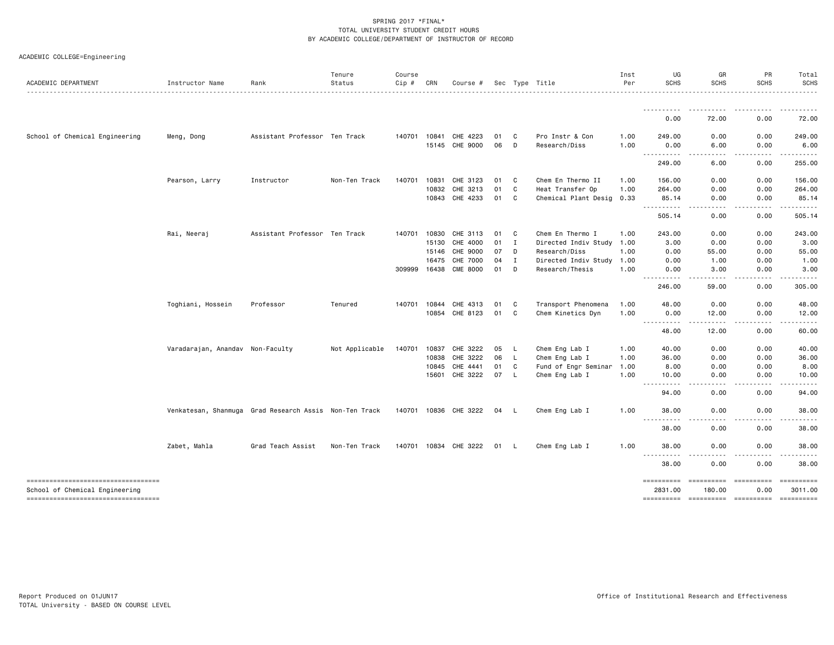| ACADEMIC COLLEGE=Engineering |  |
|------------------------------|--|
|                              |  |

| ACADEMIC DEPARTMENT                | Instructor Name                  | Rank                                                   | Tenure<br>Status | Course<br>Cip # | CRN   | Course #              |      |              | Sec Type Title       | Inst<br>Per | UG<br><b>SCHS</b>                                                                                                                       | GR<br><b>SCHS</b>             | PR<br><b>SCHS</b> | Total<br><b>SCHS</b>                                                                                                                                                                                                                                                                                                                                                                                                                                                                   |
|------------------------------------|----------------------------------|--------------------------------------------------------|------------------|-----------------|-------|-----------------------|------|--------------|----------------------|-------------|-----------------------------------------------------------------------------------------------------------------------------------------|-------------------------------|-------------------|----------------------------------------------------------------------------------------------------------------------------------------------------------------------------------------------------------------------------------------------------------------------------------------------------------------------------------------------------------------------------------------------------------------------------------------------------------------------------------------|
|                                    |                                  |                                                        |                  |                 |       |                       |      |              |                      |             |                                                                                                                                         |                               |                   |                                                                                                                                                                                                                                                                                                                                                                                                                                                                                        |
|                                    |                                  |                                                        |                  |                 |       |                       |      |              |                      |             | <u>.</u><br>0.00                                                                                                                        | $\sim$ $\sim$ $\sim$<br>72.00 | 0.00              | .<br>72.00                                                                                                                                                                                                                                                                                                                                                                                                                                                                             |
| School of Chemical Engineering     | Meng, Dong                       | Assistant Professor Ten Track                          |                  | 140701          | 10841 | CHE 4223              | 01   | C)           | Pro Instr & Con      | 1.00        | 249.00                                                                                                                                  | 0.00                          | 0.00              | 249.00                                                                                                                                                                                                                                                                                                                                                                                                                                                                                 |
|                                    |                                  |                                                        |                  |                 |       | 15145 CHE 9000        | 06   | D            | Research/Diss        | 1.00        | 0.00<br>.                                                                                                                               | 6.00<br>.                     | 0.00<br>-----     | 6.00                                                                                                                                                                                                                                                                                                                                                                                                                                                                                   |
|                                    |                                  |                                                        |                  |                 |       |                       |      |              |                      |             | 249.00                                                                                                                                  | 6.00                          | 0.00              | 255.00                                                                                                                                                                                                                                                                                                                                                                                                                                                                                 |
|                                    | Pearson, Larry                   | Instructor                                             | Non-Ten Track    | 140701          | 10831 | CHE 3123              | 01   | C            | Chem En Thermo II    | 1.00        | 156.00                                                                                                                                  | 0.00                          | 0.00              | 156.00                                                                                                                                                                                                                                                                                                                                                                                                                                                                                 |
|                                    |                                  |                                                        |                  |                 | 10832 | CHE 3213              | 01   | C            | Heat Transfer Op     | 1.00        | 264.00                                                                                                                                  | 0.00                          | 0.00              | 264.00                                                                                                                                                                                                                                                                                                                                                                                                                                                                                 |
|                                    |                                  |                                                        |                  |                 | 10843 | CHE 4233              | 01   | C.           | Chemical Plant Desig | 0.33        | 85.14<br>.<br>$\frac{1}{2} \left( \frac{1}{2} \right) \left( \frac{1}{2} \right) \left( \frac{1}{2} \right) \left( \frac{1}{2} \right)$ | 0.00<br>.                     | 0.00<br>-----     | 85.14<br>.                                                                                                                                                                                                                                                                                                                                                                                                                                                                             |
|                                    |                                  |                                                        |                  |                 |       |                       |      |              |                      |             | 505.14                                                                                                                                  | 0.00                          | 0.00              | 505.14                                                                                                                                                                                                                                                                                                                                                                                                                                                                                 |
|                                    | Rai, Neeraj                      | Assistant Professor Ten Track                          |                  | 140701          | 10830 | CHE 3113              | 01   | C            | Chem En Thermo I     | 1.00        | 243.00                                                                                                                                  | 0.00                          | 0.00              | 243.00                                                                                                                                                                                                                                                                                                                                                                                                                                                                                 |
|                                    |                                  |                                                        |                  |                 | 15130 | CHE 4000              | 01   | $\mathbf{I}$ | Directed Indiv Study | 1.00        | 3.00                                                                                                                                    | 0.00                          | 0.00              | 3.00                                                                                                                                                                                                                                                                                                                                                                                                                                                                                   |
|                                    |                                  |                                                        |                  |                 | 15146 | CHE 9000              | 07   | D            | Research/Diss        | 1.00        | 0.00                                                                                                                                    | 55.00                         | 0.00              | 55.00                                                                                                                                                                                                                                                                                                                                                                                                                                                                                  |
|                                    |                                  |                                                        |                  |                 | 16475 | CHE 7000              | 04   | $\mathbf{I}$ | Directed Indiv Study | 1.00        | 0.00                                                                                                                                    | 1.00                          | 0.00              | 1.00                                                                                                                                                                                                                                                                                                                                                                                                                                                                                   |
|                                    |                                  |                                                        |                  | 309999 16438    |       | <b>CME 8000</b>       | 01   | D            | Research/Thesis      | 1.00        | 0.00<br>.<br>$- - - -$                                                                                                                  | 3.00<br>.                     | 0.00<br>.         | 3.00<br>.                                                                                                                                                                                                                                                                                                                                                                                                                                                                              |
|                                    |                                  |                                                        |                  |                 |       |                       |      |              |                      |             | 246.00                                                                                                                                  | 59.00                         | 0.00              | 305.00                                                                                                                                                                                                                                                                                                                                                                                                                                                                                 |
|                                    | Toghiani, Hossein                | Professor                                              | Tenured          | 140701          | 10844 | CHE 4313              | 01   | C            | Transport Phenomena  | 1.00        | 48.00                                                                                                                                   | 0.00                          | 0.00              | 48.00                                                                                                                                                                                                                                                                                                                                                                                                                                                                                  |
|                                    |                                  |                                                        |                  |                 | 10854 | CHE 8123              | 01   | C            | Chem Kinetics Dyn    | 1.00        | 0.00<br>. <b>.</b>                                                                                                                      | 12.00                         | 0.00              | 12.00                                                                                                                                                                                                                                                                                                                                                                                                                                                                                  |
|                                    |                                  |                                                        |                  |                 |       |                       |      |              |                      |             | 48.00                                                                                                                                   | 12.00                         | 0.00              | 60.00                                                                                                                                                                                                                                                                                                                                                                                                                                                                                  |
|                                    | Varadarajan, Anandav Non-Faculty |                                                        | Not Applicable   | 140701          | 10837 | CHE 3222              | 05   | -L           | Chem Eng Lab I       | 1.00        | 40.00                                                                                                                                   | 0.00                          | 0.00              | 40.00                                                                                                                                                                                                                                                                                                                                                                                                                                                                                  |
|                                    |                                  |                                                        |                  |                 | 10838 | CHE 3222              | 06   | L.           | Chem Eng Lab I       | 1.00        | 36.00                                                                                                                                   | 0.00                          | 0.00              | 36.00                                                                                                                                                                                                                                                                                                                                                                                                                                                                                  |
|                                    |                                  |                                                        |                  |                 | 10845 | CHE 4441              | 01   | C            | Fund of Engr Seminar | 1.00        | 8.00                                                                                                                                    | 0.00                          | 0.00              | 8.00                                                                                                                                                                                                                                                                                                                                                                                                                                                                                   |
|                                    |                                  |                                                        |                  |                 | 15601 | CHE 3222              | 07   | L.           | Chem Eng Lab I       | 1.00        | 10.00<br>.                                                                                                                              | 0.00<br>.                     | 0.00<br>.         | 10.00                                                                                                                                                                                                                                                                                                                                                                                                                                                                                  |
|                                    |                                  |                                                        |                  |                 |       |                       |      |              |                      |             | 94.00                                                                                                                                   | 0.00                          | 0.00              | 94.00                                                                                                                                                                                                                                                                                                                                                                                                                                                                                  |
|                                    |                                  | Venkatesan, Shanmuga Grad Research Assis Non-Ten Track |                  |                 |       | 140701 10836 CHE 3222 | 04   | - L          | Chem Eng Lab I       | 1.00        | 38,00                                                                                                                                   | 0.00                          | 0.00              | 38.00                                                                                                                                                                                                                                                                                                                                                                                                                                                                                  |
|                                    |                                  |                                                        |                  |                 |       |                       |      |              |                      |             | ----------<br>38.00                                                                                                                     | . <b>.</b><br>0.00            | -----<br>0.00     | .<br>38.00                                                                                                                                                                                                                                                                                                                                                                                                                                                                             |
|                                    | Zabet, Mahla                     | Grad Teach Assist                                      | Non-Ten Track    |                 |       | 140701 10834 CHE 3222 | 01 L |              | Chem Eng Lab I       | 1.00        | 38,00                                                                                                                                   | 0.00                          | 0.00              | 38.00                                                                                                                                                                                                                                                                                                                                                                                                                                                                                  |
|                                    |                                  |                                                        |                  |                 |       |                       |      |              |                      |             | <u>.</u><br>38.00                                                                                                                       | .<br>0.00                     | <u>.</u><br>0.00  | .<br>38.00                                                                                                                                                                                                                                                                                                                                                                                                                                                                             |
| ---------------------------------- |                                  |                                                        |                  |                 |       |                       |      |              |                      |             |                                                                                                                                         | -----------                   | eessessess        | $\begin{array}{cccccccccc} \multicolumn{2}{c}{} & \multicolumn{2}{c}{} & \multicolumn{2}{c}{} & \multicolumn{2}{c}{} & \multicolumn{2}{c}{} & \multicolumn{2}{c}{} & \multicolumn{2}{c}{} & \multicolumn{2}{c}{} & \multicolumn{2}{c}{} & \multicolumn{2}{c}{} & \multicolumn{2}{c}{} & \multicolumn{2}{c}{} & \multicolumn{2}{c}{} & \multicolumn{2}{c}{} & \multicolumn{2}{c}{} & \multicolumn{2}{c}{} & \multicolumn{2}{c}{} & \multicolumn{2}{c}{} & \multicolumn{2}{c}{} & \mult$ |
| School of Chemical Engineering     |                                  |                                                        |                  |                 |       |                       |      |              |                      |             | ==========<br>2831.00                                                                                                                   | 180.00                        | 0.00              | 3011.00                                                                                                                                                                                                                                                                                                                                                                                                                                                                                |
| ---------------------------------- |                                  |                                                        |                  |                 |       |                       |      |              |                      |             | ==========                                                                                                                              | ----------------------        |                   | ==========                                                                                                                                                                                                                                                                                                                                                                                                                                                                             |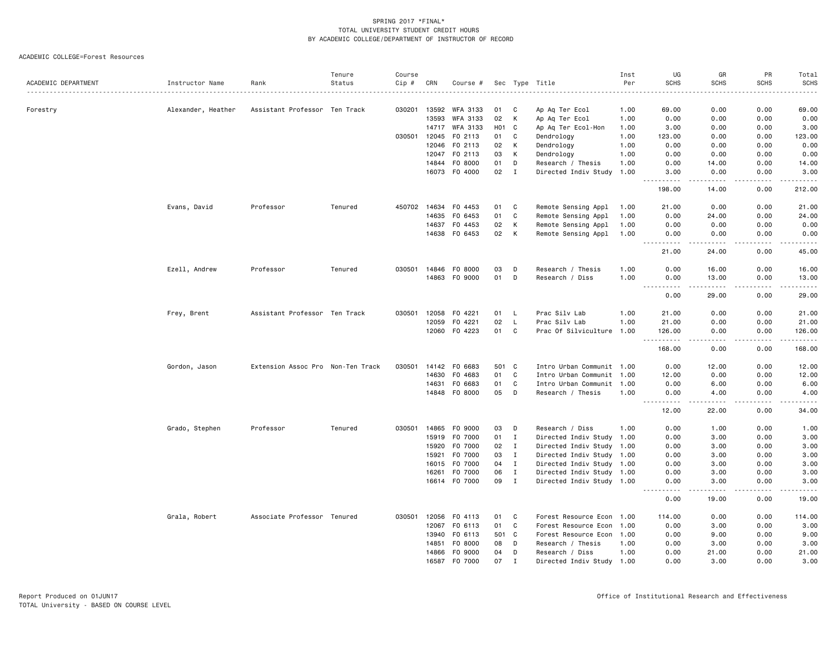|                     |                    |                                   | Tenure  | Course |       |               |                 |              |                           | Inst | UG                                                                                                                                     | GR                                                                                                                                                            | PR            | Total              |
|---------------------|--------------------|-----------------------------------|---------|--------|-------|---------------|-----------------|--------------|---------------------------|------|----------------------------------------------------------------------------------------------------------------------------------------|---------------------------------------------------------------------------------------------------------------------------------------------------------------|---------------|--------------------|
| ACADEMIC DEPARTMENT | Instructor Name    | Rank                              | Status  | Cip #  | CRN   | Course #      |                 |              | Sec Type Title            | Per  | <b>SCHS</b>                                                                                                                            | <b>SCHS</b>                                                                                                                                                   | <b>SCHS</b>   | <b>SCHS</b><br>.   |
|                     |                    |                                   |         |        |       |               |                 |              |                           |      |                                                                                                                                        |                                                                                                                                                               |               |                    |
| Forestry            | Alexander, Heather | Assistant Professor Ten Track     |         | 030201 | 13592 | WFA 3133      | 01              | C            | Ap Ag Ter Ecol            | 1.00 | 69.00                                                                                                                                  | 0.00                                                                                                                                                          | 0.00          | 69.00              |
|                     |                    |                                   |         |        | 13593 | WFA 3133      | 02              | K            | Ap Aq Ter Ecol            | 1.00 | 0.00                                                                                                                                   | 0.00                                                                                                                                                          | 0.00          | 0.00               |
|                     |                    |                                   |         |        | 14717 | WFA 3133      | HO <sub>1</sub> | C            | Ap Aq Ter Ecol-Hon        | 1.00 | 3.00                                                                                                                                   | 0.00                                                                                                                                                          | 0.00          | 3.00               |
|                     |                    |                                   |         | 030501 | 12045 | F0 2113       | 01              | C            | Dendrology                | 1.00 | 123.00                                                                                                                                 | 0.00                                                                                                                                                          | 0.00          | 123.00             |
|                     |                    |                                   |         |        | 12046 | F0 2113       | 02              | K            | Dendrology                | 1.00 | 0.00                                                                                                                                   | 0.00                                                                                                                                                          | 0.00          | 0.00               |
|                     |                    |                                   |         |        | 12047 | F0 2113       | 03              | К            | Dendrology                | 1.00 | 0.00                                                                                                                                   | 0.00                                                                                                                                                          | 0.00          | 0.00               |
|                     |                    |                                   |         |        |       | 14844 FO 8000 | 01              | D            | Research / Thesis         | 1.00 | 0.00                                                                                                                                   | 14.00                                                                                                                                                         | 0.00          | 14.00              |
|                     |                    |                                   |         |        |       | 16073 F0 4000 | 02              | $\mathbf{I}$ | Directed Indiv Study 1.00 |      | 3.00<br>.                                                                                                                              | 0.00<br>$- - - - -$                                                                                                                                           | 0.00<br>.     | 3.00<br>.          |
|                     |                    |                                   |         |        |       |               |                 |              |                           |      | 198.00                                                                                                                                 | 14.00                                                                                                                                                         | 0.00          | 212.00             |
|                     | Evans, David       | Professor                         | Tenured | 450702 | 14634 | F0 4453       | 01              | C            | Remote Sensing Appl       | 1.00 | 21.00                                                                                                                                  | 0.00                                                                                                                                                          | 0.00          | 21.00              |
|                     |                    |                                   |         |        | 14635 | F0 6453       | 01              | C            | Remote Sensing Appl       | 1.00 | 0.00                                                                                                                                   | 24.00                                                                                                                                                         | 0.00          | 24.00              |
|                     |                    |                                   |         |        | 14637 | F0 4453       | 02              | K            | Remote Sensing Appl       | 1.00 | 0.00                                                                                                                                   | 0.00                                                                                                                                                          | 0.00          | 0.00               |
|                     |                    |                                   |         |        | 14638 | FO 6453       | 02              | K            | Remote Sensing Appl       | 1.00 | 0.00<br>$\sim$ $\sim$ $\sim$<br>د د د د                                                                                                | 0.00<br>.                                                                                                                                                     | 0.00<br>.     | 0.00<br>.          |
|                     |                    |                                   |         |        |       |               |                 |              |                           |      | 21.00                                                                                                                                  | 24.00                                                                                                                                                         | 0.00          | 45.00              |
|                     | Ezell, Andrew      | Professor                         | Tenured | 030501 | 14846 | F0 8000       | 03              | D            | Research / Thesis         | 1.00 | 0.00                                                                                                                                   | 16.00                                                                                                                                                         | 0.00          | 16.00              |
|                     |                    |                                   |         |        | 14863 | F0 9000       | 01              | D            | Research / Diss           | 1.00 | 0.00                                                                                                                                   | 13.00<br>$\frac{1}{2} \left( \frac{1}{2} \right) \left( \frac{1}{2} \right) \left( \frac{1}{2} \right) \left( \frac{1}{2} \right) \left( \frac{1}{2} \right)$ | 0.00<br>.     | 13.00              |
|                     | Frey, Brent        |                                   |         |        |       |               |                 |              |                           |      | .<br>0.00                                                                                                                              | 29.00                                                                                                                                                         | 0.00          | .<br>29.00         |
|                     |                    | Assistant Professor Ten Track     |         | 030501 | 12058 | F0 4221       | 01              | L            | Prac Silv Lab             | 1.00 | 21.00                                                                                                                                  | 0.00                                                                                                                                                          | 0.00          | 21.00              |
|                     |                    |                                   |         |        | 12059 | F0 4221       | 02              | L            | Prac Silv Lab             | 1.00 | 21.00                                                                                                                                  | 0.00                                                                                                                                                          | 0.00          | 21.00              |
|                     |                    |                                   |         |        | 12060 | F0 4223       | 01              | C            | Prac Of Silviculture 1.00 |      | 126.00<br>.                                                                                                                            | 0.00<br>$\sim$ $\sim$ $\sim$ $\sim$                                                                                                                           | 0.00<br>.     | 126.00<br><u>.</u> |
|                     |                    |                                   |         |        |       |               |                 |              |                           |      | 168.00                                                                                                                                 | 0.00                                                                                                                                                          | 0.00          | 168.00             |
|                     | Gordon, Jason      | Extension Assoc Pro Non-Ten Track |         | 030501 | 14142 | F0 6683       | 501 C           |              | Intro Urban Communit 1.00 |      | 0.00                                                                                                                                   | 12.00                                                                                                                                                         | 0.00          | 12.00              |
|                     |                    |                                   |         |        | 14630 | F0 4683       | 01              | C            | Intro Urban Communit 1.00 |      | 12.00                                                                                                                                  | 0.00                                                                                                                                                          | 0.00          | 12.00              |
|                     |                    |                                   |         |        | 14631 | F0 6683       | 01              | C            | Intro Urban Communit 1.00 |      | 0.00                                                                                                                                   | 6.00                                                                                                                                                          | 0.00          | 6.00               |
|                     |                    |                                   |         |        |       | 14848 FO 8000 | 05              | D            | Research / Thesis         | 1.00 | 0.00<br>$\frac{1}{2} \left( \frac{1}{2} \right) \left( \frac{1}{2} \right) \left( \frac{1}{2} \right) \left( \frac{1}{2} \right)$<br>. | 4.00<br>.                                                                                                                                                     | 0.00<br>----- | 4.00<br>.          |
|                     |                    |                                   |         |        |       |               |                 |              |                           |      | 12.00                                                                                                                                  | 22.00                                                                                                                                                         | 0.00          | 34.00              |
|                     | Grado, Stephen     | Professor                         | Tenured | 030501 | 14865 | F0 9000       | 03              | D            | Research / Diss           | 1.00 | 0.00                                                                                                                                   | 1.00                                                                                                                                                          | 0.00          | 1.00               |
|                     |                    |                                   |         |        | 15919 | F0 7000       | 01              | $\mathbf I$  | Directed Indiv Study 1.00 |      | 0.00                                                                                                                                   | 3.00                                                                                                                                                          | 0.00          | 3.00               |
|                     |                    |                                   |         |        | 15920 | F0 7000       | 02              | $\mathbf{I}$ | Directed Indiv Study 1.00 |      | 0.00                                                                                                                                   | 3.00                                                                                                                                                          | 0.00          | 3.00               |
|                     |                    |                                   |         |        | 15921 | F0 7000       | 03              | $\mathbf I$  | Directed Indiv Study 1.00 |      | 0.00                                                                                                                                   | 3.00                                                                                                                                                          | 0.00          | 3.00               |
|                     |                    |                                   |         |        |       | 16015 F0 7000 | 04              | $\mathbf{I}$ | Directed Indiv Study 1.00 |      | 0.00                                                                                                                                   | 3.00                                                                                                                                                          | 0.00          | 3.00               |
|                     |                    |                                   |         |        | 16261 | F0 7000       | 06              | $\mathbf{I}$ | Directed Indiv Study 1.00 |      | 0.00                                                                                                                                   | 3.00                                                                                                                                                          | 0.00          | 3.00               |
|                     |                    |                                   |         |        |       | 16614 F0 7000 | 09              | $\mathbf{I}$ | Directed Indiv Study 1.00 |      | 0.00                                                                                                                                   | 3.00                                                                                                                                                          | 0.00          | 3.00               |
|                     |                    |                                   |         |        |       |               |                 |              |                           |      | 0.00                                                                                                                                   | 19.00                                                                                                                                                         | 0.00          | 19.00              |
|                     | Grala, Robert      | Associate Professor Tenured       |         | 030501 | 12056 | F0 4113       | 01              | C            | Forest Resource Econ 1.00 |      | 114.00                                                                                                                                 | 0.00                                                                                                                                                          | 0.00          | 114.00             |
|                     |                    |                                   |         |        | 12067 | F0 6113       | 01              | C            | Forest Resource Econ 1.00 |      | 0.00                                                                                                                                   | 3.00                                                                                                                                                          | 0.00          | 3.00               |
|                     |                    |                                   |         |        | 13940 | F0 6113       | 501             | C            | Forest Resource Econ 1.00 |      | 0.00                                                                                                                                   | 9.00                                                                                                                                                          | 0.00          | 9.00               |
|                     |                    |                                   |         |        | 14851 | F0 8000       | 08              | D            | Research / Thesis         | 1.00 | 0.00                                                                                                                                   | 3.00                                                                                                                                                          | 0.00          | 3.00               |
|                     |                    |                                   |         |        | 14866 | F0 9000       | 04              | D            | Research / Diss           | 1.00 | 0.00                                                                                                                                   | 21.00                                                                                                                                                         | 0.00          | 21.00              |
|                     |                    |                                   |         |        | 16587 | F0 7000       | 07              | $\mathbf I$  | Directed Indiv Study 1.00 |      | 0.00                                                                                                                                   | 3.00                                                                                                                                                          | 0.00          | 3.00               |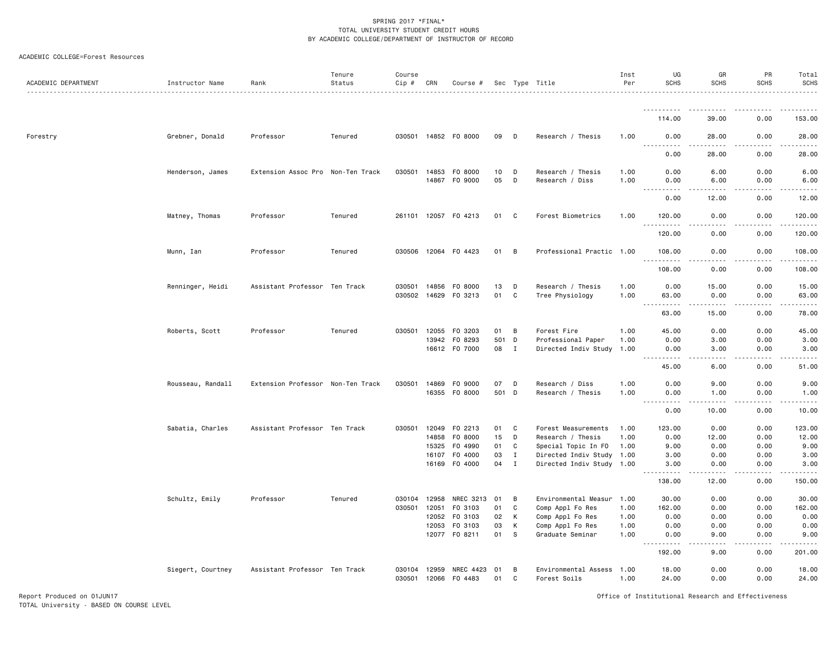#### ACADEMIC COLLEGE=Forest Resources

| ACADEMIC DEPARTMENT | Instructor Name   | Rank                              | Tenure<br>Status | Course<br>Cip # | CRN          | Course #                 |          |              | Sec Type Title                            | Inst<br>Per  | UG<br>SCHS                         | GR<br><b>SCHS</b>                   | PR<br><b>SCHS</b>        | Total<br><b>SCHS</b>                                                                                                                                         |
|---------------------|-------------------|-----------------------------------|------------------|-----------------|--------------|--------------------------|----------|--------------|-------------------------------------------|--------------|------------------------------------|-------------------------------------|--------------------------|--------------------------------------------------------------------------------------------------------------------------------------------------------------|
|                     |                   |                                   |                  |                 |              |                          |          |              |                                           |              | .                                  | $\frac{1}{2}$                       | -----                    | <u>.</u>                                                                                                                                                     |
|                     |                   |                                   |                  |                 |              |                          |          |              |                                           |              | 114.00                             | 39.00                               | 0.00                     | 153.00                                                                                                                                                       |
| Forestry            | Grebner, Donald   | Professor                         | Tenured          |                 |              | 030501 14852 F0 8000     | 09       | D            | Research / Thesis                         | 1.00         | 0.00                               | 28.00                               | 0.00                     | 28.00                                                                                                                                                        |
|                     |                   |                                   |                  |                 |              |                          |          |              |                                           |              | 0.00                               | 28.00                               | 0.00                     | 28.00                                                                                                                                                        |
|                     | Henderson, James  | Extension Assoc Pro Non-Ten Track |                  | 030501          | 14853        | F0 8000<br>14867 F0 9000 | 10<br>05 | D<br>D       | Research / Thesis<br>Research / Diss      | 1.00<br>1.00 | 0.00<br>0.00                       | 6.00<br>6.00                        | 0.00<br>0.00             | 6.00<br>6.00                                                                                                                                                 |
|                     |                   |                                   |                  |                 |              |                          |          |              |                                           |              |                                    |                                     |                          |                                                                                                                                                              |
|                     |                   |                                   |                  |                 |              |                          |          |              |                                           |              | 0.00                               | 12.00                               | 0.00                     | 12.00                                                                                                                                                        |
|                     | Matney, Thomas    | Professor                         | Tenured          |                 |              | 261101 12057 FO 4213     | 01       | C.           | Forest Biometrics                         | 1.00         | 120.00<br>$\sim$ $\sim$<br>.       | 0.00<br>د د د د                     | 0.00<br>.                | 120.00<br>-----                                                                                                                                              |
|                     |                   |                                   |                  |                 |              |                          |          |              |                                           |              | 120.00                             | 0.00                                | 0.00                     | 120.00                                                                                                                                                       |
|                     | Munn, Ian         | Professor                         | Tenured          |                 |              | 030506 12064 F0 4423     | 01       | B            | Professional Practic 1.00                 |              | 108.00<br>.                        | 0.00<br>.                           | 0.00<br>المتمام والمناور | 108.00<br>$- - - - - -$                                                                                                                                      |
|                     |                   |                                   |                  |                 |              |                          |          |              |                                           |              | 108.00                             | 0.00                                | 0.00                     | 108.00                                                                                                                                                       |
|                     | Renninger, Heidi  | Assistant Professor Ten Track     |                  |                 |              | 030501 14856 FO 8000     | 13       | D            | Research / Thesis                         | 1.00         | 0.00                               | 15.00                               | 0.00                     | 15.00                                                                                                                                                        |
|                     |                   |                                   |                  |                 |              | 030502 14629 FO 3213     | 01       | C            | Tree Physiology                           | 1.00         | 63.00<br>$\sim$ $\sim$ $\sim$<br>. | 0.00<br>-----                       | 0.00<br>.                | 63.00<br>.                                                                                                                                                   |
|                     |                   |                                   |                  |                 |              |                          |          |              |                                           |              | 63.00                              | 15.00                               | 0.00                     | 78.00                                                                                                                                                        |
|                     | Roberts, Scott    | Professor                         | Tenured          | 030501          | 12055        | F0 3203                  | 01       | B            | Forest Fire                               | 1.00         | 45.00                              | 0.00                                | 0.00                     | 45.00                                                                                                                                                        |
|                     |                   |                                   |                  |                 | 13942        | F0 8293                  | 501      | D            | Professional Paper                        | 1.00         | 0.00                               | 3.00                                | 0.00                     | 3.00                                                                                                                                                         |
|                     |                   |                                   |                  |                 |              | 16612 F0 7000            | 08       | $\mathbf{I}$ | Directed Indiv Study 1.00                 |              | 0.00<br>-----                      | 3.00<br>$\sim$ $\sim$ $\sim$ $\sim$ | 0.00<br>.                | 3.00<br>المستما                                                                                                                                              |
|                     |                   |                                   |                  |                 |              |                          |          |              |                                           |              | 45.00                              | 6.00                                | 0.00                     | 51.00                                                                                                                                                        |
|                     | Rousseau, Randall | Extension Professor Non-Ten Track |                  | 030501          |              | 14869 F0 9000            | 07       | $\mathsf D$  | Research / Diss                           | 1.00         | 0.00                               | 9.00                                | 0.00                     | 9.00                                                                                                                                                         |
|                     |                   |                                   |                  |                 |              | 16355 FO 8000            |          | 501 D        | Research / Thesis                         | 1.00         | 0.00<br>$\sim 100$<br>.            | 1.00<br>.                           | 0.00<br>-----            | 1.00<br>.                                                                                                                                                    |
|                     |                   |                                   |                  |                 |              |                          |          |              |                                           |              | 0.00                               | 10.00                               | 0.00                     | 10.00                                                                                                                                                        |
|                     | Sabatia, Charles  | Assistant Professor Ten Track     |                  | 030501          |              | 12049 F0 2213            | 01       | C            | Forest Measurements                       | 1.00         | 123.00                             | 0.00                                | 0.00                     | 123.00                                                                                                                                                       |
|                     |                   |                                   |                  |                 | 14858        | F0 8000                  | 15       | D            | Research / Thesis                         | 1.00         | 0.00                               | 12.00                               | 0.00                     | 12.00                                                                                                                                                        |
|                     |                   |                                   |                  |                 | 15325        | F0 4990                  | 01       | C            | Special Topic In FO                       | 1.00         | 9.00                               | 0.00                                | 0.00                     | 9.00                                                                                                                                                         |
|                     |                   |                                   |                  |                 | 16107        | F0 4000                  | 03       | $\mathbf{I}$ | Directed Indiv Study 1.00                 |              | 3.00                               | 0.00                                | 0.00                     | 3.00                                                                                                                                                         |
|                     |                   |                                   |                  |                 |              | 16169 F0 4000            | 04       | $\mathbf{I}$ | Directed Indiv Study 1.00                 |              | 3.00<br>.                          | 0.00<br>-----                       | 0.00<br>. <b>.</b>       | 3.00<br>.                                                                                                                                                    |
|                     |                   |                                   |                  |                 |              |                          |          |              |                                           |              | 138.00                             | 12.00                               | 0.00                     | 150.00                                                                                                                                                       |
|                     | Schultz, Emily    | Professor                         | Tenured          | 030104          | 12958        | NREC 3213                | 01       | B            | Environmental Measur 1.00                 |              | 30.00                              | 0.00                                | 0.00                     | 30.00                                                                                                                                                        |
|                     |                   |                                   |                  | 030501          | 12051        | F0 3103                  | 01       | C            | Comp Appl Fo Res                          | 1.00         | 162.00                             | 0.00                                | 0.00                     | 162.00                                                                                                                                                       |
|                     |                   |                                   |                  |                 | 12052        | F0 3103                  | 02       | K            | Comp Appl Fo Res                          | 1.00         | 0.00                               | 0.00                                | 0.00                     | 0.00                                                                                                                                                         |
|                     |                   |                                   |                  |                 | 12053        | FO 3103                  | 03       | К            | Comp Appl Fo Res                          | 1.00         | 0.00                               | 0.00                                | 0.00                     | 0.00                                                                                                                                                         |
|                     |                   |                                   |                  |                 |              | 12077 FO 8211            | 01       | <b>S</b>     | Graduate Seminar                          | 1.00         | 0.00<br>.                          | 9.00<br>د د د د                     | 0.00<br>-----            | 9.00<br>$\frac{1}{2} \left( \frac{1}{2} \right) \left( \frac{1}{2} \right) \left( \frac{1}{2} \right) \left( \frac{1}{2} \right) \left( \frac{1}{2} \right)$ |
|                     |                   |                                   |                  |                 |              |                          |          |              |                                           |              | 192.00                             | 9.00                                | 0.00                     | 201.00                                                                                                                                                       |
|                     | Siegert, Courtney | Assistant Professor Ten Track     |                  | 030104 12959    | 030501 12066 | NREC 4423<br>F0 4483     | 01<br>01 | в<br>C       | Environmental Assess 1.00<br>Forest Soils | 1.00         | 18.00<br>24.00                     | 0.00<br>0.00                        | 0.00<br>0.00             | 18.00<br>24.00                                                                                                                                               |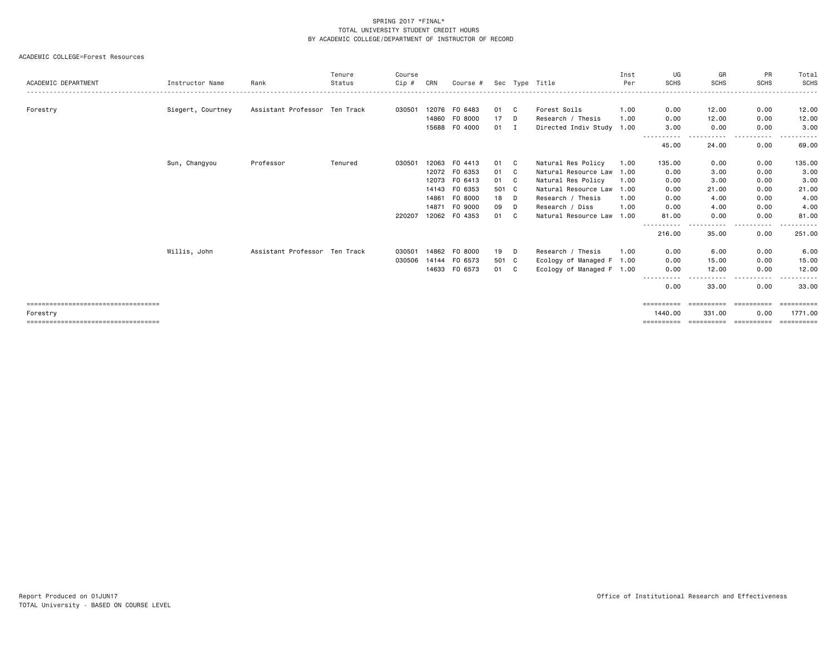| ACADEMIC DEPARTMENT                               | Instructor Name   | Rank                          | Tenure<br>Status | Course<br>Cip# | CRN   | Course #      |       |              | Sec Type Title            | Inst<br>Per | UG<br><b>SCHS</b>              | GR<br><b>SCHS</b>    | PR<br><b>SCHS</b>  | Total<br>SCHS         |
|---------------------------------------------------|-------------------|-------------------------------|------------------|----------------|-------|---------------|-------|--------------|---------------------------|-------------|--------------------------------|----------------------|--------------------|-----------------------|
|                                                   |                   |                               |                  |                |       |               |       |              |                           |             |                                |                      |                    |                       |
| Forestry                                          | Siegert, Courtney | Assistant Professor Ten Track |                  | 030501         | 12076 | FO 6483       | 01    | C.           | Forest Soils              | 1.00        | 0.00                           | 12.00                | 0.00               | 12.00                 |
|                                                   |                   |                               |                  |                | 14860 | F0 8000       | 17    | D            | Research / Thesis         | 1.00        | 0.00                           | 12.00                | 0.00               | 12.00                 |
|                                                   |                   |                               |                  |                | 15688 | F0 4000       | 01    | $\mathbf{I}$ | Directed Indiv Study 1.00 |             | 3,00                           | 0.00                 | 0.00               | 3.00                  |
|                                                   |                   |                               |                  |                |       |               |       |              |                           |             | $\cdots$<br>- - - -<br>45.00   | 24.00                | .<br>0.00          | 69.00                 |
|                                                   | Sun, Changyou     | Professor                     | Tenured          | 030501         | 12063 | F0 4413       | 01    | C            | Natural Res Policy        | 1.00        | 135.00                         | 0.00                 | 0.00               | 135.00                |
|                                                   |                   |                               |                  |                | 12072 | F0 6353       | 01    | C.           | Natural Resource Law 1.00 |             | 0.00                           | 3.00                 | 0.00               | 3.00                  |
|                                                   |                   |                               |                  |                | 12073 | FO 6413       | 01    | C            | Natural Res Policy        | 1.00        | 0.00                           | 3.00                 | 0.00               | 3.00                  |
|                                                   |                   |                               |                  |                | 14143 | F0 6353       | 501 C |              | Natural Resource Law 1.00 |             | 0.00                           | 21.00                | 0.00               | 21.00                 |
|                                                   |                   |                               |                  |                | 14861 | F0 8000       | 18    | D.           | Research / Thesis         | 1.00        | 0.00                           | 4.00                 | 0.00               | 4.00                  |
|                                                   |                   |                               |                  |                | 14871 | F0 9000       | 09    | D            | Research / Diss           | 1.00        | 0.00                           | 4.00                 | 0.00               | 4.00                  |
|                                                   |                   |                               |                  | 220207         | 12062 | F0 4353       | 01    | C.           | Natural Resource Law 1.00 |             | 81.00                          | 0.00<br>$\cdots$     | 0.00<br>.          | 81.00                 |
|                                                   |                   |                               |                  |                |       |               |       |              |                           |             | 216.00                         | 35.00                | 0.00               | 251.00                |
|                                                   | Willis, John      | Assistant Professor Ten Track |                  | 030501         | 14862 | F0 8000       | 19    | D.           | Research / Thesis         | 1.00        | 0.00                           | 6.00                 | 0.00               | 6.00                  |
|                                                   |                   |                               |                  | 030506         | 14144 | F0 6573       | 501 C |              | Ecology of Managed F 1.00 |             | 0.00                           | 15.00                | 0.00               | 15.00                 |
|                                                   |                   |                               |                  |                |       | 14633 FO 6573 | 01 C  |              | Ecology of Managed F 1.00 |             | 0.00                           | 12.00                | 0.00               | 12.00                 |
|                                                   |                   |                               |                  |                |       |               |       |              |                           |             | ------<br>. <b>.</b> .<br>0.00 | - - - -<br>33.00     | -----<br>0.00      | 33.00                 |
| =====================================             |                   |                               |                  |                |       |               |       |              |                           |             | ==========                     | ==========           | -----------        | ==========            |
| Forestry<br>===================================== |                   |                               |                  |                |       |               |       |              |                           |             | 1440.00<br>==========          | 331.00<br>========== | 0.00<br>========== | 1771.00<br>========== |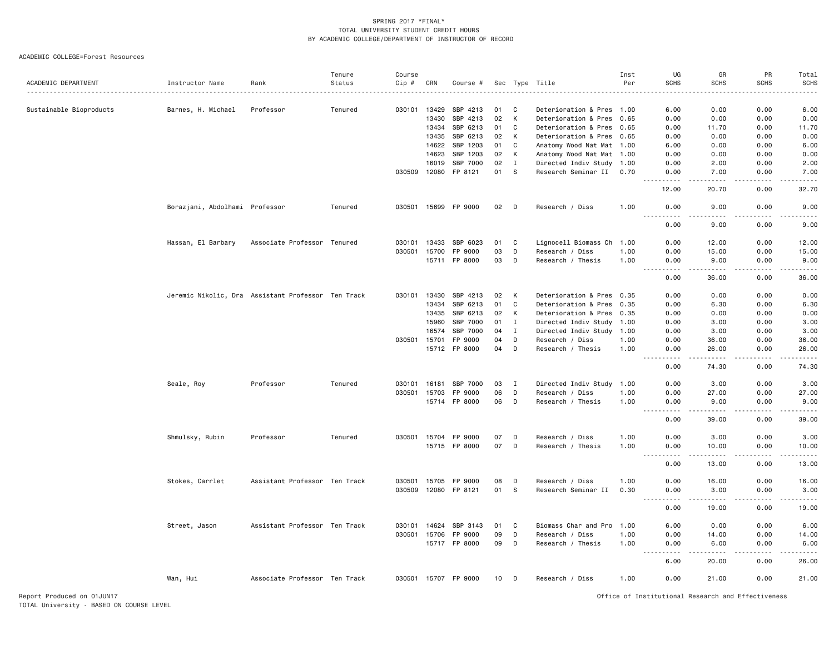|                         |                                |                                                    | Tenure  | Course       |       |                      |                 |             |                           | Inst | UG                                                                                                                                                           | GR                                                                                                                                                           | PR              | Total                                                                                                                                                        |
|-------------------------|--------------------------------|----------------------------------------------------|---------|--------------|-------|----------------------|-----------------|-------------|---------------------------|------|--------------------------------------------------------------------------------------------------------------------------------------------------------------|--------------------------------------------------------------------------------------------------------------------------------------------------------------|-----------------|--------------------------------------------------------------------------------------------------------------------------------------------------------------|
| ACADEMIC DEPARTMENT     | Instructor Name                | Rank                                               | Status  | Cip #        | CRN   | Course #             |                 |             | Sec Type Title            | Per  | <b>SCHS</b>                                                                                                                                                  | <b>SCHS</b>                                                                                                                                                  | <b>SCHS</b>     | <b>SCHS</b>                                                                                                                                                  |
|                         |                                |                                                    |         |              |       |                      |                 |             |                           |      |                                                                                                                                                              |                                                                                                                                                              |                 |                                                                                                                                                              |
| Sustainable Bioproducts | Barnes, H. Michael             | Professor                                          | Tenured | 030101       | 13429 | SBP 4213             | 01              | C           | Deterioration & Pres 1.00 |      | 6.00                                                                                                                                                         | 0.00                                                                                                                                                         | 0.00            | 6.00                                                                                                                                                         |
|                         |                                |                                                    |         |              | 13430 | SBP 4213             | 02              | К           | Deterioration & Pres 0.65 |      | 0.00                                                                                                                                                         | 0.00                                                                                                                                                         | 0.00            | 0.00                                                                                                                                                         |
|                         |                                |                                                    |         |              | 13434 | SBP 6213             | 01              | $\mathbf C$ | Deterioration & Pres 0.65 |      | 0.00                                                                                                                                                         | 11.70                                                                                                                                                        | 0.00            | 11.70                                                                                                                                                        |
|                         |                                |                                                    |         |              | 13435 | SBP 6213             | 02              | К           | Deterioration & Pres 0.65 |      | 0.00                                                                                                                                                         | 0.00                                                                                                                                                         | 0.00            | 0.00                                                                                                                                                         |
|                         |                                |                                                    |         |              | 14622 | SBP 1203             | 01              | C           | Anatomy Wood Nat Mat 1.00 |      | 6.00                                                                                                                                                         | 0.00                                                                                                                                                         | 0.00            | 6.00                                                                                                                                                         |
|                         |                                |                                                    |         |              | 14623 | SBP 1203             | 02              | К           | Anatomy Wood Nat Mat 1.00 |      | 0.00                                                                                                                                                         | 0.00                                                                                                                                                         | 0.00            | 0.00                                                                                                                                                         |
|                         |                                |                                                    |         |              | 16019 | SBP 7000             | 02              | I           | Directed Indiv Study 1.00 |      | 0.00                                                                                                                                                         | 2.00                                                                                                                                                         | 0.00            | 2.00                                                                                                                                                         |
|                         |                                |                                                    |         | 030509       | 12080 | FP 8121              | 01              | -S          | Research Seminar II 0.70  |      | 0.00<br>$\frac{1}{2} \left( \frac{1}{2} \right) \left( \frac{1}{2} \right) \left( \frac{1}{2} \right) \left( \frac{1}{2} \right) \left( \frac{1}{2} \right)$ | 7.00<br>$\frac{1}{2} \left( \frac{1}{2} \right) \left( \frac{1}{2} \right) \left( \frac{1}{2} \right) \left( \frac{1}{2} \right) \left( \frac{1}{2} \right)$ | 0.00<br>.       | 7.00<br>د د د د د                                                                                                                                            |
|                         |                                |                                                    |         |              |       |                      |                 |             |                           |      | 12.00                                                                                                                                                        | 20.70                                                                                                                                                        | 0.00            | 32.70                                                                                                                                                        |
|                         | Borazjani, Abdolhami Professor |                                                    | Tenured | 030501 15699 |       | FP 9000              | 02              | D           | Research / Diss           | 1.00 | 0.00<br>$- - - - -$                                                                                                                                          | 9.00<br>.                                                                                                                                                    | 0.00<br>.       | 9.00<br>$- - - - -$                                                                                                                                          |
|                         |                                |                                                    |         |              |       |                      |                 |             |                           |      | 0.00                                                                                                                                                         | 9.00                                                                                                                                                         | 0.00            | 9.00                                                                                                                                                         |
|                         | Hassan, El Barbary             | Associate Professor Tenured                        |         | 030101       | 13433 | SBP 6023             | 01              | C           | Lignocell Biomass Ch      | 1.00 | 0.00                                                                                                                                                         | 12.00                                                                                                                                                        | 0.00            | 12.00                                                                                                                                                        |
|                         |                                |                                                    |         | 030501       | 15700 | FP 9000              | 03              | D           | Research / Diss           | 1.00 | 0.00                                                                                                                                                         | 15.00                                                                                                                                                        | 0.00            | 15.00                                                                                                                                                        |
|                         |                                |                                                    |         |              | 15711 | FP 8000              | 03              | D           | Research / Thesis         | 1.00 | 0.00                                                                                                                                                         | 9.00<br>.                                                                                                                                                    | 0.00<br>د د د د | 9.00<br>$\frac{1}{2} \left( \frac{1}{2} \right) \left( \frac{1}{2} \right) \left( \frac{1}{2} \right) \left( \frac{1}{2} \right) \left( \frac{1}{2} \right)$ |
|                         |                                |                                                    |         |              |       |                      |                 |             |                           |      | 0.00                                                                                                                                                         | 36.00                                                                                                                                                        | 0.00            | 36.00                                                                                                                                                        |
|                         |                                | Jeremic Nikolic, Dra Assistant Professor Ten Track |         | 030101       | 13430 | SBP 4213             | 02              | К           | Deterioration & Pres 0.35 |      | 0.00                                                                                                                                                         | 0.00                                                                                                                                                         | 0.00            | 0.00                                                                                                                                                         |
|                         |                                |                                                    |         |              | 13434 | SBP 6213             | 01              | C           | Deterioration & Pres      | 0.35 | 0.00                                                                                                                                                         | 6.30                                                                                                                                                         | 0.00            | 6.30                                                                                                                                                         |
|                         |                                |                                                    |         |              | 13435 | SBP 6213             | 02              | К           | Deterioration & Pres 0.35 |      | 0.00                                                                                                                                                         | 0.00                                                                                                                                                         | 0.00            | 0.00                                                                                                                                                         |
|                         |                                |                                                    |         |              | 15960 | SBP 7000             | 01              | $\mathbf I$ | Directed Indiv Study 1.00 |      | 0.00                                                                                                                                                         | 3.00                                                                                                                                                         | 0.00            | 3.00                                                                                                                                                         |
|                         |                                |                                                    |         |              | 16574 | SBP 7000             | 04              | $\mathbf I$ | Directed Indiv Study 1.00 |      | 0.00                                                                                                                                                         | 3.00                                                                                                                                                         | 0.00            | 3.00                                                                                                                                                         |
|                         |                                |                                                    |         | 030501       | 15701 | FP 9000              | 04              | D           | Research / Diss           | 1.00 | 0.00                                                                                                                                                         | 36.00                                                                                                                                                        | 0.00            | 36.00                                                                                                                                                        |
|                         |                                |                                                    |         |              | 15712 | FP 8000              | 04              | D           | Research / Thesis         | 1.00 | 0.00<br>$- - -$<br>.                                                                                                                                         | 26.00<br>$- - - - -$                                                                                                                                         | 0.00<br>.       | 26.00<br>. <u>.</u> .                                                                                                                                        |
|                         |                                |                                                    |         |              |       |                      |                 |             |                           |      | 0.00                                                                                                                                                         | 74.30                                                                                                                                                        | 0.00            | 74.30                                                                                                                                                        |
|                         | Seale, Roy                     | Professor                                          | Tenured | 030101       | 16181 | SBP 7000             | 03              | I           | Directed Indiv Study 1.00 |      | 0.00                                                                                                                                                         | 3.00                                                                                                                                                         | 0.00            | 3.00                                                                                                                                                         |
|                         |                                |                                                    |         | 030501       | 15703 | FP 9000              | 06              | D           | Research / Diss           | 1.00 | 0.00                                                                                                                                                         | 27.00                                                                                                                                                        | 0.00            | 27.00                                                                                                                                                        |
|                         |                                |                                                    |         |              | 15714 | FP 8000              | 06              | D           | Research / Thesis         | 1.00 | 0.00<br>.                                                                                                                                                    | 9.00<br>$\frac{1}{2} \left( \frac{1}{2} \right) \left( \frac{1}{2} \right) \left( \frac{1}{2} \right) \left( \frac{1}{2} \right) \left( \frac{1}{2} \right)$ | 0.00<br>د د د د | 9.00<br>$    -$                                                                                                                                              |
|                         |                                |                                                    |         |              |       |                      |                 |             |                           |      | 0.00                                                                                                                                                         | 39.00                                                                                                                                                        | 0.00            | 39.00                                                                                                                                                        |
|                         | Shmulsky, Rubin                | Professor                                          | Tenured | 030501       | 15704 | FP 9000              | 07              | D           | Research / Diss           | 1.00 | 0.00                                                                                                                                                         | 3.00                                                                                                                                                         | 0.00            | 3.00                                                                                                                                                         |
|                         |                                |                                                    |         |              |       | 15715 FP 8000        | 07              | D           | Research / Thesis         | 1.00 | 0.00<br>$\sim$ $\sim$ $\sim$                                                                                                                                 | 10.00                                                                                                                                                        | 0.00            | 10.00<br>د د د د د                                                                                                                                           |
|                         |                                |                                                    |         |              |       |                      |                 |             |                           |      | 0.00                                                                                                                                                         | 13.00                                                                                                                                                        | 0.00            | 13.00                                                                                                                                                        |
|                         | Stokes, Carrlet                | Assistant Professor Ten Track                      |         | 030501       | 15705 | FP 9000              | 08              | D           | Research / Diss           | 1.00 | 0.00                                                                                                                                                         | 16.00                                                                                                                                                        | 0.00            | 16.00                                                                                                                                                        |
|                         |                                |                                                    |         | 030509       |       | 12080 FP 8121        | 01              | S           | Research Seminar II       | 0.30 | 0.00<br>$\sim$ $\sim$ $\sim$<br>$- - - -$                                                                                                                    | 3.00<br>.                                                                                                                                                    | 0.00<br>$  -$   | 3.00<br>$\frac{1}{2}$                                                                                                                                        |
|                         |                                |                                                    |         |              |       |                      |                 |             |                           |      | 0.00                                                                                                                                                         | 19.00                                                                                                                                                        | 0.00            | 19.00                                                                                                                                                        |
|                         | Street, Jason                  | Assistant Professor Ten Track                      |         | 030101       | 14624 | SBP 3143             | 01              | C           | Biomass Char and Pro      | 1.00 | 6.00                                                                                                                                                         | 0.00                                                                                                                                                         | 0.00            | 6.00                                                                                                                                                         |
|                         |                                |                                                    |         | 030501       | 15706 | FP 9000              | 09              | D           | Research / Diss           | 1.00 | 0.00                                                                                                                                                         | 14.00                                                                                                                                                        | 0.00            | 14.00                                                                                                                                                        |
|                         |                                |                                                    |         |              |       | 15717 FP 8000        | 09              | D           | Research / Thesis         | 1.00 | 0.00<br>$\omega$ $\omega$ $\omega$                                                                                                                           | 6.00                                                                                                                                                         | 0.00            | 6.00<br>.                                                                                                                                                    |
|                         |                                |                                                    |         |              |       |                      |                 |             |                           |      | 6.00                                                                                                                                                         | 20.00                                                                                                                                                        | 0.00            | 26.00                                                                                                                                                        |
|                         | Wan, Hui                       | Associate Professor Ten Track                      |         |              |       | 030501 15707 FP 9000 | 10 <sup>1</sup> | D           | Research / Diss           | 1.00 | 0.00                                                                                                                                                         | 21.00                                                                                                                                                        | 0.00            | 21.00                                                                                                                                                        |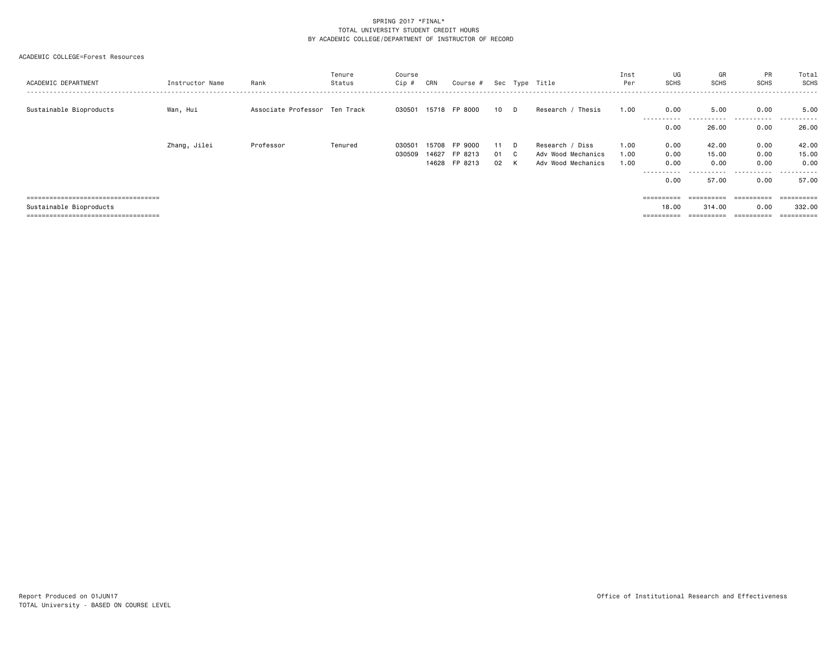| ACADEMIC DEPARTMENT                    | Instructor Name | Rank                          | Tenure<br>Status | Course<br>Cip # | CRN   | Course #      |      |    | Sec Type Title     | Inst<br>Per | UG<br><b>SCHS</b> | GR<br><b>SCHS</b> | PR<br><b>SCHS</b>           | Total<br>SCHS  |
|----------------------------------------|-----------------|-------------------------------|------------------|-----------------|-------|---------------|------|----|--------------------|-------------|-------------------|-------------------|-----------------------------|----------------|
| Sustainable Bioproducts                | Wan, Hui        | Associate Professor Ten Track |                  | 030501          |       | 15718 FP 8000 | 10 D |    | Research / Thesis  | 1.00        | 0.00              | 5.00              | 0.00<br>---------- <i>-</i> | 5.00<br>------ |
|                                        |                 |                               |                  |                 |       |               |      |    |                    |             | 0.00              | 26.00             | 0.00                        | 26.00          |
|                                        | Zhang, Jilei    | Professor                     | Tenured          | 030501          | 15708 | FP 9000       | 11   | D. | Research / Diss    | 1.00        | 0.00              | 42.00             | 0.00                        | 42.00          |
|                                        |                 |                               |                  | 030509          | 14627 | FP 8213       | 01 C |    | Adv Wood Mechanics | 1.00        | 0.00              | 15.00             | 0.00                        | 15.00          |
|                                        |                 |                               |                  |                 | 14628 | FP 8213       | 02   | K  | Adv Wood Mechanics | 1.00        | 0.00              | 0.00              | 0.00                        | 0.00           |
|                                        |                 |                               |                  |                 |       |               |      |    |                    |             |                   |                   | -------                     | - - - - - -    |
|                                        |                 |                               |                  |                 |       |               |      |    |                    |             | 0.00              | 57.00             | 0.00                        | 57.00          |
|                                        |                 |                               |                  |                 |       |               |      |    |                    |             |                   |                   |                             |                |
| ====================================== |                 |                               |                  |                 |       |               |      |    |                    |             |                   | ==========        | ==========                  | -==========    |
| Sustainable Bioproducts                |                 |                               |                  |                 |       |               |      |    |                    |             | 18.00             | 314.00            | 0.00                        | 332.00         |
| -------------------------------------  |                 |                               |                  |                 |       |               |      |    |                    |             |                   | ==========        | $=$ = = = = = = = = =       |                |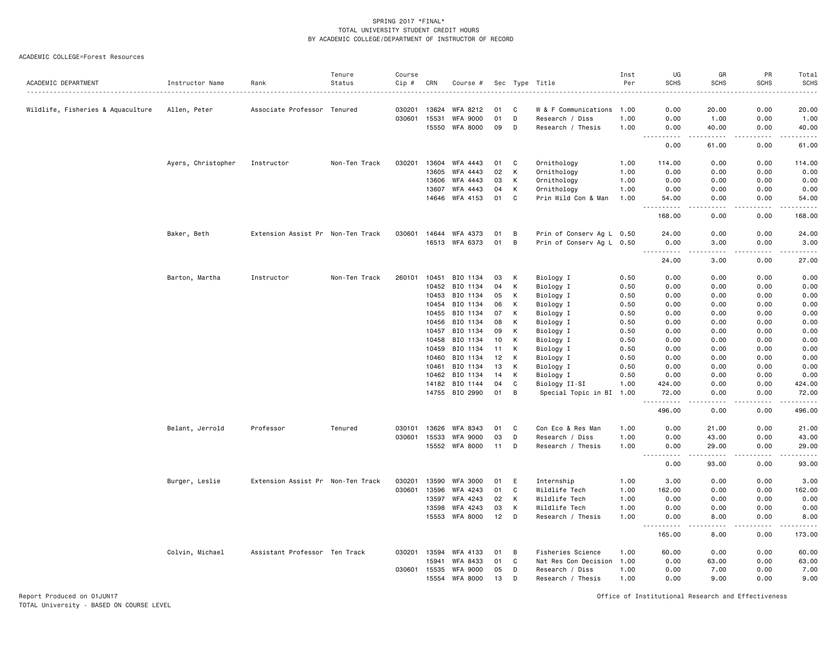| ACADEMIC DEPARTMENT               | Instructor Name    | Rank                              | Tenure<br>Status | Course<br>Cip # | CRN            | Course #             |          |        | Sec Type Title            | Inst<br>Per  | UG<br><b>SCHS</b>                      | GR<br><b>SCHS</b>                                                                                                                                             | PR<br>SCHS        | Total<br><b>SCHS</b> |
|-----------------------------------|--------------------|-----------------------------------|------------------|-----------------|----------------|----------------------|----------|--------|---------------------------|--------------|----------------------------------------|---------------------------------------------------------------------------------------------------------------------------------------------------------------|-------------------|----------------------|
|                                   |                    |                                   | .                | <u>.</u>        |                |                      |          |        |                           |              |                                        |                                                                                                                                                               | $- - - -$         | .                    |
| Wildlife, Fisheries & Aquaculture | Allen, Peter       | Associate Professor Tenured       |                  | 030201          | 13624          | WFA 8212             | 01       | C      | W & F Communications 1.00 |              | 0.00                                   | 20.00                                                                                                                                                         | 0.00              | 20.00                |
|                                   |                    |                                   |                  | 030601          | 15531          | <b>WFA 9000</b>      | 01       | D      | Research / Diss           | 1.00         | 0.00                                   | 1.00                                                                                                                                                          | 0.00              | 1.00                 |
|                                   |                    |                                   |                  |                 | 15550          | <b>WFA 8000</b>      | 09       | D      | Research / Thesis         | 1.00         | 0.00<br>.<br>$  -$                     | 40.00<br>$\frac{1}{2} \left( \frac{1}{2} \right) \left( \frac{1}{2} \right) \left( \frac{1}{2} \right) \left( \frac{1}{2} \right) \left( \frac{1}{2} \right)$ | 0.00<br>.         | 40.00<br>.           |
|                                   |                    |                                   |                  |                 |                |                      |          |        |                           |              | 0.00                                   | 61.00                                                                                                                                                         | 0.00              | 61.00                |
|                                   | Ayers, Christopher | Instructor                        | Non-Ten Track    | 030201          | 13604          | WFA 4443             | 01       | C      | Ornithology               | 1.00         | 114.00                                 | 0.00                                                                                                                                                          | 0.00              | 114.00               |
|                                   |                    |                                   |                  |                 | 13605          | WFA 4443             | 02       | К      | Ornithology               | 1.00         | 0.00                                   | 0.00                                                                                                                                                          | 0.00              | 0.00                 |
|                                   |                    |                                   |                  |                 | 13606          | WFA 4443             | 03       | К      | Ornithology               | 1.00         | 0.00                                   | 0.00                                                                                                                                                          | 0.00              | 0.00                 |
|                                   |                    |                                   |                  |                 | 13607          | WFA 4443             | 04       | К      | Ornithology               | 1.00         | 0.00                                   | 0.00                                                                                                                                                          | 0.00              | 0.00                 |
|                                   |                    |                                   |                  |                 | 14646          | WFA 4153             | 01       | C      | Prin Wild Con & Man       | 1.00         | 54.00<br>$\sim$ $\sim$ $\sim$<br>----- | 0.00<br>$\frac{1}{2} \left( \frac{1}{2} \right) \left( \frac{1}{2} \right) \left( \frac{1}{2} \right) \left( \frac{1}{2} \right)$                             | 0.00<br>.         | 54.00<br>.           |
|                                   |                    |                                   |                  |                 |                |                      |          |        |                           |              | 168.00                                 | 0.00                                                                                                                                                          | 0.00              | 168.00               |
|                                   | Baker, Beth        | Extension Assist Pr Non-Ten Track |                  | 030601          | 14644          | WFA 4373             | 01       | в      | Prin of Conserv Ag L 0.50 |              | 24.00                                  | 0.00                                                                                                                                                          | 0.00              | 24.00                |
|                                   |                    |                                   |                  |                 |                | 16513 WFA 6373       | 01       | B      | Prin of Conserv Ag L 0.50 |              | 0.00<br>$\sim$ $\sim$ $\sim$<br>.      | 3.00<br>$\frac{1}{2}$                                                                                                                                         | 0.00<br>$- - - -$ | 3.00<br>.            |
|                                   |                    |                                   |                  |                 |                |                      |          |        |                           |              | 24.00                                  | 3,00                                                                                                                                                          | 0.00              | 27.00                |
|                                   | Barton, Martha     | Instructor                        | Non-Ten Track    | 260101          | 10451          | BIO 1134             | 03       | K      | Biology I                 | 0.50         | 0.00                                   | 0.00                                                                                                                                                          | 0.00              | 0.00                 |
|                                   |                    |                                   |                  |                 | 10452          | BIO 1134             | 04       | К      | Biology I                 | 0.50         | 0.00                                   | 0.00                                                                                                                                                          | 0.00              | 0.00                 |
|                                   |                    |                                   |                  |                 | 10453          | BIO 1134             | 05       | К      | Biology I                 | 0.50         | 0.00                                   | 0.00                                                                                                                                                          | 0.00              | 0.00                 |
|                                   |                    |                                   |                  |                 | 10454          | BIO 1134             | 06       | К      | Biology I                 | 0.50         | 0.00                                   | 0.00                                                                                                                                                          | 0.00              | 0.00                 |
|                                   |                    |                                   |                  |                 | 10455          | BIO 1134             | 07       | К      | Biology I                 | 0.50         | 0.00                                   | 0.00                                                                                                                                                          | 0.00              | 0.00                 |
|                                   |                    |                                   |                  |                 | 10456          | BIO 1134             | 08       | К      | Biology I                 | 0.50         | 0.00                                   | 0.00                                                                                                                                                          | 0.00              | 0.00                 |
|                                   |                    |                                   |                  |                 | 10457          | BIO 1134             | 09       | К      | Biology I                 | 0.50         | 0.00                                   | 0.00                                                                                                                                                          | 0.00              | 0.00                 |
|                                   |                    |                                   |                  |                 | 10458          | BIO 1134             | 10       | К      | Biology I                 | 0.50         | 0.00                                   | 0.00                                                                                                                                                          | 0.00              | 0.00                 |
|                                   |                    |                                   |                  |                 | 10459          | BIO 1134             | 11       | К      | Biology I                 | 0.50         | 0.00                                   | 0.00                                                                                                                                                          | 0.00              | 0.00                 |
|                                   |                    |                                   |                  |                 | 10460          | BIO 1134             | 12       | К      | Biology I                 | 0.50         | 0.00                                   | 0.00                                                                                                                                                          | 0.00              | 0.00                 |
|                                   |                    |                                   |                  |                 | 10461<br>10462 | BIO 1134<br>BIO 1134 | 13<br>14 | К<br>К | Biology I<br>Biology I    | 0.50<br>0.50 | 0.00<br>0.00                           | 0.00<br>0.00                                                                                                                                                  | 0.00<br>0.00      | 0.00<br>0.00         |
|                                   |                    |                                   |                  |                 | 14182          | BIO 1144             | 04       | C      | Biology II-SI             | 1.00         | 424.00                                 | 0.00                                                                                                                                                          | 0.00              | 424.00               |
|                                   |                    |                                   |                  |                 |                | 14755 BIO 2990       | 01       | B      | Special Topic in BI 1.00  |              | 72.00                                  | 0.00                                                                                                                                                          | 0.00              | 72.00                |
|                                   |                    |                                   |                  |                 |                |                      |          |        |                           |              | 496.00                                 | .<br>0.00                                                                                                                                                     | .<br>0.00         | 496.00               |
|                                   | Belant, Jerrold    | Professor                         | Tenured          | 030101          | 13626          | <b>WFA 8343</b>      | 01       | C      | Con Eco & Res Man         | 1.00         | 0.00                                   | 21,00                                                                                                                                                         | 0.00              | 21.00                |
|                                   |                    |                                   |                  | 030601          | 15533          | WFA 9000             | 03       | D      | Research / Diss           | 1.00         | 0.00                                   | 43.00                                                                                                                                                         | 0.00              | 43.00                |
|                                   |                    |                                   |                  |                 | 15552          | WFA 8000             | 11       | D      | Research / Thesis         | 1.00         | 0.00                                   | 29.00                                                                                                                                                         | 0.00              | 29.00                |
|                                   |                    |                                   |                  |                 |                |                      |          |        |                           |              | 0.00                                   | $\frac{1}{2}$<br>93.00                                                                                                                                        | $- - - -$<br>0.00 | د د د د د<br>93.00   |
|                                   | Burger, Leslie     | Extension Assist Pr Non-Ten Track |                  | 030201          | 13590          | <b>WFA 3000</b>      | 01       | E      | Internship                | 1.00         | 3.00                                   | 0.00                                                                                                                                                          | 0.00              | 3.00                 |
|                                   |                    |                                   |                  | 030601          | 13596          | WFA 4243             | 01       | C      | Wildlife Tech             | 1.00         | 162.00                                 | 0.00                                                                                                                                                          | 0.00              | 162.00               |
|                                   |                    |                                   |                  |                 | 13597          | WFA 4243             | 02       | K      | Wildlife Tech             | 1.00         | 0.00                                   | 0.00                                                                                                                                                          | 0.00              | 0.00                 |
|                                   |                    |                                   |                  |                 | 13598          | WFA 4243             | 03       | К      | Wildlife Tech             | 1.00         | 0.00                                   | 0.00                                                                                                                                                          | 0.00              | 0.00                 |
|                                   |                    |                                   |                  |                 | 15553          | WFA 8000             | 12       | D      | Research / Thesis         | 1.00         | 0.00                                   | 8.00                                                                                                                                                          | 0.00              | 8.00                 |
|                                   |                    |                                   |                  |                 |                |                      |          |        |                           |              | 165.00                                 | 8.00                                                                                                                                                          | 0.00              | .<br>173.00          |
|                                   | Colvin, Michael    | Assistant Professor Ten Track     |                  | 030201          | 13594          | WFA 4133             | 01       | B      | Fisheries Science         | 1.00         | 60.00                                  | 0.00                                                                                                                                                          | 0.00              | 60.00                |
|                                   |                    |                                   |                  |                 | 15941          | WFA 8433             | 01       | C      | Nat Res Con Decision 1.00 |              | 0.00                                   | 63.00                                                                                                                                                         | 0.00              | 63.00                |
|                                   |                    |                                   |                  | 030601          | 15535          | WFA 9000             | 05       | D      | Research / Diss           | 1.00         | 0.00                                   | 7.00                                                                                                                                                          | 0.00              | 7.00                 |
|                                   |                    |                                   |                  |                 | 15554          | WFA 8000             | 13       | D      | Research / Thesis         | 1.00         | 0.00                                   | 9.00                                                                                                                                                          | 0.00              | 9.00                 |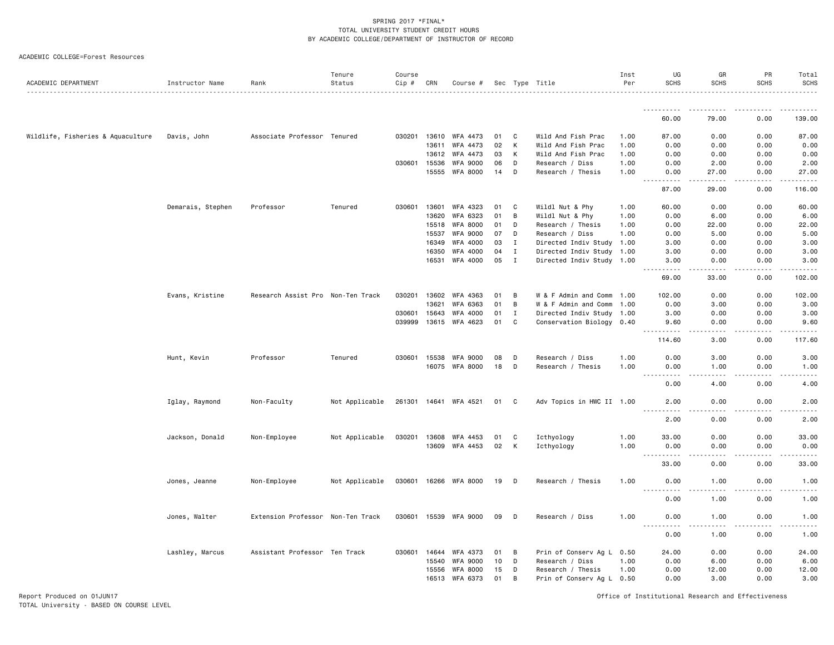#### ACADEMIC COLLEGE=Forest Resources

| ACADEMIC DEPARTMENT               | Instructor Name   | Rank                              | Tenure<br>Status | Course<br>Cip # | CRN   | Course #              |      |             | Sec Type Title            | Inst<br>Per | UG<br><b>SCHS</b>                                                                                                                                                      | GR<br><b>SCHS</b>                                                                                                                 | PR<br><b>SCHS</b>    | Total<br><b>SCHS</b><br>.                                                                                                                                                                 |
|-----------------------------------|-------------------|-----------------------------------|------------------|-----------------|-------|-----------------------|------|-------------|---------------------------|-------------|------------------------------------------------------------------------------------------------------------------------------------------------------------------------|-----------------------------------------------------------------------------------------------------------------------------------|----------------------|-------------------------------------------------------------------------------------------------------------------------------------------------------------------------------------------|
|                                   |                   |                                   |                  |                 |       |                       |      |             |                           |             |                                                                                                                                                                        |                                                                                                                                   |                      |                                                                                                                                                                                           |
|                                   |                   |                                   |                  |                 |       |                       |      |             |                           |             | 60.00                                                                                                                                                                  | 79.00                                                                                                                             | 0.00                 | 139.00                                                                                                                                                                                    |
| Wildlife, Fisheries & Aquaculture | Davis, John       | Associate Professor Tenured       |                  | 030201          | 13610 | WFA 4473              | 01   | C           | Wild And Fish Prac        | 1.00        | 87.00                                                                                                                                                                  | 0.00                                                                                                                              | 0.00                 | 87.00                                                                                                                                                                                     |
|                                   |                   |                                   |                  |                 | 13611 | WFA 4473              | 02   | К           | Wild And Fish Prac        | 1.00        | 0.00                                                                                                                                                                   | 0.00                                                                                                                              | 0.00                 | 0.00                                                                                                                                                                                      |
|                                   |                   |                                   |                  |                 | 13612 | WFA 4473              | 03   | К           | Wild And Fish Prac        | 1.00        | 0.00                                                                                                                                                                   | 0.00                                                                                                                              | 0.00                 | 0.00                                                                                                                                                                                      |
|                                   |                   |                                   |                  | 030601          | 15536 | WFA 9000              | 06   | D           | Research / Diss           | 1.00        | 0.00                                                                                                                                                                   | 2.00                                                                                                                              | 0.00                 | 2.00                                                                                                                                                                                      |
|                                   |                   |                                   |                  |                 | 15555 | WFA 8000              | 14   | D           | Research / Thesis         | 1.00        | 0.00                                                                                                                                                                   | 27.00                                                                                                                             | 0.00                 | 27.00                                                                                                                                                                                     |
|                                   |                   |                                   |                  |                 |       |                       |      |             |                           |             | $  -$<br>$\frac{1}{2} \left( \frac{1}{2} \right) \left( \frac{1}{2} \right) \left( \frac{1}{2} \right) \left( \frac{1}{2} \right) \left( \frac{1}{2} \right)$<br>87.00 | $\frac{1}{2}$<br>29.00                                                                                                            | .<br>0.00            | $\frac{1}{2} \left( \frac{1}{2} \right) \left( \frac{1}{2} \right) \left( \frac{1}{2} \right) \left( \frac{1}{2} \right) \left( \frac{1}{2} \right) \left( \frac{1}{2} \right)$<br>116.00 |
|                                   | Demarais, Stephen | Professor                         | Tenured          | 030601          | 13601 | WFA 4323              | 01   | C           | Wildl Nut & Phy           | 1.00        | 60.00                                                                                                                                                                  | 0.00                                                                                                                              | 0.00                 | 60.00                                                                                                                                                                                     |
|                                   |                   |                                   |                  |                 | 13620 | WFA 6323              | 01   | B           | Wildl Nut & Phy           | 1.00        | 0.00                                                                                                                                                                   | 6.00                                                                                                                              | 0.00                 | 6.00                                                                                                                                                                                      |
|                                   |                   |                                   |                  |                 | 15518 | <b>WFA 8000</b>       | 01   | D           | Research / Thesis         | 1.00        | 0.00                                                                                                                                                                   | 22.00                                                                                                                             | 0.00                 | 22.00                                                                                                                                                                                     |
|                                   |                   |                                   |                  |                 | 15537 | WFA 9000              | 07   | D           | Research / Diss           | 1.00        | 0.00                                                                                                                                                                   | 5.00                                                                                                                              | 0.00                 | 5.00                                                                                                                                                                                      |
|                                   |                   |                                   |                  |                 | 16349 | WFA 4000              | 03   | $\mathbf I$ | Directed Indiv Study      | 1.00        | 3.00                                                                                                                                                                   | 0.00                                                                                                                              | 0.00                 | 3.00                                                                                                                                                                                      |
|                                   |                   |                                   |                  |                 | 16350 | WFA 4000              | 04   | $\mathbf I$ | Directed Indiv Study 1.00 |             | 3.00                                                                                                                                                                   | 0.00                                                                                                                              | 0.00                 | 3.00                                                                                                                                                                                      |
|                                   |                   |                                   |                  |                 | 16531 | WFA 4000              | 05   | $\mathbf I$ | Directed Indiv Study 1.00 |             | 3.00                                                                                                                                                                   | 0.00                                                                                                                              | 0.00                 | 3,00<br>.                                                                                                                                                                                 |
|                                   |                   |                                   |                  |                 |       |                       |      |             |                           |             | 69.00                                                                                                                                                                  | 33.00                                                                                                                             | 0.00                 | 102.00                                                                                                                                                                                    |
|                                   | Evans, Kristine   | Research Assist Pro Non-Ten Track |                  | 030201          | 13602 | WFA 4363              | 01   | B           | W & F Admin and Comm 1.00 |             | 102.00                                                                                                                                                                 | 0.00                                                                                                                              | 0.00                 | 102.00                                                                                                                                                                                    |
|                                   |                   |                                   |                  |                 | 13621 | WFA 6363              | 01   | B           | W & F Admin and Comm 1.00 |             | 0.00                                                                                                                                                                   | 3.00                                                                                                                              | 0.00                 | 3.00                                                                                                                                                                                      |
|                                   |                   |                                   |                  | 030601          | 15643 | WFA 4000              | 01   | $\mathbf I$ | Directed Indiv Study 1.00 |             | 3.00                                                                                                                                                                   | 0.00                                                                                                                              | 0.00                 | 3.00                                                                                                                                                                                      |
|                                   |                   |                                   |                  | 039999          |       | 13615 WFA 4623        | 01   | C           | Conservation Biology 0.40 |             | 9.60                                                                                                                                                                   | 0.00                                                                                                                              | 0.00                 | 9.60                                                                                                                                                                                      |
|                                   |                   |                                   |                  |                 |       |                       |      |             |                           |             | 114.60                                                                                                                                                                 | 3.00                                                                                                                              | 0.00                 | والمناصبات<br>117.60                                                                                                                                                                      |
|                                   | Hunt, Kevin       | Professor                         | Tenured          | 030601          | 15538 | WFA 9000              | 08   | D           | Research / Diss           | 1.00        | 0.00                                                                                                                                                                   | 3.00                                                                                                                              | 0.00                 | 3.00                                                                                                                                                                                      |
|                                   |                   |                                   |                  |                 |       | 16075 WFA 8000        | 18   | D           | Research / Thesis         | 1.00        | 0.00                                                                                                                                                                   | 1.00                                                                                                                              | 0.00                 | 1.00                                                                                                                                                                                      |
|                                   |                   |                                   |                  |                 |       |                       |      |             |                           |             | .<br>$  -$                                                                                                                                                             | $\frac{1}{2}$                                                                                                                     | $- - - -$            | $\frac{1}{2} \left( \frac{1}{2} \right) \left( \frac{1}{2} \right) \left( \frac{1}{2} \right) \left( \frac{1}{2} \right) \left( \frac{1}{2} \right)$                                      |
|                                   |                   |                                   |                  |                 |       |                       |      |             |                           |             | 0.00                                                                                                                                                                   | 4.00                                                                                                                              | 0.00                 | 4.00                                                                                                                                                                                      |
|                                   | Iglay, Raymond    | Non-Faculty                       | Not Applicable   |                 |       | 261301 14641 WFA 4521 | 01 C |             | Adv Topics in HWC II 1.00 |             | 2.00                                                                                                                                                                   | 0.00                                                                                                                              | 0.00                 | 2.00                                                                                                                                                                                      |
|                                   |                   |                                   |                  |                 |       |                       |      |             |                           |             | <u> - - - - - - - - - -</u><br>2.00                                                                                                                                    | $\frac{1}{2} \left( \frac{1}{2} \right) \left( \frac{1}{2} \right) \left( \frac{1}{2} \right) \left( \frac{1}{2} \right)$<br>0.00 | .<br>0.00            | $\frac{1}{2} \left( \frac{1}{2} \right) \left( \frac{1}{2} \right) \left( \frac{1}{2} \right) \left( \frac{1}{2} \right) \left( \frac{1}{2} \right)$<br>2.00                              |
|                                   | Jackson, Donald   | Non-Employee                      | Not Applicable   | 030201 13608    |       | WFA 4453              | 01   | C           | Icthyology                | 1.00        | 33.00                                                                                                                                                                  | 0.00                                                                                                                              | 0.00                 | 33.00                                                                                                                                                                                     |
|                                   |                   |                                   |                  |                 | 13609 | WFA 4453              | 02   | К           | Icthyology                | 1.00        | 0.00                                                                                                                                                                   | 0.00                                                                                                                              | 0.00                 | 0.00                                                                                                                                                                                      |
|                                   |                   |                                   |                  |                 |       |                       |      |             |                           |             | $\sim$ $\sim$ $\sim$ $\sim$<br>.                                                                                                                                       | .                                                                                                                                 | $\sim$ $\sim$ $\sim$ | $\frac{1}{2} \left( \frac{1}{2} \right) \left( \frac{1}{2} \right) \left( \frac{1}{2} \right) \left( \frac{1}{2} \right) \left( \frac{1}{2} \right)$                                      |
|                                   |                   |                                   |                  |                 |       |                       |      |             |                           |             | 33.00                                                                                                                                                                  | 0.00                                                                                                                              | 0.00                 | 33.00                                                                                                                                                                                     |
|                                   | Jones, Jeanne     | Non-Employee                      | Not Applicable   |                 |       | 030601 16266 WFA 8000 | 19   | D           | Research / Thesis         | 1.00        | 0.00                                                                                                                                                                   | 1.00                                                                                                                              | 0.00                 | 1.00                                                                                                                                                                                      |
|                                   |                   |                                   |                  |                 |       |                       |      |             |                           |             | 0.00                                                                                                                                                                   | 1.00                                                                                                                              | 0.00                 | 1.00                                                                                                                                                                                      |
|                                   | Jones, Walter     | Extension Professor Non-Ten Track |                  | 030601 15539    |       | WFA 9000              | 09   | D           | Research / Diss           | 1.00        | 0.00                                                                                                                                                                   | 1.00                                                                                                                              | 0.00                 | 1.00                                                                                                                                                                                      |
|                                   |                   |                                   |                  |                 |       |                       |      |             |                           |             | 0.00                                                                                                                                                                   | 1.00                                                                                                                              | 0.00                 | 1.00                                                                                                                                                                                      |
|                                   | Lashley, Marcus   | Assistant Professor Ten Track     |                  | 030601          | 14644 | WFA 4373              | 01   | B           | Prin of Conserv Ag L      | 0.50        | 24.00                                                                                                                                                                  | 0.00                                                                                                                              | 0.00                 | 24.00                                                                                                                                                                                     |
|                                   |                   |                                   |                  |                 | 15540 | WFA 9000              | 10   | D           | Research / Diss           | 1.00        | 0.00                                                                                                                                                                   | 6.00                                                                                                                              | 0.00                 | 6.00                                                                                                                                                                                      |
|                                   |                   |                                   |                  |                 | 15556 | WFA 8000              | 15   | D           | Research / Thesis         | 1.00        | 0.00                                                                                                                                                                   | 12.00                                                                                                                             | 0.00                 | 12.00                                                                                                                                                                                     |
|                                   |                   |                                   |                  |                 | 16513 | WFA 6373              | 01   | B           | Prin of Conserv Ag L 0.50 |             | 0.00                                                                                                                                                                   | 3.00                                                                                                                              | 0.00                 | 3.00                                                                                                                                                                                      |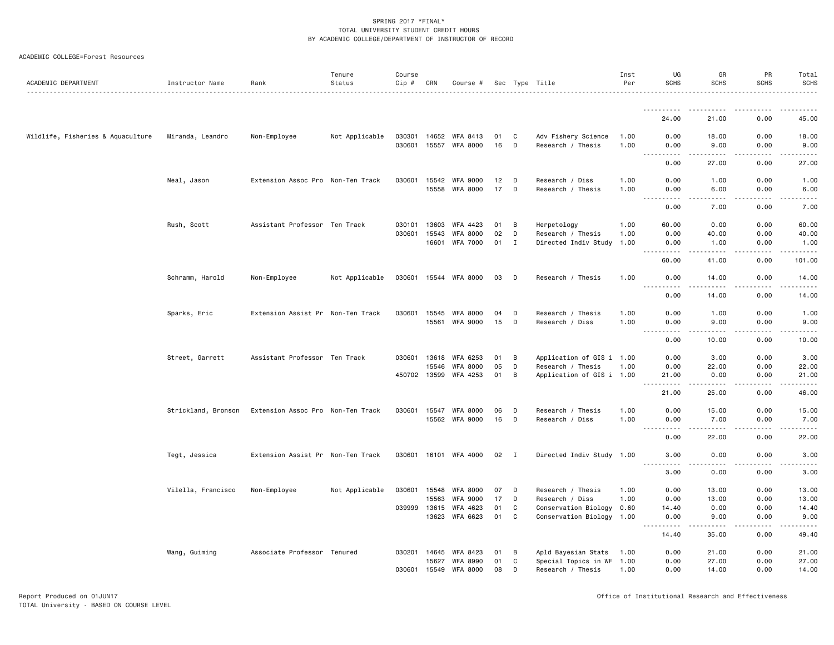| ACADEMIC COLLEGE=Forest Resources |  |  |
|-----------------------------------|--|--|
|-----------------------------------|--|--|

| ACADEMIC DEPARTMENT               | Instructor Name     | Rank                              | Tenure<br>Status | Course<br>$Cip$ # | CRN   | Course #              |    |    | Sec Type Title            | Inst<br>Per | UG<br><b>SCHS</b>                       | GR<br><b>SCHS</b>                                                                                                                                             | <b>PR</b><br><b>SCHS</b> | Total<br><b>SCHS</b>              |
|-----------------------------------|---------------------|-----------------------------------|------------------|-------------------|-------|-----------------------|----|----|---------------------------|-------------|-----------------------------------------|---------------------------------------------------------------------------------------------------------------------------------------------------------------|--------------------------|-----------------------------------|
|                                   |                     |                                   |                  |                   |       |                       |    |    |                           |             |                                         |                                                                                                                                                               |                          |                                   |
|                                   |                     |                                   |                  |                   |       |                       |    |    |                           |             | 24,00                                   | 21,00                                                                                                                                                         | 0.00                     | 45.00                             |
| Wildlife, Fisheries & Aquaculture | Miranda, Leandro    | Non-Employee                      | Not Applicable   | 030301            | 14652 | WFA 8413              | 01 | C  | Adv Fishery Science       | 1.00        | 0.00                                    | 18.00                                                                                                                                                         | 0.00                     | 18.00                             |
|                                   |                     |                                   |                  | 030601            | 15557 | <b>WFA 8000</b>       | 16 | D  | Research / Thesis         | 1.00        | 0.00                                    | 9.00<br>د د د د د                                                                                                                                             | 0.00<br>لأعامل           | 9.00<br>$\omega$ is $\omega$ in . |
|                                   |                     |                                   |                  |                   |       |                       |    |    |                           |             | 0.00                                    | 27.00                                                                                                                                                         | 0.00                     | 27.00                             |
|                                   | Neal, Jason         | Extension Assoc Pro Non-Ten Track |                  | 030601            | 15542 | WFA 9000              | 12 | D  | Research / Diss           | 1.00        | 0.00                                    | 1.00                                                                                                                                                          | 0.00                     | 1.00                              |
|                                   |                     |                                   |                  |                   | 15558 | <b>WFA 8000</b>       | 17 | D  | Research / Thesis         | 1.00        | 0.00                                    | 6.00<br>.                                                                                                                                                     | 0.00                     | 6.00<br>-----                     |
|                                   |                     |                                   |                  |                   |       |                       |    |    |                           |             | 0.00                                    | 7.00                                                                                                                                                          | 0.00                     | 7.00                              |
|                                   | Rush, Scott         | Assistant Professor Ten Track     |                  | 030101            | 13603 | WFA 4423              | 01 | B  | Herpetology               | 1.00        | 60.00                                   | 0.00                                                                                                                                                          | 0.00                     | 60.00                             |
|                                   |                     |                                   |                  | 030601            | 15543 | WFA 8000              | 02 | D  | Research / Thesis         | 1.00        | 0.00                                    | 40.00                                                                                                                                                         | 0.00                     | 40.00                             |
|                                   |                     |                                   |                  |                   | 16601 | WFA 7000              | 01 | Ι. | Directed Indiv Study      | 1.00        | 0.00                                    | 1.00                                                                                                                                                          | 0.00                     | 1.00<br>.                         |
|                                   |                     |                                   |                  |                   |       |                       |    |    |                           |             | 60.00                                   | 41.00                                                                                                                                                         | 0.00                     | 101.00                            |
|                                   | Schramm, Harold     | Non-Employee                      | Not Applicable   |                   |       | 030601 15544 WFA 8000 | 03 | D  | Research / Thesis         | 1.00        | 0.00<br>$\sim$ $\sim$ $\sim$<br>د د د د | 14.00                                                                                                                                                         | 0.00                     | 14.00<br>.                        |
|                                   |                     |                                   |                  |                   |       |                       |    |    |                           |             | 0.00                                    | 14.00                                                                                                                                                         | 0.00                     | 14.00                             |
|                                   | Sparks, Eric        | Extension Assist Pr Non-Ten Track |                  | 030601            | 15545 | <b>WFA 8000</b>       | 04 | D  | Research / Thesis         | 1.00        | 0.00                                    | 1.00                                                                                                                                                          | 0.00                     | 1.00                              |
|                                   |                     |                                   |                  |                   | 15561 | <b>WFA 9000</b>       | 15 | D  | Research / Diss           | 1.00        | 0.00                                    | 9.00                                                                                                                                                          | 0.00                     | 9.00                              |
|                                   |                     |                                   |                  |                   |       |                       |    |    |                           |             | .<br>$\sim$ $\sim$ $\sim$<br>0.00       | $\frac{1}{2} \left( \frac{1}{2} \right) \left( \frac{1}{2} \right) \left( \frac{1}{2} \right) \left( \frac{1}{2} \right) \left( \frac{1}{2} \right)$<br>10.00 | .<br>0.00                | $    -$<br>10.00                  |
|                                   | Street, Garrett     | Assistant Professor Ten Track     |                  | 030601            | 13618 | WFA 6253              | 01 | B  | Application of GIS i 1.00 |             | 0.00                                    | 3.00                                                                                                                                                          | 0.00                     | 3.00                              |
|                                   |                     |                                   |                  |                   | 15546 | <b>WFA 8000</b>       | 05 | D  | Research / Thesis         | 1.00        | 0.00                                    | 22.00                                                                                                                                                         | 0.00                     | 22.00                             |
|                                   |                     |                                   |                  | 450702 13599      |       | WFA 4253              | 01 | B  | Application of GIS i 1.00 |             | 21.00<br>$\sim$ $\sim$ .<br>.           | 0.00<br>$\begin{array}{cccccccccccccc} \bullet & \bullet & \bullet & \bullet & \bullet & \bullet & \bullet \end{array}$                                       | 0.00<br>.                | 21.00<br>.                        |
|                                   |                     |                                   |                  |                   |       |                       |    |    |                           |             | 21.00                                   | 25.00                                                                                                                                                         | 0.00                     | 46.00                             |
|                                   | Strickland, Bronson | Extension Assoc Pro Non-Ten Track |                  | 030601            | 15547 | <b>WFA 8000</b>       | 06 | D  | Research / Thesis         | 1.00        | 0.00                                    | 15.00                                                                                                                                                         | 0.00                     | 15.00                             |
|                                   |                     |                                   |                  |                   | 15562 | WFA 9000              | 16 | D  | Research / Diss           | 1.00        | 0.00                                    | 7.00                                                                                                                                                          | 0.00                     | 7.00<br>$\cdots$                  |
|                                   |                     |                                   |                  |                   |       |                       |    |    |                           |             | 0.00                                    | 22.00                                                                                                                                                         | 0.00                     | 22.00                             |
|                                   | Tegt, Jessica       | Extension Assist Pr Non-Ten Track |                  | 030601            | 16101 | WFA 4000              | 02 | Ι. | Directed Indiv Study 1.00 |             | 3,00                                    | 0.00                                                                                                                                                          | 0.00                     | 3,00                              |
|                                   |                     |                                   |                  |                   |       |                       |    |    |                           |             | 3.00                                    | 0.00                                                                                                                                                          | 0.00                     | .<br>3.00                         |
|                                   | Vilella, Francisco  | Non-Employee                      | Not Applicable   | 030601            | 15548 | WFA 8000              | 07 | D  | Research / Thesis         | 1.00        | 0.00                                    | 13.00                                                                                                                                                         | 0.00                     | 13.00                             |
|                                   |                     |                                   |                  |                   | 15563 | <b>WFA 9000</b>       | 17 | D  | Research / Diss           | 1.00        | 0.00                                    | 13,00                                                                                                                                                         | 0.00                     | 13.00                             |
|                                   |                     |                                   |                  | 039999            | 13615 | WFA 4623              | 01 | C  | Conservation Biology      | 0.60        | 14.40                                   | 0.00                                                                                                                                                          | 0.00                     | 14.40                             |
|                                   |                     |                                   |                  |                   | 13623 | WFA 6623              | 01 | C  | Conservation Biology 1.00 |             | 0.00<br>$\sim$ $\sim$ $\sim$<br>.       | 9.00<br><u>.</u>                                                                                                                                              | 0.00<br>.                | 9.00<br>.                         |
|                                   |                     |                                   |                  |                   |       |                       |    |    |                           |             | 14.40                                   | 35.00                                                                                                                                                         | 0.00                     | 49.40                             |
|                                   | Wang, Guiming       | Associate Professor Tenured       |                  | 030201            | 14645 | WFA 8423              | 01 | B  | Apld Bayesian Stats       | 1.00        | 0.00                                    | 21.00                                                                                                                                                         | 0.00                     | 21.00                             |
|                                   |                     |                                   |                  |                   | 15627 | <b>WFA 8990</b>       | 01 | C  | Special Topics in WF 1.00 |             | 0.00                                    | 27.00                                                                                                                                                         | 0.00                     | 27.00                             |
|                                   |                     |                                   |                  | 030601            | 15549 | WFA 8000              | 08 | D  | Research / Thesis         | 1.00        | 0.00                                    | 14.00                                                                                                                                                         | 0.00                     | 14.00                             |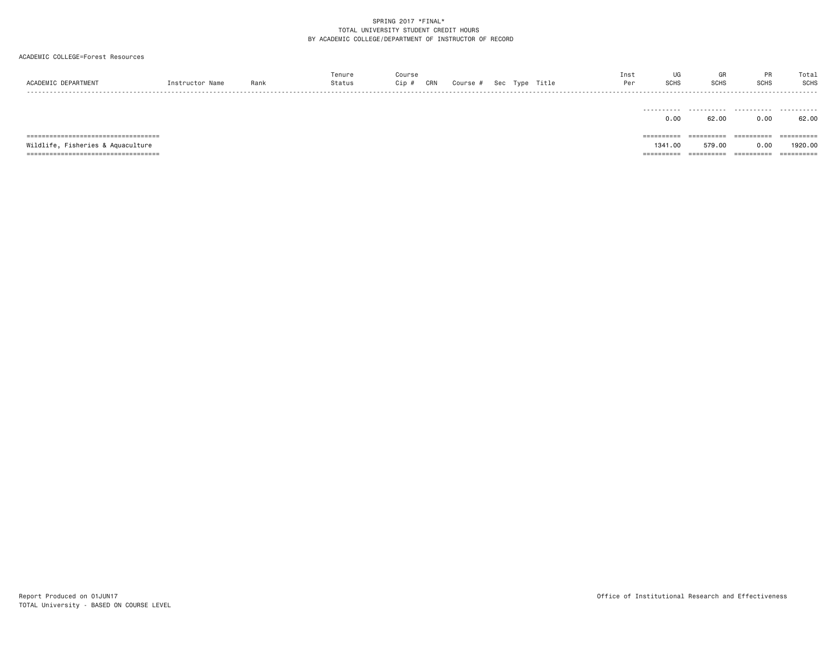| ACADEMIC DEPARTMENT                                                                                                 | Instructor Name | Rank | Tenure<br>Status | Course<br>$Cip$ # | CRN | Course # |  | Sec Type Title | Inst<br>Per | UG<br><b>SCHS</b>                 | GR<br><b>SCHS</b>                  | PR<br><b>SCHS</b>               | Total<br><b>SCHS</b>                |
|---------------------------------------------------------------------------------------------------------------------|-----------------|------|------------------|-------------------|-----|----------|--|----------------|-------------|-----------------------------------|------------------------------------|---------------------------------|-------------------------------------|
|                                                                                                                     |                 |      |                  |                   |     |          |  |                |             | .<br>0.00                         | .<br>62.00                         | .<br>0.00                       | .<br>62.00                          |
| =====================================<br>Wildlife, Fisheries & Aquaculture<br>===================================== |                 |      |                  |                   |     |          |  |                |             | ==========<br>1341.00<br>======== | ==========<br>579.00<br>---------- | ==========<br>0.00<br>========= | ==========<br>1920.00<br>========== |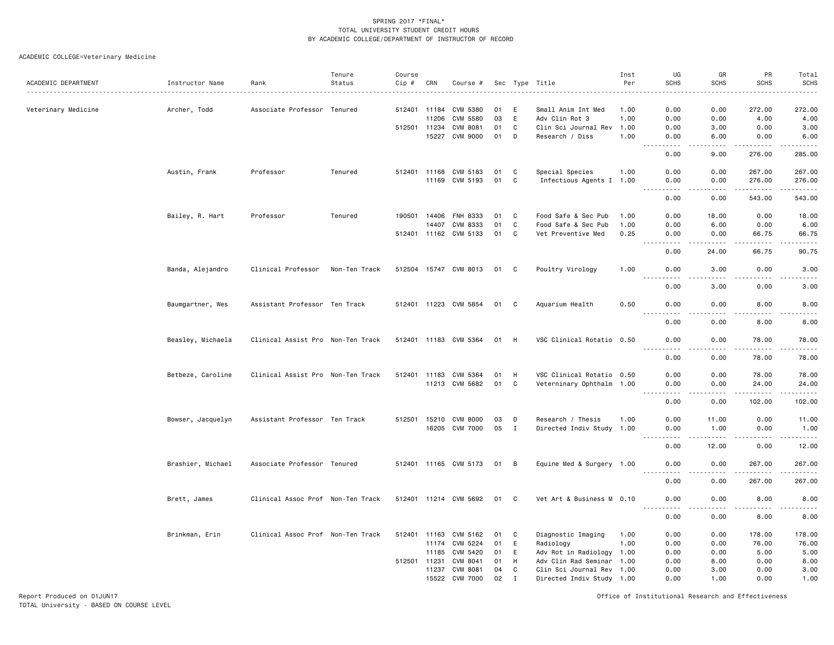# ACADEMIC COLLEGE=Veterinary Medicine

|                     |                   |                                   | Tenure        | Course |       |                       |     |             |                           | Inst | UG                                                                                                                                                           | GR             | PR                        | Total                                                                                                                                                                                                                                                                                                                                                                                                                                                                                            |
|---------------------|-------------------|-----------------------------------|---------------|--------|-------|-----------------------|-----|-------------|---------------------------|------|--------------------------------------------------------------------------------------------------------------------------------------------------------------|----------------|---------------------------|--------------------------------------------------------------------------------------------------------------------------------------------------------------------------------------------------------------------------------------------------------------------------------------------------------------------------------------------------------------------------------------------------------------------------------------------------------------------------------------------------|
| ACADEMIC DEPARTMENT | Instructor Name   | Rank                              | Status        | Cip #  | CRN   | Course #              | Sec |             | Type Title                | Per  | <b>SCHS</b>                                                                                                                                                  | <b>SCHS</b>    | <b>SCHS</b>               | <b>SCHS</b><br>.                                                                                                                                                                                                                                                                                                                                                                                                                                                                                 |
|                     |                   |                                   |               |        |       |                       |     |             |                           |      |                                                                                                                                                              |                |                           |                                                                                                                                                                                                                                                                                                                                                                                                                                                                                                  |
| Veterinary Medicine | Archer, Todd      | Associate Professor Tenured       |               | 512401 | 11184 | CVM 5380              | 01  | E           | Small Anim Int Med        | 1.00 | 0.00                                                                                                                                                         | 0.00           | 272.00                    | 272.00                                                                                                                                                                                                                                                                                                                                                                                                                                                                                           |
|                     |                   |                                   |               |        | 11206 | CVM 5580              | 03  | E           | Adv Clin Rot 3            | 1.00 | 0.00                                                                                                                                                         | 0.00           | 4.00                      | 4.00                                                                                                                                                                                                                                                                                                                                                                                                                                                                                             |
|                     |                   |                                   |               | 512501 | 11234 | <b>CVM 8081</b>       | 01  | C           | Clin Sci Journal Rev      | 1.00 | 0.00                                                                                                                                                         | 3.00           | 0.00                      | 3.00                                                                                                                                                                                                                                                                                                                                                                                                                                                                                             |
|                     |                   |                                   |               |        | 15227 | CVM 9000              | 01  | D           | Research / Diss           | 1.00 | 0.00<br>.                                                                                                                                                    | 6.00<br>$   -$ | 0.00<br>.                 | 6.00<br>.                                                                                                                                                                                                                                                                                                                                                                                                                                                                                        |
|                     |                   |                                   |               |        |       |                       |     |             |                           |      | 0.00                                                                                                                                                         | 9.00           | 276.00                    | 285.00                                                                                                                                                                                                                                                                                                                                                                                                                                                                                           |
|                     | Austin, Frank     | Professor                         | Tenured       | 512401 | 11168 | CVM 5183              | 01  | C           | Special Species           | 1.00 | 0.00                                                                                                                                                         | 0.00           | 267.00                    | 267.00                                                                                                                                                                                                                                                                                                                                                                                                                                                                                           |
|                     |                   |                                   |               |        | 11169 | CVM 5193              | 01  | C           | Infectious Agents I 1.00  |      | 0.00<br>.                                                                                                                                                    | 0.00<br>.      | 276.00<br>$- - - - - - -$ | 276.00<br>$\begin{array}{cccccccccccccc} \multicolumn{2}{c}{} & \multicolumn{2}{c}{} & \multicolumn{2}{c}{} & \multicolumn{2}{c}{} & \multicolumn{2}{c}{} & \multicolumn{2}{c}{} & \multicolumn{2}{c}{} & \multicolumn{2}{c}{} & \multicolumn{2}{c}{} & \multicolumn{2}{c}{} & \multicolumn{2}{c}{} & \multicolumn{2}{c}{} & \multicolumn{2}{c}{} & \multicolumn{2}{c}{} & \multicolumn{2}{c}{} & \multicolumn{2}{c}{} & \multicolumn{2}{c}{} & \multicolumn{2}{c}{} & \multicolumn{2}{c}{} & \$ |
|                     |                   |                                   |               |        |       |                       |     |             |                           |      | 0.00                                                                                                                                                         | 0.00           | 543.00                    | 543.00                                                                                                                                                                                                                                                                                                                                                                                                                                                                                           |
|                     | Bailey, R. Hart   | Professor                         | Tenured       | 190501 | 14406 | FNH 8333              | 01  | C           | Food Safe & Sec Pub       | 1.00 | 0.00                                                                                                                                                         | 18.00          | 0.00                      | 18.00                                                                                                                                                                                                                                                                                                                                                                                                                                                                                            |
|                     |                   |                                   |               |        | 14407 | CVM 8333              | 01  | C           | Food Safe & Sec Pub       | 1.00 | 0.00                                                                                                                                                         | 6.00           | 0.00                      | 6.00                                                                                                                                                                                                                                                                                                                                                                                                                                                                                             |
|                     |                   |                                   |               |        |       | 512401 11162 CVM 5133 | 01  | C           | Vet Preventive Med        | 0.25 | 0.00<br>$\frac{1}{2}$<br>$\cdots$                                                                                                                            | 0.00<br>.      | 66.75<br>$- - - - -$      | 66.75<br>.                                                                                                                                                                                                                                                                                                                                                                                                                                                                                       |
|                     |                   |                                   |               |        |       |                       |     |             |                           |      | 0.00                                                                                                                                                         | 24.00          | 66.75                     | 90.75                                                                                                                                                                                                                                                                                                                                                                                                                                                                                            |
|                     | Banda, Alejandro  | Clinical Professor                | Non-Ten Track |        |       | 512504 15747 CVM 8013 | 01  | C           | Poultry Virology          | 1.00 | 0.00                                                                                                                                                         | 3.00           | 0.00                      | 3.00                                                                                                                                                                                                                                                                                                                                                                                                                                                                                             |
|                     |                   |                                   |               |        |       |                       |     |             |                           |      | 0.00                                                                                                                                                         | 3.00           | 0.00                      | $\frac{1}{2} \left( \frac{1}{2} \right) \left( \frac{1}{2} \right) \left( \frac{1}{2} \right) \left( \frac{1}{2} \right) \left( \frac{1}{2} \right)$<br>3.00                                                                                                                                                                                                                                                                                                                                     |
|                     | Baumgartner, Wes  | Assistant Professor Ten Track     |               |        |       | 512401 11223 CVM 5854 | 01  | C           | Aquarium Health           | 0.50 | 0.00<br>.                                                                                                                                                    | 0.00<br>.      | 8.00<br>.                 | 8.00<br>$\frac{1}{2} \left( \frac{1}{2} \right) \left( \frac{1}{2} \right) \left( \frac{1}{2} \right) \left( \frac{1}{2} \right) \left( \frac{1}{2} \right)$                                                                                                                                                                                                                                                                                                                                     |
|                     |                   |                                   |               |        |       |                       |     |             |                           |      | 0.00                                                                                                                                                         | 0.00           | 8.00                      | 8.00                                                                                                                                                                                                                                                                                                                                                                                                                                                                                             |
|                     | Beasley, Michaela | Clinical Assist Pro Non-Ten Track |               |        |       | 512401 11183 CVM 5364 | 01  | H           | VSC Clinical Rotatio 0.50 |      | 0.00                                                                                                                                                         | 0.00           | 78.00                     | 78.00                                                                                                                                                                                                                                                                                                                                                                                                                                                                                            |
|                     |                   |                                   |               |        |       |                       |     |             |                           |      | 0.00                                                                                                                                                         | 0.00           | 78.00                     | .<br>78.00                                                                                                                                                                                                                                                                                                                                                                                                                                                                                       |
|                     | Betbeze, Caroline | Clinical Assist Pro Non-Ten Track |               | 512401 | 11183 | CVM 5364              | 01  | H           | VSC Clinical Rotatio 0.50 |      | 0.00                                                                                                                                                         | 0.00           | 78.00                     | 78.00                                                                                                                                                                                                                                                                                                                                                                                                                                                                                            |
|                     |                   |                                   |               |        | 11213 | CVM 5682              | 01  | C           | Veterninary Ophthalm 1.00 |      | 0.00                                                                                                                                                         | 0.00           | 24.00                     | 24.00                                                                                                                                                                                                                                                                                                                                                                                                                                                                                            |
|                     |                   |                                   |               |        |       |                       |     |             |                           |      |                                                                                                                                                              |                |                           | .                                                                                                                                                                                                                                                                                                                                                                                                                                                                                                |
|                     |                   |                                   |               |        |       |                       |     |             |                           |      | 0.00                                                                                                                                                         | 0.00           | 102.00                    | 102.00                                                                                                                                                                                                                                                                                                                                                                                                                                                                                           |
|                     | Bowser, Jacquelyn | Assistant Professor Ten Track     |               | 512501 |       | 15210 CVM 8000        | 03  | D           | Research / Thesis         | 1.00 | 0.00                                                                                                                                                         | 11.00          | 0.00                      | 11.00                                                                                                                                                                                                                                                                                                                                                                                                                                                                                            |
|                     |                   |                                   |               |        |       | 16205 CVM 7000        | 05  | $\mathbf I$ | Directed Indiv Study 1.00 |      | 0.00                                                                                                                                                         | 1.00           | 0.00                      | 1.00                                                                                                                                                                                                                                                                                                                                                                                                                                                                                             |
|                     |                   |                                   |               |        |       |                       |     |             |                           |      | $- - - - -$<br>0.00                                                                                                                                          | .<br>12.00     | .<br>0.00                 | .<br>12.00                                                                                                                                                                                                                                                                                                                                                                                                                                                                                       |
|                     | Brashier, Michael | Associate Professor Tenured       |               |        |       | 512401 11165 CVM 5173 | 01  | в           | Equine Med & Surgery 1.00 |      | 0.00                                                                                                                                                         | 0.00           | 267.00                    | 267.00                                                                                                                                                                                                                                                                                                                                                                                                                                                                                           |
|                     |                   |                                   |               |        |       |                       |     |             |                           |      | 0.00                                                                                                                                                         | 0.00           | 267.00                    | .<br>267.00                                                                                                                                                                                                                                                                                                                                                                                                                                                                                      |
|                     | Brett, James      | Clinical Assoc Prof Non-Ten Track |               |        |       | 512401 11214 CVM 5692 | 01  | C           | Vet Art & Business M 0.10 |      | 0.00                                                                                                                                                         | 0.00           | 8.00                      | 8.00                                                                                                                                                                                                                                                                                                                                                                                                                                                                                             |
|                     |                   |                                   |               |        |       |                       |     |             |                           |      | $\frac{1}{2} \left( \frac{1}{2} \right) \left( \frac{1}{2} \right) \left( \frac{1}{2} \right) \left( \frac{1}{2} \right) \left( \frac{1}{2} \right)$<br>0.00 | .<br>0.00      | .<br>8.00                 | .<br>8.00                                                                                                                                                                                                                                                                                                                                                                                                                                                                                        |
|                     | Brinkman, Erin    | Clinical Assoc Prof Non-Ten Track |               | 512401 | 11163 | CVM 5162              | 01  | C           | Diagnostic Imaging        | 1.00 | 0.00                                                                                                                                                         | 0.00           | 178.00                    | 178.00                                                                                                                                                                                                                                                                                                                                                                                                                                                                                           |
|                     |                   |                                   |               |        | 11174 | CVM 5224              | 01  | E           | Radiology                 | 1.00 | 0.00                                                                                                                                                         | 0.00           | 76.00                     | 76.00                                                                                                                                                                                                                                                                                                                                                                                                                                                                                            |
|                     |                   |                                   |               |        | 11185 | CVM 5420              | 01  | Ε           | Adv Rot in Radiology 1.00 |      | 0.00                                                                                                                                                         | 0.00           | 5.00                      | 5.00                                                                                                                                                                                                                                                                                                                                                                                                                                                                                             |
|                     |                   |                                   |               | 512501 | 11231 | CVM 8041              | 01  | H           | Adv Clin Rad Seminar 1.00 |      | 0.00                                                                                                                                                         | 8.00           | 0.00                      | 8.00                                                                                                                                                                                                                                                                                                                                                                                                                                                                                             |
|                     |                   |                                   |               |        | 11237 | <b>CVM 8081</b>       | 04  | C           | Clin Sci Journal Rev 1.00 |      | 0.00                                                                                                                                                         | 3.00           | 0.00                      | 3.00                                                                                                                                                                                                                                                                                                                                                                                                                                                                                             |
|                     |                   |                                   |               |        | 15522 | <b>CVM 7000</b>       | 02  | $\mathbf I$ | Directed Indiv Study 1.00 |      | 0.00                                                                                                                                                         | 1.00           | 0.00                      | 1.00                                                                                                                                                                                                                                                                                                                                                                                                                                                                                             |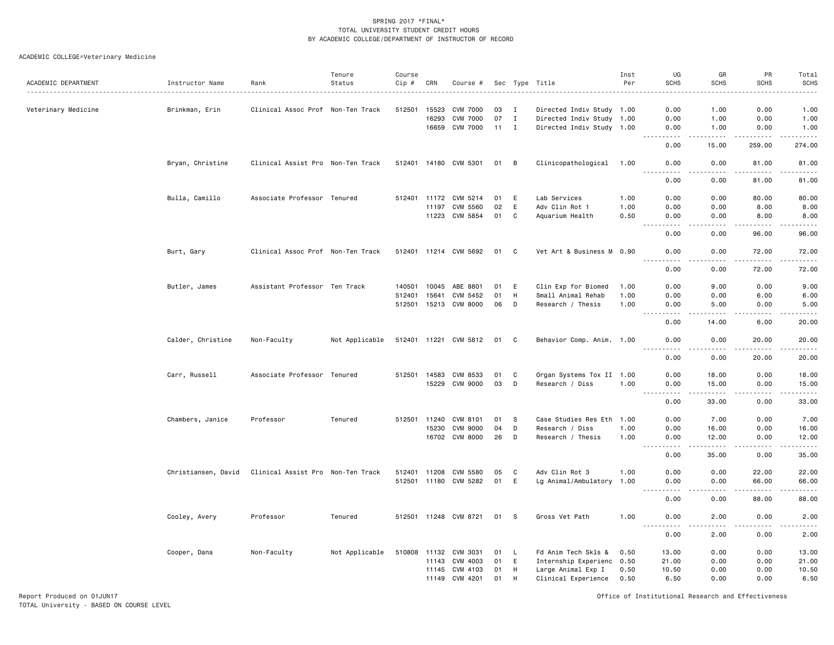# ACADEMIC COLLEGE=Veterinary Medicine

| ACADEMIC DEPARTMENT | Instructor Name     | Rank                              | Tenure<br>Status | Course<br>Cip # | CRN   | Course #              |              |             | Sec Type Title            | Inst<br>Per | UG<br><b>SCHS</b>                                                                                                                                            | GR<br><b>SCHS</b>    | PR<br><b>SCHS</b>      | Total<br><b>SCHS</b>                                                                                                                                         |
|---------------------|---------------------|-----------------------------------|------------------|-----------------|-------|-----------------------|--------------|-------------|---------------------------|-------------|--------------------------------------------------------------------------------------------------------------------------------------------------------------|----------------------|------------------------|--------------------------------------------------------------------------------------------------------------------------------------------------------------|
| Veterinary Medicine | Brinkman, Erin      | Clinical Assoc Prof Non-Ten Track |                  | 512501          | 15523 | <b>CVM 7000</b>       | 03           | <b>I</b>    | Directed Indiv Study 1.00 |             | 0.00                                                                                                                                                         | 1.00                 | 0.00                   | 1.00                                                                                                                                                         |
|                     |                     |                                   |                  |                 | 16293 | <b>CVM 7000</b>       | 07           | $\mathbf I$ | Directed Indiv Study 1.00 |             | 0.00                                                                                                                                                         | 1.00                 | 0.00                   | 1.00                                                                                                                                                         |
|                     |                     |                                   |                  |                 | 16659 | CVM 7000              | $11 \quad I$ |             | Directed Indiv Study 1.00 |             | 0.00                                                                                                                                                         | 1.00                 | 0.00                   | 1.00                                                                                                                                                         |
|                     |                     |                                   |                  |                 |       |                       |              |             |                           |             | -----<br>0.00                                                                                                                                                | $- - - - -$<br>15.00 | .<br>259.00            | .<br>274.00                                                                                                                                                  |
|                     | Bryan, Christine    | Clinical Assist Pro Non-Ten Track |                  |                 |       | 512401 14180 CVM 5301 | 01           | B           | Clinicopathological 1.00  |             | 0.00<br>$\frac{1}{2} \left( \frac{1}{2} \right) \left( \frac{1}{2} \right) \left( \frac{1}{2} \right) \left( \frac{1}{2} \right) \left( \frac{1}{2} \right)$ | 0.00<br>.            | 81.00<br>.             | 81.00<br>.                                                                                                                                                   |
|                     |                     |                                   |                  |                 |       |                       |              |             |                           |             | 0.00                                                                                                                                                         | 0.00                 | 81.00                  | 81.00                                                                                                                                                        |
|                     | Bulla, Camillo      | Associate Professor Tenured       |                  | 512401 11172    |       | CVM 5214              | 01           | E           | Lab Services              | 1.00        | 0.00                                                                                                                                                         | 0.00                 | 80.00                  | 80.00                                                                                                                                                        |
|                     |                     |                                   |                  |                 | 11197 | CVM 5560              | 02           | E           | Adv Clin Rot 1            | 1.00        | 0.00                                                                                                                                                         | 0.00                 | 8.00                   | 8.00                                                                                                                                                         |
|                     |                     |                                   |                  |                 | 11223 | CVM 5854              | 01           | C           | Aquarium Health           | 0.50        | 0.00<br>$\sim$ $\sim$                                                                                                                                        | 0.00<br>----         | 8.00<br>$- - - -$      | 8.00<br>$\frac{1}{2} \left( \frac{1}{2} \right) \left( \frac{1}{2} \right) \left( \frac{1}{2} \right) \left( \frac{1}{2} \right) \left( \frac{1}{2} \right)$ |
|                     |                     |                                   |                  |                 |       |                       |              |             |                           |             | 0.00                                                                                                                                                         | 0.00                 | 96.00                  | 96.00                                                                                                                                                        |
|                     | Burt, Gary          | Clinical Assoc Prof Non-Ten Track |                  |                 |       | 512401 11214 CVM 5692 | 01           | C           | Vet Art & Business M 0.90 |             | 0.00                                                                                                                                                         | 0.00                 | 72.00                  | 72.00<br>.                                                                                                                                                   |
|                     |                     |                                   |                  |                 |       |                       |              |             |                           |             | $\sim$ $\sim$ $\sim$<br>.<br>0.00                                                                                                                            | .<br>0.00            | .<br>72.00             | 72.00                                                                                                                                                        |
|                     | Butler, James       | Assistant Professor Ten Track     |                  | 140501          | 10045 | ABE 8801              | 01           | E           | Clin Exp for Biomed       | 1.00        | 0.00                                                                                                                                                         | 9.00                 | 0.00                   | 9.00                                                                                                                                                         |
|                     |                     |                                   |                  | 512401          | 15641 | CVM 5452              | 01           | H           | Small Animal Rehab        | 1.00        | 0.00                                                                                                                                                         | 0.00                 | 6.00                   | 6.00                                                                                                                                                         |
|                     |                     |                                   |                  |                 |       | 512501 15213 CVM 8000 | 06           | D           | Research / Thesis         | 1.00        | 0.00<br>$\sim$ $\sim$ $\sim$<br>.                                                                                                                            | 5.00<br>.            | 0.00<br>.              | 5.00<br>.                                                                                                                                                    |
|                     |                     |                                   |                  |                 |       |                       |              |             |                           |             | 0.00                                                                                                                                                         | 14.00                | 6.00                   | 20.00                                                                                                                                                        |
|                     | Calder, Christine   | Non-Faculty                       | Not Applicable   |                 |       | 512401 11221 CVM 5812 | 01           | C           | Behavior Comp. Anim. 1.00 |             | 0.00                                                                                                                                                         | 0.00                 | 20.00                  | 20.00                                                                                                                                                        |
|                     |                     |                                   |                  |                 |       |                       |              |             |                           |             | 0.00                                                                                                                                                         | 0.00                 | $\frac{1}{2}$<br>20.00 | $    -$<br>20.00                                                                                                                                             |
|                     | Carr, Russell       | Associate Professor Tenured       |                  | 512501 14583    |       | CVM 8533              | 01           | C           | Organ Systems Tox II 1.00 |             | 0.00                                                                                                                                                         | 18.00                | 0.00                   | 18.00                                                                                                                                                        |
|                     |                     |                                   |                  |                 | 15229 | <b>CVM 9000</b>       | 03           | D           | Research / Diss           | 1.00        | 0.00<br>.                                                                                                                                                    | 15.00<br>-----       | 0.00<br>$- - - -$      | 15.00<br>.                                                                                                                                                   |
|                     |                     |                                   |                  |                 |       |                       |              |             |                           |             | 0.00                                                                                                                                                         | 33.00                | 0.00                   | 33.00                                                                                                                                                        |
|                     | Chambers, Janice    | Professor                         | Tenured          | 512501          | 11240 | CVM 8101              | 01           | -S          | Case Studies Res Eth      | 1.00        | 0.00                                                                                                                                                         | 7.00                 | 0.00                   | 7.00                                                                                                                                                         |
|                     |                     |                                   |                  |                 | 15230 | <b>CVM 9000</b>       | 04           | D           | Research / Diss           | 1.00        | 0.00                                                                                                                                                         | 16.00                | 0.00                   | 16.00                                                                                                                                                        |
|                     |                     |                                   |                  |                 |       | 16702 CVM 8000        | 26           | D           | Research / Thesis         | 1.00        | 0.00<br>.                                                                                                                                                    | 12.00<br>.           | 0.00<br>.              | 12.00<br>.                                                                                                                                                   |
|                     |                     |                                   |                  |                 |       |                       |              |             |                           |             | 0.00                                                                                                                                                         | 35.00                | 0.00                   | 35.00                                                                                                                                                        |
|                     | Christiansen, David | Clinical Assist Pro Non-Ten Track |                  | 512401          | 11208 | <b>CVM 5580</b>       | 05           | C           | Adv Clin Rot 3            | 1.00        | 0.00                                                                                                                                                         | 0.00                 | 22.00                  | 22.00                                                                                                                                                        |
|                     |                     |                                   |                  | 512501 11180    |       | CVM 5282              | 01           | E           | Lg Animal/Ambulatory      | 1.00        | 0.00                                                                                                                                                         | 0.00                 | 66.00                  | 66.00                                                                                                                                                        |
|                     |                     |                                   |                  |                 |       |                       |              |             |                           |             | 0.00                                                                                                                                                         | 0.00                 | 88.00                  | 88.00                                                                                                                                                        |
|                     | Cooley, Avery       | Professor                         | Tenured          |                 |       | 512501 11248 CVM 8721 | 01           | - S         | Gross Vet Path            | 1.00        | 0.00                                                                                                                                                         | 2.00                 | 0.00                   | 2.00                                                                                                                                                         |
|                     |                     |                                   |                  |                 |       |                       |              |             |                           |             | 0.00                                                                                                                                                         | 2.00                 | 0.00                   | 2.00                                                                                                                                                         |
|                     | Cooper, Dana        | Non-Faculty                       | Not Applicable   | 510808          | 11132 | CVM 3031              | 01           | L,          | Fd Anim Tech Skls &       | 0.50        | 13.00                                                                                                                                                        | 0.00                 | 0.00                   | 13.00                                                                                                                                                        |
|                     |                     |                                   |                  |                 | 11143 | CVM 4003              | 01           | E           | Internship Experienc 0.50 |             | 21.00                                                                                                                                                        | 0.00                 | 0.00                   | 21.00                                                                                                                                                        |
|                     |                     |                                   |                  |                 | 11145 | CVM 4103              | 01           | H           | Large Animal Exp I        | 0.50        | 10.50                                                                                                                                                        | 0.00                 | 0.00                   | 10.50                                                                                                                                                        |
|                     |                     |                                   |                  |                 | 11149 | CVM 4201              | 01           | H           | Clinical Experience       | 0.50        | 6.50                                                                                                                                                         | 0.00                 | 0.00                   | 6.50                                                                                                                                                         |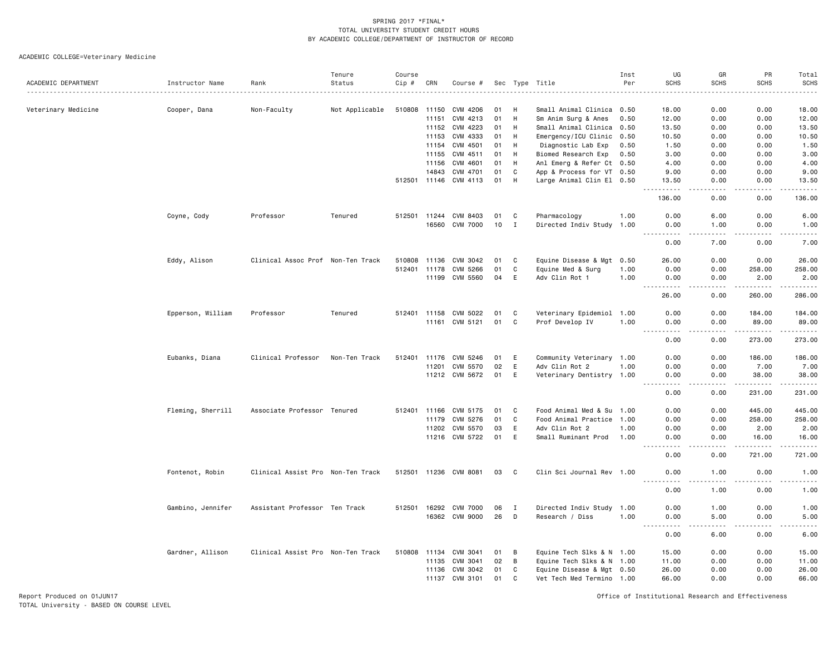# ACADEMIC COLLEGE=Veterinary Medicine

|                     |                   |                                   | Tenure         | Course |              |                       |    |              |                           | Inst | UG                    | GR                | PR                | Total                 |
|---------------------|-------------------|-----------------------------------|----------------|--------|--------------|-----------------------|----|--------------|---------------------------|------|-----------------------|-------------------|-------------------|-----------------------|
| ACADEMIC DEPARTMENT | Instructor Name   | Rank                              | Status         | Cip #  | CRN          | Course #              |    |              | Sec Type Title            | Per  | <b>SCHS</b>           | <b>SCHS</b>       | <b>SCHS</b>       | <b>SCHS</b><br>.      |
|                     |                   |                                   |                |        |              |                       |    |              |                           |      |                       |                   |                   |                       |
| Veterinary Medicine | Cooper, Dana      | Non-Faculty                       | Not Applicable | 510808 | 11150        | CVM 4206              | 01 | H            | Small Animal Clinica 0.50 |      | 18,00                 | 0.00              | 0.00              | 18,00                 |
|                     |                   |                                   |                |        | 11151        | CVM 4213              | 01 | H            | Sm Anim Surg & Anes       | 0.50 | 12.00                 | 0.00              | 0.00              | 12.00                 |
|                     |                   |                                   |                |        | 11152        | CVM 4223              | 01 | H            | Small Animal Clinica 0.50 |      | 13.50                 | 0.00              | 0.00              | 13.50                 |
|                     |                   |                                   |                |        | 11153        | CVM 4333              | 01 | H            | Emergency/ICU Clinic 0.50 |      | 10.50                 | 0.00              | 0.00              | 10.50                 |
|                     |                   |                                   |                |        | 11154        | CVM 4501              | 01 | H            | Diagnostic Lab Exp        | 0.50 | 1.50                  | 0.00              | 0.00              | 1.50                  |
|                     |                   |                                   |                |        | 11155        | CVM 4511              | 01 | H            | Biomed Research Exp       | 0.50 | 3.00                  | 0.00              | 0.00              | 3.00                  |
|                     |                   |                                   |                |        | 11156        | CVM 4601              | 01 | H            | Anl Emerg & Refer Ct 0.50 |      | 4.00                  | 0.00              | 0.00              | 4.00                  |
|                     |                   |                                   |                |        | 14843        | CVM 4701              | 01 | C            | App & Process for VT 0.50 |      | 9.00                  | 0.00              | 0.00              | 9.00                  |
|                     |                   |                                   |                |        |              | 512501 11146 CVM 4113 | 01 | H            | Large Animal Clin El 0.50 |      | 13.50                 | 0.00              | 0.00              | 13.50                 |
|                     |                   |                                   |                |        |              |                       |    |              |                           |      | .<br>136.00           | الدامات ب<br>0.00 | .<br>0.00         | .<br>136.00           |
|                     | Coyne, Cody       | Professor                         | Tenured        |        | 512501 11244 | CVM 8403              | 01 | C            | Pharmacology              | 1.00 | 0.00                  | 6.00              | 0.00              | 6.00                  |
|                     |                   |                                   |                |        | 16560        | <b>CVM 7000</b>       | 10 | I            | Directed Indiv Study 1.00 |      | 0.00<br><u>.</u>      | 1.00<br>.         | 0.00<br>.         | 1.00<br>$\frac{1}{2}$ |
|                     |                   |                                   |                |        |              |                       |    |              |                           |      | 0.00                  | 7.00              | 0.00              | 7.00                  |
|                     | Eddy, Alison      | Clinical Assoc Prof Non-Ten Track |                | 510808 | 11136        | CVM 3042              | 01 | C            | Equine Disease & Mgt      | 0.50 | 26.00                 | 0.00              | 0.00              | 26.00                 |
|                     |                   |                                   |                | 512401 | 11178        | CVM 5266              | 01 | C            | Equine Med & Surg         | 1.00 | 0.00                  | 0.00              | 258.00            | 258.00                |
|                     |                   |                                   |                |        |              | 11199 CVM 5560        | 04 | E            | Adv Clin Rot 1            | 1.00 | 0.00                  | 0.00              | 2.00              | 2.00                  |
|                     |                   |                                   |                |        |              |                       |    |              |                           |      | 26.00                 | 0.00              | 260.00            | .<br>286.00           |
|                     | Epperson, William | Professor                         | Tenured        |        | 512401 11158 | CVM 5022              | 01 | C            | Veterinary Epidemiol 1.00 |      | 0.00                  | 0.00              | 184.00            | 184.00                |
|                     |                   |                                   |                |        | 11161        | CVM 5121              | 01 | C            | Prof Develop IV           | 1.00 | 0.00                  | 0.00              | 89.00             | 89.00                 |
|                     |                   |                                   |                |        |              |                       |    |              |                           |      | $\frac{1}{2}$<br>0.00 | 0.00              | .<br>273.00       | .<br>273.00           |
|                     | Eubanks, Diana    | Clinical Professor                | Non-Ten Track  | 512401 | 11176        | CVM 5246              | 01 | E            | Community Veterinary 1.00 |      | 0.00                  | 0.00              | 186.00            | 186.00                |
|                     |                   |                                   |                |        |              | CVM 5570              | 02 | E            | Adv Clin Rot 2            |      |                       | 0.00              |                   | 7.00                  |
|                     |                   |                                   |                |        | 11201        | 11212 CVM 5672        | 01 | E            |                           | 1.00 | 0.00                  | 0.00              | 7.00<br>38.00     | 38.00                 |
|                     |                   |                                   |                |        |              |                       |    |              | Veterinary Dentistry 1.00 |      | 0.00<br>$\frac{1}{2}$ | .                 | $- - - - - - -$   | .                     |
|                     |                   |                                   |                |        |              |                       |    |              |                           |      | 0.00                  | 0.00              | 231.00            | 231.00                |
|                     | Fleming, Sherrill | Associate Professor Tenured       |                |        |              | 512401 11166 CVM 5175 | 01 | C            | Food Animal Med & Su 1.00 |      | 0.00                  | 0.00              | 445.00            | 445.00                |
|                     |                   |                                   |                |        | 11179        | CVM 5276              | 01 | $\mathbf C$  | Food Animal Practice 1.00 |      | 0.00                  | 0.00              | 258.00            | 258.00                |
|                     |                   |                                   |                |        | 11202        | CVM 5570              | 03 | E            | Adv Clin Rot 2            | 1.00 | 0.00                  | 0.00              | 2.00              | 2.00                  |
|                     |                   |                                   |                |        |              | 11216 CVM 5722        | 01 | E            | Small Ruminant Prod       | 1.00 | 0.00<br>.             | 0.00<br>.         | 16.00<br><u>.</u> | 16.00<br>.            |
|                     |                   |                                   |                |        |              |                       |    |              |                           |      | 0.00                  | 0.00              | 721.00            | 721.00                |
|                     | Fontenot, Robin   | Clinical Assist Pro Non-Ten Track |                |        |              | 512501 11236 CVM 8081 | 03 | C            | Clin Sci Journal Rev 1.00 |      | 0.00<br><u>.</u>      | 1.00<br>$   -$    | 0.00<br>.         | 1.00<br>.             |
|                     |                   |                                   |                |        |              |                       |    |              |                           |      | 0.00                  | 1.00              | 0.00              | 1.00                  |
|                     | Gambino, Jennifer | Assistant Professor Ten Track     |                | 512501 | 16292        | <b>CVM 7000</b>       | 06 | I            | Directed Indiv Study 1.00 |      | 0.00                  | 1.00              | 0.00              | 1.00                  |
|                     |                   |                                   |                |        |              | 16362 CVM 9000        | 26 | D            | Research / Diss           | 1.00 | 0.00                  | 5.00              | 0.00              | 5.00                  |
|                     |                   |                                   |                |        |              |                       |    |              |                           |      | .<br>0.00             | د د د د<br>6.00   | د د د د<br>0.00   | 22222<br>6.00         |
|                     | Gardner, Allison  | Clinical Assist Pro Non-Ten Track |                | 510808 | 11134        | CVM 3041              | 01 | В            | Equine Tech Slks & N 1.00 |      | 15.00                 | 0.00              | 0.00              | 15.00                 |
|                     |                   |                                   |                |        | 11135        | CVM 3041              | 02 | B            | Equine Tech Slks & N 1.00 |      | 11.00                 | 0.00              | 0.00              | 11.00                 |
|                     |                   |                                   |                |        | 11136        | CVM 3042              | 01 | C            | Equine Disease & Mgt 0.50 |      | 26.00                 | 0.00              | 0.00              | 26.00                 |
|                     |                   |                                   |                |        | 11137        | CVM 3101              | 01 | $\mathsf{C}$ | Vet Tech Med Termino 1.00 |      | 66.00                 | 0.00              | 0.00              | 66.00                 |
|                     |                   |                                   |                |        |              |                       |    |              |                           |      |                       |                   |                   |                       |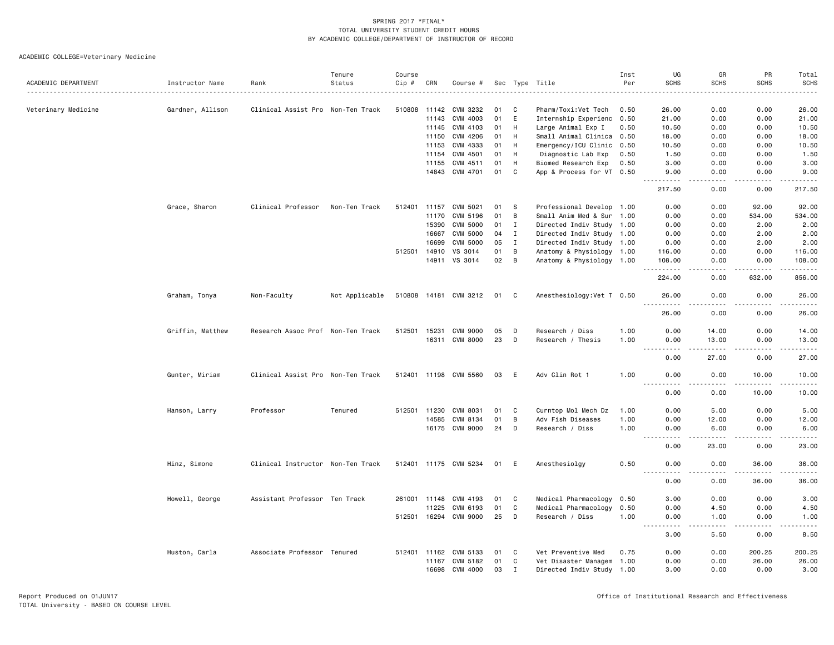# ACADEMIC COLLEGE=Veterinary Medicine

|                     |                               |                                   | Tenure         | Course       |       |                       |      |              |                            | Inst | UG                        | GR                                                                                                                                | PR                    | Total                                                                                                                                                        |
|---------------------|-------------------------------|-----------------------------------|----------------|--------------|-------|-----------------------|------|--------------|----------------------------|------|---------------------------|-----------------------------------------------------------------------------------------------------------------------------------|-----------------------|--------------------------------------------------------------------------------------------------------------------------------------------------------------|
| ACADEMIC DEPARTMENT | Instructor Name<br>. <u>.</u> | Rank                              | Status         | Cip#         | CRN   | Course #              |      |              | Sec Type Title             | Per  | <b>SCHS</b>               | <b>SCHS</b>                                                                                                                       | <b>SCHS</b>           | SCHS<br>$\frac{1}{2} \left( \frac{1}{2} \right) \left( \frac{1}{2} \right) \left( \frac{1}{2} \right) \left( \frac{1}{2} \right) \left( \frac{1}{2} \right)$ |
|                     |                               |                                   |                |              |       |                       |      |              |                            |      |                           |                                                                                                                                   |                       |                                                                                                                                                              |
| Veterinary Medicine | Gardner, Allison              | Clinical Assist Pro Non-Ten Track |                | 510808       | 11142 | CVM 3232              | 01   | C            | Pharm/Toxi:Vet Tech        | 0.50 | 26.00                     | 0.00                                                                                                                              | 0.00                  | 26.00                                                                                                                                                        |
|                     |                               |                                   |                |              | 11143 | CVM 4003              | 01   | E            | Internship Experienc       | 0.50 | 21.00                     | 0.00                                                                                                                              | 0.00                  | 21.00                                                                                                                                                        |
|                     |                               |                                   |                |              | 11145 | CVM 4103              | 01   | H            | Large Animal Exp I         | 0.50 | 10.50                     | 0.00                                                                                                                              | 0.00                  | 10.50                                                                                                                                                        |
|                     |                               |                                   |                |              | 11150 | CVM 4206              | 01   | H            | Small Animal Clinica 0.50  |      | 18.00                     | 0.00                                                                                                                              | 0.00                  | 18.00                                                                                                                                                        |
|                     |                               |                                   |                |              | 11153 | CVM 4333              | 01   | H            | Emergency/ICU Clinic 0.50  |      | 10.50                     | 0.00                                                                                                                              | 0.00                  | 10.50                                                                                                                                                        |
|                     |                               |                                   |                |              | 11154 | CVM 4501              | 01   | H            | Diagnostic Lab Exp         | 0.50 | 1.50                      | 0.00                                                                                                                              | 0.00                  | 1.50                                                                                                                                                         |
|                     |                               |                                   |                |              | 11155 | CVM 4511              | 01   | H            | Biomed Research Exp        | 0.50 | 3.00                      | 0.00                                                                                                                              | 0.00                  | 3.00                                                                                                                                                         |
|                     |                               |                                   |                |              | 14843 | CVM 4701              | 01   | C            | App & Process for VT 0.50  |      | 9.00<br>$- - - -$         | 0.00<br>$\frac{1}{2}$                                                                                                             | 0.00<br>$\frac{1}{2}$ | 9.00<br>.                                                                                                                                                    |
|                     |                               |                                   |                |              |       |                       |      |              |                            |      | 217.50                    | 0.00                                                                                                                              | 0.00                  | 217.50                                                                                                                                                       |
|                     | Grace, Sharon                 | Clinical Professor                | Non-Ten Track  | 512401 11157 |       | CVM 5021              | 01   | S            | Professional Develop 1.00  |      | 0.00                      | 0.00                                                                                                                              | 92.00                 | 92.00                                                                                                                                                        |
|                     |                               |                                   |                |              | 11170 | CVM 5196              | 01   | B            | Small Anim Med & Sur 1.00  |      | 0.00                      | 0.00                                                                                                                              | 534.00                | 534.00                                                                                                                                                       |
|                     |                               |                                   |                |              | 15390 | <b>CVM 5000</b>       | 01   | I            | Directed Indiv Study 1.00  |      | 0.00                      | 0.00                                                                                                                              | 2.00                  | 2.00                                                                                                                                                         |
|                     |                               |                                   |                |              | 16667 | CVM 5000              | 04   | $\mathbf{I}$ | Directed Indiv Study 1.00  |      | 0.00                      | 0.00                                                                                                                              | 2.00                  | 2.00                                                                                                                                                         |
|                     |                               |                                   |                |              | 16699 | CVM 5000              | 05   | $\mathbf{I}$ | Directed Indiv Study 1.00  |      | 0.00                      | 0.00                                                                                                                              | 2.00                  | 2.00                                                                                                                                                         |
|                     |                               |                                   |                | 512501       | 14910 | VS 3014               | 01   | B            | Anatomy & Physiology 1.00  |      | 116.00                    | 0.00                                                                                                                              | 0.00                  | 116.00                                                                                                                                                       |
|                     |                               |                                   |                |              |       | 14911 VS 3014         | 02   | B            | Anatomy & Physiology 1.00  |      | 108.00<br>.               | 0.00<br>.                                                                                                                         | 0.00                  | 108.00<br>.                                                                                                                                                  |
|                     |                               |                                   |                |              |       |                       |      |              |                            |      | 224.00                    | 0.00                                                                                                                              | 632.00                | 856.00                                                                                                                                                       |
|                     | Graham, Tonya                 | Non-Faculty                       | Not Applicable |              |       | 510808 14181 CVM 3212 | 01   | C            | Anesthesiology: Vet T 0.50 |      | 26.00<br>.                | 0.00<br>$\sim$ $\sim$ $\sim$                                                                                                      | 0.00<br>.             | 26.00                                                                                                                                                        |
|                     |                               |                                   |                |              |       |                       |      |              |                            |      | 26.00                     | 0.00                                                                                                                              | 0.00                  | .<br>26.00                                                                                                                                                   |
|                     |                               | Research Assoc Prof Non-Ten Track |                | 512501       | 15231 | <b>CVM 9000</b>       | 05   | D            | Research / Diss            | 1.00 | 0.00                      | 14.00                                                                                                                             | 0.00                  | 14.00                                                                                                                                                        |
|                     | Griffin, Matthew              |                                   |                |              |       | 16311 CVM 8000        | 23   | D            | Research / Thesis          | 1.00 | 0.00                      | 13,00                                                                                                                             | 0.00                  | 13,00                                                                                                                                                        |
|                     |                               |                                   |                |              |       |                       |      |              |                            |      | $\sim$ $\sim$ $\sim$<br>. | -----                                                                                                                             | $-$ - $-$ -           | .                                                                                                                                                            |
|                     |                               |                                   |                |              |       |                       |      |              |                            |      | 0.00                      | 27.00                                                                                                                             | 0.00                  | 27.00                                                                                                                                                        |
|                     | Gunter, Miriam                | Clinical Assist Pro Non-Ten Track |                |              |       | 512401 11198 CVM 5560 | 03   | E            | Adv Clin Rot 1             | 1.00 | 0.00                      | 0.00<br>$\frac{1}{2} \left( \frac{1}{2} \right) \left( \frac{1}{2} \right) \left( \frac{1}{2} \right) \left( \frac{1}{2} \right)$ | 10.00<br>.            | 10.00<br>.                                                                                                                                                   |
|                     |                               |                                   |                |              |       |                       |      |              |                            |      | 0.00                      | 0.00                                                                                                                              | 10.00                 | 10.00                                                                                                                                                        |
|                     | Hanson, Larry                 | Professor                         | Tenured        | 512501 11230 |       | CVM 8031              | 01   | C            | Curntop Mol Mech Dz        | 1.00 | 0.00                      | 5.00                                                                                                                              | 0.00                  | 5.00                                                                                                                                                         |
|                     |                               |                                   |                |              | 14585 | CVM 8134              | 01   | B            | Adv Fish Diseases          | 1.00 | 0.00                      | 12.00                                                                                                                             | 0.00                  | 12.00                                                                                                                                                        |
|                     |                               |                                   |                |              |       | 16175 CVM 9000        | 24   | D            | Research / Diss            | 1.00 | 0.00                      | 6.00                                                                                                                              | 0.00<br>$\frac{1}{2}$ | 6.00<br>$\frac{1}{2} \left( \frac{1}{2} \right) \left( \frac{1}{2} \right) \left( \frac{1}{2} \right) \left( \frac{1}{2} \right)$                            |
|                     |                               |                                   |                |              |       |                       |      |              |                            |      | 0.00                      | 23.00                                                                                                                             | 0.00                  | 23.00                                                                                                                                                        |
|                     | Hinz, Simone                  | Clinical Instructor Non-Ten Track |                |              |       | 512401 11175 CVM 5234 | 01 E |              | Anesthesiolgy              | 0.50 | 0.00                      | 0.00                                                                                                                              | 36.00<br><u>.</u>     | 36.00<br>.                                                                                                                                                   |
|                     |                               |                                   |                |              |       |                       |      |              |                            |      | $  -$<br>-----<br>0.00    | .<br>0.00                                                                                                                         | 36.00                 | 36.00                                                                                                                                                        |
|                     | Howell, George                | Assistant Professor Ten Track     |                | 261001       | 11148 | CVM 4193              | 01   | C            | Medical Pharmacology       | 0.50 | 3.00                      | 0.00                                                                                                                              | 0.00                  | 3.00                                                                                                                                                         |
|                     |                               |                                   |                |              | 11225 | CVM 6193              | 01   | C            | Medical Pharmacology       | 0.50 | 0.00                      | 4.50                                                                                                                              | 0.00                  | 4.50                                                                                                                                                         |
|                     |                               |                                   |                | 512501 16294 |       | CVM 9000              | 25   | D            | Research / Diss            | 1.00 | 0.00                      | 1.00                                                                                                                              | 0.00                  | 1.00                                                                                                                                                         |
|                     |                               |                                   |                |              |       |                       |      |              |                            |      | .<br>3.00                 | . <b>.</b><br>5.50                                                                                                                | .<br>0.00             | $\frac{1}{2}$<br>8.50                                                                                                                                        |
|                     | Huston, Carla                 | Associate Professor Tenured       |                | 512401 11162 |       | CVM 5133              | 01   | C            | Vet Preventive Med         | 0.75 | 0.00                      | 0.00                                                                                                                              | 200.25                | 200.25                                                                                                                                                       |
|                     |                               |                                   |                |              | 11167 | CVM 5182              | 01   | C            | Vet Disaster Managem 1.00  |      | 0.00                      | 0.00                                                                                                                              | 26.00                 | 26.00                                                                                                                                                        |
|                     |                               |                                   |                |              | 16698 | CVM 4000              | 03   | $\mathbf{I}$ | Directed Indiv Study 1.00  |      | 3.00                      | 0.00                                                                                                                              | 0.00                  | 3.00                                                                                                                                                         |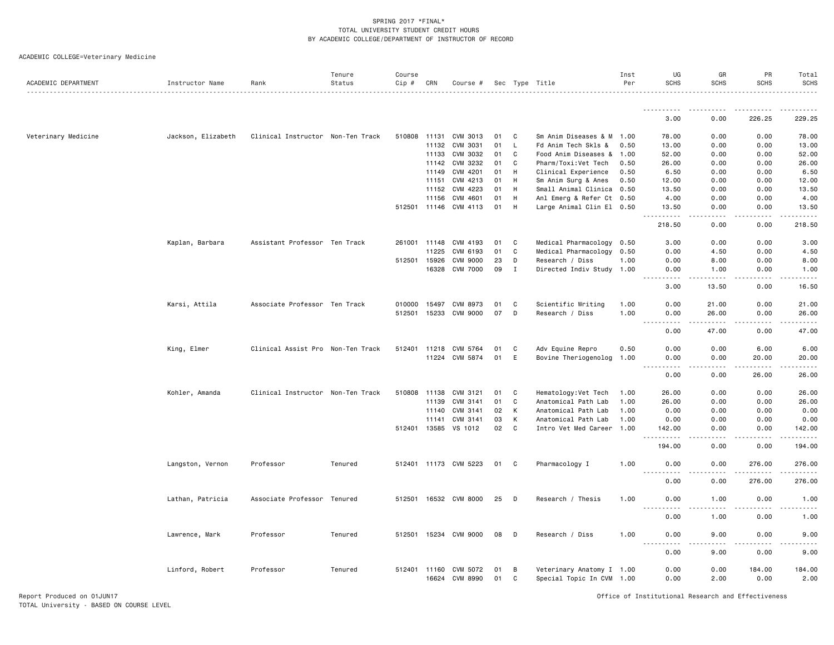ACADEMIC COLLEGE=Veterinary Medicine

| ACADEMIC DEPARTMENT | Instructor Name    | Rank                              | Tenure<br>Status | Course<br>Cip # | CRN                   | Course #                         |          |        | Sec Type Title                                         | Inst<br>Per | UG<br><b>SCHS</b>                                                                                                                      | GR<br><b>SCHS</b>                                                                                                                                            | PR<br><b>SCHS</b> | Total<br><b>SCHS</b> |
|---------------------|--------------------|-----------------------------------|------------------|-----------------|-----------------------|----------------------------------|----------|--------|--------------------------------------------------------|-------------|----------------------------------------------------------------------------------------------------------------------------------------|--------------------------------------------------------------------------------------------------------------------------------------------------------------|-------------------|----------------------|
|                     |                    |                                   |                  |                 |                       |                                  |          |        |                                                        |             |                                                                                                                                        |                                                                                                                                                              |                   |                      |
|                     |                    |                                   |                  |                 |                       |                                  |          |        |                                                        |             | 3.00                                                                                                                                   | 0.00                                                                                                                                                         | 226.25            | 229.25               |
| Veterinary Medicine | Jackson, Elizabeth | Clinical Instructor Non-Ten Track |                  |                 |                       | 510808 11131 CVM 3013            | 01       | C      | Sm Anim Diseases & M 1.00                              |             | 78.00                                                                                                                                  | 0.00                                                                                                                                                         | 0.00              | 78.00                |
|                     |                    |                                   |                  |                 | 11132                 | CVM 3031                         | 01       | L      | Fd Anim Tech Skls &                                    | 0.50        | 13.00                                                                                                                                  | 0.00                                                                                                                                                         | 0.00              | 13.00                |
|                     |                    |                                   |                  |                 | 11133                 | CVM 3032                         | 01       | C      | Food Anim Diseases &                                   | 1.00        | 52.00                                                                                                                                  | 0.00                                                                                                                                                         | 0.00              | 52.00                |
|                     |                    |                                   |                  |                 | 11142                 | CVM 3232                         | 01       | C      | Pharm/Toxi:Vet Tech                                    | 0.50        | 26.00                                                                                                                                  | 0.00                                                                                                                                                         | 0.00              | 26.00                |
|                     |                    |                                   |                  |                 |                       | CVM 4201                         |          | H      |                                                        | 0.50        |                                                                                                                                        |                                                                                                                                                              |                   | 6.50                 |
|                     |                    |                                   |                  |                 | 11149                 |                                  | 01       |        | Clinical Experience                                    |             | 6.50                                                                                                                                   | 0.00                                                                                                                                                         | 0.00              |                      |
|                     |                    |                                   |                  |                 | 11151                 | CVM 4213                         | 01       | H      | Sm Anim Surg & Anes                                    | 0.50        | 12.00                                                                                                                                  | 0.00                                                                                                                                                         | 0.00              | 12.00                |
|                     |                    |                                   |                  |                 | 11152                 | CVM 4223                         | 01       | H      | Small Animal Clinica                                   | 0.50        | 13.50                                                                                                                                  | 0.00                                                                                                                                                         | 0.00              | 13.50                |
|                     |                    |                                   |                  |                 | 11156                 | CVM 4601                         | 01       | H      | Anl Emerg & Refer Ct 0.50                              |             | 4.00                                                                                                                                   | 0.00                                                                                                                                                         | 0.00              | 4.00                 |
|                     |                    |                                   |                  |                 |                       | 512501 11146 CVM 4113            | 01       | H      | Large Animal Clin El 0.50                              |             | 13.50<br>.                                                                                                                             | 0.00<br>.                                                                                                                                                    | 0.00<br>.         | 13.50<br>.           |
|                     |                    |                                   |                  |                 |                       |                                  |          |        |                                                        |             | 218.50                                                                                                                                 | 0.00                                                                                                                                                         | 0.00              | 218.50               |
|                     | Kaplan, Barbara    | Assistant Professor Ten Track     |                  |                 | 261001 11148          | CVM 4193                         | 01       | C      | Medical Pharmacology 0.50                              |             | 3.00                                                                                                                                   | 0.00                                                                                                                                                         | 0.00              | 3.00                 |
|                     |                    |                                   |                  |                 | 11225                 | CVM 6193                         | 01       | C      | Medical Pharmacology 0.50                              |             | 0.00                                                                                                                                   | 4.50                                                                                                                                                         | 0.00              | 4.50                 |
|                     |                    |                                   |                  |                 | 512501 15926          | <b>CVM 9000</b>                  | 23       | D      | Research / Diss                                        | 1.00        | 0.00                                                                                                                                   | 8.00                                                                                                                                                         | 0.00              | 8.00                 |
|                     |                    |                                   |                  |                 | 16328                 | <b>CVM 7000</b>                  | 09       | I      | Directed Indiv Study 1.00                              |             | 0.00<br>د د د د                                                                                                                        | 1.00<br>$\frac{1}{2} \left( \frac{1}{2} \right) \left( \frac{1}{2} \right) \left( \frac{1}{2} \right) \left( \frac{1}{2} \right) \left( \frac{1}{2} \right)$ | 0.00              | 1.00                 |
|                     |                    |                                   |                  |                 |                       |                                  |          |        |                                                        |             | 3.00                                                                                                                                   | 13.50                                                                                                                                                        | 0.00              | 16.50                |
|                     | Karsi, Attila      | Associate Professor Ten Track     |                  | 010000          | 15497                 | CVM 8973                         | 01       | C      | Scientific Writing                                     | 1.00        | 0.00                                                                                                                                   | 21.00                                                                                                                                                        | 0.00              | 21.00                |
|                     |                    |                                   |                  |                 |                       | 512501 15233 CVM 9000            | 07       | D      | Research / Diss                                        | 1.00        | 0.00                                                                                                                                   | 26.00                                                                                                                                                        | 0.00              | 26.00                |
|                     |                    |                                   |                  |                 |                       |                                  |          |        |                                                        |             | $\frac{1}{2}$<br>0.00                                                                                                                  | $\frac{1}{2}$<br>47.00                                                                                                                                       | <u>.</u><br>0.00  | . <u>.</u><br>47.00  |
|                     | King, Elmer        | Clinical Assist Pro Non-Ten Track |                  |                 |                       | 512401 11218 CVM 5764            | 01       | C      | Adv Equine Repro                                       | 0.50        | 0.00                                                                                                                                   | 0.00                                                                                                                                                         | 6.00              | 6.00                 |
|                     |                    |                                   |                  |                 |                       | 11224 CVM 5874                   | 01       | E      | Bovine Theriogenolog                                   | 1.00        | 0.00                                                                                                                                   | 0.00                                                                                                                                                         | 20.00             | 20.00                |
|                     |                    |                                   |                  |                 |                       |                                  |          |        |                                                        |             | .<br>$\frac{1}{2} \left( \frac{1}{2} \right) \left( \frac{1}{2} \right) \left( \frac{1}{2} \right) \left( \frac{1}{2} \right)$<br>0.00 | 0.00                                                                                                                                                         | 26.00             | 26.00                |
|                     | Kohler, Amanda     | Clinical Instructor Non-Ten Track |                  |                 | 510808 11138          | CVM 3121                         | 01       | C      | Hematology: Vet Tech                                   | 1.00        | 26.00                                                                                                                                  | 0.00                                                                                                                                                         | 0.00              | 26.00                |
|                     |                    |                                   |                  |                 | 11139                 | CVM 3141                         | 01       | C      | Anatomical Path Lab                                    | 1.00        | 26.00                                                                                                                                  | 0.00                                                                                                                                                         | 0.00              | 26.00                |
|                     |                    |                                   |                  |                 | 11140                 | CVM 3141                         | 02       | К      | Anatomical Path Lab                                    | 1.00        | 0.00                                                                                                                                   | 0.00                                                                                                                                                         | 0.00              | 0.00                 |
|                     |                    |                                   |                  |                 |                       |                                  | 03       |        |                                                        |             |                                                                                                                                        |                                                                                                                                                              |                   | 0.00                 |
|                     |                    |                                   |                  |                 | 11141                 | CVM 3141<br>512401 13585 VS 1012 | 02       | К<br>C | Anatomical Path Lab<br>Intro Vet Med Career 1.00       | 1.00        | 0.00<br>142.00                                                                                                                         | 0.00<br>0.00                                                                                                                                                 | 0.00<br>0.00      | 142.00               |
|                     |                    |                                   |                  |                 |                       |                                  |          |        |                                                        |             | د د د د د<br>194.00                                                                                                                    | 0.00                                                                                                                                                         | 0.00              | 194.00               |
|                     | Langston, Vernon   | Professor                         | Tenured          |                 |                       | 512401 11173 CVM 5223            | 01       | C      | Pharmacology I                                         | 1.00        | 0.00                                                                                                                                   | 0.00                                                                                                                                                         | 276.00            | 276.00               |
|                     |                    |                                   |                  |                 |                       |                                  |          |        |                                                        |             | $\frac{1}{2}$<br>-----<br>0.00                                                                                                         | . <u>. .</u><br>0.00                                                                                                                                         | 276.00            | . <b>.</b><br>276.00 |
|                     | Lathan, Patricia   | Associate Professor Tenured       |                  |                 |                       | 512501 16532 CVM 8000            | 25       | D      | Research / Thesis                                      | 1.00        | 0.00                                                                                                                                   | 1.00                                                                                                                                                         | 0.00              | 1.00                 |
|                     |                    |                                   |                  |                 |                       |                                  |          |        |                                                        |             | 0.00                                                                                                                                   | 1.00                                                                                                                                                         | 0.00              | 1.00                 |
|                     | Lawrence, Mark     | Professor                         | Tenured          |                 |                       | 512501 15234 CVM 9000            | 08       | D      | Research / Diss                                        | 1.00        | 0.00                                                                                                                                   | 9.00                                                                                                                                                         | 0.00              | 9.00                 |
|                     |                    |                                   |                  |                 |                       |                                  |          |        |                                                        |             | $\frac{1}{2}$<br>$\frac{1}{2}$<br>0.00                                                                                                 | .<br>9.00                                                                                                                                                    | <u>.</u><br>0.00  | -----<br>9.00        |
|                     |                    |                                   |                  |                 |                       |                                  |          |        |                                                        |             |                                                                                                                                        |                                                                                                                                                              |                   |                      |
|                     | Linford, Robert    | Professor                         | Tenured          |                 | 512401 11160<br>16624 | CVM 5072<br>CVM 8990             | 01<br>01 | В<br>C | Veterinary Anatomy I 1.00<br>Special Topic In CVM 1.00 |             | 0.00<br>0.00                                                                                                                           | 0.00<br>2.00                                                                                                                                                 | 184.00<br>0.00    | 184.00<br>2.00       |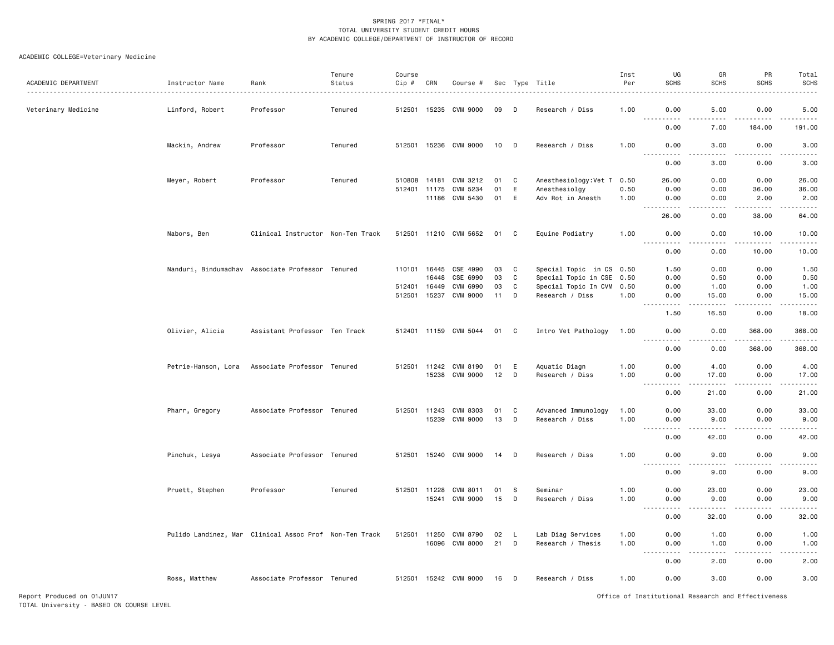# ACADEMIC COLLEGE=Veterinary Medicine

| ACADEMIC DEPARTMENT | Instructor Name     | Rank                                                   | Tenure<br>Status | Course<br>Cip # | CRN   | Course #              |                 |     | Sec Type Title             | Inst<br>Per | UG<br><b>SCHS</b>                 | GR<br><b>SCHS</b>                                                                                                                                             | PR<br><b>SCHS</b>         | Total<br><b>SCHS</b><br>.                                                                                                                                    |
|---------------------|---------------------|--------------------------------------------------------|------------------|-----------------|-------|-----------------------|-----------------|-----|----------------------------|-------------|-----------------------------------|---------------------------------------------------------------------------------------------------------------------------------------------------------------|---------------------------|--------------------------------------------------------------------------------------------------------------------------------------------------------------|
| Veterinary Medicine | Linford, Robert     | Professor                                              | Tenured          |                 |       | 512501 15235 CVM 9000 | 09              | D   | Research / Diss            | 1.00        | 0.00                              | 5.00                                                                                                                                                          | 0.00                      | 5.00<br>والمستحدث                                                                                                                                            |
|                     |                     |                                                        |                  |                 |       |                       |                 |     |                            |             | 0.00                              | 7.00                                                                                                                                                          | 184.00                    | 191.00                                                                                                                                                       |
|                     | Mackin, Andrew      | Professor                                              | Tenured          |                 |       | 512501 15236 CVM 9000 | 10 D            |     | Research / Diss            | 1.00        | 0.00                              | 3.00                                                                                                                                                          | 0.00                      | 3.00                                                                                                                                                         |
|                     |                     |                                                        |                  |                 |       |                       |                 |     |                            |             | 0.00                              | 3.00                                                                                                                                                          | 0.00                      | 3.00                                                                                                                                                         |
|                     | Meyer, Robert       | Professor                                              | Tenured          | 510808          | 14181 | CVM 3212              | 01              | C   | Anesthesiology: Vet T 0.50 |             | 26.00                             | 0.00                                                                                                                                                          | 0.00                      | 26.00                                                                                                                                                        |
|                     |                     |                                                        |                  | 512401 11175    |       | CVM 5234              | 01              | E   | Anesthesiolgy              | 0.50        | 0.00                              | 0.00                                                                                                                                                          | 36.00                     | 36.00                                                                                                                                                        |
|                     |                     |                                                        |                  |                 |       | 11186 CVM 5430        | 01              | E   | Adv Rot in Anesth          | 1.00        | 0.00<br>.                         | 0.00<br>$\omega$ $\omega$ $\omega$ $\omega$                                                                                                                   | 2.00<br>22222             | 2.00<br>$\frac{1}{2} \left( \frac{1}{2} \right) \left( \frac{1}{2} \right) \left( \frac{1}{2} \right) \left( \frac{1}{2} \right) \left( \frac{1}{2} \right)$ |
|                     |                     |                                                        |                  |                 |       |                       |                 |     |                            |             | 26.00                             | 0.00                                                                                                                                                          | 38.00                     | 64.00                                                                                                                                                        |
|                     | Nabors, Ben         | Clinical Instructor Non-Ten Track                      |                  |                 |       | 512501 11210 CVM 5652 | 01              | C   | Equine Podiatry            | 1.00        | 0.00<br>-----                     | 0.00<br>.                                                                                                                                                     | 10.00<br>.                | 10.00<br>.                                                                                                                                                   |
|                     |                     |                                                        |                  |                 |       |                       |                 |     |                            |             | 0.00                              | 0.00                                                                                                                                                          | 10.00                     | 10.00                                                                                                                                                        |
|                     |                     | Nanduri, Bindumadhav Associate Professor Tenured       |                  | 110101          | 16445 | CSE 4990              | 03              | C   | Special Topic in CS 0.50   |             | 1.50                              | 0.00                                                                                                                                                          | 0.00                      | 1.50                                                                                                                                                         |
|                     |                     |                                                        |                  |                 | 16448 | CSE 6990              | 03              | C   | Special Topic in CSE 0.50  |             | 0.00                              | 0.50                                                                                                                                                          | 0.00                      | 0.50                                                                                                                                                         |
|                     |                     |                                                        |                  | 512401          | 16449 | CVM 6990              | 03              | C   | Special Topic In CVM 0.50  |             | 0.00                              | 1.00                                                                                                                                                          | 0.00                      | 1.00                                                                                                                                                         |
|                     |                     |                                                        |                  | 512501          | 15237 | CVM 9000              | 11              | D   | Research / Diss            | 1.00        | 0.00<br>.<br>$- - -$              | 15.00<br>$\frac{1}{2} \left( \frac{1}{2} \right) \left( \frac{1}{2} \right) \left( \frac{1}{2} \right) \left( \frac{1}{2} \right) \left( \frac{1}{2} \right)$ | 0.00<br>.                 | 15.00<br>.                                                                                                                                                   |
|                     |                     |                                                        |                  |                 |       |                       |                 |     |                            |             | 1.50                              | 16.50                                                                                                                                                         | 0.00                      | 18.00                                                                                                                                                        |
|                     | Olivier, Alicia     | Assistant Professor Ten Track                          |                  |                 |       | 512401 11159 CVM 5044 | 01              | C   | Intro Vet Pathology        | 1.00        | 0.00<br>.                         | 0.00<br>.                                                                                                                                                     | 368.00<br>$- - - - - - -$ | 368.00                                                                                                                                                       |
|                     |                     |                                                        |                  |                 |       |                       |                 |     |                            |             | 0.00                              | 0.00                                                                                                                                                          | 368.00                    | 368.00                                                                                                                                                       |
|                     | Petrie-Hanson, Lora | Associate Professor Tenured                            |                  | 512501          | 11242 | CVM 8190              | 01              | Ε   | Aquatic Diagn              | 1.00        | 0.00                              | 4.00                                                                                                                                                          | 0.00                      | 4.00                                                                                                                                                         |
|                     |                     |                                                        |                  |                 | 15238 | CVM 9000              | 12 <sup>2</sup> | D   | Research / Diss            | 1.00        | 0.00                              | 17.00                                                                                                                                                         | 0.00                      | 17.00                                                                                                                                                        |
|                     |                     |                                                        |                  |                 |       |                       |                 |     |                            |             | 0.00                              | 21.00                                                                                                                                                         | 0.00                      | .<br>21.00                                                                                                                                                   |
|                     | Pharr, Gregory      | Associate Professor Tenured                            |                  |                 |       | 512501 11243 CVM 8303 | 01              | C   | Advanced Immunology        | 1.00        | 0.00                              | 33.00                                                                                                                                                         | 0.00                      | 33.00                                                                                                                                                        |
|                     |                     |                                                        |                  |                 |       | 15239 CVM 9000        | 13              | D   | Research / Diss            | 1.00        | 0.00                              | 9.00                                                                                                                                                          | 0.00                      | 9.00                                                                                                                                                         |
|                     |                     |                                                        |                  |                 |       |                       |                 |     |                            |             | $ -$<br>$\cdots$<br>0.00          | $\frac{1}{2} \left( \frac{1}{2} \right) \left( \frac{1}{2} \right) \left( \frac{1}{2} \right) \left( \frac{1}{2} \right) \left( \frac{1}{2} \right)$<br>42.00 | .<br>0.00                 | . <u>.</u> .<br>42.00                                                                                                                                        |
|                     | Pinchuk, Lesya      | Associate Professor Tenured                            |                  |                 |       | 512501 15240 CVM 9000 | 14              | D   | Research / Diss            | 1.00        | 0.00<br>$- - -$<br>.              | 9.00<br>.                                                                                                                                                     | 0.00<br>.                 | 9.00<br>د د د د د                                                                                                                                            |
|                     |                     |                                                        |                  |                 |       |                       |                 |     |                            |             | 0.00                              | 9.00                                                                                                                                                          | 0.00                      | 9.00                                                                                                                                                         |
|                     | Pruett, Stephen     | Professor                                              | Tenured          | 512501 11228    |       | CVM 8011              | 01              | -S  | Seminar                    | 1.00        | 0.00                              | 23.00                                                                                                                                                         | 0.00                      | 23.00                                                                                                                                                        |
|                     |                     |                                                        |                  |                 | 15241 | <b>CVM 9000</b>       | 15              | D   | Research / Diss            | 1.00        | 0.00                              | 9.00                                                                                                                                                          | 0.00                      | 9.00                                                                                                                                                         |
|                     |                     |                                                        |                  |                 |       |                       |                 |     |                            |             | $\sim$ $\sim$ $\sim$              |                                                                                                                                                               |                           | $\frac{1}{2} \left( \frac{1}{2} \right) \left( \frac{1}{2} \right) \left( \frac{1}{2} \right) \left( \frac{1}{2} \right) \left( \frac{1}{2} \right)$         |
|                     |                     |                                                        |                  |                 |       |                       |                 |     |                            |             | 0.00                              | 32.00                                                                                                                                                         | 0.00                      | 32.00                                                                                                                                                        |
|                     |                     | Pulido Landinez, Mar Clinical Assoc Prof Non-Ten Track |                  | 512501 11250    |       | CVM 8790              | 02              | - L | Lab Diag Services          | 1.00        | 0.00                              | 1.00                                                                                                                                                          | 0.00                      | 1.00                                                                                                                                                         |
|                     |                     |                                                        |                  |                 | 16096 | CVM 8000              | 21              | D   | Research / Thesis          | 1.00        | 0.00<br>$\sim$ $\sim$ $\sim$<br>. | 1.00<br>.                                                                                                                                                     | 0.00<br>.                 | 1.00<br><u>.</u>                                                                                                                                             |
|                     |                     |                                                        |                  |                 |       |                       |                 |     |                            |             | 0.00                              | 2.00                                                                                                                                                          | 0.00                      | 2.00                                                                                                                                                         |
|                     | Ross, Matthew       | Associate Professor Tenured                            |                  |                 |       | 512501 15242 CVM 9000 | 16              | D   | Research / Diss            | 1.00        | 0.00                              | 3.00                                                                                                                                                          | 0.00                      | 3.00                                                                                                                                                         |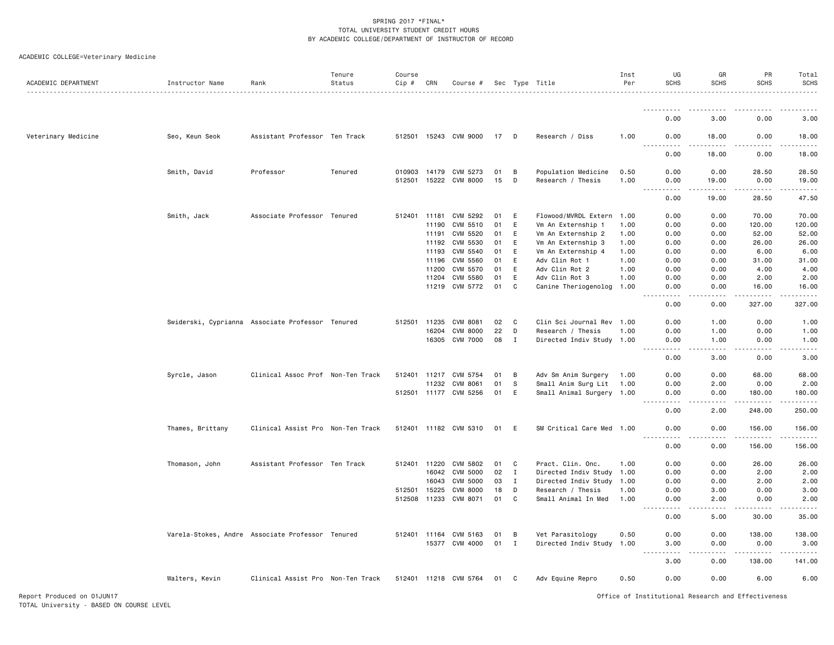|  |  |  |  |  | ACADEMIC COLLEGE=Veterinary Medicine |  |
|--|--|--|--|--|--------------------------------------|--|
|--|--|--|--|--|--------------------------------------|--|

| ACADEMIC DEPARTMENT | Instructor Name  | Rank                                             | Tenure<br>Status | Course<br>Cip # | CRN          | Course #              |    |              | Sec Type Title            | Inst<br>Per | UG<br><b>SCHS</b>                     | GR<br><b>SCHS</b>                                                                                                                                             | PR<br><b>SCHS</b>                                                                                                                                            | Total<br>SCHS                                                                                                                                                  |
|---------------------|------------------|--------------------------------------------------|------------------|-----------------|--------------|-----------------------|----|--------------|---------------------------|-------------|---------------------------------------|---------------------------------------------------------------------------------------------------------------------------------------------------------------|--------------------------------------------------------------------------------------------------------------------------------------------------------------|----------------------------------------------------------------------------------------------------------------------------------------------------------------|
|                     |                  |                                                  |                  |                 |              |                       |    |              |                           |             |                                       |                                                                                                                                                               |                                                                                                                                                              |                                                                                                                                                                |
|                     |                  |                                                  |                  |                 |              |                       |    |              |                           |             | 0.00                                  | .<br>3.00                                                                                                                                                     | 0.00                                                                                                                                                         | 3.00                                                                                                                                                           |
| Veterinary Medicine | Seo, Keun Seok   | Assistant Professor Ten Track                    |                  |                 |              | 512501 15243 CVM 9000 | 17 | D            | Research / Diss           | 1.00        | 0.00                                  | 18.00                                                                                                                                                         | 0.00                                                                                                                                                         | 18.00                                                                                                                                                          |
|                     |                  |                                                  |                  |                 |              |                       |    |              |                           |             | .<br>0.00                             | $\frac{1}{2}$<br>18.00                                                                                                                                        | .<br>0.00                                                                                                                                                    | .<br>18.00                                                                                                                                                     |
|                     | Smith, David     | Professor                                        | Tenured          | 010903          | 14179        | CVM 5273              | 01 | В            | Population Medicine       | 0.50        | 0.00                                  | 0.00                                                                                                                                                          | 28.50                                                                                                                                                        | 28.50                                                                                                                                                          |
|                     |                  |                                                  |                  |                 |              | 512501 15222 CVM 8000 | 15 | D            | Research / Thesis         | 1.00        | 0.00<br>$-$<br>.                      | 19.00<br>$\frac{1}{2} \left( \frac{1}{2} \right) \left( \frac{1}{2} \right) \left( \frac{1}{2} \right) \left( \frac{1}{2} \right) \left( \frac{1}{2} \right)$ | 0.00                                                                                                                                                         | 19.00<br>.                                                                                                                                                     |
|                     |                  |                                                  |                  |                 |              |                       |    |              |                           |             | 0.00                                  | 19.00                                                                                                                                                         | 28.50                                                                                                                                                        | 47.50                                                                                                                                                          |
|                     | Smith, Jack      | Associate Professor Tenured                      |                  |                 | 512401 11181 | CVM 5292              | 01 | E            | Flowood/MVRDL Extern 1.00 |             | 0.00                                  | 0.00                                                                                                                                                          | 70.00                                                                                                                                                        | 70.00                                                                                                                                                          |
|                     |                  |                                                  |                  |                 | 11190        | CVM 5510              | 01 | E            | Vm An Externship 1        | 1.00        | 0.00                                  | 0.00                                                                                                                                                          | 120.00                                                                                                                                                       | 120.00                                                                                                                                                         |
|                     |                  |                                                  |                  |                 | 11191        | CVM 5520              | 01 | E            | Vm An Externship 2        | 1.00        | 0.00                                  | 0.00                                                                                                                                                          | 52.00                                                                                                                                                        | 52.00                                                                                                                                                          |
|                     |                  |                                                  |                  |                 | 11192        | CVM 5530              | 01 | E            | Vm An Externship 3        | 1.00        | 0.00                                  | 0.00                                                                                                                                                          | 26.00                                                                                                                                                        | 26.00                                                                                                                                                          |
|                     |                  |                                                  |                  |                 | 11193        | CVM 5540              | 01 | E            | Vm An Externship 4        | 1.00        | 0.00                                  | 0.00                                                                                                                                                          | 6.00                                                                                                                                                         | 6.00                                                                                                                                                           |
|                     |                  |                                                  |                  |                 |              | 11196 CVM 5560        | 01 | E            | Adv Clin Rot 1            | 1.00        | 0.00                                  | 0.00                                                                                                                                                          | 31.00                                                                                                                                                        | 31.00                                                                                                                                                          |
|                     |                  |                                                  |                  |                 | 11200        | CVM 5570              | 01 | E            | Adv Clin Rot 2            | 1.00        | 0.00                                  | 0.00                                                                                                                                                          | 4.00                                                                                                                                                         | 4.00                                                                                                                                                           |
|                     |                  |                                                  |                  |                 | 11204        | CVM 5580              | 01 | E            | Adv Clin Rot 3            | 1.00        | 0.00                                  | 0.00                                                                                                                                                          | 2.00                                                                                                                                                         | 2.00                                                                                                                                                           |
|                     |                  |                                                  |                  |                 |              | 11219 CVM 5772        | 01 | C            | Canine Theriogenolog 1.00 |             | 0.00<br>المالما ماليا                 | 0.00<br>.                                                                                                                                                     | 16.00<br>.                                                                                                                                                   | 16.00<br>.                                                                                                                                                     |
|                     |                  |                                                  |                  |                 |              |                       |    |              |                           |             | 0.00                                  | 0.00                                                                                                                                                          | 327.00                                                                                                                                                       | 327.00                                                                                                                                                         |
|                     |                  | Swiderski, Cyprianna Associate Professor Tenured |                  |                 | 512501 11235 | <b>CVM 8081</b>       | 02 | C            | Clin Sci Journal Rev 1.00 |             | 0.00                                  | 1.00                                                                                                                                                          | 0.00                                                                                                                                                         | 1.00                                                                                                                                                           |
|                     |                  |                                                  |                  |                 | 16204        | <b>CVM 8000</b>       | 22 | D            | Research / Thesis         | 1.00        | 0.00                                  | 1.00                                                                                                                                                          | 0.00                                                                                                                                                         | 1.00                                                                                                                                                           |
|                     |                  |                                                  |                  |                 |              | 16305 CVM 7000        | 08 | I            | Directed Indiv Study 1.00 |             | 0.00                                  | 1.00                                                                                                                                                          | 0.00                                                                                                                                                         | 1.00                                                                                                                                                           |
|                     |                  |                                                  |                  |                 |              |                       |    |              |                           |             | 0.00                                  | 3.00                                                                                                                                                          | 0.00                                                                                                                                                         | 3.00                                                                                                                                                           |
|                     | Syrcle, Jason    | Clinical Assoc Prof Non-Ten Track                |                  |                 | 512401 11217 | CVM 5754              | 01 | B            | Adv Sm Anim Surgery       | 1.00        | 0.00                                  | 0.00                                                                                                                                                          | 68,00                                                                                                                                                        | 68,00                                                                                                                                                          |
|                     |                  |                                                  |                  |                 | 11232        | CVM 8061              | 01 | s            | Small Anim Surg Lit       | 1.00        | 0.00                                  | 2.00                                                                                                                                                          | 0.00                                                                                                                                                         | 2.00                                                                                                                                                           |
|                     |                  |                                                  |                  |                 |              | 512501 11177 CVM 5256 | 01 | E            | Small Animal Surgery 1.00 |             | 0.00<br>$\sim$ $\sim$ $\sim$<br>----- | 0.00<br>.                                                                                                                                                     | 180.00<br>.                                                                                                                                                  | 180.00<br>$\frac{1}{2} \left( \frac{1}{2} \right) \left( \frac{1}{2} \right) \left( \frac{1}{2} \right) \left( \frac{1}{2} \right) \left( \frac{1}{2} \right)$ |
|                     |                  |                                                  |                  |                 |              |                       |    |              |                           |             | 0.00                                  | 2.00                                                                                                                                                          | 248.00                                                                                                                                                       | 250.00                                                                                                                                                         |
|                     | Thames, Brittany | Clinical Assist Pro Non-Ten Track                |                  |                 |              | 512401 11182 CVM 5310 | 01 | E            | SM Critical Care Med 1.00 |             | 0.00<br>.                             | 0.00<br>.                                                                                                                                                     | 156.00<br>.                                                                                                                                                  | 156.00<br>.                                                                                                                                                    |
|                     |                  |                                                  |                  |                 |              |                       |    |              |                           |             | 0.00                                  | 0.00                                                                                                                                                          | 156.00                                                                                                                                                       | 156.00                                                                                                                                                         |
|                     | Thomason, John   | Assistant Professor Ten Track                    |                  |                 | 512401 11220 | CVM 5802              | 01 | C            | Pract. Clin. Onc.         | 1.00        | 0.00                                  | 0.00                                                                                                                                                          | 26.00                                                                                                                                                        | 26.00                                                                                                                                                          |
|                     |                  |                                                  |                  |                 | 16042        | <b>CVM 5000</b>       | 02 | $\mathbf{I}$ | Directed Indiv Study      | 1.00        | 0.00                                  | 0.00                                                                                                                                                          | 2.00                                                                                                                                                         | 2.00                                                                                                                                                           |
|                     |                  |                                                  |                  |                 | 16043        | <b>CVM 5000</b>       | 03 | I            | Directed Indiv Study      | 1.00        | 0.00                                  | 0.00                                                                                                                                                          | 2.00                                                                                                                                                         | 2.00                                                                                                                                                           |
|                     |                  |                                                  |                  | 512501          | 15225        | <b>CVM 8000</b>       | 18 | D            | Research / Thesis         | 1.00        | 0.00                                  | 3.00                                                                                                                                                          | 0.00                                                                                                                                                         | 3.00                                                                                                                                                           |
|                     |                  |                                                  |                  | 512508 11233    |              | CVM 8071              | 01 | C            | Small Animal In Med       | 1.00        | 0.00<br>.                             | 2.00<br>.                                                                                                                                                     | 0.00<br>$\frac{1}{2} \left( \frac{1}{2} \right) \left( \frac{1}{2} \right) \left( \frac{1}{2} \right) \left( \frac{1}{2} \right) \left( \frac{1}{2} \right)$ | 2.00<br>.                                                                                                                                                      |
|                     |                  |                                                  |                  |                 |              |                       |    |              |                           |             | 0.00                                  | 5.00                                                                                                                                                          | 30.00                                                                                                                                                        | 35.00                                                                                                                                                          |
|                     |                  | Varela-Stokes, Andre Associate Professor Tenured |                  |                 | 512401 11164 | CVM 5163              | 01 | B            | Vet Parasitology          | 0.50        | 0.00                                  | 0.00                                                                                                                                                          | 138.00                                                                                                                                                       | 138.00                                                                                                                                                         |
|                     |                  |                                                  |                  |                 | 15377        | CVM 4000              | 01 | $\mathbf{I}$ | Directed Indiv Study 1.00 |             | 3.00                                  | 0.00                                                                                                                                                          | 0.00                                                                                                                                                         | 3.00                                                                                                                                                           |
|                     |                  |                                                  |                  |                 |              |                       |    |              |                           |             | 3.00                                  | 0.00                                                                                                                                                          | 138.00                                                                                                                                                       | .<br>141.00                                                                                                                                                    |
|                     | Walters, Kevin   | Clinical Assist Pro Non-Ten Track                |                  |                 |              | 512401 11218 CVM 5764 | 01 | C            | Adv Equine Repro          | 0.50        | 0.00                                  | 0.00                                                                                                                                                          | 6.00                                                                                                                                                         | 6.00                                                                                                                                                           |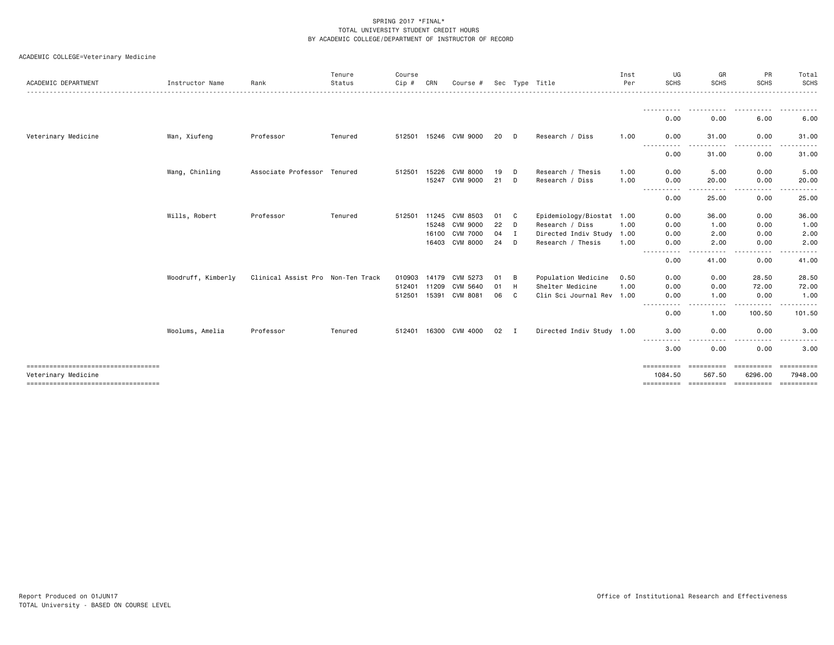# ACADEMIC COLLEGE=Veterinary Medicine

|                                        |                    |                                   | Tenure  | Course       |       |                       |    |     |                           | Inst | UG                            | GR                | PR                        | Total              |
|----------------------------------------|--------------------|-----------------------------------|---------|--------------|-------|-----------------------|----|-----|---------------------------|------|-------------------------------|-------------------|---------------------------|--------------------|
| ACADEMIC DEPARTMENT                    | Instructor Name    | Rank                              | Status  | Cip#         | CRN   | Course #              |    |     | Sec Type Title            | Per  | <b>SCHS</b>                   | <b>SCHS</b>       | <b>SCHS</b>               | <b>SCHS</b><br>.   |
|                                        |                    |                                   |         |              |       |                       |    |     |                           |      | -----------<br>0.00           | .<br>0.00         | .<br>6.00                 | ----------<br>6.00 |
|                                        |                    |                                   |         |              |       |                       |    |     |                           |      |                               |                   |                           |                    |
| Veterinary Medicine                    | Wan, Xiufeng       | Professor                         | Tenured |              |       | 512501 15246 CVM 9000 | 20 | D   | Research / Diss           | 1.00 | 0.00<br>-----<br>المتمامين    | 31.00             | 0.00<br>.                 | 31.00              |
|                                        |                    |                                   |         |              |       |                       |    |     |                           |      | 0.00                          | 31.00             | 0.00                      | 31.00              |
|                                        | Wang, Chinling     | Associate Professor Tenured       |         | 512501       | 15226 | CVM 8000              | 19 | D   | Research / Thesis         | 1.00 | 0.00                          | 5.00              | 0.00                      | 5.00               |
|                                        |                    |                                   |         |              | 15247 | CVM 9000              | 21 | D   | Research / Diss           | 1.00 | 0.00                          | 20.00             | 0.00                      | 20.00              |
|                                        |                    |                                   |         |              |       |                       |    |     |                           |      | .<br>0.00                     | -----<br>25.00    | -----<br>$\cdots$<br>0.00 | .<br>25.00         |
|                                        | Wills, Robert      | Professor                         | Tenured | 512501       | 11245 | CVM 8503              | 01 | C   | Epidemiology/Biostat 1.00 |      | 0.00                          | 36.00             | 0.00                      | 36.00              |
|                                        |                    |                                   |         |              |       | 15248 CVM 9000        | 22 | D   | Research / Diss           | 1.00 | 0.00                          | 1.00              | 0.00                      | 1.00               |
|                                        |                    |                                   |         |              | 16100 | <b>CVM 7000</b>       | 04 | I   | Directed Indiv Study 1.00 |      | 0.00                          | 2.00              | 0.00                      | 2.00               |
|                                        |                    |                                   |         |              |       | 16403 CVM 8000        | 24 | D   | Research / Thesis         | 1.00 | 0.00                          | 2.00              | 0.00                      | 2.00               |
|                                        |                    |                                   |         |              |       |                       |    |     |                           |      | ----<br>0.00                  | 41.00             | 0.00                      | 41.00              |
|                                        | Woodruff, Kimberly | Clinical Assist Pro Non-Ten Track |         | 010903 14179 |       | CVM 5273              | 01 | B   | Population Medicine       | 0.50 | 0.00                          | 0.00              | 28.50                     | 28.50              |
|                                        |                    |                                   |         | 512401       | 11209 | CVM 5640              | 01 | H   | Shelter Medicine          | 1.00 | 0.00                          | 0.00              | 72.00                     | 72.00              |
|                                        |                    |                                   |         | 512501       | 15391 | CVM 8081              | 06 | C   | Clin Sci Journal Rev 1.00 |      | 0.00                          | 1.00              | 0.00                      | 1.00               |
|                                        |                    |                                   |         |              |       |                       |    |     |                           |      | 0.00                          | ----<br>1.00      | 100.50                    | .<br>101.50        |
|                                        | Woolums, Amelia    | Professor                         | Tenured |              |       | 512401 16300 CVM 4000 | 02 | — т | Directed Indiv Study 1.00 |      | 3.00                          | 0.00              | 0.00                      | 3.00               |
|                                        |                    |                                   |         |              |       |                       |    |     |                           |      | -----<br>. <b>.</b> .<br>3.00 | $- - - -$<br>0.00 | 0.00                      | 3.00               |
| ----------------------------------     |                    |                                   |         |              |       |                       |    |     |                           |      | ==========                    | ==========        | ==========                | ==========         |
| Veterinary Medicine                    |                    |                                   |         |              |       |                       |    |     |                           |      | 1084.50                       | 567.50            | 6296.00                   | 7948.00            |
| ====================================== |                    |                                   |         |              |       |                       |    |     |                           |      | ==========                    |                   | ======================    | ==========         |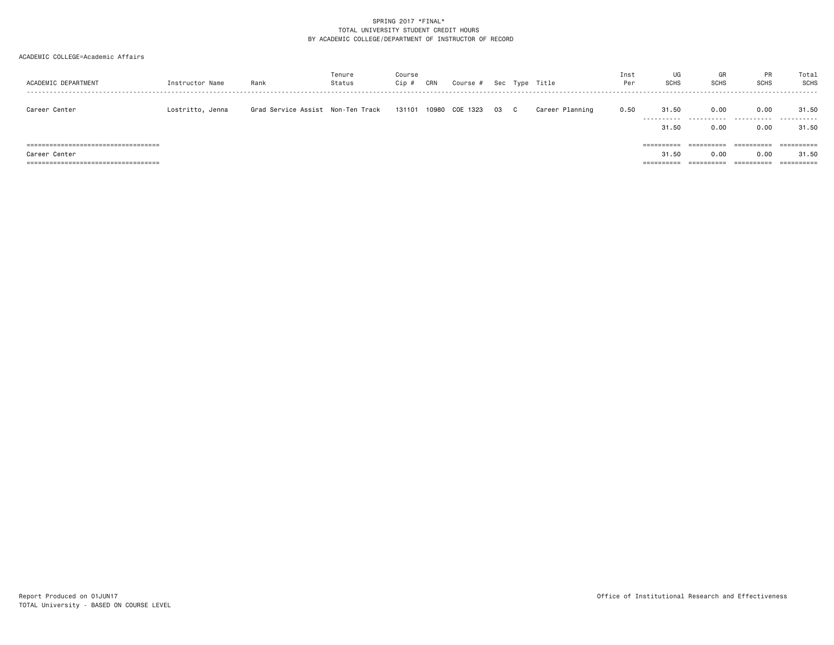# SPRING 2017 \*FINAL\* TOTAL UNIVERSITY STUDENT CREDIT HOURSBY ACADEMIC COLLEGE/DEPARTMENT OF INSTRUCTOR OF RECORD

#### ACADEMIC COLLEGE=Academic Affairs

| ACADEMIC DEPARTMENT                                    | Instructor Name  | Rank                               | Tenure<br>Status | Course<br>$Cip$ # | CRN | Course #       |    |              | Sec Type Title  | Inst<br>Per | UG<br><b>SCHS</b>   | GR<br><b>SCHS</b>  | <b>PR</b><br><b>SCHS</b> | Total<br><b>SCHS</b> |
|--------------------------------------------------------|------------------|------------------------------------|------------------|-------------------|-----|----------------|----|--------------|-----------------|-------------|---------------------|--------------------|--------------------------|----------------------|
| Career Center                                          | Lostritto, Jenna | Grad Service Assist  Non-Ten Track |                  | 131101            |     | 10980 COE 1323 | 03 | $\mathbf{C}$ | Career Planning | 0.50        | 31.50<br>.          | 0.00<br>.          | 0.00<br>----------       | 31.50<br>.           |
| ====================================                   |                  |                                    |                  |                   |     |                |    |              |                 |             | 31.50<br>========== | 0.00<br>========== | 0.00<br>==========       | 31.50<br>==========  |
| Career Center<br>===================================== |                  |                                    |                  |                   |     |                |    |              |                 |             | 31.50<br>=========  | 0.00               | 0.00<br>==========       | 31.50                |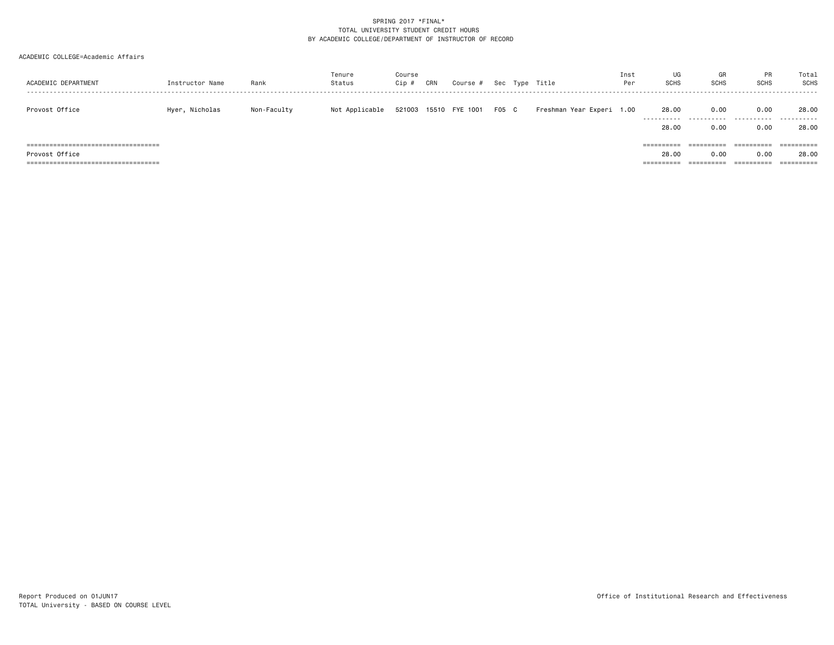# SPRING 2017 \*FINAL\* TOTAL UNIVERSITY STUDENT CREDIT HOURSBY ACADEMIC COLLEGE/DEPARTMENT OF INSTRUCTOR OF RECORD

### ACADEMIC COLLEGE=Academic Affairs

| ACADEMIC DEPARTMENT                                                                                | Instructor Name | Rank        | Tenure<br>Status | Course<br>Cip # | CRN | Course #              |       | Sec Type Title            | Inst<br>Per | UG<br>SCHS          | GR<br><b>SCHS</b>                | <b>PR</b><br><b>SCHS</b><br>                | Total<br><b>SCHS</b> |
|----------------------------------------------------------------------------------------------------|-----------------|-------------|------------------|-----------------|-----|-----------------------|-------|---------------------------|-------------|---------------------|----------------------------------|---------------------------------------------|----------------------|
| Provost Office                                                                                     | Hyer, Nicholas  | Non-Faculty | Not Applicable   |                 |     | 521003 15510 FYE 1001 | F05 C | Freshman Year Experi 1.00 |             | 28.00<br>.<br>28,00 | 0.00<br>.<br>0.00                | 0.00<br>.<br>0.00                           | 28.00<br>.<br>28.00  |
| ======================================<br>Provost Office<br>====================================== |                 |             |                  |                 |     |                       |       |                           |             | 28,00               | ==========<br>0.00<br>========== | ==========<br>0.00<br>$=$ = = = = = = = = = | 28.00<br>==========  |